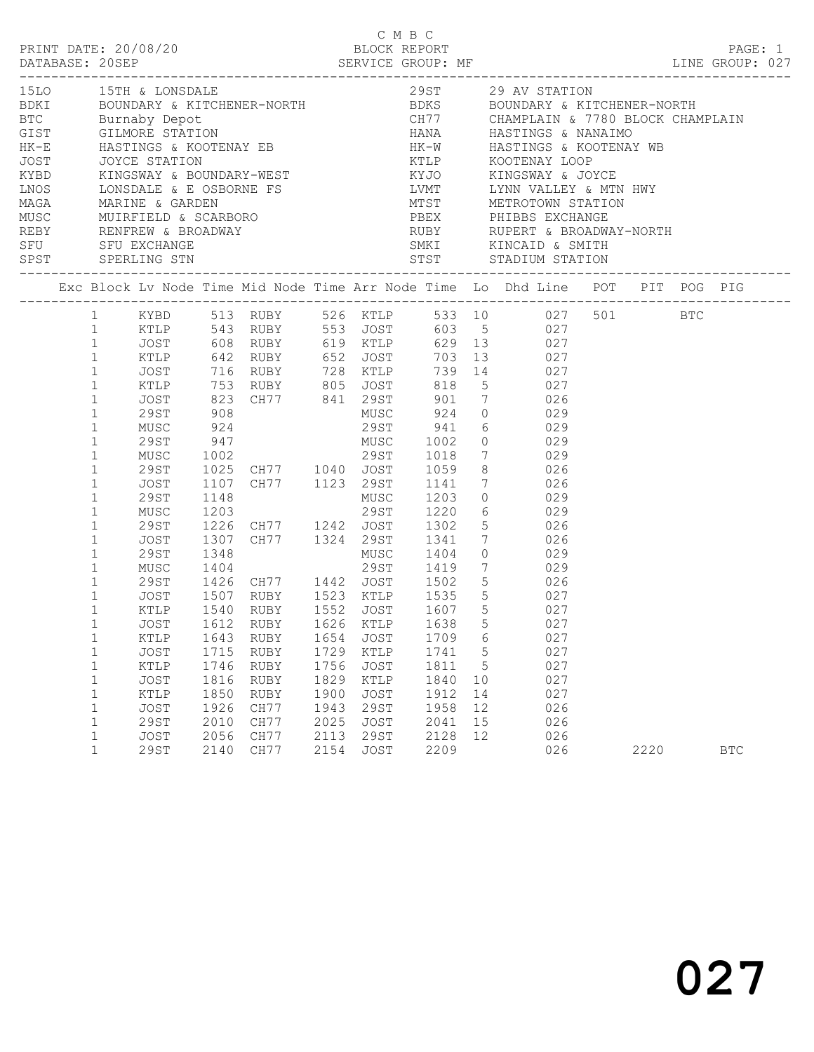|                                                                                                                                                                                                                                                   |                                                                                    |                                                              |                                                                                                                        |                                                              |                                                                                                 | C M B C                                                      |                                 |                                                                                                                                                                                                                                                                                                                                                                                                                                                                                                                                                            |      |            |  |
|---------------------------------------------------------------------------------------------------------------------------------------------------------------------------------------------------------------------------------------------------|------------------------------------------------------------------------------------|--------------------------------------------------------------|------------------------------------------------------------------------------------------------------------------------|--------------------------------------------------------------|-------------------------------------------------------------------------------------------------|--------------------------------------------------------------|---------------------------------|------------------------------------------------------------------------------------------------------------------------------------------------------------------------------------------------------------------------------------------------------------------------------------------------------------------------------------------------------------------------------------------------------------------------------------------------------------------------------------------------------------------------------------------------------------|------|------------|--|
|                                                                                                                                                                                                                                                   |                                                                                    |                                                              |                                                                                                                        |                                                              |                                                                                                 |                                                              |                                 | 1510 15TH & LONSDALE 29ST 29 AV STATION<br>BDKI BOUNDARY & KITCHENER-NORTH BDKS BOUNDARY & KITCHENER-NORTH<br>BTC Burnaby Depot CHTP CHAMPLAIN & 7780 BLOCK CHAMPLAIN<br>GIST GILMORE STATION HANA HASTINGS & NANAIMO                                                                                                                                                                                                                                                                                                                                      |      |            |  |
|                                                                                                                                                                                                                                                   |                                                                                    |                                                              |                                                                                                                        |                                                              |                                                                                                 |                                                              |                                 |                                                                                                                                                                                                                                                                                                                                                                                                                                                                                                                                                            |      |            |  |
| $1 \qquad \qquad$<br>$\mathbf{1}$<br>$\mathbf{1}$<br>$\mathbf{1}$<br>$\mathbf{1}$<br>$\mathbf{1}$<br>$\mathbf{1}$<br>$\mathbf{1}$<br>$\mathbf{1}$<br>$\mathbf{1}$<br>$\mathbf{1}$<br>$\mathbf{1}$<br>$\mathbf{1}$<br>$\mathbf{1}$<br>$\mathbf{1}$ | MUSC<br>29ST<br>MUSC<br>29ST<br>JOST<br>29ST<br>MUSC<br>29ST<br>JOST               | 1148                                                         |                                                                                                                        |                                                              | MUSC                                                                                            | 1203                                                         |                                 | 1 KYBD 513 RUBY 526 KTLP 533 10 027 501 BTC<br>1 RTLP 543 RUBY 553 JOST 603 5 027<br>1 JOST 608 RUBY 619 RTLP 629 13 027<br>1 RTLP 642 RUBY 652 JOST 703 13 027<br>JOST 716 RUBY 728 KTLP 739 14 027<br>XTLP 753 RUBY 805 JOST 818 5 027<br>JOST 823 CH77 841 29ST 901 7 026<br>29ST 908 MUSC 924 0 029<br>924 29ST 941 6 029<br>947 MUSC 1002 0 029<br>1002 29ST 1018 7 029<br>1025 CH77 1040 JOST 1059 8 026<br>1107 CH77 1123 29ST 1141 7 026<br>$\begin{array}{ccc} 0 & & 029 \\ 6 & & 029 \\ 5 & & 026 \end{array}$<br>1307 CH77 1324 29ST 1341 7 026 |      |            |  |
| $\mathbf{1}$<br>$\mathbf{1}$<br>$\mathbf{1}$<br>1<br>$\mathbf 1$<br>$\mathbf 1$<br>$\mathbf 1$<br>$\mathbf{1}$<br>$\mathbf 1$<br>$\mathbf{1}$<br>$\mathbf{1}$<br>$\mathbf 1$                                                                      | KTLP<br>KTLP<br>JOST<br><b>KTLP</b><br>JOST<br>KTLP<br>JOST<br><b>29ST</b><br>JOST | 1643<br>1715<br>1746<br>1816<br>1850<br>1926<br>2010<br>2056 | 1540 RUBY 1552 JOST<br>JOST 1612 RUBY 1626 KTLP 1638 5<br>RUBY<br>RUBY<br>RUBY<br>RUBY<br>RUBY<br>CH77<br>CH77<br>CH77 | 1654<br>1729<br>1756<br>1829<br>1900<br>1943<br>2025<br>2113 | <b>JOST</b><br>KTLP<br><b>JOST</b><br>KTLP<br><b>JOST</b><br><b>29ST</b><br><b>JOST</b><br>29ST | 1709<br>1741<br>1811<br>1840<br>1912<br>1958<br>2041<br>2128 | 5<br>10<br>14<br>12<br>15<br>12 | 1607 5 027<br>027<br>6<br>027<br>027<br>5<br>027<br>027<br>027<br>026<br>026<br>026                                                                                                                                                                                                                                                                                                                                                                                                                                                                        |      |            |  |
| $\mathbf{1}$                                                                                                                                                                                                                                      | <b>29ST</b>                                                                        | 2140                                                         | CH77                                                                                                                   | 2154                                                         | <b>JOST</b>                                                                                     | 2209                                                         |                                 | 026                                                                                                                                                                                                                                                                                                                                                                                                                                                                                                                                                        | 2220 | <b>BTC</b> |  |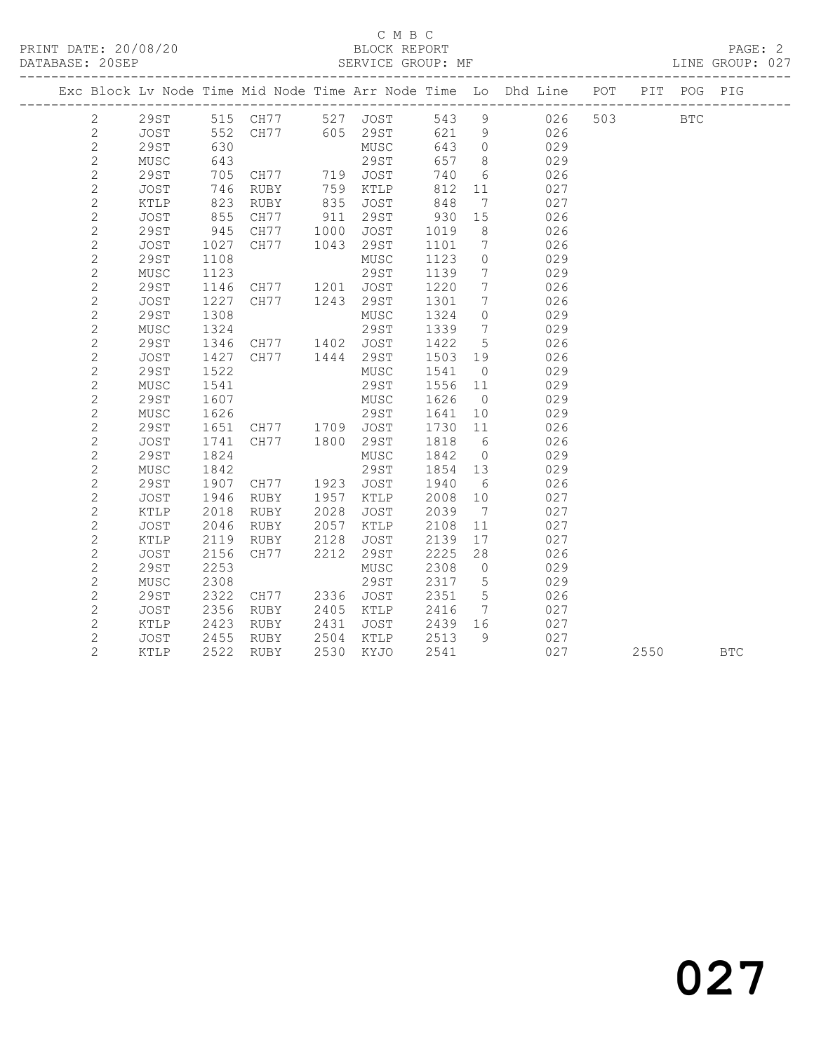## C M B C<br>BLOCK REPORT

LINE GROUP: 027

|                |             |                |                                                          |      |                        |         |                              | Exc Block Lv Node Time Mid Node Time Arr Node Time Lo Dhd Line POT PIT POG PIG |         |      |            |
|----------------|-------------|----------------|----------------------------------------------------------|------|------------------------|---------|------------------------------|--------------------------------------------------------------------------------|---------|------|------------|
| $\overline{2}$ |             |                |                                                          |      |                        |         |                              | 29ST 515 CH77 527 JOST 543 9 026<br>JOST 552 CH77 605 29ST 621 9 026           | 503 BTC |      |            |
| $\mathbf{2}$   |             |                |                                                          |      |                        | 621 9   |                              | 026                                                                            |         |      |            |
| $\mathbf{2}$   | 29ST        | 630            |                                                          |      | MUSC                   | 643     | $\overline{0}$               | 029                                                                            |         |      |            |
| $\sqrt{2}$     | MUSC        | 643            |                                                          |      | 29ST                   | 657     | 8 <sup>8</sup>               | 029                                                                            |         |      |            |
| $\sqrt{2}$     | 29ST        | $705$<br>$746$ | CH77           719    JOST<br>RUBY           759    KTLP |      |                        | 740     | 6                            | 026                                                                            |         |      |            |
| $\sqrt{2}$     | JOST        | 746            |                                                          |      |                        | 812     | 11                           | 027                                                                            |         |      |            |
| $\mathbf{2}$   | KTLP        | 823            | RUBY                                                     |      | 835 JOST               | 848     | $\overline{7}$               | 027                                                                            |         |      |            |
| $\sqrt{2}$     | JOST        | 855            | CH77                                                     |      | 911 29ST               | 930     | 15                           | 026                                                                            |         |      |            |
| $\sqrt{2}$     | 29ST        | 945            | CH77 1000 JOST<br>CH77 1043 29ST                         |      |                        | 1019    | 8                            | 026                                                                            |         |      |            |
| $\sqrt{2}$     | JOST        | 1027           |                                                          |      |                        | 1101    | $\overline{7}$               | 026                                                                            |         |      |            |
| $\mathbf{2}$   | 29ST        | 1108           |                                                          |      | MUSC                   | 1123    | $\overline{0}$               | 029                                                                            |         |      |            |
| $\mathbf{2}$   | MUSC        | 1123           |                                                          |      | 29ST                   | 1139    | $\overline{7}$               | 029                                                                            |         |      |            |
| $\mathbf{2}$   | 29ST        | 1146           | CH77 1201 JOST                                           |      |                        | 1220    | $7\overline{ }$              | 026                                                                            |         |      |            |
| $\mathbf{2}$   | JOST        | 1227           | CH77 1243 29ST                                           |      |                        | 1301    | $7\phantom{.0}\phantom{.0}7$ | 026                                                                            |         |      |            |
| $\mathbf{2}$   | 29ST        | 1308           |                                                          |      | MUSC                   | 1324    | $\overline{0}$               | 029                                                                            |         |      |            |
| $\mathbf{2}$   | MUSC        | 1324           |                                                          |      | 29ST                   | 1339    | $\overline{7}$               | 029                                                                            |         |      |            |
| $\mathbf{2}$   | 29ST        | 1346           | CH77 1402 JOST                                           |      |                        | 1422    | $5\overline{)}$              | 026                                                                            |         |      |            |
| $\mathbf{2}$   | JOST        | 1427           | CH77                                                     |      | 1444 29ST              | 1503 19 |                              | 026                                                                            |         |      |            |
| $\sqrt{2}$     | 29ST        | 1522           |                                                          |      | MUSC                   | 1541    | $\overline{0}$               | 029                                                                            |         |      |            |
| $\mathbf{2}$   | MUSC        | 1541           |                                                          |      | 29ST                   | 1556 11 |                              | 029                                                                            |         |      |            |
| $\mathbf{2}$   | <b>29ST</b> | 1607           |                                                          |      | MUSC 1626              |         | $\overline{0}$               | 029                                                                            |         |      |            |
| $\mathbf{2}$   | MUSC        | 1626           | 29ST 1641<br>CH77 1709 JOST 1730<br>CH77 1800 29ST 1818  |      |                        | 1641    | 10                           | 029                                                                            |         |      |            |
| $\sqrt{2}$     | 29ST        | 1651           |                                                          |      |                        | 1730 11 |                              | 026                                                                            |         |      |            |
| $\sqrt{2}$     | JOST        | 1741           |                                                          |      |                        |         | $6\overline{6}$              | 026                                                                            |         |      |            |
| $\mathbf{2}$   | 29ST        | 1824           |                                                          |      | MUSC                   | 1842    | $\overline{0}$               | 029                                                                            |         |      |            |
| $\mathbf{2}$   | MUSC        | 1842           |                                                          |      | 29ST                   | 1854 13 |                              | 029                                                                            |         |      |            |
| $\mathbf{2}$   | 29ST        | 1907           | CH77 1923 JOST                                           |      |                        | 1940    | 6                            | 026                                                                            |         |      |            |
| $\mathbf{2}$   | JOST        | 1946           | RUBY                                                     |      | 1957 KTLP              | 2008    | 10                           | 027                                                                            |         |      |            |
| $\sqrt{2}$     | KTLP        | 2018           | RUBY                                                     | 2028 | JOST                   | 2039    | $\overline{7}$               | 027                                                                            |         |      |            |
| $\mathbf{2}$   | JOST        | 2046           | RUBY                                                     | 2057 | KTLP                   | 2108    | 11                           | 027                                                                            |         |      |            |
| $\mathbf{2}$   | KTLP        | 2119           | RUBY                                                     | 2128 | JOST                   | 2139    | 17                           | 027                                                                            |         |      |            |
| $\sqrt{2}$     | JOST        | 2156           | CH77                                                     | 2212 | 29ST                   | 2225    | 28                           | 026                                                                            |         |      |            |
| $\mathbf{2}$   | 29ST        | 2253           |                                                          |      | MUSC                   | 2308    | $\overline{0}$               | 029                                                                            |         |      |            |
| $\mathbf{2}$   | MUSC        | 2308           |                                                          |      | 29ST                   | 2317    | $5\overline{)}$              | 029                                                                            |         |      |            |
| $\mathbf{2}$   | 29ST        | 2322           | CH77 2336 JOST                                           |      |                        | 2351    | $5\overline{)}$              | 026                                                                            |         |      |            |
| $\mathbf{2}$   | JOST        | 2356           | RUBY                                                     | 2405 | KTLP                   | 2416    | $\overline{7}$               | 027<br>027                                                                     |         |      |            |
| $\overline{c}$ | KTLP        | 2423<br>2455   | RUBY                                                     | 2431 | JOST<br>2504 KTLP 2513 | 2439 16 | - 9                          |                                                                                |         |      |            |
| $\mathbf{2}$   | JOST        |                | RUBY                                                     |      |                        |         |                              | 027                                                                            |         |      |            |
| $\overline{2}$ | KTLP        |                | 2522 RUBY                                                |      | 2530 KYJO              | 2541    |                              | 027                                                                            |         | 2550 | <b>BTC</b> |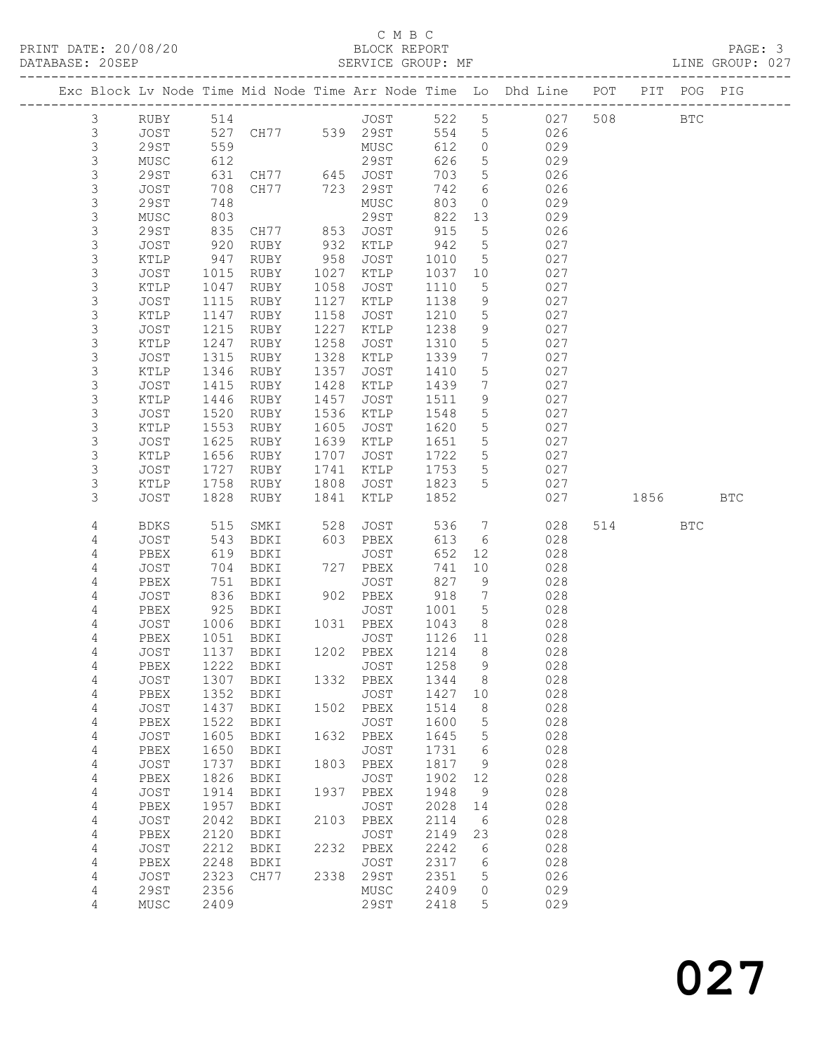## C M B C<br>BLOCK REPORT

| PRINT DATE: 20/08/20<br>DATABASE: 20SEP |           |      |      |                |      | BLOCK REPORT<br>SERVICE GROUP: MF |       |                 |                                                                                |                           |  | PAGE: 3<br>LINE GROUP: 027 |  |
|-----------------------------------------|-----------|------|------|----------------|------|-----------------------------------|-------|-----------------|--------------------------------------------------------------------------------|---------------------------|--|----------------------------|--|
|                                         |           |      |      |                |      |                                   |       |                 | Exc Block Lv Node Time Mid Node Time Arr Node Time Lo Dhd Line POT PIT POG PIG | ------------------------- |  |                            |  |
|                                         | 3         | RUBY |      | 514 and $\sim$ |      | JOST                              | 522 5 |                 | 027                                                                            | 508 BTC                   |  |                            |  |
|                                         | 3         | JOST |      | 527 CH77       | 539  | 29ST                              | 554   |                 | $5^{\circ}$<br>026                                                             |                           |  |                            |  |
|                                         | 3         | 29ST | 559  |                |      | MUSC                              | 612   | $\circ$         | 029                                                                            |                           |  |                            |  |
|                                         | 3         | MUSC | 612  |                |      | 29ST                              | 626   |                 | $5 \quad \cdots$<br>029                                                        |                           |  |                            |  |
|                                         | 3         | 29ST |      | 631 CH77 645   |      | JOST                              | 703   |                 | $5 - 5$<br>026                                                                 |                           |  |                            |  |
|                                         | 3         | JOST | 708  | CH77           | 723  | 29ST                              | 742   | 6               | 026                                                                            |                           |  |                            |  |
|                                         | 3         | 29ST | 748  |                |      | MUSC                              | 803   | $\Omega$        | 029                                                                            |                           |  |                            |  |
|                                         | 3         | MUSC | 803  |                |      | 29ST                              | 822   | 13              | 029                                                                            |                           |  |                            |  |
|                                         | 3         | 29ST | 835  | CH77           | 853  | JOST                              | 915   | 5 <sup>5</sup>  | 026                                                                            |                           |  |                            |  |
|                                         | 3         | JOST | 920  | RUBY           | 932  | KTLP                              | 942   | $5\overline{)}$ | 027                                                                            |                           |  |                            |  |
|                                         | 3         | KTLP | 947  | RUBY           | 958  | JOST                              | 1010  | 5               | 027                                                                            |                           |  |                            |  |
|                                         | 3         | JOST | 1015 | RUBY           | 1027 | KTLP                              | 1037  | 10 <sup>°</sup> | 027                                                                            |                           |  |                            |  |
|                                         | 3         | KTLP | 1047 | RUBY           | 1058 | JOST                              | 1110  | 5               | 027                                                                            |                           |  |                            |  |
|                                         | 3         | JOST | 1115 | RUBY           | 1127 | KTLP                              | 1138  |                 | $9 \left( \frac{1}{2} \right)$<br>027                                          |                           |  |                            |  |
|                                         | 3         | KTLP | 1147 | RUBY           | 1158 | JOST                              | 1210  | 5               | 027                                                                            |                           |  |                            |  |
|                                         | 3         | JOST | 1215 | RUBY           | 1227 | KTLP                              | 1238  | 9               | 027                                                                            |                           |  |                            |  |
|                                         | 3         | KTLP | 1247 | RUBY           | 1258 | JOST                              | 1310  | $5\overline{)}$ | 027                                                                            |                           |  |                            |  |
|                                         | 3         | JOST | 1315 | RUBY           | 1328 | KTLP                              | 1339  | 7               | 027                                                                            |                           |  |                            |  |
|                                         | 3         | KTLP | 1346 | RUBY           | 1357 | JOST                              | 1410  | $5\overline{)}$ | 027                                                                            |                           |  |                            |  |
|                                         | 3         | JOST | 1415 | RUBY           | 1428 | KTLP                              | 1439  | 7               | 027                                                                            |                           |  |                            |  |
|                                         | 3         | KTLP | 1446 | RUBY           | 1457 | JOST                              | 1511  | 9               | 027                                                                            |                           |  |                            |  |
|                                         | 3         | JOST | 1520 | RUBY           | 1536 | KTLP                              | 1548  | 5 <sup>5</sup>  | 027                                                                            |                           |  |                            |  |
|                                         | 3         | KTLP | 1553 | RUBY           | 1605 | JOST                              | 1620  |                 | $5 - 5$<br>027                                                                 |                           |  |                            |  |
|                                         | 3         | JOST | 1625 | RUBY           | 1639 | KTLP                              | 1651  | $5\overline{)}$ | 027                                                                            |                           |  |                            |  |
|                                         | 3         | KTLP | 1656 | RUBY           | 1707 | JOST                              | 1722  | 5               | 027                                                                            |                           |  |                            |  |
|                                         | $\supset$ | TOCT |      | עסוות 1707     |      | ת דרח של 17.41                    | 1752  | 一 にっぽん こうしょう    | ハウワ                                                                            |                           |  |                            |  |

| 3 | JUS'I'      | エヤくつ | <b>KUBI</b> | エヤマス | KTPR        | TOPT | C       | UZ 1 |      |            |            |  |
|---|-------------|------|-------------|------|-------------|------|---------|------|------|------------|------------|--|
| 3 | KTLP        | 1656 | RUBY        | 1707 | JOST        | 1722 | 5       | 027  |      |            |            |  |
| 3 | <b>JOST</b> | 1727 | <b>RUBY</b> | 1741 | KTLP        | 1753 | 5       | 027  |      |            |            |  |
| 3 | KTLP        | 1758 | RUBY        | 1808 | <b>JOST</b> | 1823 | 5       | 027  |      |            |            |  |
| 3 | <b>JOST</b> | 1828 | RUBY        | 1841 | KTLP        | 1852 |         | 027  | 1856 |            | <b>BTC</b> |  |
|   |             |      |             |      |             |      |         |      |      |            |            |  |
| 4 | <b>BDKS</b> | 515  | SMKI        | 528  | <b>JOST</b> | 536  | 7       | 028  | 514  | <b>BTC</b> |            |  |
| 4 | JOST        | 543  | BDKI        | 603  | PBEX        | 613  | $6\,$   | 028  |      |            |            |  |
| 4 | PBEX        | 619  | BDKI        |      | JOST        | 652  | 12      | 028  |      |            |            |  |
| 4 | JOST        | 704  | BDKI        | 727  | PBEX        | 741  | 10      | 028  |      |            |            |  |
| 4 | PBEX        | 751  | BDKI        |      | <b>JOST</b> | 827  | 9       | 028  |      |            |            |  |
| 4 | <b>JOST</b> | 836  | BDKI        | 902  | PBEX        | 918  | 7       | 028  |      |            |            |  |
| 4 | PBEX        | 925  | BDKI        |      | <b>JOST</b> | 1001 | 5       | 028  |      |            |            |  |
| 4 | JOST        | 1006 | BDKI        | 1031 | PBEX        | 1043 | $\,8\,$ | 028  |      |            |            |  |
| 4 | PBEX        | 1051 | BDKI        |      | <b>JOST</b> | 1126 | $1\,1$  | 028  |      |            |            |  |
| 4 | <b>JOST</b> | 1137 | BDKI        | 1202 | PBEX        | 1214 | 8       | 028  |      |            |            |  |
| 4 | PBEX        | 1222 | BDKI        |      | <b>JOST</b> | 1258 | 9       | 028  |      |            |            |  |
| 4 | JOST        | 1307 | BDKI        | 1332 | PBEX        | 1344 | $\,8\,$ | 028  |      |            |            |  |
| 4 | PBEX        | 1352 | BDKI        |      | <b>JOST</b> | 1427 | 10      | 028  |      |            |            |  |
| 4 | <b>JOST</b> | 1437 | BDKI        | 1502 | PBEX        | 1514 | $\,8\,$ | 028  |      |            |            |  |
| 4 | PBEX        | 1522 | BDKI        |      | <b>JOST</b> | 1600 | 5       | 028  |      |            |            |  |
| 4 | JOST        | 1605 | BDKI        | 1632 | PBEX        | 1645 | 5       | 028  |      |            |            |  |
| 4 | PBEX        | 1650 | BDKI        |      | <b>JOST</b> | 1731 | 6       | 028  |      |            |            |  |
| 4 | <b>JOST</b> | 1737 | BDKI        | 1803 | PBEX        | 1817 | $\,9$   | 028  |      |            |            |  |
| 4 | PBEX        | 1826 | BDKI        |      | JOST        | 1902 | 12      | 028  |      |            |            |  |
| 4 | JOST        | 1914 | BDKI        | 1937 | PBEX        | 1948 | 9       | 028  |      |            |            |  |
| 4 | PBEX        | 1957 | BDKI        |      | <b>JOST</b> | 2028 | 14      | 028  |      |            |            |  |
| 4 | JOST        | 2042 | BDKI        | 2103 | PBEX        | 2114 | 6       | 028  |      |            |            |  |
| 4 | PBEX        | 2120 | BDKI        |      | <b>JOST</b> | 2149 | 23      | 028  |      |            |            |  |
| 4 | <b>JOST</b> | 2212 | BDKI        | 2232 | PBEX        | 2242 | 6       | 028  |      |            |            |  |
| 4 | PBEX        | 2248 | BDKI        |      | <b>JOST</b> | 2317 | 6       | 028  |      |            |            |  |
| 4 | <b>JOST</b> | 2323 | CH77        | 2338 | <b>29ST</b> | 2351 | 5       | 026  |      |            |            |  |
| 4 | 29ST        | 2356 |             |      | MUSC        | 2409 | 0       | 029  |      |            |            |  |
| 4 | MUSC        | 2409 |             |      | <b>29ST</b> | 2418 | 5       | 029  |      |            |            |  |
|   |             |      |             |      |             |      |         |      |      |            |            |  |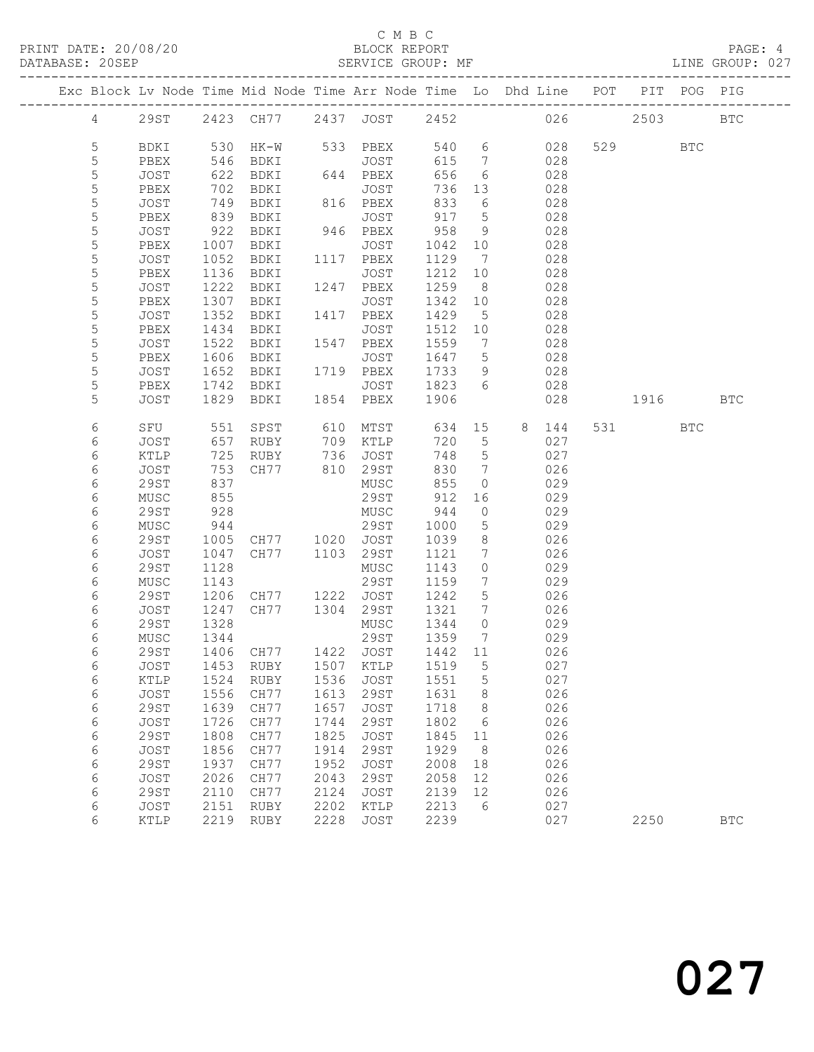## C M B C<br>BLOCK REPORT

LINE GROUP: 027

|                 |                     |              |                                 |              |                          |              |                               | Exc Block Lv Node Time Mid Node Time Arr Node Time Lo Dhd Line POT |          |             |            |
|-----------------|---------------------|--------------|---------------------------------|--------------|--------------------------|--------------|-------------------------------|--------------------------------------------------------------------|----------|-------------|------------|
|                 |                     |              |                                 |              |                          |              |                               |                                                                    |          | PIT POG PIG |            |
| $4\overline{ }$ |                     |              | 29ST 2423 CH77 2437 JOST 2452   |              |                          |              |                               |                                                                    | 026 2503 |             | <b>BTC</b> |
| 5               | BDKI                |              | 530 HK-W 533 PBEX               |              |                          |              |                               | 540 6<br>028                                                       | 529 BTC  |             |            |
| 5               | PBEX                | 546          | BDKI                            |              | JOST                     | 615          | $\overline{7}$                | 028                                                                |          |             |            |
| 5               | JOST                | 622          | BDKI                            |              | $644$ PBEX               | 656          | 6                             | 028                                                                |          |             |            |
| 5               | PBEX                | 702          | BDKI                            |              | JOST                     | 736          | 13                            | 028                                                                |          |             |            |
| $\mathsf S$     | JOST                | 749          | BDKI                            |              | 816 PBEX                 | 833          | 6                             | 028                                                                |          |             |            |
| 5               | PBEX                | 839          | BDKI                            |              | JOST                     | 917          | $5^{\circ}$                   | 028                                                                |          |             |            |
| $\mathsf S$     | JOST                | 922<br>1007  | BDKI                            |              | 946 PBEX                 | 958          | 9                             | 028                                                                |          |             |            |
| 5               | PBEX                |              | BDKI                            |              | JOST                     | 1042 10      |                               | 028                                                                |          |             |            |
| $\mathsf S$     | JOST                | 1052         | BDKI                            |              | 1117 PBEX                | 1129         | $\overline{7}$                | 028                                                                |          |             |            |
| 5               | PBEX                | 1136         | BDKI                            |              | JOST                     | 1212         | 10                            | 028                                                                |          |             |            |
| 5               | JOST                | 1222         | BDKI                            |              | 1247 PBEX                | 1259         | 8 <sup>8</sup>                | 028                                                                |          |             |            |
| 5               | PBEX                | 1307         | BDKI                            |              | JOST                     | 1342         | 10                            | 028                                                                |          |             |            |
| $\mathsf S$     | JOST                | 1352         | BDKI                            |              | 1417 PBEX                | 1429         | $5\overline{)}$               | 028                                                                |          |             |            |
| 5               | PBEX                | 1434         | BDKI                            |              | JOST                     | 1512         | 10                            | 028                                                                |          |             |            |
| 5               | JOST                | 1522         | BDKI                            |              | 1547 PBEX                | 1559         | $\overline{7}$                | 028                                                                |          |             |            |
| 5               | PBEX                | 1606         | BDKI                            |              | JOST                     | 1647 5       |                               | 028                                                                |          |             |            |
| $\mathsf S$     | JOST                | 1652         | BDKI                            |              | 1719 PBEX                | 1733         | 9                             | 028                                                                |          |             |            |
| 5<br>5          | PBEX<br>JOST        | 1742<br>1829 | BDKI<br>BDKI                    |              | JOST 1823 6<br>1854 PBEX | 1906         |                               | 028<br>028                                                         | 1916 BTC |             |            |
|                 |                     |              |                                 |              |                          |              |                               |                                                                    |          |             |            |
| 6               | SFU                 | 551          | SPST                            |              | 610 MTST                 | 634          |                               | 15 8 144                                                           | 531 6    | BTC         |            |
| 6               | JOST                | 657          | RUBY                            |              | 709 KTLP                 | 720          | $5\overline{)}$               | 027                                                                |          |             |            |
| 6               | KTLP                | 725          | RUBY                            |              | 736 JOST                 | 748          | $5\overline{)}$               | 027                                                                |          |             |            |
| 6               | JOST                | 753          | CH77 810 29ST                   |              |                          | 830          | $\overline{7}$                | 026                                                                |          |             |            |
| 6               | <b>29ST</b>         | 837          |                                 |              | MUSC                     | 855          | $\overline{0}$                | 029                                                                |          |             |            |
| 6               | MUSC                | 855          |                                 |              | 29ST                     | 912          | 16                            | 029                                                                |          |             |            |
| 6               | <b>29ST</b>         | 928          |                                 |              | MUSC                     | 944          | $\overline{0}$                | 029                                                                |          |             |            |
| $\epsilon$<br>6 | MUSC<br><b>29ST</b> | 944<br>1005  | CH77 1020 JOST                  |              | 29ST                     | 1000<br>1039 | $5^{\circ}$<br>8 <sup>8</sup> | 029<br>026                                                         |          |             |            |
| 6               | JOST                | 1047         | CH77                            |              | 1103 29ST                | 1121         | 7                             | 026                                                                |          |             |            |
| 6               | 29ST                | 1128         |                                 |              | MUSC                     | 1143         | $\circ$                       | 029                                                                |          |             |            |
| 6               | MUSC                | 1143         |                                 |              | 29ST                     | 1159         | $\overline{7}$                | 029                                                                |          |             |            |
| 6               | 29ST                | 1206         | CH77                            |              | 1222 JOST                | 1242         | $5^{\circ}$                   | 026                                                                |          |             |            |
| 6               | JOST                | 1247         | CH77 1304                       |              | 29ST                     | 1321         | $\overline{7}$                | 026                                                                |          |             |            |
| 6               | 29ST                | 1328         |                                 |              | MUSC                     | 1344         | $\overline{0}$                | 029                                                                |          |             |            |
| 6               | MUSC                |              |                                 |              |                          | 1359         | $\overline{7}$                | 029                                                                |          |             |            |
| 6               | 29ST                |              |                                 |              |                          | $1442$ 11    |                               | 026                                                                |          |             |            |
| 6               |                     |              | JOST 1453 RUBY 1507 KTLP 1519 5 |              |                          |              |                               | 027                                                                |          |             |            |
| 6               | KTLP                | 1524         | RUBY                            | 1536         | JOST                     | 1551         | 5                             | 027                                                                |          |             |            |
| 6               | JOST                | 1556         | CH77                            | 1613         | 29ST                     | 1631         | 8                             | 026                                                                |          |             |            |
| 6               | <b>29ST</b>         | 1639         | CH77                            | 1657         | JOST                     | 1718         | 8                             | 026                                                                |          |             |            |
| 6               | JOST                | 1726         | CH77                            | 1744         | 29ST                     | 1802         | 6                             | 026                                                                |          |             |            |
| 6               | <b>29ST</b>         | 1808         | CH77                            | 1825         | JOST                     | 1845         | 11                            | 026                                                                |          |             |            |
| 6               | JOST                | 1856         | CH77                            | 1914         | 29ST                     | 1929         | 8 <sup>8</sup>                | 026                                                                |          |             |            |
| 6               | <b>29ST</b>         | 1937         | CH77                            | 1952         | <b>JOST</b>              | 2008         | 18                            | 026                                                                |          |             |            |
| 6<br>6          | JOST<br>29ST        | 2026<br>2110 | CH77<br>CH77                    | 2043<br>2124 | 29ST<br>JOST             | 2058<br>2139 | 12<br>12                      | 026<br>026                                                         |          |             |            |
| 6               | JOST                | 2151         | RUBY                            | 2202         | KTLP                     | 2213         | 6                             | 027                                                                |          |             |            |
| 6               | KTLP                | 2219         | RUBY                            | 2228         | JOST                     | 2239         |                               | 027                                                                | 2250     |             | <b>BTC</b> |
|                 |                     |              |                                 |              |                          |              |                               |                                                                    |          |             |            |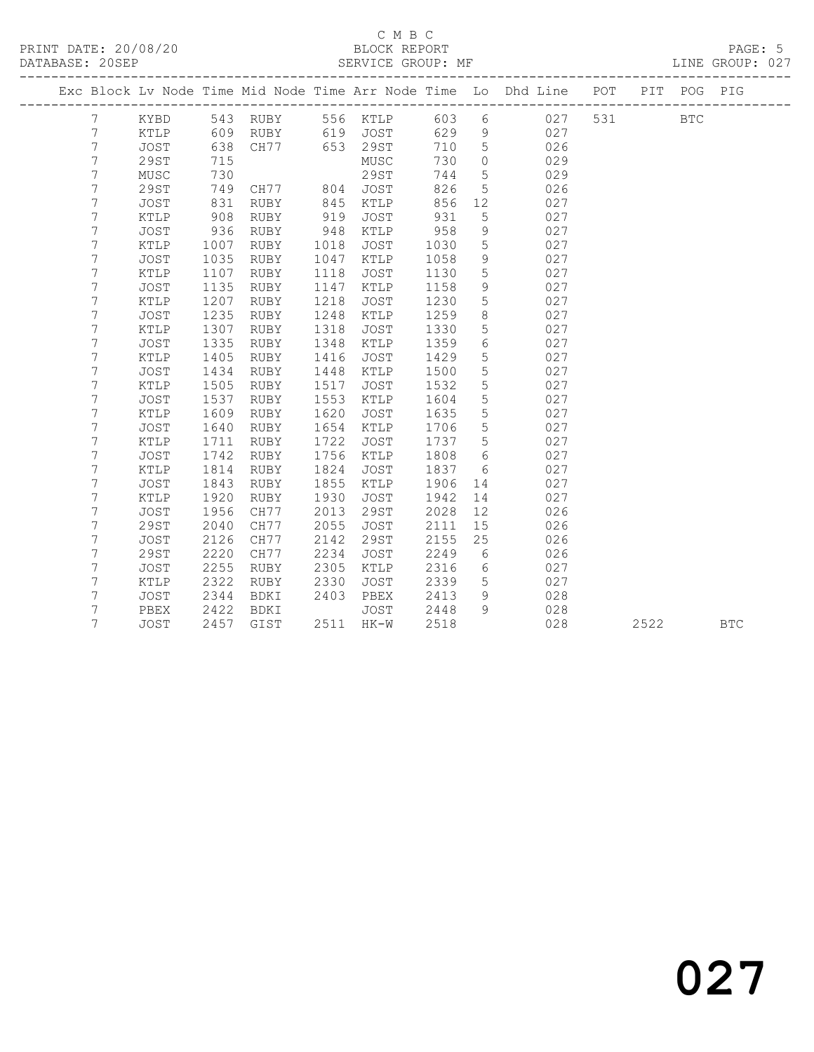### C M B C<br>BLOCK REPORT SERVICE GROUP: MF

|                |               |      |             |      |             |      |                 | Exc Block Lv Node Time Mid Node Time Arr Node Time Lo Dhd Line | POT | PIT  | POG        | PIG        |
|----------------|---------------|------|-------------|------|-------------|------|-----------------|----------------------------------------------------------------|-----|------|------------|------------|
| 7              | KYBD          |      | 543 RUBY    |      | 556 KTLP    | 603  | 6               | 027                                                            | 531 |      | <b>BTC</b> |            |
| 7              | KTLP          | 609  | RUBY        |      | 619 JOST    | 629  | 9               | 027                                                            |     |      |            |            |
| $\overline{7}$ | <b>JOST</b>   | 638  | CH77        |      | 653 29ST    | 710  | 5               | 026                                                            |     |      |            |            |
| 7              | 29ST          | 715  |             |      | MUSC        | 730  | $\circ$         | 029                                                            |     |      |            |            |
| $\overline{7}$ | MUSC          | 730  |             |      | 29ST        | 744  | $5\phantom{.0}$ | 029                                                            |     |      |            |            |
| 7              | <b>29ST</b>   | 749  | CH77 804    |      | JOST        | 826  | 5               | 026                                                            |     |      |            |            |
| 7              | <b>JOST</b>   | 831  | RUBY        | 845  | KTLP        | 856  | 12              | 027                                                            |     |      |            |            |
| 7              | KTLP          | 908  | RUBY        | 919  | JOST        | 931  | 5               | 027                                                            |     |      |            |            |
| 7              | <b>JOST</b>   | 936  | RUBY        | 948  | KTLP        | 958  | $\mathcal{G}$   | 027                                                            |     |      |            |            |
| 7              | $\verb KTLP $ | 1007 | RUBY        | 1018 | JOST        | 1030 | $\mathsf S$     | 027                                                            |     |      |            |            |
| 7              | JOST          | 1035 | RUBY        | 1047 | KTLP        | 1058 | $\,9$           | 027                                                            |     |      |            |            |
| 7              | KTLP          | 1107 | RUBY        | 1118 | JOST        | 1130 | $5\phantom{.0}$ | 027                                                            |     |      |            |            |
| 7              | JOST          | 1135 | RUBY        | 1147 | KTLP        | 1158 | 9               | 027                                                            |     |      |            |            |
| 7              | KTLP          | 1207 | RUBY        | 1218 | JOST        | 1230 | 5               | 027                                                            |     |      |            |            |
| 7              | <b>JOST</b>   | 1235 | RUBY        | 1248 | KTLP        | 1259 | 8               | 027                                                            |     |      |            |            |
| 7              | KTLP          | 1307 | RUBY        | 1318 | JOST        | 1330 | 5               | 027                                                            |     |      |            |            |
| $\overline{7}$ | JOST          | 1335 | RUBY        | 1348 | KTLP        | 1359 | $\epsilon$      | 027                                                            |     |      |            |            |
| 7              | KTLP          | 1405 | RUBY        | 1416 | <b>JOST</b> | 1429 | 5               | 027                                                            |     |      |            |            |
| $\overline{7}$ | JOST          | 1434 | RUBY        | 1448 | KTLP        | 1500 | $5\phantom{.0}$ | 027                                                            |     |      |            |            |
| 7              | KTLP          | 1505 | RUBY        | 1517 | JOST        | 1532 | 5               | 027                                                            |     |      |            |            |
| 7              | JOST          | 1537 | RUBY        | 1553 | KTLP        | 1604 | 5               | 027                                                            |     |      |            |            |
| 7              | KTLP          | 1609 | RUBY        | 1620 | JOST        | 1635 | 5               | 027                                                            |     |      |            |            |
| 7              | <b>JOST</b>   | 1640 | RUBY        | 1654 | KTLP        | 1706 | 5               | 027                                                            |     |      |            |            |
| 7              | KTLP          | 1711 | RUBY        | 1722 | JOST        | 1737 | 5               | 027                                                            |     |      |            |            |
| 7              | JOST          | 1742 | RUBY        | 1756 | KTLP        | 1808 | $6\,$           | 027                                                            |     |      |            |            |
| 7              | KTLP          | 1814 | RUBY        | 1824 | JOST        | 1837 | 6               | 027                                                            |     |      |            |            |
| 7              | JOST          | 1843 | <b>RUBY</b> | 1855 | KTLP        | 1906 | 14              | 027                                                            |     |      |            |            |
| 7              | KTLP          | 1920 | <b>RUBY</b> | 1930 | JOST        | 1942 | 14              | 027                                                            |     |      |            |            |
| 7              | <b>JOST</b>   | 1956 | CH77        | 2013 | 29ST        | 2028 | 12              | 026                                                            |     |      |            |            |
| 7              | <b>29ST</b>   | 2040 | CH77        | 2055 | JOST        | 2111 | 15              | 026                                                            |     |      |            |            |
| 7              | JOST          | 2126 | CH77        | 2142 | 29ST        | 2155 | 25              | 026                                                            |     |      |            |            |
| 7              | <b>29ST</b>   | 2220 | CH77        | 2234 | JOST        | 2249 | 6               | 026                                                            |     |      |            |            |
| 7              | JOST          | 2255 | RUBY        | 2305 | KTLP        | 2316 | $6\phantom{.}6$ | 027                                                            |     |      |            |            |
| 7              | KTLP          | 2322 | <b>RUBY</b> | 2330 | JOST        | 2339 | 5               | 027                                                            |     |      |            |            |
| 7              | JOST          | 2344 | BDKI        | 2403 | PBEX        | 2413 | 9               | 028                                                            |     |      |            |            |
| 7              | PBEX          | 2422 | BDKI        |      | JOST        | 2448 | 9               | 028                                                            |     |      |            |            |
| 7              | <b>JOST</b>   | 2457 | GIST        |      | 2511 HK-W   | 2518 |                 | 028                                                            |     | 2522 |            | <b>BTC</b> |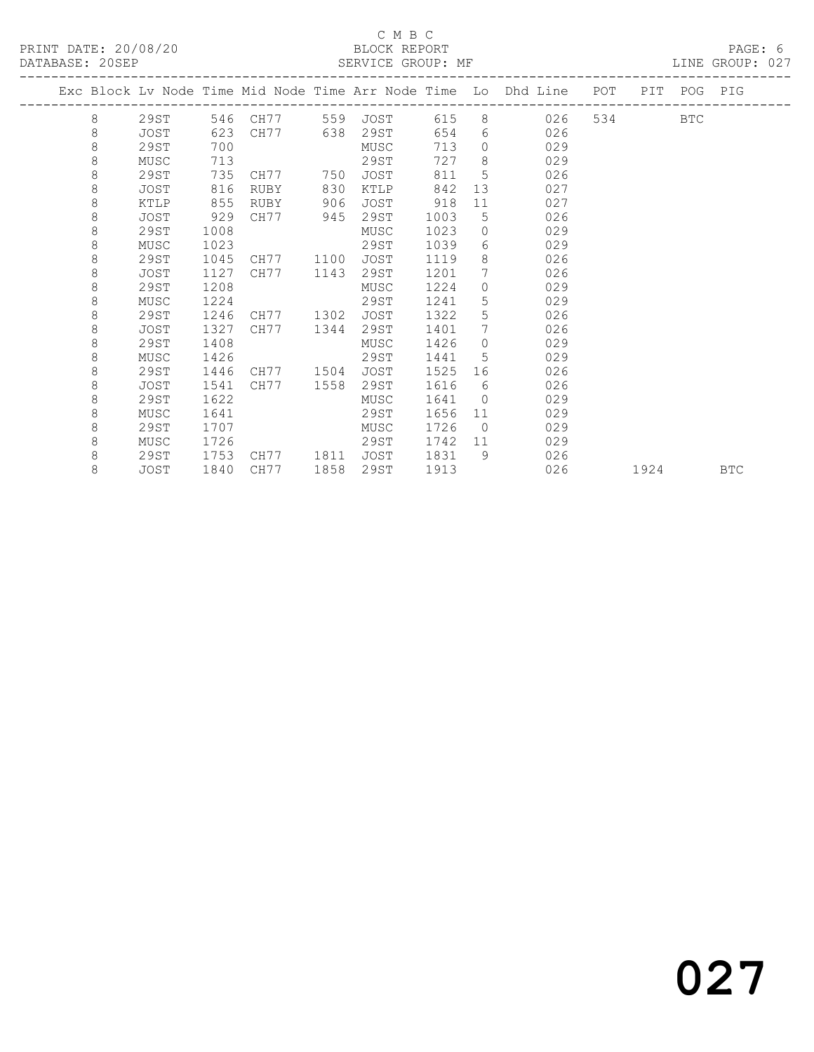## C M B C<br>BLOCK REPORT

LINE GROUP: 027

|  |   |             |      |                   |      |             |      |                  | Exc Block Lv Node Time Mid Node Time Arr Node Time Lo Dhd Line POT |       |      | PIT POG PIG |            |
|--|---|-------------|------|-------------------|------|-------------|------|------------------|--------------------------------------------------------------------|-------|------|-------------|------------|
|  | 8 | 29ST        |      | 546 CH77 559 JOST |      |             | 615  |                  | 8 026                                                              | 534 7 |      | <b>BTC</b>  |            |
|  | 8 | JOST        | 623  | CH77              | 638  | 29ST        | 654  |                  | 026<br>$6 \overline{}$                                             |       |      |             |            |
|  | 8 | 29ST        | 700  |                   |      | MUSC        | 713  | $\Omega$         | 029                                                                |       |      |             |            |
|  | 8 | MUSC        | 713  |                   |      | 29ST        | 727  | 8                | 029                                                                |       |      |             |            |
|  | 8 | 29ST        | 735  | CH77              | 750  | JOST        | 811  | 5                | 026                                                                |       |      |             |            |
|  | 8 | JOST        | 816  | RUBY              | 830  | KTLP        | 842  | 13               | 027                                                                |       |      |             |            |
|  | 8 | KTLP        | 855  | RUBY              | 906  | <b>JOST</b> | 918  | 11               | 027                                                                |       |      |             |            |
|  | 8 | JOST        | 929  | CH77              | 945  | 29ST        | 1003 | 5                | 026                                                                |       |      |             |            |
|  | 8 | 29ST        | 1008 |                   |      | MUSC        | 1023 | $\Omega$         | 029                                                                |       |      |             |            |
|  | 8 | MUSC        | 1023 |                   |      | 29ST        | 1039 | $6 \overline{6}$ | 029                                                                |       |      |             |            |
|  | 8 | 29ST        | 1045 | CH77              | 1100 | <b>JOST</b> | 1119 | 8                | 026                                                                |       |      |             |            |
|  | 8 | <b>JOST</b> | 1127 | CH77              | 1143 | 29ST        | 1201 | $7\phantom{0}$   | 026                                                                |       |      |             |            |
|  | 8 | 29ST        | 1208 |                   |      | MUSC        | 1224 | $\Omega$         | 029                                                                |       |      |             |            |
|  | 8 | MUSC        | 1224 |                   |      | 29ST        | 1241 | 5                | 029                                                                |       |      |             |            |
|  | 8 | 29ST        | 1246 | CH77              | 1302 | <b>JOST</b> | 1322 | 5                | 026                                                                |       |      |             |            |
|  | 8 | JOST        | 1327 | CH77              | 1344 | 29ST        | 1401 | $7\phantom{.0}$  | 026                                                                |       |      |             |            |
|  | 8 | 29ST        | 1408 |                   |      | MUSC        | 1426 | $\Omega$         | 029                                                                |       |      |             |            |
|  | 8 | MUSC        | 1426 |                   |      | 29ST        | 1441 | 5                | 029                                                                |       |      |             |            |
|  | 8 | 29ST        | 1446 | CH77 1504         |      | JOST        | 1525 | 16               | 026                                                                |       |      |             |            |
|  | 8 | JOST        | 1541 | CH77              | 1558 | 29ST        | 1616 | 6                | 026                                                                |       |      |             |            |
|  | 8 | 29ST        | 1622 |                   |      | MUSC        | 1641 | $\circ$          | 029                                                                |       |      |             |            |
|  | 8 | MUSC        | 1641 |                   |      | 29ST        | 1656 | 11               | 029                                                                |       |      |             |            |
|  | 8 | 29ST        | 1707 |                   |      | MUSC        | 1726 | $\overline{0}$   | 029                                                                |       |      |             |            |
|  | 8 | MUSC        | 1726 |                   |      | 29ST        | 1742 | 11               | 029                                                                |       |      |             |            |
|  | 8 | 29ST        | 1753 | CH77              | 1811 | JOST        | 1831 | 9                | 026                                                                |       |      |             |            |
|  | 8 | JOST        | 1840 | CH77              | 1858 | 29ST        | 1913 |                  | 026                                                                |       | 1924 |             | <b>BTC</b> |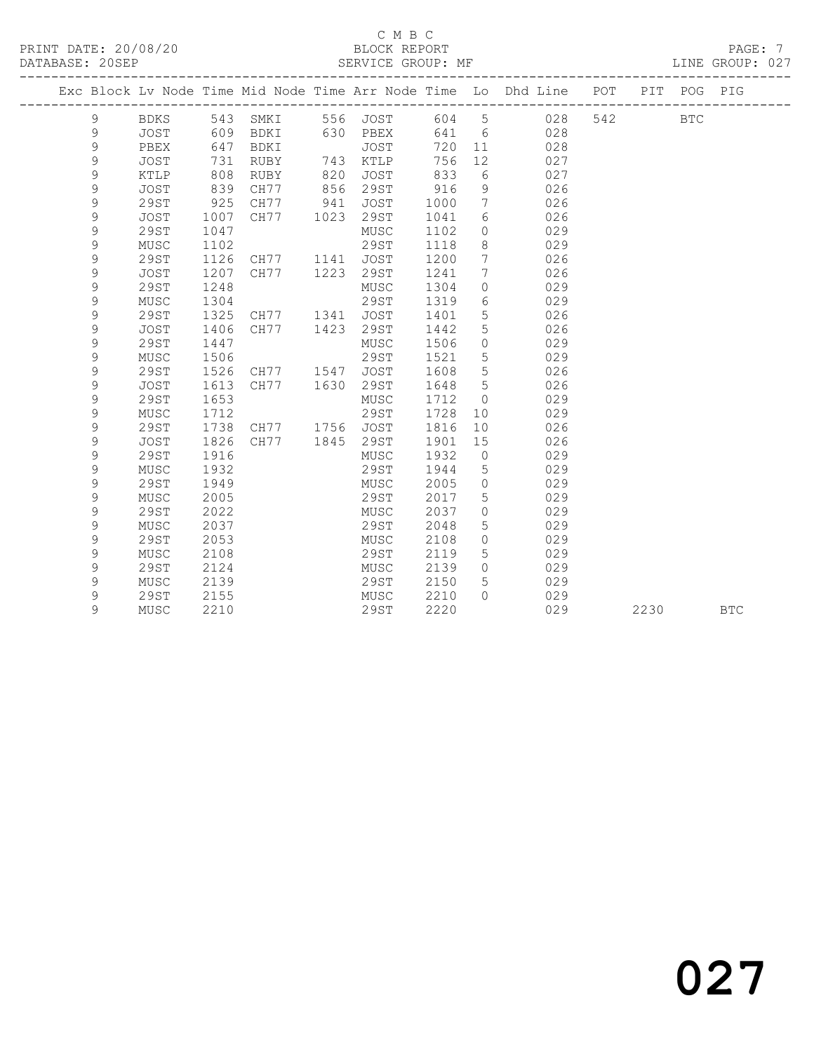### C M B C<br>BLOCK REPORT PRINT DATE: 20/08/20 BLOCK REPORT PAGE: 7

LINE GROUP: 027

|  |             |             |      |      |      |              |       |                 | Exc Block Lv Node Time Mid Node Time Arr Node Time Lo Dhd Line POT |     |      | PIT POG PIG |            |
|--|-------------|-------------|------|------|------|--------------|-------|-----------------|--------------------------------------------------------------------|-----|------|-------------|------------|
|  | 9           | BDKS        | 543  | SMKI |      | 556 JOST     | 604 5 |                 | 028                                                                | 542 |      | <b>BTC</b>  |            |
|  | 9           | <b>JOST</b> | 609  | BDKI | 630  | PBEX         | 641   | 6               | 028                                                                |     |      |             |            |
|  | 9           | PBEX        | 647  | BDKI |      | JOST         | 720   | 11              | 028                                                                |     |      |             |            |
|  | 9           | <b>JOST</b> | 731  | RUBY | 743  | KTLP         | 756   | 12 <sup>°</sup> | 027                                                                |     |      |             |            |
|  | 9           | KTLP        | 808  | RUBY | 820  | JOST         | 833   | 6               | 027                                                                |     |      |             |            |
|  | 9           | <b>JOST</b> | 839  | CH77 | 856  | 29ST         | 916   | 9               | 026                                                                |     |      |             |            |
|  | 9           | 29ST        | 925  | CH77 | 941  | JOST         | 1000  | 7               | 026                                                                |     |      |             |            |
|  | 9           | <b>JOST</b> | 1007 | CH77 | 1023 | 29ST         | 1041  | 6               | 026                                                                |     |      |             |            |
|  | 9           | <b>29ST</b> | 1047 |      |      | ${\tt MUSC}$ | 1102  | $\circ$         | 029                                                                |     |      |             |            |
|  | 9           | MUSC        | 1102 |      |      | 29ST         | 1118  | 8               | 029                                                                |     |      |             |            |
|  | 9           | 29ST        | 1126 | CH77 | 1141 | JOST         | 1200  | 7               | 026                                                                |     |      |             |            |
|  | 9           | <b>JOST</b> | 1207 | CH77 | 1223 | 29ST         | 1241  | 7               | 026                                                                |     |      |             |            |
|  | 9           | 29ST        | 1248 |      |      | MUSC         | 1304  | $\circ$         | 029                                                                |     |      |             |            |
|  | 9           | MUSC        | 1304 |      |      | 29ST         | 1319  | 6               | 029                                                                |     |      |             |            |
|  | 9           | 29ST        | 1325 | CH77 | 1341 | <b>JOST</b>  | 1401  | 5               | 026                                                                |     |      |             |            |
|  | 9           | JOST        | 1406 | CH77 | 1423 | 29ST         | 1442  | 5               | 026                                                                |     |      |             |            |
|  | 9           | 29ST        | 1447 |      |      | MUSC         | 1506  | $\circ$         | 029                                                                |     |      |             |            |
|  | 9           | MUSC        | 1506 |      |      | 29ST         | 1521  | 5               | 029                                                                |     |      |             |            |
|  | 9           | <b>29ST</b> | 1526 | CH77 | 1547 | <b>JOST</b>  | 1608  | 5               | 026                                                                |     |      |             |            |
|  | 9           | <b>JOST</b> | 1613 | CH77 | 1630 | 29ST         | 1648  | 5               | 026                                                                |     |      |             |            |
|  | 9           | <b>29ST</b> | 1653 |      |      | ${\tt MUSC}$ | 1712  | $\circ$         | 029                                                                |     |      |             |            |
|  | 9           | MUSC        | 1712 |      |      | 29ST         | 1728  | 10              | 029                                                                |     |      |             |            |
|  | $\mathsf 9$ | 29ST        | 1738 | CH77 | 1756 | JOST         | 1816  | 10              | 026                                                                |     |      |             |            |
|  | 9           | <b>JOST</b> | 1826 | CH77 | 1845 | 29ST         | 1901  | 15              | 026                                                                |     |      |             |            |
|  | 9           | <b>29ST</b> | 1916 |      |      | MUSC         | 1932  | $\circ$         | 029                                                                |     |      |             |            |
|  | 9           | MUSC        | 1932 |      |      | 29ST         | 1944  | 5               | 029                                                                |     |      |             |            |
|  | 9           | <b>29ST</b> | 1949 |      |      | MUSC         | 2005  | $\circ$         | 029                                                                |     |      |             |            |
|  | 9           | MUSC        | 2005 |      |      | 29ST         | 2017  | 5               | 029                                                                |     |      |             |            |
|  | 9           | 29ST        | 2022 |      |      | MUSC         | 2037  | $\circ$         | 029                                                                |     |      |             |            |
|  | 9           | MUSC        | 2037 |      |      | 29ST         | 2048  | 5               | 029                                                                |     |      |             |            |
|  | 9           | <b>29ST</b> | 2053 |      |      | MUSC         | 2108  | $\circ$         | 029                                                                |     |      |             |            |
|  | 9           | MUSC        | 2108 |      |      | 29ST         | 2119  | 5               | 029                                                                |     |      |             |            |
|  | 9           | <b>29ST</b> | 2124 |      |      | MUSC         | 2139  | $\circ$         | 029                                                                |     |      |             |            |
|  | 9           | MUSC        | 2139 |      |      | 29ST         | 2150  | 5               | 029                                                                |     |      |             |            |
|  | 9           | 29ST        | 2155 |      |      | MUSC         | 2210  | $\bigcap$       | 029                                                                |     |      |             |            |
|  | 9           | MUSC        | 2210 |      |      | 29ST         | 2220  |                 | 029                                                                |     | 2230 |             | <b>BTC</b> |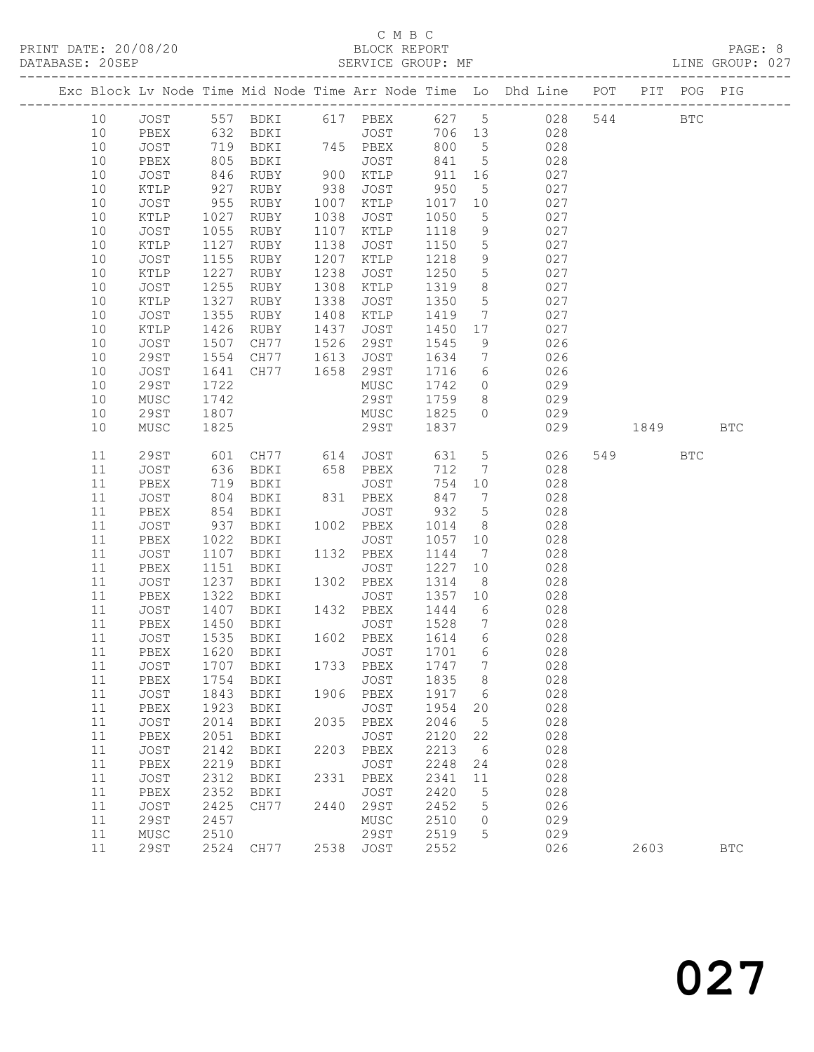## C M B C<br>BLOCK REPORT

LINE GROUP: 027

|  |          |                 |              |                            |              |                   |              |                                   | Exc Block Lv Node Time Mid Node Time Arr Node Time Lo Dhd Line POT |     |      | PIT POG PIG  |                      |
|--|----------|-----------------|--------------|----------------------------|--------------|-------------------|--------------|-----------------------------------|--------------------------------------------------------------------|-----|------|--------------|----------------------|
|  | 10       | JOST            |              |                            |              |                   |              |                                   | 557 BDKI 617 PBEX 627 5 028                                        | 544 |      | $_{\rm BTC}$ |                      |
|  | 10       | PBEX            |              | BDKI                       |              |                   | 706 13       |                                   | 028                                                                |     |      |              |                      |
|  | 10       | JOST            | 632<br>719   | BDKI JOST<br>BDKI 745 PBEX |              | JOST<br>PBEX      | 800          | $5\overline{)}$                   | 028                                                                |     |      |              |                      |
|  | 10       | PBEX            | 805          | BDKI                       |              | JOST              | 841          | $5\overline{)}$                   | 028                                                                |     |      |              |                      |
|  | 10       | JOST            | 846          | RUBY                       |              | 900 KTLP          | 911          | 16                                | 027                                                                |     |      |              |                      |
|  | 10       | $\texttt{KTLP}$ | 927          | RUBY                       | 938          | JOST              | 950          | 5 <sup>5</sup>                    | 027                                                                |     |      |              |                      |
|  | 10       | JOST            | 955          | RUBY                       | 1007         | KTLP              | 1017         | 10                                | 027                                                                |     |      |              |                      |
|  | 10       | KTLP            | 1027         | RUBY                       | 1038         | JOST              | 1050         | $5\overline{)}$                   | 027                                                                |     |      |              |                      |
|  | 10       | JOST            | 1055         | RUBY                       | 1107         | KTLP              | 1118         | 9                                 | 027                                                                |     |      |              |                      |
|  | 10       | KTLP            | 1127         | RUBY                       | 1138         | JOST              | 1150         | $5\overline{)}$                   | 027                                                                |     |      |              |                      |
|  | 10       | JOST            | 1155         | RUBY                       | 1207         | KTLP              | 1218         | 9                                 | 027                                                                |     |      |              |                      |
|  | 10       | KTLP            | 1227         | RUBY                       | 1238         | JOST              | 1250         | $5\overline{)}$                   | 027                                                                |     |      |              |                      |
|  | 10       | JOST            | 1255         | RUBY                       | 1308         | KTLP              | 1319         | 8                                 | 027                                                                |     |      |              |                      |
|  | 10       | KTLP            | 1327         | RUBY                       | 1338         | JOST              | 1350         | $5\phantom{.0}$                   | 027                                                                |     |      |              |                      |
|  | 10       | JOST            | 1355         | RUBY                       | 1408         | KTLP              | 1419         | $7\overline{ }$                   | 027                                                                |     |      |              |                      |
|  | 10       | KTLP            | 1426         | RUBY                       | 1437         | JOST              | 1450         | 17                                | 027                                                                |     |      |              |                      |
|  | 10<br>10 | JOST            | 1507         | CH77<br>CH77               | 1526<br>1613 | 29ST              | 1545<br>1634 | 9                                 | 026                                                                |     |      |              |                      |
|  | 10       | 29ST<br>JOST    | 1554<br>1641 | CH77                       | 1658         | JOST<br>29ST      | 1716         | $\overline{7}$<br>$6\overline{6}$ | 026<br>026                                                         |     |      |              |                      |
|  | 10       | 29ST            | 1722         |                            |              | MUSC              | 1742         | $\overline{0}$                    | 029                                                                |     |      |              |                      |
|  | 10       | MUSC            | 1742         |                            |              | 29ST              | 1759         | 8 <sup>8</sup>                    | 029                                                                |     |      |              |                      |
|  | 10       | <b>29ST</b>     | 1807         |                            |              | MUSC              | 1825         | $\Omega$                          | 029                                                                |     |      |              |                      |
|  | 10       | ${\tt MUSC}$    | 1825         |                            |              | 29ST              | 1837         |                                   | 029                                                                |     | 1849 |              | <b>BTC</b>           |
|  |          |                 |              |                            |              |                   |              |                                   |                                                                    |     |      |              |                      |
|  | 11       | 29ST            | 601          | CH77 614                   |              | JOST              | 631          | $5\overline{)}$                   | 026                                                                |     | 549  | <b>BTC</b>   |                      |
|  | 11       | JOST            | 636          | BDKI                       |              | 658 PBEX          | 712          | $\overline{7}$                    | 028                                                                |     |      |              |                      |
|  | 11       | PBEX            | 719          | BDKI                       |              | JOST              | 754          | 10                                | 028                                                                |     |      |              |                      |
|  | 11       | JOST            | 804          | BDKI                       |              | 831 PBEX          | 847          | $\overline{7}$                    | 028                                                                |     |      |              |                      |
|  | 11       | PBEX            | 854          | BDKI                       |              | JOST              | 932          | $5^{\circ}$                       | 028                                                                |     |      |              |                      |
|  | 11       | JOST            | 937          | BDKI                       |              | 1002 PBEX         | 1014         | 8 <sup>8</sup>                    | 028                                                                |     |      |              |                      |
|  | 11       | PBEX            | 1022         | BDKI                       |              | JOST              | 1057         | 10                                | 028                                                                |     |      |              |                      |
|  | 11       | JOST            | 1107         | BDKI                       |              | 1132 PBEX         | 1144         | $7\phantom{.0}\phantom{.0}7$      | 028                                                                |     |      |              |                      |
|  | 11       | PBEX            | 1151         | BDKI                       |              | JOST              | 1227         | 10                                | 028                                                                |     |      |              |                      |
|  | 11       | JOST            | 1237         | BDKI                       |              | 1302 PBEX         | 1314         | 8 <sup>8</sup>                    | 028                                                                |     |      |              |                      |
|  | 11<br>11 | PBEX<br>JOST    | 1322<br>1407 | BDKI<br>BDKI               |              | JOST<br>1432 PBEX | 1357<br>1444 | 10<br>6                           | 028<br>028                                                         |     |      |              |                      |
|  | 11       | PBEX            | 1450         | BDKI                       |              | JOST              | 1528         | $\overline{7}$                    | 028                                                                |     |      |              |                      |
|  | 11       | JOST            | 1535         | BDKI                       |              | 1602 PBEX         | 1614         | $6\overline{6}$                   | 028                                                                |     |      |              |                      |
|  | 11       | PBEX            | 1620         | BDKI                       |              | JOST              | 1701         | $6\overline{6}$                   | 028                                                                |     |      |              |                      |
|  |          |                 |              | 11 JOST 1707 BDKI          |              | 1733 PBEX 1747 7  |              |                                   | 028                                                                |     |      |              |                      |
|  | 11       | PBEX            | 1754         | <b>BDKI</b>                |              | JOST              | 1835         | 8                                 | 028                                                                |     |      |              |                      |
|  | 11       | JOST            | 1843         | BDKI                       | 1906         | PBEX              | 1917         | 6                                 | 028                                                                |     |      |              |                      |
|  | 11       | PBEX            | 1923         | BDKI                       |              | <b>JOST</b>       | 1954         | 20                                | 028                                                                |     |      |              |                      |
|  | 11       | JOST            | 2014         | BDKI                       | 2035         | PBEX              | 2046         | $5\phantom{.0}$                   | 028                                                                |     |      |              |                      |
|  | 11       | ${\tt PBEX}$    | 2051         | BDKI                       |              | JOST              | 2120         | 22                                | 028                                                                |     |      |              |                      |
|  | 11       | JOST            | 2142         | BDKI                       | 2203         | PBEX              | 2213         | - 6                               | 028                                                                |     |      |              |                      |
|  | 11       | PBEX            | 2219         | BDKI                       |              | JOST              | 2248         | 24                                | 028                                                                |     |      |              |                      |
|  | 11       | JOST            | 2312         | BDKI                       | 2331         | PBEX              | 2341         | 11                                | 028                                                                |     |      |              |                      |
|  | 11       | PBEX            | 2352         | BDKI                       |              | JOST              | 2420         | 5                                 | 028                                                                |     |      |              |                      |
|  | 11       | JOST            | 2425         | CH77                       | 2440         | 29ST              | 2452         | 5                                 | 026                                                                |     |      |              |                      |
|  | 11       | 29ST            | 2457         |                            |              | ${\tt MUSC}$      | 2510         | 0                                 | 029                                                                |     |      |              |                      |
|  | 11       | MUSC            | 2510         |                            |              | <b>29ST</b>       | 2519         | 5                                 | 029                                                                |     |      |              |                      |
|  | 11       | <b>29ST</b>     | 2524         | CH77                       | 2538         | JOST              | 2552         |                                   | 026                                                                |     | 2603 |              | $\operatorname{BTC}$ |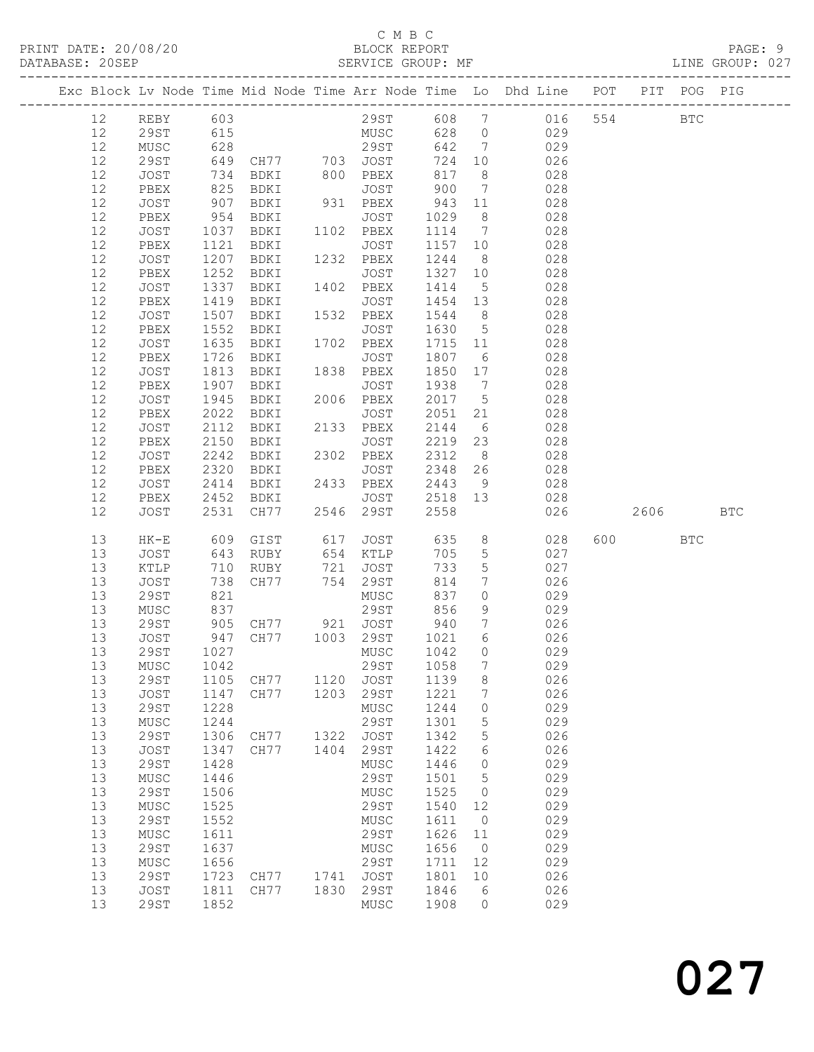## C M B C

| DATABASE: 20SEP |    |                      |                    |                     |                   | SERVICE GROUP: MF              |                   |                 |                                                                                |         |            | LINE GROUP: 027 |
|-----------------|----|----------------------|--------------------|---------------------|-------------------|--------------------------------|-------------------|-----------------|--------------------------------------------------------------------------------|---------|------------|-----------------|
|                 |    | -------------------- |                    |                     |                   |                                |                   |                 | Exc Block Lv Node Time Mid Node Time Arr Node Time Lo Dhd Line POT PIT POG PIG |         |            |                 |
|                 | 12 | REBY 603             |                    |                     |                   |                                |                   |                 | 29ST 608 7 016 554 BTC                                                         |         |            |                 |
|                 | 12 | 29ST                 | 615                |                     |                   |                                |                   |                 | MUSC 628 0 029                                                                 |         |            |                 |
|                 | 12 | MUSC                 |                    |                     |                   |                                |                   |                 |                                                                                |         |            |                 |
|                 | 12 | 29ST                 |                    |                     |                   |                                |                   |                 |                                                                                |         |            |                 |
|                 | 12 | JOST                 |                    |                     |                   |                                |                   |                 | 8 <sup>1</sup>                                                                 |         |            |                 |
|                 | 12 | PBEX                 | 825                | BDKI                |                   | JOST 900                       |                   |                 | 7 028                                                                          |         |            |                 |
|                 | 12 | JOST                 |                    | BDKI                |                   | 931 PBEX                       | 943               | 11              | 028                                                                            |         |            |                 |
|                 | 12 | PBEX                 | 907<br>954<br>1037 | BDKI                |                   | JOST                           | 1029              | 8 <sup>8</sup>  | 028                                                                            |         |            |                 |
|                 | 12 |                      |                    |                     |                   |                                |                   | $7\overline{ }$ | 028                                                                            |         |            |                 |
|                 |    | JOST                 | 1121               |                     |                   |                                | 1114              |                 | 028                                                                            |         |            |                 |
|                 | 12 | PBEX                 |                    | BDKI                |                   | JOST                           | 1157 10           |                 |                                                                                |         |            |                 |
|                 | 12 | JOST                 | 1207               | BDKI                |                   | 1232 PBEX                      | 1244              | 8 <sup>8</sup>  | 028                                                                            |         |            |                 |
|                 | 12 | PBEX                 | 1252               | BDKI                |                   | JOST                           | 1327 10<br>1414 5 |                 | 028                                                                            |         |            |                 |
|                 | 12 | JOST                 | $\frac{1}{1}$ 337  | BDKI                |                   | 1402 PBEX                      |                   |                 | 028                                                                            |         |            |                 |
|                 | 12 | PBEX                 | 1419               | BDKI                |                   | JOST                           |                   |                 | 1454 13 028                                                                    |         |            |                 |
|                 | 12 | JOST                 | 1507               | BDKI                |                   | 1532 PBEX                      | 1544              | 8 <sup>8</sup>  | 028                                                                            |         |            |                 |
|                 | 12 | PBEX                 | 1552<br>1635       | BDKI                |                   | JOST                           | 1630 5            |                 | 028                                                                            |         |            |                 |
|                 | 12 | JOST                 |                    | <b>BDKI</b>         |                   | 1702 PBEX                      | 1715 11           |                 | 028                                                                            |         |            |                 |
|                 | 12 | PBEX                 | 1726               | BDKI                |                   | JOST                           | 1807 6            |                 | 028                                                                            |         |            |                 |
|                 | 12 | JOST                 | 1813               | BDKI                |                   | 1838 PBEX                      | 1850 17           |                 | 028                                                                            |         |            |                 |
|                 | 12 | PBEX                 |                    | BDKI                |                   | JOST                           | 1938              | $\overline{7}$  | 028                                                                            |         |            |                 |
|                 | 12 | JOST                 | 1907<br>1945       | BDKI                |                   | 2006 PBEX                      | 2017 5            |                 | 028                                                                            |         |            |                 |
|                 | 12 | PBEX                 | 2022               | BDKI                |                   | JOST                           | 2051              | 21              | 028                                                                            |         |            |                 |
|                 | 12 | JOST                 | 2112               | BDKI                |                   | 2133 PBEX                      | 2144              |                 | 6 028                                                                          |         |            |                 |
|                 | 12 | PBEX                 | 2150               | BDKI                | $\frac{133}{225}$ | JOST                           | 2219              | 23              | 028                                                                            |         |            |                 |
|                 | 12 | JOST                 | 2242               | BDKI                |                   | 2302 PBEX                      | 2312 8            |                 | 028                                                                            |         |            |                 |
|                 | 12 | PBEX                 | 2320               | BDKI                |                   | <b>JOST</b>                    |                   |                 | 2348 26 028                                                                    |         |            |                 |
|                 | 12 | JOST                 | 2414               |                     |                   | BDKI 2433 PBEX                 | 2443              |                 | 9 028                                                                          |         |            |                 |
|                 | 12 | PBEX                 | 2452               | BDKI                |                   | JOST                           |                   |                 | 2518 13 028                                                                    |         |            |                 |
|                 | 12 | JOST                 | 2531               |                     |                   | CH77 2546 29ST                 | 2558              |                 | 026                                                                            | 2606 7  |            | BTC             |
|                 | 13 | HK-E                 | 609                | GIST                |                   | 617 JOST                       | 635               |                 | $8 \overline{)}$<br>028                                                        | 600 000 | <b>BTC</b> |                 |
|                 | 13 | JOST                 |                    | RUBY                |                   | 654 KTLP                       | 705               | $5\overline{)}$ | 027                                                                            |         |            |                 |
|                 | 13 | KTLP                 | 643<br>710<br>738  |                     |                   |                                | 733               | $5\overline{)}$ | 027                                                                            |         |            |                 |
|                 | 13 | JOST                 | 738                |                     |                   | RUBY 721 JOST<br>CH77 754 29ST | 814               | $7\overline{ }$ | 026                                                                            |         |            |                 |
|                 | 13 | 29ST                 | 821                |                     |                   | MUSC                           | 837               | $\overline{0}$  | 029                                                                            |         |            |                 |
|                 | 13 | MUSC                 |                    |                     |                   |                                |                   | 9               | 029                                                                            |         |            |                 |
|                 |    |                      |                    |                     |                   | 29ST 856                       |                   |                 |                                                                                |         |            |                 |
|                 | 13 | 29ST                 |                    |                     |                   |                                | 940 7<br>1021 6   |                 | 026<br>026                                                                     |         |            |                 |
|                 | 13 | JOST                 |                    |                     |                   |                                |                   |                 |                                                                                |         |            |                 |
|                 | 13 |                      |                    |                     |                   |                                |                   |                 | 29ST 1027 MUSC 1042 0 029                                                      |         |            |                 |
|                 | 13 | MUSC                 | 1042               |                     |                   | 29ST                           | 1058              | $7\phantom{.0}$ | 029                                                                            |         |            |                 |
|                 | 13 | 29ST                 | 1105               | CH77                | 1120              | JOST                           | 1139              | 8               | 026                                                                            |         |            |                 |
|                 | 13 | JOST                 | 1147               | CH77                | 1203              | 29ST                           | 1221              | $7\phantom{.0}$ | 026                                                                            |         |            |                 |
|                 | 13 | 29ST                 | 1228               |                     |                   | MUSC                           | 1244              | $\circ$         | 029                                                                            |         |            |                 |
|                 | 13 | MUSC                 | 1244               |                     |                   | 29ST                           | 1301              | 5               | 029                                                                            |         |            |                 |
|                 | 13 | 29ST                 | 1306               | CH77                | 1322              | JOST                           | 1342              | $5\phantom{.0}$ | 026                                                                            |         |            |                 |
|                 | 13 | JOST                 | 1347               | CH77                | 1404              | 29ST                           | 1422              | 6               | 026                                                                            |         |            |                 |
|                 | 13 | 29ST                 | 1428               |                     |                   | MUSC                           | 1446              | $\overline{0}$  | 029                                                                            |         |            |                 |
|                 | 13 | MUSC                 | 1446               |                     |                   | 29ST                           | 1501              | $5^{\circ}$     | 029                                                                            |         |            |                 |
|                 | 13 | 29ST                 | 1506               |                     |                   | MUSC                           | 1525              | $\overline{0}$  | 029                                                                            |         |            |                 |
|                 | 13 | MUSC                 | 1525               |                     |                   | 29ST                           | 1540              | 12              | 029                                                                            |         |            |                 |
|                 | 13 | <b>29ST</b>          | 1552               |                     |                   | MUSC                           | 1611              | $\overline{0}$  | 029                                                                            |         |            |                 |
|                 | 13 | MUSC                 | 1611               |                     |                   | 29ST                           | 1626              | 11              | 029                                                                            |         |            |                 |
|                 | 13 | 29ST                 | 1637               |                     |                   | MUSC                           | 1656              | $\overline{0}$  | 029                                                                            |         |            |                 |
|                 | 13 | MUSC                 | 1656               |                     |                   | 29ST                           | 1711              | 12              | 029                                                                            |         |            |                 |
|                 | 13 | 29ST                 |                    | 1723 CH77 1741 JOST |                   |                                | 1801              | 10              | 026                                                                            |         |            |                 |
|                 | 13 | JOST                 | 1811               | CH77                |                   | 1830 29ST                      | 1846              | $6\overline{6}$ | 026                                                                            |         |            |                 |
|                 | 13 | 29ST                 | 1852               |                     |                   | MUSC                           | 1908              | $\circ$         | 029                                                                            |         |            |                 |
|                 |    |                      |                    |                     |                   |                                |                   |                 |                                                                                |         |            |                 |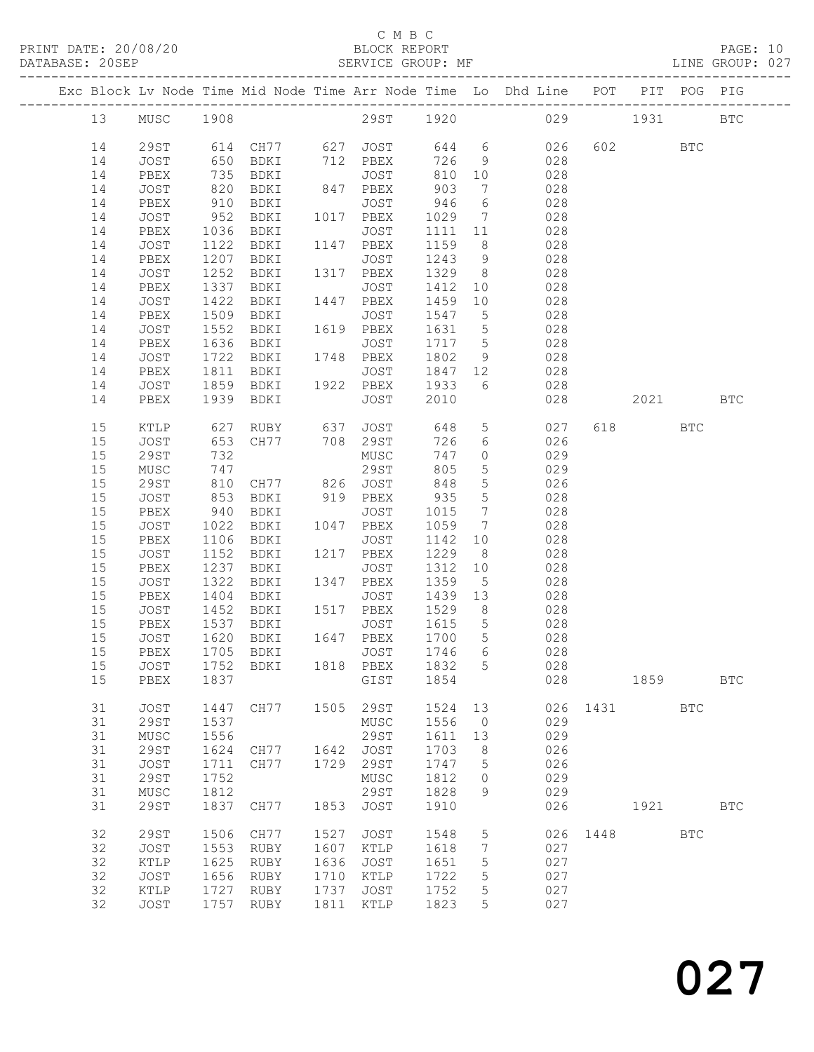## C M B C<br>BLOCK REPORT

| DATABASE: 20SEP |    | ---------------------------- |              | SERVICE GROUP: MF                           |      |                 |            |                 |                                                                                |      |          |                                                                                                            | LINE GROUP: 027 |
|-----------------|----|------------------------------|--------------|---------------------------------------------|------|-----------------|------------|-----------------|--------------------------------------------------------------------------------|------|----------|------------------------------------------------------------------------------------------------------------|-----------------|
|                 |    |                              |              |                                             |      |                 |            |                 | Exc Block Lv Node Time Mid Node Time Arr Node Time Lo Dhd Line POT PIT POG PIG |      |          |                                                                                                            |                 |
|                 | 13 |                              |              |                                             |      |                 |            |                 | MUSC 1908 29ST 1920 029                                                        |      | 1931     |                                                                                                            | $_{\rm BTC}$    |
|                 | 14 |                              |              | 29ST 614 CH77 627 JOST 644 6                |      |                 |            |                 | 026                                                                            |      | 602 BTC  |                                                                                                            |                 |
|                 | 14 | JOST                         | 650          | BDKI 712 PBEX                               |      |                 | 726        |                 | 9<br>028                                                                       |      |          |                                                                                                            |                 |
|                 | 14 | PBEX                         | 735          | BDKI                                        |      | JOST            | 810 10     |                 | 028                                                                            |      |          |                                                                                                            |                 |
|                 | 14 | JOST                         |              | BDKI                                        |      | 847 PBEX        | 903        | 7               | 028                                                                            |      |          |                                                                                                            |                 |
|                 | 14 | PBEX                         | 820<br>910   | BDKI                                        |      | JOST            | 946        | $6\overline{6}$ | 028                                                                            |      |          |                                                                                                            |                 |
|                 | 14 | JOST                         | 952          | BDKI                                        |      | 1017 PBEX       | 1029       | $\overline{7}$  | 028                                                                            |      |          |                                                                                                            |                 |
|                 | 14 | PBEX                         | 1036         | BDKI                                        |      | JOST            | 1111 11    |                 | 028                                                                            |      |          |                                                                                                            |                 |
|                 | 14 | JOST                         | 1122         | BDKI                                        |      | 1147 PBEX       | 1159       | 8 <sup>8</sup>  | 028                                                                            |      |          |                                                                                                            |                 |
|                 | 14 | PBEX                         | 1207         | BDKI                                        |      | JOST            | 1243       | 9               | 028                                                                            |      |          |                                                                                                            |                 |
|                 | 14 | JOST                         | 1252         | BDKI                                        |      | 1317 PBEX       | 1329 8     |                 | 028                                                                            |      |          |                                                                                                            |                 |
|                 | 14 | PBEX                         | 1337         | BDKI                                        |      | JOST            | 1412       |                 | 10 0<br>028                                                                    |      |          |                                                                                                            |                 |
|                 | 14 | JOST                         | 1422         | BDKI                                        |      | 1447 PBEX       | 1459       | 10              | 028                                                                            |      |          |                                                                                                            |                 |
|                 | 14 | PBEX                         | 1509         | BDKI                                        |      | JOST            | 1547       | $5\overline{)}$ | 028                                                                            |      |          |                                                                                                            |                 |
|                 | 14 | JOST                         | 1552         | BDKI                                        |      | 1619 PBEX       | 1631       | $5\overline{)}$ | 028                                                                            |      |          |                                                                                                            |                 |
|                 | 14 | PBEX                         | 1636         | BDKI                                        |      | JOST            | 1717 5     |                 | 028                                                                            |      |          |                                                                                                            |                 |
|                 | 14 | JOST                         | 1722         | BDKI                                        |      | 1748 PBEX       | 1802       |                 | 9 028                                                                          |      |          |                                                                                                            |                 |
|                 | 14 | PBEX                         |              |                                             |      |                 | 1847 12    |                 | 028                                                                            |      |          |                                                                                                            |                 |
|                 | 14 | JOST                         |              |                                             |      |                 | 1933       | $6\overline{6}$ | 028                                                                            |      |          |                                                                                                            |                 |
|                 | 14 | PBEX                         | 1939         | BDKI                                        |      | JOST            | 2010       |                 | 028                                                                            |      |          | 2021 2022                                                                                                  | <b>BTC</b>      |
|                 |    |                              |              |                                             |      |                 |            |                 |                                                                                |      |          |                                                                                                            |                 |
|                 | 15 | KTLP                         | 627          |                                             |      |                 | 648        |                 | 5 027                                                                          |      | 618 — 18 | <b>BTC</b>                                                                                                 |                 |
|                 | 15 | JOST                         | 653          | RUBY   637 JOST<br>CH77   708 29ST          |      |                 | 726        | 6               | 026                                                                            |      |          |                                                                                                            |                 |
|                 | 15 | 29ST                         | 732          |                                             |      | MUSC            | 747        | $\overline{0}$  | 029                                                                            |      |          |                                                                                                            |                 |
|                 | 15 | MUSC                         | 747          |                                             |      | 29ST            | 805        | $5\overline{)}$ | 029                                                                            |      |          |                                                                                                            |                 |
|                 | 15 | 29ST                         |              |                                             |      |                 | 848        | $5\overline{)}$ | 026                                                                            |      |          |                                                                                                            |                 |
|                 | 15 | JOST                         | 810<br>853   | CH77 826 JOST<br>BDKI 919 PBEX<br>BDKI TOST |      |                 | 848<br>935 | $5\overline{)}$ | 028                                                                            |      |          |                                                                                                            |                 |
|                 | 15 | PBEX                         | 940          | BDKI                                        |      | JOST            | 1015       | $7\overline{ }$ | 028                                                                            |      |          |                                                                                                            |                 |
|                 | 15 | JOST                         | 1022         | BDKI                                        |      | 1047 PBEX       | 1059       | $\overline{7}$  | 028                                                                            |      |          |                                                                                                            |                 |
|                 | 15 | PBEX                         | 1106         | BDKI                                        |      | JOST            | 1142       | 10              | 028                                                                            |      |          |                                                                                                            |                 |
|                 | 15 | JOST                         | 1152         | BDKI                                        |      | 1217 PBEX       | 1229       | 8 <sup>8</sup>  | 028                                                                            |      |          |                                                                                                            |                 |
|                 | 15 | PBEX                         | 1237         | BDKI                                        |      | JOST            | 1312       | 10              | 028                                                                            |      |          |                                                                                                            |                 |
|                 | 15 | JOST                         | 1322         | BDKI                                        |      | 1347 PBEX       | 1359       | 5 <sup>5</sup>  | 028                                                                            |      |          |                                                                                                            |                 |
|                 | 15 | PBEX                         | 1404         | BDKI                                        |      | JOST            | 1439       | 13              | 028                                                                            |      |          |                                                                                                            |                 |
|                 | 15 | JOST                         |              | BDKI 1517 PBEX                              |      |                 | 1529       | 8 <sup>8</sup>  | 028                                                                            |      |          |                                                                                                            |                 |
|                 | 15 | PBEX                         | 1452<br>1537 | BDKI                                        |      | $JOST$ $1615$ 5 |            |                 | 028                                                                            |      |          |                                                                                                            |                 |
|                 | 15 | JOST                         |              | 1620 BDKI                                   |      | 1647 PBEX       | 1700 5     |                 | 028                                                                            |      |          |                                                                                                            |                 |
|                 | 15 | PBEX                         | 1705         | BDKI                                        |      | JOST            | 1746 6     |                 | 028                                                                            |      |          |                                                                                                            |                 |
|                 | 15 | JOST                         | 1752         | BDKI                                        |      | 1818 PBEX       | 1832       | 5               | 028                                                                            |      |          |                                                                                                            |                 |
|                 | 15 | PBEX                         | 1837         |                                             |      | GIST            | 1854       |                 | 028                                                                            |      |          | 1859   1860   1860   1860   1860   1860   1860   1860   1860   1860   1860   1860   1860   1860   1860   1 | <b>BTC</b>      |
|                 |    |                              |              |                                             |      |                 |            |                 |                                                                                |      |          |                                                                                                            |                 |
|                 | 31 | JOST                         | 1447         | CH77                                        | 1505 | 29ST            | 1524       | 13              | 026                                                                            | 1431 |          | <b>BTC</b>                                                                                                 |                 |
|                 | 31 | <b>29ST</b>                  | 1537         |                                             |      | MUSC            | 1556       | $\overline{0}$  | 029                                                                            |      |          |                                                                                                            |                 |
|                 | 31 | ${\tt MUSC}$                 | 1556         |                                             |      | 29ST            | 1611       | 13              | 029                                                                            |      |          |                                                                                                            |                 |
|                 | 31 | <b>29ST</b>                  | 1624         | CH77                                        | 1642 | JOST            | 1703       | 8               | 026                                                                            |      |          |                                                                                                            |                 |
|                 | 31 | JOST                         | 1711         | CH77                                        | 1729 | 29ST            | 1747       | 5               | 026                                                                            |      |          |                                                                                                            |                 |
|                 | 31 | 29ST                         | 1752         |                                             |      | MUSC            | 1812       | 0               | 029                                                                            |      |          |                                                                                                            |                 |
|                 | 31 | MUSC                         | 1812         |                                             |      | 29ST            | 1828       | 9               | 029                                                                            |      |          |                                                                                                            |                 |
|                 | 31 | 29ST                         | 1837         | CH77                                        | 1853 | JOST            | 1910       |                 | 026                                                                            |      |          | 1921 / 1921                                                                                                | <b>BTC</b>      |
|                 |    |                              |              |                                             |      |                 |            |                 |                                                                                |      |          |                                                                                                            |                 |
|                 | 32 | <b>29ST</b>                  | 1506         | CH77                                        | 1527 | JOST            | 1548       | 5               | 026                                                                            | 1448 |          | BTC                                                                                                        |                 |
|                 | 32 | JOST                         | 1553         | RUBY                                        | 1607 | $\verb KTLP $   | 1618       | 7               | 027                                                                            |      |          |                                                                                                            |                 |
|                 | 32 | KTLP                         |              | 1625 RUBY                                   | 1636 | JOST            | 1651       | 5               | 027                                                                            |      |          |                                                                                                            |                 |

 32 JOST 1656 RUBY 1710 KTLP 1722 5 027 32 KTLP 1727 RUBY 1737 JOST 1752 5 027 32 JOST 1757 RUBY 1811 KTLP 1823 5 027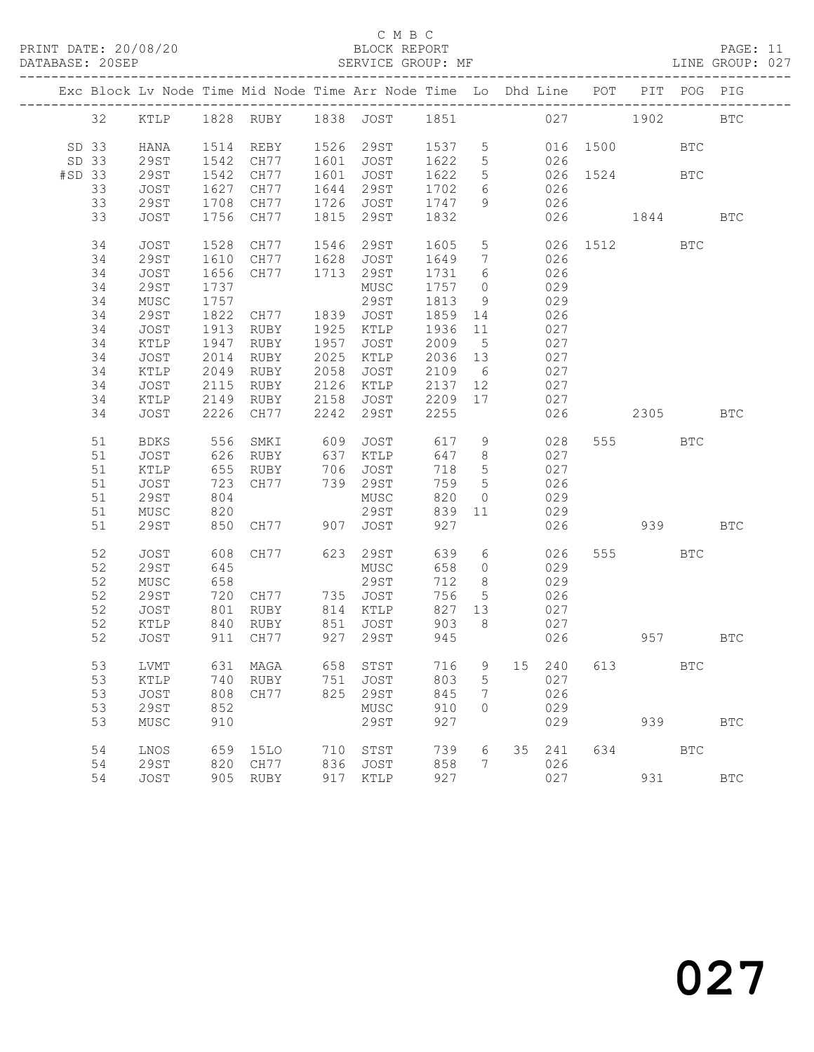PRINT DATE: 20/08/20 BLOCK REPORT DATABASE: 20SEP

## C M B C<br>BLOCK REPORT

PAGE: 11<br>LINE GROUP: 027

|        |                |              |      | Exc Block Lv Node Time Mid Node Time Arr Node Time Lo Dhd Line POT PIT POG PIG |      |                               |              |                 |                |     |     |                  |              |            |
|--------|----------------|--------------|------|--------------------------------------------------------------------------------|------|-------------------------------|--------------|-----------------|----------------|-----|-----|------------------|--------------|------------|
|        | 32             |              |      | KTLP 1828 RUBY 1838 JOST 1851 027 1902                                         |      |                               |              |                 |                |     |     |                  |              | <b>BTC</b> |
|        | SD 33<br>SD 33 | HANA<br>29ST | 1542 | 1514 REBY 1526 29ST 1537 5<br>CH77                                             | 1601 | JOST                          | 1622         | $5\overline{)}$ |                | 026 |     | 016 1500         | $_{\rm BTC}$ |            |
| #SD 33 |                | 29ST         |      | 1542 CH77                                                                      | 1601 | JOST                          | 1622         | $5\overline{)}$ |                |     |     | 026 1524<br>026  | <b>BTC</b>   |            |
|        | 33             | JOST         |      | 1627 CH77                                                                      |      | 1644 29ST                     | 1702         | 6               |                |     |     |                  |              |            |
|        | 33<br>33       | 29ST<br>JOST | 1708 | 1756 CH77                                                                      |      | CH77 1726 JOST<br>1815 29ST   | 1747<br>1832 | 9               | 026            |     |     | 026 1844         |              | <b>BTC</b> |
|        |                |              |      |                                                                                |      |                               |              |                 |                |     |     |                  |              |            |
|        | 34             | JOST         |      | 1528 CH77 1546 29ST                                                            |      |                               | 1605         |                 | 5 <sub>1</sub> |     |     | 026 1512 BTC     |              |            |
|        | 34             | 29ST         | 1610 |                                                                                |      | CH77 1628 JOST                | 1649         | $\overline{7}$  |                | 026 |     |                  |              |            |
|        | 34             | JOST         | 1656 | CH77                                                                           |      | 1713 29ST                     | 1731         | 6               |                | 026 |     |                  |              |            |
|        | 34             | <b>29ST</b>  | 1737 |                                                                                |      | MUSC                          | 1757         | $\overline{0}$  |                | 029 |     |                  |              |            |
|        | 34             | MUSC         | 1757 |                                                                                |      | 29ST                          | 1813         | 9               |                | 029 |     |                  |              |            |
|        | 34             | 29ST         | 1822 | CH77 1839 JOST                                                                 |      |                               | 1859 14      |                 |                | 026 |     |                  |              |            |
|        | 34             | JOST         |      | 1913 RUBY                                                                      |      | 1925 KTLP                     | 1936         | 11              |                | 027 |     |                  |              |            |
|        | 34             | KTLP         | 1947 | RUBY                                                                           | 1957 | JOST<br>$2025$ KTLP $2036$ 13 | 2009 5       |                 |                | 027 |     |                  |              |            |
|        | 34             | JOST         | 2014 | RUBY                                                                           |      |                               |              |                 |                | 027 |     |                  |              |            |
|        | 34             | KTLP         | 2049 | RUBY                                                                           | 2058 | JOST                          | 2109         | 6               | 027            |     |     |                  |              |            |
|        | 34             | JOST         | 2115 | RUBY                                                                           |      | 2126 KTLP                     | 2137 12      |                 | 027            |     |     |                  |              |            |
|        | 34             | KTLP         | 2149 | RUBY                                                                           | 2158 | JOST                          | 2209 17      |                 |                | 027 |     |                  |              |            |
|        | 34             | JOST         |      | 2226 CH77                                                                      |      | 2242 29ST                     | 2255         |                 |                | 026 |     | 2305             |              | <b>BTC</b> |
|        | 51             | BDKS         | 556  | SMKI                                                                           | 609  | JOST                          | 617          | 9               |                | 028 |     | 555 75           | $_{\rm BTC}$ |            |
|        | 51             | JOST         |      | 626 RUBY<br>655 RUBY                                                           |      | 637 KTLP                      | 647          | 8 <sup>8</sup>  |                | 027 |     |                  |              |            |
|        | 51             | KTLP         |      |                                                                                |      | 706 JOST<br>739 29ST          | 718          | $5\overline{)}$ |                | 027 |     |                  |              |            |
|        | 51             | JOST         | 723  | CH77                                                                           |      |                               | 759          | $5\overline{)}$ |                | 026 |     |                  |              |            |
|        | 51             | 29ST         | 804  |                                                                                |      | MUSC                          | 820          | $\overline{0}$  |                | 029 |     |                  |              |            |
|        | 51             | MUSC         | 820  |                                                                                |      | 29ST                          | 839          | 11              |                | 029 |     |                  |              |            |
|        | 51             | 29ST         |      | 850 CH77 907 JOST                                                              |      |                               | 927          |                 |                | 026 |     | 939 — 10         |              | <b>BTC</b> |
|        | 52             | JOST         | 608  | CH77                                                                           |      | 623 29ST                      | 639          | 6               |                | 026 |     | 555 75           | <b>BTC</b>   |            |
|        | 52             | 29ST         | 645  |                                                                                |      | MUSC                          | 658          | $\overline{0}$  |                | 029 |     |                  |              |            |
|        | 52             | MUSC         | 658  |                                                                                |      | 29ST                          | 712          | 8 <sup>8</sup>  |                | 029 |     |                  |              |            |
|        | 52             | 29ST         |      | 720 CH77 735 JOST                                                              |      |                               | 756          | $5\overline{)}$ |                | 026 |     |                  |              |            |
|        | 52             | JOST         | 801  | RUBY                                                                           |      | 814 KTLP                      | 827 13       |                 |                | 027 |     |                  |              |            |
|        | 52             | KTLP         | 840  | RUBY                                                                           |      | 851 JOST                      | 903          | 8 <sup>8</sup>  |                | 027 |     |                  |              |            |
|        | 52             | JOST         |      | 911 CH77                                                                       |      | 927 29ST                      | 945          |                 |                | 026 | 957 |                  |              | <b>BTC</b> |
|        | 53             |              |      | LVMT 631 MAGA 658 STST                                                         |      |                               |              |                 |                |     |     | 716 9 15 240 613 | $_{\rm BTC}$ |            |
|        | 53             | KTLP         | 740  | RUBY                                                                           | 751  | JOST                          | 803          | 5               |                | 027 |     |                  |              |            |
|        | 53             | JOST         | 808  | CH77                                                                           | 825  | 29ST                          | 845          | 7               |                | 026 |     |                  |              |            |
|        | 53             | <b>29ST</b>  | 852  |                                                                                |      | ${\tt MUSC}$                  | 910          | $\circ$         |                | 029 |     |                  |              |            |
|        | 53             | MUSC         | 910  |                                                                                |      | 29ST                          | 927          |                 |                | 029 |     | 939              |              | <b>BTC</b> |
|        | 54             | LNOS         | 659  | 15LO                                                                           |      | 710 STST                      | 739          | 6               | 35             | 241 | 634 |                  | <b>BTC</b>   |            |
|        | 54             | <b>29ST</b>  |      | 820 CH77                                                                       |      | 836 JOST                      | 858          | $7\phantom{.0}$ |                | 026 |     |                  |              |            |
|        | 54             | JOST         |      | 905 RUBY                                                                       |      | 917 KTLP                      | 927          |                 |                | 027 |     | 931              |              | <b>BTC</b> |
|        |                |              |      |                                                                                |      |                               |              |                 |                |     |     |                  |              |            |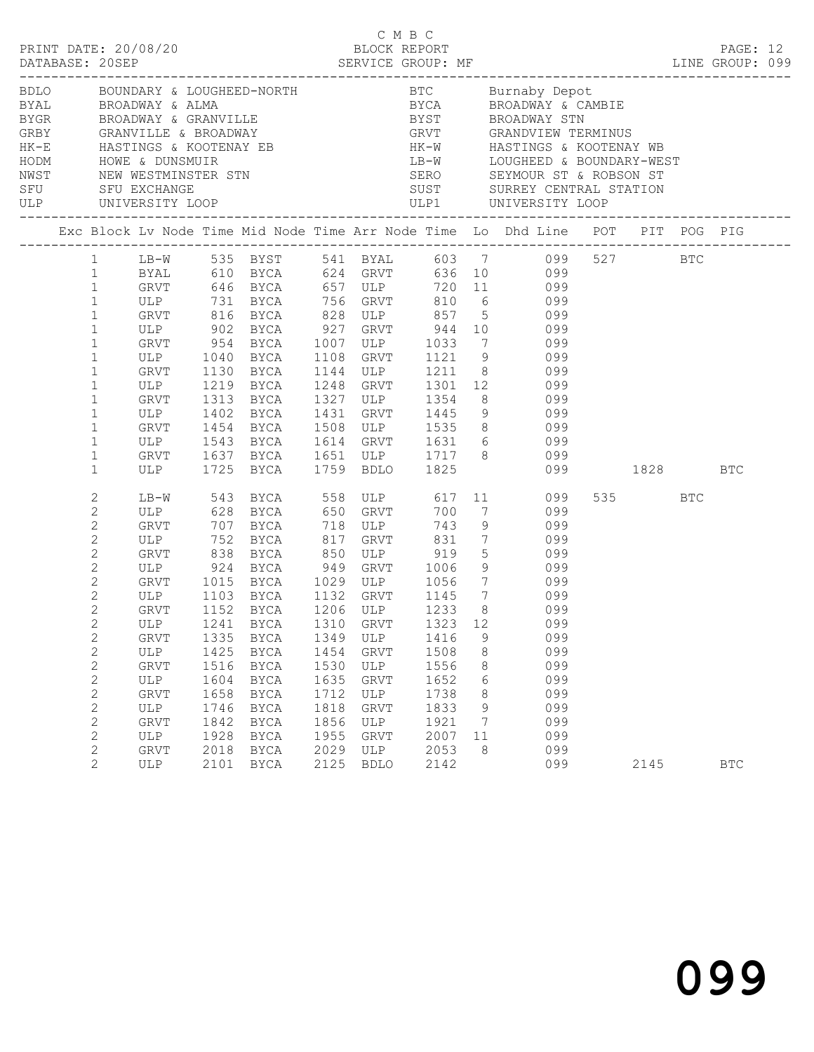|                     |                                                                                                                                                                                                                                                                                               |                                                                                                        |                                                                              |                                                                                                                                                        |                                                                              |                                                                                | C M B C                                                                                    |                                            |                                                                                                                                                                                                                                                                                                                                                                                                                                                                                                                                                                                                                                      |                 |            |  |
|---------------------|-----------------------------------------------------------------------------------------------------------------------------------------------------------------------------------------------------------------------------------------------------------------------------------------------|--------------------------------------------------------------------------------------------------------|------------------------------------------------------------------------------|--------------------------------------------------------------------------------------------------------------------------------------------------------|------------------------------------------------------------------------------|--------------------------------------------------------------------------------|--------------------------------------------------------------------------------------------|--------------------------------------------|--------------------------------------------------------------------------------------------------------------------------------------------------------------------------------------------------------------------------------------------------------------------------------------------------------------------------------------------------------------------------------------------------------------------------------------------------------------------------------------------------------------------------------------------------------------------------------------------------------------------------------------|-----------------|------------|--|
| ULP UNIVERSITY LOOP |                                                                                                                                                                                                                                                                                               |                                                                                                        |                                                                              |                                                                                                                                                        |                                                                              |                                                                                |                                                                                            |                                            | HK-E HASTINGS & KOOTENAY EB<br>HODM HOWE & DUNSMUIR<br>NODM HOWE & DUNSMUIR<br>NEW WESTMINSTER STN SERO SEYMOUR ST & ROBSON ST<br>SFU SFU EXCHANGE<br>SFU SEVENT SERO SEYMOUR ST & ROBSON ST<br>SFU SEVENTAL STATION                                                                                                                                                                                                                                                                                                                                                                                                                 |                 |            |  |
|                     |                                                                                                                                                                                                                                                                                               |                                                                                                        |                                                                              |                                                                                                                                                        |                                                                              |                                                                                |                                                                                            |                                            | Exc Block Lv Node Time Mid Node Time Arr Node Time Lo Dhd Line POT PIT POG PIG                                                                                                                                                                                                                                                                                                                                                                                                                                                                                                                                                       |                 |            |  |
|                     | $\mathbf{1}$<br>$\mathbf{1}$<br>$\mathbf{1}$<br>$\mathbf{1}$<br>$\mathbf{1}$<br>$\mathbf{1}$<br>$\mathbf{1}$<br>$\mathbf{1}$<br>$\mathbf{1}$<br>$\mathbf{1}$<br>$\mathbf{1}$<br>$\mathbf{1}$<br>$\mathbf{1}$                                                                                  |                                                                                                        |                                                                              |                                                                                                                                                        |                                                                              |                                                                                |                                                                                            |                                            | LB-W 535 BYST 541 BYAL 603 7 099 527 BTC<br>1 BYAL 610 BYCA 624 GRVT 636 10 099<br>1 GRVT 646 BYCA 657 ULP 720 11 099<br>1 ULP 731 BYCA 756 GRVT 810 6 099<br>GRVT 816 BYCA 828 ULP 857 5 099<br>ULP 902 BYCA 927 GRVT 944 10 099<br>GRVT 954 BYCA 1007 ULP 1033 7 099<br>ULP 1040 BYCA 1108 GRVT 1121 9 099<br>GRVT 1130 BYCA 1144 ULP 1211 8 099<br>ULP 1219 BYCA 1248 GRVT 1301 12 099<br>GRVT 1313 BYCA 1327 ULP 1354 8 099<br>ULP 1402 BYCA 1431 GRVT 1445 9 099<br>GRVT 1454 BYCA 1508 ULP 1535 8 099<br>ULP 1543 BYCA 1614 GRVT 1631 6 099<br>GRVT 1637 BYCA 1651 ULP 1717 8 099<br>ULP 1725 BYCA 1759 BDLO 1825 099 1828 BTC |                 |            |  |
|                     | $\mathbf{2}$<br>$\mathbf{2}$<br>$\mathbf{2}$<br>$\mathbf{2}$<br>$\mathbf{2}$<br>$\sqrt{2}$<br>$\sqrt{2}$<br>$\mathbf{2}$<br>2<br>$2^{\circ}$<br>$\mathbf{2}$<br>$\sqrt{2}$<br>$\mathbf{2}$<br>$\mathbf{2}$<br>$\mathbf{2}$<br>$\sqrt{2}$<br>$\mathbf{2}$<br>$\mathbf{2}$<br>$\mathbf{2}$<br>2 | GRVT<br>ULP<br>GRVT<br>ULP<br><b>GRVT</b><br>ULP<br>GRVT<br>ULP<br>GRVT<br>$_{\rm ULP}$<br>GRVT<br>ULP | 1335<br>1425<br>1516<br>1604<br>1658<br>1746<br>1842<br>1928<br>2018<br>2101 | 1152 BYCA 1206 ULP<br>1241 BYCA 1310 GRVT 1323 12<br>BYCA<br><b>BYCA</b><br>BYCA<br>BYCA<br>BYCA<br>BYCA<br>BYCA<br><b>BYCA</b><br>BYCA<br><b>BYCA</b> | 1349<br>1454<br>1530<br>1635<br>1712<br>1818<br>1856<br>1955<br>2029<br>2125 | ULP<br>GRVT<br>ULP<br>GRVT<br>ULP<br>GRVT<br>ULP<br>GRVT<br>ULP<br><b>BDLO</b> | 700<br>743<br>1416<br>1508<br>1556<br>1652<br>1738<br>1833<br>1921<br>2007<br>2053<br>2142 | 9<br>8<br>8<br>6<br>8<br>9<br>7<br>11<br>8 | LB-W 543 BYCA 558 ULP 617 11 099<br>7 099<br>9 099<br>099<br>ULP 752 BYCA 817 GRVT 831 7 099<br>GRVT 838 BYCA 850 ULP 919 5 099<br>ULP 924 BYCA 949 GRVT 1006 9 099<br>GRVT 1015 BYCA 1029 ULP 1056 7 099<br>ULP 1103 BYCA 1132 GRVT 1145 7 099<br>1233 8 099<br>099<br>099<br>099<br>099<br>099<br>099<br>099<br>099<br>099<br>099<br>099                                                                                                                                                                                                                                                                                           | 535 BTC<br>2145 | <b>BTC</b> |  |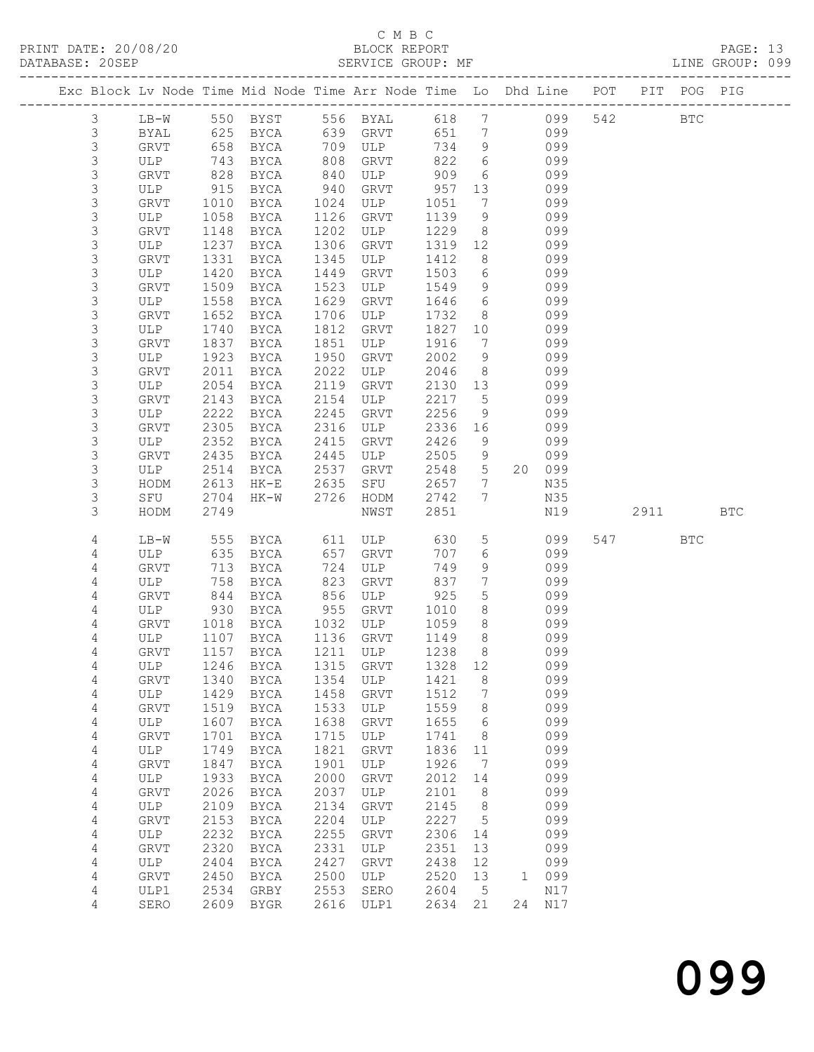## C M B C<br>BLOCK REPORT

| DATABASE: 20SEP |               |             |              |                         |      | SERVICE GROUP: MF            |              |                                   | LINE GROUP: 099                                                                |      |            |     |  |
|-----------------|---------------|-------------|--------------|-------------------------|------|------------------------------|--------------|-----------------------------------|--------------------------------------------------------------------------------|------|------------|-----|--|
|                 |               |             |              |                         |      |                              |              |                                   | Exc Block Lv Node Time Mid Node Time Arr Node Time Lo Dhd Line POT PIT POG PIG |      |            |     |  |
|                 | $\mathcal{S}$ |             |              |                         |      |                              |              |                                   | LB-W 550 BYST 556 BYAL 618 7 099 542 BTC                                       |      |            |     |  |
|                 | 3             | BYAL        | 625          |                         |      | BYCA 639 GRVT                |              |                                   | 651 7 099                                                                      |      |            |     |  |
|                 | 3             | GRVT        | 658          |                         |      | BYCA 709 ULP                 | 734          | 9                                 | 099                                                                            |      |            |     |  |
|                 | $\mathsf S$   | ULP         | 743          | BYCA                    |      | 808 GRVT<br>840 ULP          | 822          | $6\overline{6}$                   | 099                                                                            |      |            |     |  |
|                 | $\mathsf S$   | GRVT        | 828          | BYCA                    |      | ULP 909                      |              | 6                                 | 099                                                                            |      |            |     |  |
|                 | $\mathsf S$   | ULP         | 915          | BYCA                    | 940  | GRVT                         | 957          | 13                                | 099                                                                            |      |            |     |  |
|                 | 3             | GRVT        | 1010         | BYCA                    | 1024 | ULP                          | 1051         | 7                                 | 099                                                                            |      |            |     |  |
|                 | $\mathsf S$   | ULP         | 1058         | BYCA                    | 1126 | GRVT                         | 1139         | 9                                 | 099                                                                            |      |            |     |  |
|                 | $\mathsf S$   | GRVT        | 1148         | BYCA                    | 1202 | ULP                          | 1229         | 8 <sup>8</sup>                    | 099                                                                            |      |            |     |  |
|                 | 3             | ULP         | 1237         | BYCA                    | 1306 | GRVT                         | 1319 12      |                                   | 099                                                                            |      |            |     |  |
|                 | 3             | GRVT        | 1331         | BYCA                    | 1345 | ULP                          | 1412         | 8                                 | 099                                                                            |      |            |     |  |
|                 | $\mathsf S$   | ULP         | 1420         | BYCA                    | 1449 | GRVT                         | 1503         | $6\overline{6}$                   | 099                                                                            |      |            |     |  |
|                 | $\mathsf S$   | GRVT        | 1509         | BYCA                    | 1523 | ULP                          | 1549         | 9                                 | 099                                                                            |      |            |     |  |
|                 | 3             | ULP         | 1558         | BYCA                    | 1629 | GRVT                         | 1646         | 6                                 | 099                                                                            |      |            |     |  |
|                 | $\mathsf S$   | GRVT        | 1652         | BYCA                    | 1706 | ULP                          | 1732         | 8 <sup>8</sup>                    | 099                                                                            |      |            |     |  |
|                 | 3             | ULP         | 1740         | BYCA                    | 1812 | GRVT                         | 1827 10      |                                   | 099                                                                            |      |            |     |  |
|                 | $\mathsf S$   | GRVT        | 1837         | BYCA                    | 1851 | ULP                          | 1916         | $7\overline{ }$                   | 099                                                                            |      |            |     |  |
|                 | 3             | ULP         | 1923         | BYCA                    | 1950 | GRVT                         | 2002         | 9                                 | 099                                                                            |      |            |     |  |
|                 | 3             | GRVT        | 2011         | BYCA                    | 2022 | ULP                          | 2046         | 8 <sup>8</sup>                    | 099                                                                            |      |            |     |  |
|                 | 3             | ULP         | 2054         | BYCA                    | 2119 | GRVT                         | 2130 13      |                                   | 099                                                                            |      |            |     |  |
|                 | $\mathsf S$   | GRVT        | 2143         | BYCA                    | 2154 | ULP                          | 2217         | 5 <sup>5</sup>                    | 099                                                                            |      |            |     |  |
|                 | 3             | ULP         | 2222         | BYCA                    | 2245 | GRVT                         | 2256         | 9                                 | 099                                                                            |      |            |     |  |
|                 | 3             | GRVT        | 2305         | BYCA                    | 2316 | ULP                          | 2336         | 16                                | 099                                                                            |      |            |     |  |
|                 | 3             | ULP         | 2352         | BYCA                    | 2415 | GRVT                         | 2426         | 9                                 | 099                                                                            |      |            |     |  |
|                 | $\mathsf S$   | GRVT        | 2435         | BYCA                    | 2445 | ULP                          | 2505         | 9                                 | 099                                                                            |      |            |     |  |
|                 | 3             | ULP         | 2514         | BYCA                    | 2537 | GRVT                         | 2548         | 5 <sup>5</sup>                    | 20 099                                                                         |      |            |     |  |
|                 | 3<br>3        | HODM        | 2613         | HK-E 2635               |      | SFU                          | 2657         | $7\overline{ }$<br>$7\phantom{0}$ | N35                                                                            |      |            |     |  |
|                 | 3             | SFU<br>HODM | 2704<br>2749 | HK-W 2726               |      | HODM<br>NWST                 | 2742<br>2851 |                                   | N35<br>N19                                                                     | 2911 |            | BTC |  |
|                 | 4             | LB-W        | 555          |                         |      | BYCA 611 ULP                 | 630          | 5 <sup>5</sup>                    | 099                                                                            | 547  | <b>BTC</b> |     |  |
|                 | 4             | ULP         | 635          | BYCA                    |      | 657 GRVT                     | 707          | 6                                 | 099                                                                            |      |            |     |  |
|                 | 4             | GRVT        | 713          | BYCA                    |      | 724 ULP                      | 749          | 9                                 | 099                                                                            |      |            |     |  |
|                 | 4             | ULP         | 758          | BYCA                    | 823  | GRVT                         | 837          | $7\overline{ }$                   | 099                                                                            |      |            |     |  |
|                 | 4             | GRVT        | 844          | BYCA                    | 856  | ULP                          | 925          | $5\overline{)}$                   | 099                                                                            |      |            |     |  |
|                 | 4             | ULP         | 930          | BYCA                    | 955  | GRVT                         | 1010         | 8                                 | 099                                                                            |      |            |     |  |
|                 | 4             | GRVT        | 1018         | BYCA 1032 ULP           |      |                              | 1059         | 8 <sup>8</sup>                    | 099                                                                            |      |            |     |  |
|                 | 4             |             |              | ULP 1107 BYCA 1136 GRVT |      |                              | 1149         | 8                                 | 099                                                                            |      |            |     |  |
|                 | 4             |             |              |                         |      | GRVT 1157 BYCA 1211 ULP 1238 |              |                                   | 8 099                                                                          |      |            |     |  |
|                 | 4             | ULP         | 1246         | BYCA                    | 1315 | GRVT                         | 1328         | 12                                | 099                                                                            |      |            |     |  |
|                 | 4             | GRVT        | 1340         | BYCA                    | 1354 | ULP                          | 1421         | 8                                 | 099                                                                            |      |            |     |  |
|                 | 4             | ULP         | 1429         | BYCA                    | 1458 | GRVT                         | 1512         | $7\phantom{.0}$                   | 099                                                                            |      |            |     |  |
|                 | 4             | GRVT        | 1519         | BYCA                    | 1533 | ULP                          | 1559         | 8                                 | 099                                                                            |      |            |     |  |
|                 | 4             | ULP         | 1607         | <b>BYCA</b>             | 1638 | GRVT                         | 1655         | 6                                 | 099                                                                            |      |            |     |  |
|                 | 4             | GRVT        | 1701         | <b>BYCA</b>             | 1715 | ULP                          | 1741         | 8 <sup>8</sup>                    | 099                                                                            |      |            |     |  |
|                 | 4             | ULP         | 1749         | BYCA                    | 1821 | GRVT                         | 1836         | 11                                | 099                                                                            |      |            |     |  |
|                 | 4             | GRVT        | 1847         | <b>BYCA</b>             | 1901 | ULP                          | 1926         | $\overline{7}$                    | 099                                                                            |      |            |     |  |
|                 | 4             | ULP         | 1933         | BYCA                    | 2000 | GRVT                         | 2012         | 14                                | 099                                                                            |      |            |     |  |
|                 | 4             | GRVT        | 2026         | <b>BYCA</b>             | 2037 | ULP                          | 2101         | 8                                 | 099                                                                            |      |            |     |  |
|                 | 4             | ULP         | 2109         | BYCA                    | 2134 | GRVT                         | 2145         | 8                                 | 099                                                                            |      |            |     |  |
|                 | 4             | GRVT        | 2153         | <b>BYCA</b>             | 2204 | ULP                          | 2227         | $5^{\circ}$                       | 099                                                                            |      |            |     |  |
|                 | 4             | ULP         | 2232         | BYCA                    | 2255 | GRVT                         | 2306         | 14                                | 099                                                                            |      |            |     |  |
|                 | 4             | GRVT        | 2320         | <b>BYCA</b>             | 2331 | ULP                          | 2351         | 13                                | 099                                                                            |      |            |     |  |
|                 | 4             | ULP         | 2404         | <b>BYCA</b>             | 2427 | GRVT                         | 2438         | 12                                | 099                                                                            |      |            |     |  |
|                 | 4             | GRVT        | 2450         | $_{\rm BYCA}$           | 2500 | ULP                          | 2520         | 13                                | 1 099                                                                          |      |            |     |  |
|                 | 4             | ULP1        | 2534         | GRBY                    | 2553 | SERO                         | 2604         | $5^{\circ}$                       | N17                                                                            |      |            |     |  |
|                 | 4             | SERO        |              | 2609 BYGR               | 2616 | ULP1                         | 2634         | 21                                | 24 N17                                                                         |      |            |     |  |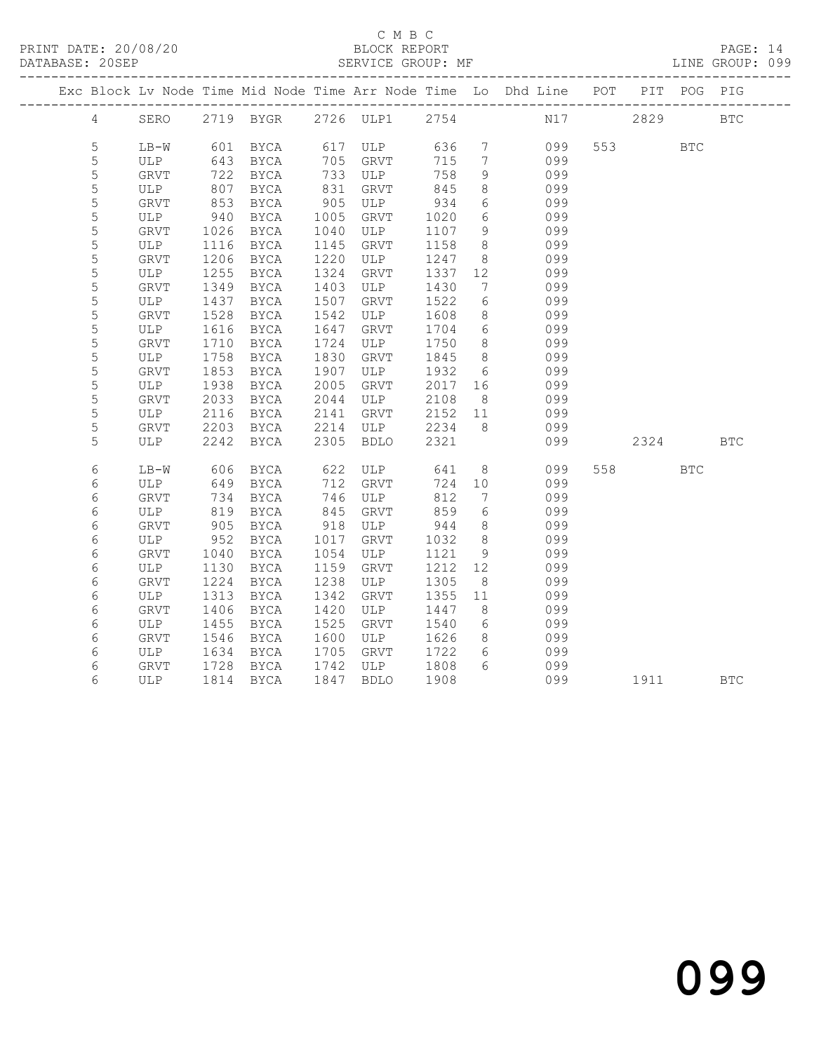PRINT DATE: 20/08/20 BLOCK REPORT DATABASE: 20SEP

## C M B C<br>BLOCK REPORT

PAGE: 14<br>LINE GROUP: 099

|   |               |      |                                                        |      |                         |         |                 | Exc Block Lv Node Time Mid Node Time Arr Node Time Lo Dhd Line POT PIT POG PIG |         |            |            |
|---|---------------|------|--------------------------------------------------------|------|-------------------------|---------|-----------------|--------------------------------------------------------------------------------|---------|------------|------------|
|   |               |      |                                                        |      |                         |         |                 | 4 SERO 2719 BYGR 2726 ULP1 2754 N17 2829 BTC                                   |         |            |            |
|   |               |      |                                                        |      |                         |         |                 |                                                                                |         |            |            |
| 5 |               |      | LB-W 601 BYCA 617 ULP 636<br>ULP 643 BYCA 705 CRVT 715 |      |                         |         | $7\overline{)}$ | 099                                                                            | 553 BTC |            |            |
| 5 |               |      |                                                        |      |                         |         | $7\overline{ }$ | 099                                                                            |         |            |            |
| 5 | GRVT          | 722  | BYCA                                                   |      | 733 ULP                 | 758     | 9               | 099                                                                            |         |            |            |
| 5 | ULP           | 807  | BYCA                                                   | 831  | GRVT                    | 845     | 8               | 099                                                                            |         |            |            |
| 5 | GRVT          | 853  | BYCA                                                   | 905  | ULP                     | 934     | 6               | 099                                                                            |         |            |            |
| 5 | ULP           | 940  | <b>BYCA</b>                                            | 1005 | GRVT                    | 1020    | 6               | 099                                                                            |         |            |            |
| 5 | GRVT          | 1026 | <b>BYCA</b>                                            | 1040 | ULP                     | 1107    | 9               | 099                                                                            |         |            |            |
| 5 | ULP           | 1116 | BYCA                                                   | 1145 | GRVT                    | 1158    | 8 <sup>8</sup>  | 099                                                                            |         |            |            |
| 5 | GRVT          | 1206 | BYCA                                                   | 1220 | ULP                     | 1247    | 8 <sup>8</sup>  | 099                                                                            |         |            |            |
| 5 | ULP           | 1255 | BYCA                                                   | 1324 | GRVT                    | 1337    | 12              | 099                                                                            |         |            |            |
| 5 | GRVT          | 1349 | BYCA                                                   | 1403 | ULP                     | 1430    | $7\overline{ }$ | 099                                                                            |         |            |            |
| 5 | ULP           | 1437 | BYCA                                                   | 1507 | GRVT                    | 1522    | $6\overline{6}$ | 099                                                                            |         |            |            |
| 5 | GRVT          | 1528 | BYCA                                                   | 1542 | ULP                     | 1608    | 8 <sup>8</sup>  | 099                                                                            |         |            |            |
| 5 | ULP           | 1616 | BYCA                                                   | 1647 | GRVT                    | 1704    | $6\overline{6}$ | 099                                                                            |         |            |            |
| 5 | GRVT          | 1710 | BYCA                                                   | 1724 | ULP                     | 1750    | 8 <sup>8</sup>  | 099                                                                            |         |            |            |
| 5 | ULP           | 1758 | BYCA                                                   | 1830 | GRVT                    | 1845    | 8 <sup>8</sup>  | 099                                                                            |         |            |            |
| 5 | GRVT          | 1853 | BYCA                                                   | 1907 | ULP                     | 1932    | $6\overline{6}$ | 099                                                                            |         |            |            |
| 5 | ULP           | 1938 | BYCA                                                   | 2005 | GRVT                    | 2017 16 |                 | 099                                                                            |         |            |            |
| 5 | GRVT          | 2033 | BYCA                                                   | 2044 | ULP                     | 2108    | 8 <sup>8</sup>  | 099                                                                            |         |            |            |
| 5 | ULP           | 2116 | BYCA                                                   | 2141 | GRVT                    | 2152 11 |                 | 099                                                                            |         |            |            |
| 5 | GRVT          | 2203 | BYCA                                                   |      | 2214 ULP                | 2234    | 8 <sup>1</sup>  | 099                                                                            |         |            |            |
| 5 | ULP           | 2242 | BYCA 2305 BDLO                                         |      |                         | 2321    |                 | 099                                                                            | 2324    |            | <b>BTC</b> |
| 6 | LB-W          | 606  | BYCA                                                   |      |                         |         | 8 <sup>8</sup>  | 099                                                                            | 558 35  | <b>BTC</b> |            |
| 6 | ULP           | 649  | <b>BYCA</b>                                            |      | 622 ULP 641<br>712 GRVT | 724 10  |                 | 099                                                                            |         |            |            |
| 6 | GRVT          | 734  | BYCA                                                   | 746  | ULP                     | 812     | 7               | 099                                                                            |         |            |            |
| 6 | ULP           | 819  | BYCA                                                   | 845  | GRVT                    | 859     | 6               | 099                                                                            |         |            |            |
| 6 | GRVT          | 905  | BYCA                                                   | 918  | ULP                     | 944     | 8 <sup>8</sup>  | 099                                                                            |         |            |            |
| 6 | ULP           | 952  | BYCA                                                   | 1017 | GRVT                    | 1032    | 8 <sup>8</sup>  | 099                                                                            |         |            |            |
| 6 | GRVT          | 1040 | BYCA                                                   | 1054 | ULP                     | 1121    | 9               | 099                                                                            |         |            |            |
| 6 | ULP           | 1130 | BYCA                                                   | 1159 | GRVT                    | 1212 12 |                 | 099                                                                            |         |            |            |
| 6 | GRVT          | 1224 | BYCA                                                   | 1238 | ULP                     | 1305    | 8 <sup>8</sup>  | 099                                                                            |         |            |            |
| 6 | ULP           | 1313 | BYCA                                                   | 1342 | GRVT                    | 1355 11 |                 | 099                                                                            |         |            |            |
| 6 | GRVT          | 1406 | BYCA                                                   | 1420 | ULP                     | 1447    | 8 <sup>8</sup>  | 099                                                                            |         |            |            |
| 6 | ULP           | 1455 | BYCA                                                   | 1525 | GRVT                    | 1540    | 6               | 099                                                                            |         |            |            |
| 6 | GRVT          | 1546 | BYCA                                                   | 1600 | ULP                     | 1626    | 8 <sup>8</sup>  | 099                                                                            |         |            |            |
| 6 | ULP           | 1634 | BYCA                                                   | 1705 | GRVT                    | 1722    | 6               | 099                                                                            |         |            |            |
| 6 | GRVT          | 1728 | BYCA                                                   |      | 1742 ULP                | 1808    | 6               | 099                                                                            |         |            |            |
| 6 | ULP 1814 BYCA |      |                                                        |      | 1847 BDLO               | 1908    |                 | 099 00                                                                         | 1911 7  |            | <b>BTC</b> |
|   |               |      |                                                        |      |                         |         |                 |                                                                                |         |            |            |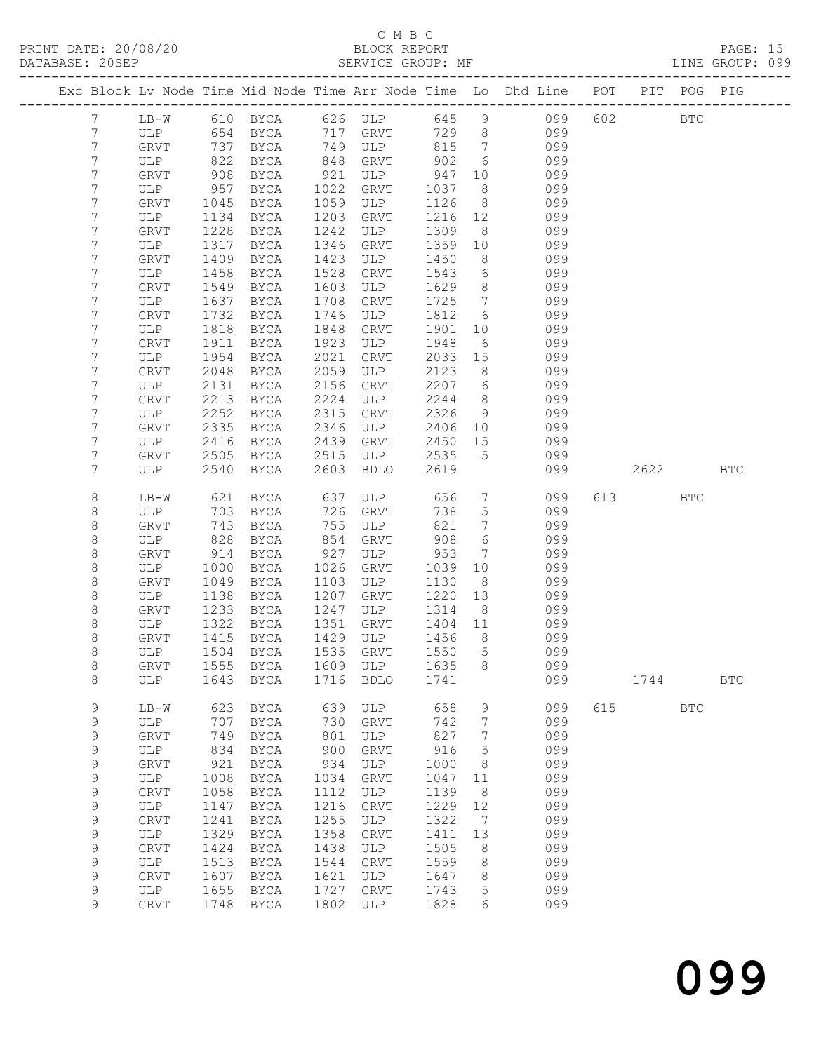## C M B C

| DATABASE: 20SEP |                |             |      | SERVICE GROUP: MF              |      |                    |         |                 | LINE GROUP: 099                                                                |           |            |            |  |
|-----------------|----------------|-------------|------|--------------------------------|------|--------------------|---------|-----------------|--------------------------------------------------------------------------------|-----------|------------|------------|--|
|                 |                |             |      |                                |      |                    |         |                 | Exc Block Lv Node Time Mid Node Time Arr Node Time Lo Dhd Line POT PIT POG PIG |           |            |            |  |
|                 | 7              |             |      |                                |      |                    |         |                 | LB-W 610 BYCA 626 ULP 645 9 099 602 BTC                                        |           |            |            |  |
|                 | $7\phantom{.}$ |             |      |                                |      |                    |         |                 | ULP 654 BYCA 717 GRVT 729 8 099                                                |           |            |            |  |
|                 | 7              | GRVT        | 737  |                                |      | BYCA 749 ULP 815 7 |         |                 | 099                                                                            |           |            |            |  |
|                 | $7\phantom{.}$ | ULP         | 822  | BYCA                           |      | 848 GRVT           | 902     | $6\overline{6}$ | 099                                                                            |           |            |            |  |
|                 | 7              | GRVT        | 908  | BYCA                           |      | $921$ ULP $947$    |         | 10              | 099                                                                            |           |            |            |  |
|                 | 7              | ULP         | 957  | BYCA                           | 1022 | GRVT               | 1037    | 8 <sup>8</sup>  | 099                                                                            |           |            |            |  |
|                 | 7              | GRVT        | 1045 | BYCA                           | 1059 | ULP                | 1126    | 8 <sup>8</sup>  | 099                                                                            |           |            |            |  |
|                 | 7              | ULP         | 1134 | BYCA                           | 1203 | GRVT               | 1216 12 |                 | 099                                                                            |           |            |            |  |
|                 | 7              | GRVT        | 1228 | BYCA                           | 1242 | ULP                | 1309    | 8 <sup>8</sup>  | 099                                                                            |           |            |            |  |
|                 | 7              | ULP         | 1317 | BYCA                           | 1346 | GRVT               | 1359 10 |                 | 099                                                                            |           |            |            |  |
|                 | 7              | GRVT        | 1409 | BYCA                           | 1423 | ULP                | 1450    | 8               | 099                                                                            |           |            |            |  |
|                 | 7              | ULP         | 1458 | BYCA                           | 1528 | GRVT               | 1543    | $6\overline{6}$ | 099                                                                            |           |            |            |  |
|                 | 7              | GRVT        | 1549 | BYCA                           | 1603 | ULP                | 1629    | 8 <sup>8</sup>  | 099                                                                            |           |            |            |  |
|                 | 7              | ULP         | 1637 | BYCA                           | 1708 | GRVT               | 1725    | $7\overline{ }$ | 099                                                                            |           |            |            |  |
|                 | 7              | GRVT        | 1732 | BYCA                           | 1746 | ULP                | 1812    | $6\overline{6}$ | 099                                                                            |           |            |            |  |
|                 | 7              | ULP         | 1818 | BYCA                           | 1848 | GRVT               | 1901    | 10              | 099                                                                            |           |            |            |  |
|                 | 7              | GRVT        | 1911 | BYCA                           | 1923 | ULP                | 1948    | 6               | 099                                                                            |           |            |            |  |
|                 | 7              | ULP         | 1954 | BYCA                           | 2021 | GRVT               | 2033 15 |                 | 099                                                                            |           |            |            |  |
|                 | 7              | GRVT        | 2048 | BYCA                           | 2059 | ULP                | 2123    | 8 <sup>8</sup>  | 099                                                                            |           |            |            |  |
|                 | 7              | ULP         | 2131 | BYCA                           | 2156 | GRVT               | 2207 6  |                 | 099                                                                            |           |            |            |  |
|                 | $\overline{7}$ |             | 2213 |                                |      |                    |         | 8 <sup>8</sup>  |                                                                                |           |            |            |  |
|                 | 7              | GRVT        |      | BYCA                           | 2224 | ULP                | 2244    |                 | 099                                                                            |           |            |            |  |
|                 |                | ULP         | 2252 | BYCA                           | 2315 | GRVT               | 2326    | 9               | 099                                                                            |           |            |            |  |
|                 | 7              | GRVT        | 2335 | BYCA                           | 2346 | ULP                | 2406    | 10              | 099                                                                            |           |            |            |  |
|                 | 7              | ULP         | 2416 | BYCA                           | 2439 | GRVT               | 2450    | 15              | 099                                                                            |           |            |            |  |
|                 | 7              | GRVT<br>ULP | 2505 | BYCA                           | 2515 | ULP                | 2535 5  |                 | 099                                                                            |           |            |            |  |
|                 | 7              |             | 2540 | BYCA                           | 2603 | BDLO               | 2619    |                 | 099                                                                            | 2622 BTC  |            |            |  |
|                 | 8              | LB-W        | 621  | BYCA                           |      | 637 ULP            | 656     | $7\overline{ }$ | 099                                                                            | 613 — 100 | <b>BTC</b> |            |  |
|                 | 8              | ULP         | 703  | BYCA                           |      | 726 GRVT           | 738     | $5\overline{)}$ | 099                                                                            |           |            |            |  |
|                 | 8              | GRVT        | 743  | BYCA                           | 755  | ULP                | 821     | $7\overline{ }$ | 099                                                                            |           |            |            |  |
|                 | 8              | ULP         | 828  | BYCA                           | 854  | GRVT               | 908     | 6               | 099                                                                            |           |            |            |  |
|                 | 8              | GRVT        | 914  | BYCA                           | 927  | ULP                | 953     | $7\overline{ }$ | 099                                                                            |           |            |            |  |
|                 | $\,8\,$        | ULP         | 1000 | BYCA                           | 1026 | GRVT               | 1039    | 10              | 099                                                                            |           |            |            |  |
|                 | 8              | GRVT        | 1049 | BYCA                           | 1103 | ULP                | 1130    | 8 <sup>8</sup>  | 099                                                                            |           |            |            |  |
|                 | 8              | ULP         | 1138 | BYCA                           | 1207 | GRVT               | 1220    | 13              | 099                                                                            |           |            |            |  |
|                 | 8              | GRVT        | 1233 | BYCA                           | 1247 | ULP                | 1314    | 8 <sup>8</sup>  | 099                                                                            |           |            |            |  |
|                 | $\,8\,$        | ULP         | 1322 | BYCA                           | 1351 | GRVT               | 1404 11 |                 | 099                                                                            |           |            |            |  |
|                 | 8              | GRVT        | 1415 | BYCA                           |      | 1429 ULP           | 1456    | 8 <sup>8</sup>  | 099                                                                            |           |            |            |  |
|                 | 8              |             |      | ULP 1504 BYCA 1535 GRVT 1550 5 |      |                    |         |                 | 099                                                                            |           |            |            |  |
|                 | 8              | GRVT        |      | 1555 BYCA                      |      | 1609 ULP           | 1635    | 8               | 099                                                                            |           |            |            |  |
|                 | 8              | ULP         | 1643 | BYCA                           | 1716 | BDLO               | 1741    |                 | 099                                                                            | 1744      |            | <b>BTC</b> |  |
|                 | 9              | LB-W        | 623  | BYCA                           | 639  | ULP                | 658     | 9               | 099                                                                            | 615       | <b>BTC</b> |            |  |
|                 | 9              | ULP         | 707  | BYCA                           | 730  | GRVT               | 742     | 7               | 099                                                                            |           |            |            |  |
|                 | 9              | GRVT        | 749  | BYCA                           | 801  | ULP                | 827     | 7               | 099                                                                            |           |            |            |  |
|                 | 9              | ULP         | 834  | BYCA                           | 900  | GRVT               | 916     | 5               | 099                                                                            |           |            |            |  |
|                 | 9              | GRVT        | 921  | BYCA                           | 934  | ULP                | 1000    | 8               | 099                                                                            |           |            |            |  |
|                 | 9              | ULP         | 1008 | BYCA                           | 1034 | GRVT               | 1047    | 11              | 099                                                                            |           |            |            |  |
|                 | 9              | GRVT        | 1058 | BYCA                           | 1112 | ULP                | 1139    | - 8             | 099                                                                            |           |            |            |  |
|                 | 9              | ULP         | 1147 | BYCA                           | 1216 | GRVT               | 1229    | 12              | 099                                                                            |           |            |            |  |
|                 | 9              | GRVT        | 1241 | <b>BYCA</b>                    | 1255 | ULP                | 1322    | $\overline{7}$  | 099                                                                            |           |            |            |  |
|                 | 9              | ULP         | 1329 | BYCA                           | 1358 | GRVT               | 1411    | 13              | 099                                                                            |           |            |            |  |
|                 | 9              | GRVT        | 1424 | BYCA                           | 1438 | ULP                | 1505    | 8               | 099                                                                            |           |            |            |  |
|                 | $\mathsf 9$    | ULP         | 1513 | BYCA                           | 1544 | GRVT               | 1559    | 8               | 099                                                                            |           |            |            |  |
|                 | $\mathsf 9$    | GRVT        | 1607 | BYCA                           | 1621 | ULP                | 1647    | 8               | 099                                                                            |           |            |            |  |
|                 | 9              | ULP         | 1655 | BYCA                           | 1727 | GRVT               | 1743    | 5               | 099                                                                            |           |            |            |  |
|                 | 9              | <b>GRVT</b> | 1748 | BYCA                           | 1802 | ULP                | 1828    | 6               | 099                                                                            |           |            |            |  |
|                 |                |             |      |                                |      |                    |         |                 |                                                                                |           |            |            |  |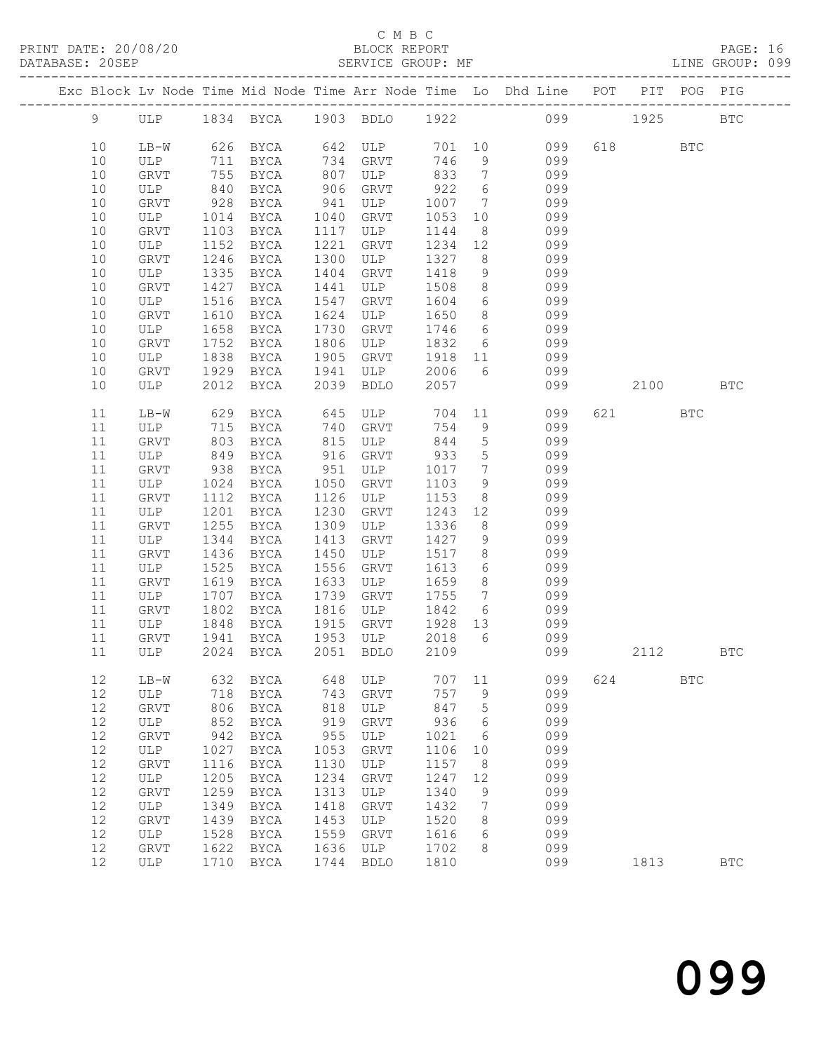### C M B C<br>BLOCK REPORT SERVICE GROUP: MF

|          |               |              |                            |              |                  |                 |                 | Exc Block Lv Node Time Mid Node Time Arr Node Time Lo Dhd Line POT PIT POG PIG |     |          |            |            |
|----------|---------------|--------------|----------------------------|--------------|------------------|-----------------|-----------------|--------------------------------------------------------------------------------|-----|----------|------------|------------|
| 9        |               |              |                            |              |                  |                 |                 | ULP 1834 BYCA 1903 BDLO 1922 099 1925                                          |     |          |            | <b>BTC</b> |
| 10       | $LB-W$        |              | 626 BYCA 642 ULP           |              |                  |                 |                 | 701 10<br>099                                                                  |     | 618 8    | BTC        |            |
| 10       | ULP           | 711          | BYCA                       |              | 734 GRVT         | 746             | 9               | 099                                                                            |     |          |            |            |
| 10       | GRVT          | 755          | BYCA                       | 807          | ULP              | 833             | $\overline{7}$  | 099                                                                            |     |          |            |            |
| 10       | ULP           | 840          | BYCA                       | 906          | GRVT             | 922             | 6               | 099                                                                            |     |          |            |            |
| 10       | GRVT          | 928          | BYCA                       | 941          | ULP              | 1007            | $7\overline{ }$ | 099                                                                            |     |          |            |            |
| 10       | ULP           | 1014         | BYCA                       | 1040         | GRVT             | 1053            | 10              | 099                                                                            |     |          |            |            |
| 10       | GRVT          | 1103         | BYCA                       | 1117         | ULP              | 1144            | 8 <sup>8</sup>  | 099                                                                            |     |          |            |            |
| 10       | ULP           | 1152         | BYCA                       | 1221         | GRVT             | 1234            | 12              | 099                                                                            |     |          |            |            |
| 10       | GRVT          | 1246         | BYCA                       | 1300         | ULP              | 1327            | 8 <sup>8</sup>  | 099                                                                            |     |          |            |            |
| 10       | ULP           | 1335         | BYCA                       | 1404         | GRVT             | 1418            | 9               | 099                                                                            |     |          |            |            |
| 10       | GRVT          | 1427         | BYCA                       | 1441         | ULP              | 1508            | 8 <sup>8</sup>  | 099                                                                            |     |          |            |            |
| 10       | ULP           | 1516         | BYCA                       | 1547         | GRVT             | 1604            | 6               | 099                                                                            |     |          |            |            |
| 10       | GRVT          | 1610         | BYCA                       | 1624         | ULP              | 1650            | 8 <sup>8</sup>  | 099                                                                            |     |          |            |            |
| 10       | ULP           | 1658         | BYCA                       | 1730         | GRVT             | 1746            | $6\overline{6}$ | 099                                                                            |     |          |            |            |
| 10       | GRVT          | 1752         | BYCA                       | 1806         | ULP              | 1832            |                 | 6 099                                                                          |     |          |            |            |
| 10       | ULP           | 1838         | BYCA                       | 1905         | GRVT             | 1918            | 11              | 099                                                                            |     |          |            |            |
| 10       | GRVT          | 1929         | BYCA                       | 1941         | ULP              | 2006            | 6               | 099                                                                            |     |          |            |            |
| 10       | ULP           | 2012         | BYCA                       | 2039         | <b>BDLO</b>      | 2057            |                 | 099                                                                            |     | 2100 BTC |            |            |
| 11       | LB-W          | 629          | BYCA                       | 645          | ULP              | 704             |                 | 11<br>099                                                                      |     | 621 000  | <b>BTC</b> |            |
| 11       | ULP           | 715          | BYCA                       | 740          | GRVT             | 754             | 9               | 099                                                                            |     |          |            |            |
| 11       | GRVT          | 803          | BYCA                       | 815          | ULP              | 844             | 5 <sup>5</sup>  | 099                                                                            |     |          |            |            |
| 11       | ULP           | 849          | BYCA                       | 916          | GRVT             | 933             | $5\overline{)}$ | 099                                                                            |     |          |            |            |
| 11       | GRVT          | 938          | BYCA                       | 951          | ULP              | 1017            | $7\overline{ }$ | 099                                                                            |     |          |            |            |
| 11       | ULP           | 1024         | BYCA                       | 1050         | GRVT             | 1103            | 9               | 099                                                                            |     |          |            |            |
| 11       | GRVT          | 1112         | BYCA                       | 1126         | ULP              | 1153            | 8 <sup>8</sup>  | 099                                                                            |     |          |            |            |
| 11       | ULP           | 1201         | BYCA                       | 1230         | GRVT             | 1243            | 12              | 099                                                                            |     |          |            |            |
| 11       | GRVT          | 1255         | BYCA                       | 1309         | ULP              | 1336            | 8 <sup>8</sup>  | 099                                                                            |     |          |            |            |
| 11       | ULP           | 1344         | BYCA                       | 1413         | GRVT             | 1427            | 9               | 099                                                                            |     |          |            |            |
| 11       | GRVT          | 1436         | BYCA                       | 1450         | ULP              | 1517            | 8 <sup>8</sup>  | 099                                                                            |     |          |            |            |
| 11       | ULP           | 1525         | BYCA                       | 1556         | GRVT             | 1613            | $6\overline{6}$ | 099                                                                            |     |          |            |            |
| 11       | GRVT          | 1619         | BYCA                       | 1633         | ULP              | 1659            | 8 <sup>8</sup>  | 099                                                                            |     |          |            |            |
| 11       | ULP           | 1707         | BYCA                       | 1739         | GRVT             | 1755            | $7\overline{ }$ | 099                                                                            |     |          |            |            |
| 11       | GRVT          | 1802         | BYCA                       | 1816         | ULP              | 1842            | $6\overline{6}$ | 099<br>099                                                                     |     |          |            |            |
| 11       | ULP           | 1848         | BYCA                       | 1915         | GRVT             | 1928 13<br>2018 |                 |                                                                                |     |          |            |            |
| 11       | GRVT          | 1941         | BYCA                       | 1953         | ULP<br>2051 BDLO |                 | 6               | 099                                                                            |     |          |            |            |
| 11       | ULP 2024 BYCA |              |                            |              |                  | 2109            |                 | 099                                                                            |     | 2112     |            | <b>BTC</b> |
| 12       | $LB-W$        | 632          | <b>BYCA</b>                | 648          | ULP              | 707             | 11              | 099                                                                            | 624 |          | <b>BTC</b> |            |
| 12       | ULP           | 718          | <b>BYCA</b>                | 743          | GRVT             | 757             | 9               | 099                                                                            |     |          |            |            |
| 12       | GRVT          | 806          | <b>BYCA</b>                | 818          | ULP              | 847             | 5               | 099                                                                            |     |          |            |            |
| 12       | ULP           | 852          | <b>BYCA</b>                | 919          | GRVT             | 936             | 6               | 099                                                                            |     |          |            |            |
| 12       | ${\tt GRVT}$  | 942          | <b>BYCA</b>                | 955          | ULP              | 1021            | 6               | 099                                                                            |     |          |            |            |
| 12       | ULP           | 1027         | BYCA                       | 1053         | GRVT             | 1106            | 10              | 099                                                                            |     |          |            |            |
| 12       | GRVT          | 1116         | <b>BYCA</b>                | 1130         | ULP              | 1157            | 8               | 099                                                                            |     |          |            |            |
| 12       | ULP           | 1205         | <b>BYCA</b>                | 1234         | GRVT             | 1247            | 12              | 099                                                                            |     |          |            |            |
| 12       | GRVT          | 1259         | <b>BYCA</b>                | 1313         | ULP              | 1340            | 9               | 099                                                                            |     |          |            |            |
| 12<br>12 | ULP<br>GRVT   | 1349<br>1439 | <b>BYCA</b><br><b>BYCA</b> | 1418<br>1453 | GRVT             | 1432<br>1520    | 7<br>8          | 099<br>099                                                                     |     |          |            |            |
| 12       | $_{\rm ULP}$  | 1528         | <b>BYCA</b>                | 1559         | ULP<br>GRVT      | 1616            | 6               | 099                                                                            |     |          |            |            |
| 12       | ${\tt GRVT}$  | 1622         | <b>BYCA</b>                | 1636         | ULP              | 1702            | 8               | 099                                                                            |     |          |            |            |
|          |               |              |                            |              |                  |                 |                 |                                                                                |     |          |            |            |

12 ULP 1710 BYCA 1744 BDLO 1810 099 1813 BTC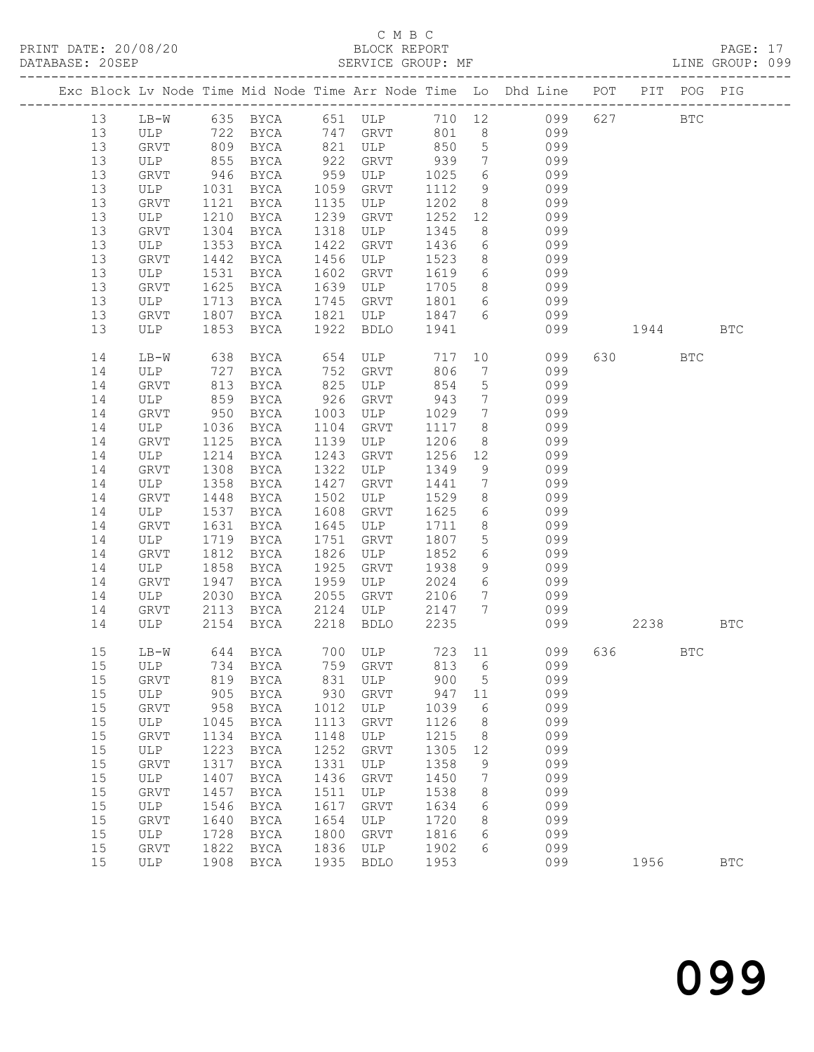PRINT DATE: 20/08/20 BLOCK REPORT BATABASE: 20SEP

## C M B C<br>BLOCK REPORT

PAGE: 17<br>LINE GROUP: 099

|    |             |                                                                                     |               |      |                     |      |                 | Exc Block Lv Node Time Mid Node Time Arr Node Time Lo Dhd Line POT PIT POG PIG                         |          |              |              |
|----|-------------|-------------------------------------------------------------------------------------|---------------|------|---------------------|------|-----------------|--------------------------------------------------------------------------------------------------------|----------|--------------|--------------|
| 13 |             |                                                                                     |               |      |                     |      |                 | LB-W 635 BYCA 651 ULP 710 12 099<br>ULP 722 BYCA 747 GRVT 801 8 099<br>GRVT 809 BYCA 821 ULP 850 5 099 | 627      | $_{\rm BTC}$ |              |
| 13 |             |                                                                                     |               |      |                     |      |                 |                                                                                                        |          |              |              |
| 13 |             |                                                                                     |               |      |                     |      |                 |                                                                                                        |          |              |              |
| 13 | ULP         | 855                                                                                 | BYCA          | 922  | GRVT                | 939  | $7\overline{ }$ | 099                                                                                                    |          |              |              |
| 13 | GRVT        | $946$                                                                               | BYCA          | 959  | ULP                 | 1025 | $6\overline{6}$ | 099                                                                                                    |          |              |              |
| 13 | ULP         | 1031                                                                                | BYCA          | 1059 | GRVT                | 1112 | 9               | 099                                                                                                    |          |              |              |
| 13 | GRVT        | 1121                                                                                | BYCA          | 1135 | ULP                 | 1202 |                 | 8 099                                                                                                  |          |              |              |
| 13 | ULP         | 1210                                                                                | BYCA          | 1239 | GRVT                | 1252 | 12              | 099                                                                                                    |          |              |              |
| 13 | GRVT        | 1304                                                                                | BYCA          | 1318 | ULP                 | 1345 | 8               | 099                                                                                                    |          |              |              |
| 13 | ULP         | 1353                                                                                | BYCA          | 1422 | GRVT                | 1436 | 6               | 099                                                                                                    |          |              |              |
| 13 | GRVT        | 1442                                                                                | BYCA          | 1456 | ULP                 | 1523 | 8 <sup>8</sup>  | 099                                                                                                    |          |              |              |
| 13 | ULP         | 1531                                                                                | BYCA          | 1602 | GRVT                | 1619 | 6               | 099                                                                                                    |          |              |              |
| 13 | GRVT        | 1625                                                                                | BYCA          | 1639 | ULP                 | 1705 | 8               | 099                                                                                                    |          |              |              |
| 13 | ULP         | 1713                                                                                | BYCA          | 1745 | GRVT                | 1801 | 6               | 099                                                                                                    |          |              |              |
| 13 | GRVT        | 1807                                                                                | BYCA          | 1821 | ULP                 | 1847 | $6\overline{6}$ | 099                                                                                                    |          |              |              |
| 13 | ULP         | 1853                                                                                | BYCA          | 1922 | BDLO                | 1941 |                 | 099                                                                                                    | 1944     |              | <b>BTC</b>   |
| 14 | LB-W        | $\begin{array}{c} \begin{array}{c} \circ \\ \circ \\ \circ \end{array} \end{array}$ | BYCA          |      | 654 ULP<br>752 GRVT | 717  | 10              | 099                                                                                                    | 630 000  | BTC          |              |
| 14 | ULP         | 727                                                                                 | BYCA          |      |                     | 806  | $7\overline{ }$ | 099                                                                                                    |          |              |              |
| 14 | GRVT        | 813                                                                                 | BYCA          | 825  | ULP                 | 854  | $5\overline{)}$ | 099                                                                                                    |          |              |              |
| 14 | ULP         | 859                                                                                 | BYCA          | 926  | GRVT                | 943  | $\overline{7}$  | 099                                                                                                    |          |              |              |
| 14 | GRVT        | 950                                                                                 | BYCA          | 1003 | ULP                 | 1029 | $7\overline{ }$ | 099                                                                                                    |          |              |              |
| 14 | ULP         | 1036                                                                                | BYCA          | 1104 | GRVT                | 1117 | 8 <sup>8</sup>  | 099                                                                                                    |          |              |              |
| 14 | GRVT        | 1125                                                                                | BYCA          | 1139 | ULP                 | 1206 | 8 <sup>8</sup>  | 099                                                                                                    |          |              |              |
| 14 | ULP         | 1214                                                                                | BYCA          | 1243 | GRVT                | 1256 | 12              | 099                                                                                                    |          |              |              |
| 14 | GRVT        | 1308                                                                                | BYCA          | 1322 | ULP                 | 1349 | 9               | 099                                                                                                    |          |              |              |
| 14 | ULP         | 1358                                                                                | BYCA          | 1427 | GRVT                | 1441 | $7\overline{ }$ | 099                                                                                                    |          |              |              |
| 14 | GRVT        | 1448                                                                                | BYCA          | 1502 | ULP                 | 1529 | 8 <sup>8</sup>  | 099                                                                                                    |          |              |              |
| 14 | ULP         | 1537                                                                                | BYCA          | 1608 | GRVT                | 1625 | 6               | 099                                                                                                    |          |              |              |
| 14 | GRVT        | 1631                                                                                | BYCA          | 1645 | ULP                 | 1711 | 8               | 099                                                                                                    |          |              |              |
| 14 | ULP         | 1719                                                                                | BYCA          | 1751 | GRVT                | 1807 | 5 <sup>7</sup>  | 099                                                                                                    |          |              |              |
| 14 | GRVT        | 1812                                                                                | BYCA          | 1826 | ULP                 | 1852 | 6               | 099                                                                                                    |          |              |              |
| 14 | ULP         | 1858                                                                                | BYCA          | 1925 | GRVT                | 1938 | 9               | 099                                                                                                    |          |              |              |
| 14 | GRVT        | 1947                                                                                | BYCA          | 1959 | ULP                 | 2024 | 6 <sup>1</sup>  | 099                                                                                                    |          |              |              |
| 14 | ULP         | 2030                                                                                | BYCA          | 2055 | GRVT                | 2106 | $7\overline{ }$ | 099                                                                                                    |          |              |              |
| 14 | GRVT        | 2113                                                                                | BYCA          | 2124 | ULP                 | 2147 | $7\overline{ }$ | 099                                                                                                    |          |              |              |
| 14 | ULP         | 2154                                                                                | BYCA          | 2218 | <b>BDLO</b>         | 2235 |                 | 099                                                                                                    | 2238 BTC |              |              |
| 15 | LB-W        |                                                                                     | 644 BYCA      |      | 700 ULP 723 11      |      |                 | 099                                                                                                    | 636 100  | BTC          |              |
|    |             |                                                                                     |               |      |                     |      |                 | 15 ULP 734 BYCA 759 GRVT 813 6 099                                                                     |          |              |              |
| 15 | GRVT        | 819                                                                                 | BYCA          | 831  | ULP                 | 900  | 5               | 099                                                                                                    |          |              |              |
| 15 | ULP         | 905                                                                                 | <b>BYCA</b>   | 930  | <b>GRVT</b>         | 947  | 11              | 099                                                                                                    |          |              |              |
| 15 | <b>GRVT</b> | 958                                                                                 | BYCA          | 1012 | ULP                 | 1039 | 6               | 099                                                                                                    |          |              |              |
| 15 | ULP         | 1045                                                                                | BYCA          | 1113 | GRVT                | 1126 | 8               | 099                                                                                                    |          |              |              |
| 15 | GRVT        | 1134                                                                                | $_{\rm BYCA}$ | 1148 | ULP                 | 1215 | 8               | 099                                                                                                    |          |              |              |
| 15 | ULP         | 1223                                                                                | BYCA          | 1252 | GRVT                | 1305 | 12              | 099                                                                                                    |          |              |              |
| 15 | GRVT        | 1317                                                                                | <b>BYCA</b>   | 1331 | ULP                 | 1358 | 9               | 099                                                                                                    |          |              |              |
| 15 | ULP         | 1407                                                                                | BYCA          | 1436 | GRVT                | 1450 | 7               | 099                                                                                                    |          |              |              |
| 15 | GRVT        | 1457                                                                                | <b>BYCA</b>   | 1511 | ULP                 | 1538 | 8               | 099                                                                                                    |          |              |              |
| 15 | ULP         | 1546                                                                                | BYCA          | 1617 | GRVT                | 1634 | 6               | 099                                                                                                    |          |              |              |
| 15 | GRVT        | 1640                                                                                | <b>BYCA</b>   | 1654 | ULP                 | 1720 | 8               | 099                                                                                                    |          |              |              |
| 15 | ULP         | 1728                                                                                | BYCA          | 1800 | GRVT                | 1816 | 6               | 099                                                                                                    |          |              |              |
| 15 | GRVT        | 1822                                                                                | BYCA          | 1836 | ULP                 | 1902 | 6               | 099                                                                                                    |          |              |              |
| 15 | ULP         | 1908                                                                                | BYCA          | 1935 | <b>BDLO</b>         | 1953 |                 | 099                                                                                                    | 1956     |              | $_{\rm BTC}$ |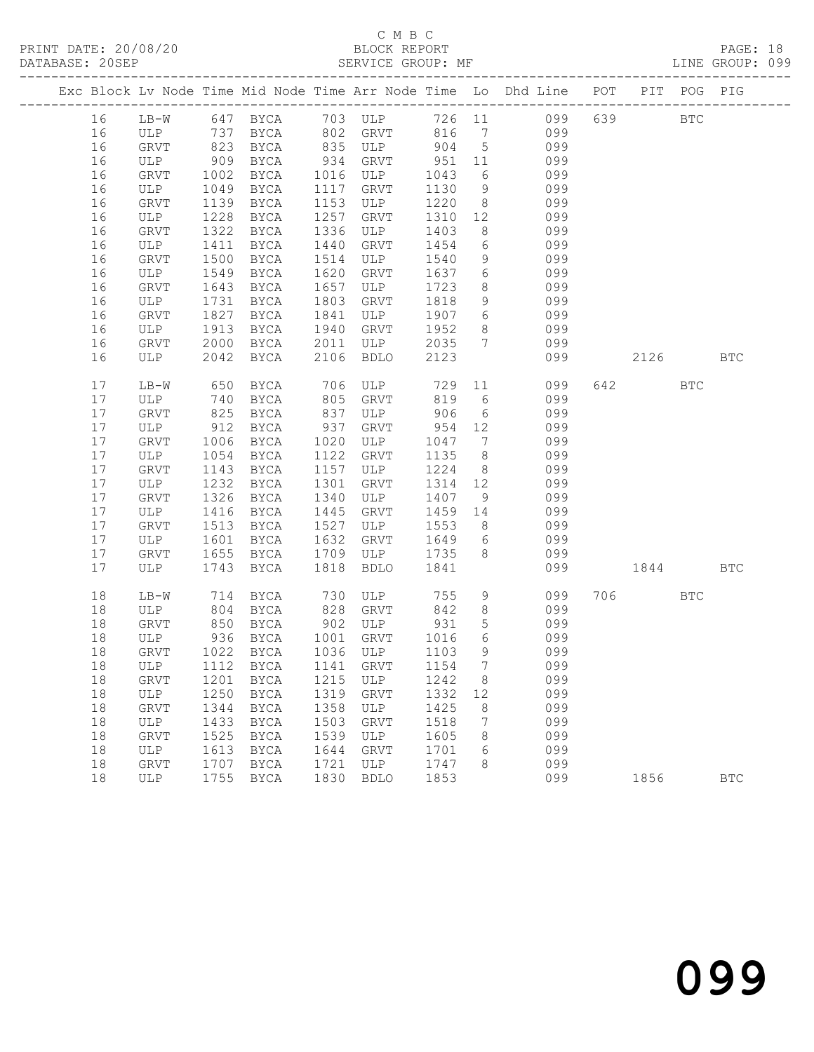### C M B C DATABASE: 20SEP SERVICE GROUP: MF LINE GROUP: 099

|    |                                   |            |             |      |                     |         |                 | Exc Block Lv Node Time Mid Node Time Arr Node Time Lo Dhd Line POT PIT POG PIG                         |         |            |              |
|----|-----------------------------------|------------|-------------|------|---------------------|---------|-----------------|--------------------------------------------------------------------------------------------------------|---------|------------|--------------|
| 16 |                                   |            |             |      |                     |         |                 | LB-W 647 BYCA 703 ULP 726 11 099<br>ULP 737 BYCA 802 GRVT 816 7 099<br>GRVT 823 BYCA 835 ULP 904 5 099 | 639     | <b>BTC</b> |              |
| 16 |                                   |            |             |      |                     |         |                 |                                                                                                        |         |            |              |
| 16 |                                   |            |             |      |                     |         |                 |                                                                                                        |         |            |              |
| 16 | ULP                               | 909        | BYCA        | 934  | GRVT                | 951 11  |                 | 099                                                                                                    |         |            |              |
| 16 | GRVT                              | 1002       | BYCA        | 1016 | ULP                 | 1043    | 6               | 099                                                                                                    |         |            |              |
| 16 | ULP                               | 1049       | BYCA        | 1117 | GRVT                | 1130    | 9               | 099                                                                                                    |         |            |              |
| 16 | GRVT                              | 1139       | BYCA        | 1153 | ULP                 | 1220    |                 | 8 099                                                                                                  |         |            |              |
| 16 | ULP                               | 1228       | BYCA        | 1257 | GRVT                | 1310    | 12              | 099                                                                                                    |         |            |              |
| 16 | GRVT                              | 1322       | BYCA        | 1336 | ULP                 | 1403    | 8               | 099                                                                                                    |         |            |              |
| 16 | ULP                               | 1411       | BYCA        | 1440 | GRVT                | 1454    | 6               | 099                                                                                                    |         |            |              |
| 16 | GRVT                              | 1500       | BYCA        | 1514 | ULP                 | 1540    | 9               | 099                                                                                                    |         |            |              |
| 16 | ULP                               | 1549       | BYCA        | 1620 | GRVT                | 1637    | $6\overline{6}$ | 099                                                                                                    |         |            |              |
| 16 | GRVT                              | 1643       | BYCA        | 1657 | ULP                 | 1723    | 8               | 099                                                                                                    |         |            |              |
| 16 | ULP                               | 1731       | BYCA        | 1803 | GRVT                | 1818    | 9               | 099                                                                                                    |         |            |              |
| 16 | GRVT                              | 1827       | BYCA        | 1841 | ULP                 | 1907    | $6\overline{6}$ | 099                                                                                                    |         |            |              |
| 16 | ULP                               | 1913       | BYCA        | 1940 | GRVT                | 1952    |                 | 8 099                                                                                                  |         |            |              |
| 16 | <b>GRVT</b>                       | 2000       | BYCA        | 2011 | ULP                 | 2035    |                 | 7 099                                                                                                  |         |            |              |
| 16 | ULP                               | 2042       | BYCA        | 2106 | <b>BDLO</b>         | 2123    |                 | 099                                                                                                    | 2126    |            | <b>BTC</b>   |
| 17 | LB-W                              | 650        | <b>BYCA</b> |      | 706 ULP 729 11      |         |                 | 099                                                                                                    | 642 64  | <b>BTC</b> |              |
| 17 | ULP                               | 740        | BYCA        | 805  | GRVT                | 819     | 6               | 099                                                                                                    |         |            |              |
| 17 | GRVT                              | 825<br>912 | BYCA        | 837  | ULP                 | 906     | $6\overline{6}$ | 099                                                                                                    |         |            |              |
| 17 | ULP                               |            | BYCA        | 937  | GRVT                | 954     | 12              | 099                                                                                                    |         |            |              |
| 17 | GRVT                              | 1006       | BYCA        | 1020 | ULP                 | 1047    | $\overline{7}$  | 099                                                                                                    |         |            |              |
| 17 | ULP                               | 1054       | BYCA        | 1122 | GRVT                | 1135    | 8 <sup>8</sup>  | 099                                                                                                    |         |            |              |
| 17 | GRVT                              | 1143       | BYCA        | 1157 | ULP                 | 1224    | 8 <sup>8</sup>  | 099                                                                                                    |         |            |              |
| 17 | ULP                               | 1232       | BYCA        | 1301 | GRVT                | 1314 12 |                 | 099                                                                                                    |         |            |              |
| 17 | GRVT                              | 1326       | BYCA        | 1340 | ULP                 | 1407    | 9               | 099                                                                                                    |         |            |              |
| 17 | ULP                               | 1416       | BYCA        | 1445 | GRVT                | 1459 14 |                 | 099                                                                                                    |         |            |              |
| 17 | GRVT                              | 1513       | BYCA        | 1527 | ULP                 | 1553    | 8 <sup>8</sup>  | 099                                                                                                    |         |            |              |
| 17 | ULP                               | 1601       | BYCA        | 1632 | GRVT                | 1649    | $6\overline{6}$ | 099                                                                                                    |         |            |              |
| 17 | GRVT                              | 1655       | BYCA        | 1709 | ULP                 | 1735    | 8 <sup>8</sup>  | 099                                                                                                    |         |            |              |
| 17 | ULP                               | 1743       | BYCA        | 1818 | BDLO                | 1841    |                 | 099                                                                                                    | 1844    |            | <b>BTC</b>   |
| 18 | LB-W                              | 714        | BYCA        |      | 730 ULP<br>828 GRVT | 755     | 9               | 099                                                                                                    | 706 700 | BTC        |              |
| 18 | ULP                               | 804        | BYCA        |      |                     | 842     | 8               | 099                                                                                                    |         |            |              |
| 18 | GRVT                              | 850        | BYCA        |      | 902 ULP             | 931     | $5\overline{)}$ | 099                                                                                                    |         |            |              |
| 18 | ULP                               | 936        | BYCA        | 1001 | GRVT                | 1016    | 6               | 099                                                                                                    |         |            |              |
| 18 | GRVT                              | 1022       | <b>BYCA</b> |      | 1036 ULP            | 1103    | 9               | 099                                                                                                    |         |            |              |
|    | 18 ULP 1112 BYCA 1141 GRVT 1154 7 |            |             |      |                     |         |                 | 099                                                                                                    |         |            |              |
| 18 | ${\tt GRVT}$                      | 1201       | BYCA        | 1215 | ULP                 | 1242    | 8               | 099                                                                                                    |         |            |              |
| 18 | ULP                               | 1250       | BYCA        | 1319 | GRVT                | 1332    | 12              | 099                                                                                                    |         |            |              |
| 18 | GRVT                              | 1344       | BYCA        | 1358 | ULP                 | 1425    | 8               | 099                                                                                                    |         |            |              |
| 18 | ULP                               | 1433       | <b>BYCA</b> | 1503 | GRVT                | 1518    | 7               | 099                                                                                                    |         |            |              |
| 18 | GRVT                              | 1525       | BYCA        | 1539 | ULP                 | 1605    | 8               | 099                                                                                                    |         |            |              |
| 18 | ULP                               | 1613       | BYCA        | 1644 | GRVT                | 1701    | 6               | 099                                                                                                    |         |            |              |
| 18 | GRVT                              | 1707       | BYCA        | 1721 | ULP                 | 1747    | 8               | 099                                                                                                    |         |            |              |
| 18 | ULP                               | 1755       | <b>BYCA</b> | 1830 | <b>BDLO</b>         | 1853    |                 | 099                                                                                                    | 1856    |            | $_{\rm BTC}$ |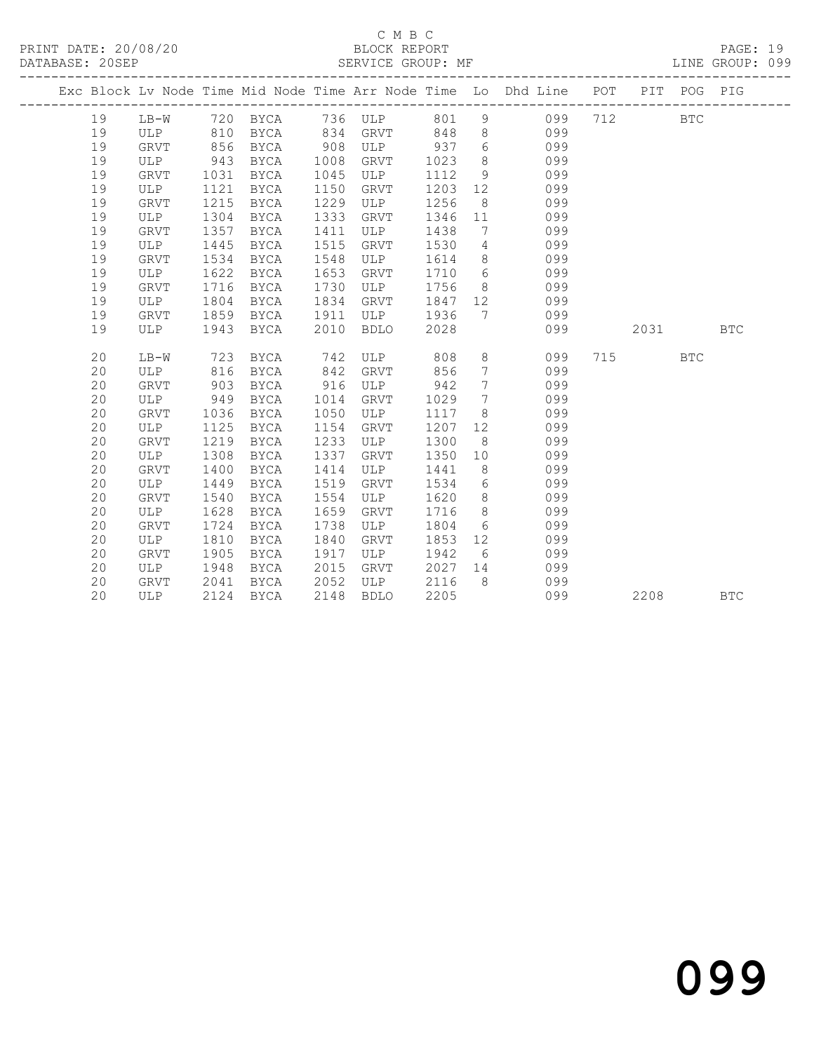PRINT DATE: 20/08/20 BLOCK REPORT DATABASE: 20SEP

## C M B C<br>BLOCK REPORT

PAGE: 19<br>LINE GROUP: 099

|    |             |      |           |      |             |         |                 | Exc Block Lv Node Time Mid Node Time Arr Node Time Lo Dhd Line POT PIT POG PIG |      |            |            |
|----|-------------|------|-----------|------|-------------|---------|-----------------|--------------------------------------------------------------------------------|------|------------|------------|
| 19 | LB-W        |      |           |      |             |         |                 | 720 BYCA 736 ULP 801 9 099                                                     | 712  | <b>BTC</b> |            |
| 19 | ULP 810     |      | BYCA      |      | 834 GRVT    | 848     |                 | 8 099                                                                          |      |            |            |
| 19 | <b>GRVT</b> | 856  | BYCA      | 908  | ULP         | 937     | 6               | 099                                                                            |      |            |            |
| 19 | ULP         | 943  | BYCA      | 1008 | GRVT        | 1023    | 8 <sup>8</sup>  | 099                                                                            |      |            |            |
| 19 | GRVT        | 1031 | BYCA      | 1045 | ULP         | 1112    | 9               | 099                                                                            |      |            |            |
| 19 | ULP         | 1121 | BYCA      | 1150 | GRVT        | 1203    | 12              | 099                                                                            |      |            |            |
| 19 | <b>GRVT</b> | 1215 | BYCA      | 1229 | ULP         | 1256    | 8 <sup>8</sup>  | 099                                                                            |      |            |            |
| 19 | ULP         | 1304 | BYCA      | 1333 | GRVT        | 1346    | 11              | 099                                                                            |      |            |            |
| 19 | GRVT        | 1357 | BYCA      | 1411 | ULP         | 1438    | $\overline{7}$  | 099                                                                            |      |            |            |
| 19 | ULP         | 1445 | BYCA      | 1515 | GRVT        | 1530    | $\overline{4}$  | 099                                                                            |      |            |            |
| 19 | <b>GRVT</b> | 1534 | BYCA      | 1548 | ULP         | 1614    | 8 <sup>8</sup>  | 099                                                                            |      |            |            |
| 19 | ULP         | 1622 | BYCA      | 1653 | GRVT        | 1710    | $6\overline{6}$ | 099                                                                            |      |            |            |
| 19 | GRVT        | 1716 | BYCA      | 1730 | ULP         | 1756    | 8 <sup>8</sup>  | 099                                                                            |      |            |            |
| 19 | ULP         | 1804 | BYCA      | 1834 | GRVT        | 1847    | 12              | 099                                                                            |      |            |            |
| 19 | <b>GRVT</b> | 1859 | BYCA      | 1911 | ULP         | 1936    | $7\overline{ }$ | 099                                                                            |      |            |            |
| 19 | ULP         | 1943 | BYCA      | 2010 | <b>BDLO</b> | 2028    |                 | 099                                                                            | 2031 |            | <b>BTC</b> |
|    |             |      |           |      |             |         |                 |                                                                                |      |            |            |
| 20 | LB-W        | 723  | BYCA      | 742  | ULP         | 808     | 8               | 099                                                                            | 715  | <b>BTC</b> |            |
| 20 | ULP         | 816  | BYCA      | 842  | GRVT        | 856     | $7\phantom{.0}$ | 099                                                                            |      |            |            |
| 20 | <b>GRVT</b> | 903  | BYCA      | 916  | ULP         | 942     | $7\phantom{.0}$ | 099                                                                            |      |            |            |
| 20 | ULP         | 949  | BYCA      | 1014 | GRVT        | 1029    | $7\phantom{.0}$ | 099                                                                            |      |            |            |
| 20 | <b>GRVT</b> | 1036 | BYCA      | 1050 | ULP         | 1117    | 8               | 099                                                                            |      |            |            |
| 20 | ULP         | 1125 | BYCA      | 1154 | GRVT        | 1207    | 12              | 099                                                                            |      |            |            |
| 20 | <b>GRVT</b> | 1219 | BYCA      | 1233 | ULP         | 1300    | 8 <sup>8</sup>  | 099                                                                            |      |            |            |
| 20 | ULP         | 1308 | BYCA      | 1337 | GRVT        | 1350    | 10              | 099                                                                            |      |            |            |
| 20 | <b>GRVT</b> | 1400 | BYCA      | 1414 | ULP         | 1441    | 8 <sup>8</sup>  | 099                                                                            |      |            |            |
| 20 | ULP         | 1449 | BYCA      | 1519 | GRVT        | 1534    | 6               | 099                                                                            |      |            |            |
| 20 | <b>GRVT</b> | 1540 | BYCA      | 1554 | ULP         | 1620    | 8 <sup>8</sup>  | 099                                                                            |      |            |            |
| 20 | ULP         | 1628 | BYCA      | 1659 | GRVT        | 1716    | 8 <sup>8</sup>  | 099                                                                            |      |            |            |
| 20 | <b>GRVT</b> | 1724 | BYCA      | 1738 | ULP         | 1804    | 6               | 099                                                                            |      |            |            |
| 20 | ULP         | 1810 | BYCA      | 1840 | GRVT        | 1853    | 12              | 099                                                                            |      |            |            |
| 20 | GRVT        | 1905 | BYCA      | 1917 | ULP         | 1942    | 6               | 099                                                                            |      |            |            |
| 20 | ULP         | 1948 | BYCA      | 2015 | GRVT        | 2027 14 |                 | 099                                                                            |      |            |            |
| 20 | GRVT        | 2041 | BYCA      | 2052 | ULP         | 2116    | 8 <sup>8</sup>  | 099                                                                            |      |            |            |
| 20 | ULP         |      | 2124 BYCA | 2148 | BDLO        | 2205    |                 | 099                                                                            | 2208 |            | <b>BTC</b> |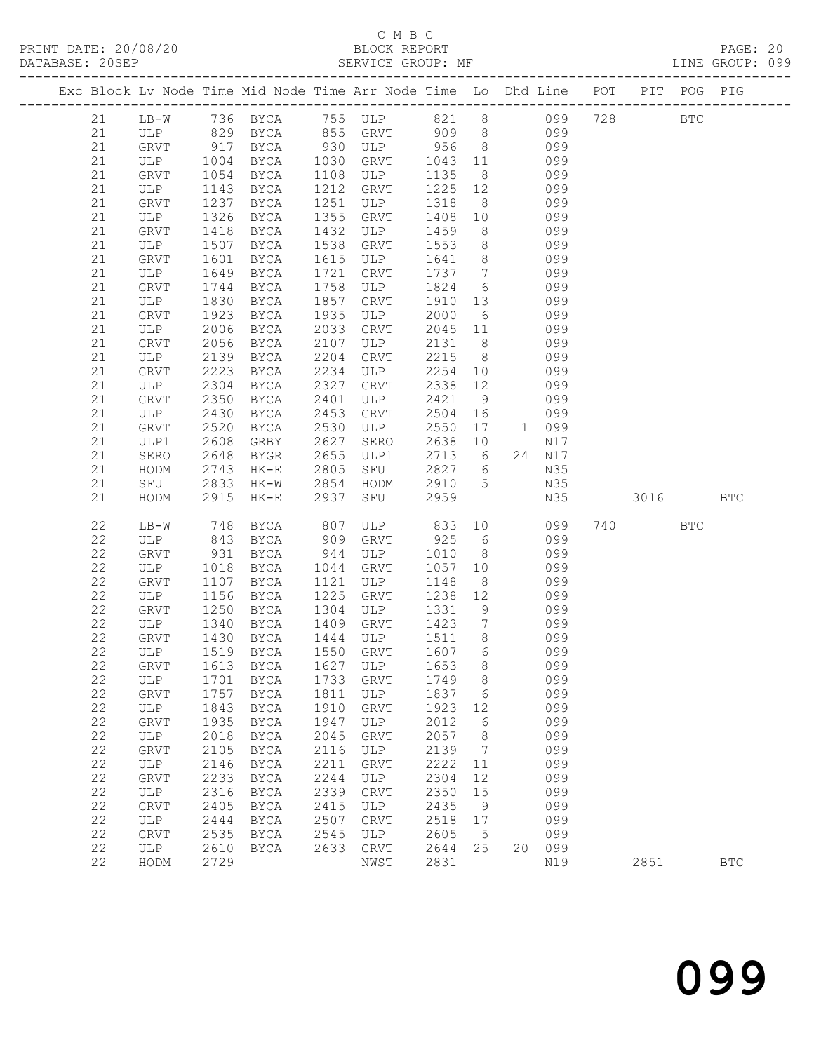### C M B C<br>BLOCK REPORT SERVICE GROUP: MF

| Exc Block Lv Node Time Mid Node Time Arr Node Time Lo Dhd Line POT PIT POG PIG |                               |              |                     |              |                                                |              |                     |    |            |     |      |              |              |
|--------------------------------------------------------------------------------|-------------------------------|--------------|---------------------|--------------|------------------------------------------------|--------------|---------------------|----|------------|-----|------|--------------|--------------|
| 21                                                                             | $LB-W$                        |              |                     |              | 736 BYCA 755 ULP 821 8                         |              |                     |    | 099        | 728 |      | $_{\rm BTC}$ |              |
| 21                                                                             |                               |              |                     |              | 855 GRVT                                       |              |                     |    | 099        |     |      |              |              |
| 21                                                                             | ULP 829 BYCA<br>GRVT 917 BYCA |              | BYCA                |              |                                                |              |                     |    | 099        |     |      |              |              |
| 21                                                                             | ULP 1004                      |              |                     |              | GRVT                                           |              |                     |    | 099        |     |      |              |              |
| 21                                                                             | GRVT                          | 1054         | BYCA                | 1030         | ULP                                            | 1043<br>1135 | 11                  |    | 099        |     |      |              |              |
|                                                                                |                               |              | BYCA                | 1108         |                                                |              | 8 <sup>8</sup>      |    |            |     |      |              |              |
| 21                                                                             | ULP                           | 1143         | BYCA                | 1212         | GRVT                                           | 1225         | 12                  |    | 099        |     |      |              |              |
| 21<br>21                                                                       | GRVT                          | 1237         | BYCA                | 1251<br>1355 | ULP                                            | 1318         | 8 <sup>8</sup>      |    | 099<br>099 |     |      |              |              |
|                                                                                | ULP                           | 1326         | BYCA                |              | GRVT                                           | 1408         | 10                  |    |            |     |      |              |              |
| 21<br>21                                                                       | GRVT                          | 1418         | BYCA                | 1432<br>1538 | ULP<br>GRVT                                    | 1459<br>1553 | 8 <sup>8</sup><br>8 |    | 099<br>099 |     |      |              |              |
| 21                                                                             | ULP<br>GRVT                   | 1507<br>1601 | BYCA<br>BYCA        | 1615         | ULP                                            | 1641         | 8 <sup>8</sup>      |    | 099        |     |      |              |              |
| 21                                                                             | ULP                           | 1649         | BYCA                | 1721         | GRVT                                           | 1737         | $7\overline{ }$     |    | 099        |     |      |              |              |
| 21                                                                             | GRVT                          | 1744         | BYCA                | 1758         | ULP                                            | 1824         | 6                   |    | 099        |     |      |              |              |
| 21                                                                             | ULP                           | 1830         | BYCA                | 1857         | GRVT                                           | 1910         | 13                  |    | 099        |     |      |              |              |
| 21                                                                             | GRVT                          | 1923         | BYCA                | 1935         | ULP                                            | 2000         | 6                   |    | 099        |     |      |              |              |
| 21                                                                             | ULP                           | 2006         | BYCA                | 2033         | GRVT                                           | 2045         | 11                  |    | 099        |     |      |              |              |
| 21                                                                             | GRVT                          | 2056         | BYCA                | 2107         | ULP                                            | 2131         | 8 <sup>8</sup>      |    | 099        |     |      |              |              |
| 21                                                                             | ULP                           | 2139         | BYCA                | 2204         | GRVT                                           | 2215         | 8 <sup>8</sup>      |    | 099        |     |      |              |              |
| 21                                                                             | GRVT                          | 2223         | BYCA                | 2234         | ULP                                            | 2254         | 10                  |    | 099        |     |      |              |              |
| 21                                                                             | ULP                           | 2304         | BYCA                | 2327         | GRVT                                           | 2338         | 12                  |    | 099        |     |      |              |              |
| 21                                                                             | GRVT                          | 2350         | BYCA                | 2401         | ULP                                            | 2421         | 9                   |    | 099        |     |      |              |              |
| 21                                                                             | ULP                           | 2430         | BYCA                | 2453         | GRVT                                           | 2504         | 16                  |    | 099        |     |      |              |              |
| 21                                                                             | GRVT                          | 2520         | BYCA                | 2530         | ULP                                            | 2550         | 17                  |    | 1 099      |     |      |              |              |
| 21                                                                             | ULP1                          | 2608         | GRBY                | 2627         | SERO                                           | 2638         | 10                  |    | N17        |     |      |              |              |
| 21                                                                             | SERO                          | 2648         | BYGR                | 2655         | ULP1                                           | 2713         | $6\overline{6}$     |    | 24 N17     |     |      |              |              |
| 21                                                                             | HODM                          | 2743         | $HK-E$              | 2805         | SFU                                            | 2827         | $6\overline{6}$     |    | N35        |     |      |              |              |
| 21                                                                             | SFU                           | 2833         | HK-W                | 2854         | HODM                                           | 2910         | $5\overline{)}$     |    | N35        |     |      |              |              |
| 21                                                                             | HODM                          | 2915         | $HK-E$              | 2937         | SFU                                            | 2959         |                     |    | N35        |     | 3016 |              | <b>BTC</b>   |
|                                                                                |                               |              |                     |              |                                                |              |                     |    |            |     |      |              |              |
| 22                                                                             | LB-W                          | 748          | BYCA                | 807          | ULP                                            | 833          | 10                  |    | 099        |     | 740  | <b>BTC</b>   |              |
| 22                                                                             | ULP                           | 843          | BYCA                | 909          | GRVT                                           | 925          | 6                   |    | 099        |     |      |              |              |
| 22                                                                             | GRVT                          | 931          | BYCA                | 944          | ULP                                            | 1010         | 8 <sup>8</sup>      |    | 099        |     |      |              |              |
| 22                                                                             | ULP                           | 1018         | BYCA                | 1044         | GRVT                                           | 1057         | 10                  |    | 099        |     |      |              |              |
| 22                                                                             | GRVT                          | 1107         | BYCA                | 1121         | ULP                                            | 1148         | 8 <sup>8</sup>      |    | 099        |     |      |              |              |
| 22                                                                             | ULP                           | 1156         | BYCA                | 1225         | GRVT                                           | 1238         | 12                  |    | 099        |     |      |              |              |
| 22                                                                             | GRVT                          | 1250         | BYCA                | 1304         | ULP                                            | 1331         | 9                   |    | 099        |     |      |              |              |
| 22                                                                             | ULP                           | 1340         | BYCA                | 1409         | GRVT                                           | 1423         | $7\overline{ }$     |    | 099        |     |      |              |              |
| 22                                                                             | GRVT                          | 1430         | BYCA                |              | 1444 ULP                                       | 1511         | 8 <sup>8</sup>      |    | 099        |     |      |              |              |
| 22                                                                             | ULP                           |              | 1519 BYCA           |              | 1550 GRVT<br>22 GRVT 1613 BYCA 1627 ULP 1653 8 | 1607         | 6                   |    | 099        |     |      |              |              |
|                                                                                |                               |              |                     |              |                                                |              |                     |    | 099        |     |      |              |              |
| 22<br>22                                                                       | ULP                           | 1701<br>1757 | <b>BYCA</b>         | 1733<br>1811 | GRVT<br>ULP                                    | 1749<br>1837 | 8                   |    | 099<br>099 |     |      |              |              |
| 22                                                                             | GRVT<br>ULP                   | 1843         | BYCA<br><b>BYCA</b> | 1910         | GRVT                                           | 1923         | 6<br>12             |    | 099        |     |      |              |              |
| 22                                                                             | <b>GRVT</b>                   | 1935         | <b>BYCA</b>         | 1947         | ULP                                            | 2012         | 6                   |    | 099        |     |      |              |              |
| 22                                                                             | ULP                           | 2018         | <b>BYCA</b>         | 2045         | GRVT                                           | 2057         | 8                   |    | 099        |     |      |              |              |
| 22                                                                             | GRVT                          | 2105         | <b>BYCA</b>         | 2116         | ULP                                            | 2139         | 7                   |    | 099        |     |      |              |              |
| 22                                                                             | ULP                           | 2146         | <b>BYCA</b>         | 2211         | GRVT                                           | 2222         | 11                  |    | 099        |     |      |              |              |
| 22                                                                             | GRVT                          | 2233         | <b>BYCA</b>         | 2244         | ULP                                            | 2304         | 12                  |    | 099        |     |      |              |              |
| 22                                                                             | ULP                           | 2316         | <b>BYCA</b>         | 2339         | GRVT                                           | 2350         | 15                  |    | 099        |     |      |              |              |
| 22                                                                             | GRVT                          | 2405         | <b>BYCA</b>         | 2415         | ULP                                            | 2435         | 9                   |    | 099        |     |      |              |              |
| 22                                                                             | ULP                           | 2444         | <b>BYCA</b>         | 2507         | GRVT                                           | 2518         | 17                  |    | 099        |     |      |              |              |
| 22                                                                             | GRVT                          | 2535         | <b>BYCA</b>         | 2545         | ULP                                            | 2605         | 5                   |    | 099        |     |      |              |              |
| 22                                                                             | ULP                           | 2610         | BYCA                | 2633         | GRVT                                           | 2644         | 25                  | 20 | 099        |     |      |              |              |
| 22                                                                             | HODM                          | 2729         |                     |              | NWST                                           | 2831         |                     |    | N19        |     | 2851 |              | $_{\rm BTC}$ |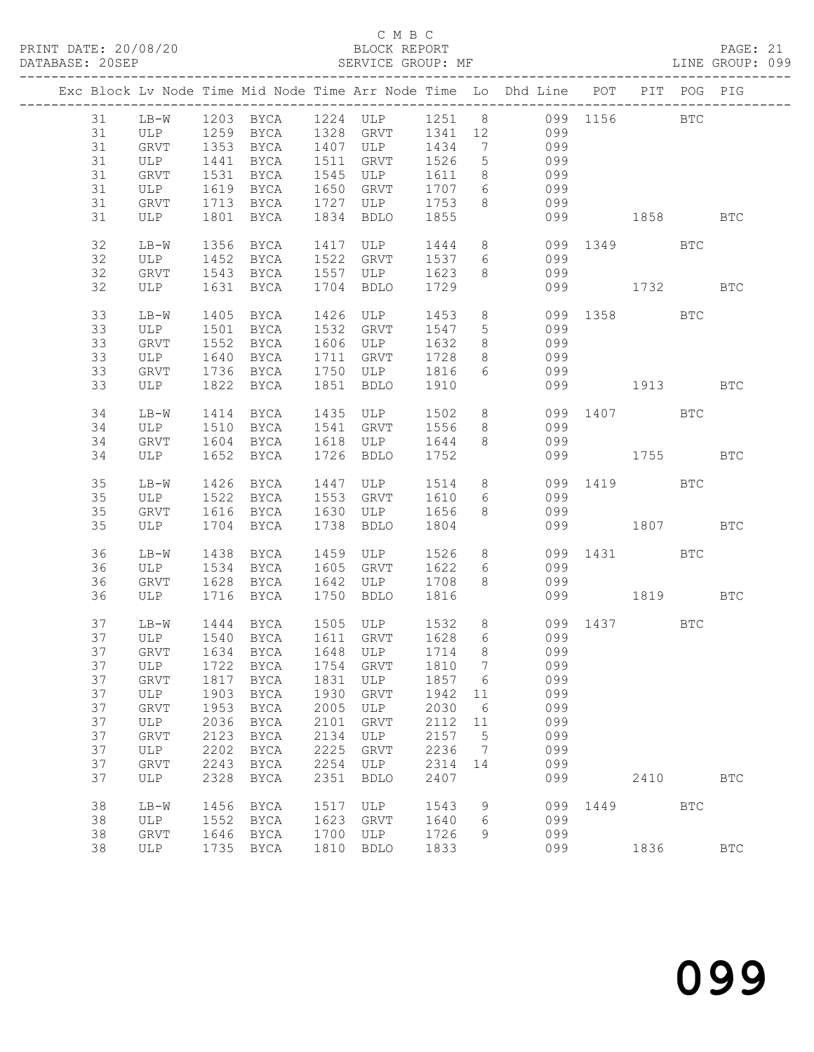### C M B C<br>BLOCK REPORT SERVICE GROUP: MF

|  |    |             |      |                        |      |                                                     |         |                 | Exc Block Lv Node Time Mid Node Time Arr Node Time Lo Dhd Line POT PIT POG PIG |              |      |            |            |
|--|----|-------------|------|------------------------|------|-----------------------------------------------------|---------|-----------------|--------------------------------------------------------------------------------|--------------|------|------------|------------|
|  | 31 |             |      |                        |      |                                                     |         |                 | LB-W 1203 BYCA 1224 ULP 1251 8 099 1156 BTC                                    |              |      |            |            |
|  | 31 |             |      |                        |      |                                                     |         |                 | ULP 1259 BYCA 1328 GRVT 1341 12 099                                            |              |      |            |            |
|  | 31 | GRVT        |      |                        |      | 1353 BYCA 1407 ULP 1434                             |         | $7\overline{ }$ | 099                                                                            |              |      |            |            |
|  | 31 | ULP         | 1441 | <b>BYCA</b>            |      | 1511 GRVT                                           | 1526    | $5\overline{)}$ | 099                                                                            |              |      |            |            |
|  | 31 | GRVT        | 1531 | BYCA                   |      | 1545 ULP                                            | 1611    | 8 <sup>8</sup>  | 099                                                                            |              |      |            |            |
|  | 31 | ULP         |      | 1619 BYCA              |      | 1650 GRVT                                           | 1707 6  |                 | 099                                                                            |              |      |            |            |
|  | 31 | GRVT        |      |                        |      | 1713 BYCA 1727 ULP 1753                             |         | 8 <sup>8</sup>  | 099                                                                            |              |      |            |            |
|  | 31 | ULP         |      | 1801 BYCA              |      | 1834 BDLO                                           | 1855    |                 |                                                                                | 099 1858     |      |            | <b>BTC</b> |
|  |    |             |      |                        |      |                                                     |         |                 |                                                                                |              |      |            |            |
|  | 32 | $LB-W$      |      | 1356 BYCA              |      | 1417 ULP                                            |         |                 | 1444 8                                                                         | 099 1349 BTC |      |            |            |
|  | 32 | ULP         |      |                        |      |                                                     |         |                 | 1452 BYCA 1522 GRVT 1537 6 099                                                 |              |      |            |            |
|  | 32 | GRVT        |      | 1543 BYCA 1557 ULP     |      |                                                     | 1623    | 8 <sup>8</sup>  | 099                                                                            |              |      |            |            |
|  | 32 | ULP         |      | 1631 BYCA              |      | 1704 BDLO                                           | 1729    |                 |                                                                                | 099 1732     |      |            | BTC        |
|  |    |             |      |                        |      |                                                     |         |                 |                                                                                |              |      |            |            |
|  | 33 | $LB-W$      | 1405 | BYCA                   |      | 1426 ULP                                            | 1453    | 8 <sup>8</sup>  |                                                                                | 099 1358     |      | <b>BTC</b> |            |
|  | 33 | ULP         |      | 1501 BYCA 1532 GRVT    |      |                                                     | 1547    | $5\phantom{.0}$ | 099                                                                            |              |      |            |            |
|  | 33 | GRVT        |      |                        |      |                                                     |         | 8 <sup>8</sup>  | 099                                                                            |              |      |            |            |
|  | 33 | ULP         |      | 1552 BYCA<br>1640 BYCA |      | 1606 ULP 1632<br>1711 GRVT 1728                     |         | 8 <sup>8</sup>  | 099                                                                            |              |      |            |            |
|  | 33 | GRVT        |      |                        |      | 1736 BYCA 1750 ULP 1816                             |         | 6               | 099                                                                            |              |      |            |            |
|  | 33 | ULP         |      | 1822 BYCA              |      | 1851 BDLO                                           | 1910    |                 |                                                                                | 099 1913 BTC |      |            |            |
|  |    |             |      |                        |      |                                                     |         |                 |                                                                                |              |      |            |            |
|  | 34 | $LB-W$      |      | 1414 BYCA              |      | 1435 ULP                                            | 1502 8  |                 |                                                                                | 099 1407 BTC |      |            |            |
|  | 34 | ULP         | 1510 |                        |      | BYCA 1541 GRVT 1556                                 |         | 8 <sup>8</sup>  | 099                                                                            |              |      |            |            |
|  | 34 | GRVT        |      |                        |      | 1604 BYCA 1618 ULP                                  | 1644    | 8 <sup>8</sup>  | 099                                                                            |              |      |            |            |
|  | 34 | ULP         |      | 1652 BYCA              |      | 1726 BDLO                                           | 1752    |                 |                                                                                | 099 1755     |      |            | <b>BTC</b> |
|  |    |             |      |                        |      |                                                     |         |                 |                                                                                |              |      |            |            |
|  | 35 | LB-W        |      | 1426 BYCA              |      | 1447 ULP                                            | 1514 8  |                 |                                                                                | 099 1419 BTC |      |            |            |
|  | 35 | ULP         |      |                        |      | 1522 BYCA 1553 GRVT 1610                            |         | $6\overline{6}$ | 099                                                                            |              |      |            |            |
|  | 35 | GRVT        |      | 1616 BYCA              |      | 1630 ULP                                            | 1656    | 8               | 099                                                                            |              |      |            |            |
|  | 35 | ULP         |      | 1704 BYCA              |      | 1738 BDLO                                           | 1804    |                 |                                                                                | 099 1807     |      |            | <b>BTC</b> |
|  |    |             |      |                        |      |                                                     |         |                 |                                                                                |              |      |            |            |
|  | 36 | LB-W        |      | 1438 BYCA              |      | 1459 ULP 1526                                       |         | 8               |                                                                                | 099 1431     |      | BTC        |            |
|  | 36 | ULP         |      | 1534 BYCA              |      | 1605 GRVT                                           | 1622    | 6               | 099                                                                            |              |      |            |            |
|  | 36 | GRVT        |      | 1628 BYCA              |      | 1642 ULP                                            | 1708    | 8               | 099                                                                            |              |      |            |            |
|  | 36 | ULP         |      | 1716 BYCA              |      | 1750 BDLO                                           | 1816    |                 |                                                                                | 099 1819 BTC |      |            |            |
|  | 37 | $LB-W$      |      |                        |      | 1444 BYCA 1505 ULP                                  | 1532    | 8 <sup>1</sup>  | 099 1437 BTC                                                                   |              |      |            |            |
|  | 37 | ULP         |      |                        |      |                                                     |         | $6\overline{6}$ | 099                                                                            |              |      |            |            |
|  | 37 | GRVT        |      |                        |      | 1540 BYCA 1611 GRVT 1628<br>1634 BYCA 1648 ULP 1714 |         | 8 <sup>8</sup>  | 099                                                                            |              |      |            |            |
|  |    |             |      |                        |      |                                                     |         |                 | 37 ULP 1722 BYCA 1754 GRVT 1810 7 099                                          |              |      |            |            |
|  | 37 | GRVT        |      | 1817 BYCA              | 1831 | ULP                                                 | 1857    | 6               | 099                                                                            |              |      |            |            |
|  | 37 | ULP         | 1903 | BYCA                   | 1930 | GRVT                                                | 1942 11 |                 | 099                                                                            |              |      |            |            |
|  | 37 | GRVT        | 1953 | BYCA                   | 2005 | ULP                                                 | 2030    | 6               | 099                                                                            |              |      |            |            |
|  | 37 | ULP         | 2036 | BYCA                   | 2101 | GRVT                                                | 2112    | 11              | 099                                                                            |              |      |            |            |
|  | 37 | GRVT        | 2123 | BYCA                   | 2134 | ULP                                                 | 2157    | $5^{\circ}$     | 099                                                                            |              |      |            |            |
|  | 37 | ULP         | 2202 | BYCA                   | 2225 | GRVT                                                | 2236    | $\overline{7}$  | 099                                                                            |              |      |            |            |
|  | 37 | GRVT        | 2243 | BYCA                   | 2254 | ULP                                                 | 2314 14 |                 | 099                                                                            |              |      |            |            |
|  | 37 | ULP         | 2328 | BYCA                   | 2351 | <b>BDLO</b>                                         | 2407    |                 | 099                                                                            |              | 2410 |            | <b>BTC</b> |
|  |    |             |      |                        |      |                                                     |         |                 |                                                                                |              |      |            |            |
|  | 38 | LB-W        | 1456 | BYCA                   | 1517 | ULP                                                 | 1543    | 9               | 099                                                                            |              | 1449 | <b>BTC</b> |            |
|  | 38 | ULP         | 1552 | BYCA                   | 1623 | GRVT                                                | 1640    | 6               | 099                                                                            |              |      |            |            |
|  | 38 | <b>GRVT</b> | 1646 | BYCA                   | 1700 | ULP                                                 | 1726    | 9               | 099                                                                            |              |      |            |            |
|  | 38 | ULP         |      | 1735 BYCA              | 1810 | BDLO                                                | 1833    |                 | 099                                                                            |              | 1836 |            | <b>BTC</b> |
|  |    |             |      |                        |      |                                                     |         |                 |                                                                                |              |      |            |            |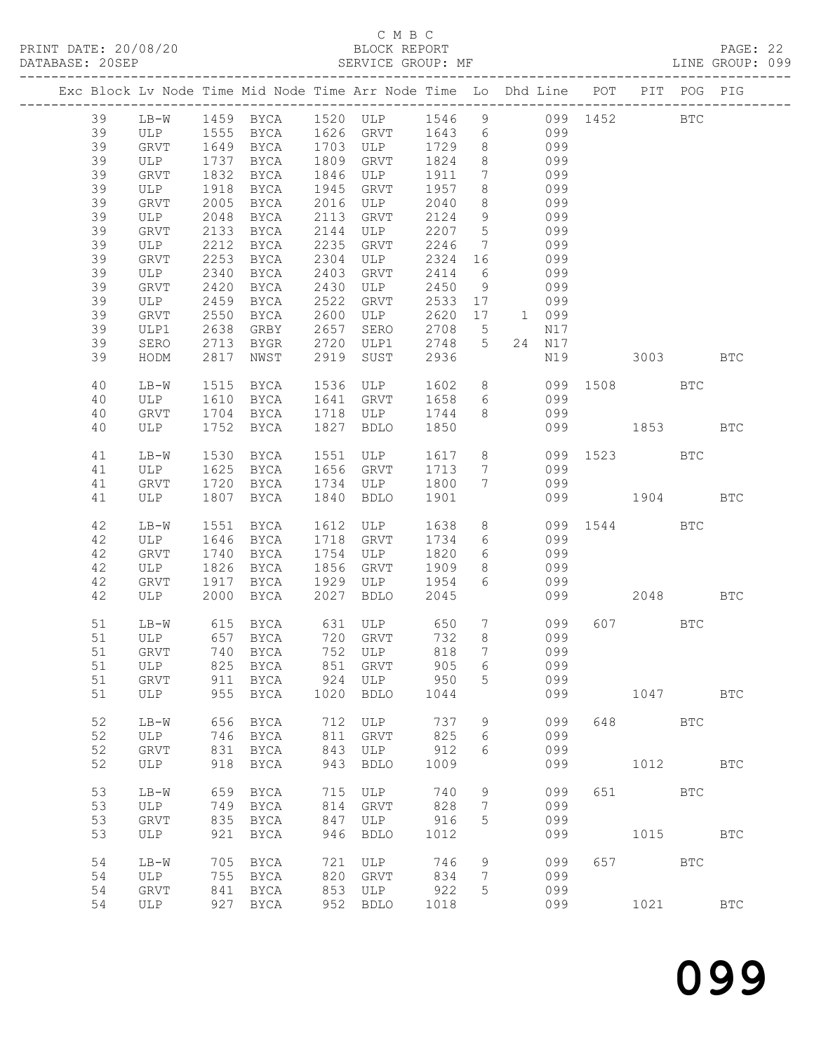### C M B C<br>BLOCK REPORT SERVICE GROUP: MF

|  |          |             |              |                      |              | Exc Block Lv Node Time Mid Node Time Arr Node Time Lo Dhd Line POT PIT POG PIG |              |                               |                 |            |              |         |              |            |
|--|----------|-------------|--------------|----------------------|--------------|--------------------------------------------------------------------------------|--------------|-------------------------------|-----------------|------------|--------------|---------|--------------|------------|
|  | 39       |             |              |                      |              | LB-W 1459 BYCA 1520 ULP 1546 9 099 1452                                        |              |                               |                 |            |              |         | BTC          |            |
|  | 39       |             |              |                      |              | ULP 1555 BYCA 1626 GRVT 1643 6<br>GRVT 1649 BYCA 1703 ULP 1729 8               |              |                               |                 | 099        |              |         |              |            |
|  | 39       |             |              |                      |              | 1703 ULP<br>1809 GRVT                                                          |              |                               |                 | 099        |              |         |              |            |
|  | 39       | ULP         | 1737         | BYCA                 |              |                                                                                | 1824         | 8                             |                 | 099        |              |         |              |            |
|  | 39       | GRVT        | 1832         | BYCA                 | 1846         | ULP                                                                            | 1911         | $7\overline{ }$<br>8          |                 | 099        |              |         |              |            |
|  | 39<br>39 | ULP         | 1918         | BYCA                 | 1945         | GRVT                                                                           | 1957         |                               |                 | 099<br>099 |              |         |              |            |
|  | 39       | GRVT        | 2005<br>2048 | BYCA                 | 2016<br>2113 | ULP                                                                            | 2040<br>2124 | 8<br>9                        |                 | 099        |              |         |              |            |
|  | 39       | ULP         |              | BYCA                 |              | GRVT                                                                           |              |                               |                 | 099        |              |         |              |            |
|  | 39       | GRVT<br>ULP | 2133<br>2212 | BYCA<br>BYCA         | 2144<br>2235 | ULP<br>GRVT                                                                    | 2207<br>2246 | $5^{\circ}$<br>$\overline{7}$ |                 | 099        |              |         |              |            |
|  | 39       | GRVT        | 2253         | BYCA                 | 2304         | ULP                                                                            | 2324 16      |                               |                 | 099        |              |         |              |            |
|  | 39       | ULP         | 2340         | BYCA                 | 2403         | GRVT                                                                           | 2414         | 6                             |                 | 099        |              |         |              |            |
|  | 39       | GRVT        | 2420         | BYCA                 | 2430         | ULP                                                                            | 2450         | 9                             |                 | 099        |              |         |              |            |
|  | 39       | ULP         | 2459         | BYCA                 | 2522         | GRVT                                                                           | 2533         | 17                            |                 | 099        |              |         |              |            |
|  | 39       | GRVT        | 2550         | BYCA                 | 2600         | ULP                                                                            | 2620 17      |                               |                 | 1 099      |              |         |              |            |
|  | 39       | ULP1        | 2638         | GRBY                 | 2657         | SERO                                                                           | 2708         | $5\overline{)}$               |                 | N17        |              |         |              |            |
|  | 39       | SERO        | 2713         | BYGR                 | 2720         | ULP1                                                                           | 2748         | 5 <sup>5</sup>                |                 | 24 N17     |              |         |              |            |
|  | 39       | HODM        | 2817         | NWST                 | 2919         | SUST                                                                           | 2936         |                               |                 | N19        | 3003         |         |              | <b>BTC</b> |
|  |          |             |              |                      |              |                                                                                |              |                               |                 |            |              |         |              |            |
|  | 40       | $LB-W$      | 1515         | BYCA                 | 1536         | ULP                                                                            | 1602         |                               | 8               |            | 099 1508     |         | BTC          |            |
|  | 40       | ULP         | 1610         | <b>BYCA</b>          |              | 1641 GRVT                                                                      | 1658         | 6                             |                 | 099        |              |         |              |            |
|  | 40       | GRVT        | 1704         | <b>BYCA</b>          |              | 1718 ULP                                                                       | 1744         | 8                             |                 | 099        |              |         |              |            |
|  | 40       | ULP         |              | 1752 BYCA            |              | 1827 BDLO                                                                      | 1850         |                               |                 |            | 099 1853     |         |              | <b>BTC</b> |
|  |          |             |              |                      |              |                                                                                |              |                               |                 |            |              |         |              |            |
|  | 41       | LB-W        | 1530         | BYCA                 |              | 1551 ULP                                                                       | 1617         | 8                             |                 | 099        | 1523         |         | <b>BTC</b>   |            |
|  | 41       | ULP         | 1625         | <b>BYCA</b>          |              | 1656 GRVT                                                                      | 1713         | $\overline{7}$                |                 | 099        |              |         |              |            |
|  | 41       | GRVT        | 1720         | BYCA                 |              | 1734 ULP                                                                       | 1800         | $7\overline{ }$               |                 | 099        |              |         |              |            |
|  | 41       | ULP         |              | 1807 BYCA            | 1840         | BDLO                                                                           | 1901         |                               |                 |            | 099 1904 BTC |         |              |            |
|  |          |             |              |                      |              |                                                                                |              |                               |                 |            |              |         |              |            |
|  | 42       | LB-W        | 1551         | BYCA                 |              | 1612 ULP                                                                       | 1638         | 8                             |                 |            | 099 1544 BTC |         |              |            |
|  | 42       | ULP         | 1646         | BYCA                 |              | 1718 GRVT                                                                      | 1734         | 6                             |                 | 099        |              |         |              |            |
|  | 42       | GRVT        | 1740         | BYCA                 | 1754         | ULP                                                                            | 1820         | 6                             |                 | 099        |              |         |              |            |
|  | 42       | ULP         | 1826         | BYCA                 |              | 1856 GRVT                                                                      | 1909         | 8                             |                 | 099        |              |         |              |            |
|  | 42       | GRVT        | 1917         | BYCA                 | 1929         | ULP                                                                            | 1954         | 6                             |                 | 099        |              |         |              |            |
|  | 42       | ULP         | 2000         | BYCA                 | 2027         | BDLO                                                                           | 2045         |                               |                 | 099        |              | 2048    |              | <b>BTC</b> |
|  |          |             |              |                      |              |                                                                                |              |                               |                 |            |              | 607 000 |              |            |
|  | 51       | LB-W        |              |                      |              | 615 BYCA 631 ULP 650                                                           | 732          | 8 <sup>8</sup>                | $7\overline{ }$ | 099        |              |         | $_{\rm BTC}$ |            |
|  | 51<br>51 | ULP<br>GRVT |              | 657 BYCA<br>740 BYCA |              | 720 GRVT<br>752 ULP                                                            | 818          | $7\phantom{.0}$               |                 | 099<br>099 |              |         |              |            |
|  |          |             |              |                      |              | 51 ULP 825 BYCA 851 GRVT 905 6                                                 |              |                               |                 | 099        |              |         |              |            |
|  | 51       | GRVT        |              | 911 BYCA             | 924          | ULP                                                                            | 950          | 5                             |                 | 099        |              |         |              |            |
|  | 51       | ULP         | 955          | BYCA                 | 1020         | BDLO                                                                           | 1044         |                               |                 | 099        |              | 1047    |              | <b>BTC</b> |
|  |          |             |              |                      |              |                                                                                |              |                               |                 |            |              |         |              |            |
|  | 52       | $LB-W$      | 656          | BYCA                 |              | 712 ULP                                                                        | 737          | 9                             |                 | 099        |              | 648     | <b>BTC</b>   |            |
|  | 52       | ULP         |              | 746 BYCA             | 811          | GRVT                                                                           | 825          | 6                             |                 | 099        |              |         |              |            |
|  | 52       | GRVT        | 831          | BYCA                 | 843          | ULP                                                                            | 912          | 6                             |                 | 099        |              |         |              |            |
|  | 52       | ULP         | 918          | BYCA                 | 943          | <b>BDLO</b>                                                                    | 1009         |                               |                 | 099        |              | 1012    |              | <b>BTC</b> |
|  |          |             |              |                      |              |                                                                                |              |                               |                 |            |              |         |              |            |
|  | 53       | LB-W        |              | 659 BYCA             | 715          | ULP                                                                            | 740          | 9                             |                 | 099        |              | 651 BTC |              |            |
|  | 53       | ULP         | 749          | BYCA                 | 814          | GRVT                                                                           | 828          | 7                             |                 | 099        |              |         |              |            |
|  | 53       | GRVT        | 835          | BYCA                 | 847          | ULP                                                                            | 916          | 5                             |                 | 099        |              |         |              |            |
|  | 53       | ULP         | 921          | BYCA                 | 946          | <b>BDLO</b>                                                                    | 1012         |                               |                 | 099        |              | 1015    |              | <b>BTC</b> |
|  |          |             |              |                      |              |                                                                                |              |                               |                 |            |              |         |              |            |
|  | 54       | LB-W        | 705          | BYCA                 | 721          | ULP                                                                            | 746          | 9                             |                 | 099        |              | 657 000 | <b>BTC</b>   |            |
|  | 54       | ULP         | 755          | BYCA                 |              | 820 GRVT                                                                       | 834          | 7                             |                 | 099        |              |         |              |            |
|  | 54       | GRVT        | 841          | BYCA                 | 853          | ULP                                                                            | 922          | 5                             |                 | 099        |              |         |              |            |
|  | 54       | ULP         |              | 927 BYCA             |              | 952 BDLO                                                                       | 1018         |                               |                 | 099        |              | 1021    |              | <b>BTC</b> |
|  |          |             |              |                      |              |                                                                                |              |                               |                 |            |              |         |              |            |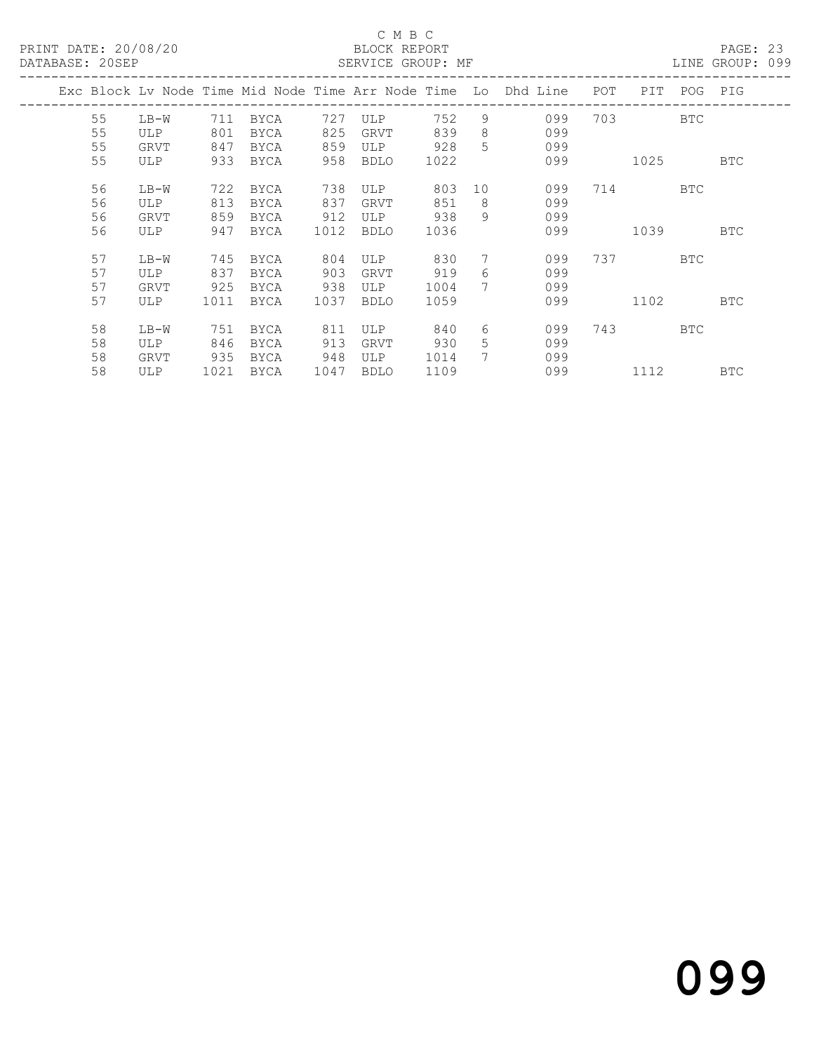### C M B C<br>BLOCK REPORT SERVICE GROUP: MF

|  |    |      |      |             |      |            |      |             | Exc Block Lv Node Time Mid Node Time Arr Node Time Lo Dhd Line | POT | PIT       | POG        | PIG        |
|--|----|------|------|-------------|------|------------|------|-------------|----------------------------------------------------------------|-----|-----------|------------|------------|
|  | 55 | LB-W | 711  | BYCA        | 727  | ULP        | 752  | 9           | 099                                                            | 703 |           | <b>BTC</b> |            |
|  | 55 | ULP  | 801  | <b>BYCA</b> | 825  | GRVT       | 839  | 8           | 099                                                            |     |           |            |            |
|  | 55 | GRVT | 847  | BYCA        | 859  | ULP        | 928  | 5           | 099                                                            |     |           |            |            |
|  | 55 | ULP  | 933  | <b>BYCA</b> | 958  | BDLO       | 1022 |             | 099                                                            |     | 1025      |            | <b>BTC</b> |
|  |    |      |      |             |      |            |      |             |                                                                |     |           |            |            |
|  | 56 | LB-W | 722  | BYCA        | 738  | <b>ULP</b> | 803  | 10          | 099                                                            |     | 714       | BTC        |            |
|  | 56 | ULP  | 813  | BYCA        | 837  | GRVT       | 851  | 8           | 099                                                            |     |           |            |            |
|  | 56 | GRVT | 859  | BYCA        | 912  | ULP        | 938  | 9           | 099                                                            |     |           |            |            |
|  | 56 | ULP  | 947  | <b>BYCA</b> | 1012 | BDLO       | 1036 |             | 099                                                            |     | 1039      |            | BTC        |
|  |    |      |      |             |      |            |      |             |                                                                |     |           |            |            |
|  | 57 | LB-W | 745  | BYCA        | 804  | ULP        | 830  | 7           | 099                                                            |     | 737 — 137 | <b>BTC</b> |            |
|  | 57 | ULP  | 837  | <b>BYCA</b> | 903  | GRVT       | 919  | 6           | 099                                                            |     |           |            |            |
|  | 57 | GRVT | 925  | <b>BYCA</b> | 938  | ULP        | 1004 | $7^{\circ}$ | 099                                                            |     |           |            |            |
|  | 57 | ULP  | 1011 | BYCA        | 1037 | BDLO       | 1059 |             | 099                                                            |     | 1102      |            | <b>BTC</b> |
|  |    |      |      |             |      |            |      |             |                                                                |     |           |            |            |
|  | 58 | LB-W | 751  | <b>BYCA</b> | 811  | <b>ULP</b> | 840  | 6           | 099                                                            | 743 |           | <b>BTC</b> |            |
|  | 58 | ULP  | 846  | BYCA        | 913  | GRVT       | 930  | 5           | 099                                                            |     |           |            |            |
|  | 58 | GRVT | 935  | <b>BYCA</b> | 948  | ULP        | 1014 | 7           | 099                                                            |     |           |            |            |
|  | 58 | ULP  | 1021 | BYCA        | 1047 | BDLO       | 1109 |             | 099                                                            |     | 1112      |            | <b>BTC</b> |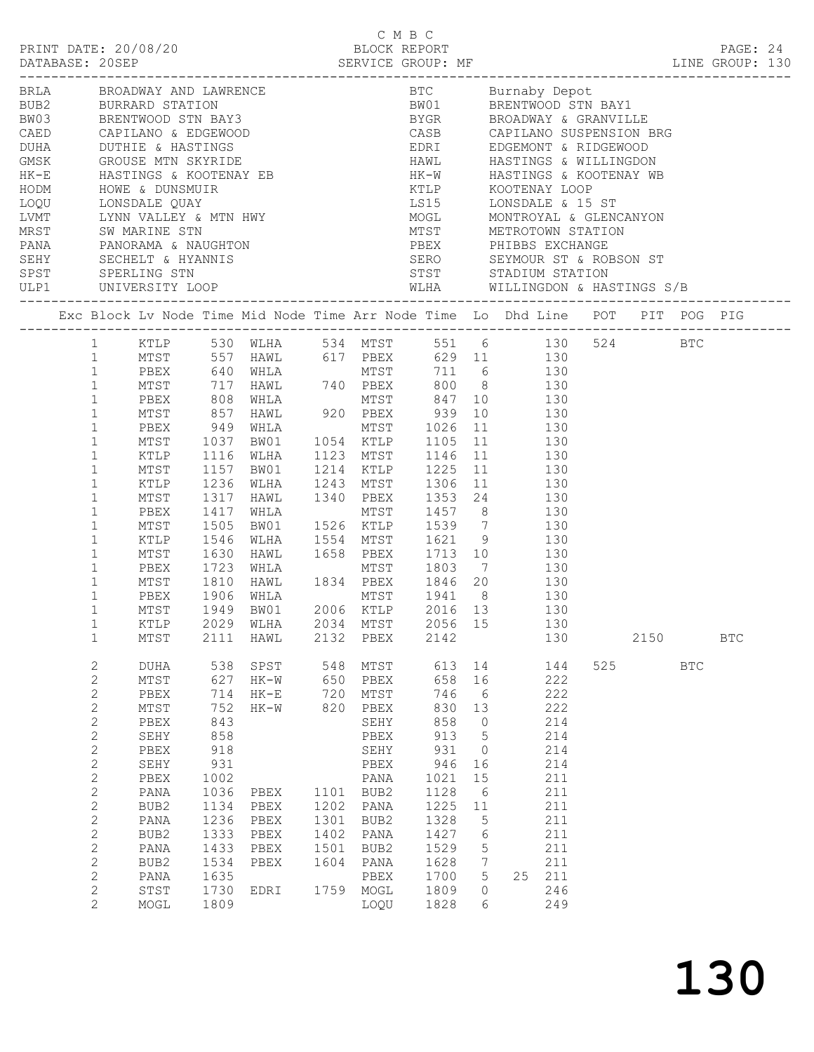|  | PRINT DATE: 20/08/20                 |                      |                                                                                                                          |      | C M B C   | BLOCK REPORT    |                 |           |      |            |            |  |
|--|--------------------------------------|----------------------|--------------------------------------------------------------------------------------------------------------------------|------|-----------|-----------------|-----------------|-----------|------|------------|------------|--|
|  |                                      |                      |                                                                                                                          |      |           |                 |                 |           |      |            | PAGE: 24   |  |
|  |                                      |                      |                                                                                                                          |      |           |                 |                 |           |      |            |            |  |
|  |                                      |                      |                                                                                                                          |      |           |                 |                 |           |      |            |            |  |
|  |                                      |                      |                                                                                                                          |      |           |                 |                 |           |      |            |            |  |
|  |                                      |                      |                                                                                                                          |      |           |                 |                 |           |      |            |            |  |
|  |                                      |                      |                                                                                                                          |      |           |                 |                 |           |      |            |            |  |
|  |                                      |                      |                                                                                                                          |      |           |                 |                 |           |      |            |            |  |
|  |                                      |                      |                                                                                                                          |      |           |                 |                 |           |      |            |            |  |
|  |                                      |                      |                                                                                                                          |      |           |                 |                 |           |      |            |            |  |
|  |                                      |                      |                                                                                                                          |      |           |                 |                 |           |      |            |            |  |
|  |                                      |                      |                                                                                                                          |      |           |                 |                 |           |      |            |            |  |
|  |                                      |                      |                                                                                                                          |      |           |                 |                 |           |      |            |            |  |
|  |                                      |                      |                                                                                                                          |      |           |                 |                 |           |      |            |            |  |
|  |                                      |                      |                                                                                                                          |      |           |                 |                 |           |      |            |            |  |
|  |                                      |                      |                                                                                                                          |      |           |                 |                 |           |      |            |            |  |
|  |                                      |                      |                                                                                                                          |      |           |                 |                 |           |      |            |            |  |
|  |                                      |                      | Exc Block Lv Node Time Mid Node Time Arr Node Time Lo Dhd Line POT PIT POG PIG                                           |      |           |                 |                 |           |      |            |            |  |
|  |                                      |                      |                                                                                                                          |      |           |                 |                 |           |      |            |            |  |
|  |                                      |                      | 1 KTLP 530 WLHA 534 MTST 551 6 130 524 BTC                                                                               |      |           |                 |                 |           |      |            |            |  |
|  |                                      |                      |                                                                                                                          |      |           |                 |                 |           |      |            |            |  |
|  |                                      |                      | 1 MTST 557 HAWL 617 PBEX 629 11 130<br>1 PBEX 640 WHLA MTST 711 6 130<br>1 MTST 717 HAWL 740 PBEX 800 8 130              |      |           |                 |                 |           |      |            |            |  |
|  |                                      |                      |                                                                                                                          |      |           |                 |                 |           |      |            |            |  |
|  | $\mathbf 1$<br>PBEX                  |                      | 808 WHLA MTST 847 10 130<br>857 HAWL 920 PBEX 939 10 130<br>949 WHLA MTST 1026 11 130<br>1037 BW01 1054 KTLP 1105 11 130 |      |           |                 |                 |           |      |            |            |  |
|  | $\mathbf{1}$<br>MTST<br>$\mathbf{1}$ |                      |                                                                                                                          |      |           |                 |                 |           |      |            |            |  |
|  | PBEX<br>$\mathbf{1}$                 | MTST 1037            |                                                                                                                          |      |           |                 |                 |           |      |            |            |  |
|  | $\mathbf{1}$<br>KTLP                 | 1116                 | WLHA 1123 MTST 1146 11 130                                                                                               |      |           |                 |                 |           |      |            |            |  |
|  | $\mathbf{1}$<br>MTST                 |                      |                                                                                                                          |      |           |                 |                 |           |      |            |            |  |
|  | $\mathbf{1}$<br>KTLP                 | 1157<br>1236<br>1317 | BW01 1214 KTLP 1225 11 130<br>WLHA 1243 MTST 1306 11 130<br>HAWL 1340 PBEX 1353 24 130                                   |      |           |                 |                 |           |      |            |            |  |
|  | $\mathbf{1}$<br>MTST                 |                      |                                                                                                                          |      |           |                 |                 |           |      |            |            |  |
|  | $\mathbf{1}$<br>PBEX                 | 1417                 | WHLA                                                                                                                     |      |           | MTST 1457 8 130 |                 |           |      |            |            |  |
|  | $\mathbf{1}$<br>MTST                 | 1505                 |                                                                                                                          |      |           |                 |                 |           |      |            |            |  |
|  | $\mathbf{1}$<br>KTLP                 |                      | BW01 1526 KTLP 1539 7 130<br>WLHA 1554 MTST 1621 9 130<br>HAWL 1658 PBEX 1713 10 130                                     |      |           |                 |                 |           |      |            |            |  |
|  | $\mathbf{1}$<br>MTST                 | 1546<br>1630         |                                                                                                                          |      |           |                 |                 |           |      |            |            |  |
|  | $\mathbf{1}$<br>PBEX                 | 1723                 |                                                                                                                          |      |           |                 |                 |           |      |            |            |  |
|  | $\mathbf{1}$<br>MTST                 | 1810                 | WHLA MTST 1803 7 130<br>HAWL 1834 PBEX 1846 20 130                                                                       |      |           |                 |                 |           |      |            |            |  |
|  | $\mathbf{1}$<br>PBEX                 |                      |                                                                                                                          |      |           |                 |                 |           |      |            |            |  |
|  | $\mathbf{1}$<br>MTST                 |                      |                                                                                                                          |      |           |                 |                 |           |      |            |            |  |
|  | 1                                    |                      | KTLP 2029 WLHA 2034 MTST 2056 15 130                                                                                     |      |           |                 |                 |           |      |            |            |  |
|  | $\mathbf 1$<br>MTST                  | 2111                 | HAWL                                                                                                                     |      | 2132 PBEX | 2142            |                 | 130       | 2150 |            | <b>BTC</b> |  |
|  | 2<br>DUHA                            | 538                  | SPST                                                                                                                     | 548  | MTST      | 613             | 14              | 144       | 525  | <b>BTC</b> |            |  |
|  | $\mathbf{2}$<br>MTST                 | 627                  | HK-W                                                                                                                     | 650  | PBEX      | 658             | 16              | 222       |      |            |            |  |
|  | $\mathbf{2}$<br>PBEX                 | 714                  | HK-E                                                                                                                     | 720  | MTST      | 746             | - 6             | 222       |      |            |            |  |
|  | $\mathbf{2}$<br>$\mathtt{MTST}$      | 752                  | HK-W                                                                                                                     | 820  | PBEX      | 830             | 13              | 222       |      |            |            |  |
|  | $\mathbf{2}$<br>PBEX                 | 843                  |                                                                                                                          |      | SEHY      | 858             | $\overline{0}$  | 214       |      |            |            |  |
|  | 2<br>SEHY                            | 858                  |                                                                                                                          |      | PBEX      | 913             | $5^{\circ}$     | 214       |      |            |            |  |
|  | $\mathbf{2}$<br>PBEX                 | 918                  |                                                                                                                          |      | SEHY      | 931             | $\overline{0}$  | 214       |      |            |            |  |
|  | $\mathbf{2}$<br>SEHY                 | 931                  |                                                                                                                          |      | PBEX      | 946             | 16              | 214       |      |            |            |  |
|  | $\sqrt{2}$<br>PBEX                   | 1002                 |                                                                                                                          |      | PANA      | 1021            | 15              | 211       |      |            |            |  |
|  | $\mathbf{2}$<br>PANA                 | 1036                 | PBEX                                                                                                                     |      | 1101 BUB2 | 1128            | $6\overline{6}$ | 211       |      |            |            |  |
|  | $\mathbf{2}$<br>BUB2                 | 1134                 | PBEX                                                                                                                     |      | 1202 PANA | 1225            | 11              | 211       |      |            |            |  |
|  | $\mathbf{2}$<br>PANA                 | 1236                 | PBEX                                                                                                                     | 1301 | BUB2      | 1328            | 5               | 211       |      |            |            |  |
|  | $\mathbf{2}$<br>BUB2                 | 1333                 | PBEX                                                                                                                     | 1402 | PANA      | 1427            | 6               | 211       |      |            |            |  |
|  | $\mathbf{2}$<br>PANA                 | 1433                 | PBEX                                                                                                                     | 1501 | BUB2      | 1529            | 5               | 211       |      |            |            |  |
|  | $\mathbf{2}$<br>BUB2                 | 1534                 | PBEX                                                                                                                     | 1604 | PANA      | 1628            | 7               | 211       |      |            |            |  |
|  | $\mathbf{2}$<br>PANA                 | 1635                 |                                                                                                                          |      | PBEX      | 1700            | 5               | 211<br>25 |      |            |            |  |
|  | $\mathbf{2}$<br>STST                 | 1730                 | EDRI                                                                                                                     |      | 1759 MOGL | 1809            | $\circ$         | 246       |      |            |            |  |
|  | 2<br>MOGL                            | 1809                 |                                                                                                                          |      | LOQU      | 1828            | 6               | 249       |      |            |            |  |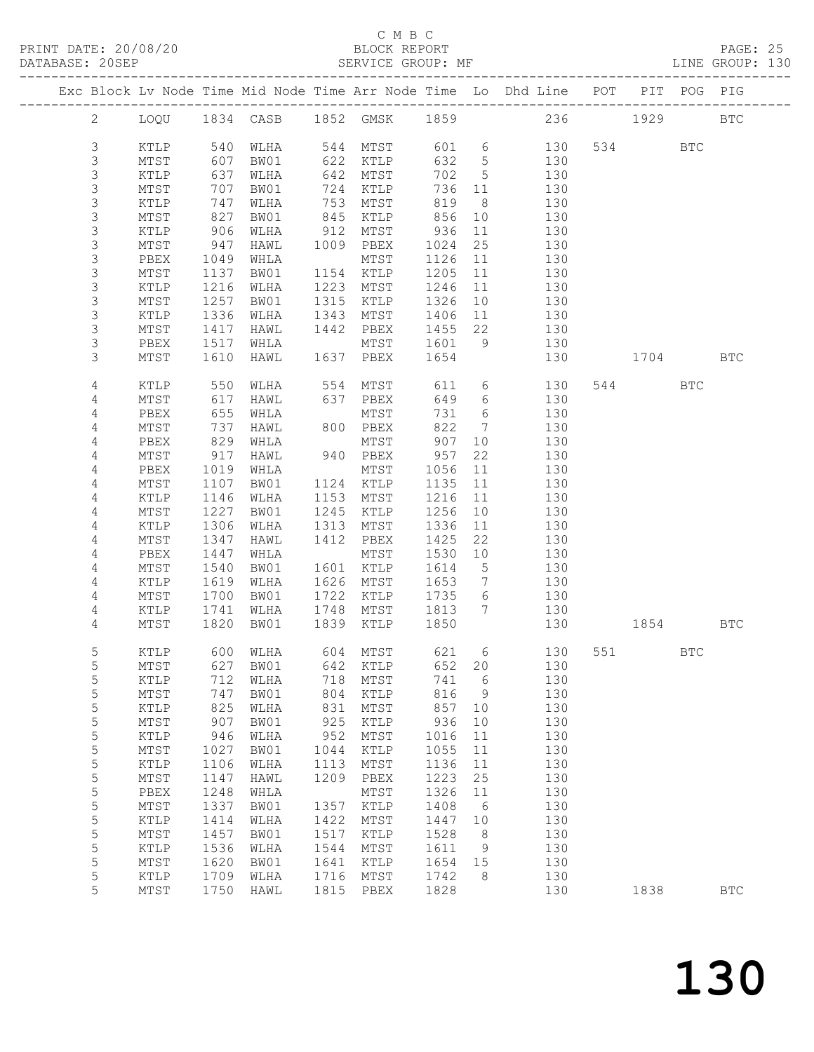PRINT DATE: 20/08/20 BLOCK REPORT BATABASE: 20SEP

## C M B C<br>BLOCK REPORT

PAGE: 25<br>LINE GROUP: 130

|  |                |                 |              |              |              |                         |              |                      | Exc Block Lv Node Time Mid Node Time Arr Node Time Lo Dhd Line POT |             | PIT POG PIG |              |
|--|----------------|-----------------|--------------|--------------|--------------|-------------------------|--------------|----------------------|--------------------------------------------------------------------|-------------|-------------|--------------|
|  | $\mathbf{2}$   |                 |              |              |              |                         |              |                      | LOQU 1834 CASB 1852 GMSK 1859 236 1929                             |             |             | $_{\rm BTC}$ |
|  | $\mathsf S$    | KTLP            |              | 540 WLHA     |              | 544 MTST                |              |                      | 601 6<br>130                                                       | 534 BTC     |             |              |
|  | 3              | MTST            | 607          | BW01         |              | 622 KTLP                | 632 5        |                      | 130                                                                |             |             |              |
|  | 3              | KTLP            | 637          | WLHA         |              | 642 MTST                | 702          | $5^{\circ}$          | 130                                                                |             |             |              |
|  | $\mathsf S$    | MTST            | 707          | BW01         |              | 724 KTLP                | 736 11       |                      | 130                                                                |             |             |              |
|  | $\mathsf S$    | KTLP            | 747          | WLHA         | 753          | MTST                    | 819          | 8 <sup>8</sup>       | 130                                                                |             |             |              |
|  | 3              | MTST            | 827          | BW01         | 845          | KTLP                    | 856          | 10                   | 130                                                                |             |             |              |
|  | $\mathsf S$    | KTLP            | 906          | WLHA         | 912          | MTST                    | 936          | 11                   | 130                                                                |             |             |              |
|  | $\mathsf S$    | MTST            | 947          | HAWL         |              | 1009 PBEX               | 1024         | 25                   | 130                                                                |             |             |              |
|  | $\mathsf S$    | PBEX            | 1049         | WHLA         |              | MTST                    | 1126         | 11                   | 130                                                                |             |             |              |
|  | 3              | MTST            | 1137         | BW01         |              | 1154 KTLP               | 1205         | 11                   | 130                                                                |             |             |              |
|  | $\mathsf S$    | KTLP            | 1216         | WLHA         |              | 1223 MTST               | 1246         | 11                   | 130                                                                |             |             |              |
|  | 3              | MTST            | 1257         | BW01         |              | 1315 KTLP               | 1326         | 10                   | 130                                                                |             |             |              |
|  | $\mathsf S$    | KTLP            | 1336         | WLHA         | 1343         | MTST                    | 1406         | 11                   | 130                                                                |             |             |              |
|  | $\mathsf S$    | MTST            | 1417         | HAWL         |              | 1442 PBEX               | 1455         | 22                   | 130                                                                |             |             |              |
|  | 3              | PBEX            | 1517         | WHLA         |              | MTST                    | 1601         |                      | 9 130                                                              |             |             |              |
|  | 3              | MTST            | 1610         | HAWL         |              | 1637 PBEX               | 1654         |                      | 130                                                                | 1704        |             | <b>BTC</b>   |
|  | 4              | KTLP            | 550          | WLHA         |              | 554 MTST                |              |                      | 611 6<br>130                                                       | 544         | BTC         |              |
|  | 4              | MTST            | 617          | HAWL         |              | 637 PBEX                | 649          |                      | $6\overline{6}$<br>130                                             |             |             |              |
|  | 4              | PBEX            | 655          | WHLA         |              | MTST                    | 731          | 6                    | 130                                                                |             |             |              |
|  | 4              | MTST            | 737          | HAWL         |              | 800 PBEX                | 822          | $7\overline{ }$      | 130                                                                |             |             |              |
|  | 4              | PBEX            | 829          | WHLA         |              | MTST                    | 907          | 10                   | 130                                                                |             |             |              |
|  | 4              | MTST            | 917          | HAWL         |              | 940 PBEX                | 957          | 22                   | 130                                                                |             |             |              |
|  | 4              | PBEX            | 1019         | WHLA         |              | MTST                    | 1056         | 11                   | 130                                                                |             |             |              |
|  | 4              | MTST            | 1107         | BW01         |              | 1124 KTLP               | 1135         | 11                   | 130                                                                |             |             |              |
|  | $\overline{4}$ | KTLP            | 1146         | WLHA         |              | 1153 MTST               | 1216         | 11                   | 130                                                                |             |             |              |
|  | 4              | MTST            | 1227         | BW01         | 1245         | KTLP                    | 1256         | 10                   | 130                                                                |             |             |              |
|  | 4              | KTLP            | 1306         | WLHA         | 1313         | MTST                    | 1336         | 11                   | 130                                                                |             |             |              |
|  | $\overline{4}$ | MTST            | 1347         | HAWL         |              | 1412 PBEX               | 1425         | 22                   | 130                                                                |             |             |              |
|  | 4              | PBEX            | 1447         | WHLA         |              | MTST                    | 1530         | 10                   | 130<br>130                                                         |             |             |              |
|  | $\overline{4}$ | MTST            | 1540         | BW01         |              | 1601 KTLP               | 1614         | $5^{\circ}$          |                                                                    |             |             |              |
|  | 4              | KTLP            | 1619         | WLHA         | 1626         | MTST                    | 1653         | $\overline{7}$       | 130                                                                |             |             |              |
|  | 4<br>4         | MTST            | 1700         | BW01         | 1722         | KTLP                    | 1735         | 6<br>$7\overline{ }$ | 130                                                                |             |             |              |
|  | 4              | KTLP<br>MTST    | 1741<br>1820 | WLHA<br>BW01 |              | 1748 MTST<br>1839 KTLP  | 1813<br>1850 |                      | 130<br>130                                                         | 1854 BTC    |             |              |
|  |                |                 |              |              |              |                         |              |                      |                                                                    |             |             |              |
|  | 5              | KTLP            |              | 600 WLHA     |              | 604 MTST                | 621 6        |                      |                                                                    | 130 551 BTC |             |              |
|  | 5              |                 |              |              |              |                         |              |                      | MTST 627 BW01 642 KTLP 652 20 130                                  |             |             |              |
|  | 5              | KTLP            | 712          | WLHA         | 718          | MTST                    | 741          | 6                    | 130                                                                |             |             |              |
|  | 5              | MTST            | 747          | BW01         | 804          | KTLP                    | 816          | 9                    | 130                                                                |             |             |              |
|  | 5              | KTLP            | 825          | WLHA         | 831          | $\mathtt{MTST}$         | 857          | 10                   | 130                                                                |             |             |              |
|  | 5              | MTST            | 907          | BW01         | 925          | KTLP                    | 936          | 10                   | 130                                                                |             |             |              |
|  | 5              | $\texttt{KTLP}$ | 946          | WLHA         | 952          | MTST                    | 1016         | 11                   | 130                                                                |             |             |              |
|  | 5              | MTST            | 1027         | BW01         | 1044         | KTLP                    | 1055         | 11                   | 130                                                                |             |             |              |
|  | 5              | KTLP            | 1106         | WLHA         | 1113         | MTST                    | 1136         | 11                   | 130                                                                |             |             |              |
|  | 5              | MTST            | 1147         | HAWL         | 1209         | PBEX                    | 1223         | 25                   | 130                                                                |             |             |              |
|  | 5              | PBEX            | 1248         | WHLA         |              | MTST                    | 1326         | 11                   | 130                                                                |             |             |              |
|  | 5<br>5         | MTST            | 1337<br>1414 | BW01         | 1357<br>1422 | KTLP                    | 1408         | - 6                  | 130                                                                |             |             |              |
|  | 5              | KTLP            | 1457         | WLHA         | 1517         | $\mathtt{MTST}$<br>KTLP | 1447<br>1528 | 10<br>8              | 130<br>130                                                         |             |             |              |
|  | 5              | MTST<br>KTLP    | 1536         | BW01<br>WLHA | 1544         | MTST                    | 1611         | 9                    | 130                                                                |             |             |              |
|  | 5              | MTST            | 1620         | BW01         | 1641         | KTLP                    | 1654         | 15                   | 130                                                                |             |             |              |
|  | 5              | KTLP            | 1709         | WLHA         | 1716         | MTST                    | 1742         | 8                    | 130                                                                |             |             |              |
|  | 5              | MTST            | 1750         | HAWL         | 1815         | PBEX                    | 1828         |                      | 130                                                                | 1838        |             | <b>BTC</b>   |
|  |                |                 |              |              |              |                         |              |                      |                                                                    |             |             |              |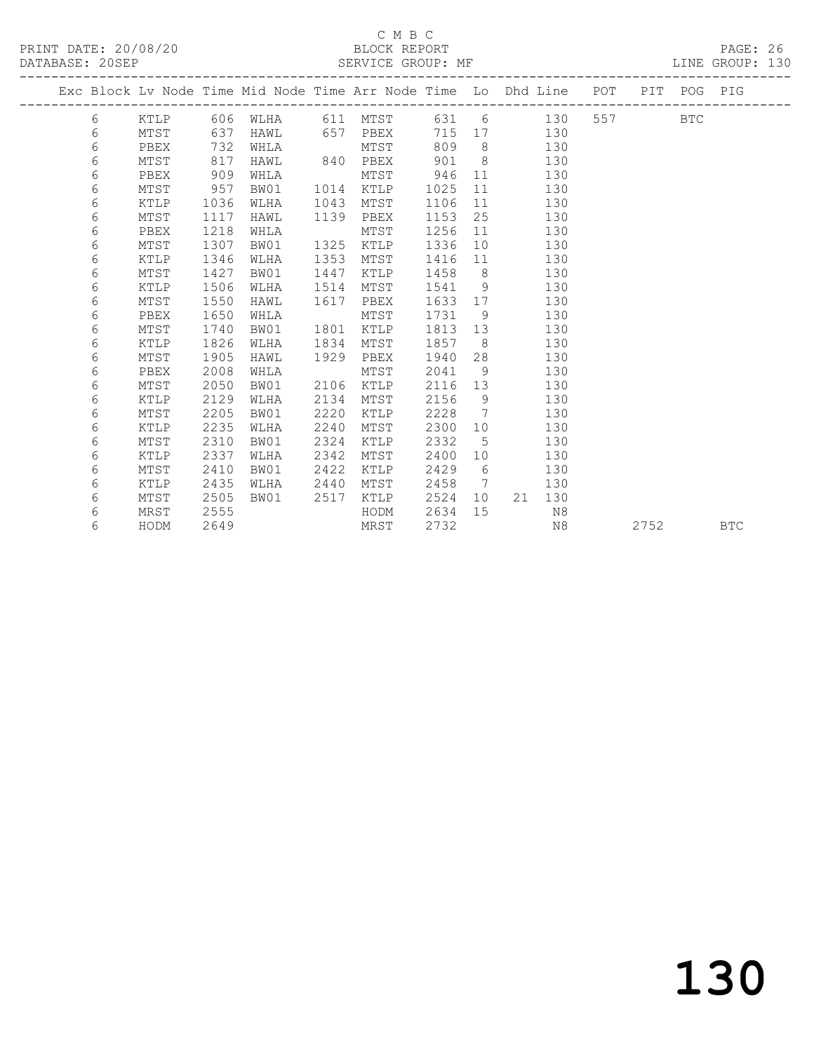PRINT DATE: 20/08/20 BLOCK REPORT BOOT BOOT PAGE: 26

## C M B C<br>BLOCK REPORT

LINE GROUP: 130

|                 |  | _ _ _ _ _ _ . _ _ _ _ _ _ _ |  |  |                |                |  |
|-----------------|--|-----------------------------|--|--|----------------|----------------|--|
| DATABASE: 20SEP |  | SERVICE GROUP: MF           |  |  |                | INE GROUP, 130 |  |
|                 |  |                             |  |  | $\overline{p}$ |                |  |

|  |   |      |      | Exc Block Lv Node Time Mid Node Time Arr Node Time Lo Dhd Line |      |      |      |    |    |     | POT | PIT  | POG        | PIG        |
|--|---|------|------|----------------------------------------------------------------|------|------|------|----|----|-----|-----|------|------------|------------|
|  | 6 | KTLP | 606  | WLHA                                                           | 611  | MTST | 631  | 6  |    | 130 | 557 |      | <b>BTC</b> |            |
|  | 6 | MTST | 637  | HAWL                                                           | 657  | PBEX | 715  | 17 |    | 130 |     |      |            |            |
|  | 6 | PBEX | 732  | WHLA                                                           |      | MTST | 809  | 8  |    | 130 |     |      |            |            |
|  | 6 | MTST | 817  | HAWL                                                           | 840  | PBEX | 901  | 8  |    | 130 |     |      |            |            |
|  | 6 | PBEX | 909  | WHLA                                                           |      | MTST | 946  | 11 |    | 130 |     |      |            |            |
|  | 6 | MTST | 957  | BW01                                                           | 1014 | KTLP | 1025 | 11 |    | 130 |     |      |            |            |
|  | 6 | KTLP | 1036 | WLHA                                                           | 1043 | MTST | 1106 | 11 |    | 130 |     |      |            |            |
|  | 6 | MTST | 1117 | HAWL                                                           | 1139 | PBEX | 1153 | 25 |    | 130 |     |      |            |            |
|  | 6 | PBEX | 1218 | WHLA                                                           |      | MTST | 1256 | 11 |    | 130 |     |      |            |            |
|  | 6 | MTST | 1307 | BW01                                                           | 1325 | KTLP | 1336 | 10 |    | 130 |     |      |            |            |
|  | 6 | KTLP | 1346 | WLHA                                                           | 1353 | MTST | 1416 | 11 |    | 130 |     |      |            |            |
|  | 6 | MTST | 1427 | BW01                                                           | 1447 | KTLP | 1458 | 8  |    | 130 |     |      |            |            |
|  | 6 | KTLP | 1506 | WLHA                                                           | 1514 | MTST | 1541 | 9  |    | 130 |     |      |            |            |
|  | 6 | MTST | 1550 | HAWL                                                           | 1617 | PBEX | 1633 | 17 |    | 130 |     |      |            |            |
|  | 6 | PBEX | 1650 | WHLA                                                           |      | MTST | 1731 | 9  |    | 130 |     |      |            |            |
|  | 6 | MTST | 1740 | BW01                                                           | 1801 | KTLP | 1813 | 13 |    | 130 |     |      |            |            |
|  | 6 | KTLP | 1826 | WLHA                                                           | 1834 | MTST | 1857 | 8  |    | 130 |     |      |            |            |
|  | 6 | MTST | 1905 | HAWL                                                           | 1929 | PBEX | 1940 | 28 |    | 130 |     |      |            |            |
|  | 6 | PBEX | 2008 | WHLA                                                           |      | MTST | 2041 | 9  |    | 130 |     |      |            |            |
|  | 6 | MTST | 2050 | BW01                                                           | 2106 | KTLP | 2116 | 13 |    | 130 |     |      |            |            |
|  | 6 | KTLP | 2129 | WLHA                                                           | 2134 | MTST | 2156 | 9  |    | 130 |     |      |            |            |
|  | 6 | MTST | 2205 | BW01                                                           | 2220 | KTLP | 2228 | 7  |    | 130 |     |      |            |            |
|  | 6 | KTLP | 2235 | WLHA                                                           | 2240 | MTST | 2300 | 10 |    | 130 |     |      |            |            |
|  | 6 | MTST | 2310 | BW01                                                           | 2324 | KTLP | 2332 | 5  |    | 130 |     |      |            |            |
|  | 6 | KTLP | 2337 | WLHA                                                           | 2342 | MTST | 2400 | 10 |    | 130 |     |      |            |            |
|  | 6 | MTST | 2410 | BW01                                                           | 2422 | KTLP | 2429 | 6  |    | 130 |     |      |            |            |
|  | 6 | KTLP | 2435 | WLHA                                                           | 2440 | MTST | 2458 | 7  |    | 130 |     |      |            |            |
|  | 6 | MTST | 2505 | BW01                                                           | 2517 | KTLP | 2524 | 10 | 21 | 130 |     |      |            |            |
|  | 6 | MRST | 2555 |                                                                |      | HODM | 2634 | 15 |    | N8  |     |      |            |            |
|  | 6 | HODM | 2649 |                                                                |      | MRST | 2732 |    |    | N8  |     | 2752 |            | <b>BTC</b> |
|  |   |      |      |                                                                |      |      |      |    |    |     |     |      |            |            |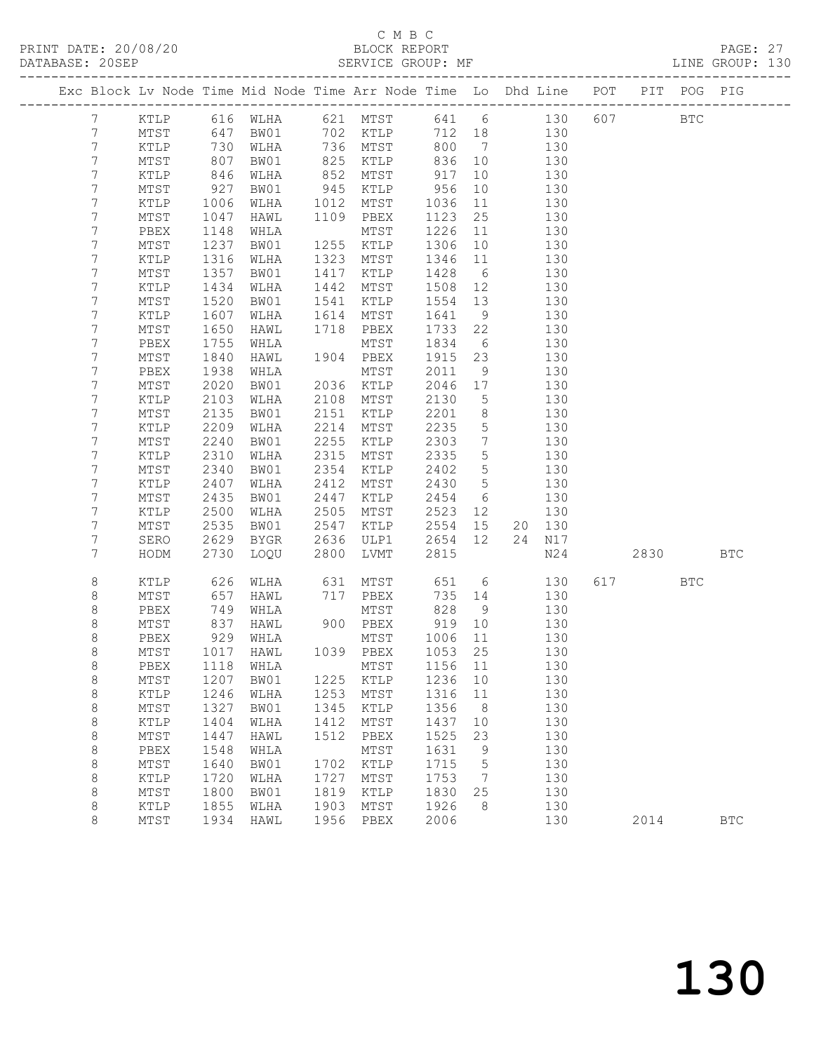## C M B C<br>BLOCK REPORT

| DATABASE: 20SEP |                |                 |                   | SERVICE GROUP: MF                                                              |      |                                                 |                   |                                    |            |            |          |      | LINE GROUP: 130 |  |
|-----------------|----------------|-----------------|-------------------|--------------------------------------------------------------------------------|------|-------------------------------------------------|-------------------|------------------------------------|------------|------------|----------|------|-----------------|--|
|                 |                |                 |                   | Exc Block Lv Node Time Mid Node Time Arr Node Time Lo Dhd Line POT PIT POG PIG |      |                                                 |                   |                                    |            |            |          |      |                 |  |
|                 | $7\phantom{0}$ |                 |                   | KTLP 616 WLHA 621 MTST 641 6 130 607 BTC                                       |      |                                                 |                   |                                    |            |            |          |      |                 |  |
|                 | $7\phantom{.}$ | MTST            | 647               | BW01 702 KTLP                                                                  |      |                                                 |                   |                                    | 712 18 130 |            |          |      |                 |  |
|                 | 7              | KTLP            | 730<br>807<br>846 | WLHA                                                                           |      | 736 MTST                                        | 800               | $7\overline{ }$                    |            | 130        |          |      |                 |  |
|                 | $7\phantom{.}$ | MTST            |                   | BW01                                                                           |      | ו יוני - 130<br>125 KTLP 836<br>מביא מחיים - 17 |                   | 836 10                             |            | 130        |          |      |                 |  |
|                 | 7              | KTLP            |                   | WLHA                                                                           |      | $852$ MTST                                      |                   | 10                                 |            | 130        |          |      |                 |  |
|                 | 7              | MTST            | 927               | BW01                                                                           |      | 945 KTLP 956                                    |                   | 10                                 | 130        |            |          |      |                 |  |
|                 | 7              | KTLP            | 1006              | WLHA                                                                           |      | 1012 MTST                                       | 1036              | 11                                 |            | 130        |          |      |                 |  |
|                 | 7              | MTST            | 1047              | HAWL                                                                           |      | 1109 PBEX                                       | 1123              | 25                                 |            | 130        |          |      |                 |  |
|                 | 7              | PBEX            | 1148              | WHLA                                                                           |      | MTST                                            | 1226              | 11                                 |            | 130        |          |      |                 |  |
|                 | 7              | MTST            | 1237              | BW01                                                                           |      | 1255 KTLP                                       | 1306              | 10                                 |            | 130        |          |      |                 |  |
|                 | 7              | KTLP            | 1316              | WLHA                                                                           | 1323 | MTST                                            | 1346              | 11                                 |            | 130        |          |      |                 |  |
|                 | 7              | MTST            | 1357              | BW01                                                                           | 1417 | KTLP                                            | 1428              | $6\overline{6}$                    |            | 130        |          |      |                 |  |
|                 | 7              | KTLP            | 1434              | WLHA                                                                           | 1442 | MTST                                            | 1508 12           |                                    |            | 130        |          |      |                 |  |
|                 | 7              | MTST            | 1520              | BW01                                                                           |      | 1541 KTLP                                       | 1554 13           |                                    |            | 130        |          |      |                 |  |
|                 | 7              | KTLP            | 1607              | WLHA                                                                           |      | 1614 MTST                                       | 1641              | 9                                  |            | 130        |          |      |                 |  |
|                 | 7              | MTST            | 1650              | HAWL                                                                           |      | 1718 PBEX                                       | 1733 22           |                                    |            | 130        |          |      |                 |  |
|                 | 7              | PBEX            | 1755              | WHLA                                                                           |      | MTST                                            | 1834 6            |                                    |            | 130        |          |      |                 |  |
|                 | 7              | MTST            | 1840              | HAWL                                                                           |      | 1904 PBEX                                       | 1915 23           |                                    |            | 130        |          |      |                 |  |
|                 | 7              | PBEX            | 1938              | WHLA                                                                           |      | MTST                                            | 2011              | 9                                  |            | 130        |          |      |                 |  |
|                 | 7              | MTST            | 2020              | BW01                                                                           |      | 2036 KTLP                                       | 2046 17           |                                    |            | 130        |          |      |                 |  |
|                 | $\overline{7}$ | KTLP            | 2103              | WLHA                                                                           |      | 2108 MTST                                       | 2130              | $5\overline{)}$                    |            | 130        |          |      |                 |  |
|                 | 7              | MTST            | 2135              | BW01                                                                           | 2151 | KTLP                                            | 2201              | 8 <sup>8</sup>                     |            | 130        |          |      |                 |  |
|                 | 7<br>7         | KTLP            | 2209<br>2240      | WLHA                                                                           |      | 2214 MTST<br>2255 KTLP                          | 2235<br>2303      | $5\overline{)}$<br>$7\overline{ }$ |            | 130<br>130 |          |      |                 |  |
|                 | 7              | MTST            | 2310              | BW01                                                                           |      | 2315 MTST                                       | 2335              | $5^{\circ}$                        |            |            |          |      |                 |  |
|                 | 7              | KTLP<br>MTST    | 2340              | WLHA<br>BW01                                                                   | 2354 | KTLP                                            | 2402              | $5\overline{)}$                    |            | 130<br>130 |          |      |                 |  |
|                 | 7              | KTLP            | 2407              | WLHA                                                                           | 2412 | MTST                                            | 2430              | $5^{\circ}$                        |            | 130        |          |      |                 |  |
|                 | 7              | $\mathtt{MTST}$ | 2435              | BW01                                                                           | 2447 | KTLP                                            | 2454              | 6                                  |            | 130        |          |      |                 |  |
|                 | 7              | KTLP            | 2500              | WLHA                                                                           |      | 2505 MTST                                       | 2523 12           |                                    |            | 130        |          |      |                 |  |
|                 | 7              | MTST            | 2535              | BW01                                                                           | 2547 | KTLP                                            | 2554 15           |                                    |            | 20 130     |          |      |                 |  |
|                 | 7              | SERO            | 2629              | BYGR                                                                           |      | 2636 ULP1                                       | 2654 12           |                                    |            | 24 N17     |          |      |                 |  |
|                 | 7              | HODM            | 2730              | LOQU                                                                           | 2800 | LVMT                                            | 2815              |                                    |            | N24        |          | 2830 | <b>BTC</b>      |  |
|                 |                |                 |                   |                                                                                |      |                                                 |                   |                                    |            |            |          |      |                 |  |
|                 | 8              | KTLP            | 626               | WLHA                                                                           |      | 631 MTST                                        |                   | 651 6                              |            | 130        | 617 — 17 | BTC  |                 |  |
|                 | 8              | MTST            | 657               | HAWL                                                                           |      | 717 PBEX                                        |                   | 735 14                             |            | 130        |          |      |                 |  |
|                 | 8              | PBEX            |                   | 749 WHLA<br>837 HAWL<br>929 WHLA<br>WHLA                                       |      | MTST                                            | 828               | 9                                  |            | 130        |          |      |                 |  |
|                 | $\,8\,$        | MTST            |                   |                                                                                |      | $900$ PBEX                                      | 919 10<br>1006 11 |                                    |            | 130        |          |      |                 |  |
|                 | 8              | PBEX            |                   |                                                                                |      | MTST                                            |                   |                                    |            | 130        |          |      |                 |  |
|                 | 8              |                 |                   | MTST 1017 HAWL 1039 PBEX 1053 25 130                                           |      |                                                 |                   |                                    |            |            |          |      |                 |  |
|                 | 8              | PBEX            | 1118              | WHLA                                                                           |      | MTST                                            | 1156 11           |                                    |            | 130        |          |      |                 |  |
|                 | $\,8\,$        | MTST            | 1207              | BW01                                                                           |      | 1225 KTLP                                       | 1236              | 10                                 |            | 130        |          |      |                 |  |
|                 | $\,8\,$        | KTLP            | 1246              | WLHA                                                                           | 1253 | MTST                                            | 1316              | 11                                 |            | 130        |          |      |                 |  |
|                 | 8              | MTST            | 1327              | BW01                                                                           | 1345 | KTLP                                            | 1356              | 8 <sup>8</sup>                     |            | 130        |          |      |                 |  |
|                 | $\,8\,$        | KTLP            | 1404              | WLHA                                                                           | 1412 | MTST                                            | 1437              | 10                                 |            | 130        |          |      |                 |  |
|                 | $\,8\,$        | $\mathtt{MTST}$ | 1447              | HAWL                                                                           | 1512 | PBEX                                            | 1525              | 23                                 |            | 130        |          |      |                 |  |
|                 | $\,8\,$        | PBEX            | 1548              | WHLA                                                                           | 1702 | MTST                                            | 1631              | $\overline{9}$<br>$5^{\circ}$      |            | 130        |          |      |                 |  |
|                 | 8<br>8         | MTST<br>KTLP    | 1640<br>1720      | BW01<br>WLHA                                                                   | 1727 | KTLP<br>MTST                                    | 1715<br>1753      | $\overline{7}$                     |            | 130<br>130 |          |      |                 |  |
|                 | 8              | MTST            | 1800              | BW01                                                                           | 1819 | KTLP                                            | 1830              | 25                                 |            | 130        |          |      |                 |  |
|                 | 8              | KTLP            | 1855              | WLHA                                                                           | 1903 | MTST                                            | 1926              | 8 <sup>8</sup>                     |            | 130        |          |      |                 |  |
|                 | 8              | MTST            | 1934              | HAWL                                                                           | 1956 | PBEX                                            | 2006              |                                    |            | 130        | 2014     |      | $_{\rm BTC}$    |  |
|                 |                |                 |                   |                                                                                |      |                                                 |                   |                                    |            |            |          |      |                 |  |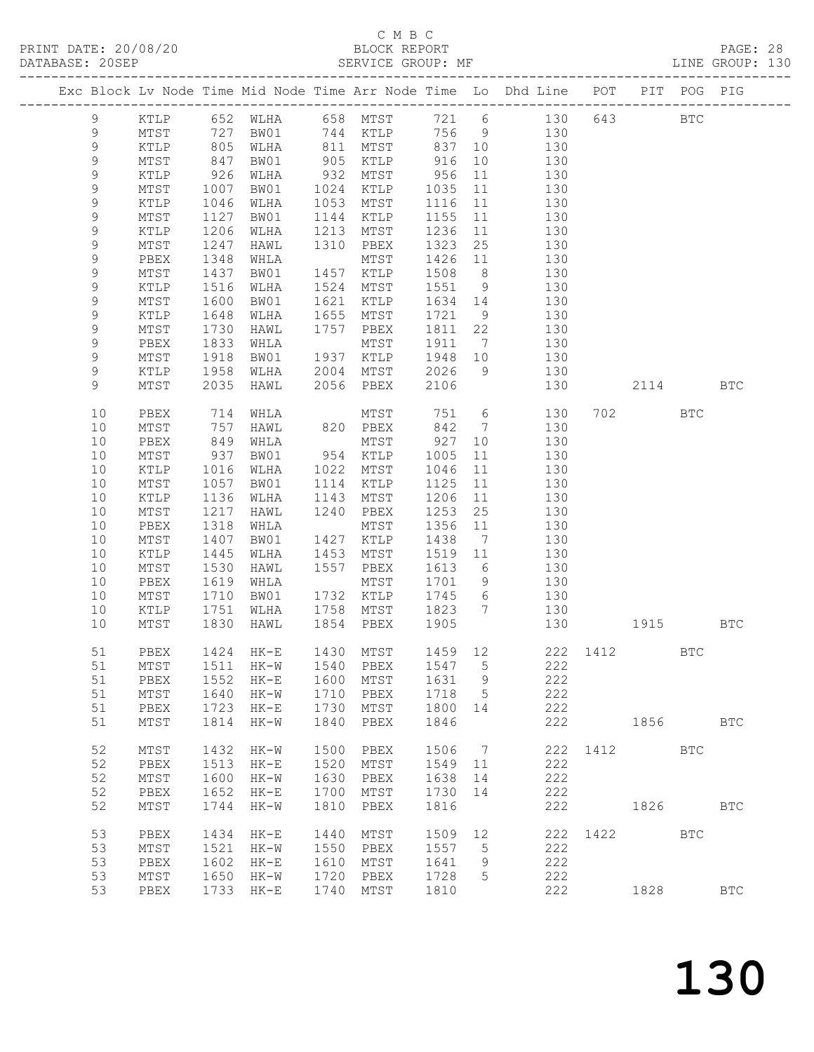## C M B C<br>BLOCK REPORT

| DATABASE: 20SEP |             |                 |                          | SERVICE GROUP: MF |      |                                  |         |                |                                                                                              |              |         |            | LINE GROUP: 130 |  |
|-----------------|-------------|-----------------|--------------------------|-------------------|------|----------------------------------|---------|----------------|----------------------------------------------------------------------------------------------|--------------|---------|------------|-----------------|--|
|                 |             |                 |                          |                   |      |                                  |         |                | Exc Block Lv Node Time Mid Node Time Arr Node Time Lo Dhd Line POT PIT POG PIG               |              |         |            |                 |  |
|                 | 9           |                 |                          |                   |      |                                  |         |                | KTLP 652 WLHA 658 MTST 721 6 130 643 BTC                                                     |              |         |            |                 |  |
|                 | 9           | MTST 727        |                          |                   |      |                                  |         |                | BW01 744 KTLP 756 9 130                                                                      |              |         |            |                 |  |
|                 | $\mathsf 9$ | KTLP            |                          |                   |      |                                  |         |                | 805 WLHA 811 MTST 837 10 130<br>847 BW01 905 KTLP 916 10 130<br>926 WLHA 932 MTST 956 11 130 |              |         |            |                 |  |
|                 | $\mathsf 9$ | MTST            |                          |                   |      |                                  |         |                |                                                                                              |              |         |            |                 |  |
|                 | $\mathsf 9$ | KTLP            |                          |                   |      |                                  |         |                |                                                                                              |              |         |            |                 |  |
|                 | 9           | MTST            | 1007                     |                   |      | BW01 1024 KTLP 1035              |         |                | 11 130                                                                                       |              |         |            |                 |  |
|                 | $\mathsf 9$ | KTLP            | 1046                     | WLHA              |      | 1053 MTST                        | 1116 11 |                | 130                                                                                          |              |         |            |                 |  |
|                 | 9           | MTST            | 1127                     | BW01              |      | 1144 KTLP                        | 1155 11 |                | 130                                                                                          |              |         |            |                 |  |
|                 | $\mathsf 9$ | KTLP            | 1206                     | WLHA              |      | 1213 MTST                        | 1236    | 11             | 130                                                                                          |              |         |            |                 |  |
|                 | 9           | MTST            | 1247                     | HAWL              |      | 1310 PBEX                        | 1323    | 25             | 130                                                                                          |              |         |            |                 |  |
|                 | 9           | PBEX            | 1348                     | WHLA              |      | MTST                             | 1426 11 |                | 130                                                                                          |              |         |            |                 |  |
|                 | 9           | MTST            | 1437                     | BW01              |      | 1457 KTLP                        | 1508 8  |                | 130                                                                                          |              |         |            |                 |  |
|                 | $\mathsf 9$ | KTLP            | 1516                     | WLHA              |      | 1524 MTST                        |         |                | $1551$ 9 $130$                                                                               |              |         |            |                 |  |
|                 | 9           | MTST            | 1600                     | BW01              |      | 1621 KTLP                        |         |                | 1634 14 130                                                                                  |              |         |            |                 |  |
|                 | 9           | KTLP            | 1648                     | WLHA              |      | 1655 MTST                        | 1721    | 9              | 130                                                                                          |              |         |            |                 |  |
|                 | 9           | MTST            |                          | HAWL              |      | 1757 PBEX                        | 1811 22 |                | 130                                                                                          |              |         |            |                 |  |
|                 | 9           | PBEX            |                          | WHLA              |      | MTST                             | 1911 7  |                | 130                                                                                          |              |         |            |                 |  |
|                 | 9           |                 | $1730$<br>$1833$<br>1918 |                   |      | BW01 1937 KTLP 1948 10           |         |                | 130                                                                                          |              |         |            |                 |  |
|                 | 9           | MTST<br>KTLP    | 1958                     |                   |      |                                  |         |                | 9 130                                                                                        |              |         |            |                 |  |
|                 | 9           | MTST            | 2035                     | HAWL              |      | WLHA 2004 MTST 2026<br>2056 PBEX | 2106    |                | 130                                                                                          |              | 2114    |            | <b>BTC</b>      |  |
|                 |             |                 |                          |                   |      |                                  |         |                |                                                                                              |              |         |            |                 |  |
|                 | 10          | PBEX            | 714                      | WHLA              |      | MTST 751 6                       |         |                | 130                                                                                          |              | 702 702 | BTC        |                 |  |
|                 | 10          | MTST            | 757                      | HAWL              |      | 820 PBEX                         | 842 7   |                | 130                                                                                          |              |         |            |                 |  |
|                 | 10          | PBEX            | 849<br>937               | WHLA              |      | MTST                             | 927     | 10             | 130                                                                                          |              |         |            |                 |  |
|                 | 10          | MTST            |                          |                   |      |                                  | 1005    | 11             | 130                                                                                          |              |         |            |                 |  |
|                 | 10          | KTLP            | 1016                     | WLHA              |      | 1022 MTST                        | 1046    |                | $\begin{array}{c} 11 \\ 1 \end{array}$<br>130                                                |              |         |            |                 |  |
|                 | 10          | MTST            | 1057                     | BW01              |      | 1114 KTLP                        | 1125    |                | 11 130                                                                                       |              |         |            |                 |  |
|                 | 10          | KTLP            | 1136                     | WLHA              | 1143 | MTST                             | 1206    |                | 11 130                                                                                       |              |         |            |                 |  |
|                 | 10          | MTST            | 1217                     | HAWL              |      | 1240 PBEX                        | 1253    | 25             | 130                                                                                          |              |         |            |                 |  |
|                 | 10          | PBEX            | 1318                     | WHLA              |      | MTST                             | 1356 11 |                | 130                                                                                          |              |         |            |                 |  |
|                 | 10          | MTST            | 1407                     | BW01              |      | 1427 KTLP                        | 1438    |                | 7 130                                                                                        |              |         |            |                 |  |
|                 | 10          | KTLP            | 1445                     | WLHA              |      | 1453 MTST                        | 1519 11 |                | 130                                                                                          |              |         |            |                 |  |
|                 | 10          | MTST            | 1530                     | HAWL              |      | 1557 PBEX                        | 1613 6  |                | 130                                                                                          |              |         |            |                 |  |
|                 | 10          | PBEX            | 1619                     | WHLA              |      | MTST                             |         |                | $1701$ 9 $130$                                                                               |              |         |            |                 |  |
|                 | 10          | MTST            | 1710                     |                   |      | BW01 1732 KTLP 1745 6            |         |                | 130                                                                                          |              |         |            |                 |  |
|                 | 10          | KTLP            | 1751                     |                   |      |                                  |         |                | WLHA 1758 MTST 1823 7 130                                                                    |              |         |            |                 |  |
|                 | 10          | MTST            | 1830                     | HAWL              |      | 1854 PBEX 1905                   |         |                | 130                                                                                          | 1915         |         |            | BTC             |  |
|                 |             |                 |                          |                   |      |                                  |         |                |                                                                                              |              |         |            |                 |  |
|                 | 51          |                 |                          |                   |      |                                  |         |                | PBEX 1424 HK-E 1430 MTST 1459 12 222 1412                                                    |              |         | BTC        |                 |  |
|                 | 51          | MTST            | 1511                     | HK-W              | 1540 | PBEX                             | 1547    | $5^{\circ}$    | 222                                                                                          |              |         |            |                 |  |
|                 | 51          | PBEX            | 1552                     | $HK-E$            | 1600 | MTST                             | 1631    | 9              | 222                                                                                          |              |         |            |                 |  |
|                 | 51          | MTST            | 1640                     | HK-W              | 1710 | PBEX                             | 1718    | $5\phantom{0}$ | 222                                                                                          |              |         |            |                 |  |
|                 | 51          | PBEX            | 1723                     | $HK-E$            | 1730 | MTST                             | 1800    | 14             | 222                                                                                          |              |         |            |                 |  |
|                 | 51          | MTST            | 1814                     | $HK-W$            | 1840 | PBEX                             | 1846    |                | 222                                                                                          |              | 1856 18 |            | <b>BTC</b>      |  |
|                 | 52          | MTST            | 1432                     | $HK-W$            | 1500 | PBEX                             | 1506 7  |                |                                                                                              | 222 1412 BTC |         |            |                 |  |
|                 | 52          | PBEX            | 1513                     | $HK-E$            | 1520 | MTST                             | 1549 11 |                | 222                                                                                          |              |         |            |                 |  |
|                 | 52          | MTST            | 1600                     | HK-W              | 1630 | PBEX                             | 1638    | 14             | 222                                                                                          |              |         |            |                 |  |
|                 | 52          | PBEX            | 1652                     | $HK-E$            | 1700 | MTST                             | 1730    | 14             | 222                                                                                          |              |         |            |                 |  |
|                 | 52          | MTST            | 1744                     | $HK-W$            | 1810 | PBEX                             | 1816    |                | 222                                                                                          |              | 1826    |            | <b>BTC</b>      |  |
|                 | 53          | PBEX            | 1434                     | $HK-E$            | 1440 | MTST                             | 1509    | 12             |                                                                                              | 222 1422     |         | <b>BTC</b> |                 |  |
|                 | 53          | MTST            | 1521                     | HK-W              | 1550 | PBEX                             | 1557    | 5              | 222                                                                                          |              |         |            |                 |  |
|                 | 53          | PBEX            | 1602                     | $HK-E$            | 1610 | MTST                             | 1641    | 9              | 222                                                                                          |              |         |            |                 |  |
|                 | 53          | $\mathtt{MTST}$ | 1650                     | HK-W              | 1720 | PBEX                             | 1728    | 5              | 222                                                                                          |              |         |            |                 |  |
|                 | 53          | PBEX            |                          | 1733 HK-E         | 1740 | MTST                             | 1810    |                | 222                                                                                          |              | 1828    |            | <b>BTC</b>      |  |
|                 |             |                 |                          |                   |      |                                  |         |                |                                                                                              |              |         |            |                 |  |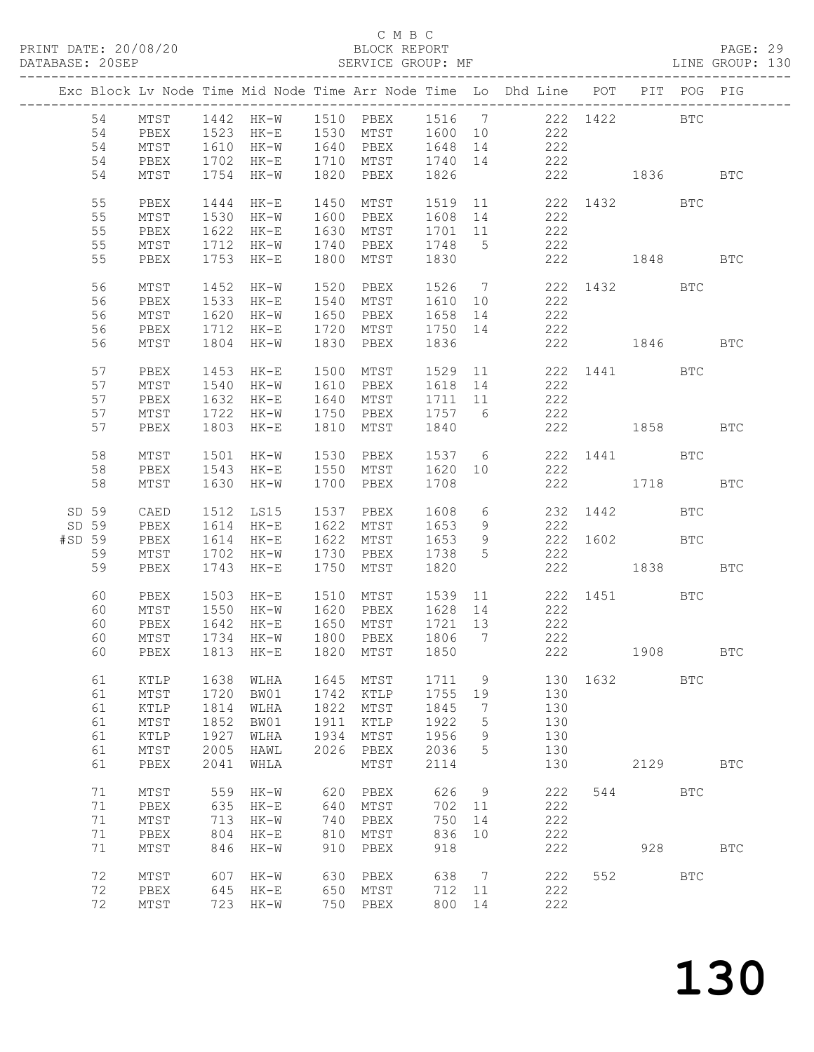### C M B C

|                 |                            |                                                            |                                      |                                                                                                                                                |                                      |                                                  |                                      |                        | PRINT DATE: 20/08/20<br>BLOCK REPORT BLOCK PRINT PAGE: 29<br>SERVICE GROUP: MF CREENT ME DATABASE: 20SEP                                                           |                              |      |            |                      |  |
|-----------------|----------------------------|------------------------------------------------------------|--------------------------------------|------------------------------------------------------------------------------------------------------------------------------------------------|--------------------------------------|--------------------------------------------------|--------------------------------------|------------------------|--------------------------------------------------------------------------------------------------------------------------------------------------------------------|------------------------------|------|------------|----------------------|--|
| ______________  |                            |                                                            |                                      |                                                                                                                                                |                                      |                                                  |                                      |                        | Exc Block Lv Node Time Mid Node Time Arr Node Time Lo Dhd Line POT PIT POG PIG                                                                                     |                              |      |            |                      |  |
|                 | 54<br>54                   |                                                            |                                      | 54 MTST 1442 HK-W 1510 PBEX<br>54 PBEX 1523 HK-E 1530 MTST<br>MTST 1610 HK-W 1640 PBEX<br>PBEX 1702 HK-E 1710 MTST<br>MTST 1754 HK-W 1820 PBEX |                                      |                                                  |                                      |                        | 1516 7 222 1422 BTC<br>1600 10 222<br>$\begin{array}{cccc} 1648 & 14 & & 222 \\ 1740 & 14 & & 222 \\ 1826 & & & 222 & & 1836 \end{array} \qquad \qquad \text{BTC}$ |                              |      |            |                      |  |
|                 | 54<br>55<br>55<br>55       | PBEX<br>MTST<br>PBEX                                       |                                      | 1444 HK-E<br>1530 HK-W<br>1622 HK-E 1630 MTST                                                                                                  |                                      | 1450 MTST<br>1600 PBEX                           |                                      |                        | 1519   11   222   1432   BTC<br>1608   14   222<br>1701 11 222                                                                                                     |                              |      |            |                      |  |
|                 | 55<br>55                   | MTST<br>PBEX                                               |                                      | 1712 HK-W 1740 PBEX<br>1753 HK-E                                                                                                               |                                      | 1800 MTST                                        | 1830                                 |                        | 1748 5 222<br>222 1848                                                                                                                                             |                              |      |            | <b>BTC</b>           |  |
|                 | 56<br>56<br>56<br>56<br>56 | PBEX<br>MTST<br>PBEX<br>MTST                               |                                      | MTST 1452 HK-W 1520 PBEX<br>1533 HK-E<br>1620 HK-W<br>1712 HK-E<br>1804 HK-W                                                                   |                                      | 1540 MTST<br>1650 PBEX<br>1720 MTST<br>1830 PBEX | 1658                                 |                        | 1526 7 222 1432 BTC<br>1610 10<br>222<br>222<br>14<br>1750 14 222<br>1836 222 1846                                                                                 |                              |      |            | <b>BTC</b>           |  |
|                 | 57<br>57<br>57             | PBEX<br>MTST<br>PBEX                                       |                                      | 1453 HK-E<br>1540 HK-W<br>1632 HK-E                                                                                                            |                                      | 1500 MTST<br>1610 PBEX<br>1640 MTST              | 1711 11                              |                        | 1529 11 222 1441 BTC 1618 14 222<br>222<br>1757 6                                                                                                                  |                              |      |            |                      |  |
|                 | 57<br>57                   | MTST<br>PBEX                                               |                                      | 1722 HK-W 1750 PBEX<br>1803 HK-E                                                                                                               |                                      | 1810 MTST                                        | 1840                                 |                        | 222                                                                                                                                                                | 222 1858 BTC                 |      |            |                      |  |
|                 | 58<br>58<br>58             | MTST<br>PBEX<br>MTST                                       |                                      | 1501 HK-W<br>1543 HK-E<br>1630 HK-W                                                                                                            | 1700                                 | 1530 PBEX<br>1550 MTST<br>PBEX                   | 1537<br>1620 10<br>1708              |                        | $6\overline{6}$<br>222                                                                                                                                             | 222 1441 BTC<br>222 1718     |      |            | <b>BTC</b>           |  |
| SD 59<br>#SD 59 | SD 59<br>59                | CAED<br>PBEX<br>PBEX<br>MTST                               |                                      | 1512 LS15<br>1614 HK-E 1622 MTST<br>1614 HK-E<br>1702 HK-W                                                                                     |                                      | 1537 PBEX<br>1622 MTST<br>1730 PBEX              | 1608 6<br>1653 9<br>1653<br>1738     | 5 <sup>5</sup>         | 222<br>$9 \left( \frac{1}{2} \right)$<br>222                                                                                                                       | 232 1442 BTC<br>222 1602 BTC |      |            |                      |  |
|                 | 59<br>60                   | PBEX<br>PBEX                                               |                                      | 1743 HK-E 1750 MTST<br>1503 HK-E 1510 MTST                                                                                                     |                                      |                                                  | 1820                                 |                        | 1539 11                                                                                                                                                            | 222 1838<br>222 1451         |      | <b>BTC</b> | BTC                  |  |
|                 | 60<br>60<br>60<br>60       | $\mathtt{MTST}$<br>PBEX                                    | 1734<br>1813                         | MTST 1550 HK-W 1620 PBEX<br>PBEX 1642 HK-E 1650 MTST<br>$HK-W$<br>$HK-E$                                                                       | 1800<br>1820                         | PBEX<br>MTST                                     | 1721 13<br>1806<br>1850              | 7                      | $1628$ 14 222<br>222<br>222<br>222                                                                                                                                 |                              | 1908 |            | $\operatorname{BTC}$ |  |
|                 | 61<br>61<br>61<br>61<br>61 | KTLP<br>$\mathtt{MTST}$<br>KTLP<br>$\mathtt{MTST}$<br>KTLP | 1638<br>1720<br>1814<br>1852<br>1927 | WLHA<br>BW01<br>WLHA<br>BW01<br>WLHA                                                                                                           | 1645<br>1742<br>1822<br>1911<br>1934 | MTST<br>KTLP<br>MTST<br>KTLP<br>MTST             | 1711<br>1755<br>1845<br>1922<br>1956 | 9<br>19<br>7<br>5<br>9 | 130<br>130<br>130<br>130<br>130                                                                                                                                    | 1632                         |      | <b>BTC</b> |                      |  |
|                 | 61<br>61                   | $\mathtt{MTST}$<br>PBEX                                    | 2005<br>2041                         | HAWL<br>WHLA                                                                                                                                   | 2026                                 | PBEX<br>MTST                                     | 2036<br>2114                         | 5                      | 130<br>130                                                                                                                                                         |                              | 2129 |            | <b>BTC</b>           |  |
|                 | 71<br>71<br>71<br>71<br>71 | MTST<br>PBEX<br>MTST<br>PBEX<br>MTST                       | 559<br>635<br>713<br>804<br>846      | HK-W<br>$HK-E$<br>$HK-W$<br>$HK-E$<br>$HK-W$                                                                                                   | 620<br>640<br>740<br>810<br>910      | PBEX<br>MTST<br>PBEX<br>MTST<br>PBEX             | 626<br>702<br>750<br>836<br>918      | 9<br>11<br>14<br>10    | 222<br>222<br>222<br>222<br>222                                                                                                                                    | 544                          | 928  | <b>BTC</b> | <b>BTC</b>           |  |
|                 | 72<br>72<br>72             | MTST<br>PBEX<br>MTST                                       | 607<br>645<br>723                    | $HK-W$<br>$HK-E$<br>$HK-W$                                                                                                                     | 630<br>650<br>750                    | PBEX<br>MTST<br>PBEX                             | 638<br>712<br>800                    | 7<br>11<br>14          | 222<br>222<br>222                                                                                                                                                  | 552                          |      | <b>BTC</b> |                      |  |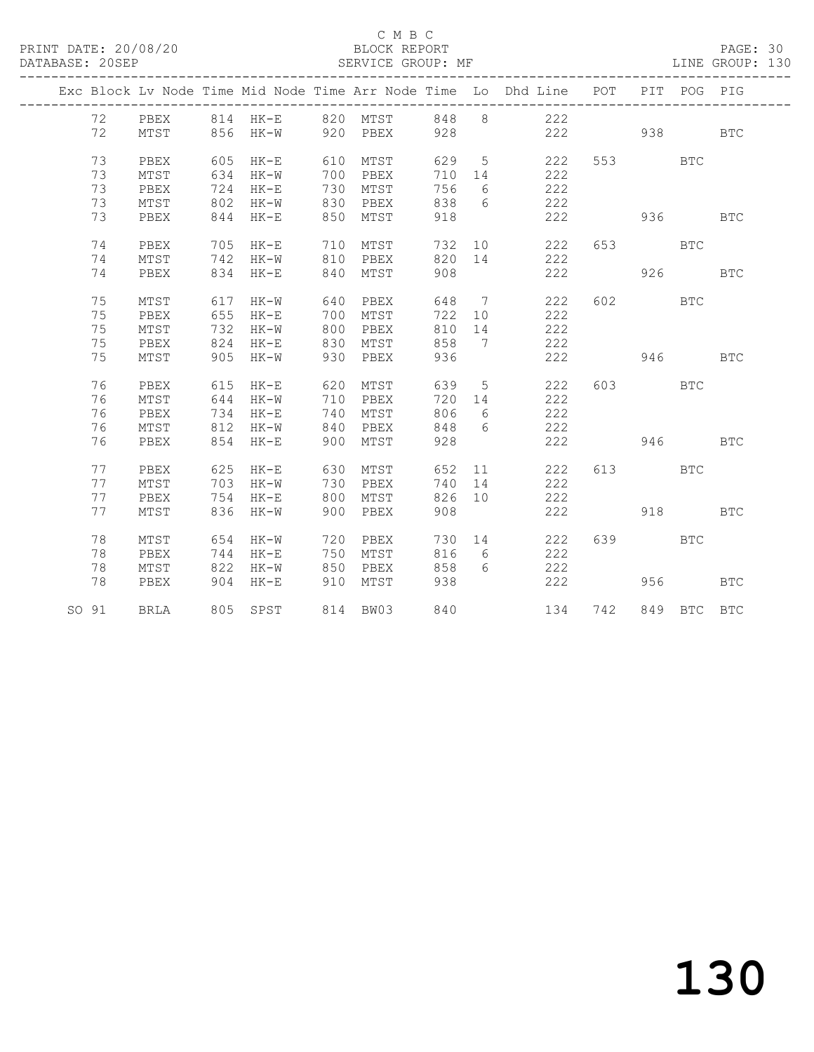PRINT DATE: 20/08/20 BLOCK REPORT DATABASE: 20SEP

### C M B C<br>BLOCK REPORT

## PAGE: 30<br>LINE GROUP: 130

|  |            |      |     |                       |     |          |        |                 | Exc Block Lv Node Time Mid Node Time Arr Node Time Lo Dhd Line POT |         | PIT      | POG PIG     |            |
|--|------------|------|-----|-----------------------|-----|----------|--------|-----------------|--------------------------------------------------------------------|---------|----------|-------------|------------|
|  | 72         | PBEX |     | 814 HK-E 820 MTST     |     |          |        |                 | 848 8 222                                                          |         |          |             |            |
|  | 72         | MTST |     | 856 HK-W 920 PBEX     |     |          | 928    |                 | 222 938                                                            |         |          |             | <b>BTC</b> |
|  | 73         | PBEX |     | 605 HK-E              | 610 | MTST     | 629 5  |                 | 222                                                                | 553 BTC |          |             |            |
|  | 73         | MTST |     | 634 HK-W              |     | 700 PBEX | 710 14 |                 | 222                                                                |         |          |             |            |
|  | 73         | PBEX |     | 724 HK-E              |     | 730 MTST | 756    | 6               | 222                                                                |         |          |             |            |
|  | 73         | MTST |     | 802 HK-W              |     | 830 PBEX | 838    | 6               | 222                                                                |         |          |             |            |
|  | 73         | PBEX |     | 844 HK-E              |     | 850 MTST | 918    |                 | 222                                                                |         | 936 1990 |             | <b>BTC</b> |
|  |            |      |     |                       |     |          |        |                 |                                                                    |         |          |             |            |
|  | 74         | PBEX |     | 705 HK-E              |     | 710 MTST |        |                 | 732 10<br>222                                                      | 653 BTC |          |             |            |
|  | 74         | MTST |     | 742 HK-W 810 PBEX     |     |          |        |                 | 820 14<br>222                                                      |         |          |             |            |
|  | 74         | PBEX |     | 834 HK-E              | 840 | MTST     | 908    |                 | 222                                                                |         |          | 926 72      | <b>BTC</b> |
|  | 75         | MTST |     | 617 HK-W              | 640 | PBEX     |        |                 | 648 7 222                                                          |         | 602 BTC  |             |            |
|  | 75         | PBEX |     | 655 HK-E              | 700 | MTST     |        |                 | 722 10 222                                                         |         |          |             |            |
|  | 75         | MTST | 732 | HK-W                  |     | 800 PBEX | 810 14 |                 | 222                                                                |         |          |             |            |
|  | 75         | PBEX |     | 824 HK-E              |     | 830 MTST | 858    | $\overline{7}$  | 222                                                                |         |          |             |            |
|  | 75         | MTST |     | 905 HK-W              |     | 930 PBEX | 936    |                 | 222                                                                |         | 946 1946 |             | <b>BTC</b> |
|  | 76         | PBEX | 615 | $HK-E$                |     | 620 MTST | 639 5  |                 | 222                                                                |         | 603 BTC  |             |            |
|  | 76         | MTST | 644 | $HK-W$                |     | 710 PBEX | 720 14 |                 | 222                                                                |         |          |             |            |
|  | 76         | PBEX | 734 | HK-E                  | 740 | MTST     | 806    | 6               | 222                                                                |         |          |             |            |
|  | 76         | MTST | 812 | HK-W                  | 840 | PBEX     | 848    | 6               | 222                                                                |         |          |             |            |
|  | 76         | PBEX |     | 854 HK-E              | 900 | MTST     | 928    |                 | 222                                                                |         |          | 946 — 10    | <b>BTC</b> |
|  | 77         | PBEX |     | 625 HK-E              | 630 | MTST     | 652    |                 | 11 1<br>222                                                        |         | 613      | <b>BTC</b>  |            |
|  | 77         | MTST |     | 703 HK-W              |     | 730 PBEX | 740 14 |                 | 222                                                                |         |          |             |            |
|  | 77         | PBEX | 754 | HK-E                  | 800 | MTST     | 826 10 |                 | 222                                                                |         |          |             |            |
|  | 77         | MTST |     | 836 HK-W              | 900 | PBEX     | 908    |                 | 222                                                                |         |          | 918 — 10    | BTC        |
|  |            |      |     |                       |     |          |        |                 |                                                                    |         |          |             |            |
|  | 78         | MTST |     | 654 HK-W              |     | 720 PBEX |        |                 | 730 14<br>222                                                      | 639 BTC |          |             |            |
|  | 78         | PBEX |     | 744 HK-E              |     | 750 MTST | 816    | $6\overline{6}$ | 222                                                                |         |          |             |            |
|  | 78         | MTST |     | 822 HK-W              |     | 850 PBEX | 858    | 6               | 222                                                                |         |          |             |            |
|  | 78         | PBEX | 904 | HK-E                  | 910 | MTST     | 938    |                 | 222                                                                |         |          | 956 1996    | BTC        |
|  | SO 91 BRLA |      |     | 805 SPST 814 BW03 840 |     |          |        |                 |                                                                    | 134 742 |          | 849 BTC BTC |            |
|  |            |      |     |                       |     |          |        |                 |                                                                    |         |          |             |            |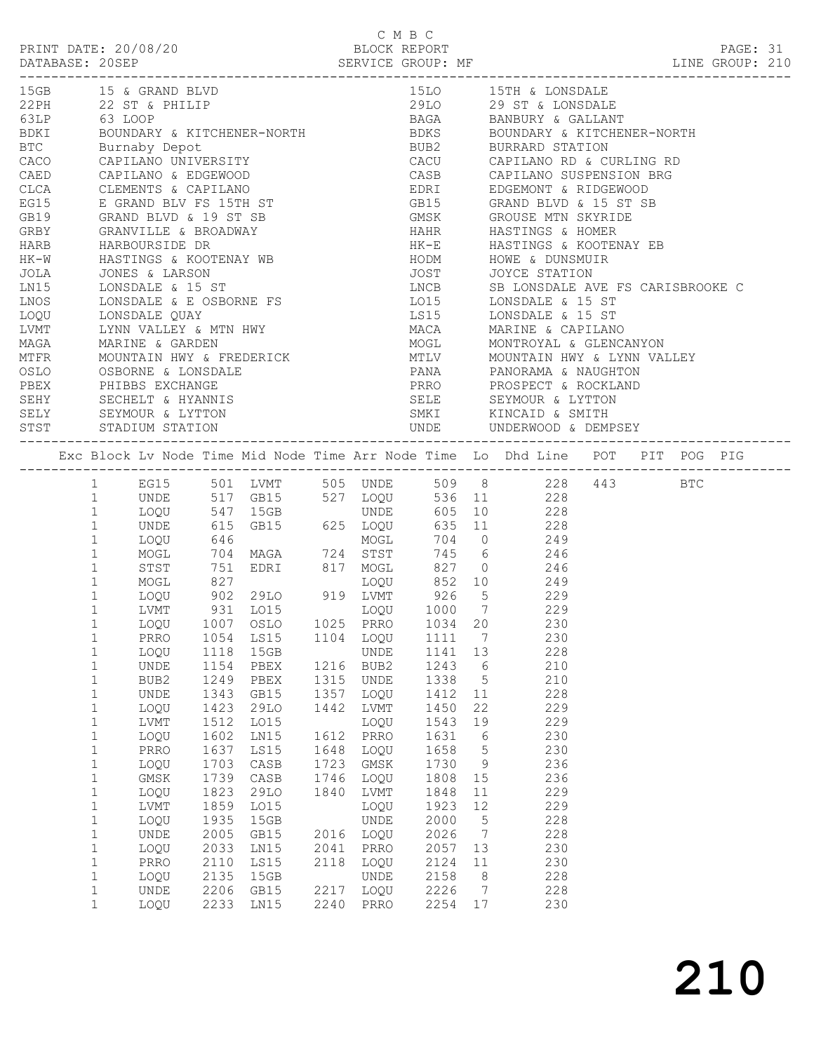C M B C<br>BLOCK REPORT PRINT DATE: 20/08/20 BLOCK REPORT PAGE: 31 DATABASE: 20SEP SERVICE GROUP: MF SERVICE GROUP: 210 ------------------------------------------------------------------------------------------------- 15GB 15 & GRAND BLVD 15LO 15TH & LONSDALE 22PH 22 ST & PHILIP 29LO 29 ST & LONSDALE 63LP 63 LOOP BAGA BANBURY & GALLANT 15GB 15 & GRAND BLVD<br>
22 ST & PHILIP<br>
22 ST & PHILIP<br>
BDKI BOUNDARY & KITCHENER-NORTH<br>
BDKI BOUNDARY & KITCHENER-NORTH<br>
BDKS BOUNDARY & KITCHENER-NORTH<br>
BDKS BOUNDARY & KITCHENER-NORTH<br>
BTC Burnaby Depot BUB2 BURRARD STATI

| BTC  |              |                     |                     |                                                                                                                                                                                       |      |           | BUB2                 |                 | BURRARD STATION                                                                |  |  |  |
|------|--------------|---------------------|---------------------|---------------------------------------------------------------------------------------------------------------------------------------------------------------------------------------|------|-----------|----------------------|-----------------|--------------------------------------------------------------------------------|--|--|--|
| CACO |              |                     |                     | Burnaby Depot<br>CAPILANO UNIVERSITY                                                                                                                                                  |      |           | CACU                 |                 | CAPILANO RD & CURLING RD                                                       |  |  |  |
| CAED |              | CAPILANO & EDGEWOOD |                     | CAPILANO & EDGEWOOD<br>CLEMENTS & CAPILANO<br>E GRAND BLV FS 15TH ST                                                                                                                  |      |           | CASB                 |                 | CAPILANO SUSPENSION BRG                                                        |  |  |  |
| CLCA |              |                     |                     |                                                                                                                                                                                       |      |           | EDRI                 |                 | EDGEMONT & RIDGEWOOD                                                           |  |  |  |
| EG15 |              |                     |                     |                                                                                                                                                                                       |      |           | GB15                 |                 | GRAND BLVD & 15 ST SB                                                          |  |  |  |
| GB19 |              |                     |                     | GRAND BLVD & 19 ST SB                                                                                                                                                                 |      |           | GMSK                 |                 | GROUSE MTN SKYRIDE                                                             |  |  |  |
| GRBY |              |                     |                     |                                                                                                                                                                                       |      |           | HAHR                 |                 | HASTINGS & HOMER                                                               |  |  |  |
| HARB |              |                     |                     |                                                                                                                                                                                       |      |           | HK-E                 |                 | HASTINGS & KOOTENAY EB                                                         |  |  |  |
| HK-W |              |                     |                     | GRAND BLVD & 19 ST SB<br>GRANVILLE & BROADWAY<br>HARBOURSIDE DR<br>HASTINGS & KOOTENAY WB<br>JONES & LARSON<br>LONSDALE & 15 ST<br>LONSDALE & E OSBORNE FS<br>TONSDALE & E OSBORNE FS |      |           | HODM                 |                 | HOWE & DUNSMUIR                                                                |  |  |  |
| JOLA |              |                     |                     |                                                                                                                                                                                       |      |           | JOST                 |                 | JOYCE STATION                                                                  |  |  |  |
| LN15 |              |                     |                     |                                                                                                                                                                                       |      |           | LNCB<br>LO15<br>LS15 |                 | SB LONSDALE AVE FS CARISBROOKE C                                               |  |  |  |
| LNOS |              |                     |                     |                                                                                                                                                                                       |      |           |                      |                 | LONSDALE & 15 ST                                                               |  |  |  |
| LOQU |              |                     |                     |                                                                                                                                                                                       |      |           |                      |                 | LONSDALE & 15 ST                                                               |  |  |  |
| LVMT |              |                     |                     | LONSDALE QUAY<br>LYNN VALLEY & MTN HWY<br>ANDRON HWY                                                                                                                                  |      |           | MACA                 |                 | MARINE & CAPILANO                                                              |  |  |  |
| MAGA |              | MARINE & GARDEN     |                     |                                                                                                                                                                                       |      |           | MOGL                 |                 | MONTROYAL & GLENCANYON                                                         |  |  |  |
| MTFR |              |                     |                     | MOUNTAIN HWY & FREDERICK<br>OSBORNE & LONSDALE<br>PHIBBS EXCHANGE                                                                                                                     |      |           |                      |                 | MOUNTAIN HWY & LYNN VALLEY                                                     |  |  |  |
| OSLO |              |                     |                     |                                                                                                                                                                                       |      |           | MTLV<br>PANA         |                 | PANORAMA & NAUGHTON                                                            |  |  |  |
| PBEX |              |                     |                     |                                                                                                                                                                                       |      |           |                      |                 | PRRO PROSPECT & ROCKLAND                                                       |  |  |  |
| SEHY |              |                     |                     |                                                                                                                                                                                       |      |           |                      |                 |                                                                                |  |  |  |
|      |              | SECHELT & HYANNIS   |                     |                                                                                                                                                                                       |      |           |                      |                 | SELE SEYMOUR & LYTTON                                                          |  |  |  |
| STST |              | STADIUM STATION     |                     | SELY SEYMOUR & LYTTON                                                                                                                                                                 |      |           |                      |                 |                                                                                |  |  |  |
|      |              |                     |                     |                                                                                                                                                                                       |      | UNDE      |                      |                 |                                                                                |  |  |  |
|      |              |                     |                     |                                                                                                                                                                                       |      |           |                      |                 | Exc Block Lv Node Time Mid Node Time Arr Node Time Lo Dhd Line POT PIT POG PIG |  |  |  |
|      | $\mathbf{1}$ |                     |                     | EG15 501 LVMT                                                                                                                                                                         |      |           | 505 UNDE 509 8       |                 | 228 443 BTC                                                                    |  |  |  |
|      | $\mathbf{1}$ | UNDE                |                     | 517 GB15                                                                                                                                                                              |      | 527 LOQU  |                      |                 | 536 11 228                                                                     |  |  |  |
|      | $\mathbf{1}$ | LOQU                |                     | 547 15GB                                                                                                                                                                              |      | UNDE      |                      |                 | 605 10 228                                                                     |  |  |  |
|      | $\mathbf{1}$ | UNDE                |                     | GB15 625 LOQU                                                                                                                                                                         |      |           | 635                  | 11              | 228                                                                            |  |  |  |
|      | $\mathbf{1}$ | LOQU                | 615<br>646          |                                                                                                                                                                                       |      | MOGL      | 704 0                |                 | 249                                                                            |  |  |  |
|      | $\mathbf 1$  | MOGL                | 704                 | MAGA 724 STST                                                                                                                                                                         |      |           | 745 6                |                 | 246                                                                            |  |  |  |
|      | $\mathbf{1}$ | STST                | 751                 | EDRI                                                                                                                                                                                  |      | 817 MOGL  | 827 0                |                 | 246                                                                            |  |  |  |
|      | $\mathbf 1$  | MOGL                | 827                 |                                                                                                                                                                                       |      | LOQU      | 852 10               |                 | 249                                                                            |  |  |  |
|      | $\mathbf{1}$ | LOQU                |                     | 29LO                                                                                                                                                                                  |      | 919 LVMT  | 926                  | $5^{\circ}$     | 229                                                                            |  |  |  |
|      | $\mathbf{1}$ | LVMT                | $902$<br>931<br>931 | LO15                                                                                                                                                                                  |      | LOQU      | 1000                 | $\overline{7}$  | 229                                                                            |  |  |  |
|      | $\mathbf{1}$ | LOQU                | 1007                | OSLO                                                                                                                                                                                  |      | 1025 PRRO | 1034 20              |                 | 230                                                                            |  |  |  |
|      | $\mathbf 1$  | PRRO                | 1054                | LS15                                                                                                                                                                                  |      | 1104 LOQU | 1111                 | $\overline{7}$  | 230                                                                            |  |  |  |
|      | $\mathbf 1$  | LOQU                | 1118                | 15GB                                                                                                                                                                                  |      | UNDE      | 1141 13              |                 | 228                                                                            |  |  |  |
|      | $\mathbf{1}$ | UNDE                | 1154                | PBEX                                                                                                                                                                                  |      | 1216 BUB2 | 1243 6               |                 | 210                                                                            |  |  |  |
|      | $\mathbf 1$  | BUB2                | 1249                | PBEX                                                                                                                                                                                  |      | 1315 UNDE | 1338 5               |                 | 210                                                                            |  |  |  |
|      | $\mathbf 1$  | UNDE                | 1343                | GB15                                                                                                                                                                                  |      | 1357 LOQU | 1412 11              |                 | 228                                                                            |  |  |  |
|      | $\mathbf 1$  | LOOU                |                     | 29LO                                                                                                                                                                                  |      | 1442 LVMT | 1450 22              |                 | 229                                                                            |  |  |  |
|      | $\mathbf{1}$ | LVMT                | 1423<br>1512        | LO15                                                                                                                                                                                  |      | LOQU      | 1543 19              |                 | 229                                                                            |  |  |  |
|      | 1            |                     |                     | LOQU 1602 LN15 1612 PRRO 1631 6                                                                                                                                                       |      |           |                      |                 | 230                                                                            |  |  |  |
|      |              |                     |                     |                                                                                                                                                                                       |      | LOOU      |                      |                 | 230                                                                            |  |  |  |
|      | 1            | PRRO                | 1637                | LS15                                                                                                                                                                                  | 1648 |           | 1658                 | 5               |                                                                                |  |  |  |
|      | 1            | LOQU                | 1703                | CASB                                                                                                                                                                                  | 1723 | GMSK      | 1730                 | 9               | 236                                                                            |  |  |  |
|      | $\mathbf 1$  | GMSK                | 1739                | CASB                                                                                                                                                                                  | 1746 | LOQU      | 1808                 | 15              | 236                                                                            |  |  |  |
|      | $\mathbf 1$  | LOQU                | 1823                | 29LO                                                                                                                                                                                  | 1840 | LVMT      | 1848                 | 11              | 229                                                                            |  |  |  |
|      | $\mathbf 1$  | LVMT                | 1859                | LO15                                                                                                                                                                                  |      | LOQU      | 1923                 | 12              | 229                                                                            |  |  |  |
|      | $\mathbf{1}$ | LOQU                | 1935                | 15GB                                                                                                                                                                                  |      | UNDE      | 2000                 | 5               | 228                                                                            |  |  |  |
|      | $\mathbf{1}$ | UNDE                | 2005                | GB15                                                                                                                                                                                  | 2016 | LOQU      | 2026                 | $7\phantom{.0}$ | 228                                                                            |  |  |  |
|      | $\mathbf 1$  | LOQU                | 2033                | LN15                                                                                                                                                                                  | 2041 | PRRO      | 2057                 | 13              | 230                                                                            |  |  |  |
|      | $\mathbf 1$  | PRRO                | 2110                | LS15                                                                                                                                                                                  | 2118 | LOQU      | 2124                 | 11              | 230                                                                            |  |  |  |
|      | $\mathbf 1$  | LOQU                | 2135                | 15GB                                                                                                                                                                                  |      | UNDE      | 2158                 | 8               | 228                                                                            |  |  |  |
|      | $\mathbf{1}$ | UNDE                | 2206                | GB15                                                                                                                                                                                  | 2217 | LOQU      | 2226                 | $7\phantom{.0}$ | 228                                                                            |  |  |  |
|      | $\mathbf{1}$ | LOQU                | 2233                | LN15                                                                                                                                                                                  | 2240 | PRRO      | 2254                 | 17              | 230                                                                            |  |  |  |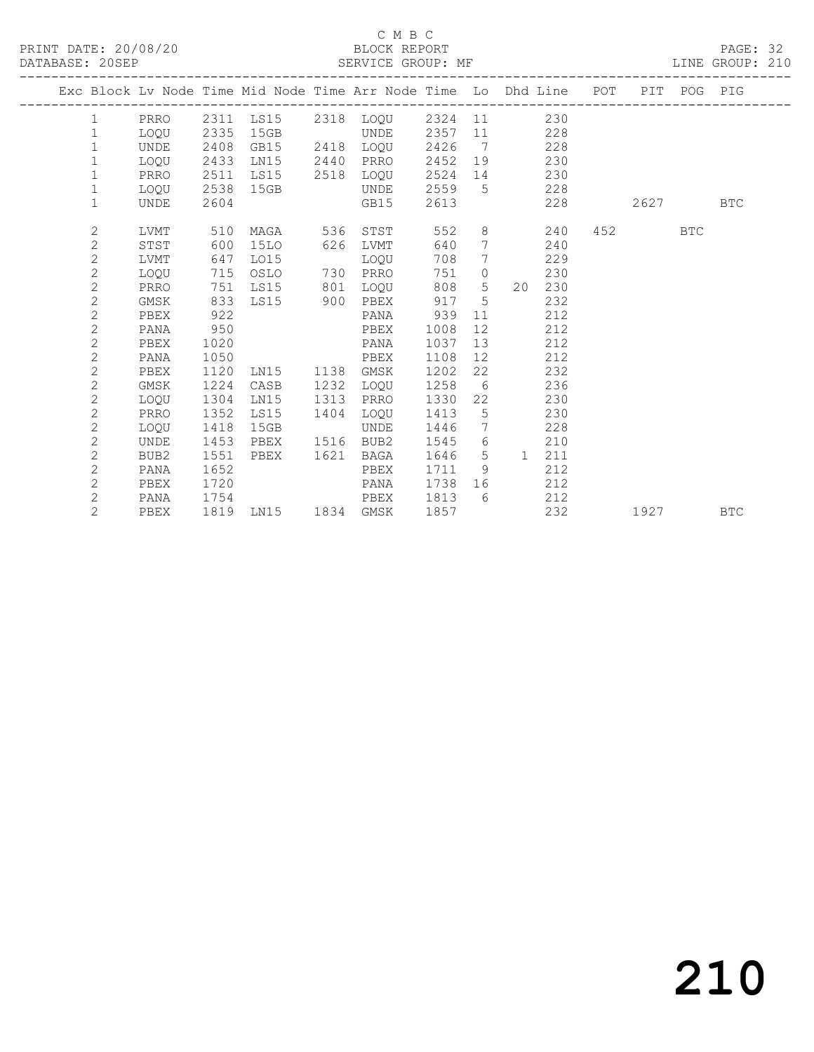PRINT DATE: 20/08/20 BLOCK REPORT DATABASE: 20SEP

### C M B C<br>BLOCK REPORT

PAGE: 32<br>LINE GROUP: 210

|  |                |                  |      |                     |      |           |      |                 | Exc Block Lv Node Time Mid Node Time Arr Node Time Lo Dhd Line POT PIT POG PIG |                                                                                                            |     |            |
|--|----------------|------------------|------|---------------------|------|-----------|------|-----------------|--------------------------------------------------------------------------------|------------------------------------------------------------------------------------------------------------|-----|------------|
|  | $\mathbf{1}$   | PRRO             |      |                     |      |           |      |                 | 2311 LS15 2318 LOQU 2324 11 230                                                |                                                                                                            |     |            |
|  | $\mathbf{1}$   | LOOU             | 2335 | 15GB                |      | UNDE      | 2357 |                 | 11 228                                                                         |                                                                                                            |     |            |
|  | $\mathbf{1}$   | <b>UNDE</b>      | 2408 | GB15                |      | 2418 LOQU | 2426 | $\overline{7}$  | 228                                                                            |                                                                                                            |     |            |
|  | $\mathbf{1}$   | LOOU             | 2433 | LN15                | 2440 | PRRO      | 2452 |                 | 19<br>230                                                                      |                                                                                                            |     |            |
|  | $\mathbf 1$    | PRRO             | 2511 | LS15 2518 LOOU      |      |           | 2524 |                 | 230<br>14 \                                                                    |                                                                                                            |     |            |
|  | $\mathbf 1$    | LOQU             | 2538 | 15GB                |      | UNDE      | 2559 |                 | $5\overline{}$<br>228                                                          |                                                                                                            |     |            |
|  | $\mathbf{1}$   | UNDE             | 2604 |                     |      | GB15      | 2613 |                 | 228                                                                            | 2627                                                                                                       |     | <b>BTC</b> |
|  |                |                  |      |                     |      |           |      |                 |                                                                                |                                                                                                            |     |            |
|  | $\mathbf{2}$   | LVMT             | 510  | MAGA 536            |      | STST      | 552  |                 | 8<br>240                                                                       | 452 and $\overline{a}$                                                                                     | BTC |            |
|  | $\overline{c}$ | STST             | 600  | 15LO                | 626  | LVMT      | 640  | $7\overline{ }$ | 240                                                                            |                                                                                                            |     |            |
|  | $\mathbf{2}$   | LVMT             | 647  | LO15                |      | LOOU      | 708  | $7\phantom{.0}$ | 229                                                                            |                                                                                                            |     |            |
|  | $\overline{2}$ | LOOU             | 715  | OSLO                |      | 730 PRRO  | 751  | $\circ$         | 230                                                                            |                                                                                                            |     |            |
|  | $\overline{c}$ | PRRO             | 751  | LS15                | 801  | LOOU      | 808  | 5 <sup>5</sup>  | 20 230                                                                         |                                                                                                            |     |            |
|  | $\overline{c}$ | GMSK             | 833  | LS15 900            |      | PBEX      | 917  | $\overline{5}$  | 232                                                                            |                                                                                                            |     |            |
|  | $\overline{c}$ | PBEX             | 922  |                     |      | PANA      | 939  | 11              | 212                                                                            |                                                                                                            |     |            |
|  | $\overline{c}$ | PANA             | 950  |                     |      | PBEX      | 1008 | 12              | 212                                                                            |                                                                                                            |     |            |
|  | $\overline{c}$ | PBEX             | 1020 |                     |      | PANA      | 1037 | 13              | 212                                                                            |                                                                                                            |     |            |
|  | $\overline{2}$ | PANA             | 1050 |                     |      | PBEX      | 1108 | 12              | 212                                                                            |                                                                                                            |     |            |
|  | $\overline{c}$ | PBEX             | 1120 | LN15                | 1138 | GMSK      | 1202 | 22              | 232                                                                            |                                                                                                            |     |            |
|  | $\overline{c}$ | GMSK             | 1224 | CASB                | 1232 | LOOU      | 1258 | 6               | 236                                                                            |                                                                                                            |     |            |
|  | $\sqrt{2}$     | LOOU             | 1304 | LN15                | 1313 | PRRO      | 1330 | 22              | 230                                                                            |                                                                                                            |     |            |
|  | $\overline{c}$ | PRRO             | 1352 | LS15                | 1404 | LOOU      | 1413 | 5               | 230                                                                            |                                                                                                            |     |            |
|  | $\overline{c}$ | LOOU             | 1418 | 15GB                |      | UNDE      | 1446 | $7\phantom{0}$  | 228                                                                            |                                                                                                            |     |            |
|  | $\overline{c}$ | <b>UNDE</b>      | 1453 | PBEX                |      | 1516 BUB2 | 1545 | 6               | 210                                                                            |                                                                                                            |     |            |
|  | $\overline{c}$ | BUB <sub>2</sub> | 1551 | PBEX                | 1621 | BAGA      | 1646 | 5               | 211<br>1                                                                       |                                                                                                            |     |            |
|  | $\overline{2}$ | PANA             | 1652 |                     |      | PBEX      | 1711 | 9               | 212                                                                            |                                                                                                            |     |            |
|  | $\sqrt{2}$     | PBEX             | 1720 |                     |      | PANA      | 1738 | 16              | 212                                                                            |                                                                                                            |     |            |
|  | $\overline{c}$ | PANA             | 1754 |                     |      | PBEX      | 1813 | 6               | 212                                                                            |                                                                                                            |     |            |
|  | $\overline{2}$ | PBEX             |      | 1819 LN15 1834 GMSK |      |           | 1857 |                 | 232                                                                            | 1927 — 1927 — 1927 — 1927 — 1927 — 1927 — 1927 — 1927 — 1928 — 1928 — 1928 — 1928 — 1928 — 1928 — 1928 — 1 |     | <b>BTC</b> |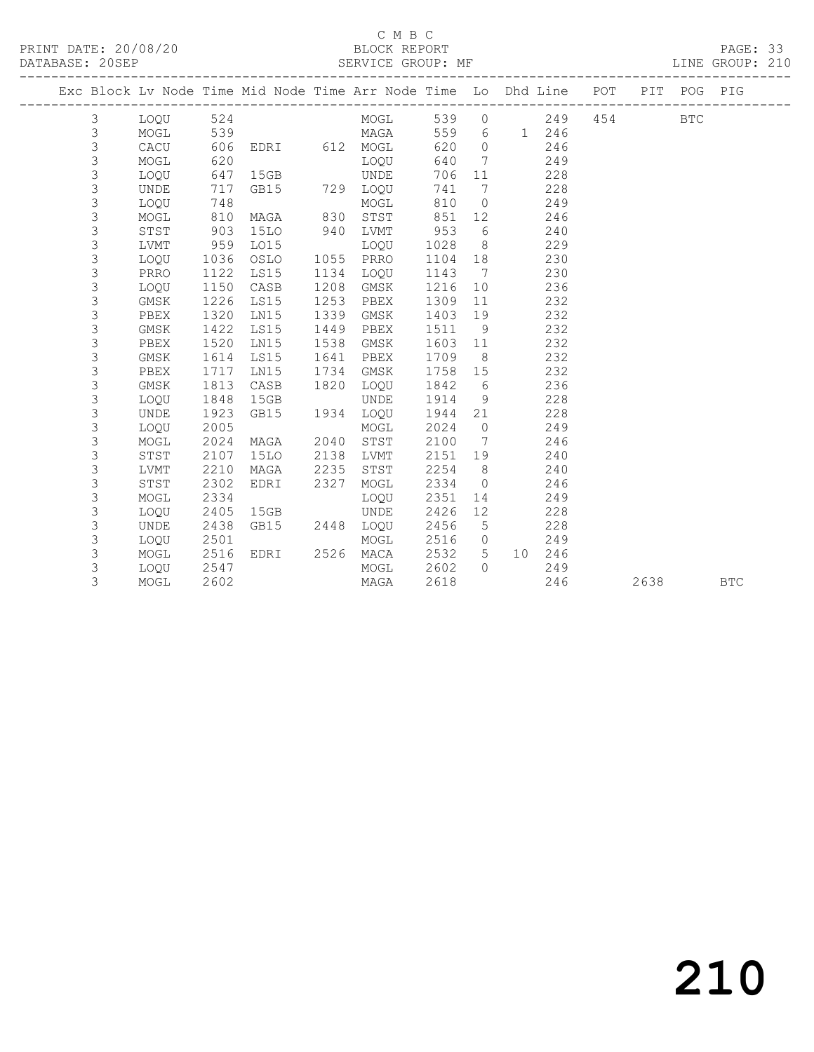## C M B C

| DATABASE: 20SEP |   |             |      | SERVICE GROUP: MF                                                              |      |             |      |                 |       |       |         | LINE GROUP: 210 |  |
|-----------------|---|-------------|------|--------------------------------------------------------------------------------|------|-------------|------|-----------------|-------|-------|---------|-----------------|--|
|                 |   |             |      | Exc Block Lv Node Time Mid Node Time Arr Node Time Lo Dhd Line POT PIT POG PIG |      |             |      |                 |       |       |         |                 |  |
|                 | 3 | LOQU        | 524  |                                                                                |      | MOGL        |      |                 | 539 0 | 249   | 454 BTC |                 |  |
|                 | 3 | MOGL        | 539  |                                                                                |      | <b>MAGA</b> | 559  | $6\overline{6}$ |       | 1 246 |         |                 |  |
|                 | 3 | CACU        | 606  | EDRI                                                                           |      | 612 MOGL    | 620  | $\bigcirc$      |       | 246   |         |                 |  |
|                 | 3 | MOGL        | 620  |                                                                                |      | LOQU        | 640  | 7               |       | 249   |         |                 |  |
|                 | 3 | LOQU        | 647  | 15GB                                                                           |      | UNDE        | 706  | 11              |       | 228   |         |                 |  |
|                 | 3 | UNDE        | 717  | GB15                                                                           |      | 729 LOQU    | 741  | 7               |       | 228   |         |                 |  |
|                 | 3 | LOQU        | 748  |                                                                                |      | MOGL        | 810  | $\overline{0}$  |       | 249   |         |                 |  |
|                 | 3 | MOGL        | 810  | MAGA                                                                           | 830  | STST        | 851  | 12 <sup>°</sup> |       | 246   |         |                 |  |
|                 | 3 | STST        | 903  | <b>15LO</b>                                                                    | 940  | LVMT        | 953  | 6               |       | 240   |         |                 |  |
|                 | 3 | LVMT        | 959  | L015                                                                           |      | LOOU        | 1028 | 8 <sup>8</sup>  |       | 229   |         |                 |  |
|                 | 3 | LOOU        | 1036 | OSLO                                                                           |      | 1055 PRRO   | 1104 | 18              |       | 230   |         |                 |  |
|                 | 3 | PRRO        | 1122 | LS15                                                                           | 1134 | LOQU        | 1143 | $\overline{7}$  |       | 230   |         |                 |  |
|                 | 3 | LOOU        | 1150 | CASB                                                                           | 1208 | GMSK        | 1216 | 10              |       | 236   |         |                 |  |
|                 | 3 | GMSK        | 1226 | LS15                                                                           | 1253 | PBEX        | 1309 | 11              |       | 232   |         |                 |  |
|                 | 3 | PBEX        | 1320 | LN15                                                                           | 1339 | GMSK        | 1403 | 19              |       | 232   |         |                 |  |
|                 | 3 | GMSK        | 1422 | LS15                                                                           | 1449 | PBEX        | 1511 | 9               |       | 232   |         |                 |  |
|                 | 3 | PBEX        | 1520 | LN15                                                                           | 1538 | GMSK        | 1603 | 11              |       | 232   |         |                 |  |
|                 | 3 | GMSK        | 1614 | LS15                                                                           | 1641 | PBEX        | 1709 | 8               |       | 232   |         |                 |  |
|                 | 3 | PBEX        | 1717 | LN15                                                                           | 1734 | GMSK        | 1758 | 15              |       | 232   |         |                 |  |
|                 | 3 | GMSK        | 1813 | CASB                                                                           | 1820 | LOQU        | 1842 | 6               |       | 236   |         |                 |  |
|                 | 3 | LOOU        | 1848 | 15GB                                                                           |      | UNDE        | 1914 | 9 <sup>°</sup>  |       | 228   |         |                 |  |
|                 | 3 | <b>UNDE</b> | 1923 | GB15                                                                           | 1934 | LOOU        | 1944 | 21              |       | 228   |         |                 |  |
|                 | 3 | LOOU        | 2005 |                                                                                |      | MOGL        | 2024 | $\overline{0}$  |       | 249   |         |                 |  |
|                 | 3 | MOGL        | 2024 | MAGA                                                                           | 2040 | STST        | 2100 | $\overline{7}$  |       | 246   |         |                 |  |
|                 | 3 | STST        | 2107 | 15LO                                                                           | 2138 | LVMT        | 2151 | 19              |       | 240   |         |                 |  |
|                 | 3 | LVMT        | 2210 | MAGA                                                                           | 2235 | STST        | 2254 | 8               |       | 240   |         |                 |  |
|                 | 3 | STST        | 2302 | EDRI                                                                           | 2327 | MOGL        | 2334 | $\overline{0}$  |       | 246   |         |                 |  |
|                 | 3 | MOGL        | 2334 |                                                                                |      | LOQU        | 2351 | 14              |       | 249   |         |                 |  |
|                 | 3 | LOQU        | 2405 | 15GB                                                                           |      | UNDE        | 2426 | 12              |       | 228   |         |                 |  |
|                 | 3 | UNDE        | 2438 | GB15                                                                           |      | 2448 LOOU   | 2456 | 5               |       | 228   |         |                 |  |

 3 LOQU 2501 MOGL 2516 0 249 3 MOGL 2516 EDRI 2526 MACA 2532 5 10 246 3 LOQU 2547 MOGL 2602 0 249

3 MOGL 2602 MAGA 2618 246 2638 BTC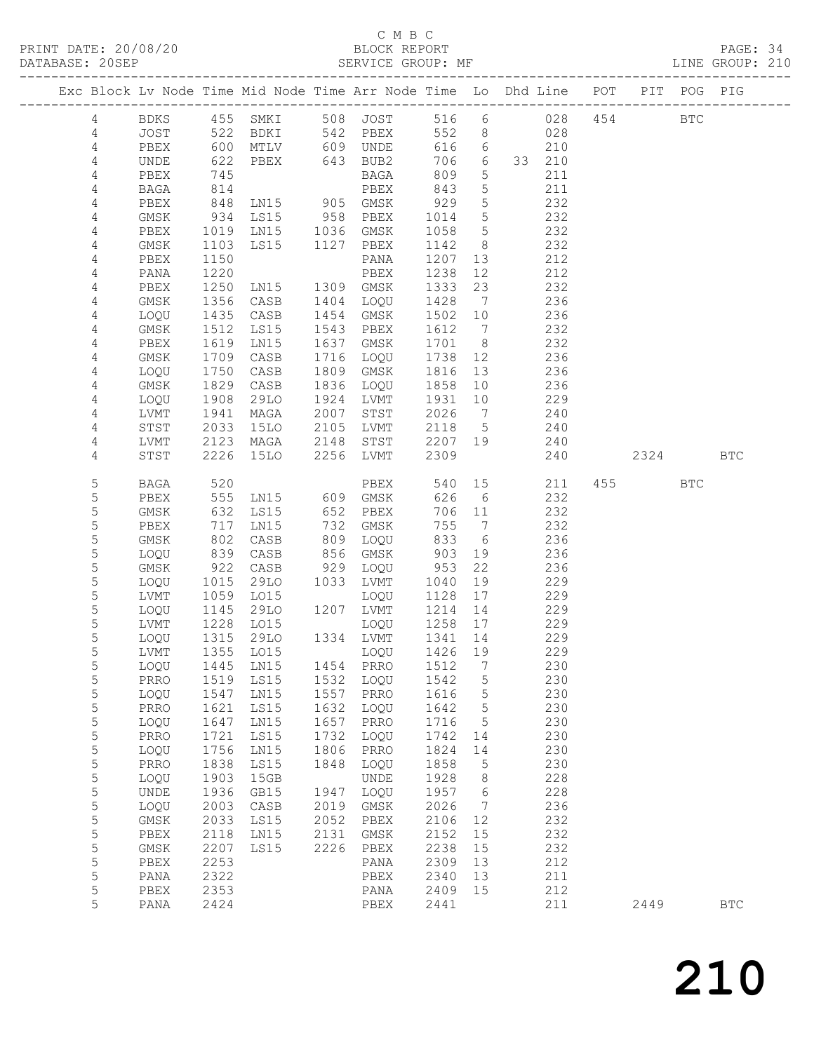## C M B C

| DATABASE: 20SEP |                |             |                   |                                 |      | SERVICE GROUP: MF      |         |                 | LINE GROUP: 210                                                                |          |            |            |  |
|-----------------|----------------|-------------|-------------------|---------------------------------|------|------------------------|---------|-----------------|--------------------------------------------------------------------------------|----------|------------|------------|--|
|                 |                |             |                   |                                 |      |                        |         |                 | Exc Block Lv Node Time Mid Node Time Arr Node Time Lo Dhd Line POT PIT POG PIG |          |            |            |  |
|                 | 4              |             |                   |                                 |      |                        |         |                 | BDKS 455 SMKI 508 JOST 516 6 028 454 BTC                                       |          |            |            |  |
|                 | 4              | JOST 522    |                   |                                 |      | BDKI 542 PBEX          |         |                 | 552 8 028                                                                      |          |            |            |  |
|                 | 4              | PBEX        | 600<br>622<br>745 |                                 |      | MTLV 609 UNDE          |         | 616 6           | 210                                                                            |          |            |            |  |
|                 | $\overline{4}$ | UNDE        |                   | PBEX 643 BUB2                   |      |                        |         | 706 6           | 33 210                                                                         |          |            |            |  |
|                 | 4              | PBEX        | 745               |                                 |      | BAGA                   | 809     | $5\overline{)}$ | 211                                                                            |          |            |            |  |
|                 | 4              | BAGA        | 814               |                                 |      | PBEX                   | 843     | $5\overline{)}$ | 211                                                                            |          |            |            |  |
|                 | 4              | PBEX        | 848               | LN15 905 GMSK                   |      |                        | 929     | $5\overline{)}$ | 232                                                                            |          |            |            |  |
|                 | 4              | GMSK        |                   |                                 |      |                        | 1014    | 5 <sup>5</sup>  | 232                                                                            |          |            |            |  |
|                 | 4              | PBEX        | 934<br>1019       | LS15 958 PBEX<br>LN15 1036 GMSK |      |                        | 1058    | $5\overline{)}$ | 232                                                                            |          |            |            |  |
|                 | 4              | GMSK        | 1103              | LS15 1127 PBEX                  |      |                        | 1142 8  |                 | 232                                                                            |          |            |            |  |
|                 | 4              | PBEX        | 1150              |                                 |      | PANA                   | 1207    | 13              | 212                                                                            |          |            |            |  |
|                 | 4              | PANA        | 1220              |                                 |      | PBEX                   | 1238    | 12              | 212                                                                            |          |            |            |  |
|                 | 4              | PBEX        | 1250              | LN15                            |      | 1309 GMSK              | 1333    | 23              | 232                                                                            |          |            |            |  |
|                 | 4              | GMSK        | 1356              | CASB                            |      | 1404 LOQU              | 1428    | $\overline{7}$  | 236                                                                            |          |            |            |  |
|                 |                |             |                   |                                 |      |                        |         |                 |                                                                                |          |            |            |  |
|                 | 4              | LOQU        | 1435              | CASB                            |      | 1454 GMSK<br>1543 PBEX | 1502    | 10              | 236                                                                            |          |            |            |  |
|                 | 4              | GMSK        | 1512              | LS15                            |      |                        | 1612    | $\overline{7}$  | 232                                                                            |          |            |            |  |
|                 | 4              | PBEX        | 1619              | LN15                            |      | 1637 GMSK              | 1701 8  |                 | 232                                                                            |          |            |            |  |
|                 | 4              | GMSK        | 1709              | CASB                            |      | 1716 LOQU              | 1738 12 |                 | 236                                                                            |          |            |            |  |
|                 | 4              | LOQU        | 1750              | CASB                            |      | 1809 GMSK              | 1816    | 13              | 236                                                                            |          |            |            |  |
|                 | 4              | GMSK        | 1829<br>1908      | CASB                            |      | 1836 LOQU              | 1858 10 |                 | 236                                                                            |          |            |            |  |
|                 | 4              | LOQU        |                   | 29LO                            |      | 1924 LVMT              | 1931 10 |                 | 229                                                                            |          |            |            |  |
|                 | 4              | LVMT        | 1941              | MAGA                            | 2007 | STST                   | 2026 7  |                 | 240                                                                            |          |            |            |  |
|                 | 4              | STST        | 2033              | 15LO 2105 LVMT                  |      |                        | 2118 5  |                 | 240                                                                            |          |            |            |  |
|                 | 4              | LVMT        | 2123              | MAGA                            |      |                        |         |                 | 2148 STST 2207 19 240                                                          |          |            |            |  |
|                 | 4              | STST        | 2226              | 15LO                            |      | 2256 LVMT              | 2309    |                 | 240                                                                            | 2324 BTC |            |            |  |
|                 | 5              | BAGA        | 520               |                                 |      | PBEX                   |         |                 | 540 15<br>211                                                                  | 455 000  | <b>BTC</b> |            |  |
|                 | 5              | PBEX        | 555               | LN15 609 GMSK                   |      |                        | 626     | 6               | 232                                                                            |          |            |            |  |
|                 | $\mathsf S$    | GMSK        |                   | LS15                            |      | 652 PBEX               |         | 706 11          | 232                                                                            |          |            |            |  |
|                 | 5              | PBEX        | 632<br>717<br>717 | LN15                            |      | 732 GMSK               | 755     | $7\overline{ }$ | 232                                                                            |          |            |            |  |
|                 | 5              | GMSK        | 802               | CASB                            |      | 809 LOQU               | 833     | 6               | 236                                                                            |          |            |            |  |
|                 | 5              | LOQU        | 839               | CASB                            |      | 856 GMSK               | 903     | 19              | 236                                                                            |          |            |            |  |
|                 | 5              | GMSK        |                   | CASB                            |      | 929 LOQU               | 953     | 22              | 236                                                                            |          |            |            |  |
|                 | 5              | LOQU        | 922<br>1015       | 29LO 1033 LVMT                  |      |                        | 1040    | 19              | 229                                                                            |          |            |            |  |
|                 | 5              | LVMT        | 1059              | LO15                            |      | LOQU                   | 1128 17 |                 | 229                                                                            |          |            |            |  |
|                 | 5              | LOQU        | 1145              | 29LO 1207 LVMT                  |      |                        | 1214    | 14              | 229                                                                            |          |            |            |  |
|                 | 5              | LVMT        |                   |                                 |      | LOQU                   | 1258 17 |                 | 229                                                                            |          |            |            |  |
|                 | 5              | LOQU        |                   | 1228 LO15<br>1315 29LO          |      | 1334 LVMT              | 1341 14 |                 | 229                                                                            |          |            |            |  |
|                 | 5              |             |                   |                                 |      |                        |         |                 | 229                                                                            |          |            |            |  |
|                 | 5              | LOQU        | 1445              | LN15                            |      | 1454 PRRO              | 1512    | $\overline{7}$  | 230                                                                            |          |            |            |  |
|                 | 5              | PRRO        | 1519              | LS15                            |      | 1532 LOQU              | 1542    | $5\phantom{.0}$ | 230                                                                            |          |            |            |  |
|                 | 5              | LOQU        | 1547              | LN15                            | 1557 | PRRO                   | 1616    | $\mathsf S$     | 230                                                                            |          |            |            |  |
|                 | 5              | PRRO        | 1621              | LS15                            | 1632 | LOQU                   | 1642    | 5               | 230                                                                            |          |            |            |  |
|                 | 5              | LOQU        | 1647              | LN15                            | 1657 | PRRO                   | 1716    | 5               | 230                                                                            |          |            |            |  |
|                 | $\mathsf S$    | PRRO        | 1721              | LS15                            | 1732 | LOQU                   | 1742    | 14              | 230                                                                            |          |            |            |  |
|                 |                |             | 1756              | LN15                            | 1806 | PRRO                   | 1824    |                 | 230                                                                            |          |            |            |  |
|                 | $\mathsf S$    | LOQU        |                   |                                 |      |                        |         | 14              |                                                                                |          |            |            |  |
|                 | 5              | PRRO        | 1838              | LS15                            | 1848 | LOQU                   | 1858    | 5               | 230                                                                            |          |            |            |  |
|                 | 5              | LOQU        | 1903              | 15GB                            |      | UNDE                   | 1928    | 8               | 228                                                                            |          |            |            |  |
|                 | 5              | UNDE        | 1936              | GB15                            | 1947 | LOQU                   | 1957    | 6               | 228                                                                            |          |            |            |  |
|                 | 5              | LOQU        | 2003              | CASB                            | 2019 | GMSK                   | 2026    | $7\phantom{.0}$ | 236                                                                            |          |            |            |  |
|                 | 5              | $\rm{GMSK}$ | 2033              | LS15                            | 2052 | PBEX                   | 2106    | 12              | 232                                                                            |          |            |            |  |
|                 | 5              | PBEX        | 2118              | LN15                            | 2131 | GMSK                   | 2152    | 15              | 232                                                                            |          |            |            |  |
|                 | 5              | GMSK        | 2207              | LS15                            | 2226 | ${\tt PBEX}$           | 2238    | 15              | 232                                                                            |          |            |            |  |
|                 | 5              | PBEX        | 2253              |                                 |      | PANA                   | 2309    | 13              | 212                                                                            |          |            |            |  |
|                 | 5              | PANA        | 2322              |                                 |      | PBEX                   | 2340    | 13              | 211                                                                            |          |            |            |  |
|                 | 5              | PBEX        | 2353              |                                 |      | PANA                   | 2409    | 15              | 212                                                                            |          |            |            |  |
|                 | 5              | PANA        | 2424              |                                 |      | PBEX                   | 2441    |                 | 211                                                                            | 2449     |            | <b>BTC</b> |  |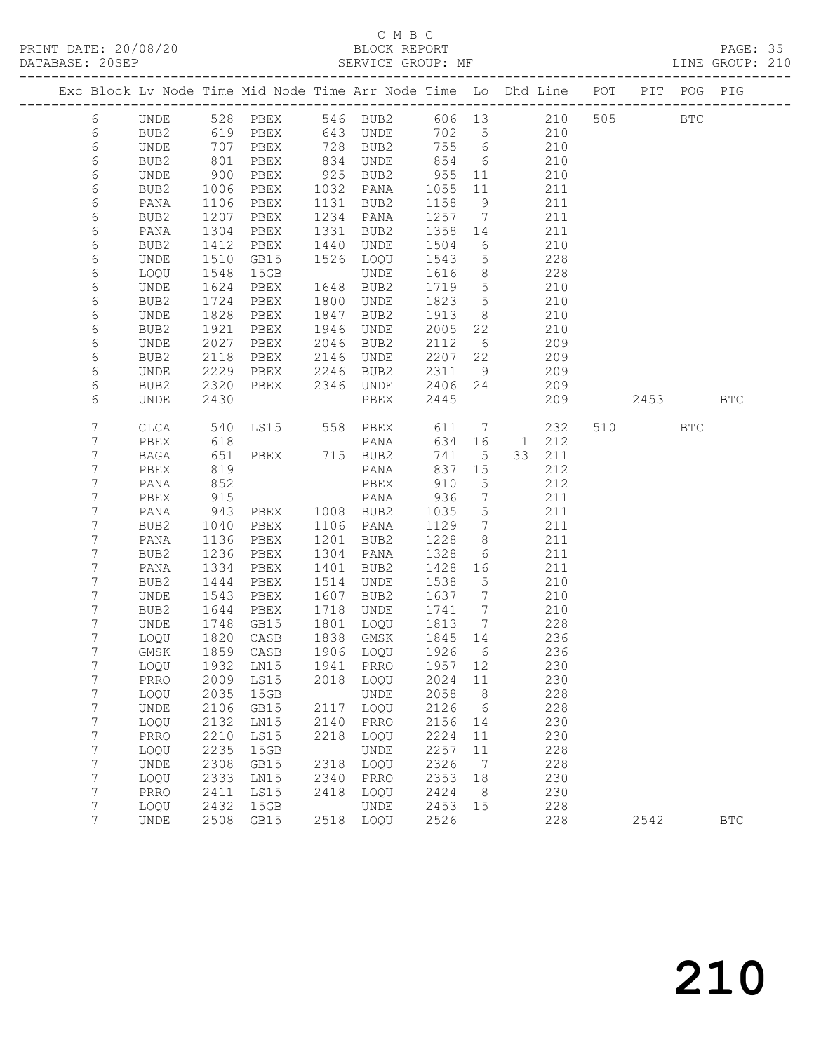## C M B C

| DATABASE: 20SEP |                |              | SERVICE GROUP: MF<br>-------------------- |                                                                                |      |                                                    |              |                                    |              |            |  |         | LINE GROUP: 210 |                      |  |
|-----------------|----------------|--------------|-------------------------------------------|--------------------------------------------------------------------------------|------|----------------------------------------------------|--------------|------------------------------------|--------------|------------|--|---------|-----------------|----------------------|--|
|                 |                |              |                                           | Exc Block Lv Node Time Mid Node Time Arr Node Time Lo Dhd Line POT PIT POG PIG |      |                                                    |              |                                    |              |            |  |         |                 |                      |  |
|                 | 6              |              |                                           | UNDE 528 PBEX 546 BUB2 606 13 210 505 BTC                                      |      |                                                    |              |                                    |              |            |  |         |                 |                      |  |
|                 | 6              | BUB2         |                                           | 619 PBEX 643 UNDE                                                              |      |                                                    |              |                                    | 702 5 210    |            |  |         |                 |                      |  |
|                 | 6              | UNDE         | 707<br>801<br>900                         | PBEX 728 BUB2 755 6<br>PBEX 834 UNDE 854 6<br>PBEX 925 BUB2 955 11             |      |                                                    |              |                                    |              | 210        |  |         |                 |                      |  |
|                 | 6              | BUB2         |                                           |                                                                                |      |                                                    |              |                                    |              | 210        |  |         |                 |                      |  |
|                 | 6              | UNDE         |                                           |                                                                                |      |                                                    |              |                                    | 210          |            |  |         |                 |                      |  |
|                 | 6              | BUB2         | 1006                                      |                                                                                |      | PBEX 1032 PANA 1055                                |              | 11                                 | 211          |            |  |         |                 |                      |  |
|                 | 6              | PANA         | 1106                                      | PBEX                                                                           |      | 1131 BUB2                                          | 1158         | 9                                  |              | 211        |  |         |                 |                      |  |
|                 | 6              | BUB2         | 1207<br>1304                              | PBEX                                                                           |      | 1234 PANA                                          | 1257 7       |                                    |              | 211        |  |         |                 |                      |  |
|                 | 6              | PANA         |                                           | PBEX                                                                           |      | 1331 BUB2                                          | 1358 14      |                                    |              | 211        |  |         |                 |                      |  |
|                 | 6              | BUB2         | 1412                                      | PBEX                                                                           |      | 1440 UNDE                                          | 1504         | 6                                  | 210          |            |  |         |                 |                      |  |
|                 | 6              | UNDE         | 1510                                      | GB15                                                                           |      | 1526 LOQU                                          | 1543         | $5\overline{)}$                    |              | 228        |  |         |                 |                      |  |
|                 | 6              | LOQU         | 1548<br>1624                              | 15GB                                                                           |      | UNDE                                               | 1616         | 8 <sup>8</sup>                     |              | 228        |  |         |                 |                      |  |
|                 | 6              | UNDE         |                                           | PBEX                                                                           |      | 1648 BUB2                                          | 1719 5       |                                    |              | 210        |  |         |                 |                      |  |
|                 | 6              | BUB2         | 1724                                      | PBEX                                                                           |      | 1800 UNDE                                          | 1823         | $5\overline{)}$                    | 210          |            |  |         |                 |                      |  |
|                 | 6              | UNDE         | 1828                                      | PBEX                                                                           |      | 1847 BUB2                                          | 1913 8       |                                    |              | 210        |  |         |                 |                      |  |
|                 | 6              | BUB2         | 1921<br>2027                              | PBEX                                                                           |      | 1946 UNDE                                          | 2005 22      |                                    |              | 210        |  |         |                 |                      |  |
|                 | 6              | UNDE         | 2027                                      |                                                                                |      |                                                    | 2112 6       |                                    |              | 209        |  |         |                 |                      |  |
|                 | 6              | BUB2         | 2118                                      | PBEX 2146 UNDE                                                                 |      |                                                    | 2207 22      |                                    | 209          |            |  |         |                 |                      |  |
|                 | 6              | UNDE         | 2229                                      |                                                                                |      | PBEX 2246 BUB2                                     | 2311         | 9                                  |              | 209        |  |         |                 |                      |  |
|                 | 6              | BUB2         | 2320                                      | PBEX 2346 UNDE                                                                 |      |                                                    | 2406 24      |                                    |              | 209        |  |         |                 |                      |  |
|                 | 6              | <b>UNDE</b>  | 2430                                      |                                                                                |      | PBEX                                               | 2445         |                                    |              | 209        |  |         | 2453            | <b>BTC</b>           |  |
|                 | 7              | CLCA         | 540                                       | LS15 558 PBEX                                                                  |      |                                                    | 611          |                                    |              | 7 232      |  | 510 310 | <b>BTC</b>      |                      |  |
|                 | 7              | PBEX         | 618<br>651                                |                                                                                |      | PANA                                               |              |                                    | 634 16 1 212 |            |  |         |                 |                      |  |
|                 | $\overline{7}$ | BAGA         |                                           |                                                                                |      |                                                    |              | 741 5                              |              | 33 211     |  |         |                 |                      |  |
|                 | 7              | PBEX         | 819                                       |                                                                                |      | PANA                                               | 837 15       |                                    |              | 212        |  |         |                 |                      |  |
|                 | 7              | PANA         | 852                                       |                                                                                |      | PBEX                                               | 910          | $5^{\circ}$                        |              | 212        |  |         |                 |                      |  |
|                 | 7              | PBEX         | 915                                       |                                                                                |      | PANA                                               | 936          | $\overline{7}$                     |              | 211        |  |         |                 |                      |  |
|                 | 7<br>7         | PANA         | 943<br>1040                               | PANA<br>PBEX 1008 BUB2<br>PBEX 1106 PANA                                       |      |                                                    | 1035<br>1129 | $5\overline{)}$<br>$7\overline{ }$ |              | 211<br>211 |  |         |                 |                      |  |
|                 | 7              | BUB2         |                                           | PBEX 1201 BUB2                                                                 |      |                                                    | 1228         | 8 <sup>8</sup>                     |              | 211        |  |         |                 |                      |  |
|                 | 7              | PANA<br>BUB2 | 1136<br>1236                              | PBEX                                                                           |      | 1304 PANA                                          | 1328         | 6                                  |              | 211        |  |         |                 |                      |  |
|                 | 7              | PANA         | 1334                                      | PBEX                                                                           |      | 1401 BUB2                                          | 1428 16      |                                    |              | 211        |  |         |                 |                      |  |
|                 | 7              | BUB2         | 1444                                      | PBEX                                                                           |      | 1514 UNDE                                          | 1538 5       |                                    |              | 210        |  |         |                 |                      |  |
|                 | 7              | UNDE         | 1543                                      | PBEX                                                                           |      | 1607 BUB2                                          | 1637 7       |                                    | 210          |            |  |         |                 |                      |  |
|                 | 7              | BUB2         | 1644                                      | PBEX                                                                           |      | 1718 UNDE                                          | 1741 7       |                                    |              | 210        |  |         |                 |                      |  |
|                 | 7              | UNDE         |                                           | GB15                                                                           |      |                                                    |              |                                    |              | 228        |  |         |                 |                      |  |
|                 | 7              | LOQU         |                                           | 1748 GB15<br>1820 CASB                                                         |      | 1801 LOQU 1813 7<br>1838 GMSK 1845 14<br>1838 GMSK |              |                                    |              | 236        |  |         |                 |                      |  |
|                 | $7^{\circ}$    |              |                                           | GMSK 1859 CASB 1906 LOQU 1926 6                                                |      |                                                    |              |                                    |              | 236        |  |         |                 |                      |  |
|                 | 7              | LOQU         | 1932                                      | LN15                                                                           | 1941 | PRRO                                               | 1957         | 12                                 |              | 230        |  |         |                 |                      |  |
|                 | 7              | PRRO         | 2009                                      | LS15                                                                           | 2018 | LOQU                                               | 2024         | 11                                 |              | 230        |  |         |                 |                      |  |
|                 | 7              | LOQU         | 2035                                      | 15GB                                                                           |      | UNDE                                               | 2058         | 8                                  |              | 228        |  |         |                 |                      |  |
|                 | 7              | UNDE         | 2106                                      | GB15                                                                           | 2117 | LOQU                                               | 2126         | 6                                  |              | 228        |  |         |                 |                      |  |
|                 | 7              | LOQU         | 2132                                      | LN15                                                                           | 2140 | PRRO                                               | 2156         | 14                                 |              | 230        |  |         |                 |                      |  |
|                 | 7              | PRRO         | 2210                                      | LS15                                                                           | 2218 | LOQU                                               | 2224         | 11                                 |              | 230        |  |         |                 |                      |  |
|                 | $\overline{7}$ | LOQU         | 2235                                      | 15GB                                                                           |      | UNDE                                               | 2257         | 11                                 |              | 228        |  |         |                 |                      |  |
|                 | 7              | UNDE         | 2308                                      | GB15                                                                           | 2318 | LOQU                                               | 2326         | 7                                  |              | 228        |  |         |                 |                      |  |
|                 | 7              | LOQU         | 2333                                      | LN15                                                                           | 2340 | PRRO                                               | 2353         | 18                                 |              | 230        |  |         |                 |                      |  |
|                 | 7              | PRRO         | 2411                                      | LS15                                                                           | 2418 | LOQU                                               | 2424         | - 8                                |              | 230        |  |         |                 |                      |  |
|                 | 7              | LOQU         | 2432                                      | 15GB                                                                           |      | UNDE                                               | 2453         | 15                                 |              | 228        |  |         |                 |                      |  |
|                 | 7              | UNDE         | 2508                                      | GB15                                                                           | 2518 | LOQU                                               | 2526         |                                    |              | 228        |  | 2542    |                 | $\operatorname{BTC}$ |  |
|                 |                |              |                                           |                                                                                |      |                                                    |              |                                    |              |            |  |         |                 |                      |  |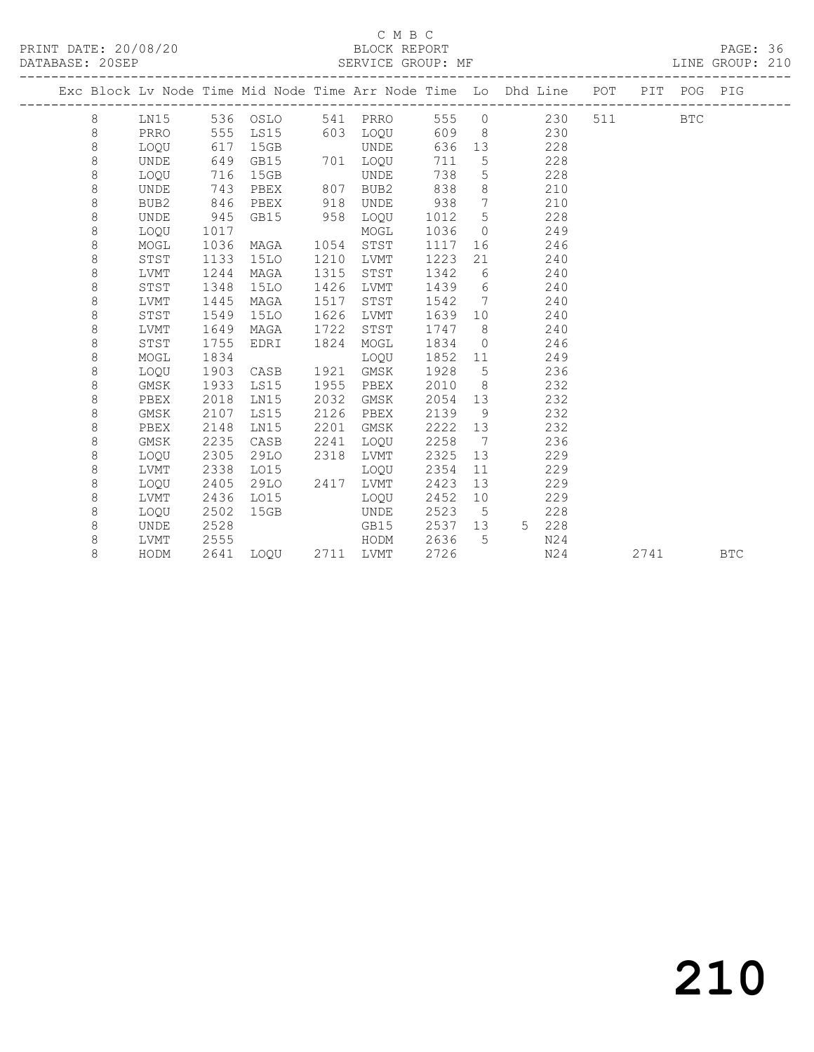PRINT DATE: 20/08/20 BLOCK REPORT DATABASE: 20SEP

## C M B C<br>BLOCK REPORT

PAGE: 36<br>LINE GROUP: 210

|  |         |                  |      |             |      |           |      |                 | Exc Block Lv Node Time Mid Node Time Arr Node Time Lo Dhd Line POT |     |      | PIT POG PIG |            |
|--|---------|------------------|------|-------------|------|-----------|------|-----------------|--------------------------------------------------------------------|-----|------|-------------|------------|
|  | 8       | LN15             |      | 536 OSLO    |      | 541 PRRO  | 555  | $\circ$         | 230                                                                | 511 |      | <b>BTC</b>  |            |
|  | 8       | PRRO             | 555  | LS15        | 603  | LOOU      | 609  | -8              | 230                                                                |     |      |             |            |
|  | $\,8\,$ | LOQU             | 617  | 15GB        |      | UNDE      | 636  | 13              | 228                                                                |     |      |             |            |
|  | 8       | <b>UNDE</b>      | 649  | GB15        |      | 701 LOQU  | 711  | 5               | 228                                                                |     |      |             |            |
|  | $\,8\,$ | LOQU             | 716  | 15GB        |      | UNDE      | 738  | $\overline{5}$  | 228                                                                |     |      |             |            |
|  | $\,8\,$ | UNDE             | 743  | PBEX        | 807  | BUB2      | 838  | 8               | 210                                                                |     |      |             |            |
|  | $\,8\,$ | BUB <sub>2</sub> | 846  | PBEX        | 918  | UNDE      | 938  | $7\overline{ }$ | 210                                                                |     |      |             |            |
|  | $\,8\,$ | UNDE             | 945  | GB15        | 958  | LOQU      | 1012 | 5               | 228                                                                |     |      |             |            |
|  | 8       | LOOU             | 1017 |             |      | MOGL      | 1036 | $\Omega$        | 249                                                                |     |      |             |            |
|  | $\,8\,$ | MOGL             | 1036 | MAGA        | 1054 | STST      | 1117 | 16              | 246                                                                |     |      |             |            |
|  | 8       | STST             | 1133 | <b>15LO</b> | 1210 | LVMT      | 1223 | 21              | 240                                                                |     |      |             |            |
|  | $\,8\,$ | LVMT             | 1244 | MAGA        | 1315 | STST      | 1342 | 6               | 240                                                                |     |      |             |            |
|  | $\,8\,$ | STST             | 1348 | 15LO        | 1426 | LVMT      | 1439 | 6               | 240                                                                |     |      |             |            |
|  | 8       | LVMT             | 1445 | MAGA        | 1517 | STST      | 1542 | 7               | 240                                                                |     |      |             |            |
|  | $\,8\,$ | STST             | 1549 | 15LO        | 1626 | LVMT      | 1639 | 10 <sup>°</sup> | 240                                                                |     |      |             |            |
|  | 8       | LVMT             | 1649 | MAGA        | 1722 | STST      | 1747 | - 8             | 240                                                                |     |      |             |            |
|  | 8       | STST             | 1755 | EDRI        | 1824 | MOGL      | 1834 | $\overline{0}$  | 246                                                                |     |      |             |            |
|  | 8       | MOGL             | 1834 |             |      | LOQU      | 1852 | 11              | 249                                                                |     |      |             |            |
|  | $\,8\,$ | LOQU             | 1903 | CASB        | 1921 | GMSK      | 1928 | 5               | 236                                                                |     |      |             |            |
|  | $\,8\,$ | GMSK             | 1933 | LS15        | 1955 | PBEX      | 2010 | 8 <sup>8</sup>  | 232                                                                |     |      |             |            |
|  | 8       | PBEX             | 2018 | LN15        | 2032 | GMSK      | 2054 | 13              | 232                                                                |     |      |             |            |
|  | $\,8\,$ | <b>GMSK</b>      | 2107 | LS15        | 2126 | PBEX      | 2139 | 9               | 232                                                                |     |      |             |            |
|  | 8       | PBEX             | 2148 | LN15        | 2201 | GMSK      | 2222 | 13              | 232                                                                |     |      |             |            |
|  | 8       | GMSK             | 2235 | CASB        | 2241 | LOQU      | 2258 | 7               | 236                                                                |     |      |             |            |
|  | 8       | LOQU             | 2305 | 29LO        | 2318 | LVMT      | 2325 | 13              | 229                                                                |     |      |             |            |
|  | $\,8\,$ | LVMT             | 2338 | L015        |      | LOQU      | 2354 | 11              | 229                                                                |     |      |             |            |
|  | $\,8\,$ | LOQU             | 2405 | 29LO        | 2417 | LVMT      | 2423 | 13              | 229                                                                |     |      |             |            |
|  | 8       | LVMT             | 2436 | L015        |      | LOOU      | 2452 | 10              | 229                                                                |     |      |             |            |
|  | 8       | LOQU             | 2502 | 15GB        |      | UNDE      | 2523 | 5               | 228                                                                |     |      |             |            |
|  | 8       | UNDE             | 2528 |             |      | GB15      | 2537 | 13              | $5 -$<br>228                                                       |     |      |             |            |
|  | 8       | LVMT             | 2555 |             |      | HODM      | 2636 | 5               | N24                                                                |     |      |             |            |
|  | 8       | HODM             | 2641 | LOOU        |      | 2711 LVMT | 2726 |                 | N24                                                                |     | 2741 |             | <b>BTC</b> |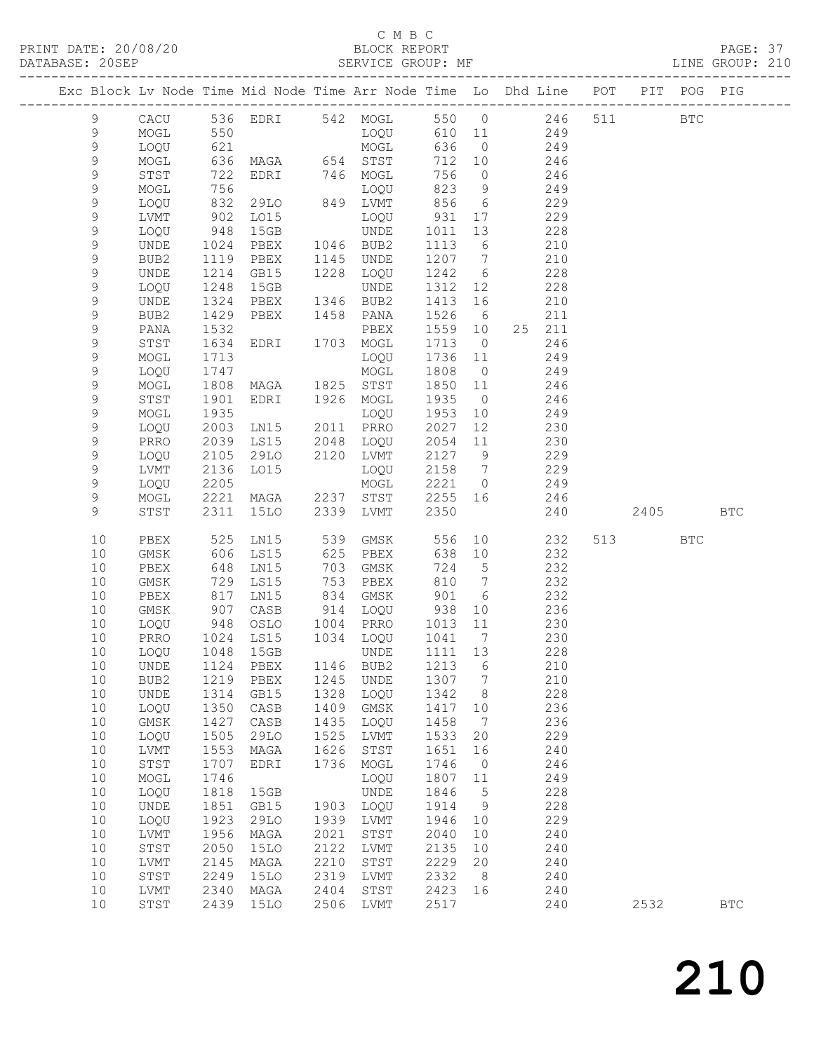#### C M B C<br>BLOCK REPORT

PAGE: 37<br>LINE GROUP: 210

| 536 EDRI 542 MOGL 550 0 246<br>9<br>511 BTC<br>CACU<br>LOQU<br>550<br>610 11 249<br>9<br>MOGL<br>621<br>9<br>MOGL<br>636<br>LOQU<br>$\overline{0}$<br>249<br>$\mathcal{G}$<br>636<br>MAGA 654 STST<br>712 10<br>MOGL<br>246<br>9<br>722<br>EDRI 746 MOGL<br>756<br>246<br>STST<br>$\overline{0}$<br>$\mathsf 9$<br>756<br>823<br>9<br>249<br>MOGL<br>LOQU<br>849 LVMT<br>856<br>9<br>832<br>29LO<br>6<br>229<br>LOQU<br>9<br>902<br>931<br>229<br>LVMT<br>LO15<br>LOQU<br>17<br>9<br>948<br>1011<br>13<br>228<br>LOQU<br>15GB<br><b>UNDE</b><br>9<br>PBEX<br>1046 BUB2<br>6<br>210<br>UNDE<br>1024<br>1113<br>9<br>1207 7<br>210<br>1119<br>PBEX<br>1145 UNDE<br>BUB2<br>9<br>1214<br>1228 LOQU<br>1242<br>6<br>228<br>UNDE<br>GB15<br>9<br>1248<br>15GB<br>1312 12<br>228<br>LOQU<br>UNDE<br>9<br>1324<br>1346 BUB2<br>1413 16<br>210<br>UNDE<br>PBEX<br>9<br>1429<br>1458 PANA<br>1526<br>BUB2<br>PBEX<br>$6\overline{6}$<br>211<br>9<br>1532<br>1559 10<br>25 211<br>PANA<br>PBEX<br>EDRI 1703 MOGL<br>9<br>1634<br>STST<br>1713<br>$\overline{0}$<br>246<br>9<br>249<br>MOGL<br>1713<br>LOQU<br>1736 11<br>9<br>249<br>LOQU<br>1747<br>MOGL<br>1808<br>$\overline{0}$<br>MAGA 1825 STST<br>9<br>MOGL<br>1808<br>1850 11<br>246<br>9<br>STST<br>1901<br>EDRI 1926 MOGL<br>1935<br>246<br>$\overline{0}$<br>9<br>1935<br>1953<br>249<br>MOGL<br>LOQU<br>10<br>9<br>2003<br>LNI5<br>2011 PRRO<br>2027<br>12<br>230<br>LOQU<br>9<br>2039<br>LS15<br>2048 LOQU<br>2054 11<br>230<br>PRRO<br>$\mathcal{G}$<br>2105<br>29LO<br>2120 LVMT<br>2127 9<br>229<br>LOQU<br>9<br>2158 7<br>229<br>LVMT<br>2136<br>LO15<br>LOQU<br>249<br>9<br>2205<br>2221 0<br>LOQU<br>MOGL<br>MAGA 2237 STST 2255 16<br>9<br>2221<br>246<br>MOGL<br>9<br>2339 LVMT<br>2311<br>15LO<br>2350<br>2405<br>STST<br>240<br><b>BTC</b><br>10<br>10<br>525<br>539 GMSK<br>232<br>513<br>LN15<br>556<br><b>BTC</b><br>PBEX<br>10<br>606<br>LS15<br>625 PBEX<br>638 10<br>232<br>GMSK<br>724<br>10<br>PBEX<br>648<br>LN15<br>703 GMSK<br>$5^{\circ}$<br>232<br>10<br>753<br>810<br>232<br>GMSK<br>LS15<br>PBEX<br>$\overline{7}$<br>$\begin{array}{c} \n \overline{1} \\  817 \\  \overline{1} \\  7\n \end{array}$<br>834 GMSK<br>901<br>6<br>232<br>10<br>PBEX<br>LN15<br>907<br>938<br>914 LOQU<br>236<br>10<br>GMSK<br>CASB<br>10<br>11<br>10<br>LOQU<br>948<br>OSLO<br>1004 PRRO<br>1013<br>230<br>10<br>1024<br>1048<br>LS15<br>1034 LOQU<br>1041 7<br>230<br>PRRO<br>10<br>1048<br>15GB<br>1111 13<br>228<br>LOQU<br>UNDE<br>UNDE 1124 PBEX 1146 BUB2 1213 6<br>10<br>210<br>$\overline{7}$<br>1219<br>PBEX<br>1245<br>1307<br>210<br>10<br>BUB2<br>UNDE<br>228<br>1328<br>1342<br>10<br>UNDE<br>1314<br>GB15<br>LOQU<br>8 <sup>8</sup><br>1350<br>1409<br>1417<br>236<br>10<br>LOQU<br>CASB<br>GMSK<br>10<br>10<br>1427<br>1435<br>1458<br>236<br>GMSK<br>CASB<br>LOQU<br>$7\phantom{.0}\phantom{.0}7$<br>1505<br>29LO<br>1525<br>1533<br>229<br>10<br>LOQU<br>LVMT<br>20<br>10<br>1553<br>1626<br>1651<br>240<br>LVMT<br>MAGA<br>STST<br>16<br>10<br>${\tt STST}$<br>1707<br>1736<br>1746<br>246<br>EDRI<br>MOGL<br>$\overline{0}$<br>1746<br>1807<br>249<br>10<br>MOGL<br>LOQU<br>11<br>1818<br>1846<br>228<br>10<br>LOQU<br>15GB<br>UNDE<br>$5^{\circ}$<br>1851<br>GB15<br>1903<br>LOQU<br>1914<br>228<br>10<br>UNDE<br>9<br>229<br>10<br>1923<br>1939<br>1946<br>LOQU<br>29LO<br>LVMT<br>10<br>10<br>1956<br>2021<br>STST<br>2040<br>10<br>240<br>LVMT<br>MAGA<br>10<br>2050<br><b>15LO</b><br>2122<br>2135<br>240<br>STST<br>LVMT<br>10<br>2145<br>2210<br>2229<br>20<br>10<br>LVMT<br>MAGA<br>STST<br>240<br>10<br>2249<br>2319<br>2332<br>8<br>240<br>STST<br>15LO<br>LVMT<br>10<br>2340<br>2404<br>STST<br>2423 16<br>240<br>MAGA<br>LVMT<br>10<br>2439 15LO<br>2506<br>2517<br>240<br>2532<br>STST<br>LVMT<br><b>BTC</b> | Exc Block Lv Node Time Mid Node Time Arr Node Time Lo Dhd Line POT PIT POG PIG |  |  |  |  |  |  |
|---------------------------------------------------------------------------------------------------------------------------------------------------------------------------------------------------------------------------------------------------------------------------------------------------------------------------------------------------------------------------------------------------------------------------------------------------------------------------------------------------------------------------------------------------------------------------------------------------------------------------------------------------------------------------------------------------------------------------------------------------------------------------------------------------------------------------------------------------------------------------------------------------------------------------------------------------------------------------------------------------------------------------------------------------------------------------------------------------------------------------------------------------------------------------------------------------------------------------------------------------------------------------------------------------------------------------------------------------------------------------------------------------------------------------------------------------------------------------------------------------------------------------------------------------------------------------------------------------------------------------------------------------------------------------------------------------------------------------------------------------------------------------------------------------------------------------------------------------------------------------------------------------------------------------------------------------------------------------------------------------------------------------------------------------------------------------------------------------------------------------------------------------------------------------------------------------------------------------------------------------------------------------------------------------------------------------------------------------------------------------------------------------------------------------------------------------------------------------------------------------------------------------------------------------------------------------------------------------------------------------------------------------------------------------------------------------------------------------------------------------------------------------------------------------------------------------------------------------------------------------------------------------------------------------------------------------------------------------------------------------------------------------------------------------------------------------------------------------------------------------------------------------------------------------------------------------------------------------------------------------------------------------------------------------------------------------------------------------------------------------------------------------------------------------------------------------------------------------------------------------------------------------------------------------------------------------------------------------------------------------------------------------------------------------------------------------------------------------------------------------------------------------------------------------------|--------------------------------------------------------------------------------|--|--|--|--|--|--|
|                                                                                                                                                                                                                                                                                                                                                                                                                                                                                                                                                                                                                                                                                                                                                                                                                                                                                                                                                                                                                                                                                                                                                                                                                                                                                                                                                                                                                                                                                                                                                                                                                                                                                                                                                                                                                                                                                                                                                                                                                                                                                                                                                                                                                                                                                                                                                                                                                                                                                                                                                                                                                                                                                                                                                                                                                                                                                                                                                                                                                                                                                                                                                                                                                                                                                                                                                                                                                                                                                                                                                                                                                                                                                                                                                                                                         |                                                                                |  |  |  |  |  |  |
|                                                                                                                                                                                                                                                                                                                                                                                                                                                                                                                                                                                                                                                                                                                                                                                                                                                                                                                                                                                                                                                                                                                                                                                                                                                                                                                                                                                                                                                                                                                                                                                                                                                                                                                                                                                                                                                                                                                                                                                                                                                                                                                                                                                                                                                                                                                                                                                                                                                                                                                                                                                                                                                                                                                                                                                                                                                                                                                                                                                                                                                                                                                                                                                                                                                                                                                                                                                                                                                                                                                                                                                                                                                                                                                                                                                                         |                                                                                |  |  |  |  |  |  |
|                                                                                                                                                                                                                                                                                                                                                                                                                                                                                                                                                                                                                                                                                                                                                                                                                                                                                                                                                                                                                                                                                                                                                                                                                                                                                                                                                                                                                                                                                                                                                                                                                                                                                                                                                                                                                                                                                                                                                                                                                                                                                                                                                                                                                                                                                                                                                                                                                                                                                                                                                                                                                                                                                                                                                                                                                                                                                                                                                                                                                                                                                                                                                                                                                                                                                                                                                                                                                                                                                                                                                                                                                                                                                                                                                                                                         |                                                                                |  |  |  |  |  |  |
|                                                                                                                                                                                                                                                                                                                                                                                                                                                                                                                                                                                                                                                                                                                                                                                                                                                                                                                                                                                                                                                                                                                                                                                                                                                                                                                                                                                                                                                                                                                                                                                                                                                                                                                                                                                                                                                                                                                                                                                                                                                                                                                                                                                                                                                                                                                                                                                                                                                                                                                                                                                                                                                                                                                                                                                                                                                                                                                                                                                                                                                                                                                                                                                                                                                                                                                                                                                                                                                                                                                                                                                                                                                                                                                                                                                                         |                                                                                |  |  |  |  |  |  |
|                                                                                                                                                                                                                                                                                                                                                                                                                                                                                                                                                                                                                                                                                                                                                                                                                                                                                                                                                                                                                                                                                                                                                                                                                                                                                                                                                                                                                                                                                                                                                                                                                                                                                                                                                                                                                                                                                                                                                                                                                                                                                                                                                                                                                                                                                                                                                                                                                                                                                                                                                                                                                                                                                                                                                                                                                                                                                                                                                                                                                                                                                                                                                                                                                                                                                                                                                                                                                                                                                                                                                                                                                                                                                                                                                                                                         |                                                                                |  |  |  |  |  |  |
|                                                                                                                                                                                                                                                                                                                                                                                                                                                                                                                                                                                                                                                                                                                                                                                                                                                                                                                                                                                                                                                                                                                                                                                                                                                                                                                                                                                                                                                                                                                                                                                                                                                                                                                                                                                                                                                                                                                                                                                                                                                                                                                                                                                                                                                                                                                                                                                                                                                                                                                                                                                                                                                                                                                                                                                                                                                                                                                                                                                                                                                                                                                                                                                                                                                                                                                                                                                                                                                                                                                                                                                                                                                                                                                                                                                                         |                                                                                |  |  |  |  |  |  |
|                                                                                                                                                                                                                                                                                                                                                                                                                                                                                                                                                                                                                                                                                                                                                                                                                                                                                                                                                                                                                                                                                                                                                                                                                                                                                                                                                                                                                                                                                                                                                                                                                                                                                                                                                                                                                                                                                                                                                                                                                                                                                                                                                                                                                                                                                                                                                                                                                                                                                                                                                                                                                                                                                                                                                                                                                                                                                                                                                                                                                                                                                                                                                                                                                                                                                                                                                                                                                                                                                                                                                                                                                                                                                                                                                                                                         |                                                                                |  |  |  |  |  |  |
|                                                                                                                                                                                                                                                                                                                                                                                                                                                                                                                                                                                                                                                                                                                                                                                                                                                                                                                                                                                                                                                                                                                                                                                                                                                                                                                                                                                                                                                                                                                                                                                                                                                                                                                                                                                                                                                                                                                                                                                                                                                                                                                                                                                                                                                                                                                                                                                                                                                                                                                                                                                                                                                                                                                                                                                                                                                                                                                                                                                                                                                                                                                                                                                                                                                                                                                                                                                                                                                                                                                                                                                                                                                                                                                                                                                                         |                                                                                |  |  |  |  |  |  |
|                                                                                                                                                                                                                                                                                                                                                                                                                                                                                                                                                                                                                                                                                                                                                                                                                                                                                                                                                                                                                                                                                                                                                                                                                                                                                                                                                                                                                                                                                                                                                                                                                                                                                                                                                                                                                                                                                                                                                                                                                                                                                                                                                                                                                                                                                                                                                                                                                                                                                                                                                                                                                                                                                                                                                                                                                                                                                                                                                                                                                                                                                                                                                                                                                                                                                                                                                                                                                                                                                                                                                                                                                                                                                                                                                                                                         |                                                                                |  |  |  |  |  |  |
|                                                                                                                                                                                                                                                                                                                                                                                                                                                                                                                                                                                                                                                                                                                                                                                                                                                                                                                                                                                                                                                                                                                                                                                                                                                                                                                                                                                                                                                                                                                                                                                                                                                                                                                                                                                                                                                                                                                                                                                                                                                                                                                                                                                                                                                                                                                                                                                                                                                                                                                                                                                                                                                                                                                                                                                                                                                                                                                                                                                                                                                                                                                                                                                                                                                                                                                                                                                                                                                                                                                                                                                                                                                                                                                                                                                                         |                                                                                |  |  |  |  |  |  |
|                                                                                                                                                                                                                                                                                                                                                                                                                                                                                                                                                                                                                                                                                                                                                                                                                                                                                                                                                                                                                                                                                                                                                                                                                                                                                                                                                                                                                                                                                                                                                                                                                                                                                                                                                                                                                                                                                                                                                                                                                                                                                                                                                                                                                                                                                                                                                                                                                                                                                                                                                                                                                                                                                                                                                                                                                                                                                                                                                                                                                                                                                                                                                                                                                                                                                                                                                                                                                                                                                                                                                                                                                                                                                                                                                                                                         |                                                                                |  |  |  |  |  |  |
|                                                                                                                                                                                                                                                                                                                                                                                                                                                                                                                                                                                                                                                                                                                                                                                                                                                                                                                                                                                                                                                                                                                                                                                                                                                                                                                                                                                                                                                                                                                                                                                                                                                                                                                                                                                                                                                                                                                                                                                                                                                                                                                                                                                                                                                                                                                                                                                                                                                                                                                                                                                                                                                                                                                                                                                                                                                                                                                                                                                                                                                                                                                                                                                                                                                                                                                                                                                                                                                                                                                                                                                                                                                                                                                                                                                                         |                                                                                |  |  |  |  |  |  |
|                                                                                                                                                                                                                                                                                                                                                                                                                                                                                                                                                                                                                                                                                                                                                                                                                                                                                                                                                                                                                                                                                                                                                                                                                                                                                                                                                                                                                                                                                                                                                                                                                                                                                                                                                                                                                                                                                                                                                                                                                                                                                                                                                                                                                                                                                                                                                                                                                                                                                                                                                                                                                                                                                                                                                                                                                                                                                                                                                                                                                                                                                                                                                                                                                                                                                                                                                                                                                                                                                                                                                                                                                                                                                                                                                                                                         |                                                                                |  |  |  |  |  |  |
|                                                                                                                                                                                                                                                                                                                                                                                                                                                                                                                                                                                                                                                                                                                                                                                                                                                                                                                                                                                                                                                                                                                                                                                                                                                                                                                                                                                                                                                                                                                                                                                                                                                                                                                                                                                                                                                                                                                                                                                                                                                                                                                                                                                                                                                                                                                                                                                                                                                                                                                                                                                                                                                                                                                                                                                                                                                                                                                                                                                                                                                                                                                                                                                                                                                                                                                                                                                                                                                                                                                                                                                                                                                                                                                                                                                                         |                                                                                |  |  |  |  |  |  |
|                                                                                                                                                                                                                                                                                                                                                                                                                                                                                                                                                                                                                                                                                                                                                                                                                                                                                                                                                                                                                                                                                                                                                                                                                                                                                                                                                                                                                                                                                                                                                                                                                                                                                                                                                                                                                                                                                                                                                                                                                                                                                                                                                                                                                                                                                                                                                                                                                                                                                                                                                                                                                                                                                                                                                                                                                                                                                                                                                                                                                                                                                                                                                                                                                                                                                                                                                                                                                                                                                                                                                                                                                                                                                                                                                                                                         |                                                                                |  |  |  |  |  |  |
|                                                                                                                                                                                                                                                                                                                                                                                                                                                                                                                                                                                                                                                                                                                                                                                                                                                                                                                                                                                                                                                                                                                                                                                                                                                                                                                                                                                                                                                                                                                                                                                                                                                                                                                                                                                                                                                                                                                                                                                                                                                                                                                                                                                                                                                                                                                                                                                                                                                                                                                                                                                                                                                                                                                                                                                                                                                                                                                                                                                                                                                                                                                                                                                                                                                                                                                                                                                                                                                                                                                                                                                                                                                                                                                                                                                                         |                                                                                |  |  |  |  |  |  |
|                                                                                                                                                                                                                                                                                                                                                                                                                                                                                                                                                                                                                                                                                                                                                                                                                                                                                                                                                                                                                                                                                                                                                                                                                                                                                                                                                                                                                                                                                                                                                                                                                                                                                                                                                                                                                                                                                                                                                                                                                                                                                                                                                                                                                                                                                                                                                                                                                                                                                                                                                                                                                                                                                                                                                                                                                                                                                                                                                                                                                                                                                                                                                                                                                                                                                                                                                                                                                                                                                                                                                                                                                                                                                                                                                                                                         |                                                                                |  |  |  |  |  |  |
|                                                                                                                                                                                                                                                                                                                                                                                                                                                                                                                                                                                                                                                                                                                                                                                                                                                                                                                                                                                                                                                                                                                                                                                                                                                                                                                                                                                                                                                                                                                                                                                                                                                                                                                                                                                                                                                                                                                                                                                                                                                                                                                                                                                                                                                                                                                                                                                                                                                                                                                                                                                                                                                                                                                                                                                                                                                                                                                                                                                                                                                                                                                                                                                                                                                                                                                                                                                                                                                                                                                                                                                                                                                                                                                                                                                                         |                                                                                |  |  |  |  |  |  |
|                                                                                                                                                                                                                                                                                                                                                                                                                                                                                                                                                                                                                                                                                                                                                                                                                                                                                                                                                                                                                                                                                                                                                                                                                                                                                                                                                                                                                                                                                                                                                                                                                                                                                                                                                                                                                                                                                                                                                                                                                                                                                                                                                                                                                                                                                                                                                                                                                                                                                                                                                                                                                                                                                                                                                                                                                                                                                                                                                                                                                                                                                                                                                                                                                                                                                                                                                                                                                                                                                                                                                                                                                                                                                                                                                                                                         |                                                                                |  |  |  |  |  |  |
|                                                                                                                                                                                                                                                                                                                                                                                                                                                                                                                                                                                                                                                                                                                                                                                                                                                                                                                                                                                                                                                                                                                                                                                                                                                                                                                                                                                                                                                                                                                                                                                                                                                                                                                                                                                                                                                                                                                                                                                                                                                                                                                                                                                                                                                                                                                                                                                                                                                                                                                                                                                                                                                                                                                                                                                                                                                                                                                                                                                                                                                                                                                                                                                                                                                                                                                                                                                                                                                                                                                                                                                                                                                                                                                                                                                                         |                                                                                |  |  |  |  |  |  |
|                                                                                                                                                                                                                                                                                                                                                                                                                                                                                                                                                                                                                                                                                                                                                                                                                                                                                                                                                                                                                                                                                                                                                                                                                                                                                                                                                                                                                                                                                                                                                                                                                                                                                                                                                                                                                                                                                                                                                                                                                                                                                                                                                                                                                                                                                                                                                                                                                                                                                                                                                                                                                                                                                                                                                                                                                                                                                                                                                                                                                                                                                                                                                                                                                                                                                                                                                                                                                                                                                                                                                                                                                                                                                                                                                                                                         |                                                                                |  |  |  |  |  |  |
|                                                                                                                                                                                                                                                                                                                                                                                                                                                                                                                                                                                                                                                                                                                                                                                                                                                                                                                                                                                                                                                                                                                                                                                                                                                                                                                                                                                                                                                                                                                                                                                                                                                                                                                                                                                                                                                                                                                                                                                                                                                                                                                                                                                                                                                                                                                                                                                                                                                                                                                                                                                                                                                                                                                                                                                                                                                                                                                                                                                                                                                                                                                                                                                                                                                                                                                                                                                                                                                                                                                                                                                                                                                                                                                                                                                                         |                                                                                |  |  |  |  |  |  |
|                                                                                                                                                                                                                                                                                                                                                                                                                                                                                                                                                                                                                                                                                                                                                                                                                                                                                                                                                                                                                                                                                                                                                                                                                                                                                                                                                                                                                                                                                                                                                                                                                                                                                                                                                                                                                                                                                                                                                                                                                                                                                                                                                                                                                                                                                                                                                                                                                                                                                                                                                                                                                                                                                                                                                                                                                                                                                                                                                                                                                                                                                                                                                                                                                                                                                                                                                                                                                                                                                                                                                                                                                                                                                                                                                                                                         |                                                                                |  |  |  |  |  |  |
|                                                                                                                                                                                                                                                                                                                                                                                                                                                                                                                                                                                                                                                                                                                                                                                                                                                                                                                                                                                                                                                                                                                                                                                                                                                                                                                                                                                                                                                                                                                                                                                                                                                                                                                                                                                                                                                                                                                                                                                                                                                                                                                                                                                                                                                                                                                                                                                                                                                                                                                                                                                                                                                                                                                                                                                                                                                                                                                                                                                                                                                                                                                                                                                                                                                                                                                                                                                                                                                                                                                                                                                                                                                                                                                                                                                                         |                                                                                |  |  |  |  |  |  |
|                                                                                                                                                                                                                                                                                                                                                                                                                                                                                                                                                                                                                                                                                                                                                                                                                                                                                                                                                                                                                                                                                                                                                                                                                                                                                                                                                                                                                                                                                                                                                                                                                                                                                                                                                                                                                                                                                                                                                                                                                                                                                                                                                                                                                                                                                                                                                                                                                                                                                                                                                                                                                                                                                                                                                                                                                                                                                                                                                                                                                                                                                                                                                                                                                                                                                                                                                                                                                                                                                                                                                                                                                                                                                                                                                                                                         |                                                                                |  |  |  |  |  |  |
|                                                                                                                                                                                                                                                                                                                                                                                                                                                                                                                                                                                                                                                                                                                                                                                                                                                                                                                                                                                                                                                                                                                                                                                                                                                                                                                                                                                                                                                                                                                                                                                                                                                                                                                                                                                                                                                                                                                                                                                                                                                                                                                                                                                                                                                                                                                                                                                                                                                                                                                                                                                                                                                                                                                                                                                                                                                                                                                                                                                                                                                                                                                                                                                                                                                                                                                                                                                                                                                                                                                                                                                                                                                                                                                                                                                                         |                                                                                |  |  |  |  |  |  |
|                                                                                                                                                                                                                                                                                                                                                                                                                                                                                                                                                                                                                                                                                                                                                                                                                                                                                                                                                                                                                                                                                                                                                                                                                                                                                                                                                                                                                                                                                                                                                                                                                                                                                                                                                                                                                                                                                                                                                                                                                                                                                                                                                                                                                                                                                                                                                                                                                                                                                                                                                                                                                                                                                                                                                                                                                                                                                                                                                                                                                                                                                                                                                                                                                                                                                                                                                                                                                                                                                                                                                                                                                                                                                                                                                                                                         |                                                                                |  |  |  |  |  |  |
|                                                                                                                                                                                                                                                                                                                                                                                                                                                                                                                                                                                                                                                                                                                                                                                                                                                                                                                                                                                                                                                                                                                                                                                                                                                                                                                                                                                                                                                                                                                                                                                                                                                                                                                                                                                                                                                                                                                                                                                                                                                                                                                                                                                                                                                                                                                                                                                                                                                                                                                                                                                                                                                                                                                                                                                                                                                                                                                                                                                                                                                                                                                                                                                                                                                                                                                                                                                                                                                                                                                                                                                                                                                                                                                                                                                                         |                                                                                |  |  |  |  |  |  |
|                                                                                                                                                                                                                                                                                                                                                                                                                                                                                                                                                                                                                                                                                                                                                                                                                                                                                                                                                                                                                                                                                                                                                                                                                                                                                                                                                                                                                                                                                                                                                                                                                                                                                                                                                                                                                                                                                                                                                                                                                                                                                                                                                                                                                                                                                                                                                                                                                                                                                                                                                                                                                                                                                                                                                                                                                                                                                                                                                                                                                                                                                                                                                                                                                                                                                                                                                                                                                                                                                                                                                                                                                                                                                                                                                                                                         |                                                                                |  |  |  |  |  |  |
|                                                                                                                                                                                                                                                                                                                                                                                                                                                                                                                                                                                                                                                                                                                                                                                                                                                                                                                                                                                                                                                                                                                                                                                                                                                                                                                                                                                                                                                                                                                                                                                                                                                                                                                                                                                                                                                                                                                                                                                                                                                                                                                                                                                                                                                                                                                                                                                                                                                                                                                                                                                                                                                                                                                                                                                                                                                                                                                                                                                                                                                                                                                                                                                                                                                                                                                                                                                                                                                                                                                                                                                                                                                                                                                                                                                                         |                                                                                |  |  |  |  |  |  |
|                                                                                                                                                                                                                                                                                                                                                                                                                                                                                                                                                                                                                                                                                                                                                                                                                                                                                                                                                                                                                                                                                                                                                                                                                                                                                                                                                                                                                                                                                                                                                                                                                                                                                                                                                                                                                                                                                                                                                                                                                                                                                                                                                                                                                                                                                                                                                                                                                                                                                                                                                                                                                                                                                                                                                                                                                                                                                                                                                                                                                                                                                                                                                                                                                                                                                                                                                                                                                                                                                                                                                                                                                                                                                                                                                                                                         |                                                                                |  |  |  |  |  |  |
|                                                                                                                                                                                                                                                                                                                                                                                                                                                                                                                                                                                                                                                                                                                                                                                                                                                                                                                                                                                                                                                                                                                                                                                                                                                                                                                                                                                                                                                                                                                                                                                                                                                                                                                                                                                                                                                                                                                                                                                                                                                                                                                                                                                                                                                                                                                                                                                                                                                                                                                                                                                                                                                                                                                                                                                                                                                                                                                                                                                                                                                                                                                                                                                                                                                                                                                                                                                                                                                                                                                                                                                                                                                                                                                                                                                                         |                                                                                |  |  |  |  |  |  |
|                                                                                                                                                                                                                                                                                                                                                                                                                                                                                                                                                                                                                                                                                                                                                                                                                                                                                                                                                                                                                                                                                                                                                                                                                                                                                                                                                                                                                                                                                                                                                                                                                                                                                                                                                                                                                                                                                                                                                                                                                                                                                                                                                                                                                                                                                                                                                                                                                                                                                                                                                                                                                                                                                                                                                                                                                                                                                                                                                                                                                                                                                                                                                                                                                                                                                                                                                                                                                                                                                                                                                                                                                                                                                                                                                                                                         |                                                                                |  |  |  |  |  |  |
|                                                                                                                                                                                                                                                                                                                                                                                                                                                                                                                                                                                                                                                                                                                                                                                                                                                                                                                                                                                                                                                                                                                                                                                                                                                                                                                                                                                                                                                                                                                                                                                                                                                                                                                                                                                                                                                                                                                                                                                                                                                                                                                                                                                                                                                                                                                                                                                                                                                                                                                                                                                                                                                                                                                                                                                                                                                                                                                                                                                                                                                                                                                                                                                                                                                                                                                                                                                                                                                                                                                                                                                                                                                                                                                                                                                                         |                                                                                |  |  |  |  |  |  |
|                                                                                                                                                                                                                                                                                                                                                                                                                                                                                                                                                                                                                                                                                                                                                                                                                                                                                                                                                                                                                                                                                                                                                                                                                                                                                                                                                                                                                                                                                                                                                                                                                                                                                                                                                                                                                                                                                                                                                                                                                                                                                                                                                                                                                                                                                                                                                                                                                                                                                                                                                                                                                                                                                                                                                                                                                                                                                                                                                                                                                                                                                                                                                                                                                                                                                                                                                                                                                                                                                                                                                                                                                                                                                                                                                                                                         |                                                                                |  |  |  |  |  |  |
|                                                                                                                                                                                                                                                                                                                                                                                                                                                                                                                                                                                                                                                                                                                                                                                                                                                                                                                                                                                                                                                                                                                                                                                                                                                                                                                                                                                                                                                                                                                                                                                                                                                                                                                                                                                                                                                                                                                                                                                                                                                                                                                                                                                                                                                                                                                                                                                                                                                                                                                                                                                                                                                                                                                                                                                                                                                                                                                                                                                                                                                                                                                                                                                                                                                                                                                                                                                                                                                                                                                                                                                                                                                                                                                                                                                                         |                                                                                |  |  |  |  |  |  |
|                                                                                                                                                                                                                                                                                                                                                                                                                                                                                                                                                                                                                                                                                                                                                                                                                                                                                                                                                                                                                                                                                                                                                                                                                                                                                                                                                                                                                                                                                                                                                                                                                                                                                                                                                                                                                                                                                                                                                                                                                                                                                                                                                                                                                                                                                                                                                                                                                                                                                                                                                                                                                                                                                                                                                                                                                                                                                                                                                                                                                                                                                                                                                                                                                                                                                                                                                                                                                                                                                                                                                                                                                                                                                                                                                                                                         |                                                                                |  |  |  |  |  |  |
|                                                                                                                                                                                                                                                                                                                                                                                                                                                                                                                                                                                                                                                                                                                                                                                                                                                                                                                                                                                                                                                                                                                                                                                                                                                                                                                                                                                                                                                                                                                                                                                                                                                                                                                                                                                                                                                                                                                                                                                                                                                                                                                                                                                                                                                                                                                                                                                                                                                                                                                                                                                                                                                                                                                                                                                                                                                                                                                                                                                                                                                                                                                                                                                                                                                                                                                                                                                                                                                                                                                                                                                                                                                                                                                                                                                                         |                                                                                |  |  |  |  |  |  |
|                                                                                                                                                                                                                                                                                                                                                                                                                                                                                                                                                                                                                                                                                                                                                                                                                                                                                                                                                                                                                                                                                                                                                                                                                                                                                                                                                                                                                                                                                                                                                                                                                                                                                                                                                                                                                                                                                                                                                                                                                                                                                                                                                                                                                                                                                                                                                                                                                                                                                                                                                                                                                                                                                                                                                                                                                                                                                                                                                                                                                                                                                                                                                                                                                                                                                                                                                                                                                                                                                                                                                                                                                                                                                                                                                                                                         |                                                                                |  |  |  |  |  |  |
|                                                                                                                                                                                                                                                                                                                                                                                                                                                                                                                                                                                                                                                                                                                                                                                                                                                                                                                                                                                                                                                                                                                                                                                                                                                                                                                                                                                                                                                                                                                                                                                                                                                                                                                                                                                                                                                                                                                                                                                                                                                                                                                                                                                                                                                                                                                                                                                                                                                                                                                                                                                                                                                                                                                                                                                                                                                                                                                                                                                                                                                                                                                                                                                                                                                                                                                                                                                                                                                                                                                                                                                                                                                                                                                                                                                                         |                                                                                |  |  |  |  |  |  |
|                                                                                                                                                                                                                                                                                                                                                                                                                                                                                                                                                                                                                                                                                                                                                                                                                                                                                                                                                                                                                                                                                                                                                                                                                                                                                                                                                                                                                                                                                                                                                                                                                                                                                                                                                                                                                                                                                                                                                                                                                                                                                                                                                                                                                                                                                                                                                                                                                                                                                                                                                                                                                                                                                                                                                                                                                                                                                                                                                                                                                                                                                                                                                                                                                                                                                                                                                                                                                                                                                                                                                                                                                                                                                                                                                                                                         |                                                                                |  |  |  |  |  |  |
|                                                                                                                                                                                                                                                                                                                                                                                                                                                                                                                                                                                                                                                                                                                                                                                                                                                                                                                                                                                                                                                                                                                                                                                                                                                                                                                                                                                                                                                                                                                                                                                                                                                                                                                                                                                                                                                                                                                                                                                                                                                                                                                                                                                                                                                                                                                                                                                                                                                                                                                                                                                                                                                                                                                                                                                                                                                                                                                                                                                                                                                                                                                                                                                                                                                                                                                                                                                                                                                                                                                                                                                                                                                                                                                                                                                                         |                                                                                |  |  |  |  |  |  |
|                                                                                                                                                                                                                                                                                                                                                                                                                                                                                                                                                                                                                                                                                                                                                                                                                                                                                                                                                                                                                                                                                                                                                                                                                                                                                                                                                                                                                                                                                                                                                                                                                                                                                                                                                                                                                                                                                                                                                                                                                                                                                                                                                                                                                                                                                                                                                                                                                                                                                                                                                                                                                                                                                                                                                                                                                                                                                                                                                                                                                                                                                                                                                                                                                                                                                                                                                                                                                                                                                                                                                                                                                                                                                                                                                                                                         |                                                                                |  |  |  |  |  |  |
|                                                                                                                                                                                                                                                                                                                                                                                                                                                                                                                                                                                                                                                                                                                                                                                                                                                                                                                                                                                                                                                                                                                                                                                                                                                                                                                                                                                                                                                                                                                                                                                                                                                                                                                                                                                                                                                                                                                                                                                                                                                                                                                                                                                                                                                                                                                                                                                                                                                                                                                                                                                                                                                                                                                                                                                                                                                                                                                                                                                                                                                                                                                                                                                                                                                                                                                                                                                                                                                                                                                                                                                                                                                                                                                                                                                                         |                                                                                |  |  |  |  |  |  |
|                                                                                                                                                                                                                                                                                                                                                                                                                                                                                                                                                                                                                                                                                                                                                                                                                                                                                                                                                                                                                                                                                                                                                                                                                                                                                                                                                                                                                                                                                                                                                                                                                                                                                                                                                                                                                                                                                                                                                                                                                                                                                                                                                                                                                                                                                                                                                                                                                                                                                                                                                                                                                                                                                                                                                                                                                                                                                                                                                                                                                                                                                                                                                                                                                                                                                                                                                                                                                                                                                                                                                                                                                                                                                                                                                                                                         |                                                                                |  |  |  |  |  |  |
|                                                                                                                                                                                                                                                                                                                                                                                                                                                                                                                                                                                                                                                                                                                                                                                                                                                                                                                                                                                                                                                                                                                                                                                                                                                                                                                                                                                                                                                                                                                                                                                                                                                                                                                                                                                                                                                                                                                                                                                                                                                                                                                                                                                                                                                                                                                                                                                                                                                                                                                                                                                                                                                                                                                                                                                                                                                                                                                                                                                                                                                                                                                                                                                                                                                                                                                                                                                                                                                                                                                                                                                                                                                                                                                                                                                                         |                                                                                |  |  |  |  |  |  |
|                                                                                                                                                                                                                                                                                                                                                                                                                                                                                                                                                                                                                                                                                                                                                                                                                                                                                                                                                                                                                                                                                                                                                                                                                                                                                                                                                                                                                                                                                                                                                                                                                                                                                                                                                                                                                                                                                                                                                                                                                                                                                                                                                                                                                                                                                                                                                                                                                                                                                                                                                                                                                                                                                                                                                                                                                                                                                                                                                                                                                                                                                                                                                                                                                                                                                                                                                                                                                                                                                                                                                                                                                                                                                                                                                                                                         |                                                                                |  |  |  |  |  |  |
|                                                                                                                                                                                                                                                                                                                                                                                                                                                                                                                                                                                                                                                                                                                                                                                                                                                                                                                                                                                                                                                                                                                                                                                                                                                                                                                                                                                                                                                                                                                                                                                                                                                                                                                                                                                                                                                                                                                                                                                                                                                                                                                                                                                                                                                                                                                                                                                                                                                                                                                                                                                                                                                                                                                                                                                                                                                                                                                                                                                                                                                                                                                                                                                                                                                                                                                                                                                                                                                                                                                                                                                                                                                                                                                                                                                                         |                                                                                |  |  |  |  |  |  |
|                                                                                                                                                                                                                                                                                                                                                                                                                                                                                                                                                                                                                                                                                                                                                                                                                                                                                                                                                                                                                                                                                                                                                                                                                                                                                                                                                                                                                                                                                                                                                                                                                                                                                                                                                                                                                                                                                                                                                                                                                                                                                                                                                                                                                                                                                                                                                                                                                                                                                                                                                                                                                                                                                                                                                                                                                                                                                                                                                                                                                                                                                                                                                                                                                                                                                                                                                                                                                                                                                                                                                                                                                                                                                                                                                                                                         |                                                                                |  |  |  |  |  |  |
|                                                                                                                                                                                                                                                                                                                                                                                                                                                                                                                                                                                                                                                                                                                                                                                                                                                                                                                                                                                                                                                                                                                                                                                                                                                                                                                                                                                                                                                                                                                                                                                                                                                                                                                                                                                                                                                                                                                                                                                                                                                                                                                                                                                                                                                                                                                                                                                                                                                                                                                                                                                                                                                                                                                                                                                                                                                                                                                                                                                                                                                                                                                                                                                                                                                                                                                                                                                                                                                                                                                                                                                                                                                                                                                                                                                                         |                                                                                |  |  |  |  |  |  |
|                                                                                                                                                                                                                                                                                                                                                                                                                                                                                                                                                                                                                                                                                                                                                                                                                                                                                                                                                                                                                                                                                                                                                                                                                                                                                                                                                                                                                                                                                                                                                                                                                                                                                                                                                                                                                                                                                                                                                                                                                                                                                                                                                                                                                                                                                                                                                                                                                                                                                                                                                                                                                                                                                                                                                                                                                                                                                                                                                                                                                                                                                                                                                                                                                                                                                                                                                                                                                                                                                                                                                                                                                                                                                                                                                                                                         |                                                                                |  |  |  |  |  |  |
|                                                                                                                                                                                                                                                                                                                                                                                                                                                                                                                                                                                                                                                                                                                                                                                                                                                                                                                                                                                                                                                                                                                                                                                                                                                                                                                                                                                                                                                                                                                                                                                                                                                                                                                                                                                                                                                                                                                                                                                                                                                                                                                                                                                                                                                                                                                                                                                                                                                                                                                                                                                                                                                                                                                                                                                                                                                                                                                                                                                                                                                                                                                                                                                                                                                                                                                                                                                                                                                                                                                                                                                                                                                                                                                                                                                                         |                                                                                |  |  |  |  |  |  |
|                                                                                                                                                                                                                                                                                                                                                                                                                                                                                                                                                                                                                                                                                                                                                                                                                                                                                                                                                                                                                                                                                                                                                                                                                                                                                                                                                                                                                                                                                                                                                                                                                                                                                                                                                                                                                                                                                                                                                                                                                                                                                                                                                                                                                                                                                                                                                                                                                                                                                                                                                                                                                                                                                                                                                                                                                                                                                                                                                                                                                                                                                                                                                                                                                                                                                                                                                                                                                                                                                                                                                                                                                                                                                                                                                                                                         |                                                                                |  |  |  |  |  |  |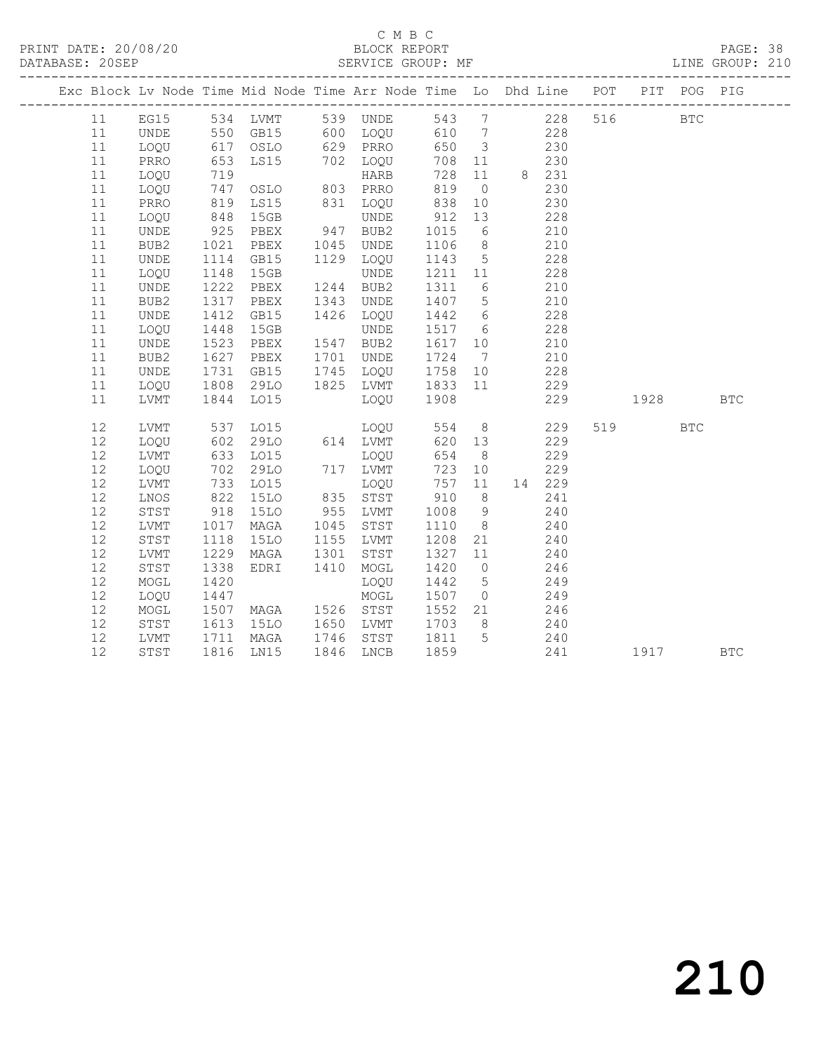# C M B C<br>BLOCK REPORT

PAGE: 38<br>LINE GROUP: 210

| Exc Block Lv Node Time Mid Node Time Arr Node Time Lo Dhd Line POT |                              |                   |                                                 |      |                                  |             |                 |                   |        |     |          | PIT POG PIG |            |
|--------------------------------------------------------------------|------------------------------|-------------------|-------------------------------------------------|------|----------------------------------|-------------|-----------------|-------------------|--------|-----|----------|-------------|------------|
| 11                                                                 |                              |                   |                                                 |      | EG15 534 LVMT 539 UNDE 543 7 228 |             |                 |                   |        | 516 |          | <b>BTC</b>  |            |
| 11                                                                 | UNDE                         |                   |                                                 |      |                                  |             |                 |                   |        |     |          |             |            |
| 11                                                                 | LOQU                         |                   |                                                 |      |                                  |             |                 | $\frac{228}{230}$ |        |     |          |             |            |
| 11                                                                 | PRRO                         | 653               |                                                 |      | LS15 702 LOQU                    | 708 11      |                 | 230               |        |     |          |             |            |
| 11                                                                 | LOQU                         | 719<br>747<br>819 | ---<br>OSLO 803 PRRO<br>T <15 831 LOQU<br>TINDE |      |                                  | 728         |                 | 11 8 231          |        |     |          |             |            |
| 11                                                                 | LOQU                         |                   |                                                 |      |                                  | 819         | $\overline{0}$  |                   | 230    |     |          |             |            |
| 11                                                                 | PRRO                         |                   |                                                 |      |                                  | 838         | 10              |                   | 230    |     |          |             |            |
| 11                                                                 | LOQU                         | 848               | 15GB                                            |      | UNDE                             | 912         | 13              | 228               |        |     |          |             |            |
| 11                                                                 | <b>UNDE</b>                  | 925               | PBEX                                            |      | 947 BUB2                         | 1015        | 6               | 210               |        |     |          |             |            |
| 11                                                                 | BUB2                         | 1021              | PBEX                                            |      | 1045 UNDE                        | 1106        | 8 <sup>8</sup>  |                   | 210    |     |          |             |            |
| 11                                                                 | $\ensuremath{\mathsf{UNDE}}$ | 1114              | GB15                                            |      | 1129 LOQU                        | 1143 5      |                 |                   | 228    |     |          |             |            |
| 11                                                                 | LOQU                         | 1148              | 15GB                                            |      | <b>UNDE</b>                      | 1211 11     |                 |                   | 228    |     |          |             |            |
| 11                                                                 | UNDE                         | 1222              | PBEX                                            |      | 1244 BUB2                        | 1311        | 6 <sup>6</sup>  | 210               |        |     |          |             |            |
| 11                                                                 | BUB2                         | 1317              | PBEX                                            | 1343 | UNDE                             | 1407 5      |                 |                   | 210    |     |          |             |            |
| 11                                                                 | UNDE                         | 1412<br>1448      | GB15                                            |      | 1426 LOQU                        | 1442 6      |                 |                   | 228    |     |          |             |            |
| 11                                                                 | LOQU                         |                   | 15GB                                            |      | <b>UNDE</b>                      | 1517 6      |                 |                   | 228    |     |          |             |            |
| 11                                                                 | UNDE                         | 1523              | PBEX                                            |      | 1547 BUB2                        | 1617 10     |                 | 210               |        |     |          |             |            |
| 11                                                                 | BUB2                         | 1627              | PBEX                                            |      | 1701 UNDE                        | 1724        | $7\overline{ }$ | 210               |        |     |          |             |            |
| 11                                                                 | UNDE                         | 1731              | GB15                                            |      | 1745 LOQU                        | 1758 10     |                 |                   | 228    |     |          |             |            |
| 11                                                                 | LOQU                         | 1808<br>1844      | 29LO                                            |      | 1825 LVMT 1833 11<br>LOQU 1908   |             |                 |                   | 229    |     |          |             |            |
| 11                                                                 | LVMT                         |                   | L015                                            |      |                                  |             |                 |                   | 229    |     | 1928 BTC |             |            |
| 12                                                                 | LVMT                         | 537               | LO15                                            |      | LOQU 554                         |             | 8 <sup>8</sup>  | 229               |        |     | 519      | <b>BTC</b>  |            |
| 12                                                                 | LOQU                         |                   | 29LO                                            |      | 614 LVMT<br>LOQU                 | 620 13      |                 |                   | 229    |     |          |             |            |
| 12                                                                 | LVMT                         | 602<br>633        | LO15                                            |      | LOQU                             | 654         | 8 <sup>8</sup>  |                   | 229    |     |          |             |            |
| 12                                                                 | LOQU                         | 702               | 29LO                                            |      | 717 LVMT                         | 723         | 10              |                   | 229    |     |          |             |            |
| 12                                                                 | LVMT                         | 733               | LO15                                            |      | LOQU                             | 757         | 11              |                   | 14 229 |     |          |             |            |
| 12                                                                 | LNOS                         | 822               | <b>15LO</b>                                     |      | 835 STST                         | 910         | 8 <sup>1</sup>  |                   | 241    |     |          |             |            |
| 12                                                                 | STST                         | 918               | 15LO                                            |      | 955 LVMT                         | 1008        | 9               |                   | 240    |     |          |             |            |
| 12                                                                 | LVMT                         | 1017              | MAGA                                            | 1045 | STST                             | 1110        | 8 <sup>8</sup>  |                   | 240    |     |          |             |            |
| 12                                                                 | STST                         | 1118              | 15LO                                            | 1155 | LVMT                             | 1208        | 21              | 240               |        |     |          |             |            |
| 12                                                                 | LVMT                         | 1229              | MAGA                                            | 1301 | STST                             | 1327        | 11              |                   | 240    |     |          |             |            |
| 12                                                                 | STST                         | 1338              | EDRI                                            | 1410 | MOGL                             | 1420        | $\overline{0}$  |                   | 246    |     |          |             |            |
| 12                                                                 | MOGL                         | 1420              |                                                 |      | LOQU                             | 1442        | 5 <sup>5</sup>  |                   | 249    |     |          |             |            |
| 12                                                                 | LOQU                         | 1447              |                                                 |      | MOGL                             | 1507        | $\overline{0}$  | 249               |        |     |          |             |            |
| 12                                                                 | MOGL                         | 1507              | MAGA 1526 STST                                  |      |                                  | 1552 21 246 |                 |                   |        |     |          |             |            |
| 12                                                                 | STST                         |                   | <b>15LO</b>                                     |      | 1650 LVMT                        | 1703 8      |                 | 240               |        |     |          |             |            |
| 12                                                                 | LVMT                         |                   | 1613 15LO<br>1711 MAGA<br>1816 LN15<br>MAGA     |      | 1746 STST                        | 1811 5      |                 |                   | 240    |     |          |             |            |
| 12                                                                 | STST                         |                   |                                                 |      | 1846 LNCB                        | 1859        |                 |                   | 241    |     | 1917     |             | <b>BTC</b> |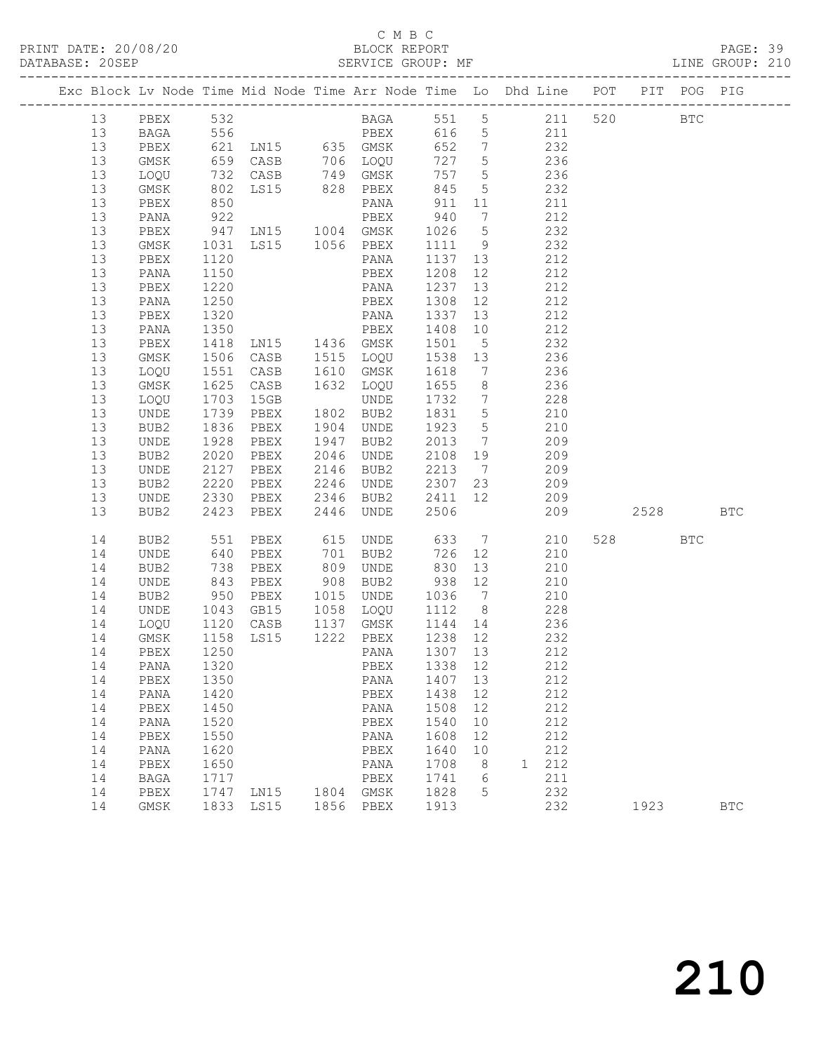# C M B C<br>BLOCK REPORT

| DATABASE: 20SEP |    | -------------------- |                   |                                                            |                                     |                  |    | SERVICE GROUP: MF                                                                         |        |            | LINE GROUP: 210 |  |
|-----------------|----|----------------------|-------------------|------------------------------------------------------------|-------------------------------------|------------------|----|-------------------------------------------------------------------------------------------|--------|------------|-----------------|--|
|                 |    |                      |                   |                                                            |                                     |                  |    | Exc Block Lv Node Time Mid Node Time Arr Node Time Lo Dhd Line POT PIT POG PIG            |        |            |                 |  |
|                 | 13 |                      |                   |                                                            |                                     |                  |    | PBEX 532 BAGA 551 5 211 520 BTC                                                           |        |            |                 |  |
|                 | 13 | BAGA                 | 556               |                                                            |                                     |                  |    | PBEX 616 5 211                                                                            |        |            |                 |  |
|                 | 13 | PBEX                 |                   |                                                            |                                     |                  |    | 621 LN15 635 GMSK 652 7 232<br>659 CASB 706 LOQU 727 5 236<br>732 CASB 749 GMSK 757 5 236 |        |            |                 |  |
|                 | 13 | GMSK                 |                   |                                                            |                                     |                  |    |                                                                                           |        |            |                 |  |
|                 | 13 | LOQU                 |                   |                                                            |                                     |                  |    |                                                                                           |        |            |                 |  |
|                 | 13 | GMSK                 | 802               |                                                            | LS15 828 PBEX 845                   |                  |    | 5 232                                                                                     |        |            |                 |  |
|                 | 13 | PBEX                 |                   |                                                            |                                     |                  |    |                                                                                           |        |            |                 |  |
|                 | 13 | PANA                 |                   |                                                            |                                     |                  |    |                                                                                           |        |            |                 |  |
|                 | 13 | PBEX                 |                   |                                                            |                                     |                  |    |                                                                                           |        |            |                 |  |
|                 | 13 | GMSK                 |                   |                                                            |                                     |                  |    | 1031 LS15 1056 PBEX 1111 9 232                                                            |        |            |                 |  |
|                 | 13 | PBEX                 | 1120              |                                                            | PANA                                |                  |    | 1137 13 212                                                                               |        |            |                 |  |
|                 | 13 | PANA                 | 1150              |                                                            | PBEX 1208<br>PANA 1237<br>PBEX 1308 | 1208 12          |    | 212                                                                                       |        |            |                 |  |
|                 | 13 | PBEX                 | $\frac{1}{1220}$  |                                                            |                                     |                  |    | $13$<br>212                                                                               |        |            |                 |  |
|                 | 13 | PANA                 | 1250              |                                                            |                                     |                  | 12 | 212                                                                                       |        |            |                 |  |
|                 | 13 | PBEX                 | 1320              |                                                            |                                     |                  |    | 13 212                                                                                    |        |            |                 |  |
|                 | 13 | PANA                 | 1350<br>1418      |                                                            |                                     |                  |    | 212                                                                                       |        |            |                 |  |
|                 | 13 | PBEX                 |                   | PANA 1337 13<br>PBEX 1408 10<br>LN15 1436 GMSK 1501 5      |                                     |                  |    | 232                                                                                       |        |            |                 |  |
|                 | 13 | GMSK                 | 1506              |                                                            | CASB 1515 LOQU 1538 13              |                  |    | 236                                                                                       |        |            |                 |  |
|                 | 13 | LOQU                 | 1551              | CASB 1610 GMSK                                             |                                     | 1618             |    | 7 236                                                                                     |        |            |                 |  |
|                 | 13 | GMSK                 | 1625<br>1703      | CASB                                                       | 1632 LOQU                           | 1655 8           |    | 236<br>228                                                                                |        |            |                 |  |
|                 | 13 | LOQU                 |                   | 15GB                                                       | UNDE                                | 1732 7           |    |                                                                                           |        |            |                 |  |
|                 | 13 | UNDE                 | 1739              | PBEX                                                       | 1802 BUB2                           | 1831 5           |    | 210                                                                                       |        |            |                 |  |
|                 | 13 | BUB2                 | 1836              | PBEX                                                       | 1904 UNDE                           | 1923 5           |    | 210                                                                                       |        |            |                 |  |
|                 | 13 | UNDE                 | 1928<br>2020      | PBEX                                                       | 1947 BUB2                           | $2013$ 7         |    | 209                                                                                       |        |            |                 |  |
|                 | 13 | BUB2                 | 2020              | PBEX                                                       | 2046 UNDE                           | 2108 19          |    | 209                                                                                       |        |            |                 |  |
|                 | 13 | UNDE                 | 2127              | PBEX                                                       | 2146 BUB2                           |                  |    | 2213 7 209                                                                                |        |            |                 |  |
|                 | 13 | BUB2                 | 2220              |                                                            |                                     |                  |    | PBEX 2246 UNDE 2307 23 209                                                                |        |            |                 |  |
|                 | 13 | UNDE                 | 2330              |                                                            |                                     |                  |    | PBEX 2346 BUB2 2411 12 209                                                                |        |            |                 |  |
|                 | 13 | BUB2                 | 2423              |                                                            | PBEX 2446 UNDE                      | 2506             |    | 209                                                                                       | 2528   |            | BTC             |  |
|                 | 14 | BUB2                 | 551               | PBEX                                                       | 615 UNDE                            | 633              |    | $7\overline{ }$<br>210                                                                    | 528 32 | <b>BTC</b> |                 |  |
|                 | 14 | UNDE                 | 640<br>738<br>843 | PBEX                                                       | 701 BUB2                            | 726              | 12 | 210                                                                                       |        |            |                 |  |
|                 | 14 | BUB2                 |                   | PBEX                                                       | 809 UNDE<br>908 BUB2                | 830 13<br>938 12 |    | 210                                                                                       |        |            |                 |  |
|                 | 14 | UNDE                 |                   | PBEX                                                       |                                     |                  |    | 210                                                                                       |        |            |                 |  |
|                 | 14 | BUB2                 | 950               |                                                            |                                     |                  |    | PBEX 1015 UNDE 1036 7 210                                                                 |        |            |                 |  |
|                 | 14 | UNDE                 | 1043              |                                                            | GB15 1058 LOQU 1112 8               |                  |    | 228                                                                                       |        |            |                 |  |
|                 | 14 | LOQU                 |                   | 1120 CASB 1137 GMSK 1144 14<br>1158 LS15 1222 PBEX 1238 12 |                                     |                  |    | 236                                                                                       |        |            |                 |  |
|                 | 14 | GMSK                 |                   |                                                            |                                     |                  |    | 232                                                                                       |        |            |                 |  |
|                 |    |                      |                   |                                                            |                                     |                  |    | 14 PBEX 1250 PANA 1307 13 212                                                             |        |            |                 |  |
|                 | 14 | PANA                 | 1320              |                                                            | PBEX                                | 1338 12          |    | 212                                                                                       |        |            |                 |  |
|                 | 14 | PBEX                 | 1350              |                                                            | PANA                                | 1407 13          |    | 212                                                                                       |        |            |                 |  |
|                 | 14 | PANA                 | 1420              |                                                            | PBEX                                | 1438             | 12 | 212                                                                                       |        |            |                 |  |
|                 | 14 | ${\tt PBEX}$         | 1450              |                                                            | PANA                                | 1508             | 12 | 212                                                                                       |        |            |                 |  |
|                 | 14 | PANA                 | 1520              |                                                            | PBEX                                | 1540             | 10 | 212                                                                                       |        |            |                 |  |
|                 | 14 | PBEX                 | 1550              |                                                            | PANA                                | 1608             | 12 | 212                                                                                       |        |            |                 |  |
|                 | 14 | PANA                 | 1620              |                                                            | PBEX                                | 1640             | 10 | 212                                                                                       |        |            |                 |  |
|                 | 14 | ${\tt PBEX}$         | 1650              |                                                            | PANA                                | 1708             | 8  | 1 212                                                                                     |        |            |                 |  |
|                 | 14 | BAGA                 | 1717              |                                                            | PBEX                                | 1741             | 6  | 211                                                                                       |        |            |                 |  |
|                 | 14 | PBEX                 | 1747              | LN15                                                       | 1804 GMSK                           | 1828             | 5  | 232                                                                                       |        |            |                 |  |
|                 | 14 | GMSK                 |                   | 1833 LS15                                                  | 1856 PBEX                           | 1913             |    | 232                                                                                       | 1923   |            | $_{\rm BTC}$    |  |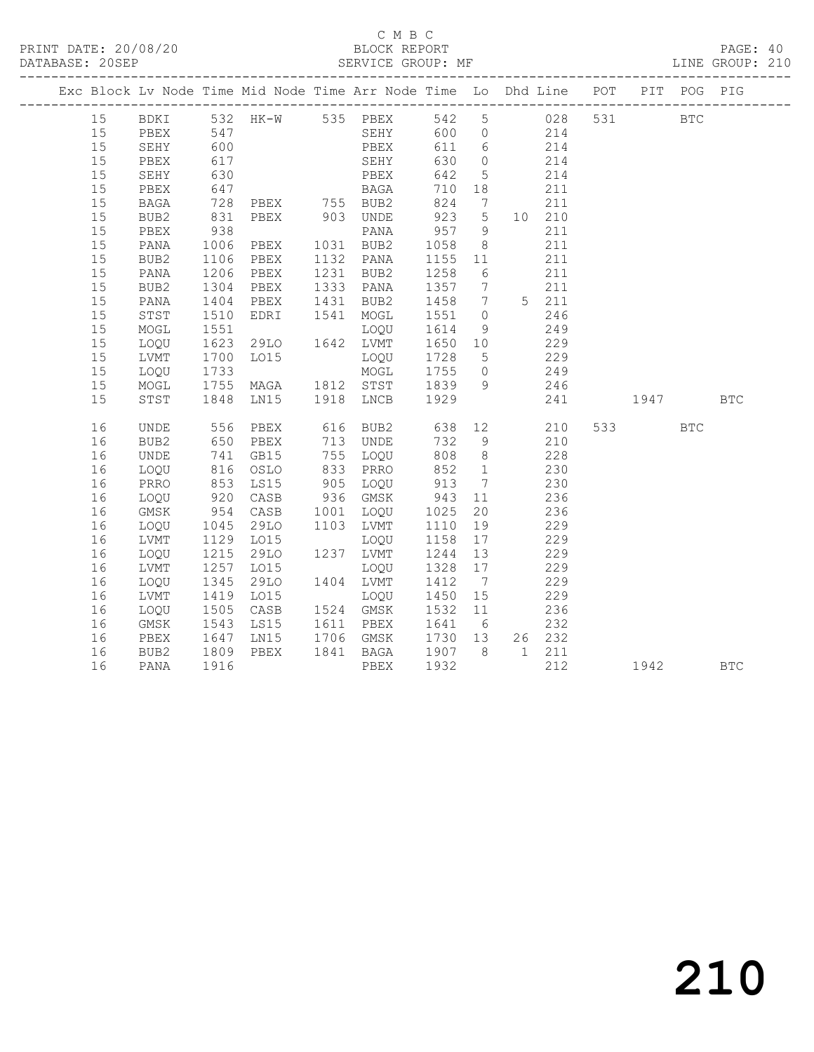#### C M B C<br>BLOCK REPORT

PAGE: 40<br>LINE GROUP: 210

|    |      |                      | Exc Block Lv Node Time Mid Node Time Arr Node Time Lo Dhd Line POT PIT POG PIG |                                                                       |                            |                |                                                      |        |          |            |            |
|----|------|----------------------|--------------------------------------------------------------------------------|-----------------------------------------------------------------------|----------------------------|----------------|------------------------------------------------------|--------|----------|------------|------------|
| 15 |      |                      | BDKI 532 HK-W 535 PBEX 542 5 028                                               |                                                                       |                            |                |                                                      |        | 531 BTC  |            |            |
| 15 | PBEX | 547                  |                                                                                | SEHY 600 0 214                                                        |                            |                |                                                      |        |          |            |            |
| 15 | SEHY | 600                  |                                                                                | PBEX 611 6 214<br>SEHY 630 0 214<br>PBEX 642 5 214<br>BAGA 710 18 211 |                            |                |                                                      |        |          |            |            |
| 15 | PBEX | 617<br>630           |                                                                                |                                                                       |                            |                |                                                      |        |          |            |            |
| 15 | SEHY |                      |                                                                                |                                                                       |                            |                |                                                      |        |          |            |            |
| 15 | PBEX | 647                  |                                                                                |                                                                       |                            |                |                                                      |        |          |            |            |
| 15 | BAGA | 728                  |                                                                                | PBEX 755 BUB2                                                         |                            |                | 824 7 211                                            |        |          |            |            |
| 15 | BUB2 | 831<br>938           | PBEX 903 UNDE                                                                  | UNDE 923 5 10 210<br>PANA 957 9 211                                   |                            |                |                                                      |        |          |            |            |
| 15 | PBEX |                      |                                                                                | PANA 957<br>PBEX 1031 BUB2 1058                                       |                            |                |                                                      |        |          |            |            |
| 15 | PANA | 1006                 |                                                                                |                                                                       |                            | 8 <sup>8</sup> |                                                      | 211    |          |            |            |
| 15 | BUB2 | 1106                 |                                                                                | PBEX 1132 PANA 1155 11                                                |                            |                |                                                      | 211    |          |            |            |
| 15 | PANA | 1206<br>1304         | PBEX 1231 BUB2<br>PBEX 1333 PANA                                               |                                                                       | 1258 6<br>1258 6<br>1357 7 |                |                                                      | 211    |          |            |            |
| 15 | BUB2 |                      |                                                                                |                                                                       |                            |                |                                                      | 211    |          |            |            |
| 15 | PANA | 1404                 |                                                                                | PBEX 1431 BUB2 1458 7 5 211                                           |                            |                |                                                      |        |          |            |            |
| 15 | STST | 1510                 |                                                                                | EDRI 1541 MOGL 1551 0 246                                             |                            |                |                                                      |        |          |            |            |
| 15 | MOGL |                      |                                                                                |                                                                       |                            |                |                                                      |        |          |            |            |
| 15 | LOQU |                      |                                                                                |                                                                       |                            |                |                                                      |        |          |            |            |
| 15 | LVMT | 1700                 |                                                                                |                                                                       |                            |                | 229                                                  |        |          |            |            |
| 15 | LOQU |                      |                                                                                | MOGL 1755 0 249                                                       |                            |                |                                                      |        |          |            |            |
| 15 | MOGL |                      |                                                                                |                                                                       |                            |                |                                                      | 246    |          |            |            |
| 15 | STST |                      |                                                                                |                                                                       |                            |                |                                                      |        | 241 1947 |            | <b>BTC</b> |
| 16 | UNDE |                      |                                                                                | 616 BUB2 638 12 210                                                   |                            |                |                                                      |        | 533 64   | <b>BTC</b> |            |
| 16 | BUB2 |                      |                                                                                |                                                                       |                            |                |                                                      | 210    |          |            |            |
| 16 | UNDE |                      |                                                                                |                                                                       |                            |                | $808$ 8 228                                          |        |          |            |            |
| 16 | LOQU |                      | 816 OSLO                                                                       | 833 PRRO 852 1 230                                                    |                            |                |                                                      |        |          |            |            |
| 16 | PRRO |                      | LS15                                                                           | 905 LOQU 913 7 230                                                    |                            |                |                                                      |        |          |            |            |
| 16 | LOQU | 853<br>920<br>954    |                                                                                | CASB 936 GMSK 943 11<br>CASB 1001 LOQU 1025 20                        |                            |                | $\begin{array}{cc} 11 & 236 \\ 20 & 236 \end{array}$ |        |          |            |            |
| 16 | GMSK |                      |                                                                                |                                                                       |                            |                |                                                      |        |          |            |            |
| 16 | LOQU | 1045                 |                                                                                | 29LO 1103 LVMT 1110 19                                                |                            |                |                                                      | 229    |          |            |            |
| 16 | LVMT | 1129<br>1215<br>1257 | LO15                                                                           | LOQU 1158 17                                                          |                            |                |                                                      | 229    |          |            |            |
| 16 | LOQU |                      | 29LO                                                                           | 1237 LVMT 1244 13                                                     |                            |                |                                                      | 229    |          |            |            |
| 16 | LVMT |                      | LO15                                                                           | 1237 13711 1211 13<br>10QU 1328 17                                    |                            |                |                                                      | 229    |          |            |            |
| 16 | LOQU | 1345                 |                                                                                | 29LO 1404 LVMT 1412 7                                                 |                            |                |                                                      | 229    |          |            |            |
| 16 | LVMT | 1419<br>1505<br>1543 | LO15                                                                           | LOQU 1450 15                                                          |                            |                |                                                      | 229    |          |            |            |
| 16 | LOQU |                      | CASB                                                                           | LOQU<br>1524 GMSK<br>1524 GMSK 1532 11<br>1611 PBEX 1641 6            |                            |                |                                                      | 236    |          |            |            |
| 16 | GMSK |                      | LS15                                                                           |                                                                       |                            |                |                                                      | 232    |          |            |            |
| 16 | PBEX | 1647                 |                                                                                | LN15 1706 GMSK 1730 13                                                |                            |                |                                                      | 26 232 |          |            |            |
| 16 | BUB2 | 1809                 | PBEX                                                                           | 1841 BAGA 1907 8 1 211                                                |                            |                |                                                      |        |          |            |            |
| 16 | PANA | 1916                 |                                                                                | PBEX                                                                  | 1932                       |                |                                                      | 212    | 1942     |            | <b>BTC</b> |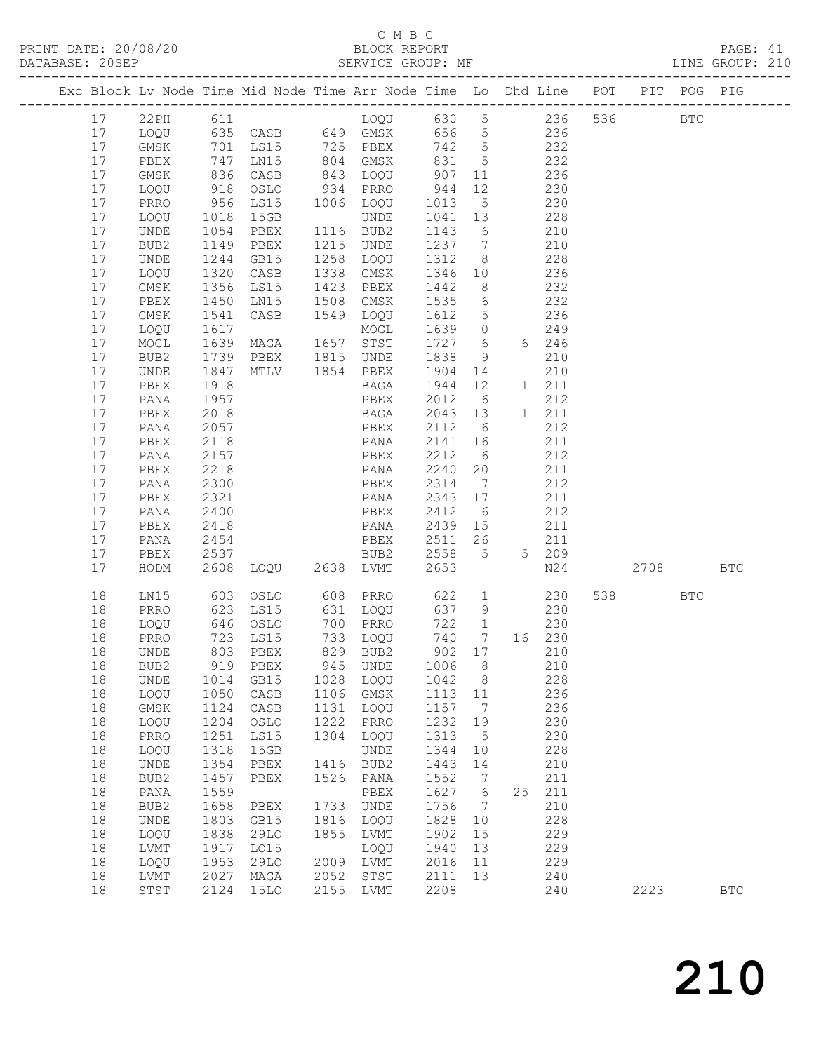# C M B C<br>BLOCK REPORT

|    |      |      |                                                                                                |      |                      |                   |                                  | Exc Block Lv Node Time Mid Node Time Arr Node Time Lo Dhd Line POT PIT POG PIG                        |     |        |            |            |  |
|----|------|------|------------------------------------------------------------------------------------------------|------|----------------------|-------------------|----------------------------------|-------------------------------------------------------------------------------------------------------|-----|--------|------------|------------|--|
|    |      |      |                                                                                                |      |                      |                   |                                  | 17 22PH 611 LOQU 630 5 236 536 BTC                                                                    |     |        |            |            |  |
|    |      |      |                                                                                                |      |                      |                   |                                  | 17 LOQU 635 CASB 649 GMSK 656 5 236                                                                   |     |        |            |            |  |
| 17 |      |      |                                                                                                |      |                      |                   |                                  |                                                                                                       |     |        |            |            |  |
| 17 |      |      |                                                                                                |      |                      |                   |                                  |                                                                                                       |     |        |            |            |  |
| 17 |      |      |                                                                                                |      |                      |                   |                                  | CMSK 701 LS15 725 PBEX 742 5<br>PBEX 747 LN15 804 GMSK 831 5 232<br>CMSK 836 CASB 843 LOQU 907 11 236 |     |        |            |            |  |
| 17 | LOQU |      | 918 OSLO                                                                                       |      | 934 PRRO             | 944               | 12                               | 230                                                                                                   |     |        |            |            |  |
| 17 |      |      |                                                                                                |      | 1006 LOQU            |                   |                                  | 230                                                                                                   |     |        |            |            |  |
| 17 |      |      | PRRO 956 LS15 1006<br>LOQU 1018 15GB                                                           |      | UNDE                 | 1013 5<br>1041 13 |                                  | 228                                                                                                   |     |        |            |            |  |
| 17 | UNDE |      | 1054 PBEX                                                                                      |      | 1116 BUB2            | 1143              |                                  | $\begin{array}{c c}\n6 & 210\n\end{array}$                                                            |     |        |            |            |  |
| 17 | BUB2 |      | 1149 PBEX                                                                                      |      | 1215 UNDE            |                   |                                  | 1237 7 210                                                                                            |     |        |            |            |  |
| 17 | UNDE |      | 1244 GB15                                                                                      |      | 1258 LOQU            | 1312              | 8 <sup>8</sup>                   | 228                                                                                                   |     |        |            |            |  |
| 17 | LOQU |      | 1320 CASB                                                                                      |      | 1338 GMSK            |                   | 10                               | 236                                                                                                   |     |        |            |            |  |
| 17 | GMSK |      | 1356 LS15                                                                                      |      | 1423 PBEX            | 1346<br>1442      | 8 <sup>8</sup>                   | $\frac{2}{2}$                                                                                         |     |        |            |            |  |
| 17 | PBEX |      | 1450 LN15                                                                                      | 1508 | GMSK                 | 1535              |                                  | 6 232                                                                                                 |     |        |            |            |  |
| 17 | GMSK | 1541 | CASB                                                                                           |      | 1549 LOQU            | 1612              | $5\overline{)}$                  | 236                                                                                                   |     |        |            |            |  |
| 17 | LOQU | 1617 |                                                                                                |      |                      | 1639              | $\begin{matrix}0\\6\end{matrix}$ | 249                                                                                                   |     |        |            |            |  |
| 17 | MOGL |      | 1617 MOGL<br>1639 MAGA 1657 STST                                                               |      |                      | $1727$ 6          |                                  | 6 246                                                                                                 |     |        |            |            |  |
| 17 | BUB2 |      | 1739 PBEX 1815 UNDE 1838                                                                       |      |                      |                   | 9                                | 210                                                                                                   |     |        |            |            |  |
| 17 | UNDE |      | 1847 MTLV 1854 PBEX                                                                            |      |                      | 1904              | 14                               | 210                                                                                                   |     |        |            |            |  |
| 17 | PBEX |      |                                                                                                |      |                      | 1944              | 12                               | 1 211                                                                                                 |     |        |            |            |  |
| 17 | PANA |      |                                                                                                |      |                      | 2012              | 6                                | 212                                                                                                   |     |        |            |            |  |
| 17 | PBEX |      |                                                                                                |      |                      | 2043 13           |                                  | 1 211                                                                                                 |     |        |            |            |  |
| 17 | PANA |      |                                                                                                |      |                      | 2112              | $6\overline{6}$                  | 212                                                                                                   |     |        |            |            |  |
| 17 | PBEX |      |                                                                                                |      |                      |                   | 16                               | 211                                                                                                   |     |        |            |            |  |
| 17 | PANA |      |                                                                                                |      |                      | 2141<br>2212      | 6                                | 212                                                                                                   |     |        |            |            |  |
| 17 | PBEX |      | 1918 BAGA<br>1957 BEX<br>2018 BAGA<br>2057 PBEX<br>2118 PANA<br>2157 PBEX<br>2218 PANA<br>2300 |      |                      | 2240 20           |                                  | 211                                                                                                   |     |        |            |            |  |
| 17 | PANA | 2300 | PBEX                                                                                           |      |                      | 2314              | $\overline{7}$                   | 212                                                                                                   |     |        |            |            |  |
| 17 | PBEX |      | 2300<br>2321<br>2400 PBEX<br>2418 PANA<br>2454 PEEX<br>2500<br>PEEX<br>PEEX<br>PEEX<br>PEEX    |      |                      | 2343 17<br>2412 6 |                                  | 211                                                                                                   |     |        |            |            |  |
| 17 | PANA |      |                                                                                                |      |                      |                   | 6                                | 212                                                                                                   |     |        |            |            |  |
| 17 | PBEX |      |                                                                                                |      |                      |                   |                                  | 2439 15 211                                                                                           |     |        |            |            |  |
| 17 | PANA |      |                                                                                                |      |                      | 2511 26           |                                  | 211                                                                                                   |     |        |            |            |  |
| 17 | PBEX |      | 2537 BUB2 2558<br>2608 LOQU 2638 LVMT 2653                                                     |      |                      |                   |                                  | 5 5 209                                                                                               |     |        |            |            |  |
| 17 | HODM |      |                                                                                                |      |                      |                   |                                  |                                                                                                       | N24 | 2708   |            | <b>BTC</b> |  |
| 18 |      |      |                                                                                                |      |                      |                   |                                  | LN15 603 OSLO 608 PRRO 622 1 230                                                                      |     | 538 33 | <b>BTC</b> |            |  |
| 18 | PRRO |      | 623 LS15<br>646 OSLO                                                                           |      | 631 LOQU<br>700 PRRO |                   |                                  | 637 9 230<br>722 1 230                                                                                |     |        |            |            |  |
| 18 | LOQU |      |                                                                                                |      | 700 PRRO             |                   |                                  |                                                                                                       |     |        |            |            |  |
|    |      |      | 18 PRRO 723 LS15                                                                               |      |                      |                   |                                  | 733 LOQU 740 7 16 230                                                                                 |     |        |            |            |  |
| 18 | UNDE | 803  | PBEX                                                                                           | 829  | BUB2                 | 902 17            |                                  | 210                                                                                                   |     |        |            |            |  |
| 18 | BUB2 | 919  | PBEX                                                                                           | 945  | UNDE                 | 1006              | 8                                | 210                                                                                                   |     |        |            |            |  |
| 18 | UNDE | 1014 | GB15                                                                                           | 1028 | LOQU                 | 1042              | 8 <sup>8</sup>                   | 228                                                                                                   |     |        |            |            |  |
| 18 | LOQU | 1050 | CASB                                                                                           | 1106 | GMSK                 | 1113              | 11                               | 236                                                                                                   |     |        |            |            |  |
| 18 | GMSK | 1124 | CASB                                                                                           | 1131 | LOQU                 | 1157              | $\overline{7}$                   | 236                                                                                                   |     |        |            |            |  |
| 18 | LOQU | 1204 | OSLO                                                                                           | 1222 | PRRO                 | 1232              | 19                               | 230                                                                                                   |     |        |            |            |  |
| 18 | PRRO | 1251 | LS15                                                                                           | 1304 | LOQU                 | 1313              | $5^{\circ}$                      | 230                                                                                                   |     |        |            |            |  |
| 18 | LOQU | 1318 | 15GB                                                                                           |      | UNDE                 | 1344              | 10                               | 228                                                                                                   |     |        |            |            |  |
| 18 | UNDE | 1354 | PBEX                                                                                           | 1416 | BUB2                 | 1443              | 14                               | 210                                                                                                   |     |        |            |            |  |
| 18 | BUB2 | 1457 | PBEX                                                                                           | 1526 | PANA                 | 1552              | 7                                | 211                                                                                                   |     |        |            |            |  |
| 18 | PANA | 1559 |                                                                                                |      | PBEX                 | 1627              | 6                                | 211<br>25                                                                                             |     |        |            |            |  |
| 18 | BUB2 | 1658 | PBEX                                                                                           | 1733 | UNDE                 | 1756              | $7\phantom{.0}$                  | 210                                                                                                   |     |        |            |            |  |
| 18 | UNDE | 1803 | GB15                                                                                           | 1816 | LOQU                 | 1828              | 10                               | 228                                                                                                   |     |        |            |            |  |
| 18 | LOQU | 1838 | 29LO                                                                                           | 1855 | LVMT                 | 1902              | 15                               | 229                                                                                                   |     |        |            |            |  |
| 18 | LVMT | 1917 | LO15                                                                                           |      | LOQU                 | 1940              | 13                               | 229                                                                                                   |     |        |            |            |  |
| 18 | LOQU | 1953 | 29LO                                                                                           |      | 2009 LVMT            | 2016              | 11                               | 229                                                                                                   |     |        |            |            |  |
| 18 | LVMT | 2027 | MAGA                                                                                           |      | 2052 STST            | 2111              | 13                               | 240                                                                                                   |     |        |            |            |  |

18 STST 2124 15LO 2155 LVMT 2208 240 2223 BTC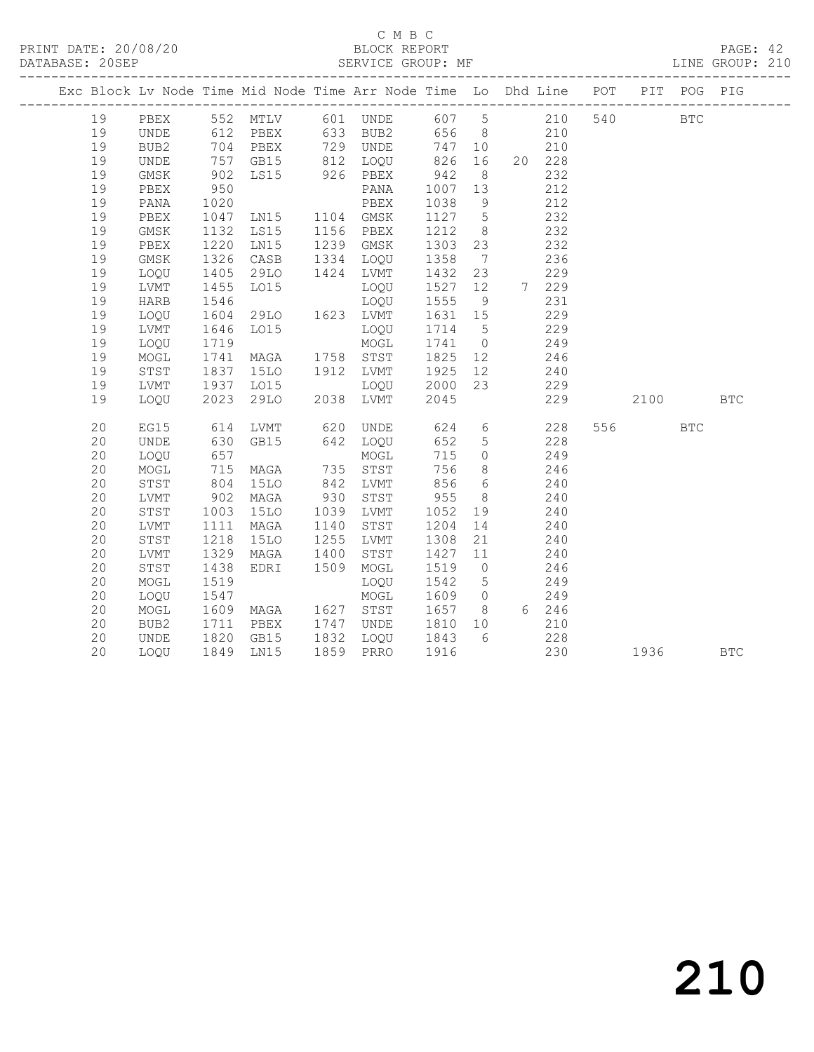# C M B C<br>BLOCK REPORT

PAGE: 42<br>LINE GROUP: 210

|    | Exc Block Lv Node Time Mid Node Time Arr Node Time Lo Dhd Line POT |                   |                         |      |                           |         |                 |                          |        |     |         | PIT POG PIG |            |
|----|--------------------------------------------------------------------|-------------------|-------------------------|------|---------------------------|---------|-----------------|--------------------------|--------|-----|---------|-------------|------------|
| 19 | PBEX                                                               |                   | 552 MTLV 601 UNDE 607 5 |      |                           |         |                 | 210                      |        | 540 |         | <b>BTC</b>  |            |
| 19 | UNDE                                                               |                   |                         |      |                           |         |                 |                          |        |     |         |             |            |
| 19 | BUB2                                                               |                   |                         |      |                           |         |                 | $747$ 10 $^{210}$<br>826 |        |     |         |             |            |
| 19 | UNDE                                                               | 757               |                         |      | GB15 812 LOQU 826 16      |         |                 |                          | 20 228 |     |         |             |            |
| 19 | GMSK                                                               | 902               | LS15 926 PBEX           |      |                           | 942     | 8 <sup>8</sup>  |                          | 232    |     |         |             |            |
| 19 | PBEX                                                               | 950               |                         |      | PANA                      | 1007 13 |                 |                          | 212    |     |         |             |            |
| 19 | PANA                                                               | 1020              |                         |      | PBEX                      | 1038    | 9               |                          | 212    |     |         |             |            |
| 19 | PBEX                                                               | 1047              | LN15 1104 GMSK          |      |                           | 1127    | $5\overline{)}$ | 232                      |        |     |         |             |            |
| 19 | GMSK                                                               | 1132              | LS15                    |      | 1156 PBEX                 | 1212    | 8 <sup>8</sup>  | 232                      |        |     |         |             |            |
| 19 | PBEX                                                               | 1220              | LN15                    |      | 1239 GMSK                 | 1303    | 23              |                          | 232    |     |         |             |            |
| 19 | GMSK                                                               | 1326              | CASB                    |      | 1334 LOQU                 | 1358    | $\overline{7}$  |                          | 236    |     |         |             |            |
| 19 | LOQU                                                               | 1405              | 29LO                    |      | 1424 LVMT                 | 1432    | 23              |                          | 229    |     |         |             |            |
| 19 | LVMT                                                               | 1455              | LO15                    |      | LOQU                      | 1527 12 |                 | 7 229                    |        |     |         |             |            |
| 19 | HARB                                                               | 1546              |                         |      | LOQU                      | 1555    | 9               |                          | 231    |     |         |             |            |
| 19 | LOQU                                                               | 1604              | 29LO 1623 LVMT          |      |                           | 1631 15 |                 |                          | 229    |     |         |             |            |
| 19 | LVMT                                                               | 1646<br>1719      | LO15                    |      | LOQU                      | 1714 5  |                 |                          | 229    |     |         |             |            |
| 19 | LOQU                                                               |                   |                         |      | MOGL                      | 1741 0  |                 | $\frac{1}{249}$          |        |     |         |             |            |
| 19 | MOGL                                                               | 1741              | MAGA                    |      | 1758 STST                 | 1825 12 |                 | 246                      |        |     |         |             |            |
| 19 | STST                                                               | 1837              | 15LO                    |      | 1912 LVMT                 | 1925 12 |                 |                          | 240    |     |         |             |            |
| 19 | LVMT                                                               | 1937              | LO15                    |      | LOQU 2000 23<br>LVMT 2045 |         |                 |                          | 229    |     |         |             |            |
| 19 | LOOU                                                               | 2023              | 29LO                    |      | 2038 LVMT                 | 2045    |                 |                          | 229    |     | 2100    |             | <b>BTC</b> |
|    |                                                                    |                   |                         |      |                           |         |                 |                          |        |     |         |             |            |
| 20 | EG15                                                               | 614               | LVMT                    |      | 620 UNDE 624              |         |                 | $6\overline{6}$          | 228    |     | 556 700 | <b>BTC</b>  |            |
| 20 | UNDE                                                               | 630<br>657<br>715 | GB15                    |      | 642 LOQU                  | 652     | 5 <sup>5</sup>  |                          | 228    |     |         |             |            |
| 20 | LOQU                                                               |                   |                         |      | MOGL                      | 715     | $\overline{0}$  |                          | 249    |     |         |             |            |
| 20 | MOGL                                                               |                   | MAGA                    |      | 735 STST                  | 756     |                 | 8                        | 246    |     |         |             |            |
| 20 | STST                                                               | 804               | <b>15LO</b>             |      | 842 LVMT                  | 856     | $6\overline{6}$ | 240                      |        |     |         |             |            |
| 20 | ${\rm LVMT}$                                                       | 902               | MAGA                    |      | 930 STST                  | 955     | 8 <sup>8</sup>  | 240                      |        |     |         |             |            |
| 20 | STST                                                               | 1003              | 15LO                    |      | 1039 LVMT                 | 1052    | 19              |                          | 240    |     |         |             |            |
| 20 | ${\rm LVMT}$                                                       | 1111              | MAGA                    | 1140 | STST                      | 1204    | 14              |                          | 240    |     |         |             |            |
| 20 | ${\tt STST}$                                                       | 1218              | 15LO                    | 1255 | LVMT                      | 1308    | 21              |                          | 240    |     |         |             |            |
| 20 | LVMT                                                               | 1329              | MAGA                    | 1400 | STST                      | 1427 11 |                 |                          | 240    |     |         |             |            |
| 20 | STST                                                               | 1438              | EDRI                    | 1509 | MOGL                      | 1519    | $\overline{0}$  |                          | 246    |     |         |             |            |
| 20 | MOGL                                                               | 1519              |                         |      | LOQU                      | 1542    | $5\overline{)}$ |                          | 249    |     |         |             |            |
| 20 | LOQU                                                               | 1547              |                         |      | MOGL                      | 1609    | $\overline{0}$  |                          | 249    |     |         |             |            |
| 20 | MOGL                                                               | 1609              | MAGA 1627 STST          |      |                           | 1657    | 8 <sup>8</sup>  | 6 246                    |        |     |         |             |            |
| 20 | BUB2                                                               | 1711              | PBEX                    |      | 1747 UNDE 1810 10         |         |                 |                          | 210    |     |         |             |            |
| 20 | UNDE                                                               | 1820              | GB15                    |      | 1832 LOQU 1843            |         | 6               | 228                      |        |     |         |             |            |
| 20 | LOQU                                                               | 1849              | LN15                    |      | 1859 PRRO                 | 1916    |                 |                          | 230    |     | 1936    |             | <b>BTC</b> |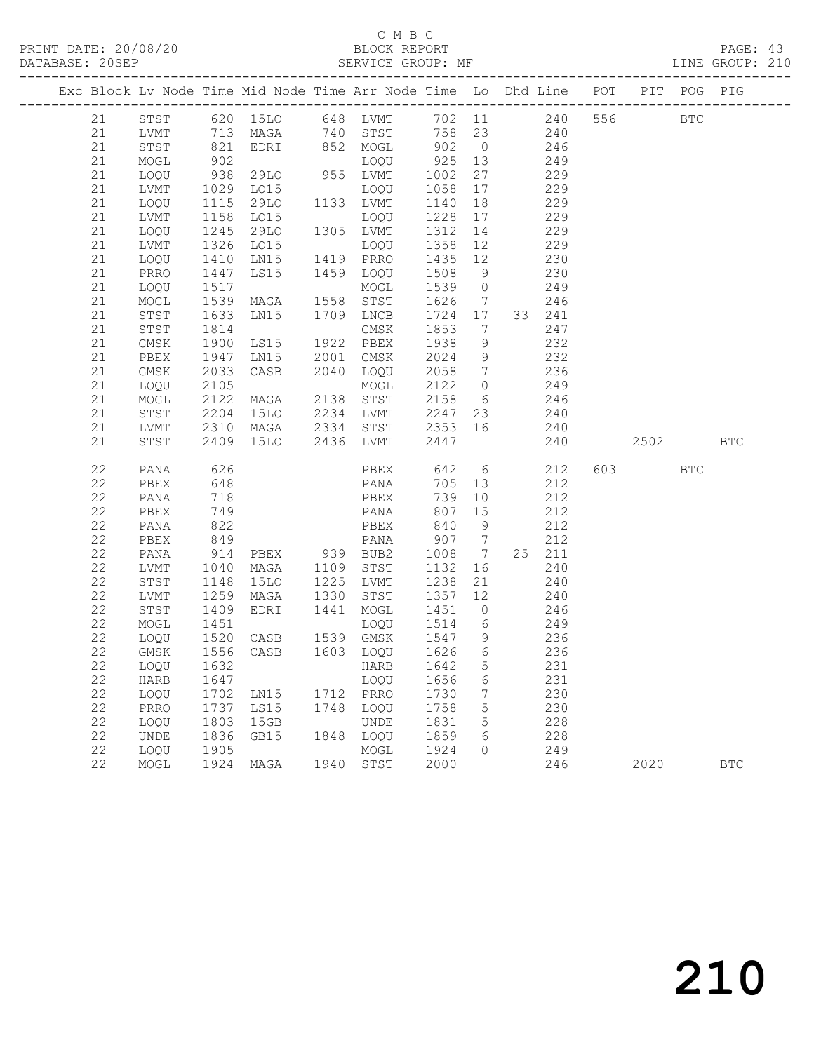#### C M B C DATABASE: 20SEP SERVICE GROUP: MF LINE GROUP: 210

|          |              |                        | Exc Block Lv Node Time Mid Node Time Arr Node Time Lo Dhd Line POT                                             |      |                                        |                                              |                 |            |           | PIT POG PIG  |              |
|----------|--------------|------------------------|----------------------------------------------------------------------------------------------------------------|------|----------------------------------------|----------------------------------------------|-----------------|------------|-----------|--------------|--------------|
| 21       |              |                        | STST 620 15LO 648 LVMT 702 11 240 556<br>LVMT 713 MAGA 740 STST 758 23 240<br>STST 821 EDRI 852 MOGL 902 0 246 |      |                                        |                                              |                 |            |           | $_{\rm BTC}$ |              |
| 21       |              |                        |                                                                                                                |      |                                        |                                              |                 |            |           |              |              |
| 21       |              |                        |                                                                                                                |      |                                        |                                              |                 |            |           |              |              |
| 21       | MOGL         | 902                    | 1922<br>LOQU<br>29LO 955 LVMT<br>1015                                                                          |      |                                        | 925 13                                       |                 | 249        |           |              |              |
| 21       | LOQU         | 938<br>1029            |                                                                                                                |      |                                        | 1002                                         | 27              | 229        |           |              |              |
| 21       | LVMT         |                        | LO15                                                                                                           |      | LOQU                                   | 1058                                         | 17              | 229        |           |              |              |
| 21       | LOQU         | 1115                   | 29LO                                                                                                           |      | 1133 LVMT                              | 1140                                         | 18              | 229        |           |              |              |
| 21       | LVMT         | 1158                   | LO15                                                                                                           |      | LOQU                                   | 1228 17                                      |                 | 229        |           |              |              |
| 21       | LOQU         | 1245                   | 29LO                                                                                                           |      | 1305 LVMT                              | 1312                                         | 14              | 229        |           |              |              |
| 21       | LVMT         | 1326<br>1410           | LO15                                                                                                           |      | LOQU                                   | 1358                                         | 12              | 229        |           |              |              |
| 21       | LOQU         |                        | LN15                                                                                                           |      | 1419 PRRO                              | 1435 12                                      |                 | 230        |           |              |              |
| 21       | PRRO         | 1447                   | LS15                                                                                                           |      | 1459 LOQU                              | 1508                                         | 9               | 230        |           |              |              |
| 21       | LOQU         | 1517                   |                                                                                                                |      | MOGL                                   | 1539                                         | $\overline{0}$  | 249        |           |              |              |
| 21       | MOGL         | 1539<br>1633           | MAGA                                                                                                           |      | 1558 STST                              | 1626                                         | $\overline{7}$  | 246        |           |              |              |
| 21       | STST         |                        | LN15                                                                                                           |      | 1709 LNCB                              | 1724 17                                      |                 | 33 241     |           |              |              |
| 21       | STST         | 1814                   |                                                                                                                |      | GMSK                                   | 1853                                         | $\overline{7}$  | 247        |           |              |              |
| 21       | GMSK         | 1900                   | LS15                                                                                                           |      | 1922 PBEX                              | 1938                                         | 9               | 232        |           |              |              |
| 21       | PBEX         | 1947                   | LN15 2001 GMSK                                                                                                 |      |                                        | 2024                                         | 9               | 232<br>236 |           |              |              |
| 21       | GMSK         | 2033                   | CASB 2040 LOQU                                                                                                 |      |                                        | 2058 7                                       |                 |            |           |              |              |
| 21       | LOQU         | 2105                   | MOGL<br>MAGA 2138 STST                                                                                         |      |                                        | 2122 0 249                                   |                 |            |           |              |              |
| 21       | MOGL         | 2122                   |                                                                                                                |      |                                        | 2158 6 246                                   |                 |            |           |              |              |
| 21       | STST         | 2204<br>2310           | 15LO                                                                                                           |      | 2234 LVMT 2247 23<br>2334 STST 2353 16 | 2247 23                                      |                 | 240        |           |              |              |
| 21       | LVMT         |                        | MAGA                                                                                                           |      |                                        |                                              |                 | 240        |           |              |              |
| 21       | STST         |                        | 2409 15LO 2436 LVMT                                                                                            |      |                                        | 2447                                         |                 | 240        | 2502      |              | <b>BTC</b>   |
| 22       | PANA         | 626<br>648             |                                                                                                                |      | PBEX 642 6 212<br>PANA 705 13 212      |                                              |                 |            | 603 — 100 | <b>BTC</b>   |              |
| 22       | PBEX         |                        |                                                                                                                |      |                                        |                                              |                 |            |           |              |              |
| 22       | PANA         | 718                    |                                                                                                                |      | PBEX                                   | 739                                          | 10              | 212        |           |              |              |
| 22       | PBEX         | 749                    |                                                                                                                |      | PANA                                   | 807                                          | 15              | 212        |           |              |              |
| 22       | PANA         | 822<br>$\frac{0}{849}$ |                                                                                                                |      | PBEX                                   | 840                                          | 9               | 212        |           |              |              |
| 22       | PBEX         |                        |                                                                                                                |      | PANA                                   | 907 7                                        |                 | 212        |           |              |              |
| 22       | PANA         | 914                    | PBEX 939 BUB2                                                                                                  |      |                                        | 1008                                         | $7\overline{ }$ | 25 211     |           |              |              |
| 22       | LVMT         | 1040                   | MAGA                                                                                                           |      | 1109 STST                              | 1132                                         | 16              | 240        |           |              |              |
| 22       | STST         | 1148                   | 15LO                                                                                                           | 1225 | LVMT                                   | 1238                                         | 21              | 240        |           |              |              |
| 22<br>22 | LVMT         | 1259<br>1409           | MAGA                                                                                                           |      | 1330 STST                              | 1357 12<br>$1337$ $12$ $240$<br>$1451$ 0 246 |                 | 240        |           |              |              |
| 22       | STST<br>MOGL | 1451                   | EDRI                                                                                                           | 1441 | MOGL                                   | 1514 6 249                                   |                 |            |           |              |              |
| 22       | LOQU         |                        | CASB                                                                                                           |      | LOQU<br>1539 GMSK                      | 1547 9                                       |                 | 236        |           |              |              |
| 22       | GMSK         | 1520<br>1556           | CASB                                                                                                           |      | 1603 LOQU                              | 1626                                         | $6\overline{6}$ | 236        |           |              |              |
|          |              |                        | 22 LOQU 1632 HARB 1642                                                                                         |      |                                        |                                              | 5 <sub>5</sub>  | 231        |           |              |              |
| 22       | HARB         | 1647                   |                                                                                                                |      | LOQU                                   | 1656                                         | 6               | 231        |           |              |              |
| 22       | LOQU         | 1702                   | LN15                                                                                                           | 1712 | PRRO                                   | 1730                                         | 7               | 230        |           |              |              |
| 22       | PRRO         | 1737                   | LS15                                                                                                           | 1748 | LOQU                                   | 1758                                         | 5               | 230        |           |              |              |
| 22       | LOQU         | 1803                   | 15GB                                                                                                           |      | UNDE                                   | 1831                                         | 5               | 228        |           |              |              |
| 22       | UNDE         | 1836                   | GB15                                                                                                           | 1848 | LOQU                                   | 1859                                         | 6               | 228        |           |              |              |
| 22       | LOQU         | 1905                   |                                                                                                                |      | MOGL                                   | 1924                                         | $\Omega$        | 249        |           |              |              |
| 22       | MOGL         | 1924                   | MAGA                                                                                                           | 1940 | STST                                   | 2000                                         |                 | 246        | 2020      |              | $_{\rm BTC}$ |
|          |              |                        |                                                                                                                |      |                                        |                                              |                 |            |           |              |              |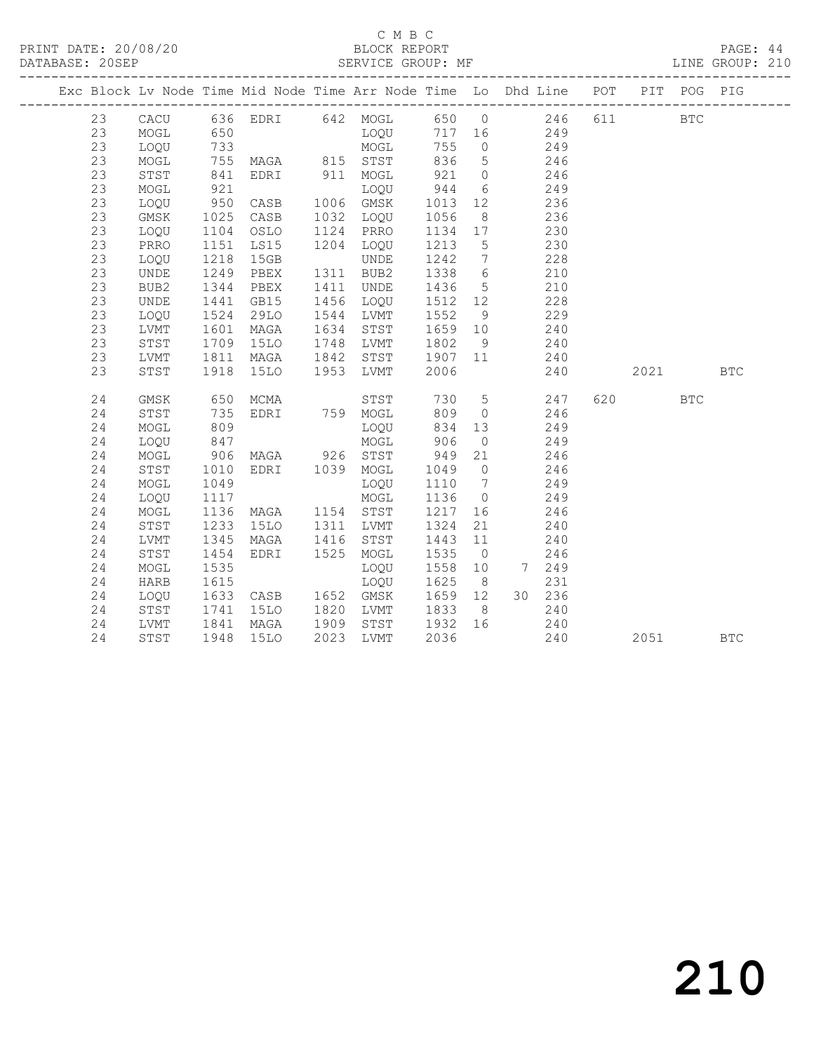# C M B C<br>BLOCK REPORT

PAGE: 44<br>LINE GROUP: 210

| Exc Block Lv Node Time Mid Node Time Arr Node Time Lo Dhd Line POT |             |                 |                                 |      |             |         |                 |                |     |     |         | PIT POG PIG  |            |
|--------------------------------------------------------------------|-------------|-----------------|---------------------------------|------|-------------|---------|-----------------|----------------|-----|-----|---------|--------------|------------|
| 23                                                                 | CACU        |                 | 636 EDRI 642 MOGL 650 0 246     |      |             |         |                 |                |     | 611 |         | $_{\rm BTC}$ |            |
| 23                                                                 | MOGL        | 650             |                                 |      | MOGT<br>TOÕ |         |                 | 717 16 249     |     |     |         |              |            |
| 23                                                                 | LOQU        |                 |                                 |      |             | 755     | $\overline{0}$  | $249$<br>$246$ |     |     |         |              |            |
| 23                                                                 | MOGL        |                 |                                 |      |             | 836     | 5 <sup>5</sup>  |                |     |     |         |              |            |
| 23                                                                 | STST        | 841             | EDRI 911 MOGL                   |      |             |         |                 | 921 0 246      |     |     |         |              |            |
| 23                                                                 | MOGL        | 921             | CASB                            |      | LOQU        | 944     |                 | 6 249          |     |     |         |              |            |
| 23                                                                 | LOOU        | 950             |                                 |      | 1006 GMSK   | 1013    | 12              | 236            |     |     |         |              |            |
| 23                                                                 | GMSK        | 1025<br>1104    | CASB                            |      | 1032 LOQU   | 1056    | 8 <sup>8</sup>  |                | 236 |     |         |              |            |
| 23                                                                 | LOQU        |                 | OSLO                            |      | 1124 PRRO   | 1134 17 |                 |                | 230 |     |         |              |            |
| 23                                                                 | PRRO        | 1151            | LS15                            |      | 1204 LOQU   | 1213    | 5 <sup>5</sup>  |                | 230 |     |         |              |            |
| 23                                                                 | LOQU        | 1218            | 15GB                            |      | UNDE        | 1242    | $7\overline{ }$ | 228            |     |     |         |              |            |
| 23                                                                 | <b>UNDE</b> | 1249            | PBEX                            |      | 1311 BUB2   | 1338 6  |                 | 210            |     |     |         |              |            |
| 23                                                                 | BUB2        | 1344            | PBEX                            | 1411 | UNDE        | 1436    | 5 <sup>5</sup>  |                | 210 |     |         |              |            |
| 23                                                                 | UNDE        | 1441            | GB15                            |      | 1456 LOQU   | 1512 12 |                 |                | 228 |     |         |              |            |
| 23                                                                 | LOQU        | 1524            | 29LO                            |      | 1544 LVMT   | 1552    | 9               |                | 229 |     |         |              |            |
| 23                                                                 | LVMT        | 1601            | MAGA                            |      | 1634 STST   | 1659 10 |                 | 240            |     |     |         |              |            |
| 23                                                                 | STST        | 1709            | <b>15LO</b>                     |      | 1748 LVMT   | 1802    | 9 <sup>°</sup>  | 240            |     |     |         |              |            |
| 23                                                                 | LVMT        | 1811            | MAGA                            | 1842 | STST        | 1907 11 |                 | 240            |     |     |         |              |            |
| 23                                                                 | STST        | 1918            | 15LO                            |      | 1953 LVMT   | 2006    |                 |                | 240 |     | 2021    |              | <b>BTC</b> |
| 24                                                                 | GMSK        | 650             | MCMA                            |      | STST        |         |                 | 730 5 247      |     |     | 620 000 | <b>BTC</b>   |            |
| 24                                                                 | STST        | 735             | EDRI 759 MOGL                   |      |             | 809     | $\overline{0}$  | 246            |     |     |         |              |            |
| 24                                                                 | MOGL        | 809             |                                 |      | LOOU        | 834     |                 | 13             | 249 |     |         |              |            |
| 24                                                                 | LOQU        | 847             |                                 |      | MOGL        | 906     | $\overline{0}$  | 249            |     |     |         |              |            |
| 24                                                                 | MOGL        |                 |                                 |      |             | 949     | 21              |                | 246 |     |         |              |            |
| 24                                                                 | STST        | $906$<br>$1010$ | MAGA 926 STST<br>EDRI 1039 MOGL |      |             | 1049 0  |                 |                | 246 |     |         |              |            |
| 24                                                                 | MOGL        | 1049            |                                 |      | LOQU        | 1110    | $7\overline{ }$ |                | 249 |     |         |              |            |
| 24                                                                 | LOQU        | 1117            |                                 |      | MOGL        | 1136    | $\overline{0}$  | 249            |     |     |         |              |            |
| 24                                                                 | MOGL        | 1136            | MAGA 1154 STST                  |      |             | 1217    | 16              | 246            |     |     |         |              |            |
| 24                                                                 | STST        | 1233            | 15LO                            | 1311 | LVMT        | 1324    | 21              |                | 240 |     |         |              |            |
| 24                                                                 | LVMT        | 1345            | MAGA                            | 1416 | STST        | 1443    | 11              |                | 240 |     |         |              |            |
| 24                                                                 | STST        | 1454            | EDRI 1525 MOGL                  |      |             | 1535    | $\overline{0}$  |                | 246 |     |         |              |            |
| 24                                                                 | MOGL        | 1535            |                                 |      | LOQU        | 1558    | 10              | 7 249          |     |     |         |              |            |
| 24                                                                 | HARB        | 1615            |                                 |      | LOQU        | 1625    | 8 <sup>8</sup>  |                | 231 |     |         |              |            |
| 24                                                                 | LOQU        | 1633            | CASB 1652 GMSK                  |      |             | 1659 12 |                 | 30 236         |     |     |         |              |            |
| 24                                                                 | STST        | 1741            | 15LO                            |      | 1820 LVMT   | 1833 8  |                 | 240            |     |     |         |              |            |
| 24                                                                 | LVMT        | 1841<br>1948    | MAGA                            |      | 1909 STST   | 1932 16 |                 | 240            |     |     |         |              |            |
| 24                                                                 | STST        |                 | 15LO                            | 2023 | LVMT        | 2036    |                 |                | 240 |     | 2051    |              | <b>BTC</b> |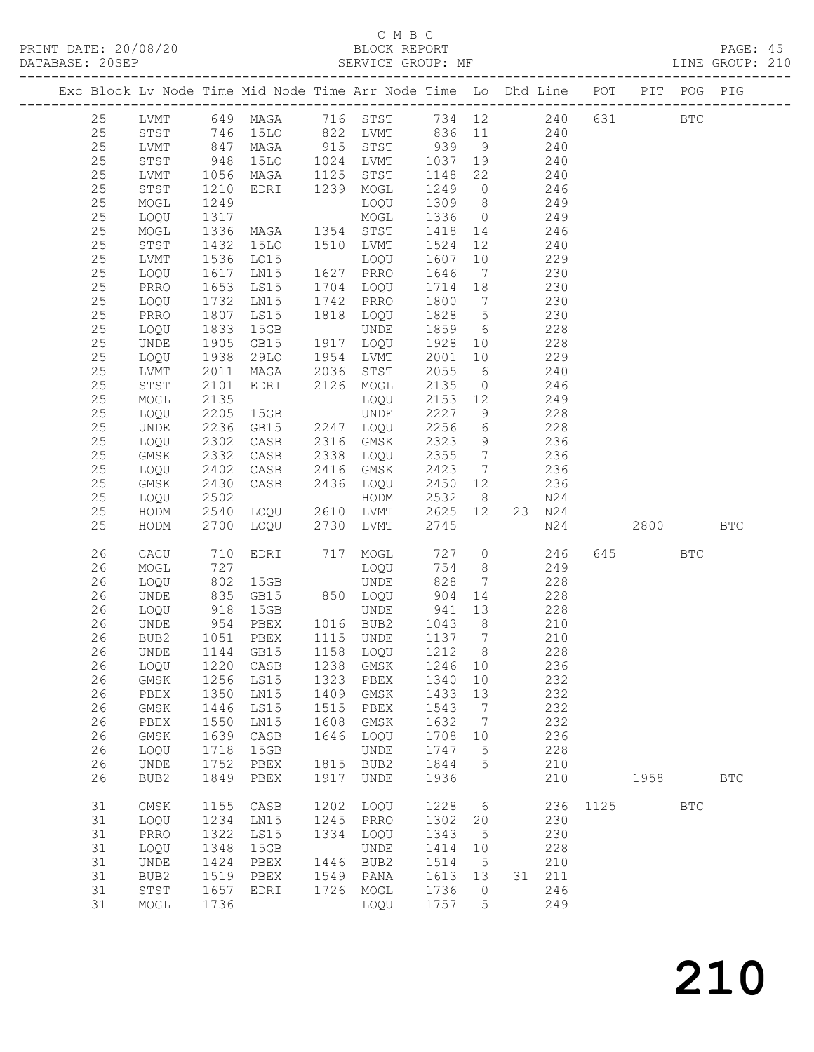### C M B C

| DATABASE: 20SEP |    |             |                       | SERVICE GROUP: MF<br>____________________                                      |      |                                                                                     |                  |                 |             |        |          |           |            | LINE GROUP: 210 |  |
|-----------------|----|-------------|-----------------------|--------------------------------------------------------------------------------|------|-------------------------------------------------------------------------------------|------------------|-----------------|-------------|--------|----------|-----------|------------|-----------------|--|
|                 |    |             |                       | Exc Block Lv Node Time Mid Node Time Arr Node Time Lo Dhd Line POT PIT POG PIG |      |                                                                                     |                  |                 |             |        |          |           |            |                 |  |
|                 | 25 |             |                       | LVMT 649 MAGA 716 STST 734 12 240 631 BTC                                      |      |                                                                                     |                  |                 |             |        |          |           |            |                 |  |
|                 | 25 |             |                       | STST 746 15LO 822 LVMT 836 11 240                                              |      |                                                                                     |                  |                 |             |        |          |           |            |                 |  |
|                 | 25 | LVMT        | 847<br>948<br>1056    |                                                                                |      | MAGA 915 STST 939 9 240<br>15LO 1024 LVMT 1037 19 240<br>MAGA 1125 STST 1148 22 240 |                  |                 |             |        |          |           |            |                 |  |
|                 | 25 | STST        |                       |                                                                                |      |                                                                                     |                  |                 |             |        |          |           |            |                 |  |
|                 | 25 | LVMT        |                       |                                                                                |      |                                                                                     |                  |                 |             |        |          |           |            |                 |  |
|                 | 25 |             | 1210                  | EDRI 1239 MOGL                                                                 |      |                                                                                     | 1249             |                 | $0 \t 246$  |        |          |           |            |                 |  |
|                 |    | STST        |                       |                                                                                |      |                                                                                     |                  |                 |             |        |          |           |            |                 |  |
|                 | 25 | MOGL        | 1249                  |                                                                                |      | LOQU                                                                                |                  |                 | 1309 8 249  |        |          |           |            |                 |  |
|                 | 25 | LOQU        |                       |                                                                                |      |                                                                                     | 1336 0           |                 |             | 249    |          |           |            |                 |  |
|                 | 25 | MOGL        |                       |                                                                                |      |                                                                                     | 1418  14         |                 |             | 246    |          |           |            |                 |  |
|                 | 25 | STST        | 1432                  | 15LO 1510 LVMT                                                                 |      |                                                                                     | 1524             | 12              | 240         |        |          |           |            |                 |  |
|                 | 25 | LVMT        | 1536                  | LO15                                                                           |      | LOQU                                                                                | 1607             | 10              |             | 229    |          |           |            |                 |  |
|                 | 25 | LOQU        | 1617<br>1653          | LNI5                                                                           |      | 1627 PRRO                                                                           | 1646             | $7\overline{ }$ |             | 230    |          |           |            |                 |  |
|                 | 25 | PRRO        |                       | LS15                                                                           |      | 1704 LOQU                                                                           | 1714 18          |                 |             | 230    |          |           |            |                 |  |
|                 | 25 | LOQU        | 1732                  | LN15                                                                           |      | 1742 PRRO                                                                           |                  |                 | 1800 7 230  |        |          |           |            |                 |  |
|                 | 25 | PRRO        | 1807                  | LS15                                                                           |      | 1818 LOQU                                                                           | 1828 5           |                 | 230         |        |          |           |            |                 |  |
|                 | 25 | LOQU        |                       | 15GB                                                                           |      | UNDE                                                                                | 1859 6           |                 |             | 228    |          |           |            |                 |  |
|                 | 25 | UNDE        | 1833<br>1905          | GB15                                                                           |      | 1917 LOQU                                                                           | 1928 10          |                 |             | 228    |          |           |            |                 |  |
|                 | 25 | LOQU        | 1938                  | 29LO                                                                           |      | 1954 LVMT                                                                           |                  |                 | 2001 10 229 |        |          |           |            |                 |  |
|                 |    |             |                       |                                                                                |      |                                                                                     |                  |                 |             |        |          |           |            |                 |  |
|                 | 25 | LVMT        | 2011                  | MAGA                                                                           |      | 2036 STST                                                                           | 2055             | 6               | 240         |        |          |           |            |                 |  |
|                 | 25 | STST        | 2101                  | EDRI                                                                           |      | 2126 MOGL                                                                           | 2135             | $\overline{O}$  |             | 246    |          |           |            |                 |  |
|                 | 25 | MOGL        | 2135                  |                                                                                |      | LOQU                                                                                | 2153 12          |                 |             | 249    |          |           |            |                 |  |
|                 | 25 | LOQU        | 2205                  | 15GB                                                                           |      | UNDE                                                                                | 2227             | 9               | 228         |        |          |           |            |                 |  |
|                 | 25 | UNDE        | 2236                  | GB15                                                                           |      | 2247 LOQU                                                                           | 2256             | $6\overline{6}$ | 228         |        |          |           |            |                 |  |
|                 | 25 | LOQU        | 2302                  | CASB                                                                           |      | 2316 GMSK                                                                           | 2323             | 9               | 236         |        |          |           |            |                 |  |
|                 | 25 | GMSK        | 2332                  | CASB                                                                           |      | 2338 LOQU                                                                           | 2355             | $7\overline{ }$ |             | 236    |          |           |            |                 |  |
|                 | 25 | LOQU        | 2402                  | CASB                                                                           |      | 2416 GMSK                                                                           | 2423             | $7\overline{)}$ | 236         |        |          |           |            |                 |  |
|                 | 25 | GMSK        | 2430                  |                                                                                |      | CASB 2436 LOQU                                                                      | 2450 12          |                 | 236         |        |          |           |            |                 |  |
|                 | 25 | LOQU        | 2502                  |                                                                                |      | HODM                                                                                | 2532             | 8 <sup>8</sup>  |             | N24    |          |           |            |                 |  |
|                 | 25 | HODM        | 2540                  |                                                                                |      |                                                                                     | 2625 12          |                 |             | 23 N24 |          |           |            |                 |  |
|                 | 25 | HODM        | 2700                  |                                                                                |      | LOQU 2610 LVMT<br>LOQU 2730 LVMT                                                    | 2745             |                 |             | N24    |          | 2800      |            | <b>BTC</b>      |  |
|                 |    |             |                       |                                                                                |      |                                                                                     |                  |                 |             |        |          |           |            |                 |  |
|                 | 26 | CACU        | 710                   | EDRI                                                                           |      | 717 MOGL                                                                            | 727              | $\overline{0}$  |             | 246    |          | 645 — 100 | <b>BTC</b> |                 |  |
|                 | 26 | MOGL        | 727<br>$\frac{72}{1}$ | 15GB                                                                           |      | LOQU                                                                                | 754              | 8 <sup>8</sup>  |             | 249    |          |           |            |                 |  |
|                 | 26 | LOQU        |                       |                                                                                |      | UNDE                                                                                | 828              | $7\overline{ }$ |             | 228    |          |           |            |                 |  |
|                 | 26 | UNDE        | 835                   | GB15 850 LOQU                                                                  |      |                                                                                     | 904              | 14              | 228         |        |          |           |            |                 |  |
|                 | 26 | LOQU        | 918                   | 15GB UNDE<br>PBEX 1016 BUB2                                                    |      |                                                                                     | 941              | 13              | 228         |        |          |           |            |                 |  |
|                 | 26 | UNDE        |                       |                                                                                |      |                                                                                     |                  | 8 <sup>8</sup>  |             | 210    |          |           |            |                 |  |
|                 | 26 | BUB2        | 954<br>1051           | PBEX                                                                           |      | 1115 UNDE                                                                           | 1043 8<br>1137 7 |                 |             | 210    |          |           |            |                 |  |
|                 |    |             |                       | 26 UNDE 1144 GB15 1158 LOQU 1212 8                                             |      |                                                                                     |                  |                 |             | 228    |          |           |            |                 |  |
|                 | 26 | LOQU        |                       | 1220 CASB                                                                      | 1238 | GMSK                                                                                | 1246             | 10              |             | 236    |          |           |            |                 |  |
|                 | 26 | GMSK        | 1256                  | LS15                                                                           | 1323 | PBEX                                                                                | 1340             | 10              |             | 232    |          |           |            |                 |  |
|                 | 26 | PBEX        | 1350                  | LN15                                                                           | 1409 | GMSK                                                                                | 1433             | 13              |             | 232    |          |           |            |                 |  |
|                 | 26 | $\rm{GMSK}$ | 1446                  | LS15                                                                           | 1515 | PBEX                                                                                | 1543             | $\overline{7}$  |             | 232    |          |           |            |                 |  |
|                 | 26 | PBEX        | 1550                  | LN15                                                                           | 1608 | GMSK                                                                                | 1632             | $\overline{7}$  |             | 232    |          |           |            |                 |  |
|                 |    |             |                       |                                                                                |      |                                                                                     |                  |                 |             |        |          |           |            |                 |  |
|                 | 26 | $\rm{GMSK}$ | 1639                  | CASB                                                                           | 1646 | LOQU                                                                                | 1708             | 10              |             | 236    |          |           |            |                 |  |
|                 | 26 | LOQU        | 1718                  | 15GB                                                                           |      | UNDE                                                                                | 1747             | $5^{\circ}$     |             | 228    |          |           |            |                 |  |
|                 | 26 | UNDE        | 1752                  | PBEX                                                                           | 1815 | BUB2                                                                                | 1844             | 5               |             | 210    |          |           |            |                 |  |
|                 | 26 | BUB2        | 1849                  | PBEX                                                                           | 1917 | UNDE                                                                                | 1936             |                 |             | 210    |          | 1958      |            | $_{\rm BTC}$    |  |
|                 | 31 | GMSK        | 1155                  | CASB                                                                           |      | 1202 LOQU                                                                           | 1228             | $6\overline{6}$ |             |        | 236 1125 |           | <b>BTC</b> |                 |  |
|                 | 31 | LOQU        | 1234                  | LN15                                                                           | 1245 | PRRO                                                                                | 1302             | 20              |             | 230    |          |           |            |                 |  |
|                 | 31 | PRRO        | 1322                  | LS15                                                                           | 1334 | LOQU                                                                                | 1343             | $5^{\circ}$     |             | 230    |          |           |            |                 |  |
|                 | 31 | LOQU        | 1348                  | 15GB                                                                           |      | UNDE                                                                                | 1414             | 10              |             | 228    |          |           |            |                 |  |
|                 | 31 | UNDE        | 1424                  | PBEX                                                                           |      | 1446 BUB2                                                                           | 1514             | $5^{\circ}$     |             | 210    |          |           |            |                 |  |
|                 | 31 | BUB2        | 1519                  | PBEX                                                                           |      | 1549 PANA                                                                           | 1613             | 13              | 31 211      |        |          |           |            |                 |  |
|                 | 31 | STST        | 1657                  | EDRI                                                                           | 1726 | MOGL                                                                                | 1736             | $\overline{0}$  |             | 246    |          |           |            |                 |  |
|                 | 31 |             | 1736                  |                                                                                |      |                                                                                     | 1757             | 5               |             | 249    |          |           |            |                 |  |
|                 |    | MOGL        |                       |                                                                                |      | LOQU                                                                                |                  |                 |             |        |          |           |            |                 |  |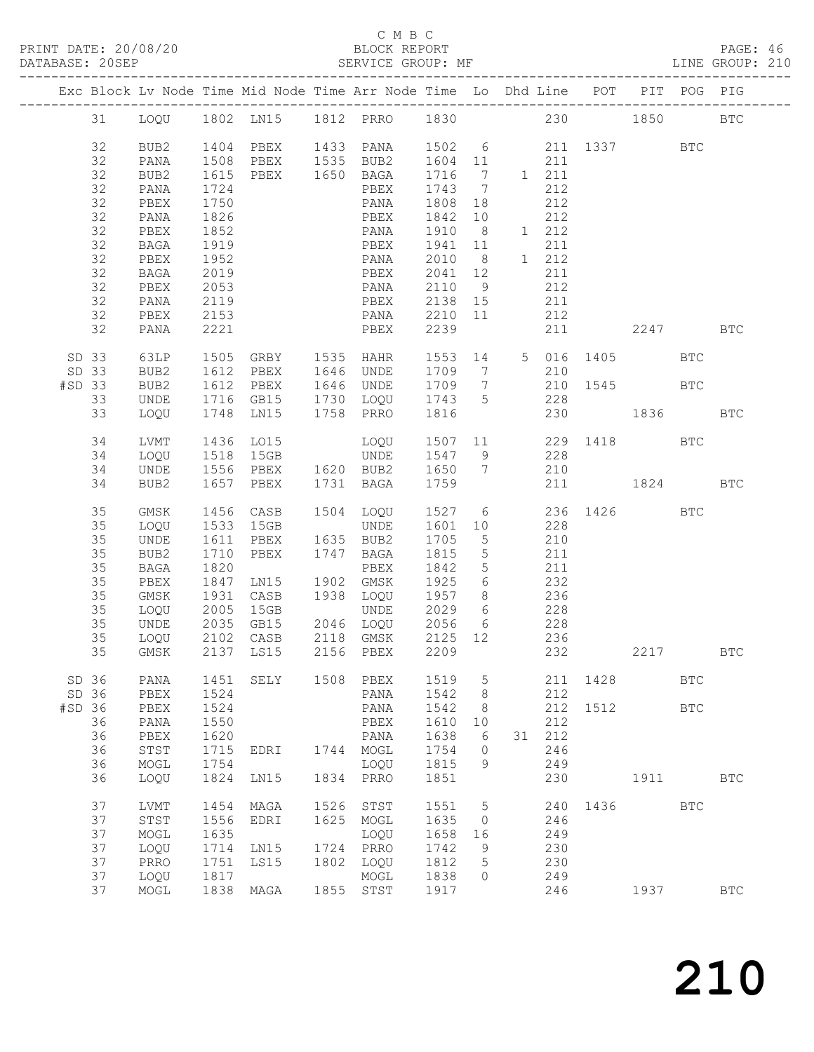#### C M B C

| DATABASE: 20SEP |                |                      |                              | SERVICE GROUP: MF                                                                                  |      |                                                             |                              |                                   |            |                     |                                                                |      |                            | LINE GROUP: 210 |
|-----------------|----------------|----------------------|------------------------------|----------------------------------------------------------------------------------------------------|------|-------------------------------------------------------------|------------------------------|-----------------------------------|------------|---------------------|----------------------------------------------------------------|------|----------------------------|-----------------|
|                 |                |                      |                              | Exc Block Lv Node Time Mid Node Time Arr Node Time Lo Dhd Line POT PIT POG PIG                     |      |                                                             |                              |                                   |            |                     |                                                                |      |                            |                 |
|                 |                |                      |                              | 31 LOQU 1802 LN15 1812 PRRO 1830 230 1850 BTC                                                      |      |                                                             |                              |                                   |            |                     |                                                                |      |                            |                 |
|                 | 32<br>32       | BUB2<br>PANA         | 1508<br>1615                 | 1404 PBEX 1433 PANA 1502 6 211 1337 BTC                                                            |      | PBEX 1535 BUB2 1604 11<br>PBEX 1650 BAGA 1716 7             |                              |                                   |            | 211                 |                                                                |      |                            |                 |
|                 | 32<br>32       | BUB2<br>PANA         | 1724                         |                                                                                                    |      | PBEX                                                        | $1716$ 7 1 211<br>1743 7     |                                   |            | 212                 |                                                                |      |                            |                 |
|                 | 32<br>32<br>32 | PBEX<br>PANA<br>PBEX | 1750<br>1826<br>1852         |                                                                                                    |      | PANA<br>PBEX<br>PANA                                        | 1808 18<br>1842 10<br>1910 8 |                                   |            | 212<br>212<br>1 212 |                                                                |      |                            |                 |
|                 | 32<br>32<br>32 | BAGA<br>PBEX<br>BAGA | 1919<br>1952                 |                                                                                                    |      | PBEX 1941 11<br>PANA<br>PBEX                                | 2010 8<br>2041 12            |                                   |            | 211<br>1 212<br>211 |                                                                |      |                            |                 |
|                 | 32<br>32<br>32 | PBEX<br>PANA<br>PBEX | 1019<br>2053<br>2119<br>2153 |                                                                                                    |      | PANA<br>PBEX<br>PANA 2210 11                                | 2110 9<br>2138 15            |                                   | 211<br>212 | 212                 |                                                                |      |                            |                 |
|                 | 32             | PANA                 | 2221                         |                                                                                                    |      | PBEX                                                        | 2239                         |                                   |            |                     | 211 2247                                                       |      |                            | BTC             |
|                 | SD 33<br>SD 33 | 63LP<br>BUB2         | 1612                         | 1505 GRBY 1535 HAHR 1553 14 5 016 1405 BTC                                                         |      | PBEX 1646 UNDE 1709 7                                       |                              |                                   |            | 210                 |                                                                |      |                            |                 |
| #SD 33          | 33<br>33       | BUB2<br>UNDE<br>LOQU |                              | 1748 LN15 1758 PRRO                                                                                |      |                                                             | 1816                         |                                   |            |                     | 1709 7 210 1545 BTC<br>1743 5 228<br>1916 230 1836<br>230 1836 |      |                            | <b>BTC</b>      |
|                 | 34<br>34       | LVMT<br>LOQU         |                              | 1436 LO15 LOQU 1507 11 229 1418 BTC<br>1518 15GB UNDE 1547 9 228<br>1556 PBEX 1620 BUB2 1650 7 210 |      |                                                             |                              |                                   |            |                     |                                                                |      |                            |                 |
|                 | 34<br>34       | UNDE<br>BUB2         |                              | 1657 PBEX 1731 BAGA 1759 211 1824 BTC                                                              |      |                                                             |                              |                                   |            |                     |                                                                |      |                            |                 |
|                 | 35<br>35       | GMSK<br>LOQU         | 1456<br>1533                 |                                                                                                    |      | CASB 1504 LOQU 1527 6 236 1426 BTC<br>15GB UNDE 1601 10 228 |                              |                                   |            |                     |                                                                |      |                            |                 |
|                 | 35<br>35<br>35 | UNDE<br>BUB2<br>BAGA | 1611<br>1710<br>1820         | PBEX 1635 BUB2<br>PBEX 1747 BAGA                                                                   |      | PBEX                                                        | 1705 5<br>1815<br>1842       | $5\overline{)}$<br>5 <sup>5</sup> | 210        | 211<br>211          |                                                                |      |                            |                 |
|                 | 35<br>35       | PBEX<br>GMSK         | 1847<br>1931                 | LNI5                                                                                               |      | 1902 GMSK<br>CASB 1938 LOQU 1957 8 236                      | 1925 6                       |                                   |            | 232                 |                                                                |      |                            |                 |
|                 | 35<br>35<br>35 | LOQU<br>UNDE<br>LOQU |                              |                                                                                                    |      | UNDE 2029 6 228                                             | 2056 6 228<br>2125 12 236    |                                   |            |                     |                                                                |      |                            |                 |
|                 |                |                      |                              | 35 GMSK 2137 LS15 2156 PBEX 2209 232                                                               |      |                                                             |                              |                                   |            |                     |                                                                | 2217 |                            | BTC             |
| SD 36<br>#SD 36 | SD 36          | PANA<br>PBEX<br>PBEX | 1451<br>1524<br>1524         | SELY                                                                                               |      | 1508 PBEX<br>PANA<br>PANA                                   | 1519<br>1542<br>1542         | 5<br>8<br>8                       |            | 211<br>212<br>212   | 1428<br>1512                                                   |      | <b>BTC</b><br>$_{\rm BTC}$ |                 |
|                 | 36<br>36       | PANA<br>PBEX         | 1550<br>1620                 |                                                                                                    |      | PBEX<br>PANA                                                | 1610<br>1638                 | 10<br>6                           | 31         | 212<br>212          |                                                                |      |                            |                 |
|                 | 36<br>36<br>36 | STST<br>MOGL<br>LOQU | 1715<br>1754<br>1824         | EDRI<br>LN15                                                                                       |      | 1744 MOGL<br>LOQU<br>1834 PRRO                              | 1754<br>1815<br>1851         | 0<br>9                            |            | 246<br>249<br>230   |                                                                | 1911 |                            | $_{\rm BTC}$    |
|                 | 37             | LVMT                 | 1454                         | MAGA                                                                                               | 1526 | STST                                                        | 1551                         | 5                                 |            | 240                 | 1436 149                                                       |      | <b>BTC</b>                 |                 |
|                 | 37<br>37<br>37 | STST<br>MOGL<br>LOQU | 1556<br>1635<br>1714         | EDRI<br>LN15                                                                                       | 1625 | MOGL<br>LOQU<br>1724 PRRO                                   | 1635<br>1658<br>1742         | $\circ$<br>16<br>9                |            | 246<br>249<br>230   |                                                                |      |                            |                 |
|                 | 37<br>37       | PRRO<br>LOQU         | 1751<br>1817                 | LS15                                                                                               |      | 1802 LOQU<br>MOGL                                           | 1812<br>1838                 | 5<br>0                            |            | 230<br>249          |                                                                |      |                            |                 |
|                 | 37             | MOGL                 | 1838                         | MAGA                                                                                               |      | 1855 STST                                                   | 1917                         |                                   |            | 246                 |                                                                | 1937 |                            | <b>BTC</b>      |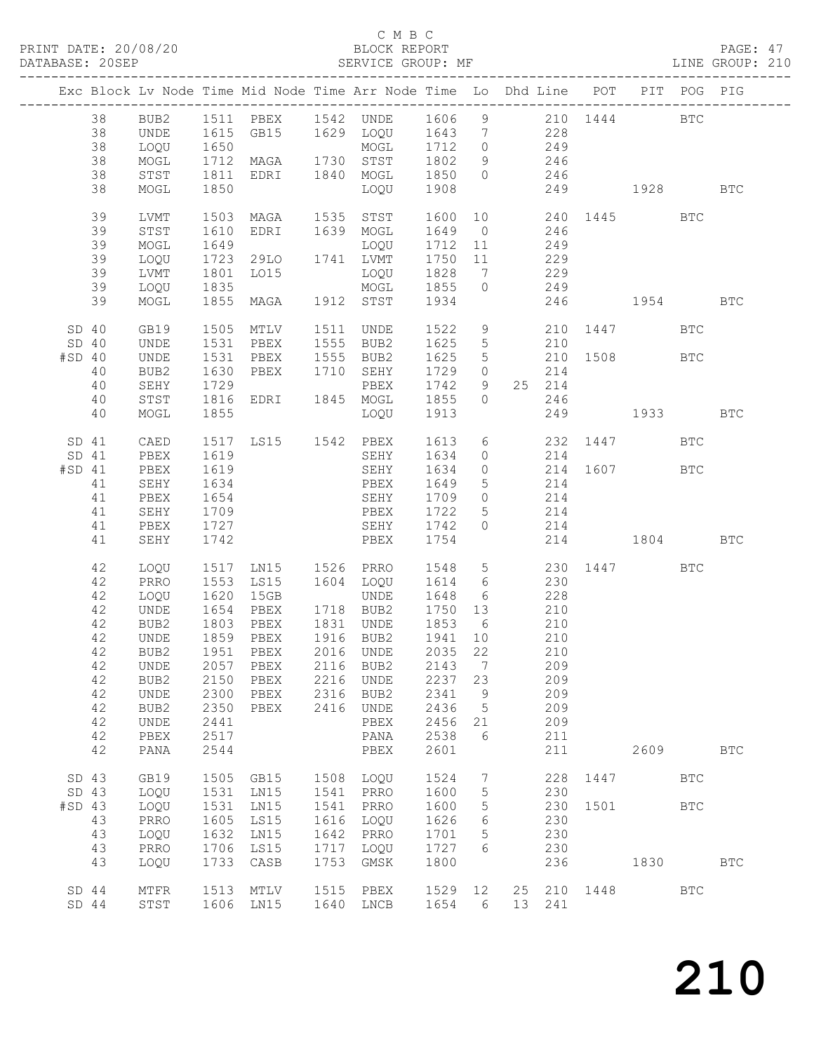#### C M B C<br>BLOCK REPORT

### PAGE: 47<br>LINE GROUP: 210

|                                     |                                                                      |                                                                                                          |                                                                              |                                                                                          |                                              | Exc Block Lv Node Time Mid Node Time Arr Node Time Lo Dhd Line POT                                                                                  |                                                                                                        |                                                                  |                       |                                                                                              |      |                                                                            | PIT POG PIG |              |
|-------------------------------------|----------------------------------------------------------------------|----------------------------------------------------------------------------------------------------------|------------------------------------------------------------------------------|------------------------------------------------------------------------------------------|----------------------------------------------|-----------------------------------------------------------------------------------------------------------------------------------------------------|--------------------------------------------------------------------------------------------------------|------------------------------------------------------------------|-----------------------|----------------------------------------------------------------------------------------------|------|----------------------------------------------------------------------------|-------------|--------------|
|                                     | 38<br>38<br>38<br>38<br>38                                           | BUB2<br>UNDE<br>LOQU<br>MOGL<br>STST                                                                     | 1650<br>1712<br>1811                                                         | EDRI 1840 MOGL                                                                           |                                              | MOGL 1/12<br>MAGA 1730 STST 1802                                                                                                                    | 1850 0                                                                                                 |                                                                  | 9 246                 | 246                                                                                          |      |                                                                            |             |              |
|                                     | 38                                                                   | MOGL                                                                                                     | 1850                                                                         |                                                                                          |                                              | LOQU                                                                                                                                                | 1908                                                                                                   |                                                                  |                       |                                                                                              |      | 249 1928                                                                   |             | <b>BTC</b>   |
|                                     | 39<br>39<br>39<br>39<br>39<br>39                                     | LVMT<br>STST<br>MOGL<br>LOQU<br>LVMT<br>LOQU                                                             | 1503<br>1610<br>1649<br>1723<br>1801<br>1835                                 | MAGA 1535 STST<br>EDRI<br>LOQU<br>29LO 1741 LVMT<br>LO15                                 |                                              | 1639 MOGL<br>LOQU<br>LOQU 1828<br>MOGL 1855 0                                                                                                       | 1600<br>1649 0<br>1712 11 249<br>1750 11 229                                                           |                                                                  | 7 229                 | 246<br>249                                                                                   |      | 10 240 1445                                                                | BTC         |              |
|                                     | 39                                                                   | MOGL                                                                                                     | 1855                                                                         |                                                                                          |                                              | MAGA 1912 STST 1934                                                                                                                                 |                                                                                                        |                                                                  |                       |                                                                                              |      | 246 1954                                                                   |             | <b>BTC</b>   |
| SD 40<br>SD <sub>40</sub><br>#SD 40 | 40<br>40<br>40                                                       | GB19<br>UNDE<br>UNDE<br>BUB2<br>SEHY<br>STST                                                             | 1505<br>1531<br>1531<br>1630<br>1729<br>1816                                 | MTLV<br>PBEX<br>PBEX 1555 BUB2<br>PBEX 1710 SEHY                                         |                                              | 1511 UNDE<br>1555 BUB2<br>PBEX<br>EDRI 1845 MOGL 1855                                                                                               | 1522<br>1625<br>1625<br>1729<br>1742                                                                   | 9<br>$5\phantom{.0}$<br>9                                        | $\bigcirc$            | 210<br>25 214<br>246                                                                         |      | 210 1447<br>$\begin{array}{ccc} 5 & 210 & 1508 \\ 0 & 214 \end{array}$ BTC | <b>BTC</b>  |              |
|                                     | 40                                                                   | MOGL                                                                                                     | 1855                                                                         |                                                                                          |                                              | LOQU                                                                                                                                                | 1913                                                                                                   |                                                                  |                       |                                                                                              |      | 249 1933                                                                   |             | <b>BTC</b>   |
| SD 41<br>SD 41<br>#SD 41            | 41<br>41<br>41<br>41                                                 | CAED<br>PBEX<br>PBEX<br>SEHY<br>PBEX<br>SEHY<br>PBEX                                                     | 1517<br>1619<br>1619<br>1634<br>1654<br>1709<br>1727                         | <b>PBEX</b>                                                                              |                                              | LS15 1542 PBEX 1613<br>SEHY<br>SEHY<br>PBEX<br>SEHY<br>SEHY                                                                                         | 1634<br>1634<br>1649<br>1709 0<br>1722<br>1742                                                         | $\overline{0}$<br>$5\overline{)}$<br>$5\overline{)}$<br>$\Omega$ | $\overline{0}$<br>214 | 214<br>214<br>214                                                                            |      | 6 232 1447<br>214 1607 BTC<br>214                                          | <b>BTC</b>  |              |
|                                     | 41<br>42                                                             | SEHY<br>LOQU                                                                                             | 1742<br>1517                                                                 | LN15 1526 PRRO                                                                           |                                              | PBEX                                                                                                                                                | 1754<br>1548                                                                                           |                                                                  |                       |                                                                                              |      | 214 1804<br>5 230 1447                                                     | <b>BTC</b>  | <b>BTC</b>   |
|                                     | 42<br>42<br>42<br>42<br>42<br>42<br>42<br>42<br>42<br>42<br>42<br>42 | PRRO<br>LOQU<br>UNDE<br>BUB2<br>UNDE<br>BUB <sub>2</sub><br>BUB2<br>UNDE<br>BUB2<br>UNDE<br>PBEX<br>PANA | 1553<br>1620<br>1654<br>1803<br>2150<br>2300<br>2350<br>2441<br>2517<br>2544 | LS15<br>15GB<br>PBEX<br>PBEX 1831 UNDE<br>1859 PBEX<br>1951 PBEX<br>PBEX<br>PBEX<br>PBEX | 2216<br>2316                                 | 1604 LOQU<br>UNDE<br>1718 BUB2<br>1916 BUB2<br>2016 UNDE<br>42 UNDE 2057 PBEX 2116 BUB2 2143 7<br>UNDE<br>BUB2<br>2416 UNDE<br>PBEX<br>PANA<br>PBEX | 1614 6<br>1648<br>1750 13<br>1853 6<br>1941<br>2035 22<br>2237<br>2341<br>2436<br>2456<br>2538<br>2601 | 6<br>10<br>23<br>9<br>$5^{\circ}$<br>21<br>6                     | 210                   | 230<br>228<br>$\frac{1}{210}$<br>210<br>210<br>209<br>209<br>209<br>209<br>209<br>211<br>211 |      | 2609                                                                       |             | <b>BTC</b>   |
| SD 43                               |                                                                      | GB19                                                                                                     | 1505                                                                         | GB15                                                                                     |                                              | 1508 LOQU                                                                                                                                           | 1524                                                                                                   | $7\phantom{.0}$                                                  |                       | 228                                                                                          | 1447 |                                                                            | <b>BTC</b>  |              |
| SD 43<br>$#SD$ 43                   | 43<br>43<br>43<br>43                                                 | LOQU<br>LOQU<br>PRRO<br>LOQU<br>PRRO<br>LOQU                                                             | 1531<br>1531<br>1605<br>1632<br>1706<br>1733                                 | LN15<br>LN15<br>LS15<br>LN15<br>LS15<br>CASB                                             | 1541<br>1541<br>1616<br>1642<br>1717<br>1753 | PRRO<br>PRRO<br>LOQU<br>PRRO<br>LOQU<br>GMSK                                                                                                        | 1600<br>1600<br>1626<br>1701<br>1727<br>1800                                                           | $\overline{5}$<br>5<br>6<br>$\overline{5}$<br>6                  |                       | 230<br>230<br>230<br>230<br>230<br>236                                                       | 1501 | 1830                                                                       | <b>BTC</b>  | $_{\rm BTC}$ |
| SD44<br>$SD$ 44                     |                                                                      | $\texttt{MTFR}{}$<br>STST                                                                                | 1513                                                                         | MTLV<br>1606 LN15                                                                        | 1515<br>1640                                 | PBEX<br>LNCB                                                                                                                                        | 1529<br>1654                                                                                           | 12<br>6                                                          |                       | 25 210<br>13 241                                                                             | 1448 |                                                                            | <b>BTC</b>  |              |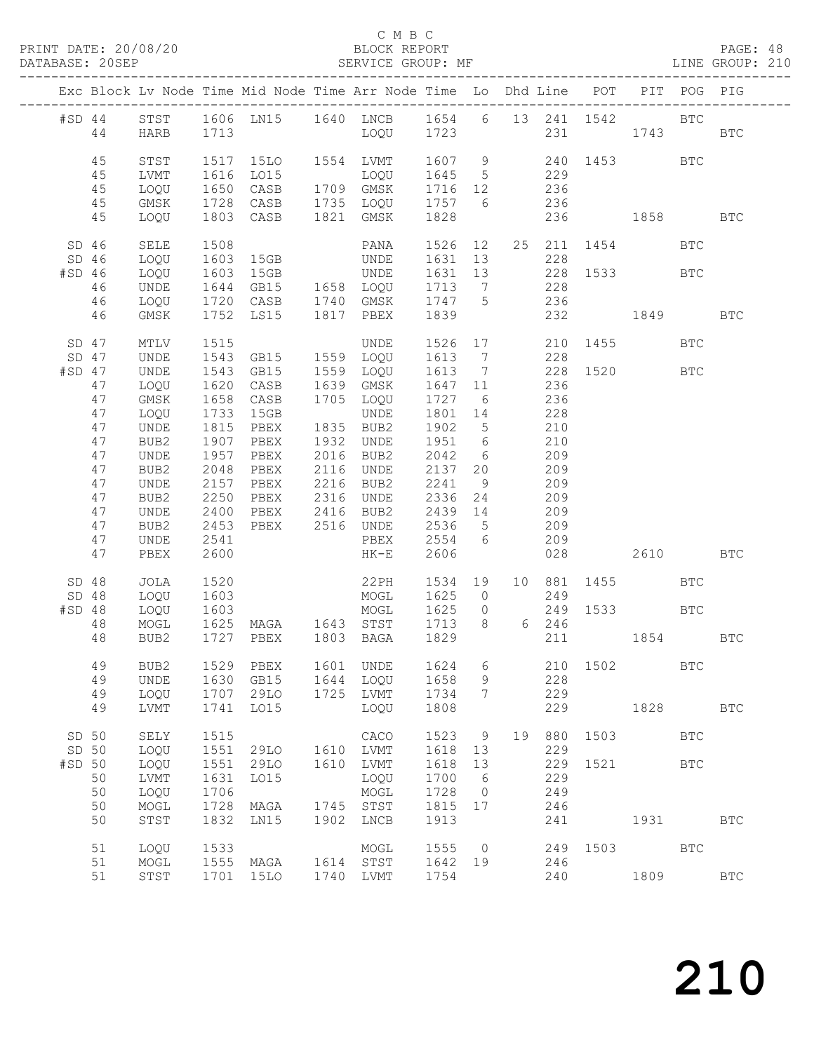### C M B C<br>BLOCK REPORT

PAGE: 48<br>LINE GROUP: 210

|                          |                                                                                              |                                                                                                                              |                                                                                                              | Exc Block Lv Node Time Mid Node Time Arr Node Time Lo Dhd Line POT                                                                            |                                                                                                                                                                                    |                                                                                                                       |                                        |            |                                                                                  |                  |                                         | PIT POG PIG                |              |
|--------------------------|----------------------------------------------------------------------------------------------|------------------------------------------------------------------------------------------------------------------------------|--------------------------------------------------------------------------------------------------------------|-----------------------------------------------------------------------------------------------------------------------------------------------|------------------------------------------------------------------------------------------------------------------------------------------------------------------------------------|-----------------------------------------------------------------------------------------------------------------------|----------------------------------------|------------|----------------------------------------------------------------------------------|------------------|-----------------------------------------|----------------------------|--------------|
|                          | $#SD$ 44<br>44                                                                               | HARB                                                                                                                         |                                                                                                              | STST 1606 LN15 1640 LNCB 1654 6 13 241 1542 BTC<br>HARB 1713 LOQU 1723 231 1743                                                               |                                                                                                                                                                                    |                                                                                                                       |                                        |            |                                                                                  |                  | 231 1743 BTC                            |                            |              |
|                          | 45<br>45<br>45<br>45<br>45                                                                   | STST<br>LVMT<br>LOQU<br>GMSK<br>LOQU                                                                                         |                                                                                                              | 1517 15LO 1554 LVMT 1607 9 240 1453 BTC<br>1728 CASB 1735 LOQU 1757 6 236<br>1803 CASB 1821 GMSK                                              |                                                                                                                                                                                    | 1828                                                                                                                  |                                        | 236        | 229                                                                              |                  | 236 1858                                |                            | <b>BTC</b>   |
| #SD 46                   | $SD$ 46<br>SD 46<br>46<br>46<br>46                                                           | SELE<br>LOQU<br>LOQU<br>UNDE<br>LOQU<br>GMSK                                                                                 | 1508<br>1603                                                                                                 | 1603 15GB UNDE 1631 13<br>15GB<br>$\begin{array}{cc}\n1644 & \text{JJJJ} \\ 1720 & \text{CASB} \\ \hline\n\end{array}$<br>1752 LS15 1817 PBEX | PANA 1526 12 25 211 1454 BTC<br>UNDE<br>GB15 1658 LOQU 1713 7<br>CASB 1740 GMSK 1747 5                                                                                             | 1631 13<br>1839                                                                                                       |                                        |            | 228<br>228<br>236                                                                |                  | 228 1533 BTC<br>232 1849                |                            | <b>BTC</b>   |
| $#SD$ 47                 | SD 47<br>SD 47<br>47<br>47<br>47<br>47<br>47<br>47<br>47<br>47<br>47<br>47<br>47<br>47<br>47 | MTLV<br>UNDE<br>UNDE<br>LOQU<br>GMSK<br>LOQU<br>UNDE<br>BUB2<br>UNDE<br>BUB2<br>UNDE<br>BUB2<br>UNDE<br>BUB2<br>UNDE<br>PBEX | 1543<br>1620<br>1658<br>1733<br>1815<br>1907<br>1957<br>2048<br>2157<br>2250<br>2400<br>2453<br>2541<br>2600 | CASB 1639 GMSK<br>CASB<br>15GB<br>PBEX<br>PBEX<br>PBEX<br>PBEX<br>PBEX<br>PBEX 2316 UNDE<br>PBEX 2416 BUB2<br>PBEX 2516 UNDE                  | UNDE 1526 17 210 1455<br>1.0011 1613 7 228<br>GB15 1559 LOQU 1613 7<br>1705 LOQU<br>UNDE<br>1835 BUB2<br>1932 UNDE<br>2016 BUB2<br>2116 UNDE<br>2216 BUB2<br>PBEX 2554 6<br>$HK-E$ | 1647 11<br>1727 6<br>1801 14<br>1902 5<br>1951 6<br>2042 6<br>2137 20<br>2241<br>2336 24<br>2439 14<br>2536 5<br>2606 | 9                                      | 236<br>209 | 228<br>236<br>228<br>210<br>210<br>209<br>209<br>209<br>209<br>209<br>209<br>028 |                  | 228 1520 BTC<br>2610                    | <b>BTC</b>                 | <b>BTC</b>   |
| $#SD$ 48                 | SD 48<br>SD 48<br>48<br>48<br>49<br>49                                                       | JOLA<br>LOQU<br>LOQU<br>MOGL<br>BUB2<br>BUB2<br><b>UNDE</b>                                                                  | 1520<br>1603<br>1603<br>1630                                                                                 | 1625 MAGA 1643 STST 1713 8 6 246<br>1727 PBEX 1803 BAGA 1829<br>1529 PBEX 1601 UNDE 1624 6 210 1502<br>GB15                                   | $22PH$ $1534$ $19$<br>MOGL<br>MOGL 1625 0<br>1644 LOQU                                                                                                                             | 1625 0<br>1658                                                                                                        | 9                                      |            | 249<br>228                                                                       |                  | 10 881 1455<br>249 1533 BTC<br>211 1854 | <b>BTC</b><br>$_{\rm BTC}$ | $_{\rm BTC}$ |
|                          | 49<br>49                                                                                     | LOQU<br>LVMT                                                                                                                 | 1707<br>1741                                                                                                 | 29LO<br>LO15                                                                                                                                  | 1725 LVMT<br>LOQU                                                                                                                                                                  | 1734<br>1808                                                                                                          | 7                                      |            | 229<br>229                                                                       |                  | 1828                                    |                            | $_{\rm BTC}$ |
| SD 50<br>SD 50<br>#SD 50 | 50<br>50<br>50<br>50                                                                         | SELY<br>LOQU<br>LOQU<br>LVMT<br>LOQU<br>MOGL<br>STST                                                                         | 1515<br>1551<br>1551<br>1631<br>1706<br>1728<br>1832                                                         | 29LO<br>29LO<br>LO15<br>MAGA<br>LN15                                                                                                          | CACO<br>1610 LVMT<br>1610 LVMT<br>LOQU<br>MOGL<br>1745 STST<br>1902 LNCB                                                                                                           | 1523<br>1618<br>1618<br>1700<br>1728<br>1815 17<br>1913                                                               | - 9<br>13<br>13<br>6<br>$\overline{0}$ | 19         | 880<br>229<br>229<br>249<br>246<br>241                                           | 1503<br>229 1521 | 1931                                    | <b>BTC</b><br><b>BTC</b>   | <b>BTC</b>   |
|                          | 51<br>51<br>51                                                                               | LOQU<br>MOGL<br>STST                                                                                                         | 1533<br>1555                                                                                                 | MAGA<br>1701 15LO                                                                                                                             | MOGL<br>1614 STST<br>1740 LVMT                                                                                                                                                     | 1555<br>1642 19<br>1754                                                                                               | $\overline{0}$                         |            | 246<br>240                                                                       |                  | 249 1503<br>1809                        | <b>BTC</b>                 | BTC          |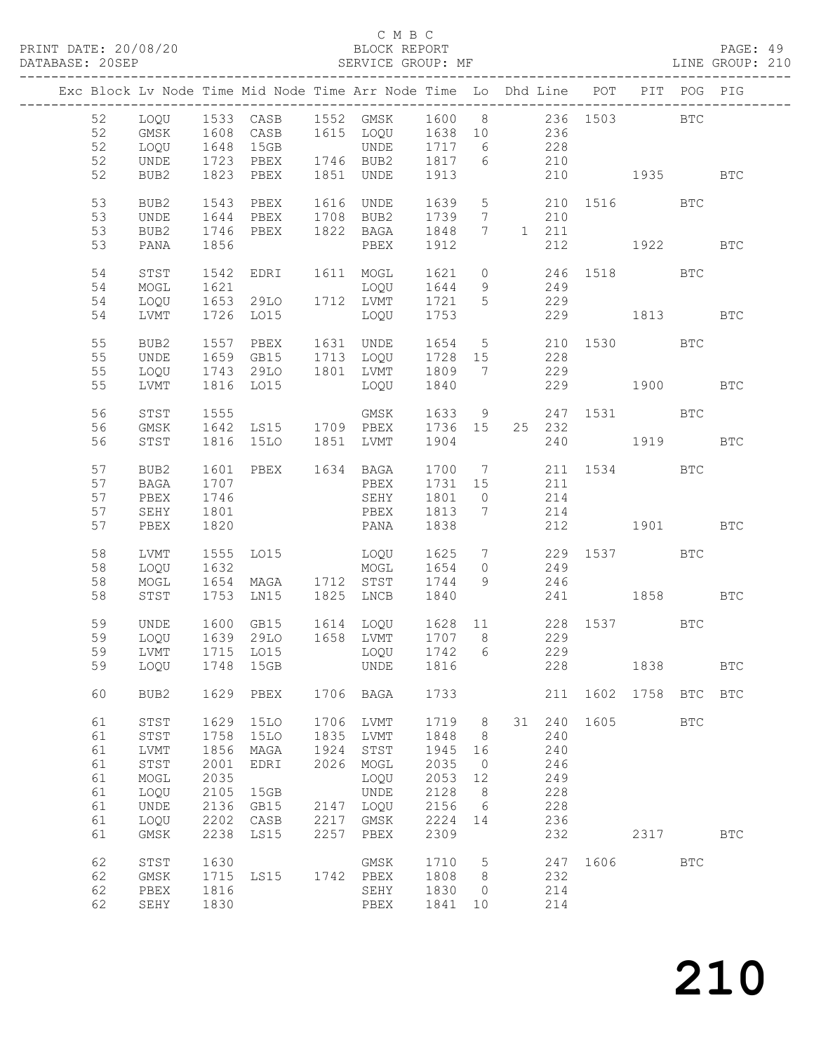PRINT DATE: 20/08/20<br>DATABASE: 20SEP

# C M B C<br>BLOCK REPORT<br>SERVICE GROUP: MF

| PRINT DATE: 20/08/20<br>DATABASE: 20SEP |                                                    |                                                                      |                                                                      |                                                                     |                                              | 8/20 BLOCK REPORT<br>SERVICE GROUP: MF                                                                                                                                           |                                                                      |                                                      |                                                                |                                                   |      |            | PAGE: 49<br>LINE GROUP: 210 |  |
|-----------------------------------------|----------------------------------------------------|----------------------------------------------------------------------|----------------------------------------------------------------------|---------------------------------------------------------------------|----------------------------------------------|----------------------------------------------------------------------------------------------------------------------------------------------------------------------------------|----------------------------------------------------------------------|------------------------------------------------------|----------------------------------------------------------------|---------------------------------------------------|------|------------|-----------------------------|--|
|                                         |                                                    |                                                                      |                                                                      |                                                                     |                                              | Exc Block Lv Node Time Mid Node Time Arr Node Time Lo Dhd Line POT PIT POG PIG                                                                                                   |                                                                      |                                                      |                                                                |                                                   |      |            |                             |  |
|                                         | 52<br>52<br>52<br>52<br>52                         | GMSK<br>LOQU<br>UNDE<br>BUB2                                         |                                                                      | 1823 PBEX 1851 UNDE                                                 |                                              | LOQU 1533 CASB 1552 GMSK 1600 8 236 1503 BTC<br>1608 CASB 1615 LOQU 1638 10 236<br>1648 15GB UNDE 1717 6 228<br>1723 PBEX 1746 BUB2 1817 6 210<br>1888 PDEX 1851 WIPE 1812 6 210 | 1913                                                                 |                                                      |                                                                | 210 1935 BTC                                      |      |            |                             |  |
|                                         | 53<br>53<br>53                                     | BUB2<br>UNDE<br>BUB2                                                 | 1543<br>1644<br>1746                                                 | PBEX<br>PBEX 1822 BAGA                                              |                                              | 1616 UNDE 1639 5 210 1516 BTC<br>PBEX 1708 BUB2 1739 7 210                                                                                                                       | 1848 7 1 211                                                         |                                                      |                                                                |                                                   |      |            |                             |  |
|                                         | 53<br>54<br>54                                     | PANA<br>STST<br>MOGL                                                 | 1856<br>1542<br>1621                                                 | EDRI 1611 MOGL                                                      |                                              | PBEX<br>LOQU                                                                                                                                                                     | 1912                                                                 |                                                      |                                                                | 212 1922 BTC<br>1621 0 246 1518 BTC<br>1644 9 249 |      |            |                             |  |
|                                         | 54<br>54                                           | LOQU<br>LVMT                                                         |                                                                      | 1653 29LO 1712 LVMT                                                 |                                              | 1726 LO15 LOQU 1753                                                                                                                                                              | $\frac{1044}{1721}$ 5 229                                            |                                                      |                                                                | 229 1813                                          |      |            | <b>BTC</b>                  |  |
|                                         | 55<br>55<br>55<br>55                               | BUB2<br>UNDE<br>LOQU<br>LVMT                                         |                                                                      | 1816 LO15                                                           |                                              | 1557 PBEX 1631 UNDE 1654 5 210 1530 BTC<br>1659 GB15 1713 LOQU 1728 15 228<br>1743 29LO 1801 LVMT 1809 7 229<br>LOQU 1840                                                        |                                                                      |                                                      |                                                                | 229 1900 BTC                                      |      |            |                             |  |
|                                         | 56<br>56<br>56                                     | STST<br>GMSK<br>STST                                                 | 1555                                                                 | 1816 15LO 1851 LVMT                                                 |                                              | GMSK<br>1642 LS15 1709 PBEX 1736 15                                                                                                                                              | 1904                                                                 |                                                      | 25 232                                                         | 1633 9 247 1531 BTC<br>240 1919                   |      |            | <b>BTC</b>                  |  |
|                                         | 57<br>57<br>57<br>57<br>57                         | BUB2<br>BAGA<br>PBEX<br>SEHY<br>PBEX                                 | 1707<br>1746<br>1801<br>1820                                         |                                                                     |                                              | 1601 PBEX 1634 BAGA 1700 7 211 1534 BTC<br>PBEX<br><b>SEHY</b><br>PBEX<br>PANA                                                                                                   | 1731 15 211<br>1801 0 214<br>1813 7<br>1838                          |                                                      | 214                                                            | 212 1901 BTC                                      |      |            |                             |  |
|                                         | 58<br>58<br>58<br>58                               | LVMT<br>LOQU<br>MOGL<br>STST                                         | 1632                                                                 |                                                                     |                                              |                                                                                                                                                                                  |                                                                      |                                                      |                                                                | 241 1858 BTC                                      |      |            |                             |  |
|                                         | 59<br>59<br>59                                     | UNDE<br>LVMT<br>LOQU                                                 | 1715<br>1748                                                         | LO15<br>15GB                                                        |                                              | 1600 GB15 1614 LOQU 1628 11 228 1537 BTC<br>59 LOQU 1639 29LO 1658 LVMT 1707 8 229<br>LOQU<br>UNDE                                                                               | 1742<br>1816                                                         | 6                                                    | 229<br>228                                                     |                                                   | 1838 |            | <b>BTC</b>                  |  |
|                                         | 60                                                 | BUB2                                                                 | 1629                                                                 | PBEX                                                                | 1706                                         | BAGA                                                                                                                                                                             | 1733                                                                 |                                                      | 211                                                            | 1602 1758                                         |      |            | BTC BTC                     |  |
|                                         | 61<br>61<br>61<br>61<br>61<br>61<br>61<br>61<br>61 | STST<br>STST<br>LVMT<br>STST<br>MOGL<br>LOQU<br>UNDE<br>LOQU<br>GMSK | 1629<br>1758<br>1856<br>2001<br>2035<br>2105<br>2136<br>2202<br>2238 | 15LO<br><b>15LO</b><br>MAGA<br>EDRI<br>15GB<br>GB15<br>CASB<br>LS15 | 1706<br>1835<br>1924<br>2026<br>2217<br>2257 | LVMT<br>LVMT<br>STST<br>MOGL<br>LOQU<br><b>UNDE</b><br>2147 LOQU<br>GMSK<br>PBEX                                                                                                 | 1719<br>1848<br>1945<br>2035<br>2053<br>2128<br>2156<br>2224<br>2309 | 8<br>8<br>16<br>$\overline{0}$<br>12<br>8<br>6<br>14 | 31 240<br>240<br>240<br>246<br>249<br>228<br>228<br>236<br>232 | 1605                                              | 2317 | <b>BTC</b> | $_{\rm BTC}$                |  |
|                                         | 62<br>62<br>62<br>62                               | STST<br>GMSK<br>PBEX<br>SEHY                                         | 1630<br>1715<br>1816<br>1830                                         | LS15                                                                |                                              | GMSK<br>1742 PBEX<br>SEHY<br>PBEX                                                                                                                                                | 1710<br>1808<br>1830<br>1841                                         | 5<br>8<br>$\circ$<br>10                              | 247<br>232<br>214<br>214                                       | 1606                                              |      | <b>BTC</b> |                             |  |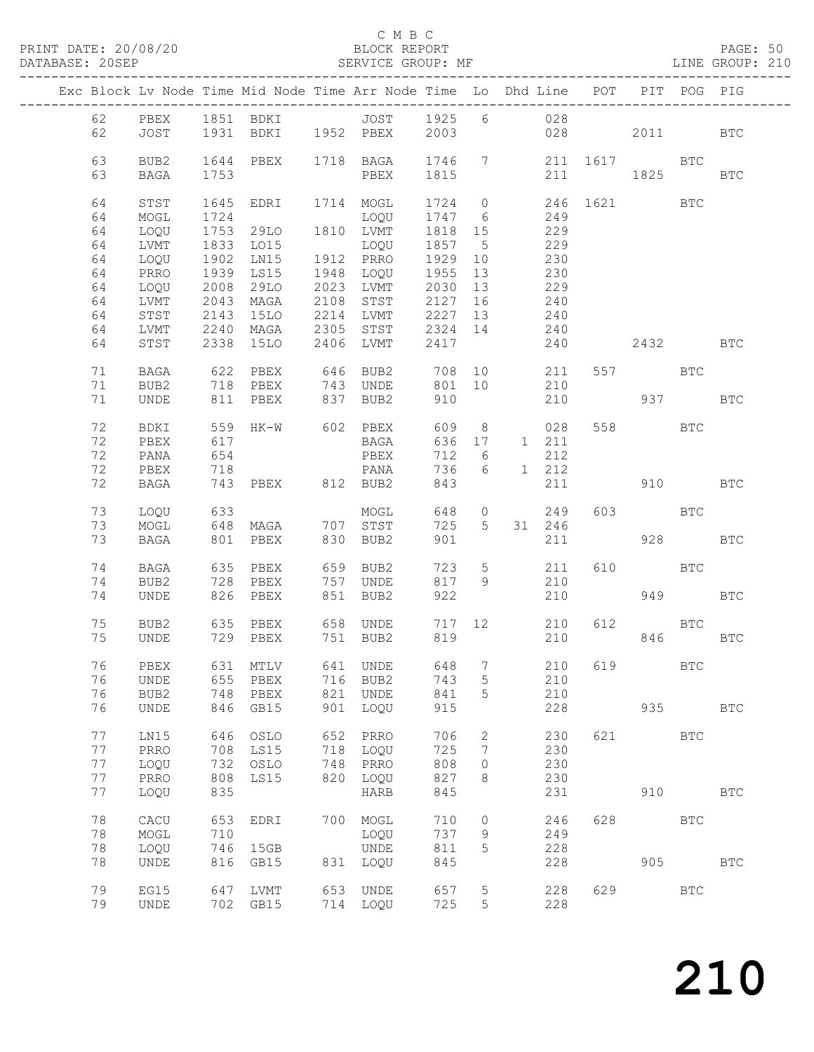#### C M B C<br>BLOCK REPORT

PAGE: 50<br>LINE GROUP: 210

|  |          |              |                | Exc Block Lv Node Time Mid Node Time Arr Node Time Lo Dhd Line POT                                                |     |                                        |            |                 |                 |            |     |             | PIT POG PIG  |              |
|--|----------|--------------|----------------|-------------------------------------------------------------------------------------------------------------------|-----|----------------------------------------|------------|-----------------|-----------------|------------|-----|-------------|--------------|--------------|
|  | 62       |              |                |                                                                                                                   |     |                                        |            |                 |                 |            |     |             |              |              |
|  | 62       |              |                | PBEX 1851 BDKI        JOST   1925   6           028<br>JOST   1931  BDKI   1952  PBEX    2003                 028 |     |                                        |            |                 |                 |            | 028 | 2011 2012   |              | BTC          |
|  |          |              |                |                                                                                                                   |     |                                        |            |                 |                 |            |     |             |              |              |
|  | 63       | BUB2         |                | 1644 PBEX 1718 BAGA 1746 7 211 1617 BTC                                                                           |     |                                        |            |                 |                 |            |     |             |              |              |
|  | 63       | BAGA         | 1753           |                                                                                                                   |     | PBEX 1815                              |            |                 |                 |            |     | 211 1825    |              | BTC          |
|  |          |              |                |                                                                                                                   |     |                                        |            |                 |                 |            |     |             |              |              |
|  | 64       | STST         | 1645           |                                                                                                                   |     | EDRI 1714 MOGL 1724 0 246 1621         |            |                 |                 |            |     |             | <b>BTC</b>   |              |
|  | 64       | MOGL         | 1724           |                                                                                                                   |     | LOQU 1747 6                            |            |                 | 249             |            |     |             |              |              |
|  | 64       | LOQU         |                | 1753 29LO 1810 LVMT                                                                                               |     |                                        | 1818 15    |                 |                 | 229        |     |             |              |              |
|  | 64       | LVMT         |                | 1833 LO15                                                                                                         |     | LOQU 1857 5                            |            |                 |                 | 229        |     |             |              |              |
|  | 64       | LOQU         | 1902           | $LNI5$ 1912 PRRO                                                                                                  |     |                                        | 1929 10    |                 |                 | 230        |     |             |              |              |
|  | 64       | PRRO         | 1939           | LS15                                                                                                              |     | 1948 LOQU 1955 13                      |            |                 | 230             |            |     |             |              |              |
|  | 64       | LOQU         | 2008<br>2043   | 29LO                                                                                                              |     | 2023 LVMT 2030 13<br>2108 STST 2127 16 |            |                 | 229             |            |     |             |              |              |
|  | 64<br>64 | LVMT<br>STST | 2143           | MAGA<br>15LO                                                                                                      |     | 2214 LVMT 2227 13                      |            |                 | $\frac{1}{240}$ | 240        |     |             |              |              |
|  | 64       | LVMT         | 2240           |                                                                                                                   |     | MAGA 2305 STST 2324 14                 |            |                 |                 | 240        |     |             |              |              |
|  | 64       | STST         |                | 2338 15LO                                                                                                         |     | 2406 LVMT                              | 2417       |                 |                 | 240        |     | 2432        |              | <b>BTC</b>   |
|  |          |              |                |                                                                                                                   |     |                                        |            |                 |                 |            |     |             |              |              |
|  | 71       | BAGA         |                | 622 PBEX 646 BUB2 708 10 211                                                                                      |     |                                        |            |                 |                 |            |     | 557 BTC     |              |              |
|  | 71       | BUB2         |                | 718 PBEX 743 UNDE                                                                                                 |     |                                        |            |                 |                 | 801 10 210 |     |             |              |              |
|  | 71       | UNDE         |                | 811 PBEX 837 BUB2                                                                                                 |     |                                        | 910        |                 |                 |            |     | 210 937 BTC |              |              |
|  |          |              |                |                                                                                                                   |     |                                        |            |                 |                 |            |     |             |              |              |
|  | 72       | BDKI         |                | 559 HK-W 602 PBEX                                                                                                 |     |                                        |            |                 |                 | 609 8 028  |     | 558 BTC     |              |              |
|  | 72       | PBEX         | 617            |                                                                                                                   |     | BAGA                                   | 636 17     |                 |                 | 1 211      |     |             |              |              |
|  | 72       | PANA         | 654            |                                                                                                                   |     | PBEX                                   | 712 6      |                 |                 | 212        |     |             |              |              |
|  | 72       | PBEX         | $718$<br>$743$ |                                                                                                                   |     | PANA                                   | 736        | 6               | 1 212           |            |     |             |              |              |
|  | 72       | BAGA         |                | 743 PBEX 812 BUB2                                                                                                 |     |                                        | 843        |                 |                 | 211        |     | 910 BTC     |              |              |
|  | 73       | LOQU         | 633            |                                                                                                                   |     | MOGL                                   |            |                 | 648 0           | 249        |     | 603 BTC     |              |              |
|  | 73       | MOGL         |                | 648 MAGA 707 STST                                                                                                 |     |                                        | 725        |                 | 5 31 246        |            |     |             |              |              |
|  | 73       | BAGA         |                | 801 PBEX 830 BUB2                                                                                                 |     |                                        | 901        |                 |                 | 211        |     | 928         |              | <b>BTC</b>   |
|  |          |              |                |                                                                                                                   |     |                                        |            |                 |                 |            |     |             |              |              |
|  | 74       | BAGA         |                | 635 PBEX                                                                                                          |     | 659 BUB2                               | 723        | $5\overline{)}$ |                 | 211        |     | 610 BTC     |              |              |
|  | 74       | BUB2         |                | 728 PBEX                                                                                                          |     | 757 UNDE                               | 817        | 9               |                 | 210        |     |             |              |              |
|  | 74       | UNDE         |                | 826 PBEX                                                                                                          |     | 851 BUB2                               | 922        |                 |                 | 210        |     |             | 949 BTC      |              |
|  |          |              |                |                                                                                                                   |     |                                        |            |                 |                 |            |     |             |              |              |
|  | 75       | BUB2         |                | 635 PBEX 658 UNDE 717 12 210                                                                                      |     |                                        |            |                 |                 |            | 612 | <b>BTC</b>  |              |              |
|  | 75       | UNDE         |                | 729 PBEX                                                                                                          |     | 751 BUB2                               | 819        |                 |                 | 210        |     |             | 846 18       | BTC          |
|  | 76       |              |                | PBEX 631 MTLV 641 UNDE 648 7 210 619                                                                              |     |                                        |            |                 |                 |            |     |             | $_{\rm BTC}$ |              |
|  | 76       | UNDE         | 655            | PBEX                                                                                                              |     | 716 BUB2                               | 743        | 5               |                 | 210        |     |             |              |              |
|  | 76       | BUB2         | 748            | PBEX                                                                                                              | 821 | UNDE                                   | 841        | 5               |                 | 210        |     |             |              |              |
|  | 76       | UNDE         | 846            | GB15                                                                                                              |     | 901 LOQU                               | 915        |                 |                 | 228        |     | 935         |              | <b>BTC</b>   |
|  |          |              |                |                                                                                                                   |     |                                        |            |                 |                 |            |     |             |              |              |
|  | 77       | LN15         | 646            | OSLO                                                                                                              | 652 | PRRO                                   | 706        | 2               |                 | 230        | 621 |             | <b>BTC</b>   |              |
|  | 77       | PRRO         | 708            | LS15                                                                                                              | 718 | LOQU                                   | 725        | 7               |                 | 230        |     |             |              |              |
|  | 77       | LOQU         | 732            | OSLO                                                                                                              | 748 | PRRO                                   | 808        | $\circ$         |                 | 230        |     |             |              |              |
|  | 77       | PRRO         | 808            | LS15                                                                                                              | 820 | LOQU                                   | 827        | 8               |                 | 230        |     |             |              |              |
|  | 77       | LOQU         | 835            |                                                                                                                   |     | HARB                                   | 845        |                 |                 | 231        |     | 910         |              | <b>BTC</b>   |
|  |          |              |                |                                                                                                                   |     |                                        |            |                 |                 |            |     |             |              |              |
|  | 78       | CACU         | 653            | EDRI                                                                                                              |     | 700 MOGL                               | 710        | $\circ$         |                 | 246        | 628 |             | <b>BTC</b>   |              |
|  | 78       | $\sf{MOGL}$  | 710            |                                                                                                                   |     | LOQU                                   | 737        | 9               |                 | 249        |     |             |              |              |
|  | 78<br>78 | LOQU<br>UNDE | 746<br>816     | 15GB<br>GB15                                                                                                      | 831 | UNDE<br>LOQU                           | 811<br>845 | 5               |                 | 228<br>228 |     | 905         |              | $_{\rm BTC}$ |
|  |          |              |                |                                                                                                                   |     |                                        |            |                 |                 |            |     |             |              |              |
|  | 79       | EG15         | 647            | LVMT                                                                                                              |     | 653 UNDE                               | 657        | 5               |                 | 228        | 629 |             | $_{\rm BTC}$ |              |
|  | 79       | <b>UNDE</b>  |                | 702 GB15                                                                                                          |     | 714 LOQU                               | 725        | 5               |                 | 228        |     |             |              |              |
|  |          |              |                |                                                                                                                   |     |                                        |            |                 |                 |            |     |             |              |              |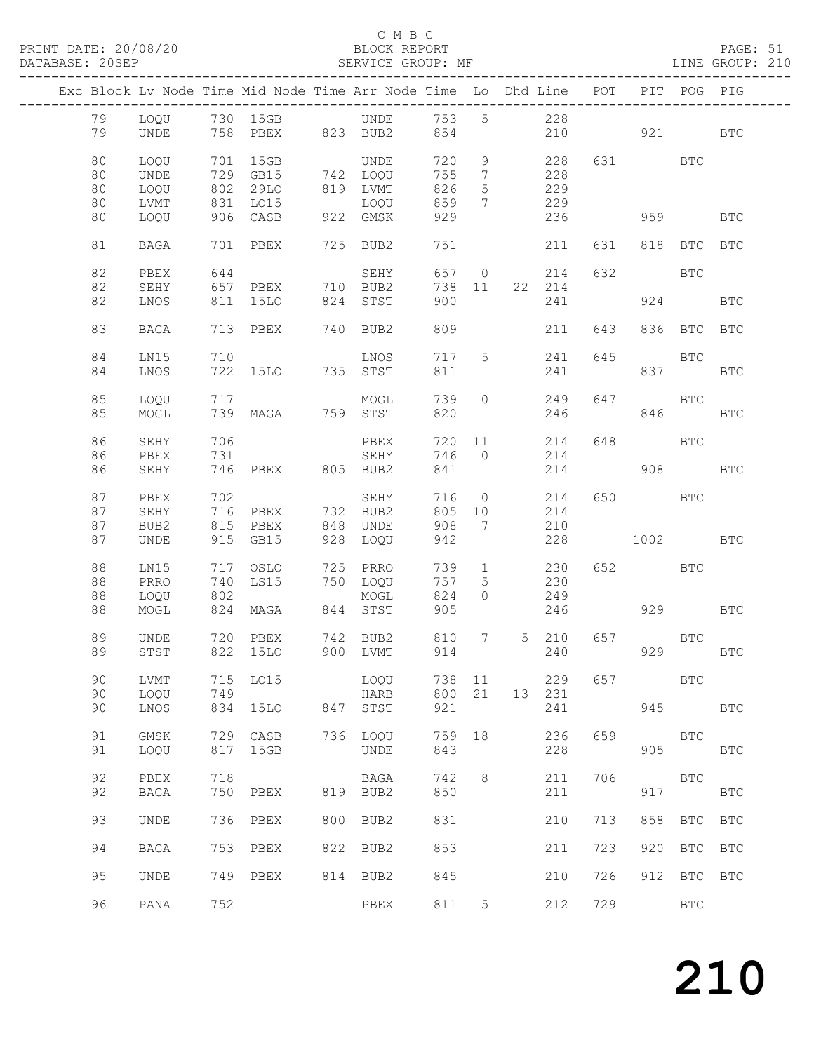#### C M B C<br>BLOCK REPORT

### PAGE: 51<br>LINE GROUP: 210

| Exc Block Lv Node Time Mid Node Time Arr Node Time Lo Dhd Line POT |              |     |                      |     |                      |            |                              |       |              |     |            | PIT POG PIG  |              |
|--------------------------------------------------------------------|--------------|-----|----------------------|-----|----------------------|------------|------------------------------|-------|--------------|-----|------------|--------------|--------------|
| 79                                                                 |              |     | LOQU 730 15GB        |     | <b>UNDE</b>          | 753 5      |                              |       | 228          |     |            |              |              |
| 79                                                                 | UNDE         |     |                      |     | 758 PBEX 823 BUB2    | 854        |                              |       | 210          |     |            | 921 BTC      |              |
| 80                                                                 | LOQU         |     | 701 15GB             |     | UNDE                 | 720        | 9                            |       | 228          |     | 631 BTC    |              |              |
| 80                                                                 | UNDE         |     | 729 GB15<br>802 29LO |     | 742 LOQU<br>819 LVMT | 755        | $7\phantom{.0}\phantom{.0}7$ |       | 228          |     |            |              |              |
| 80                                                                 | LOQU         |     |                      |     |                      | 826        | $5\overline{)}$              |       | 229          |     |            |              |              |
| 80                                                                 | LVMT         | 831 | LO15                 |     | LOQU                 | 859        | $7\overline{ }$              |       | 229          |     |            |              |              |
| 80                                                                 | LOQU         |     | 906 CASB             |     | 922 GMSK             | 929        |                              |       | 236          |     |            | 959 — 10     | <b>BTC</b>   |
| 81                                                                 | BAGA         |     | 701 PBEX             |     | 725 BUB2             | 751        |                              |       | 211          | 631 |            | 818 BTC BTC  |              |
| 82                                                                 | PBEX         | 644 |                      |     | SEHY                 |            |                              |       | 657 0 214    | 632 | <b>BTC</b> |              |              |
| 82                                                                 | SEHY         | 657 | PBEX 710 BUB2        |     |                      | 738 11     |                              |       | 22 214       |     |            |              |              |
| 82                                                                 | LNOS         | 811 | 15LO                 |     | 824 STST             | 900        |                              |       | 241          |     |            | 924          | <b>BTC</b>   |
| 83                                                                 | BAGA         |     | 713 PBEX             |     | 740 BUB2             | 809        |                              |       | 211          | 643 |            | 836 BTC BTC  |              |
| 84                                                                 | LN15         | 710 |                      |     | LNOS                 | 717        | 5 <sup>5</sup>               |       | 241          | 645 | <b>BTC</b> |              |              |
| 84                                                                 | LNOS         |     | 722 15LO 735 STST    |     |                      | 811        |                              |       | 241          |     |            | 837 — 100    | BTC          |
|                                                                    |              |     |                      |     |                      |            |                              |       |              |     |            |              |              |
| 85                                                                 | LOQU         | 717 |                      |     | MOGL                 | 739        | $\circ$                      |       | 249          | 647 | <b>BTC</b> |              |              |
| 85                                                                 | MOGL         |     | 739 MAGA 759 STST    |     |                      | 820        |                              |       | 246          |     |            | 846 18       | <b>BTC</b>   |
| 86                                                                 | SEHY         | 706 |                      |     | PBEX                 | 720        |                              |       | 214          | 648 |            | BTC          |              |
| 86                                                                 | PBEX         | 731 |                      |     | SEHY                 | 746 0      |                              |       | 214          |     |            |              |              |
| 86                                                                 | SEHY         |     | 746 PBEX 805 BUB2    |     |                      | 841        |                              |       | 214          |     |            | 908          | BTC          |
| 87                                                                 | PBEX         | 702 |                      |     | SEHY                 |            |                              | 716 0 | 214          |     | 650 BTC    |              |              |
| 87                                                                 | SEHY         | 716 | PBEX 732 BUB2        |     |                      | 805        | 10                           |       | 214          |     |            |              |              |
| 87                                                                 | BUB2         | 815 | PBEX                 |     | 848 UNDE             | 908        | 7                            |       | 210          |     |            |              |              |
| 87                                                                 | UNDE         |     | 915 GB15             |     | 928 LOQU             | 942        |                              |       | 228          |     | 1002       |              | BTC          |
| 88                                                                 | LN15         |     | 717 OSLO             |     | 725 PRRO             | 739        | $\overline{1}$               |       | 230          |     | 652 BTC    |              |              |
| 88                                                                 | PRRO         | 740 | LS15                 |     | 750 LOQU             | 757        | $5\overline{)}$              |       | 230          |     |            |              |              |
| 88                                                                 | LOQU         | 802 |                      |     | MOGL                 | 824        | $\circ$                      |       | 249          |     |            |              |              |
| 88                                                                 | MOGL         |     | 824 MAGA             |     | 844 STST             | 905        |                              |       | 246          |     |            | 929 BTC      |              |
|                                                                    |              |     |                      |     |                      |            |                              |       |              |     |            |              |              |
| 89<br>89                                                           | UNDE<br>STST |     | 720 PBEX<br>822 15LO |     | 742 BUB2<br>900 LVMT | 810<br>914 | 7                            |       | 5 210<br>240 | 657 | <b>BTC</b> | 929          | <b>BTC</b>   |
|                                                                    |              |     |                      |     |                      |            |                              |       |              |     |            |              |              |
| 90                                                                 | LVMT         | 715 | L015                 |     | LOQU                 | 738        | 11                           |       | 229          | 657 |            | <b>BTC</b>   |              |
| 90                                                                 | LOQU         | 749 |                      |     | <b>HARB</b>          | 800        | 21                           | 13    | 231          |     |            |              |              |
| 90                                                                 | LNOS         | 834 | <b>15LO</b>          | 847 | STST                 | 921        |                              |       | 241          |     | 945        |              | <b>BTC</b>   |
| 91                                                                 | GMSK         | 729 | CASB                 | 736 | LOQU                 | 759        | 18                           |       | 236          | 659 |            | <b>BTC</b>   |              |
| 91                                                                 | LOQU         | 817 | 15GB                 |     | UNDE                 | 843        |                              |       | 228          |     | 905        |              | $_{\rm BTC}$ |
|                                                                    |              |     |                      |     |                      |            |                              |       |              |     |            |              |              |
| 92                                                                 | ${\tt PBEX}$ | 718 |                      |     | BAGA                 | 742        | 8                            |       | 211          | 706 |            | <b>BTC</b>   |              |
| 92                                                                 | <b>BAGA</b>  | 750 | PBEX                 | 819 | BUB2                 | 850        |                              |       | 211          |     | 917        |              | $_{\rm BTC}$ |
| 93                                                                 | UNDE         | 736 | PBEX                 | 800 | BUB2                 | 831        |                              |       | 210          | 713 | 858        | $_{\rm BTC}$ | $_{\rm BTC}$ |
| 94                                                                 | <b>BAGA</b>  | 753 | PBEX                 | 822 | BUB2                 | 853        |                              |       | 211          | 723 | 920        | BTC          | <b>BTC</b>   |
| 95                                                                 | UNDE         | 749 | PBEX                 |     | 814 BUB2             | 845        |                              |       | 210          | 726 | 912        | BTC          | <b>BTC</b>   |
| 96                                                                 | PANA         | 752 |                      |     | PBEX                 | 811        | 5                            |       | 212          | 729 |            | $_{\rm BTC}$ |              |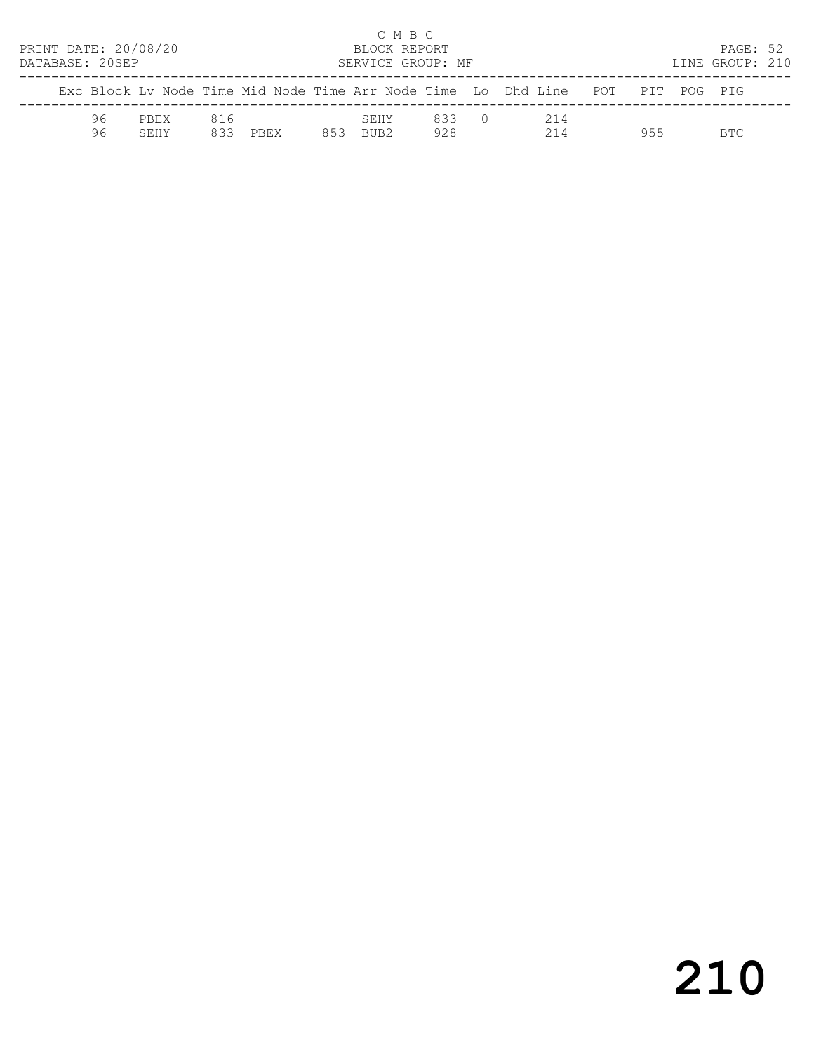| PRINT DATE: 20/08/20<br>DATABASE: 20SEP |          |              |            |             |     | C M B C<br>BLOCK REPORT<br>SERVICE GROUP: MF |              |                                                                                |     | PAGE: 52<br>LINE GROUP: 210 |  |
|-----------------------------------------|----------|--------------|------------|-------------|-----|----------------------------------------------|--------------|--------------------------------------------------------------------------------|-----|-----------------------------|--|
|                                         |          |              |            |             |     |                                              |              | Exc Block Ly Node Time Mid Node Time Arr Node Time Lo Dhd Line POT PIT POG PIG |     |                             |  |
|                                         | 96<br>96 | PBEX<br>SEHY | 816<br>833 | <b>PREX</b> | 853 | SEHY<br>RIIR2                                | 833 0<br>928 | 214<br>214                                                                     | 955 | BTC.                        |  |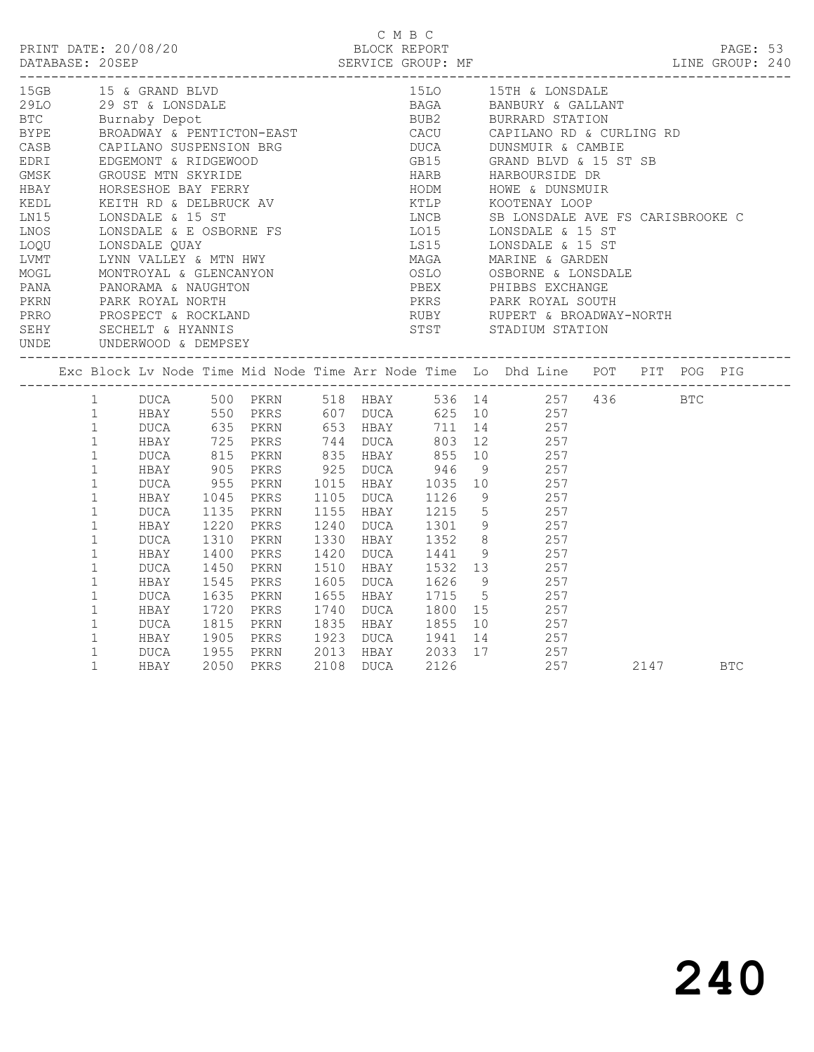|                      |                                      |      |              |           | BLOCK REPORT      | смвс |                                                                                                                                                                                                                                                  |      |            |  |
|----------------------|--------------------------------------|------|--------------|-----------|-------------------|------|--------------------------------------------------------------------------------------------------------------------------------------------------------------------------------------------------------------------------------------------------|------|------------|--|
| 15GB 15 & GRAND BLVD |                                      |      |              |           |                   |      | 15LO 15TH & LONSDALE                                                                                                                                                                                                                             |      |            |  |
|                      |                                      |      |              |           |                   |      |                                                                                                                                                                                                                                                  |      |            |  |
|                      |                                      |      |              |           |                   |      | 15GB 15 & GRAND BLVD<br>29 ST & LONSDALE<br>BTC 29 ST & LONSDALE<br>BTC BUTTABY DEPOTE<br>BTC BUTTABY DEPOTE<br>ENGADORAY & PENTICTON-EAST CACU CAPILANO RD & CURLING RD<br>CASB CAPILANO SUSPENSION BRG<br>CASB CAPILANO SUSPENSION BRG<br>CA   |      |            |  |
|                      |                                      |      |              |           |                   |      |                                                                                                                                                                                                                                                  |      |            |  |
|                      |                                      |      |              |           |                   |      |                                                                                                                                                                                                                                                  |      |            |  |
|                      |                                      |      |              |           |                   |      |                                                                                                                                                                                                                                                  |      |            |  |
|                      |                                      |      |              |           |                   |      |                                                                                                                                                                                                                                                  |      |            |  |
|                      |                                      |      |              |           |                   |      |                                                                                                                                                                                                                                                  |      |            |  |
|                      |                                      |      |              |           |                   |      |                                                                                                                                                                                                                                                  |      |            |  |
|                      |                                      |      |              |           |                   |      | LNCB         SB LONSDALE AVE FS CARISBROOKE C<br>LO15        LONSDALE & 15 ST                                                                                                                                                                    |      |            |  |
|                      |                                      |      |              |           |                   |      |                                                                                                                                                                                                                                                  |      |            |  |
|                      |                                      |      |              |           |                   |      |                                                                                                                                                                                                                                                  |      |            |  |
|                      |                                      |      |              |           |                   |      |                                                                                                                                                                                                                                                  |      |            |  |
|                      |                                      |      |              |           |                   |      |                                                                                                                                                                                                                                                  |      |            |  |
|                      |                                      |      |              |           |                   |      |                                                                                                                                                                                                                                                  |      |            |  |
|                      |                                      |      |              |           |                   |      |                                                                                                                                                                                                                                                  |      |            |  |
|                      |                                      |      |              |           |                   |      |                                                                                                                                                                                                                                                  |      |            |  |
|                      |                                      |      |              |           |                   |      |                                                                                                                                                                                                                                                  |      |            |  |
|                      |                                      |      |              |           |                   |      | PANA PANORAMA & NAUGHTON<br>PANA PANORAMA & NAUGHTON<br>PARK ROYAL NORTH<br>PRRO PROSPECT & ROCKLAND<br>SEHY SECHELT & HYANNIS<br>SEHY SECHELT & HYANNIS<br>UNDE UNDERWOOD & DEMPSEY<br>PARK ROYAL SOUTH<br>SEHY STADIUM STATION<br>STST STADIUM |      |            |  |
|                      |                                      |      |              |           |                   |      |                                                                                                                                                                                                                                                  |      |            |  |
|                      | 1                                    |      |              |           |                   |      |                                                                                                                                                                                                                                                  |      |            |  |
|                      | 1                                    |      |              |           |                   |      | DUCA 500 PKRN 518 HBAY 536 14 257 436 BTC<br>HBAY 550 PKRS 607 DUCA 625 10 257                                                                                                                                                                   |      |            |  |
|                      |                                      |      |              |           |                   |      | 1 DUCA 635 PKRN 653 HBAY 711 14 257<br>1 HBAY 725 PKRS 744 DUCA 803 12 257<br>1 DUCA 815 PKRN 835 HBAY 855 10 257                                                                                                                                |      |            |  |
|                      |                                      |      |              |           |                   |      |                                                                                                                                                                                                                                                  |      |            |  |
|                      |                                      |      |              |           |                   |      |                                                                                                                                                                                                                                                  |      |            |  |
|                      | $\mathbf{1}$                         |      | 905          |           | PKRS 925 DUCA 946 |      | 9 257                                                                                                                                                                                                                                            |      |            |  |
|                      | HBAY<br>DUCA<br>HBAY<br>$\mathbf{1}$ |      | 955<br>1045  |           |                   |      | PKRN 1015 HBAY 1035 10 257<br>PKRS 1105 DUCA 1126 9 257                                                                                                                                                                                          |      |            |  |
|                      | $\mathbf{1}$                         |      |              |           |                   |      |                                                                                                                                                                                                                                                  |      |            |  |
|                      | $\mathbf{1}$                         | DUCA |              |           |                   |      | PKRN 1155 HBAY 1215 5 257<br>PKRS 1240 DUCA 1301 9 257                                                                                                                                                                                           |      |            |  |
|                      | $\mathbf{1}$                         | HBAY | 1135<br>1220 |           |                   |      |                                                                                                                                                                                                                                                  |      |            |  |
|                      | $\mathbf 1$                          | DUCA | 1310         |           |                   |      | PRIN 1330 HBAY 1352 8 257<br>PKRS 1420 DUCA 1441 9 257<br>PKRN 1510 HBAY 1532 13 257                                                                                                                                                             |      |            |  |
|                      | $\mathbf 1$                          | HBAY |              |           |                   |      |                                                                                                                                                                                                                                                  |      |            |  |
|                      | $\mathbf{1}$                         | DUCA | 1400<br>1450 |           |                   |      |                                                                                                                                                                                                                                                  |      |            |  |
|                      | $\mathbf{1}$                         | HBAY | 1545         |           |                   |      |                                                                                                                                                                                                                                                  |      |            |  |
|                      | $\mathbf{1}$                         | DUCA | 1635         |           |                   |      | PKRS 1605 DUCA 1626 9 257<br>PKRN 1655 HBAY 1715 5 257                                                                                                                                                                                           |      |            |  |
|                      | $\mathbf 1$                          | HBAY | 1720         |           |                   |      | PKRS 1740 DUCA 1800 15 257                                                                                                                                                                                                                       |      |            |  |
|                      | $\mathbf{1}$                         | DUCA |              |           |                   |      |                                                                                                                                                                                                                                                  |      |            |  |
|                      | $\mathbf{1}$<br>HBAY                 |      |              |           |                   |      |                                                                                                                                                                                                                                                  |      |            |  |
|                      | $\mathbf{1}$                         | DUCA |              |           |                   |      | 1955 PKRN 2013 HBAY 2033 17 257                                                                                                                                                                                                                  |      |            |  |
|                      | $\mathbf{1}$                         | HBAY |              | 2050 PKRS | 2108 DUCA         | 2126 | 257                                                                                                                                                                                                                                              | 2147 | <b>BTC</b> |  |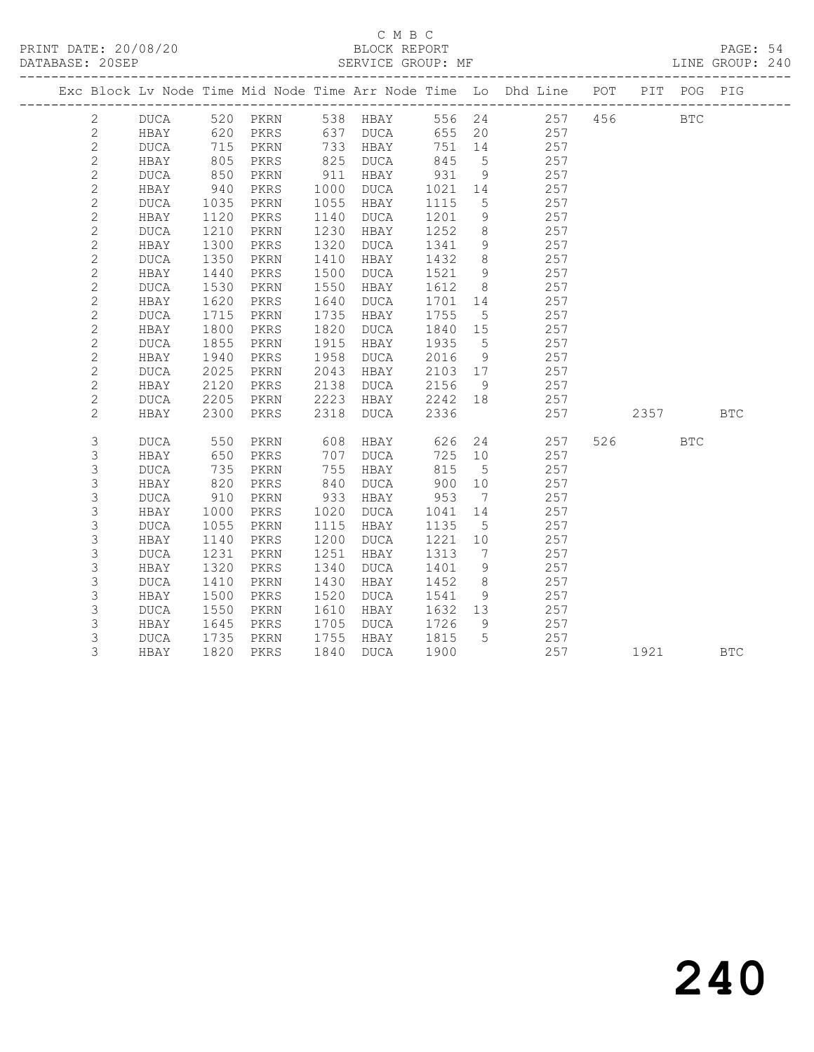# C M B C<br>BLOCK REPORT

PAGE: 54<br>LINE GROUP: 240

|  |                |                     |              |              |              |              |              |                   | Exc Block Lv Node Time Mid Node Time Arr Node Time Lo Dhd Line POT         |          | PIT POG PIG |            |
|--|----------------|---------------------|--------------|--------------|--------------|--------------|--------------|-------------------|----------------------------------------------------------------------------|----------|-------------|------------|
|  | $\overline{2}$ |                     |              |              |              |              |              |                   | DUCA 520 PKRN 538 HBAY 556 24 257 456<br>HBAY 620 PKRS 637 DUCA 655 20 257 |          | <b>BTC</b>  |            |
|  | $\mathbf{2}$   |                     |              |              |              |              |              |                   |                                                                            |          |             |            |
|  | $\mathbf{2}$   | <b>DUCA</b>         |              | 715 PKRN     |              | 733 HBAY     | 751 14       |                   | 257                                                                        |          |             |            |
|  | $\sqrt{2}$     | HBAY                | 805          | PKRS         |              | 825 DUCA     | 845          | $5\phantom{0}$    | 257                                                                        |          |             |            |
|  | $\mathbf{2}$   | DUCA                | 850          | PKRN         | 911          | HBAY         | 931          | 9                 | 257                                                                        |          |             |            |
|  | $\sqrt{2}$     | HBAY                | 940          | PKRS         | 1000         | DUCA         | 1021         | 14                | 257                                                                        |          |             |            |
|  | $\mathbf{2}$   | DUCA                | 1035         | PKRN         | 1055         | HBAY         | 1115         | $5\overline{)}$   | 257                                                                        |          |             |            |
|  | $\mathbf{2}$   | HBAY                | 1120         | PKRS         | 1140         | DUCA         | 1201         | 9                 | 257                                                                        |          |             |            |
|  | $\mathbf{2}$   | <b>DUCA</b>         | 1210         | PKRN         | 1230         | HBAY         | 1252         | 8 <sup>8</sup>    | 257                                                                        |          |             |            |
|  | $\mathbf{2}$   | HBAY                | 1300         | PKRS         | 1320         | DUCA         | 1341         | 9                 | 257                                                                        |          |             |            |
|  | $\mathbf{2}$   | DUCA                | 1350         | PKRN         | 1410         | HBAY         | 1432         | 8 <sup>8</sup>    | 257                                                                        |          |             |            |
|  | $\mathbf{2}$   | HBAY                | 1440         | PKRS         | 1500         | DUCA         | 1521         | 9                 | 257                                                                        |          |             |            |
|  | $\mathbf{2}$   | DUCA                | 1530         | PKRN         | 1550         | HBAY         | 1612         | 8 <sup>8</sup>    | 257                                                                        |          |             |            |
|  | $\mathbf{2}$   | HBAY                | 1620         | PKRS         | 1640         | DUCA         | 1701         | 14                | 257                                                                        |          |             |            |
|  | $\mathbf{2}$   | $\tt DUCA$          | 1715         | PKRN         | 1735         | HBAY         | 1755         | $5\overline{)}$   | 257                                                                        |          |             |            |
|  | $\mathbf{2}$   | HBAY                | 1800         | PKRS         | 1820         | DUCA         | 1840         | 15                | 257                                                                        |          |             |            |
|  | $\mathbf{2}$   | DUCA                | 1855         | PKRN         | 1915         | HBAY         | 1935         | $5\overline{)}$   | 257                                                                        |          |             |            |
|  | $\sqrt{2}$     | HBAY                | 1940         | PKRS         | 1958         | DUCA         | 2016         | 9                 | 257                                                                        |          |             |            |
|  | $\mathbf{2}$   | DUCA                | 2025         | PKRN         | 2043         | HBAY         | 2103         | 17                | 257                                                                        |          |             |            |
|  | $\mathbf{2}$   | HBAY                | 2120         | PKRS         | 2138         | DUCA         | 2156         | - 9               | 257                                                                        |          |             |            |
|  | $\mathbf{2}$   | DUCA                | 2205         | PKRN         | 2223         | HBAY 2242 18 |              |                   | 257                                                                        |          |             |            |
|  | 2              | HBAY                | 2300         | PKRS         | 2318         | <b>DUCA</b>  | 2336         |                   | 257                                                                        | 2357 BTC |             |            |
|  |                |                     |              |              |              |              |              |                   |                                                                            |          |             |            |
|  | $\mathsf 3$    | <b>DUCA</b>         | 550          | PKRN         | 608          | HBAY         | 626          |                   | 24<br>257                                                                  | 526      | <b>BTC</b>  |            |
|  | 3              | HBAY                | 650<br>735   | PKRS         | 707          | DUCA         | 725 10       |                   | 257                                                                        |          |             |            |
|  | 3              | $\tt DUCA$          |              | PKRN         | 755          | HBAY         | 815          | $5^{\circ}$       | 257                                                                        |          |             |            |
|  | 3              | HBAY                | 820          | PKRS         | 840          | DUCA         | 900          | 10                | 257                                                                        |          |             |            |
|  | 3              | DUCA                | 910          | PKRN         | 933          | HBAY         | 953          | $\overline{7}$    | 257                                                                        |          |             |            |
|  | $\mathsf 3$    | HBAY<br><b>DUCA</b> | 1000<br>1055 | PKRS         | 1020<br>1115 | DUCA<br>HBAY | 1041<br>1135 | 14<br>$5^{\circ}$ | 257<br>257                                                                 |          |             |            |
|  | 3<br>3         |                     | 1140         | PKRN         | 1200         |              | 1221         | 10                | 257                                                                        |          |             |            |
|  | 3              | HBAY                | 1231         | PKRS         | 1251         | DUCA         |              | $\overline{7}$    | 257                                                                        |          |             |            |
|  | 3              | DUCA<br>HBAY        | 1320         | PKRN<br>PKRS | 1340         | HBAY<br>DUCA | 1313<br>1401 | 9                 | 257                                                                        |          |             |            |
|  | $\mathsf 3$    | $\tt DUCA$          | 1410         | PKRN         | 1430         | HBAY         | 1452         | 8 <sup>8</sup>    | 257                                                                        |          |             |            |
|  | 3              | HBAY                | 1500         |              | 1520         | DUCA         | 1541         | 9                 | 257                                                                        |          |             |            |
|  | 3              |                     | 1550         | PKRS         | 1610         |              | 1632 13      |                   | 257                                                                        |          |             |            |
|  | 3              | DUCA<br>HBAY        | 1645         | PKRN<br>PKRS | 1705         | HBAY<br>DUCA | 1726         | 9                 | 257                                                                        |          |             |            |
|  | 3              | DUCA                | 1735         | PKRN         | 1755         | HBAY         | 1815         | $5\overline{)}$   | 257                                                                        |          |             |            |
|  | 3              |                     | 1820         |              | 1840         |              | 1900         |                   | 257                                                                        | 1921     |             | <b>BTC</b> |
|  |                | HBAY                |              | PKRS         |              | DUCA         |              |                   |                                                                            |          |             |            |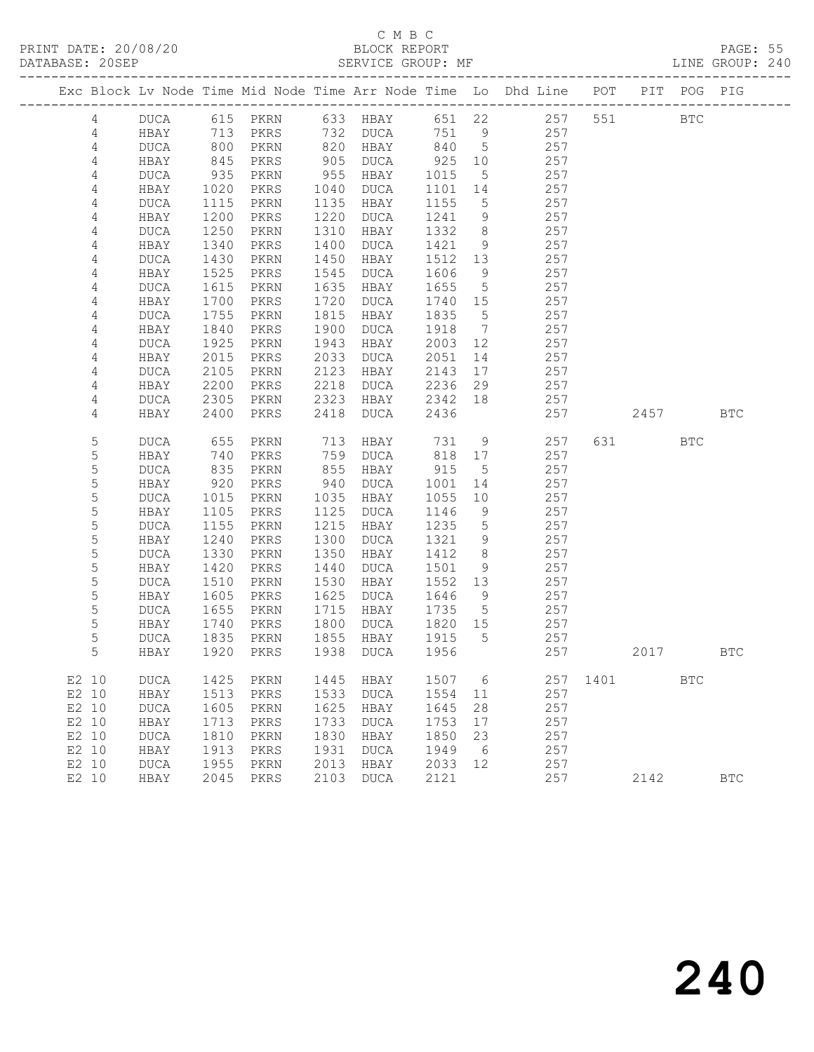# C M B C

| DATABASE: 20SEP |              |                   |              |                | SERVICE GROUP: MF |              |                     |                                                                                |              |           |            | LINE GROUP: 240 |  |
|-----------------|--------------|-------------------|--------------|----------------|-------------------|--------------|---------------------|--------------------------------------------------------------------------------|--------------|-----------|------------|-----------------|--|
|                 |              |                   |              |                |                   |              |                     | Exc Block Lv Node Time Mid Node Time Arr Node Time Lo Dhd Line POT PIT POG PIG |              |           |            |                 |  |
| 4               |              |                   |              |                |                   |              |                     | DUCA 615 PKRN 633 HBAY 651 22 257 551 BTC                                      |              |           |            |                 |  |
| 4               | HBAY         | 713               |              |                | PKRS 732 DUCA     |              |                     | 751 9<br>257                                                                   |              |           |            |                 |  |
| 4               | DUCA         | 800<br>845<br>935 | PKRN         |                | 820 HBAY          | 840 5        |                     | 257                                                                            |              |           |            |                 |  |
| $\overline{4}$  | HBAY         |                   | PKRS         |                | 905 DUCA          | 925          | 10                  | 257                                                                            |              |           |            |                 |  |
| 4               | DUCA         |                   | PKRN         | 955            | HBAY              | 1015         | $5\overline{)}$     | 257                                                                            |              |           |            |                 |  |
| 4               | HBAY         | 1020              | PKRS         | 1040           | DUCA              | 1101         | 14                  | 257                                                                            |              |           |            |                 |  |
| 4               | DUCA         | 1115              | PKRN         | 1135           | HBAY              | 1155         | $5\overline{)}$     | 257                                                                            |              |           |            |                 |  |
| 4               | HBAY         | 1200              | PKRS         | 1220           | DUCA              | 1241         | 9                   | 257                                                                            |              |           |            |                 |  |
| 4               | DUCA         | 1250              | PKRN<br>PKRS | 1310<br>1400   | HBAY              | 1332         | 8 <sup>8</sup>      | 257                                                                            |              |           |            |                 |  |
| 4<br>4          | HBAY<br>DUCA | 1340<br>1430      | PKRN         | 1450           | DUCA<br>HBAY      | 1421<br>1512 | 9<br>13             | 257<br>257                                                                     |              |           |            |                 |  |
| 4               | HBAY         | 1525              | PKRS         | 1545           | DUCA              | 1606         | 9                   | 257                                                                            |              |           |            |                 |  |
| $\sqrt{4}$      | DUCA         | 1615              | PKRN         | 1635           | HBAY              | 1655         | $5\overline{)}$     | 257                                                                            |              |           |            |                 |  |
| 4               | HBAY         | 1700              | PKRS         | 1720           | DUCA              | 1740 15      |                     | 257                                                                            |              |           |            |                 |  |
| 4               | DUCA         | 1755              | PKRN         | 1815           | HBAY              | 1835         | $5\overline{)}$     | 257                                                                            |              |           |            |                 |  |
| 4               | HBAY         | 1840              | PKRS         | 1900           | DUCA              | 1918         | $\overline{7}$      | 257                                                                            |              |           |            |                 |  |
| 4               | DUCA         | 1925              | PKRN         | 1943           | HBAY              | 2003         | 12                  | 257                                                                            |              |           |            |                 |  |
| 4               | HBAY         | 2015              | PKRS         | 2033           | DUCA              | 2051         | 14                  | 257                                                                            |              |           |            |                 |  |
| 4               | DUCA         | 2105              | PKRN         | 2123           | HBAY              | 2143         | 17                  | 257                                                                            |              |           |            |                 |  |
| 4               | HBAY         | 2200              | PKRS         | 2218           | DUCA              | 2236         | 29                  | 257                                                                            |              |           |            |                 |  |
| 4               | DUCA         | 2305              | PKRN         | 2323           | HBAY              | 2342 18      |                     | 257                                                                            |              |           |            |                 |  |
| 4               | HBAY         | 2400              | PKRS         | 2418           | DUCA              | 2436         |                     | 257                                                                            |              | 2457      |            | <b>BTC</b>      |  |
| 5               | DUCA         | 655               | PKRN         | $713$<br>$759$ | HBAY              | 731          | 9                   | 257                                                                            |              | 631 — 100 | <b>BTC</b> |                 |  |
| 5               | HBAY         | 740               | PKRS         | 759            | DUCA              | 818 17       |                     | 257                                                                            |              |           |            |                 |  |
| 5               | DUCA         | 835               | PKRN         | 855            | HBAY              | 915          | $5^{\circ}$         | 257                                                                            |              |           |            |                 |  |
| 5               | HBAY         | 920               | PKRS         | 940            | DUCA              | 1001         | 14                  | 257                                                                            |              |           |            |                 |  |
| 5               | DUCA         | 1015              | PKRN         | 1035           | HBAY              | 1055         | 10                  | 257                                                                            |              |           |            |                 |  |
| 5               | HBAY         | 1105              | PKRS         | 1125           | DUCA              | 1146         | 9                   | 257                                                                            |              |           |            |                 |  |
| 5<br>5          | DUCA<br>HBAY | 1155<br>1240      | PKRN<br>PKRS | 1215<br>1300   | HBAY              | 1235<br>1321 | $5\overline{)}$     | 257<br>257                                                                     |              |           |            |                 |  |
| 5               | DUCA         | 1330              | PKRN         | 1350           | DUCA<br>HBAY      | 1412         | 9<br>8 <sup>8</sup> | 257                                                                            |              |           |            |                 |  |
| 5               | HBAY         | 1420              | PKRS         | 1440           | DUCA              | 1501         | 9                   | 257                                                                            |              |           |            |                 |  |
| 5               | DUCA         | 1510              | PKRN         | 1530           | HBAY              | 1552 13      |                     | 257                                                                            |              |           |            |                 |  |
| 5               | HBAY         | 1605              | PKRS         | 1625           | DUCA              | 1646         | $\overline{9}$      | 257                                                                            |              |           |            |                 |  |
| 5               | DUCA         | 1655              | PKRN         | 1715           | HBAY              | 1735         | $5^{\circ}$         | 257                                                                            |              |           |            |                 |  |
| 5               | HBAY         |                   | PKRS         | 1800           | DUCA              | 1820 15      |                     | 257                                                                            |              |           |            |                 |  |
| 5               | DUCA         | 1740<br>1835      | PKRN         |                | 1855 HBAY         | 1915         | $5^{\circ}$         | 257                                                                            |              |           |            |                 |  |
| 5               |              |                   |              |                |                   |              |                     | HBAY 1920 PKRS 1938 DUCA 1956 257 2017                                         |              |           |            | BTC             |  |
| E2 10           | DUCA         | 1425              | PKRN         | 1445           | HBAY              | 1507 6       |                     |                                                                                | 257 1401 BTC |           |            |                 |  |
| E2 10           | HBAY         | 1513              | PKRS         | 1533           | DUCA              | 1554         | 11                  | 257                                                                            |              |           |            |                 |  |
| E2 10           | <b>DUCA</b>  | 1605              | PKRN         | 1625           | HBAY              | 1645         | 28                  | 257                                                                            |              |           |            |                 |  |
| E2 10           | HBAY         | 1713              | PKRS         | 1733           | DUCA              | 1753         | 17                  | 257                                                                            |              |           |            |                 |  |
| E2 10           | <b>DUCA</b>  | 1810              | PKRN         | 1830           | HBAY              | 1850         | 23                  | 257                                                                            |              |           |            |                 |  |
| E2 10           | HBAY         | 1913              | PKRS         | 1931           | <b>DUCA</b>       | 1949         | 6                   | 257                                                                            |              |           |            |                 |  |
| E2 10           | <b>DUCA</b>  | 1955              | PKRN         | 2013           | HBAY              | 2033 12      |                     | 257                                                                            |              |           |            |                 |  |
| E2 10           | HBAY         |                   | 2045 PKRS    | 2103           | DUCA              | 2121         |                     | 257                                                                            |              | 2142      |            | $_{\rm BTC}$    |  |
|                 |              |                   |              |                |                   |              |                     |                                                                                |              |           |            |                 |  |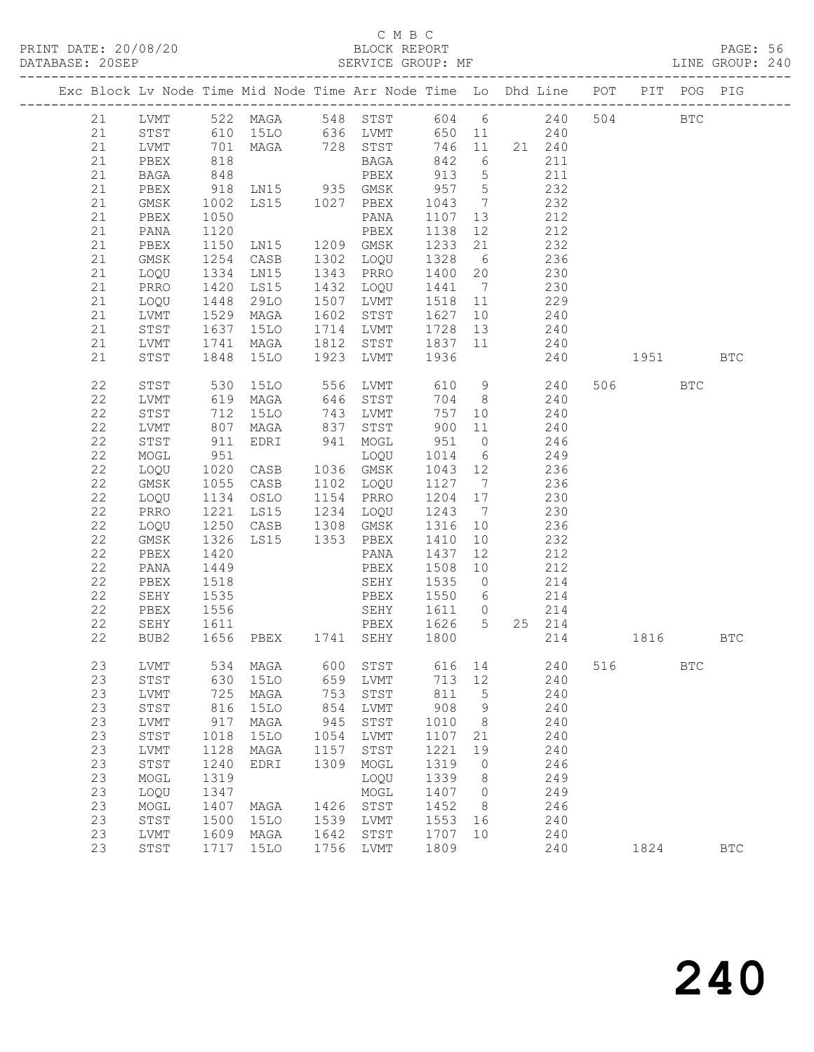# C M B C

| DATABASE: 20SEP                                                                | ------------------ |                                                  |                                  |      | SERVICE GROUP: MF                                      |                |                 |              |          |         |            | LINE GROUP: 240 |  |
|--------------------------------------------------------------------------------|--------------------|--------------------------------------------------|----------------------------------|------|--------------------------------------------------------|----------------|-----------------|--------------|----------|---------|------------|-----------------|--|
| Exc Block Lv Node Time Mid Node Time Arr Node Time Lo Dhd Line POT PIT POG PIG |                    |                                                  |                                  |      |                                                        |                |                 |              |          |         |            |                 |  |
| 21                                                                             |                    |                                                  |                                  |      | LVMT 522 MAGA 548 STST 604 6 240 504 BTC               |                |                 |              |          |         |            |                 |  |
| 21                                                                             |                    |                                                  |                                  |      | STST 610 15LO 636 LVMT 650 11 240                      |                |                 |              |          |         |            |                 |  |
| 21                                                                             | LVMT               | $\begin{array}{c} 701 \\ 818 \\ 848 \end{array}$ |                                  |      | MAGA 728 STST 746 11 21 240                            |                |                 |              |          |         |            |                 |  |
| 21                                                                             | PBEX               |                                                  |                                  |      | <b>BAGA</b>                                            | 842 6<br>913 5 |                 | 211          |          |         |            |                 |  |
| 21                                                                             | BAGA               |                                                  |                                  |      | PBEX                                                   |                |                 | 211          |          |         |            |                 |  |
| 21                                                                             | PBEX               | 918                                              | LN15 935 GMSK                    |      |                                                        | 957 5          |                 | 232          |          |         |            |                 |  |
| 21                                                                             | GMSK               | 1002                                             | LS15 1027 PBEX                   |      |                                                        | 1043 7         |                 | 232          |          |         |            |                 |  |
| 21                                                                             | PBEX               | 1050                                             |                                  |      | PANA                                                   | 1107 13        |                 | 212          |          |         |            |                 |  |
| 21                                                                             | PANA               | 1120                                             |                                  |      |                                                        | 1138 12        |                 | 212          |          |         |            |                 |  |
| 21                                                                             | PBEX               | 1150                                             |                                  |      |                                                        | 1233 21        |                 | 232          |          |         |            |                 |  |
| 21                                                                             | GMSK               | 1254                                             | CASB 1302 LOQU                   |      |                                                        | 1328           | 6               | 236          |          |         |            |                 |  |
| 21                                                                             | LOQU               | 1334<br>1420                                     | LNI5                             |      | 1343 PRRO                                              | 1400 20        |                 | 230<br>230   |          |         |            |                 |  |
| 21                                                                             | PRRO               | 1448                                             | LS15                             |      | 1432 LOQU                                              | 1441 7         |                 | 229          |          |         |            |                 |  |
| 21                                                                             | LOQU               |                                                  | 29LO                             |      | 1507 LVMT                                              | 1518 11        |                 |              |          |         |            |                 |  |
| 21                                                                             | LVMT               | 1529                                             | MAGA                             |      | 1602 STST                                              | 1627           |                 | 10 240       |          |         |            |                 |  |
| 21<br>21                                                                       | STST<br>LVMT       | 1637<br>1741                                     |                                  |      | 15LO 1714 LVMT 1728 13<br>MAGA 1812 STST 1837 11       |                |                 | 240<br>240   |          |         |            |                 |  |
| 21                                                                             | STST               |                                                  |                                  |      | 1848 15LO 1923 LVMT 1936                               |                |                 | 240 1951 BTC |          |         |            |                 |  |
|                                                                                |                    |                                                  |                                  |      |                                                        |                |                 |              |          |         |            |                 |  |
| 22                                                                             | STST               |                                                  | 530 15LO<br>619 MAGA             |      | 15LO 556 LVMT 610 9 240<br>MAGA 646 STST 704 8 240     |                |                 |              |          | 506 BTC |            |                 |  |
| 22                                                                             | LVMT               |                                                  |                                  |      |                                                        |                |                 |              |          |         |            |                 |  |
| 22                                                                             | STST               | 712                                              | 15LO                             |      | 743 LVMT                                               |                | 757 10          | 240          |          |         |            |                 |  |
| 22                                                                             | LVMT               | 807                                              | MAGA 837 STST                    |      |                                                        | 900            | 11              | 240          |          |         |            |                 |  |
| 22                                                                             | STST               | 911<br>951                                       | EDRI 941 MOGL                    |      |                                                        | 951 0          |                 | 246          |          |         |            |                 |  |
| 22                                                                             | MOGL               |                                                  | LOQU<br>CASB 1036 GMSK           |      |                                                        | 1014           | $6\overline{6}$ | 249<br>236   |          |         |            |                 |  |
| 22                                                                             | LOQU               | 1020                                             |                                  |      |                                                        | 1043 12        |                 |              |          |         |            |                 |  |
| 22<br>22                                                                       | GMSK               | 1055                                             |                                  |      | CASB 1102 LOQU 1127 7<br>1154 PRRO                     | 1204 17        |                 | 236          |          |         |            |                 |  |
| 22                                                                             | LOQU<br>PRRO       |                                                  | OSLO                             |      |                                                        | 1243 7         |                 | 230<br>230   |          |         |            |                 |  |
| 22                                                                             | LOQU               | 1134<br>1221<br>1250                             | LS15 1234 LOQU<br>CASB 1308 GMSK |      |                                                        | 1316 10        |                 | 236          |          |         |            |                 |  |
| 22                                                                             | GMSK               | 1326                                             | LS15 1353 PBEX                   |      |                                                        | 1410           | 10              | 232          |          |         |            |                 |  |
| 22                                                                             | PBEX               | 1420                                             |                                  |      | PANA                                                   | 1437           | 12              | 212          |          |         |            |                 |  |
| 22                                                                             | PANA               | 1449                                             |                                  |      |                                                        | 1508           | 10              | 212          |          |         |            |                 |  |
| 22                                                                             | PBEX               | 1518                                             |                                  |      | PBEX 1508 10 212<br>SEHY 1535 0 214<br>PBEX 1550 6 214 |                |                 | $214$        |          |         |            |                 |  |
| 22                                                                             | SEHY               | 1535                                             |                                  |      |                                                        |                |                 |              |          |         |            |                 |  |
| 22                                                                             | PBEX               | 1556                                             |                                  |      | SEHY 1611 0                                            |                |                 | 214          |          |         |            |                 |  |
| 22                                                                             | SEHY               |                                                  |                                  |      |                                                        |                |                 | 25 214       |          |         |            |                 |  |
| 22                                                                             | BUB2               |                                                  |                                  |      |                                                        |                |                 |              | 214 1816 |         |            | BTC             |  |
| 23                                                                             | LVMT               | 534                                              | MAGA                             | 600  | STST                                                   | 616            | 14              | 240          | 516      |         | <b>BTC</b> |                 |  |
| 23                                                                             | STST               | 630                                              | <b>15LO</b>                      | 659  | LVMT                                                   | 713            | 12              | 240          |          |         |            |                 |  |
| 23                                                                             | LVMT               | 725                                              | MAGA                             | 753  | STST                                                   | 811            | $\mathsf S$     | 240          |          |         |            |                 |  |
| 23                                                                             | ${\tt STST}$       | 816                                              | <b>15LO</b>                      | 854  | LVMT                                                   | 908            | 9               | 240          |          |         |            |                 |  |
| 23                                                                             | LVMT               | 917                                              | MAGA                             | 945  | STST                                                   | 1010           | 8               | 240          |          |         |            |                 |  |
| 23                                                                             | ${\tt STST}$       | 1018                                             | <b>15LO</b>                      | 1054 | LVMT                                                   | 1107           | 21              | 240          |          |         |            |                 |  |
| 23                                                                             | LVMT               | 1128                                             | MAGA                             | 1157 | STST                                                   | 1221           | 19              | 240          |          |         |            |                 |  |
| 23                                                                             | ${\tt STST}$       | 1240                                             | EDRI                             | 1309 | MOGL                                                   | 1319           | 0               | 246          |          |         |            |                 |  |
| 23                                                                             | MOGL               | 1319                                             |                                  |      | LOQU                                                   | 1339           | 8               | 249          |          |         |            |                 |  |
| 23                                                                             | LOQU               | 1347                                             |                                  |      | MOGL                                                   | 1407           | 0               | 249          |          |         |            |                 |  |
| 23                                                                             | MOGL               | 1407                                             | MAGA                             | 1426 | STST                                                   | 1452           | 8               | 246          |          |         |            |                 |  |
| 23                                                                             | STST               | 1500                                             | <b>15LO</b>                      | 1539 | LVMT                                                   | 1553           | 16              | 240          |          |         |            |                 |  |
| 23                                                                             | LVMT               | 1609                                             | MAGA                             | 1642 | STST                                                   | 1707           | 10              | 240          |          |         |            |                 |  |
| 23                                                                             | STST               | 1717                                             | 15LO                             | 1756 | LVMT                                                   | 1809           |                 | 240          |          | 1824    |            | $_{\rm BTC}$    |  |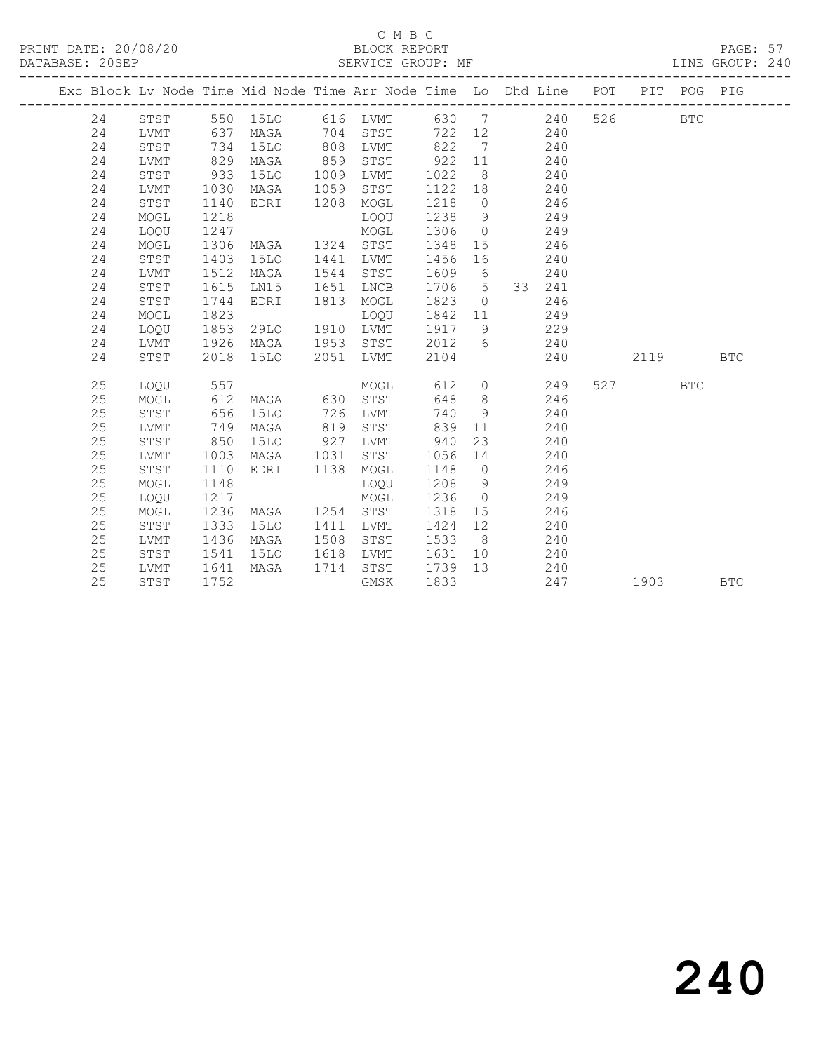# C M B C<br>BLOCK REPORT

PAGE: 57<br>LINE GROUP: 240

|  |    |      |      | Exc Block Lv Node Time Mid Node Time Arr Node Time Lo Dhd Line POT |      |          |      |                |                       |            |                                                                                                                                                                                                                                 | PIT POG PIG |            |
|--|----|------|------|--------------------------------------------------------------------|------|----------|------|----------------|-----------------------|------------|---------------------------------------------------------------------------------------------------------------------------------------------------------------------------------------------------------------------------------|-------------|------------|
|  | 24 | STST |      | 550 15LO                                                           |      | 616 LVMT |      |                | 630 7                 | 526<br>240 |                                                                                                                                                                                                                                 | <b>BTC</b>  |            |
|  | 24 | LVMT | 637  | MAGA                                                               | 704  | STST     | 722  |                | 12<br>240             |            |                                                                                                                                                                                                                                 |             |            |
|  | 24 | STST | 734  | 15LO                                                               | 808  | LVMT     | 822  | $\overline{7}$ | 240                   |            |                                                                                                                                                                                                                                 |             |            |
|  | 24 | LVMT | 829  | MAGA                                                               | 859  | STST     | 922  | 11             | 240                   |            |                                                                                                                                                                                                                                 |             |            |
|  | 24 | STST | 933  | 15LO                                                               | 1009 | LVMT     | 1022 | 8 <sup>8</sup> | 240                   |            |                                                                                                                                                                                                                                 |             |            |
|  | 24 | LVMT | 1030 | MAGA                                                               | 1059 | STST     | 1122 | 18             | 240                   |            |                                                                                                                                                                                                                                 |             |            |
|  | 24 | STST | 1140 | EDRI                                                               | 1208 | MOGL     | 1218 | $\overline{0}$ | 246                   |            |                                                                                                                                                                                                                                 |             |            |
|  | 24 | MOGL | 1218 |                                                                    |      | LOQU     | 1238 | 9              | 249                   |            |                                                                                                                                                                                                                                 |             |            |
|  | 24 | LOQU | 1247 |                                                                    |      | MOGL     | 1306 | $\overline{0}$ | 249                   |            |                                                                                                                                                                                                                                 |             |            |
|  | 24 | MOGL | 1306 | MAGA                                                               | 1324 | STST     | 1348 | 15             | 246                   |            |                                                                                                                                                                                                                                 |             |            |
|  | 24 | STST | 1403 | <b>15LO</b>                                                        | 1441 | LVMT     | 1456 | 16             | 240                   |            |                                                                                                                                                                                                                                 |             |            |
|  | 24 | LVMT | 1512 | MAGA                                                               | 1544 | STST     | 1609 | 6              | 240                   |            |                                                                                                                                                                                                                                 |             |            |
|  | 24 | STST | 1615 | LN15                                                               | 1651 | LNCB     | 1706 | 5 <sup>5</sup> | 33 241                |            |                                                                                                                                                                                                                                 |             |            |
|  | 24 | STST | 1744 | EDRI                                                               | 1813 | MOGL     | 1823 | $\bigcirc$     | 246                   |            |                                                                                                                                                                                                                                 |             |            |
|  | 24 | MOGL | 1823 |                                                                    |      | LOQU     | 1842 | 11             | 249                   |            |                                                                                                                                                                                                                                 |             |            |
|  | 24 | LOQU | 1853 | 29LO                                                               | 1910 | LVMT     | 1917 | 9              | 229                   |            |                                                                                                                                                                                                                                 |             |            |
|  | 24 | LVMT | 1926 | MAGA                                                               | 1953 | STST     | 2012 | 6              | 240                   |            |                                                                                                                                                                                                                                 |             |            |
|  | 24 | STST | 2018 | 15LO                                                               | 2051 | LVMT     | 2104 |                | 240                   |            | 2119                                                                                                                                                                                                                            |             | <b>BTC</b> |
|  | 25 | LOQU | 557  |                                                                    |      | MOGL     | 612  |                | $\overline{0}$<br>249 | 527        |                                                                                                                                                                                                                                 | <b>BTC</b>  |            |
|  | 25 | MOGL | 612  | MAGA                                                               | 630  | STST     | 648  |                | $8 - 8$<br>246        |            |                                                                                                                                                                                                                                 |             |            |
|  | 25 | STST | 656  | 15LO                                                               | 726  | LVMT     | 740  | 9              | 240                   |            |                                                                                                                                                                                                                                 |             |            |
|  | 25 | LVMT | 749  | MAGA                                                               | 819  | STST     | 839  | 11             | 240                   |            |                                                                                                                                                                                                                                 |             |            |
|  | 25 | STST | 850  | 15LO                                                               | 927  | LVMT     | 940  | 23             | 240                   |            |                                                                                                                                                                                                                                 |             |            |
|  | 25 | LVMT | 1003 | MAGA                                                               | 1031 | STST     | 1056 | 14             | 240                   |            |                                                                                                                                                                                                                                 |             |            |
|  | 25 | STST | 1110 | EDRI                                                               | 1138 | MOGL     | 1148 | $\overline{0}$ | 246                   |            |                                                                                                                                                                                                                                 |             |            |
|  | 25 | MOGL | 1148 |                                                                    |      | LOQU     | 1208 | 9              | 249                   |            |                                                                                                                                                                                                                                 |             |            |
|  | 25 | LOOU | 1217 |                                                                    |      | MOGL     | 1236 | $\overline{0}$ | 249                   |            |                                                                                                                                                                                                                                 |             |            |
|  | 25 | MOGL | 1236 | MAGA                                                               | 1254 | STST     | 1318 | 15             | 246                   |            |                                                                                                                                                                                                                                 |             |            |
|  | 25 | STST | 1333 | 15LO                                                               | 1411 | LVMT     | 1424 | 12             | 240                   |            |                                                                                                                                                                                                                                 |             |            |
|  | 25 | LVMT | 1436 | MAGA                                                               | 1508 | STST     | 1533 | 8 <sup>8</sup> | 240                   |            |                                                                                                                                                                                                                                 |             |            |
|  | 25 | STST | 1541 | 15LO                                                               | 1618 | LVMT     | 1631 | 10             | 240                   |            |                                                                                                                                                                                                                                 |             |            |
|  | 25 | LVMT | 1641 | MAGA                                                               | 1714 | STST     | 1739 | 13             | 240                   |            |                                                                                                                                                                                                                                 |             |            |
|  | 25 | STST | 1752 |                                                                    |      | GMSK     | 1833 |                | 247                   |            | 1903 — 1903 — 1904 — 1905 — 1905 — 1905 — 1905 — 1905 — 1905 — 1905 — 1905 — 1906 — 1906 — 1906 — 1906 — 1906 — 1906 — 1906 — 1906 — 1906 — 1906 — 1906 — 1906 — 1906 — 1906 — 1906 — 1906 — 1906 — 1906 — 1906 — 1906 — 1906 — |             | <b>BTC</b> |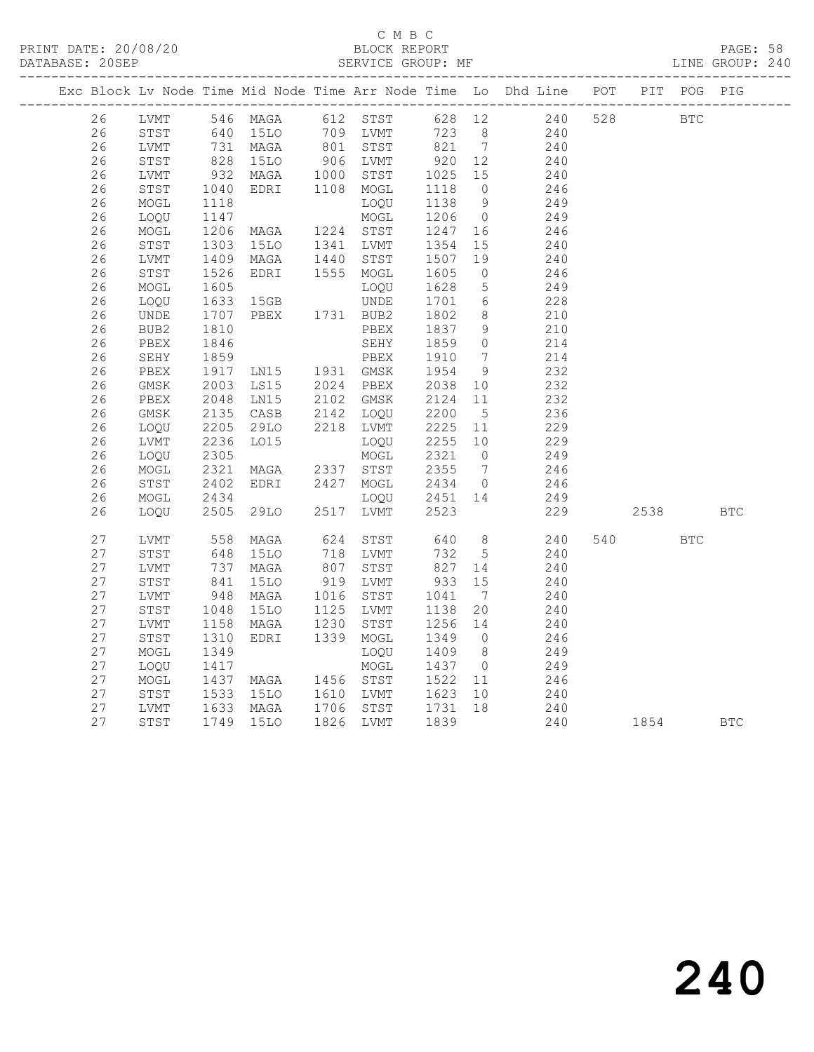#### C M B C DATABASE: 20SEP SERVICE GROUP: MF LINE GROUP: 240

|  |          |              |                      |                                                                                                                                  |      |                                     |                  |                 | Exc Block Lv Node Time Mid Node Time Arr Node Time Lo Dhd Line POT PIT POG PIG |          |            |  |
|--|----------|--------------|----------------------|----------------------------------------------------------------------------------------------------------------------------------|------|-------------------------------------|------------------|-----------------|--------------------------------------------------------------------------------|----------|------------|--|
|  | 26       |              |                      |                                                                                                                                  |      |                                     |                  |                 | LVMT 546 MAGA 612 STST 628 12 240                                              | 528 BTC  |            |  |
|  | 26       |              |                      |                                                                                                                                  |      |                                     | 723 8<br>821 7   |                 | 240                                                                            |          |            |  |
|  | 26       | LVMT         |                      | STST 640 15LO 709 LVMT 723 8<br>LVMT 731 MAGA 801 STST 821 7<br>STST 828 15LO 906 LVMT 920 12<br>LVMT 932 MAGA 1000 STST 1025 15 |      |                                     |                  |                 | $\begin{array}{c} 240 \\ 240 \\ 10 \end{array}$                                |          |            |  |
|  | 26       |              |                      |                                                                                                                                  |      |                                     |                  |                 | $\begin{array}{c} 240 \\ 240 \end{array}$                                      |          |            |  |
|  | 26       |              |                      |                                                                                                                                  |      |                                     |                  |                 | 240                                                                            |          |            |  |
|  | 26       | STST         |                      | EDRI 1108 MOGL                                                                                                                   |      |                                     | 1118 0           |                 | 246                                                                            |          |            |  |
|  | 26       | MOGL         | 1040<br>1118         |                                                                                                                                  |      | LOQU                                | 1138 9           |                 | 249                                                                            |          |            |  |
|  | 26       | LOQU         | 1147                 |                                                                                                                                  |      | MOGL                                | 1206 0           |                 | 249                                                                            |          |            |  |
|  | 26       | MOGL         | 1206<br>1303         | MAGA 1224 STST<br>15LO 1341 LVMT                                                                                                 |      |                                     | 1247<br>1354     | 16              | 246                                                                            |          |            |  |
|  | 26       | STST         |                      |                                                                                                                                  |      |                                     | 1354             | 15              | 240                                                                            |          |            |  |
|  | 26       | LVMT         | 1409<br>1526         | MAGA 1440 STST<br>EDRI 1555 MOGL                                                                                                 |      |                                     | 1507             | 19              | 240                                                                            |          |            |  |
|  | 26       | STST         |                      |                                                                                                                                  |      |                                     | 1605             | $\overline{0}$  | 246                                                                            |          |            |  |
|  | 26       | MOGL         | 1605                 |                                                                                                                                  |      | LOQU                                | 1628             | $5^{\circ}$     | 249                                                                            |          |            |  |
|  | 26       | LOQU         | 1633<br>1707         | 15GB UNDE<br>PBEX 1731 BUB2                                                                                                      |      |                                     | 1701<br>1802     | 6               | 228                                                                            |          |            |  |
|  | 26       | UNDE         |                      |                                                                                                                                  |      |                                     |                  | 8 <sup>8</sup>  | 210                                                                            |          |            |  |
|  | 26       | BUB2         | 1810<br>1846         |                                                                                                                                  |      | PBEX                                | 1837             | 9               | 210                                                                            |          |            |  |
|  | 26       | PBEX         |                      |                                                                                                                                  |      | SEHY                                | 1859             | $\overline{0}$  | 214                                                                            |          |            |  |
|  | 26       | SEHY         | 1859                 | PBEX<br>LN15 1931 GMSK                                                                                                           |      |                                     | 1910             | $\overline{7}$  | 214                                                                            |          |            |  |
|  | 26       | PBEX         | 1917<br>2003<br>1917 | LS15 2024 PBEX                                                                                                                   |      |                                     | 1954             | 9               | 232<br>232                                                                     |          |            |  |
|  | 26       | GMSK         |                      |                                                                                                                                  |      |                                     | 2038 10          |                 |                                                                                |          |            |  |
|  | 26       | PBEX         | 2048                 | LNI5                                                                                                                             |      | 2102 GMSK<br>2142 LOQU              | 2124             | 11              | 232                                                                            |          |            |  |
|  | 26       | GMSK         | 2135                 | CASB                                                                                                                             |      |                                     | 2200             | $5\overline{)}$ | 236                                                                            |          |            |  |
|  | 26       | LOQU         | 2205                 | 29LO                                                                                                                             |      | 2218 LVMT                           | 2225             | 11              | 229                                                                            |          |            |  |
|  | 26       | LVMT         | 2236<br>2305         | LO15                                                                                                                             |      | LOQU                                | 2255 10          |                 | 229<br>249                                                                     |          |            |  |
|  | 26<br>26 | LOQU<br>MOGL |                      |                                                                                                                                  |      | MOGL                                | 2321 0           |                 |                                                                                |          |            |  |
|  | 26       | STST         | 2321<br>2402         | MAGA 2337 STST<br>EDRI 2427 MOGL                                                                                                 |      |                                     | 2355 7<br>2434 0 |                 | 246<br>246                                                                     |          |            |  |
|  | 26       | MOGL         |                      |                                                                                                                                  |      | LOQU 2451 14                        |                  |                 |                                                                                |          |            |  |
|  | 26       | LOQU         | 2434<br>2505         | LOQU<br>29LO 2517 LVMT<br>29LO                                                                                                   |      |                                     | 2523             |                 | 249<br>229                                                                     | 2538 BTC |            |  |
|  |          |              |                      |                                                                                                                                  |      |                                     |                  |                 |                                                                                |          |            |  |
|  | 27       | LVMT         | 558<br>648           | MAGA                                                                                                                             |      | 624 STST<br>718 LVMT                |                  |                 |                                                                                | 540 540  | <b>BTC</b> |  |
|  | 27       | STST         |                      | 15LO                                                                                                                             |      |                                     |                  |                 | 640 8 240<br>732 5 240                                                         |          |            |  |
|  | 27       | LVMT         | 737<br>841           | MAGA                                                                                                                             |      | 807 STST                            | 827 14<br>933 15 |                 | 240                                                                            |          |            |  |
|  | 27       | STST         |                      | 15LO                                                                                                                             |      | 919 LVMT                            |                  |                 | 240                                                                            |          |            |  |
|  | 27       | LVMT         | 948                  | MAGA                                                                                                                             |      | 1016 STST                           | 1041             | $\overline{7}$  | 240                                                                            |          |            |  |
|  | 27       | STST         | 1048<br>1158         | 15LO                                                                                                                             |      | 1125 LVMT                           | 1138             | 20              | 240                                                                            |          |            |  |
|  | 27       | LVMT         |                      | MAGA                                                                                                                             | 1230 | STST                                | 1256 14          |                 | 240                                                                            |          |            |  |
|  | 27       | STST         | 1310                 | EDRI 1339 MOGL                                                                                                                   |      |                                     | 1349 0           |                 | 246                                                                            |          |            |  |
|  | 27       | MOGL         | 1349                 |                                                                                                                                  |      | LOQU                                | 1409 8           |                 | 249                                                                            |          |            |  |
|  | 27       | LOQU         | 1417                 |                                                                                                                                  |      | MOGL                                | 1437 0           |                 | 249                                                                            |          |            |  |
|  | 27       | MOGL         | 1437<br>1533         | MAGA 1456 STST                                                                                                                   |      |                                     | 1522 11          |                 | 246                                                                            |          |            |  |
|  | 27       | STST         |                      |                                                                                                                                  |      | 15LO  1610 LVMT  1623  10           |                  |                 | 240                                                                            |          |            |  |
|  | 27       | LVMT         |                      | 1633 MAGA<br>1749 15LO<br>MAGA                                                                                                   |      | 1706 STST 1731 18<br>1826 IJMT 1839 |                  |                 | 240                                                                            |          |            |  |
|  | 27       | STST         |                      |                                                                                                                                  |      | 1826 LVMT                           | 1839             |                 | 240                                                                            | 1854 BTC |            |  |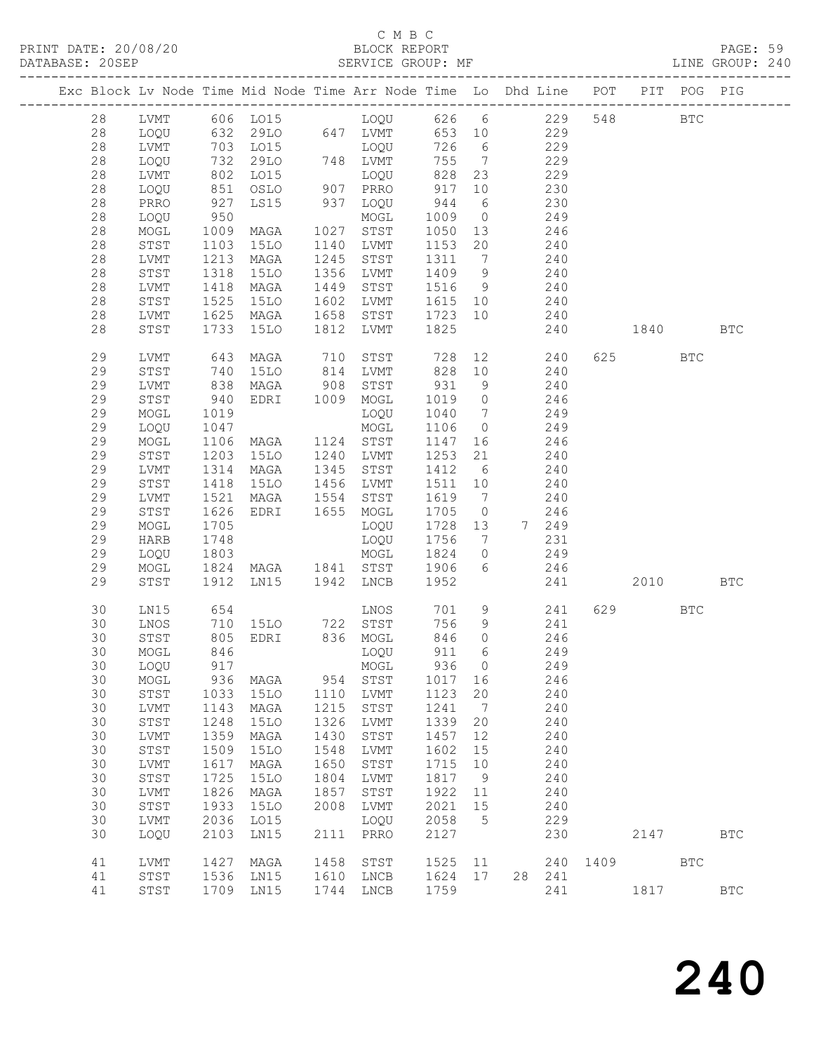# C M B C<br>BLOCK REPORT

PAGE: 59<br>LINE GROUP: 240

|    |              |                   | Exc Block Lv Node Time Mid Node Time Arr Node Time Lo Dhd Line POT |      |                            |            |                 |         |                          |      |         | PIT POG PIG  |              |
|----|--------------|-------------------|--------------------------------------------------------------------|------|----------------------------|------------|-----------------|---------|--------------------------|------|---------|--------------|--------------|
| 28 |              |                   |                                                                    |      |                            |            |                 |         |                          |      | 548     | $_{\rm BTC}$ |              |
| 28 |              |                   |                                                                    |      |                            |            |                 |         |                          |      |         |              |              |
| 28 |              |                   |                                                                    |      |                            |            |                 |         |                          |      |         |              |              |
| 28 | LOQU         | 732               | 29LO                                                               |      | 748 LVMT                   |            | 755 7           | 229     |                          |      |         |              |              |
| 28 | LVMT         |                   | LO15                                                               |      | LOQU                       | 828        | 23              | 229     |                          |      |         |              |              |
| 28 | LOQU         |                   | OSLO                                                               |      | DUQU<br>907 PRRO           | 917        | 10              |         | 230                      |      |         |              |              |
| 28 | PRRO         | 802<br>851<br>927 | LS15                                                               |      | 937 LOQU                   | 944        | 6               | 230     |                          |      |         |              |              |
| 28 | LOQU         | 950               |                                                                    |      | MOGL                       | 1009       |                 | $0$ 249 |                          |      |         |              |              |
| 28 | MOGL         | 1009              | MAGA                                                               |      | 1027 STST                  | 1050       |                 | 13 246  |                          |      |         |              |              |
| 28 | STST         | 1103              | 15LO                                                               |      | 1140 LVMT                  | 1153 20    |                 |         |                          |      |         |              |              |
| 28 | LVMT         | 1213              | MAGA                                                               | 1245 | STST                       | 1311       | $7\overline{ }$ |         | $240$ $240$              |      |         |              |              |
| 28 | STST         | 1318              | 15LO                                                               |      | 1356 LVMT                  | 1409       | 9               | 240     |                          |      |         |              |              |
| 28 | LVMT         | 1418              | MAGA                                                               | 1449 | STST                       | 1516       | 9               | 240     |                          |      |         |              |              |
| 28 | STST         | 1525              | 15LO                                                               |      | 1602 LVMT                  | 1615 10    |                 |         |                          |      |         |              |              |
| 28 | LVMT         | 1625              | MAGA                                                               | 1658 | STST                       | 1723 10    |                 |         | $240$ $240$              |      |         |              |              |
| 28 | STST         | 1733              | 15LO                                                               | 1812 | LVMT                       | 1825       |                 |         | 240                      | 1840 |         |              | <b>BTC</b>   |
|    |              |                   |                                                                    |      |                            |            |                 |         |                          |      |         |              |              |
| 29 | LVMT         |                   | MAGA                                                               |      |                            |            |                 |         | 728 12 240<br>828 10 240 |      | 625     | BTC          |              |
| 29 | STST         | 643<br>740        | 15LO                                                               |      |                            |            |                 |         |                          |      |         |              |              |
| 29 | LVMT         | 838               | MAGA                                                               | 908  | STST                       | 931        | 9               | 240     |                          |      |         |              |              |
| 29 | STST         | 940               | EDRI 1009                                                          |      | MOGL                       | 1019       | $\overline{0}$  | 246     |                          |      |         |              |              |
| 29 | MOGL         | 1019              |                                                                    |      | LOQU                       | 1040       | $\overline{7}$  |         | 249                      |      |         |              |              |
| 29 | LOQU         | 1047              |                                                                    |      | MOGL                       | 1106       | $\overline{0}$  |         | 249                      |      |         |              |              |
| 29 | MOGL         | 1106              | MAGA 1124 STST                                                     |      |                            | 1147       | 16              | 246     |                          |      |         |              |              |
| 29 | STST         | 1203              | 15LO                                                               | 1240 | LVMT                       | 1253       | 21              |         | 240                      |      |         |              |              |
| 29 | LVMT         | 1314              | MAGA                                                               |      | 1345 STST                  | 1412 6     |                 |         | $240$                    |      |         |              |              |
| 29 | STST         | 1418              | 15LO                                                               |      | 1456 LVMT                  | 1511 10    |                 |         | 240                      |      |         |              |              |
| 29 | LVMT         | 1521              | MAGA                                                               | 1554 | STST                       | 1619 7 240 |                 |         |                          |      |         |              |              |
| 29 | STST         | 1626              | EDRI 1655 MOGL                                                     |      |                            | 1705       | $\overline{0}$  |         | 246                      |      |         |              |              |
| 29 | MOGL         | 1705              |                                                                    |      | LOQU                       | 1728 13    |                 | 7 249   |                          |      |         |              |              |
| 29 | HARB         | 1748              |                                                                    |      | LOQU                       | 1756       | $\overline{7}$  |         | 231                      |      |         |              |              |
| 29 | LOQU         | 1803              |                                                                    |      | MOGL                       | 1824       | $\overline{0}$  |         | 249                      |      |         |              |              |
| 29 | MOGL         | 1824              |                                                                    |      | MAGA 1841 STST             | 1906       | $6\overline{6}$ | 246     |                          |      |         |              |              |
| 29 | STST         | 1912              | LN15                                                               |      | 1942 LNCB                  | 1952       |                 |         | 241                      |      | 2010 70 |              | <b>BTC</b>   |
| 30 | LN15         | 654               |                                                                    |      | LNOS                       |            |                 | 701 9   | 241                      |      | 629     | BTC          |              |
| 30 | LNOS         | 710               |                                                                    |      | 15LO 722 STST              | 756        |                 | 9 241   |                          |      |         |              |              |
| 30 | STST         | 805               | EDRI 836 MOGL                                                      |      |                            | 846        | $\overline{O}$  |         | 246                      |      |         |              |              |
| 30 | MOGL         | 846               |                                                                    |      | LOQU                       | 911        | 6               |         | 249                      |      |         |              |              |
| 30 | LOQU 917     |                   |                                                                    |      | MOGL 936 0                 |            |                 |         | 249                      |      |         |              |              |
| 30 | MOGL         | 936               | MAGA                                                               | 954  | STST                       | 1017       | 16              |         | 246                      |      |         |              |              |
| 30 | STST         | 1033              | 15LO                                                               | 1110 | LVMT                       | 1123       | 20              |         | 240                      |      |         |              |              |
| 30 | LVMT         | 1143              | MAGA                                                               | 1215 | STST                       | 1241       | $\overline{7}$  |         | 240                      |      |         |              |              |
| 30 | ${\tt STST}$ | 1248              | <b>15LO</b>                                                        | 1326 | LVMT                       | 1339       | 20              |         | 240                      |      |         |              |              |
| 30 | LVMT         | 1359              | MAGA                                                               | 1430 | STST                       | 1457       | 12              |         | 240                      |      |         |              |              |
| 30 | STST         | 1509              | <b>15LO</b>                                                        | 1548 | LVMT                       | 1602       | 15              |         | 240                      |      |         |              |              |
| 30 | LVMT         | 1617              | MAGA                                                               | 1650 | $_{\footnotesize\rm STST}$ | 1715       | 10              |         | 240                      |      |         |              |              |
| 30 | ${\tt STST}$ | 1725              | <b>15LO</b>                                                        | 1804 | LVMT                       | 1817       | 9               |         | 240                      |      |         |              |              |
| 30 | LVMT         | 1826              | MAGA                                                               | 1857 | STST                       | 1922       | 11              |         | 240                      |      |         |              |              |
| 30 | STST         | 1933              | <b>15LO</b>                                                        | 2008 | LVMT                       | 2021       | 15              |         | 240                      |      |         |              |              |
| 30 | LVMT         | 2036              | LO15                                                               |      | LOQU                       | 2058       | $5^{\circ}$     |         | 229                      |      |         |              |              |
| 30 | LOQU         | 2103              | LN15                                                               | 2111 | PRRO                       | 2127       |                 |         | 230                      |      | 2147    |              | $_{\rm BTC}$ |
| 41 | LVMT         | 1427              | MAGA                                                               | 1458 | STST                       | 1525       | 11              |         | 240                      | 1409 |         | $_{\rm BTC}$ |              |
| 41 | ${\tt STST}$ | 1536              | LN15                                                               | 1610 | LNCB                       | 1624 17    |                 |         | 28 241                   |      |         |              |              |
| 41 | STST         |                   | 1709 LN15                                                          | 1744 | ${\rm LNCB}$               | 1759       |                 |         | 241                      |      | 1817    |              | $_{\rm BTC}$ |
|    |              |                   |                                                                    |      |                            |            |                 |         |                          |      |         |              |              |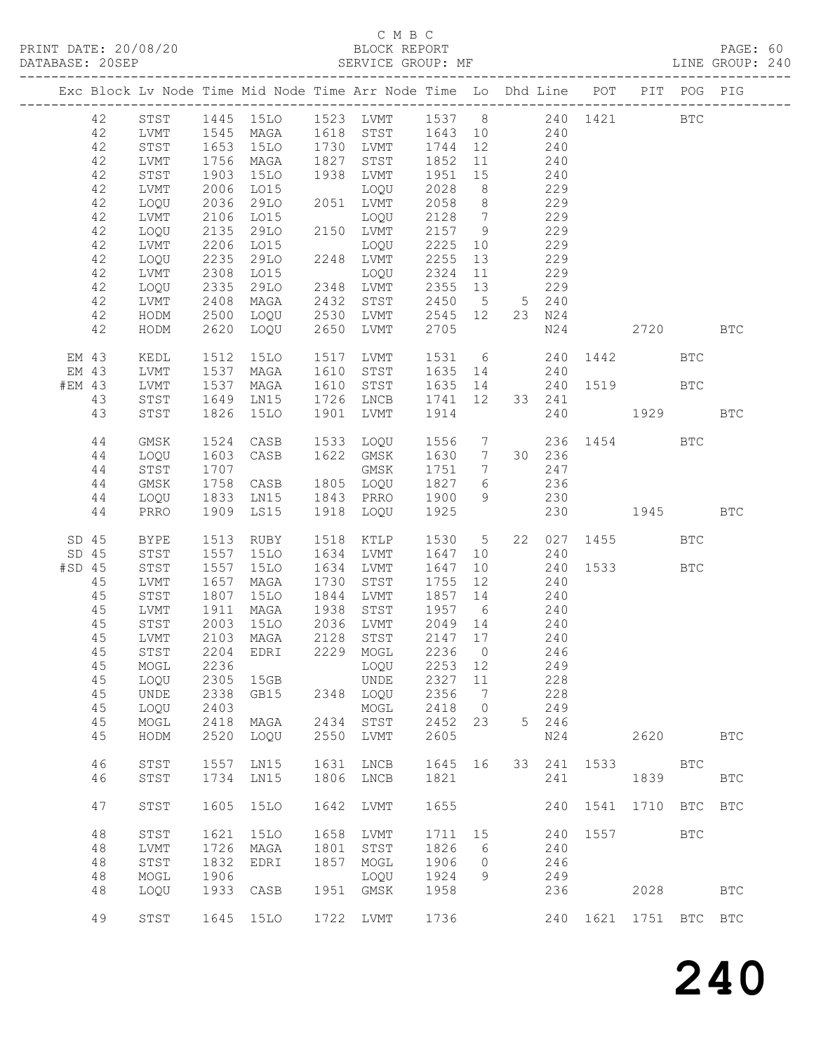### C M B C

| DATABASE: 20SEP |          |              |              | SERVICE GROUP: MF                                                              |      |                            |                                                                          |                              |                                         |        |                       |              |            | LINE GROUP: 240 |  |
|-----------------|----------|--------------|--------------|--------------------------------------------------------------------------------|------|----------------------------|--------------------------------------------------------------------------|------------------------------|-----------------------------------------|--------|-----------------------|--------------|------------|-----------------|--|
|                 |          |              |              | Exc Block Lv Node Time Mid Node Time Arr Node Time Lo Dhd Line POT PIT POG PIG |      |                            |                                                                          |                              |                                         |        |                       |              |            |                 |  |
|                 | 42       |              |              | STST 1445 15LO 1523 LVMT 1537 8 240 1421 BTC                                   |      |                            |                                                                          |                              |                                         |        |                       |              |            |                 |  |
|                 | 42       | LVMT         |              | 1545 MAGA 1618 STST 1643 10 240                                                |      |                            |                                                                          |                              |                                         |        |                       |              |            |                 |  |
|                 | 42       | STST         |              |                                                                                |      | 15LO 1730 LVMT 1744 12 240 |                                                                          |                              |                                         |        |                       |              |            |                 |  |
|                 |          |              | 1653         |                                                                                |      | 1827 STST                  |                                                                          |                              |                                         |        |                       |              |            |                 |  |
|                 | 42       | LVMT         | 1756<br>1903 | MAGA                                                                           |      |                            | 1852 11                                                                  |                              | $240$<br>$240$                          |        |                       |              |            |                 |  |
|                 | 42       | STST         |              | <b>15LO</b>                                                                    |      | 1938 LVMT                  | 1951                                                                     | 15                           |                                         |        |                       |              |            |                 |  |
|                 | 42       | LVMT         | 2006         | LO15                                                                           |      | LOQU                       | 2028                                                                     | 8 <sup>8</sup>               | 229                                     |        |                       |              |            |                 |  |
|                 | 42       | LOQU         | 2036         | 29LO                                                                           |      | 2051 LVMT                  | 2058                                                                     | 8 <sup>8</sup>               | 229                                     |        |                       |              |            |                 |  |
|                 | 42       | LVMT         | 2106         | LO15                                                                           |      | LOQU                       | 2128 7                                                                   |                              |                                         | 229    |                       |              |            |                 |  |
|                 | 42       | LOQU         | 2135         | 29LO                                                                           |      | 2150 LVMT                  | 2157 9                                                                   |                              |                                         | 229    |                       |              |            |                 |  |
|                 | 42       | LVMT         | 2206         | L015                                                                           |      | LOQU                       | 2225 10                                                                  |                              |                                         | 229    |                       |              |            |                 |  |
|                 | 42       | LOQU         | 2235         | 29LO                                                                           |      | 2248 LVMT                  | 2255                                                                     | 13                           |                                         | 229    |                       |              |            |                 |  |
|                 | 42       | LVMT         |              | LO15                                                                           |      | LOQU                       | 2324 11                                                                  |                              |                                         | 229    |                       |              |            |                 |  |
|                 | 42       | LOQU         | 2308<br>2335 | 29LO                                                                           |      | 2348 LVMT                  | 2355 13                                                                  |                              |                                         | 229    |                       |              |            |                 |  |
|                 | 42       | LVMT         | 2408         | MAGA                                                                           |      | 2432 STST                  | 2450 5 5 240                                                             |                              |                                         |        |                       |              |            |                 |  |
|                 |          |              | 2500         |                                                                                |      | 2530 LVMT                  | 2545 12                                                                  |                              |                                         | 23 N24 |                       |              |            |                 |  |
|                 | 42       | HODM         |              | LOQU                                                                           |      |                            |                                                                          |                              |                                         |        |                       |              |            |                 |  |
|                 | 42       | HODM         | 2620         | LOQU                                                                           | 2650 | LVMT                       | 2705                                                                     |                              |                                         |        | N24 2720              |              |            | <b>BTC</b>      |  |
| EM 43           |          | KEDL         | 1512         | 15LO                                                                           |      | 1517 LVMT                  |                                                                          |                              |                                         |        | 1531 6 240 1442       |              | <b>BTC</b> |                 |  |
| EM 43           |          | LVMT         | 1537         | MAGA                                                                           |      | 1610 STST                  | 1635 14 240                                                              |                              |                                         |        |                       |              |            |                 |  |
| #EM 43          |          | LVMT         | 1537<br>1649 | MAGA                                                                           |      | 1610 STST                  | 1635 14                                                                  |                              |                                         |        | 240 1519              |              | <b>BTC</b> |                 |  |
|                 | 43       | STST         |              | LN15                                                                           |      | 1726 LNCB                  | 1741 12                                                                  |                              |                                         | 33 241 |                       |              |            |                 |  |
|                 | 43       | STST         | 1826         | 15LO                                                                           | 1901 | LVMT                       | 1914                                                                     |                              |                                         |        | 240 1929              |              |            | <b>BTC</b>      |  |
|                 |          |              |              |                                                                                |      | 1533 LOQU                  | 1556 7                                                                   |                              |                                         |        |                       |              |            |                 |  |
|                 | 44       | GMSK         | 1524         | CASB                                                                           |      |                            |                                                                          |                              |                                         |        | 236 1454 BTC          |              |            |                 |  |
|                 | 44       | LOQU         | 1603         | CASB                                                                           |      | 1622 GMSK                  | 1630 7                                                                   |                              |                                         | 30 236 |                       |              |            |                 |  |
|                 | 44       | STST         | 1707         |                                                                                |      | GMSK                       | 1751                                                                     | $7\overline{ }$              |                                         | 247    |                       |              |            |                 |  |
|                 | 44       | GMSK         | 1758         |                                                                                |      | CASB 1805 LOQU             | 1827 6                                                                   |                              | 236                                     |        |                       |              |            |                 |  |
|                 | 44       | LOQU         | 1833         | LN15                                                                           |      | 1843 PRRO                  | 1900                                                                     | 9                            | 230                                     |        |                       |              |            |                 |  |
|                 | 44       | PRRO         |              | 1909 LS15                                                                      |      | 1918 LOQU                  | 1925                                                                     |                              |                                         |        | 230 1945              |              |            | <b>BTC</b>      |  |
| SD 45           |          | BYPE         | 1513         | RUBY                                                                           |      | 1518 KTLP                  | 1530 5                                                                   |                              |                                         |        | 22 027 1455           |              | <b>BTC</b> |                 |  |
| SD 45           |          | STST         | 1557         | 15LO                                                                           |      | 1634 LVMT                  | 1647                                                                     |                              | 10                                      | 240    |                       |              |            |                 |  |
| $#SD$ 45        |          | STST         | 1557         | 15LO                                                                           |      | 1634 LVMT                  | 1647                                                                     |                              |                                         |        | 240 1533              |              | <b>BTC</b> |                 |  |
|                 | 45       | LVMT         | 1657         | MAGA                                                                           |      | 1730 STST                  | 1755                                                                     | 12                           | $\begin{array}{c} 10 \\ 12 \end{array}$ | 240    |                       |              |            |                 |  |
|                 | 45       | STST         | 1807         | 15LO                                                                           |      | 1844 LVMT                  | 1857 14                                                                  |                              | 240                                     |        |                       |              |            |                 |  |
|                 |          |              |              |                                                                                |      |                            |                                                                          |                              |                                         |        |                       |              |            |                 |  |
|                 | 45       | LVMT         |              |                                                                                | 1938 | STST                       | 1957 6                                                                   |                              | 240                                     |        |                       |              |            |                 |  |
|                 | 45       | STST         |              | 1911 MAGA<br>2003 15LO<br>2103 MAGA                                            |      | 2036 LVMT                  | $\begin{array}{cccc} 2049 & 14 & & 240 \\ 2147 & 17 & & 240 \end{array}$ |                              |                                         |        |                       |              |            |                 |  |
|                 | 45       | LVMT         |              |                                                                                |      | 2128 STST                  |                                                                          |                              |                                         |        |                       |              |            |                 |  |
|                 | 45       |              |              | STST 2204 EDRI 2229 MOGL 2236 0 246                                            |      |                            |                                                                          |                              |                                         |        |                       |              |            |                 |  |
|                 | 45       | MOGL         | 2236         |                                                                                |      | LOOU                       | 2253 12                                                                  |                              |                                         | 249    |                       |              |            |                 |  |
|                 | 45       | LOQU         | 2305         | 15GB                                                                           |      | UNDE                       | 2327                                                                     | 11                           |                                         | 228    |                       |              |            |                 |  |
|                 | 45       | UNDE         | 2338         | GB15                                                                           |      | 2348 LOQU                  | 2356                                                                     | $7\phantom{.0}\phantom{.0}7$ |                                         | 228    |                       |              |            |                 |  |
|                 | 45       | LOQU         | 2403         |                                                                                |      | MOGL                       | 2418                                                                     | $\overline{0}$               |                                         | 249    |                       |              |            |                 |  |
|                 | 45       | MOGL         | 2418         | MAGA                                                                           | 2434 | STST                       | 2452                                                                     | 23                           |                                         | 5 246  |                       |              |            |                 |  |
|                 | 45       | HODM         | 2520         | LOQU                                                                           | 2550 | LVMT                       | 2605                                                                     |                              |                                         | N24    |                       | 2620         |            | <b>BTC</b>      |  |
|                 |          |              |              |                                                                                |      |                            |                                                                          |                              |                                         |        |                       |              |            |                 |  |
|                 | 46<br>46 | STST<br>STST | 1557<br>1734 | LN15<br>LN15                                                                   | 1631 | LNCB<br>1806 LNCB          | 1645 16<br>1821                                                          |                              |                                         | 241    | 33 241 1533           | 1839         | BTC        | <b>BTC</b>      |  |
|                 |          |              |              |                                                                                |      |                            |                                                                          |                              |                                         |        |                       |              |            |                 |  |
|                 | 47       | STST         | 1605         | <b>15LO</b>                                                                    | 1642 | LVMT                       | 1655                                                                     |                              |                                         | 240    | 1541                  | 1710 BTC BTC |            |                 |  |
|                 | 48       | STST         | 1621         | <b>15LO</b>                                                                    | 1658 | LVMT                       | 1711                                                                     | 15                           |                                         | 240    | 1557                  |              | <b>BTC</b> |                 |  |
|                 | 48       | LVMT         | 1726         | MAGA                                                                           | 1801 | STST                       | 1826                                                                     | 6                            |                                         | 240    |                       |              |            |                 |  |
|                 | 48       | STST         | 1832         | EDRI                                                                           | 1857 | MOGL                       | 1906                                                                     | $\overline{0}$               |                                         | 246    |                       |              |            |                 |  |
|                 | 48       | MOGL         | 1906         |                                                                                |      | LOQU                       | 1924                                                                     | 9                            |                                         | 249    |                       |              |            |                 |  |
|                 | 48       | LOQU         | 1933         | CASB                                                                           |      | 1951 GMSK                  | 1958                                                                     |                              |                                         | 236    |                       | 2028         |            | <b>BTC</b>      |  |
|                 |          |              |              |                                                                                |      |                            |                                                                          |                              |                                         |        |                       |              |            |                 |  |
|                 | 49       | STST         |              | 1645 15LO                                                                      |      | 1722 LVMT                  | 1736                                                                     |                              |                                         |        | 240 1621 1751 BTC BTC |              |            |                 |  |
|                 |          |              |              |                                                                                |      |                            |                                                                          |                              |                                         |        |                       |              |            |                 |  |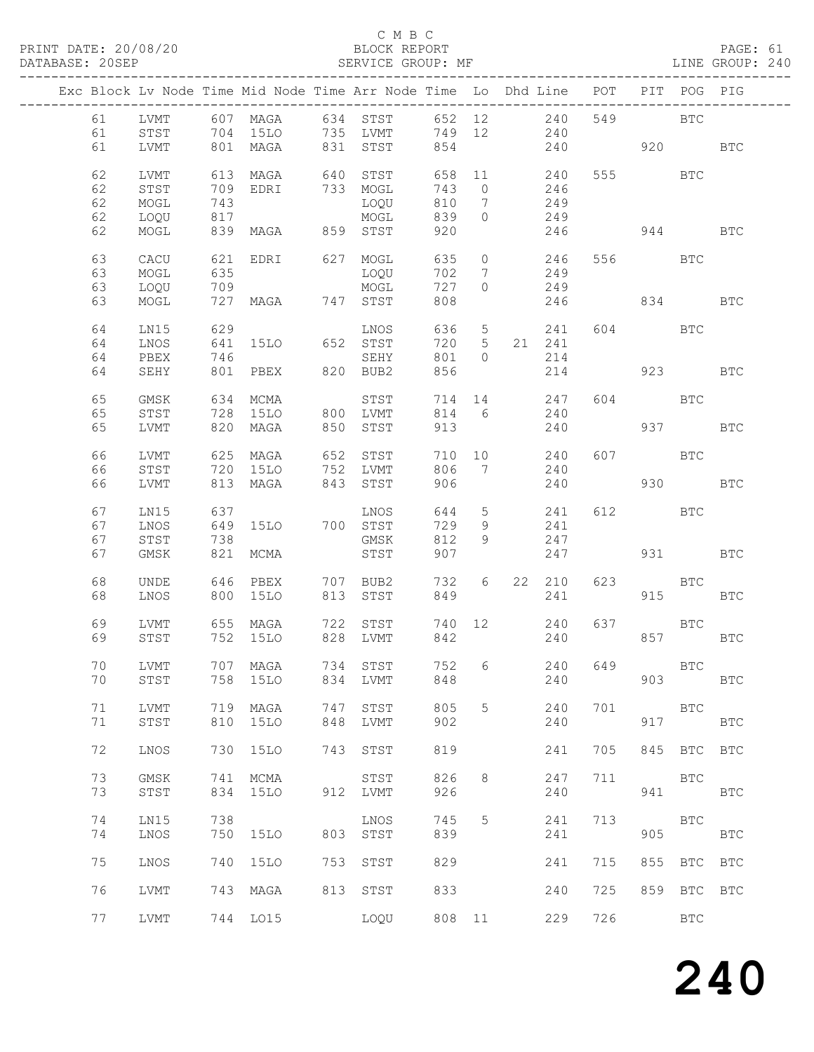#### C M B C<br>BLOCK REPORT

PAGE: 61<br>LINE GROUP: 240

|    |             |     |                   |     | Exc Block Lv Node Time Mid Node Time Arr Node Time Lo Dhd Line POT |        |                 |   |                             |               |            | PIT POG PIG |              |
|----|-------------|-----|-------------------|-----|--------------------------------------------------------------------|--------|-----------------|---|-----------------------------|---------------|------------|-------------|--------------|
| 61 |             |     |                   |     | LVMT 607 MAGA 634 STST 652 12 240                                  |        |                 |   |                             |               | 549 BTC    |             |              |
| 61 | STST        |     |                   |     | 704 15LO 735 LVMT                                                  | 749 12 |                 |   | 240                         |               |            |             |              |
| 61 | LVMT        |     |                   |     | 801 MAGA 831 STST                                                  | 854    |                 |   | 240                         | 920 BTC       |            |             |              |
|    |             |     |                   |     |                                                                    |        |                 |   |                             |               |            |             |              |
| 62 | LVMT        |     | 613 MAGA          |     | 640 STST                                                           |        |                 |   | $658$ 11 240<br>$743$ 0 246 |               | 555 BTC    |             |              |
| 62 | STST        |     | 709 EDRI          |     | 733 MOGL                                                           | 743 0  |                 |   | 246                         |               |            |             |              |
| 62 | MOGL        | 743 |                   |     | LOQU                                                               | 810    | $7\overline{ }$ |   | 249                         |               |            |             |              |
| 62 | LOQU        | 817 |                   |     | MOGL                                                               | 839    | $\overline{0}$  |   | 249                         |               |            |             |              |
| 62 | MOGL        |     | 839 MAGA 859 STST |     |                                                                    | 920    |                 |   | 246                         | 944           |            |             | BTC          |
|    |             |     |                   |     |                                                                    |        |                 |   |                             |               |            |             |              |
| 63 | CACU        |     |                   |     | 621 EDRI 627 MOGL                                                  | 635    |                 |   | $0 \qquad \qquad 246$       |               | 556 BTC    |             |              |
| 63 | MOGL        | 635 |                   |     | LOQU                                                               | 702    |                 | 7 | 249                         |               |            |             |              |
| 63 | LOQU        | 709 |                   |     | MOGL                                                               | 727    | $\Omega$        |   | 249                         |               |            |             |              |
| 63 | MOGL        |     | 727 MAGA 747 STST |     |                                                                    | 808    |                 |   | 246                         |               | 834        |             | BTC          |
|    |             |     |                   |     |                                                                    |        |                 |   |                             |               |            |             |              |
| 64 | LN15        | 629 |                   |     | LNOS                                                               | 636    |                 |   | 5 241                       |               | 604 60     | BTC         |              |
| 64 | LNOS        | 641 | 15LO 652 STST     |     |                                                                    | 720 5  |                 |   | 21 241                      |               |            |             |              |
| 64 | PBEX        | 746 |                   |     | SEHY                                                               | 801 0  |                 |   | 214                         |               |            |             |              |
| 64 | SEHY        |     | 801 PBEX          |     | 820 BUB2                                                           | 856    |                 |   | 214                         | 923 BTC       |            |             |              |
|    |             |     |                   |     |                                                                    |        |                 |   |                             |               |            |             |              |
| 65 | GMSK        |     | 634 MCMA          |     | STST                                                               | 714 14 |                 |   | 247                         |               | 604 BTC    |             |              |
| 65 | STST        |     | 728 15LO          |     | 800 LVMT                                                           | 814 6  |                 |   | 240                         |               |            |             |              |
| 65 | LVMT        |     | 820 MAGA          | 850 | STST                                                               | 913    |                 |   | 240                         |               |            | 937 — 100   | <b>BTC</b>   |
|    |             |     |                   |     |                                                                    |        |                 |   |                             |               |            |             |              |
| 66 | LVMT        |     | 625 MAGA          |     | 652 STST                                                           | 710 10 |                 |   | 240                         |               | 607 BTC    |             |              |
| 66 | STST        |     | 720 15LO          |     | 752 LVMT                                                           | 806 7  |                 |   | 240                         |               |            |             |              |
| 66 | LVMT        |     | 813 MAGA          |     | 843 STST                                                           | 906    |                 |   |                             |               |            | 930 BTC     |              |
|    |             |     |                   |     |                                                                    |        |                 |   | 240                         |               |            |             |              |
| 67 | LN15        | 637 |                   |     | LNOS                                                               | 644 5  |                 |   |                             |               | 612 BTC    |             |              |
|    |             |     |                   |     |                                                                    |        |                 |   | 241                         |               |            |             |              |
| 67 | LNOS        |     | 649 15LO 700 STST |     |                                                                    | 729    | 9               |   | 241                         |               |            |             |              |
| 67 | STST        | 738 |                   |     | GMSK                                                               | 812    | 9               |   | 247                         |               |            |             |              |
| 67 | GMSK        |     | 821 MCMA          |     | STST                                                               | 907    |                 |   | 247                         |               |            | 931 — 100   | <b>BTC</b>   |
|    |             |     |                   |     |                                                                    |        |                 |   |                             |               |            |             |              |
| 68 | UNDE        |     |                   |     | 1946 PBEX 707 BUB2<br>אתר היותר 1512 STST                          | 732 6  |                 |   | 22 210                      | 623           | <b>BTC</b> |             |              |
| 68 | LNOS        |     | 800 15LO          |     | 813 STST                                                           | 849    |                 |   | 241                         |               |            | 915         | BTC          |
|    |             |     |                   |     |                                                                    |        |                 |   |                             |               |            |             |              |
| 69 | LVMT        |     |                   |     | 655 MAGA 722 STST                                                  |        |                 |   | 740 12 240                  |               | 637 BTC    |             |              |
| 69 | STST        |     | 752 15LO          |     | 828 LVMT                                                           | 842    |                 |   | 240                         |               |            | 857 — 100   | BTC          |
|    |             |     |                   |     |                                                                    |        |                 |   |                             |               |            |             |              |
| 70 | LVMT        |     |                   |     | 707 MAGA 734 STST                                                  |        |                 |   |                             | 752 6 240 649 |            | BTC         |              |
| 70 | STST        | 758 | 15LO              | 834 | LVMT                                                               | 848    |                 |   | 240                         |               | 903        |             | <b>BTC</b>   |
|    |             |     |                   |     |                                                                    |        |                 |   |                             |               |            |             |              |
| 71 | LVMT        | 719 | MAGA              | 747 | STST                                                               | 805    | 5               |   | 240                         | 701           |            | BTC         |              |
| 71 | STST        | 810 | <b>15LO</b>       | 848 | LVMT                                                               | 902    |                 |   | 240                         |               | 917        |             | $_{\rm BTC}$ |
|    |             |     |                   |     |                                                                    |        |                 |   |                             |               |            |             |              |
| 72 | LNOS        | 730 | 15LO              | 743 | STST                                                               | 819    |                 |   | 241                         | 705           |            | 845 BTC BTC |              |
|    |             |     |                   |     |                                                                    |        |                 |   |                             |               |            |             |              |
| 73 | GMSK        | 741 | MCMA              |     | STST                                                               | 826    | 8               |   | 247                         | 711           |            | BTC         |              |
| 73 | STST        | 834 | 15LO              | 912 | LVMT                                                               | 926    |                 |   | 240                         |               |            | 941 000     | <b>BTC</b>   |
|    |             |     |                   |     |                                                                    |        |                 |   |                             |               |            |             |              |
| 74 | LN15        | 738 |                   |     | LNOS                                                               | 745    | 5               |   | 241                         | 713           |            | BTC         |              |
| 74 | LNOS        | 750 | <b>15LO</b>       | 803 | STST                                                               | 839    |                 |   | 241                         |               | 905        |             | $_{\rm BTC}$ |
|    |             |     |                   |     |                                                                    |        |                 |   |                             |               |            |             |              |
| 75 | LNOS        | 740 | 15LO              | 753 | STST                                                               | 829    |                 |   | 241                         | 715           |            | 855 BTC     | <b>BTC</b>   |
|    |             |     |                   |     |                                                                    |        |                 |   |                             |               |            |             |              |
| 76 | LVMT        |     | 743 MAGA          | 813 | STST                                                               | 833    |                 |   | 240                         | 725           |            | 859 BTC     | <b>BTC</b>   |
|    |             |     |                   |     |                                                                    |        |                 |   |                             |               |            |             |              |
| 77 | <b>LVMT</b> |     | 744 LO15          |     | LOQU                                                               | 808 11 |                 |   | 229                         | 726           |            | <b>BTC</b>  |              |
|    |             |     |                   |     |                                                                    |        |                 |   |                             |               |            |             |              |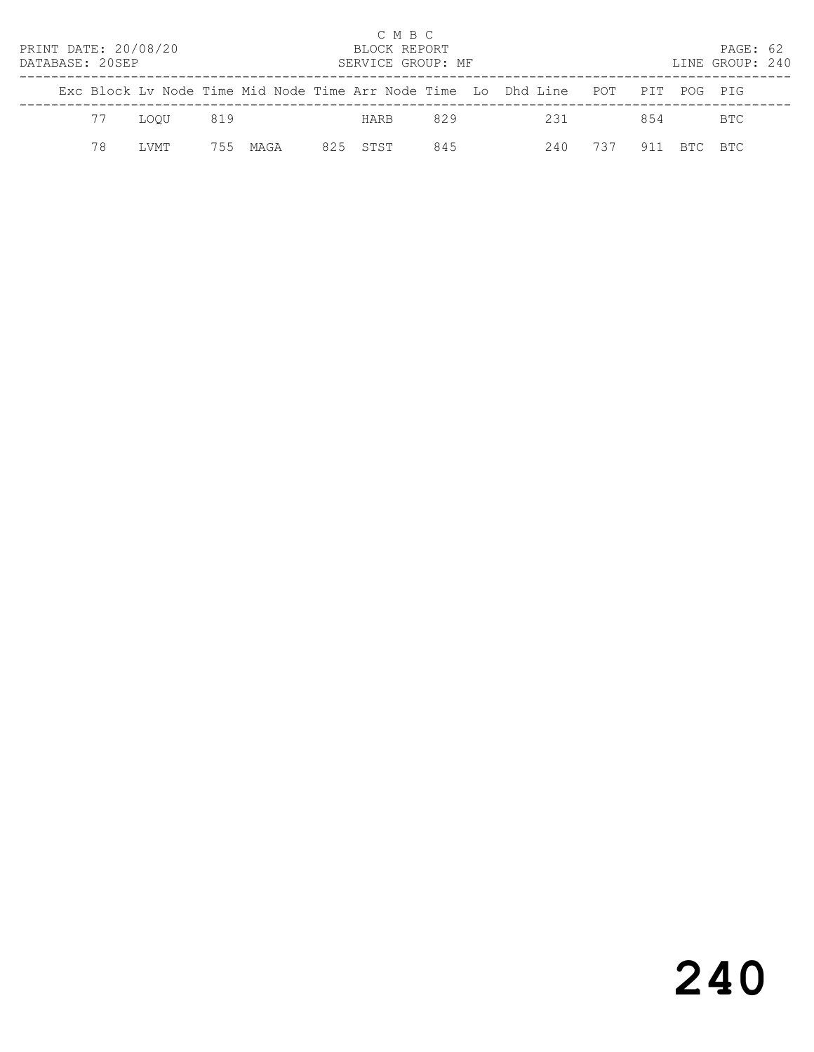| PRINT DATE: 20/08/20<br>DATABASE: 20SEP |    |       |     |      |     | C M B C<br>BLOCK REPORT<br>SERVICE GROUP: MF |     |                                                                    |               |             | PAGE: 62<br>LINE GROUP: 240 |  |
|-----------------------------------------|----|-------|-----|------|-----|----------------------------------------------|-----|--------------------------------------------------------------------|---------------|-------------|-----------------------------|--|
|                                         |    |       |     |      |     |                                              |     | Exc Block Ly Node Time Mid Node Time Arr Node Time Lo Dhd Line POT |               | PIT POG PIG |                             |  |
|                                         | 77 | LOOU  | 819 |      |     | HARB                                         | 829 | 231                                                                |               | 854         | BTC.                        |  |
|                                         | 78 | T.VMT | 755 | MAGA | 825 | STST                                         | 845 | 240                                                                | $\frac{1}{2}$ |             | RTC RTC                     |  |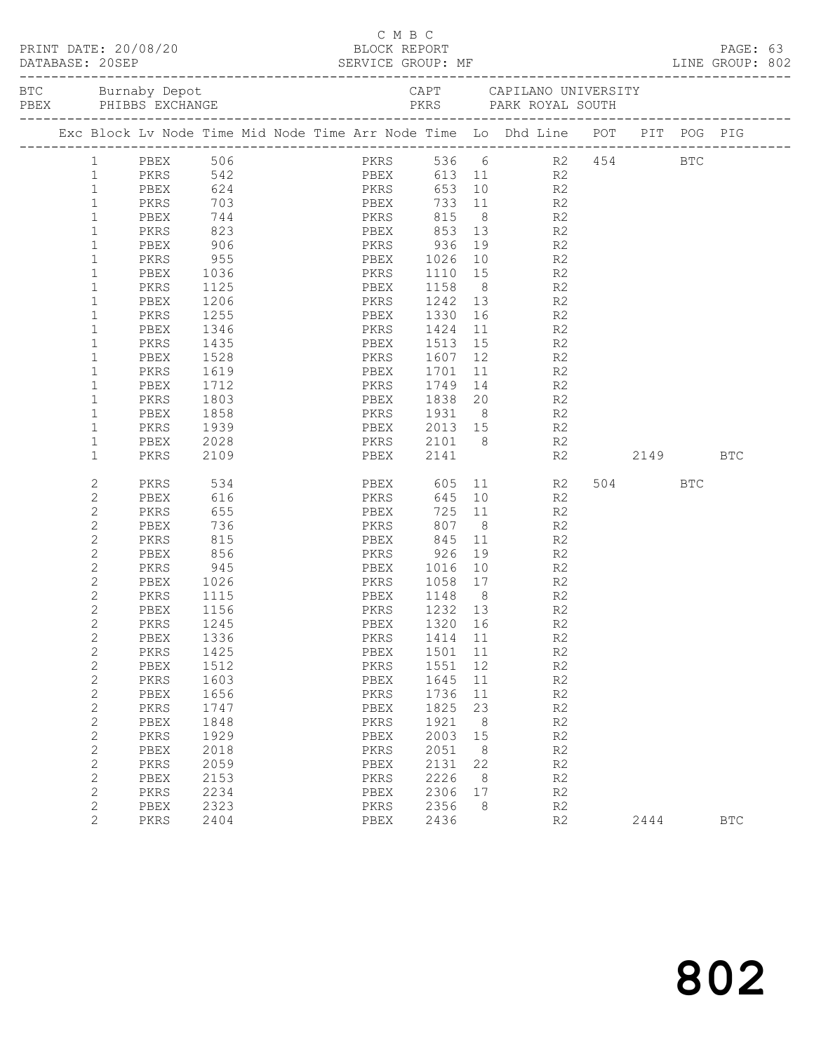| PRINT DATE: 20/08/20 |                              |                                                                                                        |                         |  |  |          |      | C M B C | BLOCK REPORT                      |    |                                                                                                   |                |             |         | PAGE: 63<br>LINE GROUP: 802 |  |
|----------------------|------------------------------|--------------------------------------------------------------------------------------------------------|-------------------------|--|--|----------|------|---------|-----------------------------------|----|---------------------------------------------------------------------------------------------------|----------------|-------------|---------|-----------------------------|--|
|                      |                              | BTC Burnaby Depot Burnacy Depot CAPT CAPILANO UNIVERSITY<br>PEEX PHIBBS EXCHANGE PERS PARK ROYAL SOUTH |                         |  |  |          |      |         |                                   |    |                                                                                                   |                |             |         |                             |  |
|                      |                              | Exc Block Lv Node Time Mid Node Time Arr Node Time Lo Dhd Line POT PIT POG PIG                         |                         |  |  |          |      |         |                                   |    |                                                                                                   |                |             |         |                             |  |
|                      | $\mathbf{1}$                 |                                                                                                        |                         |  |  |          |      |         | PKRS 536 6                        |    |                                                                                                   |                | R2 454 BTC  |         |                             |  |
|                      | $\mathbf{1}$                 |                                                                                                        |                         |  |  |          |      |         | PBEX 613 11 R2                    |    |                                                                                                   |                |             |         |                             |  |
|                      | $\mathbf{1}$                 | PBEX                                                                                                   |                         |  |  | 624 PKRS |      |         |                                   |    | 653 10                                                                                            | R2             |             |         |                             |  |
|                      | $\mathbf{1}$                 | PKRS                                                                                                   | $703$<br>$744$<br>$823$ |  |  |          |      |         |                                   |    |                                                                                                   | R2             |             |         |                             |  |
|                      | $\mathbf{1}$                 | PBEX                                                                                                   |                         |  |  |          |      |         |                                   |    |                                                                                                   | R2             |             |         |                             |  |
|                      | $\mathbf{1}$                 | PKRS                                                                                                   |                         |  |  |          |      |         | PBEX 853 13 R2                    |    |                                                                                                   |                |             |         |                             |  |
|                      | $\mathbf{1}$                 | PBEX                                                                                                   | 906                     |  |  |          |      |         | PKRS 936 19 R2                    |    |                                                                                                   |                |             |         |                             |  |
|                      | $\mathbf{1}$                 | PKRS                                                                                                   | 955                     |  |  |          |      |         | PBEX 1026                         |    | 10 R2                                                                                             |                |             |         |                             |  |
|                      | $\mathbf{1}$                 | PBEX                                                                                                   | 1036                    |  |  |          |      |         | PKRS 1110 15 R2<br>PBEX 1158 8 R2 |    |                                                                                                   |                |             |         |                             |  |
|                      | $\mathbf{1}$                 | PKRS                                                                                                   | 1125                    |  |  |          |      |         |                                   |    |                                                                                                   |                |             |         |                             |  |
|                      | $\mathbf{1}$                 | PBEX                                                                                                   | 1206                    |  |  |          |      |         | PKRS 1242 13 R2                   |    |                                                                                                   |                |             |         |                             |  |
|                      | $\mathbf{1}$                 | PKRS                                                                                                   | 1255                    |  |  |          |      |         | PBEX 1330                         |    |                                                                                                   | R2             |             |         |                             |  |
|                      | 1                            | PBEX                                                                                                   | 1346<br>1435            |  |  |          |      |         | PKRS 1424<br>PBEX 1513            |    | $\begin{array}{ccc} 11 & \text{R2} \\ 15 & \text{R2} \end{array}$                                 |                |             |         |                             |  |
|                      | $\mathbf 1$                  | PKRS                                                                                                   |                         |  |  |          |      |         | PKRS 1607 12 R2                   |    |                                                                                                   |                |             |         |                             |  |
|                      | $\mathbf 1$                  | PBEX                                                                                                   | 1528                    |  |  |          |      |         |                                   |    |                                                                                                   |                |             |         |                             |  |
|                      | $\mathbf 1$<br>1             | PKRS                                                                                                   | 1619<br>1712            |  |  |          |      |         | PBEX 1701                         |    | 11                                                                                                | R2             |             |         |                             |  |
|                      | 1                            | PBEX                                                                                                   | 1803                    |  |  |          |      |         |                                   |    | $\begin{array}{ccc} 14 & \phantom{000} & \text{R2} \\ 20 & \phantom{000} & \text{R2} \end{array}$ |                |             |         |                             |  |
|                      | $\mathbf 1$                  | PKRS<br>PBEX                                                                                           | 1858                    |  |  |          |      |         | PKRS 1931 8 R2                    |    |                                                                                                   |                |             |         |                             |  |
|                      | $\mathbf{1}$                 | PKRS                                                                                                   | 1939                    |  |  |          |      |         | PBEX 2013 15 R2                   |    |                                                                                                   |                |             |         |                             |  |
|                      | $\mathbf{1}$                 | PBEX                                                                                                   | 2028                    |  |  |          |      |         |                                   |    |                                                                                                   |                |             |         |                             |  |
|                      | $\mathbf{1}$                 | PKRS                                                                                                   | 2109                    |  |  |          |      |         | PKRS 2101 8 R2<br>PBEX 2141 R2    |    |                                                                                                   |                | R2 2149 BTC |         |                             |  |
|                      | 2                            | PKRS                                                                                                   | 534                     |  |  |          |      |         |                                   |    |                                                                                                   | PBEX 605 11 R2 |             | 504 BTC |                             |  |
|                      | 2                            | PBEX                                                                                                   | 616                     |  |  |          | PKRS |         | 645                               |    | 10                                                                                                | R2             |             |         |                             |  |
|                      | $\mathbf{2}$                 | PKRS                                                                                                   | 655                     |  |  |          | PBEX |         |                                   |    | 725 11<br>807 8                                                                                   | R2             |             |         |                             |  |
|                      | 2                            | PBEX                                                                                                   | 736                     |  |  |          | PKRS |         |                                   |    |                                                                                                   | R2             |             |         |                             |  |
|                      | $\overline{c}$               | PKRS                                                                                                   | 815                     |  |  |          |      |         | PBEX 845                          |    | 11 — 1                                                                                            | R <sub>2</sub> |             |         |                             |  |
|                      | $\overline{c}$               | PBEX                                                                                                   | 856                     |  |  |          |      |         |                                   |    | 19                                                                                                | R <sub>2</sub> |             |         |                             |  |
|                      | $\overline{c}$               | PKRS                                                                                                   | 945<br>1026             |  |  |          |      |         | PKRS 1058 17                      |    |                                                                                                   | R2             |             |         |                             |  |
|                      | $\mathbf{2}$<br>$\mathbf{2}$ | PBEX<br>PKRS                                                                                           | 1115                    |  |  |          |      |         | PBEX 1148 8 R2                    |    |                                                                                                   | R2             |             |         |                             |  |
|                      | 2                            | PBEX                                                                                                   | 1156                    |  |  |          |      |         | 1232 13                           |    |                                                                                                   | R <sub>2</sub> |             |         |                             |  |
|                      | $\mathbf{2}$                 | PKRS 1245                                                                                              |                         |  |  | PKRS     |      |         | PBEX 1320 16                      |    |                                                                                                   | R2             |             |         |                             |  |
|                      | 2                            | PBEX                                                                                                   | 1336                    |  |  |          | PKRS |         | 1414                              | 11 |                                                                                                   | R2             |             |         |                             |  |
|                      | 2                            | PKRS                                                                                                   | 1425                    |  |  |          | PBEX |         | 1501                              | 11 |                                                                                                   | R2             |             |         |                             |  |
|                      | $\mathbf{2}$                 | PBEX                                                                                                   | 1512                    |  |  |          | PKRS |         | 1551                              | 12 |                                                                                                   | R2             |             |         |                             |  |
|                      | $\mathbf{2}$                 | PKRS                                                                                                   | 1603                    |  |  |          | PBEX |         | 1645                              | 11 |                                                                                                   | R2             |             |         |                             |  |
|                      | $\mathbf{2}$                 | PBEX                                                                                                   | 1656                    |  |  |          | PKRS |         | 1736                              | 11 |                                                                                                   | $\mathbb{R}2$  |             |         |                             |  |
|                      | 2                            | PKRS                                                                                                   | 1747                    |  |  |          | PBEX |         | 1825                              | 23 |                                                                                                   | R2             |             |         |                             |  |
|                      | $\mathbf{2}$                 | PBEX                                                                                                   | 1848                    |  |  |          | PKRS |         | 1921                              | 8  |                                                                                                   | R2             |             |         |                             |  |
|                      | $\sqrt{2}$                   | PKRS                                                                                                   | 1929                    |  |  |          | PBEX |         | 2003                              | 15 |                                                                                                   | R2             |             |         |                             |  |
|                      | $\mathbf{2}$                 | PBEX                                                                                                   | 2018                    |  |  |          | PKRS |         | 2051                              | 8  |                                                                                                   | R2             |             |         |                             |  |
|                      | $\mathbf{2}$                 | PKRS                                                                                                   | 2059                    |  |  |          | PBEX |         | 2131                              | 22 |                                                                                                   | R2             |             |         |                             |  |
|                      | $\mathbf{2}$                 | PBEX                                                                                                   | 2153                    |  |  |          | PKRS |         | 2226                              | 8  |                                                                                                   | R2             |             |         |                             |  |
|                      | $\mathbf{2}$                 | PKRS                                                                                                   | 2234                    |  |  |          | PBEX |         | 2306                              | 17 |                                                                                                   | R2             |             |         |                             |  |
|                      | $\mathbf{2}$                 | PBEX                                                                                                   | 2323                    |  |  |          | PKRS |         | 2356                              | 8  |                                                                                                   | R2             |             |         |                             |  |
|                      | $\overline{2}$               | PKRS                                                                                                   | 2404                    |  |  |          | PBEX |         | 2436                              |    |                                                                                                   | R2             |             | 2444    | <b>BTC</b>                  |  |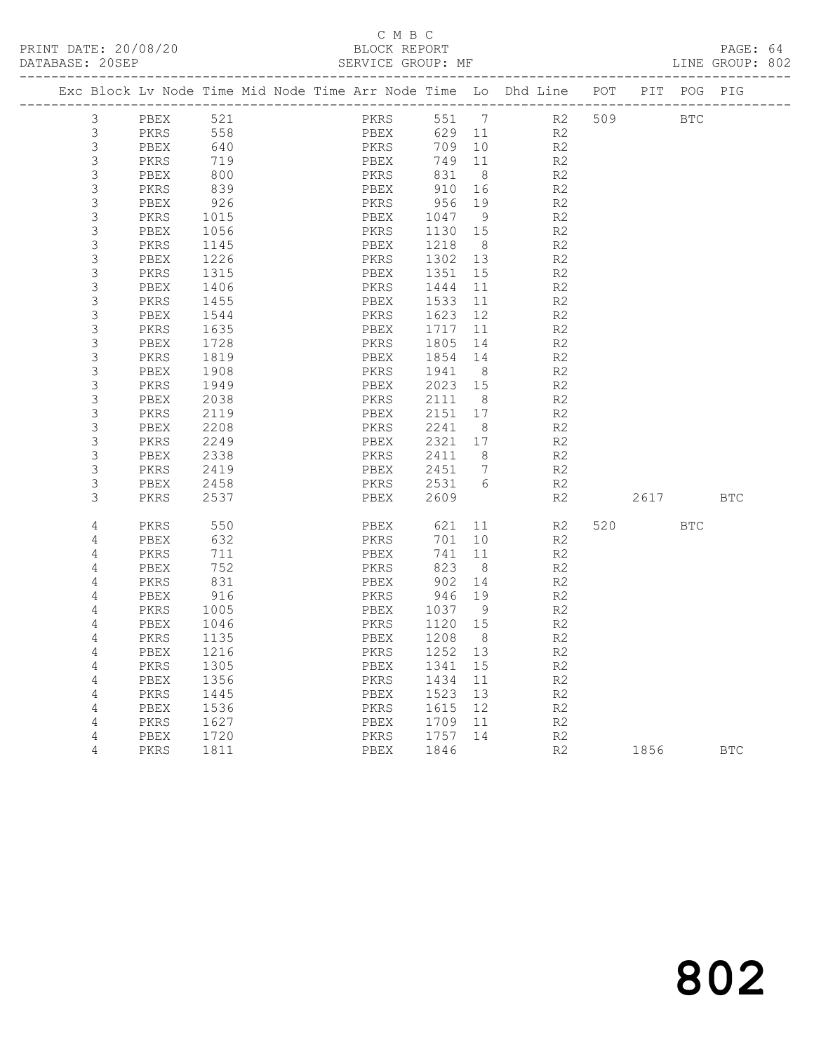# C M B C<br>BLOCK REPORT<br>SERVICE GROUP: MF

| PRINT DATE: 20/08/20<br>DATABASE: 20SEP |                                                                                |              |  | BLOCK REPORT | C M B C      | SERVICE GROUP: MF |                |                                                   |                |          |         | PAGE: 64<br>LINE GROUP: 802 |  |
|-----------------------------------------|--------------------------------------------------------------------------------|--------------|--|--------------|--------------|-------------------|----------------|---------------------------------------------------|----------------|----------|---------|-----------------------------|--|
|                                         | Exc Block Lv Node Time Mid Node Time Arr Node Time Lo Dhd Line POT PIT POG PIG |              |  |              |              |                   |                |                                                   |                |          |         |                             |  |
| 3                                       | PBEX 521                                                                       |              |  |              |              |                   |                | PKRS 551 7 R2 509 BTC                             |                |          |         |                             |  |
| $\mathfrak{Z}$                          | <b>PKRS</b> 558                                                                |              |  |              |              |                   |                | PBEX 629 11 R2                                    |                |          |         |                             |  |
| 3                                       | PBEX                                                                           | 640          |  |              |              |                   |                | PKRS 709 10 R2<br>PBEX 749 11 R2<br>PKRS 831 8 R2 |                |          |         |                             |  |
| 3                                       | PKRS                                                                           | 719          |  |              |              |                   |                |                                                   |                |          |         |                             |  |
| 3                                       | PBEX                                                                           | 800          |  |              |              |                   |                |                                                   |                |          |         |                             |  |
| 3                                       | PKRS                                                                           | 839          |  |              |              |                   |                | PBEX 910 16 R2                                    |                |          |         |                             |  |
| 3                                       | PBEX                                                                           |              |  |              |              | PKRS 956 19       |                | R2                                                |                |          |         |                             |  |
| 3                                       | PKRS                                                                           | $926$ $1015$ |  |              |              | PBEX 1047 9       |                |                                                   | R2             |          |         |                             |  |
| 3                                       | PBEX                                                                           | 1056         |  |              |              | PKRS 1130 15      |                |                                                   | R2             |          |         |                             |  |
| 3                                       | PKRS                                                                           | 1145         |  | PBEX         |              | 1218 8            |                |                                                   | R2             |          |         |                             |  |
| 3                                       | PBEX                                                                           | 1226         |  |              |              | PKRS 1302 13      |                | R <sub>2</sub>                                    |                |          |         |                             |  |
| 3                                       | PKRS                                                                           | 1315         |  | PBEX         |              | 1351 15           |                |                                                   | R2             |          |         |                             |  |
| 3                                       | PBEX                                                                           | 1406         |  | PKRS         |              | 1444 11           |                |                                                   | R2             |          |         |                             |  |
| 3                                       | PKRS                                                                           | 1455         |  | PBEX         |              |                   |                | 1533 11 R2                                        |                |          |         |                             |  |
| 3                                       | PBEX                                                                           | 1544         |  |              | PKRS         |                   |                | 1623 12 R2                                        |                |          |         |                             |  |
| 3                                       | PKRS                                                                           |              |  | PBEX         |              | 1717  11          |                |                                                   | R2             |          |         |                             |  |
| 3                                       | PBEX                                                                           | 1635<br>1728 |  | PKRS         |              | 1805 14           |                |                                                   | R2             |          |         |                             |  |
| 3                                       | PKRS                                                                           | 1819         |  | PBEX         |              |                   |                | 1854 14 R2                                        |                |          |         |                             |  |
| 3                                       | PBEX                                                                           | 1908         |  |              | PKRS         | 1941              | 8 <sup>1</sup> |                                                   | R <sub>2</sub> |          |         |                             |  |
| 3                                       | PKRS                                                                           | 1949         |  | PBEX         |              | 2023 15           |                |                                                   | R2             |          |         |                             |  |
| 3                                       | PBEX                                                                           | 2038         |  | PKRS         |              | 2111 8            |                |                                                   | R <sub>2</sub> |          |         |                             |  |
| 3                                       | PKRS                                                                           | 2119         |  | PBEX         |              |                   |                | 2151 17 R2                                        |                |          |         |                             |  |
| 3                                       | PBEX                                                                           | 2208         |  |              | PKRS         | 2241 8            |                | R2                                                |                |          |         |                             |  |
| 3                                       | PKRS                                                                           |              |  | PBEX         |              | 2321 17           |                |                                                   | R2             |          |         |                             |  |
| 3                                       | PBEX                                                                           | 2249<br>2338 |  | PKRS         |              | 2411 8            |                |                                                   | R2             |          |         |                             |  |
| 3                                       | PKRS                                                                           | 2419         |  |              |              | PBEX 2451 7       |                | R2                                                |                |          |         |                             |  |
| 3                                       | PBEX                                                                           | 2458         |  |              |              |                   |                | PKRS 2531 6 R2                                    |                |          |         |                             |  |
| 3                                       | PKRS                                                                           | 2537         |  |              | PBEX         | 2609              |                |                                                   | R2             | 2617 BTC |         |                             |  |
| 4                                       | PKRS                                                                           | 550          |  |              | PBEX         |                   |                | 621 11 R2                                         |                |          | 520 BTC |                             |  |
| 4                                       | PBEX                                                                           | 632          |  |              | PKRS         |                   |                | 701 10 R2                                         |                |          |         |                             |  |
| 4                                       | PKRS                                                                           | 711          |  | PBEX         |              | 741 11            |                | R2                                                |                |          |         |                             |  |
| 4                                       | PBEX                                                                           | 752          |  |              | FBEX<br>PKRS | 823 8             |                |                                                   | R2             |          |         |                             |  |
| 4                                       | PKRS                                                                           | 831          |  |              |              | PBEX 902 14       |                |                                                   | R2             |          |         |                             |  |
| 4                                       | PBEX                                                                           | 916          |  |              |              | PKRS 946 19       |                | R2                                                |                |          |         |                             |  |
| 4                                       | PKRS                                                                           | 1005         |  | PBEX         |              | 1037 9            |                |                                                   | R2             |          |         |                             |  |
| 4                                       | PBEX 1046                                                                      |              |  |              |              | PKRS 1120 15      |                |                                                   | R <sub>2</sub> |          |         |                             |  |
| 4                                       | PKRS                                                                           | 1135         |  | PBEX         |              | 1208              | 8              |                                                   | R2             |          |         |                             |  |
| 4                                       | PBEX                                                                           | 1216         |  | PKRS         |              | 1252              | 13             |                                                   | R2             |          |         |                             |  |
| 4                                       | PKRS                                                                           | 1305         |  | PBEX         |              | 1341              | 15             |                                                   | $\mathbb{R}2$  |          |         |                             |  |
| 4                                       | PBEX                                                                           | 1356         |  | PKRS         |              | 1434              | 11             |                                                   | $\mathbb{R}2$  |          |         |                             |  |
| 4                                       | PKRS                                                                           | 1445         |  | PBEX         |              | 1523              | 13             |                                                   | $\mathbb{R}2$  |          |         |                             |  |
| 4                                       | PBEX                                                                           | 1536         |  | PKRS         |              | 1615              | 12             |                                                   | $\mathbb{R}2$  |          |         |                             |  |
| 4                                       | PKRS                                                                           | 1627         |  | PBEX         |              | 1709              | 11             |                                                   | $\mathbb{R}2$  |          |         |                             |  |
| 4                                       | PBEX                                                                           | 1720         |  | PKRS         |              | 1757              | 14             |                                                   | $\mathbb{R}2$  |          |         |                             |  |
| 4                                       | PKRS                                                                           | 1811         |  | PBEX         |              | 1846              |                |                                                   | $\mathbb{R}2$  |          | 1856    | $_{\rm BTC}$                |  |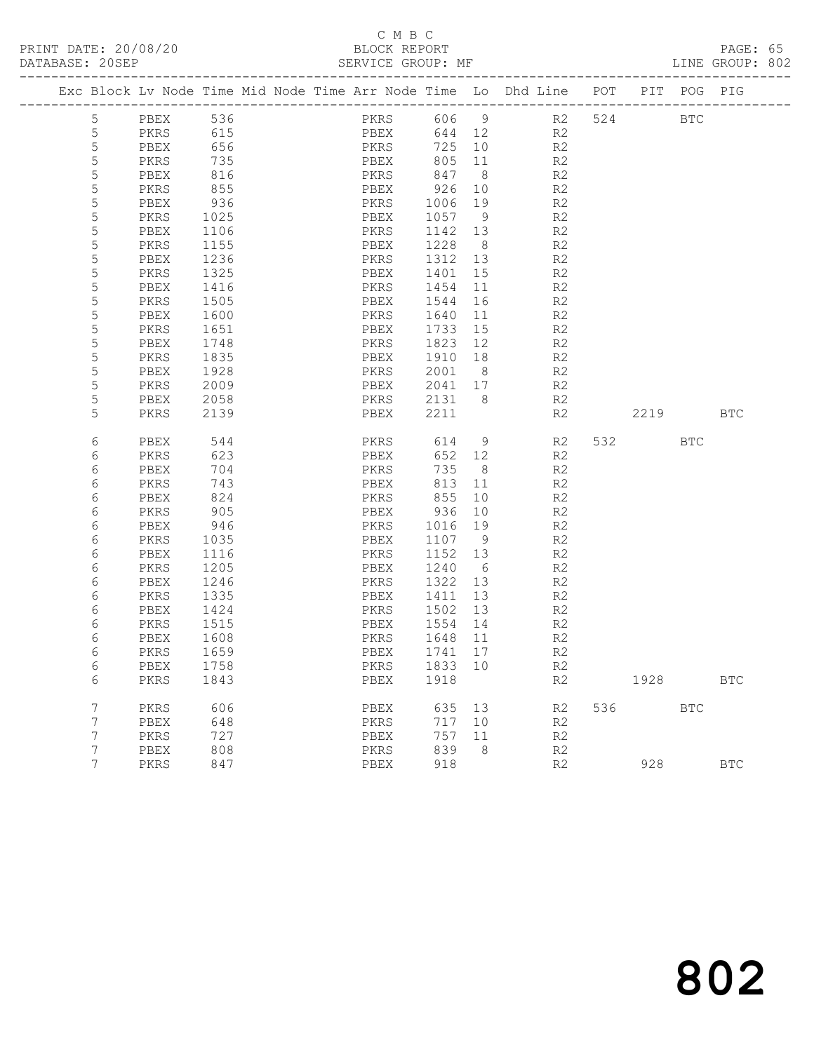#### C M B C<br>BLOCK REPORT SERVICE GROUP: MF

| Exc Block Lv Node Time Mid Node Time Arr Node Time Lo Dhd Line POT |           |            |  |      |                             |                 |    |                                 |                | PIT POG PIG |            |
|--------------------------------------------------------------------|-----------|------------|--|------|-----------------------------|-----------------|----|---------------------------------|----------------|-------------|------------|
| 5                                                                  | PBEX      |            |  |      |                             |                 |    |                                 | 524            | BTC         |            |
| 5                                                                  | PKRS      | 536<br>615 |  |      |                             |                 |    | PKRS 606 9 R2<br>PBEX 644 12 R2 |                |             |            |
| 5                                                                  | PBEX      | 656        |  | PKRS | 725 10                      |                 | R2 |                                 |                |             |            |
| 5                                                                  | PKRS      | 735        |  | PBEX | 805 11                      |                 |    | R2                              |                |             |            |
| 5                                                                  | PBEX      | 816        |  | PKRS |                             |                 |    | R2                              |                |             |            |
| $\mathsf S$                                                        | PKRS      | 855        |  | PBEX | $847$ 8<br>926 10<br>926 10 |                 |    | R2                              |                |             |            |
| 5                                                                  | PBEX      | 936        |  |      | PKRS 1006 19                |                 |    | R2                              |                |             |            |
| 5                                                                  | PKRS      | 1025       |  | PBEX | 1057 9                      |                 |    | R2                              |                |             |            |
| 5                                                                  | PBEX      | 1106       |  | PKRS | 1142 13                     |                 |    | R2                              |                |             |            |
| 5                                                                  | PKRS      | 1155       |  | PBEX | 1228 8                      |                 |    | R2                              |                |             |            |
| $\mathsf S$                                                        | PBEX      | 1236       |  |      | PKRS 1312 13                |                 |    | R <sub>2</sub>                  |                |             |            |
| 5                                                                  | PKRS      | 1325       |  | PBEX | 1401 15                     |                 |    | R2                              |                |             |            |
| 5                                                                  | PBEX      | 1416       |  | PKRS | 1454                        | 11              |    | R2                              |                |             |            |
| 5                                                                  | PKRS      | 1505       |  | PBEX | 1544                        | 16              |    | R2                              |                |             |            |
| $\mathsf S$                                                        | PBEX      | 1600       |  | PKRS | 1640                        | 11              |    | R2                              |                |             |            |
| 5                                                                  | PKRS      | 1651       |  | PBEX | 1733 15                     |                 |    | R2                              |                |             |            |
| 5                                                                  | PBEX      | 1748       |  | PKRS | 1823 12                     |                 |    | R2                              |                |             |            |
| 5                                                                  | PKRS      | 1835       |  | PBEX | 1910 18                     |                 |    | R2                              |                |             |            |
| 5                                                                  | PBEX      | 1928       |  | PKRS | 2001 8                      |                 |    | R2                              |                |             |            |
| 5                                                                  | PKRS      | 2009       |  |      | PBEX 2041 17                |                 |    | R <sub>2</sub>                  |                |             |            |
| 5                                                                  | PBEX      | 2058       |  | PKRS | 2131 8                      |                 |    | R2                              |                |             |            |
| 5                                                                  | PKRS      | 2139       |  | PBEX | 2211                        |                 |    | R2                              | 2219           |             | BTC        |
|                                                                    |           |            |  |      |                             |                 |    |                                 |                |             |            |
| 6                                                                  | PBEX      | 544        |  | PKRS | 614                         | 9               |    | R2                              | 532 and $\sim$ | BTC         |            |
| 6                                                                  | PKRS      | 623        |  | PBEX | 652 12                      |                 |    | R2                              |                |             |            |
| 6                                                                  | PBEX      | 704        |  | PKRS | 735 8                       |                 |    | R2                              |                |             |            |
| 6                                                                  | PKRS      | 743        |  | PBEX | 813 11                      |                 |    | R2                              |                |             |            |
| 6                                                                  | PBEX      | 824        |  | PKRS | 855                         | 10              |    | R2                              |                |             |            |
| 6                                                                  | PKRS      | 905        |  | PBEX | 936                         | 10              |    | R2                              |                |             |            |
| 6                                                                  | PBEX      | 946        |  | PKRS | 1016 19                     |                 |    | R2                              |                |             |            |
| 6                                                                  | PKRS      | 1035       |  | PBEX | 1107 9                      |                 |    | R2                              |                |             |            |
| 6                                                                  | PBEX      | 1116       |  | PKRS | 1152 13                     |                 |    | R2                              |                |             |            |
| 6                                                                  | PKRS      | 1205       |  | PBEX | 1240                        | $6\overline{6}$ |    | R2                              |                |             |            |
| 6                                                                  | PBEX      | 1246       |  | PKRS | 1322 13                     |                 |    | R2                              |                |             |            |
| 6                                                                  | PKRS      | 1335       |  | PBEX | 1411 13                     |                 |    | R2                              |                |             |            |
| 6                                                                  | PBEX      | 1424       |  |      | PKRS 1502 13                |                 |    | R2                              |                |             |            |
| 6                                                                  | PKRS      | 1515       |  | PBEX | 1554 14                     |                 |    | R <sub>2</sub>                  |                |             |            |
| 6                                                                  | PBEX      | 1608       |  | PKRS | 1648 11                     |                 |    | R2                              |                |             |            |
| 6                                                                  | PKRS      | 1659       |  | PBEX | 1741 17                     |                 |    | R <sub>2</sub>                  |                |             |            |
| 6                                                                  | PBEX 1758 |            |  |      | PKRS 1833 10                |                 |    | R2                              |                |             |            |
| 6                                                                  | PKRS      | 1843       |  | PBEX | 1918                        |                 |    | R2                              | 1928           |             | <b>BTC</b> |
| 7                                                                  | PKRS      | 606        |  | PBEX | 635 13                      |                 |    | R2                              | 536 30         | <b>BTC</b>  |            |
| 7                                                                  | PBEX      | 648        |  | PKRS | 717 10                      |                 |    | R2                              |                |             |            |
| 7                                                                  | PKRS      | 727        |  | PBEX | 757                         | 11              |    | R2                              |                |             |            |
| 7                                                                  | PBEX      | 808        |  | PKRS | 839                         | - 8             |    | R2                              |                |             |            |
| 7                                                                  | PKRS      | 847        |  | PBEX | 918                         |                 |    | R2                              | 928            |             | <b>BTC</b> |
|                                                                    |           |            |  |      |                             |                 |    |                                 |                |             |            |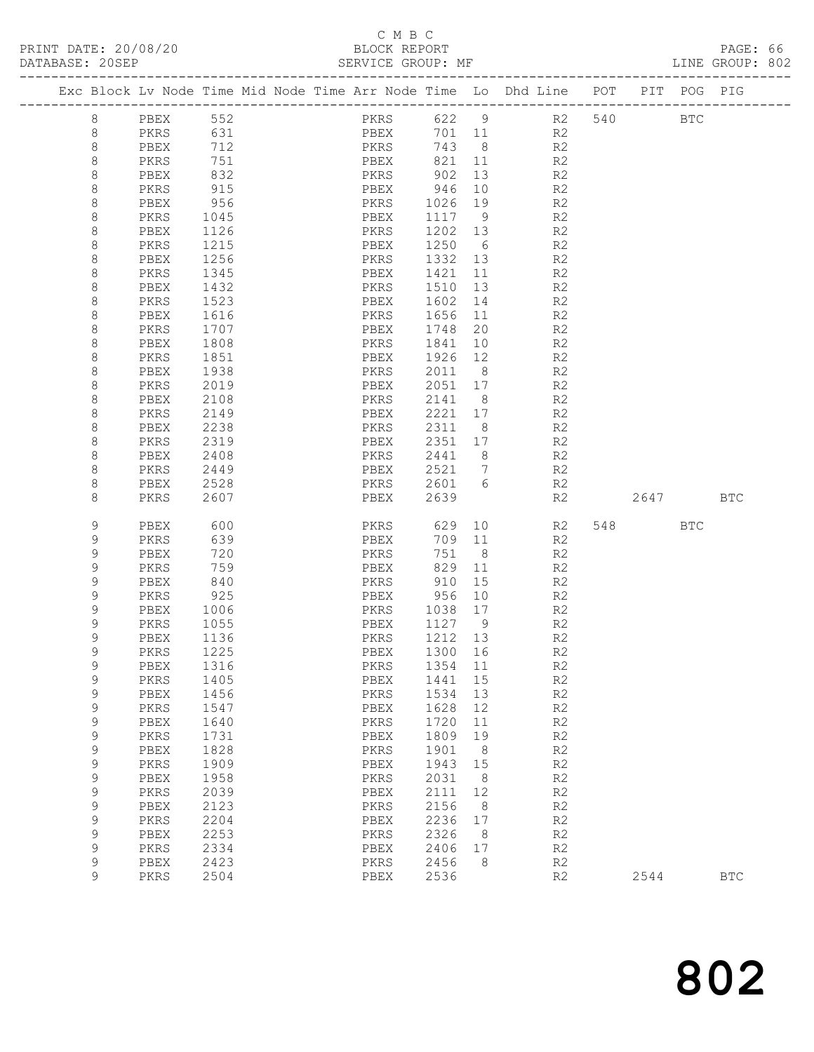### C M B C

| DATABASE: 20SEP |             |              |                  | . _ _ _ _ _ _ _ _ _ _ _ _ _ _ _ _ _ | SERVICE GROUP: MF    |                   |                |                                                                                |      |     | LINE GROUP: 802 |  |
|-----------------|-------------|--------------|------------------|-------------------------------------|----------------------|-------------------|----------------|--------------------------------------------------------------------------------|------|-----|-----------------|--|
|                 |             |              |                  |                                     |                      |                   |                | Exc Block Lv Node Time Mid Node Time Arr Node Time Lo Dhd Line POT PIT POG PIG |      |     |                 |  |
|                 | 8           | PBEX 552     |                  |                                     | PKRS 622 9           |                   |                | R2 540 BTC                                                                     |      |     |                 |  |
|                 | 8           | PKRS         | 631              |                                     | PBEX                 |                   |                | 701 11 R2                                                                      |      |     |                 |  |
|                 | 8           | PBEX         | 712              |                                     | PKRS                 | 743 8             |                | R2                                                                             |      |     |                 |  |
|                 | 8           | PKRS         | 751              |                                     | PBEX                 | 821 11            |                | R2                                                                             |      |     |                 |  |
|                 | 8           | PBEX         | 832              |                                     |                      |                   | 13             | R2                                                                             |      |     |                 |  |
|                 | 8           | PKRS         | 915              |                                     | PBEX                 | 946               | 10             | R2                                                                             |      |     |                 |  |
|                 | 8           | PBEX         | 956              |                                     | PKRS                 | 1026 19           |                | R2                                                                             |      |     |                 |  |
|                 | 8           | PKRS         | 1045             |                                     | PBEX                 | 1117 9            |                | R2                                                                             |      |     |                 |  |
|                 | 8           | PBEX         | 1126<br>1215     |                                     | PKRS                 | 1202 13           |                | R2                                                                             |      |     |                 |  |
|                 | 8<br>8      | PKRS<br>PBEX | 1256             |                                     | PBEX<br>PKRS         | 1250 6<br>1332 13 |                | R2<br>R2                                                                       |      |     |                 |  |
|                 | 8           | PKRS         | 1345             |                                     | PBEX                 | 1421              | 11             | R2                                                                             |      |     |                 |  |
|                 | 8           | PBEX         | 1432             |                                     | PKRS                 | 1510              | 13             | R2                                                                             |      |     |                 |  |
|                 | 8           | PKRS         | 1523             |                                     | PBEX                 | 1602              | 14             | R2                                                                             |      |     |                 |  |
|                 | 8           | PBEX         | 1616             |                                     | PKRS                 | 1656              | 11             | R2                                                                             |      |     |                 |  |
|                 | 8           | PKRS         | $\frac{1707}{1}$ |                                     | PBEX                 | 1748              | 20             | R2                                                                             |      |     |                 |  |
|                 | 8           | PBEX         | 1808             |                                     | PKRS                 | 1841              | 10             | R2                                                                             |      |     |                 |  |
|                 | 8           | PKRS         | 1851             |                                     | PBEX                 | 1926 12           |                | R2                                                                             |      |     |                 |  |
|                 | 8           | PBEX         | 1938             |                                     | PKRS                 | 2011              | 8 <sup>8</sup> | R2                                                                             |      |     |                 |  |
|                 | 8           | PKRS         | 2019             |                                     | PBEX                 | 2051 17           |                | R2                                                                             |      |     |                 |  |
|                 | 8           | PBEX         | 2108             |                                     | PKRS                 | 2141 8            |                | R <sub>2</sub>                                                                 |      |     |                 |  |
|                 | 8           | PKRS         | 2149             |                                     | PBEX                 | 2221 17           |                | R2                                                                             |      |     |                 |  |
|                 | 8           | PBEX         | 2238             |                                     | PKRS                 | 2311 8            |                | R2                                                                             |      |     |                 |  |
|                 | 8           | PKRS         | 2319             |                                     | PBEX                 | 2351 17           |                | R2                                                                             |      |     |                 |  |
|                 | 8           | PBEX         | 2408             |                                     | PKRS                 | 2441 8            |                | R2                                                                             |      |     |                 |  |
|                 | 8           | PKRS         | 2449             |                                     | PBEX                 | 2521 7            |                | R2                                                                             |      |     |                 |  |
|                 | 8           | PBEX         | 2528             |                                     | PKRS 2601 6          |                   |                | R2                                                                             |      |     |                 |  |
|                 | 8           | PKRS         | 2607             |                                     | PBEX                 | 2639              |                | R2                                                                             | 2647 |     | BTC             |  |
|                 | 9           | PBEX         | 600              |                                     | PKRS                 | 629               |                | 10<br>R2                                                                       |      | BTC |                 |  |
|                 | 9           | PKRS         | 639              |                                     | PBEX                 | 709 11            |                | R2                                                                             |      |     |                 |  |
|                 | 9           | PBEX         | 720              |                                     | PKRS                 | 751 8             |                | R2                                                                             |      |     |                 |  |
|                 | 9           | PKRS         | 759              |                                     | PBEX<br>PKRS         | 829 11            |                | R2                                                                             |      |     |                 |  |
|                 | 9           | PBEX         | 840              |                                     |                      | 910               | 15             | R2                                                                             |      |     |                 |  |
|                 | 9           | PKRS         | 925              |                                     | PBEX                 | 956 10            |                | R2                                                                             |      |     |                 |  |
|                 | 9<br>9      | PBEX<br>PKRS | 1006<br>1055     |                                     | PKRS 1038 17<br>PBEX | 1127 9            |                | R2<br>R2                                                                       |      |     |                 |  |
|                 | 9           | PBEX         | 1136             |                                     | PKRS                 | 1212 13           |                | R <sub>2</sub>                                                                 |      |     |                 |  |
|                 | Q           | PKRS         | 1225             |                                     | PBEX 1300 16         |                   |                | R2                                                                             |      |     |                 |  |
|                 | 9           | PBEX         | 1316             |                                     | PKRS                 | 1354              | 11             | R2                                                                             |      |     |                 |  |
|                 | 9           | PKRS         | 1405             |                                     | PBEX                 | 1441              | 15             | R2                                                                             |      |     |                 |  |
|                 | 9           | PBEX         | 1456             |                                     | PKRS                 | 1534              | 13             | R2                                                                             |      |     |                 |  |
|                 | 9           | PKRS         | 1547             |                                     | PBEX                 | 1628              | 12             | R2                                                                             |      |     |                 |  |
|                 | 9           | PBEX         | 1640             |                                     | PKRS                 | 1720              | 11             | R2                                                                             |      |     |                 |  |
|                 | 9           | PKRS         | 1731             |                                     | ${\tt PBEX}$         | 1809              | 19             | R2                                                                             |      |     |                 |  |
|                 | $\mathsf 9$ | PBEX         | 1828             |                                     | PKRS                 | 1901              | 8              | R2                                                                             |      |     |                 |  |
|                 | 9           | PKRS         | 1909             |                                     | PBEX                 | 1943              | 15             | R2                                                                             |      |     |                 |  |
|                 | 9           | PBEX         | 1958             |                                     | PKRS                 | 2031              | 8              | R2                                                                             |      |     |                 |  |
|                 | $\mathsf 9$ | PKRS         | 2039             |                                     | PBEX                 | 2111              | 12             | R2                                                                             |      |     |                 |  |
|                 | $\mathsf 9$ | PBEX         | 2123             |                                     | PKRS                 | 2156              | 8              | R2                                                                             |      |     |                 |  |
|                 | 9           | PKRS         | 2204             |                                     | PBEX                 | 2236              | 17             | R2                                                                             |      |     |                 |  |
|                 | 9           | PBEX         | 2253             |                                     | PKRS                 | 2326              | 8 <sup>8</sup> | R2                                                                             |      |     |                 |  |
|                 | 9           | PKRS         | 2334             |                                     | PBEX                 | 2406              | 17             | R2                                                                             |      |     |                 |  |
|                 | 9           | PBEX         | 2423             |                                     | PKRS                 | 2456              | - 8            | R2                                                                             |      |     |                 |  |
|                 | 9           | PKRS         | 2504             |                                     | PBEX                 | 2536              |                | R2                                                                             | 2544 |     | <b>BTC</b>      |  |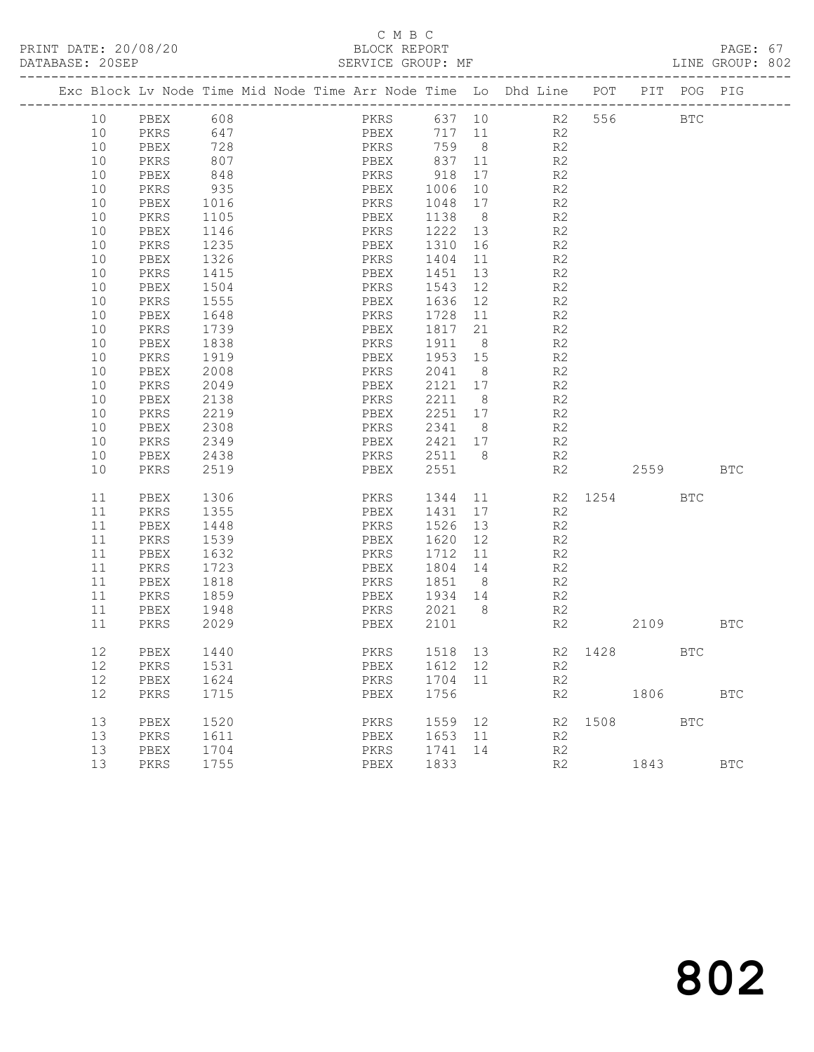# C M B C

| DATABASE: 20SEP |                                                                                |                  |  |      |      | SERVICE GROUP: MF |    |        |                |                        |      |            | LINE GROUP: 802 |  |
|-----------------|--------------------------------------------------------------------------------|------------------|--|------|------|-------------------|----|--------|----------------|------------------------|------|------------|-----------------|--|
|                 | Exc Block Lv Node Time Mid Node Time Arr Node Time Lo Dhd Line POT PIT POG PIG |                  |  |      |      |                   |    |        |                |                        |      |            |                 |  |
| 10              | PBEX 608                                                                       |                  |  |      |      |                   |    |        |                | PKRS 637 10 R2 556 BTC |      |            |                 |  |
| 10              | PKRS                                                                           | 647              |  |      |      | PBEX 717 11 R2    |    |        |                |                        |      |            |                 |  |
| 10              | PBEX                                                                           | 728              |  |      |      | PKRS 759 8 R2     |    |        |                |                        |      |            |                 |  |
| 10              | PKRS                                                                           | 807              |  |      |      |                   |    |        | R2             |                        |      |            |                 |  |
| 10              | PBEX                                                                           | 848              |  |      |      |                   |    |        | R2             |                        |      |            |                 |  |
| 10              | PKRS                                                                           | 935              |  |      |      | PBEX 1006         | 10 | R2     |                |                        |      |            |                 |  |
| 10              | PBEX                                                                           | 1016             |  |      | PKRS | 1048 17           |    | R2     |                |                        |      |            |                 |  |
| 10              | PKRS                                                                           | 1105<br>1146     |  |      |      | PBEX 1138 8       |    |        | R2             |                        |      |            |                 |  |
| 10              | PBEX                                                                           |                  |  |      |      | PKRS 1222 13      |    |        | R2             |                        |      |            |                 |  |
| 10              | PKRS                                                                           | 1235             |  |      |      | PBEX 1310 16      |    | R2     |                |                        |      |            |                 |  |
| 10              | PBEX                                                                           | 1326             |  |      | PKRS | 1404              |    | 11 — 1 | R2             |                        |      |            |                 |  |
| 10              | PKRS                                                                           | 1415             |  | PBEX |      | 1451 13           |    |        | R2             |                        |      |            |                 |  |
| 10              | PBEX                                                                           | $\frac{1}{1504}$ |  |      | PKRS | 1543 12           |    |        | R2             |                        |      |            |                 |  |
| 10              | PKRS                                                                           | 1555             |  |      | PBEX | 1636 12 R2        |    |        |                |                        |      |            |                 |  |
| 10              | PBEX                                                                           | 1648             |  |      |      | PKRS 1728 11 R2   |    |        |                |                        |      |            |                 |  |
| 10              | PKRS                                                                           | 1739<br>1838     |  |      |      | PBEX 1817 21 R2   |    |        |                |                        |      |            |                 |  |
| 10              | PBEX                                                                           |                  |  |      |      | PKRS 1911 8       |    |        | R2             |                        |      |            |                 |  |
| 10              | PKRS                                                                           | 1919             |  |      |      | PBEX 1953 15      |    | R2     |                |                        |      |            |                 |  |
| 10              | PBEX                                                                           | 2008             |  |      | PKRS | 2041 8            |    | R2     |                |                        |      |            |                 |  |
| 10              | PKRS                                                                           | 2049             |  | PBEX |      | 2121 17 R2        |    |        |                |                        |      |            |                 |  |
| 10              | PBEX                                                                           | 2138             |  |      | PKRS | 2211 8            |    |        | R2             |                        |      |            |                 |  |
| 10              | PKRS                                                                           | 2219             |  |      | PBEX | 2251 17 R2        |    |        |                |                        |      |            |                 |  |
| 10              | PBEX                                                                           | 2308             |  |      | PKRS | 2341 8            |    | R2     |                |                        |      |            |                 |  |
| 10              | PKRS                                                                           | 2349             |  |      |      | PBEX 2421 17 R2   |    |        |                |                        |      |            |                 |  |
| 10              | PBEX                                                                           | 2438             |  |      |      | PKRS 2511 8       |    |        | R2             |                        |      |            |                 |  |
| 10              | PKRS                                                                           | 2519             |  |      | PBEX | 2551              |    |        | R2             | 2559 BTC               |      |            |                 |  |
| 11              | PBEX                                                                           | 1306             |  |      |      |                   |    |        |                | PKRS 1344 11 R2 1254   |      | <b>BTC</b> |                 |  |
| 11              | PKRS                                                                           | 1355             |  | PBEX |      | 1431 17           |    |        | R2             |                        |      |            |                 |  |
| 11              | PBEX                                                                           | 1448             |  |      |      | PKRS 1526 13      |    |        | R2             |                        |      |            |                 |  |
| 11              | PKRS                                                                           | 1539             |  |      | PBEX | 1620 12           |    |        | R2             |                        |      |            |                 |  |
| 11              | PBEX                                                                           | 1632             |  |      | PKRS | 1712 11           |    |        | R2             |                        |      |            |                 |  |
| 11              | PKRS                                                                           | 1723<br>1818     |  |      |      | PBEX 1804 14      |    |        | R2<br>R2       |                        |      |            |                 |  |
| 11              | PBEX                                                                           |                  |  |      | PKRS | 1851 8            |    |        |                |                        |      |            |                 |  |
| 11              | PKRS                                                                           | 1859             |  |      |      | PBEX 1934 14      |    | R2     |                |                        |      |            |                 |  |
| 11              | PBEX                                                                           | 1948             |  |      |      | PKRS 2021 8 R2    |    |        |                |                        |      |            |                 |  |
| 11              | PKRS                                                                           | 2029             |  |      | PBEX | 2101              |    |        | R <sub>2</sub> |                        | 2109 |            | BTC             |  |
| 12              | PBEX                                                                           | 1440             |  |      |      |                   |    |        |                | PKRS 1518 13 R2 1428   |      | <b>BTC</b> |                 |  |
| 12              | PKRS                                                                           | 1531             |  | PBEX |      | 1612 12           |    |        | R2             |                        |      |            |                 |  |
| 12              | PBEX                                                                           | 1624             |  | PKRS |      | 1704 11           |    |        | R2             |                        |      |            |                 |  |
| 12              | PKRS                                                                           | 1715             |  | PBEX |      | 1756              |    |        | R2             |                        | 1806 |            | $_{\rm BTC}$    |  |
| 13              | PBEX                                                                           | 1520             |  | PKRS |      | 1559              | 12 |        |                | R2 1508                |      | BTC        |                 |  |
| 13              | PKRS                                                                           | 1611             |  | PBEX |      | 1653 11           |    |        | R2             |                        |      |            |                 |  |
| 13              | PBEX                                                                           | 1704             |  | PKRS |      | 1741              | 14 |        | R2             |                        |      |            |                 |  |
| 13              | PKRS                                                                           | 1755             |  | PBEX |      | 1833              |    |        | R2             |                        | 1843 |            | $_{\rm BTC}$    |  |
|                 |                                                                                |                  |  |      |      |                   |    |        |                |                        |      |            |                 |  |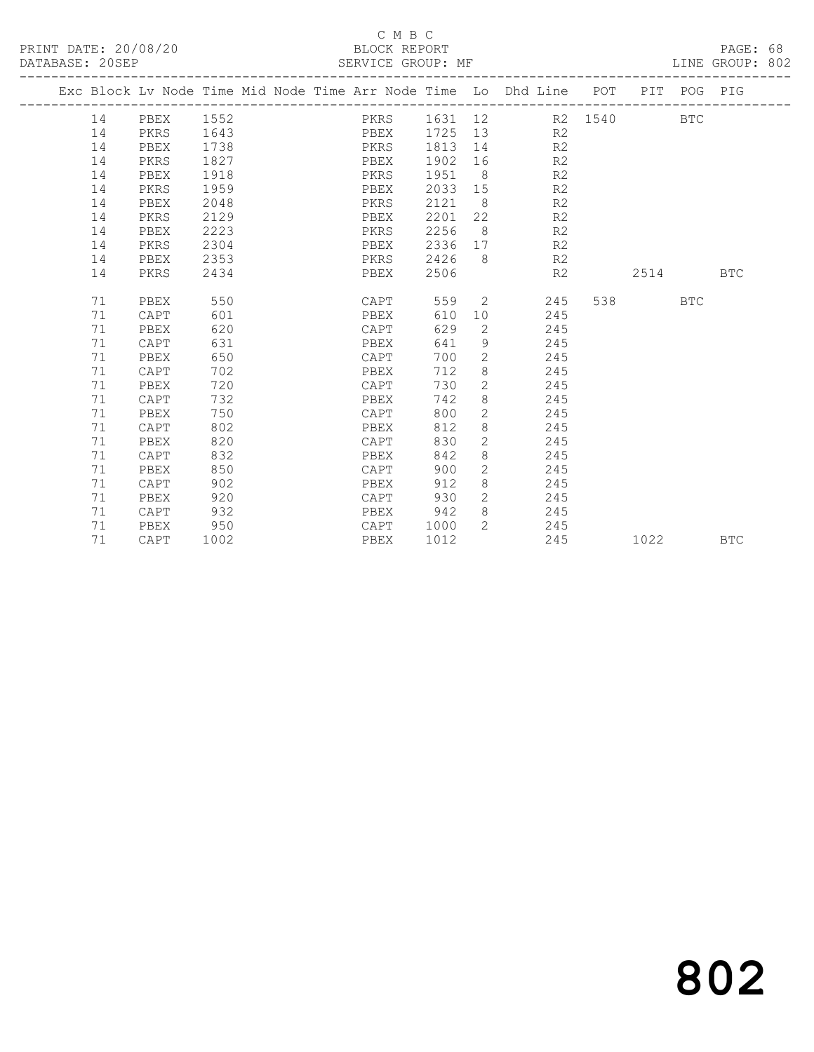### C M B C<br>BLOCK REPORT

PAGE: 68<br>LINE GROUP: 802

|  |    |      |      |  |              |         |                       | Exc Block Lv Node Time Mid Node Time Arr Node Time Lo Dhd Line POT PIT POG PIG |     |      |            |            |
|--|----|------|------|--|--------------|---------|-----------------------|--------------------------------------------------------------------------------|-----|------|------------|------------|
|  | 14 | PBEX | 1552 |  | PKRS         |         |                       | 1631 12 R2 1540                                                                |     |      | <b>BTC</b> |            |
|  | 14 | PKRS | 1643 |  | PBEX 1725 13 |         |                       | R <sub>2</sub>                                                                 |     |      |            |            |
|  | 14 | PBEX | 1738 |  | PKRS         | 1813 14 |                       | R2                                                                             |     |      |            |            |
|  | 14 | PKRS | 1827 |  | PBEX         | 1902 16 |                       | R <sub>2</sub>                                                                 |     |      |            |            |
|  | 14 | PBEX | 1918 |  | PKRS         | 1951    | 8 <sup>8</sup>        | R2                                                                             |     |      |            |            |
|  | 14 | PKRS | 1959 |  | PBEX         | 2033    | 15                    | R <sub>2</sub>                                                                 |     |      |            |            |
|  | 14 | PBEX | 2048 |  | PKRS         | 2121    | 8 <sup>8</sup>        | R <sub>2</sub>                                                                 |     |      |            |            |
|  | 14 | PKRS | 2129 |  | PBEX         | 2201    | 22                    | R <sub>2</sub>                                                                 |     |      |            |            |
|  | 14 | PBEX | 2223 |  | PKRS         | 2256    | 8 <sup>8</sup>        | R <sub>2</sub>                                                                 |     |      |            |            |
|  | 14 | PKRS | 2304 |  | PBEX         | 2336    |                       | 17<br>R <sub>2</sub>                                                           |     |      |            |            |
|  | 14 | PBEX | 2353 |  | PKRS         | 2426    | 8 <sup>8</sup>        | R2                                                                             |     |      |            |            |
|  | 14 | PKRS | 2434 |  | PBEX         | 2506    |                       | R2                                                                             |     | 2514 |            | <b>BTC</b> |
|  |    |      |      |  |              |         |                       |                                                                                |     |      |            |            |
|  | 71 | PBEX | 550  |  | CAPT         | 559     |                       | $2 \left( \frac{1}{2} \right)$<br>245                                          | 538 |      | <b>BTC</b> |            |
|  | 71 | CAPT | 601  |  | PBEX         | 610     | 10                    | 245                                                                            |     |      |            |            |
|  | 71 | PBEX | 620  |  | CAPT         | 629     | 2                     | 245                                                                            |     |      |            |            |
|  | 71 | CAPT | 631  |  | PBEX         | 641     | 9                     | 245                                                                            |     |      |            |            |
|  | 71 | PBEX | 650  |  | CAPT         | 700     | $\mathbf{2}$          | 245                                                                            |     |      |            |            |
|  | 71 | CAPT | 702  |  | PBEX         | 712     | 8                     | 245                                                                            |     |      |            |            |
|  | 71 | PBEX | 720  |  | CAPT         | 730     | $\overline{2}$        | 245                                                                            |     |      |            |            |
|  | 71 | CAPT | 732  |  | PBEX         | 742     | 8                     | 245                                                                            |     |      |            |            |
|  | 71 | PBEX | 750  |  | CAPT         | 800     | $\mathbf{2}$          | 245                                                                            |     |      |            |            |
|  | 71 | CAPT | 802  |  | PBEX         | 812     | 8                     | 245                                                                            |     |      |            |            |
|  | 71 | PBEX | 820  |  | CAPT         | 830     | $\mathbf{2}$          | 245                                                                            |     |      |            |            |
|  | 71 | CAPT | 832  |  | PBEX         | 842     | 8                     | 245                                                                            |     |      |            |            |
|  | 71 | PBEX | 850  |  | CAPT         | 900     | 2                     | 245                                                                            |     |      |            |            |
|  | 71 | CAPT | 902  |  | PBEX         | 912     | 8                     | 245                                                                            |     |      |            |            |
|  | 71 | PBEX | 920  |  | CAPT         | 930     | $\mathbf{2}^{\prime}$ | 245                                                                            |     |      |            |            |
|  | 71 | CAPT | 932  |  | PBEX         | 942     | 8                     | 245                                                                            |     |      |            |            |
|  | 71 | PBEX | 950  |  | CAPT         | 1000    | $\overline{2}$        | 245                                                                            |     |      |            |            |
|  | 71 | CAPT | 1002 |  | PBEX         | 1012    |                       | 245                                                                            |     | 1022 |            | <b>BTC</b> |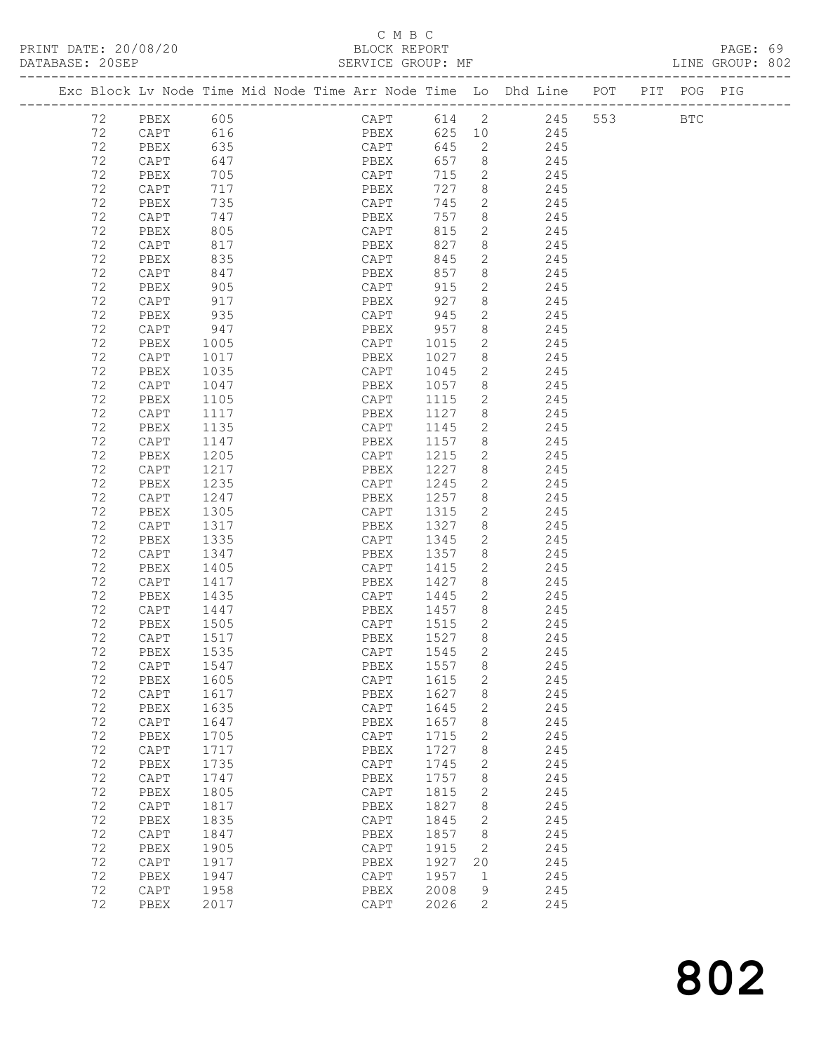## C M B C<br>BLOCK REPORT

PAGE: 69<br>LINE GROUP: 802

|    |                          |      |  |              |      |                | Exc Block Lv Node Time Mid Node Time Arr Node Time Lo Dhd Line POT |     | PIT POG PIG  |  |
|----|--------------------------|------|--|--------------|------|----------------|--------------------------------------------------------------------|-----|--------------|--|
| 72 | PBEX                     | 605  |  |              |      |                | CAPT 614 2 245                                                     | 553 | $_{\rm BTC}$ |  |
| 72 | CAPT                     | 616  |  | PBEX 625 10  |      |                | 245                                                                |     |              |  |
| 72 | PBEX                     | 635  |  | CAPT         | 645  | $\overline{2}$ | 245                                                                |     |              |  |
| 72 | CAPT                     | 647  |  | PBEX         | 657  | 8 <sup>8</sup> | 245                                                                |     |              |  |
| 72 | PBEX                     | 705  |  | CAPT         | 715  | $\overline{2}$ | 245                                                                |     |              |  |
| 72 | CAPT                     | 717  |  | PBEX         | 727  | 8              | 245                                                                |     |              |  |
| 72 | PBEX                     | 735  |  | CAPT         | 745  | $\mathbf{2}$   | 245                                                                |     |              |  |
| 72 | CAPT                     | 747  |  | PBEX         | 757  | 8              | 245                                                                |     |              |  |
| 72 | PBEX                     | 805  |  | CAPT         | 815  | $\mathbf{2}$   | 245                                                                |     |              |  |
| 72 | CAPT                     | 817  |  | PBEX         | 827  | 8              | 245                                                                |     |              |  |
| 72 | PBEX                     | 835  |  | CAPT         | 845  | $\mathbf{2}$   | 245                                                                |     |              |  |
| 72 | CAPT                     | 847  |  | PBEX         | 857  | 8              | 245                                                                |     |              |  |
| 72 | PBEX                     | 905  |  | CAPT         | 915  | $\overline{2}$ | 245                                                                |     |              |  |
| 72 | CAPT                     | 917  |  | PBEX         | 927  | 8              | 245                                                                |     |              |  |
| 72 | PBEX                     | 935  |  | CAPT         | 945  | 2              | 245                                                                |     |              |  |
| 72 | CAPT                     | 947  |  | PBEX         | 957  | 8              | 245                                                                |     |              |  |
| 72 | PBEX                     | 1005 |  | CAPT         | 1015 | 2              | 245                                                                |     |              |  |
| 72 | CAPT                     | 1017 |  | PBEX         | 1027 | 8              | 245                                                                |     |              |  |
| 72 | PBEX                     | 1035 |  | CAPT         | 1045 | $\mathbf{2}$   | 245                                                                |     |              |  |
| 72 | CAPT                     | 1047 |  | PBEX         | 1057 | 8              | 245                                                                |     |              |  |
| 72 | PBEX                     | 1105 |  | CAPT         | 1115 | 2              | 245                                                                |     |              |  |
| 72 | CAPT                     | 1117 |  | PBEX         | 1127 | 8              | 245                                                                |     |              |  |
| 72 | PBEX                     | 1135 |  | CAPT         | 1145 | 2              | 245                                                                |     |              |  |
| 72 | CAPT                     | 1147 |  | PBEX         | 1157 | 8              | 245                                                                |     |              |  |
| 72 | PBEX                     | 1205 |  | CAPT         | 1215 | 2              | 245                                                                |     |              |  |
| 72 | CAPT                     | 1217 |  | PBEX         | 1227 | 8              | 245                                                                |     |              |  |
| 72 | PBEX                     | 1235 |  | CAPT         | 1245 | 2              | 245                                                                |     |              |  |
| 72 | CAPT                     | 1247 |  | PBEX         | 1257 | 8              | 245                                                                |     |              |  |
| 72 | PBEX                     | 1305 |  | CAPT         | 1315 | 2              | 245                                                                |     |              |  |
| 72 | CAPT                     | 1317 |  | PBEX         | 1327 | 8              | 245                                                                |     |              |  |
| 72 | PBEX                     | 1335 |  | CAPT         | 1345 | 2              | 245                                                                |     |              |  |
| 72 | CAPT                     | 1347 |  | PBEX         | 1357 | 8              | 245                                                                |     |              |  |
| 72 | PBEX                     | 1405 |  | CAPT         | 1415 | 2              | 245                                                                |     |              |  |
| 72 | CAPT                     | 1417 |  | PBEX         | 1427 | 8              | 245                                                                |     |              |  |
| 72 | PBEX                     | 1435 |  | CAPT         | 1445 | 2              | 245                                                                |     |              |  |
| 72 | CAPT                     | 1447 |  | PBEX         | 1457 | 8              | 245                                                                |     |              |  |
| 72 | PBEX                     | 1505 |  | CAPT         | 1515 | $\mathbf{2}$   | 245                                                                |     |              |  |
| 72 | CAPT                     | 1517 |  | PBEX         | 1527 | 8              | 245                                                                |     |              |  |
| 72 | PBEX                     | 1535 |  | CAPT         | 1545 | 2              | 245                                                                |     |              |  |
| 72 | CAPT                     | 1547 |  | PBEX 1557 8  |      |                | 245                                                                |     |              |  |
| 72 | PBEX                     | 1605 |  | CAPT         | 1615 | $\mathbf{2}$   | 245                                                                |     |              |  |
| 72 | $\mathop{\mathtt{CAPT}}$ | 1617 |  | PBEX         | 1627 | 8              | 245                                                                |     |              |  |
| 72 | PBEX                     | 1635 |  | CAPT         | 1645 | 2              | 245                                                                |     |              |  |
| 72 | $\texttt{CAPT}$          | 1647 |  | PBEX         | 1657 | 8              | 245                                                                |     |              |  |
| 72 | PBEX                     | 1705 |  | CAPT         | 1715 | 2              | 245                                                                |     |              |  |
| 72 | $\texttt{CAPT}$          | 1717 |  | PBEX         | 1727 | 8              | 245                                                                |     |              |  |
| 72 | PBEX                     | 1735 |  | CAPT         | 1745 | $\mathbf{2}$   | 245                                                                |     |              |  |
| 72 | CAPT                     | 1747 |  | PBEX         | 1757 | 8              | 245                                                                |     |              |  |
| 72 | PBEX                     | 1805 |  | CAPT         | 1815 | $\mathbf{2}$   | 245                                                                |     |              |  |
| 72 | CAPT                     | 1817 |  | PBEX         | 1827 | 8              | 245                                                                |     |              |  |
| 72 | PBEX                     | 1835 |  | CAPT         | 1845 | $\mathbf{2}$   | 245                                                                |     |              |  |
| 72 | $\texttt{CAPT}$          | 1847 |  | ${\tt PBEX}$ | 1857 | 8              | 245                                                                |     |              |  |
| 72 | PBEX                     | 1905 |  | CAPT         | 1915 | 2              | 245                                                                |     |              |  |
| 72 | CAPT                     | 1917 |  | PBEX         | 1927 | 20             | 245                                                                |     |              |  |
| 72 | PBEX                     | 1947 |  | CAPT         | 1957 | $\mathbf{1}$   | 245                                                                |     |              |  |
| 72 | CAPT                     | 1958 |  | PBEX         | 2008 | 9              | 245                                                                |     |              |  |
| 72 | PBEX                     | 2017 |  | CAPT         | 2026 | $\overline{2}$ | 245                                                                |     |              |  |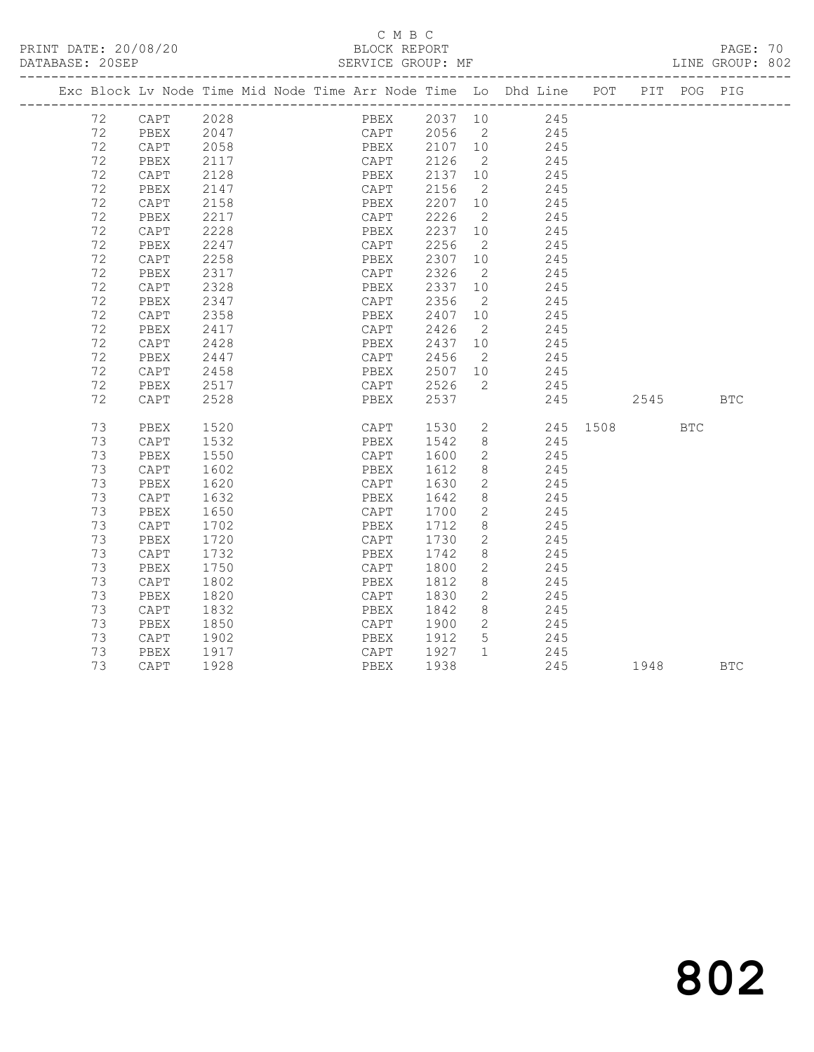#### C M B C<br>BLOCK REPORT SERVICE GROUP: MF

|  |    |      |      |  |           |         |                | Exc Block Lv Node Time Mid Node Time Arr Node Time Lo Dhd Line POT PIT POG PIG |      |     |            |
|--|----|------|------|--|-----------|---------|----------------|--------------------------------------------------------------------------------|------|-----|------------|
|  | 72 | CAPT | 2028 |  |           |         |                | PBEX 2037 10 245                                                               |      |     |            |
|  | 72 | PBEX | 2047 |  |           |         |                |                                                                                |      |     |            |
|  | 72 | CAPT | 2058 |  |           |         |                |                                                                                |      |     |            |
|  | 72 | PBEX | 2117 |  |           |         |                | CAPT 2056 2 245<br>PBEX 2107 10 245<br>CAPT 2126 2 245                         |      |     |            |
|  | 72 | CAPT | 2128 |  | PBEX      | 2137 10 |                | 245                                                                            |      |     |            |
|  | 72 | PBEX | 2147 |  | CAPT      | 2156    | $\overline{2}$ | 245                                                                            |      |     |            |
|  | 72 | CAPT | 2158 |  | PBEX      | 2207 10 |                | 245                                                                            |      |     |            |
|  | 72 | PBEX | 2217 |  | CAPT      | 2226    | $\overline{2}$ | 245                                                                            |      |     |            |
|  | 72 | CAPT | 2228 |  | PBEX      | 2237    | 10             | 245                                                                            |      |     |            |
|  | 72 | PBEX | 2247 |  | CAPT      | 2256    | $\overline{2}$ | 245                                                                            |      |     |            |
|  | 72 | CAPT | 2258 |  | PBEX      | 2307    | 10             | 245                                                                            |      |     |            |
|  | 72 | PBEX | 2317 |  | CAPT      | 2326    | $\overline{2}$ | 245                                                                            |      |     |            |
|  | 72 | CAPT | 2328 |  | PBEX      | 2337 10 |                | 245                                                                            |      |     |            |
|  | 72 | PBEX | 2347 |  | CAPT 2356 |         | $\overline{2}$ | 245                                                                            |      |     |            |
|  | 72 | CAPT | 2358 |  | PBEX      | 2407    | 10             | 245                                                                            |      |     |            |
|  | 72 | PBEX | 2417 |  | CAPT      | 2426    | $\overline{2}$ | 245                                                                            |      |     |            |
|  | 72 | CAPT | 2428 |  | PBEX      | 2437    | 10             | 245                                                                            |      |     |            |
|  | 72 | PBEX | 2447 |  | CAPT      | 2456    | $\overline{2}$ | 245                                                                            |      |     |            |
|  | 72 | CAPT | 2458 |  | PBEX      |         |                | 2507 10 245                                                                    |      |     |            |
|  | 72 | PBEX | 2517 |  | CAPT 2526 |         | $\overline{2}$ | 245                                                                            |      |     |            |
|  | 72 | CAPT | 2528 |  | PBEX      | 2537    |                | 245                                                                            | 2545 |     | <b>BTC</b> |
|  |    |      |      |  |           |         |                |                                                                                |      |     |            |
|  | 73 | PBEX | 1520 |  | CAPT 1530 |         |                | 2 245 1508                                                                     |      | BTC |            |
|  | 73 | CAPT | 1532 |  | PBEX      | 1542    |                | 8<br>245                                                                       |      |     |            |
|  | 73 | PBEX | 1550 |  | CAPT      | 1600    | $2^{\circ}$    | 245                                                                            |      |     |            |
|  | 73 | CAPT | 1602 |  | PBEX      | 1612    | 8              | 245                                                                            |      |     |            |
|  | 73 | PBEX | 1620 |  | CAPT 1630 |         | $\overline{2}$ | 245                                                                            |      |     |            |
|  | 73 | CAPT | 1632 |  | PBEX      | 1642    | 8              | 245                                                                            |      |     |            |
|  | 73 | PBEX | 1650 |  | CAPT      | 1700    | $2^{\circ}$    | 245                                                                            |      |     |            |
|  | 73 | CAPT | 1702 |  | PBEX      | 1712    | 8              | 245                                                                            |      |     |            |
|  | 73 | PBEX | 1720 |  | CAPT      | 1730    | $\overline{2}$ | 245                                                                            |      |     |            |
|  | 73 | CAPT | 1732 |  | PBEX      | 1742    | 8              | 245                                                                            |      |     |            |
|  | 73 | PBEX | 1750 |  | CAPT      | 1800    | $\overline{2}$ | 245                                                                            |      |     |            |
|  | 73 | CAPT | 1802 |  | PBEX      | 1812    | 8              | 245                                                                            |      |     |            |
|  | 73 | PBEX | 1820 |  | CAPT      | 1830    | $\overline{2}$ | 245                                                                            |      |     |            |
|  | 73 | CAPT | 1832 |  | PBEX      | 1842    | 8              | 245                                                                            |      |     |            |
|  | 73 | PBEX | 1850 |  | CAPT 1900 |         | $\overline{2}$ | 245                                                                            |      |     |            |
|  | 73 | CAPT | 1902 |  | PBEX      | 1912    | 5              | 245                                                                            |      |     |            |
|  | 73 | PBEX | 1917 |  | CAPT      | 1927    | $\mathbf{1}$   | 245                                                                            |      |     |            |
|  |    |      |      |  |           |         |                |                                                                                |      |     |            |

73 CAPT 1928 PBEX 1938 245 1948 BTC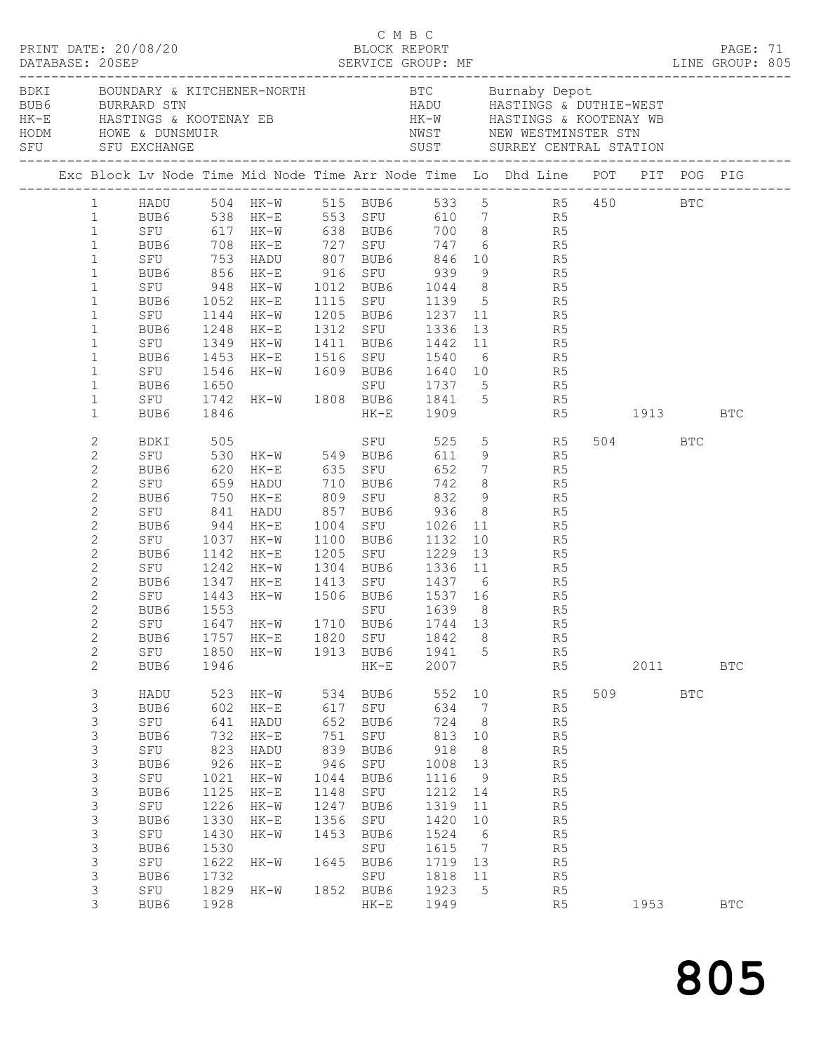| PRINT DATE: 20/08/20<br>DATABASE: 20SEP |                |                                                  |      |                              |      | C M B C   | BLOCK REPORT |                |                                                                                                                                                                                                                      |         |            | PAGE: 71     |  |
|-----------------------------------------|----------------|--------------------------------------------------|------|------------------------------|------|-----------|--------------|----------------|----------------------------------------------------------------------------------------------------------------------------------------------------------------------------------------------------------------------|---------|------------|--------------|--|
|                                         |                |                                                  |      |                              |      |           |              |                | BUB6 BURRARD STN BURRARD STN HADU HASTINGS & DUTHIE-WEST<br>HK-E HASTINGS & KOOTENAY EB HK-W HASTINGS & KOOTENAY WB<br>HODM HOWE & DUNSMUIR NWST NEW WESTMINSTER STN<br>SFU SFU EXCHANGE SUST SURREY CENTRAL STATION |         |            |              |  |
|                                         |                |                                                  |      |                              |      |           |              |                | Exc Block Lv Node Time Mid Node Time Arr Node Time Lo Dhd Line POT PIT POG PIG                                                                                                                                       |         |            |              |  |
|                                         |                |                                                  |      |                              |      |           |              |                | 1 HADU 504 HK-W 515 BUB6 533 5 R5 450 BTC                                                                                                                                                                            |         |            |              |  |
|                                         |                |                                                  |      |                              |      |           |              |                | 1 BUB6 538 HK-E 553 SFU 610 7 R5                                                                                                                                                                                     |         |            |              |  |
|                                         | $\mathbf{1}$   |                                                  |      |                              |      |           |              |                | SFU 517 HK-W 538 BUB6 700 8 R5<br>BUB6 708 HK-E 727 SFU 747 6 R5<br>SFU 753 HADU 807 BUB6 846 10 R5<br>BUB6 856 HK-E 916 SFU 939 9 R5                                                                                |         |            |              |  |
|                                         | $\mathbf{1}$   |                                                  |      |                              |      |           |              |                |                                                                                                                                                                                                                      |         |            |              |  |
|                                         | $\mathbf{1}$   |                                                  |      |                              |      |           |              |                |                                                                                                                                                                                                                      |         |            |              |  |
|                                         | $\mathbf{1}$   |                                                  |      |                              |      |           |              |                |                                                                                                                                                                                                                      |         |            |              |  |
|                                         | $\mathbf{1}$   |                                                  |      |                              |      |           |              |                |                                                                                                                                                                                                                      |         |            |              |  |
|                                         | $\mathbf{1}$   |                                                  |      |                              |      |           |              |                | SFU 948 HK-W 1012 BUB6 1044 8 R5<br>BUB6 1052 HK-E 1115 SFU 1139 5 R5<br>SFU 1144 HK-W 1205 BUB6 1237 11 R5                                                                                                          |         |            |              |  |
|                                         | $\mathbf{1}$   |                                                  |      |                              |      |           |              |                |                                                                                                                                                                                                                      |         |            |              |  |
|                                         | $\mathbf{1}$   |                                                  |      |                              |      |           |              |                | BUB6 1248 HK-E 1312 SFU 1336 13 R5                                                                                                                                                                                   |         |            |              |  |
|                                         | $\mathbf{1}$   |                                                  |      | SFU 1349 HK-W 1411 BUB6 1442 |      |           |              |                | 11 R5                                                                                                                                                                                                                |         |            |              |  |
|                                         | $\mathbf{1}$   |                                                  |      |                              |      |           |              |                |                                                                                                                                                                                                                      |         |            |              |  |
|                                         | $\mathbf{1}$   |                                                  |      |                              |      |           |              |                | BUB6 1453 HK-E 1516 SFU 1540 6 R5<br>SFU 1546 HK-W 1609 BUB6 1640 10 R5<br>BUB6 1650 SFU 1737 5 R5<br>SFU 1742 HK-W 1808 BUB6 1841 5 R5                                                                              |         |            |              |  |
|                                         | $\mathbf{1}$   |                                                  |      |                              |      |           |              |                |                                                                                                                                                                                                                      |         |            |              |  |
|                                         | $\mathbf{1}$   |                                                  |      |                              |      |           |              |                |                                                                                                                                                                                                                      |         |            |              |  |
|                                         | $\mathbf{1}$   | BUB6                                             | 1846 |                              |      |           | HK-E 1909    |                | R5 1913 BTC                                                                                                                                                                                                          |         |            |              |  |
|                                         | 2              |                                                  |      |                              |      |           |              |                | SFU 525 5 R5<br>BDKI 505 SFU 525 5 R5<br>SFU 530 HK-W 549 BUB6 611 9 R5                                                                                                                                              | 504 BTC |            |              |  |
|                                         | $\overline{c}$ |                                                  |      |                              |      |           |              |                |                                                                                                                                                                                                                      |         |            |              |  |
|                                         | 2              |                                                  |      |                              |      |           |              |                |                                                                                                                                                                                                                      |         |            |              |  |
|                                         | $\mathbf{2}$   |                                                  |      |                              |      |           |              |                | BUB6 620 HK-E 635 SFU 652 7 R5<br>SFU 659 HADU 710 BUB6 742 8 R5<br>BUB6 750 HK-E 809 SFU 832 9 R5                                                                                                                   |         |            |              |  |
|                                         | $\overline{c}$ |                                                  |      |                              |      |           |              |                |                                                                                                                                                                                                                      |         |            |              |  |
|                                         | $\mathbf{2}$   |                                                  |      | SFU 841 HADU 857 BUB6 936    |      |           |              |                | 8 R5                                                                                                                                                                                                                 |         |            |              |  |
|                                         | 2              | BUB6 944 HK-E<br>SFU 1037 HK-W<br>BUB6 1142 HK-E |      |                              |      |           |              |                | 1004 SFU 1026 11 R5<br>1100 BUB6 1132 10 R5<br>1205 SFU 1229 13 R5                                                                                                                                                   |         |            |              |  |
|                                         | $\mathbf{2}$   |                                                  |      |                              |      |           |              |                |                                                                                                                                                                                                                      |         |            |              |  |
|                                         | $\overline{c}$ |                                                  |      |                              |      |           |              |                |                                                                                                                                                                                                                      |         |            |              |  |
|                                         | $\mathbf{2}$   |                                                  |      |                              |      |           |              |                | SFU 1242 HK-W 1304 BUB6 1336 11 R5                                                                                                                                                                                   |         |            |              |  |
|                                         | 2              | BUB6 1347                                        |      |                              |      |           |              |                |                                                                                                                                                                                                                      |         |            |              |  |
|                                         | $\mathbf{2}$   | SFU 1443<br>BUB6 1553                            |      |                              |      |           |              |                | HK-E 1413 SFU 1437 6 R5<br>HK-W 1506 BUB6 1537 16 R5<br>SFU 1639 8 R5                                                                                                                                                |         |            |              |  |
|                                         | $\overline{c}$ | BUB6                                             |      |                              |      |           |              |                |                                                                                                                                                                                                                      |         |            |              |  |
|                                         | $\overline{2}$ |                                                  |      |                              |      |           |              |                | SFU 1647 HK-W 1710 BUB6 1744 13 R5                                                                                                                                                                                   |         |            |              |  |
|                                         | $\overline{c}$ | BUB6                                             | 1757 | HK-E                         |      | 1820 SFU  | 1842         | 8              | R5                                                                                                                                                                                                                   |         |            |              |  |
|                                         | $\overline{c}$ | SFU                                              | 1850 | HK-W                         |      | 1913 BUB6 | 1941         | $5^{\circ}$    | R <sub>5</sub>                                                                                                                                                                                                       |         |            |              |  |
|                                         | $\overline{2}$ | BUB6                                             | 1946 |                              |      | $HK-E$    | 2007         |                | R5                                                                                                                                                                                                                   | 2011    |            | $_{\rm BTC}$ |  |
|                                         | 3              | HADU                                             | 523  | HK-W                         | 534  | BUB6      | 552          | 10             | R5                                                                                                                                                                                                                   | 509     | <b>BTC</b> |              |  |
|                                         | 3              | BUB6                                             | 602  | HK-E                         | 617  | SFU       | 634          | $\overline{7}$ | R5                                                                                                                                                                                                                   |         |            |              |  |
|                                         | 3              | SFU                                              | 641  | HADU                         | 652  | BUB6      | 724          | 8 <sup>8</sup> | R <sub>5</sub>                                                                                                                                                                                                       |         |            |              |  |
|                                         | 3              | BUB6                                             | 732  | $HK-E$                       | 751  | SFU       | 813          | 10             | R5                                                                                                                                                                                                                   |         |            |              |  |
|                                         | 3              | SFU                                              | 823  | HADU                         | 839  | BUB6      | 918          | 8 <sup>8</sup> | R5                                                                                                                                                                                                                   |         |            |              |  |
|                                         | 3              | BUB6                                             | 926  | $HK-E$                       | 946  | SFU       | 1008         | 13             | R5                                                                                                                                                                                                                   |         |            |              |  |
|                                         | 3              | SFU                                              | 1021 | HK-W                         | 1044 | BUB6      | 1116         | 9              | R <sub>5</sub>                                                                                                                                                                                                       |         |            |              |  |
|                                         | 3              | BUB6                                             | 1125 | HK-E                         | 1148 | SFU       | 1212         | 14             | R5                                                                                                                                                                                                                   |         |            |              |  |
|                                         | 3              | SFU                                              | 1226 | HK-W                         | 1247 | BUB6      | 1319         | 11             | R <sub>5</sub>                                                                                                                                                                                                       |         |            |              |  |
|                                         | 3              | BUB6                                             | 1330 | HK-E                         | 1356 | SFU       | 1420         | 10             | R5                                                                                                                                                                                                                   |         |            |              |  |
|                                         | $\mathsf 3$    | SFU                                              | 1430 | HK-W                         | 1453 | BUB6      | 1524         | 6              | R <sub>5</sub>                                                                                                                                                                                                       |         |            |              |  |
|                                         | 3              | BUB6                                             | 1530 |                              |      | SFU       | 1615         | $\overline{7}$ | R <sub>5</sub>                                                                                                                                                                                                       |         |            |              |  |
|                                         | 3              | SFU                                              | 1622 | HK-W                         |      | 1645 BUB6 | 1719 13      |                | R5                                                                                                                                                                                                                   |         |            |              |  |
|                                         | 3              | BUB6                                             | 1732 |                              |      | SFU       | 1818         | 11             | R5                                                                                                                                                                                                                   |         |            |              |  |
|                                         | 3              | SFU                                              | 1829 | HK-W                         |      | 1852 BUB6 | 1923         | $5^{\circ}$    | R <sub>5</sub>                                                                                                                                                                                                       |         |            |              |  |
|                                         | 3              | BUB6                                             | 1928 |                              |      | $HK-E$    | 1949         |                | R5                                                                                                                                                                                                                   | 1953    |            | <b>BTC</b>   |  |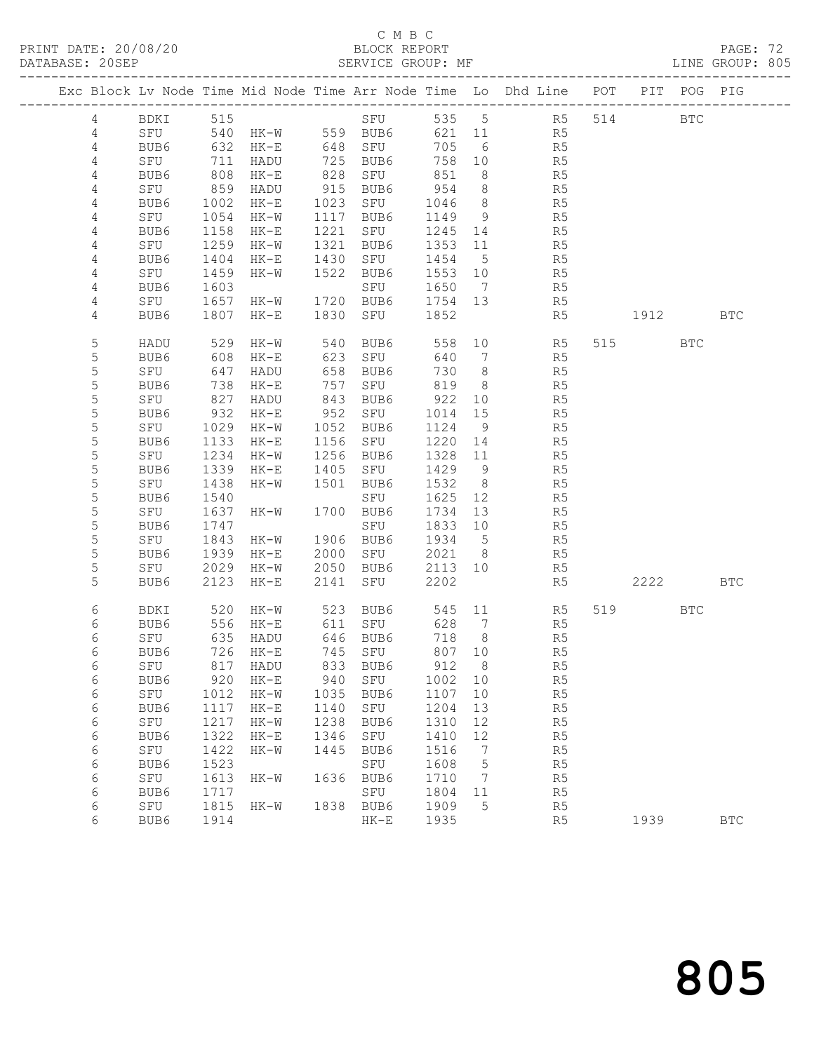# C M B C<br>BLOCK REPORT

PAGE: 72<br>LINE GROUP: 805

|                |          |      |                   |      |             |         |                 | Exc Block Lv Node Time Mid Node Time Arr Node Time Lo Dhd Line POT PIT POG PIG |      |            |            |
|----------------|----------|------|-------------------|------|-------------|---------|-----------------|--------------------------------------------------------------------------------|------|------------|------------|
| 4              | BDKI 515 |      |                   |      | SFU         |         |                 | 535 5 R5                                                                       | 514  | <b>BTC</b> |            |
| $\overline{4}$ | SFU      | 540  | $HK-W$ 559 BUB6   |      |             |         |                 | 621 11 R5                                                                      |      |            |            |
| $\overline{4}$ | BUB6     | 632  | HK-E              |      | 648 SFU     | 705     | 6               | R5                                                                             |      |            |            |
| 4              | SFU      | 711  | HADU              | 725  | BUB6        | 758     | 10              | R5                                                                             |      |            |            |
| 4              | BUB6     | 808  | HK-E              | 828  | SFU         | 851     | 8               | R5                                                                             |      |            |            |
| 4              | SFU      | 859  | HADU              | 915  | BUB6        | 954     | 8 <sup>8</sup>  | R5                                                                             |      |            |            |
| 4              | BUB6     | 1002 | $HK-E$            | 1023 | SFU         | 1046    | 8 <sup>8</sup>  | R5                                                                             |      |            |            |
| 4              | SFU      | 1054 | HK-W              | 1117 | BUB6        | 1149    | 9               | R5                                                                             |      |            |            |
| 4              | BUB6     | 1158 | HK-E              | 1221 | SFU         | 1245    | 14              | R5                                                                             |      |            |            |
| 4              | SFU      | 1259 | HK-W              | 1321 | BUB6        | 1353    | 11              | R5                                                                             |      |            |            |
| 4              | BUB6     | 1404 | HK-E              | 1430 | SFU         | 1454    | $5^{\circ}$     | R5                                                                             |      |            |            |
| 4              | SFU      | 1459 | HK-W              | 1522 | BUB6        | 1553    | 10              | R5                                                                             |      |            |            |
| 4              | BUB6     | 1603 |                   |      | SFU         | 1650    | $\overline{7}$  | R5                                                                             |      |            |            |
| 4              | SFU      | 1657 | HK-W              | 1720 | BUB6        | 1754 13 |                 | R5                                                                             |      |            |            |
|                |          |      |                   |      |             | 1852    |                 |                                                                                |      |            |            |
| 4              | BUB6     | 1807 | $HK-E$            | 1830 | SFU         |         |                 | R5                                                                             | 1912 |            | BTC        |
| 5              | HADU     | 529  | HK-W              | 540  | BUB6        | 558     | 10 <sup>°</sup> | R <sub>5</sub>                                                                 | 515  | BTC        |            |
| 5              | BUB6     | 608  | $HK-E$            | 623  | SFU         | 640     | $\overline{7}$  | R5                                                                             |      |            |            |
| 5              | SFU      | 647  | HADU              | 658  | BUB6        | 730     | 8 <sup>8</sup>  | R5                                                                             |      |            |            |
| 5              | BUB6     | 738  | $HK-E$            | 757  | SFU         | 819     | 8 <sup>8</sup>  | R5                                                                             |      |            |            |
| 5              | SFU      | 827  | HADU              | 843  | BUB6        | 922     | 10              | R5                                                                             |      |            |            |
| 5              | BUB6     | 932  | $HK-E$            | 952  | SFU         | 1014    | 15              | R5                                                                             |      |            |            |
| 5              | SFU      | 1029 | HK-W              | 1052 | BUB6        | 1124    | 9               | R5                                                                             |      |            |            |
| 5              | BUB6     | 1133 | $HK-E$            | 1156 | SFU         | 1220    | 14              | R5                                                                             |      |            |            |
| 5              | SFU      | 1234 | HK-W              | 1256 | BUB6        | 1328    | 11              | R5                                                                             |      |            |            |
| 5              | BUB6     | 1339 | $HK-E$            | 1405 | SFU         | 1429    | 9               | R5                                                                             |      |            |            |
| 5              | SFU      | 1438 | $HK-W$            | 1501 | BUB6        | 1532    | 8 <sup>8</sup>  | R5                                                                             |      |            |            |
| $\mathsf S$    | BUB6     | 1540 |                   |      | SFU         | 1625    | 12              | R <sub>5</sub>                                                                 |      |            |            |
| 5              | SFU      | 1637 | HK-W              |      | 1700 BUB6   | 1734    | 13              | R5                                                                             |      |            |            |
| 5              | BUB6     | 1747 |                   |      | SFU         | 1833    | 10              | R5                                                                             |      |            |            |
| 5              | SFU      | 1843 | $HK-W$            |      | 1906 BUB6   | 1934    | $5^{\circ}$     | R5                                                                             |      |            |            |
| 5              | BUB6     | 1939 | $HK-E$            | 2000 | SFU         | 2021    | 8 <sup>8</sup>  | R5                                                                             |      |            |            |
| 5              | SFU      | 2029 | HK-W              | 2050 | BUB6        | 2113    | 10              | R5                                                                             |      |            |            |
| 5              | BUB6     | 2123 | $HK-E$            | 2141 | SFU         | 2202    |                 | R5                                                                             | 2222 |            | <b>BTC</b> |
| 6              | BDKI     | 520  | HK-W              |      | 523 BUB6    | 545     | 11              | R5                                                                             | 519  | BTC        |            |
| 6              | BUB6     | 556  | $HK-E$            |      | 611 SFU     |         | 628 7           | R5                                                                             |      |            |            |
| 6              | SFU      | 635  | HADU              |      | 646 BUB6    | 718     | 8 <sup>8</sup>  | R5                                                                             |      |            |            |
| 6              | BUB6     |      | 726 HK-E          |      | 745 SFU     | 807 10  |                 | R5                                                                             |      |            |            |
| 6              | SFU      |      | 817 HADU 833 BUB6 |      |             | 912 8   |                 | R <sub>5</sub>                                                                 |      |            |            |
| 6              | BUB6     | 920  | $HK-E$            | 940  | SFU         | 1002    | 10              | R <sub>5</sub>                                                                 |      |            |            |
| 6              | SFU      | 1012 | $HK-W$            | 1035 | BUB6        | 1107    | 10              | R5                                                                             |      |            |            |
| 6              | BUB6     | 1117 | $HK-E$            | 1140 | SFU         | 1204    | 13              | R5                                                                             |      |            |            |
| 6              | SFU      | 1217 | $HK-W$            | 1238 | BUB6        | 1310    | 12              | R5                                                                             |      |            |            |
| 6              | BUB6     | 1322 | $HK-E$            | 1346 | SFU         | 1410    | 12              | R5                                                                             |      |            |            |
| 6              | SFU      | 1422 | $HK-W$            | 1445 | BUB6        | 1516    | 7               | R5                                                                             |      |            |            |
| 6              | BUB6     | 1523 |                   |      | SFU         | 1608    | 5               | R5                                                                             |      |            |            |
| 6              | SFU      | 1613 | $HK-W$            | 1636 | BUB6        | 1710    | 7               | R5                                                                             |      |            |            |
| 6              | BUB6     | 1717 |                   |      | ${\tt SFU}$ | 1804    | 11              | R5                                                                             |      |            |            |
| 6              | SFU      | 1815 | $HK-W$            | 1838 | BUB6        | 1909    | 5               | R5                                                                             |      |            |            |
| 6              | BUB6     | 1914 |                   |      | $HK-E$      | 1935    |                 | R5                                                                             | 1939 |            | <b>BTC</b> |
|                |          |      |                   |      |             |         |                 |                                                                                |      |            |            |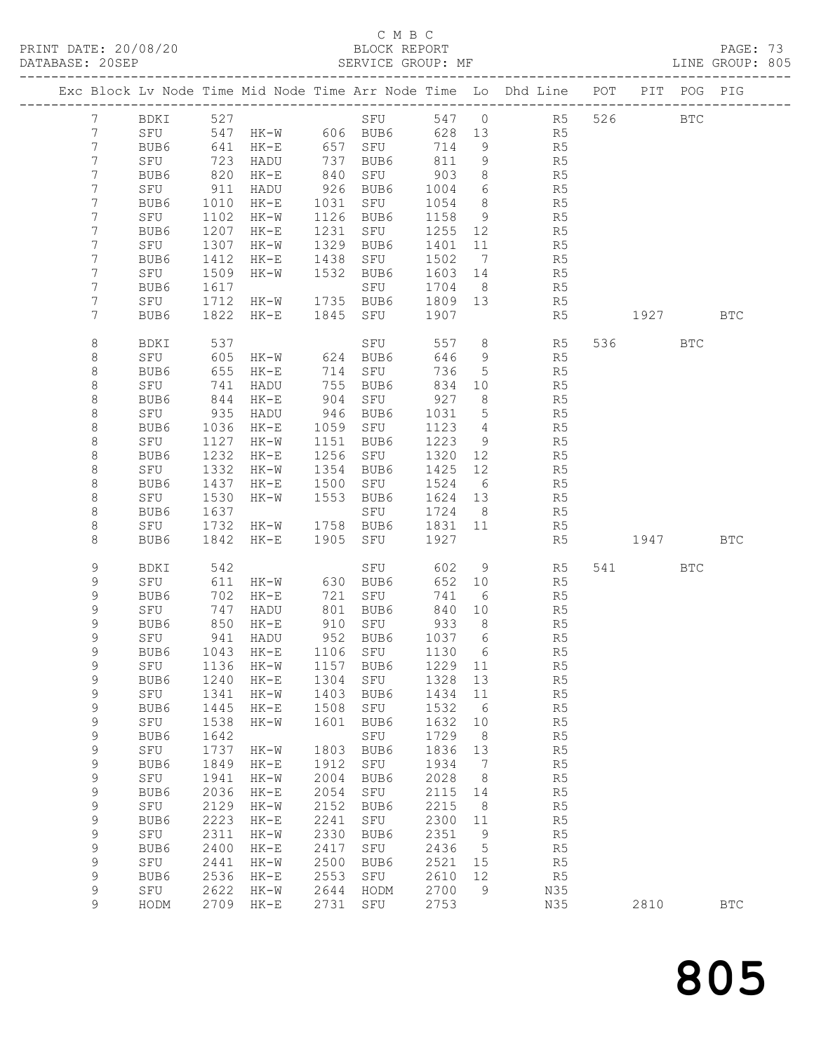### C M B C<br>BLOCK REPORT

PAGE: 73<br>LINE GROUP: 805

| Exc Block Lv Node Time Mid Node Time Arr Node Time Lo Dhd Line POT PIT POG PIG |             |              |                   |              |                                 |               |                                   |                      |       |            |            |
|--------------------------------------------------------------------------------|-------------|--------------|-------------------|--------------|---------------------------------|---------------|-----------------------------------|----------------------|-------|------------|------------|
|                                                                                |             |              |                   |              |                                 |               |                                   |                      |       |            |            |
| $7\phantom{.0}$                                                                | BDKI 527    |              |                   |              |                                 |               |                                   | SFU 547 0 R5 526 BTC |       |            |            |
| 7                                                                              | SFU         | 641          | 547 HK-W 606 BUB6 |              |                                 | 628 13        |                                   | R5                   |       |            |            |
| 7<br>7                                                                         | BUB6<br>SFU | 723          | HK-E<br>HADU      | 737          | 657 SFU<br>BUB6                 | 714<br>811    | 9                                 | R5<br>R <sub>5</sub> |       |            |            |
| 7                                                                              | BUB6        | 820          | HK-E              | 840          | SFU                             | 903           | 9<br>8 <sup>8</sup>               | R5                   |       |            |            |
| 7                                                                              | SFU         | 911          | HADU              | 926          | BUB6                            | 1004          | 6                                 | R5                   |       |            |            |
| 7                                                                              | BUB6        | 1010         | HK-E              | 1031         | SFU                             | 1054          | 8 <sup>8</sup>                    | R5                   |       |            |            |
| 7                                                                              | SFU         | 1102         | HK-W              |              | 1126 BUB6                       | 1158          | 9                                 | R5                   |       |            |            |
| 7                                                                              | BUB6        | 1207         | $HK-E$            | 1231         | SFU                             | 1255          | 12                                | R5                   |       |            |            |
| 7                                                                              | SFU         | 1307         | HK-W              | 1329         | BUB6                            | 1401          | 11                                | R5                   |       |            |            |
| 7                                                                              | BUB6        | 1412         | $HK-E$            | 1438         | SFU                             | 1502          | $7\overline{ }$                   | R5                   |       |            |            |
| 7                                                                              | SFU         | 1509         | HK-W              | 1532         | BUB6                            | 1603 14       |                                   | R5                   |       |            |            |
| 7                                                                              | BUB6        | 1617         |                   |              | SFU                             | 1704          | 8 <sup>8</sup>                    | R5                   |       |            |            |
| 7                                                                              | SFU         | 1712         | HK-W              |              | 1735 BUB6                       | 1809 13       |                                   | R5                   |       |            |            |
| $7\phantom{.}$                                                                 | BUB6        | 1822         | HK-E              |              | 1845 SFU                        | 1907          |                                   | R5                   | 1927  |            | <b>BTC</b> |
| 8                                                                              | BDKI        | 537          |                   |              | SFU                             | 557           | 8 <sup>8</sup>                    | R5                   | 536 7 | <b>BTC</b> |            |
| 8                                                                              | SFU         | 605          | HK-W              |              | 624 BUB6                        | 646           | 9                                 | R5                   |       |            |            |
| 8                                                                              | BUB6        | 655          | $HK-E$            |              | 714 SFU                         | 736           | $5^{\circ}$                       | R5                   |       |            |            |
| 8                                                                              | SFU         | 741          | HADU              | 755          | BUB6                            | 834           | 10                                | R5                   |       |            |            |
| $\,8\,$<br>8                                                                   | BUB6<br>SFU | 844<br>935   | $HK-E$<br>HADU    | 904<br>946   | SFU<br>BUB6                     | 927<br>1031   | 8 <sup>8</sup><br>$5\overline{)}$ | R5<br>R5             |       |            |            |
| 8                                                                              | BUB6        | 1036         | HK-E              | 1059         | SFU                             | 1123          | $\overline{4}$                    | R <sub>5</sub>       |       |            |            |
| 8                                                                              | SFU         | 1127         | HK-W              | 1151         | BUB6                            | 1223          | 9                                 | R5                   |       |            |            |
| 8                                                                              | BUB6        | 1232         | $HK-E$            | 1256         | SFU                             | 1320          | 12                                | R5                   |       |            |            |
| 8                                                                              | SFU         | 1332         | HK-W              | 1354         | BUB6                            | 1425          | 12                                | R5                   |       |            |            |
| $\,8\,$                                                                        | BUB6        | 1437         | HK-E              | 1500         | SFU                             | 1524 6        |                                   | R5                   |       |            |            |
| 8                                                                              | SFU         | 1530         | HK-W              | 1553         | BUB6                            | 1624 13       |                                   | R5                   |       |            |            |
| 8                                                                              | BUB6        | 1637         |                   |              | SFU                             | 1724          | 8 <sup>8</sup>                    | R5                   |       |            |            |
| 8                                                                              | SFU         | 1732         | $HK-W$            |              | 1758 BUB6                       | 1831 11       |                                   | R5                   |       |            |            |
| $\,8\,$                                                                        | BUB6        | 1842         | HK-E              |              | 1905 SFU                        | 1927          |                                   | R5                   | 1947  |            | BTC        |
| 9                                                                              | BDKI        | 542          |                   |              | SFU                             | 602           | 9                                 | R5                   | 541 7 | BTC        |            |
| 9                                                                              | SFU         | 611          | HK-W              | 630          | BUB6                            | 652           | 10                                | R5                   |       |            |            |
| 9                                                                              | BUB6        | 702          | HK-E              | 721          | SFU                             | 741           | 6                                 | R5                   |       |            |            |
| 9<br>9                                                                         | SFU         | 747<br>850   | HADU              |              | 801 BUB6<br>910 SFU             | 840           | 10                                | R5                   |       |            |            |
| 9                                                                              | BUB6<br>SFU | 941          | $HK-E$<br>HADU    |              | 952 BUB6                        | 933<br>1037 6 | 8 <sup>8</sup>                    | R5<br>R5             |       |            |            |
| 9                                                                              | BUB6        | 1043         | HK-E              |              | 1106 SFU                        | 1130          | $6\overline{6}$                   | R5                   |       |            |            |
| 9                                                                              |             |              |                   |              | SFU 1136 HK-W 1157 BUB6 1229 11 |               |                                   | R5                   |       |            |            |
| 9                                                                              | BUB6        | 1240         | $HK-E$            | 1304         | SFU                             | 1328          | 13                                | R5                   |       |            |            |
| 9                                                                              | SFU         | 1341         | $HK-W$            | 1403         | BUB6                            | 1434          | 11                                | R5                   |       |            |            |
| 9                                                                              | BUB6        | 1445         | $HK-E$            | 1508         | SFU                             | 1532          | - 6                               | R5                   |       |            |            |
| $\mathsf 9$                                                                    | SFU         | 1538         | $HK-W$            | 1601         | BUB6                            | 1632          | 10                                | R5                   |       |            |            |
| 9                                                                              | BUB6        | 1642         |                   |              | SFU                             | 1729          | 8                                 | R5                   |       |            |            |
| 9                                                                              | SFU         | 1737         | $HK-W$            | 1803         | BUB6                            | 1836          | 13                                | R5                   |       |            |            |
| $\mathsf 9$                                                                    | BUB6        | 1849         | $HK-E$            | 1912         | SFU                             | 1934          | 7                                 | R5                   |       |            |            |
| $\mathsf 9$<br>9                                                               | SFU<br>BUB6 | 1941<br>2036 | $HK-W$<br>$HK-E$  | 2004<br>2054 | BUB6<br>SFU                     | 2028<br>2115  | 8<br>14                           | R5<br>R5             |       |            |            |
| 9                                                                              | SFU         | 2129         | $HK-W$            | 2152         | BUB6                            | 2215          | 8                                 | R5                   |       |            |            |
| $\mathsf 9$                                                                    | BUB6        | 2223         | $HK-E$            | 2241         | SFU                             | 2300          | 11                                | R5                   |       |            |            |
| $\mathsf 9$                                                                    | SFU         | 2311         | $HK-W$            | 2330         | BUB6                            | 2351          | 9                                 | R <sub>5</sub>       |       |            |            |
| $\mathsf 9$                                                                    | BUB6        | 2400         | $HK-E$            | 2417         | SFU                             | 2436          | 5                                 | R <sub>5</sub>       |       |            |            |
| 9                                                                              | SFU         | 2441         | $HK-W$            | 2500         | BUB6                            | 2521          | 15                                | R5                   |       |            |            |
| 9                                                                              | BUB6        | 2536         | $HK-E$            | 2553         | SFU                             | 2610          | 12                                | R <sub>5</sub>       |       |            |            |
| $\mathsf 9$                                                                    | SFU         | 2622         | $HK-W$            | 2644         | HODM                            | 2700          | 9                                 | N35                  |       |            |            |
| 9                                                                              | HODM        | 2709         | $HK-E$            | 2731         | SFU                             | 2753          |                                   | N35                  | 2810  |            | <b>BTC</b> |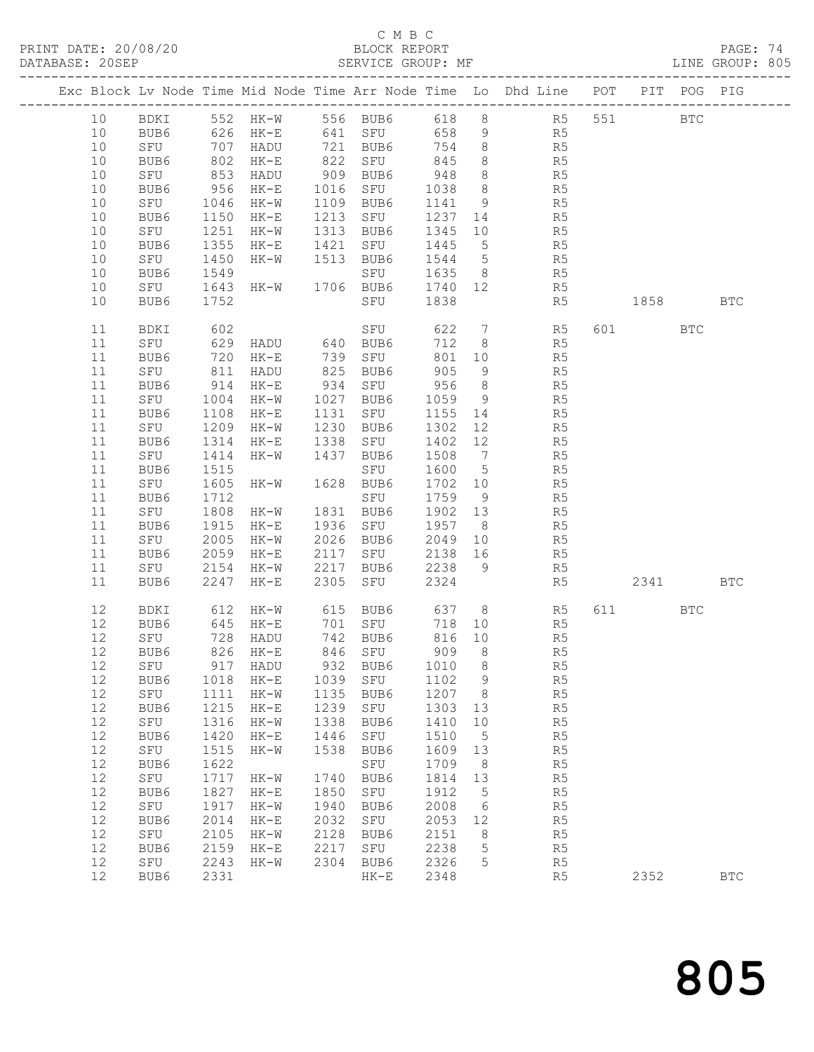### C M B C<br>BLOCK REPORT

PAGE: 74<br>LINE GROUP: 805

|            |                     |              |                             |              |                                                            |              |                 | Exc Block Lv Node Time Mid Node Time Arr Node Time Lo Dhd Line POT PIT POG PIG                                                                                                                    |           |              |            |
|------------|---------------------|--------------|-----------------------------|--------------|------------------------------------------------------------|--------------|-----------------|---------------------------------------------------------------------------------------------------------------------------------------------------------------------------------------------------|-----------|--------------|------------|
| 10         | BDKI                |              |                             |              |                                                            |              |                 | 552 HK-W 556 BUB6 618 8 R5 551                                                                                                                                                                    |           | $_{\rm BTC}$ |            |
| 10         | BUB6                |              | 626 HK-E                    |              | 641 SFU                                                    |              |                 | 658 9 R5                                                                                                                                                                                          |           |              |            |
| 10         | SFU                 |              |                             |              | 721    BUB6           754<br>822     SFU               845 |              |                 | $\begin{array}{ccc} 8 & \phantom{000} & \phantom{000} & \phantom{00} & \phantom{00} & \phantom{00} \\ 8 & \phantom{000} & \phantom{000} & \phantom{00} & \phantom{00} & \phantom{00} \end{array}$ |           |              |            |
| 10         | BUB6                |              | 707 HADU<br>802 HK-E        |              |                                                            |              |                 |                                                                                                                                                                                                   |           |              |            |
| 10         | SFU                 |              | 853 HADU                    |              | 909 BUB6                                                   | 948          |                 | 8 R5                                                                                                                                                                                              |           |              |            |
| 10         | BUB6                | 956          | HK-E                        |              | 1016 SFU                                                   | 1038         |                 | 8 R5                                                                                                                                                                                              |           |              |            |
| 10         | SFU                 | 1046         | HK-W                        | 1109         | BUB6                                                       | 1141         | 9               |                                                                                                                                                                                                   |           |              |            |
| 10         | BUB6                |              | 1150 HK-E                   | 1213         | SFU                                                        | 1237 14      |                 | R5<br>R5                                                                                                                                                                                          |           |              |            |
| 10         | SFU                 | 1251         | HK-W                        |              | 1313 BUB6                                                  | 1345         | 10              | R5                                                                                                                                                                                                |           |              |            |
| 10         | BUB6                | 1355         | HK-E                        |              | 1421 SFU                                                   | 1445         | $5^{\circ}$     | R5                                                                                                                                                                                                |           |              |            |
| 10         | SFU                 | 1450         | HK-W                        |              | 1513 BUB6                                                  | 1544 5       |                 | R5                                                                                                                                                                                                |           |              |            |
| 10         | BUB6                | 1549         |                             |              | SFU                                                        | 1635 8       |                 | R5                                                                                                                                                                                                |           |              |            |
| 10         | SFU                 |              | 1643 HK-W 1706 BUB6 1740 12 |              |                                                            |              |                 | R5                                                                                                                                                                                                |           |              |            |
| 10         | BUB6                | 1752         |                             |              | SFU                                                        | 1838         |                 | R5                                                                                                                                                                                                | 1858 BTC  |              |            |
|            |                     |              |                             |              |                                                            |              |                 |                                                                                                                                                                                                   |           |              |            |
| 11         | BDKI                | 602          |                             |              | SFU                                                        |              |                 | 622 7 R5                                                                                                                                                                                          | 601 000   | <b>BTC</b>   |            |
| 11         | SFU                 |              | 629 HADU 640 BUB6           |              |                                                            | 712          | 8 <sup>8</sup>  | R5                                                                                                                                                                                                |           |              |            |
| 11         | BUB6                |              | 720 HK-E                    |              | 739 SFU                                                    |              | 801 10          | R5                                                                                                                                                                                                |           |              |            |
| 11         | SFU                 |              | 811 HADU                    |              | 825 BUB6                                                   | 905          | 9               | R5                                                                                                                                                                                                |           |              |            |
| 11         | BUB6                |              | 914 HK-E                    |              | 934 SFU 956                                                |              | 8 <sup>8</sup>  | R5                                                                                                                                                                                                |           |              |            |
| 11         | SFU                 | 1004         | $HK-W$                      |              | 1027 BUB6                                                  | 1059         |                 | $9$ R5                                                                                                                                                                                            |           |              |            |
| 11         | BUB6                | 1108         | $HK-E$                      | 1131         | SFU                                                        | 1155 14      |                 | R <sub>5</sub>                                                                                                                                                                                    |           |              |            |
| 11         | SFU                 | 1209         | HK-W                        | 1230         | BUB6                                                       | 1302         | 12              | R5                                                                                                                                                                                                |           |              |            |
| 11         | BUB6                | 1314         | HK-E                        | 1338         | SFU                                                        | 1402 12      |                 | R5<br>R5                                                                                                                                                                                          |           |              |            |
| 11         | SFU                 | 1414         | HK-W                        |              | 1437 BUB6                                                  | 1508         | $7\overline{)}$ |                                                                                                                                                                                                   |           |              |            |
| 11         | BUB6                | 1515         |                             |              | SFU                                                        | 1600 5       |                 | R <sub>5</sub>                                                                                                                                                                                    |           |              |            |
| 11         | SFU                 | 1605         | HK-W 1628 BUB6              |              |                                                            | 1702 10      |                 | R5                                                                                                                                                                                                |           |              |            |
| 11         | BUB6                | 1712         |                             |              | SFU                                                        | 1759 9       |                 | R5<br>R5                                                                                                                                                                                          |           |              |            |
| 11         | SFU                 |              | 1808 HK-W                   |              | 1831 BUB6                                                  | 1902 13      |                 |                                                                                                                                                                                                   |           |              |            |
| 11         | BUB6                | 1915         | HK-E                        |              | 1936 SFU                                                   | 1957 8       |                 | R <sub>5</sub>                                                                                                                                                                                    |           |              |            |
| 11         | SFU                 | 2005         | HK-W                        | 2026         | BUB6                                                       | 2049         | 10              | R5                                                                                                                                                                                                |           |              |            |
| 11         | BUB6                | 2059         | HK-E                        | 2117         | SFU                                                        | 2138 16      |                 | R5                                                                                                                                                                                                |           |              |            |
| 11         | SFU                 |              | 2154 HK-W                   | 2217         | BUB6                                                       | 2238         | - 9             | R5                                                                                                                                                                                                |           |              |            |
| 11         | BUB6                |              | 2247 HK-E                   | 2305         | SFU                                                        | 2324         |                 | R5                                                                                                                                                                                                | 2341      |              | <b>BTC</b> |
|            |                     |              |                             |              |                                                            |              |                 |                                                                                                                                                                                                   |           |              |            |
| 12         | BDKI                |              | 612 HK-W<br>645 HK-E        |              | 615 BUB6<br>701 SFU                                        |              |                 | $637$ 8<br>R5                                                                                                                                                                                     | 611 — 100 | <b>BTC</b>   |            |
| 12         | BUB6                |              |                             |              |                                                            | 718 10       |                 | R5                                                                                                                                                                                                |           |              |            |
| 12         | SFU                 |              | 728 HADU                    |              | 742 BUB6                                                   | 816 10       |                 | R5                                                                                                                                                                                                |           |              |            |
| 12         | BUB6                |              | 826 HK-E                    |              | 846 SFU                                                    | 909          | 8 <sup>8</sup>  | R5                                                                                                                                                                                                |           |              |            |
| 12         | SFU                 |              | 917 HADU                    |              | 932 BUB6                                                   | 1010 8       |                 | R <sub>5</sub>                                                                                                                                                                                    |           |              |            |
| 12         | BUB6                | 1018         | $HK-E$                      | 1039         | SFU                                                        | 1102         | 9               | R5                                                                                                                                                                                                |           |              |            |
| 12<br>12   | ${\tt SFU}$         | 1111<br>1215 | $HK-W$                      | 1135<br>1239 | BUB6                                                       | 1207<br>1303 | 8               | R5<br>R5                                                                                                                                                                                          |           |              |            |
|            | BUB6                | 1316         | $HK-E$                      | 1338         | SFU                                                        | 1410         | 13              |                                                                                                                                                                                                   |           |              |            |
| $12$<br>12 | SFU<br>BUB6         | 1420         | $HK-W$                      | 1446         | BUB6                                                       | 1510         | 10              | R5<br>R5                                                                                                                                                                                          |           |              |            |
| 12         |                     |              | $HK-E$                      | 1538         | SFU                                                        |              | 5               |                                                                                                                                                                                                   |           |              |            |
| 12         | ${\tt SFU}$<br>BUB6 | 1515<br>1622 | $HK-W$                      |              | BUB6<br>SFU                                                | 1609<br>1709 | 13              | R5<br>R5                                                                                                                                                                                          |           |              |            |
|            |                     | 1717         |                             | 1740         |                                                            | 1814         | 8               |                                                                                                                                                                                                   |           |              |            |
| $12$<br>12 | SFU<br>BUB6         | 1827         | HK-W<br>$HK-E$              | 1850         | BUB6<br>SFU                                                | 1912         | 13<br>5         | R5<br>R5                                                                                                                                                                                          |           |              |            |
| 12         | SFU                 | 1917         | $HK-W$                      | 1940         | BUB6                                                       | 2008         | 6               | R5                                                                                                                                                                                                |           |              |            |
| 12         | BUB6                | 2014         | $HK-E$                      | 2032         | SFU                                                        | 2053         | 12              | R5                                                                                                                                                                                                |           |              |            |
| 12         | SFU                 | 2105         |                             | 2128         |                                                            | 2151         |                 |                                                                                                                                                                                                   |           |              |            |
| 12         | BUB6                | 2159         | $HK-W$<br>$HK-E$            | 2217         | BUB6<br>${\tt SFU}$                                        | 2238         | 8<br>5          | R <sub>5</sub><br>R5                                                                                                                                                                              |           |              |            |
| 12         | ${\tt SFU}$         | 2243         | $HK-W$                      | 2304         | BUB6                                                       | 2326         | 5               | R5                                                                                                                                                                                                |           |              |            |
| 12         | BUB6                | 2331         |                             |              | $HK-E$                                                     | 2348         |                 | R5                                                                                                                                                                                                | 2352      |              | <b>BTC</b> |
|            |                     |              |                             |              |                                                            |              |                 |                                                                                                                                                                                                   |           |              |            |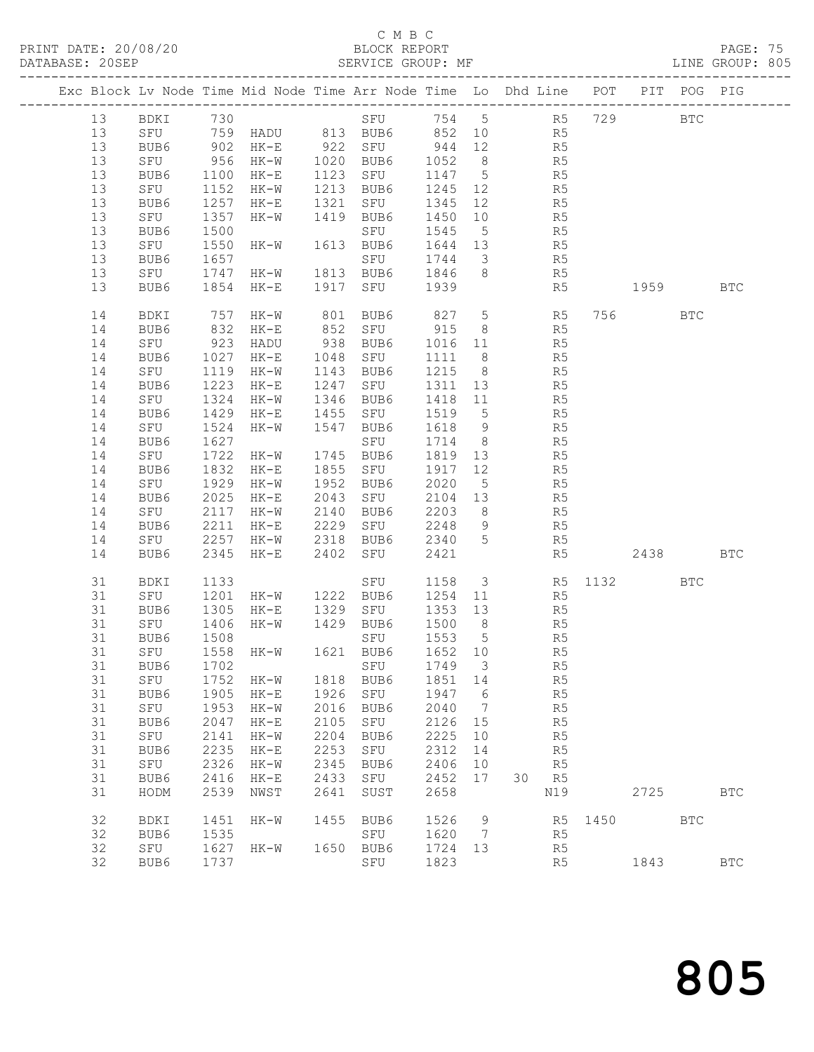### C M B C<br>BLOCK REPORT

PAGE: 75<br>LINE GROUP: 805

|  |          |              |              | Exc Block Lv Node Time Mid Node Time Arr Node Time Lo Dhd Line POT PIT POG PIG |              |                  |                |                      |                |                |                |          |              |              |
|--|----------|--------------|--------------|--------------------------------------------------------------------------------|--------------|------------------|----------------|----------------------|----------------|----------------|----------------|----------|--------------|--------------|
|  | 13       | BDKI 730     |              |                                                                                |              | SFU 754 5 R5 729 |                |                      |                |                |                |          | $_{\rm BTC}$ |              |
|  | 13       |              |              |                                                                                |              |                  |                |                      |                |                |                |          |              |              |
|  | 13       |              |              | SFU 759 HADU 813 BUB6 852 10 R5<br>BUB6 902 HK-E 922 SFU 944 12 R5             |              |                  |                |                      |                |                |                |          |              |              |
|  | 13       | SFU          | 956          | HK-W 1020 BUB6                                                                 |              |                  | 1052 8 R5      |                      |                |                |                |          |              |              |
|  | 13       | BUB6         | 1100         | HK-E                                                                           |              | 1123 SFU         | 1147 5         |                      | R <sub>5</sub> |                |                |          |              |              |
|  | 13       | SFU          |              | HK-W                                                                           |              | 1213 BUB6        | 1245 12        |                      |                |                |                |          |              |              |
|  | 13       | BUB6         | 1152<br>1257 | HK-E                                                                           |              | 1321 SFU         | 1345 12        |                      | R <sub>5</sub> | R5             |                |          |              |              |
|  | 13       | SFU          | 1357         | HK-W                                                                           |              | 1419 BUB6        | 1450 10        |                      | R <sub>5</sub> |                |                |          |              |              |
|  | 13       | BUB6         | 1500         |                                                                                |              | SFU              | 1545 5         |                      | R <sub>5</sub> |                |                |          |              |              |
|  | 13       | SFU          | 1550         | $HK-W$                                                                         |              | 1613 BUB6        | 1644 13        |                      | R <sub>5</sub> |                |                |          |              |              |
|  | 13       | BUB6         | 1657         |                                                                                |              | SFU              | 1744 3         |                      |                |                |                |          |              |              |
|  | 13       | SFU          | 1747         | HK-W 1813 BUB6                                                                 |              |                  | 1846 8         |                      |                | R5<br>R5       |                |          |              |              |
|  | 13       | BUB6         |              | 1854 HK-E                                                                      |              | 1917 SFU 1939    |                |                      |                | R5             |                | 1959 BTC |              |              |
|  |          |              |              |                                                                                |              |                  |                |                      |                |                |                |          |              |              |
|  | 14       | BDKI         | 757          | HK-W                                                                           |              | 801 BUB6         | 827 5 R5       |                      |                |                |                | 756 751  | BTC          |              |
|  | 14       | BUB6         | 832          | $HK-E$                                                                         |              | 852 SFU 915      |                | 8 <sup>8</sup>       |                | R5             |                |          |              |              |
|  | 14       | SFU          | 923          | HADU                                                                           |              | 938 BUB6         | 1016 11        |                      | R <sub>5</sub> |                |                |          |              |              |
|  | 14       | BUB6         | 1027         | $HK-E$                                                                         |              | 1048 SFU         | 1111           | 8 <sup>8</sup>       |                | R5             |                |          |              |              |
|  | 14       | SFU          | 1119         | HK-W                                                                           |              | 1143 BUB6        | 1215 8         |                      |                | R5             |                |          |              |              |
|  | 14       | BUB6         | 1223         | $HK-E$                                                                         |              | 1247 SFU         | 1311 13        |                      |                | R5             |                |          |              |              |
|  | 14       | SFU          | 1324         | HK-W                                                                           |              | 1346 BUB6        | 1418 11        |                      | R <sub>5</sub> |                |                |          |              |              |
|  | 14       | BUB6         | 1429         | $HK-E$                                                                         | 1455         | SFU              | 1519           | 5 <sup>5</sup>       |                | R5             |                |          |              |              |
|  | 14       | SFU          | 1524         | HK-W                                                                           |              | 1547 BUB6        | 1618 9         |                      |                | R5             |                |          |              |              |
|  | 14       | BUB6         | 1627         |                                                                                |              | SFU              | 1714           | 8 <sup>8</sup>       |                | $R_5$          |                |          |              |              |
|  | 14       | SFU          | 1722         | HK-W                                                                           |              | 1745 BUB6        | 1819 13        |                      | R <sub>5</sub> |                |                |          |              |              |
|  | 14       | BUB6         | 1832         | $HK-E$                                                                         |              | 1855 SFU         | 1917           | 12                   |                | R5             |                |          |              |              |
|  | 14       | SFU          | 1929         | HK-W                                                                           |              | 1952 BUB6        | 2020 5         |                      |                | R5<br>R5       |                |          |              |              |
|  | 14       | BUB6         | 2025         | HK-E                                                                           |              | 2043 SFU         | 2104 13        |                      |                |                |                |          |              |              |
|  | 14       | SFU          | 2117         | HK-W                                                                           | 2140         | BUB6             | 2203 8 R5      |                      |                |                |                |          |              |              |
|  | 14       | BUB6         | 2211         | $HK-E$                                                                         |              | 2229 SFU         | 2248 9         |                      | R <sub>5</sub> |                |                |          |              |              |
|  | 14<br>14 | SFU          | 2257         | HK-W                                                                           |              | 2318 BUB6        | 2340 5<br>2421 |                      |                | R5             |                | 2438     |              | <b>BTC</b>   |
|  |          | BUB6         | 2345         | HK-E                                                                           |              | 2402 SFU         |                |                      |                | R5             |                |          |              |              |
|  | 31       | BDKI         | 1133         |                                                                                |              | SFU              |                |                      |                |                | 1158 3 R5 1132 |          | <b>BTC</b>   |              |
|  | 31       | SFU          | 1201         | $HK-W$                                                                         |              | 1222 BUB6        | 1254 11        |                      |                | R5             |                |          |              |              |
|  | 31       | BUB6         | 1305         | $HK-E$                                                                         |              | 1329 SFU         | 1353 13        |                      |                | R5             |                |          |              |              |
|  | 31       | SFU          | 1406         | HK-W 1429 BUB6                                                                 |              |                  | 1500 8         |                      |                | R5             |                |          |              |              |
|  | 31       | BUB6         | 1508         |                                                                                |              | SFU              | 1553 5         |                      |                | R5             |                |          |              |              |
|  | 31       | SFU          |              | 1558 HK-W 1621 BUB6                                                            |              |                  | 1652 10        |                      |                | R5             |                |          |              |              |
|  |          | 31 BUB6 1702 |              |                                                                                |              | SFU 1749 3       |                |                      |                | R <sub>5</sub> |                |          |              |              |
|  | 31       | SFU          | 1752         | HK-W                                                                           | 1818         | BUB6             | 1851           | 14                   |                | R <sub>5</sub> |                |          |              |              |
|  | 31       | BUB6         | 1905         | $HK-E$                                                                         | 1926<br>2016 | SFU              | 1947           | 6                    |                | R <sub>5</sub> |                |          |              |              |
|  | 31<br>31 | SFU<br>BUB6  | 1953<br>2047 | $HK-W$                                                                         | 2105         | BUB6             | 2040<br>2126   | $\overline{7}$<br>15 |                | R5<br>R5       |                |          |              |              |
|  | 31       | SFU          | 2141         | $HK-E$                                                                         | 2204         | SFU              | 2225           |                      |                |                |                |          |              |              |
|  | 31       |              | 2235         | $HK-W$                                                                         | 2253         | BUB6             | 2312           | 10<br>14             |                | R5             |                |          |              |              |
|  | 31       | BUB6<br>SFU  | 2326         | $HK-E$<br>$HK-W$                                                               | 2345         | SFU<br>BUB6      | 2406           | 10                   |                | R5<br>R5       |                |          |              |              |
|  | 31       | BUB6         | 2416         | $HK-E$                                                                         | 2433         | SFU              | 2452           | 17                   | 30             | R <sub>5</sub> |                |          |              |              |
|  | 31       | HODM         | 2539         | NWST                                                                           | 2641         | SUST             | 2658           |                      |                | N19            |                | 2725     |              | <b>BTC</b>   |
|  |          |              |              |                                                                                |              |                  |                |                      |                |                |                |          |              |              |
|  | 32       | BDKI         | 1451         | $HK-W$                                                                         | 1455         | BUB6             | 1526           | 9                    |                | R5             | 1450           |          | <b>BTC</b>   |              |
|  | 32       | BUB6         | 1535         |                                                                                |              | SFU              | 1620           | $\overline{7}$       |                | R5             |                |          |              |              |
|  | 32       | SFU          | 1627         | $HK-W$                                                                         | 1650         | BUB6             | 1724           | 13                   |                | R <sub>5</sub> |                |          |              |              |
|  | 32       | BUB6         | 1737         |                                                                                |              | SFU              | 1823           |                      |                | R5             |                | 1843     |              | $_{\rm BTC}$ |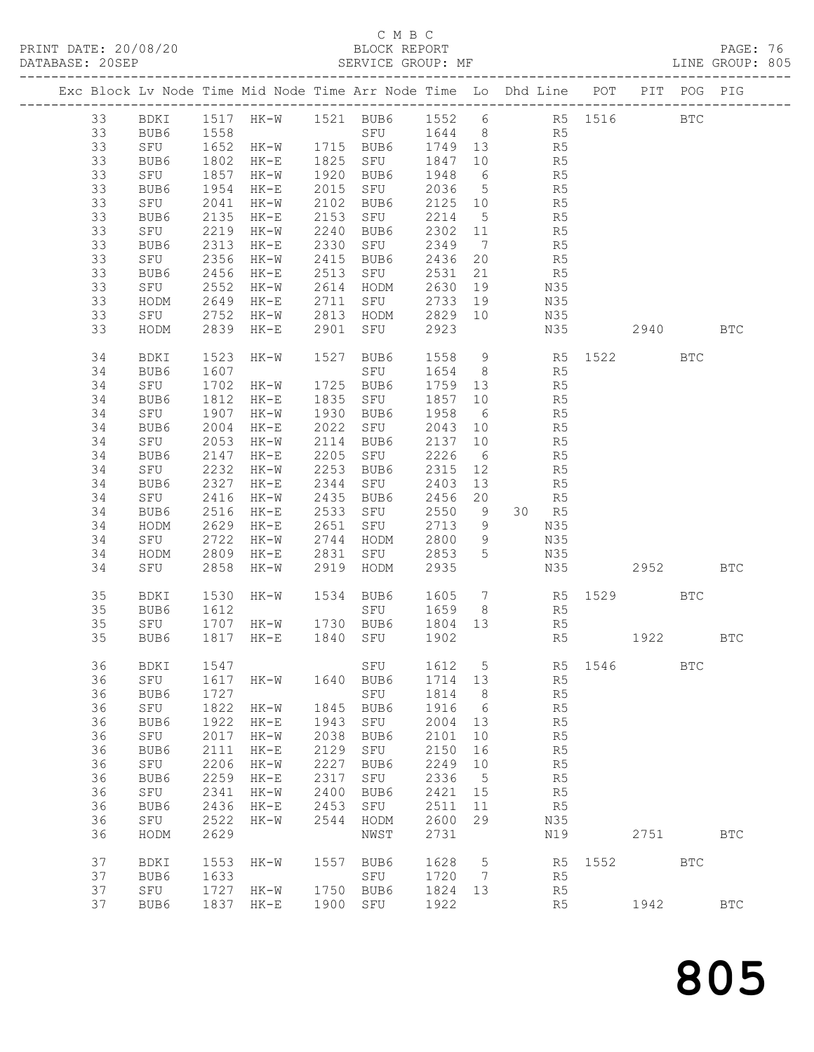#### C M B C BLOCK REPORT<br>SERVICE GROUP: MF

|          |                                 |              |                          |              |                                                                       |              |                 | PRINT DATE: 20/08/20<br>BLOCK REPORT BLOCK PERVICE GROUP: MF DATABASE: 20SEP SERVICE GROUP: MF DATABASE: 20SEP SERVICE GROUP: MF |          |          |            |              |  |
|----------|---------------------------------|--------------|--------------------------|--------------|-----------------------------------------------------------------------|--------------|-----------------|----------------------------------------------------------------------------------------------------------------------------------|----------|----------|------------|--------------|--|
|          |                                 |              |                          |              |                                                                       |              |                 | Exc Block Lv Node Time Mid Node Time Arr Node Time Lo Dhd Line POT PIT POG PIG                                                   |          |          |            |              |  |
|          |                                 |              |                          |              |                                                                       |              |                 | 33 BDKI 1517 HK-W 1521 BUB6 1552 6 R5 1516 BTC<br>33 BUB6 1558 SFU 1644 8 R5<br>33 SFU 1652 HK-W 1715 BUB6 1749 13 R5            |          |          |            |              |  |
|          |                                 |              |                          |              |                                                                       |              |                 |                                                                                                                                  |          |          |            |              |  |
| 33<br>33 | BUB6<br>SFU                     |              |                          |              |                                                                       |              |                 | 1802 HK-E 1825 SFU 1847 10 R5                                                                                                    |          |          |            |              |  |
| 33       | BUB6                            |              |                          |              |                                                                       |              |                 |                                                                                                                                  |          |          |            |              |  |
| 33       | SFU                             |              | 2041 HK-W                |              |                                                                       |              |                 | 2102 BUB6 2125 10 R5                                                                                                             |          |          |            |              |  |
| 33       | BUB6                            |              | 2135 HK-E                |              |                                                                       |              |                 | 2153 SFU 2214 5 R5                                                                                                               |          |          |            |              |  |
| 33       | SFU                             |              |                          |              | 2240 BUB6                                                             |              |                 |                                                                                                                                  |          |          |            |              |  |
| 33       | BUB6                            |              | 2219 HK-w<br>2313 HK-E   |              |                                                                       |              |                 |                                                                                                                                  |          |          |            |              |  |
| 33       | SFU                             |              | 2356 HK-W                |              | 2415 BUB6 2436 20                                                     |              |                 | R5                                                                                                                               |          |          |            |              |  |
| 33       | BUB6                            |              | 2456 HK-E                | 2513         | SFU 2531 21                                                           |              |                 | R <sub>5</sub>                                                                                                                   |          |          |            |              |  |
| 33<br>33 | SFU<br>HODM                     |              | 2552 HK-w<br>2649 HK-E   |              | 2614   HODM        2630    19<br>2711    SFU          2733    19      |              |                 | N35<br>N35                                                                                                                       |          |          |            |              |  |
| 33       | SFU 2752 HK-W                   |              |                          |              | 2813 HODM 2829 10                                                     |              |                 | N35                                                                                                                              |          |          |            |              |  |
| 33       | HODM                            |              | 2839 HK-E                |              | 2901 SFU 2923                                                         |              |                 |                                                                                                                                  | N35 2940 |          |            | <b>BTC</b>   |  |
| 34<br>34 | BDKI<br>BUB6                    |              |                          |              |                                                                       |              |                 | 1523 HK-W 1527 BUB6 1558 9 R5 1522 BTC<br>1607 SFU 1654 8 R5                                                                     |          |          |            |              |  |
| 34       | SFU                             |              |                          |              |                                                                       |              |                 | 1702 HK-W 1725 BUB6 1759 13 R5                                                                                                   |          |          |            |              |  |
| 34       | BUB6                            | 1812         | HK-E                     |              |                                                                       |              |                 |                                                                                                                                  |          |          |            |              |  |
| 34       | SFU                             |              | 1907 HK-W                |              |                                                                       |              |                 | 1835 SFU 1857 10 R5<br>1930 BUB6 1958 6 R5<br>2022 SFU 2043 10 R5                                                                |          |          |            |              |  |
| 34       | BUB6                            |              | 2004 HK-E                |              |                                                                       |              |                 |                                                                                                                                  |          |          |            |              |  |
| 34       | SFU                             |              | 2053 HK-W                |              |                                                                       |              |                 | 2114 BUB6 2137 10 R5                                                                                                             |          |          |            |              |  |
| 34       | BUB6                            |              | 2147 HK-E                |              |                                                                       |              |                 | R <sub>5</sub>                                                                                                                   |          |          |            |              |  |
| 34<br>34 | SFU 2232 HK-W<br>BUB6 2327 HK-E |              |                          | 2344         | 2205 SFU 2226 6<br>2253 BUB6 2315 12<br>2344 SFU 2403 13<br>2253 BUB6 |              |                 | R5<br>R5                                                                                                                         |          |          |            |              |  |
| 34       | SFU                             |              | 2416 HK-W                |              |                                                                       |              |                 | 2435 BUB6 2456 20 R5                                                                                                             |          |          |            |              |  |
| 34       | BUB6                            | 2516         | $HK-E$                   | 2533         |                                                                       |              |                 | SFU 2550 9 30 R5                                                                                                                 |          |          |            |              |  |
| 34       | HODM                            |              |                          |              | 2651 SFU       2713     9<br>2744   HODM       2800     9             |              |                 | N35                                                                                                                              |          |          |            |              |  |
| 34       | SFU                             |              | $2629$ HK-E<br>2722 HK-W |              |                                                                       |              |                 |                                                                                                                                  |          |          |            |              |  |
| 34       | HODM                            |              | 2809 HK-E                |              | 2831 SFU 2853                                                         |              | $5\overline{)}$ | N35                                                                                                                              |          |          |            |              |  |
| 34       | SFU                             | 2858         | $HK-W$                   |              | 2919 HODM 2935                                                        |              |                 |                                                                                                                                  | N35 2952 |          |            | <b>BTC</b>   |  |
| 35       | BDKI                            |              |                          |              |                                                                       |              |                 | 1530 HK-W 1534 BUB6 1605 7 R5 1529 BTC                                                                                           |          |          |            |              |  |
| 35       | BUB6                            | 1612         |                          |              |                                                                       |              |                 | SFU 1659 8 R5                                                                                                                    |          |          |            |              |  |
| 35       | SFU                             |              |                          |              | 35 BUB6 1817 HK-E 1840 SFU 1902                                       |              |                 | 1707 HK-W 1730 BUB6 1804 13 R5<br>R5                                                                                             |          | 1922 BTC |            |              |  |
|          |                                 |              |                          |              |                                                                       |              |                 |                                                                                                                                  |          |          |            |              |  |
| 36<br>36 | BDKI<br>SFU                     | 1547<br>1617 | HK-W                     | 1640         | SFU<br>BUB6                                                           | 1612<br>1714 | 5<br>13         | R5                                                                                                                               | R5 1546  |          | <b>BTC</b> |              |  |
| 36       | BUB6                            | 1727         |                          |              | ${\tt SFU}$                                                           | 1814         | 8               | R5                                                                                                                               |          |          |            |              |  |
| 36       | ${\tt SFU}$                     | 1822         | $HK-W$                   | 1845         | BUB6                                                                  | 1916         | 6               | R5                                                                                                                               |          |          |            |              |  |
| 36       | BUB6                            | 1922         | $HK-E$                   | 1943         | ${\tt SFU}$                                                           | 2004         | 13              | $\mathbb{R}5$                                                                                                                    |          |          |            |              |  |
| 36       | SFU                             | 2017         | $HK-W$                   | 2038         | BUB6                                                                  | 2101         | 10              | $\mathbb{R}5$                                                                                                                    |          |          |            |              |  |
| 36       | BUB6                            | 2111         | $HK-E$                   | 2129         | SFU                                                                   | 2150         | 16              | $\mathbb{R}5$                                                                                                                    |          |          |            |              |  |
| 36       | SFU                             | 2206         | $HK-W$                   | 2227         | BUB6                                                                  | 2249         | $10$            | R5                                                                                                                               |          |          |            |              |  |
| 36       | BUB6                            | 2259         | $HK-E$                   | 2317         | ${\tt SFU}$                                                           | 2336         | $5\phantom{.0}$ | R5                                                                                                                               |          |          |            |              |  |
| 36<br>36 | SFU<br>BUB6                     | 2341<br>2436 | $HK-W$<br>$HK-E$         | 2400<br>2453 | BUB6<br>SFU                                                           | 2421<br>2511 | 15<br>11        | R5<br>R5                                                                                                                         |          |          |            |              |  |
| 36       | SFU                             | 2522         | $HK-W$                   | 2544         | HODM                                                                  | 2600         | 29              | N35                                                                                                                              |          |          |            |              |  |
| 36       | HODM                            | 2629         |                          |              | NWST                                                                  | 2731         |                 | N19                                                                                                                              |          | 2751     |            | $_{\rm BTC}$ |  |
| 37       | BDKI                            | 1553         | $HK-W$                   | 1557         | BUB6                                                                  | 1628         | 5               | R5                                                                                                                               | 1552     |          | <b>BTC</b> |              |  |
| 37<br>37 | BUB6                            | 1633<br>1727 |                          |              | SFU<br>1750 BUB6                                                      | 1720<br>1824 | 7<br>13         | R5                                                                                                                               |          |          |            |              |  |
| 37       | SFU<br>BUB6                     | 1837         | $HK-W$<br>$HK-E$         | 1900         | SFU                                                                   | 1922         |                 | R5<br>R5                                                                                                                         |          | 1942     |            | <b>BTC</b>   |  |
|          |                                 |              |                          |              |                                                                       |              |                 |                                                                                                                                  |          |          |            |              |  |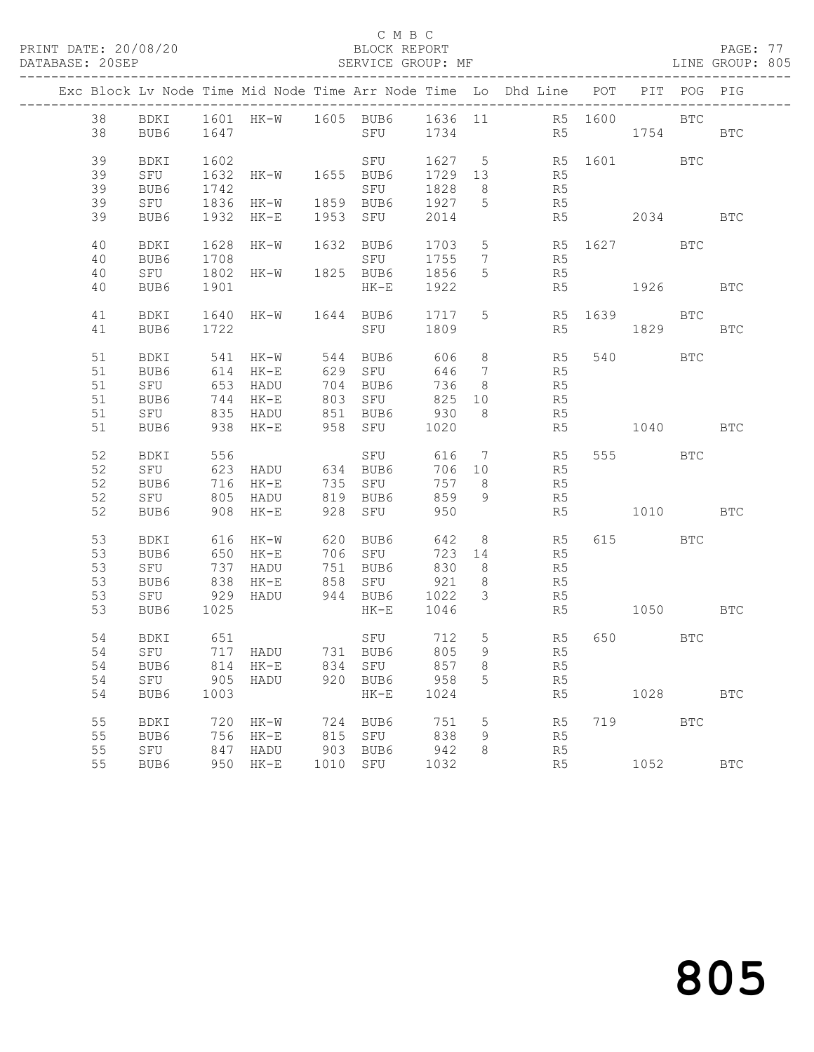#### C M B C<br>BLOCK REPORT

PAGE: 77<br>LINE GROUP: 805

|  |    |      |            | Exc Block Lv Node Time Mid Node Time Arr Node Time Lo Dhd Line POT |     |                                                        |         |                         |                      |                    | PIT POG PIG |            |
|--|----|------|------------|--------------------------------------------------------------------|-----|--------------------------------------------------------|---------|-------------------------|----------------------|--------------------|-------------|------------|
|  | 38 |      |            | BDKI 1601 HK-W 1605 BUB6 1636 11 R5 1600 BTC                       |     |                                                        |         |                         |                      |                    |             |            |
|  | 38 | BUB6 | 1647       |                                                                    |     | SFU 1734                                               |         |                         |                      | R5 1754 BTC        |             |            |
|  |    |      |            |                                                                    |     |                                                        |         |                         |                      |                    |             |            |
|  | 39 | BDKI | 1602       |                                                                    |     |                                                        | 1627 5  |                         |                      |                    |             |            |
|  | 39 |      |            |                                                                    |     | SFU                                                    |         |                         |                      | R5 1601 BTC        |             |            |
|  |    | SFU  | 1632       | HK-W 1655 BUB6                                                     |     |                                                        | 1729 13 |                         | R <sub>5</sub><br>R5 |                    |             |            |
|  | 39 | BUB6 | 1742       |                                                                    |     | SFU                                                    | 1828 8  |                         |                      |                    |             |            |
|  | 39 | SFU  |            | 1836 HK-W 1859 BUB6 1927 5                                         |     |                                                        |         |                         | R5                   |                    |             |            |
|  | 39 | BUB6 |            | 1932 HK-E                                                          |     | 1953 SFU                                               | 2014    |                         |                      | R5 2034            |             | <b>BTC</b> |
|  |    |      |            |                                                                    |     |                                                        |         |                         |                      |                    |             |            |
|  | 40 | BDKI |            | 1628 HK-W 1632 BUB6                                                |     |                                                        |         |                         |                      | 1703 5 R5 1627 BTC |             |            |
|  | 40 | BUB6 | 1708       |                                                                    |     | SFU                                                    | 1755    | $\overline{7}$          | R5                   |                    |             |            |
|  | 40 | SFU  | 1802       | HK-W 1825 BUB6                                                     |     |                                                        | 1856    | 5                       | R5                   |                    |             |            |
|  | 40 | BUB6 | 1901       |                                                                    |     | $HK-E$                                                 | 1922    |                         |                      | R5 1926            |             | BTC        |
|  |    |      |            |                                                                    |     |                                                        |         |                         |                      |                    |             |            |
|  | 41 | BDKI | 1640       | HK-W 1644 BUB6                                                     |     |                                                        | 1717    | 5 <sup>5</sup>          | R5                   | 1639 BTC           |             |            |
|  | 41 | BUB6 | 1722       |                                                                    |     | SFU 1809                                               |         |                         |                      | R5 1829            |             | <b>BTC</b> |
|  |    |      |            |                                                                    |     |                                                        |         |                         |                      |                    |             |            |
|  | 51 | BDKI |            | 541 HK-W 544 BUB6 606                                              |     |                                                        |         | 8 <sup>8</sup>          | R5                   | 540 BTC            |             |            |
|  | 51 | BUB6 |            | 614 HK-E                                                           |     | 629 SFU                                                | 646     | $7\overline{ }$         | R5                   |                    |             |            |
|  | 51 | SFU  | 653        | HADU                                                               |     | 704 BUB6                                               | 736     | 8 <sup>8</sup>          | R5                   |                    |             |            |
|  | 51 | BUB6 | 744        | HK-E                                                               |     | 803 SFU                                                | 825     | 10                      | R5                   |                    |             |            |
|  | 51 | SFU  |            | 835 HADU 851 BUB6                                                  |     |                                                        |         | 8 <sup>8</sup>          | R5                   |                    |             |            |
|  | 51 | BUB6 |            | 938 HK-E                                                           |     | 851    BUB6            930<br>958    SFU          1020 |         |                         | R5                   | 1040               |             | <b>BTC</b> |
|  |    |      |            |                                                                    |     |                                                        |         |                         |                      |                    |             |            |
|  | 52 | BDKI | 556        |                                                                    |     | SFU                                                    |         |                         | 616 7 R5             | 555 BTC            |             |            |
|  | 52 | SFU  |            | 623 HADU 634 BUB6                                                  |     |                                                        | 706 10  |                         | R <sub>5</sub>       |                    |             |            |
|  | 52 | BUB6 |            | 716 HK-E                                                           |     | 735 SFU                                                | 757 8   |                         | R5                   |                    |             |            |
|  | 52 | SFU  | 805        |                                                                    |     | HADU 819 BUB6                                          | 859     | 9                       | R5                   |                    |             |            |
|  | 52 | BUB6 |            | 908 HK-E                                                           |     | 928 SFU                                                | 950     |                         |                      | 1010 BTC           |             |            |
|  |    |      |            |                                                                    |     |                                                        |         |                         | R5                   |                    |             |            |
|  | 53 |      |            | 616 HK-W                                                           |     | 620 BUB6                                               | 642     |                         | 8 R5                 | 615 BTC            |             |            |
|  |    | BDKI |            |                                                                    |     |                                                        |         |                         |                      |                    |             |            |
|  | 53 | BUB6 |            | 650 HK-E                                                           |     | 706 SFU                                                | 723 14  |                         | R5                   |                    |             |            |
|  | 53 | SFU  | 737        | HADU                                                               |     | 751 BUB6                                               | 830     | 8 <sup>8</sup>          | R5                   |                    |             |            |
|  | 53 | BUB6 | 838<br>929 | HK-E                                                               |     |                                                        |         | 8 <sup>8</sup>          | R5                   |                    |             |            |
|  | 53 | SFU  |            | HADU                                                               |     |                                                        |         | $\overline{\mathbf{3}}$ | R5                   |                    |             |            |
|  | 53 | BUB6 | 1025       |                                                                    |     | $HK-E$                                                 | 1046    |                         | R5                   | 1050 BTC           |             |            |
|  |    |      |            |                                                                    |     |                                                        |         |                         |                      |                    |             |            |
|  | 54 | BDKI | 651        |                                                                    |     | SFU<br>BUB6                                            | 712 5   |                         | R <sub>5</sub>       | 650 BTC            |             |            |
|  | 54 | SFU  |            | 717 HADU 731 BUB6                                                  |     |                                                        | 805     | 9                       | R5                   |                    |             |            |
|  |    |      |            | 54 BUB6 814 HK-E 834 SFU 857 8 R5                                  |     |                                                        |         |                         |                      |                    |             |            |
|  | 54 | SFU  |            | 905 HADU                                                           |     | 920 BUB6                                               | 958     | $5^{\circ}$             | R5                   |                    |             |            |
|  | 54 | BUB6 | 1003       |                                                                    |     | $HK-E$                                                 | 1024    |                         | R5                   | 1028               |             | <b>BTC</b> |
|  |    |      |            |                                                                    |     |                                                        |         |                         |                      |                    |             |            |
|  | 55 | BDKI | 720        | HK-W                                                               | 724 | BUB6                                                   | 751     | 5                       | R5                   | 719                | <b>BTC</b>  |            |
|  | 55 | BUB6 | 756        | $HK-E$                                                             |     | 815 SFU                                                | 838     | 9                       | R5                   |                    |             |            |
|  | 55 | SFU  | 847        | HADU                                                               |     | 903 BUB6                                               | 942     | 8                       | R5                   |                    |             |            |
|  | 55 | BUB6 |            | 950 HK-E                                                           |     | 1010 SFU                                               | 1032    |                         | R5                   | 1052               |             | <b>BTC</b> |
|  |    |      |            |                                                                    |     |                                                        |         |                         |                      |                    |             |            |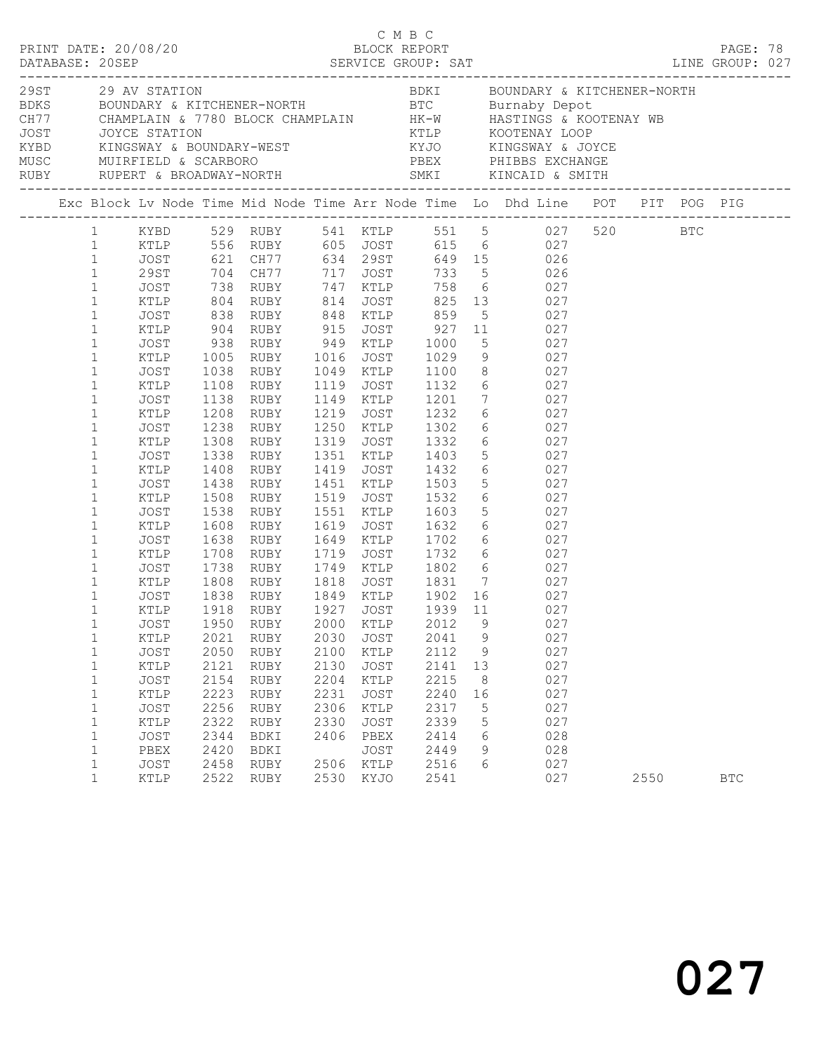|                                                                                                                                                                                                                                                                                                                                                                                                                                                                                                                                                                                   |                                                                                                                                                                                              |                                                                                                                      |                                                                                                                                                                                                           |                                                                      |                                                                              |                                                                                                |                                                  | C M B C<br>PRINT DATE: 20/08/20 BLOCK REPORT PAGE: 78<br>DATABASE: 20SEP SERVICE GROUP: SAT LINE GROUP: 027                                                                                                                                                                                                                                                                                                                                                                                                                                                                                                                                                                                                                                                                                                                                                                              |      |            |  |
|-----------------------------------------------------------------------------------------------------------------------------------------------------------------------------------------------------------------------------------------------------------------------------------------------------------------------------------------------------------------------------------------------------------------------------------------------------------------------------------------------------------------------------------------------------------------------------------|----------------------------------------------------------------------------------------------------------------------------------------------------------------------------------------------|----------------------------------------------------------------------------------------------------------------------|-----------------------------------------------------------------------------------------------------------------------------------------------------------------------------------------------------------|----------------------------------------------------------------------|------------------------------------------------------------------------------|------------------------------------------------------------------------------------------------|--------------------------------------------------|------------------------------------------------------------------------------------------------------------------------------------------------------------------------------------------------------------------------------------------------------------------------------------------------------------------------------------------------------------------------------------------------------------------------------------------------------------------------------------------------------------------------------------------------------------------------------------------------------------------------------------------------------------------------------------------------------------------------------------------------------------------------------------------------------------------------------------------------------------------------------------------|------|------------|--|
|                                                                                                                                                                                                                                                                                                                                                                                                                                                                                                                                                                                   |                                                                                                                                                                                              |                                                                                                                      |                                                                                                                                                                                                           |                                                                      |                                                                              |                                                                                                |                                                  |                                                                                                                                                                                                                                                                                                                                                                                                                                                                                                                                                                                                                                                                                                                                                                                                                                                                                          |      |            |  |
|                                                                                                                                                                                                                                                                                                                                                                                                                                                                                                                                                                                   |                                                                                                                                                                                              |                                                                                                                      |                                                                                                                                                                                                           |                                                                      |                                                                              |                                                                                                |                                                  | Exc Block Lv Node Time Mid Node Time Arr Node Time Lo Dhd Line POT PIT POG PIG                                                                                                                                                                                                                                                                                                                                                                                                                                                                                                                                                                                                                                                                                                                                                                                                           |      |            |  |
| $\mathbf{1}$<br>$\mathbf{1}$<br>$\mathbf{1}$<br>$\mathbf{1}$<br>$\mathbf{1}$<br>$\mathbf{1}$<br>$\mathbf{1}$<br>$\mathbf{1}$<br>$\mathbf{1}$<br>$\mathbf{1}$<br>$\mathbf{1}$<br>$\mathbf{1}$<br>$\mathbf{1}$<br>$\mathbf{1}$<br>$\mathbf{1}$<br>$\mathbf{1}$<br>$\mathbf{1}$<br>$\mathbf{1}$<br>$\mathbf{1}$<br>$\mathbf{1}$<br>$\mathbf{1}$<br>$\mathbf{1}$<br>$\mathbf{1}$<br>$\mathbf{1}$<br>$\mathbf{1}$<br>1<br>$\mathbf{1}$<br>$\mathbf{1}$<br>$\mathbf{1}$<br>$\mathbf{1}$<br>$\mathbf{1}$<br>$\mathbf{1}$<br>$\mathbf{1}$<br>$\mathbf{1}$<br>$\mathbf{1}$<br>$\mathbf{1}$ | KTLP<br>JOST<br>KTLP<br>JOST<br>KTLP<br>JOST<br>KTLP<br>JOST<br>KTLP<br>JOST<br>KTLP<br>JOST<br>KTLP<br>JOST<br>KTLP<br>JOST<br>KTLP<br>JOST<br>KTLP<br>JOST<br>KTLP<br>JOST<br>PBEX<br>JOST | 1308<br>1338<br>1538<br>1608<br>1738<br>2021<br>2050<br>2121<br>2154<br>2223<br>2256<br>2322<br>2344<br>2420<br>2458 | JOST 938 RUBY 949 KTLP 1000<br>1138 RUBY<br>1408 RUBY<br>1438 RUBY<br>1508 RUBY<br>RUBY<br>RUBY<br>1638 RUBY<br>1708 RUBY<br>RUBY<br>RUBY<br>RUBY<br>RUBY<br>RUBY<br>RUBY<br>RUBY<br>BDKI<br>BDKI<br>RUBY | 2030<br>2100<br>2130<br>2204<br>2231<br>2306<br>2330<br>2406<br>2506 | JOST<br>KTLP<br>JOST<br>KTLP<br>JOST<br>KTLP<br>JOST<br>PBEX<br>JOST<br>KTLP | 1551 KTLP 1603<br>2041<br>2112<br>2141<br>2215<br>2240<br>2317<br>2339<br>2414<br>2449<br>2516 | 9<br>9<br>13<br>8<br>16<br>5<br>5<br>6<br>9<br>6 | 1 KYBD 529 RUBY 541 KTLP 551 5 027 520 BTC<br>1 KTLP 556 RUBY 605 JOST 615 6 027<br>1 JOST 621 CH77 634 29ST 649 15 026<br>29ST 704 CH77 717 JOST 733 5 026<br>5 027<br>XTLP 1005 RUBY 1016 JOST 1029 9 027<br>JOST 1038 RUBY 1049 KTLP 1100 8 027<br>1108 RUBY 1119 JOST 1132 6 027<br>1149 KTLP 1201 7 027<br>1208 RUBY 1219 JOST 1232 6 027<br>1238 RUBY 1250 KTLP 1302 6 027<br>1308 RUBY 1319 JOST 1332 6 027<br>RUBY 1351 KTLP 1403 5 027<br>RUBY 1419 JOST 1432 6 027<br>RUBY 1451 KTLP 1503 5 027<br>RUBY 1519 JOST 1532 6 027<br>5 027<br>1619 JOST 1632 6 027<br>1649 KTLP 1702 6 027<br>1719 JOST 1732 6 027<br>RUBY 1749 KTLP 1802 6 027<br>XTLP 1808 RUBY 1818 JOST 1831 7 027<br>JOST 1838 RUBY 1849 KTLP 1902 16 027<br>KTLP 1918 RUBY 1927 JOST 1939 11 027<br>JOST 1950 RUBY 2000 KTLP 2012 9 027<br>027<br>027<br>027<br>027<br>027<br>027<br>027<br>028<br>028<br>027 |      |            |  |
| $\mathbf{1}$                                                                                                                                                                                                                                                                                                                                                                                                                                                                                                                                                                      | KTLP                                                                                                                                                                                         | 2522                                                                                                                 | RUBY                                                                                                                                                                                                      |                                                                      | 2530 KYJO                                                                    | 2541                                                                                           |                                                  | 027                                                                                                                                                                                                                                                                                                                                                                                                                                                                                                                                                                                                                                                                                                                                                                                                                                                                                      | 2550 | <b>BTC</b> |  |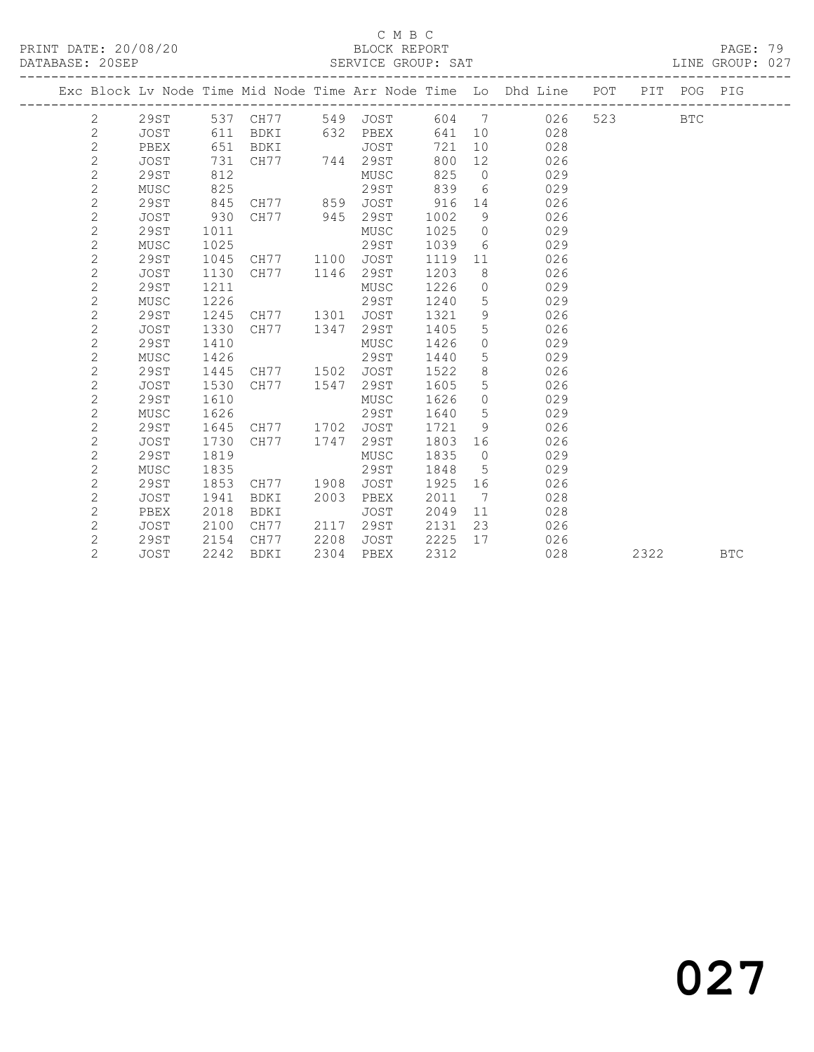### C M B C<br>BLOCK REPORT

PAGE: 79<br>LINE GROUP: 027

|                |             |      |                |      |          |      |                   | Exc Block Lv Node Time Mid Node Time Arr Node Time Lo Dhd Line POT |     | PIT  | POG PIG    |            |
|----------------|-------------|------|----------------|------|----------|------|-------------------|--------------------------------------------------------------------|-----|------|------------|------------|
| 2              | 29ST        |      | 537 CH77       |      | 549 JOST | 604  | 7                 | 026                                                                | 523 |      | <b>BTC</b> |            |
| $\mathbf{2}$   | JOST        | 611  | BDKI           |      | 632 PBEX | 641  | 10                | 028                                                                |     |      |            |            |
| $\mathbf{2}$   | PBEX        | 651  | BDKI           |      | JOST     | 721  | 10 <sup>°</sup>   | 028                                                                |     |      |            |            |
| $\overline{c}$ | <b>JOST</b> | 731  | CH77 744 29ST  |      |          | 800  | 12                | 026                                                                |     |      |            |            |
| $\overline{c}$ | 29ST        | 812  |                |      | MUSC     | 825  | $\overline{0}$    | 029                                                                |     |      |            |            |
| $\mathbf{2}$   | MUSC        | 825  |                |      | 29ST     | 839  | 6                 | 029                                                                |     |      |            |            |
| $\overline{c}$ | 29ST        | 845  | CH77 859       |      | JOST     | 916  | 14                | 026                                                                |     |      |            |            |
| $\mathbf 2$    | JOST        | 930  | CH77 945       |      | 29ST     | 1002 | 9                 | 026                                                                |     |      |            |            |
| $\overline{c}$ | <b>29ST</b> | 1011 |                |      | MUSC     | 1025 | $\overline{0}$    | 029                                                                |     |      |            |            |
| $\overline{c}$ | MUSC        | 1025 |                |      | 29ST     | 1039 | 6                 | 029                                                                |     |      |            |            |
| $\overline{c}$ | 29ST        | 1045 | CH77           | 1100 | JOST     | 1119 | 11                | 026                                                                |     |      |            |            |
| $\overline{c}$ | <b>JOST</b> | 1130 | CH77           | 1146 | 29ST     | 1203 | 8                 | 026                                                                |     |      |            |            |
| $\overline{c}$ | 29ST        | 1211 |                |      | MUSC     | 1226 | $\circ$           | 029                                                                |     |      |            |            |
| $\overline{c}$ | MUSC        | 1226 |                |      | 29ST     | 1240 | 5                 | 029                                                                |     |      |            |            |
| $\overline{c}$ | <b>29ST</b> | 1245 | CH77 1301      |      | JOST     | 1321 | 9                 | 026                                                                |     |      |            |            |
| $\overline{c}$ | JOST        | 1330 | CH77 1347      |      | 29ST     | 1405 | 5                 | 026                                                                |     |      |            |            |
| $\overline{c}$ | <b>29ST</b> | 1410 |                |      | MUSC     | 1426 | $\circ$           | 029                                                                |     |      |            |            |
| $\overline{c}$ | MUSC        | 1426 |                |      | 29ST     | 1440 | $5\phantom{.0}$   | 029                                                                |     |      |            |            |
| $\overline{c}$ | 29ST        | 1445 | CH77 1502 JOST |      |          | 1522 | 8                 | 026                                                                |     |      |            |            |
| $\overline{c}$ | JOST        | 1530 | CH77 1547      |      | 29ST     | 1605 | 5                 | 026                                                                |     |      |            |            |
| $\overline{c}$ | 29ST        | 1610 |                |      | MUSC     | 1626 | $\circ$           | 029                                                                |     |      |            |            |
| $\overline{c}$ | MUSC        | 1626 |                |      | 29ST     | 1640 | 5                 | 029                                                                |     |      |            |            |
| $\overline{2}$ | 29ST        | 1645 | CH77           | 1702 | JOST     | 1721 | 9                 | 026                                                                |     |      |            |            |
| $\overline{c}$ | JOST        | 1730 | CH77           | 1747 | 29ST     | 1803 | 16                | 026                                                                |     |      |            |            |
| $\overline{c}$ | 29ST        | 1819 |                |      | MUSC     | 1835 | $\overline{0}$    | 029                                                                |     |      |            |            |
| $\overline{c}$ | MUSC        | 1835 |                |      | 29ST     | 1848 | 5                 | 029                                                                |     |      |            |            |
| $\overline{c}$ | 29ST        | 1853 | CH77           | 1908 | JOST     | 1925 | 16                | 026                                                                |     |      |            |            |
| $\mathbf{2}$   | <b>JOST</b> | 1941 | BDKI           | 2003 | PBEX     | 2011 | $7\phantom{.0}\,$ | 028                                                                |     |      |            |            |
| $\overline{c}$ | PBEX        | 2018 | BDKI           |      | JOST     | 2049 | 11                | 028                                                                |     |      |            |            |
| $\overline{c}$ | <b>JOST</b> | 2100 | CH77           | 2117 | 29ST     | 2131 | 23                | 026                                                                |     |      |            |            |
| $\overline{c}$ | 29ST        | 2154 | CH77           | 2208 | JOST     | 2225 | 17                | 026                                                                |     |      |            |            |
| $\overline{2}$ | <b>JOST</b> | 2242 | BDKI           | 2304 | PBEX     | 2312 |                   | 028                                                                |     | 2322 |            | <b>BTC</b> |
|                |             |      |                |      |          |      |                   |                                                                    |     |      |            |            |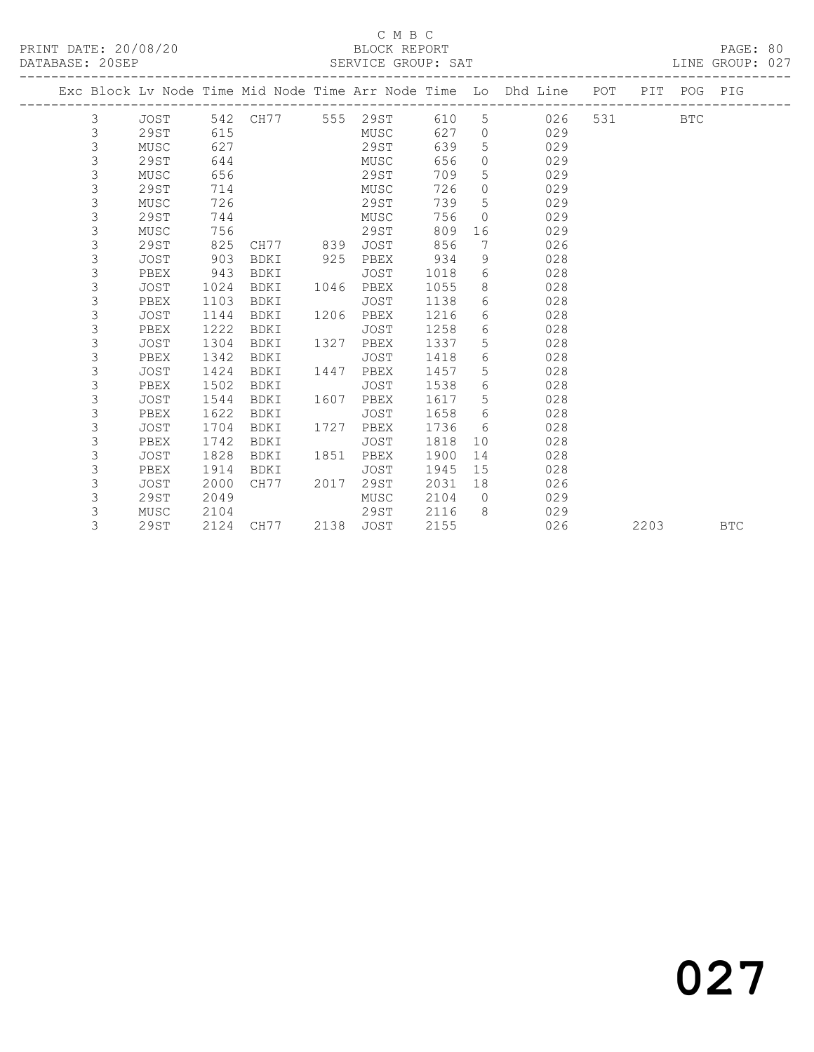### $\begin{tabular}{lllllll} \multicolumn{2}{c}{\textbf{C} M B C} & \multicolumn{2}{c}{\textbf{C} M B C} \\ \multicolumn{2}{c}{\textbf{P RINT} \textbf{DATE: }}& 20/08/20 & & & & & \multicolumn{2}{c}{\textbf{E} M B C} \\ \multicolumn{2}{c}{\textbf{D} M T C} & \multicolumn{2}{c}{\textbf{D} M T C} & \multicolumn{2}{c}{\textbf{D} M T C} & \multicolumn{2}{c}{\textbf{D} M T C} & \multicolumn{2}{c}{\textbf{D} M T C} & \multicolumn{2}{c}{$

DATABASE: 20SEP SERVICE GROUP: SAT LINE GROUP: 027

|   |             |      |                   |      |             |      |                 | Exc Block Lv Node Time Mid Node Time Arr Node Time Lo Dhd Line POT |     |      | PIT POG PIG |            |
|---|-------------|------|-------------------|------|-------------|------|-----------------|--------------------------------------------------------------------|-----|------|-------------|------------|
| 3 | JOST        |      | 542 CH77 555 29ST |      |             | 610  | 5               | 026                                                                | 531 |      | <b>BTC</b>  |            |
| 3 | 29ST        | 615  |                   |      | MUSC        | 627  | $\circ$         | 029                                                                |     |      |             |            |
| 3 | MUSC        | 627  |                   |      | 29ST        | 639  | 5               | 029                                                                |     |      |             |            |
| 3 | 29ST        | 644  |                   |      | MUSC        | 656  | $\circ$         | 029                                                                |     |      |             |            |
| 3 | MUSC        | 656  |                   |      | 29ST        | 709  | 5               | 029                                                                |     |      |             |            |
| 3 | 29ST        | 714  |                   |      | MUSC        | 726  | $\circ$         | 029                                                                |     |      |             |            |
| 3 | MUSC        | 726  |                   |      | 29ST        | 739  | 5               | 029                                                                |     |      |             |            |
| 3 | 29ST        | 744  |                   |      | MUSC        | 756  | $\Omega$        | 029                                                                |     |      |             |            |
| 3 | MUSC        | 756  |                   |      | 29ST        | 809  | 16              | 029                                                                |     |      |             |            |
| 3 | 29ST        | 825  | CH77              | 839  | <b>JOST</b> | 856  | 7               | 026                                                                |     |      |             |            |
| 3 | JOST        | 903  | BDKI              | 925  | PBEX        | 934  | 9               | 028                                                                |     |      |             |            |
| 3 | PBEX        | 943  | BDKI              |      | JOST        | 1018 | 6               | 028                                                                |     |      |             |            |
| 3 | JOST        | 1024 | BDKI              | 1046 | PBEX        | 1055 | 8               | 028                                                                |     |      |             |            |
| 3 | PBEX        | 1103 | BDKI              |      | JOST        | 1138 | 6               | 028                                                                |     |      |             |            |
| 3 | <b>JOST</b> | 1144 | BDKI              | 1206 | PBEX        | 1216 | 6               | 028                                                                |     |      |             |            |
| 3 | PBEX        | 1222 | BDKI              |      | <b>JOST</b> | 1258 | 6               | 028                                                                |     |      |             |            |
| 3 | <b>JOST</b> | 1304 | BDKI              | 1327 | PBEX        | 1337 | 5               | 028                                                                |     |      |             |            |
| 3 | PBEX        | 1342 | BDKI              |      | <b>JOST</b> | 1418 | 6               | 028                                                                |     |      |             |            |
| 3 | <b>JOST</b> | 1424 | BDKI              | 1447 | PBEX        | 1457 | 5               | 028                                                                |     |      |             |            |
| 3 | PBEX        | 1502 | BDKI              |      | JOST        | 1538 | 6               | 028                                                                |     |      |             |            |
| 3 | <b>JOST</b> | 1544 | BDKI              | 1607 | PBEX        | 1617 | 5               | 028                                                                |     |      |             |            |
| 3 | PBEX        | 1622 | BDKI              |      | JOST        | 1658 | 6               | 028                                                                |     |      |             |            |
| 3 | JOST        | 1704 | BDKI              | 1727 | PBEX        | 1736 | 6               | 028                                                                |     |      |             |            |
| 3 | PBEX        | 1742 | BDKI              |      | <b>JOST</b> | 1818 | 10 <sup>°</sup> | 028                                                                |     |      |             |            |
| 3 | JOST        | 1828 | BDKI              | 1851 | PBEX        | 1900 | 14              | 028                                                                |     |      |             |            |
| 3 | PBEX        | 1914 | BDKI              |      | JOST        | 1945 | 15              | 028                                                                |     |      |             |            |
| 3 | <b>JOST</b> | 2000 | CH77              | 2017 | 29ST        | 2031 | 18              | 026                                                                |     |      |             |            |
| 3 | 29ST        | 2049 |                   |      | MUSC        | 2104 | $\overline{0}$  | 029                                                                |     |      |             |            |
| 3 | MUSC        | 2104 |                   |      | 29ST        | 2116 | 8               | 029                                                                |     |      |             |            |
| 3 | 29ST        | 2124 | CH77              | 2138 | JOST        | 2155 |                 | 026                                                                |     | 2203 |             | <b>BTC</b> |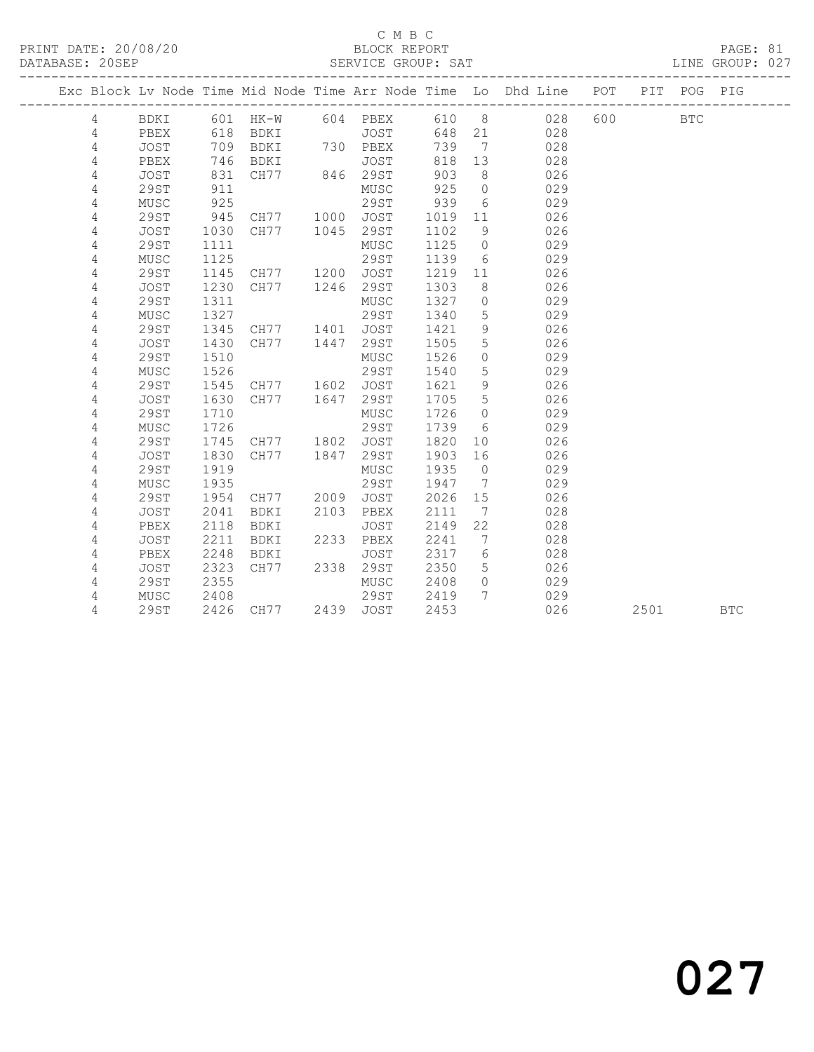#### C M B C<br>BLOCK REPORT SERVICE GROUP: SAT

PRINT DATE: 20/08/20 BLOCK REPORT PAGE: 81

|                |             |        |                                    |      |           |      |                              | Exc Block Lv Node Time Mid Node Time Arr Node Time Lo Dhd Line POT |         | PIT  | POG PIG    |  |
|----------------|-------------|--------|------------------------------------|------|-----------|------|------------------------------|--------------------------------------------------------------------|---------|------|------------|--|
| 4              | BDKI        |        | 601 HK-W 604 PBEX                  |      |           |      |                              | 610 8 028                                                          | 600 000 |      | <b>BTC</b> |  |
| 4              | PBEX        | 618    | <b>BDKI</b>                        |      | JOST      | 648  |                              | 21 028                                                             |         |      |            |  |
| 4              | <b>JOST</b> | 709    | BDKI                               |      | 730 PBEX  | 739  | $\overline{7}$               | 028                                                                |         |      |            |  |
| 4              | PBEX        | 746    | BDKI<br>BDKI JOST<br>CH77 846 29ST |      | JOST      | 818  | 13                           | 028                                                                |         |      |            |  |
| $\overline{4}$ | JOST        | 831    |                                    |      |           | 903  | 8 <sup>8</sup>               | 026                                                                |         |      |            |  |
| $\overline{4}$ | 29ST        | 911    |                                    |      | MUSC      | 925  | $\overline{0}$               | 029                                                                |         |      |            |  |
| 4              | MUSC        | $-925$ |                                    |      | 29ST      | 939  | 6                            | 029                                                                |         |      |            |  |
| 4              | <b>29ST</b> | 945    | CH77 1000 JOST                     |      |           | 1019 | 11                           | 026                                                                |         |      |            |  |
| 4              | <b>JOST</b> | 1030   | CH77                               | 1045 | 29ST      | 1102 | 9                            | 026                                                                |         |      |            |  |
| 4              | <b>29ST</b> | 1111   |                                    |      | MUSC      | 1125 | $\overline{0}$               | 029                                                                |         |      |            |  |
| 4              | MUSC        | 1125   |                                    |      | 29ST      | 1139 | 6                            | 029                                                                |         |      |            |  |
| 4              | <b>29ST</b> | 1145   | CH77 1200                          |      | JOST      | 1219 | 11                           | 026                                                                |         |      |            |  |
| 4              | <b>JOST</b> | 1230   | CH77 1246                          |      | 29ST      | 1303 | 8                            | 026                                                                |         |      |            |  |
| 4              | 29ST        | 1311   |                                    |      | MUSC      | 1327 | $\circ$                      | 029                                                                |         |      |            |  |
| 4              | MUSC        | 1327   |                                    |      | 29ST      | 1340 | 5                            | 029                                                                |         |      |            |  |
| 4              | <b>29ST</b> | 1345   | CH77 1401                          |      | JOST      | 1421 | 9                            | 026                                                                |         |      |            |  |
| $\sqrt{4}$     | JOST        | 1430   | CH77 1447                          |      | 29ST      | 1505 | 5                            | 026                                                                |         |      |            |  |
| 4              | <b>29ST</b> | 1510   |                                    |      | MUSC      | 1526 | $\circ$                      | 029                                                                |         |      |            |  |
| 4              | MUSC        | 1526   |                                    |      | 29ST      | 1540 | 5                            | 029                                                                |         |      |            |  |
| 4              | 29ST        | 1545   | CH77                               | 1602 | JOST      | 1621 | 9                            | 026                                                                |         |      |            |  |
| 4              | <b>JOST</b> | 1630   | CH77                               | 1647 | 29ST      | 1705 | 5                            | 026                                                                |         |      |            |  |
| 4              | <b>29ST</b> | 1710   |                                    |      | MUSC      | 1726 | $\overline{0}$               | 029                                                                |         |      |            |  |
| 4              | MUSC        | 1726   |                                    |      | 29ST      | 1739 | 6                            | 029                                                                |         |      |            |  |
| 4              | 29ST        | 1745   | CH77 1802                          |      | JOST      | 1820 | 10                           | 026                                                                |         |      |            |  |
| 4              | <b>JOST</b> | 1830   | CH77                               | 1847 | 29ST      | 1903 | 16                           | 026                                                                |         |      |            |  |
| 4              | <b>29ST</b> | 1919   |                                    |      | MUSC      | 1935 | $\overline{0}$               | 029                                                                |         |      |            |  |
| 4              | MUSC        | 1935   |                                    |      | 29ST      | 1947 | $\overline{7}$               | 029                                                                |         |      |            |  |
| 4              | <b>29ST</b> | 1954   | CH77 2009                          |      | JOST      | 2026 | 15                           | 026                                                                |         |      |            |  |
| 4              | JOST        | 2041   | BDKI                               | 2103 | PBEX      | 2111 | $7\phantom{.0}\phantom{.0}7$ | 028                                                                |         |      |            |  |
| 4              | PBEX        | 2118   | BDKI                               |      | JOST      | 2149 | 22                           | 028                                                                |         |      |            |  |
| 4              | JOST        | 2211   | BDKI                               |      | 2233 PBEX | 2241 | $7\phantom{.0}\phantom{.0}7$ | 028                                                                |         |      |            |  |
| 4              | PBEX        | 2248   | BDKI                               |      | JOST      | 2317 | 6                            | 028                                                                |         |      |            |  |
| 4              | JOST        | 2323   | CH77                               |      | 2338 29ST | 2350 | $5^{\circ}$                  | 026                                                                |         |      |            |  |
| 4              | <b>29ST</b> | 2355   |                                    |      | MUSC      | 2408 | $\overline{0}$               | 029                                                                |         |      |            |  |
| 4              | MUSC        | 2408   |                                    |      | 29ST      | 2419 | $7\phantom{0}$               | 029                                                                |         |      |            |  |
| 4              | 29ST        |        | 2426 CH77 2439 JOST                |      |           | 2453 |                              | 026                                                                |         | 2501 | <b>BTC</b> |  |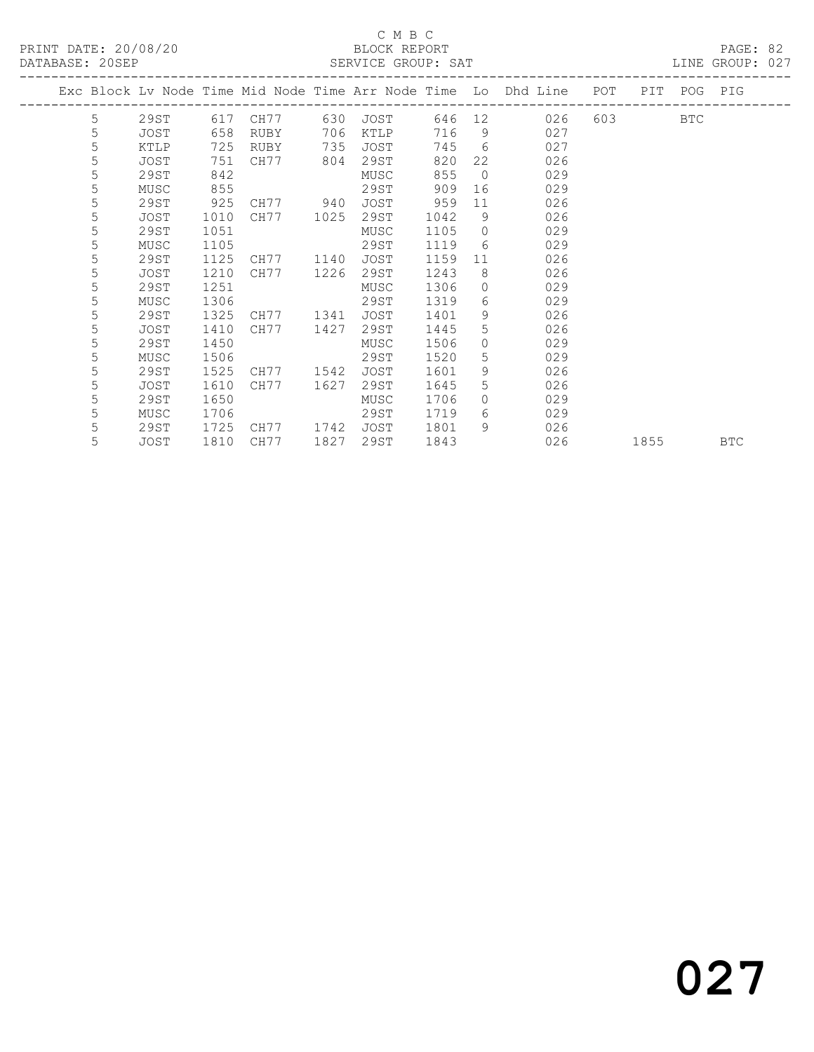#### C M B C<br>BLOCK REPORT PRINT DATE: 20/08/20 BLOCK REPORT PAGE: 82

| DATABASE: 20SEP |    |      |      |           |      | SERVICE GROUP: SAT |      |                |                                                                                |           |            | LINE GROUP: 027 |  |
|-----------------|----|------|------|-----------|------|--------------------|------|----------------|--------------------------------------------------------------------------------|-----------|------------|-----------------|--|
|                 |    |      |      |           |      |                    |      |                | Exc Block Lv Node Time Mid Node Time Arr Node Time Lo Dhd Line POT PIT POG PIG |           |            |                 |  |
|                 | .5 |      |      |           |      |                    |      |                | 29ST 617 CH77 630 JOST 646 12 026                                              | 603 — 100 | <b>BTC</b> |                 |  |
|                 | 5  | JOST | 658  | RUBY      | 706  | KTLP               |      |                | 716 9<br>027                                                                   |           |            |                 |  |
|                 | 5  | KTLP | 725  | RUBY      | 735  | JOST               |      |                | 745 6<br>027                                                                   |           |            |                 |  |
|                 | 5  | JOST | 751  | CH77 804  |      | 29ST               | 820  |                | 22<br>026                                                                      |           |            |                 |  |
|                 | 5  | 29ST | 842  |           |      | MUSC               | 855  | $\overline{0}$ | 029                                                                            |           |            |                 |  |
|                 | 5  | MUSC | 855  |           |      | 29ST               | 909  |                | 029                                                                            |           |            |                 |  |
|                 | 5  | 29ST | 925  | CH77 940  |      | JOST               | 959  | 11             | 026                                                                            |           |            |                 |  |
|                 | 5  | JOST | 1010 | CH77 1025 |      | 29ST               | 1042 |                | 9<br>026                                                                       |           |            |                 |  |
|                 | 5  | 29ST | 1051 |           |      | MUSC               | 1105 |                | $\Omega$<br>029                                                                |           |            |                 |  |
|                 | 5  | MUSC | 1105 |           |      | 29ST               | 1119 | $6 \quad$      | 029                                                                            |           |            |                 |  |
|                 | 5  | 29ST | 1125 | CH77 1140 |      | JOST               | 1159 |                | 11 - 1<br>026                                                                  |           |            |                 |  |
|                 | 5  | JOST | 1210 | CH77 1226 |      | 29ST               | 1243 | 8              | 026                                                                            |           |            |                 |  |
|                 | 5  | 29ST | 1251 |           |      | MUSC               | 1306 | 0              | 029                                                                            |           |            |                 |  |
|                 | 5  | MUSC | 1306 |           |      | 29ST               | 1319 |                | $6 \qquad \qquad$<br>029                                                       |           |            |                 |  |
|                 | 5  | 29ST | 1325 | CH77 1341 |      | JOST               | 1401 | $9 \quad$      | 026                                                                            |           |            |                 |  |
|                 | 5  | JOST | 1410 | CH77      | 1427 | 29ST               | 1445 | $5^{\circ}$    | 026                                                                            |           |            |                 |  |
|                 | 5  | 29ST | 1450 |           |      | MUSC               | 1506 |                | $\overline{0}$<br>029                                                          |           |            |                 |  |
|                 | 5  | MUSC | 1506 |           |      | 29ST               | 1520 | 5              | 029                                                                            |           |            |                 |  |
|                 | 5  | 29ST | 1525 | CH77 1542 |      | JOST               | 1601 | 9              | 026                                                                            |           |            |                 |  |
|                 | 5  | JOST | 1610 | CH77 1627 |      | 29ST               | 1645 |                | $5 - 5$<br>026                                                                 |           |            |                 |  |
|                 | 5  | 29ST | 1650 |           |      | MUSC               | 1706 |                | $\Omega$<br>029                                                                |           |            |                 |  |
|                 | 5  | MUSC | 1706 |           |      | 29ST               | 1719 |                | $6 \qquad \qquad$<br>029                                                       |           |            |                 |  |
|                 | 5  | 29ST | 1725 | CH77 1742 |      | JOST               | 1801 |                | 9 026                                                                          |           |            |                 |  |
|                 | 5  | JOST | 1810 | CH77      | 1827 | 29ST               | 1843 |                | 026                                                                            | 1855      |            | <b>BTC</b>      |  |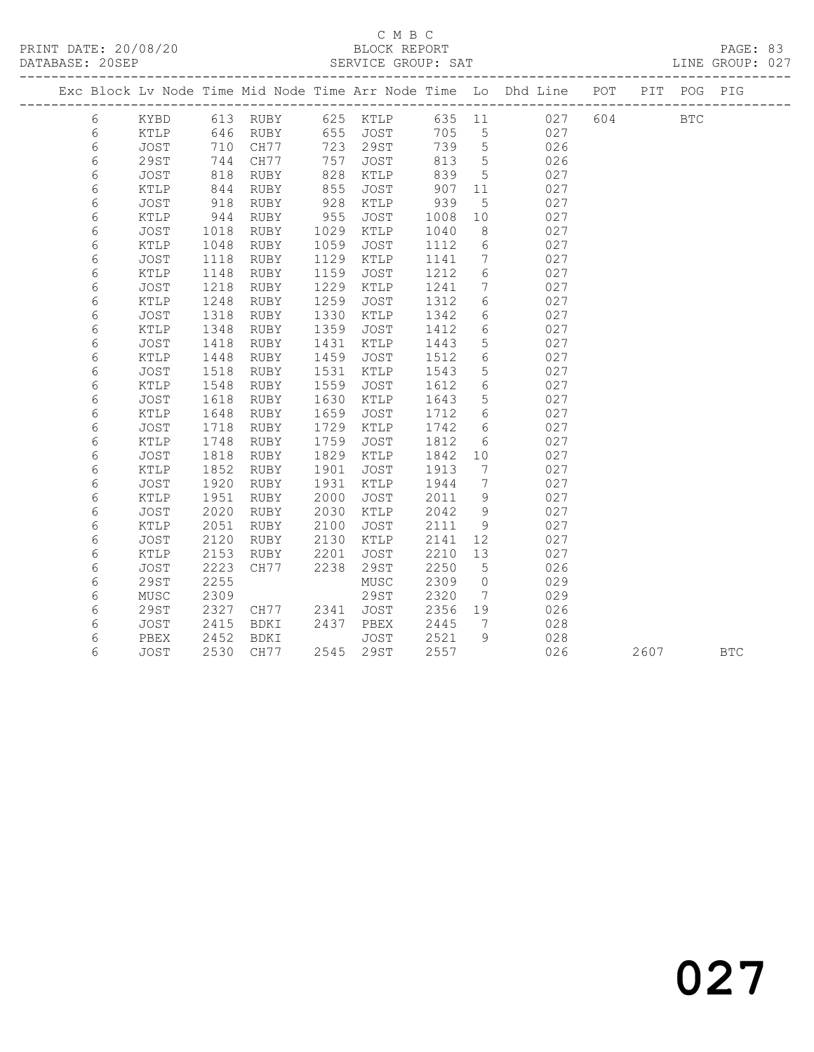|            |             |      |          |      |             |      |                   | Exc Block Lv Node Time Mid Node Time Arr Node Time Lo Dhd Line POT |     |      | PIT POG PIG |            |
|------------|-------------|------|----------|------|-------------|------|-------------------|--------------------------------------------------------------------|-----|------|-------------|------------|
| 6          | KYBD        |      | 613 RUBY |      | 625 KTLP    |      |                   | 635 11 027                                                         | 604 |      | <b>BTC</b>  |            |
| 6          | KTLP        | 646  | RUBY     |      | 655 JOST    | 705  | 5                 | 027                                                                |     |      |             |            |
| $\epsilon$ | JOST        | 710  | CH77     | 723  | 29ST        | 739  | 5                 | 026                                                                |     |      |             |            |
| 6          | 29ST        | 744  | CH77     | 757  | JOST        | 813  | 5                 | 026                                                                |     |      |             |            |
| 6          | <b>JOST</b> | 818  | RUBY     | 828  | KTLP        | 839  | 5                 | 027                                                                |     |      |             |            |
| 6          | KTLP        | 844  | RUBY     | 855  | JOST        | 907  | 11                | 027                                                                |     |      |             |            |
| 6          | JOST        | 918  | RUBY     | 928  | KTLP        | 939  | 5                 | 027                                                                |     |      |             |            |
| 6          | KTLP        | 944  | RUBY     | 955  | JOST        | 1008 | 10                | 027                                                                |     |      |             |            |
| 6          | <b>JOST</b> | 1018 | RUBY     | 1029 | KTLP        | 1040 | 8                 | 027                                                                |     |      |             |            |
| 6          | KTLP        | 1048 | RUBY     | 1059 | JOST        | 1112 | $6\phantom{.}6$   | 027                                                                |     |      |             |            |
| $\epsilon$ | JOST        | 1118 | RUBY     | 1129 | KTLP        | 1141 | $7\overline{ }$   | 027                                                                |     |      |             |            |
| 6          | KTLP        | 1148 | RUBY     | 1159 | JOST        | 1212 | 6                 | 027                                                                |     |      |             |            |
| 6          | JOST        | 1218 | RUBY     | 1229 | KTLP        | 1241 | 7                 | 027                                                                |     |      |             |            |
| 6          | KTLP        | 1248 | RUBY     | 1259 | JOST        | 1312 | $6\phantom{.}6$   | 027                                                                |     |      |             |            |
| $\epsilon$ | JOST        | 1318 | RUBY     | 1330 | KTLP        | 1342 | $6\overline{6}$   | 027                                                                |     |      |             |            |
| 6          | KTLP        | 1348 | RUBY     | 1359 | JOST        | 1412 | 6                 | 027                                                                |     |      |             |            |
| 6          | <b>JOST</b> | 1418 | RUBY     | 1431 | KTLP        | 1443 | 5                 | 027                                                                |     |      |             |            |
| 6          | KTLP        | 1448 | RUBY     | 1459 | JOST        | 1512 | $\sqrt{6}$        | 027                                                                |     |      |             |            |
| 6          | JOST        | 1518 | RUBY     | 1531 | KTLP        | 1543 | 5                 | 027                                                                |     |      |             |            |
| 6          | KTLP        | 1548 | RUBY     | 1559 | JOST        | 1612 | 6                 | 027                                                                |     |      |             |            |
| 6          | <b>JOST</b> | 1618 | RUBY     | 1630 | KTLP        | 1643 | 5                 | 027                                                                |     |      |             |            |
| 6          | KTLP        | 1648 | RUBY     | 1659 | JOST        | 1712 | 6                 | 027                                                                |     |      |             |            |
| 6          | JOST        | 1718 | RUBY     | 1729 | KTLP        | 1742 | 6                 | 027                                                                |     |      |             |            |
| 6          | KTLP        | 1748 | RUBY     | 1759 | JOST        | 1812 | 6                 | 027                                                                |     |      |             |            |
| 6          | JOST        | 1818 | RUBY     | 1829 | KTLP        | 1842 | 10                | 027                                                                |     |      |             |            |
| 6          | KTLP        | 1852 | RUBY     | 1901 | JOST        | 1913 | $7\phantom{.0}\,$ | 027                                                                |     |      |             |            |
| 6          | <b>JOST</b> | 1920 | RUBY     | 1931 | KTLP        | 1944 | $7\phantom{.0}$   | 027                                                                |     |      |             |            |
| 6          | KTLP        | 1951 | RUBY     | 2000 | <b>JOST</b> | 2011 | 9                 | 027                                                                |     |      |             |            |
| 6          | JOST        | 2020 | RUBY     | 2030 | KTLP        | 2042 | 9                 | 027                                                                |     |      |             |            |
| 6          | KTLP        | 2051 | RUBY     | 2100 | JOST        | 2111 | 9                 | 027                                                                |     |      |             |            |
| 6          | JOST        | 2120 | RUBY     | 2130 | KTLP        | 2141 | 12                | 027                                                                |     |      |             |            |
| 6          | KTLP        | 2153 | RUBY     | 2201 | JOST        | 2210 | 13                | 027                                                                |     |      |             |            |
| 6          | JOST        | 2223 | CH77     | 2238 | 29ST        | 2250 | 5                 | 026                                                                |     |      |             |            |
| $\epsilon$ | 29ST        | 2255 |          |      | MUSC        | 2309 | $\circ$           | 029                                                                |     |      |             |            |
| 6          | MUSC        | 2309 |          |      | 29ST        | 2320 | 7                 | 029                                                                |     |      |             |            |
| 6          | 29ST        | 2327 | CH77     | 2341 | JOST        | 2356 | 19                | 026                                                                |     |      |             |            |
| 6          | JOST        | 2415 | BDKI     | 2437 | PBEX        | 2445 | 7                 | 028                                                                |     |      |             |            |
| 6          | PBEX        | 2452 | BDKI     |      | JOST        | 2521 | 9                 | 028                                                                |     |      |             |            |
| 6          | JOST        | 2530 | CH77     |      | 2545 29ST   | 2557 |                   | 026                                                                |     | 2607 |             | <b>BTC</b> |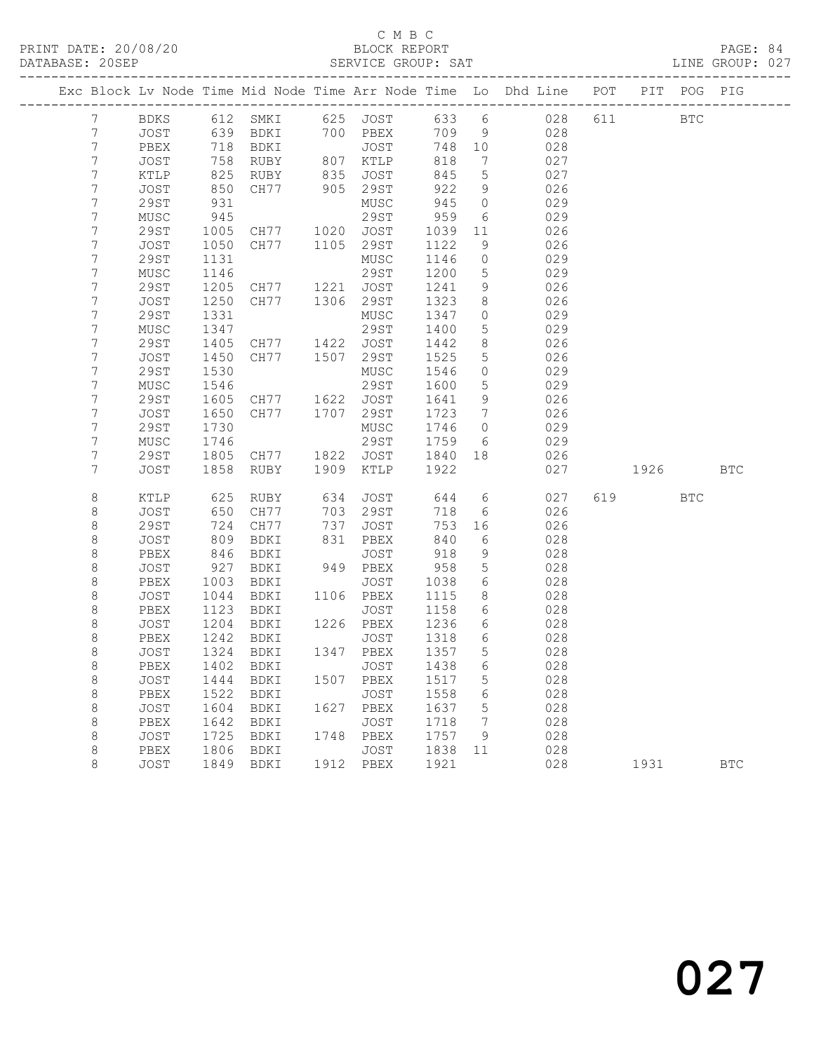|                       |              |              |                            |      |              |              |                 | Exc Block Lv Node Time Mid Node Time Arr Node Time Lo Dhd Line POT |           | PIT POG PIG |            |
|-----------------------|--------------|--------------|----------------------------|------|--------------|--------------|-----------------|--------------------------------------------------------------------|-----------|-------------|------------|
| 7                     | BDKS         |              |                            |      |              |              |                 | 612 SMKI 625 JOST 633 6 028                                        | 611 000   | <b>BTC</b>  |            |
| 7                     | JOST         |              | 639 BDKI                   |      | 700 PBEX     | 709          | 9               | 028                                                                |           |             |            |
| 7                     | PBEX         | 718          | BDKI                       |      | JOST         | 748          | 10              | 028                                                                |           |             |            |
| 7                     | JOST         | 758          | RUBY                       |      | 807 KTLP     | 818          | 7               | 027                                                                |           |             |            |
| 7                     | KTLP         | 825          | RUBY                       | 835  | JOST         | 845          | $5\overline{)}$ | 027                                                                |           |             |            |
| 7                     | <b>JOST</b>  | 850          | CH77                       |      | 905 29ST     | 922          | 9               | 026                                                                |           |             |            |
| 7                     | <b>29ST</b>  | 931          |                            |      | MUSC         | 945          | $\circ$         | 029                                                                |           |             |            |
| 7                     | MUSC         | 945          |                            |      | 29ST         | 959          | 6               | 029                                                                |           |             |            |
| 7                     | 29ST         | 1005         | CH77 1020                  |      | JOST         | 1039         | 11              | 026                                                                |           |             |            |
| 7                     | JOST         | 1050         | CH77                       |      | 1105 29ST    | 1122         | 9               | 026                                                                |           |             |            |
| 7                     | <b>29ST</b>  | 1131         |                            |      | MUSC         | 1146         | $\circ$         | 029                                                                |           |             |            |
| 7                     | MUSC         | 1146         |                            |      | 29ST         | 1200         | 5               | 029                                                                |           |             |            |
| 7                     | 29ST         | 1205         | CH77 1221 JOST             |      |              | 1241         | 9               | 026                                                                |           |             |            |
| 7                     | JOST         | 1250         | CH77                       |      | 1306 29ST    | 1323         | 8               | 026                                                                |           |             |            |
| $\overline{7}$        | <b>29ST</b>  | 1331         |                            |      | MUSC         | 1347         | $\circ$         | 029                                                                |           |             |            |
| 7                     | MUSC         | 1347         |                            |      | 29ST         | 1400         | 5               | 029                                                                |           |             |            |
| 7                     | 29ST         | 1405         | CH77 1422                  |      | JOST         | 1442         | 8               | 026                                                                |           |             |            |
| 7<br>$\boldsymbol{7}$ | JOST         | 1450         | CH77                       | 1507 | 29ST         | 1525         | $5\phantom{.0}$ | 026                                                                |           |             |            |
| 7                     | 29ST         | 1530         |                            |      | MUSC<br>29ST | 1546         | $\circ$         | 029                                                                |           |             |            |
| 7                     | MUSC<br>29ST | 1546<br>1605 | CH77 1622 JOST             |      |              | 1600<br>1641 | 5<br>9          | 029<br>026                                                         |           |             |            |
| 7                     | JOST         | 1650         | CH77                       | 1707 | 29ST         | 1723         | $\overline{7}$  | 026                                                                |           |             |            |
| 7                     | <b>29ST</b>  | 1730         |                            |      | MUSC         | 1746         | $\overline{0}$  | 029                                                                |           |             |            |
| 7                     | MUSC         | 1746         |                            |      | 29ST         | 1759         | 6               | 029                                                                |           |             |            |
| 7                     | 29ST         | 1805         | CH77                       | 1822 | JOST         | 1840         | 18              | 026                                                                |           |             |            |
| 7                     | JOST         | 1858         | RUBY                       | 1909 | KTLP         | 1922         |                 | 027                                                                | 1926 1990 |             | <b>BTC</b> |
|                       |              |              |                            |      |              |              |                 |                                                                    |           |             |            |
| 8                     | KTLP         | 625          | RUBY                       | 634  | JOST         | 644          | 6               | 027                                                                | 619       | BTC         |            |
| 8                     | <b>JOST</b>  | 650          | CH77                       | 703  | 29ST         | 718          | 6               | 026                                                                |           |             |            |
| 8                     | 29ST         | 724          | CH77                       | 737  | JOST         | 753          | 16              | 026                                                                |           |             |            |
| $\,8\,$               | JOST         | 809          | BDKI                       |      | 831 PBEX     | 840          | 6               | 028                                                                |           |             |            |
| 8                     | PBEX         | 846          | BDKI                       |      | JOST         | 918          | 9               | 028                                                                |           |             |            |
| 8                     | JOST         | 927          | BDKI                       |      | 949 PBEX     | 958          | $5\phantom{.0}$ | 028                                                                |           |             |            |
| 8                     | PBEX         | 1003         | BDKI                       |      | JOST         | 1038         | 6               | 028                                                                |           |             |            |
| $\,8\,$               | JOST         | 1044         | BDKI                       |      | 1106 PBEX    | 1115         | 8               | 028                                                                |           |             |            |
| 8                     | PBEX         | 1123         | BDKI                       |      | JOST         | 1158         | $6\overline{6}$ | 028                                                                |           |             |            |
| 8                     | JOST         | 1204         | BDKI                       |      | 1226 PBEX    | 1236         | 6 <sup>6</sup>  | 028                                                                |           |             |            |
| 8                     | PBEX         | 1242         | BDKI                       |      | JOST         | 1318         | $6\overline{6}$ | 028                                                                |           |             |            |
| $\,8\,$               | JOST         | 1324         | BDKI                       |      | 1347 PBEX    | 1357         | 5               | 028                                                                |           |             |            |
| 8                     |              |              | PBEX 1402 BDKI JOST 1438 6 |      |              |              |                 | 028                                                                |           |             |            |
| 8                     | JOST         | 1444<br>1522 | BDKI                       | 1507 | PBEX         | 1517<br>1558 | 5               | 028<br>028                                                         |           |             |            |
| $\,8\,$<br>$\,8\,$    | PBEX<br>JOST | 1604         | BDKI<br>BDKI               | 1627 | JOST<br>PBEX | 1637         | 6<br>5          | 028                                                                |           |             |            |
| $\,8\,$               | PBEX         | 1642         | BDKI                       |      | <b>JOST</b>  | 1718         | 7               | 028                                                                |           |             |            |
| 8                     | JOST         | 1725         | BDKI                       | 1748 | PBEX         | 1757         | 9               | 028                                                                |           |             |            |
| 8                     | PBEX         | 1806         | BDKI                       |      | JOST         | 1838         | 11              | 028                                                                |           |             |            |
| 8                     | JOST         | 1849         | BDKI                       | 1912 | PBEX         | 1921         |                 | 028                                                                | 1931      |             | <b>BTC</b> |
|                       |              |              |                            |      |              |              |                 |                                                                    |           |             |            |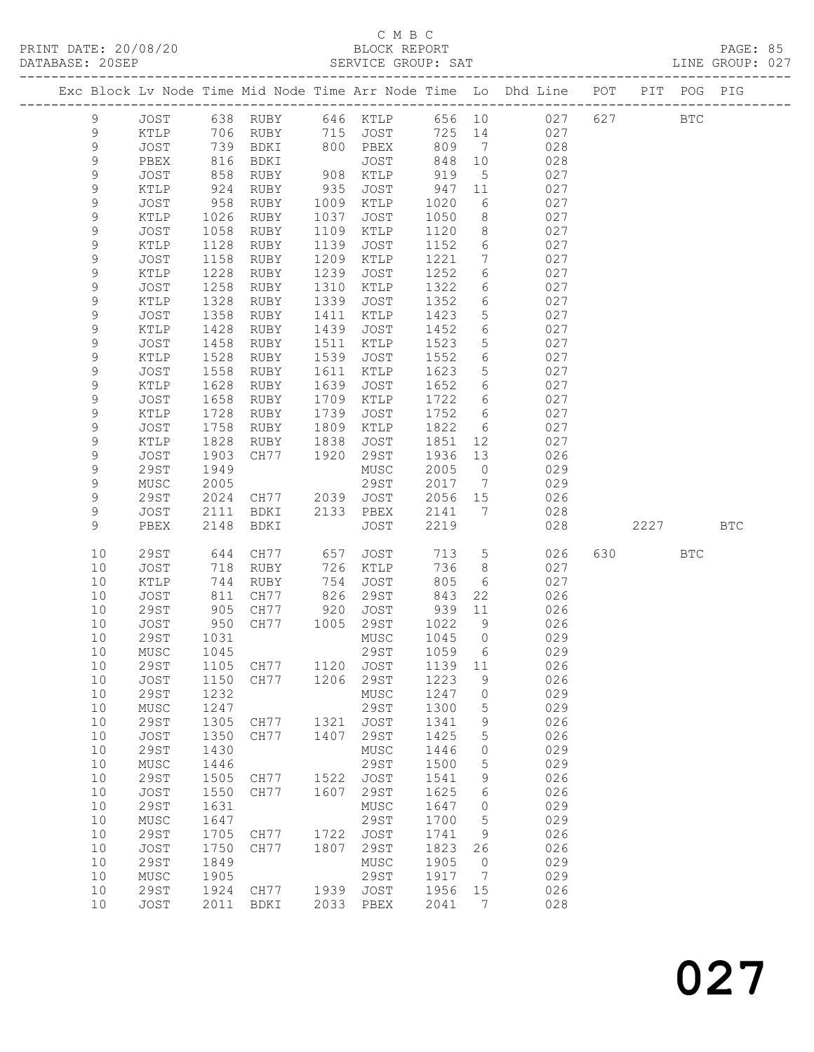### C M B C

| PRINT DATE: 20/08/20<br>DATABASE: 20SEP |             |      |           |      |             |         |                 |                                                                                |      |            | PAGE: 85<br>LINE GROUP: 027 |  |
|-----------------------------------------|-------------|------|-----------|------|-------------|---------|-----------------|--------------------------------------------------------------------------------|------|------------|-----------------------------|--|
|                                         |             |      |           |      |             |         |                 | Exc Block Lv Node Time Mid Node Time Arr Node Time Lo Dhd Line POT PIT POG PIG |      |            |                             |  |
| 9                                       | JOST        |      |           |      |             |         |                 | 638 RUBY 646 KTLP 656 10 027 627 BTC                                           |      |            |                             |  |
| 9                                       | KTLP        |      | 706 RUBY  | 715  | JOST 725 14 |         |                 | 027                                                                            |      |            |                             |  |
| 9                                       | JOST        |      | 739 BDKI  | 800  | PBEX        | 809 7   |                 | 028                                                                            |      |            |                             |  |
| 9                                       | PBEX        | 816  | BDKI      |      | JOST        | 848 10  |                 | 028                                                                            |      |            |                             |  |
| 9                                       | JOST        | 858  | RUBY      | 908  | KTLP        | 919     | $5\overline{)}$ | 027                                                                            |      |            |                             |  |
| 9                                       | KTLP        | 924  | RUBY      | 935  | JOST        | 947 11  |                 | 027                                                                            |      |            |                             |  |
| 9                                       | JOST        | 958  | RUBY      | 1009 | KTLP        | 1020    | 6               | 027                                                                            |      |            |                             |  |
| 9                                       | KTLP        | 1026 | RUBY      | 1037 | JOST        | 1050    | 8               | 027                                                                            |      |            |                             |  |
| 9                                       | JOST        | 1058 | RUBY      | 1109 | KTLP        | 1120    | 8               | 027                                                                            |      |            |                             |  |
| $\mathsf 9$                             | KTLP        | 1128 | RUBY      | 1139 | JOST        | 1152    | 6               | 027                                                                            |      |            |                             |  |
| 9                                       | JOST        | 1158 | RUBY      | 1209 | KTLP        | 1221    | $7\phantom{.0}$ | 027                                                                            |      |            |                             |  |
| 9                                       | KTLP        | 1228 | RUBY      | 1239 | JOST        | 1252    | 6               | 027                                                                            |      |            |                             |  |
| 9                                       | <b>JOST</b> | 1258 | RUBY      | 1310 | KTLP        | 1322    | 6               | 027                                                                            |      |            |                             |  |
| $\mathsf 9$                             | KTLP        | 1328 | RUBY      | 1339 | JOST        | 1352    | $6\overline{6}$ | 027                                                                            |      |            |                             |  |
| 9                                       | JOST        | 1358 | RUBY      | 1411 | KTLP        | 1423    | $5\phantom{.0}$ | 027                                                                            |      |            |                             |  |
| 9                                       | KTLP        | 1428 | RUBY      | 1439 | JOST        | 1452    | 6               | 027                                                                            |      |            |                             |  |
| 9                                       | <b>JOST</b> | 1458 | RUBY      | 1511 | KTLP        | 1523    | 5               | 027                                                                            |      |            |                             |  |
| 9                                       | KTLP        | 1528 | RUBY      | 1539 | JOST        | 1552    | 6               | 027                                                                            |      |            |                             |  |
| $\mathsf 9$                             | <b>JOST</b> | 1558 | RUBY      | 1611 | KTLP        | 1623    | 5               | 027                                                                            |      |            |                             |  |
| 9                                       | KTLP        | 1628 | RUBY      | 1639 | JOST        | 1652    | 6               | 027                                                                            |      |            |                             |  |
| 9                                       | JOST        | 1658 | RUBY      | 1709 | KTLP        | 1722    | 6               | 027                                                                            |      |            |                             |  |
| 9                                       | KTLP        | 1728 | RUBY      | 1739 | JOST        | 1752    | 6               | 027                                                                            |      |            |                             |  |
| $\mathsf 9$                             | <b>JOST</b> | 1758 | RUBY      | 1809 | KTLP        | 1822    | $6\overline{6}$ | 027                                                                            |      |            |                             |  |
| $\mathsf 9$                             | KTLP        | 1828 | RUBY      | 1838 | JOST        | 1851    | 12              | 027                                                                            |      |            |                             |  |
| 9                                       | <b>JOST</b> | 1903 | CH77      | 1920 | 29ST        | 1936    | 13              | 026                                                                            |      |            |                             |  |
| 9                                       | 29ST        | 1949 |           |      | MUSC        | 2005    | $\overline{0}$  | 029                                                                            |      |            |                             |  |
| 9                                       | MUSC        | 2005 |           |      | 29ST        | 2017    | $\overline{7}$  | 029                                                                            |      |            |                             |  |
| 9                                       | 29ST        |      | 2024 CH77 | 2039 | JOST        | 2056 15 |                 | 026                                                                            |      |            |                             |  |
| 9                                       | JOST        | 2111 | BDKI      | 2133 | PBEX        | 2141    | $\overline{7}$  | 028                                                                            |      |            |                             |  |
| 9                                       | PBEX        | 2148 | BDKI      |      | JOST        | 2219    |                 | 028                                                                            | 2227 |            | <b>BTC</b>                  |  |
| 10                                      | 29ST        | 644  | CH77      | 657  | JOST        | 713     | 5 <sup>5</sup>  | 026                                                                            |      | <b>BTC</b> |                             |  |
| 10                                      | JOST        | 718  | RUBY      | 726  | KTLP        | 736     | 8               | 027                                                                            |      |            |                             |  |
| 10                                      | KTLP        | 744  | RUBY      | 754  | JOST        | 805     | 6               | 027                                                                            |      |            |                             |  |
| 10                                      | JOST        | 811  | CH77      | 826  | 29ST        | 843     | 22              | 026                                                                            |      |            |                             |  |
| 10                                      | 29ST        | 905  | CH77      | 920  | JOST        | 939 11  |                 | 026                                                                            |      |            |                             |  |
| 10                                      | JOST        | 950  | CH77      | 1005 | 29ST        | 1022 9  |                 | 026                                                                            |      |            |                             |  |

 10 29ST 1031 MUSC 1045 0 029 10 MUSC 1045 29ST 1059 6 029 10 29ST 1105 CH77 1120 JOST 1139 11 026

 10 29ST 1232 MUSC 1247 0 029 10 MUSC 1247 29ST 1300 5 029 10 29ST 1305 CH77 1321 JOST 1341 9 026 10 JOST 1350 CH77 1407 29ST 1425 5 026 10 29ST 1430 MUSC 1446 0 029 10 MUSC 1446 29ST 1500 5 029 10 29ST 1505 CH77 1522 JOST 1541 9 026 10 JOST 1550 CH77 1607 29ST 1625 6 026 10 29ST 1631 MUSC 1647 0 029 10 MUSC 1647 29ST 1700 5 029 10 29ST 1705 CH77 1722 JOST 1741 9 026 10 JOST 1750 CH77 1807 29ST 1823 26 026 10 29ST 1849 MUSC 1905 0 029 10 MUSC 1905 29ST 1917 7 029 10 29ST 1924 CH77 1939 JOST 1956 15 026

10 JOST 1150 CH77 1206 29ST 1223 9 026

10 JOST 2011 BDKI 2033 PBEX 2041 7 028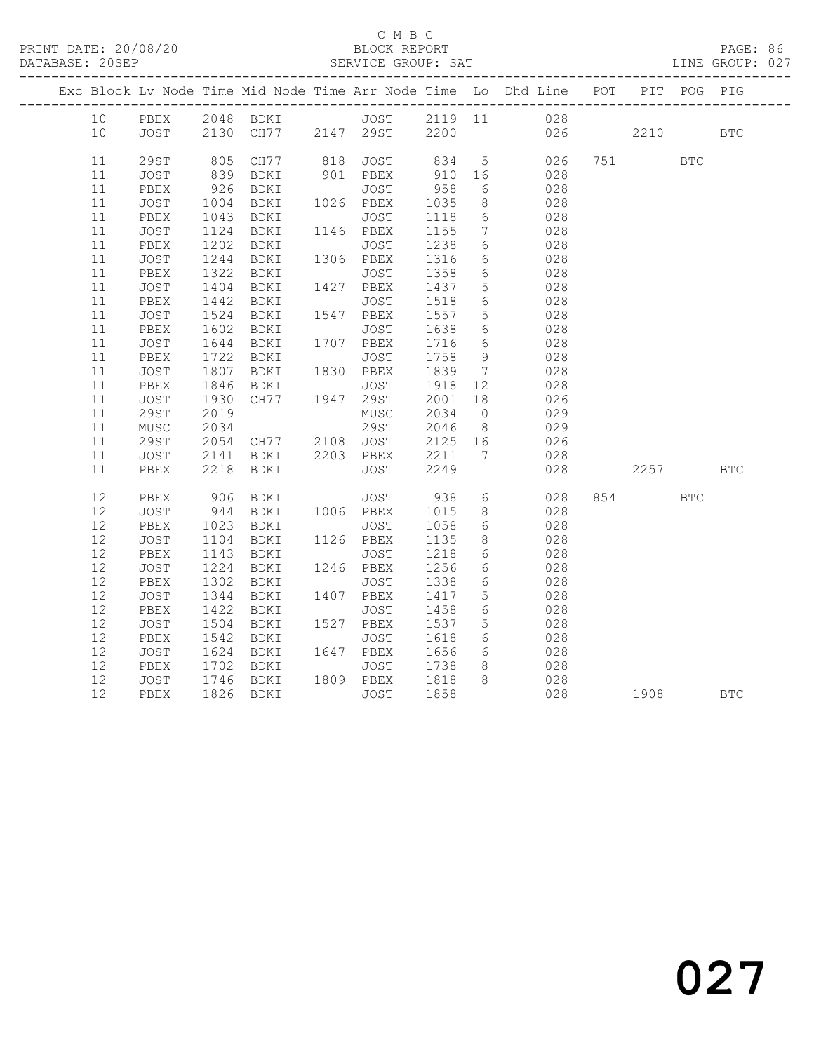#### C M B C<br>BLOCK REPORT

| DATABASE: 20SEP |      |             |                  |                                                    | SERVICE GROUP: SAT                     |                                             |                              |                                                                    |     |          |             | LINE GROUP: 027 |
|-----------------|------|-------------|------------------|----------------------------------------------------|----------------------------------------|---------------------------------------------|------------------------------|--------------------------------------------------------------------|-----|----------|-------------|-----------------|
|                 |      |             |                  |                                                    |                                        |                                             |                              | Exc Block Lv Node Time Mid Node Time Arr Node Time Lo Dhd Line POT |     |          | PIT POG PIG |                 |
|                 | 10   | PBEX        |                  |                                                    |                                        |                                             |                              | 028                                                                |     |          |             |                 |
|                 | 10   | JOST        |                  | 2048 BDKI JOST 2119 11<br>2130 CH77 2147 29ST 2200 |                                        |                                             |                              |                                                                    | 026 | 2210     |             | <b>BTC</b>      |
|                 | 11   | 29ST        |                  |                                                    |                                        |                                             | 5 <sup>5</sup>               | 026                                                                |     | 751 751  | <b>BTC</b>  |                 |
|                 | 11   | JOST        | 805<br>839       |                                                    | CH77 818 JOST 834<br>BDKI 901 PBEX 910 |                                             | 16                           | 028                                                                |     |          |             |                 |
|                 | 11   | PBEX        | 926              | BDKI                                               | JOST                                   | 958                                         | 6                            | 028                                                                |     |          |             |                 |
|                 | 11   | JOST        | 1004             | BDKI 1026 PBEX                                     |                                        | 1035                                        | 8                            | 028                                                                |     |          |             |                 |
|                 | 11   | PBEX        | 1043             | BDKI                                               | JOST                                   | 1118                                        | 6                            | 028                                                                |     |          |             |                 |
|                 | 11   | JOST        | 1124             | BDKI                                               | 1146 PBEX                              | 1155                                        | $7\overline{ }$              | 028                                                                |     |          |             |                 |
|                 | 11   | PBEX        | 1202             | BDKI                                               | JOST                                   | 1238                                        | $6\overline{6}$              | 028                                                                |     |          |             |                 |
|                 | 11   | JOST        | 1244             | BDKI                                               | 1306 PBEX                              | 1316                                        | 6                            | 028                                                                |     |          |             |                 |
|                 | 11   | PBEX        |                  | BDKI                                               | JOST                                   | 1358                                        | $6\overline{6}$              | 028                                                                |     |          |             |                 |
|                 | 11   | JOST        | $1322$<br>$1404$ | BDKI                                               | 1427 PBEX                              | 1437                                        | $5\phantom{.0}$              | 028                                                                |     |          |             |                 |
|                 | 11   | PBEX        | 1442             | BDKI                                               | JOST                                   | 1518                                        | $6\phantom{.}6$              | 028                                                                |     |          |             |                 |
|                 | 11   | JOST        | 1524             | BDKI                                               | 1547 PBEX                              | 1557                                        | $5\overline{)}$              | 028                                                                |     |          |             |                 |
|                 | 11   | PBEX        | 1602             | BDKI                                               | JOST                                   | 1638                                        | 6                            | 028                                                                |     |          |             |                 |
|                 | 11   | JOST        | 1644             | BDKI                                               | $1707$ PBEX                            | 1716                                        | $6\overline{6}$              | 028                                                                |     |          |             |                 |
|                 | 11   | PBEX        | 1722             | BDKI                                               | JOST                                   | 1758                                        | 9                            | 028                                                                |     |          |             |                 |
|                 | 11   | JOST        | 1807             | BDKI                                               | 1830 PBEX                              | 1839                                        | $7\phantom{.0}\phantom{.0}7$ | 028                                                                |     |          |             |                 |
|                 | 11   | PBEX        | 1846             |                                                    |                                        | 1918                                        | 12                           | 028                                                                |     |          |             |                 |
|                 | 11   | JOST        | 1930             | BDKI JOST<br>CH77 1947 29ST                        |                                        | 2001                                        | 18                           | 026                                                                |     |          |             |                 |
|                 | 11   | <b>29ST</b> | 2019             |                                                    | MUSC                                   | 2034                                        | $\overline{0}$               | 029                                                                |     |          |             |                 |
|                 | 11   | MUSC        | 2034             |                                                    | 29ST                                   | $\begin{array}{c} 2034 \\ 2046 \end{array}$ | 8 <sup>8</sup>               | 029                                                                |     |          |             |                 |
|                 | 11   | 29ST        | 2054             |                                                    | CH77 2108 JOST 2125 16                 |                                             |                              | 026                                                                |     |          |             |                 |
|                 | 11   | JOST        | 2141             | BDKI                                               | 2203 PBEX                              |                                             | $\overline{7}$               | 028                                                                |     |          |             |                 |
|                 | 11   | PBEX        |                  | 2218 BDKI                                          | PBEX 2211<br>JOST 2249                 |                                             |                              | 028                                                                |     | 2257 BTC |             |                 |
|                 | 12   | PBEX        | 906              | BDKI                                               | JOST 938                               |                                             | 6                            | 028                                                                |     | 854 7    | <b>BTC</b>  |                 |
|                 | 12   | JOST        |                  | 944 BDKI                                           | 1006 PBEX                              | 1015                                        | 8                            | 028                                                                |     |          |             |                 |
|                 | 12   | PBEX        | 1023             | BDKI                                               |                                        | 1058                                        | $6\overline{6}$              | 028                                                                |     |          |             |                 |
|                 | 12   | JOST        | 1104             | BDKI                                               | JOST<br>1126 PBEX                      | 1135                                        | $8\,$                        | 028                                                                |     |          |             |                 |
|                 | 12   | PBEX        | 1143             | BDKI                                               | JOST                                   | 1218                                        | $6\phantom{.}6$              | 028                                                                |     |          |             |                 |
|                 | 12   | JOST        | 1224             | BDKI                                               | 1246 PBEX                              | 1256                                        | $6\phantom{.}6$              | 028                                                                |     |          |             |                 |
|                 | 12   | PBEX        | 1302             | BDKI                                               | JOST                                   | 1338                                        | $6\phantom{.}6$              | 028                                                                |     |          |             |                 |
|                 | 12   | JOST        | 1344             | BDKI                                               | 1407 PBEX                              | 1417                                        | $5\phantom{.0}$              | 028                                                                |     |          |             |                 |
|                 | 12   | PBEX        | 1422             | BDKI                                               | JOST                                   | 1458                                        | $6\phantom{.}6$              | 028                                                                |     |          |             |                 |
|                 | 12   | JOST        | 1504             | BDKI                                               | 1527 PBEX                              | 1537                                        | 5                            | 028                                                                |     |          |             |                 |
|                 | 12   | PBEX        | 1542             | BDKI                                               | JOST                                   | 1618                                        | 6                            | 028                                                                |     |          |             |                 |
|                 | 12   | JOST        | 1624             | BDKI                                               | 1647 PBEX                              | 1656                                        | 6                            | 028                                                                |     |          |             |                 |
|                 | $12$ | PBEX        | 1702             | BDKI                                               | JOST                                   | 1738                                        | 8                            | 028                                                                |     |          |             |                 |
|                 | 12   | JOST        | 1746             | BDKI                                               | 1809 PBEX                              | 1818                                        | 8                            | 028                                                                |     |          |             |                 |
|                 | 12   | PBEX        |                  | 1826 BDKI                                          | JOST                                   | 1858                                        |                              |                                                                    | 028 |          |             | <b>BTC</b>      |
|                 |      |             |                  |                                                    |                                        |                                             |                              |                                                                    |     |          |             |                 |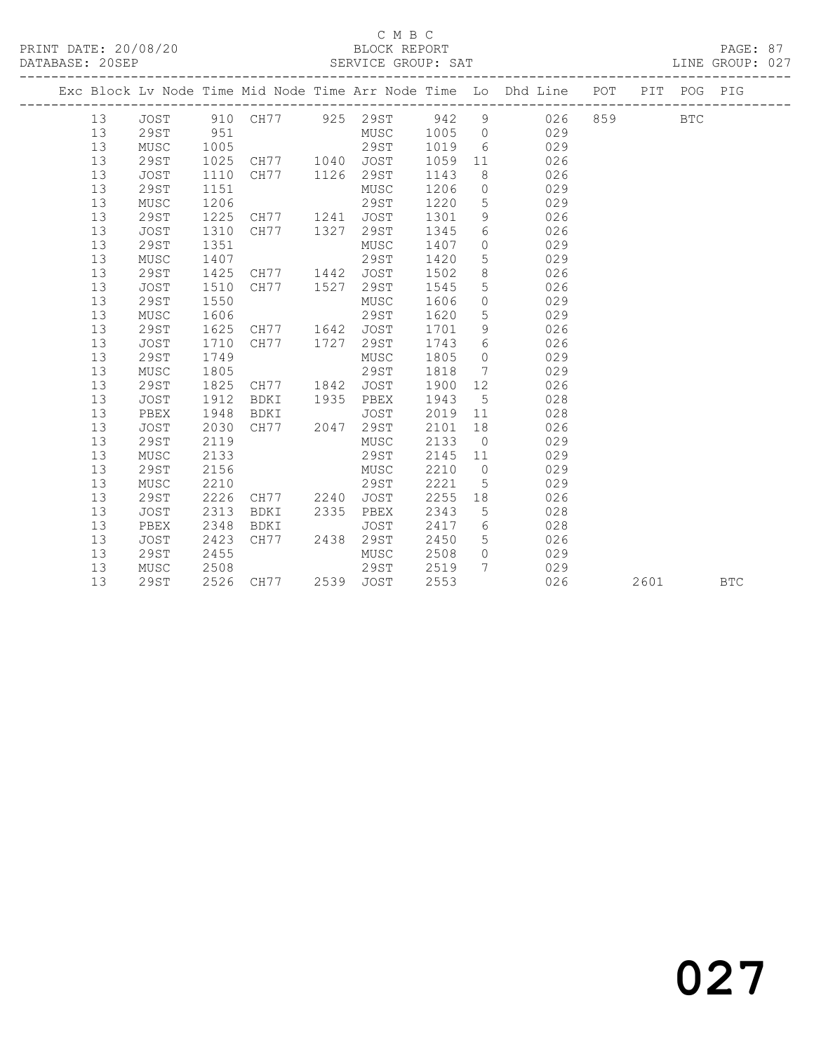#### C M B C<br>BLOCK REPORT

PAGE: 87<br>LINE GROUP: 027

| DITTIDINUM & COULL |          |              |              |                         |      | PHILATOH OILOOL . PIIL |              |                       |                                                                    |     |      |             |            |
|--------------------|----------|--------------|--------------|-------------------------|------|------------------------|--------------|-----------------------|--------------------------------------------------------------------|-----|------|-------------|------------|
|                    |          |              |              |                         |      |                        |              |                       | Exc Block Lv Node Time Mid Node Time Arr Node Time Lo Dhd Line POT |     |      | PIT POG PIG |            |
|                    | 13       | JOST         |              | 910 CH77 925 29ST 942 9 |      |                        |              |                       | 026                                                                | 859 |      | <b>BTC</b>  |            |
|                    | 13       | 29ST         | 951          |                         |      | MUSC 1005 0            |              |                       | 029                                                                |     |      |             |            |
|                    | 13       | MUSC         | 1005         |                         |      | 29ST                   | 1019         | 6                     | 029                                                                |     |      |             |            |
|                    | 13       | 29ST         | 1025         | CH77 1040 JOST          |      |                        | 1059 11      |                       | 026                                                                |     |      |             |            |
|                    | 13       | JOST         | 1110         | CH77 1126 29ST          |      |                        | 1143         | 8 <sup>8</sup>        | 026                                                                |     |      |             |            |
|                    | 13       | 29ST         | 1151         |                         |      | MUSC                   | 1206         | $\overline{0}$        | 029                                                                |     |      |             |            |
|                    | 13       | MUSC         | 1206         |                         |      | 29ST                   | 1220         | $5^{\circ}$           | 029                                                                |     |      |             |            |
|                    | 13       | 29ST         | 1225         | CH77 1241 JOST          |      |                        | 1301         | 9                     | 026                                                                |     |      |             |            |
|                    | 13       | JOST         | 1310         | CH77 1327               |      | 29ST                   | 1345         | 6                     | 026                                                                |     |      |             |            |
|                    | 13       | 29ST         | 1351         |                         |      | MUSC                   | 1407         | $\overline{0}$        | 029                                                                |     |      |             |            |
|                    | 13       | MUSC         | 1407         |                         |      | 29ST                   | 1420         | $5\phantom{.0}$       | 029                                                                |     |      |             |            |
|                    | 13       | 29ST         | 1425         | CH77 1442 JOST          |      |                        | 1502         | 8 <sup>8</sup>        | 026                                                                |     |      |             |            |
|                    | 13       | JOST         | 1510         | CH77 1527               |      | 29ST                   | 1545         | $5\phantom{.0}$       | 026                                                                |     |      |             |            |
|                    | 13       | 29ST         | 1550         |                         |      | MUSC                   | 1606         | $\overline{0}$        | 029                                                                |     |      |             |            |
|                    | 13       | MUSC         | 1606         |                         |      | 29ST                   | 1620         | 5                     | 029                                                                |     |      |             |            |
|                    | 13       | 29ST         | 1625         | CH77 1642 JOST          |      |                        | 1701         | 9                     | 026                                                                |     |      |             |            |
|                    | 13       | JOST         | 1710         | CH77 1727               |      | 29ST                   | 1743         | 6                     | 026                                                                |     |      |             |            |
|                    | 13       | 29ST         | 1749         |                         |      | MUSC                   | 1805         | $\overline{0}$        | 029                                                                |     |      |             |            |
|                    | 13       | MUSC         | 1805         |                         |      | 29ST                   | 1818         | $\overline{7}$        | 029                                                                |     |      |             |            |
|                    | 13       | 29ST         | 1825         | CH77 1842               |      | JOST                   | 1900         | 12                    | 026                                                                |     |      |             |            |
|                    | 13       | JOST         | 1912         | BDKI 1935 PBEX          |      |                        | 1943         | $5\overline{)}$       | 028                                                                |     |      |             |            |
|                    | 13       | PBEX         | 1948         | BDKI                    |      | JOST                   | 2019         | 11                    | 028                                                                |     |      |             |            |
|                    | 13       | JOST         | 2030         | CH77 2047               |      | 29ST                   | 2101         | 18                    | 026                                                                |     |      |             |            |
|                    | 13       | 29ST         | 2119         |                         |      | MUSC                   | 2133         | $\overline{0}$        | 029                                                                |     |      |             |            |
|                    | 13<br>13 | MUSC         | 2133         |                         |      | 29ST                   | 2145 11      | $\overline{0}$        | 029                                                                |     |      |             |            |
|                    | 13       | 29ST         | 2156<br>2210 |                         |      | MUSC<br>29ST           | 2210<br>2221 |                       | 029                                                                |     |      |             |            |
|                    | 13       | MUSC<br>29ST | 2226         | CH77 2240               |      | JOST                   | 2255         | $5\overline{)}$<br>18 | 029<br>026                                                         |     |      |             |            |
|                    | 13       | JOST         | 2313         | BDKI                    | 2335 | PBEX                   | 2343         | $5\phantom{.0}$       | 028                                                                |     |      |             |            |
|                    | 13       | PBEX         | 2348         | BDKI                    |      | JOST                   | 2417 6       |                       | 028                                                                |     |      |             |            |
|                    | 13       | JOST         | 2423         | CH77 2438               |      | 29ST                   | 2450         | 5 <sup>5</sup>        | 026                                                                |     |      |             |            |
|                    | 13       | 29ST         | 2455         |                         |      | MUSC                   | 2508         | $\overline{0}$        | 029                                                                |     |      |             |            |
|                    | 13       | MUSC         | 2508         |                         |      | 29ST                   | 2519         | $7\phantom{0}$        | 029                                                                |     |      |             |            |
|                    | 13       | <b>29ST</b>  |              | 2526 CH77 2539 JOST     |      |                        | 2553         |                       | 026                                                                |     | 2601 |             | <b>BTC</b> |
|                    |          |              |              |                         |      |                        |              |                       |                                                                    |     |      |             |            |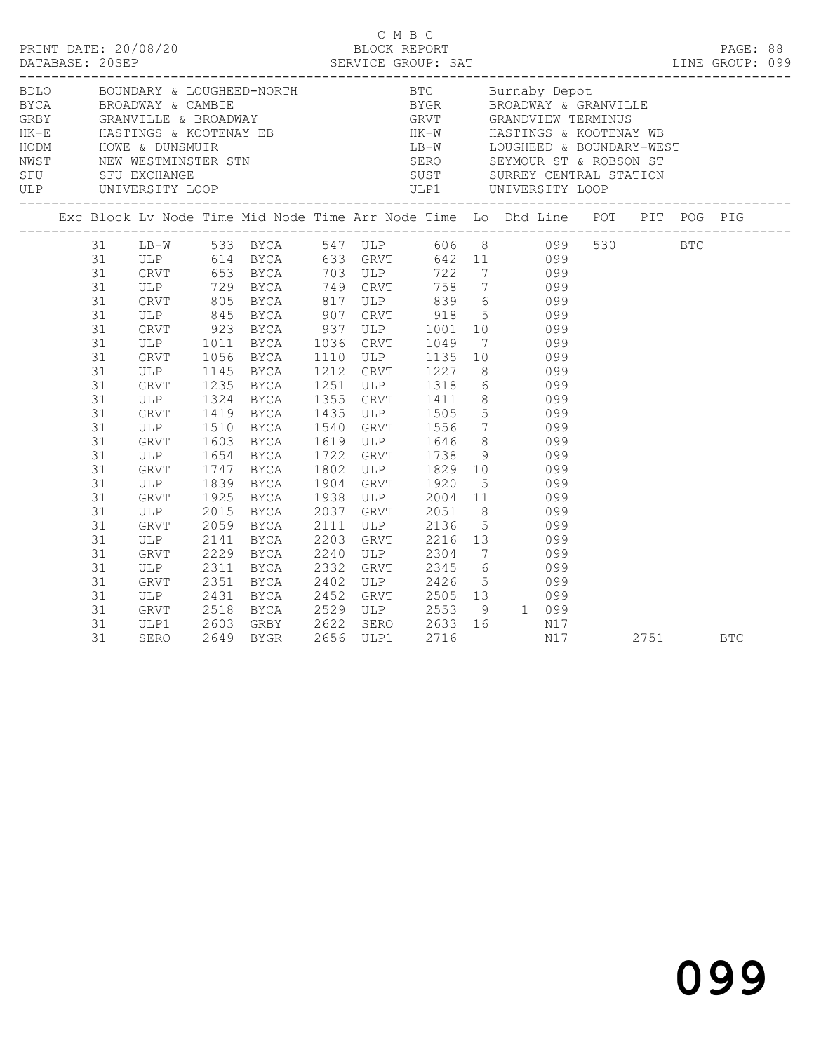|  |                                                                                  |                                                                                                                            |                                                                              | Exc Block Lv Node Time Mid Node Time Arr Node Time Lo Dhd Line POT PIT POG PIG                                                                                                                                                                                                                        |                                                                                                                                                                                                                                                                                                               |      |                     |     |  |      |            |  |
|--|----------------------------------------------------------------------------------|----------------------------------------------------------------------------------------------------------------------------|------------------------------------------------------------------------------|-------------------------------------------------------------------------------------------------------------------------------------------------------------------------------------------------------------------------------------------------------------------------------------------------------|---------------------------------------------------------------------------------------------------------------------------------------------------------------------------------------------------------------------------------------------------------------------------------------------------------------|------|---------------------|-----|--|------|------------|--|
|  | 31<br>31<br>31<br>31<br>31<br>31<br>31<br>31<br>31<br>31<br>31<br>31<br>31       | GRVT 805<br>ULP<br>GRVT 1056<br>ULP 1145<br>GRVT<br>ULP<br>GRVT<br>ULP                                                     | 1011<br>1324<br>1419<br>1510                                                 | 31 LB-W 533 BYCA 547 ULP 606 8 099 530 BTC<br>GRVT 805 BYCA 817 ULP 839 6 099<br>ULP 845 BYCA 907 GRVT 918 5 099<br>GRVT 923 BYCA 937 ULP 1001 10 099<br>BYCA 1036 GRVT 1049 7 099<br>BYCA 1110 ULP 1135 10 099<br>BYCA 1212 GRVT 1227 8 099<br>1145 BYCA<br>1235 BYCA<br><b>BYCA</b><br>BYCA<br>BYCA | 1212 GKV1 1227 6<br>1251 ULP 1318 6 099<br>1355 GRVT 1411 8 099<br>1435 ULP 1505 5 099<br>1540 GRVT 1556 7 099                                                                                                                                                                                                |      |                     |     |  |      |            |  |
|  | 31<br>31<br>31<br>31<br>31<br>31<br>31<br>31<br>31<br>31<br>31<br>31<br>31<br>31 | GRVT<br>ULP 1654 BYCA<br>GRVT 1747 BYCA<br>ULP<br>GRVT<br>ULP<br>GRVT<br>ULP<br>GRVT<br>ULP<br>GRVT<br>ULP<br>GRVT<br>ULP1 | 1603<br>1839<br>1925<br>2015<br>2059<br>2311<br>2351<br>2431<br>2518<br>2603 | BYCA<br><b>BYCA</b><br>BYCA<br>BYCA<br>BYCA<br>$2141 \quad \text{BICA}$<br>$2229 \quad \text{BYCA}$<br><b>BYCA</b><br><b>BYCA</b><br><b>BYCA</b><br>BYCA<br>GRBY 2622                                                                                                                                 | 1619 ULP 1646 8 099<br>1722 GRVT 1738 9 099<br>1802 ULP 1829 10 099<br>1904 GRVT 1920 5 099<br>1938 ULP 2004 11 099<br>2037 GRVT 2051 8 099<br>2111 ULP 2136<br>2203 GRVT 2216 13 099<br>2240 ULP 2304 7 099<br>2332 GRVT 2345 6 099<br>2402 ULP 2426 5 099<br>2452 GRVT 2505 13 099<br>2529 ULP 2553 9 1 099 |      | 5 099<br>$16$ $N17$ |     |  |      |            |  |
|  | 31                                                                               | SERO                                                                                                                       | 2649                                                                         | <b>BYGR</b>                                                                                                                                                                                                                                                                                           | SERO 2633<br>ULP1 2716<br>2656 ULP1                                                                                                                                                                                                                                                                           | 2716 |                     | N17 |  | 2751 | <b>BTC</b> |  |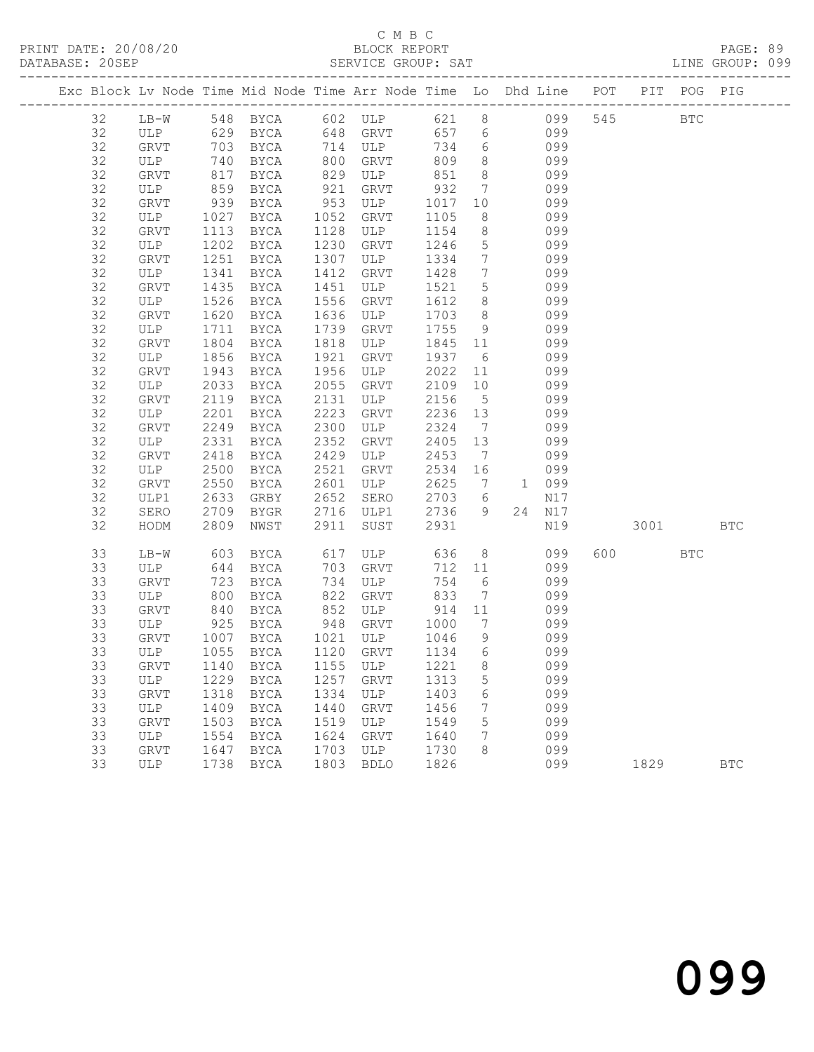| Exc Block Lv Node Time Mid Node Time Arr Node Time Lo Dhd Line POT PIT POG PIG |             |              |                                 |              |             |                   |                 |           |            |          |            |            |
|--------------------------------------------------------------------------------|-------------|--------------|---------------------------------|--------------|-------------|-------------------|-----------------|-----------|------------|----------|------------|------------|
| 32                                                                             |             |              | LB-W 548 BYCA 602 ULP 621 8 099 |              |             |                   |                 |           |            | 545 BTC  |            |            |
| 32                                                                             |             |              | ULP 629 BYCA 648 GRVT           |              |             |                   |                 | 657 6 099 |            |          |            |            |
| 32                                                                             | GRVT        | 703          | <b>BYCA</b>                     |              | 714 ULP     | 734               | $6\overline{6}$ |           | 099        |          |            |            |
| 32                                                                             | ULP         | 740          | BYCA                            | 800          | GRVT        | 809               | 8 <sup>8</sup>  |           | 099        |          |            |            |
| 32                                                                             | GRVT        | 817          | BYCA                            | 829          | ULP         | 851               | 8 <sup>8</sup>  |           | 099        |          |            |            |
| 32                                                                             | ULP         | 859          | BYCA                            | 921          | GRVT        | 932               | $7\overline{ }$ |           | 099        |          |            |            |
| 32                                                                             | GRVT        | 939          | BYCA                            | 953          | ULP         | 1017              | 10              |           | 099        |          |            |            |
| 32                                                                             | ULP         | 1027         | BYCA                            | 1052         | GRVT        | 1105              | 8               |           | 099        |          |            |            |
| 32                                                                             | GRVT        | 1113         | BYCA                            | 1128         | ULP         | 1154              | 8 <sup>8</sup>  |           | 099        |          |            |            |
| 32                                                                             | ULP         | 1202         | BYCA                            | 1230         | GRVT        | 1246              | $5\overline{)}$ |           | 099        |          |            |            |
| 32                                                                             | GRVT        | 1251         | BYCA                            | 1307         | ULP         | 1334              | $\overline{7}$  |           | 099        |          |            |            |
| 32                                                                             | ULP         | 1341         | BYCA                            | 1412         | GRVT        | 1428              | $\overline{7}$  |           | 099        |          |            |            |
| 32                                                                             | GRVT        | 1435         | BYCA                            | 1451         | ULP         | 1521              | $5\overline{)}$ |           | 099        |          |            |            |
| 32                                                                             | ULP         | 1526         | BYCA                            | 1556         | GRVT        | 1612              | 8 <sup>8</sup>  |           | 099        |          |            |            |
| 32                                                                             | GRVT        | 1620         | BYCA                            | 1636         | ULP         | 1703              | 8 <sup>8</sup>  |           | 099        |          |            |            |
| 32                                                                             | ULP         | 1711         | BYCA                            | 1739         | GRVT        | 1755              | 9               |           | 099        |          |            |            |
| 32<br>32                                                                       | GRVT        | 1804<br>1856 | BYCA                            | 1818<br>1921 | ULP         | 1845 11<br>1937 6 |                 |           | 099        |          |            |            |
| 32                                                                             | ULP<br>GRVT | 1943         | BYCA<br>BYCA                    | 1956         | GRVT<br>ULP | 2022              | 11              |           | 099<br>099 |          |            |            |
| 32                                                                             | ULP         | 2033         | BYCA                            | 2055         | GRVT        | 2109              | 10              |           | 099        |          |            |            |
| 32                                                                             | GRVT        | 2119         | BYCA                            | 2131         | ULP         | 2156              | $5\overline{)}$ |           | 099        |          |            |            |
| 32                                                                             | ULP         | 2201         | BYCA                            | 2223         | GRVT        | 2236 13           |                 |           | 099        |          |            |            |
| 32                                                                             | GRVT        | 2249         | BYCA                            | 2300         | ULP         | 2324              | $\overline{7}$  |           | 099        |          |            |            |
| 32                                                                             | ULP         | 2331         | BYCA                            | 2352         | GRVT        | 2405              | 13              |           | 099        |          |            |            |
| 32                                                                             | GRVT        | 2418         | BYCA                            | 2429         | ULP         | 2453              | $\overline{7}$  |           | 099        |          |            |            |
| 32                                                                             | ULP         | 2500         | BYCA                            | 2521         | GRVT        | 2534 16           |                 |           | 099        |          |            |            |
| 32                                                                             | GRVT        | 2550         | BYCA                            | 2601         | ULP         | 2625              |                 | 7 1 099   |            |          |            |            |
| 32                                                                             | ULP1        | 2633         | GRBY                            | 2652         | SERO        | 2703              | 6               |           | N17        |          |            |            |
| 32                                                                             | SERO        | 2709         | BYGR                            | 2716         | ULP1        | 2736              | 9               |           | 24 N17     |          |            |            |
| 32                                                                             | HODM        | 2809         | NWST                            | 2911         | SUST        | 2931              |                 |           | N19        | 3001 300 |            | <b>BTC</b> |
| 33                                                                             | LB-W        | 603          | BYCA                            | 617          | ULP         | 636               | 8 <sup>8</sup>  |           | 099        | 600 000  | <b>BTC</b> |            |
| 33                                                                             | ULP         | 644          | BYCA                            | 703          | GRVT        | 712               | 11              |           | 099        |          |            |            |
| 33                                                                             | GRVT        | 723          | BYCA                            | 734          | ULP         | 754               | $6\overline{6}$ |           | 099        |          |            |            |
| 33                                                                             | ULP         | 800          | BYCA                            | 822          | GRVT        | 833               | $\overline{7}$  |           | 099        |          |            |            |
| 33                                                                             | GRVT        | 840          | BYCA                            | 852          | ULP         | 914               | 11              |           | 099        |          |            |            |
| 33                                                                             | ULP         | 925          | BYCA                            | 948          | GRVT        | 1000              | $\overline{7}$  |           | 099        |          |            |            |
| 33                                                                             | GRVT        | 1007         | BYCA                            |              | 1021 ULP    | 1046              | 9               |           | 099        |          |            |            |
| 33                                                                             | ULP         | 1055         | BYCA                            |              | 1120 GRVT   | 1134 6            |                 |           | 099        |          |            |            |
| 33                                                                             |             |              | GRVT 1140 BYCA 1155 ULP 1221 8  |              |             |                   |                 |           | 099        |          |            |            |
| 33                                                                             | ULP         | 1229         | BYCA                            | 1257         | GRVT        | 1313              | 5               |           | 099        |          |            |            |
| 33                                                                             | GRVT        | 1318         | BYCA                            | 1334         | ULP         | 1403              | 6               |           | 099        |          |            |            |
| 33                                                                             | ULP         | 1409         | BYCA                            | 1440         | GRVT        | 1456              | 7               |           | 099        |          |            |            |
| 33                                                                             | GRVT        | 1503         | BYCA                            | 1519         | ULP         | 1549              | 5               |           | 099        |          |            |            |
| 33                                                                             | ULP         | 1554         | BYCA                            | 1624         | GRVT        | 1640              | 7               |           | 099        |          |            |            |
| 33                                                                             | <b>GRVT</b> | 1647         | BYCA                            | 1703         | ULP         | 1730              | 8               |           | 099        |          |            |            |
| 33                                                                             | <b>ULP</b>  | 1738         | <b>BYCA</b>                     | 1803         | <b>BDLO</b> | 1826              |                 |           | 099        | 1829     |            | <b>BTC</b> |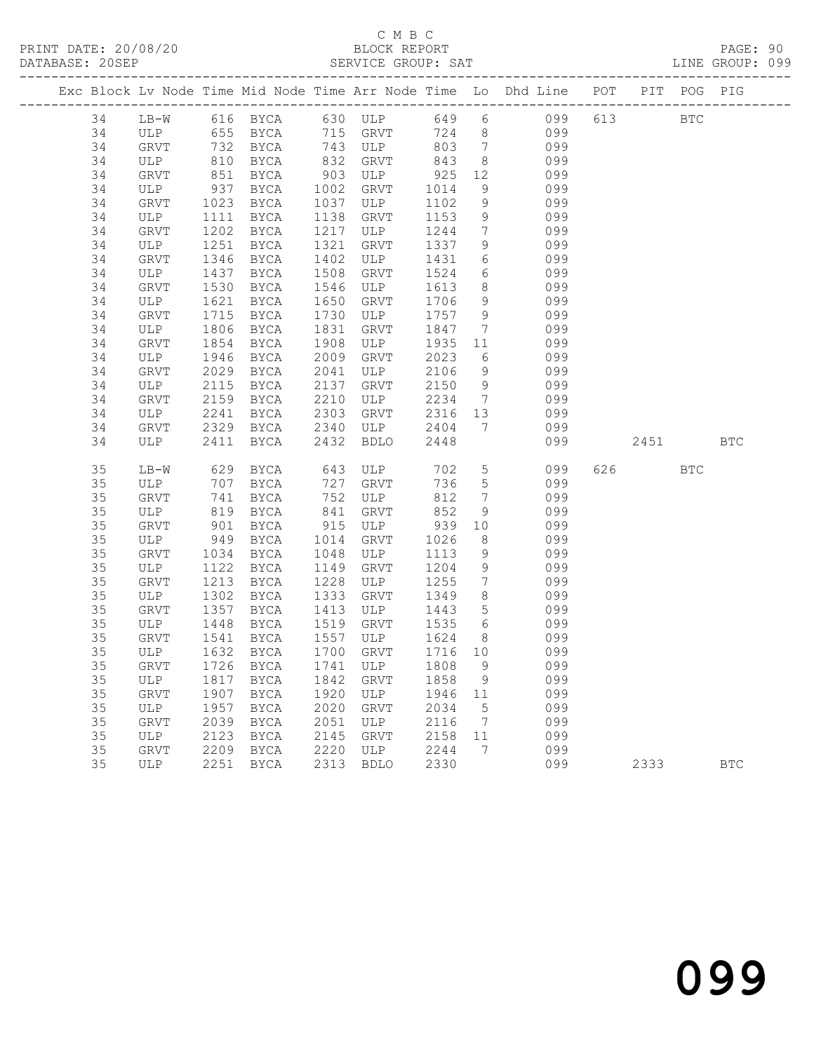### C M B C<br>BLOCK REPORT

PAGE: 90<br>LINE GROUP: 099

|    |             |              |                                        |      |                                        |                 |                              | Exc Block Lv Node Time Mid Node Time Arr Node Time Lo Dhd Line POT |        | PIT POG PIG  |            |
|----|-------------|--------------|----------------------------------------|------|----------------------------------------|-----------------|------------------------------|--------------------------------------------------------------------|--------|--------------|------------|
|    |             |              |                                        |      |                                        |                 |                              |                                                                    |        |              |            |
| 34 | $LB-W$      |              |                                        |      |                                        |                 |                              | 616 BYCA 630 ULP 649 6 099                                         | 613    | $_{\rm BTC}$ |            |
| 34 |             |              |                                        |      | 715 GRVT<br>.iu ukvt<br>743 ULP<br>000 | 724 8           |                              | 099<br>099                                                         |        |              |            |
| 34 |             |              |                                        |      |                                        | 803             | $7\overline{ }$              |                                                                    |        |              |            |
| 34 | ULP         | 810          | BYCA                                   | 832  | GRVT                                   | 843             | 8 <sup>8</sup>               | 099                                                                |        |              |            |
| 34 | GRVT        | 851          | BYCA                                   | 903  | ULP                                    | 925             | 12                           | 099                                                                |        |              |            |
| 34 | ULP         | 937          | BYCA                                   | 1002 | GRVT                                   | 1014            | 9                            | 099                                                                |        |              |            |
| 34 | GRVT        | 1023         | BYCA                                   | 1037 | ULP                                    | 1102            | 9                            | 099                                                                |        |              |            |
| 34 | ULP         | 1111         | BYCA                                   | 1138 | GRVT                                   | 1153            | 9                            | 099                                                                |        |              |            |
| 34 | GRVT        | 1202         | BYCA                                   | 1217 | ULP                                    | 1244            | $7\overline{ }$              | 099                                                                |        |              |            |
| 34 | ULP         | 1251         | BYCA                                   | 1321 | GRVT                                   | 1337            | 9                            | 099                                                                |        |              |            |
| 34 | GRVT        | 1346         | BYCA                                   | 1402 | ULP                                    | 1431            | 6                            | 099                                                                |        |              |            |
| 34 | ULP         | 1437         | BYCA                                   | 1508 | GRVT                                   | 1524            | 6                            | 099                                                                |        |              |            |
| 34 | GRVT        | 1530         | BYCA                                   | 1546 | ULP                                    | 1613            | 8                            | 099                                                                |        |              |            |
| 34 | ULP         | 1621         | BYCA                                   | 1650 | GRVT                                   | 1706            | 9                            | 099                                                                |        |              |            |
| 34 | GRVT        | 1715         | BYCA                                   | 1730 | ULP                                    | 1757            | 9                            | 099                                                                |        |              |            |
| 34 | ULP         | 1806         | BYCA                                   | 1831 | GRVT                                   | 1847            | $7\phantom{.0}\phantom{.0}7$ | 099                                                                |        |              |            |
| 34 | GRVT        | 1854         | BYCA                                   | 1908 | ULP                                    | 1935            | 11                           | 099                                                                |        |              |            |
| 34 | ULP         | 1946         | BYCA                                   | 2009 | GRVT                                   | 2023            | 6                            | 099                                                                |        |              |            |
| 34 | <b>GRVT</b> | 2029         | BYCA                                   | 2041 | ULP                                    | 2106            | 9                            | 099                                                                |        |              |            |
| 34 | ULP         | 2115         | BYCA                                   | 2137 | GRVT                                   | 2150            | 9                            | 099                                                                |        |              |            |
| 34 | GRVT        | 2159         | BYCA                                   | 2210 | ULP                                    | 2234            |                              | 7 099                                                              |        |              |            |
| 34 | ULP         | 2241         | BYCA                                   | 2303 | GRVT                                   | 2316            | 13                           | 099                                                                |        |              |            |
| 34 | GRVT        | 2329         | BYCA                                   | 2340 | ULP                                    | 2404            | $7\overline{ }$              | 099                                                                |        |              |            |
| 34 | ULP         | 2411         | BYCA                                   | 2432 | BDLO                                   | 2448            |                              | 099                                                                | 2451   |              | <b>BTC</b> |
| 35 | LB-W        | 629          | BYCA                                   | 643  | ULP                                    | 702             | 5 <sup>5</sup>               | 099                                                                | 626 30 | BTC          |            |
| 35 | ULP         | 707          | BYCA                                   | 727  | GRVT                                   | 736             | $5\overline{)}$              | 099                                                                |        |              |            |
| 35 | GRVT        | 741          | BYCA                                   | 752  | ULP                                    | 812             | $7\overline{ }$              | 099                                                                |        |              |            |
| 35 | ULP         | 819          | BYCA                                   | 841  | GRVT                                   | 852             | 9                            | 099                                                                |        |              |            |
| 35 | GRVT        | 901          | BYCA                                   | 915  | ULP                                    | 939             | 10                           | 099                                                                |        |              |            |
| 35 | ULP         | 949          | BYCA                                   | 1014 | GRVT                                   | 1026            | 8                            | 099                                                                |        |              |            |
| 35 | GRVT        | 1034         | BYCA                                   | 1048 | ULP                                    | 1113            | 9                            | 099                                                                |        |              |            |
| 35 | ULP         | 1122         | BYCA                                   | 1149 | GRVT                                   | 1204            | 9                            | 099                                                                |        |              |            |
| 35 | GRVT        | 1213         | BYCA                                   | 1228 | ULP                                    | 1255            | $7\overline{ }$              | 099                                                                |        |              |            |
| 35 | ULP         | 1302         | BYCA                                   | 1333 | GRVT                                   | 1349            | 8                            | 099                                                                |        |              |            |
| 35 | GRVT        | 1357         | BYCA                                   | 1413 | ULP                                    | 1443            | 5 <sup>5</sup>               | 099                                                                |        |              |            |
| 35 | ULP         | 1448         | BYCA                                   | 1519 | GRVT                                   | 1535            | 6                            | 099                                                                |        |              |            |
| 35 | GRVT        |              |                                        | 1557 | ULP                                    |                 | 8 <sup>8</sup>               | 099                                                                |        |              |            |
| 35 | ULP         | 1541<br>1632 | BYCA                                   |      | 1700 GRVT                              | 1624<br>1716 10 |                              | 099                                                                |        |              |            |
| 35 |             |              | BYCA<br>GRVT 1726 BYCA 1741 ULP 1808 9 |      |                                        |                 |                              |                                                                    |        |              |            |
|    |             |              |                                        |      |                                        |                 |                              | 099                                                                |        |              |            |
| 35 | ULP         | 1817         | BYCA                                   | 1842 | GRVT                                   | 1858            | 9                            | 099                                                                |        |              |            |
| 35 | <b>GRVT</b> | 1907         | BYCA                                   | 1920 | ULP                                    | 1946            | 11                           | 099                                                                |        |              |            |
| 35 | ULP         | 1957         | BYCA                                   | 2020 | GRVT                                   | 2034            | 5                            | 099                                                                |        |              |            |
| 35 | GRVT        | 2039         | BYCA                                   | 2051 | ULP                                    | 2116            | 7                            | 099                                                                |        |              |            |
| 35 | ULP         | 2123         | <b>BYCA</b>                            | 2145 | GRVT                                   | 2158            | 11                           | 099                                                                |        |              |            |
| 35 | <b>GRVT</b> | 2209         | <b>BYCA</b>                            | 2220 | ULP                                    | 2244            | 7                            | 099                                                                |        |              |            |
| 35 | <b>ULP</b>  | 2251         | <b>BYCA</b>                            | 2313 | <b>BDLO</b>                            | 2330            |                              | 099                                                                | 2333   |              | <b>BTC</b> |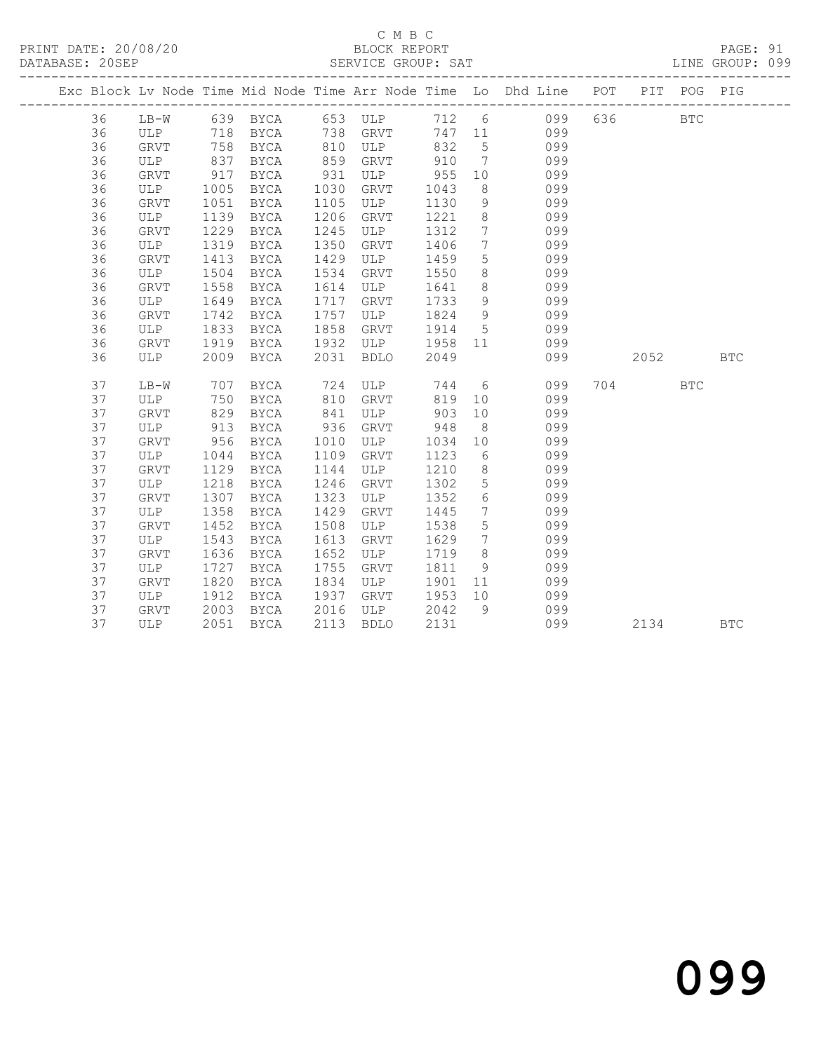### C M B C<br>BLOCK REPORT

PAGE: 91<br>LINE GROUP: 099

|          |             |              |                       |              |                     |              |                     | Exc Block Lv Node Time Mid Node Time Arr Node Time Lo Dhd Line POT |          | PIT POG PIG |            |
|----------|-------------|--------------|-----------------------|--------------|---------------------|--------------|---------------------|--------------------------------------------------------------------|----------|-------------|------------|
|          |             |              |                       |              |                     |              |                     |                                                                    |          |             |            |
| 36       |             |              |                       |              |                     |              |                     | LB-W 639 BYCA 653 ULP 712 6 099                                    | 636 8    | <b>BTC</b>  |            |
| 36       |             |              | ULP 718 BYCA 738 GRVT |              |                     |              |                     | 747 11 099                                                         |          |             |            |
| 36       | GRVT        | 758          | BYCA                  | 810          | ULP                 | 832          | 5 <sup>5</sup>      | 099                                                                |          |             |            |
| 36       | ULP         | 837<br>917   | BYCA                  | 859          | GRVT                | 910          | $7\phantom{0}$      | 099                                                                |          |             |            |
| 36       | GRVT        |              | BYCA                  | 931          | ULP                 | 955          | 10                  | 099                                                                |          |             |            |
| 36<br>36 | ULP         | 1005<br>1051 | BYCA                  | 1030<br>1105 | GRVT<br>ULP         | 1043<br>1130 | 8 <sup>8</sup><br>9 | 099<br>099                                                         |          |             |            |
| 36       | GRVT<br>ULP | 1139         | BYCA<br>BYCA          | 1206         | GRVT                | 1221         | 8 <sup>8</sup>      | 099                                                                |          |             |            |
| 36       | GRVT        | 1229         | BYCA                  | 1245         | ULP                 | 1312         | $\overline{7}$      | 099                                                                |          |             |            |
| 36       | ULP         | 1319         | BYCA                  | 1350         | GRVT                | 1406         | $7\phantom{.0}$     | 099                                                                |          |             |            |
| 36       | GRVT        | 1413         | BYCA                  | 1429         | ULP                 | 1459         | 5 <sup>5</sup>      | 099                                                                |          |             |            |
| 36       | ULP         | 1504         | BYCA                  | 1534         | GRVT                | 1550         | 8                   | 099                                                                |          |             |            |
| 36       | GRVT        | 1558         | BYCA                  | 1614         | ULP                 | 1641         | 8 <sup>8</sup>      | 099                                                                |          |             |            |
| 36       | ULP         | 1649         | BYCA                  | 1717         | GRVT                | 1733         | 9                   | 099                                                                |          |             |            |
| 36       | <b>GRVT</b> | 1742         | BYCA                  | 1757         | ULP                 | 1824         | 9                   | 099                                                                |          |             |            |
| 36       | ULP         | 1833         | BYCA                  | 1858         | GRVT                | 1914         | 5 <sup>5</sup>      | 099                                                                |          |             |            |
| 36       | GRVT        | 1919         | BYCA                  | 1932         | ULP                 | 1958 11      |                     | 099                                                                |          |             |            |
| 36       | ULP         | 2009         | BYCA                  | 2031         | BDLO                | 2049         |                     | 099                                                                | 2052 200 |             | <b>BTC</b> |
|          |             |              |                       |              |                     |              |                     |                                                                    |          |             |            |
| 37       | LB-W        | 707          | BYCA                  |              |                     |              |                     | 744 6<br>099                                                       | 704      | BTC         |            |
| 37       | ULP         | 750          | BYCA                  |              | 724 ULP<br>810 GRVT | 819          | 10                  | 099                                                                |          |             |            |
| 37       | GRVT        | 829          | BYCA                  | 841          | ULP                 | 903          | 10                  | 099                                                                |          |             |            |
| 37       | ULP         | 913          | BYCA                  | 936          | GRVT                | 948          | 8 <sup>8</sup>      | 099                                                                |          |             |            |
| 37       | GRVT        | 956          | BYCA                  | 1010         | ULP                 | 1034         | 10                  | 099                                                                |          |             |            |
| 37       | ULP         | 1044         | BYCA                  | 1109         | GRVT                | 1123         | 6                   | 099                                                                |          |             |            |
| 37       | GRVT        | 1129         | BYCA                  | 1144         | ULP                 | 1210         | 8 <sup>8</sup>      | 099                                                                |          |             |            |
| 37       | ULP         | 1218         | BYCA                  | 1246         | GRVT                | 1302         | 5 <sup>5</sup>      | 099                                                                |          |             |            |
| 37       | GRVT        | 1307         | BYCA                  | 1323         | ULP                 | 1352         | 6                   | 099                                                                |          |             |            |
| 37       | ULP         | 1358         | BYCA                  | 1429         | GRVT                | 1445         | $7\overline{ }$     | 099                                                                |          |             |            |
| 37       | <b>GRVT</b> | 1452         | BYCA                  | 1508         | ULP                 | 1538         | $5\phantom{.0}$     | 099                                                                |          |             |            |
| 37       | ULP         | 1543         | BYCA                  | 1613         | GRVT                | 1629         | $7\overline{ }$     | 099                                                                |          |             |            |
| 37       | <b>GRVT</b> | 1636         | BYCA                  | 1652         | ULP                 | 1719         | 8 <sup>8</sup>      | 099                                                                |          |             |            |
| 37       | ULP         | 1727         | BYCA                  | 1755         | GRVT                | 1811         | 9 <sup>°</sup>      | 099                                                                |          |             |            |
| 37       | <b>GRVT</b> | 1820         | BYCA                  | 1834         | ULP                 | 1901         | 11                  | 099                                                                |          |             |            |
| 37       | ULP         | 1912         | BYCA                  | 1937         | GRVT                | 1953         | 10                  | 099                                                                |          |             |            |
| 37       | GRVT<br>ULP | 2003         | BYCA                  | 2016         | ULP                 | 2042         | 9                   | 099                                                                |          |             |            |
| 37       |             |              | 2051 BYCA             | 2113         | <b>BDLO</b>         | 2131         |                     | 099                                                                | 2134     |             | <b>BTC</b> |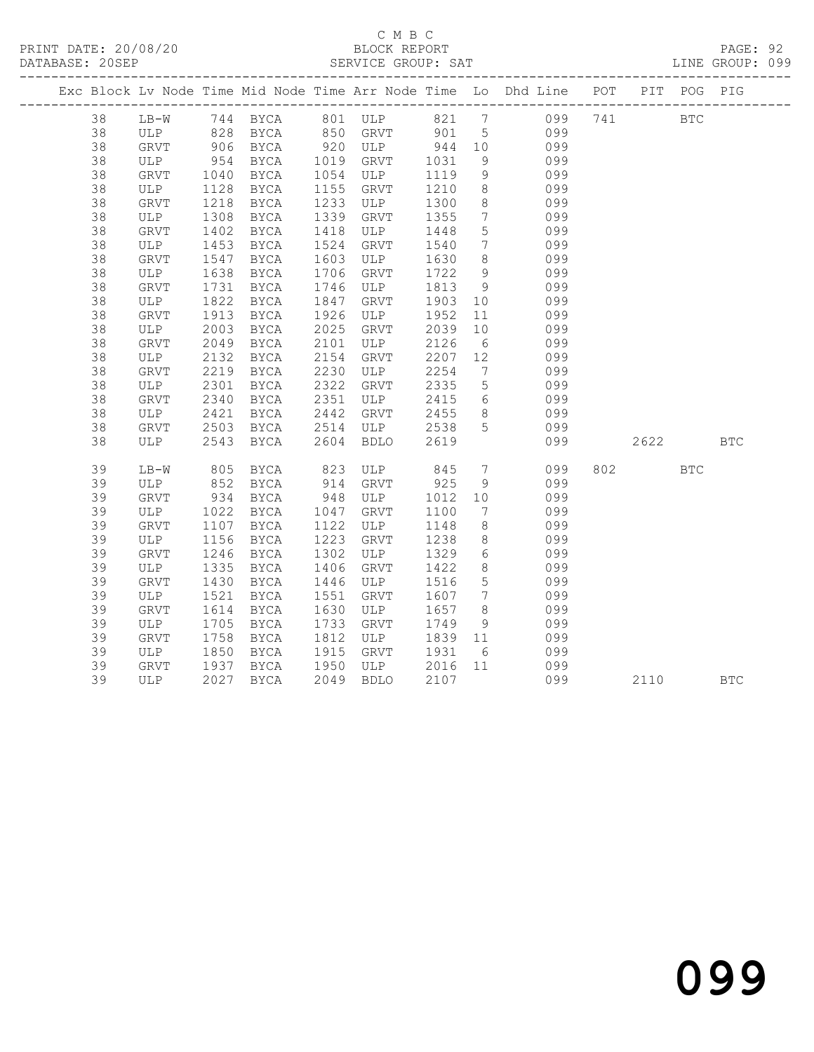### C M B C<br>BLOCK REPORT

PAGE: 92<br>LINE GROUP: 099

|    |              |              |                |      |                     |         |                 | Exc Block Lv Node Time Mid Node Time Arr Node Time Lo Dhd Line POT PIT POG PIG |       |            |            |
|----|--------------|--------------|----------------|------|---------------------|---------|-----------------|--------------------------------------------------------------------------------|-------|------------|------------|
| 38 |              |              |                |      |                     |         |                 | LB-W 744 BYCA 801 ULP 821 7 099 741 BTC                                        |       |            |            |
| 38 |              |              |                |      |                     |         |                 | ULP 828 BYCA 850 GRVT 901 5 099                                                |       |            |            |
| 38 | GRVT         |              |                |      |                     |         |                 | 099                                                                            |       |            |            |
| 38 | ULP          |              |                |      |                     |         |                 | 099                                                                            |       |            |            |
| 38 | GRVT         | 1040         | BYCA           |      | 1054 ULP            | 1119    | 9               | 099                                                                            |       |            |            |
| 38 | ULP          | 1128<br>1218 | BYCA           | 1155 | GRVT                | 1210    | 8 <sup>8</sup>  | 099                                                                            |       |            |            |
| 38 | GRVT         |              | BYCA           | 1233 | ULP                 | 1300    | 8 <sup>8</sup>  | 099                                                                            |       |            |            |
| 38 | ULP          | 1308         | BYCA           | 1339 | GRVT                | 1355    | $7\overline{ }$ | 099                                                                            |       |            |            |
| 38 | GRVT         | 1402         | BYCA           | 1418 | ULP                 | 1448    | 5               | 099                                                                            |       |            |            |
| 38 | ULP          | 1453         | BYCA           | 1524 | GRVT                | 1540    | $7\overline{ }$ | 099                                                                            |       |            |            |
| 38 | GRVT         | 1547         | BYCA           | 1603 | ULP                 | 1630    | 8 <sup>8</sup>  | 099                                                                            |       |            |            |
| 38 | ULP          | 1638         | BYCA           | 1706 | GRVT                | 1722    | 9               | 099                                                                            |       |            |            |
| 38 | GRVT         | 1731         | BYCA           | 1746 | ULP                 | 1813    | 9               | 099                                                                            |       |            |            |
| 38 | ULP          | 1822         | BYCA           | 1847 | GRVT                | 1903 10 |                 | 099                                                                            |       |            |            |
| 38 | GRVT         | 1913         | BYCA           | 1926 | ULP                 | 1952    | 11              | 099                                                                            |       |            |            |
| 38 | ULP          | 2003         | BYCA           | 2025 | GRVT                | 2039    | 10              | 099                                                                            |       |            |            |
| 38 | GRVT         | 2049         | BYCA           | 2101 | ULP                 | 2126    | 6               | 099                                                                            |       |            |            |
| 38 | ULP          | 2132         | <b>BYCA</b>    | 2154 | GRVT                | 2207    | 12              | 099                                                                            |       |            |            |
| 38 | GRVT         | 2219         | BYCA           | 2230 | ULP                 | 2254    | $\overline{7}$  | 099                                                                            |       |            |            |
| 38 | ULP          | 2301         | BYCA           | 2322 | GRVT                | 2335    | $5\overline{)}$ | 099                                                                            |       |            |            |
| 38 | GRVT         | 2340         | <b>BYCA</b>    |      | 2351 ULP            | 2415    | $6\overline{6}$ | 099                                                                            |       |            |            |
| 38 | ULP          | 2421         | BYCA           | 2442 | GRVT                | 2455    | 8 <sup>8</sup>  | 099                                                                            |       |            |            |
| 38 | GRVT         | 2503         | BYCA 2514      |      | ULP                 | 2538    | $5^{\circ}$     | 099                                                                            |       |            |            |
| 38 | ULP          | 2543         | BYCA 2604 BDLO |      |                     | 2619    |                 | 099                                                                            | 2622  |            | <b>BTC</b> |
| 39 | $LB-W$       | 805          | BYCA           | 823  | ULP                 | 845     | $7\overline{ }$ | 099                                                                            | 802 2 | <b>BTC</b> |            |
| 39 | ULP          | 852<br>934   | BYCA           |      | 914 GRVT<br>948 ULP | 925     | 9               | 099                                                                            |       |            |            |
| 39 | GRVT         |              | <b>BYCA</b>    |      | ULP                 | 1012 10 |                 | 099                                                                            |       |            |            |
| 39 | ULP          | 1022         | BYCA           | 1047 | GRVT                | 1100    | $\overline{7}$  | 099                                                                            |       |            |            |
| 39 | GRVT         | 1107         | BYCA           | 1122 | ULP                 | 1148    | 8 <sup>8</sup>  | 099                                                                            |       |            |            |
| 39 | ULP          | 1156         | BYCA           | 1223 | GRVT                | 1238    | 8 <sup>8</sup>  | 099                                                                            |       |            |            |
| 39 | GRVT         | 1246         | BYCA           | 1302 | ULP                 | 1329    | $6\overline{6}$ | 099                                                                            |       |            |            |
| 39 | ULP          | 1335         | BYCA           | 1406 | GRVT                | 1422    | 8 <sup>8</sup>  | 099                                                                            |       |            |            |
| 39 | GRVT         | 1430         | BYCA           | 1446 | ULP                 | 1516    | 5 <sup>5</sup>  | 099                                                                            |       |            |            |
| 39 | ULP          | 1521         | BYCA           | 1551 | GRVT                | 1607    | $7\phantom{0}$  | 099                                                                            |       |            |            |
| 39 | GRVT         | 1614         | BYCA           | 1630 | ULP                 | 1657    | 8 <sup>8</sup>  | 099                                                                            |       |            |            |
| 39 | ULP          | 1705         | BYCA           | 1733 | GRVT                | 1749    | 9               | 099                                                                            |       |            |            |
| 39 | ${\tt GRVT}$ | 1758         | BYCA           | 1812 | ULP                 | 1839 11 |                 | 099                                                                            |       |            |            |
| 39 | ULP          | 1850         | BYCA           |      | 1915 GRVT           | 1931    | 6               | 099                                                                            |       |            |            |
| 39 | GRVT         | 1937         | BYCA           | 1950 | ULP                 |         |                 | 2016 11 099                                                                    |       |            |            |
| 39 | ULP          |              | 2027 BYCA      |      | 2049 BDLO           | 2107    |                 | 099                                                                            | 2110  |            | <b>BTC</b> |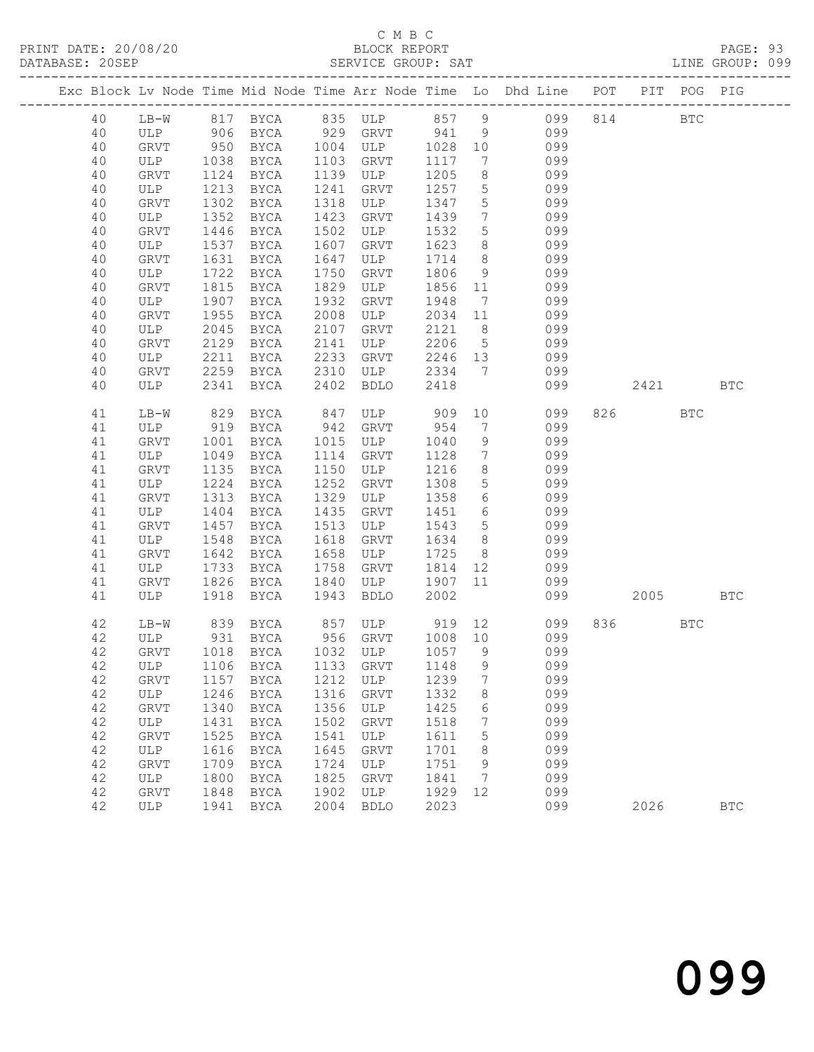## C M B C<br>BLOCK REPORT

PAGE: 93<br>LINE GROUP: 099

|    |      |      |                                   |      |                  |         |                 | Exc Block Lv Node Time Mid Node Time Arr Node Time Lo Dhd Line POT PIT POG PIG |                                                                                                             |            |            |
|----|------|------|-----------------------------------|------|------------------|---------|-----------------|--------------------------------------------------------------------------------|-------------------------------------------------------------------------------------------------------------|------------|------------|
| 40 |      |      |                                   |      |                  |         |                 | LB-W 817 BYCA 835 ULP 857 9 099 814 BTC<br>ULP 906 BYCA 929 GRVT 941 9 099     |                                                                                                             |            |            |
| 40 |      |      |                                   |      |                  |         |                 |                                                                                |                                                                                                             |            |            |
| 40 | GRVT | 950  |                                   |      | $BYCA$ 1004 ULP  | 1028 10 |                 | 099                                                                            |                                                                                                             |            |            |
| 40 | ULP  | 1038 | BYCA                              | 1103 | GRVT             | 1117    | $7\overline{ }$ | 099                                                                            |                                                                                                             |            |            |
| 40 | GRVT | 1124 | BYCA                              | 1139 | ULP              | 1205    | 8 <sup>8</sup>  | 099                                                                            |                                                                                                             |            |            |
|    |      | 1213 |                                   | 1241 |                  | 1257    | 5 <sup>5</sup>  | 099                                                                            |                                                                                                             |            |            |
| 40 | ULP  |      | BYCA                              |      | GRVT             |         |                 | 099                                                                            |                                                                                                             |            |            |
| 40 | GRVT | 1302 | BYCA                              | 1318 | ULP              | 1347    | 5 <sup>5</sup>  |                                                                                |                                                                                                             |            |            |
| 40 | ULP  | 1352 | BYCA                              | 1423 | GRVT             | 1439    | $7\overline{ }$ | 099                                                                            |                                                                                                             |            |            |
| 40 | GRVT | 1446 | BYCA                              | 1502 | ULP              | 1532    | $5\overline{)}$ | 099                                                                            |                                                                                                             |            |            |
| 40 | ULP  | 1537 | BYCA                              | 1607 | GRVT             | 1623    | 8 <sup>8</sup>  | 099                                                                            |                                                                                                             |            |            |
| 40 | GRVT | 1631 | BYCA                              | 1647 | ULP              | 1714    | 8 <sup>8</sup>  | 099                                                                            |                                                                                                             |            |            |
| 40 | ULP  | 1722 | BYCA                              | 1750 | GRVT             | 1806    | 9               | 099                                                                            |                                                                                                             |            |            |
| 40 | GRVT | 1815 | BYCA                              | 1829 | ULP              | 1856    | 11              | 099                                                                            |                                                                                                             |            |            |
| 40 | ULP  | 1907 | BYCA                              | 1932 | GRVT             | 1948    | $7\overline{ }$ | 099                                                                            |                                                                                                             |            |            |
| 40 | GRVT | 1955 | BYCA                              | 2008 | ULP              | 2034    | 11              | 099                                                                            |                                                                                                             |            |            |
| 40 | ULP  | 2045 | BYCA                              | 2107 | GRVT             | 2121    | 8 <sup>8</sup>  | 099                                                                            |                                                                                                             |            |            |
| 40 | GRVT | 2129 | BYCA                              | 2141 | ULP              | 2206    | 5 <sup>5</sup>  | 099                                                                            |                                                                                                             |            |            |
| 40 | ULP  | 2211 | BYCA                              | 2233 | GRVT             | 2246 13 |                 | 099                                                                            |                                                                                                             |            |            |
| 40 | GRVT |      | 2259 BYCA 2310                    |      | ULP              | 2334 7  |                 | 099                                                                            |                                                                                                             |            |            |
| 40 | ULP  | 2341 | BYCA                              | 2402 | <b>BDLO</b>      | 2418    |                 | 099                                                                            | 2421 BTC                                                                                                    |            |            |
|    |      |      |                                   |      |                  |         |                 |                                                                                |                                                                                                             |            |            |
| 41 | LB-W | 829  | BYCA                              |      | 847 ULP          | 909     | 10              | 099                                                                            | 826 BTC                                                                                                     |            |            |
| 41 | ULP  | 919  | BYCA                              |      | 942 GRVT         | 954     | $7\overline{ }$ | 099                                                                            |                                                                                                             |            |            |
| 41 | GRVT | 1001 | BYCA                              | 1015 | ULP              | 1040    | 9               | 099                                                                            |                                                                                                             |            |            |
| 41 | ULP  | 1049 | BYCA                              | 1114 | GRVT             | 1128    | $\overline{7}$  | 099                                                                            |                                                                                                             |            |            |
| 41 | GRVT | 1135 | BYCA                              | 1150 | ULP              | 1216    | 8 <sup>8</sup>  | 099                                                                            |                                                                                                             |            |            |
| 41 | ULP  | 1224 | BYCA                              | 1252 | GRVT             | 1308    | $5\overline{)}$ | 099                                                                            |                                                                                                             |            |            |
| 41 | GRVT | 1313 | BYCA                              | 1329 | ULP              | 1358    | $6\overline{6}$ | 099                                                                            |                                                                                                             |            |            |
| 41 | ULP  | 1404 | BYCA                              | 1435 | GRVT             | 1451    | $6\overline{6}$ | 099                                                                            |                                                                                                             |            |            |
| 41 | GRVT | 1457 | BYCA                              | 1513 | ULP              | 1543    | 5 <sup>5</sup>  | 099                                                                            |                                                                                                             |            |            |
| 41 | ULP  | 1548 | BYCA                              | 1618 | GRVT             | 1634    | 8 <sup>1</sup>  | 099                                                                            |                                                                                                             |            |            |
| 41 | GRVT | 1642 | BYCA                              | 1658 | ULP              | 1725    | 8 <sup>8</sup>  | 099                                                                            |                                                                                                             |            |            |
| 41 | ULP  | 1733 | BYCA                              | 1758 | GRVT             | 1814    |                 | 12 099                                                                         |                                                                                                             |            |            |
| 41 | GRVT | 1826 | BYCA                              | 1840 | ULP              | 1907    | 11              | 099                                                                            |                                                                                                             |            |            |
| 41 | ULP  | 1918 |                                   | 1943 | <b>BDLO</b>      | 2002    |                 | 099                                                                            | 2005 - 2005 - 2006 - 2016 - 2016 - 2016 - 2016 - 2020 - 2020 - 2020 - 2020 - 2020 - 2020 - 2020 - 2020 - 20 |            | <b>BTC</b> |
|    |      |      | BYCA                              |      |                  |         |                 |                                                                                |                                                                                                             |            |            |
| 42 | LB-W |      | 839 BYCA 857 ULP 919 12           |      |                  |         |                 | 099                                                                            | 836 8                                                                                                       | <b>BTC</b> |            |
| 42 | ULP  | 931  | BYCA                              |      | 956 GRVT 1008 10 |         |                 | 099                                                                            |                                                                                                             |            |            |
| 42 | GRVT |      | 1018 BYCA 1032 ULP                |      |                  | 1057 9  |                 | 099                                                                            |                                                                                                             |            |            |
|    |      |      | 42 ULP 1106 BYCA 1133 GRVT 1148 9 |      |                  |         |                 | 099                                                                            |                                                                                                             |            |            |
|    |      |      |                                   |      |                  |         | 7               | 099                                                                            |                                                                                                             |            |            |
| 42 | GRVT | 1157 | BYCA                              | 1212 | ULP              | 1239    |                 |                                                                                |                                                                                                             |            |            |
| 42 | ULP  | 1246 | BYCA                              | 1316 | GRVT             | 1332    | 8               | 099                                                                            |                                                                                                             |            |            |
| 42 | GRVT | 1340 | BYCA                              | 1356 | ULP              | 1425    | 6               | 099                                                                            |                                                                                                             |            |            |
| 42 | ULP  | 1431 | BYCA                              | 1502 | <b>GRVT</b>      | 1518    | 7               | 099                                                                            |                                                                                                             |            |            |
| 42 | GRVT | 1525 | BYCA                              | 1541 | ULP              | 1611    | 5               | 099                                                                            |                                                                                                             |            |            |
| 42 | ULP  | 1616 | BYCA                              | 1645 | GRVT             | 1701    | 8               | 099                                                                            |                                                                                                             |            |            |
| 42 | GRVT | 1709 | <b>BYCA</b>                       | 1724 | ULP              | 1751    | 9               | 099                                                                            |                                                                                                             |            |            |
| 42 | ULP  | 1800 | BYCA                              | 1825 | GRVT             | 1841    | 7               | 099                                                                            |                                                                                                             |            |            |
| 42 | GRVT | 1848 | BYCA                              | 1902 | ULP              | 1929    | 12              | 099                                                                            |                                                                                                             |            |            |
| 42 | ULP  | 1941 | BYCA                              | 2004 | <b>BDLO</b>      | 2023    |                 | 099                                                                            | 2026                                                                                                        |            | <b>BTC</b> |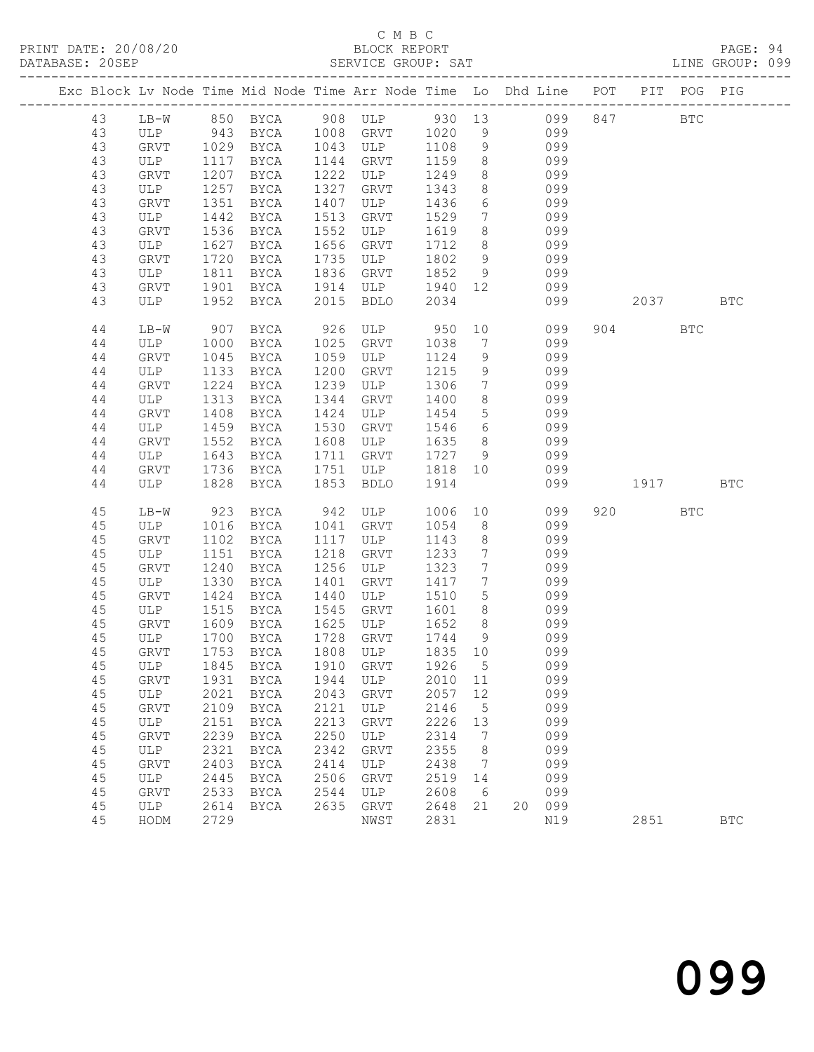## C M B C<br>BLOCK REPORT

PAGE: 94<br>LINE GROUP: 099

|    |        |      |                        |      | Exc Block Lv Node Time Mid Node Time Arr Node Time Lo Dhd Line POT PIT POG PIG |         |                 |      |        |            |            |              |
|----|--------|------|------------------------|------|--------------------------------------------------------------------------------|---------|-----------------|------|--------|------------|------------|--------------|
| 43 |        |      |                        |      | LB-W 850 BYCA 908 ULP 930 13 099 847                                           |         |                 |      |        | <b>BTC</b> |            |              |
| 43 |        |      | ULP 943 BYCA 1008 GRVT |      |                                                                                | 1020    | 9               |      | 099    |            |            |              |
| 43 | GRVT   |      | 1029 BYCA 1043 ULP     |      |                                                                                | 1108    | 9               |      | 099    |            |            |              |
| 43 | ULP    | 1117 | BYCA                   | 1144 | GRVT                                                                           | 1159    | 8 <sup>8</sup>  |      | 099    |            |            |              |
| 43 | GRVT   | 1207 | BYCA                   | 1222 | ULP                                                                            | 1249    | 8 <sup>8</sup>  |      | 099    |            |            |              |
| 43 | ULP    | 1257 | BYCA                   | 1327 | GRVT                                                                           | 1343    | 8 <sup>8</sup>  |      | 099    |            |            |              |
| 43 | GRVT   | 1351 | BYCA                   | 1407 | ULP                                                                            | 1436    | $6\overline{6}$ |      | 099    |            |            |              |
| 43 | ULP    | 1442 | BYCA                   | 1513 | GRVT                                                                           | 1529    | $7\overline{ }$ |      | 099    |            |            |              |
| 43 | GRVT   | 1536 | BYCA                   | 1552 | ULP                                                                            | 1619    | 8 <sup>8</sup>  |      | 099    |            |            |              |
| 43 | ULP    | 1627 | BYCA                   | 1656 | GRVT                                                                           | 1712    | 8 <sup>8</sup>  |      | 099    |            |            |              |
| 43 | GRVT   | 1720 | BYCA                   | 1735 | ULP                                                                            | 1802    | 9               |      | 099    |            |            |              |
| 43 | ULP    | 1811 | BYCA                   | 1836 | GRVT                                                                           | 1852    | 9               |      | 099    |            |            |              |
| 43 | GRVT   | 1901 | BYCA                   | 1914 | ULP                                                                            | 1940 12 |                 |      | 099    |            |            |              |
| 43 | ULP    | 1952 | BYCA                   | 2015 | BDLO                                                                           | 2034    |                 |      | 099    | 2037       |            | <b>BTC</b>   |
| 44 | $LB-W$ | 907  | BYCA                   | 926  | ULP 950                                                                        |         |                 | 10 0 | 099    | 904 — 100  | <b>BTC</b> |              |
| 44 | ULP    | 1000 | BYCA                   | 1025 | GRVT                                                                           | 1038    | $\overline{7}$  |      | 099    |            |            |              |
| 44 | GRVT   | 1045 | BYCA                   | 1059 | ULP                                                                            | 1124    | 9               |      | 099    |            |            |              |
| 44 | ULP    | 1133 | BYCA                   | 1200 | GRVT                                                                           | 1215    | 9               |      | 099    |            |            |              |
| 44 | GRVT   | 1224 | BYCA                   | 1239 | ULP                                                                            | 1306    | $7\overline{ }$ |      | 099    |            |            |              |
| 44 | ULP    | 1313 | BYCA                   | 1344 | GRVT                                                                           | 1400    | 8 <sup>8</sup>  |      | 099    |            |            |              |
| 44 | GRVT   | 1408 | BYCA                   | 1424 | ULP                                                                            | 1454    | $5\overline{)}$ |      | 099    |            |            |              |
| 44 | ULP    | 1459 | BYCA                   | 1530 | GRVT                                                                           | 1546    | $6\overline{6}$ |      | 099    |            |            |              |
| 44 | GRVT   | 1552 | BYCA                   | 1608 | ULP                                                                            | 1635    | 8 <sup>8</sup>  |      | 099    |            |            |              |
| 44 | ULP    | 1643 | BYCA                   | 1711 | GRVT                                                                           | 1727 9  |                 |      | 099    |            |            |              |
| 44 | GRVT   | 1736 | BYCA                   | 1751 | ULP                                                                            | 1818 10 |                 |      | 099    |            |            |              |
| 44 | ULP    | 1828 | BYCA                   | 1853 | <b>BDLO</b>                                                                    | 1914    |                 |      | 099    | 1917 BTC   |            |              |
| 45 | LB-W   | 923  | BYCA                   | 942  | ULP                                                                            | 1006    | 10              |      | 099    | 920 000    | <b>BTC</b> |              |
| 45 | ULP    | 1016 | BYCA                   | 1041 | GRVT                                                                           | 1054    | 8 <sup>8</sup>  |      | 099    |            |            |              |
| 45 | GRVT   | 1102 | BYCA                   | 1117 | ULP                                                                            | 1143    | 8 <sup>8</sup>  |      | 099    |            |            |              |
| 45 | ULP    | 1151 | BYCA                   | 1218 | GRVT                                                                           | 1233    | $\overline{7}$  |      | 099    |            |            |              |
| 45 | GRVT   | 1240 | BYCA                   | 1256 | ULP                                                                            | 1323    | $\overline{7}$  |      | 099    |            |            |              |
| 45 | ULP    | 1330 | BYCA                   | 1401 | GRVT                                                                           | 1417    | $\overline{7}$  |      | 099    |            |            |              |
| 45 | GRVT   | 1424 | BYCA                   | 1440 | ULP                                                                            | 1510    | 5 <sup>5</sup>  |      | 099    |            |            |              |
| 45 | ULP    | 1515 | BYCA                   | 1545 | GRVT                                                                           | 1601    | 8 <sup>8</sup>  |      | 099    |            |            |              |
| 45 | GRVT   | 1609 | BYCA                   | 1625 | ULP                                                                            | 1652    | 8 <sup>8</sup>  |      | 099    |            |            |              |
| 45 | ULP    | 1700 | BYCA                   | 1728 | GRVT                                                                           | 1744    | 9               |      | 099    |            |            |              |
| 45 | GRVT   | 1753 | <b>BYCA</b>            | 1808 | ULP                                                                            | 1835 10 |                 |      | 099    |            |            |              |
|    |        |      |                        |      | 45 ULP 1845 BYCA 1910 GRVT 1926 5                                              |         |                 |      | 099    |            |            |              |
| 45 | GRVT   | 1931 | BYCA                   | 1944 | ULP                                                                            | 2010    | 11              |      | 099    |            |            |              |
| 45 | ULP    | 2021 | BYCA                   | 2043 | GRVT                                                                           | 2057    | 12              |      | 099    |            |            |              |
| 45 | GRVT   | 2109 | BYCA                   | 2121 | ULP                                                                            | 2146    | $5\phantom{.0}$ |      | 099    |            |            |              |
| 45 | ULP    | 2151 | <b>BYCA</b>            | 2213 | GRVT                                                                           | 2226    | 13              |      | 099    |            |            |              |
| 45 | GRVT   | 2239 | BYCA                   | 2250 | ULP                                                                            | 2314    | $\overline{7}$  |      | 099    |            |            |              |
| 45 | ULP    | 2321 | BYCA                   | 2342 | GRVT                                                                           | 2355    | - 8             |      | 099    |            |            |              |
| 45 | GRVT   | 2403 | BYCA                   | 2414 | ULP                                                                            | 2438    | $\overline{7}$  |      | 099    |            |            |              |
| 45 | ULP    | 2445 | BYCA                   | 2506 | GRVT                                                                           | 2519    | 14              |      | 099    |            |            |              |
| 45 | GRVT   | 2533 | BYCA                   | 2544 | ULP                                                                            | 2608    | - 6             |      | 099    |            |            |              |
| 45 | ULP    | 2614 | BYCA                   | 2635 | ${\tt GRVT}$                                                                   | 2648    | 21              |      | 20 099 |            |            |              |
| 45 | HODM   | 2729 |                        |      | NWST                                                                           | 2831    |                 |      | N19    | 2851       |            | $_{\rm BTC}$ |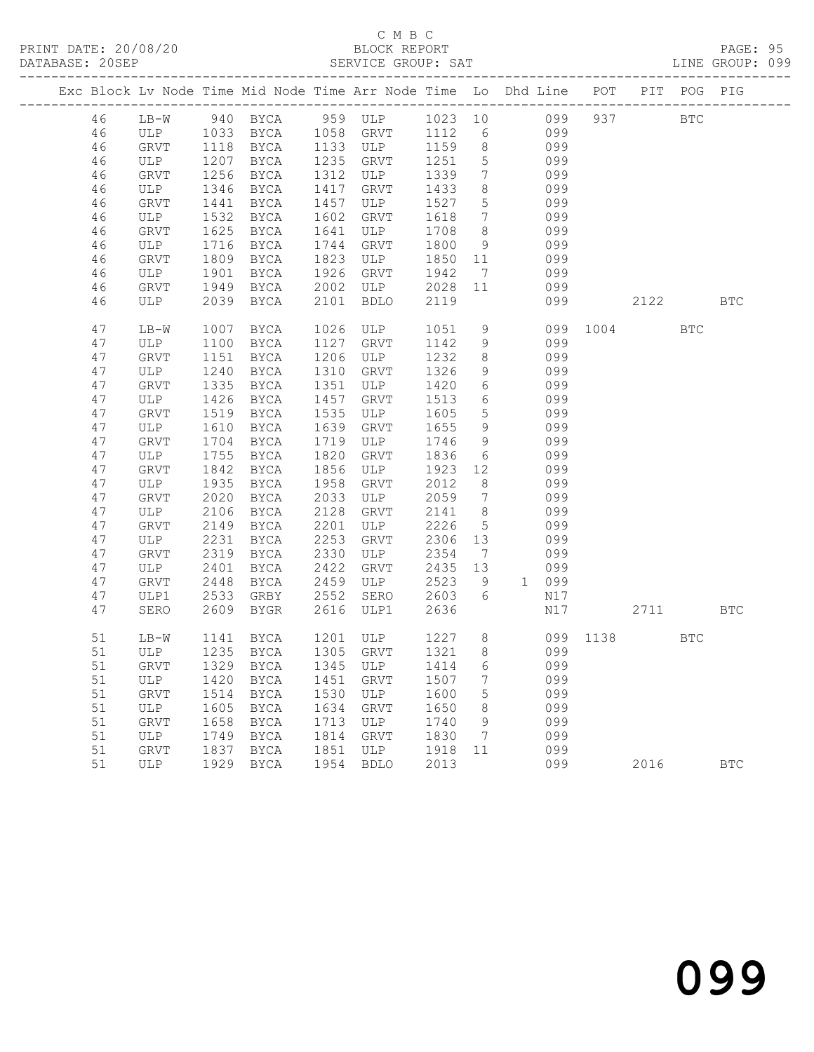### C M B C<br>BLOCK REPORT

PAGE: 95<br>LINE GROUP: 099

|  |          |             |      |                         |              | Exc Block Lv Node Time Mid Node Time Arr Node Time Lo Dhd Line POT PIT POG PIG |                 |                              |       |     |     |            |              |              |
|--|----------|-------------|------|-------------------------|--------------|--------------------------------------------------------------------------------|-----------------|------------------------------|-------|-----|-----|------------|--------------|--------------|
|  | 46       | $LB-W$      |      |                         |              | 940 BYCA 959 ULP 1023 10 099                                                   |                 |                              |       |     | 937 | <b>BTC</b> |              |              |
|  | 46       |             |      | ULP 1033 BYCA 1058 GRVT |              |                                                                                | 1112 6          |                              | 099   |     |     |            |              |              |
|  | 46       | GRVT        | 1118 | <b>BYCA</b>             |              | 1133 ULP                                                                       | 1159            | 8 <sup>8</sup>               | 099   |     |     |            |              |              |
|  | 46       | ULP         | 1207 | BYCA                    | 1235         | GRVT                                                                           | 1251            | $5\overline{)}$              |       | 099 |     |            |              |              |
|  | 46       | GRVT        | 1256 | BYCA                    | 1312         | ULP                                                                            | 1339            | $7\overline{ }$              |       | 099 |     |            |              |              |
|  | 46       | ULP         | 1346 | BYCA                    | 1417         | GRVT                                                                           | 1433            | 8                            |       | 099 |     |            |              |              |
|  | 46       | GRVT        | 1441 | BYCA                    | 1457         | ULP                                                                            | 1527            | $5\overline{)}$              |       | 099 |     |            |              |              |
|  | 46       | ULP         | 1532 | BYCA                    | 1602         | GRVT                                                                           | 1618            | $7\overline{ }$              |       | 099 |     |            |              |              |
|  | 46       | GRVT        | 1625 | BYCA                    | 1641         | ULP                                                                            | 1708            | 8 <sup>8</sup>               |       | 099 |     |            |              |              |
|  | 46       | ULP         | 1716 | BYCA                    | 1744         | GRVT                                                                           | 1800            | 9                            |       | 099 |     |            |              |              |
|  | 46       | GRVT        | 1809 | BYCA                    | 1823         | ULP                                                                            | 1850 11         |                              |       | 099 |     |            |              |              |
|  | 46       | ULP         | 1901 | BYCA                    | 1926         | GRVT                                                                           | 1942            | $7\overline{ }$              |       | 099 |     |            |              |              |
|  | 46<br>46 | GRVT<br>ULP | 1949 | BYCA<br>2039 BYCA       | 2002<br>2101 | ULP                                                                            | 2028 11<br>2119 |                              |       | 099 |     | 2122       |              | <b>BTC</b>   |
|  |          |             |      |                         |              | BDLO                                                                           |                 |                              |       | 099 |     |            |              |              |
|  | 47       | LB-W        | 1007 | BYCA                    | 1026         | ULP                                                                            | 1051            | 9                            |       | 099 |     | 1004       | $_{\rm BTC}$ |              |
|  | 47       | ULP         | 1100 | BYCA                    | 1127         | GRVT                                                                           | 1142            | 9                            |       | 099 |     |            |              |              |
|  | 47       | GRVT        | 1151 | BYCA                    | 1206         | ULP                                                                            | 1232            | 8 <sup>8</sup>               |       | 099 |     |            |              |              |
|  | 47       | ULP         | 1240 | BYCA                    | 1310         | GRVT                                                                           | 1326            | 9                            |       | 099 |     |            |              |              |
|  | 47       | GRVT        | 1335 | BYCA                    | 1351         | ULP                                                                            | 1420            | 6                            |       | 099 |     |            |              |              |
|  | 47       | ULP         | 1426 | BYCA                    | 1457         | GRVT                                                                           | 1513            | $6\overline{6}$              |       | 099 |     |            |              |              |
|  | 47       | GRVT        | 1519 | BYCA                    | 1535         | ULP                                                                            | 1605            | 5 <sup>5</sup>               |       | 099 |     |            |              |              |
|  | 47       | ULP         | 1610 | BYCA                    | 1639         | GRVT                                                                           | 1655            | 9                            |       | 099 |     |            |              |              |
|  | 47       | GRVT        | 1704 | BYCA                    | 1719         | ULP                                                                            | 1746            | 9                            |       | 099 |     |            |              |              |
|  | 47       | ULP         | 1755 | BYCA                    | 1820         | GRVT                                                                           | 1836            | 6                            |       | 099 |     |            |              |              |
|  | 47       | GRVT        | 1842 | BYCA                    | 1856         | ULP                                                                            | 1923            | 12                           |       | 099 |     |            |              |              |
|  | 47       | ULP         | 1935 | BYCA                    | 1958         | GRVT                                                                           | 2012            | 8 <sup>8</sup>               |       | 099 |     |            |              |              |
|  | 47       | GRVT        | 2020 | BYCA                    | 2033         | ULP                                                                            | 2059            | $7\phantom{.0}\phantom{.0}7$ |       | 099 |     |            |              |              |
|  | 47       | ULP         | 2106 | BYCA                    | 2128         | GRVT                                                                           | 2141            | 8                            |       | 099 |     |            |              |              |
|  | 47       | GRVT        | 2149 | BYCA                    | 2201         | ULP                                                                            | 2226            | $5\overline{)}$              |       | 099 |     |            |              |              |
|  | 47       | ULP         | 2231 | BYCA                    | 2253         | GRVT                                                                           | 2306            | 13                           |       | 099 |     |            |              |              |
|  | 47       | GRVT        | 2319 | BYCA                    | 2330         | ULP                                                                            | 2354            | $\overline{7}$               |       | 099 |     |            |              |              |
|  | 47       | ULP         | 2401 | BYCA                    | 2422         | GRVT                                                                           | 2435            | 13                           |       | 099 |     |            |              |              |
|  | 47       | GRVT        | 2448 | BYCA                    | 2459         | ULP                                                                            | 2523            | 9                            | 1 099 |     |     |            |              |              |
|  | 47       | ULP1        | 2533 | GRBY                    | 2552         | SERO                                                                           | 2603            | 6                            |       | N17 |     |            |              |              |
|  | 47       | SERO        | 2609 | BYGR                    | 2616         | ULP1                                                                           | 2636            |                              |       | N17 |     | 2711       |              | <b>BTC</b>   |
|  | 51       | LB-W        | 1141 | BYCA                    |              | 1201 ULP                                                                       | 1227 8          |                              |       |     |     | 099 1138   | <b>BTC</b>   |              |
|  | 51       | ULP         |      | 1235 BYCA               |              | 1305 GRVT                                                                      | 1321 8          |                              |       | 099 |     |            |              |              |
|  |          |             |      |                         |              | 51 GRVT 1329 BYCA 1345 ULP 1414 6                                              |                 |                              |       | 099 |     |            |              |              |
|  | 51       | ULP         | 1420 | BYCA                    | 1451         | GRVT                                                                           | 1507            | 7                            |       | 099 |     |            |              |              |
|  | 51       | GRVT        | 1514 | BYCA                    | 1530         | ULP                                                                            | 1600            | 5                            |       | 099 |     |            |              |              |
|  | 51       | ULP         | 1605 | BYCA                    | 1634         | GRVT                                                                           | 1650            | 8                            |       | 099 |     |            |              |              |
|  | 51       | GRVT        | 1658 | BYCA                    | 1713         | ULP                                                                            | 1740            | 9                            |       | 099 |     |            |              |              |
|  | 51       | ULP         | 1749 | BYCA                    | 1814         | GRVT                                                                           | 1830            | 7                            |       | 099 |     |            |              |              |
|  | 51       | GRVT        | 1837 | BYCA                    | 1851         | ULP                                                                            | 1918            | 11                           |       | 099 |     |            |              |              |
|  | 51       | ULP         | 1929 | BYCA                    | 1954         | <b>BDLO</b>                                                                    | 2013            |                              |       | 099 |     | 2016       |              | $_{\rm BTC}$ |
|  |          |             |      |                         |              |                                                                                |                 |                              |       |     |     |            |              |              |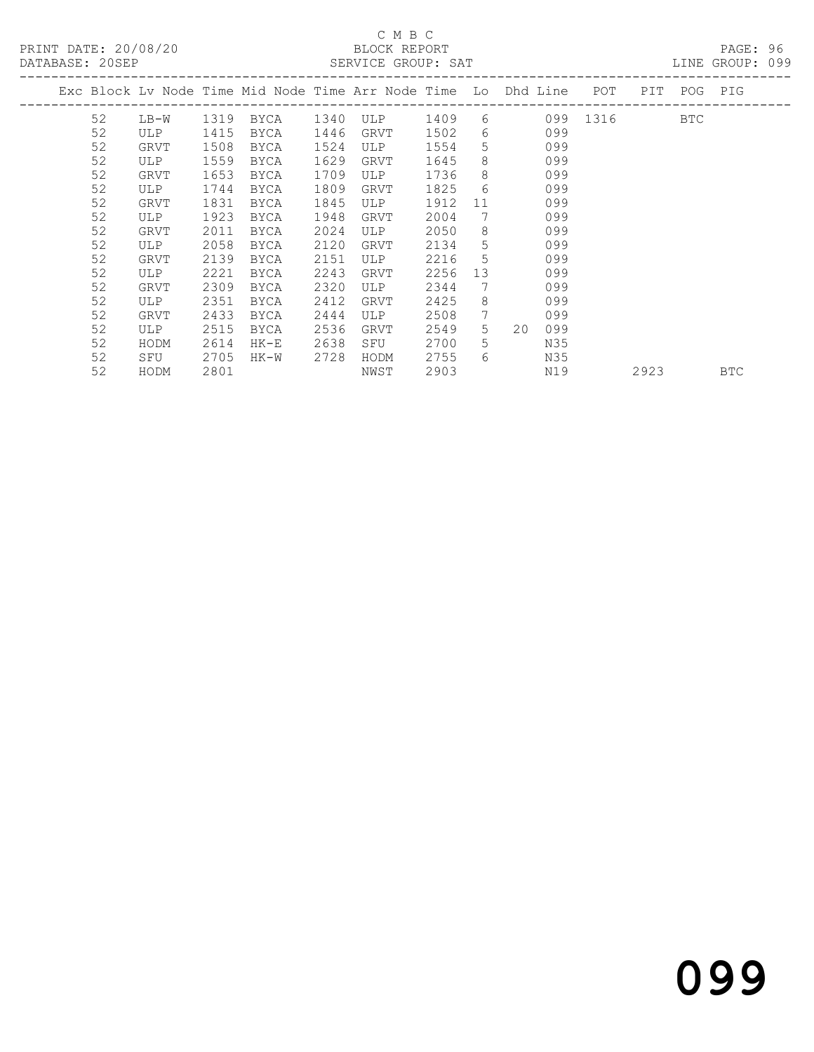| DAIADAJE. ZVJEF |      |      |      |      | OLAVIUL GAUUF, OAI                                                 |      |                 |            |      |             | LIND GRUUF. UYY |
|-----------------|------|------|------|------|--------------------------------------------------------------------|------|-----------------|------------|------|-------------|-----------------|
|                 |      |      |      |      | Exc Block Lv Node Time Mid Node Time Arr Node Time Lo Dhd Line POT |      |                 |            |      | PIT POG PIG |                 |
| 52              | LB-W | 1319 | BYCA |      | 1340 ULP                                                           | 1409 |                 | 6 099 1316 |      | BTC         |                 |
| 52              | ULP  | 1415 | BYCA | 1446 | GRVT                                                               | 1502 | 6               | 099        |      |             |                 |
| 52              | GRVT | 1508 | BYCA | 1524 | ULP                                                                | 1554 | 5               | 099        |      |             |                 |
| 52              | ULP  | 1559 | BYCA | 1629 | GRVT                                                               | 1645 | 8               | 099        |      |             |                 |
| 52              | GRVT | 1653 | BYCA | 1709 | ULP                                                                | 1736 | 8               | 099        |      |             |                 |
| 52              | ULP  | 1744 | BYCA | 1809 | GRVT                                                               | 1825 | 6               | 099        |      |             |                 |
| 52              | GRVT | 1831 | BYCA | 1845 | ULP                                                                | 1912 | 11              | 099        |      |             |                 |
| 52              | ULP  | 1923 | BYCA | 1948 | GRVT                                                               | 2004 | 7               | 099        |      |             |                 |
| 52              | GRVT | 2011 | BYCA | 2024 | ULP                                                                | 2050 | 8               | 099        |      |             |                 |
| 52              | ULP  | 2058 | BYCA | 2120 | GRVT                                                               | 2134 | $5^{\circ}$     | 099        |      |             |                 |
| 52              | GRVT | 2139 | BYCA | 2151 | ULP                                                                | 2216 | 5               | 099        |      |             |                 |
| 52              | ULP  | 2221 | BYCA | 2243 | GRVT                                                               | 2256 | 13              | 099        |      |             |                 |
| 52              | GRVT | 2309 | BYCA | 2320 | ULP                                                                | 2344 | $7\phantom{.0}$ | 099        |      |             |                 |
| 52              | ULP  | 2351 | BYCA | 2412 | GRVT                                                               | 2425 | 8               | 099        |      |             |                 |
| 52              | GRVT | 2433 | BYCA | 2444 | ULP                                                                | 2508 | $7^{\circ}$     | 099        |      |             |                 |
| 52              | ULP  | 2515 | BYCA | 2536 | GRVT                                                               | 2549 | 5 <sup>5</sup>  | 20<br>099  |      |             |                 |
| 52              | HODM | 2614 | HK-E | 2638 | SFU                                                                | 2700 | 5               | N35        |      |             |                 |
| 52              | SFU  | 2705 | HK-W | 2728 | HODM                                                               | 2755 | 6               | N35        |      |             |                 |
| 52              | HODM | 2801 |      |      | NWST                                                               | 2903 |                 | N19        | 2923 |             | <b>BTC</b>      |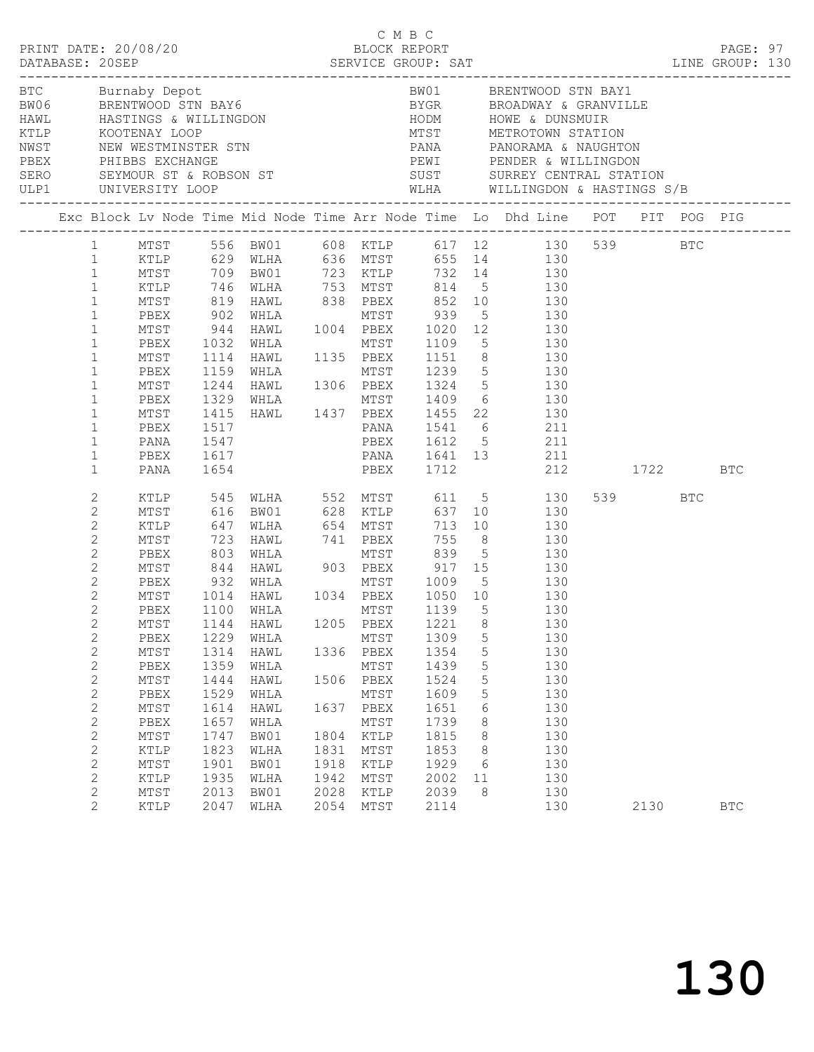| PRINT DATE: 20/08/20 |                                                                                                                                                                                                                                                                                                                                                                                                                                                                                                                                             |                                                                                                                                                                                                                         |                                                                                                      |                                                                                                                                                                                                                    |                                                      |                                                                                      | C M B C<br>BLOCK REPORT                                                              |                                                      | LINE GROUP: 130                                                                                                                                                                                                                                                                                                                                                                                                                                                                                                                                                                                                                                                                                                                                                                                                                                                                                                                                              |         | PAGE: 97   |  |
|----------------------|---------------------------------------------------------------------------------------------------------------------------------------------------------------------------------------------------------------------------------------------------------------------------------------------------------------------------------------------------------------------------------------------------------------------------------------------------------------------------------------------------------------------------------------------|-------------------------------------------------------------------------------------------------------------------------------------------------------------------------------------------------------------------------|------------------------------------------------------------------------------------------------------|--------------------------------------------------------------------------------------------------------------------------------------------------------------------------------------------------------------------|------------------------------------------------------|--------------------------------------------------------------------------------------|--------------------------------------------------------------------------------------|------------------------------------------------------|--------------------------------------------------------------------------------------------------------------------------------------------------------------------------------------------------------------------------------------------------------------------------------------------------------------------------------------------------------------------------------------------------------------------------------------------------------------------------------------------------------------------------------------------------------------------------------------------------------------------------------------------------------------------------------------------------------------------------------------------------------------------------------------------------------------------------------------------------------------------------------------------------------------------------------------------------------------|---------|------------|--|
| ULP1 UNIVERSITY LOOP |                                                                                                                                                                                                                                                                                                                                                                                                                                                                                                                                             |                                                                                                                                                                                                                         |                                                                                                      | BTC Burnaby Depot<br>BW06 BRENTWOOD STN BAY6<br>HAWL HASTINGS & WILLINGDON<br>KTLP KOOTENAY LOOP<br>NWST NEW WESTMINSTER STN<br>PBEX PHIBBS EXCHANGE<br>SERO SEYMOUR ST & ROBSON ST<br>SERO SEYMOUR ST & ROBSON ST |                                                      |                                                                                      |                                                                                      |                                                      | BW01 BRENTWOOD STN BAY1<br>BYGR         BROADWAY & GRANVILLE<br>HODM          HOWE & DUNSMUIR<br>MTST        METROTOWN STATION<br>PANA PANORAMA & NAUGHTON<br>PEWI PENDER & WILLINGDON<br>SUST SURREY CENTRAL STATION<br>WLHA WILLINGDON & HASTINGS S/B                                                                                                                                                                                                                                                                                                                                                                                                                                                                                                                                                                                                                                                                                                      |         |            |  |
|                      |                                                                                                                                                                                                                                                                                                                                                                                                                                                                                                                                             |                                                                                                                                                                                                                         |                                                                                                      |                                                                                                                                                                                                                    |                                                      |                                                                                      |                                                                                      |                                                      | Exc Block Lv Node Time Mid Node Time Arr Node Time Lo Dhd Line POT PIT POG PIG                                                                                                                                                                                                                                                                                                                                                                                                                                                                                                                                                                                                                                                                                                                                                                                                                                                                               |         |            |  |
|                      | $\mathbf{1}$<br>$\mathbf{1}$<br>$\mathbf{1}$<br>$\mathbf{1}$<br>$\mathbf{1}$<br>$\mathbf{1}$<br>$\mathbf{1}$<br>$\mathbf{1}$<br>$\mathbf{1}$<br>$\mathbf{1}$<br>$\mathbf{1}$<br>$\mathbf{1}$<br>$\mathbf{2}$<br>$\mathbf{2}$<br>$\mathbf{2}$<br>$\mathbf{2}$<br>$\mathbf{2}$<br>$\mathbf{2}$<br>$\mathbf{2}$<br>$\mathbf{2}$<br>$\overline{2}$<br>$2^{\circ}$<br>$\mathbf{2}$<br>$\mathbf{2}$<br>$\mathbf{2}$<br>$\mathbf{2}$<br>$\mathbf{2}$<br>$\sqrt{2}$<br>$\mathbf{2}$<br>$\mathbf{2}$<br>$\mathbf{2}$<br>$\mathbf{2}$<br>$\mathbf{2}$ | PBEX<br>MTST<br>PBEX<br>MTST<br>PBEX<br>MTST<br>PBEX<br>MTST<br>PBEX<br>PANA<br>PBEX<br>PANA<br>MTST<br>PBEX<br>PBEX<br>MTST<br>PBEX<br>MTST<br>${\tt PBEX}$<br>MTST<br>PBEX<br>$\mathtt{MTST}$<br>KTLP<br>MTST<br>KTLP | 1517<br>1547<br>1229<br>1314<br>1359<br>1444<br>1529<br>1614<br>1657<br>1747<br>1823<br>1901<br>1935 | 1617<br>1654<br>1100 WHLA<br>MTST 1144 HAWL 1205 PBEX 1221 8<br>WHLA<br>HAWL<br>WHLA<br>HAWL<br>WHLA<br>HAWL<br>WHLA<br>BW01<br>WLHA<br>BW01<br>WLHA                                                               | 1336<br>1506<br>1637<br>1804<br>1831<br>1918<br>1942 | MTST<br>PBEX<br>MTST<br>PBEX<br>MTST<br>PBEX<br>MTST<br>KTLP<br>MTST<br>KTLP<br>MTST | 1309<br>1354<br>1439<br>1524<br>1609<br>1651<br>1739<br>1815<br>1853<br>1929<br>2002 | 5<br>5<br>5<br>5<br>5<br>6<br>8<br>8<br>8<br>6<br>11 | 1 MTST 556 BW01 608 KTLP 617 12 130 539 BTC<br>1 KTLP 629 WLHA 636 MTST 655 14 130<br>1 MTST 709 BW01 723 KTLP 732 14 130<br>1 KTLP 746 WLHA 753 MTST 814 5 130<br>1 MTST 819 HAWL 838 PBEX 852 10 130<br>902 WHLA MTST 939 5 130<br>944 HAWL 1004 PBEX 1020 12 130<br>1032 WHLA MTST 1109 5 130<br>1114 HAWL 1135 PBEX 1151 8 130<br>1159 WHLA 1306 PBEX 1239 5 130<br>1244 HAWL 1306 PBEX 1324 5 130<br>1329 WHLA MTST 1409 6 130<br>1415 HAWL 1437 PBEX 1455 22 130<br>PANA 1541 6 211<br>PBEX 1612 5 211<br>PANA 1641 13 211<br>PBEX 1712 212 1722 BTC<br>XTLP 545 WLHA 552 MTST 611 5 130<br>MTST 616 BW01 628 KTLP 637 10 130<br>KTLP 647 WLHA 654 MTST 713 10 130<br>723 HAWL 741 PBEX 755 8 130<br>PBEX 803 WHLA MTST 839 5 130<br>MTST 844 HAWL 903 PBEX 917 15 130<br>PBEX 932 WHLA MTST 1009 5 130<br>MTST 1014 HAWL 1034 PBEX 1050 10 130<br>MTST 1139 5 130<br>130<br>130<br>130<br>130<br>130<br>130<br>130<br>130<br>130<br>130<br>130<br>130 | 539 BTC |            |  |
|                      | $\mathbf{2}$<br>$\overline{c}$                                                                                                                                                                                                                                                                                                                                                                                                                                                                                                              | MTST<br><b>KTLP</b>                                                                                                                                                                                                     | 2013<br>2047                                                                                         | BW01<br>WLHA                                                                                                                                                                                                       | 2028<br>2054                                         | KTLP<br>MTST                                                                         | 2039<br>2114                                                                         | 8                                                    | 130<br>130                                                                                                                                                                                                                                                                                                                                                                                                                                                                                                                                                                                                                                                                                                                                                                                                                                                                                                                                                   | 2130    | <b>BTC</b> |  |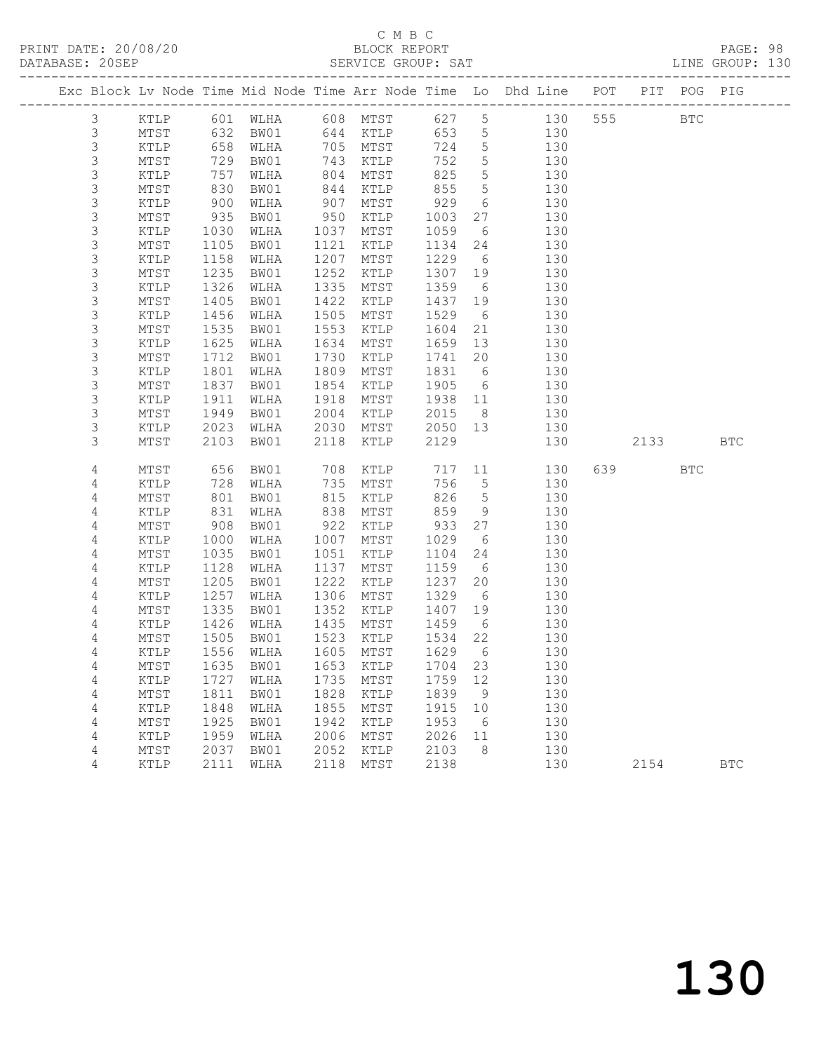## C M B C<br>BLOCK REPORT

PAGE: 98<br>LINE GROUP: 130

|                |             |      |                                  |      |          |         |                 | Exc Block Lv Node Time Mid Node Time Arr Node Time Lo Dhd Line POT |        | PIT POG PIG |              |
|----------------|-------------|------|----------------------------------|------|----------|---------|-----------------|--------------------------------------------------------------------|--------|-------------|--------------|
| $\mathfrak{Z}$ | KTLP        |      | 601 WLHA 608 MTST                |      |          |         |                 | 627 5 130                                                          | 555 75 | <b>BTC</b>  |              |
| $\mathsf 3$    | MTST        | 632  | BW01                             |      | 644 KTLP | 653     | 5 <sup>5</sup>  | 130                                                                |        |             |              |
| $\mathsf S$    | KTLP        | 658  | WLHA                             |      | 705 MTST | 724     | $5\phantom{.0}$ | 130                                                                |        |             |              |
| 3              | MTST        | 729  | BW01                             | 743  | KTLP     | 752     | 5               | 130                                                                |        |             |              |
| 3              | KTLP        | 757  | WLHA                             | 804  | MTST     | 825     | $5\phantom{.0}$ | 130                                                                |        |             |              |
| $\mathsf S$    | MTST        | 830  | BW01                             | 844  | KTLP     | 855     | $5\phantom{.0}$ | 130                                                                |        |             |              |
| $\mathsf S$    | KTLP        | 900  | WLHA                             | 907  | MTST     | 929     | 6               | 130                                                                |        |             |              |
| 3              | MTST        | 935  | BW01                             | 950  | KTLP     | 1003    | 27              | 130                                                                |        |             |              |
| $\mathsf S$    | KTLP        | 1030 | WLHA                             | 1037 | MTST     | 1059    | 6               | 130                                                                |        |             |              |
| $\mathsf S$    | MTST        | 1105 | BW01                             | 1121 | KTLP     | 1134    | 24              | 130                                                                |        |             |              |
| $\mathsf S$    | KTLP        | 1158 | WLHA                             | 1207 | MTST     | 1229    | 6               | 130                                                                |        |             |              |
| $\mathsf 3$    | MTST        | 1235 | BW01                             | 1252 | KTLP     | 1307    | 19              | 130                                                                |        |             |              |
| 3              | KTLP        | 1326 | WLHA                             | 1335 | MTST     | 1359    | $6\overline{6}$ | 130                                                                |        |             |              |
| 3              | MTST        | 1405 | BW01                             | 1422 | KTLP     | 1437    | 19              | 130                                                                |        |             |              |
| $\mathsf S$    | KTLP        | 1456 | WLHA                             | 1505 | MTST     | 1529    | 6               | 130                                                                |        |             |              |
| $\mathsf 3$    | MTST        | 1535 | BW01                             | 1553 | KTLP     | 1604    | 21              | 130                                                                |        |             |              |
| $\mathsf S$    | KTLP        | 1625 | WLHA                             | 1634 | MTST     | 1659    | 13              | 130                                                                |        |             |              |
| 3              | MTST        | 1712 | BW01                             | 1730 | KTLP     | 1741    | 20              | 130                                                                |        |             |              |
| $\mathsf S$    | KTLP        | 1801 | WLHA                             | 1809 | MTST     | 1831    | 6               | 130                                                                |        |             |              |
| 3              | MTST        | 1837 | BW01                             | 1854 | KTLP     | 1905    | 6               | 130                                                                |        |             |              |
| 3              | KTLP        | 1911 | WLHA                             | 1918 | MTST     | 1938    | 11              | 130                                                                |        |             |              |
| 3              | MTST        | 1949 | BW01                             | 2004 | KTLP     | 2015    | 8 <sup>8</sup>  | 130                                                                |        |             |              |
| 3              | KTLP        | 2023 | WLHA                             | 2030 | MTST     | 2050 13 |                 | 130                                                                |        |             |              |
| 3              | MTST        | 2103 | BW01                             | 2118 | KTLP     | 2129    |                 | 130                                                                | 2133   |             | <b>BTC</b>   |
| 4              | MTST        | 656  | BW01                             | 708  | KTLP     | 717     | 11              | 130                                                                | 639 8  | BTC         |              |
| 4              | KTLP        | 728  | WLHA                             | 735  | MTST     | 756     | $5^{\circ}$     | 130                                                                |        |             |              |
| 4              | MTST        | 801  | BW01                             | 815  | KTLP     | 826     | $5^{\circ}$     | 130                                                                |        |             |              |
| 4              | KTLP        | 831  | WLHA                             | 838  | MTST     | 859     | 9               | 130                                                                |        |             |              |
| 4              | MTST        | 908  | BW01                             | 922  | KTLP     | 933     | 27              | 130                                                                |        |             |              |
| 4              | KTLP        | 1000 | WLHA                             | 1007 | MTST     | 1029    | 6               | 130                                                                |        |             |              |
| 4              | MTST        | 1035 | BW01                             | 1051 | KTLP     | 1104    | 24              | 130                                                                |        |             |              |
| 4              | KTLP        | 1128 | WLHA                             | 1137 | MTST     | 1159    | 6               | 130                                                                |        |             |              |
| 4              | MTST        | 1205 | BW01                             | 1222 | KTLP     | 1237    | 20              | 130                                                                |        |             |              |
| 4              | KTLP        | 1257 | WLHA                             | 1306 | MTST     | 1329    | 6               | 130                                                                |        |             |              |
| 4              | MTST        | 1335 | BW01                             | 1352 | KTLP     | 1407    | 19              | 130                                                                |        |             |              |
| 4              | KTLP        | 1426 | WLHA                             | 1435 | MTST     | 1459    | 6               | 130                                                                |        |             |              |
| 4              | MTST        | 1505 | BW01                             | 1523 | KTLP     | 1534    | 22              | 130                                                                |        |             |              |
| 4              | KTLP        | 1556 | WLHA                             | 1605 | MTST     | 1629    | 6               | 130                                                                |        |             |              |
| 4              |             |      | MTST 1635 BW01 1653 KTLP 1704 23 |      |          |         |                 | 130                                                                |        |             |              |
| 4              | KTLP        | 1727 | WLHA                             | 1735 | MTST     | 1759    | 12              | 130                                                                |        |             |              |
| 4              | MTST        | 1811 | BW01                             | 1828 | KTLP     | 1839    | 9               | 130                                                                |        |             |              |
| 4              | KTLP        | 1848 | WLHA                             | 1855 | MTST     | 1915    | 10              | 130                                                                |        |             |              |
| 4              | MTST        | 1925 | BW01                             | 1942 | KTLP     | 1953    | - 6             | 130                                                                |        |             |              |
| 4              | KTLP        | 1959 | WLHA                             | 2006 | MTST     | 2026    | 11              | 130                                                                |        |             |              |
| 4              | MTST        | 2037 | BW01                             | 2052 | KTLP     | 2103    | 8               | 130                                                                |        |             |              |
| 4              | <b>KTLP</b> | 2111 | WLHA                             | 2118 | MTST     | 2138    |                 | 130                                                                | 2154   |             | $_{\rm BTC}$ |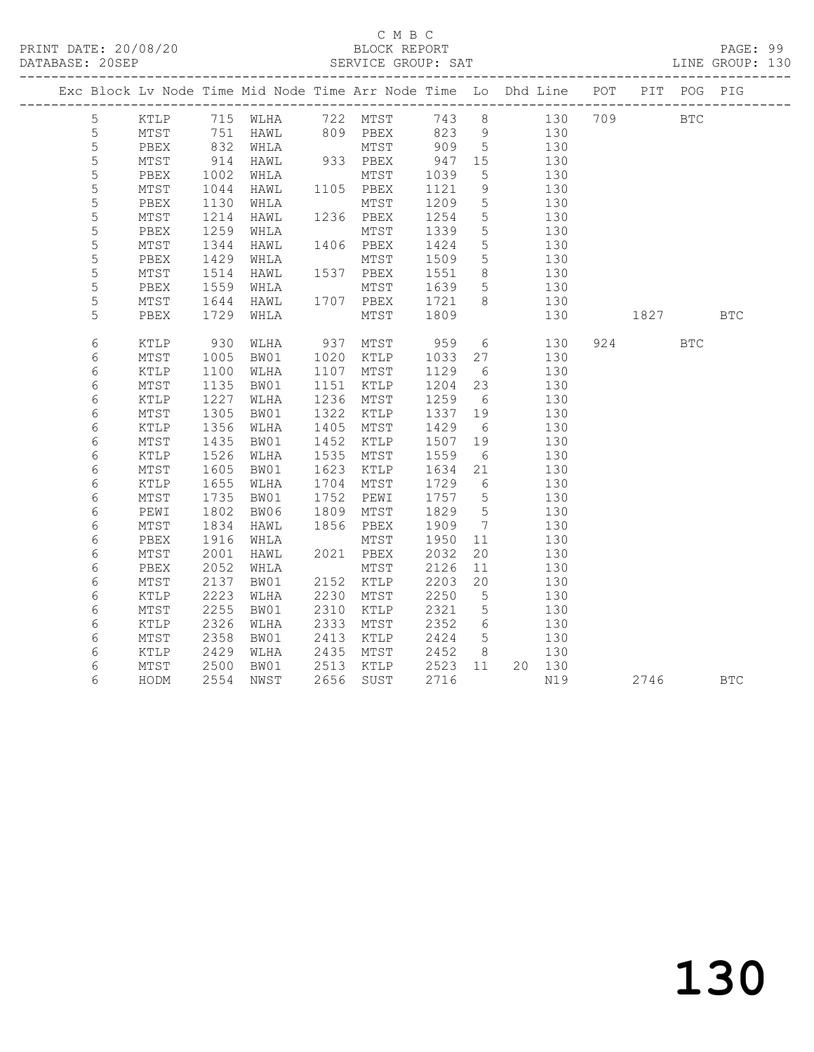### C M B C<br>BLOCK REPORT

PAGE: 99<br>LINE GROUP: 130

|  |             |      |                                                                         | Exc Block Lv Node Time Mid Node Time Arr Node Time Lo Dhd Line POT           |      |                                                    |                  |                 |                       |          | PIT POG PIG |  |
|--|-------------|------|-------------------------------------------------------------------------|------------------------------------------------------------------------------|------|----------------------------------------------------|------------------|-----------------|-----------------------|----------|-------------|--|
|  | 5           |      |                                                                         | KTLP 715 WLHA 722 MTST 743 8 130 709 BTC<br>MTST 751 HAWL 809 PBEX 823 9 130 |      |                                                    |                  |                 |                       |          |             |  |
|  | 5           |      |                                                                         |                                                                              |      |                                                    |                  |                 |                       |          |             |  |
|  | 5           | PBEX |                                                                         | 832 WHLA                                                                     |      | 933 PBEX<br>MTST<br>933 PBEX<br>MTST<br>MTST 909 5 |                  |                 | 130                   |          |             |  |
|  | $\mathsf S$ | MTST | $\begin{array}{c}\n 2 \\  \hline\n 914 \\  \hline\n 1000\n \end{array}$ | HAWL                                                                         |      |                                                    |                  |                 | 130                   |          |             |  |
|  | 5           | PBEX | 1002                                                                    | WHLA                                                                         |      |                                                    | 947 15<br>1039 5 |                 | 130                   |          |             |  |
|  | $\mathsf S$ | MTST | 1044                                                                    | HAWL                                                                         |      | 1105 PBEX                                          | 1121             | 9               | 130                   |          |             |  |
|  | 5           | PBEX | 1130                                                                    |                                                                              |      |                                                    | 1209             | $5^{\circ}$     | 130                   |          |             |  |
|  | 5           | MTST | 1214                                                                    |                                                                              |      |                                                    | 1254             | $5\overline{)}$ | 130                   |          |             |  |
|  | 5           | PBEX | 1259                                                                    | WHLA                                                                         |      | MTST 1339                                          |                  | $5^{\circ}$     | 130                   |          |             |  |
|  | 5           | MTST | 1344                                                                    | HAWL                                                                         |      | 1406 PBEX                                          | 1424             | $5\phantom{.0}$ | 130                   |          |             |  |
|  | $\mathsf S$ | PBEX | 1429                                                                    | WHLA                                                                         |      | MTST                                               | 1509             | $5^{\circ}$     | 130                   |          |             |  |
|  | 5           | MTST | 1514                                                                    | HAWL                                                                         |      | 1537 PBEX                                          | 1551             | 8 <sup>8</sup>  | 130                   |          |             |  |
|  | 5           | PBEX | 1559                                                                    |                                                                              |      |                                                    | 1639             | $5\overline{)}$ | 130                   |          |             |  |
|  | 5           | MTST |                                                                         | WHLA MTST<br>HAWL 1707 PBEX<br>1644 HAWL<br>1729 WHLA                        |      |                                                    | 1721<br>1809     | 8 <sup>8</sup>  | 130                   |          |             |  |
|  | 5           | PBEX |                                                                         |                                                                              |      | MTST                                               |                  |                 | 130                   | 1827 BTC |             |  |
|  | 6           | KTLP | 930                                                                     | WLHA                                                                         |      | 937 MTST 959                                       |                  |                 | $6 \t 130$            | 924      | <b>BTC</b>  |  |
|  | 6           | MTST | 1005                                                                    | BW01                                                                         |      | 1020 KTLP                                          | 1033 27          |                 | 130                   |          |             |  |
|  | 6           | KTLP | 1100                                                                    | WLHA                                                                         |      | 1107 MTST                                          | 1129             | 6               | 130                   |          |             |  |
|  | 6           | MTST | 1135                                                                    | BW01                                                                         |      | 1151 KTLP                                          | 1204             | 23              | 130                   |          |             |  |
|  | 6           | KTLP | 1227                                                                    | WLHA                                                                         |      | 1236 MTST                                          | 1259             | 6               | 130                   |          |             |  |
|  | 6           | MTST | 1305                                                                    | BW01                                                                         |      | 1322 KTLP                                          | 1337 19          |                 | 130                   |          |             |  |
|  | 6           | KTLP | 1356                                                                    | WLHA                                                                         | 1405 | MTST                                               | 1429             | 6               | 130                   |          |             |  |
|  | 6           | MTST | 1435                                                                    | BW01                                                                         |      | 1452 KTLP                                          | 1507 19          |                 | 130                   |          |             |  |
|  | 6           | KTLP | 1526                                                                    | WLHA                                                                         |      | 1535 MTST                                          | 1559             | 6               | 130                   |          |             |  |
|  | 6           | MTST | 1605                                                                    | BW01                                                                         |      | 1623 KTLP                                          | 1634 21          |                 | 130                   |          |             |  |
|  | 6           | KTLP | 1655                                                                    | WLHA                                                                         |      | 1704 MTST                                          | 1729             | 6               | 130                   |          |             |  |
|  | 6           | MTST | 1735                                                                    | BW01                                                                         | 1752 | PEWI                                               | 1757 5           |                 | 130                   |          |             |  |
|  | 6           | PEWI | 1802                                                                    | BW06                                                                         | 1809 | MTST                                               | 1829             | $5^{\circ}$     | 130                   |          |             |  |
|  | 6           | MTST | 1834                                                                    | HAWL                                                                         |      | 1856 PBEX                                          | 1909             | $7\phantom{0}$  | 130                   |          |             |  |
|  | 6           | PBEX | 1916                                                                    | WHLA                                                                         |      | MTST                                               | 1950             | 11              | 130                   |          |             |  |
|  | 6           | MTST | 2001                                                                    | HAWL                                                                         |      | 2021 PBEX                                          | 2032             | 20              | 130                   |          |             |  |
|  | 6           | PBEX | 2052                                                                    | WHLA                                                                         |      | MTST                                               | 2126             | 11              | 130                   |          |             |  |
|  | 6           | MTST | 2137                                                                    | BW01                                                                         |      | 2152 KTLP                                          | 2203             | 20              | 130                   |          |             |  |
|  | 6           | KTLP | 2223                                                                    | WLHA                                                                         |      | 2230 MTST                                          | 2250             | $5^{\circ}$     | 130                   |          |             |  |
|  | 6           | MTST | 2255                                                                    | BW01                                                                         | 2310 | KTLP                                               | 2321             | $5\overline{)}$ | 130                   |          |             |  |
|  | 6           | KTLP | 2326                                                                    | WLHA                                                                         | 2333 | MTST                                               | 2352             | 6               | 130                   |          |             |  |
|  | 6           | MTST | 2358                                                                    | BW01                                                                         |      | 2413 KTLP                                          | 2424             | 5 <sup>5</sup>  | 130                   |          |             |  |
|  | 6           | KTLP | 2429                                                                    | WLHA                                                                         |      | 2435 MTST 2452                                     |                  |                 | 8 <sup>1</sup><br>130 |          |             |  |
|  | 6           | MTST | 2500                                                                    | BW01                                                                         |      | 2513 KTLP 2523 11<br>2656 SUST 2716                |                  |                 | 20 130                |          |             |  |
|  | 6           | HODM | 2554                                                                    | NWST                                                                         |      | 2656 SUST                                          | 2716             |                 | N19                   | 2746 BTC |             |  |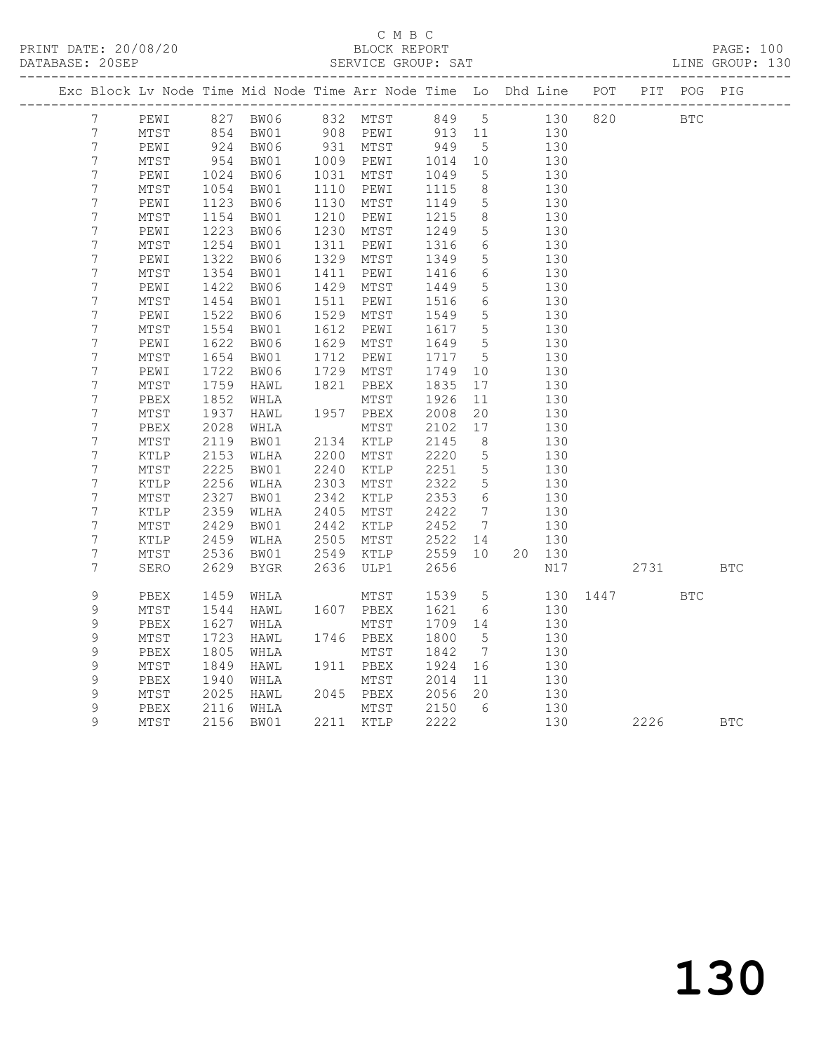#### C M B C<br>BLOCK REPORT SERVICE GROUP: SAT

|                                  |                         |              | Exc Block Lv Node Time Mid Node Time Arr Node Time Lo Dhd Line POT PIT POG PIG |                      |              |                         |                              |               |      |            |     |            |
|----------------------------------|-------------------------|--------------|--------------------------------------------------------------------------------|----------------------|--------------|-------------------------|------------------------------|---------------|------|------------|-----|------------|
| 7                                | PEWI                    |              | 827 BW06 832 MTST 849                                                          |                      |              |                         | $5\overline{}$               | 130           | 820  | <b>BTC</b> |     |            |
| $\boldsymbol{7}$                 | MTST                    | 854<br>924   | BW01                                                                           |                      |              |                         |                              |               |      |            |     |            |
| $\boldsymbol{7}$                 | PEWI                    |              | BW06                                                                           | 908 PEWI<br>931 MTST |              | 913 11 130<br>949 5 130 |                              |               |      |            |     |            |
| $\boldsymbol{7}$                 | MTST                    | 954          | BW01                                                                           | 1009 PEWI            |              | 1014                    | 10                           | 130           |      |            |     |            |
| $\boldsymbol{7}$                 | PEWI                    | 1024         | BW06                                                                           | 1031 MTST            |              | 1049                    | $5\overline{)}$              | 130           |      |            |     |            |
| $\boldsymbol{7}$                 | MTST                    | 1054         | BW01                                                                           | 1110                 | PEWI         | 1115                    | 8 <sup>8</sup>               | 130           |      |            |     |            |
| 7                                | PEWI                    | 1123         | BW06                                                                           | 1130                 | MTST         | 1149                    | $5\overline{)}$              | 130           |      |            |     |            |
| $\boldsymbol{7}$                 | $\mathtt{MTST}$         | 1154         | BW01                                                                           | 1210                 | PEWI         | 1215                    | 8 <sup>8</sup>               | 130           |      |            |     |            |
| $\overline{7}$                   | PEWI                    | 1223         | BW06                                                                           | 1230                 | MTST         | 1249                    | 5                            | 130           |      |            |     |            |
| $\overline{7}$                   | $\mathtt{MTST}$         | 1254         | BW01                                                                           | 1311                 | PEWI         | 1316                    | $6\overline{6}$              | 130           |      |            |     |            |
| $\overline{7}$                   | PEWI                    | 1322         | BW06                                                                           | 1329                 | MTST         | 1349                    | $5\overline{)}$              | 130           |      |            |     |            |
| $\overline{7}$                   | MTST                    | 1354         | BW01                                                                           | 1411                 | PEWI         | 1416                    | 6                            | 130           |      |            |     |            |
| 7                                | PEWI                    | 1422         | BW06                                                                           | 1429                 | MTST         | 1449                    | $5\phantom{.0}$              | 130           |      |            |     |            |
| 7                                | $\mathtt{MTST}$         | 1454         | BW01                                                                           | 1511                 | PEWI         | 1516                    | 6                            | 130           |      |            |     |            |
| $\overline{7}$                   | PEWI                    | 1522         | BW06                                                                           | 1529                 | MTST         | 1549                    | $5\overline{)}$              | 130           |      |            |     |            |
| $\boldsymbol{7}$                 | MTST                    | 1554         | BW01                                                                           | 1612                 | PEWI         | 1617                    | $5\overline{)}$              | 130           |      |            |     |            |
| $\boldsymbol{7}$                 | PEWI                    | 1622         | BW06                                                                           | 1629                 | MTST         | 1649                    | $5\overline{)}$              | 130           |      |            |     |            |
| 7                                | $\mathtt{MTST}$         | 1654         | BW01                                                                           | 1712                 | PEWI         | 1717                    | $5\overline{)}$              | 130           |      |            |     |            |
| 7                                | PEWI                    | 1722         | BW06                                                                           | 1729                 | MTST         | 1749                    | 10                           | 130           |      |            |     |            |
| $\boldsymbol{7}$                 | $\mathtt{MTST}$         | 1759         | HAWL                                                                           | 1821                 | PBEX         | 1835                    | 17                           | 130           |      |            |     |            |
| $\boldsymbol{7}$                 | PBEX                    | 1852         | WHLA                                                                           |                      | MTST         | 1926                    | 11                           | 130           |      |            |     |            |
| 7                                | MTST                    | 1937         | HAWL                                                                           | 1957 PBEX            |              | 2008                    | 20                           | 130           |      |            |     |            |
| $\overline{7}$                   | PBEX                    | 2028         | WHLA                                                                           |                      | MTST         | 2102                    | 17                           | 130           |      |            |     |            |
| 7                                | MTST                    | 2119         | BW01                                                                           | 2134                 | KTLP         | 2145                    | 8 <sup>8</sup>               | 130           |      |            |     |            |
| $\boldsymbol{7}$                 | KTLP                    | 2153         | WLHA                                                                           | 2200                 | MTST         | 2220                    | $5\overline{)}$              | 130           |      |            |     |            |
| $\boldsymbol{7}$                 | $\mathtt{MTST}$         | 2225         | BW01                                                                           | 2240                 | KTLP         | 2251                    | $5\phantom{0}$               | 130           |      |            |     |            |
| $\boldsymbol{7}$                 | KTLP                    | 2256         | WLHA                                                                           | 2303                 | MTST         | 2322                    | $5\phantom{.0}$              | 130           |      |            |     |            |
| $\boldsymbol{7}$                 | MTST                    | 2327         | BW01                                                                           | 2342                 | KTLP         | 2353                    | 6                            | 130           |      |            |     |            |
| 7                                | KTLP                    | 2359         | WLHA                                                                           | 2405                 | MTST         | 2422                    | $7\phantom{.0}\phantom{.0}7$ | 130           |      |            |     |            |
| $\boldsymbol{7}$                 | MTST                    | 2429         | BW01                                                                           | 2442                 | KTLP         | 2452                    | $7\overline{ }$              | 130           |      |            |     |            |
| $\overline{7}$<br>$\overline{7}$ | KTLP<br>$\mathtt{MTST}$ | 2459<br>2536 | WLHA<br>BW01                                                                   | 2505<br>2549         | MTST<br>KTLP | 2522<br>2559            | 14<br>10                     | 130<br>20 130 |      |            |     |            |
| 7                                | SERO                    | 2629         | BYGR                                                                           | 2636                 | ULP1         | 2656                    |                              | N17           |      | 2731       |     | <b>BTC</b> |
|                                  |                         |              |                                                                                |                      |              |                         |                              |               |      |            |     |            |
| $\mathsf 9$                      | PBEX                    | 1459         | WHLA                                                                           |                      | MTST         | 1539 5                  |                              | 130           | 1447 |            | BTC |            |
| $\mathsf 9$                      | $\mathtt{MTST}$         | 1544         | HAWL                                                                           | 1607 PBEX            |              | 1621                    | 6                            | 130           |      |            |     |            |
| $\mathcal{G}$                    | PBEX                    | 1627         | WHLA                                                                           |                      | MTST         | 1709                    | 14                           | 130           |      |            |     |            |
| $\mathsf 9$                      | MTST                    | 1723         | HAWL                                                                           | 1746 PBEX            |              | 1800                    | $5^{\circ}$                  | 130           |      |            |     |            |
| 9                                | PBEX                    | 1805         | WHLA                                                                           |                      | MTST         | 1842                    | $\overline{7}$               | 130           |      |            |     |            |
| $\mathcal{G}$                    | MTST                    | 1849         | HAWL                                                                           | 1911 PBEX            |              | 1924                    | 16                           | 130           |      |            |     |            |
| $\mathsf 9$                      | PBEX                    | 1940         | WHLA                                                                           |                      | MTST         | 2014                    | 11                           | 130           |      |            |     |            |
| $\mathsf 9$                      | $\mathtt{MTST}$         | 2025         | HAWL                                                                           | 2045 PBEX            |              | 2056                    | 20                           | 130           |      |            |     |            |
| 9                                | PBEX                    | 2116         | WHLA                                                                           |                      | MTST         | 2150                    | 6                            | 130           |      |            |     |            |
| 9                                | MTST                    | 2156         | BW01                                                                           | 2211 KTLP            |              | 2222                    |                              | 130           |      | 2226       |     | <b>BTC</b> |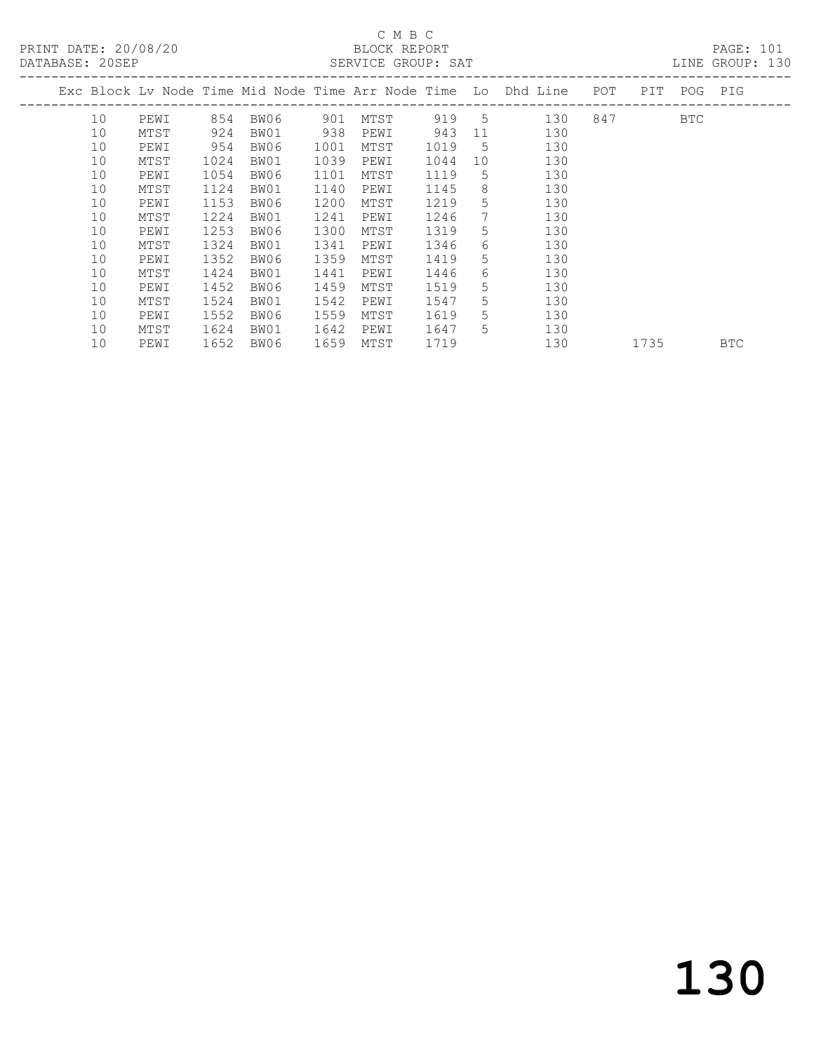## C M B C

| DATABASE: 20SEP |    |      |      |          |      | SERVICE GROUP: SAT |      |                 |                                                                                |           |            | LINE GROUP: 130 |  |
|-----------------|----|------|------|----------|------|--------------------|------|-----------------|--------------------------------------------------------------------------------|-----------|------------|-----------------|--|
|                 |    |      |      |          |      |                    |      |                 | Exc Block Lv Node Time Mid Node Time Arr Node Time Lo Dhd Line POT PIT POG PIG |           |            |                 |  |
|                 | 10 | PEWI |      | 854 BW06 | 901  | MTST               |      |                 | 919 5<br>130                                                                   | 847 — 100 | <b>BTC</b> |                 |  |
|                 | 10 | MTST | 924  | BW01     | 938  | PEWI               | 943  | 11              | 130                                                                            |           |            |                 |  |
|                 | 10 | PEWI | 954  | BW06     | 1001 | MTST               | 1019 | $5^{\circ}$     | 130                                                                            |           |            |                 |  |
|                 | 10 | MTST | 1024 | BW01     | 1039 | PEWI               | 1044 | 10              | 130                                                                            |           |            |                 |  |
|                 | 10 | PEWI | 1054 | BW06     | 1101 | MTST               | 1119 | .5              | 130                                                                            |           |            |                 |  |
|                 | 10 | MTST | 1124 | BW01     | 1140 | PEWI               | 1145 | 8               | 130                                                                            |           |            |                 |  |
|                 | 10 | PEWI | 1153 | BW06     | 1200 | MTST               | 1219 | $5^{\circ}$     | 130                                                                            |           |            |                 |  |
|                 | 10 | MTST | 1224 | BW01     | 1241 | PEWI               | 1246 | $7\phantom{.0}$ | 130                                                                            |           |            |                 |  |
|                 | 10 | PEWI | 1253 | BW06     | 1300 | MTST               | 1319 | 5               | 130                                                                            |           |            |                 |  |
|                 | 10 | MTST | 1324 | BW01     | 1341 | PEWI               | 1346 | 6               | 130                                                                            |           |            |                 |  |
|                 | 10 | PEWI | 1352 | BW06     | 1359 | MTST               | 1419 | 5               | 130                                                                            |           |            |                 |  |
|                 | 10 | MTST | 1424 | BW01     | 1441 | PEWI               | 1446 | 6               | 130                                                                            |           |            |                 |  |
|                 | 10 | PEWI | 1452 | BW06     | 1459 | MTST               | 1519 | 5               | 130                                                                            |           |            |                 |  |
|                 | 10 | MTST | 1524 | BW01     | 1542 | PEWI               | 1547 | 5               | 130                                                                            |           |            |                 |  |
|                 | 10 | PEWI | 1552 | BW06     | 1559 | MTST               | 1619 | $5^{\circ}$     | 130                                                                            |           |            |                 |  |
|                 | 10 | MTST | 1624 | BW01     | 1642 | PEWI               | 1647 | $5^{\circ}$     | 130                                                                            |           |            |                 |  |
|                 | 10 | PEWI | 1652 | BW06     | 1659 | MTST               | 1719 |                 | 130                                                                            | 1735      |            | <b>BTC</b>      |  |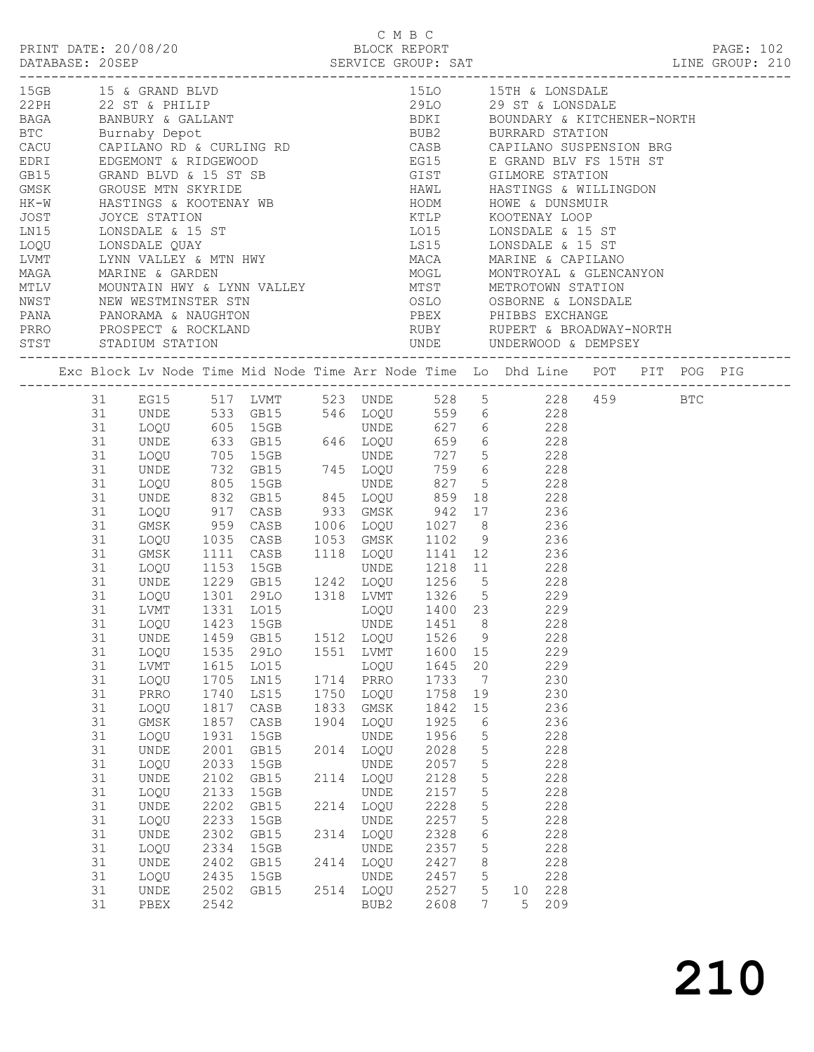|  |    |                      |      |           |      | C M B C     |              |                 |                                                                                                                                                                                                                                             |  |           |  |
|--|----|----------------------|------|-----------|------|-------------|--------------|-----------------|---------------------------------------------------------------------------------------------------------------------------------------------------------------------------------------------------------------------------------------------|--|-----------|--|
|  |    | PRINT DATE: 20/08/20 |      |           |      |             | BLOCK REPORT |                 |                                                                                                                                                                                                                                             |  | PAGE: 102 |  |
|  |    |                      |      |           |      |             |              |                 |                                                                                                                                                                                                                                             |  |           |  |
|  |    |                      |      |           |      |             |              |                 |                                                                                                                                                                                                                                             |  |           |  |
|  |    | 15GB 15 & GRAND BLVD |      |           |      |             |              |                 | 15LO 15TH & LONSDALE                                                                                                                                                                                                                        |  |           |  |
|  |    |                      |      |           |      |             |              |                 |                                                                                                                                                                                                                                             |  |           |  |
|  |    |                      |      |           |      |             |              |                 |                                                                                                                                                                                                                                             |  |           |  |
|  |    |                      |      |           |      |             |              |                 |                                                                                                                                                                                                                                             |  |           |  |
|  |    |                      |      |           |      |             |              |                 |                                                                                                                                                                                                                                             |  |           |  |
|  |    |                      |      |           |      |             |              |                 |                                                                                                                                                                                                                                             |  |           |  |
|  |    |                      |      |           |      |             |              |                 |                                                                                                                                                                                                                                             |  |           |  |
|  |    |                      |      |           |      |             |              |                 |                                                                                                                                                                                                                                             |  |           |  |
|  |    |                      |      |           |      |             |              |                 |                                                                                                                                                                                                                                             |  |           |  |
|  |    |                      |      |           |      |             |              |                 |                                                                                                                                                                                                                                             |  |           |  |
|  |    |                      |      |           |      |             |              |                 |                                                                                                                                                                                                                                             |  |           |  |
|  |    |                      |      |           |      |             |              |                 |                                                                                                                                                                                                                                             |  |           |  |
|  |    |                      |      |           |      |             |              |                 |                                                                                                                                                                                                                                             |  |           |  |
|  |    |                      |      |           |      |             |              |                 |                                                                                                                                                                                                                                             |  |           |  |
|  |    |                      |      |           |      |             |              |                 |                                                                                                                                                                                                                                             |  |           |  |
|  |    |                      |      |           |      |             |              |                 |                                                                                                                                                                                                                                             |  |           |  |
|  |    |                      |      |           |      |             |              |                 |                                                                                                                                                                                                                                             |  |           |  |
|  |    |                      |      |           |      |             |              |                 |                                                                                                                                                                                                                                             |  |           |  |
|  |    |                      |      |           |      |             |              |                 | MUGLEM MONTRIN HWY & LYNN VALLEY<br>MUGLEM METROTOWN STATION<br>NEW WESTMINSTER STN DERIGN DERIGN DESTRING DESIGNATION<br>PANA PANORAMA & NAUGHTON<br>PREX PHIBBS EXCHANGE<br>PREX PHIBBS EXCHANGE<br>PREX PHIBBS EXCHANGE<br>PREX RUPERT & |  |           |  |
|  |    |                      |      |           |      |             |              |                 | Exc Block Lv Node Time Mid Node Time Arr Node Time Lo Dhd Line POT PIT POG PIG                                                                                                                                                              |  |           |  |
|  |    |                      |      |           |      |             |              |                 | 31 EG15 517 LVMT 523 UNDE 528 5 228 459 BTC                                                                                                                                                                                                 |  |           |  |
|  | 31 |                      |      |           |      |             |              |                 | UNDE 533 GB15 546 LOQU 559 6 228<br>LOQU 605 15GB UNDE 627 6 228<br>UNDE 633 GB15 646 LOQU 659 6 228                                                                                                                                        |  |           |  |
|  | 31 |                      |      |           |      |             |              |                 |                                                                                                                                                                                                                                             |  |           |  |
|  | 31 |                      |      |           |      |             |              |                 |                                                                                                                                                                                                                                             |  |           |  |
|  | 31 | LOQU                 |      | 705 15GB  |      |             |              |                 | UNDE 727 5 228                                                                                                                                                                                                                              |  |           |  |
|  | 31 | UNDE                 |      |           |      |             |              |                 |                                                                                                                                                                                                                                             |  |           |  |
|  | 31 | LOQU                 |      |           |      |             |              |                 | 732 GB15 745 LOQU 759 6 228<br>805 15GB UNDE 827 5 228<br>832 GB15 845 LOQU 859 18 228                                                                                                                                                      |  |           |  |
|  | 31 | UNDE                 |      |           |      |             |              |                 |                                                                                                                                                                                                                                             |  |           |  |
|  | 31 | LOQU                 | 917  |           |      |             |              |                 | CASB 933 GMSK 942 17 236                                                                                                                                                                                                                    |  |           |  |
|  | 31 | GMSK                 | 959  |           |      |             |              |                 |                                                                                                                                                                                                                                             |  |           |  |
|  | 31 | LOQU                 |      |           |      |             |              |                 |                                                                                                                                                                                                                                             |  |           |  |
|  | 31 | GMSK                 |      |           |      |             |              |                 | 959 CASB 1006 LOQU 1027 8 236<br>1035 CASB 1053 GMSK 1102 9 236<br>1111 CASB 1118 LOQU 1141 12 236                                                                                                                                          |  |           |  |
|  | 31 | LOQU                 |      |           |      |             |              |                 | 1111 CASE 1110 ESSO 1111 12<br>1153 15GB 0NDE 1218 11 228<br>1229 GB15 1242 LOQU 1256 5 228<br>1301 29LO 1318 LVMT 1326 5 229<br>1331 LO15 LOQU 1400 23 229                                                                                 |  |           |  |
|  | 31 | UNDE                 |      |           |      |             |              |                 |                                                                                                                                                                                                                                             |  |           |  |
|  | 31 | LOQU                 |      |           |      |             |              |                 |                                                                                                                                                                                                                                             |  |           |  |
|  | 31 | LVMT                 |      |           |      |             |              |                 |                                                                                                                                                                                                                                             |  |           |  |
|  |    |                      |      |           |      |             |              |                 | 31 LOQU 1423 15GB UNDE 1451 8 228                                                                                                                                                                                                           |  |           |  |
|  | 31 | UNDE                 |      | 1459 GB15 |      | 1512 LOQU   | 1526         | $\overline{9}$  | 228                                                                                                                                                                                                                                         |  |           |  |
|  | 31 | LOQU                 | 1535 | 29LO      |      | 1551 LVMT   | 1600 15      |                 | 229                                                                                                                                                                                                                                         |  |           |  |
|  | 31 | LVMT                 | 1615 | L015      |      | LOQU        | 1645         | 20              | 229                                                                                                                                                                                                                                         |  |           |  |
|  | 31 | LOQU                 | 1705 | LN15      |      | 1714 PRRO   | 1733         | $\overline{7}$  | 230                                                                                                                                                                                                                                         |  |           |  |
|  | 31 | PRRO                 | 1740 | LS15      | 1750 | LOQU        | 1758         | 19              | 230                                                                                                                                                                                                                                         |  |           |  |
|  | 31 | LOQU                 | 1817 | CASB      | 1833 | $\rm{GMSK}$ | 1842         | 15              | 236                                                                                                                                                                                                                                         |  |           |  |
|  | 31 | $\rm{GMSK}$          | 1857 | CASB      | 1904 | LOQU        | 1925         | 6               | 236                                                                                                                                                                                                                                         |  |           |  |
|  | 31 | LOQU                 | 1931 | 15GB      |      | UNDE        | 1956         | 5               | 228                                                                                                                                                                                                                                         |  |           |  |
|  | 31 | <b>UNDE</b>          | 2001 | GB15      | 2014 | LOQU        | 2028         | $5\phantom{.0}$ | 228                                                                                                                                                                                                                                         |  |           |  |
|  | 31 | LOQU                 | 2033 | 15GB      |      | UNDE        | 2057         | $5\phantom{.0}$ | 228                                                                                                                                                                                                                                         |  |           |  |
|  | 31 | UNDE                 | 2102 | GB15      |      | 2114 LOQU   | 2128         | $5\phantom{.0}$ | 228                                                                                                                                                                                                                                         |  |           |  |
|  | 31 | LOQU                 | 2133 | 15GB      |      | UNDE        | 2157         | $5\phantom{.0}$ | 228                                                                                                                                                                                                                                         |  |           |  |
|  | 31 | UNDE                 | 2202 | GB15      | 2214 | LOQU        | 2228         | $5\phantom{.0}$ | 228                                                                                                                                                                                                                                         |  |           |  |
|  | 31 | LOQU                 | 2233 | 15GB      |      | UNDE        | 2257         | $5\phantom{.0}$ | 228                                                                                                                                                                                                                                         |  |           |  |
|  | 31 | UNDE                 | 2302 | GB15      |      | 2314 LOQU   | 2328         | $6\,$           | 228                                                                                                                                                                                                                                         |  |           |  |
|  | 31 | LOQU                 | 2334 | 15GB      |      | UNDE        | 2357         | $5\phantom{.0}$ | 228                                                                                                                                                                                                                                         |  |           |  |
|  | 31 | UNDE                 | 2402 | GB15      |      | 2414 LOQU   | 2427         | 8               | 228                                                                                                                                                                                                                                         |  |           |  |
|  | 31 | LOQU                 | 2435 | 15GB      |      | <b>UNDE</b> | 2457         | $5\phantom{.0}$ | 228                                                                                                                                                                                                                                         |  |           |  |
|  | 31 | UNDE                 | 2502 | GB15      |      | 2514 LOQU   | 2527         | 5 <sup>5</sup>  | 10 228                                                                                                                                                                                                                                      |  |           |  |
|  | 31 | PBEX                 | 2542 |           |      | BUB2        | 2608         | 7               | 5 <sup>5</sup><br>209                                                                                                                                                                                                                       |  |           |  |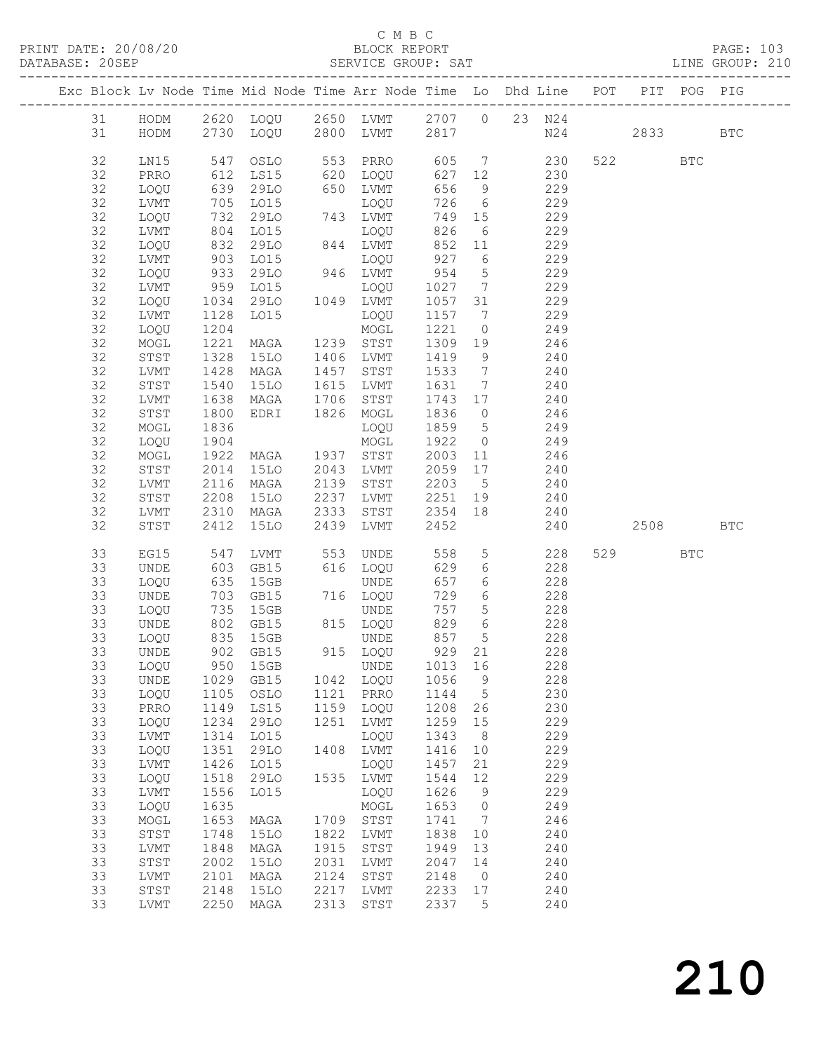#### C M B C<br>BLOCK REPORT

SERVICE GROUP: SAT

|          |              |                           |                  |      |                            |                   |                              | Exc Block Lv Node Time Mid Node Time Arr Node Time Lo Dhd Line POT                |         | PIT POG PIG |            |
|----------|--------------|---------------------------|------------------|------|----------------------------|-------------------|------------------------------|-----------------------------------------------------------------------------------|---------|-------------|------------|
|          |              |                           |                  |      |                            |                   |                              |                                                                                   |         |             |            |
|          |              |                           |                  |      |                            |                   |                              | 31 HODM 2620 LOQU 2650 LVMT 2707 0 23 N24<br>31 HODM 2730 LOQU 2800 LVMT 2817 N24 | 2833    |             | <b>BTC</b> |
|          |              |                           |                  |      |                            |                   |                              |                                                                                   |         |             |            |
| 32       | LN15         | 547                       |                  |      |                            |                   |                              | OSLO 553 PRRO 605 7 230                                                           | 522 BTC |             |            |
| 32       | PRRO         | 612<br>639<br>705         | LS15             |      | 620 LOQU<br>650 I.VMT      | 627 12            |                              | 230                                                                               |         |             |            |
| 32       | LOQU         |                           | 29LO             |      | 650 LVMT                   | 656               | 9                            | 229                                                                               |         |             |            |
| 32       | LVMT         |                           | LO15             |      | LOQU                       | 726               |                              | 6 229                                                                             |         |             |            |
| 32<br>32 | LOQU         | 732                       | 29LO             |      | 743 LVMT                   | 749 15<br>826     |                              | 229                                                                               |         |             |            |
| 32       | LVMT<br>LOQU |                           | LO15<br>29LO     |      | LOQU<br>844 LVMT           |                   | 6                            | 229<br>229                                                                        |         |             |            |
| 32       | LVMT         | 804<br>832<br>903         | LO15             |      | LOQU                       | $852$ 11<br>927 6 |                              | 229                                                                               |         |             |            |
| 32       | LOQU         | 933                       | 29LO             |      | 946 LVMT                   | 954               | $5\overline{)}$              | 229                                                                               |         |             |            |
| 32       | LVMT         |                           | LO15             |      | LOQU                       | 1027              | $\overline{7}$               | 229                                                                               |         |             |            |
| 32       | LOQU         | $959$<br>$1034$<br>$1128$ | 29LO             |      | 1049 LVMT                  | 1057 31           |                              | 229                                                                               |         |             |            |
| 32       | LVMT         |                           | LO15             |      | LOQU                       | 1157 7            |                              | 229                                                                               |         |             |            |
| 32       | LOQU         | 1204                      |                  |      | MOGL                       | 1221              | $\overline{0}$               | 249                                                                               |         |             |            |
| 32       | MOGL         | 1221                      | MAGA             |      | 1239 STST                  | 1309              | 19                           | 246                                                                               |         |             |            |
| 32       | STST         | 1328                      | 15LO             |      | 1406 LVMT                  | 1419              | 9                            | 240                                                                               |         |             |            |
| 32       | LVMT         | 1428                      | MAGA             |      | 1457 STST                  | 1533              | $\overline{7}$               | 240                                                                               |         |             |            |
| 32       | STST         | 1540                      | 15LO             |      | 1615 LVMT                  | 1631              | $7\overline{ }$              | 240                                                                               |         |             |            |
| 32       | LVMT         | 1638                      | MAGA             | 1706 | STST                       | 1743 17           |                              | 240                                                                               |         |             |            |
| 32       | STST         | 1800                      | EDRI 1826 MOGL   |      |                            | 1836              | $\overline{0}$               | 246<br>249                                                                        |         |             |            |
| 32<br>32 | MOGL         | 1836<br>1904              |                  |      | LOQU                       | 1859 5<br>1922    | $\overline{0}$               | 249                                                                               |         |             |            |
| 32       | LOQU<br>MOGL | 1922                      | MAGA 1937 STST   |      | MOGL                       | 2003              | 11                           | 246                                                                               |         |             |            |
| 32       | STST         | 2014                      | 15LO             |      | 2043 LVMT                  | 2059 17           |                              | 240                                                                               |         |             |            |
| 32       | LVMT         | 2116                      | MAGA             | 2139 | STST                       | 2203 5            |                              | 240                                                                               |         |             |            |
| 32       | STST         | 2208                      | 15LO             | 2237 | LVMT                       | 2251 19           |                              | 240                                                                               |         |             |            |
| 32       | LVMT         | 2310                      | MAGA             | 2333 | STST                       | 2354              | 18                           | 240                                                                               |         |             |            |
| 32       | STST         | 2412                      | 15LO             | 2439 | LVMT                       | 2452              |                              | 240                                                                               | 2508    |             | <b>BTC</b> |
|          |              |                           |                  |      |                            |                   |                              |                                                                                   |         |             |            |
| 33       | EG15         | 547                       | LVMT             |      | 553 UNDE<br>616 LOQU       | 558               |                              | $5 - 5$<br>228                                                                    | 529     | <b>BTC</b>  |            |
| 33<br>33 | <b>UNDE</b>  | 603<br>635                | GB15<br>15GB     |      | UNDE                       | 629<br>657        | $6\overline{6}$<br>6         | 228<br>228                                                                        |         |             |            |
| 33       | LOQU<br>UNDE | 635<br>703<br>735         | GB15             | 716  | 716 LOQU                   | 729               | $6\overline{6}$              | 228                                                                               |         |             |            |
| 33       | LOQU         |                           | 15GB             |      | UNDE                       | 757               | $5\overline{)}$              | 228                                                                               |         |             |            |
| 33       | UNDE         | 802                       | GB15             |      | 815 LOQU                   | 829               |                              | 6 228                                                                             |         |             |            |
| 33       | LOQU         | 835                       | 15GB             |      | UNDE                       | 857               | $5\overline{)}$              | 228                                                                               |         |             |            |
| 33       | UNDE         |                           | 902 GB15         | 91   | 915 LOQU                   | 929 21            |                              | 228                                                                               |         |             |            |
|          |              |                           | 33 LOQU 950 15GB |      | UNDE 1013 16               |                   |                              | 228                                                                               |         |             |            |
| 33       | UNDE         | 1029                      | GB15             |      | 1042 LOQU                  | 1056              | $\overline{9}$               | 228                                                                               |         |             |            |
| 33       | LOQU         | 1105                      | OSLO             | 1121 | PRRO                       | 1144              | $5^{\circ}$                  | 230                                                                               |         |             |            |
| 33       | PRRO         | 1149                      | LS15             | 1159 | LOQU                       | 1208              | 26                           | 230                                                                               |         |             |            |
| 33       | LOQU         | 1234                      | 29LO             | 1251 | LVMT                       | 1259              | 15                           | 229                                                                               |         |             |            |
| 33       | LVMT         | 1314                      | L015             |      | LOQU                       | 1343              | 8                            | 229                                                                               |         |             |            |
| 33<br>33 | LOQU         | 1351<br>1426              | 29LO             | 1408 | ${\rm LVMT}$               | 1416              | 10<br>21                     | 229<br>229                                                                        |         |             |            |
| 33       | LVMT<br>LOQU | 1518                      | LO15<br>29LO     |      | LOQU<br>1535 LVMT          | 1457<br>1544      | 12                           | 229                                                                               |         |             |            |
| 33       | LVMT         | 1556                      | L015             |      | LOQU                       | 1626              | 9                            | 229                                                                               |         |             |            |
| 33       | LOQU         | 1635                      |                  |      | MOGL                       | 1653              | $\overline{0}$               | 249                                                                               |         |             |            |
| 33       | $\sf{MOGL}$  | 1653                      | MAGA             | 1709 | STST                       | 1741              | $7\phantom{.0}\phantom{.0}7$ | 246                                                                               |         |             |            |
| 33       | STST         | 1748                      | <b>15LO</b>      | 1822 | LVMT                       | 1838              | 10                           | 240                                                                               |         |             |            |
| 33       | ${\rm LVMT}$ | 1848                      | MAGA             | 1915 | STST                       | 1949              | 13                           | 240                                                                               |         |             |            |
| 33       | STST         | 2002                      | <b>15LO</b>      | 2031 | LVMT                       | 2047              | 14                           | 240                                                                               |         |             |            |
| 33       | LVMT         | 2101                      | MAGA             | 2124 | $_{\footnotesize\rm STST}$ | 2148              | $\overline{0}$               | 240                                                                               |         |             |            |
| 33       | STST         | 2148                      | <b>15LO</b>      | 2217 | LVMT                       | 2233              | 17                           | 240                                                                               |         |             |            |
| 33       | LVMT         | 2250                      | MAGA             | 2313 | STST                       | 2337              | 5                            | 240                                                                               |         |             |            |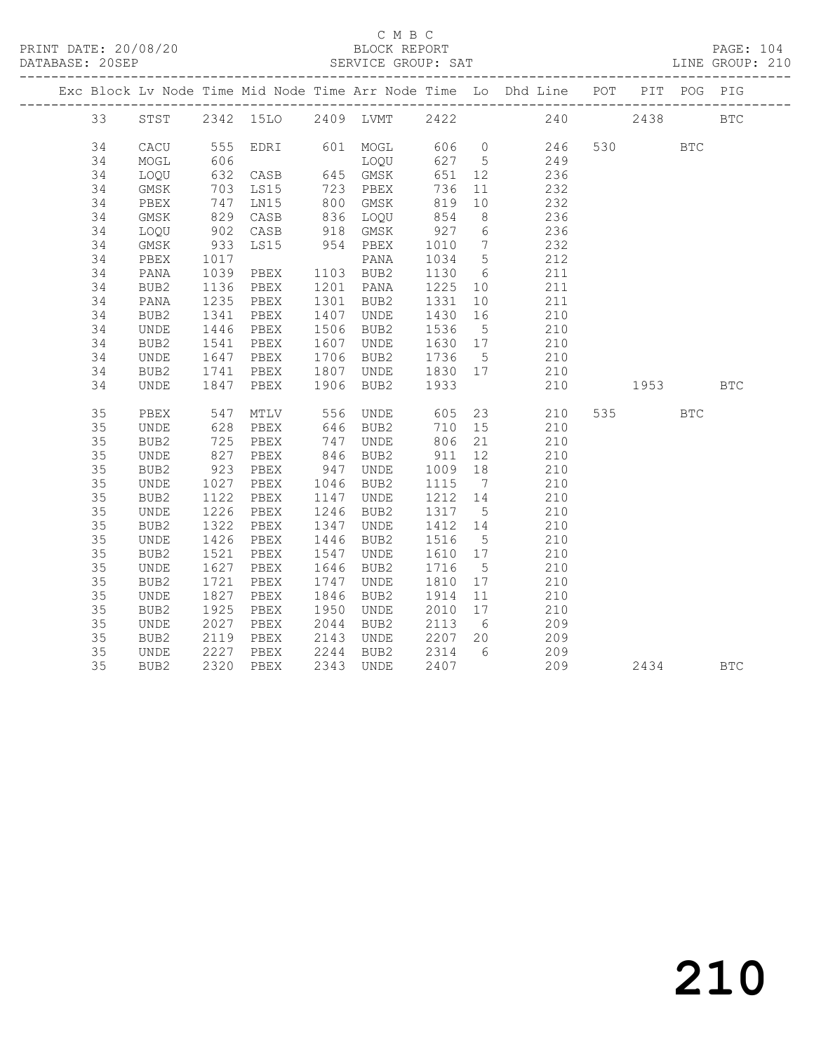|  |    |                              |                   |                                                   |      |                      |                      |                | Exc Block Lv Node Time Mid Node Time Arr Node Time Lo Dhd Line POT PIT POG PIG |         |            |            |
|--|----|------------------------------|-------------------|---------------------------------------------------|------|----------------------|----------------------|----------------|--------------------------------------------------------------------------------|---------|------------|------------|
|  | 33 |                              |                   | STST 2342 15LO 2409 LVMT 2422                     |      |                      |                      |                | 240                                                                            | 2438    |            | <b>BTC</b> |
|  | 34 | CACU                         |                   |                                                   |      |                      |                      |                | 555 EDRI 601 MOGL 606 0 246                                                    | 530 BTC |            |            |
|  | 34 | MOGL                         | 606               |                                                   |      | LOQU                 |                      |                | 627 5 249                                                                      |         |            |            |
|  | 34 | LOQU                         |                   |                                                   |      |                      | 651 12               |                |                                                                                |         |            |            |
|  | 34 | GMSK                         |                   | 606 LUX<br>632 CASB 645 GMSK<br>703 LS15 723 PBEX |      |                      | 736                  | 11             | $236$<br>$232$                                                                 |         |            |            |
|  | 34 | PBEX                         | 747               | LN15                                              |      | 800 GMSK             | 819                  | 10             | 232                                                                            |         |            |            |
|  | 34 | GMSK                         |                   | CASB                                              |      | 836 LOQU             | 854                  | 8 <sup>8</sup> | 236                                                                            |         |            |            |
|  | 34 | LOQU                         | 829<br>902<br>933 | CASB                                              |      |                      |                      |                | 236                                                                            |         |            |            |
|  | 34 | GMSK                         |                   | LS15                                              |      | 918 GMSK<br>954 PBEX | 927 6<br>1010 7      |                | 232                                                                            |         |            |            |
|  | 34 | PBEX                         | 1017              |                                                   |      | PANA                 | 1034 5               |                | 212                                                                            |         |            |            |
|  | 34 | PANA                         | 1039              | PBEX                                              |      | 1103 BUB2            | 1130 6               |                | 211                                                                            |         |            |            |
|  | 34 | BUB2                         | 1136              | PBEX                                              |      | 1201 PANA            | 1225 10              |                | 211                                                                            |         |            |            |
|  | 34 | PANA                         | 1235              | PBEX                                              |      | 1301 BUB2            | 1331                 | 10             | 211                                                                            |         |            |            |
|  | 34 | BUB2                         | 1341              | PBEX                                              |      | 1407 UNDE            | 1430                 | 16             | 210                                                                            |         |            |            |
|  | 34 | UNDE                         |                   | PBEX                                              |      | 1506 BUB2            | 1536 5               |                | 210                                                                            |         |            |            |
|  | 34 | BUB2                         | 1446<br>1541      | PBEX                                              |      | 1607 UNDE            | 1630 17              |                | 210                                                                            |         |            |            |
|  | 34 | UNDE                         | 1647              | PBEX                                              |      | 1706 BUB2            | 1736 5               |                | 210                                                                            |         |            |            |
|  | 34 | BUB2                         | 1741              | PBEX                                              |      | 1807 UNDE 1830 17    |                      |                | 210                                                                            |         |            |            |
|  | 34 | UNDE                         | 1847              | PBEX                                              |      | 1906 BUB2            | 1933                 |                | 210                                                                            | 1953    |            | <b>BTC</b> |
|  | 35 | PBEX                         | 547               | MTLV                                              |      | 556 UNDE             | 605                  |                | 23<br>210                                                                      | 535 7   | <b>BTC</b> |            |
|  | 35 | UNDE                         | 628               | PBEX                                              |      | 646 BUB2             | 710 15               |                | 210                                                                            |         |            |            |
|  | 35 | BUB2                         |                   | PBEX                                              |      |                      | 806 21<br>806<br>911 |                | 210                                                                            |         |            |            |
|  | 35 | UNDE                         | 725<br>827        | PBEX                                              |      | 747 UNDE<br>846 BUB2 |                      | 12             | 210                                                                            |         |            |            |
|  | 35 | BUB2                         | 923               | PBEX                                              | 947  | UNDE                 | 1009 18              |                | 210                                                                            |         |            |            |
|  | 35 | UNDE                         | 1027              | PBEX                                              |      | 1046 BUB2            | 1115                 | $\overline{7}$ | 210                                                                            |         |            |            |
|  | 35 | BUB2                         | 1122              | PBEX                                              |      | 1147 UNDE            | 1212 14              |                | 210                                                                            |         |            |            |
|  | 35 | UNDE                         | 1226              | PBEX                                              |      | 1246 BUB2            | 1317 5               |                | 210                                                                            |         |            |            |
|  | 35 | BUB2                         | 1322              | PBEX                                              | 1347 | UNDE                 | 1412 14              |                | 210                                                                            |         |            |            |
|  | 35 | UNDE                         | 1426              | PBEX                                              | 1446 | BUB2                 | 1516                 | $5^{\circ}$    | 210                                                                            |         |            |            |
|  | 35 | BUB2                         | 1521              | PBEX                                              | 1547 | UNDE                 | 1610 17              |                | 210                                                                            |         |            |            |
|  | 35 | $\ensuremath{\mathsf{UNDE}}$ | 1627              | PBEX                                              | 1646 | BUB2                 | 1716 5               |                | 210                                                                            |         |            |            |
|  | 35 | BUB2                         | 1721              | PBEX                                              | 1747 | UNDE                 | 1810 17              |                | 210                                                                            |         |            |            |
|  | 35 | UNDE                         | 1827              | PBEX                                              | 1846 | BUB2                 | 1914                 | 11             | 210                                                                            |         |            |            |
|  | 35 | BUB2                         | 1925              | PBEX                                              |      | 1950 UNDE            | 2010 17              |                | 210                                                                            |         |            |            |
|  | 35 | $\ensuremath{\mathsf{UNDE}}$ | 2027              | PBEX                                              | 2044 | BUB2                 | 2113 6               |                | 209                                                                            |         |            |            |
|  | 35 | BUB2                         | 2119              | PBEX                                              |      | 2143 UNDE            | 2207 20              |                | 209                                                                            |         |            |            |
|  | 35 | UNDE                         | 2227              | PBEX                                              |      | 2244 BUB2            | 2314 6               |                | 209                                                                            |         |            |            |
|  | 35 | BUB <sub>2</sub>             | 2320              | PBEX                                              |      | 2343 UNDE            | 2407                 |                | 209                                                                            | 2434    |            | <b>BTC</b> |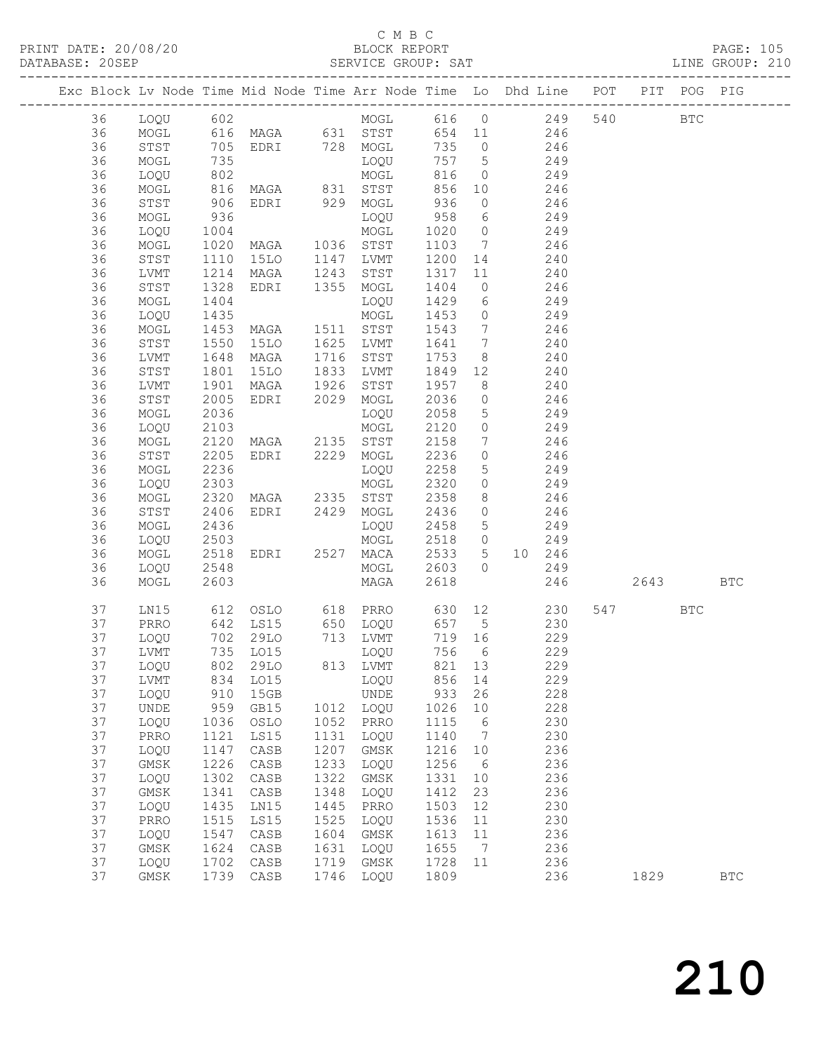#### C M B C

| DATABASE: 20SEP |    |         |                      |                                                  |      |                |                         |                            |                                                                                |     |          |     |            |  |
|-----------------|----|---------|----------------------|--------------------------------------------------|------|----------------|-------------------------|----------------------------|--------------------------------------------------------------------------------|-----|----------|-----|------------|--|
|                 |    |         |                      |                                                  |      |                |                         |                            | Exc Block Lv Node Time Mid Node Time Arr Node Time Lo Dhd Line POT PIT POG PIG |     |          |     |            |  |
|                 | 36 |         |                      |                                                  |      |                |                         |                            | LOQU 602 MOGL 616 0 249 540 BTC                                                |     |          |     |            |  |
|                 | 36 |         |                      |                                                  |      |                |                         |                            | MOGL 616 MAGA 631 STST 654 11 246                                              |     |          |     |            |  |
|                 | 36 | STST    |                      |                                                  |      |                |                         |                            | 705 EDRI 728 MOGL 735 0 246<br>735 LOQU 757 5 249<br>802 MOGL 816 0 249        |     |          |     |            |  |
|                 | 36 | MOGL    |                      |                                                  |      |                |                         |                            |                                                                                |     |          |     |            |  |
|                 | 36 | LOQU    |                      |                                                  |      |                |                         |                            |                                                                                |     |          |     |            |  |
|                 | 36 | MOGL    | 816                  |                                                  |      | MAGA 831 STST  |                         |                            | 856 10 246                                                                     |     |          |     |            |  |
|                 | 36 | STST    | 906                  | EDRI 929 MOGL                                    |      |                | 936                     |                            | $0 \t 246$                                                                     |     |          |     |            |  |
|                 | 36 | MOGL    |                      |                                                  |      |                |                         |                            |                                                                                |     |          |     |            |  |
|                 | 36 | LOQU    |                      |                                                  |      |                |                         |                            |                                                                                |     |          |     |            |  |
|                 | 36 | MOGL    |                      |                                                  |      |                |                         |                            |                                                                                |     |          |     |            |  |
|                 | 36 | STST    | 1110                 | 15LO 1147 LVMT                                   |      |                |                         |                            | 1200 14 240                                                                    |     |          |     |            |  |
|                 | 36 | LVMT    | 1214<br>1328         |                                                  |      |                |                         |                            |                                                                                |     |          |     |            |  |
|                 | 36 | STST    |                      | MAGA 1243 STST<br>EDRI 1355 MOGL                 |      |                | 1317    11<br>1404    0 |                            | $\begin{array}{c} 240 \\ 246 \end{array}$                                      |     |          |     |            |  |
|                 | 36 | MOGL    | 1404                 |                                                  |      | LOQU           | 1429                    |                            | 6 249                                                                          |     |          |     |            |  |
|                 | 36 | LOQU    | 1435                 |                                                  |      |                | 1453                    |                            | $0$ 249                                                                        |     |          |     |            |  |
|                 | 36 | MOGL    |                      |                                                  |      |                |                         |                            |                                                                                |     |          |     |            |  |
|                 | 36 | STST    | 1453<br>1550         | MOGL<br>MAGA 1511 STST<br>15LO 1625 LVMT         |      |                |                         |                            | 1543 7 246<br>1641 7 240                                                       |     |          |     |            |  |
|                 | 36 | LVMT    | 1648                 | MAGA 1716 STST                                   |      |                | 1753                    |                            | 8 240                                                                          |     |          |     |            |  |
|                 | 36 | STST    | 1801                 | 15LO 1833 LVMT                                   |      |                |                         |                            | 1849 12 240                                                                    |     |          |     |            |  |
|                 | 36 | LVMT    |                      |                                                  |      |                | 1957                    | $\overline{\phantom{a}}$ 8 |                                                                                |     |          |     |            |  |
|                 | 36 | STST    | 1901<br>2005<br>2005 | MAGA 1926 STST<br>EDRI 2029 MOGL                 |      |                | 2036                    | $\overline{0}$             | $240$<br>$246$                                                                 |     |          |     |            |  |
|                 | 36 | MOGL    | 2036                 |                                                  |      | LOQU           | 2058                    |                            | $5$ 249                                                                        |     |          |     |            |  |
|                 | 36 | LOQU    | 2103                 |                                                  |      |                | 2120                    |                            | $0$ 249                                                                        |     |          |     |            |  |
|                 | 36 | MOGL    | 2120                 | MOGL<br>MAGA 2135 STST<br>EDRI 2229 MOGL<br>MOGL |      |                | 2158                    |                            | $\begin{array}{ccc} 7 & 246 \end{array}$                                       |     |          |     |            |  |
|                 | 36 | STST    | 2205                 |                                                  |      |                | 2236                    | $\overline{0}$             | 246                                                                            |     |          |     |            |  |
|                 | 36 | MOGL    | 2236                 |                                                  |      | LOQU           | 2258                    |                            | $5$ 249                                                                        |     |          |     |            |  |
|                 | 36 | LOQU    | 2303                 |                                                  |      | MOGL           | 2320                    |                            | $0$ 249                                                                        |     |          |     |            |  |
|                 | 36 | MOGL    | 2320                 |                                                  |      |                | 2358                    |                            | 8 246                                                                          |     |          |     |            |  |
|                 | 36 | STST    | 2406                 | MAGA 2335 STST<br>EDRI 2429 MOGL                 |      |                | 2436                    | $\overline{0}$             | 246                                                                            |     |          |     |            |  |
|                 | 36 | MOGL    | 2436                 |                                                  |      | LOQU           | 2458                    |                            | $5 \t 249$                                                                     |     |          |     |            |  |
|                 | 36 | LOQU    | 2503                 |                                                  |      | MOGL           | 2518 0                  |                            | 249                                                                            |     |          |     |            |  |
|                 | 36 | MOGL    | 2518                 |                                                  |      | EDRI 2527 MACA |                         |                            | 2533 5 10 246                                                                  |     |          |     |            |  |
|                 | 36 | LOQU    |                      |                                                  |      | MOGL 2603 0    |                         |                            | 249                                                                            |     |          |     |            |  |
|                 | 36 | MOGL    | 2548<br>2603         |                                                  |      | MAGA           | 2618                    |                            |                                                                                | 246 | 2643 BTC |     |            |  |
|                 | 37 | LN15    |                      |                                                  |      |                |                         |                            |                                                                                |     | 547      | BTC |            |  |
|                 | 37 | PRRO    |                      |                                                  |      |                |                         |                            | $\frac{230}{229}$                                                              |     |          |     |            |  |
|                 | 37 | LOQU    |                      |                                                  |      |                |                         |                            |                                                                                |     |          |     |            |  |
|                 |    | 37 LVMT |                      |                                                  |      | 735 LO15 LOQU  |                         |                            | 756 6<br>229                                                                   |     |          |     |            |  |
|                 | 37 | LOQU    | 802                  | 29LO                                             | 813  | LVMT           | 821                     | 13                         | 229                                                                            |     |          |     |            |  |
|                 | 37 | LVMT    | 834                  | LO15                                             |      | LOQU           | 856                     | 14                         | 229                                                                            |     |          |     |            |  |
|                 | 37 | LOQU    | 910                  | 15GB                                             |      | <b>UNDE</b>    | 933                     | 26                         | 228                                                                            |     |          |     |            |  |
|                 | 37 | UNDE    | 959                  | GB15                                             | 1012 | LOQU           | 1026                    | 10                         | 228                                                                            |     |          |     |            |  |
|                 | 37 | LOQU    | 1036                 | OSLO                                             | 1052 | PRRO           | 1115                    | 6                          | 230                                                                            |     |          |     |            |  |
|                 | 37 | PRRO    | 1121                 | LS15                                             | 1131 | LOQU           | 1140                    | $\overline{7}$             | 230                                                                            |     |          |     |            |  |
|                 | 37 | LOQU    | 1147                 | CASB                                             | 1207 | $\rm{GMSK}$    | 1216                    | 10                         | 236                                                                            |     |          |     |            |  |
|                 | 37 | GMSK    | 1226                 | $\mathtt{CASB}$                                  | 1233 | LOQU           | 1256                    | $6\overline{6}$            | 236                                                                            |     |          |     |            |  |
|                 | 37 | LOQU    | 1302                 | CASB                                             | 1322 | GMSK           | 1331                    | 10                         | 236                                                                            |     |          |     |            |  |
|                 | 37 | GMSK    | 1341                 | CASB                                             | 1348 | LOQU           | 1412                    | 23                         | 236                                                                            |     |          |     |            |  |
|                 | 37 | LOQU    | 1435                 | LN15                                             | 1445 | PRRO           | 1503                    | 12                         | 230                                                                            |     |          |     |            |  |
|                 | 37 | PRRO    | 1515                 | LS15                                             | 1525 | LOQU           | 1536                    | 11                         | 230                                                                            |     |          |     |            |  |
|                 | 37 | LOQU    | 1547                 | CASB                                             | 1604 | GMSK           | 1613                    | 11                         | 236                                                                            |     |          |     |            |  |
|                 | 37 | GMSK    | 1624                 | CASB                                             | 1631 | LOQU           | 1655                    | $\overline{7}$             | 236                                                                            |     |          |     |            |  |
|                 | 37 | LOQU    | 1702                 | CASB                                             | 1719 | GMSK           | 1728                    | 11                         | 236                                                                            |     |          |     |            |  |
|                 | 37 | GMSK    |                      | 1739 CASB                                        | 1746 | LOQU           | 1809                    |                            | 236                                                                            |     | 1829     |     | <b>BTC</b> |  |
|                 |    |         |                      |                                                  |      |                |                         |                            |                                                                                |     |          |     |            |  |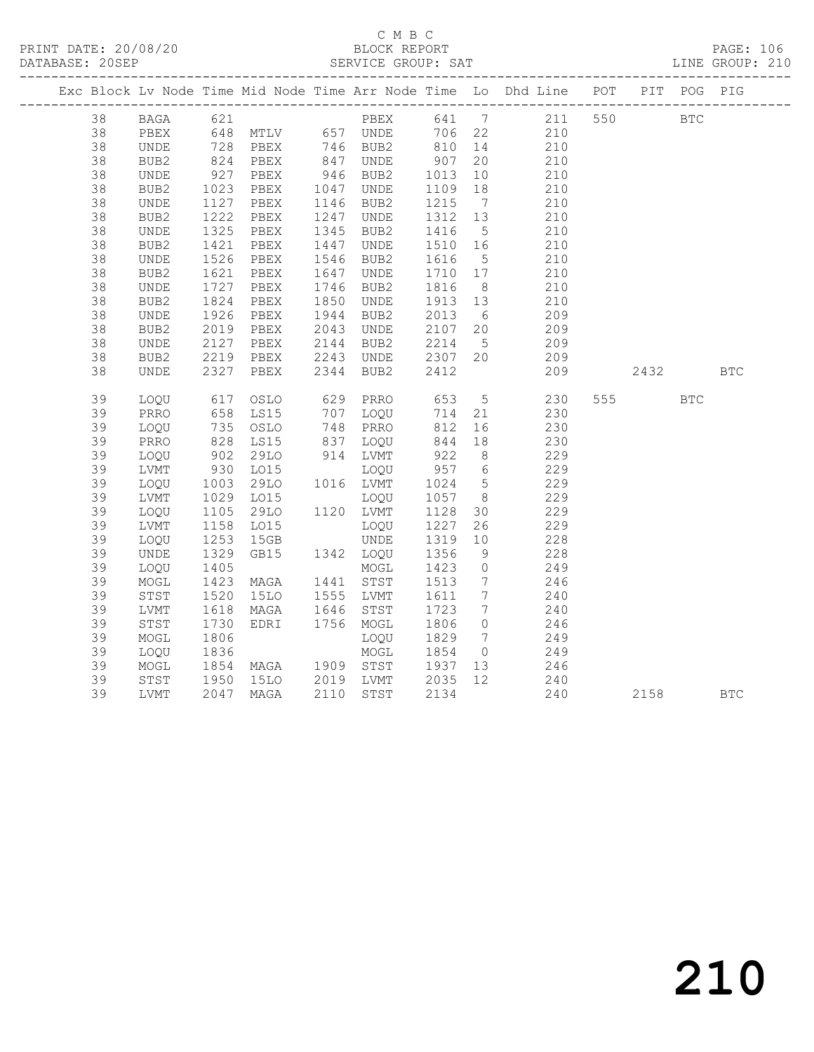|    |                  |                             |                                                        |      |           |                  |                              | Exc Block Lv Node Time Mid Node Time Arr Node Time Lo Dhd Line POT PIT POG PIG |     |          |            |            |
|----|------------------|-----------------------------|--------------------------------------------------------|------|-----------|------------------|------------------------------|--------------------------------------------------------------------------------|-----|----------|------------|------------|
| 38 | BAGA 621         |                             |                                                        |      |           |                  |                              | PBEX 641 7 211 550 BTC                                                         |     |          |            |            |
| 38 | PBEX             |                             | 648 MTLV 657 UNDE 706 22                               |      |           |                  |                              | 210                                                                            |     |          |            |            |
| 38 | UNDE             |                             | 728 PBEX      746  BUB2<br>824   PBEX       847   UNDE |      |           | 810 14<br>907 20 |                              | 210                                                                            |     |          |            |            |
| 38 | BUB2             |                             |                                                        |      |           |                  |                              | 210                                                                            |     |          |            |            |
| 38 | UNDE             | 927                         | PBEX                                                   |      | 946 BUB2  | 1013             | 10                           | 210                                                                            |     |          |            |            |
| 38 | BUB <sub>2</sub> | 1023<br>1127                | PBEX                                                   |      | 1047 UNDE | 1109             | 18                           | 210                                                                            |     |          |            |            |
| 38 | UNDE             |                             | PBEX                                                   | 1146 | BUB2      | 1215             | $7\overline{ }$              | 210                                                                            |     |          |            |            |
| 38 | BUB2             | 1222                        | PBEX                                                   | 1247 | UNDE      | 1312             | 13                           | 210                                                                            |     |          |            |            |
| 38 | UNDE             | 1325                        | PBEX                                                   | 1345 | BUB2      | 1416             | $5^{\circ}$                  | 210                                                                            |     |          |            |            |
| 38 | BUB2             | 1421                        | PBEX                                                   | 1447 | UNDE      | 1510             | 16                           | 210                                                                            |     |          |            |            |
| 38 | UNDE             | 1526                        | PBEX                                                   | 1546 | BUB2      | 1616             | $5^{\circ}$                  | 210                                                                            |     |          |            |            |
| 38 | BUB2             | 1621                        | PBEX                                                   | 1647 | UNDE      | 1710 17          |                              | 210                                                                            |     |          |            |            |
| 38 | UNDE             | 1727                        | PBEX                                                   | 1746 | BUB2      | 1816             | 8 <sup>8</sup>               | 210                                                                            |     |          |            |            |
| 38 | BUB2             | 1824                        | PBEX                                                   | 1850 | UNDE      | 1913 13          |                              | 210                                                                            |     |          |            |            |
| 38 | <b>UNDE</b>      | $182 - 1926$                | PBEX                                                   | 1944 | BUB2      | 2013             | 6                            | 209                                                                            |     |          |            |            |
| 38 | BUB2             | 2019                        | PBEX                                                   | 2043 | UNDE      | 2107             | 20                           | 209                                                                            |     |          |            |            |
| 38 | UNDE             | 2127<br>$\frac{2127}{2219}$ | PBEX                                                   | 2144 | BUB2      | 2214             | $5\overline{)}$              | 209                                                                            |     |          |            |            |
| 38 | BUB2             |                             | PBEX                                                   |      | 2243 UNDE | 2307 20          |                              | 209                                                                            |     |          |            |            |
| 38 | UNDE             | 2327                        | PBEX                                                   | 2344 | BUB2      | 2412             |                              | 209                                                                            |     | 2432     |            | <b>BTC</b> |
| 39 | LOQU             | 617                         | OSLO                                                   |      | 629 PRRO  | 653              |                              | 5 230                                                                          |     | 555 75   | <b>BTC</b> |            |
| 39 | PRRO             | 658                         | LS15                                                   |      | 707 LOQU  | 714              | 21                           | 230                                                                            |     |          |            |            |
| 39 | LOQU             | 735<br>828                  | OSLO                                                   |      | 748 PRRO  | 812              | 16                           | 230                                                                            |     |          |            |            |
| 39 | PRRO             |                             | LS15                                                   |      | 837 LOQU  | 844              | 18                           | 230                                                                            |     |          |            |            |
| 39 | LOQU             | 902                         | 29LO                                                   |      | 914 LVMT  | 922              | 8 <sup>8</sup>               | 229                                                                            |     |          |            |            |
| 39 | LVMT             | 930                         | LO15                                                   |      | LOQU      | 957 6            |                              | 229                                                                            |     |          |            |            |
| 39 | LOQU             | 1003                        | 29LO                                                   |      | 1016 LVMT | 1024             | $5\overline{)}$              | 229                                                                            |     |          |            |            |
| 39 | LVMT             | 1029                        | LO15                                                   |      | LOQU      | 1057             | 8 <sup>8</sup>               | 229                                                                            |     |          |            |            |
| 39 | LOQU             | 1105                        | 29LO                                                   |      | 1120 LVMT | 1128             | 30                           | 229                                                                            |     |          |            |            |
| 39 | LVMT             | 1158                        | L015                                                   |      | LOQU      | 1227             | 26                           | 229                                                                            |     |          |            |            |
| 39 | LOQU             | 1253<br>1329                | 15GB                                                   |      | UNDE      | 1319             | 10                           | 228                                                                            |     |          |            |            |
| 39 | UNDE             |                             | GB15                                                   |      | 1342 LOQU | 1356             | 9                            | 228                                                                            |     |          |            |            |
| 39 | LOQU             | 1405                        |                                                        |      | MOGL      | 1423             | $\overline{0}$               | 249                                                                            |     |          |            |            |
| 39 | MOGL             | 1423                        | MAGA                                                   |      | 1441 STST | 1513             | $7\overline{ }$              | 246                                                                            |     |          |            |            |
| 39 | STST             | 1520                        | 15LO                                                   |      | 1555 LVMT | 1611             | $7\overline{ }$              | 240                                                                            |     |          |            |            |
| 39 | LVMT             | 1618                        | MAGA                                                   | 1646 | STST      | 1723             | $7\phantom{.0}\phantom{.0}7$ | 240                                                                            |     |          |            |            |
| 39 | STST             | 1730                        | EDRI                                                   |      | 1756 MOGL | 1806             | $\overline{0}$               | 246                                                                            |     |          |            |            |
| 39 | MOGL             | 1806                        |                                                        |      | LOQU      | 1829             | $7\overline{ }$              | 249                                                                            |     |          |            |            |
| 39 | LOQU             | 1836                        |                                                        |      | MOGL      | 1854             | $\overline{0}$               | 249                                                                            |     |          |            |            |
| 39 | MOGL             | 1854<br>1950                | MAGA 1909 STST                                         |      |           | 1937             | 13                           | 246                                                                            |     |          |            |            |
| 39 | STST             |                             | 15LO 2019 LVMT                                         |      |           | 2035             | 12                           | 240                                                                            |     |          |            |            |
| 39 | LVMT             |                             | 2047 MAGA                                              | 2110 | STST      | 2134             |                              |                                                                                | 240 | 2158 BTC |            |            |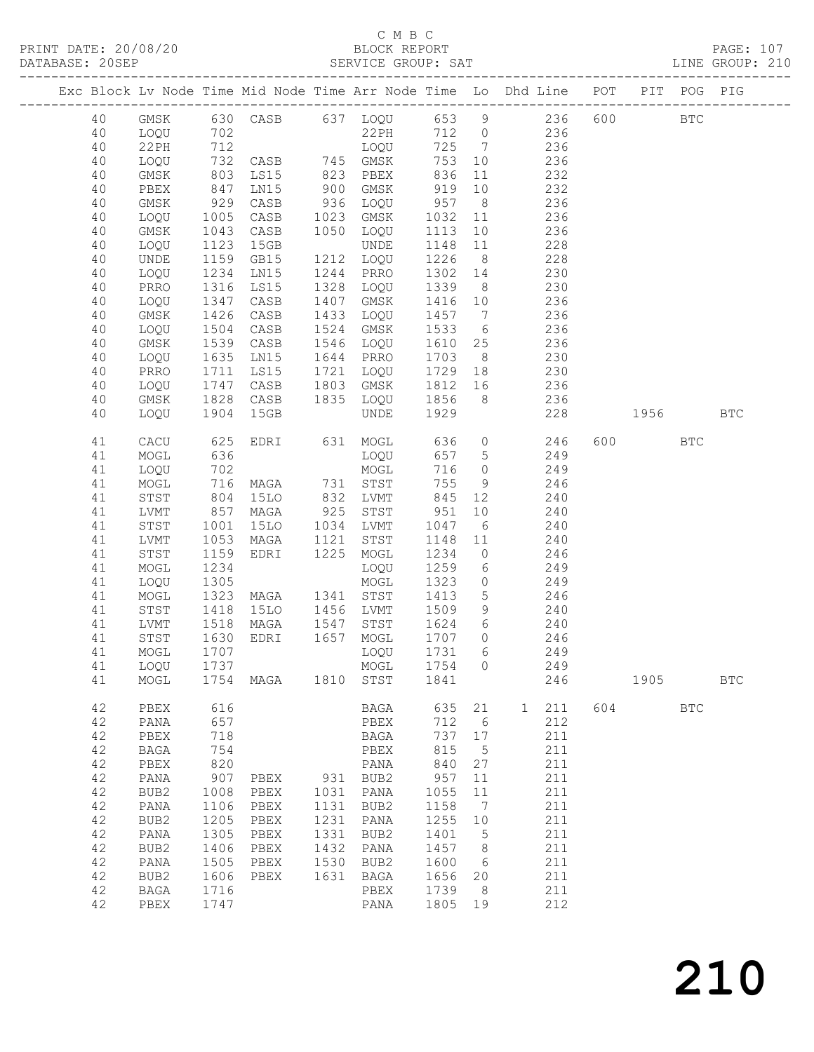|                 | PRINT DATE: 20/08/20 |      |                                           |      | C M B C<br>BLOCK REPORT |      |                 |                                                                                |          | PAGE: 107       |  |
|-----------------|----------------------|------|-------------------------------------------|------|-------------------------|------|-----------------|--------------------------------------------------------------------------------|----------|-----------------|--|
| DATABASE: 20SEP |                      |      |                                           |      |                         |      |                 |                                                                                |          | LINE GROUP: 210 |  |
|                 |                      |      |                                           |      |                         |      |                 | Exc Block Lv Node Time Mid Node Time Arr Node Time Lo Dhd Line POT PIT POG PIG |          |                 |  |
| 40              |                      |      |                                           |      |                         |      |                 | GMSK 630 CASB 637 LOQU 653 9 236 600 BTC                                       |          |                 |  |
| 40              | LOOU                 |      | 702 22PH<br>712 LOQU<br>732 CASB 745 GMSK |      |                         |      |                 | 22PH 712 0 236                                                                 |          |                 |  |
| 40              | 22PH                 |      |                                           |      | $\frac{1000}{725}$ 7    |      |                 | 236                                                                            |          |                 |  |
| 40              | LOQU                 |      |                                           |      |                         | 753  |                 | 236<br>10                                                                      |          |                 |  |
| 40              | GMSK                 | 803  | LS15                                      | 823  | PBEX                    | 836  |                 | 232<br>11 \,                                                                   |          |                 |  |
| 40              | PBEX                 | 847  | LN15                                      | 900  | GMSK                    | 919  |                 | 10<br>232                                                                      |          |                 |  |
| 40              | GMSK                 | 929  | CASB                                      | 936  | LOQU 957                |      |                 | 8 <sup>1</sup><br>236                                                          |          |                 |  |
| 40              | LOQU                 | 1005 | CASB                                      | 1023 | GMSK                    | 1032 |                 | 236                                                                            |          |                 |  |
| 40              | GMSK                 | 1043 | CASB                                      | 1050 | LOOU                    | 1113 |                 | 10<br>236                                                                      |          |                 |  |
| 40              | LOOU                 | 1123 | 15GB                                      |      | UNDE                    | 1148 |                 | 228<br>11 7                                                                    |          |                 |  |
| 40              | UNDE                 | 1159 | GB15                                      | 1212 | LOOU                    | 1226 |                 | 228<br>$8 \overline{)}$                                                        |          |                 |  |
| 40              | LOQU                 | 1234 | LN15                                      | 1244 | PRRO                    | 1302 |                 | 230<br>14                                                                      |          |                 |  |
| 40              | PRRO                 | 1316 | LS15                                      | 1328 | LOOU                    | 1339 |                 | $8 \overline{)}$<br>230                                                        |          |                 |  |
| 40              | LOQU                 | 1347 | CASB                                      | 1407 | GMSK                    | 1416 | 10              | 236                                                                            |          |                 |  |
| 40              | GMSK                 | 1426 | CASB                                      | 1433 | LOOU                    | 1457 | $\overline{7}$  | 236                                                                            |          |                 |  |
| 40              | LOOU                 | 1504 | CASB                                      | 1524 | GMSK                    | 1533 |                 | 236<br>$6\overline{6}$                                                         |          |                 |  |
| 40              | GMSK                 | 1539 | CASB                                      | 1546 | LOOU                    | 1610 |                 | 236<br>25                                                                      |          |                 |  |
| 40              | LOOU                 | 1635 | LN15                                      | 1644 | PRRO                    | 1703 |                 | 8 <sup>1</sup><br>230                                                          |          |                 |  |
| 40              | PRRO                 | 1711 | LS15                                      | 1721 | LOOU                    | 1729 | 18              | 230                                                                            |          |                 |  |
| 40              | LOOU                 | 1747 | CASB                                      | 1803 | GMSK                    | 1812 |                 | 236<br>16                                                                      |          |                 |  |
| 40              | GMSK                 | 1828 | CASB                                      | 1835 | LOOU                    | 1856 |                 | 236<br>$8 - 8$                                                                 |          |                 |  |
| 40              | LOOU                 | 1904 | 15GB                                      |      | UNDE                    | 1929 |                 |                                                                                | 228 1956 | <b>BTC</b>      |  |
| 41              | CACU                 | 625  |                                           |      | EDRI 631 MOGL 636 0     |      |                 | 246                                                                            | 600 BTC  |                 |  |
| 41              | MOGL                 | 636  |                                           |      | LOQU                    | 657  | $5\overline{)}$ | 249                                                                            |          |                 |  |
| 41              | LOQU                 | 702  |                                           |      | MOGL                    | 716  |                 | $\Omega$<br>249                                                                |          |                 |  |
| 41              | MOGL                 |      | 716 MAGA 731 STST                         |      |                         | 755  |                 | 9 246                                                                          |          |                 |  |
| 41              | STST                 |      | 804 15LO                                  |      | 832 LVMT                |      |                 | 845 12<br>240                                                                  |          |                 |  |

| 41 | LVMT             | 857  | MAGA | 925  | STST             | 951  | 10              |              | 240 |     |      |            |            |
|----|------------------|------|------|------|------------------|------|-----------------|--------------|-----|-----|------|------------|------------|
| 41 | STST             | 1001 | 15LO | 1034 | LVMT             | 1047 | 6               |              | 240 |     |      |            |            |
| 41 | LVMT             | 1053 | MAGA | 1121 | STST             | 1148 | 11              |              | 240 |     |      |            |            |
| 41 | STST             | 1159 | EDRI | 1225 | MOGL             | 1234 | $\Omega$        |              | 246 |     |      |            |            |
| 41 | MOGL             | 1234 |      |      | LOQU             | 1259 | 6               |              | 249 |     |      |            |            |
| 41 | LOQU             | 1305 |      |      | MOGL             | 1323 | 0               |              | 249 |     |      |            |            |
| 41 | MOGL             | 1323 | MAGA | 1341 | STST             | 1413 | 5               |              | 246 |     |      |            |            |
| 41 | STST             | 1418 | 15LO | 1456 | LVMT             | 1509 | 9               |              | 240 |     |      |            |            |
| 41 | LVMT             | 1518 | MAGA | 1547 | STST             | 1624 | 6               |              | 240 |     |      |            |            |
| 41 | ${\tt STST}$     | 1630 | EDRI | 1657 | MOGL             | 1707 | $\mathbf{0}$    |              | 246 |     |      |            |            |
| 41 | MOGL             | 1707 |      |      | LOQU             | 1731 | 6               |              | 249 |     |      |            |            |
| 41 | LOOU             | 1737 |      |      | MOGL             | 1754 | $\Omega$        |              | 249 |     |      |            |            |
| 41 | MOGL             | 1754 | MAGA | 1810 | STST             | 1841 |                 |              | 246 |     | 1905 |            | <b>BTC</b> |
|    |                  |      |      |      |                  |      |                 |              |     |     |      |            |            |
| 42 | PBEX             | 616  |      |      | BAGA             | 635  | 21              | $\mathbf{1}$ | 211 | 604 |      | <b>BTC</b> |            |
| 42 | PANA             | 657  |      |      | PBEX             | 712  | 6               |              | 212 |     |      |            |            |
| 42 | PBEX             | 718  |      |      | BAGA             | 737  | 17              |              | 211 |     |      |            |            |
| 42 | <b>BAGA</b>      | 754  |      |      | PBEX             | 815  | 5               |              | 211 |     |      |            |            |
| 42 | PBEX             | 820  |      |      | PANA             | 840  | 27              |              | 211 |     |      |            |            |
| 42 | PANA             | 907  | PBEX | 931  | BUB2             | 957  | 11              |              | 211 |     |      |            |            |
| 42 | BUB <sub>2</sub> | 1008 | PBEX | 1031 | PANA             | 1055 | 11              |              | 211 |     |      |            |            |
| 42 | PANA             | 1106 | PBEX | 1131 | BUB2             | 1158 | $7\phantom{.0}$ |              | 211 |     |      |            |            |
| 42 | BUB <sub>2</sub> | 1205 | PBEX | 1231 | PANA             | 1255 | 10              |              | 211 |     |      |            |            |
| 42 | PANA             | 1305 | PBEX | 1331 | BUB <sub>2</sub> | 1401 | 5               |              | 211 |     |      |            |            |
| 42 | BUB <sub>2</sub> | 1406 | PBEX | 1432 | PANA             | 1457 | 8               |              | 211 |     |      |            |            |
| 42 | PANA             | 1505 | PBEX | 1530 | BUB <sub>2</sub> | 1600 | 6               |              | 211 |     |      |            |            |
| 42 | BUB <sub>2</sub> | 1606 | PBEX | 1631 | BAGA             | 1656 | 20              |              | 211 |     |      |            |            |
| 42 | <b>BAGA</b>      | 1716 |      |      | PBEX             | 1739 | 8               |              | 211 |     |      |            |            |
| 42 | PBEX             | 1747 |      |      | PANA             | 1805 | 19              |              | 212 |     |      |            |            |
|    |                  |      |      |      |                  |      |                 |              |     |     |      |            |            |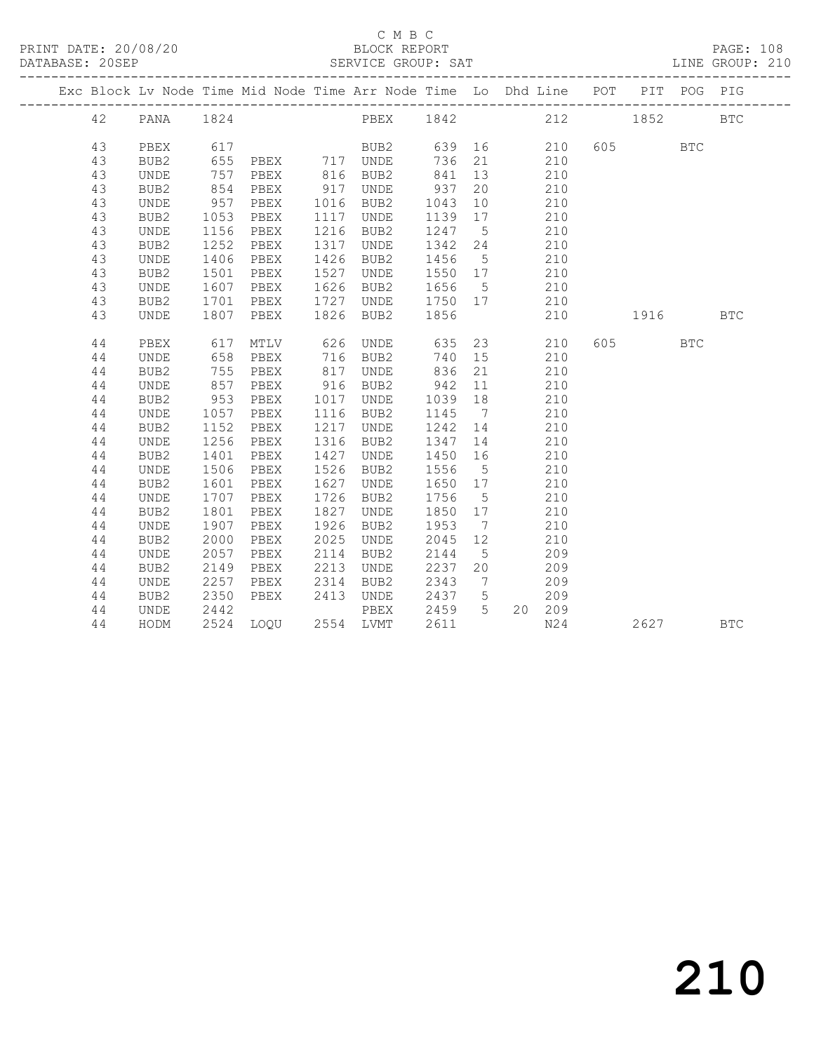|  |    |                  |      | Exc Block Lv Node Time Mid Node Time Arr Node Time Lo Dhd Line POT |      |               |         |                              |        |     | PIT POG PIG |              |            |
|--|----|------------------|------|--------------------------------------------------------------------|------|---------------|---------|------------------------------|--------|-----|-------------|--------------|------------|
|  | 42 | PANA             | 1824 |                                                                    |      | PBEX 1842 212 |         |                              |        |     | 1852        |              | <b>BTC</b> |
|  | 43 | PBEX             | 617  |                                                                    |      | BUB2          | 639     |                              | 210    |     | 605         | $_{\rm BTC}$ |            |
|  | 43 | BUB2             | 655  | PBEX                                                               |      | 717 UNDE      | 736     | 21                           | 210    |     |             |              |            |
|  | 43 | <b>UNDE</b>      | 757  | PBEX                                                               | 816  | BUB2          | 841     | 13                           | 210    |     |             |              |            |
|  | 43 | BUB2             | 854  | PBEX                                                               | 917  | <b>UNDE</b>   | 937     | 20                           | 210    |     |             |              |            |
|  | 43 | UNDE             | 957  | PBEX                                                               | 1016 | BUB2          | 1043    | 10                           | 210    |     |             |              |            |
|  | 43 | BUB2             | 1053 | PBEX                                                               | 1117 | UNDE          | 1139    | 17                           | 210    |     |             |              |            |
|  | 43 | <b>UNDE</b>      | 1156 | PBEX                                                               | 1216 | BUB2          | 1247    | $5\phantom{0}$               | 210    |     |             |              |            |
|  | 43 | BUB2             | 1252 | PBEX                                                               | 1317 | UNDE          | 1342    | 24                           | 210    |     |             |              |            |
|  | 43 | <b>UNDE</b>      | 1406 | PBEX                                                               | 1426 | BUB2          | 1456    | $5\phantom{.0}$              | 210    |     |             |              |            |
|  | 43 | BUB <sub>2</sub> | 1501 | PBEX                                                               | 1527 | <b>UNDE</b>   | 1550 17 |                              | 210    |     |             |              |            |
|  | 43 | <b>UNDE</b>      | 1607 | PBEX                                                               | 1626 | BUB2          | 1656    | $5^{\circ}$                  | 210    |     |             |              |            |
|  | 43 | BUB2             | 1701 | PBEX                                                               | 1727 | <b>UNDE</b>   | 1750 17 |                              | 210    |     |             |              |            |
|  | 43 | <b>UNDE</b>      | 1807 | PBEX                                                               | 1826 | BUB2          | 1856    |                              | 210    |     | 1916        |              | <b>BTC</b> |
|  | 44 | PBEX             | 617  | MTLV                                                               | 626  | <b>UNDE</b>   | 635     | 23                           | 210    | 605 |             | <b>BTC</b>   |            |
|  | 44 | <b>UNDE</b>      | 658  | PBEX                                                               | 716  | BUB2          | 740     | 15                           | 210    |     |             |              |            |
|  | 44 | BUB <sub>2</sub> | 755  | PBEX                                                               | 817  | <b>UNDE</b>   | 836     | 21                           | 210    |     |             |              |            |
|  | 44 | UNDE             | 857  | PBEX                                                               | 916  | BUB2          | 942     | 11                           | 210    |     |             |              |            |
|  | 44 | BUB2             | 953  | PBEX                                                               | 1017 | <b>UNDE</b>   | 1039    | 18                           | 210    |     |             |              |            |
|  | 44 | <b>UNDE</b>      | 1057 | PBEX                                                               | 1116 | BUB2          | 1145    | $7\phantom{.0}\phantom{.0}7$ | 210    |     |             |              |            |
|  | 44 | BUB2             | 1152 | PBEX                                                               | 1217 | UNDE          | 1242    | 14                           | 210    |     |             |              |            |
|  | 44 | <b>UNDE</b>      | 1256 | PBEX                                                               | 1316 | BUB2          | 1347    | 14                           | 210    |     |             |              |            |
|  | 44 | BUB <sub>2</sub> | 1401 | PBEX                                                               | 1427 | UNDE          | 1450    | 16                           | 210    |     |             |              |            |
|  | 44 | UNDE             | 1506 | PBEX                                                               | 1526 | BUB2          | 1556    | $5^{\circ}$                  | 210    |     |             |              |            |
|  | 44 | BUB2             | 1601 | PBEX                                                               | 1627 | <b>UNDE</b>   | 1650    | 17                           | 210    |     |             |              |            |
|  | 44 | UNDE             | 1707 | PBEX                                                               | 1726 | BUB2          | 1756    | $5\overline{)}$              | 210    |     |             |              |            |
|  | 44 | BUB2             | 1801 | PBEX                                                               | 1827 | <b>UNDE</b>   | 1850    | 17                           | 210    |     |             |              |            |
|  | 44 | <b>UNDE</b>      | 1907 | PBEX                                                               | 1926 | BUB2          | 1953    | $\overline{7}$               | 210    |     |             |              |            |
|  | 44 | BUB <sub>2</sub> | 2000 | PBEX                                                               | 2025 | UNDE          | 2045    | 12                           | 210    |     |             |              |            |
|  | 44 | <b>UNDE</b>      | 2057 | PBEX                                                               | 2114 | BUB2          | 2144    | 5                            | 209    |     |             |              |            |
|  | 44 | BUB2             | 2149 | PBEX                                                               | 2213 | UNDE          | 2237    | 20                           | 209    |     |             |              |            |
|  | 44 | <b>UNDE</b>      | 2257 | PBEX                                                               | 2314 | BUB2          | 2343    | $7\phantom{.0}\phantom{.0}7$ | 209    |     |             |              |            |
|  | 44 | BUB2             | 2350 | PBEX                                                               | 2413 | UNDE          | 2437    | $5\overline{)}$              | 209    |     |             |              |            |
|  | 44 | UNDE             | 2442 |                                                                    |      | PBEX          | 2459    | 5 <sup>1</sup>               | 20 209 |     |             |              |            |
|  | 44 | HODM             |      | 2524 LOQU                                                          |      | 2554 LVMT     | 2611    |                              | N24    |     | 2627        |              | <b>BTC</b> |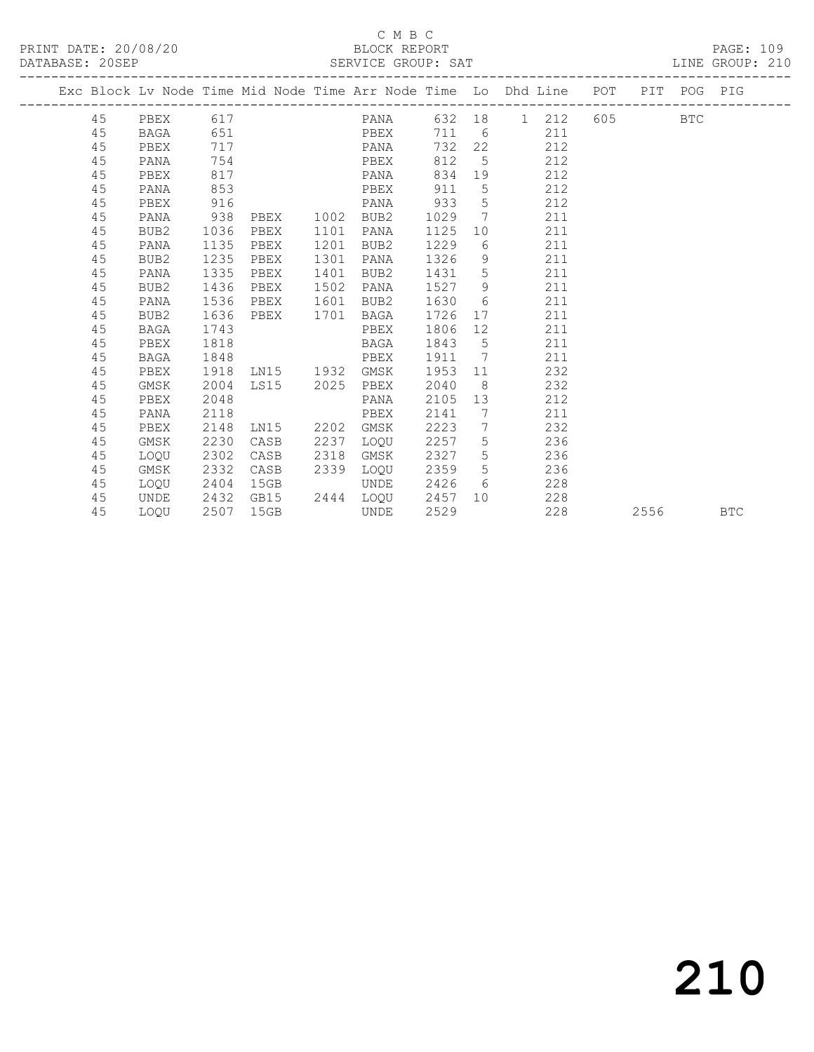## C M B C<br>BLOCK REPORT

LINE GROUP: 210

|    | Exc Block Lv Node Time Mid Node Time Arr Node Time Lo Dhd Line POT |      |                        |      |           |        |                 |                                                                                                                                                                                                                                |     |           |        | PIT POG PIG |            |
|----|--------------------------------------------------------------------|------|------------------------|------|-----------|--------|-----------------|--------------------------------------------------------------------------------------------------------------------------------------------------------------------------------------------------------------------------------|-----|-----------|--------|-------------|------------|
| 45 | PBEX                                                               | 617  |                        |      | PANA      |        |                 | 632 18 1 212                                                                                                                                                                                                                   |     | 605 - 100 |        | BTC         |            |
| 45 | BAGA                                                               | 651  |                        |      | PBEX      |        |                 | 711 6                                                                                                                                                                                                                          | 211 |           |        |             |            |
| 45 | PBEX                                                               | 717  |                        |      | PANA      | 732    | 22              |                                                                                                                                                                                                                                | 212 |           |        |             |            |
| 45 | PANA                                                               | 754  |                        |      | PBEX      | 812    | 5 <sup>5</sup>  |                                                                                                                                                                                                                                | 212 |           |        |             |            |
| 45 | PBEX                                                               | 817  |                        |      | PANA      |        |                 | 834 19                                                                                                                                                                                                                         | 212 |           |        |             |            |
| 45 | PANA                                                               | 853  |                        |      | PBEX      | 911    | $5^{\circ}$     |                                                                                                                                                                                                                                | 212 |           |        |             |            |
| 45 | PBEX                                                               | 916  |                        |      | PANA      | 933    | $5\overline{)}$ |                                                                                                                                                                                                                                | 212 |           |        |             |            |
| 45 | PANA                                                               | 938  | PBEX                   | 1002 | BUB2      | 1029   | $7\overline{ }$ |                                                                                                                                                                                                                                | 211 |           |        |             |            |
| 45 | BUB2                                                               | 1036 | PBEX                   | 1101 | PANA      | 1125   |                 | 10                                                                                                                                                                                                                             | 211 |           |        |             |            |
| 45 | PANA                                                               | 1135 | PBEX                   | 1201 | BUB2      | 1229   |                 | $6\degree$                                                                                                                                                                                                                     | 211 |           |        |             |            |
| 45 | BUB2                                                               | 1235 | PBEX                   | 1301 | PANA      | 1326   |                 | 9                                                                                                                                                                                                                              | 211 |           |        |             |            |
| 45 | PANA                                                               | 1335 | PBEX                   | 1401 | BUB2      | 1431 5 |                 |                                                                                                                                                                                                                                | 211 |           |        |             |            |
| 45 | BUB2                                                               | 1436 | PBEX                   | 1502 | PANA      | 1527   | 9               |                                                                                                                                                                                                                                | 211 |           |        |             |            |
| 45 | PANA                                                               | 1536 | PBEX                   | 1601 | BUB2      | 1630   | 6               |                                                                                                                                                                                                                                | 211 |           |        |             |            |
| 45 | BUB2                                                               | 1636 | PBEX                   | 1701 | BAGA      | 1726   |                 | 17                                                                                                                                                                                                                             | 211 |           |        |             |            |
| 45 | BAGA                                                               | 1743 |                        |      | PBEX      | 1806   |                 |                                                                                                                                                                                                                                | 211 |           |        |             |            |
| 45 | PBEX                                                               | 1818 |                        |      | BAGA      | 1843 5 |                 |                                                                                                                                                                                                                                | 211 |           |        |             |            |
| 45 | <b>BAGA</b>                                                        | 1848 | <b>Example 21 PBEX</b> |      |           | 1911 7 |                 |                                                                                                                                                                                                                                | 211 |           |        |             |            |
| 45 | PBEX                                                               | 1918 | LN15 1932              |      | GMSK      | 1953   |                 | 11 — 11 — 11 — 11 — 11 — 11 — 11 — 11 — 11 — 11 — 11 — 11 — 11 — 11 — 11 — 11 — 11 — 11 — 11 — 11 — 11 — 11 — 11 — 11 — 11 — 11 — 11 — 11 — 11 — 11 — 11 — 11 — 11 — 11 — 11 — 11 — 11 — 11 — 11 — 11 — 11 — 11 — 11 — 11 — 11 | 232 |           |        |             |            |
| 45 | GMSK                                                               | 2004 | LS15 2025              |      | PBEX      | 2040   | 8 <sup>8</sup>  |                                                                                                                                                                                                                                | 232 |           |        |             |            |
| 45 | PBEX                                                               | 2048 |                        |      | PANA      | 2105   |                 | 13                                                                                                                                                                                                                             | 212 |           |        |             |            |
| 45 | PANA                                                               | 2118 |                        |      | PBEX      | 2141   |                 | 7                                                                                                                                                                                                                              | 211 |           |        |             |            |
| 45 | PBEX                                                               | 2148 | LN15 2202 GMSK         |      |           | 2223 7 |                 |                                                                                                                                                                                                                                | 232 |           |        |             |            |
| 45 | GMSK                                                               | 2230 | CASB                   | 2237 | LOQU      | 2257 5 |                 |                                                                                                                                                                                                                                | 236 |           |        |             |            |
| 45 | LOQU                                                               | 2302 | CASB                   | 2318 | GMSK      | 2327   | $5\overline{)}$ |                                                                                                                                                                                                                                | 236 |           |        |             |            |
| 45 | GMSK                                                               | 2332 | CASB                   | 2339 | LOQU      | 2359   |                 | $5 - 5$                                                                                                                                                                                                                        | 236 |           |        |             |            |
| 45 | LOQU                                                               | 2404 | 15GB                   |      | UNDE      | 2426   |                 | $6\degree$                                                                                                                                                                                                                     | 228 |           |        |             |            |
| 45 | UNDE                                                               | 2432 | GB15                   |      | 2444 LOQU | 2457   |                 | 10                                                                                                                                                                                                                             | 228 |           |        |             |            |
| 45 | LOOU                                                               | 2507 | 15GB                   |      | UNDE      | 2529   |                 |                                                                                                                                                                                                                                | 228 |           | 2556 7 |             | <b>BTC</b> |

210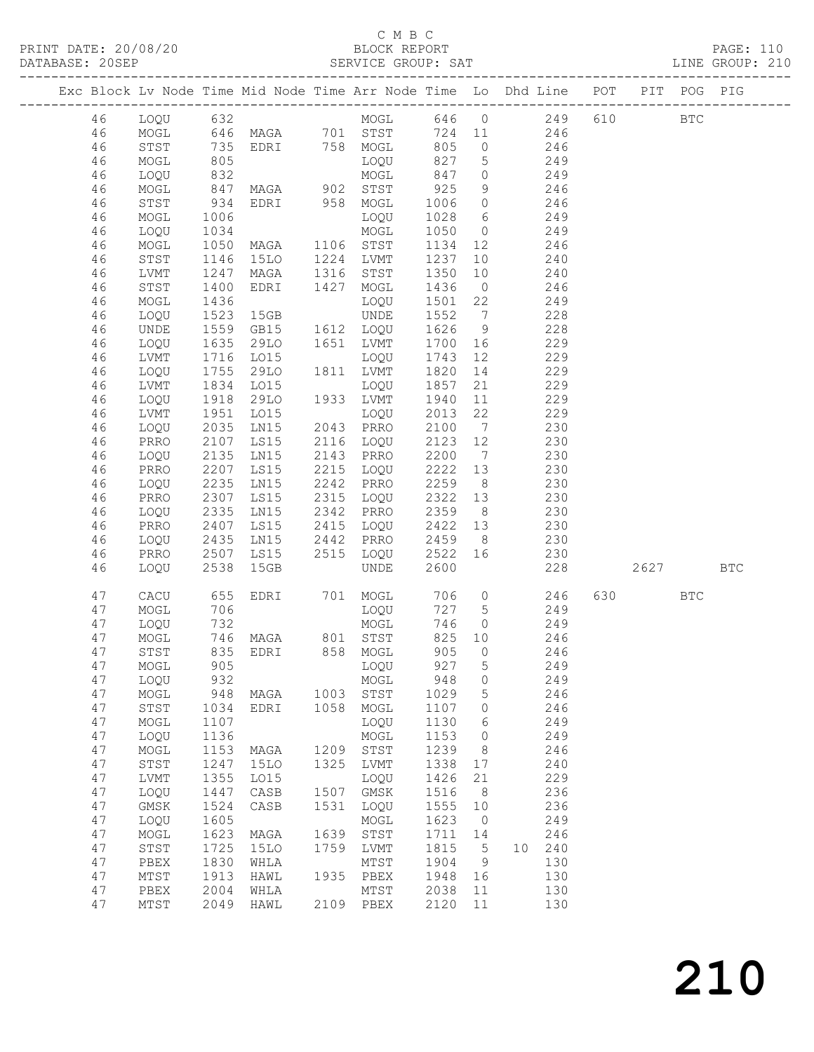## C M B C<br>BLOCK REPORT

PRINT DATE: 20/08/20 BLOCK REPORT PAGE: 110 DATABASE: 20SEP SERVICE GROUP: SAT LINE GROUP: 210 ------------------------------------------------------------------------------------------------- Exc Block Lv Node Time Mid Node Time Arr Node Time Lo Dhd Line POT PIT POG PIG ------------------------------------------------------------------------------------------------- 46 LOQU 632 MOGL 646 0 249 610 BTC 46 MOGL 646 MAGA 701 STST 724 11 246 46 STST 735 EDRI 758 MOGL 805 0 246 46 MOGL 805 LOQU 827 5 249 46 LOQU 832 MOGL 847 0 249 46 MOGL 847 MAGA 902 STST 925 9 246 46 STST 934 EDRI 958 MOGL 1006 0 246 46 MOGL 1006 LOQU 1028 6 249 46 LOQU 1034 MOGL 1050 0 249 46 MOGL 1050 MAGA 1106 STST 1134 12 246 46 STST 1146 15LO 1224 LVMT 1237 10 240 46 LVMT 1247 MAGA 1316 STST 1350 10 240 46 STST 1400 EDRI 1427 MOGL 1436 0 246 46 MOGL 1436 LOQU 1501 22 249 46 LOQU 1523 15GB UNDE 1552 7 228 46 UNDE 1559 GB15 1612 LOQU 1626 9 228 46 LOQU 1635 29LO 1651 LVMT 1700 16 229 46 LVMT 1716 LO15 LOQU 1743 12 229 46 LOQU 1755 29LO 1811 LVMT 1820 14 229 46 LVMT 1834 LO15 LOQU 1857 21 229 46 LOQU 1918 29LO 1933 LVMT 1940 11 229 46 LVMT 1951 LO15 LOQU 2013 22 229 46 LOQU 2035 LN15 2043 PRRO 2100 7 230 46 PRRO 2107 LS15 2116 LOQU 2123 12 230 46 LOQU 2135 LN15 2143 PRRO 2200 7 230 46 PRRO 2207 LS15 2215 LOQU 2222 13 230 46 LOQU 2235 LN15 2242 PRRO 2259 8 230 46 PRRO 2307 LS15 2315 LOQU 2322 13 230 46 LOQU 2335 LN15 2342 PRRO 2359 8 230 46 PRRO 2407 LS15 2415 LOQU 2422 13 230 46 LOQU 2435 LN15 2442 PRRO 2459 8 230 46 PRRO 2507 LS15 2515 LOQU 2522 16 230 46 LOQU 2538 15GB UNDE 2600 228 2627 BTC 47 CACU 655 EDRI 701 MOGL 706 0 246 630 BTC 47 MOGL 706 LOQU 727 5 249 47 LOQU 732 MOGL 746 0 249 47 MOGL 746 MAGA 801 STST 825 10 246 47 STST 835 EDRI 858 MOGL 905 0 246 47 MOGL 905 LOQU 927 5 249 47 LOQU 932 MOGL 948 0 249 47 MOGL 948 MAGA 1003 STST 1029 5 246 47 STST 1034 EDRI 1058 MOGL 1107 0 246 47 MOGL 1107 LOQU 1130 6 249 47 LOQU 1136 MOGL 1153 0 249

 47 MOGL 1153 MAGA 1209 STST 1239 8 246 47 STST 1247 15LO 1325 LVMT 1338 17 240 47 LVMT 1355 LO15 LOQU 1426 21 229 47 LOQU 1447 CASB 1507 GMSK 1516 8 236 47 GMSK 1524 CASB 1531 LOQU 1555 10 236 47 LOQU 1605 MOGL 1623 0 249 47 MOGL 1623 MAGA 1639 STST 1711 14 246 47 STST 1725 15LO 1759 LVMT 1815 5 10 240 47 PBEX 1830 WHLA MTST 1904 9 130 47 MTST 1913 HAWL 1935 PBEX 1948 16 130 47 PBEX 2004 WHLA MTST 2038 11 130 47 MTST 2049 HAWL 2109 PBEX 2120 11 130

# 210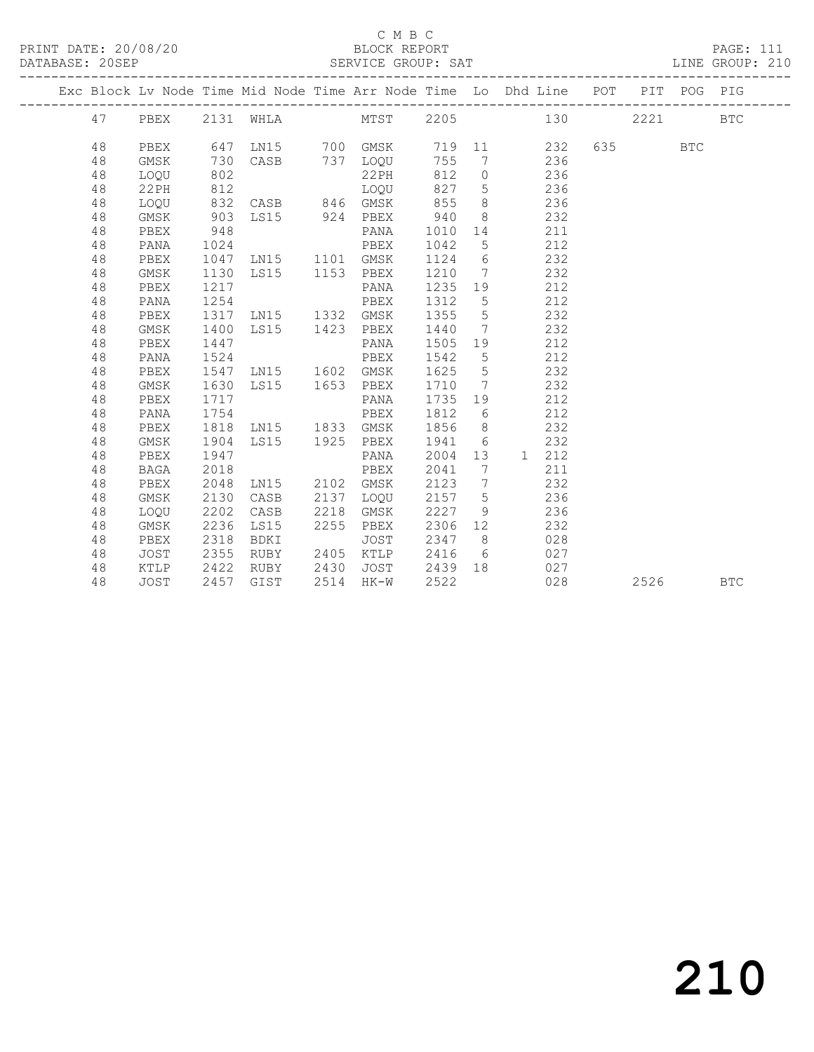### C M B C<br>BLOCK REPORT

### SERVICE GROUP: SAT

|  |          |              |              |                     |      |               |              |                     | Exc Block Lv Node Time Mid Node Time Arr Node Time Lo Dhd Line POT PIT POG PIG |      |            |            |
|--|----------|--------------|--------------|---------------------|------|---------------|--------------|---------------------|--------------------------------------------------------------------------------|------|------------|------------|
|  |          |              |              |                     |      |               |              |                     |                                                                                |      |            |            |
|  | 47       |              |              |                     |      |               |              |                     | PBEX 2131 WHLA MTST 2205 130                                                   | 2221 |            | <b>BTC</b> |
|  | 48       | PBEX         |              |                     |      |               |              |                     | 647 LN15 700 GMSK 719 11 232                                                   |      | <b>BTC</b> |            |
|  | 48       | GMSK         | 730          |                     |      | CASB 737 LOQU | 755          |                     | 7 236                                                                          |      |            |            |
|  | 48       | LOQU         | 802          |                     |      | 22PH          | 812          |                     | $\overline{O}$<br>236                                                          |      |            |            |
|  | 48       | 22PH         | 812          |                     |      | LOQU          | 827          | 5 <sup>5</sup>      | 236                                                                            |      |            |            |
|  | 48       | LOQU         |              | 832 CASB 846 GMSK   |      |               | 855          |                     | $8 \overline{)}$<br>236                                                        |      |            |            |
|  | 48       | GMSK         | 903          | LS15 924 PBEX       |      |               | 940          |                     | $8 - 8$<br>232                                                                 |      |            |            |
|  | 48       | PBEX         | 948          |                     |      | PANA          | 1010         |                     | 14 \,<br>211                                                                   |      |            |            |
|  | 48       | PANA         | 1024         |                     |      | PBEX          | 1042         | 5                   | 212                                                                            |      |            |            |
|  | 48       | PBEX         |              | 1047 LN15 1101 GMSK |      |               | 1124         | 6                   | 232                                                                            |      |            |            |
|  | 48       | GMSK         | 1130         | LS15 1153 PBEX      |      |               | 1210         | $\overline{7}$      | 232                                                                            |      |            |            |
|  | 48       | PBEX         | 1217         |                     |      | PANA          | 1235         |                     | 19<br>212                                                                      |      |            |            |
|  | 48       | PANA         | 1254         |                     |      | PBEX          | 1312         | $5\overline{)}$     | 212                                                                            |      |            |            |
|  | 48       | PBEX         | 1317         | LN15 1332 GMSK      |      |               | 1355         | $5\overline{)}$     | 232                                                                            |      |            |            |
|  | 48       | GMSK         | 1400         | LS15 1423 PBEX      |      |               | 1440         |                     | $7\overline{ }$<br>232                                                         |      |            |            |
|  | 48       | PBEX         | 1447         |                     |      | PANA          | 1505         |                     | 212<br>19                                                                      |      |            |            |
|  | 48       | PANA         | 1524         |                     |      | PBEX          | 1542         | 5                   | 212                                                                            |      |            |            |
|  | 48       | PBEX         | 1547         | LN15 1602 GMSK      |      |               | 1625         | $5\overline{)}$     | 232                                                                            |      |            |            |
|  | 48       | GMSK         | 1630         | LS15 1653 PBEX      |      |               | 1710         |                     | $7\overline{ }$<br>232                                                         |      |            |            |
|  | 48       | PBEX         | 1717         |                     |      | PANA          | 1735         |                     | 212<br>19                                                                      |      |            |            |
|  | 48       | PANA         | 1754         |                     |      | PBEX          | 1812         |                     | 212<br>$6\degree$                                                              |      |            |            |
|  | 48       | PBEX         | 1818         | LN15 1833 GMSK      |      |               | 1856         |                     | 8 <sup>8</sup><br>232                                                          |      |            |            |
|  | 48       | GMSK         | 1904         | LS15 1925 PBEX      |      |               | 1941         |                     | $6\overline{6}$<br>232                                                         |      |            |            |
|  | 48       | PBEX         | 1947         |                     |      | PANA          | 2004         | 13                  | 1 212                                                                          |      |            |            |
|  | 48       | <b>BAGA</b>  | 2018<br>2048 | LN15 2102 GMSK      |      | PBEX          | 2041         | 7<br>$7\phantom{0}$ | 211                                                                            |      |            |            |
|  | 48<br>48 | PBEX<br>GMSK | 2130         | CASB                | 2137 | LOOU          | 2123<br>2157 | 5 <sup>5</sup>      | 232<br>236                                                                     |      |            |            |
|  | 48       | LOQU         | 2202         | CASB                | 2218 | GMSK          | 2227         | 9                   | 236                                                                            |      |            |            |
|  | 48       | GMSK         | 2236         | LS15                | 2255 | PBEX          | 2306         |                     | 12 and $\overline{a}$<br>232                                                   |      |            |            |
|  | 48       | PBEX         | 2318         | BDKI                |      | JOST          | 2347         |                     | $8 \overline{)}$<br>028                                                        |      |            |            |
|  | 48       | JOST         | 2355         | RUBY                |      | 2405 KTLP     | 2416         |                     | 6 027                                                                          |      |            |            |
|  | 48       | KTLP         | 2422         | RUBY                | 2430 | JOST          |              |                     | 2439 18 027                                                                    |      |            |            |
|  | 48       | JOST         |              | 2457 GIST           |      | 2514 HK-W     | 2522         |                     | 028                                                                            | 2526 |            | <b>BTC</b> |
|  |          |              |              |                     |      |               |              |                     |                                                                                |      |            |            |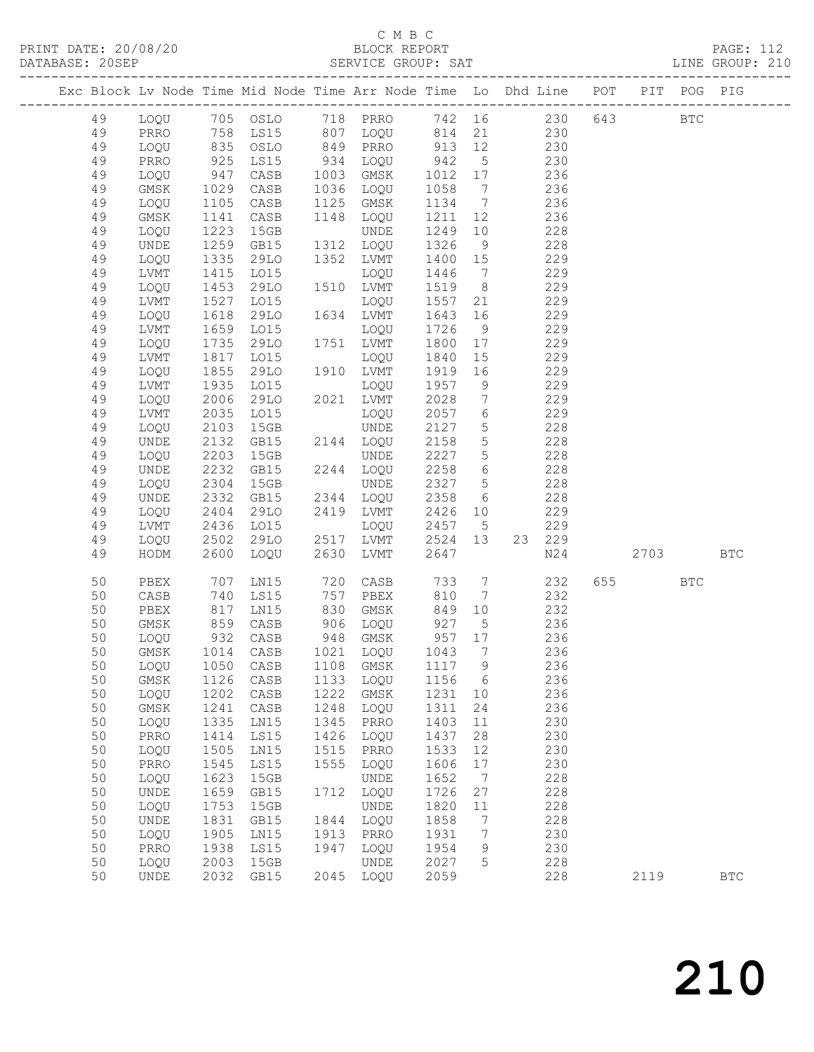| DATABASE: 20SEP |          |                              |              |                                  |      |                                  |                   |                 | SERVICE GROUP: SAT LINE GROUP: 210                                             |         |            |  |
|-----------------|----------|------------------------------|--------------|----------------------------------|------|----------------------------------|-------------------|-----------------|--------------------------------------------------------------------------------|---------|------------|--|
|                 |          |                              |              |                                  |      |                                  |                   |                 | Exc Block Lv Node Time Mid Node Time Arr Node Time Lo Dhd Line POT PIT POG PIG |         |            |  |
|                 | 49       |                              |              |                                  |      |                                  |                   |                 | LOQU 705 OSLO 718 PRRO 742 16 230 643 BTC                                      |         |            |  |
|                 | 49       | PRRO                         |              |                                  |      |                                  |                   |                 | 758 LS15 807 LOQU 814 21 230                                                   |         |            |  |
|                 | 49       | LOQU                         |              |                                  |      |                                  |                   |                 |                                                                                |         |            |  |
|                 | 49       | PRRO                         |              |                                  |      |                                  |                   |                 |                                                                                |         |            |  |
|                 | 49       | LOQU                         |              |                                  |      |                                  |                   |                 | 236                                                                            |         |            |  |
|                 | 49       | GMSK                         | 1029         | CASB                             |      | 1036 LOQU                        | 1058              | $7\overline{ }$ | 236                                                                            |         |            |  |
|                 | 49       | LOQU                         | 1105         | CASB                             |      | 1125 GMSK                        | 1134              | $7\overline{ }$ | 236                                                                            |         |            |  |
|                 | 49       | GMSK                         | 1141         | CASB                             |      | 1148 LOQU                        | 1211              | 12              | 236                                                                            |         |            |  |
|                 | 49       | LOQU                         | 1223         | 15GB                             |      | UNDE                             | 1249              | 10              | 228                                                                            |         |            |  |
|                 | 49       | UNDE                         | 1259         | GB15                             |      | 1312 LOQU                        | 1326              | 9               | 228                                                                            |         |            |  |
|                 | 49       | LOQU                         | 1335         | 29LO                             |      | 1352 LVMT                        | 1400 15           |                 | 229                                                                            |         |            |  |
|                 | 49       | LVMT                         | 1415<br>1453 | L015                             |      | LOQU                             | 1446              | $\overline{7}$  | 229                                                                            |         |            |  |
|                 | 49       | LOQU                         |              | 29LO                             |      | 1510 LVMT                        | 1519              | 8 <sup>8</sup>  | 229                                                                            |         |            |  |
|                 | 49       | LVMT                         | 1527         | LO15                             |      | LOQU                             | 1557              | 21              | 229                                                                            |         |            |  |
|                 | 49       | LOQU                         | 1618         | 29LO                             |      | 1634 LVMT                        | 1643              | 16              | 229                                                                            |         |            |  |
|                 | 49       | LVMT                         | 1659<br>1735 | L015                             |      | LOQU                             | 1726              | 9               | 229                                                                            |         |            |  |
|                 | 49<br>49 | LOQU                         | 1817         | 29LO                             |      | 1751 LVMT                        | 1800              | 17              | 229<br>229                                                                     |         |            |  |
|                 | 49       | LVMT<br>LOQU                 | 1855         | LO15<br>29LO                     |      | LOQU<br>1910 LVMT                | 1840<br>1919      | 15<br>16        | 229                                                                            |         |            |  |
|                 | 49       | LVMT                         | 1935         | L015                             |      | LOQU                             | 1957              | 9               | 229                                                                            |         |            |  |
|                 | 49       | LOQU                         | 2006         | 29LO                             |      | 2021 LVMT                        | 2028              | $7\overline{ }$ | 229                                                                            |         |            |  |
|                 | 49       | LVMT                         | 2035         | LO15                             |      | LOQU                             | 2057              | $6\overline{6}$ | 229                                                                            |         |            |  |
|                 | 49       | LOQU                         | 2103         | 15GB                             |      | UNDE                             | 2127              | 5 <sup>5</sup>  | 228                                                                            |         |            |  |
|                 | 49       | UNDE                         | 2132         | GB15                             |      | 2144 LOQU                        | 2158              | 5 <sup>5</sup>  | 228                                                                            |         |            |  |
|                 | 49       | LOQU                         | 2203         | 15GB                             |      | UNDE                             | 2227              | 5 <sup>5</sup>  | 228                                                                            |         |            |  |
|                 | 49       | UNDE                         | 2232         | GB15                             |      | 2244 LOQU                        | 2258              | $6\overline{6}$ | 228                                                                            |         |            |  |
|                 | 49       | LOQU                         | 2304         | 15GB                             |      | UNDE                             | 2327              | $5\overline{)}$ | 228                                                                            |         |            |  |
|                 | 49       | UNDE                         | 2332         | GB15                             |      | 2344 LOQU                        | 2358              | 6               | 228                                                                            |         |            |  |
|                 | 49       | LOQU                         | 2404<br>2436 | 29LO                             |      | 2419 LVMT                        | 2426 10           |                 | 229                                                                            |         |            |  |
|                 | 49       | LVMT                         |              | LO15                             |      | LOQU                             | 2457 5            |                 | 229                                                                            |         |            |  |
|                 | 49       | LOQU                         | 2502         | 29LO                             |      | 2517 LVMT                        | 2524 13           |                 | 23 229                                                                         |         |            |  |
|                 | 49       | HODM                         | 2600         | LOQU                             | 2630 | LVMT                             | 2647              |                 | N24                                                                            | 2703    | <b>BTC</b> |  |
|                 | 50       | PBEX                         | 707          | LNI5                             |      | 720 CASB                         | 733               | $7\overline{ }$ | 232                                                                            | 655 BTC |            |  |
|                 | 50       | CASB                         | 740          | LS15                             |      | 757 PBEX                         | 810               | $7\overline{ }$ | 232                                                                            |         |            |  |
|                 | 50       | PBEX                         |              | 817 LN15<br>859 CASB<br>932 CASB |      | 830 GMSK                         | 849               | 10              | 232                                                                            |         |            |  |
|                 | 50<br>50 | GMSK<br>LOQU                 |              |                                  |      | 906 LOQU<br>948 GMSK<br>948 GMSK | 927  5<br>957  17 | 5 <sup>5</sup>  | $\frac{236}{6}$                                                                |         |            |  |
|                 | 50       |                              |              |                                  |      |                                  |                   |                 | GMSK 1014 CASB 1021 LOQU 1043 7 236                                            |         |            |  |
|                 | 50       | LOQU                         | 1050         | CASB                             | 1108 | GMSK                             | 1117              | 9               | 236                                                                            |         |            |  |
|                 | 50       | GMSK                         | 1126         | CASB                             | 1133 | LOQU                             | 1156              | $6\overline{6}$ | 236                                                                            |         |            |  |
|                 | 50       | LOQU                         | 1202         | CASB                             | 1222 | GMSK                             | 1231              | 10              | 236                                                                            |         |            |  |
|                 | 50       | GMSK                         | 1241         | CASB                             | 1248 | LOQU                             | 1311              | 24              | 236                                                                            |         |            |  |
|                 | 50       | LOQU                         | 1335         | LN15                             | 1345 | PRRO                             | 1403              | 11              | 230                                                                            |         |            |  |
|                 | 50       | PRRO                         | 1414         | LS15                             | 1426 | LOQU                             | 1437              | 28              | 230                                                                            |         |            |  |
|                 | 50       | LOQU                         | 1505         | LN15                             | 1515 | PRRO                             | 1533              | 12              | 230                                                                            |         |            |  |
|                 | 50       | PRRO                         | 1545         | LS15                             | 1555 | LOQU                             | 1606              | 17              | 230                                                                            |         |            |  |
|                 | 50       | LOQU                         | 1623         | 15GB                             |      | UNDE                             | 1652              | $\overline{7}$  | 228                                                                            |         |            |  |
|                 | 50       | UNDE                         | 1659         | GB15                             | 1712 | LOQU                             | 1726              | 27              | 228                                                                            |         |            |  |
|                 | 50       | LOQU                         | 1753         | 15GB                             |      | UNDE                             | 1820              | 11              | 228                                                                            |         |            |  |
|                 | 50       | $\ensuremath{\mathsf{UNDE}}$ | 1831         | GB15                             | 1844 | LOQU                             | 1858              | $7\phantom{.0}$ | 228                                                                            |         |            |  |
|                 | 50       | LOQU                         | 1905         | LN15                             | 1913 | PRRO                             | 1931              | 7               | 230                                                                            |         |            |  |
|                 | 50       | PRRO                         | 1938         | LS15                             | 1947 | LOQU                             | 1954              | 9               | 230                                                                            |         |            |  |
|                 | 50       | LOQU                         | 2003         | 15GB                             |      | UNDE                             | 2027              | 5               | 228                                                                            |         |            |  |
|                 | 50       | UNDE                         | 2032         | GB15                             |      | 2045 LOQU                        | 2059              |                 | 228                                                                            | 2119    | <b>BTC</b> |  |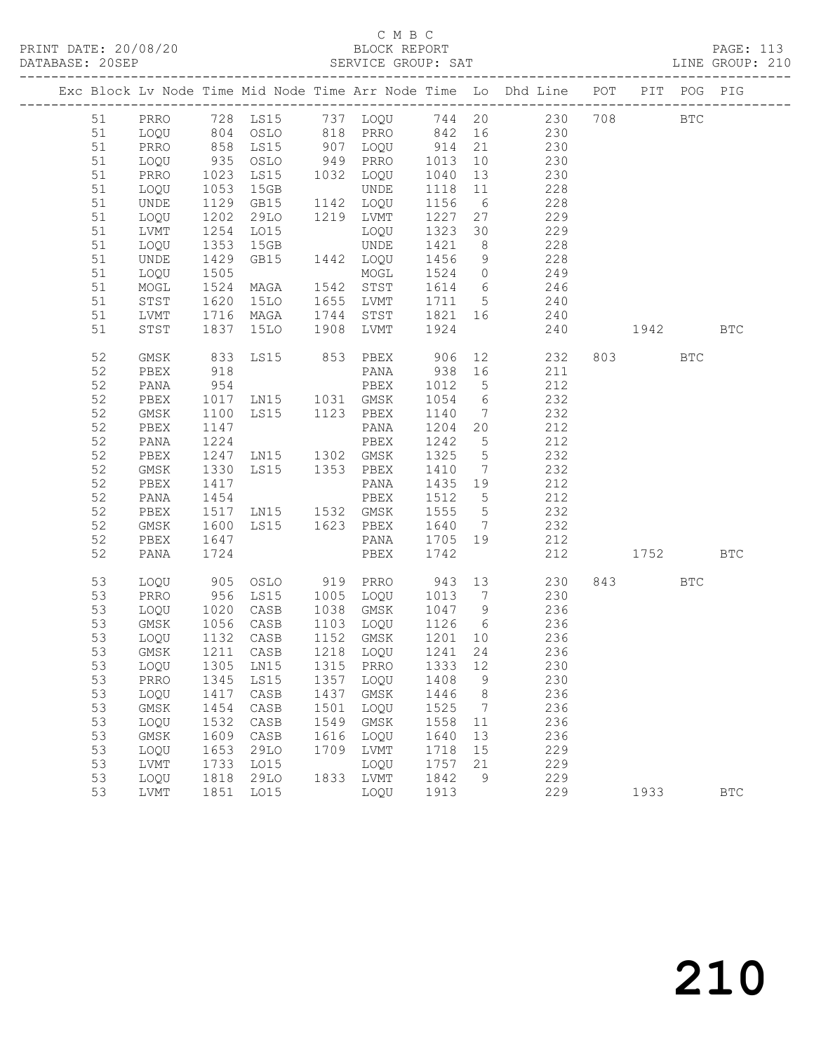### C M B C<br>BLOCK REPORT SERVICE GROUP: SAT

|          |              |              |                                  |              |              |              |                 | Exc Block Lv Node Time Mid Node Time Arr Node Time Lo Dhd Line POT PIT POG PIG |     |      |              |            |
|----------|--------------|--------------|----------------------------------|--------------|--------------|--------------|-----------------|--------------------------------------------------------------------------------|-----|------|--------------|------------|
| 51       | PRRO         |              |                                  |              |              |              |                 | 728 LS15 737 LOQU 744 20 230                                                   | 708 |      | $_{\rm BTC}$ |            |
| 51       | LOQU         |              | 804 OSLO                         |              | 818 PRRO 842 |              | 16              | 230                                                                            |     |      |              |            |
| 51       | PRRO         |              | LS15                             |              | 907 LOQU     | 914          | 21              | 230                                                                            |     |      |              |            |
| 51       | LOQU         | 858<br>935   | OSLO                             |              | 949 PRRO     | 1013         | 10              | 230                                                                            |     |      |              |            |
| 51       | PRRO         | 1023         | LS15                             |              | 1032 LOQU    | 1040         | 13              | 230                                                                            |     |      |              |            |
| 51       | LOQU         | 1053         | 15GB                             |              | UNDE         | 1118         | 11              | 228                                                                            |     |      |              |            |
| 51       | UNDE         | 1129         | GB15                             |              | 1142 LOQU    | 1156         | 6               | 228                                                                            |     |      |              |            |
| 51       | LOQU         | 1202         | 29LO                             |              | 1219 LVMT    | 1227         | 27              | 229                                                                            |     |      |              |            |
| 51       | LVMT         | 1254         | LO15                             |              | LOQU         | 1323         | 30              | 229                                                                            |     |      |              |            |
| 51       | LOQU         | 1353         | 15GB                             |              | UNDE         | 1421         | 8 <sup>8</sup>  | 228                                                                            |     |      |              |            |
| 51       | UNDE         | 1429         | GB15                             |              | 1442 LOQU    | 1456         | 9               | 228                                                                            |     |      |              |            |
| 51       | LOQU         | 1505         |                                  |              | MOGL         | 1524         | $\overline{0}$  | 249                                                                            |     |      |              |            |
| 51       | MOGL         | 1524         | MAGA                             |              | 1542 STST    | 1614 6       |                 | 246                                                                            |     |      |              |            |
| 51       | STST         | 1620         | 15LO                             | 1655         | LVMT         | 1711         | $5^{\circ}$     | 240                                                                            |     |      |              |            |
| 51       | LVMT         | 1716         | MAGA                             | 1744         | STST         | 1821 16      |                 | 240                                                                            |     |      |              |            |
| 51       | STST         | 1837         | 15LO                             | 1908         | LVMT         | 1924         |                 | 240                                                                            |     | 1942 |              | <b>BTC</b> |
| 52       | GMSK         | 833          | LS15                             |              | 853 PBEX     | 906          | 12              | 232                                                                            |     |      | <b>BTC</b>   |            |
| 52       | PBEX         | 918          |                                  |              | PANA         | 938          | 16              | 211                                                                            |     |      |              |            |
| 52       | PANA         | 954          |                                  |              | PBEX         | 1012         | 5               | 212                                                                            |     |      |              |            |
| 52       | PBEX         | 1017         | LN15 1031 GMSK                   |              |              | 1054         | $6\overline{6}$ | 232                                                                            |     |      |              |            |
| 52       | GMSK         | 1100         | LS15 1123 PBEX                   |              |              | 1140         | $\overline{7}$  | 232                                                                            |     |      |              |            |
| 52       | PBEX         | 1147         |                                  |              | PANA         | 1204         | 20              | 212                                                                            |     |      |              |            |
| 52       | PANA         | 1224         |                                  |              | PBEX         | 1242         | $5\overline{)}$ | 212                                                                            |     |      |              |            |
| 52       | PBEX         | 1247         | LNI5                             |              | 1302 GMSK    | 1325         | $5\overline{)}$ | 232                                                                            |     |      |              |            |
| 52       | GMSK         | 1330         | LS15                             |              | 1353 PBEX    | 1410         | $\overline{7}$  | 232                                                                            |     |      |              |            |
| 52       | PBEX         | 1417         |                                  |              | PANA         | 1435         | 19              | 212                                                                            |     |      |              |            |
| 52       | PANA         | 1454         |                                  |              | PBEX         | 1512         | $5^{\circ}$     | 212                                                                            |     |      |              |            |
| 52       | PBEX         | 1517         | LN15 1532 GMSK                   |              |              | 1555         | $5\overline{)}$ | 232                                                                            |     |      |              |            |
| 52       | GMSK         | 1600         | LS15 1623 PBEX                   |              |              | 1640         | $\overline{7}$  | 232                                                                            |     |      |              |            |
| 52       | PBEX         | 1647         |                                  |              | PANA         | 1705         | 19              | 212                                                                            |     |      |              |            |
| 52       | PANA         | 1724         |                                  |              | PBEX         | 1742         |                 | 212                                                                            |     | 1752 |              | <b>BTC</b> |
| 53       | LOQU         | 905          | OSLO                             |              | 919 PRRO     | 943          | 13              | 230                                                                            |     |      | <b>BTC</b>   |            |
| 53       | PRRO         | 956          | LS15                             | 1005         | LOQU         | 1013         | $\overline{7}$  | 230                                                                            |     |      |              |            |
| 53       | LOQU         | 1020<br>1056 | CASB                             | 1038         | GMSK         | 1047         | 9               | 236                                                                            |     |      |              |            |
| 53       | GMSK         |              | CASB                             |              | 1103 LOQU    | 1126 6       |                 | 236                                                                            |     |      |              |            |
| 53       | LOQU         |              | 1132 CASB                        |              | 1152 GMSK    | 1201 10      |                 | 236                                                                            |     |      |              |            |
| 53       | GMSK         |              | 1211 CASB                        |              | 1218 LOQU    | 1241 24      |                 | 236                                                                            |     |      |              |            |
| 53       |              |              | LOQU 1305 LN15 1315 PRRO 1333 12 |              |              |              |                 | 230                                                                            |     |      |              |            |
| 53<br>53 | PRRO         | 1345         | LS15                             | 1357<br>1437 | LOQU         | 1408         | 9               | 230<br>236                                                                     |     |      |              |            |
| 53       | LOQU<br>GMSK | 1417<br>1454 | CASB<br>CASB                     | 1501         | GMSK<br>LOQU | 1446<br>1525 | 8<br>7          | 236                                                                            |     |      |              |            |
| 53       | LOQU         | 1532         | CASB                             | 1549         | GMSK         | 1558         | 11              | 236                                                                            |     |      |              |            |
| 53       | GMSK         | 1609         | CASB                             | 1616         | LOQU         | 1640         | 13              | 236                                                                            |     |      |              |            |
| 53       | LOQU         | 1653         | <b>29LO</b>                      | 1709         | LVMT         | 1718         | 15              | 229                                                                            |     |      |              |            |
| 53       | LVMT         | 1733         | L015                             |              | LOQU         | 1757         | 21              | 229                                                                            |     |      |              |            |
| 53       | LOQU         | 1818         | <b>29LO</b>                      | 1833         | LVMT         | 1842         | 9               | 229                                                                            |     |      |              |            |
| 53       | LVMT         | 1851         | L015                             |              | LOQU         | 1913         |                 | 229                                                                            |     | 1933 |              | <b>BTC</b> |
|          |              |              |                                  |              |              |              |                 |                                                                                |     |      |              |            |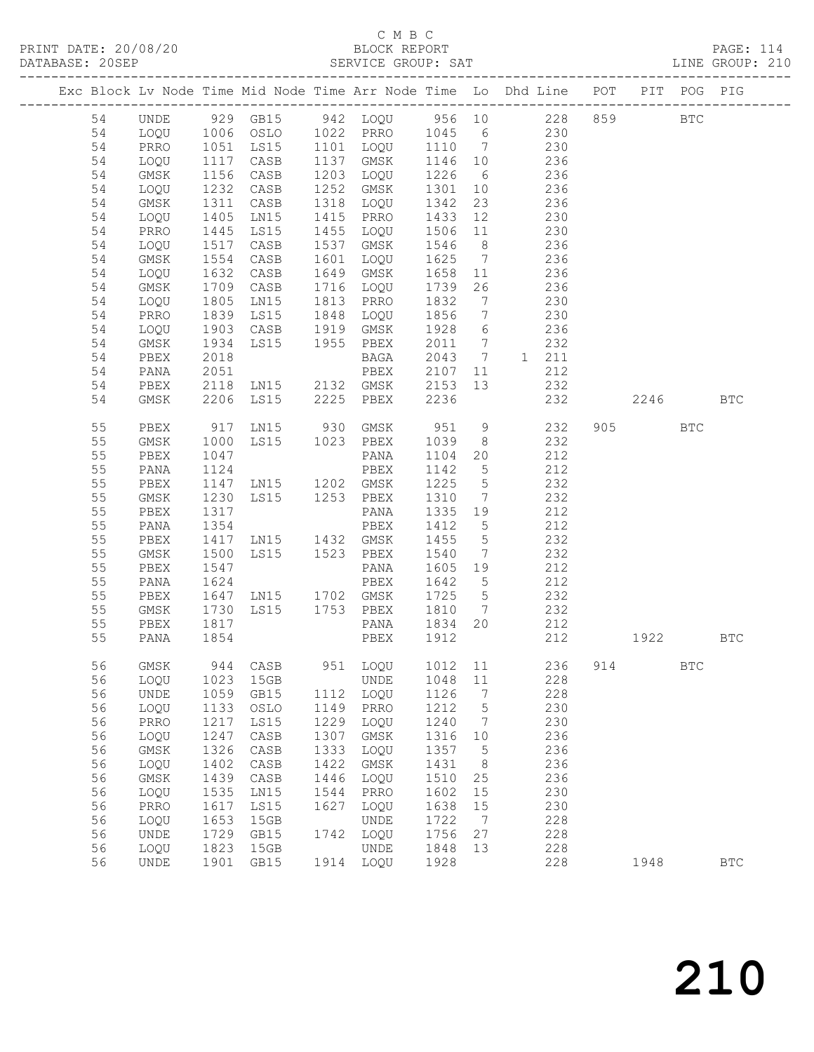## C M B C<br>BLOCK REPORT

| DATABASE: 20SEP |          | -------------------          |              |                                          |      |                     |         |                 | SERVICE GROUP: SAT                                                                                  |     |         |            | LINE GROUP: 210      |  |
|-----------------|----------|------------------------------|--------------|------------------------------------------|------|---------------------|---------|-----------------|-----------------------------------------------------------------------------------------------------|-----|---------|------------|----------------------|--|
|                 |          |                              |              |                                          |      |                     |         |                 | Exc Block Lv Node Time Mid Node Time Arr Node Time Lo Dhd Line POT PIT POG PIG                      |     |         |            |                      |  |
|                 | 54       | UNDE                         |              |                                          |      |                     |         |                 | 929 GB15 942 LOQU 956 10 228 859 BTC                                                                |     |         |            |                      |  |
|                 | 54       | LOQU                         |              |                                          |      |                     |         |                 | 1006 OSLO 1022 PRRO 1045 6 230                                                                      |     |         |            |                      |  |
|                 | 54       | PRRO                         |              |                                          |      |                     |         |                 | 1051 LS15 1101 LOQU 1110 7 230<br>1117 CASB 1137 GMSK 1146 10 236<br>1156 CASB 1203 LOQU 1226 6 236 |     |         |            |                      |  |
|                 | 54       | LOQU                         |              |                                          |      |                     |         |                 |                                                                                                     |     |         |            |                      |  |
|                 | 54       | GMSK                         |              |                                          |      |                     |         |                 |                                                                                                     |     |         |            |                      |  |
|                 | 54       | LOQU                         | 1232         | CASB                                     |      | 1252 GMSK           |         |                 | 1301 10 236                                                                                         |     |         |            |                      |  |
|                 | 54       | GMSK                         | 1311         | CASB                                     |      | 1318 LOQU           | 1342    | 23              | 236                                                                                                 |     |         |            |                      |  |
|                 | 54       | LOQU                         | 1405<br>1445 | LN15                                     |      |                     |         |                 |                                                                                                     |     |         |            |                      |  |
|                 | 54       | PRRO                         |              | <b>LS15</b>                              |      |                     |         |                 | 1415 PRRO 1433 12 230<br>1455 LOQU 1506 11 230                                                      |     |         |            |                      |  |
|                 | 54       | LOQU                         | 1517         | CASB                                     |      | 1537 GMSK           |         |                 | 1546 8 236                                                                                          |     |         |            |                      |  |
|                 | 54       | GMSK                         | 1554         | CASB                                     |      | 1601 LOQU           |         |                 | 1625 7 236                                                                                          |     |         |            |                      |  |
|                 | 54       | LOQU                         | 1632<br>1709 | CASB                                     |      | 1649 GMSK           |         |                 | 1658 11 236<br>1739 26 236                                                                          |     |         |            |                      |  |
|                 | 54       | GMSK                         |              | CASB                                     |      | 1716 LOQU 1739      |         |                 |                                                                                                     |     |         |            |                      |  |
|                 | 54       | LOQU                         | 1805         | LNI5                                     |      | 1813 PRRO 1832      |         | $7\overline{ }$ | 230                                                                                                 |     |         |            |                      |  |
|                 | 54       | PRRO                         | 1839         | LS15                                     |      | 1848 LOQU 1856      |         | $7\overline{)}$ | 230                                                                                                 |     |         |            |                      |  |
|                 | 54       | LOQU                         | 1903<br>1934 |                                          |      |                     |         |                 |                                                                                                     |     |         |            |                      |  |
|                 | 54       | GMSK                         |              | CASB 1919 GMSK<br>LS15 1955 PBEX<br>BAGA |      |                     |         |                 | 1928 6 236<br>2011 7 232                                                                            |     |         |            |                      |  |
|                 | 54       | PBEX                         | 2018         |                                          |      |                     |         |                 | BAGA 2043 7 1 211                                                                                   |     |         |            |                      |  |
|                 | 54       | PANA                         | 2051         |                                          |      | PBEX                | 2107    |                 | 11<br>212                                                                                           |     |         |            |                      |  |
|                 | 54       | PBEX                         |              |                                          |      |                     |         |                 | 2118 LN15 2132 GMSK 2153 13 232<br>2206 LS15 2225 PBEX 2236 232                                     |     |         |            |                      |  |
|                 | 54       | GMSK                         |              |                                          |      |                     |         |                 | 232                                                                                                 |     | 2246    |            | <b>BTC</b>           |  |
|                 | 55       | PBEX                         |              |                                          |      |                     |         |                 | 917 LN15 930 GMSK 951 9 232                                                                         |     | 905 700 | <b>BTC</b> |                      |  |
|                 | 55       | GMSK                         | 1000         | LS15 1023 PBEX                           |      |                     | 1039    | 8 <sup>8</sup>  | 232                                                                                                 |     |         |            |                      |  |
|                 | 55       | PBEX                         | 1047         |                                          |      | PANA                | 1104    | 20              | 212                                                                                                 |     |         |            |                      |  |
|                 | 55       | PANA                         | 1124         |                                          |      | PBEX                | 1142 5  |                 | 212                                                                                                 |     |         |            |                      |  |
|                 | 55       | PBEX                         |              | 1147 LN15 1202 GMSK                      |      |                     | 1225    | $5\overline{)}$ | 232                                                                                                 |     |         |            |                      |  |
|                 | 55       | GMSK                         | 1230         | LS15 1253 PBEX                           |      |                     | 1310    | $7\overline{ }$ | 232                                                                                                 |     |         |            |                      |  |
|                 | 55       | PBEX                         | 1317         |                                          |      | PANA                | 1335 19 |                 | 212<br>212                                                                                          |     |         |            |                      |  |
|                 | 55       | PANA                         | 1354         |                                          |      | PBEX                | 1412 5  |                 |                                                                                                     |     |         |            |                      |  |
|                 | 55       | PBEX                         | 1417         | LN15 1432 GMSK                           |      |                     | 1455    | 5 <sup>5</sup>  | 232                                                                                                 |     |         |            |                      |  |
|                 | 55       | GMSK                         | 1500         | LS15 1523 PBEX                           |      |                     | 1540    |                 | 7 232                                                                                               |     |         |            |                      |  |
|                 | 55<br>55 | PBEX                         | 1547<br>1624 |                                          |      | PANA                | 1605 19 |                 | 212<br>212                                                                                          |     |         |            |                      |  |
|                 | 55       | PANA<br>PBEX                 |              | 1647 LN15 1702 GMSK 1725 5               |      | PBEX                | 1642 5  |                 | 232                                                                                                 |     |         |            |                      |  |
|                 | 55       | GMSK                         | 1730         |                                          |      | LS15 1753 PBEX 1810 |         | $\overline{7}$  |                                                                                                     |     |         |            |                      |  |
|                 | 55       | PBEX                         |              |                                          |      | PANA                | 1834 20 |                 | 232<br>212                                                                                          |     |         |            |                      |  |
|                 | 55       | PANA                         | 1817<br>1854 |                                          |      | PBEX 1912           |         |                 | 212                                                                                                 |     | 1922    |            | BTC                  |  |
|                 |          |                              |              |                                          |      |                     |         |                 |                                                                                                     |     |         |            |                      |  |
|                 | 56       | GMSK                         | 944          | CASB                                     | 951  | LOQU                | 1012    | 11              | 236                                                                                                 | 914 |         | BTC        |                      |  |
|                 | 56       | LOQU                         | 1023         | 15GB                                     |      | UNDE                | 1048    | $11\,$          | 228                                                                                                 |     |         |            |                      |  |
|                 | 56       | UNDE                         | 1059         | GB15                                     | 1112 | LOQU                | 1126    | 7               | 228                                                                                                 |     |         |            |                      |  |
|                 | 56       | LOQU                         | 1133         | OSLO                                     | 1149 | PRRO                | 1212    | 5               | 230                                                                                                 |     |         |            |                      |  |
|                 | 56       | PRRO                         | 1217         | LS15                                     | 1229 | LOQU                | 1240    | 7               | 230                                                                                                 |     |         |            |                      |  |
|                 | 56       | LOQU                         | 1247         | CASB                                     | 1307 | $\rm{GMSK}$         | 1316    | 10              | 236                                                                                                 |     |         |            |                      |  |
|                 | 56       | GMSK                         | 1326         | $\mathtt{CASB}$                          | 1333 | LOQU                | 1357    | 5               | 236                                                                                                 |     |         |            |                      |  |
|                 | 56       | LOQU                         | 1402         | $\mathtt{CASB}$                          | 1422 | GMSK                | 1431    | 8               | 236                                                                                                 |     |         |            |                      |  |
|                 | 56       | GMSK                         | 1439         | CASB                                     | 1446 | LOQU                | 1510    | 25              | 236                                                                                                 |     |         |            |                      |  |
|                 | 56       | LOQU                         | 1535         | LN15                                     | 1544 | PRRO                | 1602    | 15              | 230                                                                                                 |     |         |            |                      |  |
|                 | 56       | PRRO                         | 1617         | LS15                                     | 1627 | LOQU                | 1638    | 15              | 230                                                                                                 |     |         |            |                      |  |
|                 | 56       | LOQU                         | 1653         | 15GB                                     |      | <b>UNDE</b>         | 1722    | 7               | 228                                                                                                 |     |         |            |                      |  |
|                 | 56       | UNDE                         | 1729         | GB15                                     | 1742 | LOQU                | 1756    | 27              | 228                                                                                                 |     |         |            |                      |  |
|                 | 56       | LOQU                         | 1823         | 15GB                                     | 1914 | UNDE                | 1848    | 13              | 228                                                                                                 |     |         |            |                      |  |
|                 | 56       | $\ensuremath{\mathsf{UNDE}}$ | 1901         | GB15                                     |      | LOQU                | 1928    |                 | 228                                                                                                 |     | 1948    |            | $\operatorname{BTC}$ |  |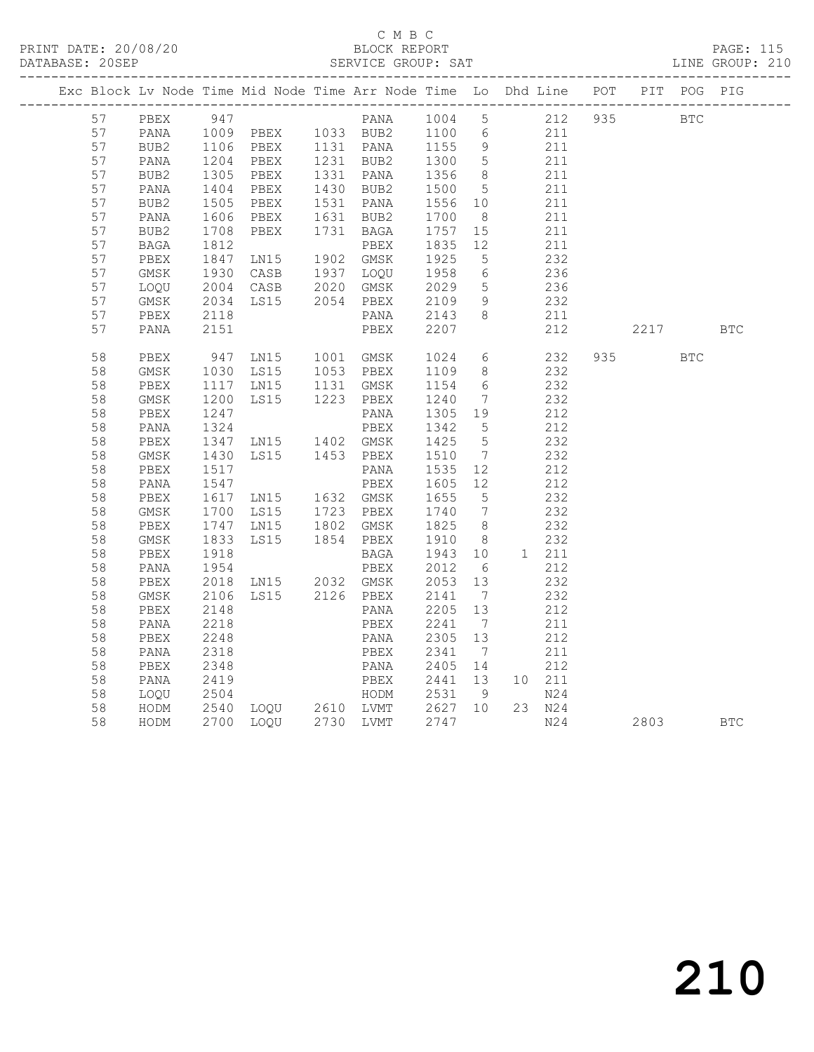### C M B C<br>BLOCK REPORT SERVICE GROUP: SAT

|          |              |              |                                                                                                                      |                                                 |                   |                     | Exc Block Lv Node Time Mid Node Time Arr Node Time Lo Dhd Line POT PIT POG PIG                                                                                                                                                                                                                                 |          |            |  |
|----------|--------------|--------------|----------------------------------------------------------------------------------------------------------------------|-------------------------------------------------|-------------------|---------------------|----------------------------------------------------------------------------------------------------------------------------------------------------------------------------------------------------------------------------------------------------------------------------------------------------------------|----------|------------|--|
|          |              |              |                                                                                                                      |                                                 |                   |                     | 57 PBEX 947 PANA 1004 5 212 935 BTC<br>57 PANA 1009 PBEX 1033 BUB2 1100 6 211<br>57 BUB2 1106 PBEX 1131 PANA 1155 9 211<br>57 PANA 1204 PBEX 1131 PANA 1155 9 211<br>57 PANA 1204 PBEX 1231 BUB2 1300 5 211                                                                                                    |          |            |  |
|          |              |              |                                                                                                                      |                                                 |                   |                     |                                                                                                                                                                                                                                                                                                                |          |            |  |
|          |              |              |                                                                                                                      |                                                 |                   |                     |                                                                                                                                                                                                                                                                                                                |          |            |  |
|          |              |              |                                                                                                                      |                                                 |                   |                     |                                                                                                                                                                                                                                                                                                                |          |            |  |
| 57       | BUB2         |              | PBEX 1331 PANA<br>PBEX 1430 BUB2<br>1305 PBEX<br>1404 PBEX                                                           |                                                 | 1356 8<br>1500 5  | 8 <sup>8</sup>      | $\begin{array}{c} 211 \\ 211 \end{array}$                                                                                                                                                                                                                                                                      |          |            |  |
| 57       | PANA         |              |                                                                                                                      |                                                 |                   |                     |                                                                                                                                                                                                                                                                                                                |          |            |  |
| 57       | BUB2         | 1505<br>1606 |                                                                                                                      | PBEX 1531 PANA 1556 10<br>PBEX 1631 BUB2 1700 8 |                   |                     | 211                                                                                                                                                                                                                                                                                                            |          |            |  |
| 57       | PANA         |              |                                                                                                                      |                                                 |                   |                     | 211                                                                                                                                                                                                                                                                                                            |          |            |  |
| 57       | BUB2         |              | 1708 PBEX 1731 BAGA<br>1812 PBEX<br>1847 LN15 1902 GMSK                                                              | PBEX 1731 BAGA 1757 15                          |                   |                     | 211                                                                                                                                                                                                                                                                                                            |          |            |  |
| 57       | BAGA         |              |                                                                                                                      |                                                 | 1835 12<br>1925 5 |                     | 211                                                                                                                                                                                                                                                                                                            |          |            |  |
| 57       | PBEX         |              |                                                                                                                      |                                                 |                   |                     | 232                                                                                                                                                                                                                                                                                                            |          |            |  |
| 57       | GMSK         |              | 1930 CASB 1937 LOQU<br>2004 CASB 2020 GMSK                                                                           |                                                 | 1958<br>2029      | 6                   | $236$<br>$236$                                                                                                                                                                                                                                                                                                 |          |            |  |
| 57<br>57 | LOQU         |              |                                                                                                                      |                                                 |                   | 5 <sup>5</sup><br>9 |                                                                                                                                                                                                                                                                                                                |          |            |  |
| 57       | GMSK<br>PBEX |              | 2004 Chor 2004<br>2034 LS15 2054 PBEX 2109 9<br>2118 PANA 2143 8                                                     |                                                 |                   |                     | 232<br>211                                                                                                                                                                                                                                                                                                     |          |            |  |
| 57       | PANA         | 2151         |                                                                                                                      | PBEX 2207                                       |                   |                     | 212                                                                                                                                                                                                                                                                                                            | 2217 BTC |            |  |
|          |              |              |                                                                                                                      |                                                 |                   |                     |                                                                                                                                                                                                                                                                                                                |          |            |  |
| 58       | PBEX         |              | 947 LN15 1001 GMSK 1024                                                                                              |                                                 |                   |                     | 6 232                                                                                                                                                                                                                                                                                                          |          | <b>BTC</b> |  |
| 58       | GMSK         |              | 1030 LS15 1053 PBEX 1109 8<br>1117 LN15 1131 GMSK 1154 6                                                             |                                                 |                   |                     | 232                                                                                                                                                                                                                                                                                                            |          |            |  |
| 58       | PBEX         |              |                                                                                                                      |                                                 |                   |                     | 232                                                                                                                                                                                                                                                                                                            |          |            |  |
| 58       | GMSK         | 1200<br>1247 | LS15 1223 PBEX                                                                                                       |                                                 | 1240 7<br>1305 19 | $\overline{7}$      | 232<br>212                                                                                                                                                                                                                                                                                                     |          |            |  |
| 58       | PBEX         | 1247         |                                                                                                                      | PANA                                            |                   |                     |                                                                                                                                                                                                                                                                                                                |          |            |  |
| 58       | PANA         |              | 1237<br>1324 PBEX<br>1347 LN15 1402 GMSK<br>1430 LS15 1453 PBEX                                                      | PBEX 1342 5<br>GMSK 1425 5<br>PBEX 1510 7       |                   |                     | 212                                                                                                                                                                                                                                                                                                            |          |            |  |
| 58       | PBEX         |              |                                                                                                                      |                                                 |                   |                     | 232                                                                                                                                                                                                                                                                                                            |          |            |  |
| 58       | GMSK         |              |                                                                                                                      |                                                 |                   |                     | 232                                                                                                                                                                                                                                                                                                            |          |            |  |
| 58       | PBEX         | 1517<br>1547 |                                                                                                                      | PANA 1535 12<br>PBEX 1605 12                    |                   |                     | 212<br>212                                                                                                                                                                                                                                                                                                     |          |            |  |
| 58       | PANA         |              |                                                                                                                      |                                                 |                   |                     |                                                                                                                                                                                                                                                                                                                |          |            |  |
| 58       | PBEX         |              |                                                                                                                      |                                                 |                   |                     | 232<br>232                                                                                                                                                                                                                                                                                                     |          |            |  |
| 58       | GMSK         |              |                                                                                                                      |                                                 |                   |                     |                                                                                                                                                                                                                                                                                                                |          |            |  |
| 58<br>58 | PBEX         |              | 1617 LN15 1632 GMSK 1655 5<br>1700 LS15 1723 PBEX 1740 7<br>1747 LN15 1802 GMSK 1825 8<br>1833 LS15 1854 PBEX 1910 8 |                                                 |                   |                     | 232<br>232                                                                                                                                                                                                                                                                                                     |          |            |  |
| 58       | GMSK<br>PBEX | 1918         |                                                                                                                      | BAGA 1943 10                                    |                   |                     | 1 211                                                                                                                                                                                                                                                                                                          |          |            |  |
| 58       | PANA         |              |                                                                                                                      |                                                 |                   |                     | 212                                                                                                                                                                                                                                                                                                            |          |            |  |
| 58       | PBEX         |              |                                                                                                                      |                                                 |                   |                     | 232                                                                                                                                                                                                                                                                                                            |          |            |  |
| 58       | GMSK         | 2106         |                                                                                                                      |                                                 |                   |                     | 232                                                                                                                                                                                                                                                                                                            |          |            |  |
| 58       | PBEX         | 2148         |                                                                                                                      | LS15 2126 PBEX 2141 7<br>PANA 2205 13           |                   |                     | 212                                                                                                                                                                                                                                                                                                            |          |            |  |
| 58       | PANA         | 2218         |                                                                                                                      | PBEX 2241                                       |                   | $\overline{7}$      | 211                                                                                                                                                                                                                                                                                                            |          |            |  |
| 58       | PBEX         |              |                                                                                                                      |                                                 |                   |                     |                                                                                                                                                                                                                                                                                                                |          |            |  |
| 58       | PANA         |              |                                                                                                                      |                                                 |                   |                     |                                                                                                                                                                                                                                                                                                                |          |            |  |
| 58       | PBEX         |              |                                                                                                                      |                                                 |                   |                     |                                                                                                                                                                                                                                                                                                                |          |            |  |
| 58       | PANA         |              |                                                                                                                      |                                                 |                   |                     |                                                                                                                                                                                                                                                                                                                |          |            |  |
| 58       | LOQU         |              |                                                                                                                      |                                                 |                   |                     |                                                                                                                                                                                                                                                                                                                |          |            |  |
| 58       | HODM         |              |                                                                                                                      |                                                 |                   |                     | 2248<br>2348<br>2318<br>2348<br>2348<br>2348<br>2348<br>PANA 2305<br>2341<br>2341<br>2341<br>2405<br>241<br>212<br>2540<br>2504<br>260<br>260<br>260<br>260<br>260<br>271<br>211<br>212<br>2540<br>250<br>260<br>260<br>271<br>271<br>221<br>2540<br>260<br>271<br>221<br>2540<br>260<br>271<br>272<br>272<br> |          |            |  |
| 58       | HODM         |              | 2700 LOQU 2730 LVMT                                                                                                  |                                                 | 2747              |                     | N24                                                                                                                                                                                                                                                                                                            | 2803 BTC |            |  |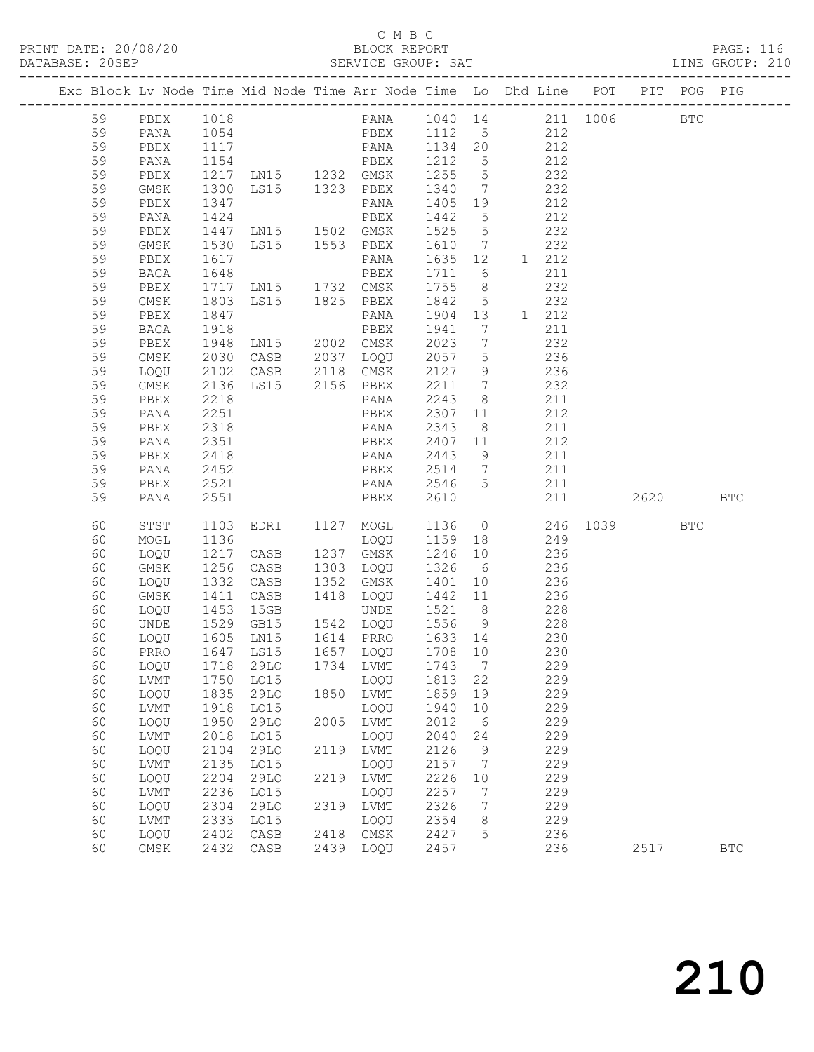| DATABASE: 20SEP |          |      |                  |                                                                                |      |                                                       |              |                |                                           |            |          |          |     |            |  |
|-----------------|----------|------|------------------|--------------------------------------------------------------------------------|------|-------------------------------------------------------|--------------|----------------|-------------------------------------------|------------|----------|----------|-----|------------|--|
|                 |          |      |                  | Exc Block Lv Node Time Mid Node Time Arr Node Time Lo Dhd Line POT PIT POG PIG |      |                                                       |              |                |                                           |            |          |          |     |            |  |
|                 | 59       |      |                  | PBEX 1018  PANA 1040 14  211 1006  BTC                                         |      |                                                       |              |                |                                           |            |          |          |     |            |  |
|                 | 59       | PANA |                  | 1054   PBEX   1112   5   212                                                   |      |                                                       |              |                |                                           |            |          |          |     |            |  |
|                 | 59       | PBEX |                  |                                                                                |      |                                                       |              |                |                                           |            |          |          |     |            |  |
|                 | 59       | PANA |                  |                                                                                |      |                                                       |              |                |                                           |            |          |          |     |            |  |
|                 | 59       | PBEX |                  |                                                                                |      |                                                       |              |                |                                           |            |          |          |     |            |  |
|                 | 59       | GMSK | 1300             |                                                                                |      | LS15 1323 PBEX 1340 7 232                             |              |                |                                           |            |          |          |     |            |  |
|                 | 59       | PBEX | 1347             |                                                                                |      | PANA                                                  |              |                | 1405 19 212                               |            |          |          |     |            |  |
|                 | 59       | PANA |                  |                                                                                |      |                                                       |              |                |                                           | 212        |          |          |     |            |  |
|                 | 59       | PBEX |                  |                                                                                |      |                                                       |              |                | 232                                       |            |          |          |     |            |  |
|                 | 59       | GMSK | 1530             |                                                                                |      | LS15 1553 PBEX 1610 7 232                             |              |                |                                           |            |          |          |     |            |  |
|                 | 59       | PBEX | 1617             |                                                                                |      | PANA                                                  |              |                | 1635 12 1 212                             |            |          |          |     |            |  |
|                 | 59       | BAGA |                  |                                                                                |      |                                                       |              |                |                                           | 211        |          |          |     |            |  |
|                 | 59       | PBEX |                  |                                                                                |      |                                                       |              |                |                                           | 232        |          |          |     |            |  |
|                 | 59       | GMSK | 1803             |                                                                                |      | LS15 1825 PBEX 1842 5 232                             |              |                |                                           |            |          |          |     |            |  |
|                 | 59       | PBEX | 1847             |                                                                                |      | PANA 1904 13 1 212                                    |              |                |                                           |            |          |          |     |            |  |
|                 | 59       | BAGA |                  | PANA 1904 13<br>PBEX 1941 7<br>LN15 2002 GMSK 2023 7                           |      |                                                       |              |                |                                           | 211        |          |          |     |            |  |
|                 | 59       | PBEX | 1918<br>1948     |                                                                                |      |                                                       |              |                |                                           | 232        |          |          |     |            |  |
|                 | 59       | GMSK | 2030             |                                                                                |      | CASB 2037 LOQU 2057 5                                 |              |                | 236                                       |            |          |          |     |            |  |
|                 | 59       | LOQU | 2102             |                                                                                |      | CASB 2118 GMSK                                        | 2127 9       |                | 236                                       |            |          |          |     |            |  |
|                 | 59       | GMSK | 2136<br>2218     |                                                                                |      | LS15 2156 PBEX 2211 7                                 |              |                | $\begin{array}{c} 232 \\ 211 \end{array}$ |            |          |          |     |            |  |
|                 | 59       | PBEX | 2218             |                                                                                |      | PANA                                                  | 2243 8       |                |                                           |            |          |          |     |            |  |
|                 | 59       | PANA | 2251             |                                                                                |      | PBEX                                                  |              |                | 2307 11 212                               |            |          |          |     |            |  |
|                 | 59       | PBEX | 2318             |                                                                                |      | PANA                                                  | 2343         |                | 8 211                                     |            |          |          |     |            |  |
|                 | 59       | PANA | 2351             |                                                                                |      | PBEX 2407 11 212                                      |              |                |                                           |            |          |          |     |            |  |
|                 | 59       | PBEX | 2418             |                                                                                |      | PANA                                                  | 2443 9       |                |                                           | 211        |          |          |     |            |  |
|                 | 59       | PANA | $\frac{-}{2452}$ |                                                                                |      | PBEX 2514 7 211                                       |              |                |                                           |            |          |          |     |            |  |
|                 | 59       | PBEX | 2521             |                                                                                |      | PANA 2546 5 211                                       |              |                |                                           |            |          |          |     |            |  |
|                 | 59       | PANA | 2551             |                                                                                |      | <b>EXECUTE:</b> PBEX                                  | 2610         |                |                                           |            | 211      | 2620 BTC |     |            |  |
|                 | 60       | STST |                  | 1103 EDRI 1127 MOGL 1136 0                                                     |      |                                                       |              |                |                                           |            | 246 1039 |          | BTC |            |  |
|                 | 60       | MOGL | 1136             |                                                                                |      | LOQU 1159 18 249                                      |              |                |                                           |            |          |          |     |            |  |
|                 | 60       | LOQU | 1217             | CASB 1237 GMSK                                                                 |      |                                                       | 1246 10      |                | 236                                       |            |          |          |     |            |  |
|                 | 60       | GMSK |                  | 1256 CASB<br>1332 CASB<br>CASB 1303 LOQU                                       |      | 1303  LOQU     1326    6<br>1352   GMSK     1401   10 |              |                |                                           | 236        |          |          |     |            |  |
|                 | 60       | LOQU |                  |                                                                                |      |                                                       |              |                |                                           | 236        |          |          |     |            |  |
|                 | 60       | GMSK | 1411             |                                                                                |      | CASB 1418 LOQU 1442 11 236                            |              |                |                                           |            |          |          |     |            |  |
|                 | 60       | LOQU | 1453             | 15GB                                                                           |      | UNDE 1521 8 228                                       |              |                |                                           |            |          |          |     |            |  |
|                 | 60       | UNDE |                  | 1529 GB15 1542 LOQU 1556 9 228<br>1605 LN15 1614 PRRO 1633 14 230              |      |                                                       |              |                |                                           |            |          |          |     |            |  |
|                 | 60       | LOQU |                  |                                                                                |      |                                                       |              |                |                                           |            |          |          |     |            |  |
|                 |          |      |                  | 60 PRRO 1647 LS15 1657 LOQU 1708 10 230                                        |      |                                                       |              |                |                                           |            |          |          |     |            |  |
|                 | 60       | LOQU | 1718             | 29LO                                                                           |      | 1734 LVMT                                             | 1743         | $\overline{7}$ |                                           | 229        |          |          |     |            |  |
|                 | 60       | LVMT | 1750             | LO15                                                                           |      | LOQU                                                  | 1813         | 22             |                                           | 229        |          |          |     |            |  |
|                 | 60       | LOQU | 1835             | 29LO                                                                           |      | 1850 LVMT                                             | 1859         | 19             |                                           | 229        |          |          |     |            |  |
|                 | 60       | LVMT | 1918             | L015                                                                           |      | LOQU                                                  | 1940         | 10             |                                           | 229        |          |          |     |            |  |
|                 | 60       | LOQU | 1950             | 29LO                                                                           | 2005 | LVMT                                                  | 2012         | 6              |                                           | 229        |          |          |     |            |  |
|                 | 60       | LVMT | 2018             | L015                                                                           |      | LOQU                                                  | 2040         | 24             |                                           | 229        |          |          |     |            |  |
|                 | 60       | LOQU | 2104             | 29LO                                                                           |      | 2119 LVMT                                             | 2126         | 9              |                                           | 229        |          |          |     |            |  |
|                 | 60       | LVMT | 2135             | LO15                                                                           |      | LOQU                                                  | 2157         | $\overline{7}$ |                                           | 229        |          |          |     |            |  |
|                 | 60       | LOQU | 2204             | 29LO                                                                           | 2219 | LVMT                                                  | 2226         | 10             |                                           | 229        |          |          |     |            |  |
|                 | 60       | LVMT | 2236             | LO15                                                                           |      | LOQU                                                  | 2257         | 7              |                                           | 229        |          |          |     |            |  |
|                 | 60       | LOQU | 2304             | 29LO                                                                           | 2319 | LVMT                                                  | 2326         | 7              |                                           | 229<br>229 |          |          |     |            |  |
|                 | 60<br>60 | LVMT | 2333<br>2402     | LO15                                                                           | 2418 | LOQU                                                  | 2354<br>2427 | 8              |                                           | 236        |          |          |     |            |  |
|                 | 60       | LOQU | 2432             | CASB                                                                           | 2439 | GMSK                                                  | 2457         | 5              |                                           | 236        |          | 2517     |     | <b>BTC</b> |  |
|                 |          | GMSK |                  | CASB                                                                           |      | LOQU                                                  |              |                |                                           |            |          |          |     |            |  |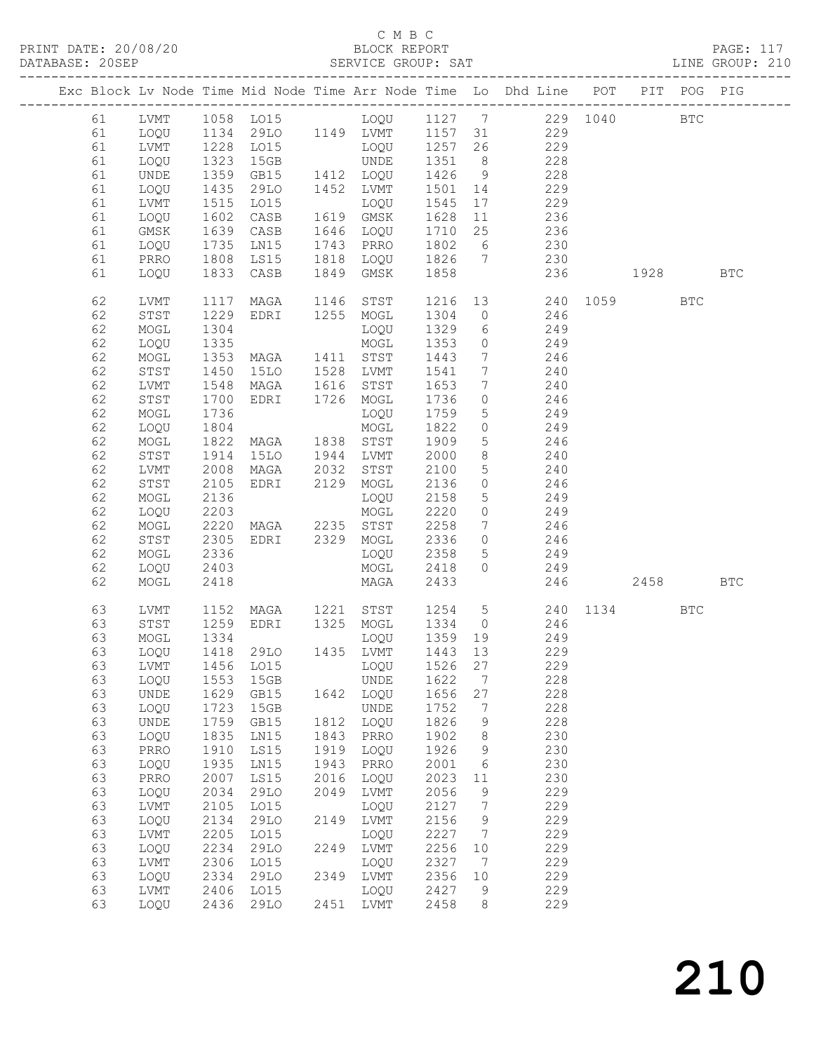### C M B C<br>BLOCK REPORT

| DATABASE: 20SEP |    |      |              | E: 20SEP<br>--------------------------------            |      |                                  |         |                 |                                                                                       |          |            | SERVICE GROUP: SAT LINE GROUP: 210 |
|-----------------|----|------|--------------|---------------------------------------------------------|------|----------------------------------|---------|-----------------|---------------------------------------------------------------------------------------|----------|------------|------------------------------------|
|                 |    |      |              |                                                         |      |                                  |         |                 | Exc Block Lv Node Time Mid Node Time Arr Node Time Lo Dhd Line POT PIT POG PIG        |          |            |                                    |
|                 |    |      |              |                                                         |      |                                  |         |                 | 61 LVMT 1058 LO15 LOQU 1127 7 229 1040 BTC                                            |          |            |                                    |
|                 | 61 |      |              |                                                         |      |                                  |         |                 | LOQU 1134 29LO 1149 LVMT 1157 31 229                                                  |          |            |                                    |
|                 | 61 | LVMT |              |                                                         |      |                                  |         |                 | 1228 LO15 LOQU 1257 26 229                                                            |          |            |                                    |
|                 | 61 | LOQU |              |                                                         |      |                                  |         |                 |                                                                                       |          |            |                                    |
|                 | 61 | UNDE |              |                                                         |      |                                  |         |                 |                                                                                       |          |            |                                    |
|                 | 61 | LOQU | 1435         |                                                         |      |                                  |         |                 |                                                                                       |          |            |                                    |
|                 | 61 | LVMT | 1515         | LO15                                                    |      |                                  |         |                 | LOQU 1545 17 229                                                                      |          |            |                                    |
|                 | 61 | LOQU | 1602         |                                                         |      |                                  |         |                 |                                                                                       |          |            |                                    |
|                 | 61 | GMSK |              |                                                         |      |                                  |         |                 |                                                                                       |          |            |                                    |
|                 | 61 | LOQU | 1639<br>1735 |                                                         |      |                                  |         |                 | CASB 1619 GMSK 1628 11 236<br>CASB 1646 LOQU 1710 25 236<br>LM15 1743 PRRO 1802 6 230 |          |            |                                    |
|                 | 61 | PRRO |              | 1808 LS15                                               |      |                                  |         |                 | 1818 LOQU 1826 7 230                                                                  |          |            |                                    |
|                 | 61 | LOQU |              | 1833 CASB                                               |      |                                  |         |                 | 1849 GMSK 1858 236 1928 BTC                                                           |          |            |                                    |
|                 |    |      |              |                                                         |      |                                  |         |                 | 1146 STST 1216 13 240 1059                                                            |          |            |                                    |
|                 | 62 | LVMT | 1117         | MAGA                                                    |      |                                  |         |                 |                                                                                       |          | <b>BTC</b> |                                    |
|                 | 62 | STST | 1229         |                                                         |      |                                  |         |                 | EDRI 1255 MOGL 1304 0 246                                                             |          |            |                                    |
|                 | 62 | MOGL | 1304         | 1304 1329<br>1335 MOGL 1353<br>1353 MAGA 1411 STST 1443 |      |                                  |         |                 | LOQU 1329 6 249                                                                       |          |            |                                    |
|                 | 62 | LOQU |              |                                                         |      |                                  |         | $\overline{0}$  | 249<br>$\frac{6}{7}$                                                                  |          |            |                                    |
|                 | 62 | MOGL |              |                                                         |      |                                  |         |                 | 246                                                                                   |          |            |                                    |
|                 | 62 | STST | 1450         |                                                         |      | 15LO 1528 LVMT 1541              |         | $\overline{7}$  | 240                                                                                   |          |            |                                    |
|                 | 62 | LVMT | 1548         | MAGA 1616 STST                                          |      |                                  | 1653    | $\overline{7}$  | 240                                                                                   |          |            |                                    |
|                 | 62 | STST | 1700         | EDRI 1726 MOGL                                          |      |                                  | 1736    | $\overline{0}$  | $\frac{10}{246}$                                                                      |          |            |                                    |
|                 | 62 | MOGL | 1736         |                                                         |      | LOQU 1759                        |         | 5               | 249                                                                                   |          |            |                                    |
|                 | 62 | LOQU | 1804         |                                                         |      | MOGL                             | 1822    | $\overline{0}$  | 249                                                                                   |          |            |                                    |
|                 | 62 | MOGL | 1822         |                                                         |      | MAGA 1838 STST 1909              |         | $5\overline{)}$ | 246                                                                                   |          |            |                                    |
|                 | 62 | STST | 1914         | 15LO 1944 LVMT 2000<br>MAGA 2032 STST 2100              |      |                                  |         | 8 <sup>8</sup>  |                                                                                       |          |            |                                    |
|                 | 62 | LVMT | 2008         |                                                         |      |                                  |         | 5 <sup>5</sup>  | $\begin{array}{c} 240 \\ 240 \end{array}$                                             |          |            |                                    |
|                 | 62 | STST | 2105         |                                                         |      | EDRI 2129 MOGL 2136              |         | $\overline{0}$  | 246                                                                                   |          |            |                                    |
|                 | 62 | MOGL | 2136         |                                                         |      | LOQU 2158                        |         | $5\overline{)}$ | 249                                                                                   |          |            |                                    |
|                 | 62 | LOQU | 2203         |                                                         |      |                                  |         | $\overline{0}$  | 249                                                                                   |          |            |                                    |
|                 | 62 | MOGL | 2220         |                                                         |      | MOGL 2220<br>MAGA 2235 STST 2258 |         | $7\overline{ }$ | 246                                                                                   |          |            |                                    |
|                 | 62 | STST | 2305         |                                                         |      | EDRI 2329 MOGL 2336              |         | $\overline{0}$  | 246                                                                                   |          |            |                                    |
|                 | 62 | MOGL | 2336         |                                                         |      | LOQU 2358                        |         | 5 <sup>5</sup>  | 249                                                                                   |          |            |                                    |
|                 | 62 | LOQU | 2403         |                                                         |      | MOGL 2418                        |         |                 | $0$ 249                                                                               |          |            |                                    |
|                 | 62 | MOGL | 2418         |                                                         |      | <b>MAGA</b>                      | 2433    |                 |                                                                                       | 246 2458 |            | BTC                                |
|                 | 63 | LVMT |              |                                                         |      |                                  |         |                 | 1152 MAGA 1221 STST 1254 5 240 1134                                                   |          | <b>BTC</b> |                                    |
|                 | 63 | STST |              |                                                         |      |                                  |         |                 |                                                                                       |          |            |                                    |
|                 | 63 | MOGL | 1334         |                                                         |      | LOQU                             | 1359 19 |                 | 1259 EDRI 1325 MOGL 1334 0 246<br>249                                                 |          |            |                                    |
|                 |    |      |              |                                                         |      |                                  |         |                 |                                                                                       |          |            |                                    |
|                 |    |      |              | 63 LOQU 1418 29LO 1435 LVMT 1443 13                     |      |                                  |         |                 | 229                                                                                   |          |            |                                    |
|                 | 63 | LVMT | 1456         | LO15                                                    |      | LOQU                             | 1526    | 27              | 229                                                                                   |          |            |                                    |
|                 | 63 | LOQU | 1553         | 15GB                                                    |      | UNDE                             | 1622    | 7               | 228                                                                                   |          |            |                                    |
|                 | 63 | UNDE | 1629         | GB15                                                    |      | 1642 LOQU                        | 1656    | 27              | 228                                                                                   |          |            |                                    |
|                 | 63 | LOQU | 1723         | 15GB                                                    |      | UNDE                             | 1752    | 7               | 228                                                                                   |          |            |                                    |
|                 | 63 | UNDE | 1759         | GB15                                                    | 1812 | LOQU                             | 1826    | 9               | 228                                                                                   |          |            |                                    |
|                 | 63 | LOQU | 1835         | LN15                                                    | 1843 | PRRO                             | 1902    | 8               | 230                                                                                   |          |            |                                    |
|                 | 63 | PRRO | 1910         | LS15                                                    | 1919 | LOQU                             | 1926    | $\mathsf 9$     | 230                                                                                   |          |            |                                    |
|                 | 63 | LOQU | 1935         | LN15                                                    | 1943 | PRRO                             | 2001    | 6               | 230                                                                                   |          |            |                                    |
|                 | 63 | PRRO | 2007         | LS15                                                    | 2016 | LOQU                             | 2023    | 11              | 230                                                                                   |          |            |                                    |
|                 | 63 | LOQU | 2034         | 29LO                                                    | 2049 | LVMT                             | 2056    | 9               | 229                                                                                   |          |            |                                    |
|                 | 63 | LVMT | 2105         | LO15                                                    |      | LOQU                             | 2127    | 7               | 229                                                                                   |          |            |                                    |
|                 | 63 | LOQU | 2134         | <b>29LO</b>                                             | 2149 | LVMT                             | 2156    | 9               | 229                                                                                   |          |            |                                    |
|                 | 63 | LVMT | 2205         | LO15                                                    |      | LOQU                             | 2227    | 7               | 229                                                                                   |          |            |                                    |
|                 | 63 | LOQU | 2234         | 29LO                                                    | 2249 | LVMT                             | 2256    | 10              | 229                                                                                   |          |            |                                    |
|                 | 63 | LVMT | 2306         | L015                                                    |      | LOQU                             | 2327    | - 7             | 229                                                                                   |          |            |                                    |
|                 | 63 | LOQU | 2334         | 29LO                                                    |      | 2349 LVMT                        | 2356    | 10              | 229                                                                                   |          |            |                                    |
|                 | 63 | LVMT | 2406         | LO15                                                    |      | LOQU                             | 2427    | 9               | 229                                                                                   |          |            |                                    |
|                 | 63 | LOQU | 2436         | 29LO                                                    |      | 2451 LVMT                        | 2458    | 8               | 229                                                                                   |          |            |                                    |
|                 |    |      |              |                                                         |      |                                  |         |                 |                                                                                       |          |            |                                    |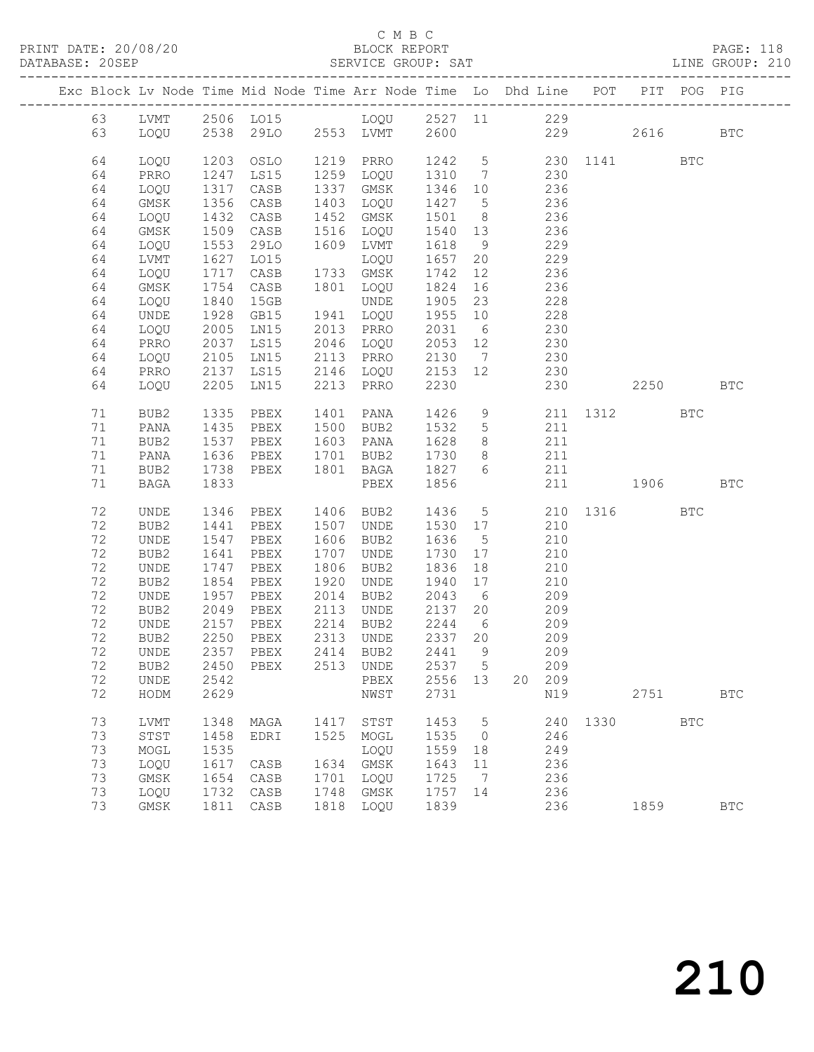### C M B C<br>BLOCK REPORT SERVICE GROUP: SAT

|  |          |              |                  | Exc Block Lv Node Time Mid Node Time Arr Node Time Lo Dhd Line POT PIT POG PIG |      |                                       |                |                 |     |            |      |                         |            |              |
|--|----------|--------------|------------------|--------------------------------------------------------------------------------|------|---------------------------------------|----------------|-----------------|-----|------------|------|-------------------------|------------|--------------|
|  | 63       |              |                  | LVMT 2506 LO15 LOQU 2527 11 229                                                |      |                                       |                |                 |     |            |      |                         |            |              |
|  | 63       | LOQU         |                  | 2538 29LO 2553 LVMT 2600 229 2616                                              |      |                                       |                |                 |     |            |      |                         |            | <b>BTC</b>   |
|  |          |              |                  |                                                                                |      |                                       |                |                 |     |            |      |                         |            |              |
|  | 64       | LOQU         |                  | 1203 OSLO                                                                      |      | 1219 PRRO                             |                |                 |     |            |      | 1242 5 230 1141 BTC     |            |              |
|  | 64       | PRRO         | 1247             | LS15                                                                           |      | 1259 LOQU                             | 1310 7 230     |                 |     |            |      |                         |            |              |
|  | 64       | LOQU         | 1317             | CASB                                                                           |      | 1337 GMSK                             | 1346 10        |                 |     |            |      |                         |            |              |
|  | 64       | GMSK         | 1356             | CASB                                                                           |      | 1403 LOQU                             | 1427 5         |                 |     | 236<br>236 |      |                         |            |              |
|  | 64       | LOQU         | 1432             | CASB                                                                           |      | 1452 GMSK                             | 1501 8         |                 | 236 |            |      |                         |            |              |
|  | 64       | GMSK         | 1509             | CASB                                                                           |      | 1516 LOQU                             | 1540           | 13              | 236 |            |      |                         |            |              |
|  | 64       | LOQU         | $1532$<br>$1627$ | 29LO                                                                           |      | 1609 LVMT                             | 1618           | 9               |     | 229        |      |                         |            |              |
|  | 64       | LVMT         |                  | LO15                                                                           |      | LOQU                                  | 1657           | 20              |     | 229        |      |                         |            |              |
|  | 64       | LOQU         | 1717             | CASB                                                                           |      | 1733 GMSK                             | 1742           | 12              | 236 |            |      |                         |            |              |
|  | 64       | GMSK         | 1754             | CASB                                                                           |      | 1801 LOQU                             | 1824           | 16              | 236 |            |      |                         |            |              |
|  | 64       | LOQU         |                  | 15GB                                                                           |      | UNDE                                  | 1905 23        |                 |     | 228        |      |                         |            |              |
|  | 64       | UNDE         | $1840$<br>$1928$ | GB15                                                                           |      | 1941 LOQU                             | 1955 10        |                 |     | 228        |      |                         |            |              |
|  | 64       | LOQU         | 2005             | LN15                                                                           |      | 2013 PRRO                             | 2031 6         |                 | 230 |            |      |                         |            |              |
|  | 64       | PRRO         | 2037             | LS15                                                                           |      | 2046 LOQU                             | 2053 12        |                 | 230 |            |      |                         |            |              |
|  | 64<br>64 | LOQU<br>PRRO | 2105<br>2137     | LN15<br>LS15                                                                   |      | 2113 PRRO 2130 7<br>2146 LOQU 2153 12 | 2130 7         |                 |     | 230<br>230 |      |                         |            |              |
|  | 64       | LOQU         | 2205             | LN15                                                                           |      | 2213 PRRO                             | 2230           |                 |     |            |      | 230 2250 BTC            |            |              |
|  |          |              |                  |                                                                                |      |                                       |                |                 |     |            |      |                         |            |              |
|  | 71       | BUB2         | 1335             | PBEX                                                                           |      | 1401 PANA                             | 1426           |                 |     |            |      | 9 211 1312 BTC<br>5 211 |            |              |
|  | 71       | PANA         | 1435             | PBEX                                                                           |      | 1500 BUB2                             | 1532 5         |                 |     |            |      |                         |            |              |
|  | 71       | BUB2         | 1537             | PBEX                                                                           |      | 1603 PANA                             | 1628           | 8 <sup>1</sup>  | 211 |            |      |                         |            |              |
|  | 71       | PANA         | 1636             | PBEX                                                                           |      | 1701 BUB2                             | 1730           | 8 <sup>8</sup>  | 211 |            |      |                         |            |              |
|  | 71       | BUB2         | 1738             | PBEX                                                                           |      | 1801 BAGA                             | 1827           | 6               |     | 211        |      |                         |            |              |
|  | 71       | BAGA         | 1833             |                                                                                |      | PBEX                                  | 1856           |                 |     |            |      | 211 1906                |            | <b>BTC</b>   |
|  |          |              |                  |                                                                                |      |                                       |                |                 |     |            |      |                         |            |              |
|  | 72       | UNDE         |                  | 1346 PBEX 1406 BUB2                                                            |      |                                       |                |                 |     |            |      | 1436 5 210 1316         | <b>BTC</b> |              |
|  | 72       | BUB2         | 1441             | PBEX                                                                           |      | 1507 UNDE                             | 1530 17        |                 |     | 210        |      |                         |            |              |
|  | 72       | UNDE         | 1547             | PBEX                                                                           |      | 1606 BUB2                             | 1636           | $5\overline{)}$ |     | 210        |      |                         |            |              |
|  | 72       | BUB2         | 1641             | PBEX                                                                           | 1707 | UNDE                                  | 1730           | 17              |     | 210        |      |                         |            |              |
|  | 72       | UNDE         | 1747             | PBEX                                                                           |      | 1806 BUB2                             | 1836           | 18              | 210 |            |      |                         |            |              |
|  | 72<br>72 | BUB2         | 1854             | PBEX                                                                           | 1920 | UNDE                                  | 1940<br>2043 6 | 17              |     | 210        |      |                         |            |              |
|  | 72       | UNDE<br>BUB2 | 1957<br>2049     | PBEX<br>PBEX                                                                   |      | 2014 BUB2<br>2113 UNDE                | 2137           | 20              |     | 209<br>209 |      |                         |            |              |
|  | 72       | UNDE         | 2157             | PBEX                                                                           |      | 2214 BUB2                             | 2244           | 6               | 209 |            |      |                         |            |              |
|  | 72       | BUB2         | 2250             | PBEX                                                                           |      | 2313 UNDE                             | 2337 20        |                 |     | 209        |      |                         |            |              |
|  | 72       | UNDE         | 2357             | PBEX                                                                           |      | 2414 BUB2                             | 2441           | $\overline{9}$  |     | 209        |      |                         |            |              |
|  |          |              |                  | 72 BUB2 2450 PBEX 2513 UNDE 2537 5                                             |      |                                       |                |                 |     | 209        |      |                         |            |              |
|  | 72       | UNDE         | 2542             |                                                                                |      | PBEX                                  | 2556 13        |                 | 20  | 209        |      |                         |            |              |
|  | 72       | HODM         | 2629             |                                                                                |      | NWST                                  | 2731           |                 |     | N19        |      | 2751                    |            | <b>BTC</b>   |
|  |          |              |                  |                                                                                |      |                                       |                |                 |     |            |      |                         |            |              |
|  | 73       | LVMT         | 1348             | MAGA                                                                           | 1417 | STST                                  | 1453           | 5               |     | 240        | 1330 |                         | <b>BTC</b> |              |
|  | 73       | STST         | 1458             | EDRI                                                                           | 1525 | MOGL                                  | 1535           | $\overline{0}$  |     | 246        |      |                         |            |              |
|  | 73       | MOGL         | 1535             |                                                                                |      | LOQU                                  | 1559           | 18              |     | 249        |      |                         |            |              |
|  | 73       | LOQU         | 1617             | CASB                                                                           | 1634 | GMSK                                  | 1643           | 11              |     | 236        |      |                         |            |              |
|  | 73       | GMSK         | 1654             | CASB                                                                           | 1701 | LOQU                                  | 1725           | 7               |     | 236        |      |                         |            |              |
|  | 73       | LOQU         | 1732             | CASB                                                                           | 1748 | GMSK                                  | 1757           | 14              |     | 236        |      |                         |            |              |
|  | 73       | GMSK         | 1811             | CASB                                                                           | 1818 | LOQU                                  | 1839           |                 |     | 236        |      | 1859                    |            | $_{\rm BTC}$ |

210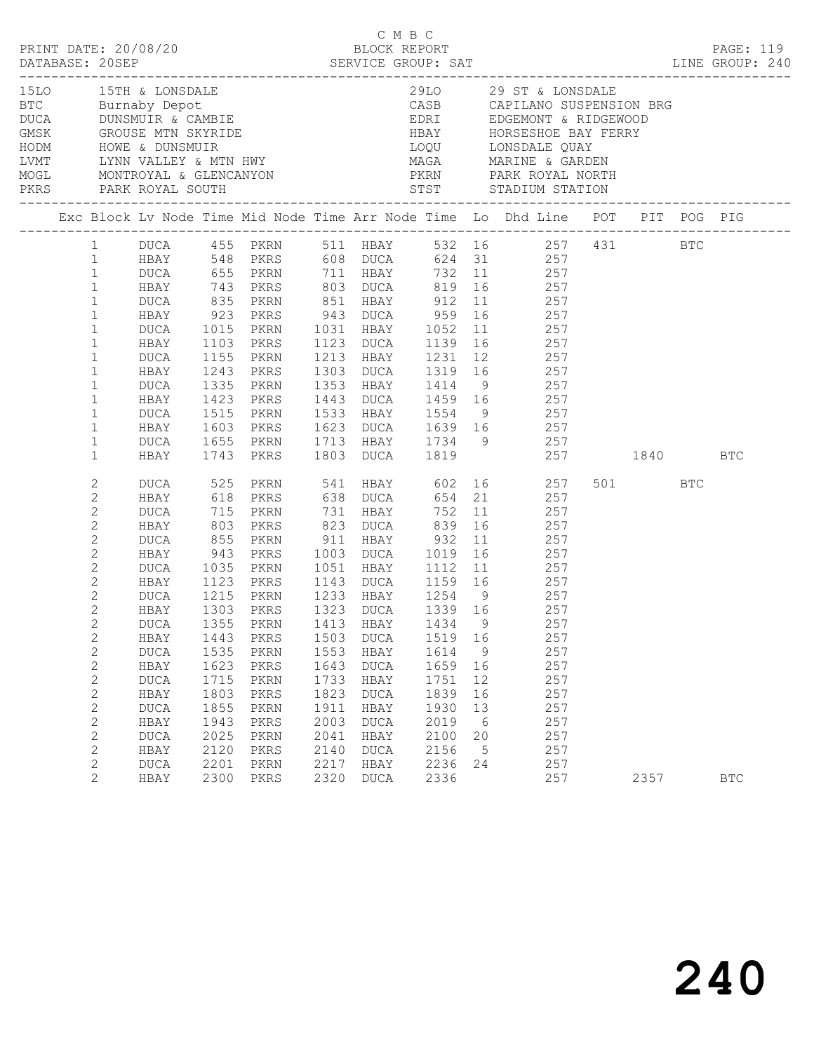|  |                                                                                                                                                                                                                                                                                                                                                                                                                                                                                                                                    |                                                                                                                                                                                                                                                                              |                                                                                                                                                           |                                                                                                                                                                                                                                          |                                                                      |                                                                                                              |                                                                                            |                                                                         | 1510 15TH & LONSDALE 2910 29 ST & LONSDALE BTC Burnaby Depot CASB CAPILANO SUSPENSION BRG DUCA DUNSMUIR & CAMBIE CASE CAPILANO SUSPENSION BRG AND MARINE AND SUSPENSION BRG CAPILANO SUSPENSION BRG AND MARINE A MARINE AND MA                                                                                                                                                                                                                                                                                                                                                                                                                                                                                                                                                                            |         |            |
|--|------------------------------------------------------------------------------------------------------------------------------------------------------------------------------------------------------------------------------------------------------------------------------------------------------------------------------------------------------------------------------------------------------------------------------------------------------------------------------------------------------------------------------------|------------------------------------------------------------------------------------------------------------------------------------------------------------------------------------------------------------------------------------------------------------------------------|-----------------------------------------------------------------------------------------------------------------------------------------------------------|------------------------------------------------------------------------------------------------------------------------------------------------------------------------------------------------------------------------------------------|----------------------------------------------------------------------|--------------------------------------------------------------------------------------------------------------|--------------------------------------------------------------------------------------------|-------------------------------------------------------------------------|-----------------------------------------------------------------------------------------------------------------------------------------------------------------------------------------------------------------------------------------------------------------------------------------------------------------------------------------------------------------------------------------------------------------------------------------------------------------------------------------------------------------------------------------------------------------------------------------------------------------------------------------------------------------------------------------------------------------------------------------------------------------------------------------------------------|---------|------------|
|  |                                                                                                                                                                                                                                                                                                                                                                                                                                                                                                                                    |                                                                                                                                                                                                                                                                              |                                                                                                                                                           |                                                                                                                                                                                                                                          |                                                                      |                                                                                                              |                                                                                            |                                                                         | Exc Block Lv Node Time Mid Node Time Arr Node Time Lo Dhd Line POT PIT POG PIG                                                                                                                                                                                                                                                                                                                                                                                                                                                                                                                                                                                                                                                                                                                            |         |            |
|  | $1 \quad$<br>1<br>$\mathbf{1}$<br>$\mathbf{1}$<br>$\mathbf{1}$<br>$\mathbf{1}$<br>$\mathbf{1}$<br>$\mathbf{1}$<br>$\mathbf{1}$<br>$\mathbf{1}$<br>$\mathbf{1}$<br>$\mathbf{1}$<br>$\mathbf{1}$<br>$\mathbf{1}$<br>$\mathbf{1}$<br>$\mathbf{1}$<br>2<br>$\mathbf{2}$<br>$\mathbf{2}$<br>$\mathbf{2}$<br>$\sqrt{2}$<br>2<br>$\mathbf{2}$<br>$\mathbf{2}$<br>$\overline{c}$<br>$\mathbf{2}$<br>$\mathbf{2}$<br>$\mathbf{2}$<br>$\mathbf{2}$<br>$\mathbf{2}$<br>2<br>$\mathbf{2}$<br>$\mathbf{2}$<br>$\mathbf{2}$<br>2<br>$\mathbf{2}$ | HBAY<br>DUCA<br>HBAY<br>DUCA<br>HBAY<br>DUCA<br>HBAY<br>DUCA<br>HBAY<br>DUCA<br>HBAY<br>DUCA 525 PKRN<br>HBAY 618 PKRS<br>DUCA<br>HBAY<br>DUCA<br>HBAY<br>DUCA<br>HBAY<br>DUCA<br>HBAY<br>HBAY<br>DUCA<br>HBAY<br><b>DUCA</b><br>HBAY<br>DUCA<br>HBAY<br><b>DUCA</b><br>HBAY | 1103<br>1155<br>1243<br>1335<br>1423<br>803<br>855<br>943<br>1035<br>1123<br>1443<br>1535<br>1623<br>1715<br>1803<br>1855<br>1943<br>2025<br>2120<br>2201 | DUCA 655 PKRN 711 HBAY<br>743 PKRS<br>PKRS<br>PKRN<br>PKRS<br>PKRN<br>PKRS<br>715 PKRN<br>PKRS<br>PKRN<br>PKRS<br>PKRN<br>PKRS<br>1215 PKRN<br>1303 PKRS<br>PKRN<br>PKRS<br>PKRN<br>PKRS<br>PKRN<br>PKRS<br>PKRN<br>PKRS<br>PKRN<br>PKRS | 1503<br>1553<br>1643<br>1733<br>1823<br>1911<br>2003<br>2041<br>2140 | 731 HBAY<br><b>DUCA</b><br>HBAY<br><b>DUCA</b><br>HBAY<br><b>DUCA</b><br>HBAY<br><b>DUCA</b><br>HBAY<br>DUCA | 823 DUCA 839 16<br>1519 16<br>1614<br>1659<br>1751<br>1839<br>1930<br>2019<br>2100<br>2156 | 9<br>16<br>12<br>16<br>13<br>$6\overline{6}$<br>20<br>$5^{\circ}$<br>24 | DUCA 455 PKRN 511 HBAY 532 16 257 431 BTC<br>HBAY 548 PKRS 608 DUCA 624 31 257<br>732 11 257<br>803 DUCA 819 16 257<br>DUCA 835 PKRN 851 HBAY 912 11 257<br>HBAY 923 PKRS 943 DUCA 959 16 257<br>1015 PKRN 1031 HBAY 1052 11 257<br>1123 DUCA 1139 16 257<br>1213 HBAY 1231 12 257<br>1303 DUCA 1319 16 257<br>1353 HBAY 1414 9 257<br>1443 DUCA 1459 16 257<br>1515 PKRN 1533 HBAY 1554 9 257<br>1603 PKRS 1623 DUCA 1639 16 257<br>1655 PKRN 1713 HBAY 1734 9 257<br>1743 PKRS 1803 DUCA 1819 257 1840 BTC<br>PKRN 541 HBAY 602 16 257<br>PKRS 638 DUCA 654 21 257<br>752 11 257<br>257<br>1051 HBAY 1112 11 257<br>1143 DUCA 1159 16 257<br>1233 HBAY 1254 9 257<br>1323 DUCA 1339 16 257<br>DUCA 1355 PKRN 1413 HBAY 1434 9 257<br>257<br>257<br>257<br>257<br>257<br>257<br>257<br>257<br>257<br>257 | 501 BTC |            |
|  | 2<br>$\overline{2}$                                                                                                                                                                                                                                                                                                                                                                                                                                                                                                                | <b>DUCA</b><br>HBAY                                                                                                                                                                                                                                                          | 2300                                                                                                                                                      | PKRN<br>PKRS                                                                                                                                                                                                                             | 2217<br>2320                                                         | HBAY<br>DUCA                                                                                                 | 2236<br>2336                                                                               |                                                                         | 257                                                                                                                                                                                                                                                                                                                                                                                                                                                                                                                                                                                                                                                                                                                                                                                                       | 2357    | <b>BTC</b> |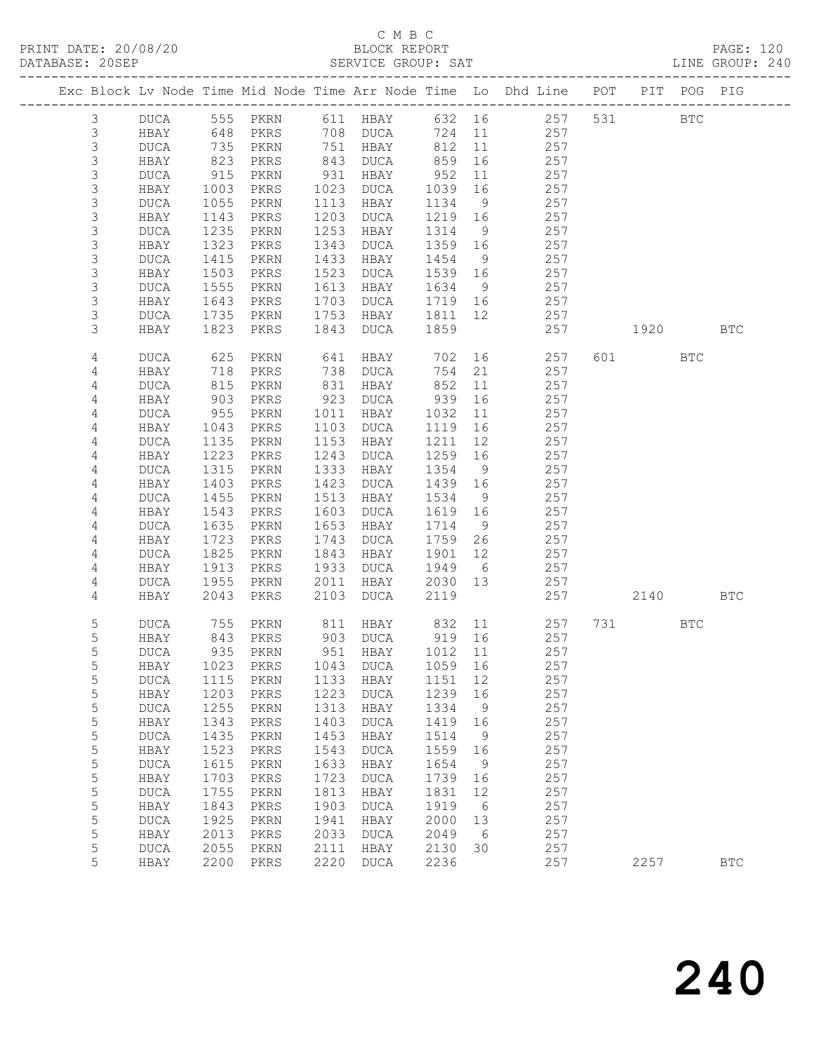## C M B C<br>BLOCK REPORT

PAGE: 120<br>LINE GROUP: 240

|               |                     |                 |              |              |                             |              |          | Exc Block Lv Node Time Mid Node Time Arr Node Time Lo Dhd Line POT PIT POG PIG |     |           |            |              |
|---------------|---------------------|-----------------|--------------|--------------|-----------------------------|--------------|----------|--------------------------------------------------------------------------------|-----|-----------|------------|--------------|
| $\mathcal{S}$ | DUCA                |                 | 555 PKRN     |              | 611 HBAY                    |              |          | 632 16 257                                                                     |     | 531 000   | <b>BTC</b> |              |
| $\mathsf S$   | HBAY                | 648             | PKRS         |              | 708 DUCA                    | 724          | 11       | 257                                                                            |     |           |            |              |
| $\mathsf 3$   | DUCA                | 735             | PKRN         |              | 751 HBAY                    | 812          | 11       | 257                                                                            |     |           |            |              |
| $\mathsf S$   | HBAY                | $\frac{1}{823}$ | PKRS         | 843          | DUCA                        | 859          | 16       | 257                                                                            |     |           |            |              |
| 3             | DUCA                | 915             | PKRN         | 931          | HBAY                        | 952          | 11       | 257                                                                            |     |           |            |              |
| $\mathsf S$   | HBAY                | 1003            | PKRS         | 1023         | DUCA                        | 1039         | 16       | 257                                                                            |     |           |            |              |
| $\mathsf S$   | DUCA                | 1055            | PKRN         | 1113         | HBAY                        | 1134         | 9        | 257                                                                            |     |           |            |              |
| $\mathsf 3$   | HBAY                | 1143            | PKRS         | 1203         | DUCA                        | 1219         | 16       | 257                                                                            |     |           |            |              |
| $\mathsf 3$   | <b>DUCA</b>         | 1235            | PKRN         | 1253         | HBAY                        | 1314         | 9        | 257                                                                            |     |           |            |              |
| $\mathsf S$   | HBAY                | 1323            | PKRS         | 1343         | DUCA                        | 1359         | 16       | 257                                                                            |     |           |            |              |
| $\mathsf S$   | <b>DUCA</b>         | 1415            | PKRN         | 1433         | HBAY                        | 1454         | 9        | 257                                                                            |     |           |            |              |
| $\mathsf S$   | HBAY                | 1503            | PKRS         | 1523         | DUCA                        | 1539         | 16       | 257                                                                            |     |           |            |              |
| 3             | <b>DUCA</b>         | 1555            | PKRN         | 1613         | HBAY                        | 1634         | 9        | 257                                                                            |     |           |            |              |
| 3             | HBAY                | 1643            | PKRS         | 1703         | DUCA                        | 1719         | 16       | 257                                                                            |     |           |            |              |
| 3             | <b>DUCA</b>         | 1735            | PKRN         | 1753         | HBAY                        | 1811         | 12       | 257                                                                            |     |           |            |              |
| 3             | HBAY                | 1823            | PKRS         | 1843         | DUCA                        | 1859         |          | 257                                                                            |     | 1920 1930 |            | <b>BTC</b>   |
| 4             | <b>DUCA</b>         | 625             | PKRN         | 641          | HBAY                        | 702          | 16       | 257                                                                            |     | 601 000   | <b>BTC</b> |              |
| 4             | HBAY                | 718             | PKRS         | 738          | DUCA                        | 754          | 21       | 257                                                                            |     |           |            |              |
| 4             | <b>DUCA</b>         | 815<br>903      | PKRN         | 831          | HBAY                        | 852          | 11       | 257                                                                            |     |           |            |              |
| 4<br>4        | HBAY<br><b>DUCA</b> | 955             | PKRS<br>PKRN | 923<br>1011  | DUCA<br>HBAY                | 939<br>1032  | 16<br>11 | 257<br>257                                                                     |     |           |            |              |
| 4             | HBAY                | 1043            | PKRS         | 1103         | DUCA                        | 1119         | 16       | 257                                                                            |     |           |            |              |
| 4             | <b>DUCA</b>         | 1135            | PKRN         | 1153         | HBAY                        | 1211         | 12       | 257                                                                            |     |           |            |              |
| 4             | HBAY                | 1223            | PKRS         | 1243         | DUCA                        | 1259         | 16       | 257                                                                            |     |           |            |              |
| 4             | <b>DUCA</b>         | 1315            | PKRN         | 1333         | HBAY                        | 1354         | 9        | 257                                                                            |     |           |            |              |
| 4             | HBAY                | 1403            | PKRS         | 1423         | DUCA                        | 1439         | 16       | 257                                                                            |     |           |            |              |
| 4             | <b>DUCA</b>         | 1455            | PKRN         | 1513         | HBAY                        | 1534         | 9        | 257                                                                            |     |           |            |              |
| 4             | HBAY                | 1543            | PKRS         | 1603         | DUCA                        | 1619         | 16       | 257                                                                            |     |           |            |              |
| 4             | <b>DUCA</b>         | 1635            | PKRN         | 1653         | HBAY                        | 1714         | 9        | 257                                                                            |     |           |            |              |
| 4             | HBAY                | 1723            | PKRS         | 1743         | DUCA                        | 1759         | 26       | 257                                                                            |     |           |            |              |
| 4             | <b>DUCA</b>         | 1825            | PKRN         | 1843         | HBAY                        | 1901         | 12       | 257                                                                            |     |           |            |              |
| 4             | HBAY                | 1913            | PKRS         | 1933         | DUCA                        | 1949         | 6        | 257                                                                            |     |           |            |              |
| 4             | <b>DUCA</b>         | 1955            | PKRN         | 2011         | HBAY                        | 2030         | 13       | 257                                                                            |     |           |            |              |
| 4             | HBAY                | 2043            | PKRS         | 2103         | DUCA                        | 2119         |          | 257                                                                            |     | 2140      |            | <b>BTC</b>   |
| 5             | DUCA                | 755             | PKRN         | 811          | HBAY                        | 832          |          | 11<br>257                                                                      | 731 |           | <b>BTC</b> |              |
| 5             | HBAY                | 843             | PKRS         |              | 903 DUCA                    | 919 16       |          | 257                                                                            |     |           |            |              |
| 5             | DUCA                | 935             | PKRN         |              | 951 HBAY                    | 1012 11      |          | 257                                                                            |     |           |            |              |
| 5             | HBAY                |                 |              |              | 1023 PKRS 1043 DUCA 1059 16 |              |          | 257                                                                            |     |           |            |              |
| 5             | <b>DUCA</b>         | 1115            | PKRN         | 1133         | HBAY                        | 1151         | 12       | 257                                                                            |     |           |            |              |
| 5             | HBAY                | 1203            | PKRS         | 1223         | <b>DUCA</b>                 | 1239         | 16       | 257                                                                            |     |           |            |              |
| 5<br>5        | <b>DUCA</b>         | 1255<br>1343    | PKRN         | 1313<br>1403 | HBAY                        | 1334         | 9        | 257<br>257                                                                     |     |           |            |              |
| 5             | HBAY<br><b>DUCA</b> | 1435            | PKRS<br>PKRN | 1453         | <b>DUCA</b><br>HBAY         | 1419<br>1514 | 16<br>9  | 257                                                                            |     |           |            |              |
| 5             | HBAY                | 1523            | PKRS         | 1543         | <b>DUCA</b>                 | 1559         | 16       | 257                                                                            |     |           |            |              |
| 5             | <b>DUCA</b>         | 1615            | PKRN         | 1633         | HBAY                        | 1654         | 9        | 257                                                                            |     |           |            |              |
| 5             | HBAY                | 1703            | PKRS         | 1723         | <b>DUCA</b>                 | 1739         | 16       | 257                                                                            |     |           |            |              |
| 5             | <b>DUCA</b>         | 1755            | PKRN         | 1813         | HBAY                        | 1831         | 12       | 257                                                                            |     |           |            |              |
| 5             | HBAY                | 1843            | PKRS         | 1903         | <b>DUCA</b>                 | 1919         | 6        | 257                                                                            |     |           |            |              |
| 5             | <b>DUCA</b>         | 1925            | PKRN         | 1941         | HBAY                        | 2000         | 13       | 257                                                                            |     |           |            |              |
| 5             | HBAY                | 2013            | PKRS         | 2033         | <b>DUCA</b>                 | 2049         | 6        | 257                                                                            |     |           |            |              |
| 5             | <b>DUCA</b>         | 2055            | PKRN         | 2111         | HBAY                        | 2130         | 30       | 257                                                                            |     |           |            |              |
| 5             | HBAY                | 2200            | PKRS         | 2220         | <b>DUCA</b>                 | 2236         |          | 257                                                                            |     | 2257      |            | $_{\rm BTC}$ |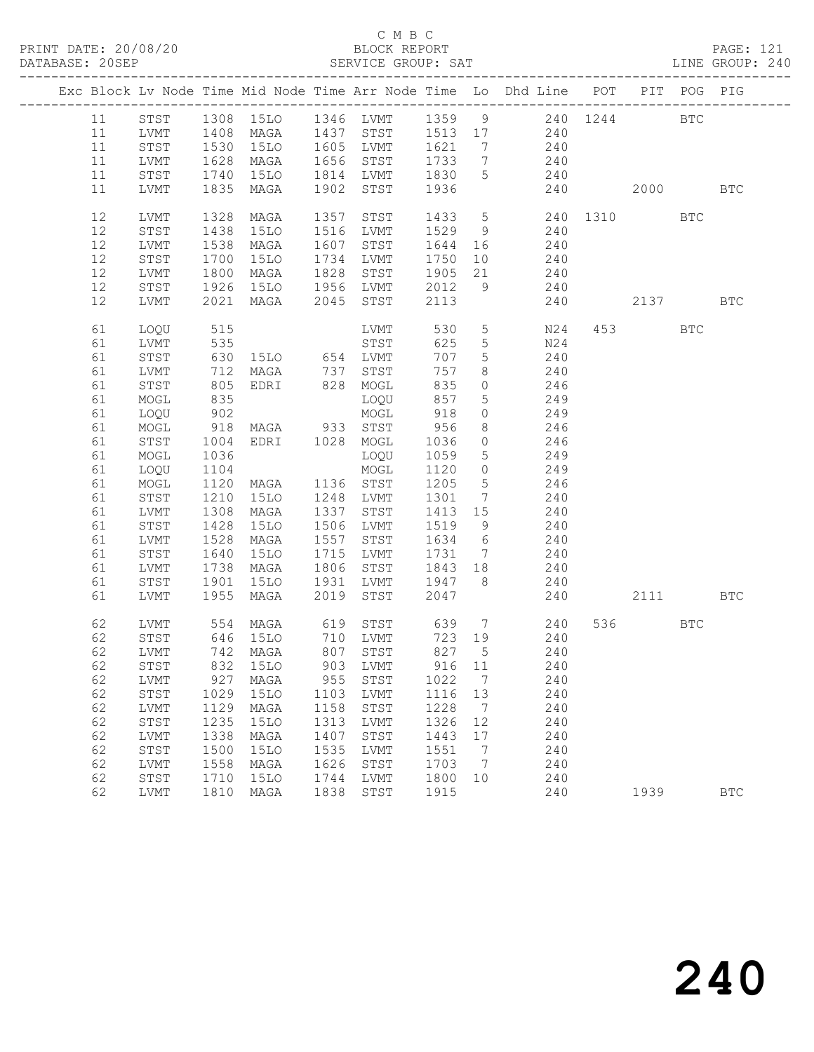### C M B C<br>BLOCK REPORT SERVICE GROUP: SAT

|    |              |            |                                  |      |                  |         |                 | Exc Block Lv Node Time Mid Node Time Arr Node Time Lo Dhd Line POT |      |                                                                                                                                                                                                                                 | PIT POG PIG |            |
|----|--------------|------------|----------------------------------|------|------------------|---------|-----------------|--------------------------------------------------------------------|------|---------------------------------------------------------------------------------------------------------------------------------------------------------------------------------------------------------------------------------|-------------|------------|
| 11 | STST         |            |                                  |      |                  |         |                 | 1308 15LO 1346 LVMT 1359 9 240 1244                                |      |                                                                                                                                                                                                                                 | <b>BTC</b>  |            |
| 11 | LVMT         |            |                                  |      |                  |         |                 | 1408 MAGA 1437 STST 1513 17 240<br>1530 15LO 1605 LVMT 1621 7 240  |      |                                                                                                                                                                                                                                 |             |            |
| 11 | STST         |            |                                  |      |                  |         |                 |                                                                    |      |                                                                                                                                                                                                                                 |             |            |
| 11 | LVMT         | 1628       | MAGA                             |      | 1656 STST        | 1733 7  |                 | 240                                                                |      |                                                                                                                                                                                                                                 |             |            |
| 11 | STST         | 1740       | 15LO                             |      | 1814 LVMT        | 1830    | 5 <sup>5</sup>  | 240                                                                |      |                                                                                                                                                                                                                                 |             |            |
| 11 | LVMT         |            | 1835 MAGA                        |      | 1902 STST        | 1936    |                 |                                                                    | 240  | 2000 - 2000 - 2000 - 2000 - 2000 - 2000 - 2000 - 2000 - 2010 - 2010 - 2010 - 2020 - 2020 - 2020 - 2020 - 2020 - 2020 - 2020 - 2020 - 2020 - 2020 - 2020 - 2020 - 2020 - 2020 - 2020 - 2020 - 2020 - 2020 - 2020 - 2020 - 2020 - |             | <b>BTC</b> |
| 12 | LVMT         | 1328       | MAGA                             | 1357 | STST             |         |                 | 1433 5 240 1310                                                    |      |                                                                                                                                                                                                                                 | <b>BTC</b>  |            |
| 12 | STST         | 1438       | 15LO                             |      | 1516 LVMT        | 1529 9  |                 | 240                                                                |      |                                                                                                                                                                                                                                 |             |            |
| 12 | LVMT         | 1538       | MAGA                             |      | 1607 STST        | 1644    | 16              | 240                                                                |      |                                                                                                                                                                                                                                 |             |            |
| 12 | STST         | 1700       | 15LO                             |      | 1734 LVMT        | 1750    | 10              | 240                                                                |      |                                                                                                                                                                                                                                 |             |            |
| 12 | LVMT         | 1800       | MAGA                             |      | 1828 STST        |         |                 | 1905 21 240                                                        |      |                                                                                                                                                                                                                                 |             |            |
| 12 | STST         | 1926       |                                  |      | 15LO 1956 LVMT   | 2012    |                 | 9 240                                                              |      |                                                                                                                                                                                                                                 |             |            |
| 12 | LVMT         |            | 2021 MAGA 2045 STST              |      |                  | 2113    |                 | 240                                                                | 2137 |                                                                                                                                                                                                                                 |             | <b>BTC</b> |
| 61 | LOQU         | 515        |                                  |      | LVMT             | 530     | 5 <sub>5</sub>  | N24                                                                |      | 453                                                                                                                                                                                                                             | <b>BTC</b>  |            |
| 61 | LVMT         | 535        |                                  |      | STST             | 625     | $5\phantom{.0}$ | N24                                                                |      |                                                                                                                                                                                                                                 |             |            |
| 61 | STST         |            |                                  |      |                  | 707     | $5\overline{)}$ | 240                                                                |      |                                                                                                                                                                                                                                 |             |            |
| 61 | LVMT         |            |                                  |      |                  | 757     | 8               | 240                                                                |      |                                                                                                                                                                                                                                 |             |            |
| 61 | STST         |            |                                  |      |                  | 835     | $\overline{0}$  | 246                                                                |      |                                                                                                                                                                                                                                 |             |            |
| 61 | MOGL         | 835        |                                  |      | LOQU             | 857     | $5\overline{)}$ | 249                                                                |      |                                                                                                                                                                                                                                 |             |            |
| 61 | LOQU         | 902<br>918 |                                  |      | MOGL             | 918     | $\circ$         | 249                                                                |      |                                                                                                                                                                                                                                 |             |            |
| 61 | MOGL         |            | MAGA 933 STST<br>EDRI 1028 MOGL  |      |                  | 956     | 8               | 246<br>246                                                         |      |                                                                                                                                                                                                                                 |             |            |
| 61 | STST         | 1004       |                                  |      |                  | 1036    | $\overline{0}$  |                                                                    |      |                                                                                                                                                                                                                                 |             |            |
| 61 | MOGL         | 1036       |                                  |      | LOQU             | 1059    | $5\overline{)}$ | 249                                                                |      |                                                                                                                                                                                                                                 |             |            |
| 61 | LOQU         | 1104       |                                  |      | MOGL             | 1120    | $\overline{0}$  | 249                                                                |      |                                                                                                                                                                                                                                 |             |            |
| 61 | MOGL         | 1120       | MAGA 1136 STST<br>15LO 1248 LVMT |      |                  | 1205    | 5 <sup>5</sup>  | $\frac{246}{ }$                                                    |      |                                                                                                                                                                                                                                 |             |            |
| 61 | STST         | 1210       |                                  |      |                  | 1301    | $7\overline{ }$ | 240                                                                |      |                                                                                                                                                                                                                                 |             |            |
| 61 | LVMT         | 1308       | MAGA                             |      | 1337 STST        | 1413 15 |                 | 240                                                                |      |                                                                                                                                                                                                                                 |             |            |
| 61 | STST         | 1428       | 15LO                             |      | 1506 LVMT        | 1519    | 9               | 240                                                                |      |                                                                                                                                                                                                                                 |             |            |
| 61 | LVMT         | 1528       | MAGA                             |      | 1557 STST        | 1634    | $6\overline{6}$ | $\frac{240}{6}$                                                    |      |                                                                                                                                                                                                                                 |             |            |
| 61 | ${\tt STST}$ | 1640       | 15LO                             |      | 1715 LVMT        | 1731    | $7\overline{ }$ | 240                                                                |      |                                                                                                                                                                                                                                 |             |            |
| 61 | LVMT         | 1738       | MAGA                             |      | 1806 STST        | 1843 18 |                 | 240                                                                |      |                                                                                                                                                                                                                                 |             |            |
| 61 | STST         | 1901       | 15LO                             |      | 1931 LVMT 1947 8 |         |                 | 240                                                                |      |                                                                                                                                                                                                                                 |             |            |
| 61 | LVMT         | 1955       | MAGA                             | 2019 | STST             | 2047    |                 | 240                                                                |      | 2111                                                                                                                                                                                                                            |             | <b>BTC</b> |
| 62 | LVMT         |            |                                  |      |                  |         |                 | 554 MAGA 619 STST 639 7 240                                        |      | 536 7                                                                                                                                                                                                                           | BTC         |            |
| 62 | STST         |            | 646 15LO 710 LVMT                |      |                  | 723 19  |                 | 240                                                                |      |                                                                                                                                                                                                                                 |             |            |
| 62 | LVMT         |            | 742 MAGA                         |      | 807 STST         | 827 5   |                 | 240                                                                |      |                                                                                                                                                                                                                                 |             |            |
|    |              |            | 62 STST 832 15LO 903 LVMT 916 11 |      |                  |         |                 | 240                                                                |      |                                                                                                                                                                                                                                 |             |            |
| 62 | LVMT         | 927        | MAGA                             | 955  | STST             | 1022    | 7               | 240                                                                |      |                                                                                                                                                                                                                                 |             |            |
| 62 | STST         | 1029       | <b>15LO</b>                      | 1103 | LVMT             | 1116    | 13              | 240                                                                |      |                                                                                                                                                                                                                                 |             |            |
| 62 | LVMT         | 1129       | MAGA                             | 1158 | STST             | 1228    | 7               | 240                                                                |      |                                                                                                                                                                                                                                 |             |            |
| 62 | STST         | 1235       | 15LO                             | 1313 | LVMT             | 1326    | 12              | 240                                                                |      |                                                                                                                                                                                                                                 |             |            |
| 62 | LVMT         | 1338       | MAGA                             | 1407 | STST             | 1443    | 17              | 240                                                                |      |                                                                                                                                                                                                                                 |             |            |
| 62 | STST         | 1500       | <b>15LO</b>                      | 1535 | LVMT             | 1551    | 7               | 240                                                                |      |                                                                                                                                                                                                                                 |             |            |
| 62 | LVMT         | 1558       | MAGA                             | 1626 | STST             | 1703    | 7               | 240                                                                |      |                                                                                                                                                                                                                                 |             |            |
| 62 | STST         | 1710       | 15LO                             | 1744 | LVMT             | 1800    | 10              | 240                                                                |      |                                                                                                                                                                                                                                 |             |            |
| 62 | LVMT         | 1810       | MAGA                             | 1838 | STST             | 1915    |                 | 240                                                                |      | 1939                                                                                                                                                                                                                            |             | <b>BTC</b> |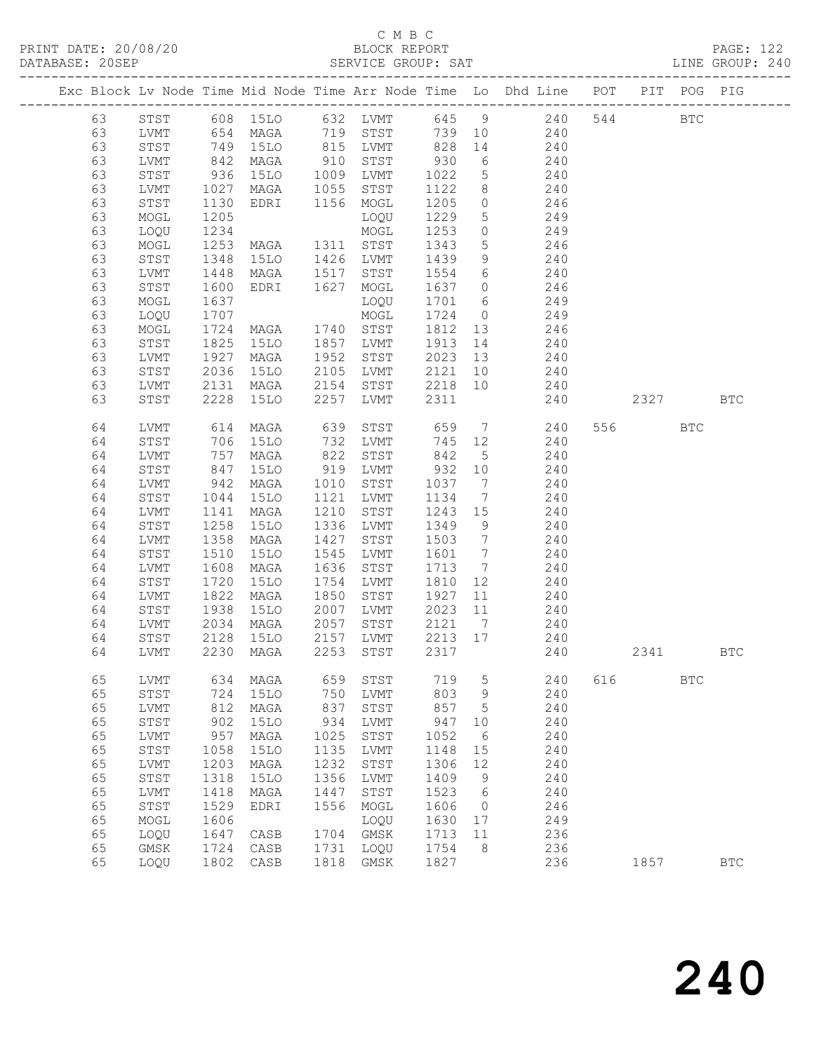### C M B C<br>BLOCK REPORT SERVICE GROUP: SAT

|  |    |              |            |                   |      |           |         |                              | Exc Block Lv Node Time Mid Node Time Arr Node Time Lo Dhd Line POT |     |         | PIT POG PIG  |            |
|--|----|--------------|------------|-------------------|------|-----------|---------|------------------------------|--------------------------------------------------------------------|-----|---------|--------------|------------|
|  | 63 | STST         |            | 608 15LO 632 LVMT |      |           |         |                              | 645 9 240                                                          | 544 |         | $_{\rm BTC}$ |            |
|  | 63 | LVMT         | 654        | MAGA              |      | 719 STST  | 739     | 10                           | 240                                                                |     |         |              |            |
|  | 63 | STST         | 749<br>842 | 15LO              |      | 815 LVMT  | 828     | 14                           | 240                                                                |     |         |              |            |
|  | 63 | LVMT         |            | MAGA              | 910  | STST      | 930     | $6\overline{6}$              | 240                                                                |     |         |              |            |
|  | 63 | STST         | 936        | 15LO              | 1009 | LVMT      | 1022    | $5\overline{)}$              | 240                                                                |     |         |              |            |
|  | 63 | LVMT         | 1027       | MAGA              | 1055 | STST      | 1122    | 8                            | 240                                                                |     |         |              |            |
|  | 63 | STST         | 1130       | EDRI              |      | 1156 MOGL | 1205    | $\circ$                      | 246                                                                |     |         |              |            |
|  | 63 | MOGL         | 1205       |                   |      | LOQU      | 1229    | $5\overline{)}$              | 249                                                                |     |         |              |            |
|  | 63 | LOQU         | 1234       |                   |      | MOGL      | 1253    | $\circ$                      | 249                                                                |     |         |              |            |
|  | 63 | MOGL         | 1253       | MAGA              | 1311 | STST      | 1343    | 5                            | 246                                                                |     |         |              |            |
|  | 63 | STST         | 1348       | 15LO              | 1426 | LVMT      | 1439    | 9                            | 240                                                                |     |         |              |            |
|  | 63 | LVMT         | 1448       | MAGA              | 1517 | STST      | 1554    | $6\overline{6}$              | 240                                                                |     |         |              |            |
|  | 63 | STST         | 1600       | EDRI              | 1627 | MOGL      | 1637    | $\overline{0}$               | 246                                                                |     |         |              |            |
|  | 63 | MOGL         | 1637       |                   |      | LOQU      | 1701    | 6                            | 249                                                                |     |         |              |            |
|  | 63 | LOQU         | 1707       |                   |      | MOGL      | 1724    | $\overline{0}$               | 249                                                                |     |         |              |            |
|  | 63 | MOGL         | 1724       | MAGA              |      | 1740 STST | 1812    | 13                           | 246                                                                |     |         |              |            |
|  | 63 | STST         | 1825       | <b>15LO</b>       | 1857 | LVMT      | 1913    | 14                           | 240                                                                |     |         |              |            |
|  | 63 | LVMT         | 1927       | MAGA              | 1952 | STST      | 2023    | 13                           | 240                                                                |     |         |              |            |
|  | 63 | STST         | 2036       | 15LO              | 2105 | LVMT      | 2121    | 10                           | 240                                                                |     |         |              |            |
|  | 63 | LVMT         | 2131       | MAGA              | 2154 | STST      | 2218 10 |                              | 240                                                                |     |         |              |            |
|  | 63 | STST         | 2228       | 15LO              | 2257 | LVMT      | 2311    |                              | 240                                                                |     | 2327    |              | <b>BTC</b> |
|  | 64 | LVMT         | 614        | MAGA              | 639  | STST      | 659     | $7\overline{ }$              | 240                                                                |     | 556 700 | <b>BTC</b>   |            |
|  | 64 | STST         | 706        | 15LO              | 732  | LVMT      | 745     | 12                           | 240                                                                |     |         |              |            |
|  | 64 | LVMT         | 757        | MAGA              | 822  | STST      | 842     | $5\overline{)}$              | 240                                                                |     |         |              |            |
|  | 64 | STST         | 847        | <b>15LO</b>       | 919  | LVMT      | 932     | 10                           | 240                                                                |     |         |              |            |
|  | 64 | LVMT         | 942        | MAGA              | 1010 | STST      | 1037    | $\overline{7}$               | 240                                                                |     |         |              |            |
|  | 64 | STST         | 1044       | 15LO              | 1121 | LVMT      | 1134    | $\overline{7}$               | 240                                                                |     |         |              |            |
|  | 64 | LVMT         | 1141       | MAGA              | 1210 | STST      | 1243    | 15                           | 240                                                                |     |         |              |            |
|  | 64 | STST         | 1258       | <b>15LO</b>       | 1336 | LVMT      | 1349    | 9                            | 240                                                                |     |         |              |            |
|  | 64 | LVMT         | 1358       | MAGA              | 1427 | STST      | 1503    | $\overline{7}$               | 240                                                                |     |         |              |            |
|  | 64 | STST         | 1510       | <b>15LO</b>       | 1545 | LVMT      | 1601    | $7\phantom{.0}\phantom{.0}7$ | 240                                                                |     |         |              |            |
|  | 64 | LVMT         | 1608       | MAGA              | 1636 | STST      | 1713    | $\overline{7}$               | 240                                                                |     |         |              |            |
|  | 64 | STST         | 1720       | <b>15LO</b>       | 1754 | LVMT      | 1810    | 12                           | 240                                                                |     |         |              |            |
|  | 64 | LVMT         | 1822       | MAGA              | 1850 | STST      | 1927    | 11                           | 240                                                                |     |         |              |            |
|  | 64 | STST         | 1938       | 15LO              | 2007 | LVMT      | 2023    | 11                           | 240                                                                |     |         |              |            |
|  | 64 | LVMT         | 2034       | MAGA              | 2057 | STST      | 2121    | $\overline{7}$               | 240                                                                |     |         |              |            |
|  | 64 | STST         | 2128       | 15LO              | 2157 | LVMT      | 2213 17 |                              | 240                                                                |     |         |              |            |
|  | 64 | LVMT         | 2230       | MAGA              | 2253 | STST      | 2317    |                              | 240                                                                |     | 2341    |              | <b>BTC</b> |
|  | 65 | LVMT         | 634        | MAGA              | 659  | STST      | 719     | 5                            | 240                                                                | 616 |         | <b>BTC</b>   |            |
|  | 65 | ${\tt STST}$ | 724        | <b>15LO</b>       | 750  | LVMT      | 803     | 9                            | 240                                                                |     |         |              |            |
|  | 65 | LVMT         | 812        | MAGA              | 837  | STST      | 857     | 5                            | 240                                                                |     |         |              |            |
|  | 65 | ${\tt STST}$ | 902        | <b>15LO</b>       | 934  | LVMT      | 947     | 10                           | 240                                                                |     |         |              |            |
|  | 65 | ${\rm LVMT}$ | 957        | MAGA              | 1025 | STST      | 1052    | 6                            | 240                                                                |     |         |              |            |
|  | 65 | ${\tt STST}$ | 1058       | <b>15LO</b>       | 1135 | LVMT      | 1148    | 15                           | 240                                                                |     |         |              |            |
|  | 65 | LVMT         | 1203       | MAGA              | 1232 | STST      | 1306    | 12                           | 240                                                                |     |         |              |            |
|  | 65 | ${\tt STST}$ | 1318       | <b>15LO</b>       | 1356 | LVMT      | 1409    | 9                            | 240                                                                |     |         |              |            |
|  | 65 | LVMT         | 1418       | MAGA              | 1447 | STST      | 1523    | 6                            | 240                                                                |     |         |              |            |
|  | 65 | ${\tt STST}$ | 1529       | EDRI              | 1556 | MOGL      | 1606    | 0                            | 246                                                                |     |         |              |            |
|  | 65 | MOGL         | 1606       |                   |      | LOQU      | 1630    | 17                           | 249                                                                |     |         |              |            |
|  | 65 | LOQU         | 1647       | CASB              | 1704 | GMSK      | 1713    | 11                           | 236                                                                |     |         |              |            |
|  |    |              |            |                   |      |           |         |                              |                                                                    |     |         |              |            |

65 GMSK 1724 CASB 1731 LOQU 1754 8 236

65 LOQU 1802 CASB 1818 GMSK 1827 236 1857 BTC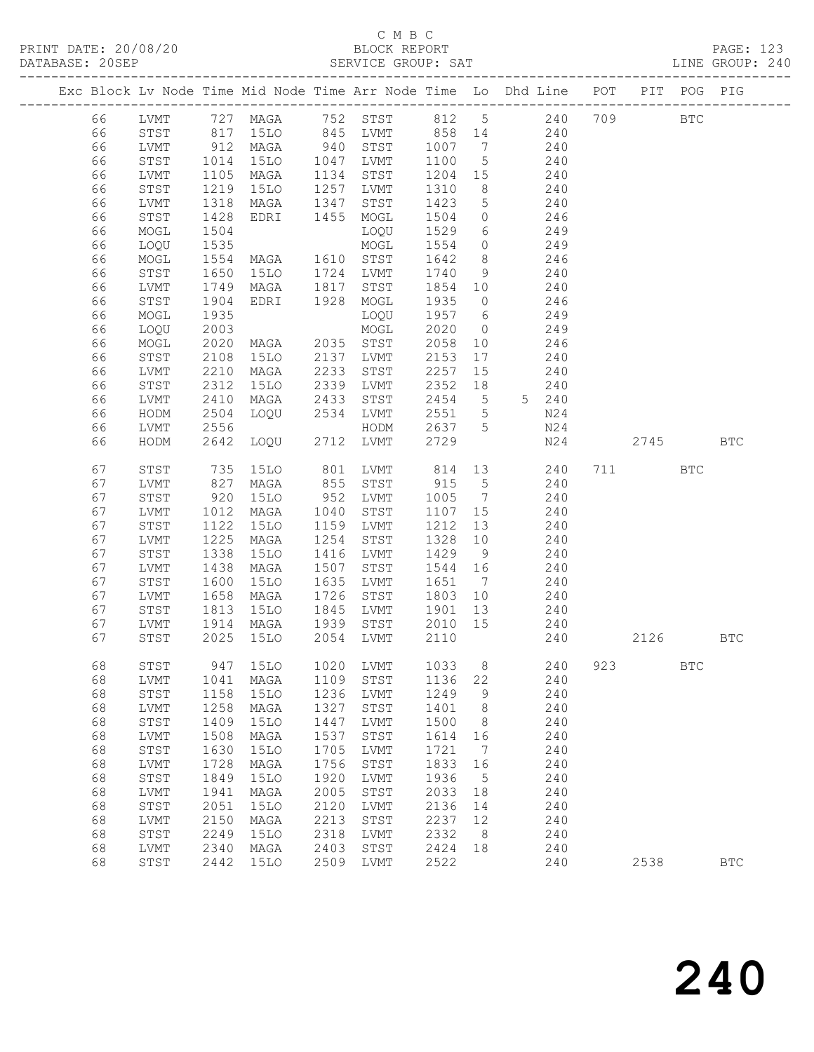### C M B C<br>BLOCK REPORT SERVICE GROUP: SAT

|  |          |                      |              | Exc Block Lv Node Time Mid Node Time Arr Node Time Lo Dhd Line POT |              |              |              |                              |                |     |      | PIT POG PIG  |              |
|--|----------|----------------------|--------------|--------------------------------------------------------------------|--------------|--------------|--------------|------------------------------|----------------|-----|------|--------------|--------------|
|  | 66       | LVMT                 |              | 727 MAGA                                                           | 752          | STST         | 812          | $5\overline{)}$              | 240            | 709 |      | $_{\rm BTC}$ |              |
|  | 66       | STST                 | 817          | 15LO                                                               | 845          | LVMT         | 858          | 14                           | 240            |     |      |              |              |
|  | 66       | LVMT                 | 912          | MAGA                                                               | 940          | STST         | 1007         | $7\phantom{.0}\phantom{.0}7$ | 240            |     |      |              |              |
|  | 66       | STST                 | 1014         | <b>15LO</b>                                                        | 1047         | LVMT         | 1100         | $5\phantom{.0}$              | 240            |     |      |              |              |
|  | 66       | LVMT                 | 1105         | MAGA                                                               | 1134         | STST         | 1204         | 15                           | 240            |     |      |              |              |
|  | 66       | STST                 | 1219         | 15LO                                                               | 1257         | LVMT         | 1310         | 8                            | 240            |     |      |              |              |
|  | 66       | LVMT                 | 1318         | MAGA                                                               | 1347         | STST         | 1423         | $5\phantom{.0}$              | 240            |     |      |              |              |
|  | 66       | STST                 | 1428         | EDRI                                                               | 1455         | MOGL         | 1504         | $\circ$                      | 246            |     |      |              |              |
|  | 66       | MOGL                 | 1504         |                                                                    |              | LOQU         | 1529         | 6                            | 249            |     |      |              |              |
|  | 66       | LOQU                 | 1535         |                                                                    |              | MOGL         | 1554         | $\circ$                      | 249            |     |      |              |              |
|  | 66       | MOGL                 | 1554         | MAGA                                                               | 1610         | STST         | 1642         | 8                            | 246            |     |      |              |              |
|  | 66       | STST                 | 1650         | 15LO                                                               | 1724         | LVMT         | 1740         | 9                            | 240            |     |      |              |              |
|  | 66       | LVMT                 | 1749         | MAGA                                                               | 1817         | STST         | 1854         | 10                           | 240            |     |      |              |              |
|  | 66       | STST                 | 1904         | EDRI                                                               | 1928         | MOGL         | 1935         | $\circ$                      | 246            |     |      |              |              |
|  | 66       | MOGL                 | 1935         |                                                                    |              | LOQU         | 1957         | 6                            | 249            |     |      |              |              |
|  | 66       | LOQU                 | 2003         |                                                                    |              | MOGL         | 2020         | $\circ$                      | 249            |     |      |              |              |
|  | 66       | MOGL                 | 2020         | MAGA                                                               | 2035         | STST         | 2058         | 10                           | 246            |     |      |              |              |
|  | 66       | STST                 | 2108         | <b>15LO</b>                                                        | 2137         | LVMT         | 2153         | 17                           | 240            |     |      |              |              |
|  | 66       | LVMT                 | 2210         | MAGA                                                               | 2233         | STST         | 2257         | 15                           | 240            |     |      |              |              |
|  | 66       | STST                 | 2312         | 15LO                                                               | 2339         | LVMT         | 2352         | 18                           | 240            |     |      |              |              |
|  | 66       | LVMT                 | 2410<br>2504 | MAGA                                                               | 2433<br>2534 | STST         | 2454<br>2551 | $5^{\circ}$                  | 5 240<br>N24   |     |      |              |              |
|  | 66<br>66 | HODM<br>LVMT         | 2556         | LOQU                                                               |              | LVMT<br>HODM | 2637         | 5<br>5                       | N24            |     |      |              |              |
|  | 66       | HODM                 | 2642         | LOQU                                                               | 2712         | LVMT         | 2729         |                              | N24            |     | 2745 |              | <b>BTC</b>   |
|  |          |                      |              |                                                                    |              |              |              |                              |                |     |      |              |              |
|  | 67       | STST                 | 735          | <b>15LO</b>                                                        | 801          | LVMT         | 814          | 13                           | 240            |     | 711  | <b>BTC</b>   |              |
|  | 67       | LVMT                 | 827          | MAGA                                                               | 855          | STST         | 915          | 5                            | 240            |     |      |              |              |
|  | 67       | STST                 | 920          | <b>15LO</b>                                                        | 952          | LVMT         | 1005         | $7\phantom{.0}\phantom{.0}7$ | 240            |     |      |              |              |
|  | 67       | LVMT                 | 1012         | MAGA                                                               | 1040         | STST         | 1107         | 15                           | 240            |     |      |              |              |
|  | 67       | STST                 | 1122         | <b>15LO</b>                                                        | 1159         | LVMT         | 1212         | 13                           | 240            |     |      |              |              |
|  | 67       | LVMT                 | 1225         | MAGA                                                               | 1254         | STST         | 1328         | 10                           | 240            |     |      |              |              |
|  | 67       | STST                 | 1338         | <b>15LO</b>                                                        | 1416         | LVMT         | 1429         | 9                            | 240            |     |      |              |              |
|  | 67       | LVMT                 | 1438         | MAGA                                                               | 1507         | STST         | 1544         | 16                           | 240            |     |      |              |              |
|  | 67       | STST                 | 1600         | <b>15LO</b>                                                        | 1635         | LVMT         | 1651         | $7\phantom{.0}\phantom{.0}7$ | 240            |     |      |              |              |
|  | 67       | LVMT                 | 1658         | MAGA                                                               | 1726         | STST         | 1803         | 10                           | 240            |     |      |              |              |
|  | 67       | STST                 | 1813         | 15LO                                                               | 1845         | LVMT         | 1901         | 13                           | 240            |     |      |              |              |
|  | 67       | LVMT                 | 1914         | MAGA                                                               | 1939         | STST         | 2010         | 15                           | 240            |     |      |              |              |
|  | 67       | STST                 | 2025         | 15LO                                                               | 2054         | LVMT         | 2110         |                              | 240            |     | 2126 |              | <b>BTC</b>   |
|  |          |                      |              |                                                                    |              |              |              |                              |                |     |      |              |              |
|  | 68       | ${\tt STST}$         |              | 947 15LO                                                           |              | 1020 LVMT    |              |                              | 1033 8 240 923 |     |      | $_{\rm BTC}$ |              |
|  | 68       | LVMT                 | 1041         | MAGA                                                               | 1109         | STST         | 1136         | 22                           | 240            |     |      |              |              |
|  | 68       | ${\tt STST}$         | 1158         | <b>15LO</b>                                                        | 1236         | LVMT         | 1249         | 9                            | 240            |     |      |              |              |
|  | 68       | LVMT                 | 1258         | MAGA                                                               | 1327         | STST         | 1401         | 8                            | 240            |     |      |              |              |
|  | 68<br>68 | ${\tt STST}$         | 1409<br>1508 | 15LO                                                               | 1447<br>1537 | LVMT<br>STST | 1500         | 8<br>16                      | 240<br>240     |     |      |              |              |
|  |          | LVMT                 |              | MAGA                                                               | 1705         |              | 1614         |                              |                |     |      |              |              |
|  | 68<br>68 | ${\tt STST}$<br>LVMT | 1630<br>1728 | <b>15LO</b><br>MAGA                                                | 1756         | LVMT<br>STST | 1721<br>1833 | 7<br>16                      | 240<br>240     |     |      |              |              |
|  | 68       | STST                 | 1849         | 15LO                                                               | 1920         | LVMT         | 1936         | 5                            | 240            |     |      |              |              |
|  | 68       | LVMT                 | 1941         | MAGA                                                               | 2005         | STST         | 2033         | 18                           | 240            |     |      |              |              |
|  | 68       | ${\tt STST}$         | 2051         | <b>15LO</b>                                                        | 2120         | LVMT         | 2136         | 14                           | 240            |     |      |              |              |
|  | 68       | LVMT                 | 2150         | MAGA                                                               | 2213         | STST         | 2237         | 12                           | 240            |     |      |              |              |
|  | 68       | STST                 | 2249         | 15LO                                                               | 2318         | LVMT         | 2332         | 8                            | 240            |     |      |              |              |
|  | 68       | LVMT                 | 2340         | MAGA                                                               | 2403         | STST         | 2424         | 18                           | 240            |     |      |              |              |
|  | 68       | STST                 | 2442         | <b>15LO</b>                                                        | 2509         | LVMT         | 2522         |                              | 240            |     | 2538 |              | $_{\rm BTC}$ |
|  |          |                      |              |                                                                    |              |              |              |                              |                |     |      |              |              |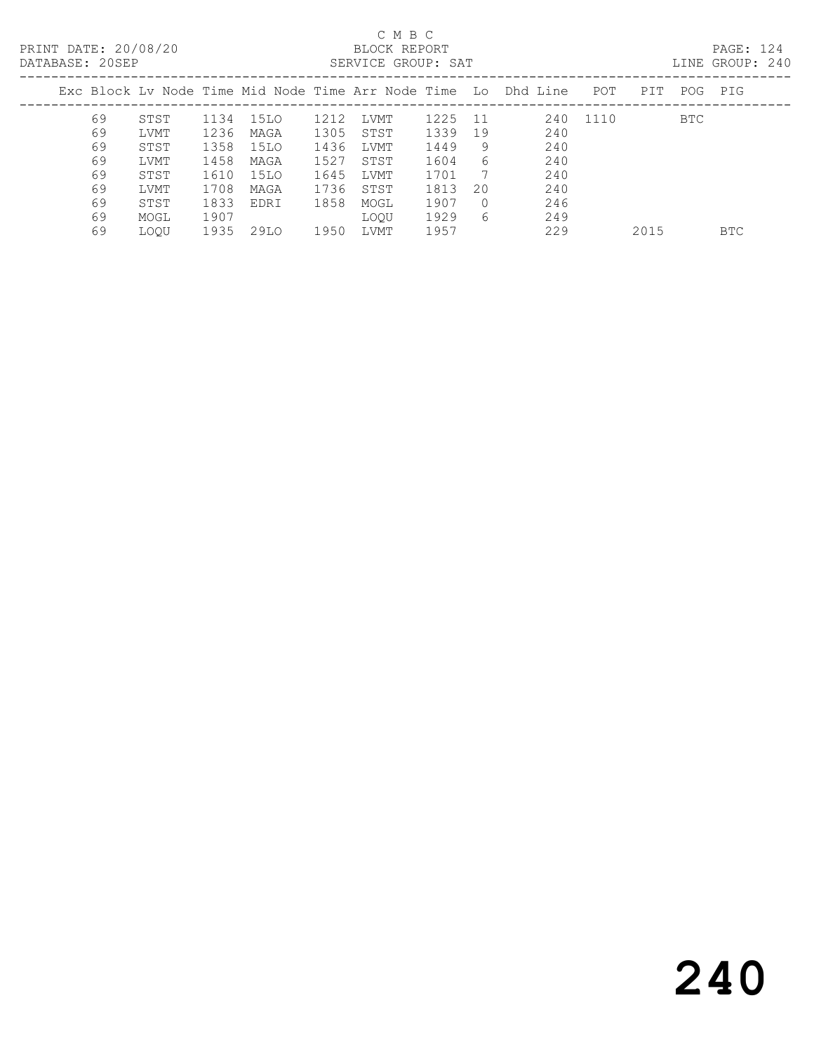| DATABASE: 20SEP |    |             |      |      |      | SERVICE GROUP: SAT |      |        |                                                                |      |      |     | LINE GROUP: 240 |  |
|-----------------|----|-------------|------|------|------|--------------------|------|--------|----------------------------------------------------------------|------|------|-----|-----------------|--|
|                 |    |             |      |      |      |                    |      |        | Exc Block Ly Node Time Mid Node Time Arr Node Time Lo Dhd Line | POT  | PIT  | POG | PIG             |  |
|                 | 69 | STST        | 1134 | 15LO | 1212 | LVMT               | 1225 | - 11   | 240                                                            | 1110 |      | BTC |                 |  |
|                 | 69 | LVMT        | 1236 | MAGA | 1305 | STST               | 1339 | 19     | 240                                                            |      |      |     |                 |  |
|                 | 69 | STST        | 1358 | 15LO | 1436 | LVMT               | 1449 | 9      | 240                                                            |      |      |     |                 |  |
|                 | 69 | LVMT        | 1458 | MAGA | 1527 | STST               | 1604 | 6      | 240                                                            |      |      |     |                 |  |
|                 | 69 | STST        | 1610 | 15LO | 1645 | LVMT               | 1701 | 7      | 240                                                            |      |      |     |                 |  |
|                 | 69 | LVMT        | 1708 | MAGA | 1736 | STST               | 1813 | 20     | 240                                                            |      |      |     |                 |  |
|                 | 69 | STST        | 1833 | EDRI | 1858 | MOGL               | 1907 | $\cap$ | 246                                                            |      |      |     |                 |  |
|                 | 69 | MOGL        | 1907 |      |      | LOOU               | 1929 | 6      | 249                                                            |      |      |     |                 |  |
|                 | 69 | <b>LOOU</b> | 1935 | 29LO | 1950 | LVMT               | 1957 |        | 229                                                            |      | 2015 |     | <b>BTC</b>      |  |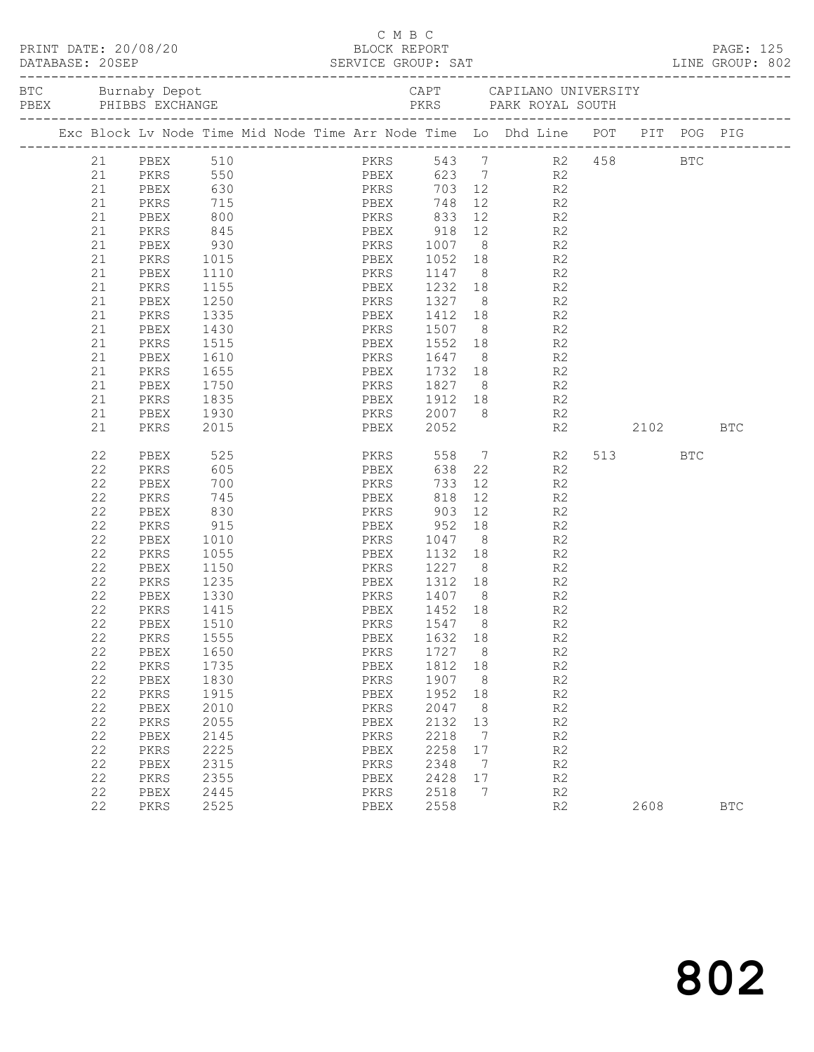|  |          |                                                                                |              |  |              | C M B C |                                                      |         |                |                |                                                                  |      |            | PAGE: 125<br>LINE GROUP: 802 |
|--|----------|--------------------------------------------------------------------------------|--------------|--|--------------|---------|------------------------------------------------------|---------|----------------|----------------|------------------------------------------------------------------|------|------------|------------------------------|
|  |          |                                                                                |              |  |              |         |                                                      |         |                |                | CAPT         CAPILANO UNIVERSITY<br>PKRS        PARK ROYAL SOUTH |      |            |                              |
|  |          | Exc Block Lv Node Time Mid Node Time Arr Node Time Lo Dhd Line POT PIT POG PIG |              |  |              |         |                                                      |         |                |                |                                                                  |      |            |                              |
|  | 21       | PBEX                                                                           | 510          |  |              |         | PKRS 543 7                                           |         |                |                | R2 458 BTC                                                       |      |            |                              |
|  | 21       | PKRS 550                                                                       |              |  |              |         | PBEX 623 7                                           |         |                | R2             |                                                                  |      |            |                              |
|  | 21       | PBEX                                                                           | 630          |  |              |         | PKRS 703 12                                          |         |                | R2             |                                                                  |      |            |                              |
|  | 21       | PKRS                                                                           | 715<br>800   |  |              |         | PBEX 748 12 R2<br>PKRS 833 12 R2<br>PBEX 918 12 R2   |         |                |                |                                                                  |      |            |                              |
|  | 21       | PBEX                                                                           | 845          |  |              |         |                                                      |         |                |                |                                                                  |      |            |                              |
|  | 21       | PKRS                                                                           |              |  |              |         | PKRS 1007 8 R2                                       |         |                |                |                                                                  |      |            |                              |
|  | 21<br>21 | PBEX<br>PKRS                                                                   | 930          |  |              |         |                                                      |         |                |                |                                                                  |      |            |                              |
|  | 21       | PBEX                                                                           | 1015<br>1110 |  |              |         | PBEX 1052 18 R2                                      |         |                |                |                                                                  |      |            |                              |
|  | 21       | PKRS                                                                           | 1155         |  |              |         | PKRS 1147 8 R2<br>PBEX 1232 18 R2                    |         |                |                |                                                                  |      |            |                              |
|  | 21       | PBEX                                                                           | 1250         |  |              |         | PKRS 1327 8 R2                                       |         |                |                |                                                                  |      |            |                              |
|  | 21       | PKRS                                                                           | 1335         |  |              |         | PBEX 1412 18                                         |         |                | R2             |                                                                  |      |            |                              |
|  | 21       | PBEX                                                                           |              |  |              |         |                                                      |         |                |                |                                                                  |      |            |                              |
|  | 21       | PKRS                                                                           | 1430<br>1515 |  |              |         | PKRS 1507 8 R2<br>PBEX 1552 18 R2                    |         |                |                |                                                                  |      |            |                              |
|  | 21       | PBEX                                                                           | 1610         |  |              |         | PKRS 1647 8 R2                                       |         |                |                |                                                                  |      |            |                              |
|  | 21       | PKRS                                                                           | 1655         |  |              |         | PBEX 1732 18 R2                                      |         |                |                |                                                                  |      |            |                              |
|  | 21       | PBEX                                                                           | 1750<br>1835 |  |              |         |                                                      |         |                |                |                                                                  |      |            |                              |
|  | 21       | PKRS                                                                           |              |  |              |         | PKRS 1827 8 R2<br>PBEX 1912 18 R2<br>PKRS 2007 8 R2  |         |                |                |                                                                  |      |            |                              |
|  | 21       | PBEX                                                                           | 1930         |  |              |         |                                                      |         |                |                |                                                                  |      |            |                              |
|  | 21       | PKRS                                                                           | 2015         |  |              |         | PBEX 2052                                            |         |                | R2             |                                                                  | 2102 |            | <b>BTC</b>                   |
|  | 22       | PBEX                                                                           | 525          |  |              |         | PKRS 558 7                                           |         |                | R2             |                                                                  | 513  | <b>BTC</b> |                              |
|  | 22       | PKRS                                                                           | 605          |  | PBEX         |         |                                                      |         | 638 22         | R2             |                                                                  |      |            |                              |
|  | 22       | PBEX                                                                           | 700          |  | PKRS         |         | 733                                                  |         | 12             | R <sub>2</sub> |                                                                  |      |            |                              |
|  | 22       | PKRS                                                                           | 745<br>830   |  |              |         | PBEX           818<br>PKRS            903            |         | 12             | R <sub>2</sub> |                                                                  |      |            |                              |
|  | 22       | PBEX                                                                           |              |  |              |         |                                                      | 12      | $\frac{1}{18}$ | R2             |                                                                  |      |            |                              |
|  | 22       | PKRS                                                                           | 915          |  |              |         | PBEX 952                                             |         |                | R <sub>2</sub> |                                                                  |      |            |                              |
|  | 22       | PBEX                                                                           | 1010         |  |              |         | PKRS 1047                                            |         | $8 - 1$        | R2             |                                                                  |      |            |                              |
|  | 22<br>22 | PKRS                                                                           | 1055         |  |              |         |                                                      |         |                |                |                                                                  |      |            |                              |
|  | 22       | PBEX<br>PKRS                                                                   | 1150<br>1235 |  |              |         | PBEX 1132 18 R2<br>PKRS 1227 8 R2<br>PBEX 1312 18 R2 |         |                |                |                                                                  |      |            |                              |
|  | 22       | PBEX                                                                           | 1330         |  |              |         | PKRS 1407 8                                          |         |                | R2             |                                                                  |      |            |                              |
|  | 22       | PKRS                                                                           | 1415         |  | PBEX         |         | 1452 18                                              |         |                | R <sub>2</sub> |                                                                  |      |            |                              |
|  |          | 22 PBEX 1510                                                                   |              |  |              |         | PKRS 1547 8                                          |         |                | R <sub>2</sub> |                                                                  |      |            |                              |
|  | 22       | PKRS                                                                           | 1555         |  | PBEX         |         | 1632                                                 | 18      |                | R2             |                                                                  |      |            |                              |
|  | 22       | PBEX                                                                           | 1650         |  | PKRS         |         | 1727                                                 | 8       |                | R2             |                                                                  |      |            |                              |
|  | 22       | PKRS                                                                           | 1735         |  | PBEX         |         | 1812                                                 | 18      |                | R2             |                                                                  |      |            |                              |
|  | 22       | PBEX                                                                           | 1830         |  | PKRS         |         | 1907                                                 | 8       |                | R2             |                                                                  |      |            |                              |
|  | 22       | PKRS                                                                           | 1915         |  | PBEX         |         | 1952                                                 | 18      |                | $\mathbb{R}2$  |                                                                  |      |            |                              |
|  | 22       | PBEX                                                                           | 2010         |  | PKRS         |         | 2047                                                 | 8       |                | R2             |                                                                  |      |            |                              |
|  | 22       | PKRS                                                                           | 2055         |  | PBEX         |         | 2132                                                 | 13      |                | R2             |                                                                  |      |            |                              |
|  | 22       | PBEX                                                                           | 2145         |  | PKRS         |         | 2218                                                 | 7       |                | R2             |                                                                  |      |            |                              |
|  | 22       | PKRS                                                                           | 2225         |  | PBEX         |         | 2258                                                 | 17      |                | R2             |                                                                  |      |            |                              |
|  | 22       | PBEX                                                                           | 2315         |  | PKRS         |         | 2348                                                 | 7       |                | R2             |                                                                  |      |            |                              |
|  | 22<br>22 | PKRS<br>PBEX                                                                   | 2355<br>2445 |  | PBEX<br>PKRS |         | 2428<br>2518                                         | 17<br>7 |                | R2<br>R2       |                                                                  |      |            |                              |
|  | 22       | PKRS                                                                           | 2525         |  | PBEX         |         | 2558                                                 |         |                | R2             |                                                                  | 2608 |            | $_{\rm BTC}$                 |
|  |          |                                                                                |              |  |              |         |                                                      |         |                |                |                                                                  |      |            |                              |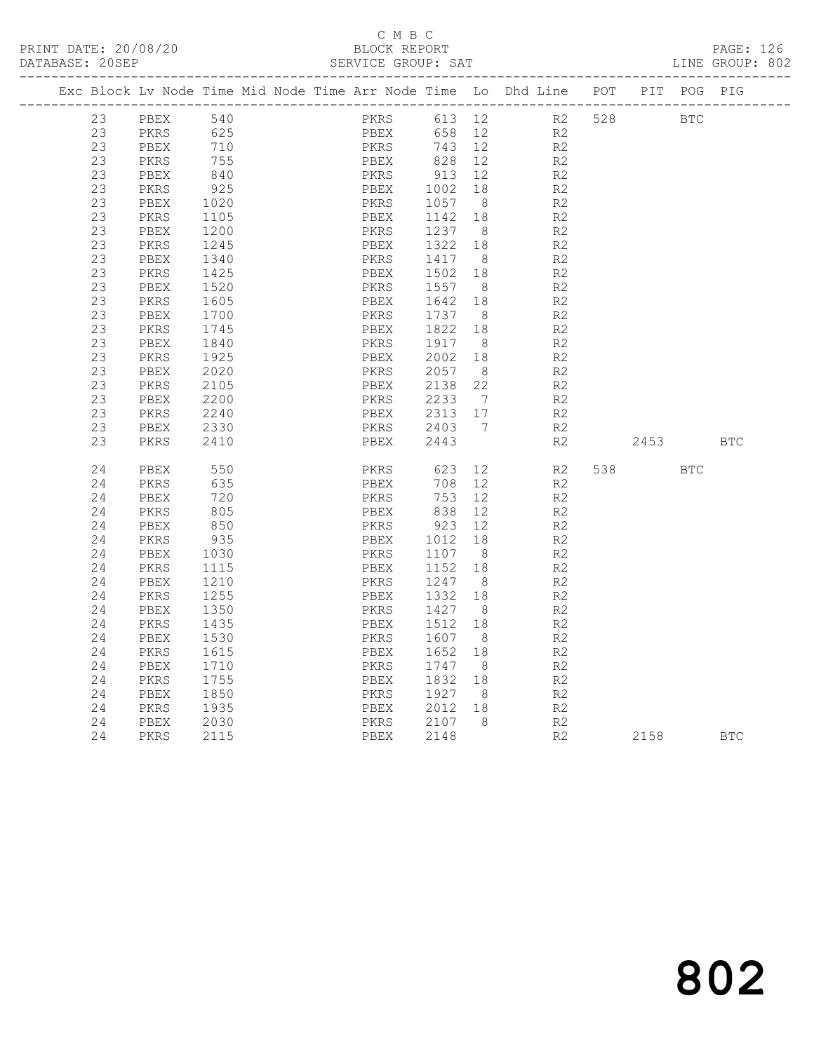|  | DATABASE: 20SEP |                                                                    |      |  |      | SERVICE GROUP: SAT      |                              |                |     |      |            | LINE GROUP: 802 |  |
|--|-----------------|--------------------------------------------------------------------|------|--|------|-------------------------|------------------------------|----------------|-----|------|------------|-----------------|--|
|  |                 | Exc Block Lv Node Time Mid Node Time Arr Node Time Lo Dhd Line POT |      |  |      | _______________________ |                              | ___________    |     | PIT  | POG        | PIG             |  |
|  | 23              | PBEX                                                               | 540  |  | PKRS | 613                     | 12                           | R2             | 528 |      | <b>BTC</b> |                 |  |
|  | 23              | PKRS                                                               | 625  |  | PBEX | 658                     | $12 \overline{ }$            | R2             |     |      |            |                 |  |
|  | 23              | PBEX                                                               | 710  |  | PKRS | 743                     | 12                           | R2             |     |      |            |                 |  |
|  | 23              | PKRS                                                               | 755  |  | PBEX | 828                     | 12                           | R2             |     |      |            |                 |  |
|  | 23              | PBEX                                                               | 840  |  | PKRS | 913                     | 12                           | R <sub>2</sub> |     |      |            |                 |  |
|  | 23              | PKRS                                                               | 925  |  | PBEX | 1002                    | 18                           | R2             |     |      |            |                 |  |
|  | 23              | PBEX                                                               | 1020 |  | PKRS | 1057                    | 8 <sup>8</sup>               | R2             |     |      |            |                 |  |
|  | 23              | PKRS                                                               | 1105 |  | PBEX | 1142                    | 18                           | R <sub>2</sub> |     |      |            |                 |  |
|  | 23              | PBEX                                                               | 1200 |  | PKRS | 1237                    | 8                            | R <sub>2</sub> |     |      |            |                 |  |
|  | 23              | PKRS                                                               | 1245 |  | PBEX | 1322                    | 18                           | R2             |     |      |            |                 |  |
|  | 23              | PBEX                                                               | 1340 |  | PKRS | 1417                    | 8                            | R <sub>2</sub> |     |      |            |                 |  |
|  | 23              | PKRS                                                               | 1425 |  | PBEX | 1502                    | 18                           | R <sub>2</sub> |     |      |            |                 |  |
|  | 23              | PBEX                                                               | 1520 |  | PKRS | 1557                    | 8 <sup>8</sup>               | R <sub>2</sub> |     |      |            |                 |  |
|  | 23              | PKRS                                                               | 1605 |  | PBEX | 1642                    | 18                           | R <sub>2</sub> |     |      |            |                 |  |
|  | 23              | PBEX                                                               | 1700 |  | PKRS | 1737                    | 8                            | R2             |     |      |            |                 |  |
|  | 23              | PKRS                                                               | 1745 |  | PBEX | 1822                    | 18                           | R <sub>2</sub> |     |      |            |                 |  |
|  | 23              | PBEX                                                               | 1840 |  | PKRS | 1917                    | 8                            | R2             |     |      |            |                 |  |
|  | 23              | PKRS                                                               | 1925 |  | PBEX | 2002                    | 18                           | R2             |     |      |            |                 |  |
|  | 23              | PBEX                                                               | 2020 |  | PKRS | 2057                    | - 8                          | R <sub>2</sub> |     |      |            |                 |  |
|  | 23              | PKRS                                                               | 2105 |  | PBEX | 2138                    | 22                           | R2             |     |      |            |                 |  |
|  | 23              | PBEX                                                               | 2200 |  | PKRS | 2233                    | $7\phantom{.0}\phantom{.0}7$ | R <sub>2</sub> |     |      |            |                 |  |
|  | 23              | PKRS                                                               | 2240 |  | PBEX | 2313                    | 17                           | R <sub>2</sub> |     |      |            |                 |  |
|  | 23              | PBEX                                                               | 2330 |  | PKRS | 2403                    | $\overline{7}$               | R <sub>2</sub> |     |      |            |                 |  |
|  | 23              | PKRS                                                               | 2410 |  | PBEX | 2443                    |                              | R2             |     | 2453 |            | <b>BTC</b>      |  |
|  | 24              | PBEX                                                               | 550  |  | PKRS | 623                     | 12                           | R2             | 538 |      | <b>BTC</b> |                 |  |
|  | 24              | PKRS                                                               | 635  |  | PBEX | 708                     | 12                           | R2             |     |      |            |                 |  |
|  | 24              | PBEX                                                               | 720  |  | PKRS | 753                     | 12                           | R2             |     |      |            |                 |  |
|  | 24              | PKRS                                                               | 805  |  | PBEX | 838                     | 12                           | R2             |     |      |            |                 |  |
|  | 24              | PBEX                                                               | 850  |  | PKRS | 923                     | 12                           | R <sub>2</sub> |     |      |            |                 |  |
|  | 24              | PKRS                                                               | 935  |  | PBEX | 1012                    | 18                           | R2             |     |      |            |                 |  |
|  | 24              | PBEX                                                               | 1030 |  | PKRS | 1107                    | - 8                          | R2             |     |      |            |                 |  |
|  | 24              | PKRS                                                               | 1115 |  | PBEX | 1152                    | 18                           | R <sub>2</sub> |     |      |            |                 |  |
|  | 24              | PBEX                                                               | 1210 |  | PKRS | 1247                    | 8 <sup>8</sup>               | R <sub>2</sub> |     |      |            |                 |  |
|  | 24              | PKRS                                                               | 1255 |  | PBEX | 1332                    | 18                           | R2             |     |      |            |                 |  |
|  | 24              | PBEX                                                               | 1350 |  | PKRS | 1427                    | - 8                          | $\mathbb{R}2$  |     |      |            |                 |  |
|  | 24              | PKRS                                                               | 1435 |  | PBEX | 1512                    | 18                           | R2             |     |      |            |                 |  |
|  | 24              | PBEX                                                               | 1530 |  | PKRS | 1607                    | - 8                          | R <sub>2</sub> |     |      |            |                 |  |
|  | 24              | PKRS                                                               | 1615 |  | PBEX | 1652                    | 18                           | R2             |     |      |            |                 |  |
|  | 24              | PBEX                                                               | 1710 |  | PKRS | 1747                    | 8                            | R2             |     |      |            |                 |  |
|  | 24              | PKRS                                                               | 1755 |  | PBEX | 1832                    | 18                           | R <sub>2</sub> |     |      |            |                 |  |
|  | 24              | PBEX                                                               | 1850 |  | PKRS | 1927                    | 8                            | R <sub>2</sub> |     |      |            |                 |  |
|  | 24              | PKRS                                                               | 1935 |  | PBEX | 2012                    | 18                           | R2             |     |      |            |                 |  |
|  | 24              | PBEX                                                               | 2030 |  | PKRS | 2107                    | 8                            | R2             |     |      |            |                 |  |
|  | 24              | PKRS                                                               | 2115 |  | PBEX | 2148                    |                              | R2             |     | 2158 |            | <b>BTC</b>      |  |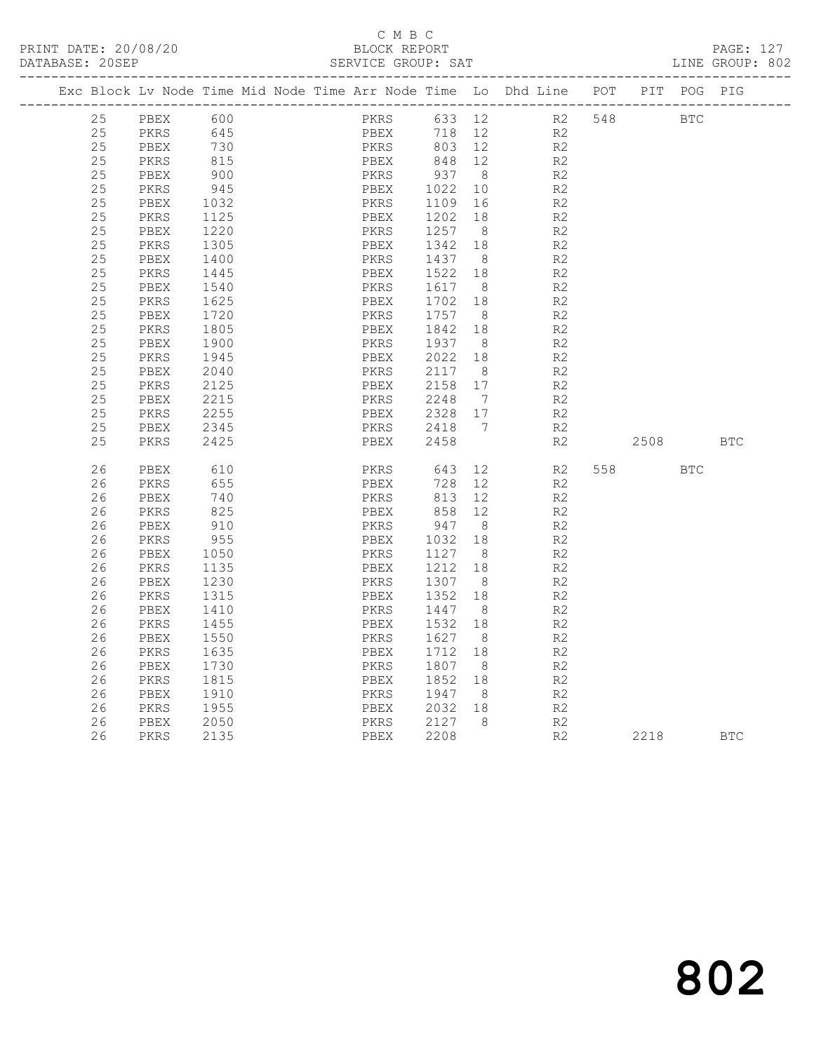|  | DATABASE: 20SEP |      |      |  |      | SERVICE GROUP: SAT   |                              |                                                                                    |     |      |            | LINE GROUP: 802 |  |
|--|-----------------|------|------|--|------|----------------------|------------------------------|------------------------------------------------------------------------------------|-----|------|------------|-----------------|--|
|  |                 |      |      |  |      | ____________________ |                              | Exc Block Lv Node Time Mid Node Time Arr Node Time Lo Dhd Line POT<br>------------ |     | PIT  | POG        | PIG             |  |
|  | 25              | PBEX | 600  |  | PKRS | 633                  | 12                           | R2                                                                                 | 548 |      | <b>BTC</b> |                 |  |
|  | 25              | PKRS | 645  |  | PBEX | 718                  | 12                           | R2                                                                                 |     |      |            |                 |  |
|  | 25              | PBEX | 730  |  | PKRS | 803                  | 12                           | R2                                                                                 |     |      |            |                 |  |
|  | 25              | PKRS | 815  |  | PBEX | 848                  | 12                           | R2                                                                                 |     |      |            |                 |  |
|  | 25              | PBEX | 900  |  | PKRS | 937                  | 8 <sup>8</sup>               | R <sub>2</sub>                                                                     |     |      |            |                 |  |
|  | 25              | PKRS | 945  |  | PBEX | 1022                 | 10                           | $\mathbb{R}2$                                                                      |     |      |            |                 |  |
|  | 25              | PBEX | 1032 |  | PKRS | 1109                 | 16                           | R2                                                                                 |     |      |            |                 |  |
|  | 25              | PKRS | 1125 |  | PBEX | 1202                 | 18                           | R <sub>2</sub>                                                                     |     |      |            |                 |  |
|  | 25              | PBEX | 1220 |  | PKRS | 1257                 | 8                            | R <sub>2</sub>                                                                     |     |      |            |                 |  |
|  | 25              | PKRS | 1305 |  | PBEX | 1342                 | 18                           | R2                                                                                 |     |      |            |                 |  |
|  | 25              | PBEX | 1400 |  | PKRS | 1437                 | 8                            | R <sub>2</sub>                                                                     |     |      |            |                 |  |
|  | 25              | PKRS | 1445 |  | PBEX | 1522                 | 18                           | R <sub>2</sub>                                                                     |     |      |            |                 |  |
|  | 25              | PBEX | 1540 |  | PKRS | 1617                 | - 8                          | R <sub>2</sub>                                                                     |     |      |            |                 |  |
|  | 25              | PKRS | 1625 |  | PBEX | 1702                 | 18                           | R <sub>2</sub>                                                                     |     |      |            |                 |  |
|  | 25              | PBEX | 1720 |  | PKRS | 1757                 | 8                            | R2                                                                                 |     |      |            |                 |  |
|  | 25              | PKRS | 1805 |  | PBEX | 1842                 | 18                           | R <sub>2</sub>                                                                     |     |      |            |                 |  |
|  | 25              | PBEX | 1900 |  | PKRS | 1937                 | 8                            | R2                                                                                 |     |      |            |                 |  |
|  | 25              | PKRS | 1945 |  | PBEX | 2022                 | 18                           | R2                                                                                 |     |      |            |                 |  |
|  | 25              | PBEX | 2040 |  | PKRS | 2117                 | - 8                          | R <sub>2</sub>                                                                     |     |      |            |                 |  |
|  | 25              | PKRS | 2125 |  | PBEX | 2158                 | 17                           | R2                                                                                 |     |      |            |                 |  |
|  | 25              | PBEX | 2215 |  | PKRS | 2248                 | $7\phantom{.0}\phantom{.0}7$ | R <sub>2</sub>                                                                     |     |      |            |                 |  |
|  | 25              | PKRS | 2255 |  | PBEX | 2328                 | 17                           | R <sub>2</sub>                                                                     |     |      |            |                 |  |
|  | 25              | PBEX | 2345 |  | PKRS | 2418                 | $\overline{7}$               | R <sub>2</sub>                                                                     |     |      |            |                 |  |
|  | 25              | PKRS | 2425 |  | PBEX | 2458                 |                              | R2                                                                                 |     | 2508 |            | <b>BTC</b>      |  |
|  | 26              | PBEX | 610  |  | PKRS | 643                  | 12                           | R2                                                                                 | 558 |      | <b>BTC</b> |                 |  |
|  | 26              | PKRS | 655  |  | PBEX | 728                  | 12                           | R2                                                                                 |     |      |            |                 |  |
|  | 26              | PBEX | 740  |  | PKRS | 813                  | 12                           | R2                                                                                 |     |      |            |                 |  |
|  | 26              | PKRS | 825  |  | PBEX | 858                  | 12                           | R2                                                                                 |     |      |            |                 |  |
|  | 26              | PBEX | 910  |  | PKRS | 947                  | - 8                          | R <sub>2</sub>                                                                     |     |      |            |                 |  |
|  | 26              | PKRS | 955  |  | PBEX | 1032                 | 18                           | R2                                                                                 |     |      |            |                 |  |
|  | 26              | PBEX | 1050 |  | PKRS | 1127                 | - 8                          | R2                                                                                 |     |      |            |                 |  |
|  | 26              | PKRS | 1135 |  | PBEX | 1212                 | 18                           | R <sub>2</sub>                                                                     |     |      |            |                 |  |
|  | 26              | PBEX | 1230 |  | PKRS | 1307                 | 8 <sup>8</sup>               | R <sub>2</sub>                                                                     |     |      |            |                 |  |
|  | 26              | PKRS | 1315 |  | PBEX | 1352                 | 18                           | R2                                                                                 |     |      |            |                 |  |
|  | 26              | PBEX | 1410 |  | PKRS | 1447                 | - 8                          | $\mathbb{R}2$                                                                      |     |      |            |                 |  |
|  | 26              | PKRS | 1455 |  | PBEX | 1532                 | 18                           | R2                                                                                 |     |      |            |                 |  |
|  | 26              | PBEX | 1550 |  | PKRS | 1627                 | - 8                          | R <sub>2</sub>                                                                     |     |      |            |                 |  |
|  | 26              | PKRS | 1635 |  | PBEX | 1712                 | 18                           | R2                                                                                 |     |      |            |                 |  |
|  | 26              | PBEX | 1730 |  | PKRS | 1807                 | 8                            | R2                                                                                 |     |      |            |                 |  |
|  | 26              | PKRS | 1815 |  | PBEX | 1852                 | 18                           | R <sub>2</sub>                                                                     |     |      |            |                 |  |
|  | 26              | PBEX | 1910 |  | PKRS | 1947                 | 8                            | R <sub>2</sub>                                                                     |     |      |            |                 |  |
|  | 26              | PKRS | 1955 |  | PBEX | 2032                 | 18                           | R2                                                                                 |     |      |            |                 |  |
|  | 26              | PBEX | 2050 |  | PKRS | 2127                 | 8                            | R2                                                                                 |     |      |            |                 |  |
|  | 26              | PKRS | 2135 |  | PBEX | 2208                 |                              | R2                                                                                 |     | 2218 |            | <b>BTC</b>      |  |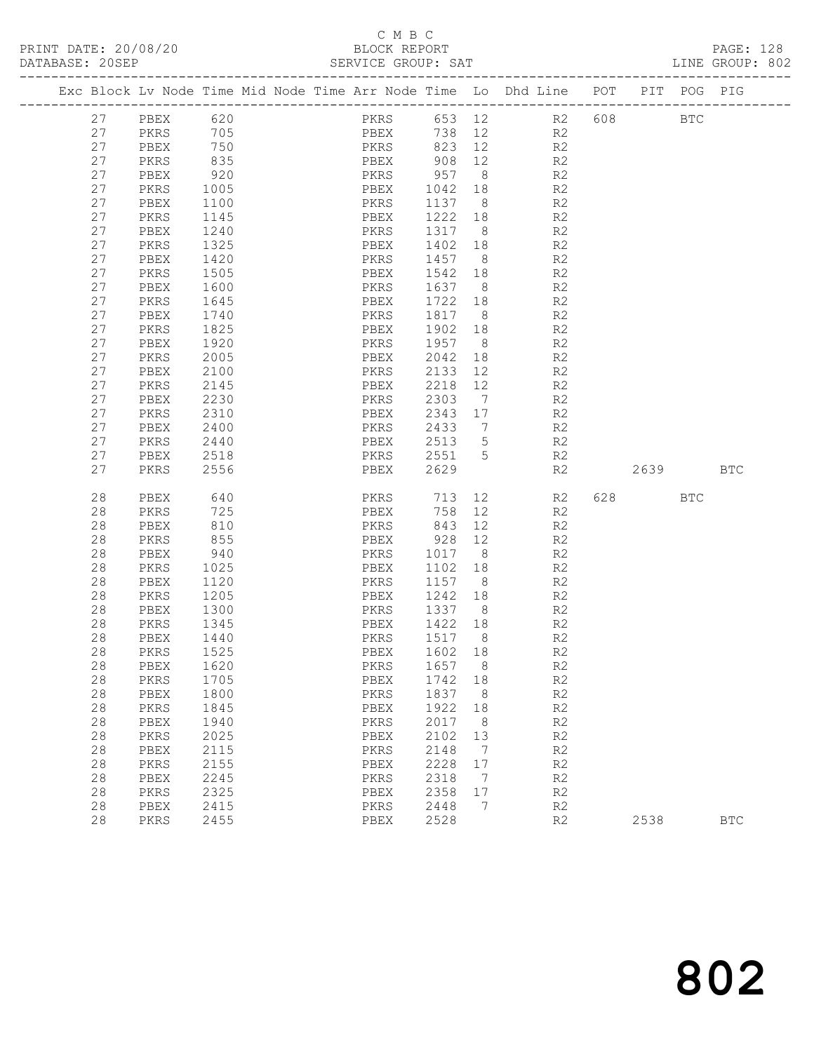PRINT DATE: 20/08/20<br>DATABASE: 20SEP

## C M B C<br>BLOCK REPORT<br>SERVICE GROUP: SAT

| PRINT DATE: 20/08/20<br>DATABASE: 20SEP |              |                                                                                | BLOCK REPORT<br>SERVICE GROUP: SAT |          |                |                                 |             |            | PAGE: 128<br>LINE GROUP: 802 |
|-----------------------------------------|--------------|--------------------------------------------------------------------------------|------------------------------------|----------|----------------|---------------------------------|-------------|------------|------------------------------|
|                                         |              | Exc Block Lv Node Time Mid Node Time Arr Node Time Lo Dhd Line POT PIT POG PIG |                                    |          |                |                                 |             |            |                              |
|                                         | 27 PBEX 620  |                                                                                |                                    |          |                | PKRS 653 12 R2 608              |             | <b>BTC</b> |                              |
| 27                                      | PKRS 705     |                                                                                |                                    |          |                | PBEX 738 12 R2                  |             |            |                              |
| 27                                      | PBEX         | 750                                                                            | PKRS 823 12 R2                     |          |                |                                 |             |            |                              |
| 27                                      | PKRS         | 835                                                                            |                                    |          |                |                                 |             |            |                              |
| 27                                      | PBEX         | 920                                                                            |                                    |          |                | PBEX 908 12 R2<br>PKRS 957 8 R2 |             |            |                              |
| 27                                      | PKRS         | 1005                                                                           | PBEX                               |          |                | 1042 18 R2                      |             |            |                              |
| 27                                      | PBEX         | 1100                                                                           | PKRS                               |          |                | 1137 8 R2                       |             |            |                              |
| 27                                      | PKRS         | 1145                                                                           | PBEX                               | 1222 18  |                | R2                              |             |            |                              |
| 27                                      | PBEX         | 1240                                                                           | PKRS                               | 1317 8   |                |                                 |             |            |                              |
| 27                                      | PKRS         | 1325                                                                           | PBEX                               | 1402 18  |                | R2<br>R2                        |             |            |                              |
| 27                                      | PBEX         | 1420                                                                           | PKRS                               |          |                | 1457 8 R2                       |             |            |                              |
| 27                                      | PKRS         | 1505                                                                           | PBEX                               |          |                | 1542 18 R2                      |             |            |                              |
| 27                                      | PBEX         | 1600                                                                           | PKRS                               | 1637 8   |                | R2                              |             |            |                              |
| 27                                      | PKRS         | 1645                                                                           | PBEX                               | 1722 18  |                | R2                              |             |            |                              |
| 27                                      | PBEX         | 1740                                                                           | PKRS                               |          |                | 1817 8 R2                       |             |            |                              |
| 27                                      | PKRS         | 1825                                                                           | PBEX                               |          |                | 1902 18 R2                      |             |            |                              |
| 27                                      | PBEX         | 1920                                                                           | PKRS                               | 1957 8   |                | R2                              |             |            |                              |
| 27                                      | PKRS         | 2005                                                                           | PBEX                               | 2042 18  |                | R <sub>2</sub>                  |             |            |                              |
| 27                                      | PBEX         | 2100                                                                           | PKRS                               |          |                | 2133 12 R2                      |             |            |                              |
| 27                                      | PKRS         | 2145                                                                           | PBEX                               | 2218 12  |                | R2                              |             |            |                              |
| 27                                      | PBEX         |                                                                                | PKRS                               | 2303     | $7\phantom{0}$ | R2                              |             |            |                              |
| 27                                      | PKRS         | 2230<br>2310                                                                   | PBEX                               | 2343 17  |                | R2                              |             |            |                              |
| 27                                      | PBEX         | 2400                                                                           | PKRS                               | 2433 7   |                | R2                              |             |            |                              |
| 27                                      | PKRS         | 2440                                                                           | PBEX                               |          |                | 2513 5 R2                       |             |            |                              |
| 27                                      | PBEX         |                                                                                | PKRS 2551 5                        |          |                | R2                              |             |            |                              |
| 27                                      | PKRS         | 2518<br>2556                                                                   | PBEX                               | 2629     |                |                                 | R2 2639 BTC |            |                              |
| 28                                      | PBEX         | 640                                                                            |                                    |          |                | PKRS 713 12 R2                  | 628 BTC     |            |                              |
| 28                                      | PKRS         | 725                                                                            | PBEX                               | $758$ 12 |                | R2                              |             |            |                              |
| 28                                      | PBEX         | 810                                                                            | PKRS                               | 843 12   |                | R2                              |             |            |                              |
| 28                                      | PKRS         | 855                                                                            | PBEX                               |          |                | 928 12 R2                       |             |            |                              |
| 28                                      | PBEX         | 940                                                                            | PKRS                               | 1017 8   |                | R2                              |             |            |                              |
| 28                                      | PKRS         | 1025                                                                           | PBEX                               | 1102 18  |                | R2                              |             |            |                              |
| 28                                      | PBEX         | 1120                                                                           | PKRS                               | 1157 8   |                |                                 |             |            |                              |
| 28                                      | PKRS         | 1205                                                                           | PBEX                               | 1242 18  |                | R2<br>R2                        |             |            |                              |
| 28                                      | PBEX         | 1300                                                                           | PKRS 1337 8 R2                     |          |                |                                 |             |            |                              |
| 28                                      | PKRS         | 1345                                                                           | PBEX                               | 1422 18  |                | R2                              |             |            |                              |
|                                         | 28 PBEX 1440 |                                                                                | PKRS 1517 8                        |          |                | R <sub>2</sub>                  |             |            |                              |
| 28                                      | PKRS         | 1525                                                                           | PBEX                               | 1602     | 18             | R2                              |             |            |                              |
| 28                                      | PBEX         | 1620                                                                           | PKRS                               | 1657     | 8              | R2                              |             |            |                              |
| 28                                      | PKRS         | 1705                                                                           | PBEX                               | 1742     | 18             | R2                              |             |            |                              |
| 28                                      | PBEX         | 1800                                                                           | PKRS                               | 1837     | 8              | R2                              |             |            |                              |
| 28                                      | PKRS         | 1845                                                                           | PBEX                               | 1922     | 18             | $\mathbb{R}2$                   |             |            |                              |
| 28                                      | PBEX         | 1940                                                                           | PKRS                               | 2017     | 8              | R2                              |             |            |                              |
| 28                                      | PKRS         | 2025                                                                           | PBEX                               | 2102     | 13             | $\mathbb{R}2$                   |             |            |                              |
| 28                                      | PBEX         | 2115                                                                           | PKRS                               | 2148     | 7              | $\mathbb{R}2$                   |             |            |                              |
| 28                                      | PKRS         | 2155                                                                           | PBEX                               | 2228     | $17$           | $\mathbb{R}2$                   |             |            |                              |
| 28                                      | PBEX         | 2245                                                                           | PKRS                               | 2318     | 7              | R2                              |             |            |                              |
| 28                                      | PKRS         | 2325                                                                           | PBEX                               | 2358     | 17             | R2                              |             |            |                              |
| 28                                      | PBEX         | 2415                                                                           | PKRS                               | 2448     | 7              | R2                              |             |            |                              |
| 28                                      | PKRS         | 2455                                                                           | PBEX                               | 2528     |                | R2                              | 2538        |            | $_{\rm BTC}$                 |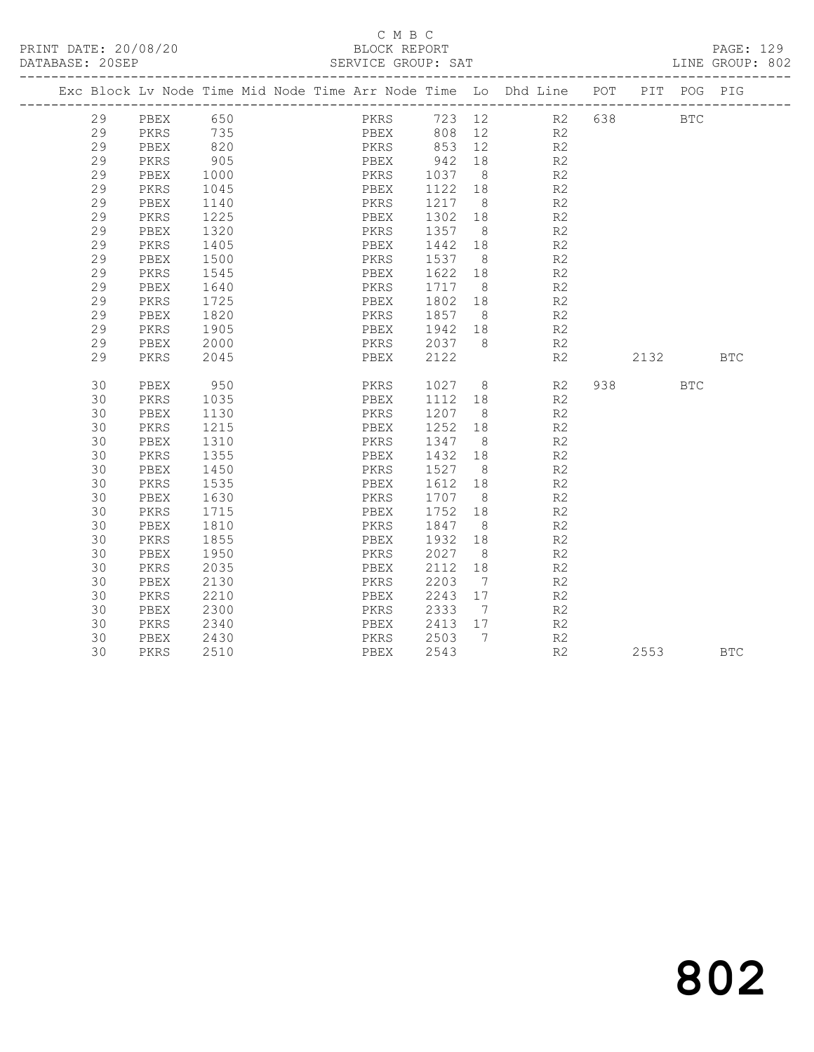### C M B C<br>BLOCK REPORT SERVICE GROUP: SAT

|    |      |            |  |      |         |                | Exc Block Lv Node Time Mid Node Time Arr Node Time Lo Dhd Line POT<br>-------------------------------------- |      | PIT POG PIG  |            |
|----|------|------------|--|------|---------|----------------|--------------------------------------------------------------------------------------------------------------|------|--------------|------------|
| 29 | PBEX | 650        |  | PKRS |         |                | 723 12 R2 638                                                                                                |      | $_{\rm BTC}$ |            |
| 29 | PKRS | 735        |  | PBEX | 808     | 12             | R2                                                                                                           |      |              |            |
| 29 | PBEX | 820<br>905 |  | PKRS | 853     | 12             | R2                                                                                                           |      |              |            |
| 29 | PKRS |            |  | PBEX | 942     | 18             | R2                                                                                                           |      |              |            |
| 29 | PBEX | 1000       |  | PKRS | 1037    | 8 <sup>8</sup> | R <sub>2</sub>                                                                                               |      |              |            |
| 29 | PKRS | 1045       |  | PBEX | 1122    | 18             | R2                                                                                                           |      |              |            |
| 29 | PBEX | 1140       |  | PKRS | 1217    | 8 <sup>8</sup> | R <sub>2</sub>                                                                                               |      |              |            |
| 29 | PKRS | 1225       |  | PBEX | 1302    | 18             | R <sub>2</sub>                                                                                               |      |              |            |
| 29 | PBEX | 1320       |  | PKRS | 1357    | 8 <sup>8</sup> | R <sub>2</sub>                                                                                               |      |              |            |
| 29 | PKRS | 1405       |  | PBEX | 1442    | 18             | R <sub>2</sub>                                                                                               |      |              |            |
| 29 | PBEX | 1500       |  | PKRS | 1537    | 8 <sup>8</sup> | R2                                                                                                           |      |              |            |
| 29 | PKRS | 1545       |  | PBEX | 1622 18 |                | R2                                                                                                           |      |              |            |
| 29 | PBEX | 1640       |  | PKRS | 1717    | 8 <sup>8</sup> | R2                                                                                                           |      |              |            |
| 29 | PKRS | 1725       |  | PBEX | 1802 18 |                | R <sub>2</sub>                                                                                               |      |              |            |
| 29 | PBEX | 1820       |  | PKRS | 1857    | 8 <sup>8</sup> | R2                                                                                                           |      |              |            |
| 29 | PKRS | 1905       |  | PBEX | 1942 18 |                | R <sub>2</sub>                                                                                               |      |              |            |
| 29 | PBEX | 2000       |  | PKRS | 2037    | - 8            | R2                                                                                                           |      |              |            |
| 29 | PKRS | 2045       |  | PBEX | 2122    |                | R2                                                                                                           | 2132 |              | <b>BTC</b> |
|    |      |            |  |      |         |                |                                                                                                              |      |              |            |
| 30 | PBEX | 950        |  | PKRS | 1027    | 8 <sup>8</sup> | R2                                                                                                           |      | <b>BTC</b>   |            |
| 30 | PKRS | 1035       |  | PBEX | 1112 18 |                | R <sub>2</sub>                                                                                               |      |              |            |
| 30 | PBEX | 1130       |  | PKRS | 1207    | 8 <sup>8</sup> | R <sub>2</sub>                                                                                               |      |              |            |
| 30 | PKRS | 1215       |  | PBEX | 1252    | 18             | R <sub>2</sub>                                                                                               |      |              |            |
| 30 | PBEX | 1310       |  | PKRS | 1347    | 8 <sup>8</sup> | R <sub>2</sub>                                                                                               |      |              |            |
| 30 | PKRS | 1355       |  | PBEX | 1432    | 18             | R2                                                                                                           |      |              |            |
| 30 | PBEX | 1450       |  | PKRS | 1527    | 8 <sup>8</sup> | R2                                                                                                           |      |              |            |
| 30 | PKRS | 1535       |  | PBEX | 1612    | 18             | R <sub>2</sub>                                                                                               |      |              |            |
| 30 | PBEX | 1630       |  | PKRS | 1707    | 8 <sup>8</sup> | R <sub>2</sub>                                                                                               |      |              |            |
| 30 | PKRS | 1715       |  | PBEX | 1752    | 18             | R2                                                                                                           |      |              |            |
| 30 | PBEX | 1810       |  | PKRS | 1847    | 8 <sup>8</sup> | R <sub>2</sub>                                                                                               |      |              |            |
| 30 | PKRS | 1855       |  | PBEX | 1932    | 18             | R <sub>2</sub>                                                                                               |      |              |            |
| 30 | PBEX | 1950       |  | PKRS | 2027    | 8 <sup>8</sup> | R <sub>2</sub>                                                                                               |      |              |            |
| 30 | PKRS | 2035       |  | PBEX | 2112    | 18             | R <sub>2</sub>                                                                                               |      |              |            |
| 30 | PBEX | 2130       |  | PKRS | 2203    | $\overline{7}$ | R <sub>2</sub>                                                                                               |      |              |            |
| 30 | PKRS | 2210       |  | PBEX | 2243    | 17             | R <sub>2</sub>                                                                                               |      |              |            |
| 30 | PBEX | 2300       |  | PKRS | 2333    | $\overline{7}$ | R <sub>2</sub>                                                                                               |      |              |            |
| 30 | PKRS | 2340       |  | PBEX | 2413    | 17             | R <sub>2</sub>                                                                                               |      |              |            |
| 30 | PBEX | 2430       |  | PKRS | 2503    | 7              | R2                                                                                                           |      |              |            |
| 30 | PKRS | 2510       |  | PBEX | 2543    |                | R <sub>2</sub>                                                                                               | 2553 |              | <b>BTC</b> |

802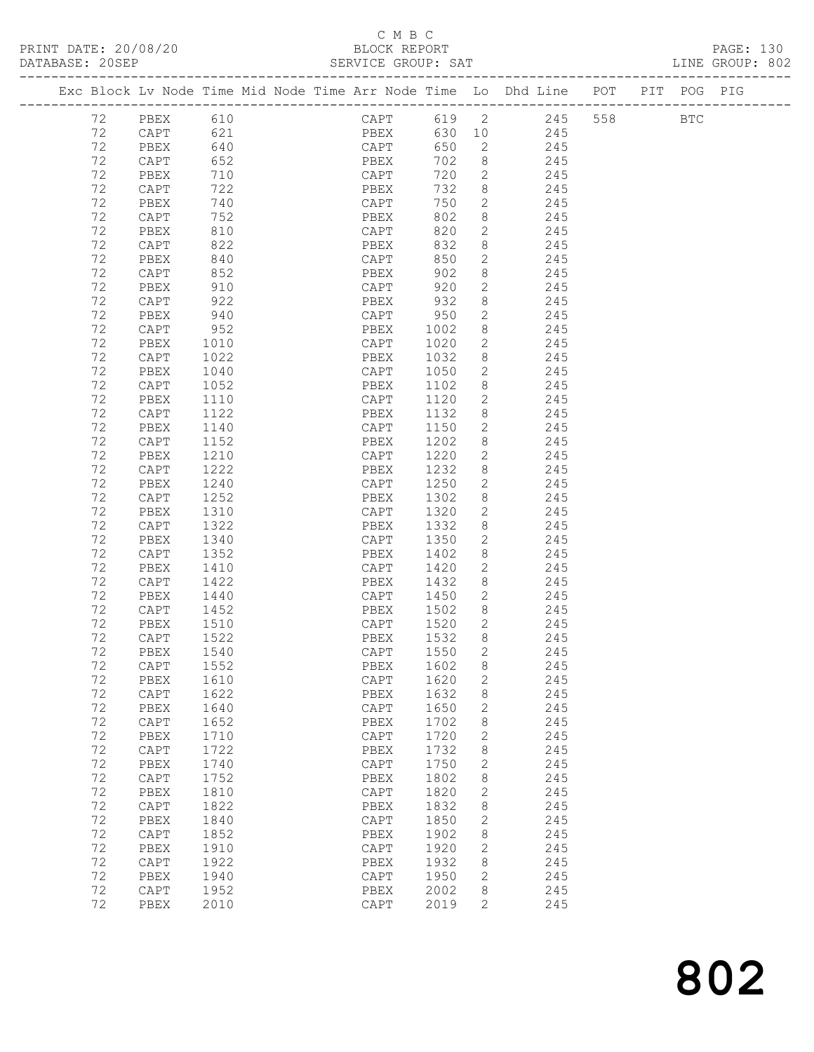### C M B C<br>BLOCK REPOI SERVICE GROUP: SAT

| PRINT DATE: 20/08/20 | BLOCK REPORT       | PAGE: 130       |  |
|----------------------|--------------------|-----------------|--|
| DATABASE: 20SEP      | SERVICE GROUP: SAT | LINE GROUP: 802 |  |

| Exc Block Lv Node Time Mid Node Time Arr Node Time Lo Dhd Line POT<br>PIT POG PIG<br>CAPT 619 2 245<br>558<br>72<br>PBEX<br>610<br>$_{\rm BTC}$<br>621<br>PBEX<br>630 10 245<br>72<br>CAPT<br>CAPT<br>72<br>640<br>650<br>$\overline{2}$<br>PBEX<br>245<br>72<br>702<br>8 <sup>8</sup><br>CAPT<br>652<br>PBEX<br>245<br>720<br>$\overline{2}$<br>72<br>710<br>245<br>PBEX<br>CAPT<br>732<br>72<br>722<br>8 <sup>8</sup><br>CAPT<br>PBEX<br>245<br>CAPT<br>750<br>$\overline{2}$<br>72<br>740<br>PBEX<br>245<br>802<br>72<br>8<br>CAPT<br>752<br>245<br>PBEX<br>$2^{\circ}$<br>820<br>72<br>810<br>PBEX<br>CAPT<br>245<br>822<br>832<br>72<br>8<br>CAPT<br>PBEX<br>245<br>CAPT<br>$\overline{2}$<br>72<br>840<br>850<br>PBEX<br>245<br>8<br>72<br>902<br>CAPT<br>852<br>PBEX<br>245<br>$\overline{2}$<br>72<br>920<br>PBEX<br>910<br>CAPT<br>245<br>932<br>72<br>922<br>8<br>CAPT<br>PBEX<br>245<br>CAPT 950<br>$\mathbf{2}$<br>72<br>940<br>PBEX<br>245<br>72<br>8<br>CAPT<br>952<br>PBEX<br>1002<br>245<br>$\overline{2}$<br>72<br>1020<br>PBEX<br>1010<br>CAPT<br>245<br>72<br>1032<br>8<br>CAPT<br>1022<br>PBEX<br>245<br>CAPT<br>72<br>$\overline{2}$<br>PBEX<br>1040<br>1050<br>245<br>72<br>CAPT<br>1052<br>PBEX<br>1102<br>8<br>245<br>$\overline{2}$<br>72<br>1110<br>1120<br>PBEX<br>CAPT<br>245<br>72<br>1122<br>1132<br>8<br>CAPT<br>PBEX<br>245<br>72<br>1140<br>1150<br>$\mathbf{2}$<br>PBEX<br>CAPT<br>245<br>72<br>1202<br>8<br>CAPT<br>1152<br>PBEX<br>245<br>72<br>1220<br>$\mathbf{2}$<br>PBEX<br>1210<br>CAPT<br>245<br>72<br>1222<br>1232<br>8<br>CAPT<br>PBEX<br>245<br>$\mathbf{2}$<br>72<br>1240<br>CAPT<br>1250<br>PBEX<br>245<br>72<br>1302<br>8<br>CAPT<br>1252<br>PBEX<br>245<br>$2^{\circ}$<br>72<br>1320<br>PBEX<br>1310<br>CAPT<br>245<br>72<br>1322<br>1332<br>8<br>CAPT<br>PBEX<br>245<br>72<br>1340<br>CAPT<br>1350<br>$\mathbf{2}$<br>PBEX<br>245<br>72<br>1402<br>8<br>CAPT<br>1352<br>PBEX<br>245<br>72<br>1420<br>$\overline{2}$<br>PBEX<br>1410<br>CAPT<br>245<br>8<br>72<br>1422<br>1432<br>CAPT<br>PBEX<br>245<br>$\mathbf{2}$<br>72<br>PBEX<br>1440<br>CAPT<br>1450<br>245<br>72<br>1502<br>8 <sup>8</sup><br>CAPT<br>1452<br>245<br>PBEX<br>$\overline{2}$<br>72<br>PBEX<br>1510<br>CAPT<br>1520<br>245<br>8 <sup>8</sup><br>72<br>1522<br>1532<br>CAPT<br>PBEX<br>245<br>2<br>72<br>1540<br>1550<br>PBEX<br>CAPT<br>245<br>PBEX 1602 8<br>72<br>1552<br>CAPT<br>245<br>$\mathbf{2}$<br>72<br>1620<br>245<br>PBEX<br>1610<br>CAPT<br>72<br>1622<br>1632<br>8<br>245<br>CAPT<br>PBEX<br>72<br>1640<br>1650<br>2<br>245<br>PBEX<br>CAPT<br>72<br>245<br>CAPT<br>1652<br>PBEX<br>1702<br>8<br>72<br>1720<br>245<br>PBEX<br>1710<br>CAPT<br>2<br>72<br>1722<br>1732<br>8<br>245<br>$\texttt{CAPT}$<br>PBEX<br>72<br>CAPT<br>1750<br>$\mathbf{2}$<br>245<br>PBEX<br>1740<br>72<br>1752<br>1802<br>8<br>245<br>CAPT<br>PBEX<br>72<br>1810<br>1820<br>2<br>245<br>PBEX<br>CAPT<br>72<br>1822<br>1832<br>8<br>245<br>$\texttt{CAPT}$<br>PBEX<br>72<br>1840<br>1850<br>$\mathbf{2}$<br>245<br>PBEX<br>CAPT<br>72<br>$\texttt{CAPT}$<br>1852<br>1902<br>8<br>245<br>PBEX<br>72<br>1910<br>1920<br>$\mathbf{2}$<br>245<br>PBEX<br>CAPT<br>72<br>1922<br>1932<br>245<br>CAPT<br>PBEX<br>8<br>72<br>1940<br>$\texttt{CAPT}$<br>1950<br>2<br>245<br>PBEX<br>72<br>2002<br>8<br>245<br>CAPT<br>1952<br>PBEX<br>72<br>2010<br>CAPT<br>2019<br>$\overline{2}$<br>245<br>PBEX |  |  |  |  |  |  |  |  |  |
|-------------------------------------------------------------------------------------------------------------------------------------------------------------------------------------------------------------------------------------------------------------------------------------------------------------------------------------------------------------------------------------------------------------------------------------------------------------------------------------------------------------------------------------------------------------------------------------------------------------------------------------------------------------------------------------------------------------------------------------------------------------------------------------------------------------------------------------------------------------------------------------------------------------------------------------------------------------------------------------------------------------------------------------------------------------------------------------------------------------------------------------------------------------------------------------------------------------------------------------------------------------------------------------------------------------------------------------------------------------------------------------------------------------------------------------------------------------------------------------------------------------------------------------------------------------------------------------------------------------------------------------------------------------------------------------------------------------------------------------------------------------------------------------------------------------------------------------------------------------------------------------------------------------------------------------------------------------------------------------------------------------------------------------------------------------------------------------------------------------------------------------------------------------------------------------------------------------------------------------------------------------------------------------------------------------------------------------------------------------------------------------------------------------------------------------------------------------------------------------------------------------------------------------------------------------------------------------------------------------------------------------------------------------------------------------------------------------------------------------------------------------------------------------------------------------------------------------------------------------------------------------------------------------------------------------------------------------------------------------------------------------------------------------------------------------------------------------------------------------------------------------------------------------------------------------------------------------------------------------------------------------------------------------------------------------------------------------------------------------------------------------------------------|--|--|--|--|--|--|--|--|--|
|                                                                                                                                                                                                                                                                                                                                                                                                                                                                                                                                                                                                                                                                                                                                                                                                                                                                                                                                                                                                                                                                                                                                                                                                                                                                                                                                                                                                                                                                                                                                                                                                                                                                                                                                                                                                                                                                                                                                                                                                                                                                                                                                                                                                                                                                                                                                                                                                                                                                                                                                                                                                                                                                                                                                                                                                                                                                                                                                                                                                                                                                                                                                                                                                                                                                                                                                                                                                       |  |  |  |  |  |  |  |  |  |
|                                                                                                                                                                                                                                                                                                                                                                                                                                                                                                                                                                                                                                                                                                                                                                                                                                                                                                                                                                                                                                                                                                                                                                                                                                                                                                                                                                                                                                                                                                                                                                                                                                                                                                                                                                                                                                                                                                                                                                                                                                                                                                                                                                                                                                                                                                                                                                                                                                                                                                                                                                                                                                                                                                                                                                                                                                                                                                                                                                                                                                                                                                                                                                                                                                                                                                                                                                                                       |  |  |  |  |  |  |  |  |  |
|                                                                                                                                                                                                                                                                                                                                                                                                                                                                                                                                                                                                                                                                                                                                                                                                                                                                                                                                                                                                                                                                                                                                                                                                                                                                                                                                                                                                                                                                                                                                                                                                                                                                                                                                                                                                                                                                                                                                                                                                                                                                                                                                                                                                                                                                                                                                                                                                                                                                                                                                                                                                                                                                                                                                                                                                                                                                                                                                                                                                                                                                                                                                                                                                                                                                                                                                                                                                       |  |  |  |  |  |  |  |  |  |
|                                                                                                                                                                                                                                                                                                                                                                                                                                                                                                                                                                                                                                                                                                                                                                                                                                                                                                                                                                                                                                                                                                                                                                                                                                                                                                                                                                                                                                                                                                                                                                                                                                                                                                                                                                                                                                                                                                                                                                                                                                                                                                                                                                                                                                                                                                                                                                                                                                                                                                                                                                                                                                                                                                                                                                                                                                                                                                                                                                                                                                                                                                                                                                                                                                                                                                                                                                                                       |  |  |  |  |  |  |  |  |  |
|                                                                                                                                                                                                                                                                                                                                                                                                                                                                                                                                                                                                                                                                                                                                                                                                                                                                                                                                                                                                                                                                                                                                                                                                                                                                                                                                                                                                                                                                                                                                                                                                                                                                                                                                                                                                                                                                                                                                                                                                                                                                                                                                                                                                                                                                                                                                                                                                                                                                                                                                                                                                                                                                                                                                                                                                                                                                                                                                                                                                                                                                                                                                                                                                                                                                                                                                                                                                       |  |  |  |  |  |  |  |  |  |
|                                                                                                                                                                                                                                                                                                                                                                                                                                                                                                                                                                                                                                                                                                                                                                                                                                                                                                                                                                                                                                                                                                                                                                                                                                                                                                                                                                                                                                                                                                                                                                                                                                                                                                                                                                                                                                                                                                                                                                                                                                                                                                                                                                                                                                                                                                                                                                                                                                                                                                                                                                                                                                                                                                                                                                                                                                                                                                                                                                                                                                                                                                                                                                                                                                                                                                                                                                                                       |  |  |  |  |  |  |  |  |  |
|                                                                                                                                                                                                                                                                                                                                                                                                                                                                                                                                                                                                                                                                                                                                                                                                                                                                                                                                                                                                                                                                                                                                                                                                                                                                                                                                                                                                                                                                                                                                                                                                                                                                                                                                                                                                                                                                                                                                                                                                                                                                                                                                                                                                                                                                                                                                                                                                                                                                                                                                                                                                                                                                                                                                                                                                                                                                                                                                                                                                                                                                                                                                                                                                                                                                                                                                                                                                       |  |  |  |  |  |  |  |  |  |
|                                                                                                                                                                                                                                                                                                                                                                                                                                                                                                                                                                                                                                                                                                                                                                                                                                                                                                                                                                                                                                                                                                                                                                                                                                                                                                                                                                                                                                                                                                                                                                                                                                                                                                                                                                                                                                                                                                                                                                                                                                                                                                                                                                                                                                                                                                                                                                                                                                                                                                                                                                                                                                                                                                                                                                                                                                                                                                                                                                                                                                                                                                                                                                                                                                                                                                                                                                                                       |  |  |  |  |  |  |  |  |  |
|                                                                                                                                                                                                                                                                                                                                                                                                                                                                                                                                                                                                                                                                                                                                                                                                                                                                                                                                                                                                                                                                                                                                                                                                                                                                                                                                                                                                                                                                                                                                                                                                                                                                                                                                                                                                                                                                                                                                                                                                                                                                                                                                                                                                                                                                                                                                                                                                                                                                                                                                                                                                                                                                                                                                                                                                                                                                                                                                                                                                                                                                                                                                                                                                                                                                                                                                                                                                       |  |  |  |  |  |  |  |  |  |
|                                                                                                                                                                                                                                                                                                                                                                                                                                                                                                                                                                                                                                                                                                                                                                                                                                                                                                                                                                                                                                                                                                                                                                                                                                                                                                                                                                                                                                                                                                                                                                                                                                                                                                                                                                                                                                                                                                                                                                                                                                                                                                                                                                                                                                                                                                                                                                                                                                                                                                                                                                                                                                                                                                                                                                                                                                                                                                                                                                                                                                                                                                                                                                                                                                                                                                                                                                                                       |  |  |  |  |  |  |  |  |  |
|                                                                                                                                                                                                                                                                                                                                                                                                                                                                                                                                                                                                                                                                                                                                                                                                                                                                                                                                                                                                                                                                                                                                                                                                                                                                                                                                                                                                                                                                                                                                                                                                                                                                                                                                                                                                                                                                                                                                                                                                                                                                                                                                                                                                                                                                                                                                                                                                                                                                                                                                                                                                                                                                                                                                                                                                                                                                                                                                                                                                                                                                                                                                                                                                                                                                                                                                                                                                       |  |  |  |  |  |  |  |  |  |
|                                                                                                                                                                                                                                                                                                                                                                                                                                                                                                                                                                                                                                                                                                                                                                                                                                                                                                                                                                                                                                                                                                                                                                                                                                                                                                                                                                                                                                                                                                                                                                                                                                                                                                                                                                                                                                                                                                                                                                                                                                                                                                                                                                                                                                                                                                                                                                                                                                                                                                                                                                                                                                                                                                                                                                                                                                                                                                                                                                                                                                                                                                                                                                                                                                                                                                                                                                                                       |  |  |  |  |  |  |  |  |  |
|                                                                                                                                                                                                                                                                                                                                                                                                                                                                                                                                                                                                                                                                                                                                                                                                                                                                                                                                                                                                                                                                                                                                                                                                                                                                                                                                                                                                                                                                                                                                                                                                                                                                                                                                                                                                                                                                                                                                                                                                                                                                                                                                                                                                                                                                                                                                                                                                                                                                                                                                                                                                                                                                                                                                                                                                                                                                                                                                                                                                                                                                                                                                                                                                                                                                                                                                                                                                       |  |  |  |  |  |  |  |  |  |
|                                                                                                                                                                                                                                                                                                                                                                                                                                                                                                                                                                                                                                                                                                                                                                                                                                                                                                                                                                                                                                                                                                                                                                                                                                                                                                                                                                                                                                                                                                                                                                                                                                                                                                                                                                                                                                                                                                                                                                                                                                                                                                                                                                                                                                                                                                                                                                                                                                                                                                                                                                                                                                                                                                                                                                                                                                                                                                                                                                                                                                                                                                                                                                                                                                                                                                                                                                                                       |  |  |  |  |  |  |  |  |  |
|                                                                                                                                                                                                                                                                                                                                                                                                                                                                                                                                                                                                                                                                                                                                                                                                                                                                                                                                                                                                                                                                                                                                                                                                                                                                                                                                                                                                                                                                                                                                                                                                                                                                                                                                                                                                                                                                                                                                                                                                                                                                                                                                                                                                                                                                                                                                                                                                                                                                                                                                                                                                                                                                                                                                                                                                                                                                                                                                                                                                                                                                                                                                                                                                                                                                                                                                                                                                       |  |  |  |  |  |  |  |  |  |
|                                                                                                                                                                                                                                                                                                                                                                                                                                                                                                                                                                                                                                                                                                                                                                                                                                                                                                                                                                                                                                                                                                                                                                                                                                                                                                                                                                                                                                                                                                                                                                                                                                                                                                                                                                                                                                                                                                                                                                                                                                                                                                                                                                                                                                                                                                                                                                                                                                                                                                                                                                                                                                                                                                                                                                                                                                                                                                                                                                                                                                                                                                                                                                                                                                                                                                                                                                                                       |  |  |  |  |  |  |  |  |  |
|                                                                                                                                                                                                                                                                                                                                                                                                                                                                                                                                                                                                                                                                                                                                                                                                                                                                                                                                                                                                                                                                                                                                                                                                                                                                                                                                                                                                                                                                                                                                                                                                                                                                                                                                                                                                                                                                                                                                                                                                                                                                                                                                                                                                                                                                                                                                                                                                                                                                                                                                                                                                                                                                                                                                                                                                                                                                                                                                                                                                                                                                                                                                                                                                                                                                                                                                                                                                       |  |  |  |  |  |  |  |  |  |
|                                                                                                                                                                                                                                                                                                                                                                                                                                                                                                                                                                                                                                                                                                                                                                                                                                                                                                                                                                                                                                                                                                                                                                                                                                                                                                                                                                                                                                                                                                                                                                                                                                                                                                                                                                                                                                                                                                                                                                                                                                                                                                                                                                                                                                                                                                                                                                                                                                                                                                                                                                                                                                                                                                                                                                                                                                                                                                                                                                                                                                                                                                                                                                                                                                                                                                                                                                                                       |  |  |  |  |  |  |  |  |  |
|                                                                                                                                                                                                                                                                                                                                                                                                                                                                                                                                                                                                                                                                                                                                                                                                                                                                                                                                                                                                                                                                                                                                                                                                                                                                                                                                                                                                                                                                                                                                                                                                                                                                                                                                                                                                                                                                                                                                                                                                                                                                                                                                                                                                                                                                                                                                                                                                                                                                                                                                                                                                                                                                                                                                                                                                                                                                                                                                                                                                                                                                                                                                                                                                                                                                                                                                                                                                       |  |  |  |  |  |  |  |  |  |
|                                                                                                                                                                                                                                                                                                                                                                                                                                                                                                                                                                                                                                                                                                                                                                                                                                                                                                                                                                                                                                                                                                                                                                                                                                                                                                                                                                                                                                                                                                                                                                                                                                                                                                                                                                                                                                                                                                                                                                                                                                                                                                                                                                                                                                                                                                                                                                                                                                                                                                                                                                                                                                                                                                                                                                                                                                                                                                                                                                                                                                                                                                                                                                                                                                                                                                                                                                                                       |  |  |  |  |  |  |  |  |  |
|                                                                                                                                                                                                                                                                                                                                                                                                                                                                                                                                                                                                                                                                                                                                                                                                                                                                                                                                                                                                                                                                                                                                                                                                                                                                                                                                                                                                                                                                                                                                                                                                                                                                                                                                                                                                                                                                                                                                                                                                                                                                                                                                                                                                                                                                                                                                                                                                                                                                                                                                                                                                                                                                                                                                                                                                                                                                                                                                                                                                                                                                                                                                                                                                                                                                                                                                                                                                       |  |  |  |  |  |  |  |  |  |
|                                                                                                                                                                                                                                                                                                                                                                                                                                                                                                                                                                                                                                                                                                                                                                                                                                                                                                                                                                                                                                                                                                                                                                                                                                                                                                                                                                                                                                                                                                                                                                                                                                                                                                                                                                                                                                                                                                                                                                                                                                                                                                                                                                                                                                                                                                                                                                                                                                                                                                                                                                                                                                                                                                                                                                                                                                                                                                                                                                                                                                                                                                                                                                                                                                                                                                                                                                                                       |  |  |  |  |  |  |  |  |  |
|                                                                                                                                                                                                                                                                                                                                                                                                                                                                                                                                                                                                                                                                                                                                                                                                                                                                                                                                                                                                                                                                                                                                                                                                                                                                                                                                                                                                                                                                                                                                                                                                                                                                                                                                                                                                                                                                                                                                                                                                                                                                                                                                                                                                                                                                                                                                                                                                                                                                                                                                                                                                                                                                                                                                                                                                                                                                                                                                                                                                                                                                                                                                                                                                                                                                                                                                                                                                       |  |  |  |  |  |  |  |  |  |
|                                                                                                                                                                                                                                                                                                                                                                                                                                                                                                                                                                                                                                                                                                                                                                                                                                                                                                                                                                                                                                                                                                                                                                                                                                                                                                                                                                                                                                                                                                                                                                                                                                                                                                                                                                                                                                                                                                                                                                                                                                                                                                                                                                                                                                                                                                                                                                                                                                                                                                                                                                                                                                                                                                                                                                                                                                                                                                                                                                                                                                                                                                                                                                                                                                                                                                                                                                                                       |  |  |  |  |  |  |  |  |  |
|                                                                                                                                                                                                                                                                                                                                                                                                                                                                                                                                                                                                                                                                                                                                                                                                                                                                                                                                                                                                                                                                                                                                                                                                                                                                                                                                                                                                                                                                                                                                                                                                                                                                                                                                                                                                                                                                                                                                                                                                                                                                                                                                                                                                                                                                                                                                                                                                                                                                                                                                                                                                                                                                                                                                                                                                                                                                                                                                                                                                                                                                                                                                                                                                                                                                                                                                                                                                       |  |  |  |  |  |  |  |  |  |
|                                                                                                                                                                                                                                                                                                                                                                                                                                                                                                                                                                                                                                                                                                                                                                                                                                                                                                                                                                                                                                                                                                                                                                                                                                                                                                                                                                                                                                                                                                                                                                                                                                                                                                                                                                                                                                                                                                                                                                                                                                                                                                                                                                                                                                                                                                                                                                                                                                                                                                                                                                                                                                                                                                                                                                                                                                                                                                                                                                                                                                                                                                                                                                                                                                                                                                                                                                                                       |  |  |  |  |  |  |  |  |  |
|                                                                                                                                                                                                                                                                                                                                                                                                                                                                                                                                                                                                                                                                                                                                                                                                                                                                                                                                                                                                                                                                                                                                                                                                                                                                                                                                                                                                                                                                                                                                                                                                                                                                                                                                                                                                                                                                                                                                                                                                                                                                                                                                                                                                                                                                                                                                                                                                                                                                                                                                                                                                                                                                                                                                                                                                                                                                                                                                                                                                                                                                                                                                                                                                                                                                                                                                                                                                       |  |  |  |  |  |  |  |  |  |
|                                                                                                                                                                                                                                                                                                                                                                                                                                                                                                                                                                                                                                                                                                                                                                                                                                                                                                                                                                                                                                                                                                                                                                                                                                                                                                                                                                                                                                                                                                                                                                                                                                                                                                                                                                                                                                                                                                                                                                                                                                                                                                                                                                                                                                                                                                                                                                                                                                                                                                                                                                                                                                                                                                                                                                                                                                                                                                                                                                                                                                                                                                                                                                                                                                                                                                                                                                                                       |  |  |  |  |  |  |  |  |  |
|                                                                                                                                                                                                                                                                                                                                                                                                                                                                                                                                                                                                                                                                                                                                                                                                                                                                                                                                                                                                                                                                                                                                                                                                                                                                                                                                                                                                                                                                                                                                                                                                                                                                                                                                                                                                                                                                                                                                                                                                                                                                                                                                                                                                                                                                                                                                                                                                                                                                                                                                                                                                                                                                                                                                                                                                                                                                                                                                                                                                                                                                                                                                                                                                                                                                                                                                                                                                       |  |  |  |  |  |  |  |  |  |
|                                                                                                                                                                                                                                                                                                                                                                                                                                                                                                                                                                                                                                                                                                                                                                                                                                                                                                                                                                                                                                                                                                                                                                                                                                                                                                                                                                                                                                                                                                                                                                                                                                                                                                                                                                                                                                                                                                                                                                                                                                                                                                                                                                                                                                                                                                                                                                                                                                                                                                                                                                                                                                                                                                                                                                                                                                                                                                                                                                                                                                                                                                                                                                                                                                                                                                                                                                                                       |  |  |  |  |  |  |  |  |  |
|                                                                                                                                                                                                                                                                                                                                                                                                                                                                                                                                                                                                                                                                                                                                                                                                                                                                                                                                                                                                                                                                                                                                                                                                                                                                                                                                                                                                                                                                                                                                                                                                                                                                                                                                                                                                                                                                                                                                                                                                                                                                                                                                                                                                                                                                                                                                                                                                                                                                                                                                                                                                                                                                                                                                                                                                                                                                                                                                                                                                                                                                                                                                                                                                                                                                                                                                                                                                       |  |  |  |  |  |  |  |  |  |
|                                                                                                                                                                                                                                                                                                                                                                                                                                                                                                                                                                                                                                                                                                                                                                                                                                                                                                                                                                                                                                                                                                                                                                                                                                                                                                                                                                                                                                                                                                                                                                                                                                                                                                                                                                                                                                                                                                                                                                                                                                                                                                                                                                                                                                                                                                                                                                                                                                                                                                                                                                                                                                                                                                                                                                                                                                                                                                                                                                                                                                                                                                                                                                                                                                                                                                                                                                                                       |  |  |  |  |  |  |  |  |  |
|                                                                                                                                                                                                                                                                                                                                                                                                                                                                                                                                                                                                                                                                                                                                                                                                                                                                                                                                                                                                                                                                                                                                                                                                                                                                                                                                                                                                                                                                                                                                                                                                                                                                                                                                                                                                                                                                                                                                                                                                                                                                                                                                                                                                                                                                                                                                                                                                                                                                                                                                                                                                                                                                                                                                                                                                                                                                                                                                                                                                                                                                                                                                                                                                                                                                                                                                                                                                       |  |  |  |  |  |  |  |  |  |
|                                                                                                                                                                                                                                                                                                                                                                                                                                                                                                                                                                                                                                                                                                                                                                                                                                                                                                                                                                                                                                                                                                                                                                                                                                                                                                                                                                                                                                                                                                                                                                                                                                                                                                                                                                                                                                                                                                                                                                                                                                                                                                                                                                                                                                                                                                                                                                                                                                                                                                                                                                                                                                                                                                                                                                                                                                                                                                                                                                                                                                                                                                                                                                                                                                                                                                                                                                                                       |  |  |  |  |  |  |  |  |  |
|                                                                                                                                                                                                                                                                                                                                                                                                                                                                                                                                                                                                                                                                                                                                                                                                                                                                                                                                                                                                                                                                                                                                                                                                                                                                                                                                                                                                                                                                                                                                                                                                                                                                                                                                                                                                                                                                                                                                                                                                                                                                                                                                                                                                                                                                                                                                                                                                                                                                                                                                                                                                                                                                                                                                                                                                                                                                                                                                                                                                                                                                                                                                                                                                                                                                                                                                                                                                       |  |  |  |  |  |  |  |  |  |
|                                                                                                                                                                                                                                                                                                                                                                                                                                                                                                                                                                                                                                                                                                                                                                                                                                                                                                                                                                                                                                                                                                                                                                                                                                                                                                                                                                                                                                                                                                                                                                                                                                                                                                                                                                                                                                                                                                                                                                                                                                                                                                                                                                                                                                                                                                                                                                                                                                                                                                                                                                                                                                                                                                                                                                                                                                                                                                                                                                                                                                                                                                                                                                                                                                                                                                                                                                                                       |  |  |  |  |  |  |  |  |  |
|                                                                                                                                                                                                                                                                                                                                                                                                                                                                                                                                                                                                                                                                                                                                                                                                                                                                                                                                                                                                                                                                                                                                                                                                                                                                                                                                                                                                                                                                                                                                                                                                                                                                                                                                                                                                                                                                                                                                                                                                                                                                                                                                                                                                                                                                                                                                                                                                                                                                                                                                                                                                                                                                                                                                                                                                                                                                                                                                                                                                                                                                                                                                                                                                                                                                                                                                                                                                       |  |  |  |  |  |  |  |  |  |
|                                                                                                                                                                                                                                                                                                                                                                                                                                                                                                                                                                                                                                                                                                                                                                                                                                                                                                                                                                                                                                                                                                                                                                                                                                                                                                                                                                                                                                                                                                                                                                                                                                                                                                                                                                                                                                                                                                                                                                                                                                                                                                                                                                                                                                                                                                                                                                                                                                                                                                                                                                                                                                                                                                                                                                                                                                                                                                                                                                                                                                                                                                                                                                                                                                                                                                                                                                                                       |  |  |  |  |  |  |  |  |  |
|                                                                                                                                                                                                                                                                                                                                                                                                                                                                                                                                                                                                                                                                                                                                                                                                                                                                                                                                                                                                                                                                                                                                                                                                                                                                                                                                                                                                                                                                                                                                                                                                                                                                                                                                                                                                                                                                                                                                                                                                                                                                                                                                                                                                                                                                                                                                                                                                                                                                                                                                                                                                                                                                                                                                                                                                                                                                                                                                                                                                                                                                                                                                                                                                                                                                                                                                                                                                       |  |  |  |  |  |  |  |  |  |
|                                                                                                                                                                                                                                                                                                                                                                                                                                                                                                                                                                                                                                                                                                                                                                                                                                                                                                                                                                                                                                                                                                                                                                                                                                                                                                                                                                                                                                                                                                                                                                                                                                                                                                                                                                                                                                                                                                                                                                                                                                                                                                                                                                                                                                                                                                                                                                                                                                                                                                                                                                                                                                                                                                                                                                                                                                                                                                                                                                                                                                                                                                                                                                                                                                                                                                                                                                                                       |  |  |  |  |  |  |  |  |  |
|                                                                                                                                                                                                                                                                                                                                                                                                                                                                                                                                                                                                                                                                                                                                                                                                                                                                                                                                                                                                                                                                                                                                                                                                                                                                                                                                                                                                                                                                                                                                                                                                                                                                                                                                                                                                                                                                                                                                                                                                                                                                                                                                                                                                                                                                                                                                                                                                                                                                                                                                                                                                                                                                                                                                                                                                                                                                                                                                                                                                                                                                                                                                                                                                                                                                                                                                                                                                       |  |  |  |  |  |  |  |  |  |
|                                                                                                                                                                                                                                                                                                                                                                                                                                                                                                                                                                                                                                                                                                                                                                                                                                                                                                                                                                                                                                                                                                                                                                                                                                                                                                                                                                                                                                                                                                                                                                                                                                                                                                                                                                                                                                                                                                                                                                                                                                                                                                                                                                                                                                                                                                                                                                                                                                                                                                                                                                                                                                                                                                                                                                                                                                                                                                                                                                                                                                                                                                                                                                                                                                                                                                                                                                                                       |  |  |  |  |  |  |  |  |  |
|                                                                                                                                                                                                                                                                                                                                                                                                                                                                                                                                                                                                                                                                                                                                                                                                                                                                                                                                                                                                                                                                                                                                                                                                                                                                                                                                                                                                                                                                                                                                                                                                                                                                                                                                                                                                                                                                                                                                                                                                                                                                                                                                                                                                                                                                                                                                                                                                                                                                                                                                                                                                                                                                                                                                                                                                                                                                                                                                                                                                                                                                                                                                                                                                                                                                                                                                                                                                       |  |  |  |  |  |  |  |  |  |
|                                                                                                                                                                                                                                                                                                                                                                                                                                                                                                                                                                                                                                                                                                                                                                                                                                                                                                                                                                                                                                                                                                                                                                                                                                                                                                                                                                                                                                                                                                                                                                                                                                                                                                                                                                                                                                                                                                                                                                                                                                                                                                                                                                                                                                                                                                                                                                                                                                                                                                                                                                                                                                                                                                                                                                                                                                                                                                                                                                                                                                                                                                                                                                                                                                                                                                                                                                                                       |  |  |  |  |  |  |  |  |  |
|                                                                                                                                                                                                                                                                                                                                                                                                                                                                                                                                                                                                                                                                                                                                                                                                                                                                                                                                                                                                                                                                                                                                                                                                                                                                                                                                                                                                                                                                                                                                                                                                                                                                                                                                                                                                                                                                                                                                                                                                                                                                                                                                                                                                                                                                                                                                                                                                                                                                                                                                                                                                                                                                                                                                                                                                                                                                                                                                                                                                                                                                                                                                                                                                                                                                                                                                                                                                       |  |  |  |  |  |  |  |  |  |
|                                                                                                                                                                                                                                                                                                                                                                                                                                                                                                                                                                                                                                                                                                                                                                                                                                                                                                                                                                                                                                                                                                                                                                                                                                                                                                                                                                                                                                                                                                                                                                                                                                                                                                                                                                                                                                                                                                                                                                                                                                                                                                                                                                                                                                                                                                                                                                                                                                                                                                                                                                                                                                                                                                                                                                                                                                                                                                                                                                                                                                                                                                                                                                                                                                                                                                                                                                                                       |  |  |  |  |  |  |  |  |  |
|                                                                                                                                                                                                                                                                                                                                                                                                                                                                                                                                                                                                                                                                                                                                                                                                                                                                                                                                                                                                                                                                                                                                                                                                                                                                                                                                                                                                                                                                                                                                                                                                                                                                                                                                                                                                                                                                                                                                                                                                                                                                                                                                                                                                                                                                                                                                                                                                                                                                                                                                                                                                                                                                                                                                                                                                                                                                                                                                                                                                                                                                                                                                                                                                                                                                                                                                                                                                       |  |  |  |  |  |  |  |  |  |
|                                                                                                                                                                                                                                                                                                                                                                                                                                                                                                                                                                                                                                                                                                                                                                                                                                                                                                                                                                                                                                                                                                                                                                                                                                                                                                                                                                                                                                                                                                                                                                                                                                                                                                                                                                                                                                                                                                                                                                                                                                                                                                                                                                                                                                                                                                                                                                                                                                                                                                                                                                                                                                                                                                                                                                                                                                                                                                                                                                                                                                                                                                                                                                                                                                                                                                                                                                                                       |  |  |  |  |  |  |  |  |  |
|                                                                                                                                                                                                                                                                                                                                                                                                                                                                                                                                                                                                                                                                                                                                                                                                                                                                                                                                                                                                                                                                                                                                                                                                                                                                                                                                                                                                                                                                                                                                                                                                                                                                                                                                                                                                                                                                                                                                                                                                                                                                                                                                                                                                                                                                                                                                                                                                                                                                                                                                                                                                                                                                                                                                                                                                                                                                                                                                                                                                                                                                                                                                                                                                                                                                                                                                                                                                       |  |  |  |  |  |  |  |  |  |
|                                                                                                                                                                                                                                                                                                                                                                                                                                                                                                                                                                                                                                                                                                                                                                                                                                                                                                                                                                                                                                                                                                                                                                                                                                                                                                                                                                                                                                                                                                                                                                                                                                                                                                                                                                                                                                                                                                                                                                                                                                                                                                                                                                                                                                                                                                                                                                                                                                                                                                                                                                                                                                                                                                                                                                                                                                                                                                                                                                                                                                                                                                                                                                                                                                                                                                                                                                                                       |  |  |  |  |  |  |  |  |  |
|                                                                                                                                                                                                                                                                                                                                                                                                                                                                                                                                                                                                                                                                                                                                                                                                                                                                                                                                                                                                                                                                                                                                                                                                                                                                                                                                                                                                                                                                                                                                                                                                                                                                                                                                                                                                                                                                                                                                                                                                                                                                                                                                                                                                                                                                                                                                                                                                                                                                                                                                                                                                                                                                                                                                                                                                                                                                                                                                                                                                                                                                                                                                                                                                                                                                                                                                                                                                       |  |  |  |  |  |  |  |  |  |
|                                                                                                                                                                                                                                                                                                                                                                                                                                                                                                                                                                                                                                                                                                                                                                                                                                                                                                                                                                                                                                                                                                                                                                                                                                                                                                                                                                                                                                                                                                                                                                                                                                                                                                                                                                                                                                                                                                                                                                                                                                                                                                                                                                                                                                                                                                                                                                                                                                                                                                                                                                                                                                                                                                                                                                                                                                                                                                                                                                                                                                                                                                                                                                                                                                                                                                                                                                                                       |  |  |  |  |  |  |  |  |  |
|                                                                                                                                                                                                                                                                                                                                                                                                                                                                                                                                                                                                                                                                                                                                                                                                                                                                                                                                                                                                                                                                                                                                                                                                                                                                                                                                                                                                                                                                                                                                                                                                                                                                                                                                                                                                                                                                                                                                                                                                                                                                                                                                                                                                                                                                                                                                                                                                                                                                                                                                                                                                                                                                                                                                                                                                                                                                                                                                                                                                                                                                                                                                                                                                                                                                                                                                                                                                       |  |  |  |  |  |  |  |  |  |
|                                                                                                                                                                                                                                                                                                                                                                                                                                                                                                                                                                                                                                                                                                                                                                                                                                                                                                                                                                                                                                                                                                                                                                                                                                                                                                                                                                                                                                                                                                                                                                                                                                                                                                                                                                                                                                                                                                                                                                                                                                                                                                                                                                                                                                                                                                                                                                                                                                                                                                                                                                                                                                                                                                                                                                                                                                                                                                                                                                                                                                                                                                                                                                                                                                                                                                                                                                                                       |  |  |  |  |  |  |  |  |  |
|                                                                                                                                                                                                                                                                                                                                                                                                                                                                                                                                                                                                                                                                                                                                                                                                                                                                                                                                                                                                                                                                                                                                                                                                                                                                                                                                                                                                                                                                                                                                                                                                                                                                                                                                                                                                                                                                                                                                                                                                                                                                                                                                                                                                                                                                                                                                                                                                                                                                                                                                                                                                                                                                                                                                                                                                                                                                                                                                                                                                                                                                                                                                                                                                                                                                                                                                                                                                       |  |  |  |  |  |  |  |  |  |
|                                                                                                                                                                                                                                                                                                                                                                                                                                                                                                                                                                                                                                                                                                                                                                                                                                                                                                                                                                                                                                                                                                                                                                                                                                                                                                                                                                                                                                                                                                                                                                                                                                                                                                                                                                                                                                                                                                                                                                                                                                                                                                                                                                                                                                                                                                                                                                                                                                                                                                                                                                                                                                                                                                                                                                                                                                                                                                                                                                                                                                                                                                                                                                                                                                                                                                                                                                                                       |  |  |  |  |  |  |  |  |  |
|                                                                                                                                                                                                                                                                                                                                                                                                                                                                                                                                                                                                                                                                                                                                                                                                                                                                                                                                                                                                                                                                                                                                                                                                                                                                                                                                                                                                                                                                                                                                                                                                                                                                                                                                                                                                                                                                                                                                                                                                                                                                                                                                                                                                                                                                                                                                                                                                                                                                                                                                                                                                                                                                                                                                                                                                                                                                                                                                                                                                                                                                                                                                                                                                                                                                                                                                                                                                       |  |  |  |  |  |  |  |  |  |
|                                                                                                                                                                                                                                                                                                                                                                                                                                                                                                                                                                                                                                                                                                                                                                                                                                                                                                                                                                                                                                                                                                                                                                                                                                                                                                                                                                                                                                                                                                                                                                                                                                                                                                                                                                                                                                                                                                                                                                                                                                                                                                                                                                                                                                                                                                                                                                                                                                                                                                                                                                                                                                                                                                                                                                                                                                                                                                                                                                                                                                                                                                                                                                                                                                                                                                                                                                                                       |  |  |  |  |  |  |  |  |  |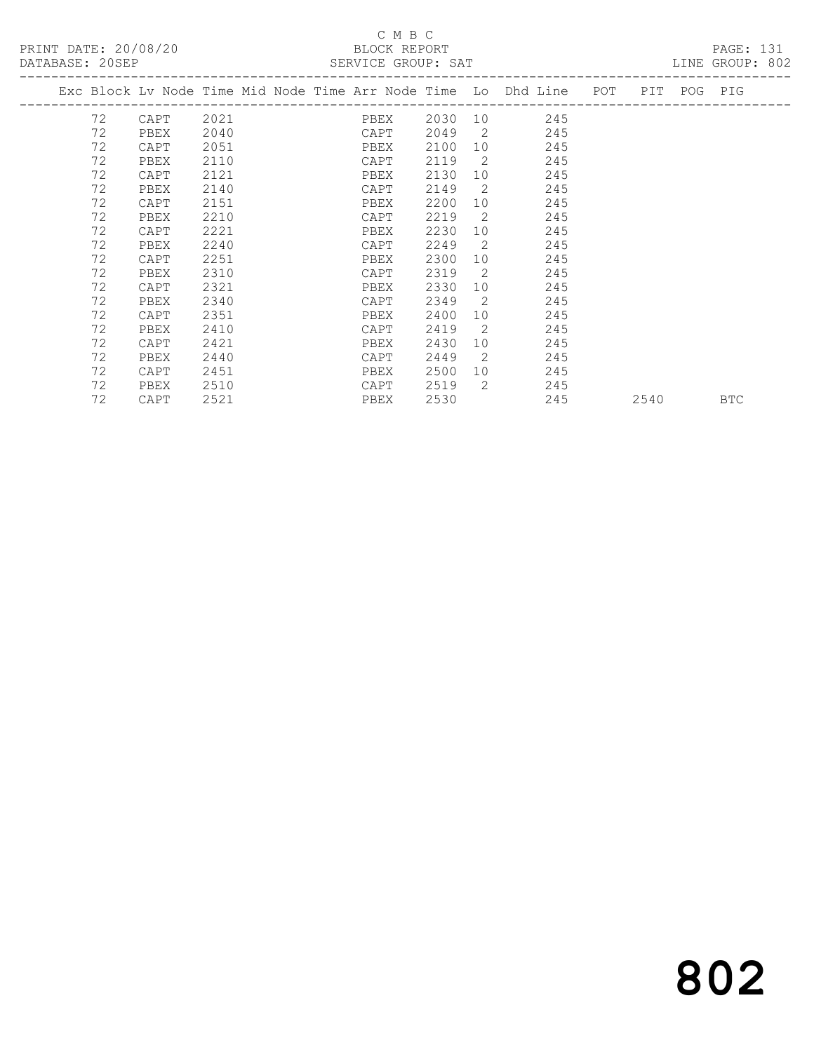## C M B C<br>BLOCK REPORT

| DATABASE: 20SEP |      |      | SERVICE GROUP: SAT                                                             |      |                 |             |     |      | LINE GROUP: 802 |  |
|-----------------|------|------|--------------------------------------------------------------------------------|------|-----------------|-------------|-----|------|-----------------|--|
|                 |      |      | Exc Block Lv Node Time Mid Node Time Arr Node Time Lo Dhd Line POT PIT POG PIG |      |                 |             |     |      |                 |  |
| 72              | CAPT | 2021 | PBEX                                                                           |      |                 | 2030 10 245 |     |      |                 |  |
| 72              | PBEX | 2040 | CAPT                                                                           | 2049 |                 | 2 245       |     |      |                 |  |
| 72              | CAPT | 2051 | PBEX                                                                           | 2100 |                 | 245         |     |      |                 |  |
| 72              | PBEX | 2110 | CAPT                                                                           | 2119 | $\overline{2}$  | 245         |     |      |                 |  |
| 72              | CAPT | 2121 | PBEX                                                                           | 2130 | 10 <sup>1</sup> | 245         |     |      |                 |  |
| 72              | PBEX | 2140 | CAPT                                                                           | 2149 | $\overline{2}$  | 245         |     |      |                 |  |
| 72              | CAPT | 2151 | PBEX                                                                           | 2200 | 10              | 245         |     |      |                 |  |
| 72              | PBEX | 2210 | CAPT                                                                           | 2219 | $\overline{2}$  | 245         |     |      |                 |  |
| 72              | CAPT | 2221 | PBEX                                                                           | 2230 | 10              | 245         |     |      |                 |  |
| 72              | PBEX | 2240 | CAPT                                                                           | 2249 | 2               | 245         |     |      |                 |  |
| 72              | CAPT | 2251 | PBEX                                                                           | 2300 | 10              | 245         |     |      |                 |  |
| 72              | PBEX | 2310 | CAPT                                                                           | 2319 | $\overline{2}$  | 245         |     |      |                 |  |
| 72              | CAPT | 2321 | PBEX                                                                           | 2330 | 10              | 245         |     |      |                 |  |
| 72              | PBEX | 2340 | CAPT                                                                           | 2349 | $\overline{2}$  | 245         |     |      |                 |  |
| 72              | CAPT | 2351 | PBEX                                                                           | 2400 | 10              | 245         |     |      |                 |  |
| 72              | PBEX | 2410 | CAPT                                                                           | 2419 | 2               | 245         |     |      |                 |  |
| 72              | CAPT | 2421 | PBEX                                                                           | 2430 | 10              | 245         |     |      |                 |  |
| 72              | PBEX | 2440 | CAPT                                                                           | 2449 | $\overline{2}$  | 245         |     |      |                 |  |
| 72              | CAPT | 2451 | PBEX                                                                           | 2500 |                 | 10<br>245   |     |      |                 |  |
| 72              | PBEX | 2510 | CAPT                                                                           | 2519 | 2               | 245         |     |      |                 |  |
| 72              | CAPT | 2521 | PBEX                                                                           | 2530 |                 |             | 245 | 2540 | <b>BTC</b>      |  |
|                 |      |      |                                                                                |      |                 |             |     |      |                 |  |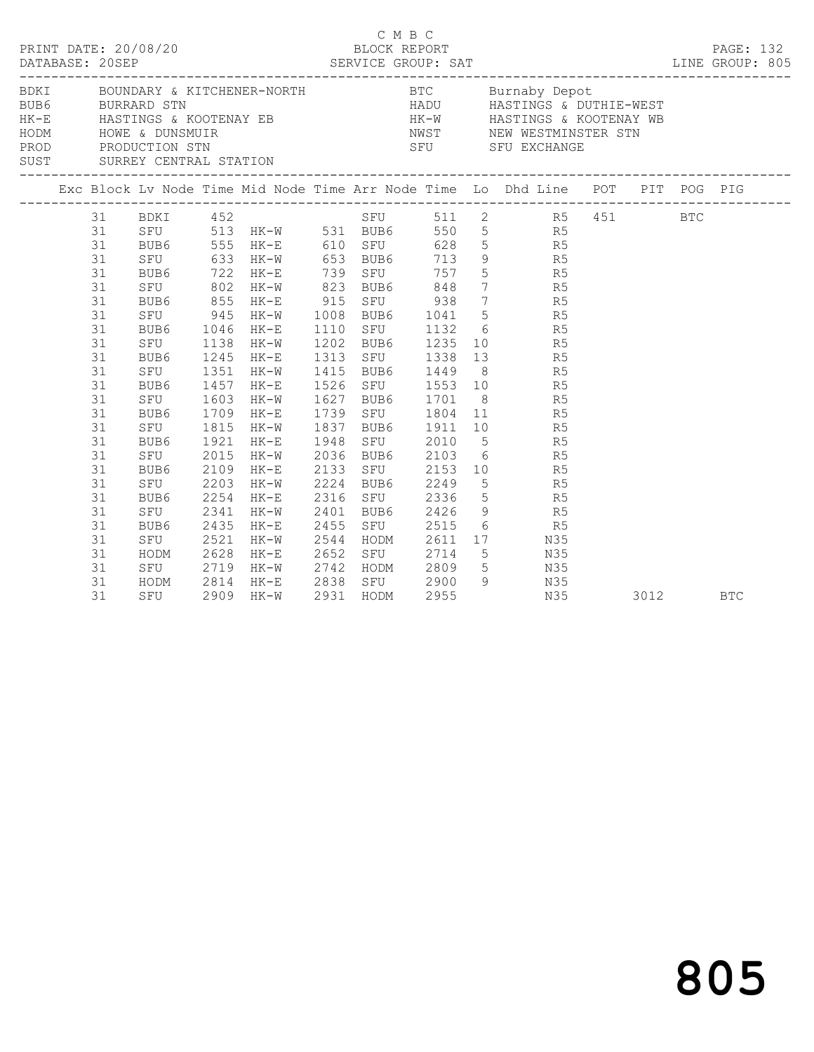|      | DATABASE: 20SEP                                                                                                                                          | PRINT DATE: 20/08/20                                                                                                                                                                      |                                                                                      |                                                                                                                                                                                                           |                                                                                                           | C M B C |                                                                                                                                                                                                                                                      |                                                                                                                                                                                                                                                                                                                                                                                                                                                                                                                                                                                                                                                                                                         |      |  |            |
|------|----------------------------------------------------------------------------------------------------------------------------------------------------------|-------------------------------------------------------------------------------------------------------------------------------------------------------------------------------------------|--------------------------------------------------------------------------------------|-----------------------------------------------------------------------------------------------------------------------------------------------------------------------------------------------------------|-----------------------------------------------------------------------------------------------------------|---------|------------------------------------------------------------------------------------------------------------------------------------------------------------------------------------------------------------------------------------------------------|---------------------------------------------------------------------------------------------------------------------------------------------------------------------------------------------------------------------------------------------------------------------------------------------------------------------------------------------------------------------------------------------------------------------------------------------------------------------------------------------------------------------------------------------------------------------------------------------------------------------------------------------------------------------------------------------------------|------|--|------------|
| BDKI |                                                                                                                                                          |                                                                                                                                                                                           |                                                                                      |                                                                                                                                                                                                           |                                                                                                           |         |                                                                                                                                                                                                                                                      | BOUNDARY & KITCHENER-NORTH BTC Burnaby Depot<br>BURE BUREARD STN BUREARD STN HADU HASTINGS & DUTHIE-WEST<br>HE-E HASTINGS & KOOTENAY EB HE-W HASTINGS & KOOTENAY WE<br>HODM HOWE & DUNSMUIR<br>PRODUCTION STN SEU SFU SEU EXCHANGE<br>SUST SURREY CENTRAL STATION                                                                                                                                                                                                                                                                                                                                                                                                                                       |      |  |            |
|      |                                                                                                                                                          |                                                                                                                                                                                           |                                                                                      |                                                                                                                                                                                                           |                                                                                                           |         |                                                                                                                                                                                                                                                      |                                                                                                                                                                                                                                                                                                                                                                                                                                                                                                                                                                                                                                                                                                         |      |  |            |
|      | 31<br>31<br>31<br>31<br>31<br>31<br>31<br>31<br>31<br>31<br>31<br>31<br>31<br>31<br>31<br>31<br>31<br>31<br>31<br>31<br>31<br>31<br>31<br>31<br>31<br>31 | SFU 945<br>BUB6<br>SFU<br>BUB6<br>SFU<br>BUB6<br>SFU<br>BUB6 1709<br>SFU 1815<br>BUB6<br>SFU<br>BUB6<br>SFU<br>BUB6<br>SFU<br>BUB6<br>SFU<br>HODM 2628 HK-E<br>SFU 2719 HK-W<br>HODM 2814 | 1351<br>1457<br>1603<br>1921<br>2015<br>2109<br>2203<br>2254<br>2341<br>2435<br>2521 | 31 BDKI 452<br>BUB6 555 HK-E 610 SFU<br>1046 HK-E<br>1138 HK-W<br>1245 HK-E<br>$HK-W$<br>HK-E<br>HK-W<br>$HK-E$<br>$HK-W$<br>HK-E<br>$HK-W$<br>$HK-E$<br>HK-W<br>HK-E<br>HK-W<br>$HK-E$<br>$HK-W$<br>HK-E | 1526<br>1627<br>1948<br>2036<br>2133<br>2224 BUB6<br>2316<br>2401<br>2455<br>2544<br>2652<br>2742<br>2838 |         | 1110 SFU 1132<br>1202 BUB6 1235<br>1313 SFU 1338<br>1415 BUB6 1449<br>1627 BUB6 1701<br>1739 SFU 1804<br>1837 BUB6 1911<br>SFU 2010<br>BUB6 2103<br>SFU 2153<br>BUB6 2249<br>SFU 2336<br>BUB6 2426<br>SFU 2515<br>HODM 2611<br>SFU 2714<br>HODM 2809 | SFU 511 2 R5 451 BTC<br>SFU 513 HK-W 531 BUB6 550 5 R5<br>BUB6 555 HK-E 610 SFU 628 5<br>SFU 633 HK-W 653 BUB6 713 9 R5<br>BUB6 722 HK-E 739 SFU 757 5 R5<br>SFU 802 HK-W 823 BUB6 848 7 R5<br>BUB6 855 HK-E 915 SFU 938 7 R5<br>HK-W 1008 BUB6 1041 5 R5<br>$\begin{array}{ccc} 6 & & \text{R5} \\ 10 & & \text{R5} \\ 13 & & \text{R5} \end{array}$<br>8 R5<br>SFU 1553 10 R5<br>8 R5<br>$\begin{array}{ccc} 11 & \phantom{00} & \phantom{00} & \phantom{00} \\ 10 & \phantom{0} & \phantom{0} & \phantom{0} \\ 5 & \phantom{0} & \phantom{0} & \phantom{0} \\ \end{array}$<br>6 R5<br>10 R5<br>5<br>5<br>5<br>9<br>R5<br>R5<br>6 R5<br>17 N35<br>SFU 2714 5 N35<br>HODM 2809 5 N35<br>SFU 2900 9 N35 |      |  |            |
|      | 31                                                                                                                                                       | SFU                                                                                                                                                                                       |                                                                                      | 2909 HK-W                                                                                                                                                                                                 | 2931 HODM                                                                                                 |         | 2955                                                                                                                                                                                                                                                 | N35                                                                                                                                                                                                                                                                                                                                                                                                                                                                                                                                                                                                                                                                                                     | 3012 |  | <b>BTC</b> |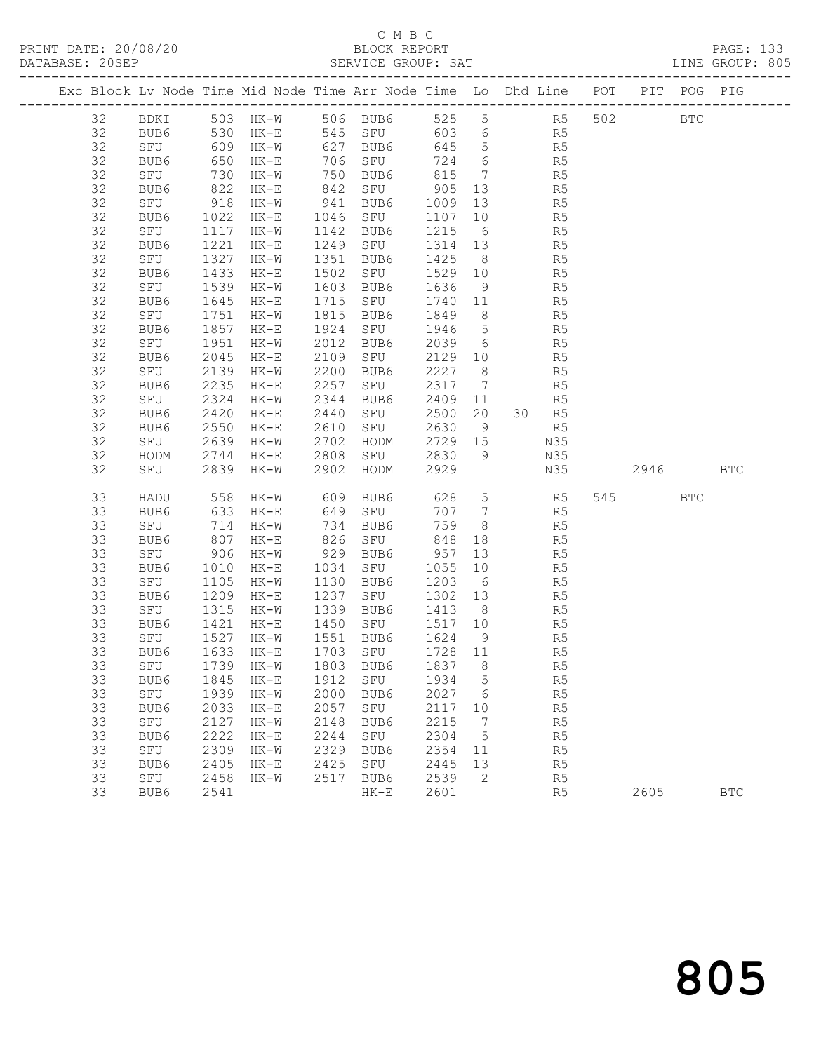## C M B C<br>BLOCK REPORT

|    |                                                   |      |                        |      | Exc Block Lv Node Time Mid Node Time Arr Node Time Lo Dhd Line POT PIT POG PIG                                |            |    |                      |                |      |            |
|----|---------------------------------------------------|------|------------------------|------|---------------------------------------------------------------------------------------------------------------|------------|----|----------------------|----------------|------|------------|
|    |                                                   |      |                        |      | 32 BDKI 503 HK-W 506 BUB6 525 5 R5 502 BTC                                                                    |            |    |                      |                |      |            |
|    |                                                   |      |                        |      | 32 BUB6 530 HK-E 545 SFU 603 6 R5                                                                             |            |    |                      |                |      |            |
| 32 |                                                   |      |                        |      | SFU 609 HK-W 627 BUB6 645 5 R5                                                                                |            |    |                      |                |      |            |
| 32 |                                                   |      |                        |      |                                                                                                               |            |    |                      |                |      |            |
| 32 |                                                   |      |                        |      | BUB6 650 HK-E 706 SFU 724 6 R5<br>SFU 730 HK-W 750 BUB6 815 7 R5<br>BUB6 822 HK-E 842 SFU 905 13 R5           |            |    |                      |                |      |            |
| 32 |                                                   |      |                        |      |                                                                                                               |            |    |                      |                |      |            |
| 32 |                                                   |      |                        |      | SFU 918 HK-W 941 BUB6 1009 13 R5                                                                              |            |    |                      |                |      |            |
| 32 |                                                   |      |                        |      | BUB6 1022 HK-E 1046 SFU 1107 10 R5<br>SFU 1117 HK-W 1142 BUB6 1215 6 R5<br>BUB6 1221 HK-E 1249 SFU 1314 13 R5 |            |    |                      |                |      |            |
| 32 |                                                   |      |                        |      |                                                                                                               |            |    |                      |                |      |            |
| 32 |                                                   |      |                        |      |                                                                                                               |            |    |                      |                |      |            |
| 32 | SFU 1327 HK-W                                     |      |                        |      | 1351 BUB6 1425 8 R5                                                                                           |            |    |                      |                |      |            |
| 32 | BUB6 1433 HK-E<br>SFU 1539 HK-W<br>BUB6 1645 HK-E |      |                        |      | 1502 SFU                                                                                                      | 1529 10 R5 |    |                      |                |      |            |
| 32 |                                                   |      |                        |      |                                                                                                               |            |    |                      |                |      |            |
| 32 |                                                   |      |                        |      |                                                                                                               |            |    |                      |                |      |            |
| 32 | SFU                                               |      | 1751 HK-W              |      | 1815 BUB6 1849 8 R5                                                                                           |            |    |                      |                |      |            |
| 32 | BUB6                                              | 1857 | $HK-E$                 |      | 1924 SFU 1946 5 R5                                                                                            |            |    |                      |                |      |            |
| 32 | SFU 1951 HK-W<br>BUB6 2045 HK-E                   |      |                        |      | 2012 BUB6 2039 6 R5<br>2109 SFU 2129 10 R5                                                                    |            |    |                      |                |      |            |
| 32 | BUB6                                              |      | 2045 HK-E              |      |                                                                                                               |            |    |                      |                |      |            |
| 32 | SFU                                               |      | 2139 HK-W              |      | 2200 BUB6 2227 8                                                                                              |            |    | R <sub>5</sub>       |                |      |            |
| 32 | BUB6                                              | 2235 | $HK-E$                 | 2257 | SFU 2317 7 R5                                                                                                 |            |    |                      |                |      |            |
| 32 | SFU                                               |      | 2324 HK-w<br>2420 HK-E |      | 2344 BUB6<br>2344 BUB6 2409 11 R5<br>2440 SFU 2500 20 30 R5                                                   |            |    |                      |                |      |            |
| 32 | BUB6                                              |      |                        |      |                                                                                                               |            |    |                      |                |      |            |
| 32 | BUB6                                              |      | 2550 HK-E              |      | 2610 SFU 2630 9 R5                                                                                            |            |    |                      |                |      |            |
| 32 | SFU                                               |      | 2639 HK-W              |      | 2702 HODM 2729 15                                                                                             |            |    | N35                  |                |      |            |
| 32 |                                                   |      |                        |      |                                                                                                               |            |    |                      |                |      |            |
| 32 |                                                   |      |                        |      | HODM 2744 HK-E 2808 SFU 2830 9<br>SFU 2839 HK-W 2902 HODM 2929                                                |            |    |                      |                |      |            |
| 33 | HADU                                              |      |                        |      | 558 HK-W 609 BUB6 628 5 R5 545 BTC                                                                            |            |    |                      |                |      |            |
| 33 |                                                   |      |                        |      |                                                                                                               |            |    | 707 7 R5<br>759 8 R5 |                |      |            |
| 33 |                                                   |      |                        |      | BUB6 633 HK-E 649 SFU<br>SFU 714 HK-W 734 BUB6<br>BUB6 807 HK-E 826 SFU                                       |            |    |                      |                |      |            |
| 33 |                                                   |      |                        |      | 826 SFU                                                                                                       |            |    | $848$ 18 R5          |                |      |            |
| 33 | SFU 906 HK-W                                      |      |                        |      | 929 BUB6 957 13                                                                                               |            |    | R <sub>5</sub>       |                |      |            |
| 33 |                                                   |      |                        |      | BUB6 1010 HK-E 1034 SFU 1055 10 R5<br>SFU 1105 HK-W 1130 BUB6 1203 6 R5<br>BUB6 1209 HK-E 1237 SFU 1302 13 R5 |            |    |                      |                |      |            |
| 33 |                                                   |      |                        |      |                                                                                                               |            |    |                      |                |      |            |
| 33 |                                                   |      |                        |      |                                                                                                               |            |    |                      |                |      |            |
| 33 |                                                   |      |                        |      | SFU 1315 HK-W 1339 BUB6 1413 8                                                                                |            |    | R <sub>5</sub>       |                |      |            |
| 33 | BUB6                                              |      | 1421 HK-E              |      | 1450 SFU                                                                                                      | 1517 10    |    | R <sub>5</sub>       |                |      |            |
|    |                                                   |      |                        |      | 33 SFU 1527 HK-W 1551 BUB6 1624 9 R5                                                                          |            |    |                      |                |      |            |
| 33 | BUB6                                              | 1633 | $HK-E$                 | 1703 | SFU                                                                                                           | 1728       | 11 |                      | R <sub>5</sub> |      |            |
| 33 | SFU                                               | 1739 | $HK-W$                 | 1803 | BUB6                                                                                                          | 1837       | 8  |                      | R5             |      |            |
| 33 | BUB6                                              | 1845 | $HK-E$                 | 1912 | SFU                                                                                                           | 1934       | 5  |                      | R5             |      |            |
| 33 | SFU                                               | 1939 | $HK-W$                 | 2000 | BUB6                                                                                                          | 2027       | 6  |                      | R5             |      |            |
| 33 | BUB6                                              | 2033 | $HK-E$                 | 2057 | ${\tt SFU}$                                                                                                   | 2117       | 10 |                      | R5             |      |            |
| 33 | SFU                                               | 2127 | $HK-W$                 | 2148 | BUB6                                                                                                          | 2215       | 7  |                      | R5             |      |            |
| 33 | BUB6                                              | 2222 | $HK-E$                 | 2244 | SFU                                                                                                           | 2304       | 5  |                      | R5             |      |            |
| 33 | SFU                                               | 2309 | $HK-W$                 | 2329 | BUB6                                                                                                          | 2354       | 11 |                      | R5             |      |            |
| 33 | BUB6                                              | 2405 | $HK-E$                 | 2425 | SFU                                                                                                           | 2445       | 13 |                      | R5             |      |            |
| 33 | SFU                                               | 2458 | $HK-W$                 | 2517 | BUB6                                                                                                          | 2539       | 2  |                      | R <sub>5</sub> |      |            |
| 33 | BUB6                                              | 2541 |                        |      | $HK-E$                                                                                                        | 2601       |    |                      | R5             | 2605 | <b>BTC</b> |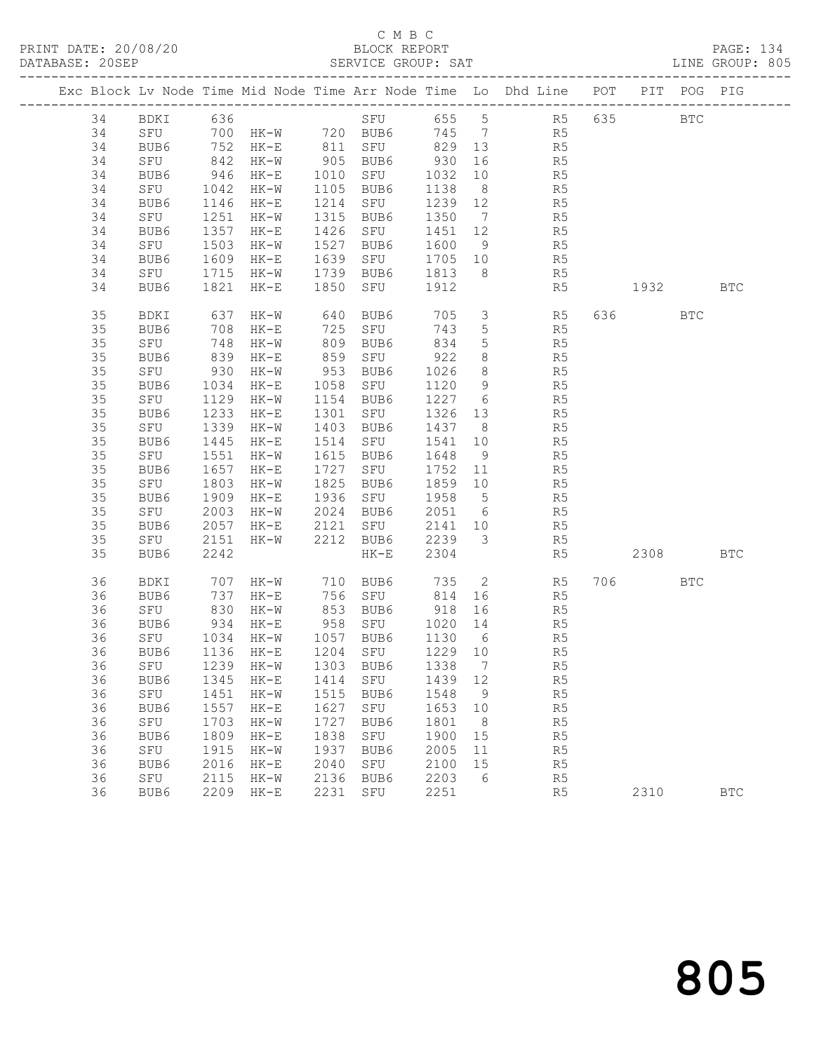## C M B C<br>BLOCK REPORT

|  | DATABASE: 20SEP |      |                      |                                       |      | SERVICE GROUP: SAT                 |         |                 | ROUP: SAT<br>-----------------------------------                               |         |     | LINE GROUP: 805 |
|--|-----------------|------|----------------------|---------------------------------------|------|------------------------------------|---------|-----------------|--------------------------------------------------------------------------------|---------|-----|-----------------|
|  |                 |      |                      |                                       |      |                                    |         |                 | Exc Block Lv Node Time Mid Node Time Arr Node Time Lo Dhd Line POT PIT POG PIG |         |     |                 |
|  | 34              |      |                      | –––––––––<br>ВDKI 636<br>SFU 700 нк–м |      |                                    |         |                 | SFU 655 5 R5 635 BTC                                                           |         |     |                 |
|  | 34              |      |                      |                                       |      |                                    |         |                 | $745$ 7 R5                                                                     |         |     |                 |
|  | 34              |      |                      |                                       |      | BUB6 752 HK-E 811 SFU 829 13       |         |                 | R <sub>5</sub>                                                                 |         |     |                 |
|  | 34              | SFU  | 842                  | HK-W 905 BUB6                         |      |                                    | 930     | 16              | R5                                                                             |         |     |                 |
|  | 34              | BUB6 | BUB6 946<br>SFU 1042 | HK-E                                  |      | 1010 SFU                           | 1032 10 |                 | R5                                                                             |         |     |                 |
|  | 34              |      |                      | HK-W                                  |      | 1105 BUB6                          | 1138    | 8 <sup>8</sup>  | R5                                                                             |         |     |                 |
|  | 34              | BUB6 | 1146                 | HK-E                                  |      | 1214 SFU                           | 1239 12 |                 | R <sub>5</sub>                                                                 |         |     |                 |
|  | 34              | SFU  | 1251                 | $HK-W$                                |      | 1315 BUB6                          | 1350    |                 | $7\overline{ }$<br>R5                                                          |         |     |                 |
|  | 34              | BUB6 | 1357<br>1503         | $HK-E$                                |      | 1426 SFU                           | 1451 12 |                 | $\begin{array}{c}\nR_{1} \\ R_{2} \\ R_{3}\n\end{array}$                       |         |     |                 |
|  | 34              | SFU  |                      | HK-W                                  |      | 1527 BUB6                          | 1600 9  |                 |                                                                                |         |     |                 |
|  | 34              | BUB6 | 1609                 | HK-E                                  | 1639 | SFU                                | 1705 10 |                 | R5                                                                             |         |     |                 |
|  | 34              | SFU  | 1715                 | $HK-W$                                |      | 1739 BUB6                          | 1813    |                 | $8 \overline{)}$<br>R5                                                         |         |     |                 |
|  | 34              | BUB6 | 1821                 | $HK-E$                                |      | 1850 SFU                           | 1912    |                 | R5                                                                             | 1932    |     | <b>BTC</b>      |
|  | 35              | BDKI | 637                  | $HK-W$                                | 640  | BUB6                               | 705     |                 | $\overline{3}$ R5                                                              | 636 100 | BTC |                 |
|  | 35              | BUB6 | 708                  | $HK-E$                                |      | 725 SFU                            | 743     | $5\overline{)}$ | R <sub>5</sub>                                                                 |         |     |                 |
|  | 35              | SFU  | $\frac{1}{839}$      | HK-W                                  |      | 809 BUB6                           | 834     | 5 <sup>5</sup>  | R5                                                                             |         |     |                 |
|  | 35              | BUB6 |                      | $HK-E$                                | 859  | SFU                                | 922     | 8 <sup>8</sup>  | R5                                                                             |         |     |                 |
|  | 35              | SFU  | 930                  | HK-W                                  |      | 953 BUB6                           | 1026    | 8 <sup>8</sup>  | R5                                                                             |         |     |                 |
|  | 35              | BUB6 | 1034                 | $HK-E$                                |      | 1058 SFU                           | 1120    | 9               | R <sub>5</sub>                                                                 |         |     |                 |
|  | 35              | SFU  | $\frac{112}{1233}$   | HK-W                                  |      | 1154 BUB6                          | 1227    | 6               | R5                                                                             |         |     |                 |
|  | 35              | BUB6 |                      | $HK-E$                                |      | 1301 SFU                           | 1326 13 |                 | R5<br>R5                                                                       |         |     |                 |
|  | 35              | SFU  | 1339                 | HK-W                                  |      | 1403 BUB6                          | 1437 8  |                 |                                                                                |         |     |                 |
|  | 35              | BUB6 | 1445                 | $HK-E$                                |      | 1514 SFU                           | 1541    | 10              | R5                                                                             |         |     |                 |
|  | 35              | SFU  | 1551                 | HK-W                                  |      | 1615 BUB6                          | 1648    | 9               | R5                                                                             |         |     |                 |
|  | 35              | BUB6 | 1657                 | $HK-E$                                |      | 1727 SFU                           | 1752 11 |                 | R5                                                                             |         |     |                 |
|  | 35              | SFU  | 1803                 | HK-W                                  | 1825 | BUB6                               | 1859 10 |                 | R5                                                                             |         |     |                 |
|  | 35              | BUB6 | 1909                 | HK-E                                  |      | 1936 SFU                           | 1958 5  |                 | R5                                                                             |         |     |                 |
|  | 35              | SFU  | 2003                 | HK-W                                  | 2024 | BUB6                               | 2051 6  |                 | R5                                                                             |         |     |                 |
|  | 35              | BUB6 | 2057                 | $HK-E$                                | 2121 | SFU                                | 2141 10 |                 | R5                                                                             |         |     |                 |
|  | 35              | SFU  | 2151                 | HK-W                                  |      | 2212 BUB6                          | 2239 3  |                 | R5                                                                             |         |     |                 |
|  | 35              | BUB6 | 2242                 |                                       |      | $HK-E$                             | 2304    |                 | R5                                                                             | 2308    |     | <b>BTC</b>      |
|  | 36              | BDKI | 707<br>737           | HK-W 710 BUB6<br>HK-E 756 SFU         |      |                                    |         |                 |                                                                                | 706 700 | BTC |                 |
|  | 36              | BUB6 |                      | $HK-E$                                |      |                                    |         |                 |                                                                                |         |     |                 |
|  | 36              | SFU  | 830                  | HK-W 853 BUB6                         |      |                                    | 918 16  |                 | R5                                                                             |         |     |                 |
|  | 36              | BUB6 | 934                  | HK-E                                  |      | 958 SFU                            | 1020 14 |                 | R5                                                                             |         |     |                 |
|  | 36              | SFU  |                      | 1034 HK-W                             |      | 1057 BUB6                          | 1130 6  |                 | R5                                                                             |         |     |                 |
|  |                 |      |                      |                                       |      | 36 BUB6 1136 HK-E 1204 SFU 1229 10 |         |                 | R5                                                                             |         |     |                 |
|  | 36              | SFU  | 1239                 | HK-W                                  | 1303 | BUB6                               | 1338    | 7               | R5                                                                             |         |     |                 |
|  | 36              | BUB6 | 1345                 | $HK-E$                                | 1414 | SFU                                | 1439    | 12              | R5                                                                             |         |     |                 |
|  | 36              | SFU  | 1451                 | $HK-W$                                | 1515 | BUB6                               | 1548    | 9               | R5                                                                             |         |     |                 |
|  | 36              | BUB6 | 1557                 | $HK-E$                                | 1627 | SFU                                | 1653    | 10              | R5                                                                             |         |     |                 |
|  | 36              | SFU  | 1703                 | $HK-W$                                | 1727 | BUB6                               | 1801    | - 8             | R5                                                                             |         |     |                 |
|  | 36              | BUB6 | 1809                 | $HK-E$                                | 1838 | SFU                                | 1900    | 15              | R5                                                                             |         |     |                 |
|  | 36              | SFU  | 1915                 | $HK-W$                                | 1937 | BUB6                               | 2005    | 11              | R5                                                                             |         |     |                 |
|  | 36              | BUB6 | 2016                 | $HK-E$                                | 2040 | ${\tt SFU}$                        | 2100    | 15              | R5                                                                             |         |     |                 |

36 SFU 2115 HK-W 2136 BUB6 2203 6 R5

36 BUB6 2209 HK-E 2231 SFU 2251 R5 2310 BTC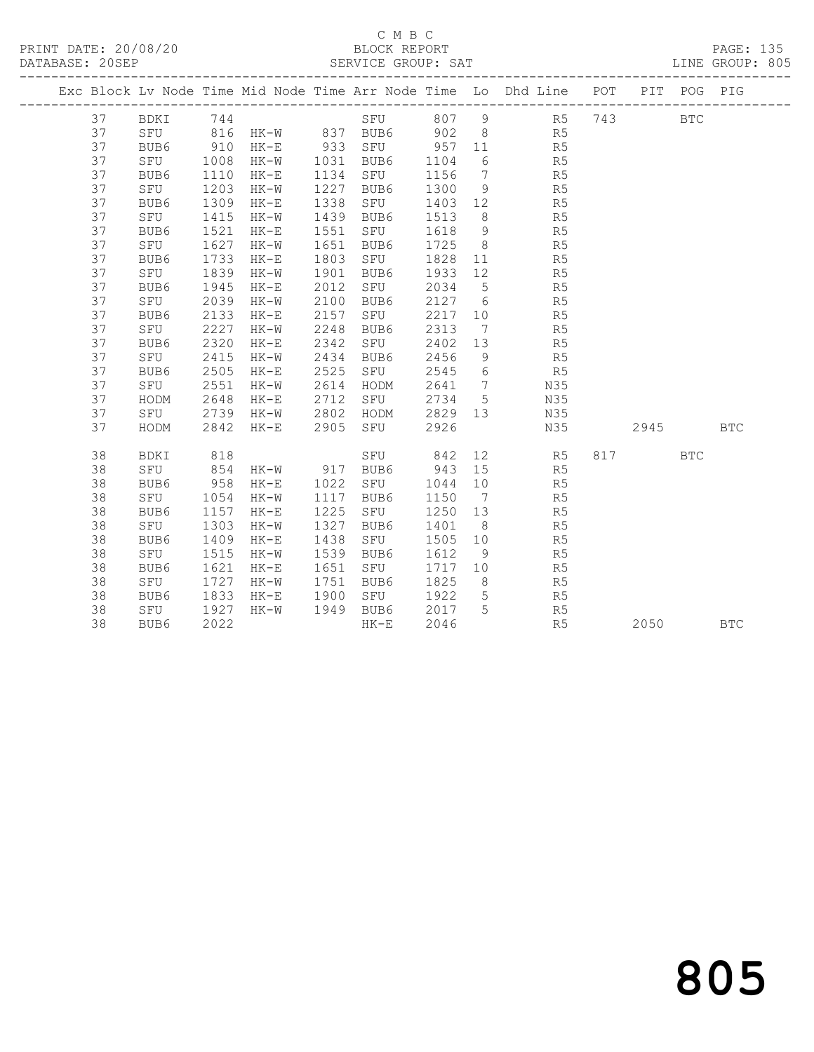## C M B C<br>BLOCK REPORT

|  | PRINT DATE: 20/08/20<br>DATABASE: 20SEP |      |           |        |                       |      | BLOCK REPORT | SERVICE GROUP: SAT |                |                                |                | LINE GROUP: 805                                                                |            | PAGE: 135 |  |
|--|-----------------------------------------|------|-----------|--------|-----------------------|------|--------------|--------------------|----------------|--------------------------------|----------------|--------------------------------------------------------------------------------|------------|-----------|--|
|  |                                         |      |           |        |                       |      |              |                    |                |                                |                | Exc Block Lv Node Time Mid Node Time Arr Node Time Lo Dhd Line POT PIT POG PIG |            |           |  |
|  | 37                                      | BDKI |           |        |                       |      |              | 744 SFU 807        |                |                                |                | 9 R5 743                                                                       | <b>BTC</b> |           |  |
|  | 37                                      |      |           |        | SFU 816 HK-W 837 BUB6 |      |              |                    |                | 902 8                          | R5             |                                                                                |            |           |  |
|  | 37                                      | BUB6 | 910       | HK-E   | 933                   | SFU  |              | 957                | 11             |                                | R5             |                                                                                |            |           |  |
|  | 37                                      | SFU  | 1008      | HK-W   | 1031                  | BUB6 |              | 1104               |                | $6\degree$                     | R5             |                                                                                |            |           |  |
|  | 37                                      | BUB6 | 1110      | HK-E   | 1134                  | SFU  |              | 1156               | $\overline{7}$ |                                | R5             |                                                                                |            |           |  |
|  | 37                                      | SFU  | 1203      | HK-W   | 1227                  | BUB6 |              | 1300               |                | 9                              | R5             |                                                                                |            |           |  |
|  | 37                                      | BUB6 | 1309      | HK-E   | 1338                  | SFU  |              | 1403               | 12             |                                | R <sub>5</sub> |                                                                                |            |           |  |
|  | 37                                      | SFU  | 1415      | HK-W   | 1439                  | BUB6 |              | 1513               |                | 8                              | R5             |                                                                                |            |           |  |
|  | 37                                      | BUB6 | 1521      | $HK-E$ | 1551                  | SFU  |              | 1618               |                | $9 \left( \frac{1}{2} \right)$ | R <sub>5</sub> |                                                                                |            |           |  |
|  | 37                                      | SFU  | 1627      | HK-W   | 1651                  | BUB6 |              | 1725               |                | $8 \overline{)}$               | R5             |                                                                                |            |           |  |
|  | 37                                      | BUB6 | 1733      | HK-E   | 1803                  | SFU  |              | 1828               | 11             |                                | R <sub>5</sub> |                                                                                |            |           |  |
|  | 37                                      | SFU  | 1839      | HK-W   | 1901                  | BUB6 |              | 1933               | 12             |                                | R5             |                                                                                |            |           |  |
|  | 37                                      | BUB6 | 1945      | HK-E   | 2012                  | SFU  |              | 2034               |                | $5\overline{}$                 | R5             |                                                                                |            |           |  |
|  | 37                                      | SFU  | 2039      | HK-W   | 2100                  | BUB6 |              | 2127               | 6              |                                | R5             |                                                                                |            |           |  |
|  | 37                                      | BUB6 | 2133      | HK-E   | 2157                  | SFU  |              | 2217               | 10             |                                | R5             |                                                                                |            |           |  |
|  | 37                                      | SFU  | 2227      | HK-W   | 2248                  | BUB6 |              | 2313               | $\overline{7}$ |                                | R5             |                                                                                |            |           |  |
|  | 37                                      | BUB6 | 2320      | HK-E   | 2342                  | SFU  |              | 2402               | 13             |                                | R5             |                                                                                |            |           |  |
|  | 37                                      | SFU  | 2415 HK-W |        | 2434 BUB6             |      |              | 2456               | - 9            |                                | R5             |                                                                                |            |           |  |

37 HODM 2842 HK-E 2905 SFU 2926 N35 2945 BTC

38 BUB6 1833 HK-E 1900 SF0 1922 5 R5<br>38 SFU 1927 HK-W 1949 BUB6 2017 5 R5<br>38 BUB6 2022 HK-E 2046 R5 2050 BTC

38 BDKI 818 SFU 842 12 R5 817 BTC

 37 BUB6 2505 HK-E 2525 SFU 2545 6 R5 37 SFU 2551 HK-W 2614 HODM 2641 7 N35 37 HODM 2648 HK-E 2712 SFU 2734 5 N35 37 SFU 2739 HK-W 2802 HODM 2829 13 N35

 38 SFU 854 HK-W 917 BUB6 943 15 R5 38 BUB6 958 HK-E 1022 SFU 1044 10 R5 38 SFU 1054 HK-W 1117 BUB6 1150 7 R5 38 BUB6 1157 HK-E 1225 SFU 1250 13 R5 38 SFU 1303 HK-W 1327 BUB6 1401 8 R5 38 BUB6 1409 HK-E 1438 SFU 1505 10 R5 38 SFU 1515 HK-W 1539 BUB6 1612 9 R5 38 BUB6 1621 HK-E 1651 SFU 1717 10 R5 38 SFU 1727 HK-W 1751 BUB6 1825 8 R5 38 BUB6 1833 HK-E 1900 SFU 1922 5 R5 38 SFU 1927 HK-W 1949 BUB6 2017 5 R5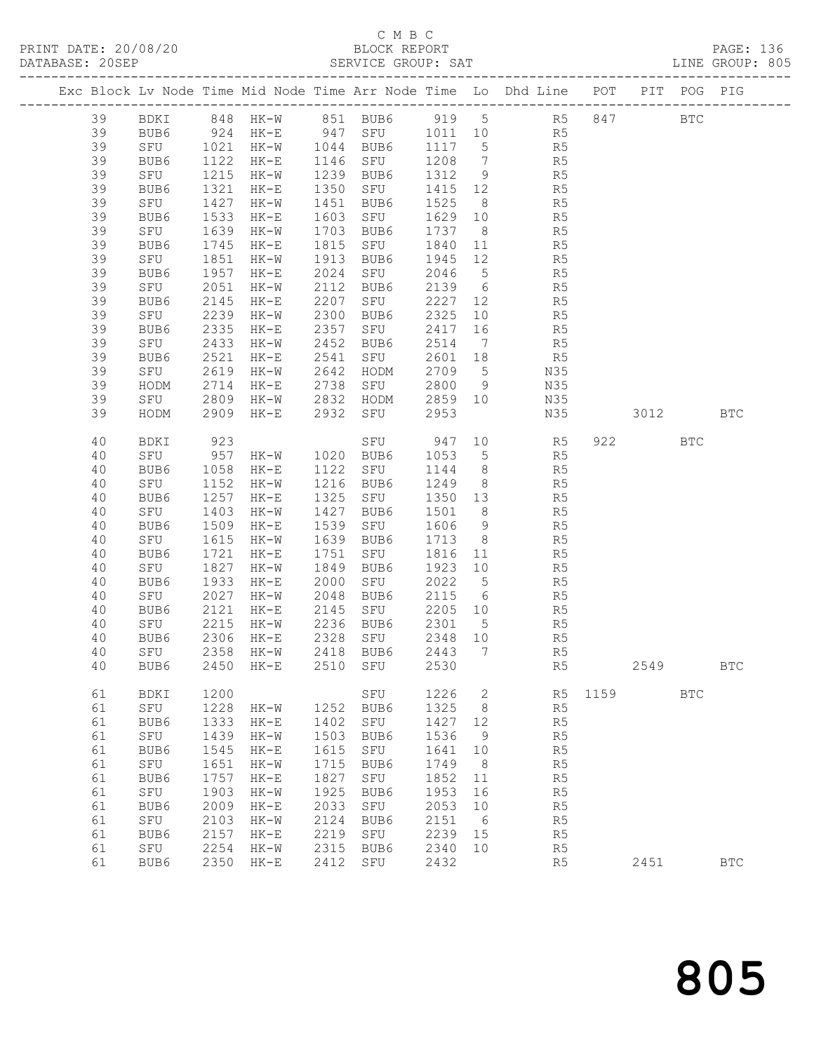## C M B C<br>BLOCK REPORT

|          |             |      |                                                    |      |                                                  |      |                 | Exc Block Lv Node Time Mid Node Time Arr Node Time Lo Dhd Line POT PIT POG PIG                                                                                                                                                                                                                                                                                                                                                                               |      |      |            |            |
|----------|-------------|------|----------------------------------------------------|------|--------------------------------------------------|------|-----------------|--------------------------------------------------------------------------------------------------------------------------------------------------------------------------------------------------------------------------------------------------------------------------------------------------------------------------------------------------------------------------------------------------------------------------------------------------------------|------|------|------------|------------|
|          |             |      |                                                    |      |                                                  |      |                 | 39 BDKI 848 HK-W 851 BUB6 919 5 R5 847 BTC<br>39 BUB6 924 HK-E 947 SFU 1011 10 R5                                                                                                                                                                                                                                                                                                                                                                            |      |      |            |            |
|          |             |      |                                                    |      |                                                  |      |                 |                                                                                                                                                                                                                                                                                                                                                                                                                                                              |      |      |            |            |
| 39       |             |      |                                                    |      |                                                  |      |                 | SFU 1021 HK-W 1044 BUB6 1117 5 R5                                                                                                                                                                                                                                                                                                                                                                                                                            |      |      |            |            |
| 39       | BUB6<br>SFU |      | 1122 HK-E                                          |      | 1146 SFU 1208<br>1239 BUB6 1312                  |      |                 | 7 R5<br>9 R5                                                                                                                                                                                                                                                                                                                                                                                                                                                 |      |      |            |            |
| 39       | SFU         |      | 1215 HK-W                                          |      |                                                  |      |                 |                                                                                                                                                                                                                                                                                                                                                                                                                                                              |      |      |            |            |
| 39       | BUB6        |      | 1321 HK-E                                          |      | 1350 SFU 1415                                    |      | 12              | R5                                                                                                                                                                                                                                                                                                                                                                                                                                                           |      |      |            |            |
| 39       | SFU         |      | 1427 HK-W                                          |      | 1451 BUB6 1525                                   |      |                 | $8 - 8$<br>R5                                                                                                                                                                                                                                                                                                                                                                                                                                                |      |      |            |            |
| 39       | BUB6        |      | 1533 HK-E                                          |      | 1603 SFU 1629<br>1703 BUB6 1737                  |      |                 | 10<br>R5                                                                                                                                                                                                                                                                                                                                                                                                                                                     |      |      |            |            |
| 39       | SFU         |      | 1639 HK-W                                          |      |                                                  |      |                 | $\begin{array}{ccc} 8 & \phantom{00} & \phantom{00} & \phantom{00} & \phantom{00} \\ 11 & \phantom{00} & \phantom{00} & \phantom{00} & \phantom{0} \\ \end{array}$                                                                                                                                                                                                                                                                                           |      |      |            |            |
| 39       | BUB6        |      | 1745 HK-E                                          |      | 1815 SFU 1840                                    |      |                 |                                                                                                                                                                                                                                                                                                                                                                                                                                                              |      |      |            |            |
| 39       | SFU         |      | 1851 HK-W                                          |      | 1913 BUB6 1945                                   |      |                 | 12 R5                                                                                                                                                                                                                                                                                                                                                                                                                                                        |      |      |            |            |
| 39       | BUB6        | 1957 | $HK-E$                                             |      | 2024 SFU 2046<br>2112 BUB6 2139<br>2207 SFU 2227 |      |                 | $5$ R5                                                                                                                                                                                                                                                                                                                                                                                                                                                       |      |      |            |            |
| 39       | SFU         |      | 2051 HK-W                                          |      |                                                  |      |                 | $\begin{array}{ccc} 6 & & \phantom{0} & \phantom{0} & \phantom{0} & \phantom{0} & \phantom{0} & \phantom{0} & \phantom{0} & \phantom{0} & \phantom{0} & \phantom{0} & \phantom{0} & \phantom{0} & \phantom{0} & \phantom{0} & \phantom{0} & \phantom{0} & \phantom{0} & \phantom{0} & \phantom{0} & \phantom{0} & \phantom{0} & \phantom{0} & \phantom{0} & \phantom{0} & \phantom{0} & \phantom{0} & \phantom{0} & \phantom{0} & \phantom{0} & \phantom{0}$ |      |      |            |            |
| 39       | BUB6        |      | 2145 HK-E                                          |      |                                                  |      |                 |                                                                                                                                                                                                                                                                                                                                                                                                                                                              |      |      |            |            |
| 39       | SFU         |      | 2239 HK-W                                          |      | 2300 BUB6                                        | 2325 |                 | 10 R5                                                                                                                                                                                                                                                                                                                                                                                                                                                        |      |      |            |            |
| 39       | BUB6        |      | 2335 HK-E                                          |      | 2357 SFU 2417                                    |      | 16              | R <sub>5</sub>                                                                                                                                                                                                                                                                                                                                                                                                                                               |      |      |            |            |
| 39       | SFU<br>BUB6 |      | 2433 HK-W                                          |      |                                                  |      | $7\overline{ }$ | R5<br>R5                                                                                                                                                                                                                                                                                                                                                                                                                                                     |      |      |            |            |
| 39       | BUB6<br>SFU |      | 2521 HK-E<br>2619 HK-W 2642 HODM 2709              |      |                                                  |      | 18              | 5 N35                                                                                                                                                                                                                                                                                                                                                                                                                                                        |      |      |            |            |
| 39       |             |      |                                                    |      |                                                  |      |                 |                                                                                                                                                                                                                                                                                                                                                                                                                                                              |      |      |            |            |
| 39<br>39 | HODM        | 2714 | $HK-E$                                             |      | 2738 SFU 2800                                    |      |                 | 9 N35                                                                                                                                                                                                                                                                                                                                                                                                                                                        |      |      |            |            |
| 39       | SFU<br>HODM |      |                                                    |      |                                                  |      | 10              | N35<br>N35 3012                                                                                                                                                                                                                                                                                                                                                                                                                                              |      |      |            | <b>BTC</b> |
|          |             |      |                                                    |      |                                                  |      |                 |                                                                                                                                                                                                                                                                                                                                                                                                                                                              |      |      |            |            |
| 40       | BDKI        | 923  |                                                    |      |                                                  |      |                 | SFU 947 10 R5                                                                                                                                                                                                                                                                                                                                                                                                                                                |      | 922  | <b>BTC</b> |            |
| 40       |             |      | SFU 957 HK-W 1020 BUB6<br>BUB6 1058 HK-E 1122 SFU  |      |                                                  |      |                 |                                                                                                                                                                                                                                                                                                                                                                                                                                                              |      |      |            |            |
| 40       | BUB6        |      | 957 HK-W 1020 BUB6 1053<br>1058 HK-E 1122 SFU 1144 |      |                                                  |      |                 | 5<br>8<br>8<br>8<br>8<br>R5                                                                                                                                                                                                                                                                                                                                                                                                                                  |      |      |            |            |
| 40       | SFU         |      | 1152 HK-W                                          |      | 1216 BUB6                                        | 1249 |                 |                                                                                                                                                                                                                                                                                                                                                                                                                                                              |      |      |            |            |
| 40       | BUB6        |      | 1257 HK-E                                          |      |                                                  |      |                 | 1325 SFU 1350 13 R5                                                                                                                                                                                                                                                                                                                                                                                                                                          |      |      |            |            |
| 40       | SFU         | 1403 | HK-W                                               |      | 1427 BUB6 1501<br>1539 SFU 1606                  |      |                 | 8<br>9<br>9<br>R5                                                                                                                                                                                                                                                                                                                                                                                                                                            |      |      |            |            |
| 40       | BUB6        |      | 1509 HK-E                                          |      |                                                  |      |                 | $\frac{9}{8}$                                                                                                                                                                                                                                                                                                                                                                                                                                                |      |      |            |            |
| 40       | SFU         |      | 1615 HK-W                                          |      | 1639 BUB6                                        | 1713 |                 | R5                                                                                                                                                                                                                                                                                                                                                                                                                                                           |      |      |            |            |
| 40       | BUB6        |      | 1721 HK-E                                          |      | 1751 SFU 1816                                    |      |                 | $11$ and $11$ and $11$ and $11$ and $11$ and $11$ and $11$ and $11$ and $11$ and $11$ and $11$ and $11$ and $11$ and $11$ and $11$ and $11$ and $11$ and $11$ and $11$ and $11$ and $11$ and $11$ and $11$ and $11$ and $11$<br>R5                                                                                                                                                                                                                           |      |      |            |            |
| 40       | SFU         |      | 1827 HK-W                                          |      | 1849 BUB6                                        | 1923 |                 | 10<br>R5                                                                                                                                                                                                                                                                                                                                                                                                                                                     |      |      |            |            |
| 40       | BUB6        |      | 1933 HK-E                                          |      | 2000 SFU                                         | 2022 |                 | $\begin{array}{ccc} 5 & & \text{R5} \\ 6 & & \text{R5} \end{array}$                                                                                                                                                                                                                                                                                                                                                                                          |      |      |            |            |
| 40       | SFU         |      | 2027 HK-W 2048 BUB6                                |      |                                                  | 2115 |                 |                                                                                                                                                                                                                                                                                                                                                                                                                                                              |      |      |            |            |
| 40       | BUB6        |      | 2121 HK-E 2145 SFU 2205 10                         |      |                                                  |      |                 | R <sub>5</sub>                                                                                                                                                                                                                                                                                                                                                                                                                                               |      |      |            |            |
| 40       | SFU         |      | 2215 HK-W                                          |      | 2236 BUB6                                        | 2301 | $5^{\circ}$     | R5                                                                                                                                                                                                                                                                                                                                                                                                                                                           |      |      |            |            |
|          |             |      | 40 BUB6 2306 HK-E 2328 SFU 2348 10                 |      |                                                  |      |                 | R5                                                                                                                                                                                                                                                                                                                                                                                                                                                           |      |      |            |            |
| 40       | SFU         | 2358 | HK-W                                               | 2418 | BUB6                                             | 2443 | 7               | R5                                                                                                                                                                                                                                                                                                                                                                                                                                                           |      |      |            |            |
| 40       | BUB6        | 2450 | $HK-E$                                             | 2510 | SFU                                              | 2530 |                 | R5                                                                                                                                                                                                                                                                                                                                                                                                                                                           |      | 2549 |            | <b>BTC</b> |
| 61       | BDKI        | 1200 |                                                    |      | SFU                                              | 1226 | $\mathbf{2}$    | R5                                                                                                                                                                                                                                                                                                                                                                                                                                                           | 1159 |      | <b>BTC</b> |            |
| 61       | SFU         | 1228 | HK-W                                               | 1252 | BUB6                                             | 1325 | 8               | R5                                                                                                                                                                                                                                                                                                                                                                                                                                                           |      |      |            |            |
| 61       | BUB6        | 1333 | $HK-E$                                             | 1402 | SFU                                              | 1427 | 12              | R5                                                                                                                                                                                                                                                                                                                                                                                                                                                           |      |      |            |            |
| 61       | SFU         | 1439 | $HK-W$                                             | 1503 | BUB6                                             | 1536 | 9               | R <sub>5</sub>                                                                                                                                                                                                                                                                                                                                                                                                                                               |      |      |            |            |
| 61       | BUB6        | 1545 | $HK-E$                                             | 1615 | SFU                                              | 1641 | 10              | R5                                                                                                                                                                                                                                                                                                                                                                                                                                                           |      |      |            |            |
| 61       | SFU         | 1651 | $HK-W$                                             | 1715 | BUB6                                             | 1749 | 8               | R <sub>5</sub>                                                                                                                                                                                                                                                                                                                                                                                                                                               |      |      |            |            |
| 61       | BUB6        | 1757 | $HK-E$                                             | 1827 | SFU                                              | 1852 | 11              | R <sub>5</sub>                                                                                                                                                                                                                                                                                                                                                                                                                                               |      |      |            |            |
| 61       | SFU         | 1903 | $HK-W$                                             | 1925 | BUB6                                             | 1953 | 16              | R <sub>5</sub>                                                                                                                                                                                                                                                                                                                                                                                                                                               |      |      |            |            |
| 61       | BUB6        | 2009 | $HK-E$                                             | 2033 | SFU                                              | 2053 | 10              | R <sub>5</sub>                                                                                                                                                                                                                                                                                                                                                                                                                                               |      |      |            |            |
| 61       | SFU         | 2103 | $HK-W$                                             | 2124 | BUB6                                             | 2151 | $6\overline{6}$ | R <sub>5</sub>                                                                                                                                                                                                                                                                                                                                                                                                                                               |      |      |            |            |
| 61       | BUB6        | 2157 | $HK-E$                                             | 2219 | SFU                                              | 2239 | 15              | R <sub>5</sub>                                                                                                                                                                                                                                                                                                                                                                                                                                               |      |      |            |            |
| 61       | SFU         | 2254 | $HK-W$                                             | 2315 | BUB6                                             | 2340 | 10              | R <sub>5</sub>                                                                                                                                                                                                                                                                                                                                                                                                                                               |      |      |            |            |

61 BUB6 2350 HK-E 2412 SFU 2432 R5 2451 BTC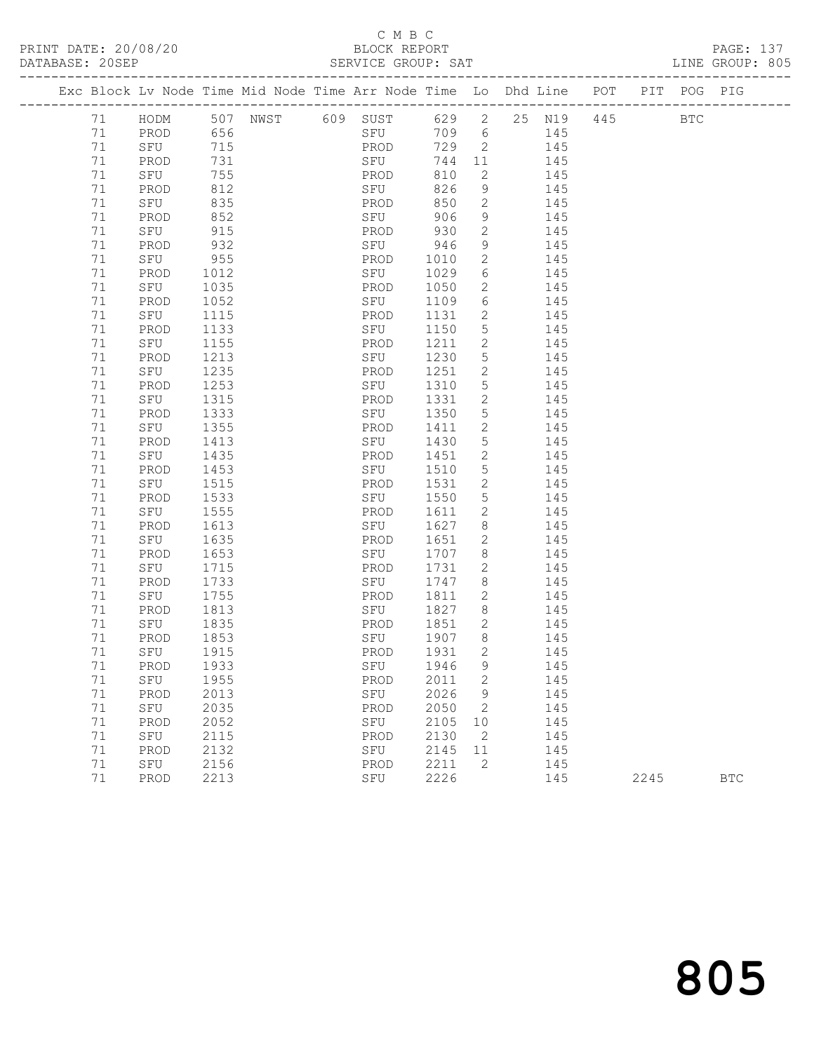Exc Block

## C M B C<br>BLOCK REPORT

-------------------------------------------------------------------------------------------------

LINE GROUP: 805

|    |             |      |      |     | Exc Block Lv Node Time Mid Node Time Arr Node Time |      | Lo            | Dhd Line  | POT | PIT. | POG        | PIG |
|----|-------------|------|------|-----|----------------------------------------------------|------|---------------|-----------|-----|------|------------|-----|
| 71 | HODM        | 507  | NWST | 609 | SUST                                               | 629  | 2             | 25<br>N19 | 445 |      | <b>BTC</b> |     |
| 71 | PROD        | 656  |      |     | SFU                                                | 709  | 6             | 145       |     |      |            |     |
| 71 | SFU         | 715  |      |     | PROD                                               | 729  | 2             | 145       |     |      |            |     |
| 71 | PROD        | 731  |      |     | SFU                                                | 744  | 11            | 145       |     |      |            |     |
| 71 | SFU         | 755  |      |     | PROD                                               | 810  | 2             | 145       |     |      |            |     |
| 71 | PROD        | 812  |      |     | SFU                                                | 826  | 9             | 145       |     |      |            |     |
| 71 | SFU         | 835  |      |     | PROD                                               | 850  | 2             | 145       |     |      |            |     |
| 71 | PROD        | 852  |      |     | SFU                                                | 906  | 9             | 145       |     |      |            |     |
| 71 | SFU         | 915  |      |     | PROD                                               | 930  | 2             | 145       |     |      |            |     |
| 71 | PROD        | 932  |      |     | SFU                                                | 946  | 9             | 145       |     |      |            |     |
| 71 | SFU         | 955  |      |     | PROD                                               | 1010 | 2             | 145       |     |      |            |     |
| 71 | PROD        | 1012 |      |     | SFU                                                | 1029 | 6             | 145       |     |      |            |     |
| 71 | <b>CEIL</b> | 1035 |      |     | <b>DRAD</b>                                        | 1050 | $\mathcal{D}$ | 115       |     |      |            |     |

| 7 T    | O I U | シエン  | ENUD        | シンV  | ∠              | ᅩᆠ  |      |            |
|--------|-------|------|-------------|------|----------------|-----|------|------------|
| 71     | PROD  | 932  | ${\tt SFU}$ | 946  | 9              | 145 |      |            |
| 71     | SFU   | 955  | PROD        | 1010 | $\mathbf{2}$   | 145 |      |            |
| 71     | PROD  | 1012 | SFU         | 1029 | 6              | 145 |      |            |
| 71     | SFU   | 1035 | PROD        | 1050 | $\overline{c}$ | 145 |      |            |
| 71     | PROD  | 1052 | SFU         | 1109 | $\epsilon$     | 145 |      |            |
| 71     | SFU   | 1115 | PROD        | 1131 | $\overline{c}$ | 145 |      |            |
| $7\,1$ | PROD  | 1133 | SFU         | 1150 | 5              | 145 |      |            |
| 71     | SFU   | 1155 | PROD        | 1211 | $\overline{c}$ | 145 |      |            |
| 71     | PROD  | 1213 | SFU         | 1230 | 5              | 145 |      |            |
| 71     | SFU   | 1235 | PROD        | 1251 | $\mathbf{2}$   | 145 |      |            |
| 71     | PROD  | 1253 | SFU         | 1310 | 5              | 145 |      |            |
| 71     | SFU   | 1315 | PROD        | 1331 | $\overline{2}$ | 145 |      |            |
| 71     | PROD  | 1333 | SFU         | 1350 | 5              | 145 |      |            |
| 71     | SFU   | 1355 | PROD        | 1411 | $\mathbf{2}$   | 145 |      |            |
| 71     | PROD  | 1413 | SFU         | 1430 | 5              | 145 |      |            |
| 71     | SFU   | 1435 | PROD        | 1451 | $\mathbf{2}$   | 145 |      |            |
| 71     | PROD  | 1453 | SFU         | 1510 | 5              | 145 |      |            |
| 71     | SFU   | 1515 | PROD        | 1531 | $\mathbf{2}$   | 145 |      |            |
| 71     | PROD  | 1533 | SFU         | 1550 | 5              | 145 |      |            |
| 71     | SFU   | 1555 | PROD        | 1611 | $\mathbf{2}$   | 145 |      |            |
| 71     | PROD  | 1613 | SFU         | 1627 | 8              | 145 |      |            |
| 71     | SFU   | 1635 | PROD        | 1651 | $\mathbf{2}$   | 145 |      |            |
| 71     | PROD  | 1653 | SFU         | 1707 | 8              | 145 |      |            |
| 71     | SFU   | 1715 | PROD        | 1731 | $\overline{2}$ | 145 |      |            |
| 71     | PROD  | 1733 | SFU         | 1747 | 8              | 145 |      |            |
| 71     | SFU   | 1755 | PROD        | 1811 | $\mathbf{2}$   | 145 |      |            |
| 71     | PROD  | 1813 | SFU         | 1827 | 8              | 145 |      |            |
| 71     | SFU   | 1835 | PROD        | 1851 | 2              | 145 |      |            |
| 71     | PROD  | 1853 | SFU         | 1907 | 8              | 145 |      |            |
| 71     | SFU   | 1915 | PROD        | 1931 | 2              | 145 |      |            |
| 71     | PROD  | 1933 | SFU         | 1946 | 9              | 145 |      |            |
| 71     | SFU   | 1955 | PROD        | 2011 | $\overline{2}$ | 145 |      |            |
| 71     | PROD  | 2013 | SFU         | 2026 | 9              | 145 |      |            |
| 71     | SFU   | 2035 | PROD        | 2050 | $\mathbf{2}$   | 145 |      |            |
| 71     | PROD  | 2052 | SFU         | 2105 | 10             | 145 |      |            |
| 71     | SFU   | 2115 | PROD        | 2130 | 2              | 145 |      |            |
| 71     | PROD  | 2132 | SFU         | 2145 | 11             | 145 |      |            |
| 71     | SFU   | 2156 | PROD        | 2211 | 2              | 145 |      |            |
| 71     | PROD  | 2213 | SFU         | 2226 |                | 145 | 2245 | <b>BTC</b> |
|        |       |      |             |      |                |     |      |            |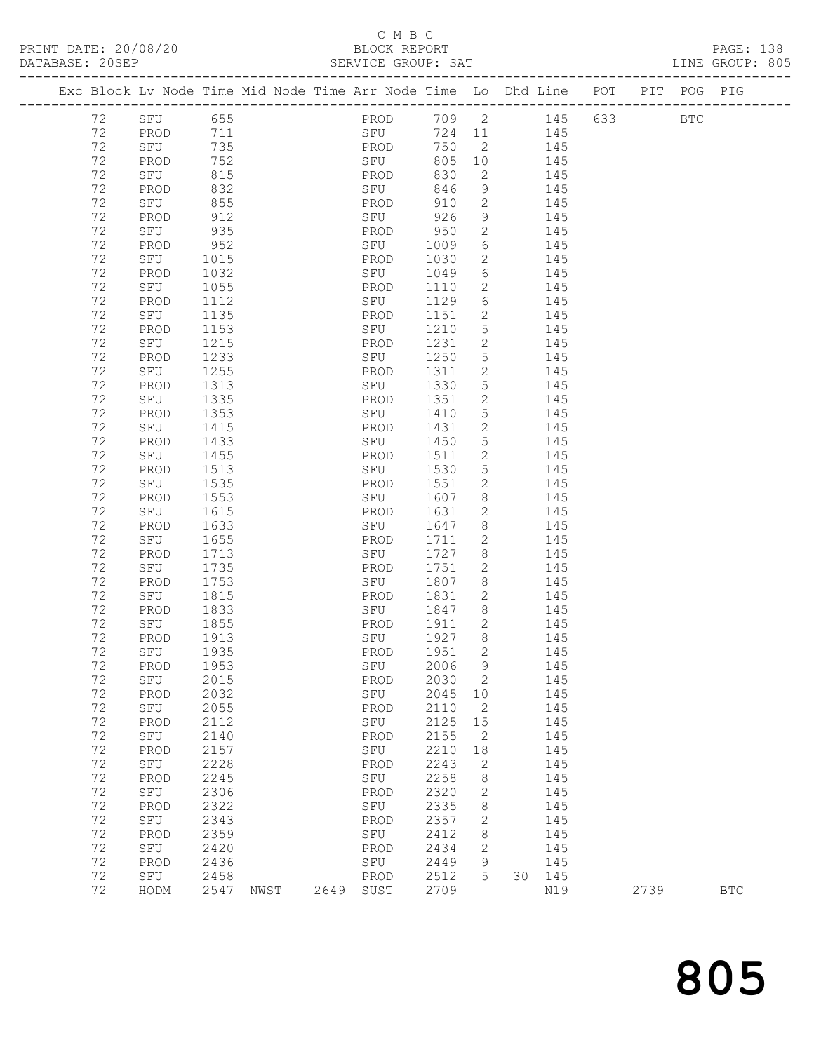### C M B C<br>BLOCK REPORT SERVICE GROUP: SAT

|  |    |      |      | Exc Block Lv Node Time Mid Node Time Arr Node Time Lo Dhd Line |       |    |     | POT | PIT | POG | PIG |
|--|----|------|------|----------------------------------------------------------------|-------|----|-----|-----|-----|-----|-----|
|  | 72 | SFU  | 655  | PROD                                                           | 709 2 |    | 145 | 633 |     | BTC |     |
|  | 72 | PROD | 711  | SFU                                                            | 724   | 11 | 145 |     |     |     |     |
|  | 72 | SFU  | 735  | PROD                                                           | 750   | 2  | 145 |     |     |     |     |
|  | 72 | PROD | 752  | SFU                                                            | 805   | 10 | 145 |     |     |     |     |
|  | 72 | SFU  | 815  | PROD                                                           | 830   | 2  | 145 |     |     |     |     |
|  | 72 | PROD | 832  | SFU                                                            | 846   | 9  | 145 |     |     |     |     |
|  | 72 | SFU  | 855  | PROD                                                           | 910   | 2  | 145 |     |     |     |     |
|  | 72 | PROD | 912  | SFU                                                            | 926   | 9  | 145 |     |     |     |     |
|  | 72 | SFU  | 935  | PROD                                                           | 950   | 2  | 145 |     |     |     |     |
|  | 72 | PROD | 952  | SFU                                                            | 1009  | 6  | 145 |     |     |     |     |
|  | 72 | SFU  | 1015 | PROD                                                           | 1030  | 2  | 145 |     |     |     |     |
|  | 72 | PROD | 1032 | SFU                                                            | 1049  | 6  | 145 |     |     |     |     |
|  | 72 | SFU  | 1055 | PROD                                                           | 1110  | 2  | 145 |     |     |     |     |
|  | 72 | PROD | 1112 | SFU                                                            | 1129  | 6  | 145 |     |     |     |     |
|  | 72 | SFU  | 1135 | PROD                                                           | 1151  | 2  | 145 |     |     |     |     |
|  | 72 | PROD | 1153 | SFU                                                            | 1210  | 5  | 145 |     |     |     |     |
|  | 72 | SFU  | 1215 | PROD                                                           | 1231  | 2  | 145 |     |     |     |     |
|  | 72 | PROD | 1233 | SFU                                                            | 1250  | 5  | 145 |     |     |     |     |
|  | 72 | SFU  | 1255 | PROD                                                           | 1311  | 2  | 145 |     |     |     |     |
|  |    |      |      |                                                                |       |    |     |     |     |     |     |

| 12 | <b>FROD</b> | 1112 |      |      | SFU          | エエムス | 6              |    | 145 |      |            |  |
|----|-------------|------|------|------|--------------|------|----------------|----|-----|------|------------|--|
| 72 | SFU         | 1135 |      |      | PROD         | 1151 | 2              |    | 145 |      |            |  |
| 72 | PROD        | 1153 |      |      | SFU          | 1210 | 5              |    | 145 |      |            |  |
| 72 | SFU         | 1215 |      |      | PROD         | 1231 | $\mathbf{2}$   |    | 145 |      |            |  |
| 72 | PROD        | 1233 |      |      | SFU          | 1250 | 5              |    | 145 |      |            |  |
| 72 | SFU         | 1255 |      |      | PROD         | 1311 | $\mathbf{2}$   |    | 145 |      |            |  |
| 72 | PROD        | 1313 |      |      | SFU          | 1330 | 5              |    | 145 |      |            |  |
| 72 | SFU         | 1335 |      |      | PROD         | 1351 | $\overline{c}$ |    | 145 |      |            |  |
| 72 | PROD        | 1353 |      |      | SFU          | 1410 | 5              |    | 145 |      |            |  |
| 72 | SFU         | 1415 |      |      | PROD         | 1431 | $\overline{c}$ |    | 145 |      |            |  |
| 72 | PROD        | 1433 |      |      | SFU          | 1450 | 5              |    | 145 |      |            |  |
| 72 | SFU         | 1455 |      |      | PROD         | 1511 | $\mathbf{2}$   |    | 145 |      |            |  |
| 72 | PROD        | 1513 |      |      | SFU          | 1530 | 5              |    | 145 |      |            |  |
| 72 | SFU         | 1535 |      |      | ${\tt PROD}$ | 1551 | $\mathbf{2}$   |    | 145 |      |            |  |
| 72 | PROD        | 1553 |      |      | SFU          | 1607 | 8              |    | 145 |      |            |  |
| 72 | SFU         | 1615 |      |      | PROD         | 1631 | $\mathbf{2}$   |    | 145 |      |            |  |
| 72 | PROD        | 1633 |      |      | SFU          | 1647 | $\,8\,$        |    | 145 |      |            |  |
| 72 | SFU         | 1655 |      |      | PROD         | 1711 | $\mathbf{2}$   |    | 145 |      |            |  |
| 72 | PROD        | 1713 |      |      | SFU          | 1727 | $\,8\,$        |    | 145 |      |            |  |
| 72 | SFU         | 1735 |      |      | PROD         | 1751 | $\mathbf{2}$   |    | 145 |      |            |  |
| 72 | PROD        | 1753 |      |      | ${\tt SFU}$  | 1807 | $\,8\,$        |    | 145 |      |            |  |
| 72 | SFU         | 1815 |      |      | PROD         | 1831 | $\mathbf{2}$   |    | 145 |      |            |  |
| 72 | PROD        | 1833 |      |      | SFU          | 1847 | $\,8\,$        |    | 145 |      |            |  |
| 72 | SFU         | 1855 |      |      | PROD         | 1911 | $\mathbf{2}$   |    | 145 |      |            |  |
| 72 | PROD        | 1913 |      |      | SFU          | 1927 | $\,8\,$        |    | 145 |      |            |  |
| 72 | SFU         | 1935 |      |      | PROD         | 1951 | $\mathbf{2}$   |    | 145 |      |            |  |
| 72 | PROD        | 1953 |      |      | SFU          | 2006 | $\mathsf 9$    |    | 145 |      |            |  |
| 72 | SFU         | 2015 |      |      | PROD         | 2030 | $\mathbf{2}$   |    | 145 |      |            |  |
| 72 | PROD        | 2032 |      |      | SFU          | 2045 | 10             |    | 145 |      |            |  |
| 72 | SFU         | 2055 |      |      | PROD         | 2110 | $\mathbf{2}$   |    | 145 |      |            |  |
| 72 | PROD        | 2112 |      |      | ${\tt SFU}$  | 2125 | 15             |    | 145 |      |            |  |
| 72 | SFU         | 2140 |      |      | ${\tt PROD}$ | 2155 | 2              |    | 145 |      |            |  |
| 72 | PROD        | 2157 |      |      | SFU          | 2210 | 18             |    | 145 |      |            |  |
| 72 | SFU         | 2228 |      |      | PROD         | 2243 | $\mathbf{2}$   |    | 145 |      |            |  |
| 72 | PROD        | 2245 |      |      | SFU          | 2258 | 8              |    | 145 |      |            |  |
| 72 | SFU         | 2306 |      |      | ${\tt PROD}$ | 2320 | $\overline{2}$ |    | 145 |      |            |  |
| 72 | PROD        | 2322 |      |      | ${\tt SFU}$  | 2335 | $\,8\,$        |    | 145 |      |            |  |
| 72 | SFU         | 2343 |      |      | PROD         | 2357 | 2              |    | 145 |      |            |  |
| 72 | PROD        | 2359 |      |      | SFU          | 2412 | 8              |    | 145 |      |            |  |
| 72 | SFU         | 2420 |      |      | PROD         | 2434 | $\overline{2}$ |    | 145 |      |            |  |
| 72 | PROD        | 2436 |      |      | SFU          | 2449 | 9              |    | 145 |      |            |  |
| 72 | SFU         | 2458 |      |      | PROD         | 2512 | 5              | 30 | 145 |      |            |  |
| 72 | HODM        | 2547 | NWST | 2649 | SUST         | 2709 |                |    | N19 | 2739 | <b>BTC</b> |  |
|    |             |      |      |      |              |      |                |    |     |      |            |  |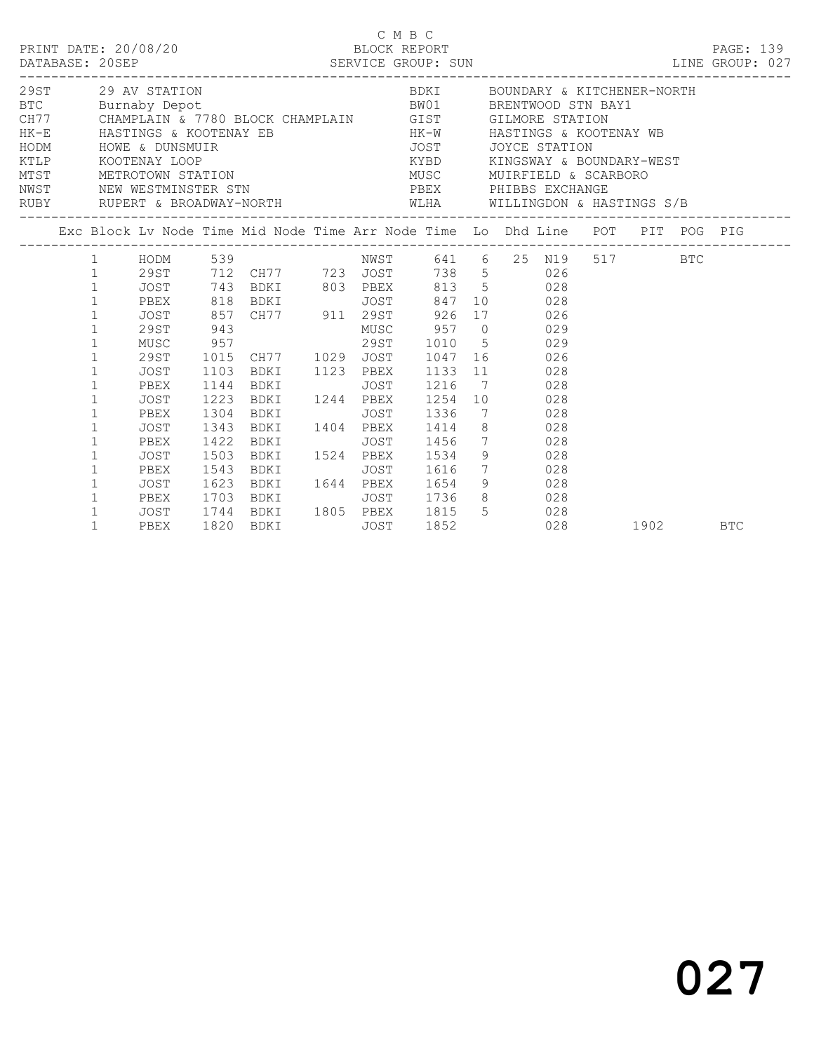|  | DATABASE: 20SEP                                                                                                                                                                                                                                                                | PRINT DATE: 20/08/20                                                                              |                                                              |                                                                                                                                                                                                                                                                                                                                                                                                                                                                                                                        |             | C M B C<br>BLOCK REPORT                                                                                                         |                                                                               |     |      |     | PAGE: 139<br>SERVICE GROUP: SUN EXAMPLE ENDINE CROUP: 027 |
|--|--------------------------------------------------------------------------------------------------------------------------------------------------------------------------------------------------------------------------------------------------------------------------------|---------------------------------------------------------------------------------------------------|--------------------------------------------------------------|------------------------------------------------------------------------------------------------------------------------------------------------------------------------------------------------------------------------------------------------------------------------------------------------------------------------------------------------------------------------------------------------------------------------------------------------------------------------------------------------------------------------|-------------|---------------------------------------------------------------------------------------------------------------------------------|-------------------------------------------------------------------------------|-----|------|-----|-----------------------------------------------------------|
|  |                                                                                                                                                                                                                                                                                | 29ST 29 AV STATION<br>KTLP KOOTENAY LOOP                                                          |                                                              | EXECUTIVE MANUSIC PROPERTY OF THE MANUSIC PROPERTY OF THE MANUSICAL CHAMPLAIN CHAMPLAIN CHAMPLAIN CONTRACT CHAMPLAIN CONTRACT CHAMPLAIN CONTRACT CHAMPLAIN CONTRACT CHAMPLAIN CONTRACT CHAMPLAIN CONTRACT CHAMPLAIN CONTRACT C<br>MEST METROTOWN STATION<br>MEST METROTOWN STATION<br>NWST NEW WESTMINSTER STN<br>RUBY RUPERT & BROADWAY-NORTH WLHA WILLINGDON & HASTINGS S/B                                                                                                                                          |             | BDKI           BOUNDARY & KITCHENER-NORTH<br>KYBD KINGSWAY & BOUNDARY-WEST<br>MUSC MUIRFIELD & SCARBORO<br>PBEX PHIBBS EXCHANGE | ---------------------                                                         |     |      |     |                                                           |
|  |                                                                                                                                                                                                                                                                                |                                                                                                   |                                                              | Exc Block Lv Node Time Mid Node Time Arr Node Time Lo Dhd Line POT PIT POG PIG                                                                                                                                                                                                                                                                                                                                                                                                                                         |             |                                                                                                                                 |                                                                               |     |      |     |                                                           |
|  | $1 \qquad \qquad$<br>$\mathbf{1}$<br>$\mathbf{1}$<br>$\mathbf{1}$<br>$\mathbf{1}$<br>$\mathbf{1}$<br>$\mathbf{1}$<br>$\mathbf{1}$<br>$\mathbf{1}$<br>$\mathbf 1$<br>$\mathbf{1}$<br>$\mathbf{1}$<br>$\mathbf{1}$<br>$\mathbf 1$<br>$\mathbf{1}$<br>$\mathbf{1}$<br>$\mathbf 1$ | 29ST<br>MUSC<br>29ST<br>JOST<br>PBEX<br>JOST<br>PBEX<br>JOST<br>PBEX<br>JOST<br>PBEX<br>JOST 1623 | 1103<br>1144<br>1223<br>1304<br>1343<br>1422<br>1503<br>1543 | 1 HODM 539 NWST 641 6 25 N19 517<br>1 29ST 712 CH77 723 JOST 738 5 026<br>JOST 743 BDKI 803 PBEX 813 5 028<br>PBEX 818 BDKI JOST 847<br>JOST 857 CH77 911 29ST 926<br>943<br>943<br>957 295T 1010 5<br>957 295T 1010 5<br>1015 CH77 1029 JOST 1047 16<br>926<br>BDKI 1123 PBEX<br><b>BDKI</b><br>BDKI 1244 PBEX<br><b>BDKI</b><br>BDKI 1404 PBEX 1414<br><b>BDKI</b><br>BDKI 1524 PBEX 1534 9 028<br><b>BDKI</b><br>BDKI 1644 PBEX 1654 9 028<br>PBEX 1703 BDKI JOST 1736 8 028<br>JOST 1744 BDKI 1805 PBEX 1815 5 028 | JOST        | 1216<br>1254<br>JOST 1336<br>JOST 1456<br>JOST 1616 7 028                                                                       | 10 028<br>17 026<br>1133 11 028<br>7 028<br>10 028<br>7 028<br>8 028<br>7 028 |     |      | BTC |                                                           |
|  | $\mathbf{1}$                                                                                                                                                                                                                                                                   | PBEX                                                                                              |                                                              | 1820 BDKI                                                                                                                                                                                                                                                                                                                                                                                                                                                                                                              | <b>JOST</b> | 1852                                                                                                                            |                                                                               | 028 | 1902 |     | <b>BTC</b>                                                |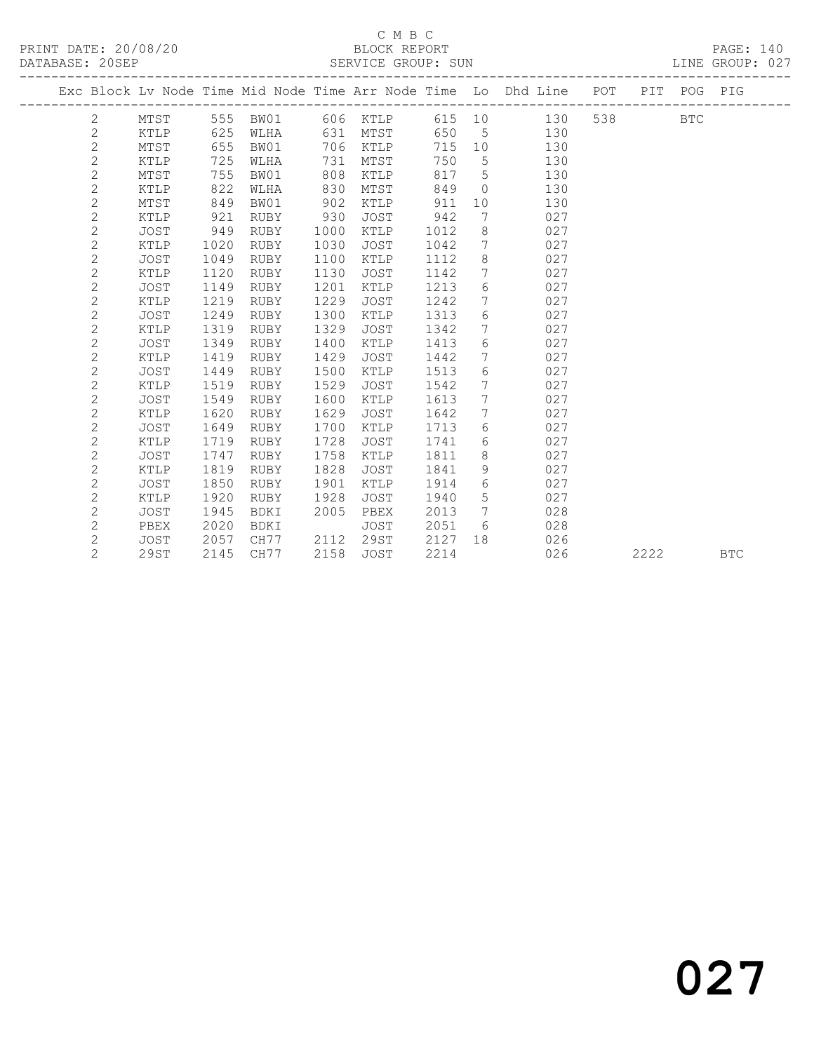#### C M B C<br>BLOCK REPORT SERVICE GROUP: SUN

|                |             |      | ___________________ |      |             |        |                 | ------------------------                                                       |      |     |            |
|----------------|-------------|------|---------------------|------|-------------|--------|-----------------|--------------------------------------------------------------------------------|------|-----|------------|
|                |             |      |                     |      |             |        |                 | Exc Block Lv Node Time Mid Node Time Arr Node Time Lo Dhd Line POT PIT POG PIG |      |     |            |
| 2              |             |      |                     |      |             |        |                 | MTST 555 BW01 606 KTLP 615 10 130                                              |      | BTC |            |
| $\mathbf{2}$   | KTLP        | 625  | WLHA                |      | 631 MTST    |        |                 | 650 5 130                                                                      |      |     |            |
| $\mathbf{2}$   | MTST        | 655  | BW01                |      | 706 KTLP    | 715 10 |                 | 130                                                                            |      |     |            |
| $\mathbf{2}$   | KTLP        | 725  | WLHA                | 731  | MTST        | 750    | 5 <sup>5</sup>  | 130                                                                            |      |     |            |
| $\overline{c}$ | MTST        | 755  | BW01                | 808  | KTLP        | 817    | $5^{\circ}$     | 130                                                                            |      |     |            |
| $\overline{c}$ | KTLP        | 822  | WLHA                | 830  | MTST        | 849    | $\bigcirc$      | 130                                                                            |      |     |            |
| $\mathbf{2}$   | MTST        | 849  | BW01                | 902  | KTLP        | 911    | 10              | 130                                                                            |      |     |            |
| $\mathbf{2}$   | KTLP        | 921  | RUBY                | 930  | JOST        | 942    | $7\phantom{.0}$ | 027                                                                            |      |     |            |
| $\mathbf{2}$   | <b>JOST</b> | 949  | RUBY                | 1000 | KTLP        | 1012   | 8               | 027                                                                            |      |     |            |
| $\overline{c}$ | KTLP        | 1020 | RUBY                | 1030 | <b>JOST</b> | 1042   | $7\phantom{.0}$ | 027                                                                            |      |     |            |
| $\mathbf{2}$   | <b>JOST</b> | 1049 | RUBY                | 1100 | KTLP        | 1112   | $8\,$           | 027                                                                            |      |     |            |
| $\mathbf{2}$   | KTLP        | 1120 | RUBY                | 1130 | JOST        | 1142   | 7 <sup>7</sup>  | 027                                                                            |      |     |            |
| $\mathbf{2}$   | JOST        | 1149 | RUBY                | 1201 | KTLP        | 1213   | $6\overline{6}$ | 027                                                                            |      |     |            |
| $\mathbf{2}$   | KTLP        | 1219 | RUBY                | 1229 | JOST        | 1242   | $7\overline{ }$ | 027                                                                            |      |     |            |
| $\mathbf{2}$   | <b>JOST</b> | 1249 | RUBY                | 1300 | KTLP        | 1313   | 6               | 027                                                                            |      |     |            |
| 2              | KTLP        | 1319 | RUBY                | 1329 | JOST        | 1342   | $7\phantom{.0}$ | 027                                                                            |      |     |            |
| $\mathbf{2}$   | JOST        | 1349 | RUBY                | 1400 | KTLP        | 1413   | $6\phantom{.}6$ | 027                                                                            |      |     |            |
| $\overline{c}$ | KTLP        | 1419 | RUBY                | 1429 | JOST        | 1442   | $7\overline{ }$ | 027                                                                            |      |     |            |
| $\mathbf{2}$   | <b>JOST</b> | 1449 | RUBY                | 1500 | KTLP        | 1513   | 6               | 027                                                                            |      |     |            |
| $\mathbf{2}$   | KTLP        | 1519 | RUBY                | 1529 | JOST        | 1542   | $7\phantom{.0}$ | 027                                                                            |      |     |            |
| $\mathbf{2}$   | <b>JOST</b> | 1549 | RUBY                | 1600 | KTLP        | 1613   | $7\overline{ }$ | 027                                                                            |      |     |            |
| $\mathbf{2}$   | KTLP        | 1620 | RUBY                | 1629 | JOST        | 1642   | $7\overline{ }$ | 027                                                                            |      |     |            |
| $\mathbf{2}$   | <b>JOST</b> | 1649 | RUBY                | 1700 | KTLP        | 1713   | 6               | 027                                                                            |      |     |            |
| $\mathbf{2}$   | KTLP        | 1719 | RUBY                | 1728 | JOST        | 1741   | 6               | 027                                                                            |      |     |            |
| $\mathbf{2}$   | <b>JOST</b> | 1747 | RUBY                | 1758 | KTLP        | 1811   | 8               | 027                                                                            |      |     |            |
| $\mathbf{2}$   | KTLP        | 1819 | RUBY                | 1828 | JOST        | 1841   | 9               | 027                                                                            |      |     |            |
| $\overline{c}$ | <b>JOST</b> | 1850 | RUBY                | 1901 | KTLP        | 1914   | $6\overline{6}$ | 027                                                                            |      |     |            |
| $\mathbf{2}$   | KTLP        | 1920 | RUBY                | 1928 | <b>JOST</b> | 1940   | $5\phantom{.0}$ | 027                                                                            |      |     |            |
| $\mathbf{2}$   | <b>JOST</b> | 1945 | BDKI                | 2005 | PBEX        | 2013   | $7\phantom{.0}$ | 028                                                                            |      |     |            |
| $\mathbf{2}$   | PBEX        | 2020 | BDKI                |      | JOST        | 2051   | 6               | 028                                                                            |      |     |            |
| 2              | JOST        | 2057 | CH77 2112           |      | 29ST        | 2127   | 18              | 026                                                                            |      |     |            |
| $\overline{2}$ | 29ST        | 2145 | CH77                |      | 2158 JOST   | 2214   |                 | 026                                                                            | 2222 |     | <b>BTC</b> |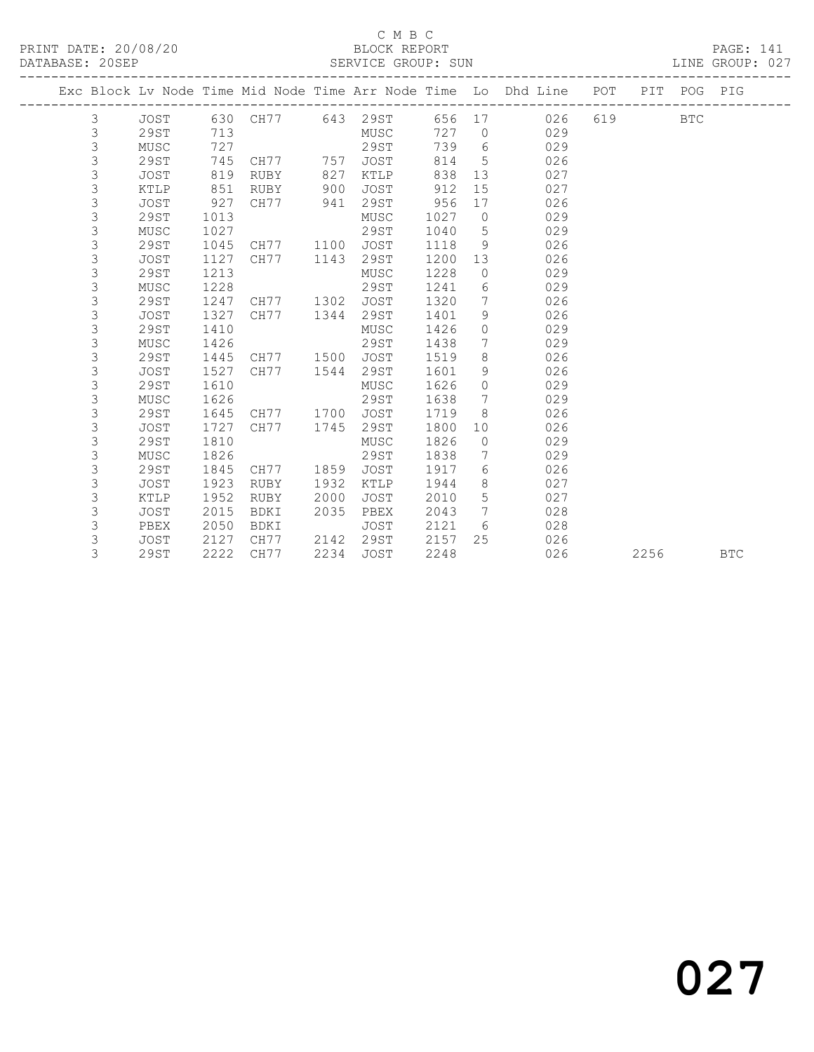### C M B C<br>BLOCK REPORT SERVICE GROUP: SUN

|  |             |             |      |                |      |          |       |                 | Exc Block Lv Node Time Mid Node Time Arr Node Time Lo Dhd Line POT |     | PIT  | POG PIG    |            |
|--|-------------|-------------|------|----------------|------|----------|-------|-----------------|--------------------------------------------------------------------|-----|------|------------|------------|
|  | 3           | JOST        |      | 630 CH77       |      | 643 29ST |       |                 | 656 17<br>026                                                      | 619 |      | <b>BTC</b> |            |
|  | 3           | 29ST        | 713  |                |      | MUSC     | 727 0 |                 | 029                                                                |     |      |            |            |
|  | $\mathsf 3$ | MUSC        | 727  |                |      | 29ST     | 739   | $6\overline{6}$ | 029                                                                |     |      |            |            |
|  | $\mathsf 3$ | 29ST        | 745  | CH77           | 757  | JOST     | 814   | $5\overline{)}$ | 026                                                                |     |      |            |            |
|  | $\mathsf 3$ | JOST        | 819  | RUBY           | 827  | KTLP     | 838   |                 | 13<br>027                                                          |     |      |            |            |
|  | $\mathsf 3$ | KTLP        | 851  | RUBY           | 900  | JOST     | 912   | 15              | 027                                                                |     |      |            |            |
|  | $\mathsf 3$ | JOST        | 927  | CH77           | 941  | 29ST     | 956   | 17              | 026                                                                |     |      |            |            |
|  | $\mathsf 3$ | <b>29ST</b> | 1013 |                |      | MUSC     | 1027  | $\overline{0}$  | 029                                                                |     |      |            |            |
|  | $\mathsf 3$ | MUSC        | 1027 |                |      | 29ST     | 1040  | $5\overline{)}$ | 029                                                                |     |      |            |            |
|  | $\mathsf 3$ | 29ST        | 1045 | CH77 1100      |      | JOST     | 1118  | 9               | 026                                                                |     |      |            |            |
|  | $\mathsf 3$ | <b>JOST</b> | 1127 | CH77           | 1143 | 29ST     | 1200  | 13              | 026                                                                |     |      |            |            |
|  | $\mathsf 3$ | <b>29ST</b> | 1213 |                |      | MUSC     | 1228  | $\circ$         | 029                                                                |     |      |            |            |
|  | $\mathsf 3$ | MUSC        | 1228 |                |      | 29ST     | 1241  | 6               | 029                                                                |     |      |            |            |
|  | 3           | 29ST        | 1247 | CH77 1302      |      | JOST     | 1320  | $7\phantom{.0}$ | 026                                                                |     |      |            |            |
|  | 3           | <b>JOST</b> | 1327 | CH77 1344      |      | 29ST     | 1401  | 9               | 026                                                                |     |      |            |            |
|  | $\mathsf 3$ | <b>29ST</b> | 1410 |                |      | MUSC     | 1426  | $\circ$         | 029                                                                |     |      |            |            |
|  | $\mathsf 3$ | MUSC        | 1426 |                |      | 29ST     | 1438  | $7\overline{ }$ | 029                                                                |     |      |            |            |
|  | $\mathsf 3$ | 29ST        | 1445 | CH77 1500 JOST |      |          | 1519  | 8               | 026                                                                |     |      |            |            |
|  | $\mathsf 3$ | JOST        | 1527 | CH77           | 1544 | 29ST     | 1601  | 9               | 026                                                                |     |      |            |            |
|  | 3           | <b>29ST</b> | 1610 |                |      | MUSC     | 1626  | $\circ$         | 029                                                                |     |      |            |            |
|  | $\mathsf 3$ | MUSC        | 1626 |                |      | 29ST     | 1638  | $\overline{7}$  | 029                                                                |     |      |            |            |
|  | $\mathsf 3$ | 29ST        | 1645 | CH77 1700      |      | JOST     | 1719  | 8               | 026                                                                |     |      |            |            |
|  | $\mathsf 3$ | <b>JOST</b> | 1727 | CH77           | 1745 | 29ST     | 1800  | 10              | 026                                                                |     |      |            |            |
|  | $\mathsf 3$ | <b>29ST</b> | 1810 |                |      | MUSC     | 1826  | $\overline{0}$  | 029                                                                |     |      |            |            |
|  | $\mathsf 3$ | MUSC        | 1826 |                |      | 29ST     | 1838  | 7               | 029                                                                |     |      |            |            |
|  | $\mathsf 3$ | 29ST        | 1845 | CH77           | 1859 | JOST     | 1917  | 6               | 026                                                                |     |      |            |            |
|  | 3           | <b>JOST</b> | 1923 | RUBY           | 1932 | KTLP     | 1944  | 8               | 027                                                                |     |      |            |            |
|  | $\mathsf 3$ | KTLP        | 1952 | RUBY           | 2000 | JOST     | 2010  | 5               | 027                                                                |     |      |            |            |
|  | $\mathsf 3$ | <b>JOST</b> | 2015 | BDKI           | 2035 | PBEX     | 2043  |                 | 7<br>028                                                           |     |      |            |            |
|  | $\mathsf 3$ | PBEX        | 2050 | BDKI           |      | JOST     | 2121  | 6               | 028                                                                |     |      |            |            |
|  | 3           | JOST        | 2127 | CH77           | 2142 | 29ST     | 2157  | 25              | 026                                                                |     |      |            |            |
|  | 3           | <b>29ST</b> | 2222 | CH77           | 2234 | JOST     | 2248  |                 | 026                                                                |     | 2256 |            | <b>BTC</b> |
|  |             |             |      |                |      |          |       |                 |                                                                    |     |      |            |            |

027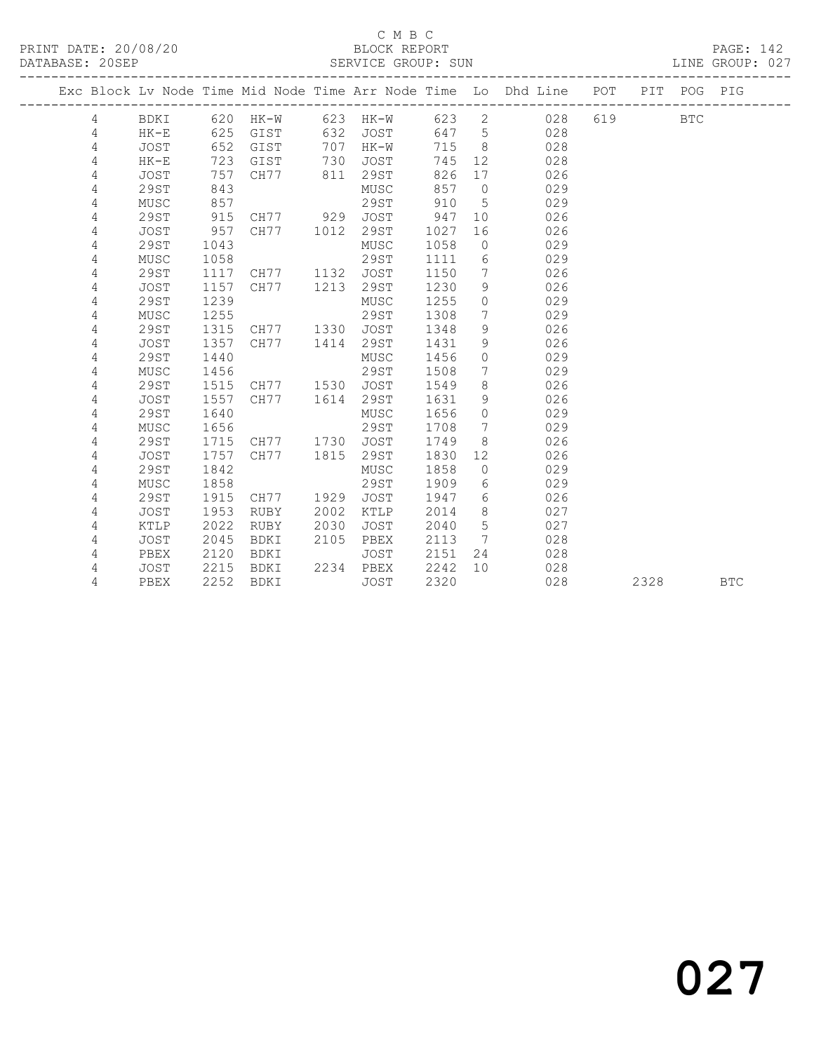### C M B C<br>BLOCK REPORT SERVICE GROUP: SUN

|  |   |             |      |             |      |             |      |                   | Exc Block Lv Node Time Mid Node Time Arr Node Time Lo Dhd Line POT |     |      | PIT POG PIG |            |
|--|---|-------------|------|-------------|------|-------------|------|-------------------|--------------------------------------------------------------------|-----|------|-------------|------------|
|  | 4 | BDKI        |      | 620 HK-W    | 623  | $HK-W$      | 623  | $\mathbf{2}$      | 028                                                                | 619 |      | <b>BTC</b>  |            |
|  | 4 | $HK-E$      | 625  | GIST        | 632  | <b>JOST</b> | 647  | $5^{\circ}$       | 028                                                                |     |      |             |            |
|  | 4 | JOST        | 652  | GIST        | 707  | HK-W        | 715  | 8 <sup>8</sup>    | 028                                                                |     |      |             |            |
|  | 4 | $HK-E$      | 723  | GIST        | 730  | JOST        | 745  | 12                | 028                                                                |     |      |             |            |
|  | 4 | JOST        | 757  | CH77        | 811  | 29ST        | 826  | 17                | 026                                                                |     |      |             |            |
|  | 4 | 29ST        | 843  |             |      | MUSC        | 857  | $\overline{0}$    | 029                                                                |     |      |             |            |
|  | 4 | MUSC        | 857  |             |      | 29ST        | 910  | 5                 | 029                                                                |     |      |             |            |
|  | 4 | 29ST        | 915  | CH77        | 929  | JOST        | 947  | 10                | 026                                                                |     |      |             |            |
|  | 4 | JOST        | 957  | CH77        | 1012 | 29ST        | 1027 | 16                | 026                                                                |     |      |             |            |
|  | 4 | 29ST        | 1043 |             |      | MUSC        | 1058 | $\circ$           | 029                                                                |     |      |             |            |
|  | 4 | MUSC        | 1058 |             |      | 29ST        | 1111 | 6                 | 029                                                                |     |      |             |            |
|  | 4 | 29ST        | 1117 | CH77        | 1132 | JOST        | 1150 | 7                 | 026                                                                |     |      |             |            |
|  | 4 | JOST        | 1157 | CH77        | 1213 | 29ST        | 1230 | 9                 | 026                                                                |     |      |             |            |
|  | 4 | 29ST        | 1239 |             |      | MUSC        | 1255 | $\circ$           | 029                                                                |     |      |             |            |
|  | 4 | MUSC        | 1255 |             |      | 29ST        | 1308 | $7\phantom{.0}$   | 029                                                                |     |      |             |            |
|  | 4 | <b>29ST</b> | 1315 | CH77        | 1330 | <b>JOST</b> | 1348 | 9                 | 026                                                                |     |      |             |            |
|  | 4 | <b>JOST</b> | 1357 | CH77        | 1414 | 29ST        | 1431 | 9                 | 026                                                                |     |      |             |            |
|  | 4 | <b>29ST</b> | 1440 |             |      | MUSC        | 1456 | $\circ$           | 029                                                                |     |      |             |            |
|  | 4 | MUSC        | 1456 |             |      | 29ST        | 1508 | $7\phantom{.0}$   | 029                                                                |     |      |             |            |
|  | 4 | <b>29ST</b> | 1515 | CH77        | 1530 | JOST        | 1549 | 8                 | 026                                                                |     |      |             |            |
|  | 4 | <b>JOST</b> | 1557 | CH77        | 1614 | 29ST        | 1631 | 9                 | 026                                                                |     |      |             |            |
|  | 4 | <b>29ST</b> | 1640 |             |      | MUSC        | 1656 | $\Omega$          | 029                                                                |     |      |             |            |
|  | 4 | MUSC        | 1656 |             |      | 29ST        | 1708 | 7                 | 029                                                                |     |      |             |            |
|  | 4 | 29ST        | 1715 | CH77        | 1730 | JOST        | 1749 | 8                 | 026                                                                |     |      |             |            |
|  | 4 | JOST        | 1757 | CH77        | 1815 | 29ST        | 1830 | $12 \overline{ }$ | 026                                                                |     |      |             |            |
|  | 4 | 29ST        | 1842 |             |      | MUSC        | 1858 | $\circ$           | 029                                                                |     |      |             |            |
|  | 4 | MUSC        | 1858 |             |      | 29ST        | 1909 | 6                 | 029                                                                |     |      |             |            |
|  | 4 | 29ST        | 1915 | CH77        | 1929 | <b>JOST</b> | 1947 | 6                 | 026                                                                |     |      |             |            |
|  | 4 | JOST        | 1953 | RUBY        | 2002 | KTLP        | 2014 | 8                 | 027                                                                |     |      |             |            |
|  | 4 | KTLP        | 2022 | RUBY        | 2030 | JOST        | 2040 | 5                 | 027                                                                |     |      |             |            |
|  | 4 | JOST        | 2045 | BDKI        | 2105 | PBEX        | 2113 | 7                 | 028                                                                |     |      |             |            |
|  | 4 | PBEX        | 2120 | BDKI        |      | JOST        | 2151 | 24                | 028                                                                |     |      |             |            |
|  | 4 | JOST        | 2215 | BDKI        | 2234 | PBEX        | 2242 | 10                | 028                                                                |     |      |             |            |
|  | 4 | PBEX        | 2252 | <b>BDKI</b> |      | <b>JOST</b> | 2320 |                   | 028                                                                |     | 2328 |             | <b>BTC</b> |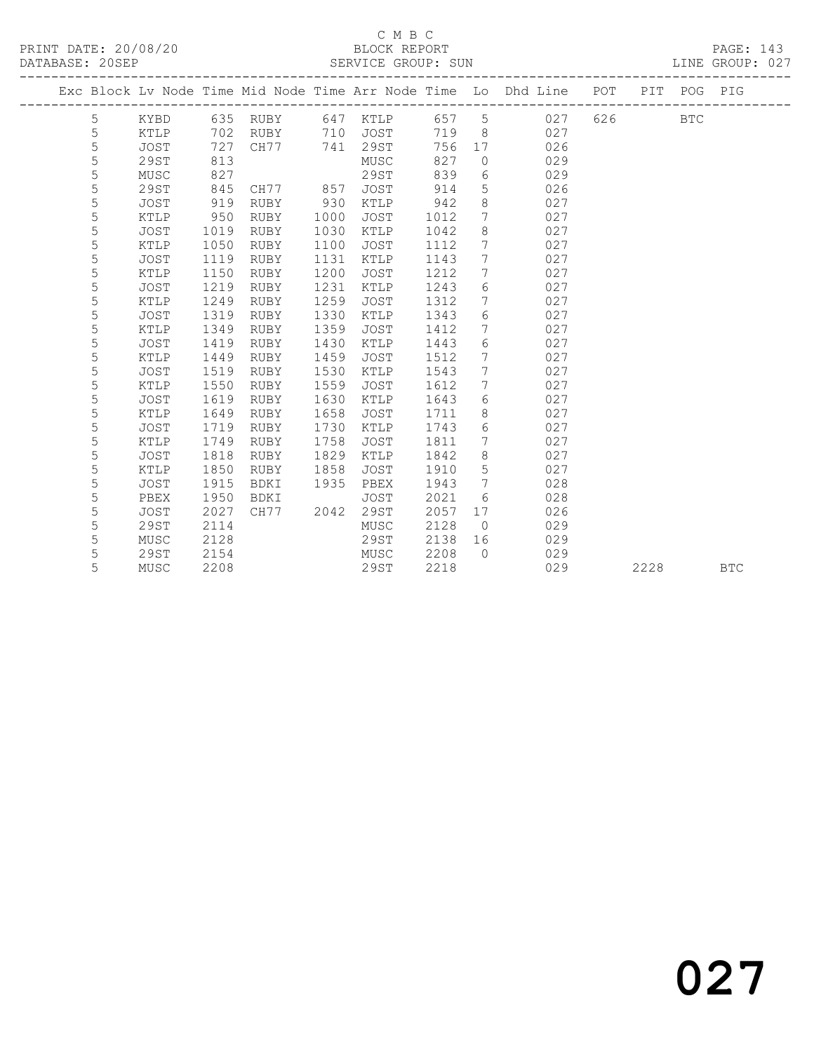## C M B C<br>BLOCK REPORT

| PRINT DATE: 20/08/20<br>DATABASE: 20SEP |   |             |  |      |          |      | ERRED BLOCK REPORT<br>SERVICE GROUP: SUN |  |       |                 |                                                                                |       |      | PAGE: 143<br>LINE GROUP: 027 |            |
|-----------------------------------------|---|-------------|--|------|----------|------|------------------------------------------|--|-------|-----------------|--------------------------------------------------------------------------------|-------|------|------------------------------|------------|
|                                         |   |             |  |      |          |      |                                          |  |       |                 | Exc Block Lv Node Time Mid Node Time Arr Node Time Lo Dhd Line POT PIT POG PIG |       |      |                              |            |
|                                         | 5 | KYBD        |  |      | 635 RUBY |      | 647 KTLP                                 |  | 657 5 |                 | 027                                                                            | 626 7 |      | <b>BTC</b>                   |            |
|                                         | 5 | KTLP        |  | 702  | RUBY     | 710  | JOST                                     |  | 719   | 8               | 027                                                                            |       |      |                              |            |
|                                         | 5 | JOST        |  | 727  | CH77     | 741  | 29ST                                     |  | 756   | 17              | 026                                                                            |       |      |                              |            |
|                                         | 5 | <b>29ST</b> |  | 813  |          |      | MUSC                                     |  | 827   | $\circledcirc$  | 029                                                                            |       |      |                              |            |
|                                         | 5 | MUSC        |  | 827  |          |      | <b>29ST</b>                              |  | 839   | $6\,$           | 029                                                                            |       |      |                              |            |
|                                         | 5 | 29ST        |  | 845  | CH77 857 |      | JOST                                     |  | 914   | $5\phantom{.0}$ | 026                                                                            |       |      |                              |            |
|                                         | 5 | JOST        |  | 919  | RUBY     | 930  | KTLP                                     |  | 942   | $\,8\,$         | 027                                                                            |       |      |                              |            |
|                                         | 5 | KTLP        |  | 950  | RUBY     | 1000 | JOST                                     |  | 1012  | $7\phantom{.0}$ | 027                                                                            |       |      |                              |            |
|                                         | 5 | JOST        |  | 1019 | RUBY     | 1030 | KTLP                                     |  | 1042  | $8\,$           | 027                                                                            |       |      |                              |            |
|                                         | 5 | KTLP        |  | 1050 | RUBY     | 1100 | <b>JOST</b>                              |  | 1112  | $7\phantom{.0}$ | 027                                                                            |       |      |                              |            |
|                                         | 5 | <b>JOST</b> |  | 1119 | RUBY     | 1131 | KTLP                                     |  | 1143  | $7\phantom{.0}$ | 027                                                                            |       |      |                              |            |
|                                         | 5 | KTLP        |  | 1150 | RUBY     | 1200 | <b>JOST</b>                              |  | 1212  | $7\phantom{.0}$ | 027                                                                            |       |      |                              |            |
|                                         | 5 | JOST        |  | 1219 | RUBY     | 1231 | KTLP                                     |  | 1243  | 6               | 027                                                                            |       |      |                              |            |
|                                         | 5 | KTLP        |  | 1249 | RUBY     | 1259 | JOST                                     |  | 1312  | $7\phantom{.0}$ | 027                                                                            |       |      |                              |            |
|                                         | 5 | <b>JOST</b> |  | 1319 | RUBY     | 1330 | KTLP                                     |  | 1343  | 6               | 027                                                                            |       |      |                              |            |
|                                         | 5 | KTLP        |  | 1349 | RUBY     | 1359 | JOST                                     |  | 1412  | $7\phantom{.0}$ | 027                                                                            |       |      |                              |            |
|                                         | 5 | <b>JOST</b> |  | 1419 | RUBY     | 1430 | KTLP                                     |  | 1443  | 6               | 027                                                                            |       |      |                              |            |
|                                         | 5 | KTLP        |  | 1449 | RUBY     | 1459 | JOST                                     |  | 1512  | $7\phantom{.0}$ | 027                                                                            |       |      |                              |            |
|                                         | 5 | JOST        |  | 1519 | RUBY     | 1530 | KTLP                                     |  | 1543  | $7\phantom{.}$  | 027                                                                            |       |      |                              |            |
|                                         | 5 | KTLP        |  | 1550 | RUBY     | 1559 | JOST                                     |  | 1612  | $7\phantom{.0}$ | 027                                                                            |       |      |                              |            |
|                                         | 5 | <b>JOST</b> |  | 1619 | RUBY     | 1630 | KTLP                                     |  | 1643  | 6               | 027                                                                            |       |      |                              |            |
|                                         | 5 | KTLP        |  | 1649 | RUBY     | 1658 | JOST                                     |  | 1711  | 8               | 027                                                                            |       |      |                              |            |
|                                         | 5 | JOST        |  | 1719 | RUBY     | 1730 | KTLP                                     |  | 1743  | $6\,$           | 027                                                                            |       |      |                              |            |
|                                         | 5 | KTLP        |  | 1749 | RUBY     | 1758 | JOST                                     |  | 1811  | $7\phantom{.0}$ | 027                                                                            |       |      |                              |            |
|                                         | 5 | JOST        |  | 1818 | RUBY     | 1829 | KTLP                                     |  | 1842  | $8\,$           | 027                                                                            |       |      |                              |            |
|                                         | 5 | KTLP        |  | 1850 | RUBY     | 1858 | JOST                                     |  | 1910  | 5               | 027                                                                            |       |      |                              |            |
|                                         | 5 | <b>JOST</b> |  | 1915 | BDKI     | 1935 | PBEX                                     |  | 1943  | $7\phantom{.0}$ | 028                                                                            |       |      |                              |            |
|                                         | 5 | PBEX        |  | 1950 | BDKI     |      | JOST                                     |  | 2021  | 6               | 028                                                                            |       |      |                              |            |
|                                         | 5 | JOST        |  | 2027 | CH77     | 2042 | 29ST                                     |  | 2057  | 17              | 026                                                                            |       |      |                              |            |
|                                         | 5 | 29ST        |  | 2114 |          |      | MUSC                                     |  | 2128  | $\overline{0}$  | 029                                                                            |       |      |                              |            |
|                                         | 5 | MUSC        |  | 2128 |          |      | 29ST                                     |  | 2138  | 16              | 029                                                                            |       |      |                              |            |
|                                         | 5 | 29ST        |  | 2154 |          |      | MUSC                                     |  | 2208  | $\circ$         | 029                                                                            |       |      |                              |            |
|                                         | 5 | MUSC        |  | 2208 |          |      | 29ST                                     |  | 2218  |                 | 029                                                                            |       | 2228 |                              | <b>BTC</b> |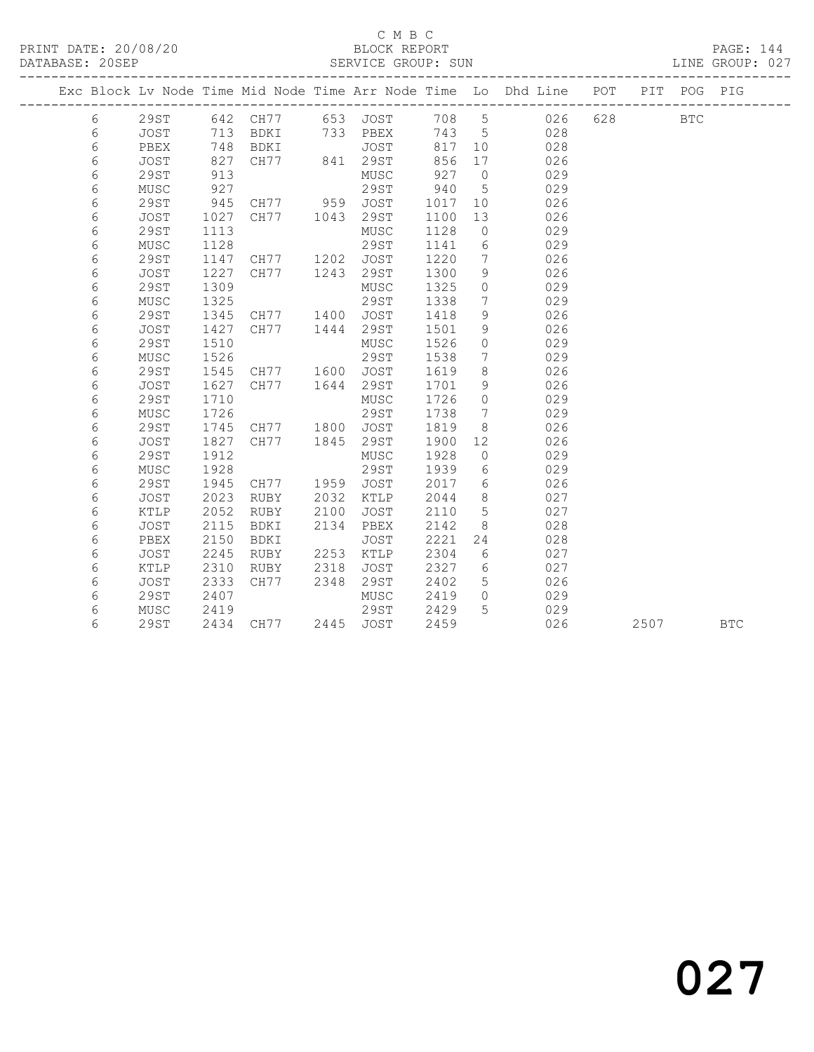## C M B C

### LINE GROUP: 027

| PRINT DATE: 20/08/20 | BLOCK REPORT                   | PAGE: 144             |
|----------------------|--------------------------------|-----------------------|
| DATARAST · 20SED     | SERVICE CROUP.<br><b>CIINI</b> | LERAND · US<br>יתות ד |

| DAIADAJE. ZVJEF |   |      |      | OLAVIUL UAUUF. JUN |      |      |      |            |                                                                |     |     | UINE GRUUF. VZ / |     |  |  |  |
|-----------------|---|------|------|--------------------|------|------|------|------------|----------------------------------------------------------------|-----|-----|------------------|-----|--|--|--|
|                 |   |      |      |                    |      |      |      |            | Exc Block Lv Node Time Mid Node Time Arr Node Time Lo Dhd Line | POT | PIT | POG              | PIG |  |  |  |
|                 | 6 | 29ST | 642  | CH77               | 653  | JOST | 708  | 5.         | 026                                                            | 628 |     | <b>BTC</b>       |     |  |  |  |
|                 | 6 | JOST | 713  | BDKI               | 733  | PBEX | 743  | 5          | 028                                                            |     |     |                  |     |  |  |  |
|                 | 6 | PBEX | 748  | BDKI               |      | JOST | 817  | 10         | 028                                                            |     |     |                  |     |  |  |  |
|                 | 6 | JOST | 827  | CH77               | 841  | 29ST | 856  | 17         | 026                                                            |     |     |                  |     |  |  |  |
|                 | 6 | 29ST | 913  |                    |      | MUSC | 927  | $\bigcap$  | 029                                                            |     |     |                  |     |  |  |  |
|                 | 6 | MUSC | 927  |                    |      | 29ST | 940  | 5          | 029                                                            |     |     |                  |     |  |  |  |
|                 | 6 | 29ST | 945  | CH77               | 959  | JOST | 1017 | 10         | 026                                                            |     |     |                  |     |  |  |  |
|                 | 6 | JOST | 1027 | CH77               | 1043 | 29ST | 1100 | 13         | 026                                                            |     |     |                  |     |  |  |  |
|                 | 6 | 29ST | 1113 |                    |      | MUSC | 1128 | $\bigcirc$ | 029                                                            |     |     |                  |     |  |  |  |
|                 | 6 | MUSC | 1128 |                    |      | 29ST | 1141 | 6          | 029                                                            |     |     |                  |     |  |  |  |

 6 29ST 1147 CH77 1202 JOST 1220 7 026 6 JOST 1227 CH77 1243 29ST 1300 9 026

6 29ST 1345 CH77 1400 JOST 1418 9 026

 6 29ST 1745 CH77 1800 JOST 1819 8 026 6 JOST 1827 CH77 1845 29ST 1900 12 026

6 29ST 1945 CH77 1959 JOST 2017 6 026

 6 29ST 1309 MUSC 1325 0 029 6 MUSC 1325 29ST 1338 7 029

 6 JOST 1427 CH77 1444 29ST 1501 9 026 6 29ST 1510 MUSC 1526 0 029 6 MUSC 1526 29ST 1538 7 029 6 29ST 1545 CH77 1600 JOST 1619 8 026 6 JOST 1627 CH77 1644 29ST 1701 9 026 6 29ST 1710 MUSC 1726 0 029 6 MUSC 1726 29ST 1738 7 029

 6 29ST 1912 MUSC 1928 0 029 6 MUSC 1928 29ST 1939 6 029

 6 JOST 2023 RUBY 2032 KTLP 2044 8 027 6 KTLP 2052 RUBY 2100 JOST 2110 5 027 6 JOST 2115 BDKI 2134 PBEX 2142 8 028 6 PBEX 2150 BDKI JOST 2221 24 028 6 JOST 2245 RUBY 2253 KTLP 2304 6 027 6 KTLP 2310 RUBY 2318 JOST 2327 6 027 6 JOST 2333 CH77 2348 29ST 2402 5 026 6 29ST 2407 MUSC 2419 0 029 6 MUSC 2419 29ST 2429 5 029

6 29ST 2434 CH77 2445 JOST 2459 026 2507 BTC

027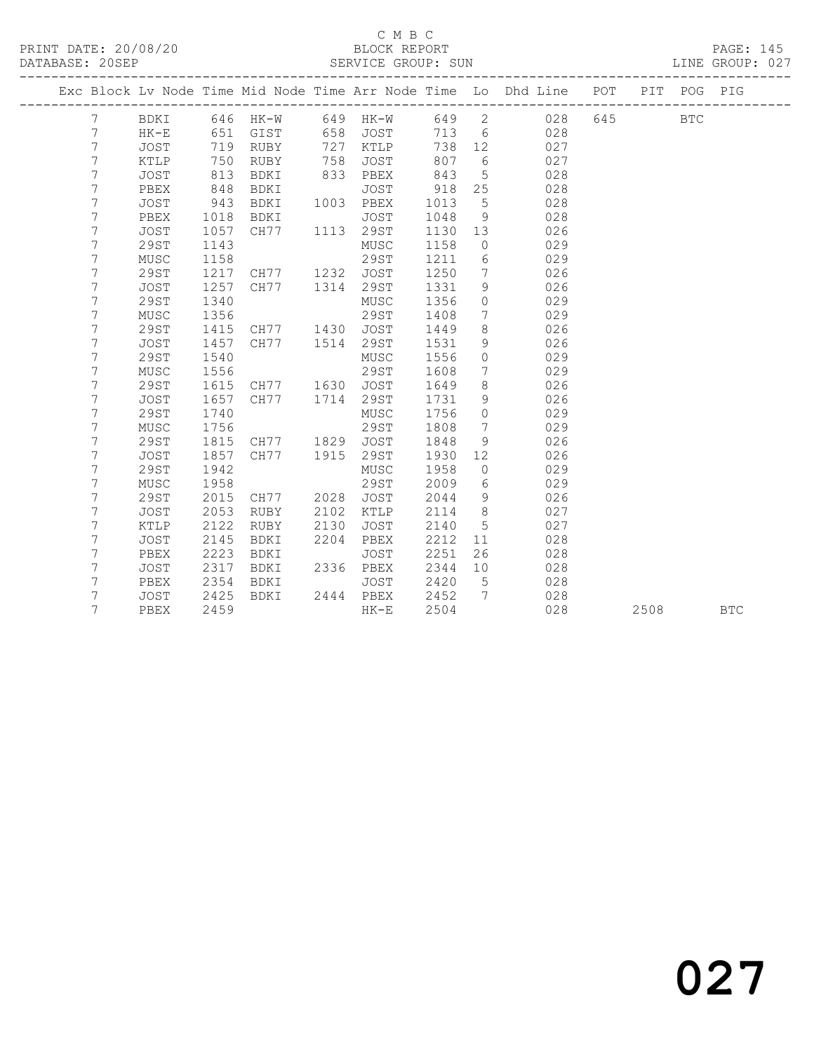### C M B C<br>RIOCK REPORT

|           |       |                   |        |     |      | ------ | ---                        |
|-----------|-------|-------------------|--------|-----|------|--------|----------------------------|
| DATABASE: | 20SEP | SERVICE<br>◡└╵╵┴◡ | GROUP. | SUN | LINE | CROIIE | $\cap$ $\cap$ $\sim$<br>∪∠ |
|           |       |                   |        |     |      |        |                            |

------------------------------------------------------------------------------------------------- Exc Block Lv Node Time Mid Node Time Arr Node Time Lo Dhd Line POT PIT POG PIG ------------------------------------------------------------------------------------------------- 7 BDKI 646 HK-W 649 HK-W 649 2 028<br>7 HK-E 651 GIST 658 JOST 713 6 028 7 HK-E 651 GIST 658 JOST 713 6 028 7 JOST 719 RUBY 727 KTLP 738 12 027 7 KTLP 750 RUBY 758 JOST 807 6 027 7 JOST 813 BDKI 833 PBEX 843 5 028 7 PBEX 848 BDKI JOST 918 25 028 7 JOST 943 BDKI 1003 PBEX 1013 5 028 7 PBEX 1018 BDKI JOST 1048 9 028 7 JOST 1057 CH77 1113 29ST 1130 13 026 7 29ST 1143 MUSC 1158 0 029 7 MUSC 1158 29ST 1211 6 029 7 29ST 1217 CH77 1232 JOST 1250 7 026 7 JOST 1257 CH77 1314 29ST 1331 9 026 7 29ST 1340 MUSC 1356 0 029 7 MUSC 1356 29ST 1408 7 029 7 29ST 1415 CH77 1430 JOST 1449 8 026 7 JOST 1457 CH77 1514 29ST 1531 9 026 7 29ST 1540 MUSC 1556 0 029 7 MUSC 1556 29ST 1608 7 029 7 29ST 1615 CH77 1630 JOST 1649 8 026 7 JOST 1657 CH77 1714 29ST 1731 9 026 7 29ST 1740 MUSC 1756 0 029 7 MUSC 1756 29ST 1808 7 029 7 29ST 1815 CH77 1829 JOST 1848 9 026 7 JOST 1857 CH77 1915 29ST 1930 12 026 7 29ST 1942 MUSC 1958 0 029 7 MUSC 1958 29ST 2009 6 029 7 29ST 2015 CH77 2028 JOST 2044 9 026 7 JOST 2053 RUBY 2102 KTLP 2114 8 027 7 KTLP 2122 RUBY 2130 JOST 2140 5 027 7 JOST 2145 BDKI 2204 PBEX 2212 11 028 7 PBEX 2223 BDKI JOST 2251 26 028 7 JOST 2317 BDKI 2336 PBEX 2344 10 028 7 PBEX 2354 BDKI JOST 2420 5 028 7 JOST 2425 BDKI 2444 PBEX 2452 7 028 7 PBEX 2459 HK-E 2504 028 2508 BTC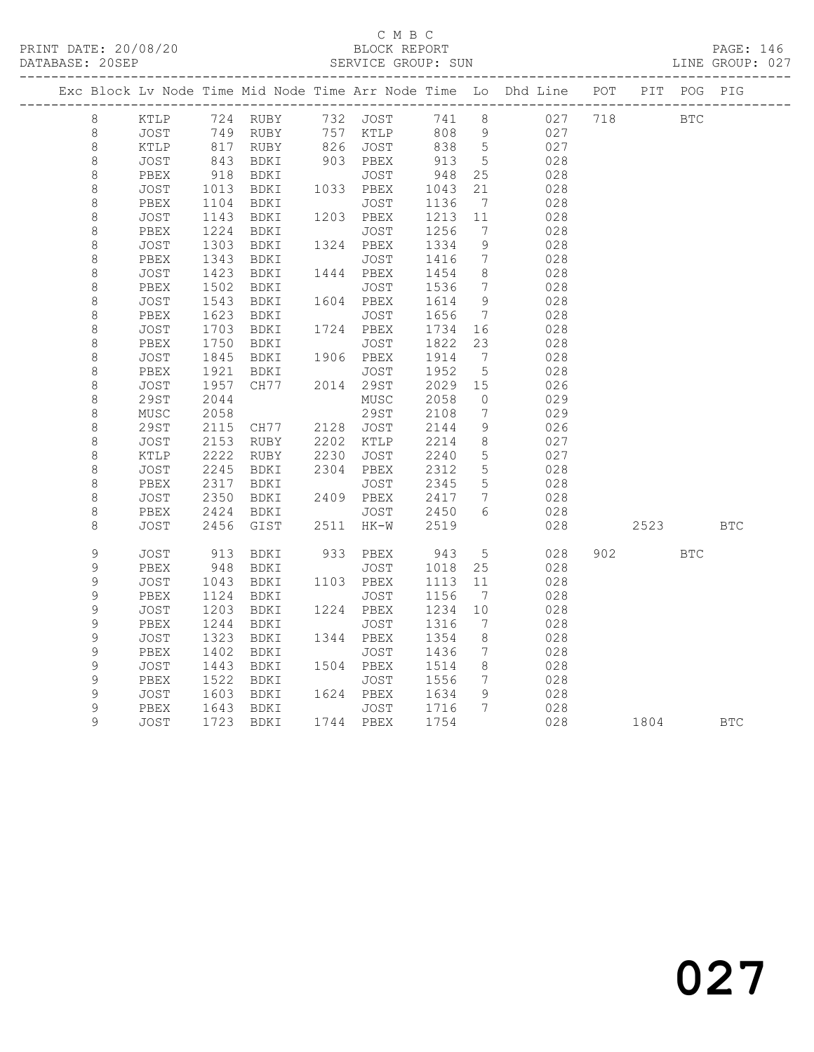#### C M B C<br>BLOCK REPORT SERVICE GROUP: SUN

|                    |              |              |                         |      |           |              |                              | Exc Block Lv Node Time Mid Node Time Arr Node Time Lo Dhd Line POT PIT POG PIG |     |                 |            |            |
|--------------------|--------------|--------------|-------------------------|------|-----------|--------------|------------------------------|--------------------------------------------------------------------------------|-----|-----------------|------------|------------|
| 8                  | KTLP         |              | 724 RUBY 732 JOST 741 8 |      |           |              |                              | 027 718                                                                        |     | <b>EXECUTE:</b> |            |            |
| $8\,$              | JOST         |              |                         |      |           |              |                              | 027                                                                            |     |                 |            |            |
| $\,8\,$            | KTLP         |              |                         |      |           |              |                              | 027                                                                            |     |                 |            |            |
| $\,8\,$            | JOST         | 843<br>918   | BDKI                    |      | 903 PBEX  | 913          | $5\overline{)}$              | 028                                                                            |     |                 |            |            |
| $\,8\,$            | PBEX         |              | BDKI                    |      | JOST      | 948          | 25                           | 028                                                                            |     |                 |            |            |
| $\,8\,$            | JOST         | 1013         | BDKI                    |      | 1033 PBEX | 1043         | 21                           | 028                                                                            |     |                 |            |            |
| $\,8\,$            | PBEX         | 1104         | BDKI                    |      | JOST      | 1136         | $7\overline{ }$              | 028                                                                            |     |                 |            |            |
| $\,8\,$            | JOST         | 1143         | BDKI                    |      | 1203 PBEX | 1213         | 11                           | 028                                                                            |     |                 |            |            |
| $\,8\,$            | PBEX         | 1224         | BDKI                    |      | JOST      | 1256         | $7\phantom{.0}$              | 028                                                                            |     |                 |            |            |
| $\,8\,$            | JOST         | 1303         | BDKI                    |      | 1324 PBEX | 1334         | 9                            | 028                                                                            |     |                 |            |            |
| $\,8\,$            | PBEX         | 1343         | BDKI                    |      | JOST      | 1416         | $\overline{7}$               | 028                                                                            |     |                 |            |            |
| $\,8\,$            | JOST         | 1423         | BDKI                    |      | 1444 PBEX | 1454         | 8 <sup>8</sup>               | 028                                                                            |     |                 |            |            |
| $\,8\,$            | PBEX         | 1502         | BDKI                    |      | JOST      | 1536         | 7                            | 028                                                                            |     |                 |            |            |
| $\,8\,$            | JOST         | 1543         | BDKI                    |      | 1604 PBEX | 1614         | 9                            | 028                                                                            |     |                 |            |            |
| $\,8\,$            | PBEX         | 1623         | BDKI                    |      | JOST      | 1656         | $7\phantom{0}$               | 028                                                                            |     |                 |            |            |
| $\,8\,$            | JOST         | 1703         | BDKI                    |      | 1724 PBEX | 1734         | 16                           | 028                                                                            |     |                 |            |            |
| $\,8\,$            | PBEX         | 1750         | BDKI                    |      | JOST      | 1822         | 23                           | 028                                                                            |     |                 |            |            |
| $\,8\,$            | JOST         | 1845         | BDKI                    |      | 1906 PBEX | 1914         | $\overline{7}$               | 028                                                                            |     |                 |            |            |
| $\,8\,$            | PBEX         | 1921         | BDKI<br>CH77            |      | JOST      | 1952         | $-5$                         | 028                                                                            |     |                 |            |            |
| $\,8\,$            | <b>JOST</b>  | 1957         |                         |      | 2014 29ST | 2029 15      |                              | 026                                                                            |     |                 |            |            |
| $\,8\,$            | 29ST         | 2044         |                         |      | MUSC      | 2058         | $\overline{0}$               | 029                                                                            |     |                 |            |            |
| $\,8\,$            | ${\tt MUSC}$ | 2058         |                         |      | 29ST      | 2108         | $\overline{7}$               | 029                                                                            |     |                 |            |            |
| $\,8\,$            | 29ST         | 2115<br>2153 | CH77 2128 JOST          |      | 2202 KTLP | 2144<br>2214 | 9<br>8 <sup>8</sup>          | 026<br>027                                                                     |     |                 |            |            |
| $\,8\,$<br>$\,8\,$ | JOST<br>KTLP | 2222         | RUBY<br>RUBY            | 2230 | JOST      | 2240         | 5                            | 027                                                                            |     |                 |            |            |
| $\,8\,$            | JOST         | 2245         | BDKI                    |      | 2304 PBEX | 2312         | 5                            | 028                                                                            |     |                 |            |            |
| $\,8\,$            | PBEX         | 2317         | BDKI                    |      | JOST      | 2345         | 5                            | 028                                                                            |     |                 |            |            |
| $\,8\,$            | JOST         | 2350         | BDKI                    |      | 2409 PBEX | 2417         | $\overline{7}$               | 028                                                                            |     |                 |            |            |
| $\,8\,$            | PBEX         | 2424         | BDKI                    |      | JOST      | 2450         | 6                            | 028                                                                            |     |                 |            |            |
| 8                  | JOST         | 2456         | GIST                    |      | 2511 HK-W | 2519         |                              | 028                                                                            |     | 2523            |            | <b>BTC</b> |
|                    |              |              |                         |      |           |              |                              |                                                                                |     |                 |            |            |
| 9                  | <b>JOST</b>  | 913          | BDKI                    |      | 933 PBEX  | 943          | $5\overline{)}$              | 028                                                                            | 902 |                 | <b>BTC</b> |            |
| 9                  | PBEX         | 948          | BDKI                    |      | JOST      | 1018         | 25                           | 028                                                                            |     |                 |            |            |
| $\mathsf 9$        | JOST         | 1043         | BDKI                    |      | 1103 PBEX | 1113         | 11                           | 028                                                                            |     |                 |            |            |
| 9                  | PBEX         | 1124         | BDKI                    |      | JOST      | 1156         | $\overline{7}$               | 028                                                                            |     |                 |            |            |
| 9                  | JOST         | 1203         | BDKI                    |      | 1224 PBEX | 1234         | 10                           | 028                                                                            |     |                 |            |            |
| 9                  | PBEX         | 1244         | BDKI                    |      | JOST      | 1316         | 7                            | 028                                                                            |     |                 |            |            |
| 9                  | JOST         | 1323         | BDKI                    |      | 1344 PBEX | 1354         | 8 <sup>8</sup>               | 028                                                                            |     |                 |            |            |
| $\mathsf 9$        | PBEX         | 1402         | BDKI                    |      | JOST      | 1436         | $\overline{7}$               | 028                                                                            |     |                 |            |            |
| $\mathsf 9$        | JOST         | 1443         | BDKI                    |      | 1504 PBEX | 1514         | 8                            | 028                                                                            |     |                 |            |            |
| $\mathsf 9$        | PBEX         | 1522         | BDKI                    |      | JOST      | 1556         | $7\phantom{.0}\phantom{.0}7$ | 028                                                                            |     |                 |            |            |
| 9                  | JOST         | 1603         | BDKI                    |      | 1624 PBEX | 1634         | - 9                          | 028                                                                            |     |                 |            |            |
| 9                  | PBEX         |              | 1643 BDKI<br>1723 BDKI  |      | JOST      | 1716         | $\overline{7}$               | 028                                                                            |     |                 |            |            |
| 9                  | JOST         |              |                         |      | 1744 PBEX | 1754         |                              | 028                                                                            |     | 1804            |            | <b>BTC</b> |
|                    |              |              |                         |      |           |              |                              |                                                                                |     |                 |            |            |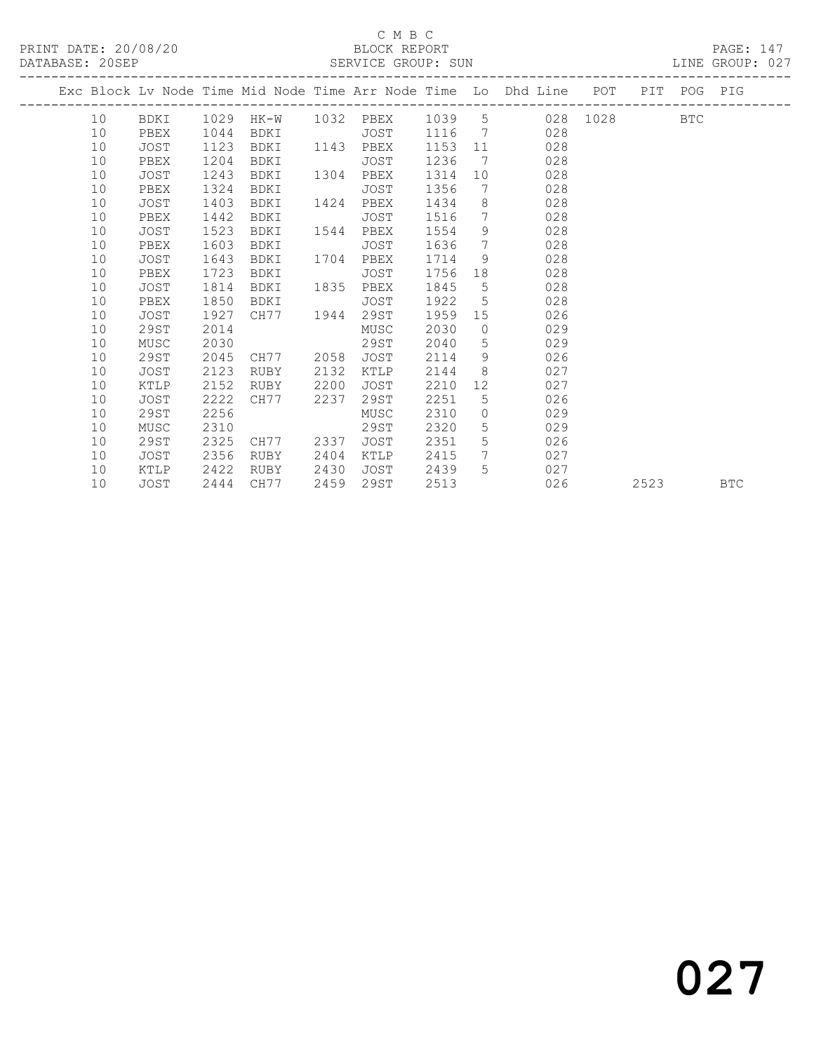### C M B C<br>BLOCK REPORT

PRINT DATE: 20/08/20 BLOCK REPORT PAGE: 147

LINE GROUP: 027

|  |    |             |      | Exc Block Lv Node Time Mid Node Time Arr Node Time Lo Dhd Line POT |      |      |         |                 |             |     |      | PIT POG PIG |            |
|--|----|-------------|------|--------------------------------------------------------------------|------|------|---------|-----------------|-------------|-----|------|-------------|------------|
|  | 10 |             |      | BDKI 1029 HK-W 1032 PBEX 1039 5 028 1028                           |      |      |         |                 |             |     |      | <b>BTC</b>  |            |
|  | 10 | PBEX        | 1044 | BDKI                                                               |      | JOST |         |                 | 1116 7 028  |     |      |             |            |
|  | 10 | JOST        | 1123 | BDKI 1143 PBEX                                                     |      |      | 1153 11 |                 |             | 028 |      |             |            |
|  | 10 | PBEX        | 1204 | BDKI                                                               |      | JOST | 1236    | 7               |             | 028 |      |             |            |
|  | 10 | <b>JOST</b> | 1243 | BDKI                                                               | 1304 | PBEX | 1314    |                 | 10          | 028 |      |             |            |
|  | 10 | PBEX        | 1324 | BDKI                                                               |      | JOST | 1356    | 7               |             | 028 |      |             |            |
|  | 10 | JOST        | 1403 | BDKI                                                               | 1424 | PBEX | 1434    |                 | 8           | 028 |      |             |            |
|  | 10 | PBEX        | 1442 | BDKI                                                               |      | JOST | 1516    | $7\overline{ }$ |             | 028 |      |             |            |
|  | 10 | JOST        | 1523 | BDKI                                                               | 1544 | PBEX | 1554    | 9 <sup>°</sup>  |             | 028 |      |             |            |
|  | 10 | PBEX        | 1603 | BDKI                                                               |      | JOST | 1636    | $7\overline{ }$ |             | 028 |      |             |            |
|  | 10 | JOST        | 1643 | BDKI                                                               | 1704 | PBEX | 1714    |                 | 9           | 028 |      |             |            |
|  | 10 | PBEX        | 1723 | BDKI                                                               |      | JOST | 1756    | 18              |             | 028 |      |             |            |
|  | 10 | JOST        | 1814 | BDKI                                                               | 1835 | PBEX | 1845    | 5 <sup>5</sup>  |             | 028 |      |             |            |
|  | 10 | PBEX        | 1850 | BDKI                                                               |      | JOST | 1922    | 5 <sup>5</sup>  |             | 028 |      |             |            |
|  | 10 | JOST        | 1927 | CH77 1944                                                          |      | 29ST | 1959    |                 | 15          | 026 |      |             |            |
|  | 10 | 29ST        | 2014 |                                                                    |      | MUSC | 2030    | $\overline{0}$  |             | 029 |      |             |            |
|  | 10 | MUSC        | 2030 |                                                                    |      | 29ST | 2040    | 5               |             | 029 |      |             |            |
|  | 10 | 29ST        | 2045 | CH77 2058                                                          |      | JOST | 2114    | 9               |             | 026 |      |             |            |
|  | 10 | JOST        | 2123 | RUBY                                                               | 2132 | KTLP | 2144    |                 | 8           | 027 |      |             |            |
|  | 10 | KTLP        | 2152 | RUBY                                                               | 2200 | JOST | 2210    | 12              |             | 027 |      |             |            |
|  | 10 | <b>JOST</b> | 2222 | CH77                                                               | 2237 | 29ST | 2251    | 5               |             | 026 |      |             |            |
|  | 10 | 29ST        | 2256 |                                                                    |      | MUSC | 2310    | $\overline{0}$  |             | 029 |      |             |            |
|  | 10 | MUSC        | 2310 |                                                                    |      | 29ST | 2320    |                 | $5^{\circ}$ | 029 |      |             |            |
|  | 10 | 29ST        | 2325 | CH77 2337                                                          |      | JOST | 2351    | 5 <sup>5</sup>  |             | 026 |      |             |            |
|  | 10 | JOST        | 2356 | RUBY                                                               | 2404 | KTLP | 2415    | 7               |             | 027 |      |             |            |
|  | 10 | KTLP        | 2422 | RUBY                                                               | 2430 | JOST | 2439    | 5 <sup>5</sup>  |             | 027 |      |             |            |
|  | 10 | JOST        | 2444 | CH77                                                               | 2459 | 29ST | 2513    |                 |             | 026 | 2523 |             | <b>BTC</b> |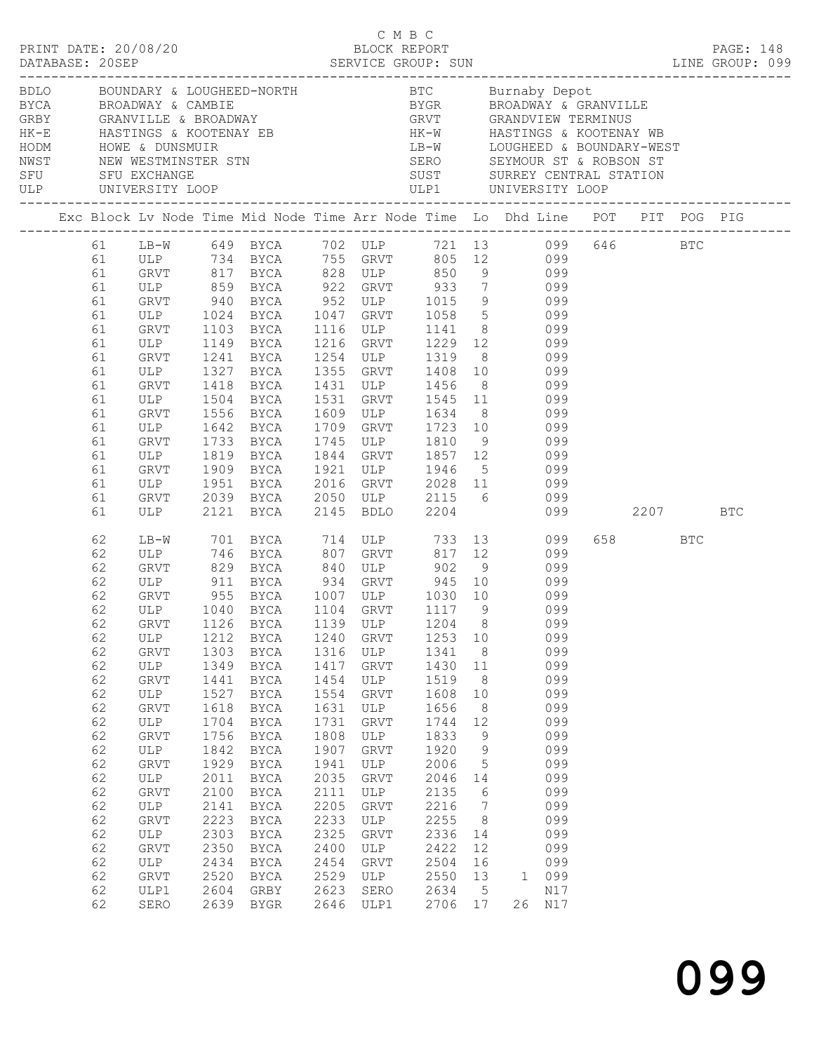|                                                                                                                                                                |                                                                                                                                                                        |                                                                                                                                                      | BDLO BOUNDARY & LOUGHEED-NORTH BTC Burnaby Depot<br>BYCA BROADWAY & CAMBIE<br>GRBY GRANVILLE & BROADWAY GRVT GRANDVIEW TERMINUS<br>HK-E HASTINGS & KOOTENAY EB HK-W HASTINGS & KOOTENAY WB<br>HODM HOWE & DUNSMUIR<br>NWST NEW WESTMINST                                                                                                                                         |                                                                                                                                                              |                                                                                                                                                     |                                                                                                                                                                    |                                                                                                                                                                         |                                                                                                                                                                                                                                                                                  |         |            |  |
|----------------------------------------------------------------------------------------------------------------------------------------------------------------|------------------------------------------------------------------------------------------------------------------------------------------------------------------------|------------------------------------------------------------------------------------------------------------------------------------------------------|----------------------------------------------------------------------------------------------------------------------------------------------------------------------------------------------------------------------------------------------------------------------------------------------------------------------------------------------------------------------------------|--------------------------------------------------------------------------------------------------------------------------------------------------------------|-----------------------------------------------------------------------------------------------------------------------------------------------------|--------------------------------------------------------------------------------------------------------------------------------------------------------------------|-------------------------------------------------------------------------------------------------------------------------------------------------------------------------|----------------------------------------------------------------------------------------------------------------------------------------------------------------------------------------------------------------------------------------------------------------------------------|---------|------------|--|
|                                                                                                                                                                |                                                                                                                                                                        |                                                                                                                                                      | Exc Block Lv Node Time Mid Node Time Arr Node Time Lo Dhd Line POT PIT POG PIG                                                                                                                                                                                                                                                                                                   |                                                                                                                                                              |                                                                                                                                                     |                                                                                                                                                                    |                                                                                                                                                                         |                                                                                                                                                                                                                                                                                  |         |            |  |
| 61<br>61<br>61<br>61<br>61<br>61<br>61<br>61<br>61<br>61<br>61<br>61<br>61<br>61<br>61<br>61<br>61<br>61                                                       | GRVT 1103<br>ULP<br>GRVT<br>ULP<br>GRVT<br>ULP<br>GRVT<br>ULP<br>GRVT<br>ULP<br>GRVT<br>ULP<br>GRVT<br>ULP                                                             | 1241<br>1327<br>1418<br>1504<br>1556<br>1642<br>1733<br>1819<br>1909<br>1951<br>1951                                                                 | 61 LB-W 649 BYCA 702 ULP 721 13 099 646 BTC<br>61 ULP 734 BYCA 755 GRVT 805 12 099<br>GRVT 817 BYCA 828 ULP 850<br>ULP 859 BYCA 922 GRVT 933 7 099<br>GRVT 940 BYCA 952 ULP 1015 9 099<br>ULP 1024 BYCA 1047 GRVT 1058 5 099<br>BYCA<br>1149 BYCA<br>BYCA<br>BYCA<br>BYCA<br><b>BYCA</b><br>BYCA<br><b>BYCA</b><br>BYCA<br><b>BYCA</b><br>BYCA<br>BYCA<br>2039 BYCA<br>2121 BYCA | 1531<br>1709<br>1745<br>1844<br>1921<br>2145                                                                                                                 | 1216 GRVT<br>1355 GRVT<br>1609 ULP 1634 8<br>1709 GRVT 1723 10<br>ULP<br>GRVT 1857 12<br>ULP<br><b>BDLO</b>                                         |                                                                                                                                                                    |                                                                                                                                                                         | $9$ 099<br>1116 ULP 1141 8 099<br>1229 12 099<br>1254 ULP 1319 8 099<br>1355 GRVT 1408 10 099<br>1431 ULP 1456 8 099<br>GRVT 1545 11 099<br>1634 8 099<br>1723 10 099<br>099<br>1810 9 099<br>099<br>1946 5 099<br>2016 GRVT 2028 11 099<br>2050 ULP 2115 6 099<br>2204 099 2207 |         | <b>BTC</b> |  |
| 62<br>62<br>62<br>62<br>62<br>62<br>62<br>62<br>62<br>62<br>62<br>62<br>62<br>62<br>62<br>62<br>62<br>62<br>62<br>62<br>62<br>62<br>62<br>62<br>62<br>62<br>62 | GRVT<br>ULP 911<br>ULP<br>GRVT<br>ULP<br>GRVT<br>ULP<br>GRVT<br>ULP<br>GRVT<br>ULP<br>GRVT<br>ULP<br>GRVT<br>ULP<br>GRVT<br>ULP<br>GRVT<br>ULP<br>GRVT<br>ULP1<br>SERO | 1212<br>1303<br>1349<br>1441<br>1527<br>1618<br>1704<br>1756<br>1842<br>1929<br>2011<br>2100<br>2141<br>2223<br>2303<br>2350<br>2434<br>2520<br>2604 | LB-W 701 BYCA 714 ULP 733 13 099<br>ULP 746 BYCA 807 GRVT 817 12 099<br>829 BYCA 840 ULP 902<br>GRVT 955 BYCA 1007 ULP 1030 10<br>ULP 1040 BYCA 1104 GRVT 1117 9<br>GRVT 1126 BYCA 1139 ULP 1204 8 099<br>BYCA<br>BYCA<br>BYCA<br>BYCA<br>BYCA<br>BYCA<br>BYCA<br>BYCA<br>BYCA<br>BYCA<br>BYCA<br>BYCA<br>BYCA<br>BYCA<br>BYCA<br>BYCA<br>BYCA<br>BYCA<br>GRBY<br>2639 BYGR      | 1240<br>1316<br>1417<br>1454<br>1554<br>1631<br>1731<br>1808<br>1907<br>1941<br>2035<br>2111<br>2205<br>2233<br>2325<br>2400<br>2454<br>2529<br>2623<br>2646 | GRVT<br>ULP<br>GRVT<br>ULP<br>GRVT<br>ULP<br>GRVT<br>ULP<br>GRVT<br>ULP<br>GRVT<br>ULP<br>GRVT<br>ULP<br>GRVT<br>ULP<br>GRVT<br>ULP<br>SERO<br>ULP1 | 1253 10<br>1341<br>1430<br>1519<br>1608<br>1656<br>1744<br>1833<br>1920<br>2006<br>2046<br>2135<br>2216<br>2255<br>2336<br>2422<br>2504<br>2550<br>2634<br>2706 17 | 8 <sup>8</sup><br>11<br>8 <sup>8</sup><br>10<br>8<br>12<br>9<br>9<br>$5^{\circ}$<br>14<br>$6\overline{6}$<br>$\overline{7}$<br>8<br>14<br>12<br>16<br>13<br>$5^{\circ}$ | 817 12<br>9 099<br>BYCA 934 GRVT 945 10 099<br>099<br>099<br>099<br>099<br>099<br>099<br>099<br>099<br>099<br>099<br>099<br>099<br>099<br>099<br>099<br>099<br>099<br>099<br>099<br>1 099<br>N17<br>26 N17                                                                       | 658 BTC |            |  |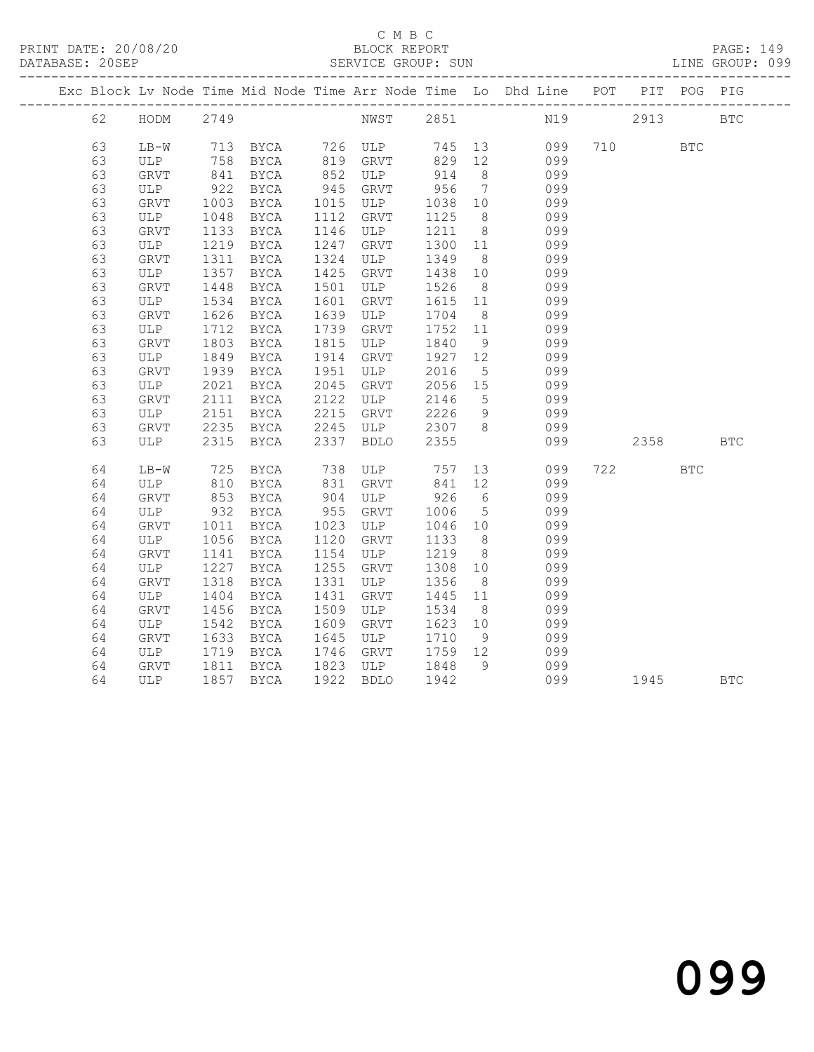#### C M B C<br>BLOCK REPORT SERVICE GROUP: SUN

PRINT DATE: 20/08/20 BLOCK REPORT PAGE: 149

|  |    |                                 |                                                                 |                                                              |      |             |         |                 | Exc Block Lv Node Time Mid Node Time Arr Node Time Lo Dhd Line POT PIT POG PIG |          |            |            |
|--|----|---------------------------------|-----------------------------------------------------------------|--------------------------------------------------------------|------|-------------|---------|-----------------|--------------------------------------------------------------------------------|----------|------------|------------|
|  | 62 | HODM 2749                       |                                                                 |                                                              |      |             |         |                 | NWST 2851 N19 2913 BTC                                                         |          |            |            |
|  | 63 | $LB-W$                          |                                                                 |                                                              |      |             |         |                 | 099                                                                            | 710      | <b>BTC</b> |            |
|  | 63 |                                 |                                                                 | LB-W 713 BYCA 726 ULP 745 13<br>ULP 758 BYCA 819 GRVT 829 12 |      |             |         |                 | 099                                                                            |          |            |            |
|  | 63 | GRVT                            | 841                                                             | BYCA                                                         |      | 852 ULP     | 914     | 8 <sup>8</sup>  | 099                                                                            |          |            |            |
|  | 63 | ULP                             |                                                                 | BYCA                                                         | 945  | GRVT        | 956     | $7\overline{ }$ | 099                                                                            |          |            |            |
|  | 63 | GRVT                            | $\begin{array}{c}\n 922 \\  \hline\n 100\n \end{array}$<br>1003 | <b>BYCA</b>                                                  |      | 1015 ULP    | 1038 10 |                 | 099                                                                            |          |            |            |
|  | 63 | ULP                             | 1048                                                            | BYCA                                                         | 1112 | GRVT        | 1125    | 8 <sup>8</sup>  | 099                                                                            |          |            |            |
|  | 63 | GRVT                            | 1133                                                            | <b>BYCA</b>                                                  | 1146 | ULP         | 1211    | 8 <sup>8</sup>  | 099                                                                            |          |            |            |
|  | 63 | ULP                             | 1219                                                            | BYCA                                                         | 1247 | GRVT        | 1300 11 |                 | 099                                                                            |          |            |            |
|  | 63 | GRVT                            | 1311                                                            | BYCA                                                         | 1324 | ULP         | 1349    | 8 <sup>8</sup>  | 099                                                                            |          |            |            |
|  | 63 | ULP                             | 1357                                                            | BYCA                                                         |      | 1425 GRVT   | 1438    | 10              | 099                                                                            |          |            |            |
|  | 63 | GRVT                            | 1448                                                            | BYCA                                                         | 1501 | ULP         | 1526    | 8 <sup>8</sup>  | 099                                                                            |          |            |            |
|  | 63 | ULP                             | 1534                                                            | BYCA                                                         | 1601 | GRVT        | 1615 11 |                 | 099                                                                            |          |            |            |
|  | 63 | GRVT                            | 1626                                                            | BYCA                                                         | 1639 | ULP         | 1704    | 8 <sup>1</sup>  | 099                                                                            |          |            |            |
|  | 63 | ULP                             | 1712                                                            | BYCA                                                         | 1739 | GRVT        | 1752    | 11              | 099                                                                            |          |            |            |
|  | 63 | GRVT                            | 1803                                                            | BYCA                                                         | 1815 | ULP         | 1840    | 9               | 099                                                                            |          |            |            |
|  | 63 | ULP                             | 1849                                                            | BYCA                                                         | 1914 | GRVT        | 1927 12 |                 | 099                                                                            |          |            |            |
|  | 63 | GRVT                            | 1939                                                            | BYCA                                                         | 1951 | ULP         | 2016    | $5^{\circ}$     | 099                                                                            |          |            |            |
|  | 63 | ULP                             | 2021                                                            | BYCA                                                         | 2045 | GRVT        | 2056 15 |                 | 099                                                                            |          |            |            |
|  | 63 | GRVT                            | 2111                                                            | BYCA                                                         | 2122 | ULP         | 2146    | $5\overline{)}$ | 099                                                                            |          |            |            |
|  | 63 | ULP                             | 2151                                                            | <b>BYCA</b>                                                  | 2215 | GRVT        | 2226    | 9               | 099                                                                            |          |            |            |
|  | 63 | GRVT                            | 2235                                                            | BYCA                                                         |      | 2245 ULP    | 2307 8  |                 | 099                                                                            |          |            |            |
|  | 63 | ULP                             | 2315                                                            | <b>BYCA</b>                                                  |      | 2337 BDLO   | 2355    |                 | 099                                                                            | 2358     |            | <b>BTC</b> |
|  | 64 | $LB-W$                          | 725                                                             | BYCA                                                         |      | 738 ULP 757 |         | 13              | 099                                                                            | 722      | <b>BTC</b> |            |
|  | 64 | ULP                             | 810                                                             | BYCA                                                         |      | 831 GRVT    | 841 12  |                 | 099                                                                            |          |            |            |
|  | 64 | GRVT                            | 853                                                             | BYCA                                                         | 904  | ULP         | 926     | $6\overline{6}$ | 099                                                                            |          |            |            |
|  | 64 | ULP                             | 932                                                             | BYCA                                                         | 955  | GRVT        | 1006    | $5\overline{)}$ | 099                                                                            |          |            |            |
|  | 64 | GRVT                            | 1011                                                            | BYCA                                                         |      | 1023 ULP    | 1046 10 |                 | 099                                                                            |          |            |            |
|  | 64 | ULP                             | 1056                                                            | BYCA                                                         | 1120 | GRVT        | 1133    | 8 <sup>8</sup>  | 099                                                                            |          |            |            |
|  | 64 | GRVT                            | 1141                                                            | BYCA                                                         | 1154 | ULP         | 1219    | 8 <sup>8</sup>  | 099                                                                            |          |            |            |
|  | 64 | ULP                             | 1227                                                            | BYCA                                                         | 1255 | GRVT        | 1308 10 |                 | 099                                                                            |          |            |            |
|  | 64 | GRVT                            | 1318                                                            | BYCA                                                         | 1331 | ULP         | 1356    | 8 <sup>8</sup>  | 099                                                                            |          |            |            |
|  | 64 | ULP                             | 1404                                                            | BYCA                                                         | 1431 | GRVT        | 1445 11 |                 | 099                                                                            |          |            |            |
|  | 64 | GRVT                            | 1456                                                            | BYCA                                                         | 1509 | ULP         | 1534    | 8 <sup>8</sup>  | 099                                                                            |          |            |            |
|  | 64 | ULP                             | 1542                                                            | BYCA                                                         | 1609 | GRVT        | 1623 10 |                 | 099                                                                            |          |            |            |
|  | 64 | GRVT                            | 1633                                                            | BYCA                                                         | 1645 | ULP         | 1710    | 9               | 099                                                                            |          |            |            |
|  | 64 | ULP                             | 1719                                                            | BYCA                                                         |      | 1746 GRVT   | 1759 12 |                 | 099                                                                            |          |            |            |
|  | 64 | GRVT 1811 BYCA<br>ULP 1857 BYCA |                                                                 | BYCA                                                         |      | 1823 ULP    | 1848    | 9               | 099                                                                            |          |            |            |
|  | 64 |                                 |                                                                 |                                                              |      | 1922 BDLO   | 1942    |                 | 099                                                                            | 1945 BTC |            |            |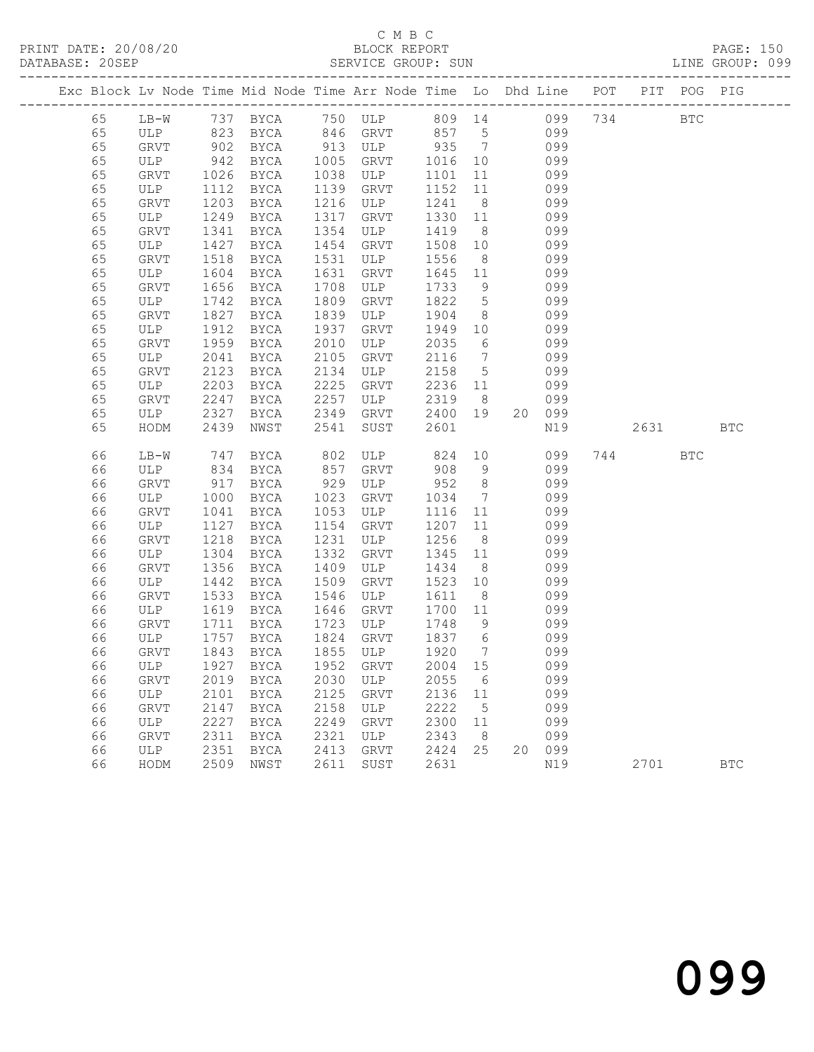|          |             |            | Exc Block Lv Node Time Mid Node Time Arr Node Time Lo Dhd Line POT |            |             |              |                 |    |            |      | PIT POG PIG  |            |
|----------|-------------|------------|--------------------------------------------------------------------|------------|-------------|--------------|-----------------|----|------------|------|--------------|------------|
| 65       | $LB-W$      |            | 737 BYCA 750 ULP 809 14 099 734                                    |            |             |              |                 |    |            |      | $_{\rm BTC}$ |            |
| 65       |             |            |                                                                    |            |             |              |                 |    | 099        |      |              |            |
| 65       |             |            |                                                                    |            |             |              |                 |    | 099        |      |              |            |
| 65       | ULP         | 942        | BYCA                                                               | 1005       | GRVT        | 1016 10      |                 |    | 099        |      |              |            |
| 65       | GRVT        | 1026       | BYCA                                                               | 1038       | ULP         | 1101         | 11              |    | 099        |      |              |            |
| 65       | ULP         | 1112       | BYCA                                                               | 1139       | GRVT        | 1152         | 11              |    | 099        |      |              |            |
| 65       | GRVT        | 1203       | BYCA                                                               | 1216       | ULP         | 1241         | 8 <sup>8</sup>  |    | 099        |      |              |            |
| 65       | ULP         | 1249       | BYCA                                                               | 1317       | GRVT        | 1330         | 11              |    | 099        |      |              |            |
| 65       | GRVT        | 1341       | BYCA                                                               | 1354       | ULP         | 1419         | 8 <sup>8</sup>  |    | 099        |      |              |            |
| 65       | ULP         | 1427       | BYCA                                                               | 1454       | GRVT        | 1508         | 10              |    | 099        |      |              |            |
| 65       | GRVT        | 1518       | BYCA                                                               | 1531       | ULP         | 1556         | 8 <sup>8</sup>  |    | 099        |      |              |            |
| 65       | ULP         | 1604       | BYCA                                                               | 1631       | GRVT        | 1645 11      |                 |    | 099        |      |              |            |
| 65       | GRVT        | 1656       | BYCA                                                               | 1708       | ULP         | 1733         | 9               |    | 099        |      |              |            |
| 65       | ULP         | 1742       | BYCA                                                               | 1809       | GRVT        | 1822         | 5 <sup>5</sup>  |    | 099        |      |              |            |
| 65       | GRVT        | 1827       | BYCA                                                               | 1839       | ULP         | 1904         | 8 <sup>8</sup>  |    | 099        |      |              |            |
| 65       | ULP         | 1912       | BYCA                                                               | 1937       | GRVT        | 1949         | 10              |    | 099        |      |              |            |
| 65       | GRVT        | 1959       | BYCA                                                               | 2010       | ULP         | 2035         | 6               |    | 099        |      |              |            |
| 65       | ULP         | 2041       | BYCA                                                               | 2105       | GRVT        | 2116         | $\overline{7}$  |    | 099        |      |              |            |
| 65       | GRVT        | 2123       | BYCA                                                               | 2134       | ULP         | 2158         | $5\overline{)}$ |    | 099        |      |              |            |
| 65       | ULP         | 2203       | BYCA                                                               | 2225       | GRVT        | 2236 11      |                 |    | 099        |      |              |            |
| 65       | GRVT        | 2247       | BYCA                                                               | 2257       | ULP         | 2319         | 8 <sup>8</sup>  |    | 099        |      |              |            |
| 65       | ULP         | 2327       | BYCA                                                               | 2349       | GRVT        | 2400         | 19              |    | 20 099     |      |              |            |
| 65       | HODM        | 2439       | NWST                                                               | 2541       | SUST        | 2601         |                 |    | N19        | 2631 |              | <b>BTC</b> |
|          |             |            |                                                                    |            |             |              |                 |    |            |      |              |            |
| 66<br>66 | LB-W        | 747<br>834 | BYCA                                                               | 802<br>857 | ULP<br>GRVT | 824<br>908   | 10<br>9         |    | 099<br>099 | 744  | <b>BTC</b>   |            |
| 66       | ULP<br>GRVT | 917        | BYCA                                                               | 929        | ULP         | 952          | 8 <sup>8</sup>  |    | 099        |      |              |            |
| 66       |             | 1000       | BYCA                                                               | 1023       | GRVT        |              | $7\overline{ }$ |    | 099        |      |              |            |
| 66       | ULP<br>GRVT | 1041       | BYCA<br>BYCA                                                       | 1053       | ULP         | 1034<br>1116 | 11              |    | 099        |      |              |            |
| 66       | ULP         | 1127       | BYCA                                                               | 1154       | GRVT        | 1207         | 11              |    | 099        |      |              |            |
| 66       | GRVT        | 1218       | BYCA                                                               | 1231       | ULP         | 1256         | 8 <sup>8</sup>  |    | 099        |      |              |            |
| 66       | ULP         | 1304       | BYCA                                                               | 1332       | GRVT        | 1345         | 11              |    | 099        |      |              |            |
| 66       | GRVT        | 1356       | BYCA                                                               | 1409       | ULP         | 1434         | 8 <sup>8</sup>  |    | 099        |      |              |            |
| 66       | ULP         | 1442       | BYCA                                                               | 1509       | GRVT        | 1523         | 10              |    | 099        |      |              |            |
| 66       | GRVT        | 1533       | BYCA                                                               | 1546       | ULP         | 1611         | 8 <sup>8</sup>  |    | 099        |      |              |            |
| 66       | ULP         | 1619       | BYCA                                                               | 1646       | GRVT        | 1700         | 11              |    | 099        |      |              |            |
| 66       | GRVT        | 1711       | BYCA                                                               | 1723       | ULP         | 1748         | 9               |    | 099        |      |              |            |
| 66       | ULP         | 1757       | BYCA                                                               | 1824       | GRVT        | 1837 6       |                 |    | 099        |      |              |            |
| 66       | GRVT        | 1843       | BYCA                                                               |            | 1855 ULP    | 1920         | $7\overline{ }$ |    | 099        |      |              |            |
|          |             |            | 66 ULP 1927 BYCA 1952 GRVT 2004 15                                 |            |             |              |                 |    | 099        |      |              |            |
| 66       | GRVT        | 2019       | BYCA                                                               | 2030       | ULP         | 2055         | 6               |    | 099        |      |              |            |
| 66       | ULP         | 2101       | BYCA                                                               | 2125       | GRVT        | 2136         | 11              |    | 099        |      |              |            |
| 66       | GRVT        | 2147       | <b>BYCA</b>                                                        | 2158       | ULP         | 2222         | 5               |    | 099        |      |              |            |
| 66       | ULP         | 2227       | BYCA                                                               | 2249       | GRVT        | 2300         | 11              |    | 099        |      |              |            |
| 66       | GRVT        | 2311       | <b>BYCA</b>                                                        | 2321       | ULP         | 2343         | 8               |    | 099        |      |              |            |
| 66       | ULP         | 2351       | <b>BYCA</b>                                                        | 2413       | <b>GRVT</b> | 2424         | 25              | 20 | 099        |      |              |            |
| 66       | HODM        | 2509       | NWST                                                               | 2611       | SUST        | 2631         |                 |    | N19        | 2701 |              | <b>BTC</b> |
|          |             |            |                                                                    |            |             |              |                 |    |            |      |              |            |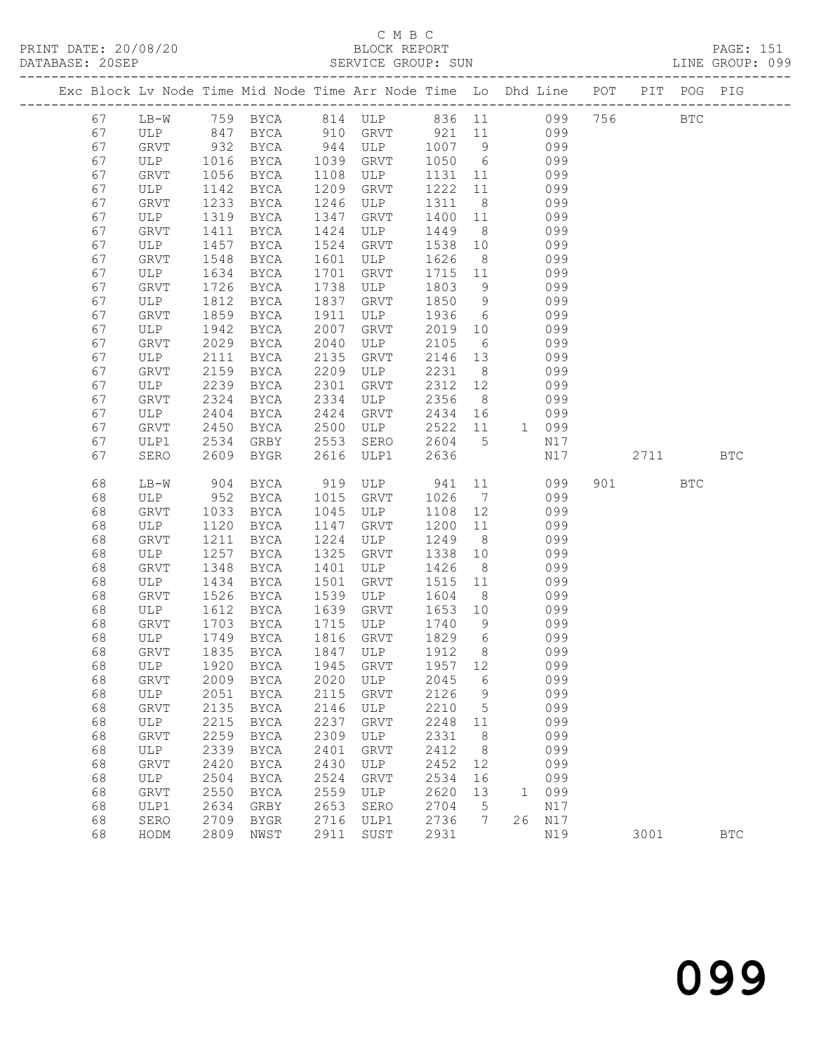#### C M B C<br>BLOCK REPORT SERVICE GROUP: SUN

|  |          |                                                  |              |                            |              | Exc Block Lv Node Time Mid Node Time Arr Node Time Lo Dhd Line POT PIT POG PIG |              |                |                     |     |      |              |            |
|--|----------|--------------------------------------------------|--------------|----------------------------|--------------|--------------------------------------------------------------------------------|--------------|----------------|---------------------|-----|------|--------------|------------|
|  | 67       | $LB-W$                                           |              |                            |              | 759 BYCA 814 ULP 836 11 099                                                    |              |                |                     |     | 756  | $_{\rm BTC}$ |            |
|  | 67       | ULP 847 BYCA                                     |              |                            |              | 910 GRVT                                                                       | 921          |                | 11<br>099           |     |      |              |            |
|  | 67       | $\frac{1}{\sqrt{1}}$<br>ULP $\frac{932}{10^{3}}$ |              | BYCA                       | 944          | ULP                                                                            | 1007 9       |                | 099                 |     |      |              |            |
|  | 67       |                                                  |              | BYCA                       | 1039         | GRVT                                                                           | 1050         | 6              | 099                 |     |      |              |            |
|  | 67       | GRVT                                             | 1056         | BYCA                       | 1108         | ULP                                                                            | 1131 11      |                | 099                 |     |      |              |            |
|  | 67       | ULP                                              | 1142         | BYCA                       | 1209         | GRVT                                                                           | 1222         | 11             | 099                 |     |      |              |            |
|  | 67       | <b>GRVT</b>                                      | 1233         | BYCA                       | 1246         | ULP                                                                            | 1311         | 8 <sup>8</sup> | 099                 |     |      |              |            |
|  | 67       | ULP                                              | 1319         | BYCA                       | 1347         | GRVT                                                                           | 1400         | 11             | 099                 |     |      |              |            |
|  | 67       | GRVT                                             | 1411         | BYCA                       | 1424         | ULP                                                                            | 1449         | 8 <sup>8</sup> | 099                 |     |      |              |            |
|  | 67       | ULP                                              | 1457         | BYCA                       | 1524         | GRVT                                                                           | 1538         | 10             | 099                 |     |      |              |            |
|  | 67       | <b>GRVT</b>                                      | 1548         | BYCA                       | 1601         | ULP                                                                            | 1626         | 8 <sup>8</sup> | 099                 |     |      |              |            |
|  | 67       | ULP                                              | 1634         | BYCA                       | 1701         | GRVT                                                                           | 1715         | 11             | 099                 |     |      |              |            |
|  | 67       | GRVT                                             | 1726         | BYCA                       | 1738         | ULP                                                                            | 1803         | 9              | 099                 |     |      |              |            |
|  | 67       | ULP                                              | 1812         | BYCA                       | 1837         | GRVT                                                                           | 1850         | 9              | 099                 |     |      |              |            |
|  | 67       | <b>GRVT</b>                                      | 1859         | BYCA                       | 1911         | ULP                                                                            | 1936         | 6              | 099                 |     |      |              |            |
|  | 67       | ULP                                              | 1942         | BYCA                       | 2007         | GRVT                                                                           | 2019         | 10             | 099                 |     |      |              |            |
|  | 67       | GRVT                                             | 2029         | BYCA                       | 2040         | ULP                                                                            | 2105         | 6              | 099                 |     |      |              |            |
|  | 67       | ULP                                              | 2111         | BYCA                       | 2135         | GRVT                                                                           | 2146         | 13             | 099                 |     |      |              |            |
|  | 67       | <b>GRVT</b>                                      | 2159         | BYCA                       | 2209         | ULP                                                                            | 2231         | 8 <sup>8</sup> | 099                 |     |      |              |            |
|  | 67       | ULP                                              | 2239         | BYCA                       | 2301         | GRVT                                                                           | 2312         | 12             | 099                 |     |      |              |            |
|  | 67       | <b>GRVT</b>                                      | 2324         | BYCA                       | 2334         | ULP                                                                            | 2356         | 8 <sup>8</sup> | 099                 |     |      |              |            |
|  | 67       | ULP                                              | 2404         | BYCA                       | 2424         | GRVT                                                                           | 2434         | 16             | 099                 |     |      |              |            |
|  | 67       | <b>GRVT</b>                                      | 2450         | BYCA                       | 2500         | ULP                                                                            | 2522         | 11             | 1 099               |     |      |              |            |
|  | 67       | ULP1                                             | 2534         | GRBY                       | 2553         | SERO                                                                           | 2604         | 5              | N17                 |     |      |              |            |
|  | 67       | SERO                                             | 2609         | BYGR                       | 2616         | ULP1                                                                           | 2636         |                | N17                 |     | 2711 |              | <b>BTC</b> |
|  | 68       | $LB-W$                                           | 904          | BYCA                       | 919          | ULP                                                                            | 941          | 11             | 099                 | 901 |      | <b>BTC</b>   |            |
|  | 68       | ULP                                              | 952          | BYCA                       | 1015         | GRVT                                                                           | 1026         | $\overline{7}$ | 099                 |     |      |              |            |
|  | 68       | GRVT                                             | 1033         | BYCA                       | 1045         | ULP                                                                            | 1108         | 12             | 099                 |     |      |              |            |
|  | 68       | ULP                                              | 1120         | BYCA                       | 1147         | GRVT                                                                           | 1200         | 11             | 099                 |     |      |              |            |
|  | 68       | <b>GRVT</b>                                      | 1211         | BYCA                       | 1224         | ULP                                                                            | 1249         | 8 <sup>8</sup> | 099                 |     |      |              |            |
|  | 68       | ULP                                              | 1257         | <b>BYCA</b>                | 1325         | GRVT                                                                           | 1338         | 10             | 099                 |     |      |              |            |
|  | 68       | GRVT                                             | 1348         | BYCA                       | 1401         | ULP                                                                            | 1426         | 8              | 099                 |     |      |              |            |
|  | 68       | ULP                                              | 1434         | BYCA                       | 1501         | GRVT                                                                           | 1515         | 11             | 099                 |     |      |              |            |
|  | 68       | GRVT                                             | 1526         | BYCA                       | 1539         | ULP                                                                            | 1604         | 8              | 099                 |     |      |              |            |
|  | 68       | ULP                                              | 1612         | BYCA                       | 1639         | GRVT                                                                           | 1653         | 10             | 099                 |     |      |              |            |
|  | 68       | GRVT                                             | 1703         | BYCA                       | 1715         | ULP                                                                            | 1740         | 9              | 099                 |     |      |              |            |
|  | 68       | ULP                                              | 1749         | BYCA                       | 1816         | GRVT                                                                           | 1829         | 6              | 099                 |     |      |              |            |
|  | 68       | GRVT                                             | 1835         | BYCA                       | 1847         | ULP                                                                            | 1912         | 8 <sup>8</sup> | 099                 |     |      |              |            |
|  | 68       | ULP                                              | 1920         | BYCA                       | 1945         | GRVT                                                                           | 1957 12      |                | 099                 |     |      |              |            |
|  | 68       | GRVT                                             | 2009         | <b>BYCA</b>                | 2020         | ULP                                                                            | 2045         | 6              | 099                 |     |      |              |            |
|  | 68       | ULP                                              | 2051         | <b>BYCA</b>                | 2115         | GRVT                                                                           | 2126         | 9              | 099                 |     |      |              |            |
|  | 68<br>68 | <b>GRVT</b>                                      | 2135<br>2215 | <b>BYCA</b>                | 2146<br>2237 | ULP                                                                            | 2210<br>2248 | 5<br>11        | 099<br>099          |     |      |              |            |
|  | 68       | ULP<br>GRVT                                      | 2259         | <b>BYCA</b><br><b>BYCA</b> | 2309         | GRVT<br>ULP                                                                    | 2331         | 8              | 099                 |     |      |              |            |
|  | 68       | ULP                                              | 2339         | <b>BYCA</b>                | 2401         | <b>GRVT</b>                                                                    | 2412         | 8              | 099                 |     |      |              |            |
|  | 68       | <b>GRVT</b>                                      | 2420         | <b>BYCA</b>                | 2430         | ULP                                                                            | 2452         | 12             | 099                 |     |      |              |            |
|  | 68       | ULP                                              | 2504         | <b>BYCA</b>                | 2524         | <b>GRVT</b>                                                                    | 2534         | 16             | 099                 |     |      |              |            |
|  | 68       | GRVT                                             | 2550         | <b>BYCA</b>                | 2559         | ULP                                                                            | 2620         | 13             | 099<br>$\mathbf{1}$ |     |      |              |            |
|  | 68       | ULP1                                             | 2634         | GRBY                       | 2653         | SERO                                                                           | 2704         | 5              | N17                 |     |      |              |            |
|  |          |                                                  |              |                            |              |                                                                                |              |                |                     |     |      |              |            |

68 SERO 2709 BYGR 2716 ULP1 2736 7 26 N17

68 HODM 2809 NWST 2911 SUST 2931 N19 3001 BTC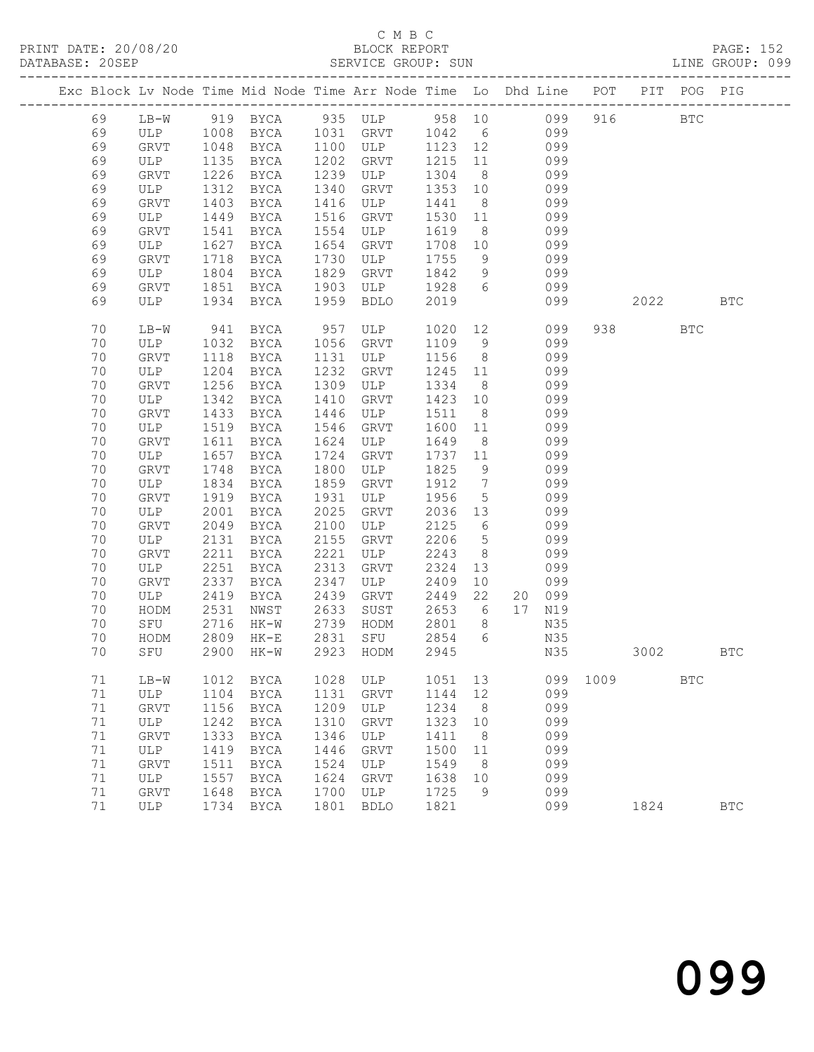### C M B C<br>BLOCK REPORT

PAGE: 152<br>LINE GROUP: 099

|  |        |              |      | Exc Block Lv Node Time Mid Node Time Arr Node Time Lo Dhd Line POT PIT POG PIG |      |             |            |                 |        |        |      |       |            |            |
|--|--------|--------------|------|--------------------------------------------------------------------------------|------|-------------|------------|-----------------|--------|--------|------|-------|------------|------------|
|  | 69     | $LB-W$       |      | 919 BYCA 935 ULP 958 10 099                                                    |      |             |            |                 |        |        | 916  |       | <b>BTC</b> |            |
|  | 69     | ULP 1008     |      | BYCA                                                                           |      | 1031 GRVT   | 1042 6 099 |                 |        |        |      |       |            |            |
|  | 69     | GRVT         | 1048 | BYCA                                                                           | 1100 | ULP         | 1123 12    |                 |        | 099    |      |       |            |            |
|  | 69     | ULP          | 1135 | BYCA                                                                           | 1202 | GRVT        | 1215       | 11              |        | 099    |      |       |            |            |
|  | 69     | GRVT         | 1226 | BYCA                                                                           | 1239 | ULP         | 1304       | 8 <sup>8</sup>  |        | 099    |      |       |            |            |
|  | 69     | ULP          | 1312 | BYCA                                                                           | 1340 | GRVT        | 1353       | 10              |        | 099    |      |       |            |            |
|  | 69     | GRVT         | 1403 | BYCA                                                                           | 1416 | ULP         | 1441       | 8 <sup>8</sup>  |        | 099    |      |       |            |            |
|  | 69     | ULP          | 1449 | BYCA                                                                           | 1516 | GRVT        | 1530       | 11              |        | 099    |      |       |            |            |
|  | 69     | GRVT         | 1541 | BYCA                                                                           | 1554 | ULP         | 1619       | 8 <sup>8</sup>  |        | 099    |      |       |            |            |
|  | 69     | ULP          | 1627 | BYCA                                                                           | 1654 | GRVT        | 1708       | 10              |        | 099    |      |       |            |            |
|  | 69     | GRVT         | 1718 | BYCA                                                                           | 1730 | ULP         | 1755       | 9               |        | 099    |      |       |            |            |
|  | 69     | ULP          | 1804 | BYCA                                                                           | 1829 | GRVT        | 1842       | 9               |        | 099    |      |       |            |            |
|  | 69     | GRVT         | 1851 | BYCA                                                                           | 1903 | ULP         | 1928       | 6               |        | 099    |      |       |            |            |
|  | 69     | ULP          | 1934 | BYCA                                                                           | 1959 | <b>BDLO</b> | 2019       |                 |        | 099    |      | 2022  |            | <b>BTC</b> |
|  |        |              |      |                                                                                |      |             |            |                 |        |        |      |       |            |            |
|  | 70     | LB-W         | 941  | BYCA                                                                           | 957  | ULP         | 1020       | 12              |        | 099    |      | 938 8 | <b>BTC</b> |            |
|  | 70     | ULP          | 1032 | BYCA                                                                           | 1056 | GRVT        | 1109       | 9               |        | 099    |      |       |            |            |
|  | 70     | <b>GRVT</b>  | 1118 | BYCA                                                                           | 1131 | ULP         | 1156       | 8 <sup>8</sup>  |        | 099    |      |       |            |            |
|  | 70     | ULP          | 1204 | BYCA                                                                           | 1232 | GRVT        | 1245       | 11              |        | 099    |      |       |            |            |
|  | 70     | GRVT         | 1256 | BYCA                                                                           | 1309 | ULP         | 1334       | 8 <sup>8</sup>  |        | 099    |      |       |            |            |
|  | 70     | ULP          | 1342 | BYCA                                                                           | 1410 | GRVT        | 1423       | 10              |        | 099    |      |       |            |            |
|  | 70     | GRVT         | 1433 | BYCA                                                                           | 1446 | ULP         | 1511       | 8 <sup>8</sup>  |        | 099    |      |       |            |            |
|  | 70     | ULP          | 1519 | BYCA                                                                           | 1546 | GRVT        | 1600       | 11              |        | 099    |      |       |            |            |
|  | 70     | <b>GRVT</b>  | 1611 | BYCA                                                                           | 1624 | ULP         | 1649       | 8               |        | 099    |      |       |            |            |
|  | 70     | ULP          | 1657 | BYCA                                                                           | 1724 | GRVT        | 1737       | 11              |        | 099    |      |       |            |            |
|  | 70     | GRVT         | 1748 | BYCA                                                                           | 1800 | ULP         | 1825       | 9               |        | 099    |      |       |            |            |
|  | 70     | ULP          | 1834 | BYCA                                                                           | 1859 | GRVT        | 1912       | $\overline{7}$  |        | 099    |      |       |            |            |
|  | 70     | GRVT         | 1919 | BYCA                                                                           | 1931 | ULP         | 1956       | $5\overline{)}$ |        | 099    |      |       |            |            |
|  | 70     | ULP          | 2001 | BYCA                                                                           | 2025 | GRVT        | 2036       | 13              |        | 099    |      |       |            |            |
|  | 70     | GRVT         | 2049 | BYCA                                                                           | 2100 | ULP         | 2125       | 6               |        | 099    |      |       |            |            |
|  | 70     | ULP          | 2131 | BYCA                                                                           | 2155 | GRVT        | 2206       | $5\overline{)}$ |        | 099    |      |       |            |            |
|  | 70     | GRVT         | 2211 | <b>BYCA</b>                                                                    | 2221 | ULP         | 2243       | 8               |        | 099    |      |       |            |            |
|  | 70     | ULP          | 2251 | BYCA                                                                           | 2313 | GRVT        | 2324       | 13              |        | 099    |      |       |            |            |
|  | 70     | GRVT         | 2337 | BYCA                                                                           | 2347 | ULP         | 2409       | 10              |        | 099    |      |       |            |            |
|  | 70     | ULP          | 2419 | BYCA                                                                           | 2439 | GRVT        | 2449       | 22              |        | 20 099 |      |       |            |            |
|  | 70     | HODM         | 2531 | NWST                                                                           | 2633 | SUST        | 2653       | 6               | 17 N19 |        |      |       |            |            |
|  | 70     | SFU          | 2716 | HK-W                                                                           | 2739 | HODM        | 2801       | 8               |        | N35    |      |       |            |            |
|  | 70     | HODM         | 2809 | HK-E                                                                           | 2831 | SFU         | 2854       | 6               |        | N35    |      |       |            |            |
|  | 70     | SFU          | 2900 | HK-W                                                                           | 2923 | HODM        | 2945       |                 |        | N35    |      | 3002  |            | <b>BTC</b> |
|  | 71     | $LB-W$       | 1012 | BYCA                                                                           | 1028 | ULP         | 1051       | 13              |        | 099    | 1009 |       | <b>BTC</b> |            |
|  | 71     | ULP          | 1104 | <b>BYCA</b>                                                                    | 1131 | GRVT        | 1144       | 12              |        | 099    |      |       |            |            |
|  | 71     | GRVT         | 1156 | <b>BYCA</b>                                                                    | 1209 | ULP         | 1234       | 8               |        | 099    |      |       |            |            |
|  | 71     | ULP          | 1242 | <b>BYCA</b>                                                                    | 1310 | GRVT        | 1323       | 10              |        | 099    |      |       |            |            |
|  | 71     | GRVT         | 1333 | <b>BYCA</b>                                                                    | 1346 | ULP         | 1411       | 8               |        | 099    |      |       |            |            |
|  | 71     | $_{\rm ULP}$ | 1419 | <b>BYCA</b>                                                                    | 1446 | GRVT        | 1500       | 11              |        | 099    |      |       |            |            |
|  | 71     | GRVT         | 1511 | <b>BYCA</b>                                                                    | 1524 | ULP         | 1549       | 8               |        | 099    |      |       |            |            |
|  | $71\,$ | ULP          | 1557 | <b>BYCA</b>                                                                    | 1624 | GRVT        | 1638       | 10              |        | 099    |      |       |            |            |
|  | 71     | GRVT         | 1648 | BYCA                                                                           | 1700 | ULP         | 1725       | 9               |        | 099    |      |       |            |            |
|  | 71     | ULP          | 1734 | <b>BYCA</b>                                                                    | 1801 | <b>BDLO</b> | 1821       |                 |        | 099    |      | 1824  |            | <b>BTC</b> |
|  |        |              |      |                                                                                |      |             |            |                 |        |        |      |       |            |            |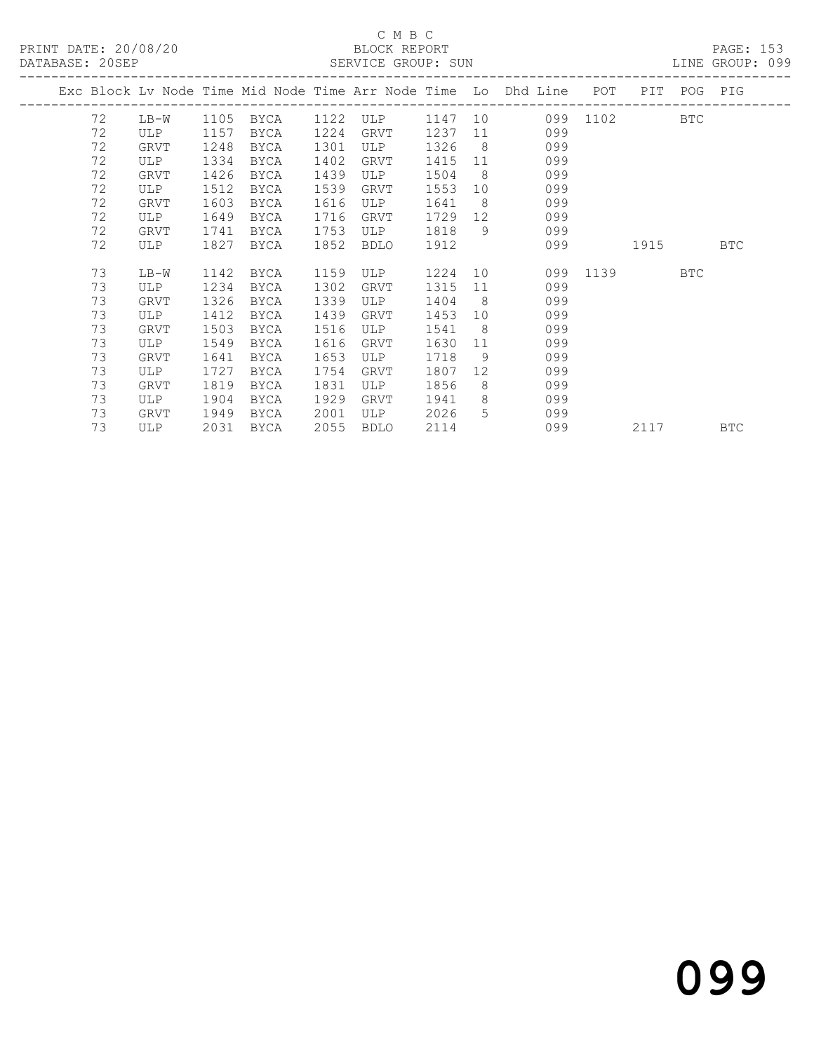### C M B C<br>BLOCK REPORT

|    |        |      | ------------------------------ |      |      |         |                | Exc Block Lv Node Time Mid Node Time Arr Node Time Lo Dhd Line POT PIT POG PIG |          |          |            |  |
|----|--------|------|--------------------------------|------|------|---------|----------------|--------------------------------------------------------------------------------|----------|----------|------------|--|
| 72 | $LB-W$ |      | 1105 BYCA 1122 ULP             |      |      |         |                | 1147 10 099 1102 BTC                                                           |          |          |            |  |
| 72 | ULP    | 1157 | BYCA                           | 1224 | GRVT |         |                | 1237 11 099                                                                    |          |          |            |  |
| 72 | GRVT   | 1248 | BYCA                           | 1301 | ULP  | 1326    |                | $8 - 8$<br>099                                                                 |          |          |            |  |
| 72 | ULP    | 1334 | BYCA                           | 1402 | GRVT | 1415 11 |                | 099                                                                            |          |          |            |  |
| 72 | GRVT   | 1426 | BYCA                           | 1439 | ULP  | 1504    |                | $8\overline{)}$<br>099                                                         |          |          |            |  |
| 72 | ULP    | 1512 | BYCA                           | 1539 | GRVT | 1553    |                | 099<br>10                                                                      |          |          |            |  |
| 72 | GRVT   | 1603 | BYCA                           | 1616 | ULP  | 1641 8  |                | 099                                                                            |          |          |            |  |
| 72 | ULP    | 1649 | BYCA                           | 1716 | GRVT | 1729 12 |                | 099                                                                            |          |          |            |  |
| 72 | GRVT   | 1741 | BYCA                           | 1753 | ULP  | 1818    | 9              | 099                                                                            |          |          |            |  |
| 72 | ULP    | 1827 | BYCA                           | 1852 | BDLO | 1912    |                | 099                                                                            | 1915 BTC |          |            |  |
| 73 | LB-W   | 1142 | BYCA                           | 1159 | ULP  | 1224 10 |                |                                                                                | 099 1139 |          | <b>BTC</b> |  |
| 73 | ULP    | 1234 | BYCA                           | 1302 | GRVT | 1315    | 11             | 099                                                                            |          |          |            |  |
| 73 | GRVT   | 1326 | BYCA                           | 1339 | ULP  | 1404    |                | 8 <sup>1</sup><br>099                                                          |          |          |            |  |
| 73 | ULP    | 1412 | BYCA                           | 1439 | GRVT | 1453    | 10             | 099                                                                            |          |          |            |  |
| 73 | GRVT   | 1503 | BYCA                           | 1516 | ULP  | 1541    | 8 <sup>1</sup> | 099                                                                            |          |          |            |  |
| 73 | ULP    | 1549 | BYCA                           | 1616 | GRVT | 1630    |                | 099<br>11 \,                                                                   |          |          |            |  |
| 73 | GRVT   | 1641 | BYCA                           | 1653 | ULP  | 1718    | 9              | 099                                                                            |          |          |            |  |
| 73 | ULP    | 1727 | BYCA                           | 1754 | GRVT | 1807    |                | 12<br>099                                                                      |          |          |            |  |
| 73 | GRVT   | 1819 | BYCA                           | 1831 | ULP  | 1856    |                | $8 - 8$<br>099                                                                 |          |          |            |  |
| 73 | ULP    | 1904 | BYCA                           | 1929 | GRVT | 1941 8  |                | 099                                                                            |          |          |            |  |
| 73 | GRVT   | 1949 | BYCA                           | 2001 | ULP  | 2026    |                | $5 - 5$<br>099                                                                 |          |          |            |  |
| 73 | ULP    |      | 2031 BYCA                      | 2055 | BDLO | 2114    |                | 099                                                                            |          | 2117 BTC |            |  |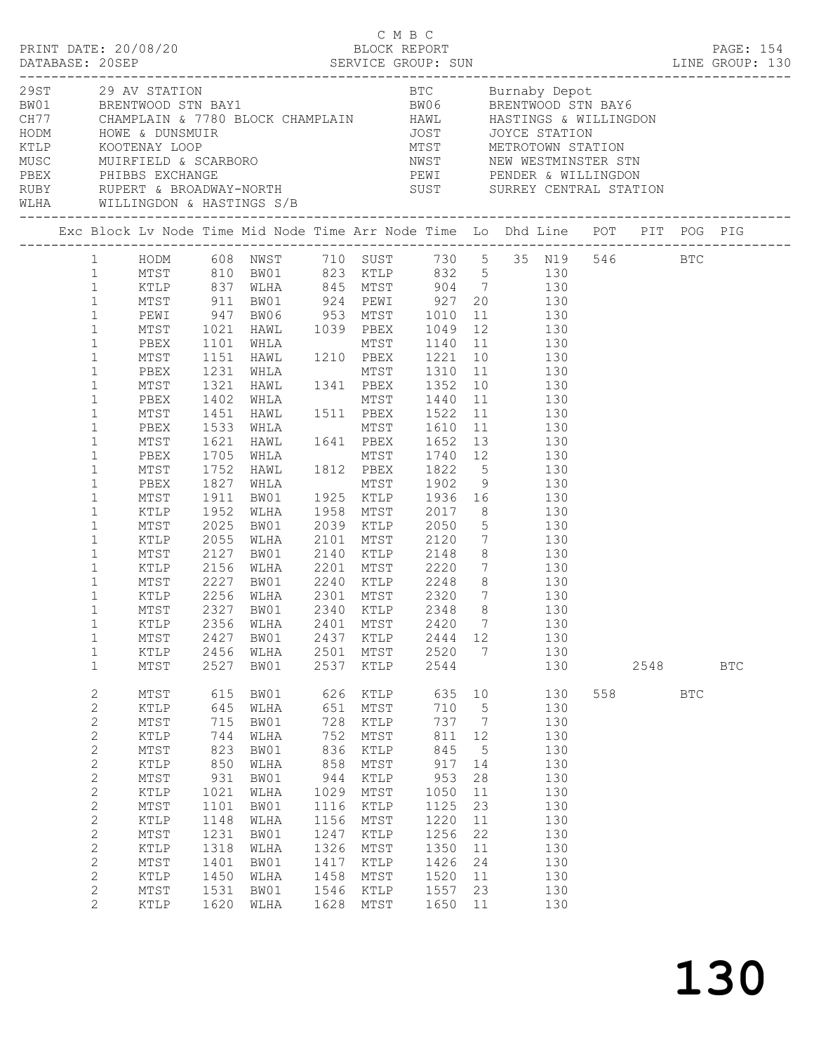|              | 1 HODM 608 NWST 710 SUST 730 5 35 N19 546 BTC |              |                                          |      |           |         |                 |                                                                                                             |        |            |            |  |
|--------------|-----------------------------------------------|--------------|------------------------------------------|------|-----------|---------|-----------------|-------------------------------------------------------------------------------------------------------------|--------|------------|------------|--|
| 1            | MTST 810 BW01 823 KTLP 832 5 130              |              |                                          |      |           |         |                 |                                                                                                             |        |            |            |  |
| $\mathbf{1}$ |                                               |              |                                          |      |           |         |                 |                                                                                                             |        |            |            |  |
| $\mathbf{1}$ |                                               |              |                                          |      |           |         |                 | XTLP 837 WLHA 845 MTST 904 7 130<br>MTST 911 BW01 924 PEWI 927 20 130<br>PEWI 947 BW06 953 MTST 1010 11 130 |        |            |            |  |
| $\mathbf{1}$ |                                               |              |                                          |      |           |         |                 |                                                                                                             |        |            |            |  |
| $\mathbf{1}$ | MTST 1021                                     |              |                                          |      |           |         |                 | HAWL 1039 PBEX 1049 12 130                                                                                  |        |            |            |  |
|              |                                               |              |                                          |      |           |         |                 |                                                                                                             |        |            |            |  |
| $\mathbf{1}$ | PBEX                                          | 1101         |                                          |      |           |         |                 | MTST 1140 11 130                                                                                            |        |            |            |  |
| $\mathbf 1$  | MTST                                          | 1151         | WHLA MTST<br>HAWL 1210 PBEX<br>WHLA MTST |      |           |         |                 | PBEX 1221 10 130<br>MTST 1310 11 130                                                                        |        |            |            |  |
| $\mathbf 1$  | PBEX                                          | 1231         |                                          |      |           |         |                 |                                                                                                             |        |            |            |  |
| $\mathbf{1}$ | MTST                                          | 1321         |                                          |      |           |         |                 | HAWL 1341 PBEX 1352 10 130                                                                                  |        |            |            |  |
| $\mathbf 1$  | PBEX                                          | 1402         |                                          |      |           |         |                 | WHLA MTST 1440 11 130<br>HAWL 1511 PBEX 1522 11 130<br>WHLA MTST 1610 11 130<br>HAWL 1641 PBEX 1652 13 130  |        |            |            |  |
| $\mathbf{1}$ | MTST                                          | 1451         |                                          |      |           |         |                 |                                                                                                             |        |            |            |  |
| $\mathbf{1}$ | PBEX                                          | 1533         |                                          |      |           |         |                 |                                                                                                             |        |            |            |  |
| $\mathbf 1$  | MTST                                          | 1621         |                                          |      |           |         |                 |                                                                                                             |        |            |            |  |
| $\mathbf{1}$ | PBEX                                          | 1705         |                                          |      |           |         |                 | MTST 1740 12 130                                                                                            |        |            |            |  |
| $\mathbf 1$  | MTST                                          | 1752         | WHLA MTST<br>HAWL 1812 PBEX              |      |           |         |                 | 1812 PBEX 1822 5 130<br>130 MHLA MTST 1902 9 130<br>130 BW01 1925 KTLP 1936 16 130                          |        |            |            |  |
| $\mathbf 1$  | PBEX                                          | 1827         |                                          |      |           |         |                 |                                                                                                             |        |            |            |  |
| $\mathbf 1$  | MTST                                          | 1911         |                                          |      |           |         |                 |                                                                                                             |        |            |            |  |
| $\mathbf{1}$ | KTLP                                          | 1952         | WLHA                                     |      |           |         |                 | 1958 MTST 2017 8 130                                                                                        |        |            |            |  |
| $\mathbf{1}$ | MTST                                          | 2025         | BW01                                     |      | 2039 KTLP |         |                 | 2050 5 130                                                                                                  |        |            |            |  |
| $\mathbf 1$  | KTLP                                          | 2055         | WLHA                                     |      |           |         |                 |                                                                                                             |        |            |            |  |
| $\mathbf{1}$ | MTST                                          | 2127         | BW01                                     |      |           |         |                 | 2101 MTST 2120 7 130<br>2140 KTLP 2148 8 130                                                                |        |            |            |  |
| $\mathbf{1}$ | KTLP                                          | 2156         | WLHA                                     |      |           |         |                 | 2201 MTST 2220 7 130                                                                                        |        |            |            |  |
|              |                                               |              |                                          |      |           |         |                 |                                                                                                             |        |            |            |  |
| $\mathbf{1}$ | MTST                                          | 2227         | BW01                                     |      |           |         |                 | 2240 KTLP 2248 8 130                                                                                        |        |            |            |  |
| $\mathbf{1}$ | KTLP                                          | 2256<br>2327 | WLHA                                     |      |           |         |                 | 2301 MTST      2320     7             130<br>2340    KTLP        2348      8               130              |        |            |            |  |
| $\mathbf{1}$ | MTST                                          | 2327         | BW01                                     |      |           |         |                 |                                                                                                             |        |            |            |  |
| 1            | KTLP                                          |              |                                          |      |           |         |                 | 2356 WLHA 2401 MTST 2420 7 130                                                                              |        |            |            |  |
| $\mathbf 1$  | MTST                                          | 2427         | BW01                                     | 2437 | KTLP      | 2444 12 |                 | 130                                                                                                         |        |            |            |  |
| $\mathbf 1$  | KTLP                                          | 2456         | WLHA                                     |      | 2501 MTST | 2520    | $\overline{7}$  | 130                                                                                                         |        |            |            |  |
| $\mathbf{1}$ | $\mathtt{MTST}$                               | 2527         | BW01                                     | 2537 | KTLP      | 2544    |                 | 130                                                                                                         |        | 2548       | <b>BTC</b> |  |
| $\mathbf{2}$ | MTST                                          | 615          | BW01                                     | 626  | KTLP      | 635     | 10              | 130                                                                                                         | 558 30 | <b>BTC</b> |            |  |
| $\mathbf{2}$ | KTLP                                          | 645          | WLHA                                     | 651  | MTST      | 710     | $5\overline{)}$ | 130                                                                                                         |        |            |            |  |
| $\mathbf{2}$ | MTST                                          | 715          | BW01                                     | 728  | KTLP      | 737     | $\overline{7}$  | 130                                                                                                         |        |            |            |  |
| $\mathbf{2}$ | KTLP                                          | 744          | WLHA                                     | 752  | MTST      | 811     | 12              | 130                                                                                                         |        |            |            |  |
| $\mathbf{2}$ | $\mathtt{MTST}$                               | 823          | BW01                                     | 836  | KTLP      | 845     | $5^{\circ}$     | 130                                                                                                         |        |            |            |  |
| $\mathbf{2}$ | KTLP                                          | 850          | WLHA                                     | 858  | MTST      | 917     | 14              | 130                                                                                                         |        |            |            |  |
|              |                                               |              |                                          |      |           |         |                 |                                                                                                             |        |            |            |  |
| $\mathbf{2}$ | MTST                                          | 931          | BW01                                     | 944  | KTLP      | 953     | 28              | 130                                                                                                         |        |            |            |  |
| $\mathbf{2}$ | KTLP                                          | 1021         | WLHA                                     | 1029 | MTST      | 1050    | 11              | 130                                                                                                         |        |            |            |  |
| $\mathbf{2}$ | MTST                                          | 1101         | BW01                                     | 1116 | KTLP      | 1125    | 23              | 130                                                                                                         |        |            |            |  |
| $\mathbf{2}$ | KTLP                                          | 1148         | WLHA                                     | 1156 | MTST      | 1220    | 11              | 130                                                                                                         |        |            |            |  |
| $\sqrt{2}$   | MTST                                          | 1231         | BW01                                     | 1247 | KTLP      | 1256    | 22              | 130                                                                                                         |        |            |            |  |
| $\sqrt{2}$   | KTLP                                          | 1318         | WLHA                                     | 1326 | MTST      | 1350    | 11              | 130                                                                                                         |        |            |            |  |
| $\mathbf{2}$ | MTST                                          | 1401         | BW01                                     | 1417 | KTLP      | 1426    | 24              | 130                                                                                                         |        |            |            |  |
| $\mathbf{2}$ | KTLP                                          | 1450         | WLHA                                     | 1458 | MTST      | 1520    | 11              | 130                                                                                                         |        |            |            |  |
| $\mathbf{2}$ | MTST                                          | 1531         | BW01                                     | 1546 | KTLP      | 1557    | 23              | 130                                                                                                         |        |            |            |  |
| $\mathbf{2}$ | KTLP                                          | 1620         | WLHA                                     | 1628 | MTST      | 1650    | 11              | 130                                                                                                         |        |            |            |  |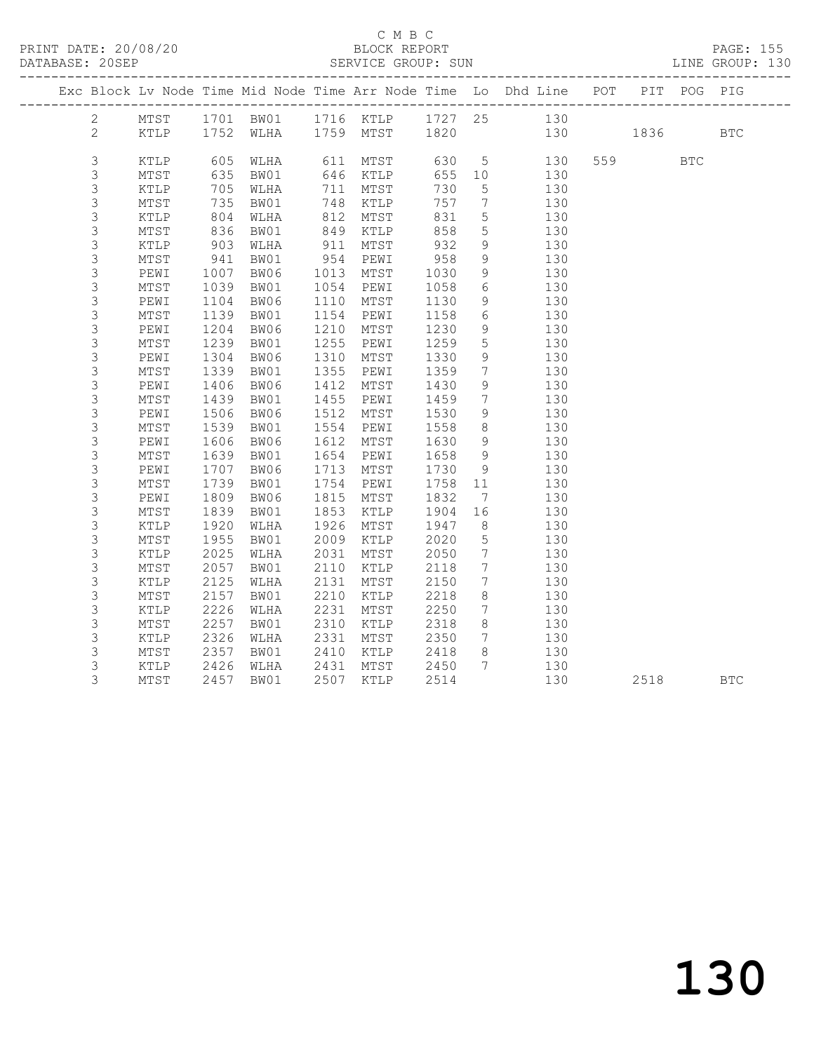### C M B C<br>BLOCK REPORT

| DATABASE: 20SEP |                 |            |                             |      |                |      |                              |                                                                                |          |            | LINE GROUP: 130 |
|-----------------|-----------------|------------|-----------------------------|------|----------------|------|------------------------------|--------------------------------------------------------------------------------|----------|------------|-----------------|
|                 |                 |            |                             |      |                |      |                              | Exc Block Lv Node Time Mid Node Time Arr Node Time Lo Dhd Line POT PIT POG PIG |          |            |                 |
| 2               | MTST            |            | 1701 BW01 1716 KTLP 1727 25 |      |                |      |                              | 130                                                                            |          |            |                 |
| $\overline{2}$  | KTLP            |            | 1752 WLHA                   |      | 1759 MTST 1820 |      |                              |                                                                                | 130 1836 |            | <b>BTC</b>      |
| 3               | KTLP            | 605        | WLHA                        |      | 611 MTST       | 630  | $5\overline{)}$              | 130                                                                            | 559 35   | <b>BTC</b> |                 |
| $\mathsf S$     | MTST            | 635        | BW01                        |      | 646 KTLP       | 655  | 10                           | 130                                                                            |          |            |                 |
| $\mathfrak{Z}$  | KTLP            | 705        | WLHA                        | 711  | MTST           | 730  | $5\overline{)}$              | 130                                                                            |          |            |                 |
| 3               | MTST            | 735        | BW01                        | 748  | KTLP           | 757  | 7                            | 130                                                                            |          |            |                 |
| $\mathsf S$     | KTLP            | 804        | WLHA                        | 812  | MTST           | 831  | $5\overline{)}$              | 130                                                                            |          |            |                 |
| $\mathfrak{Z}$  | MTST            | 836        | BW01                        | 849  | KTLP           | 858  | 5                            | 130                                                                            |          |            |                 |
| $\mathsf S$     | KTLP            |            | WLHA                        | 911  | MTST           | 932  | 9                            | 130                                                                            |          |            |                 |
| $\mathsf S$     | MTST            | 903<br>941 | BW01                        |      | 954 PEWI       | 958  | 9                            | 130                                                                            |          |            |                 |
| 3               | PEWI            | 1007       | BW06                        | 1013 | MTST           | 1030 | 9                            | 130                                                                            |          |            |                 |
| 3               | MTST            | 1039       | BW01                        | 1054 | PEWI           | 1058 | 6                            | 130                                                                            |          |            |                 |
| $\mathsf S$     | PEWI            | 1104       | BW06                        |      | 1110 MTST      | 1130 | 9                            | 130                                                                            |          |            |                 |
| 3               | MTST            | 1139       | BW01                        | 1154 | PEWI           | 1158 | 6                            | 130                                                                            |          |            |                 |
| $\mathsf S$     | PEWI            | 1204       | BW06                        | 1210 | MTST           | 1230 | 9                            | 130                                                                            |          |            |                 |
| $\mathsf S$     | MTST            | 1239       | BW01                        | 1255 | PEWI           | 1259 | $5\overline{)}$              | 130                                                                            |          |            |                 |
| 3               | PEWI            | 1304       | BW06                        | 1310 | MTST           | 1330 | 9                            | 130                                                                            |          |            |                 |
| 3               | MTST            | 1339       | BW01                        | 1355 | PEWI           | 1359 | $7\overline{ }$              | 130                                                                            |          |            |                 |
| $\mathsf S$     | PEWI            | 1406       | BW06                        | 1412 | MTST           | 1430 | 9                            | 130                                                                            |          |            |                 |
| $\mathfrak{Z}$  | MTST            | 1439       | BW01                        | 1455 | PEWI           | 1459 | $7\phantom{0}$               | 130                                                                            |          |            |                 |
| $\mathsf S$     | PEWI            | 1506       | BW06                        | 1512 | MTST           | 1530 | 9                            | 130                                                                            |          |            |                 |
| $\mathsf S$     | MTST            | 1539       | BW01                        | 1554 | PEWI           | 1558 | 8 <sup>8</sup>               | 130                                                                            |          |            |                 |
| $\mathfrak{Z}$  | PEWI            | 1606       | BW06                        | 1612 | MTST           | 1630 | 9                            | 130                                                                            |          |            |                 |
| 3               | MTST            | 1639       | BW01                        | 1654 | PEWI           | 1658 | 9                            | 130                                                                            |          |            |                 |
| $\mathsf S$     | PEWI            | 1707       | BW06                        | 1713 | MTST           | 1730 | 9                            | 130                                                                            |          |            |                 |
| $\mathsf 3$     | MTST            | 1739       | BW01                        | 1754 | PEWI           | 1758 | 11                           | 130                                                                            |          |            |                 |
| 3               | PEWI            | 1809       | BW06                        | 1815 | MTST           | 1832 | $7\phantom{.0}\phantom{.0}7$ | 130                                                                            |          |            |                 |
| $\mathsf 3$     | MTST            | 1839       | BW01                        | 1853 | KTLP           | 1904 | 16                           | 130                                                                            |          |            |                 |
| $\mathfrak{Z}$  | KTLP            | 1920       | WLHA                        | 1926 | MTST           | 1947 | 8 <sup>8</sup>               | 130                                                                            |          |            |                 |
| 3               | $\mathtt{MTST}$ | 1955       | BW01                        | 2009 | KTLP           | 2020 | $5\phantom{.0}$              | 130                                                                            |          |            |                 |
| $\mathsf S$     | KTLP            | 2025       | WLHA                        | 2031 | MTST           | 2050 | $7\overline{ }$              | 130                                                                            |          |            |                 |
| 3               | MTST            | 2057       | BW01                        | 2110 | KTLP           | 2118 | $7\phantom{0}$               | 130                                                                            |          |            |                 |
| 3               | KTLP            | 2125       | WLHA                        | 2131 | MTST           | 2150 | $7\phantom{.0}$              | 130                                                                            |          |            |                 |
| 3               | MTST            | 2157       | BW01                        | 2210 | KTLP           | 2218 | 8                            | 130                                                                            |          |            |                 |
| 3               | KTLP            | 2226       | WLHA                        | 2231 | MTST           | 2250 | $7\phantom{.0}$              | 130                                                                            |          |            |                 |
| 3               | MTST            | 2257       | BW01                        | 2310 | KTLP           | 2318 | 8                            | 130                                                                            |          |            |                 |
| 3               | KTLP            | 2326       | WLHA                        | 2331 | MTST           | 2350 | $7\overline{ }$              | 130                                                                            |          |            |                 |
| 3               | MTST            | 2357       | BW01                        |      | 2410 KTLP      | 2418 | 8                            | 130                                                                            |          |            |                 |
| 3               | KTLP            | 2426       | WLHA                        |      | 2431 MTST      | 2450 | 7 <sup>7</sup>               | 130                                                                            |          |            |                 |
| 3               | MTST            | 2457       | BW01                        |      | 2507 KTLP      | 2514 |                              | 130                                                                            | 2518     |            | <b>BTC</b>      |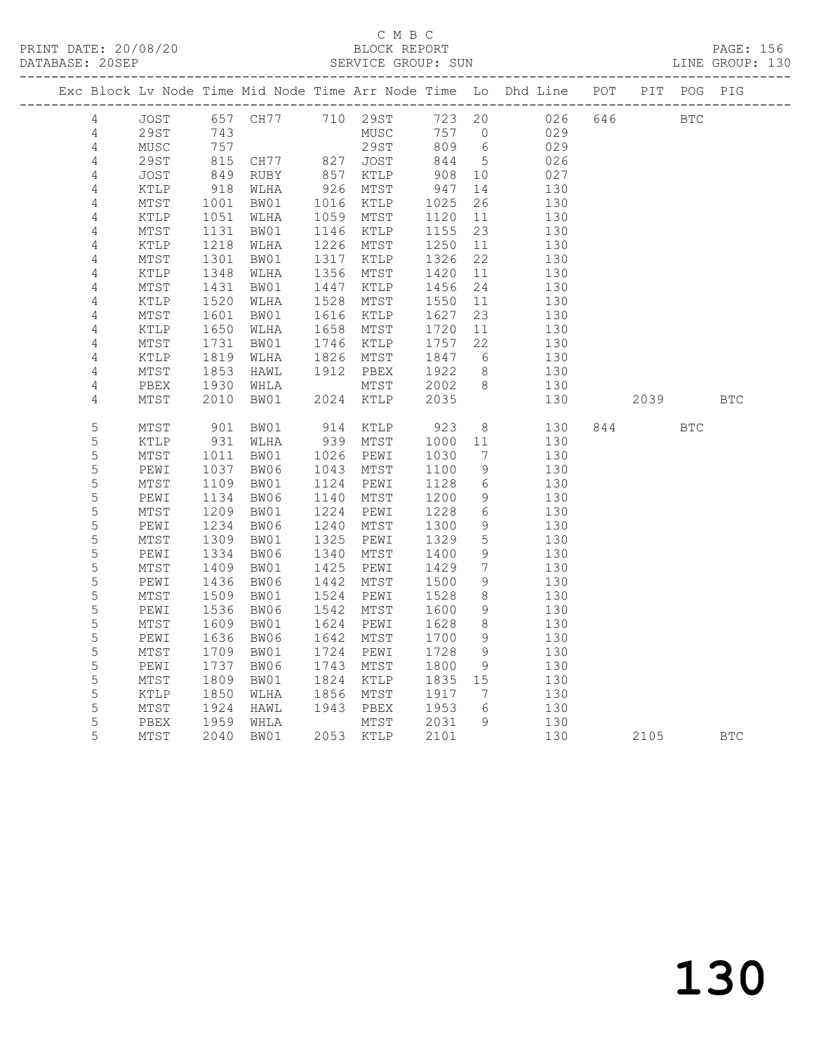|  |                  |                         |                 |                                |              |              |              |                | Exc Block Lv Node Time Mid Node Time Arr Node Time Lo Dhd Line POT PIT POG PIG |     |            |            |            |
|--|------------------|-------------------------|-----------------|--------------------------------|--------------|--------------|--------------|----------------|--------------------------------------------------------------------------------|-----|------------|------------|------------|
|  | 4                | JOST                    |                 | 657 CH77 710 29ST              |              |              | 723 20       |                | 026                                                                            | 646 | <b>BTC</b> |            |            |
|  | 4                | 29ST                    | 743             |                                |              | MUSC         | 757 0        |                | 029                                                                            |     |            |            |            |
|  | $\overline{4}$   | MUSC                    | 757             |                                |              | 29ST         | 809          | 6              | 029                                                                            |     |            |            |            |
|  | $\sqrt{4}$       | <b>29ST</b>             | 815<br>849      | CH77 827 JOST<br>RUBY 857 KTLP |              |              | 844<br>908   | $5^{\circ}$    | 026                                                                            |     |            |            |            |
|  | 4                | JOST                    |                 |                                |              |              |              | 10             | 027                                                                            |     |            |            |            |
|  | $\overline{4}$   | KTLP                    | $918$<br>$1001$ | WLHA                           | 926          | MTST         | 947          | 14             | 130                                                                            |     |            |            |            |
|  | $\sqrt{4}$       | MTST                    | 1001            | BW01                           | 1016         | KTLP         | 1025         | 26             | 130                                                                            |     |            |            |            |
|  | 4                | KTLP                    | 1051            | WLHA                           | 1059         | MTST         | 1120         | 11             | 130                                                                            |     |            |            |            |
|  | $\sqrt{4}$       | MTST                    | 1131            | BW01                           | 1226         | 1146 KTLP    | 1155         | 23             | 130                                                                            |     |            |            |            |
|  | 4<br>4           | KTLP<br>$\mathtt{MTST}$ | 1218<br>1301    | WLHA<br>BW01                   | 1317         | MTST<br>KTLP | 1250<br>1326 | 11<br>22       | 130<br>130                                                                     |     |            |            |            |
|  | $\overline{4}$   | KTLP                    | 1348            | WLHA                           | 1356         | MTST         | 1420         | 11             | 130                                                                            |     |            |            |            |
|  | 4                | MTST                    | 1431            | BW01                           | 1447         | KTLP         | 1456         | 24             | 130                                                                            |     |            |            |            |
|  | 4                | KTLP                    | 1520            | WLHA                           | 1528         | MTST         | 1550         | 11             | 130                                                                            |     |            |            |            |
|  | 4                | MTST                    | 1601            | BW01                           | 1616         | KTLP         | 1627         | 23             | 130                                                                            |     |            |            |            |
|  | 4                | KTLP                    | 1650            | WLHA                           | 1658         | MTST         | 1720         | 11             | 130                                                                            |     |            |            |            |
|  | $\overline{4}$   | MTST                    | 1731            | BW01                           | 1746         | KTLP         | 1757         | 22             | 130                                                                            |     |            |            |            |
|  | 4                | KTLP                    | 1819            | WLHA                           | 1826         | MTST         | 1847         | 6              | 130                                                                            |     |            |            |            |
|  | 4                | MTST                    | 1853            | HAWL                           | 1912         | PBEX         | 1922         | 8 <sup>8</sup> | 130                                                                            |     |            |            |            |
|  | $\overline{4}$   | PBEX                    | 1930            | WHLA                           |              | MTST         | 2002         | 8 <sup>8</sup> | 130                                                                            |     |            |            |            |
|  | 4                | MTST                    | 2010            | BW01                           | 2024         | KTLP         | 2035         |                | 130                                                                            |     | 2039 — 203 |            | <b>BTC</b> |
|  |                  |                         |                 |                                |              |              |              |                |                                                                                |     |            |            |            |
|  | $\mathsf S$      | MTST                    | 901             | BW01                           |              | 914 KTLP     | 923          | 8              | 130                                                                            |     | 844        | <b>BTC</b> |            |
|  | 5                | KTLP                    | 931             | WLHA                           | 939          | MTST         | 1000         | 11             | 130                                                                            |     |            |            |            |
|  | $\mathsf S$      | MTST                    | 1011            | BW01                           | 1026         | PEWI         | 1030         | 7              | 130                                                                            |     |            |            |            |
|  | 5                | PEWI                    | 1037            | BW06                           | 1043         | MTST         | 1100         | 9              | 130                                                                            |     |            |            |            |
|  | 5                | MTST                    | 1109            | BW01                           | 1124         | PEWI         | 1128         | 6              | 130                                                                            |     |            |            |            |
|  | $\mathsf S$      | PEWI                    | 1134            | BW06                           | 1140         | MTST         | 1200         | 9              | 130                                                                            |     |            |            |            |
|  | 5                | $\mathtt{MTST}$         | 1209            | BW01                           | 1224         | PEWI         | 1228         | $6\,$          | 130                                                                            |     |            |            |            |
|  | $\mathsf S$      | PEWI                    | 1234            | BW06                           | 1240         | MTST         | 1300         | 9              | 130                                                                            |     |            |            |            |
|  | 5<br>$\mathsf S$ | MTST                    | 1309<br>1334    | BW01                           | 1325<br>1340 | PEWI         | 1329<br>1400 | 5<br>9         | 130<br>130                                                                     |     |            |            |            |
|  | $\mathsf S$      | PEWI<br>MTST            | 1409            | BW06<br>BW01                   | 1425         | MTST<br>PEWI | 1429         | 7              | 130                                                                            |     |            |            |            |
|  | $\mathsf S$      | PEWI                    | 1436            | BW06                           | 1442         | MTST         | 1500         | 9              | 130                                                                            |     |            |            |            |
|  | 5                | MTST                    | 1509            | BW01                           | 1524         | PEWI         | 1528         | 8              | 130                                                                            |     |            |            |            |
|  | $\mathsf S$      | PEWI                    | 1536            | BW06                           | 1542         | MTST         | 1600         | 9              | 130                                                                            |     |            |            |            |
|  | 5                | MTST                    | 1609            | BW01                           | 1624         | PEWI         | 1628         | 8              | 130                                                                            |     |            |            |            |
|  | 5                | PEWI                    | 1636            | BW06                           | 1642         | MTST         | 1700         | 9              | 130                                                                            |     |            |            |            |
|  | $\mathsf S$      | MTST                    | 1709            | BW01                           | 1724         | PEWI         | 1728         | 9              | 130                                                                            |     |            |            |            |
|  | 5                | PEWI                    | 1737            | BW06                           | 1743         | MTST         | 1800         | 9              | 130                                                                            |     |            |            |            |
|  | 5                | MTST                    | 1809            | BW01                           | 1824         | KTLP         | 1835 15      |                | 130                                                                            |     |            |            |            |
|  | 5                | KTLP                    | 1850            | WLHA                           | 1856         | MTST         | 1917         | $\overline{7}$ | 130                                                                            |     |            |            |            |
|  | $\mathsf S$      | MTST                    | 1924            | HAWL                           |              | 1943 PBEX    | 1953         | 6              | 130                                                                            |     |            |            |            |
|  | $\mathsf S$      | PBEX                    | 1959            | WHLA                           |              | MTST         | 2031         | - 9            | 130                                                                            |     |            |            |            |
|  | 5                | MTST                    |                 | 2040 BW01                      |              | 2053 KTLP    | 2101         |                | 130                                                                            |     | 2105       |            | <b>BTC</b> |
|  |                  |                         |                 |                                |              |              |              |                |                                                                                |     |            |            |            |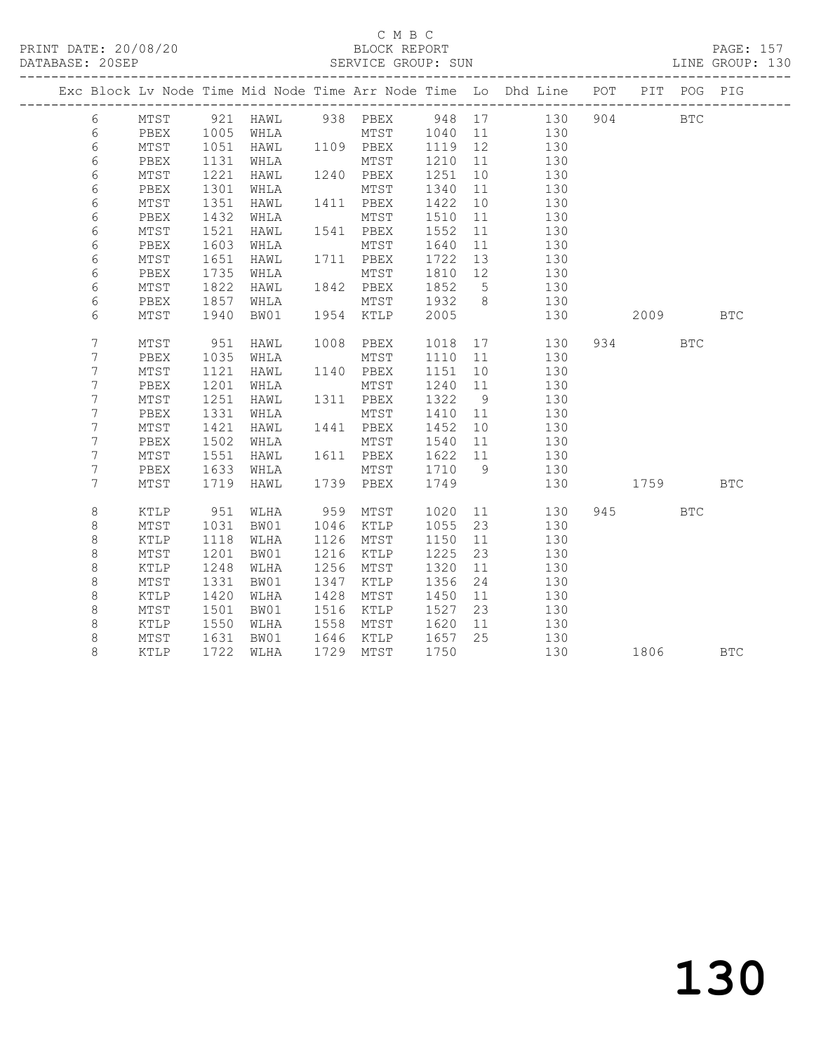|  |         |              |              |              |      |              |              |                       | Exc Block Lv Node Time Mid Node Time Arr Node Time Lo Dhd Line POT PIT POG PIG |     |                                                                                                              |              |            |
|--|---------|--------------|--------------|--------------|------|--------------|--------------|-----------------------|--------------------------------------------------------------------------------|-----|--------------------------------------------------------------------------------------------------------------|--------------|------------|
|  | 6       | MTST         |              | 921 HAWL     |      | 938 PBEX     |              |                       | 948 17<br>130                                                                  | 904 |                                                                                                              | $_{\rm BTC}$ |            |
|  | 6       | PBEX         | 1005         | WHLA         |      | MTST         | 1040         | 11                    | 130                                                                            |     |                                                                                                              |              |            |
|  | 6       | MTST         | 1051         | HAWL         |      | 1109 PBEX    | 1119         | 12                    | 130                                                                            |     |                                                                                                              |              |            |
|  | 6       | PBEX         | 1131         | WHLA         |      | MTST         | 1210         | 11                    | 130                                                                            |     |                                                                                                              |              |            |
|  | 6       | MTST         | 1221         | HAWL         |      | 1240 PBEX    | 1251         | 10 <sub>o</sub>       | 130                                                                            |     |                                                                                                              |              |            |
|  | 6       | PBEX         | 1301         | WHLA         |      | MTST         | 1340         | 11                    | 130                                                                            |     |                                                                                                              |              |            |
|  | 6       | MTST         | 1351         | HAWL         |      | 1411 PBEX    | 1422         | 10                    | 130                                                                            |     |                                                                                                              |              |            |
|  | 6       | PBEX         | 1432         | WHLA         |      | MTST         | 1510         | 11                    | 130                                                                            |     |                                                                                                              |              |            |
|  | 6       | MTST         | 1521         | HAWL         |      | 1541 PBEX    | 1552         | 11                    | 130                                                                            |     |                                                                                                              |              |            |
|  | 6       | PBEX         | 1603         | WHLA         |      | MTST         | 1640         | 11                    | 130                                                                            |     |                                                                                                              |              |            |
|  | 6       | MTST         | 1651         | HAWL         |      | 1711 PBEX    | 1722         | 13                    | 130                                                                            |     |                                                                                                              |              |            |
|  | 6       | PBEX         | 1735         | WHLA         |      | MTST         | 1810         | 12                    | 130                                                                            |     |                                                                                                              |              |            |
|  | 6       | MTST         | 1822         | HAWL         |      | 1842 PBEX    | 1852         | $5^{\circ}$           | 130                                                                            |     |                                                                                                              |              |            |
|  | 6       | PBEX         | 1857         | WHLA         |      | MTST         | 1932         | 8 <sup>8</sup>        | 130                                                                            |     |                                                                                                              |              |            |
|  | 6       | MTST         | 1940         | BW01         | 1954 | KTLP         | 2005         |                       | 130                                                                            |     | 2009                                                                                                         |              | <b>BTC</b> |
|  |         |              |              |              |      |              |              |                       |                                                                                |     |                                                                                                              |              |            |
|  | 7       | MTST         | 951          | HAWL         | 1008 | PBEX         | 1018         |                       | 130                                                                            |     | 934                                                                                                          | <b>BTC</b>   |            |
|  | 7<br>7  | PBEX         | 1035         | WHLA         | 1140 | MTST         | 1110         | 11<br>10 <sup>°</sup> | 130<br>130                                                                     |     |                                                                                                              |              |            |
|  | 7       | MTST<br>PBEX | 1121<br>1201 | HAWL<br>WHLA |      | PBEX<br>MTST | 1151<br>1240 | 11                    | 130                                                                            |     |                                                                                                              |              |            |
|  | 7       | MTST         | 1251         | HAWL         |      | 1311 PBEX    | 1322         | 9                     | 130                                                                            |     |                                                                                                              |              |            |
|  | 7       | PBEX         | 1331         | WHLA         |      | MTST         | 1410         | 11                    | 130                                                                            |     |                                                                                                              |              |            |
|  | 7       | MTST         | 1421         | HAWL         |      | 1441 PBEX    | 1452         | 10                    | 130                                                                            |     |                                                                                                              |              |            |
|  | 7       | PBEX         | 1502         | WHLA         |      | MTST         | 1540         | 11                    | 130                                                                            |     |                                                                                                              |              |            |
|  | 7       | MTST         | 1551         | HAWL         |      | 1611 PBEX    | 1622         | 11                    | 130                                                                            |     |                                                                                                              |              |            |
|  | 7       | PBEX         | 1633         | WHLA         |      | MTST         | 1710         | 9                     | 130                                                                            |     |                                                                                                              |              |            |
|  | 7       | MTST         | 1719         | HAWL         |      | 1739 PBEX    | 1749         |                       | 130                                                                            |     | 1759 — 1759 — 1759 — 1759 — 1759 — 1759 — 1759 — 1759 — 1759 — 1759 — 1759 — 1759 — 1759 — 1759 — 1759 — 175 |              | <b>BTC</b> |
|  |         |              |              |              |      |              |              |                       |                                                                                |     |                                                                                                              |              |            |
|  | 8       | <b>KTLP</b>  | 951          | WLHA         | 959  | MTST         | 1020         | 11                    | 130                                                                            |     | 945 — 100                                                                                                    | <b>BTC</b>   |            |
|  | $\,8\,$ | MTST         | 1031         | BW01         | 1046 | KTLP         | 1055         | 23                    | 130                                                                            |     |                                                                                                              |              |            |
|  | 8       | KTLP         | 1118         | WLHA         | 1126 | MTST         | 1150         | 11                    | 130                                                                            |     |                                                                                                              |              |            |
|  | $\,8\,$ | MTST         | 1201         | BW01         | 1216 | KTLP         | 1225         | 23                    | 130                                                                            |     |                                                                                                              |              |            |
|  | $\,8\,$ | KTLP         | 1248         | WLHA         | 1256 | MTST         | 1320         | 11                    | 130                                                                            |     |                                                                                                              |              |            |
|  | $\,8\,$ | MTST         | 1331         | BW01         | 1347 | KTLP         | 1356         | 24                    | 130                                                                            |     |                                                                                                              |              |            |
|  | $\,8\,$ | KTLP         | 1420         | WLHA         | 1428 | MTST         | 1450         | 11                    | 130                                                                            |     |                                                                                                              |              |            |
|  | $\,8\,$ | MTST         | 1501         | BW01         | 1516 | KTLP         | 1527         | 23                    | 130                                                                            |     |                                                                                                              |              |            |
|  | $\,8\,$ | KTLP         | 1550         | WLHA         | 1558 | MTST         | 1620         | 11                    | 130                                                                            |     |                                                                                                              |              |            |
|  | $\,8\,$ | MTST         | 1631         | BW01         | 1646 | KTLP         | 1657         | 25                    | 130                                                                            |     |                                                                                                              |              |            |
|  | 8       | KTLP         | 1722         | WLHA         | 1729 | MTST         | 1750         |                       | 130                                                                            |     | 1806 180                                                                                                     |              | <b>BTC</b> |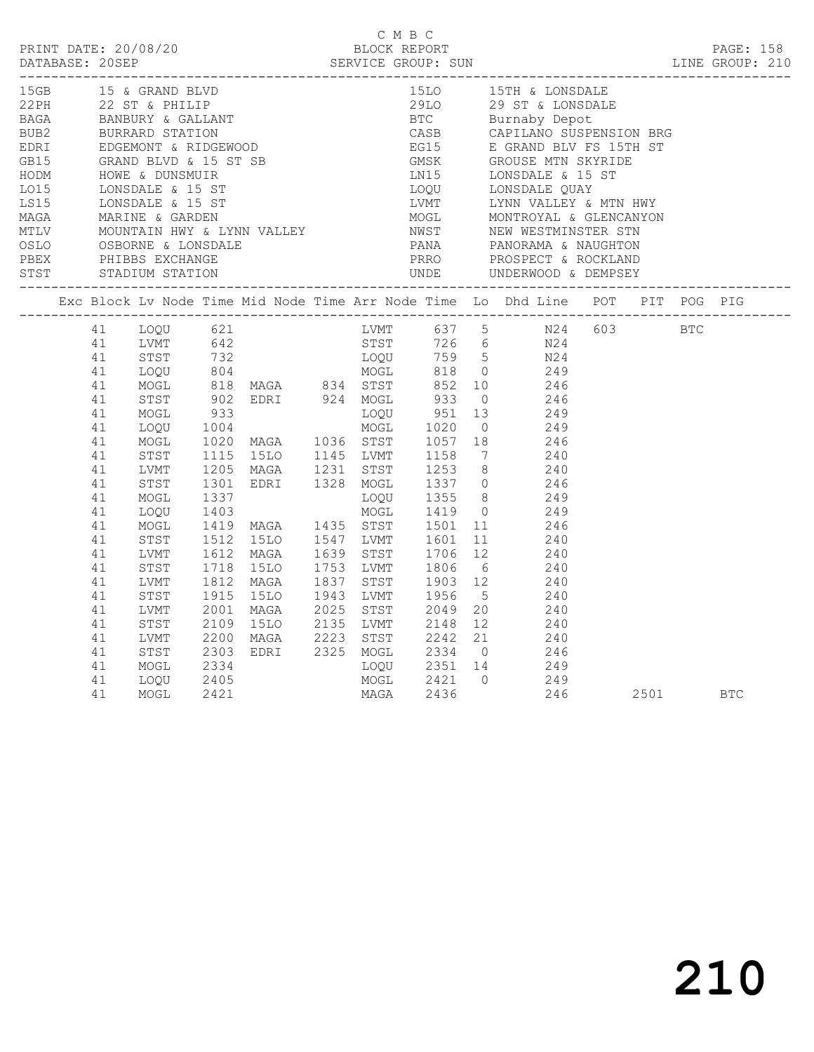| 15LO 15TH & LONSDALE<br>15GB 15 & GRAND BLVD<br>Exc Block Lv Node Time Mid Node Time Arr Node Time Lo Dhd Line POT PIT POG PIG<br>1205 MAGA 1231 STST 1253 8 240<br>1301 EDRI 1328 MOGL 1337 0 246<br>1337 LOQU 1355 8 249<br>1403 MOGL 1419 0 249<br>1419 MAGA 1435 STST 1501 11 246<br>1512 15LO 1547 LVMT 1601 11 240<br>1612 MAGA 1639 STST 1706 12 240<br>1718 15LO 1753<br>41<br>STST<br>41<br>MOGL<br>41<br>LOOU<br>MOGL<br>41<br>41<br>STST<br>41<br>LVMT<br>41<br>STST<br>41<br>LVMT<br>STST<br>41<br>1915 1520 1943 2017 1956 5 240<br>2001 MAGA 2025 STST 2049 20 240<br>2109 1520 2135 LVMT 2148 12 240<br>2200 MAGA 2223 STST 2242 21 240<br>2303 EDRI 2325 MOGL 2334 0 246<br>2334 2000 2351 14 249<br>41<br>LVMT<br>41<br>STST<br>41<br>LVMT<br>41<br>STST<br>41<br>MOGL<br>MOGL 2421 0 249<br>MAGA 2436 246<br>41<br>LOQU<br>2405 |  |  |  | C M B C |  |  |  |  |
|---------------------------------------------------------------------------------------------------------------------------------------------------------------------------------------------------------------------------------------------------------------------------------------------------------------------------------------------------------------------------------------------------------------------------------------------------------------------------------------------------------------------------------------------------------------------------------------------------------------------------------------------------------------------------------------------------------------------------------------------------------------------------------------------------------------------------------------------------|--|--|--|---------|--|--|--|--|
|                                                                                                                                                                                                                                                                                                                                                                                                                                                                                                                                                                                                                                                                                                                                                                                                                                                   |  |  |  |         |  |  |  |  |
|                                                                                                                                                                                                                                                                                                                                                                                                                                                                                                                                                                                                                                                                                                                                                                                                                                                   |  |  |  |         |  |  |  |  |
| 2501 BTC<br>41<br>MOGL<br>2421<br>246                                                                                                                                                                                                                                                                                                                                                                                                                                                                                                                                                                                                                                                                                                                                                                                                             |  |  |  |         |  |  |  |  |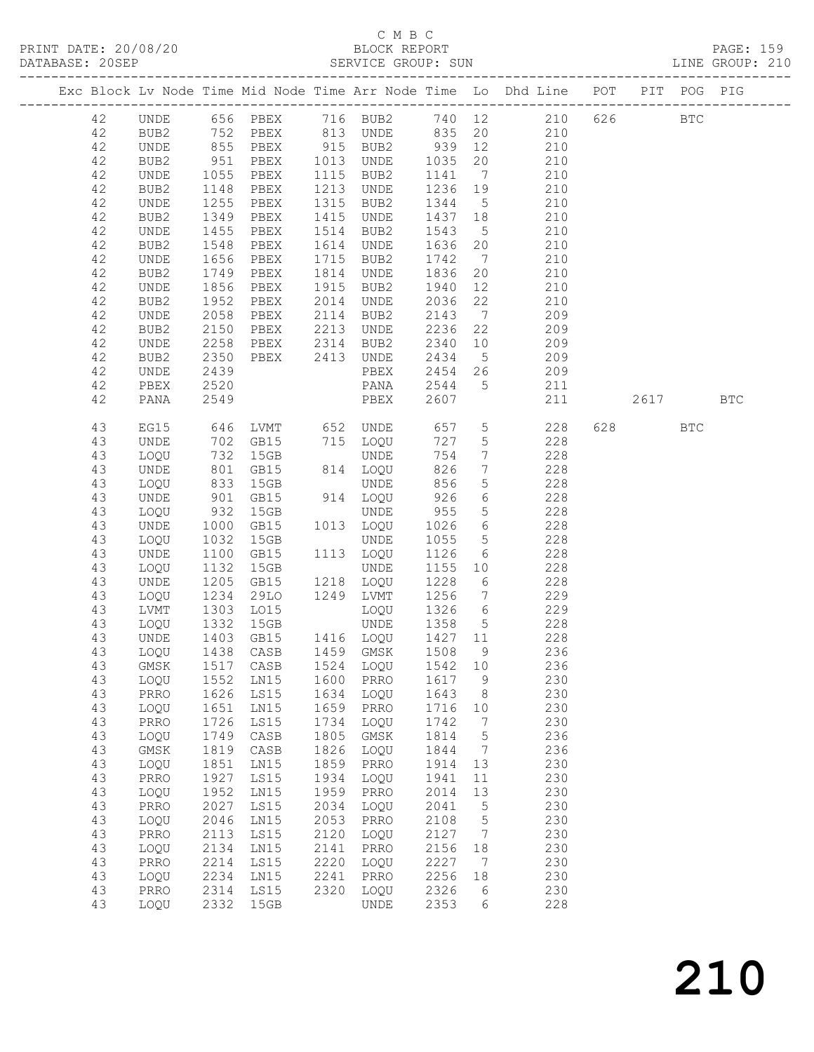### C M B C<br>BLOCK REPORT

| DATABASE: 20SEP |    |             |              |                                  |                                                                            | SERVICE GROUP: SUN  |                                                                     |                              |                                                                                                  |                        |            | LINE GROUP: 210 |  |
|-----------------|----|-------------|--------------|----------------------------------|----------------------------------------------------------------------------|---------------------|---------------------------------------------------------------------|------------------------------|--------------------------------------------------------------------------------------------------|------------------------|------------|-----------------|--|
|                 |    |             |              |                                  |                                                                            |                     |                                                                     |                              | Exc Block Lv Node Time Mid Node Time Arr Node Time Lo Dhd Line POT PIT POG PIG                   |                        |            |                 |  |
|                 | 42 |             |              |                                  |                                                                            |                     |                                                                     |                              | UNDE 656 PBEX 716 BUB2 740 12 210 626 BTC                                                        |                        |            |                 |  |
|                 | 42 | BUB2        |              |                                  |                                                                            |                     |                                                                     |                              | 752 PBEX 813 UNDE 835 20 210                                                                     |                        |            |                 |  |
|                 | 42 | UNDE        |              |                                  |                                                                            |                     |                                                                     |                              |                                                                                                  |                        |            |                 |  |
|                 | 42 | BUB2        |              |                                  |                                                                            |                     |                                                                     |                              | 855 PBEX 915 BUB2 939 12 210<br>951 PBEX 1013 UNDE 1035 20 210<br>1055 PBEX 1115 BUB2 1141 7 210 |                        |            |                 |  |
|                 | 42 | UNDE        |              |                                  |                                                                            |                     |                                                                     |                              |                                                                                                  |                        |            |                 |  |
|                 | 42 | BUB2        | 1148         | PBEX                             |                                                                            | 1213 UNDE           | 1236 19                                                             |                              | 210                                                                                              |                        |            |                 |  |
|                 | 42 | UNDE        | 1255         | PBEX                             |                                                                            | 1315 BUB2           | 1344 5                                                              |                              |                                                                                                  |                        |            |                 |  |
|                 | 42 |             |              | PBEX                             |                                                                            | 1415 UNDE           | 1437 18                                                             |                              | 210<br>210                                                                                       |                        |            |                 |  |
|                 |    | BUB2        | 1349<br>1455 |                                  |                                                                            |                     |                                                                     |                              |                                                                                                  |                        |            |                 |  |
|                 | 42 | UNDE        |              | PBEX                             |                                                                            | 1514 BUB2           | 1543                                                                | $5\overline{)}$              | 210<br>210                                                                                       |                        |            |                 |  |
|                 | 42 | BUB2        | 1548         | PBEX                             |                                                                            | 1614 UNDE           | 1636 20                                                             |                              |                                                                                                  |                        |            |                 |  |
|                 | 42 | UNDE        | 1656         | PBEX                             |                                                                            | 1715 BUB2           | 1742                                                                | $7\overline{)}$              | 210                                                                                              |                        |            |                 |  |
|                 | 42 | BUB2        | 1749<br>1856 | PBEX                             |                                                                            | 1814 UNDE           | 1836 20                                                             |                              | 210                                                                                              |                        |            |                 |  |
|                 | 42 | UNDE        |              | PBEX                             |                                                                            | 1915 BUB2           | 1940                                                                | 12                           | 210                                                                                              |                        |            |                 |  |
|                 | 42 | BUB2        | 1952         | PBEX                             |                                                                            | 2014 UNDE           | 2036                                                                | 22                           | 210                                                                                              |                        |            |                 |  |
|                 | 42 | UNDE        | 2058         | PBEX                             |                                                                            | 2114 BUB2           | 2143                                                                |                              | 7 209                                                                                            |                        |            |                 |  |
|                 | 42 | BUB2        | 2150<br>2258 | PBEX 2213 UNDE<br>PBEX 2314 BUB2 |                                                                            |                     | 2236                                                                | 22                           | 209                                                                                              |                        |            |                 |  |
|                 | 42 | UNDE        |              |                                  |                                                                            |                     | $\begin{array}{ccc}\n 2340 & 10 \\ \hline\n 0.65 & 10\n\end{array}$ |                              | 209                                                                                              |                        |            |                 |  |
|                 | 42 | BUB2        | 2350         | PBEX 2413 UNDE                   |                                                                            |                     |                                                                     |                              | 2434 5 209                                                                                       |                        |            |                 |  |
|                 | 42 | UNDE        | 2439         |                                  |                                                                            | PBEX                |                                                                     |                              | 2454 26 209                                                                                      |                        |            |                 |  |
|                 | 42 | PBEX        | 2520         |                                  |                                                                            | PANA                | 2544 5                                                              |                              | 211                                                                                              |                        |            |                 |  |
|                 | 42 | PANA        | 2549         |                                  |                                                                            | PBEX                | 2607                                                                |                              | 211                                                                                              | 2617                   |            | <b>BTC</b>      |  |
|                 | 43 | EG15        | 646          |                                  |                                                                            | LVMT 652 UNDE 657 5 |                                                                     |                              | 228                                                                                              | 628 and $\overline{a}$ | <b>BTC</b> |                 |  |
|                 | 43 | UNDE        |              |                                  |                                                                            | 715 LOQU            | 727                                                                 | 5 <sup>5</sup>               | 228                                                                                              |                        |            |                 |  |
|                 | 43 | LOQU        |              | 702 GB15<br>732 15GB<br>801 GB15 | $\begin{array}{c} \n\lambda \downarrow \\ \lambda \downarrow\n\end{array}$ | UNDE                | 754                                                                 | $7\overline{ }$              | 228                                                                                              |                        |            |                 |  |
|                 | 43 | UNDE        |              | GB15                             |                                                                            | 814 LOQU            | 826                                                                 | $7\overline{ }$              | 228                                                                                              |                        |            |                 |  |
|                 | 43 | LOQU        | 833          | 15GB                             |                                                                            | UNDE                | 856                                                                 | 5 <sup>5</sup>               | 228                                                                                              |                        |            |                 |  |
|                 | 43 | UNDE        |              | GB15                             |                                                                            | 914 LOQU            | 926                                                                 | $6\overline{6}$              | 228                                                                                              |                        |            |                 |  |
|                 | 43 | LOQU        | 901<br>932   | 15GB                             |                                                                            | UNDE                | 955                                                                 | $5\overline{)}$              | 228                                                                                              |                        |            |                 |  |
|                 | 43 |             | 1000         | GB15                             |                                                                            |                     | 1026                                                                | $6\overline{6}$              | 228                                                                                              |                        |            |                 |  |
|                 |    | UNDE        |              |                                  |                                                                            | 1013 LOQU           |                                                                     |                              |                                                                                                  |                        |            |                 |  |
|                 | 43 | LOQU        | 1032         | 15GB                             |                                                                            | UNDE                | 1055                                                                | 5 <sup>5</sup>               | 228                                                                                              |                        |            |                 |  |
|                 | 43 | UNDE        | 1100         | GB15                             |                                                                            | 1113 LOQU           | 1126                                                                | $6\overline{6}$              | 228                                                                                              |                        |            |                 |  |
|                 | 43 | LOQU        | 1132         | 15GB                             |                                                                            | UNDE                | 1155 10                                                             |                              | 228                                                                                              |                        |            |                 |  |
|                 | 43 | UNDE        | 1205         | GB15                             |                                                                            | 1218 LOQU           | 1228 6                                                              |                              | 228                                                                                              |                        |            |                 |  |
|                 | 43 | LOQU        | 1234         | 29LO                             |                                                                            | 1249 LVMT           | 1256                                                                |                              | 7 229                                                                                            |                        |            |                 |  |
|                 | 43 | LVMT        | 1303         | LO15                             |                                                                            | LOQU                | 1326 6                                                              |                              | 229                                                                                              |                        |            |                 |  |
|                 | 43 | LOQU        |              | 1332 15GB<br>1403 GB15           |                                                                            | UNDE                | 1358 5                                                              |                              | $\frac{228}{ }$                                                                                  |                        |            |                 |  |
|                 | 43 | UNDE        |              |                                  |                                                                            | 1416 LOQU           | $\begin{array}{cc}\n 1 & 1 \\  1 & 2 \\  7 & 11\n \end{array}$      |                              | 228                                                                                              |                        |            |                 |  |
|                 | 43 |             |              |                                  |                                                                            |                     |                                                                     |                              | LOQU 1438 CASB 1459 GMSK 1508 9 236                                                              |                        |            |                 |  |
|                 | 43 | GMSK        | 1517         | CASB                             | 1524                                                                       | LOQU                | 1542                                                                | 10                           | 236                                                                                              |                        |            |                 |  |
|                 | 43 | LOQU        | 1552         | LN15                             | 1600                                                                       | PRRO                | 1617                                                                | 9                            | 230                                                                                              |                        |            |                 |  |
|                 | 43 | PRRO        | 1626         | LS15                             | 1634                                                                       | LOQU                | 1643                                                                | 8                            | 230                                                                                              |                        |            |                 |  |
|                 | 43 | LOQU        | 1651         | LN15                             | 1659                                                                       | PRRO                | 1716                                                                | 10                           | 230                                                                                              |                        |            |                 |  |
|                 | 43 | PRRO        | 1726         | LS15                             | 1734                                                                       | LOQU                | 1742                                                                | $\overline{7}$               | 230                                                                                              |                        |            |                 |  |
|                 | 43 | LOQU        | 1749         | CASB                             | 1805                                                                       | $\rm{GMSK}$         | 1814                                                                | $5\phantom{.0}$              | 236                                                                                              |                        |            |                 |  |
|                 | 43 | $\rm{GMSK}$ | 1819         | CASB                             | 1826                                                                       | LOQU                | 1844                                                                | $7\phantom{.0}\phantom{.0}7$ | 236                                                                                              |                        |            |                 |  |
|                 | 43 | LOQU        | 1851         | LN15                             | 1859                                                                       | PRRO                | 1914                                                                | 13                           | 230                                                                                              |                        |            |                 |  |
|                 | 43 | PRRO        | 1927         | LS15                             | 1934                                                                       | LOQU                | 1941                                                                | 11                           | 230                                                                                              |                        |            |                 |  |
|                 | 43 | LOQU        | 1952         | LN15                             | 1959                                                                       | PRRO                | 2014                                                                | 13                           | 230                                                                                              |                        |            |                 |  |
|                 | 43 | PRRO        | 2027         | <b>LS15</b>                      | 2034                                                                       | LOQU                | 2041                                                                | $5\phantom{.0}$              | 230                                                                                              |                        |            |                 |  |
|                 | 43 |             | 2046         |                                  | 2053                                                                       |                     | 2108                                                                | $\mathsf S$                  | 230                                                                                              |                        |            |                 |  |
|                 |    | LOQU        |              | LN15                             |                                                                            | PRRO                |                                                                     |                              |                                                                                                  |                        |            |                 |  |
|                 | 43 | PRRO        | 2113         | LS15                             | 2120                                                                       | LOQU                | 2127                                                                | $\overline{7}$               | 230                                                                                              |                        |            |                 |  |
|                 | 43 | LOQU        | 2134         | LN15                             | 2141                                                                       | PRRO                | 2156                                                                | 18                           | 230                                                                                              |                        |            |                 |  |
|                 | 43 | PRRO        | 2214         | LS15                             | 2220                                                                       | LOQU                | 2227                                                                | $\overline{7}$               | 230                                                                                              |                        |            |                 |  |
|                 | 43 | LOQU        | 2234         | LN15                             | 2241                                                                       | PRRO                | 2256                                                                | 18                           | 230                                                                                              |                        |            |                 |  |
|                 | 43 | PRRO        | 2314         | LS15                             | 2320                                                                       | LOQU                | 2326                                                                | 6                            | 230                                                                                              |                        |            |                 |  |
|                 | 43 | LOQU        | 2332         | 15GB                             |                                                                            | UNDE                | 2353                                                                | 6                            | 228                                                                                              |                        |            |                 |  |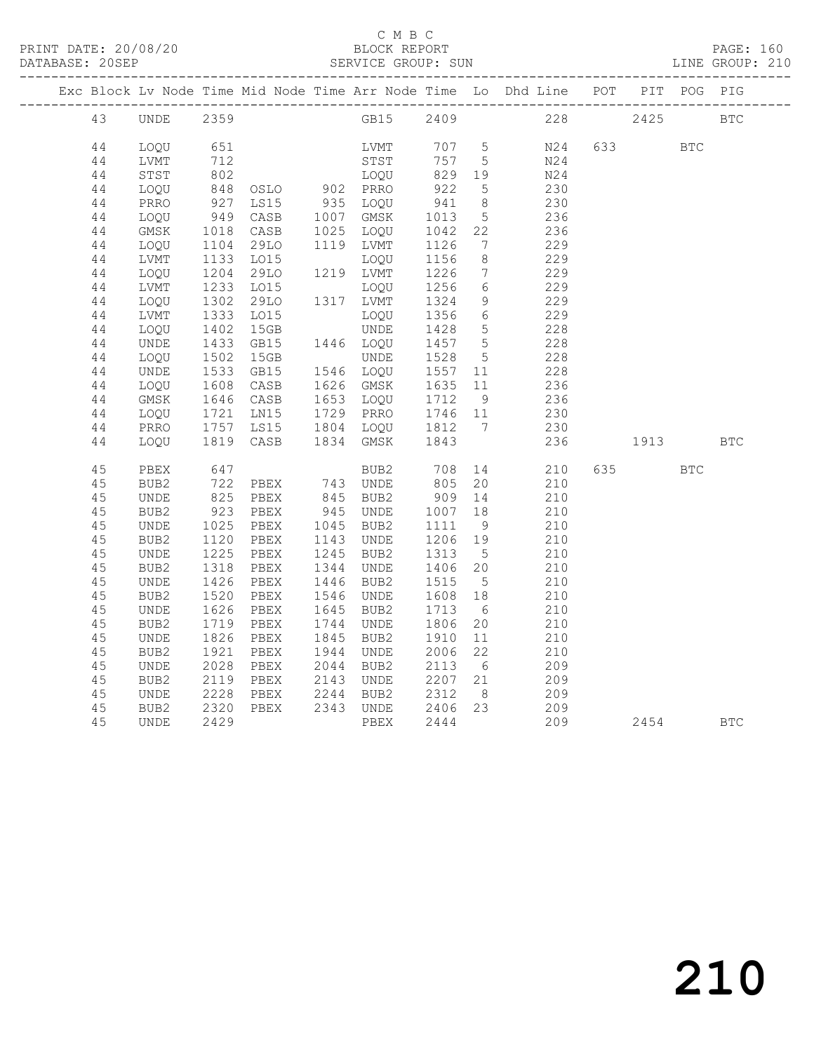### C M B C<br>BLOCK REPORT

|        |             |                 |                      |      |             |                 |                              | Exc Block Lv Node Time Mid Node Time Arr Node Time Lo Dhd Line POT PIT POG PIG |             |             |            |            |
|--------|-------------|-----------------|----------------------|------|-------------|-----------------|------------------------------|--------------------------------------------------------------------------------|-------------|-------------|------------|------------|
| 43     | UNDE        | 2359            |                      |      | GB15        | 2409            |                              |                                                                                | 228 and 228 | 2425        |            | <b>BTC</b> |
| $4\,4$ | LOQU        | 651             |                      |      | LVMT        | 707 5           |                              | N24                                                                            |             | 633 000     | <b>BTC</b> |            |
| 44     | LVMT        | 712             |                      |      | STST        | 757             | $5^{\circ}$                  | N24                                                                            |             |             |            |            |
| 44     | STST        | $\frac{1}{802}$ |                      |      | LOQU        | 829             | 19                           | N24                                                                            |             |             |            |            |
| 44     | LOQU        | 848             | OSLO 902 PRRO        |      |             | 922             | $5^{\circ}$                  | 230                                                                            |             |             |            |            |
| 44     | PRRO        |                 | LS15                 |      | 935 LOQU    |                 | 8 <sup>8</sup>               | 230                                                                            |             |             |            |            |
| 44     | LOQU        |                 | 927 LS15<br>949 CASB |      | 1007 GMSK   | $941$<br>$1013$ | $5\overline{)}$              | 236                                                                            |             |             |            |            |
| 44     | GMSK        | 1018            | CASB                 | 1025 | LOQU        | 1042            | 22                           | 236                                                                            |             |             |            |            |
| 44     | LOQU        | 1104            | 29LO                 |      | 1119 LVMT   | 1126            | $7\phantom{.0}\phantom{.0}7$ | 229                                                                            |             |             |            |            |
| 44     | LVMT        | 1133            | L015                 |      | LOQU        | 1156            | 8 <sup>8</sup>               | 229                                                                            |             |             |            |            |
| 44     | LOQU        | 1204            | 29LO                 |      | 1219 LVMT   | 1226            | $7\overline{ }$              | 229                                                                            |             |             |            |            |
| 44     | LVMT        | 1233            | LO15                 |      | LOQU        | 1256            | $6\overline{6}$              | 229                                                                            |             |             |            |            |
| 44     | LOQU        | 1302            | 29LO                 |      | 1317 LVMT   | 1324            | 9                            | 229                                                                            |             |             |            |            |
| 44     | LVMT        | 1333            | LO15                 |      | LOQU        | 1356            | $6\overline{6}$              | 229                                                                            |             |             |            |            |
| 44     | LOQU        | 1402            | 15GB                 |      | UNDE        | 1428            | $5\overline{)}$              | 228                                                                            |             |             |            |            |
| 44     | UNDE        | 1433            | GB15                 |      | 1446 LOQU   | 1457            | $5\overline{)}$              | 228                                                                            |             |             |            |            |
| 44     | LOQU        | 1502            | 15GB                 |      | <b>UNDE</b> | 1528            | $5\overline{)}$              | 228                                                                            |             |             |            |            |
| 44     | <b>UNDE</b> | 1533            | GB15                 |      | 1546 LOQU   | 1557            | 11                           | 228                                                                            |             |             |            |            |
| $4\,4$ | LOQU        | 1608            | CASB                 |      | 1626 GMSK   | 1635            | 11                           | 236                                                                            |             |             |            |            |
| 44     | GMSK        | 1646            | CASB                 |      | 1653 LOQU   | 1712            | 9                            | 236                                                                            |             |             |            |            |
| 44     | LOQU        | 1721            | LN15                 |      | 1729 PRRO   | 1746<br>1812    | 11                           | 230                                                                            |             |             |            |            |
| 44     | PRRO        | 1757            | LS15                 |      | 1804 LOQU   |                 | $7\overline{ }$              | 230                                                                            |             |             |            |            |
| 44     | LOQU        | 1819            | CASB                 |      | 1834 GMSK   | 1843            |                              | 236                                                                            |             | 1913 — 1913 |            | <b>BTC</b> |
| 45     | PBEX        | 647             |                      |      | BUB2        | 708             |                              | 210                                                                            | 635         |             | <b>BTC</b> |            |
| 45     | BUB2        | 722             | PBEX                 |      | 743 UNDE    | 805             | 20                           | 210                                                                            |             |             |            |            |
| 45     | UNDE        | 825             | PBEX                 | 845  | BUB2        | 909             | 14                           | 210                                                                            |             |             |            |            |
| 45     | BUB2        | 923             | PBEX                 | 945  | UNDE        | 1007            | 18                           | 210                                                                            |             |             |            |            |
| 45     | <b>UNDE</b> | 1025            | PBEX                 | 1045 | BUB2        | 1111            | 9                            | 210                                                                            |             |             |            |            |
| 45     | BUB2        | 1120            | PBEX                 | 1143 | UNDE        | 1206            | 19                           | 210                                                                            |             |             |            |            |
| 45     | <b>UNDE</b> | 1225            | PBEX                 | 1245 | BUB2        | 1313            | $5\overline{)}$              | 210                                                                            |             |             |            |            |
| 45     | BUB2        | 1318            | PBEX                 | 1344 | <b>UNDE</b> | 1406            | 20                           | 210                                                                            |             |             |            |            |
| 45     | <b>UNDE</b> | 1426            | PBEX                 | 1446 | BUB2        | 1515            | $5\overline{)}$              | 210                                                                            |             |             |            |            |
| 45     | BUB2        | 1520            | PBEX                 | 1546 | UNDE        | 1608            | 18                           | 210                                                                            |             |             |            |            |
| 45     | <b>UNDE</b> | 1626            | PBEX                 | 1645 | BUB2        | 1713            | 6                            | 210                                                                            |             |             |            |            |
| 45     | BUB2        | 1719            | PBEX                 | 1744 | UNDE        | 1806            | 20                           | 210                                                                            |             |             |            |            |
| 45     | <b>UNDE</b> | 1826            | PBEX                 | 1845 | BUB2        | 1910            | 11                           | 210                                                                            |             |             |            |            |
| 45     | BUB2        | 1921            | PBEX                 | 1944 | UNDE        | 2006            | 22                           | 210                                                                            |             |             |            |            |
| 45     | <b>UNDE</b> | 2028            | PBEX                 |      | 2044 BUB2   | 2113            | 6                            | 209                                                                            |             |             |            |            |

 45 BUB2 2119 PBEX 2143 UNDE 2207 21 209 45 UNDE 2228 PBEX 2244 BUB2 2312 8 209 45 BUB2 2320 PBEX 2343 UNDE 2406 23 209

45 UNDE 2429 PBEX 2444 209 2454 BTC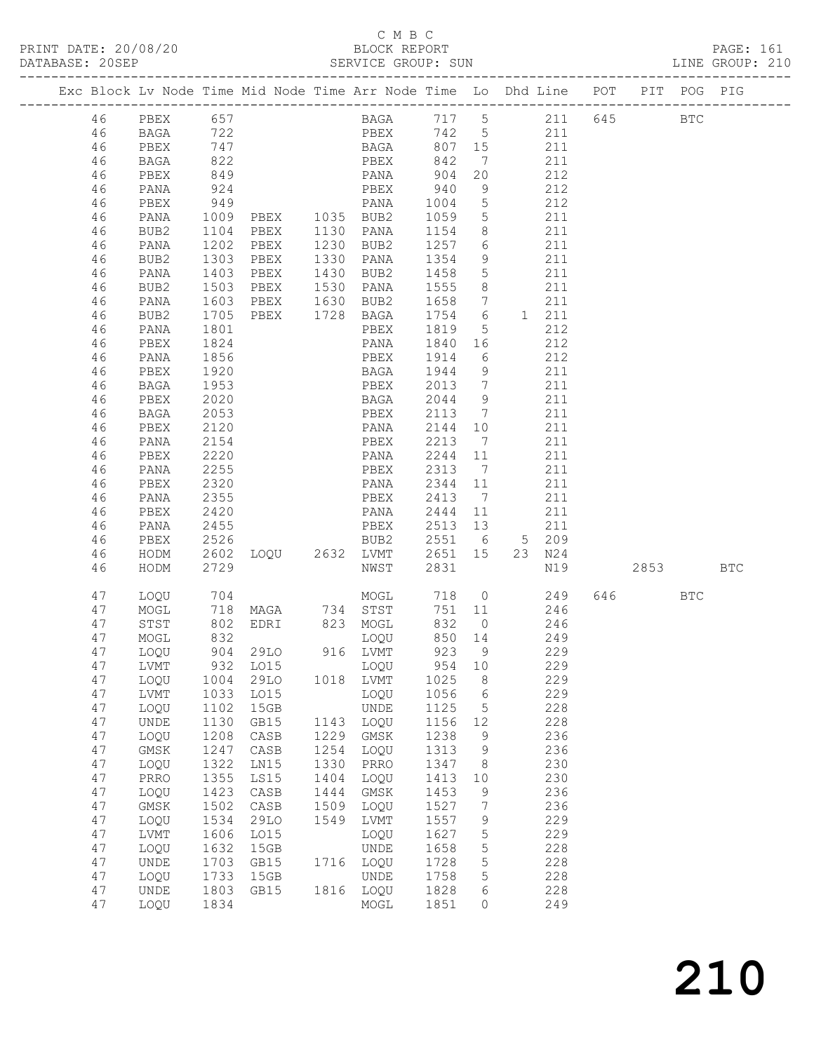### C M B C

| DATABASE: 20SEP |    |             |                   | SI<br>----------------------------- |      | SERVICE GROUP: SUN     |         |                 | LINE GROUP: 210                                                                |        |            |            |  |
|-----------------|----|-------------|-------------------|-------------------------------------|------|------------------------|---------|-----------------|--------------------------------------------------------------------------------|--------|------------|------------|--|
|                 |    |             |                   |                                     |      |                        |         |                 | Exc Block Lv Node Time Mid Node Time Arr Node Time Lo Dhd Line POT PIT POG PIG |        |            |            |  |
|                 | 46 | PBEX 657    |                   |                                     |      |                        |         |                 | BAGA 717 5 211 645 BTC                                                         |        |            |            |  |
|                 | 46 | BAGA        | 722               |                                     |      |                        |         |                 | PBEX 742 5 211                                                                 |        |            |            |  |
|                 | 46 | PBEX        | 747<br>822<br>849 |                                     |      |                        |         |                 | BAGA 807 15 211                                                                |        |            |            |  |
|                 | 46 | BAGA        |                   |                                     |      |                        |         | $7\overline{ }$ | 211                                                                            |        |            |            |  |
|                 | 46 | PBEX        |                   |                                     |      |                        |         | 20              | $\frac{212}{212}$                                                              |        |            |            |  |
|                 | 46 | PANA        | 924               |                                     |      | PBEX 940               |         | 9               | 212                                                                            |        |            |            |  |
|                 | 46 | PBEX        |                   |                                     |      |                        |         |                 | 212                                                                            |        |            |            |  |
|                 | 46 | PANA        |                   |                                     |      |                        |         |                 | 211                                                                            |        |            |            |  |
|                 | 46 | BUB2        |                   |                                     |      |                        |         |                 | $\frac{1}{211}$                                                                |        |            |            |  |
|                 | 46 | PANA        | 1202              |                                     |      | PBEX 1230 BUB2 1257 6  |         |                 | 211                                                                            |        |            |            |  |
|                 | 46 | BUB2        | 1303              | PBEX                                |      | 1330 PANA 1354         |         | 9               | 211                                                                            |        |            |            |  |
|                 | 46 | PANA        |                   | PBEX                                |      | 1430 BUB2              | 1458 5  |                 | 211                                                                            |        |            |            |  |
|                 | 46 | BUB2        | 1403<br>1503      | PBEX                                |      | $1530$ $PANA$ $1555$ 8 |         |                 | $\frac{1}{211}$                                                                |        |            |            |  |
|                 |    |             | 1603              |                                     |      |                        |         |                 | PBEX 1630 BUB2 1658 7 211                                                      |        |            |            |  |
|                 | 46 | PANA        |                   |                                     |      |                        |         |                 |                                                                                |        |            |            |  |
|                 | 46 | BUB2        | 1705              |                                     |      | PBEX 1728 BAGA 1754 6  |         |                 | 1 211                                                                          |        |            |            |  |
|                 | 46 | PANA        | 1801<br>1824      |                                     |      | PBEX                   | 1819 5  |                 | 212                                                                            |        |            |            |  |
|                 | 46 | PBEX        |                   |                                     |      | PANA                   | 1840 16 |                 | 212                                                                            |        |            |            |  |
|                 | 46 | PANA        | 1856              |                                     |      | PBEX 1914 6            |         |                 | 212                                                                            |        |            |            |  |
|                 | 46 | PBEX        | 1920              |                                     |      | BAGA 1944 9            |         |                 | 211                                                                            |        |            |            |  |
|                 | 46 | BAGA        | 1953              |                                     |      | PBEX 2013 7            |         |                 | 211                                                                            |        |            |            |  |
|                 | 46 | PBEX        | 2020              |                                     |      | BAGA 2044 9            |         |                 | $\begin{array}{c} 2+2 \\ 211 \end{array}$                                      |        |            |            |  |
|                 | 46 | BAGA        | 2053              |                                     |      | PBEX 2113 7            |         |                 | 211                                                                            |        |            |            |  |
|                 | 46 | PBEX        | 2120              |                                     |      | PANA                   | 2144 10 |                 | 211                                                                            |        |            |            |  |
|                 | 46 | PANA        | 2154              |                                     |      | PBEX 2213 7            |         |                 | 211                                                                            |        |            |            |  |
|                 | 46 | PBEX        | 2220              |                                     |      | PANA 2244 11           |         |                 | 211                                                                            |        |            |            |  |
|                 | 46 | PANA        | 2255              |                                     |      | PBEX 2313 7            |         |                 | 211                                                                            |        |            |            |  |
|                 | 46 | PBEX        | 2320              |                                     |      | PANA 2344 11           |         |                 | 211                                                                            |        |            |            |  |
|                 | 46 | PANA        | 2355              |                                     |      | PBEX 2413 7            |         |                 | 211                                                                            |        |            |            |  |
|                 | 46 | PBEX        |                   |                                     |      | PANA 2444 11           |         |                 | 211                                                                            |        |            |            |  |
|                 | 46 | PANA        | 2420<br>2455      |                                     |      | PBEX 2513 13           |         |                 | 211                                                                            |        |            |            |  |
|                 | 46 | PBEX        | 2526              |                                     |      |                        |         |                 | BUB2 2551 6 5 209                                                              |        |            |            |  |
|                 | 46 | HODM        | 2602              |                                     |      |                        |         |                 | LOQU 2632 LVMT 2651 15 23 N24                                                  |        |            |            |  |
|                 | 46 | HODM        | 2729              |                                     |      | NWST                   | 2831    |                 | N19 2853                                                                       |        |            | <b>BTC</b> |  |
|                 | 47 | LOQU        | 704               |                                     |      |                        |         |                 | MOGL 718 0 249                                                                 | 646 64 | <b>BTC</b> |            |  |
|                 | 47 | MOGL        |                   |                                     |      |                        |         |                 | 751 11 246                                                                     |        |            |            |  |
|                 | 47 | STST        |                   |                                     |      |                        |         | 832 0           | $\frac{18}{246}$                                                               |        |            |            |  |
|                 | 47 | MOGL        |                   |                                     |      |                        |         | $850$ $14$      | 249                                                                            |        |            |            |  |
|                 |    | 47 LOQU     |                   | 904 29LO                            |      | 916 LVMT               |         |                 | 923 9 229                                                                      |        |            |            |  |
|                 | 47 | LVMT        | 932               | LO15                                |      | LOQU                   | 954     | 10              | 229                                                                            |        |            |            |  |
|                 | 47 | LOQU        | 1004              | 29LO                                |      | 1018 LVMT              | 1025    | 8               | 229                                                                            |        |            |            |  |
|                 | 47 | LVMT        | 1033              | L015                                |      | LOQU                   | 1056    | $6\overline{6}$ | 229                                                                            |        |            |            |  |
|                 | 47 | LOQU        | 1102              | 15GB                                |      | UNDE                   | 1125    | 5               | 228                                                                            |        |            |            |  |
|                 | 47 | UNDE        | 1130              | GB15                                | 1143 | LOQU                   | 1156    | 12              | 228                                                                            |        |            |            |  |
|                 | 47 | LOQU        | 1208              | CASB                                | 1229 | GMSK                   | 1238    | 9               | 236                                                                            |        |            |            |  |
|                 | 47 | $\rm{GMSK}$ | 1247              | CASB                                | 1254 | LOQU                   | 1313    | 9               | 236                                                                            |        |            |            |  |
|                 | 47 | LOQU        | 1322              | LN15                                | 1330 | PRRO                   | 1347    | 8               | 230                                                                            |        |            |            |  |
|                 | 47 | PRRO        | 1355              | LS15                                | 1404 | LOQU                   | 1413    | 10              | 230                                                                            |        |            |            |  |
|                 | 47 | LOQU        | 1423              | CASB                                | 1444 | GMSK                   | 1453    | 9               | 236                                                                            |        |            |            |  |
|                 | 47 | $\rm{GMSK}$ | 1502              | CASB                                | 1509 | LOQU                   | 1527    | $7\phantom{.0}$ | 236                                                                            |        |            |            |  |
|                 | 47 |             | 1534              | 29LO                                | 1549 | LVMT                   | 1557    | 9               | 229                                                                            |        |            |            |  |
|                 |    | LOQU        |                   |                                     |      |                        |         |                 |                                                                                |        |            |            |  |
|                 | 47 | LVMT        | 1606              | LO15                                |      | LOQU                   | 1627    | 5               | 229                                                                            |        |            |            |  |
|                 | 47 | LOQU        | 1632              | 15GB                                |      | UNDE                   | 1658    | 5               | 228                                                                            |        |            |            |  |
|                 | 47 | UNDE        | 1703              | GB15                                |      | 1716 LOQU              | 1728    | 5               | 228                                                                            |        |            |            |  |
|                 | 47 | LOQU        | 1733              | 15GB                                |      | UNDE                   | 1758    | 5               | 228                                                                            |        |            |            |  |
|                 | 47 | UNDE        | 1803              | GB15                                |      | 1816 LOQU              | 1828    | 6               | 228                                                                            |        |            |            |  |
|                 | 47 | LOQU        | 1834              |                                     |      | MOGL                   | 1851    | 0               | 249                                                                            |        |            |            |  |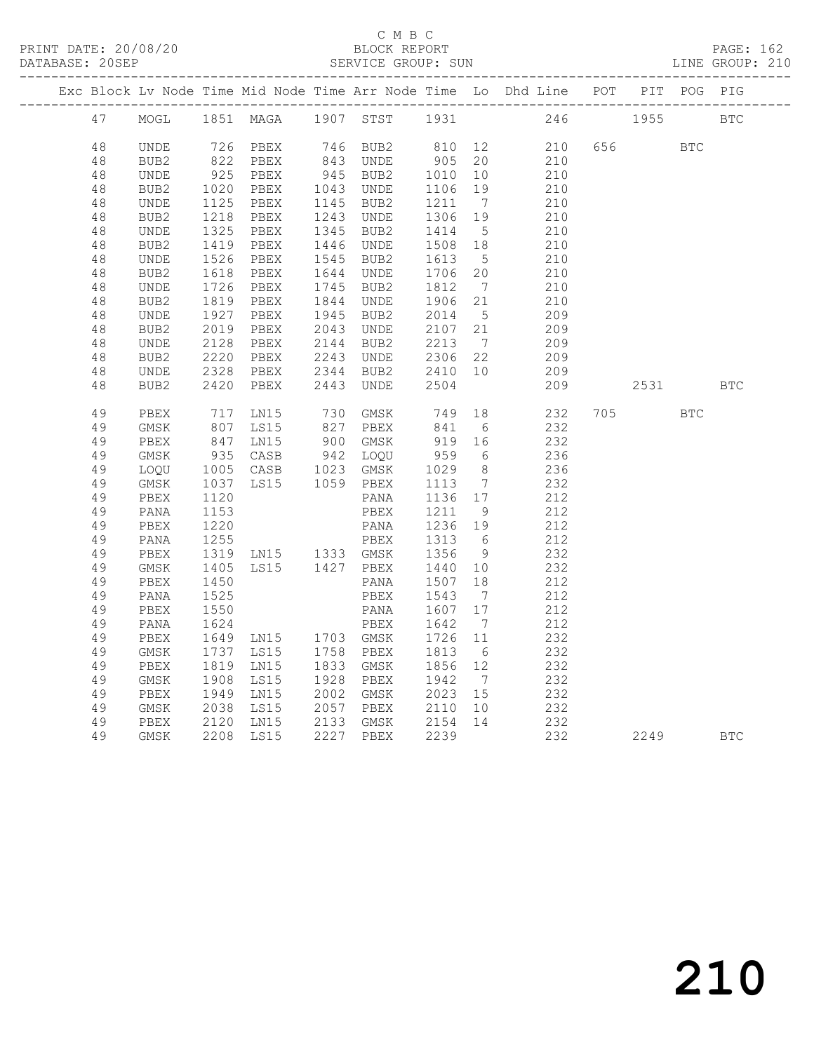### C M B C

| DATABASE: 20SEP |      |      |                |      | SERVICE GROUP: SUN |         |                              |                                                                    |     |      |            | LINE GROUP: 210 |
|-----------------|------|------|----------------|------|--------------------|---------|------------------------------|--------------------------------------------------------------------|-----|------|------------|-----------------|
|                 |      |      |                |      |                    |         |                              | Exc Block Lv Node Time Mid Node Time Arr Node Time Lo Dhd Line POT |     |      | PIT POG    | PIG             |
| 47              | MOGL |      | 1851 MAGA      | 1907 | STST               | 1931    |                              | 246                                                                |     | 1955 |            | <b>BTC</b>      |
| 48              | UNDE | 726  | PBEX           |      | 746 BUB2           | 810     | 12                           | 210                                                                | 656 |      | <b>BTC</b> |                 |
| 48              | BUB2 | 822  | PBEX           | 843  | UNDE               | 905     | 20                           | 210                                                                |     |      |            |                 |
| 48              | UNDE | 925  | PBEX           |      | 945 BUB2           | 1010    | 10                           | 210                                                                |     |      |            |                 |
| 48              | BUB2 | 1020 | PBEX           | 1043 | UNDE               | 1106    | 19                           | 210                                                                |     |      |            |                 |
| 48              | UNDE | 1125 | PBEX           | 1145 | BUB2               | 1211    | $7\phantom{.0}\phantom{.0}7$ | 210                                                                |     |      |            |                 |
| 48              | BUB2 | 1218 | PBEX           | 1243 | <b>UNDE</b>        | 1306    | 19                           | 210                                                                |     |      |            |                 |
| $4\,8$          | UNDE | 1325 | PBEX           | 1345 | BUB2               | 1414    | $5^{\circ}$                  | 210                                                                |     |      |            |                 |
| 48              | BUB2 | 1419 | PBEX           | 1446 | UNDE               | 1508    | 18                           | 210                                                                |     |      |            |                 |
| $4\,8$          | UNDE | 1526 | PBEX           | 1545 | BUB2               | 1613    | $5^{\circ}$                  | 210                                                                |     |      |            |                 |
| 48              | BUB2 | 1618 | PBEX           | 1644 | UNDE               | 1706    | 20                           | 210                                                                |     |      |            |                 |
| 48              | UNDE | 1726 | PBEX           | 1745 | BUB2               | 1812    | $\overline{7}$               | 210                                                                |     |      |            |                 |
| 48              | BUB2 | 1819 | PBEX           | 1844 | UNDE               | 1906    | 21                           | 210                                                                |     |      |            |                 |
| 48              | UNDE | 1927 | PBEX           | 1945 | BUB2               | 2014    | $5^{\circ}$                  | 209                                                                |     |      |            |                 |
| 48              | BUB2 | 2019 | PBEX           | 2043 | UNDE               | 2107    | 21                           | 209                                                                |     |      |            |                 |
| 48              | UNDE | 2128 | PBEX           | 2144 | BUB2               | 2213    | $\overline{7}$               | 209                                                                |     |      |            |                 |
| $4\,8$          | BUB2 | 2220 | PBEX           | 2243 | UNDE               | 2306    | 22                           | 209                                                                |     |      |            |                 |
| 48              | UNDE | 2328 | PBEX           | 2344 | BUB2               | 2410    | 10                           | 209                                                                |     |      |            |                 |
| 48              | BUB2 | 2420 | PBEX           | 2443 | UNDE               | 2504    |                              | 209                                                                |     | 2531 |            | <b>BTC</b>      |
| 49              | PBEX | 717  | LN15           | 730  | GMSK               | 749     | 18                           | 232                                                                | 705 |      | <b>BTC</b> |                 |
| 49              | GMSK | 807  | LS15           | 827  | PBEX               | 841     | - 6                          | 232                                                                |     |      |            |                 |
| 49              | PBEX | 847  | LN15           |      | 900 GMSK           | 919     | 16                           | 232                                                                |     |      |            |                 |
| 49              | GMSK | 935  | CASB           | 942  | LOQU               | 959     | 6                            | 236                                                                |     |      |            |                 |
| 49              | LOQU | 1005 | CASB           | 1023 | GMSK               | 1029    | 8 <sup>8</sup>               | 236                                                                |     |      |            |                 |
| 49              | GMSK | 1037 | LS15           |      | 1059 PBEX          | 1113    | $\overline{7}$               | 232                                                                |     |      |            |                 |
| 49              | PBEX | 1120 |                |      | PANA               | 1136 17 |                              | 212                                                                |     |      |            |                 |
| 49              | PANA | 1153 |                |      | PBEX               | 1211    | - 9                          | 212                                                                |     |      |            |                 |
| 49              | PBEX | 1220 |                |      | PANA               | 1236    | 19                           | 212                                                                |     |      |            |                 |
| 49              | PANA | 1255 |                |      | PBEX               | 1313    | $6\overline{6}$              | 212                                                                |     |      |            |                 |
| 49              | PBEX | 1319 | LN15 1333 GMSK |      |                    | 1356    | 9                            | 232                                                                |     |      |            |                 |
| 49              | GMSK | 1405 | LS15           |      | 1427 PBEX          | 1440    | 10                           | 232                                                                |     |      |            |                 |
| 49              | PBEX | 1450 |                |      | PANA               | 1507    | 18                           | 212                                                                |     |      |            |                 |
| 49              | PANA | 1525 |                |      | PBEX               | 1543    | $\overline{7}$               | 212                                                                |     |      |            |                 |
| 49              | PBEX | 1550 |                |      | PANA               | 1607    | 17                           | 212                                                                |     |      |            |                 |
| 49              | PANA | 1624 |                |      | PBEX               | 1642    | $\overline{7}$               | 212                                                                |     |      |            |                 |
| 49              | PBEX | 1649 | LN15           |      | 1703 GMSK          | 1726    | 11                           | 232                                                                |     |      |            |                 |
| 49              | GMSK | 1737 | LS15           | 1758 | PBEX               | 1813    | - 6                          | 232                                                                |     |      |            |                 |
| 49              | PBEX | 1819 | LN15           | 1833 | GMSK               | 1856    | 12                           | 232                                                                |     |      |            |                 |
| 49              | GMSK | 1908 | LS15           | 1928 | PBEX               | 1942    | $7\overline{ }$              | 232                                                                |     |      |            |                 |
| 49              | PBEX | 1949 | LN15           | 2002 | GMSK               | 2023    | 15                           | 232                                                                |     |      |            |                 |
| 49              | GMSK | 2038 | LS15           | 2057 | PBEX               | 2110    | 10                           | 232                                                                |     |      |            |                 |
| 49              | PBEX | 2120 | LN15           | 2133 | GMSK               | 2154    | 14                           | 232                                                                |     |      |            |                 |
| 49              | GMSK | 2208 | LS15           | 2227 | PBEX               | 2239    |                              | 232                                                                |     | 2249 |            | <b>BTC</b>      |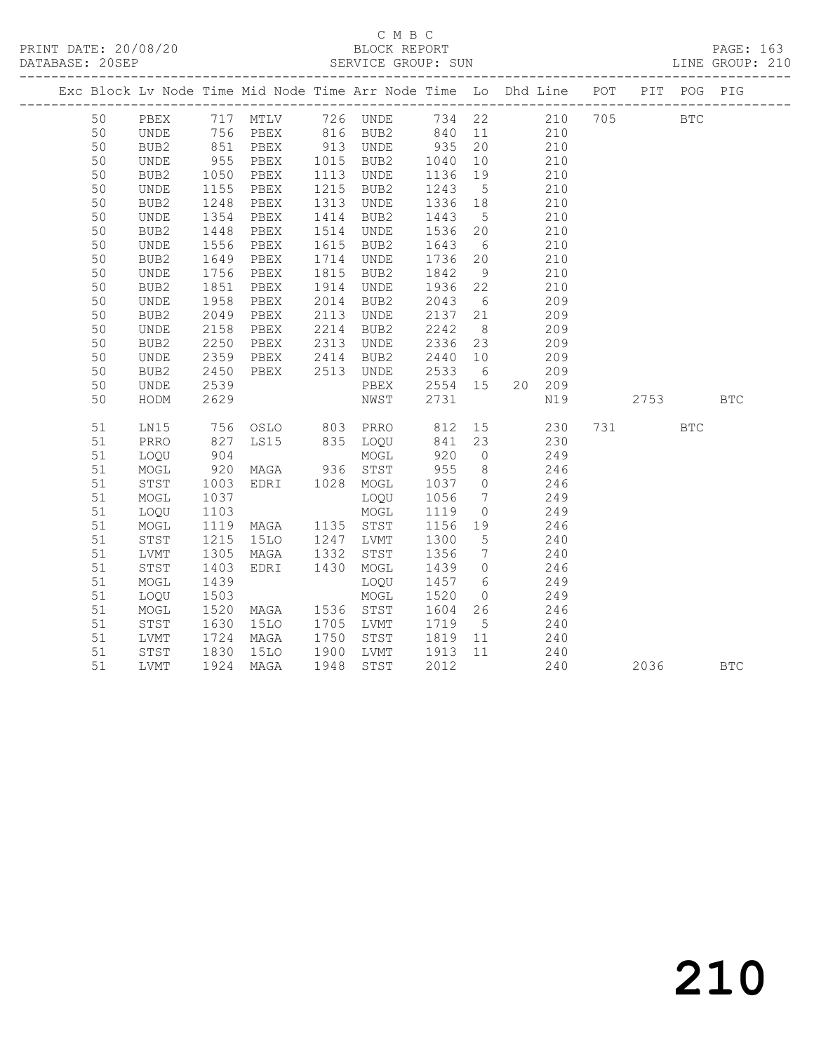|  |    |                              |              |                       |      |           |         |                 | Exc Block Lv Node Time Mid Node Time Arr Node Time Lo Dhd Line POT PIT POG PIG |      |            |            |
|--|----|------------------------------|--------------|-----------------------|------|-----------|---------|-----------------|--------------------------------------------------------------------------------|------|------------|------------|
|  | 50 |                              |              |                       |      |           |         |                 |                                                                                |      | <b>BTC</b> |            |
|  | 50 |                              |              |                       |      |           |         |                 |                                                                                |      |            |            |
|  | 50 |                              |              |                       |      |           |         |                 |                                                                                |      |            |            |
|  | 50 | UNDE                         | 955          | PBEX                  |      | 1015 BUB2 | 1040    | 10              | 210                                                                            |      |            |            |
|  | 50 | BUB2                         | 1050<br>1155 | PBEX                  |      | 1113 UNDE | 1136    | 19              | 210                                                                            |      |            |            |
|  | 50 | $\ensuremath{\mathsf{UNDE}}$ |              | PBEX                  | 1215 | BUB2      | 1243    | $5\overline{)}$ | 210                                                                            |      |            |            |
|  | 50 | BUB2                         | 1248         | PBEX                  | 1313 | UNDE      | 1336 18 |                 | 210                                                                            |      |            |            |
|  | 50 | UNDE                         | 1354         | PBEX                  | 1414 | BUB2      | 1443    | 5 <sup>5</sup>  | 210                                                                            |      |            |            |
|  | 50 | BUB2                         | 1448<br>1556 | PBEX                  |      | 1514 UNDE | 1536 20 |                 | $\frac{210}{2}$                                                                |      |            |            |
|  | 50 | UNDE                         |              | PBEX                  | 1615 | BUB2      | 1643 6  |                 | 210                                                                            |      |            |            |
|  | 50 | BUB2                         | 1649         | PBEX                  | 1714 | UNDE      | 1736 20 |                 | 210                                                                            |      |            |            |
|  | 50 | $\ensuremath{\mathsf{UNDE}}$ | 1756         | PBEX                  | 1815 | BUB2      | 1842    | 9               | 210                                                                            |      |            |            |
|  | 50 | BUB2                         | 1851         | PBEX                  |      | 1914 UNDE | 1936 22 |                 | 210                                                                            |      |            |            |
|  | 50 | $\ensuremath{\mathsf{UNDE}}$ | 1958         | PBEX                  |      | 2014 BUB2 | 2043    | 6               | 209                                                                            |      |            |            |
|  | 50 | BUB2                         | 2049         | PBEX                  |      | 2113 UNDE | 2137 21 |                 | 209                                                                            |      |            |            |
|  | 50 | UNDE                         | 2158<br>2250 | PBEX                  |      | 2214 BUB2 | 2242    | 8 <sup>8</sup>  | 209                                                                            |      |            |            |
|  | 50 | BUB2                         |              | PBEX                  |      | 2313 UNDE | 2336 23 |                 | 209                                                                            |      |            |            |
|  | 50 | UNDE                         | 2359         | PBEX                  |      | 2414 BUB2 | 2440 10 |                 | 209                                                                            |      |            |            |
|  | 50 | BUB2                         | 2450         | PBEX 2513 UNDE        |      |           | 2533 6  |                 | 209                                                                            |      |            |            |
|  | 50 | <b>UNDE</b>                  | 2539         |                       |      | PBEX      | 2554 15 |                 | 20 209                                                                         |      |            |            |
|  | 50 | HODM                         | 2629         |                       |      | NWST      | 2731    |                 | N19                                                                            | 2753 |            | <b>BTC</b> |
|  | 51 | LN15                         |              | 756 OSLO 803 PRRO 812 |      |           |         |                 | 15<br>230                                                                      | 731  | <b>BTC</b> |            |
|  | 51 | PRRO                         |              | LS15                  |      |           |         |                 | 230                                                                            |      |            |            |
|  | 51 | LOQU                         | 827<br>904   |                       |      |           |         |                 | 249                                                                            |      |            |            |
|  | 51 | MOGL                         | 920          | MAGA 936 STST         |      |           | 955     | 8 <sup>8</sup>  | 246                                                                            |      |            |            |
|  | 51 | STST                         | 1003         | EDRI 1028 MOGL        |      |           |         |                 | 1037 0 246                                                                     |      |            |            |
|  | 51 | MOGL                         | 1037         |                       |      | LOQU      | 1056    | $7\overline{ }$ | 249                                                                            |      |            |            |
|  | 51 | LOQU                         | 1037<br>1103 |                       |      | MOGL      | 1119    | $\overline{0}$  | 249                                                                            |      |            |            |
|  | 51 | MOGL                         | 1119         | MAGA 1135 STST        |      |           | 1156 19 |                 | 246                                                                            |      |            |            |
|  | 51 | STST                         | 1215         | 15LO 1247 LVMT        |      |           | 1300    | $5\overline{)}$ | 240                                                                            |      |            |            |
|  | 51 | LVMT                         | 1305<br>1403 | MAGA 1332 STST        |      |           | 1356    | $7\overline{ }$ | 240                                                                            |      |            |            |
|  | 51 | STST                         |              | EDRI 1430             |      | MOGL      |         |                 | $1439$ 0 246                                                                   |      |            |            |
|  | 51 | MOGL                         | 1439         |                       |      | LOOU      |         |                 | 1457 6 249                                                                     |      |            |            |
|  | 51 | LOQU                         | 1503<br>1520 |                       |      | MOGL      | 1520    | $\overline{O}$  | 249                                                                            |      |            |            |
|  | 51 | MOGL                         |              | MAGA 1536 STST        |      |           | 1604 26 |                 | $\frac{246}{240}$                                                              |      |            |            |
|  | 51 | STST                         | 1630         | <b>15LO</b>           |      | 1705 LVMT | 1719    | 5 <sup>5</sup>  |                                                                                |      |            |            |
|  | 51 | LVMT                         | 1724         | MAGA                  |      | 1750 STST | 1819 11 |                 | 240                                                                            |      |            |            |
|  | 51 | STST                         | 1830         | 15LO                  |      |           |         |                 | 1900 LVMT 1913 11 240<br>1948 STST 2012 240                                    |      |            |            |
|  | 51 | <b>LVMT</b>                  | 1924         | MAGA                  | 1948 | STST      | 2012    |                 | 240                                                                            | 2036 |            | <b>BTC</b> |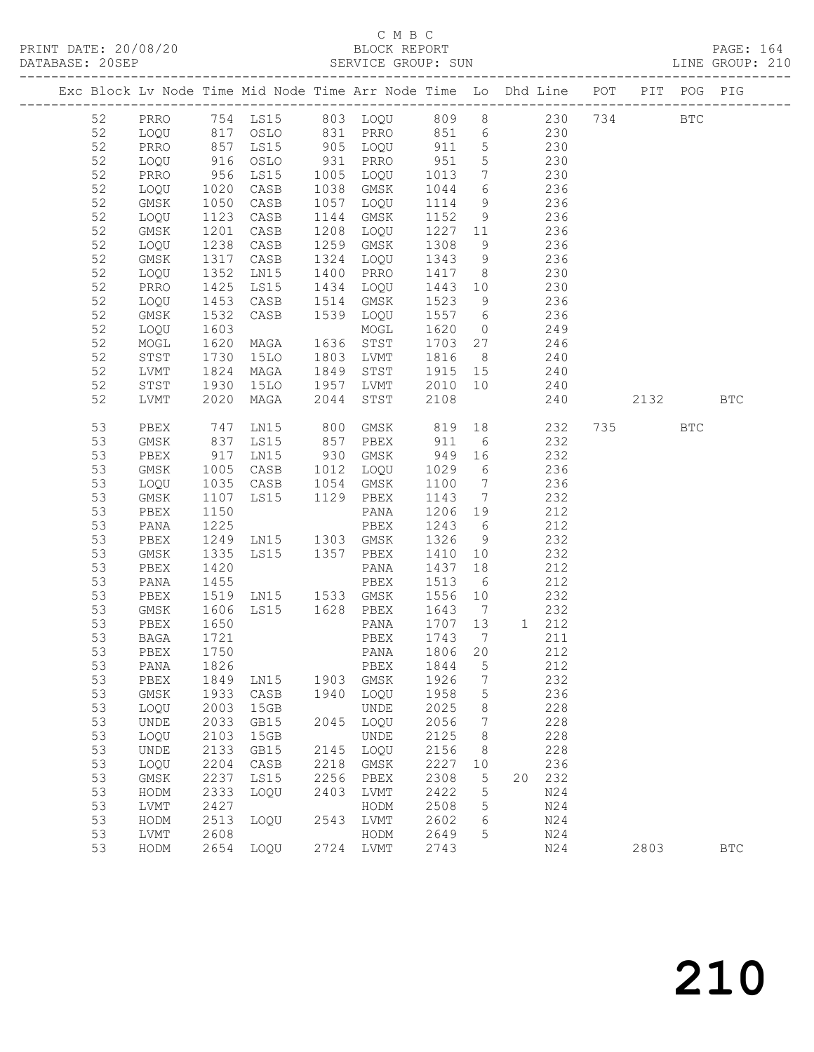| Exc Block Lv Node Time Mid Node Time Arr Node Time Lo Dhd Line POT |                              |                      |                                      |      |                                          |                    |                 |                   |                 |                                                                                                      | PIT POG PIG  |              |
|--------------------------------------------------------------------|------------------------------|----------------------|--------------------------------------|------|------------------------------------------|--------------------|-----------------|-------------------|-----------------|------------------------------------------------------------------------------------------------------|--------------|--------------|
| 52                                                                 |                              |                      | PRRO 754 LS15 803 LOQU 809 8 230 734 |      |                                          |                    |                 |                   |                 |                                                                                                      | $_{\rm BTC}$ |              |
| 52                                                                 | LOQU                         |                      | 817 OSLO<br>857 LS15                 |      | 831 PRRO 851 6 230<br>905 LOQU 911 5 230 |                    |                 |                   |                 |                                                                                                      |              |              |
| 52                                                                 | PRRO                         |                      |                                      |      |                                          |                    |                 |                   |                 |                                                                                                      |              |              |
| 52                                                                 | LOQU                         | 916                  | OSLO                                 |      | 931 PRRO                                 | 951                | $5\overline{)}$ | 230               |                 |                                                                                                      |              |              |
| 52                                                                 | PRRO                         | 956                  | LS15                                 |      | 1005 LOQU                                | 1013               |                 | 7 230             |                 |                                                                                                      |              |              |
| 52                                                                 | LOQU                         | 1020<br>1050         | CASB                                 |      | 1038 GMSK                                | 1044               | 6               |                   | $\frac{236}{9}$ |                                                                                                      |              |              |
| 52                                                                 | GMSK                         |                      | CASB                                 |      | 1057 LOQU                                | 1114               | 9               |                   | 236             |                                                                                                      |              |              |
| 52                                                                 | LOQU                         | 1123                 | CASB                                 | 1144 | GMSK                                     | 1152               | 9               | 236               |                 |                                                                                                      |              |              |
| 52                                                                 | GMSK                         | 1201                 | CASB                                 | 1208 | LOQU                                     | 1227 11            |                 | 236               |                 |                                                                                                      |              |              |
| 52                                                                 | LOQU                         | 1238                 | CASB                                 | 1259 | GMSK                                     | 1308               | 9               |                   | 236             |                                                                                                      |              |              |
| 52                                                                 | GMSK                         | 1317                 | CASB                                 |      | 1324 LOQU                                | 1343               | 9               |                   | 236             |                                                                                                      |              |              |
| 52                                                                 | LOQU                         | 1352                 | LN15                                 | 1400 | PRRO                                     | 1417 8 230         |                 |                   |                 |                                                                                                      |              |              |
| 52                                                                 | PRRO                         | 1425                 | LS15                                 | 1434 | LOQU                                     | 1443 10            |                 | 230               |                 |                                                                                                      |              |              |
| 52                                                                 | LOQU                         | 1453<br>1532<br>1603 | CASB                                 | 1514 | GMSK                                     | 1523               | 9               |                   | 236             |                                                                                                      |              |              |
| 52                                                                 | GMSK                         |                      | CASB                                 |      | 1539 LOQU                                | 1557 6             |                 |                   | 236<br>249      |                                                                                                      |              |              |
| 52                                                                 | LOQU                         |                      |                                      |      | MOGL                                     | 1620               | $\overline{0}$  |                   |                 |                                                                                                      |              |              |
| 52                                                                 | MOGL                         | 1620                 | MAGA                                 |      | 1636 STST                                | 1703 27            |                 | 246               |                 |                                                                                                      |              |              |
| 52                                                                 | STST                         | 1730                 | 15LO                                 | 1803 | LVMT                                     | 1816               | 8 <sup>8</sup>  |                   | 240             |                                                                                                      |              |              |
| 52<br>52                                                           | LVMT                         | 1824<br>1930         | MAGA<br>15LO                         | 1849 | STST<br>1957 LVMT                        | 1915 15<br>2010 10 |                 | $\frac{240}{212}$ |                 |                                                                                                      |              |              |
| 52                                                                 | STST<br>LVMT                 | 2020                 | MAGA                                 | 2044 | STST                                     | 2108               |                 |                   | 240             | 2132                                                                                                 |              | <b>BTC</b>   |
|                                                                    |                              |                      |                                      |      |                                          |                    |                 |                   |                 |                                                                                                      |              |              |
| 53                                                                 | PBEX                         | 747<br>837           | LN15                                 |      | 800 GMSK 819 18<br>857 PBEX 911 6        |                    |                 |                   | 18 232          | 735 — 1735 — 1747 — 1747 — 1757 — 1757 — 1757 — 1757 — 1757 — 1757 — 1757 — 1757 — 1757 — 1757 — 175 | <b>BTC</b>   |              |
| 53                                                                 | GMSK                         |                      | LS15                                 |      |                                          |                    |                 |                   | 232             |                                                                                                      |              |              |
| 53                                                                 | PBEX                         | 917                  | LN15                                 |      | 930 GMSK                                 |                    | 949 16          | 232               |                 |                                                                                                      |              |              |
| 53                                                                 | GMSK                         | 1005                 | CASB                                 |      | 1012 LOQU                                | 1029               | $6\overline{6}$ | 236               |                 |                                                                                                      |              |              |
| 53                                                                 | LOQU                         | 1035<br>1107         | CASB<br>LS15 1129 PBEX               |      | 1054 GMSK                                | 1100               | $7\overline{)}$ |                   | 236             |                                                                                                      |              |              |
| 53                                                                 | GMSK                         |                      |                                      |      |                                          | 1143               | $\overline{7}$  |                   | 232             |                                                                                                      |              |              |
| 53                                                                 | PBEX                         | 1150                 |                                      |      | PANA                                     | 1206 19            |                 | 212               |                 |                                                                                                      |              |              |
| 53                                                                 | PANA                         | 1225                 |                                      |      | PBEX                                     | 1243               | 6               |                   | 212             |                                                                                                      |              |              |
| 53                                                                 | PBEX                         | 1249                 | LN15 1303 GMSK<br>LS15 1357 PBEX     |      |                                          | 1326               | 9               |                   | 232             |                                                                                                      |              |              |
| 53<br>53                                                           | GMSK                         | 1335                 |                                      |      |                                          | 1410               | 10              | 212               | 232             |                                                                                                      |              |              |
| 53                                                                 | PBEX                         | 1420<br>1455         |                                      |      | PANA                                     | 1437<br>1513       | 18<br>6         |                   | 212             |                                                                                                      |              |              |
| 53                                                                 | PANA<br>PBEX                 | 1519                 |                                      |      | PBEX                                     | 1556               | 10              |                   | 232             |                                                                                                      |              |              |
| 53                                                                 | GMSK                         | 1606                 | LN15 1533 GMSK<br>LS15 1628 PBEX     |      |                                          | 1643               | $\overline{7}$  |                   | 232             |                                                                                                      |              |              |
| 53                                                                 | PBEX                         | 1650                 |                                      |      | PANA                                     | 1707               | 13              | 1 212             |                 |                                                                                                      |              |              |
| 53                                                                 | BAGA                         | 1721                 |                                      |      | PBEX                                     | 1743               | $\overline{7}$  |                   | 211             |                                                                                                      |              |              |
| 53                                                                 | PBEX                         | 1750                 |                                      |      | PANA                                     | 1806 20            |                 |                   | 212             |                                                                                                      |              |              |
|                                                                    | 53 PANA 1826                 |                      |                                      |      | PBEX 1844 5                              |                    |                 |                   | 212             |                                                                                                      |              |              |
| 53                                                                 | PBEX                         | 1849                 | LN15                                 | 1903 | GMSK                                     | 1926               | 7               |                   | 232             |                                                                                                      |              |              |
| 53                                                                 | <b>GMSK</b>                  | 1933                 | CASB                                 | 1940 | LOQU                                     | 1958               | 5               |                   | 236             |                                                                                                      |              |              |
| 53                                                                 | LOQU                         | 2003                 | 15GB                                 |      | <b>UNDE</b>                              | 2025               | 8               |                   | 228             |                                                                                                      |              |              |
| 53                                                                 | $\ensuremath{\mathsf{UNDE}}$ | 2033                 | GB15                                 | 2045 | LOQU                                     | 2056               | 7               |                   | 228             |                                                                                                      |              |              |
| 53                                                                 | LOQU                         | 2103                 | 15GB                                 |      | UNDE                                     | 2125               | 8               |                   | 228             |                                                                                                      |              |              |
| 53                                                                 | UNDE                         | 2133                 | GB15                                 | 2145 | LOQU                                     | 2156               | 8               |                   | 228             |                                                                                                      |              |              |
| 53                                                                 | LOQU                         | 2204                 | CASB                                 | 2218 | GMSK                                     | 2227               | 10              |                   | 236             |                                                                                                      |              |              |
| 53                                                                 | GMSK                         | 2237                 | LS15                                 | 2256 | PBEX                                     | 2308               | 5               | 20                | 232             |                                                                                                      |              |              |
| 53                                                                 | HODM                         | 2333                 | LOQU                                 | 2403 | LVMT                                     | 2422               | 5               |                   | N24             |                                                                                                      |              |              |
| 53                                                                 | LVMT                         | 2427                 |                                      |      | HODM                                     | 2508               | 5               |                   | N24             |                                                                                                      |              |              |
| 53                                                                 | HODM                         | 2513                 | LOQU                                 | 2543 | LVMT                                     | 2602               | 6               |                   | N24             |                                                                                                      |              |              |
| 53                                                                 | LVMT                         | 2608                 |                                      |      | HODM                                     | 2649               | 5               |                   | N24             |                                                                                                      |              |              |
| 53                                                                 | HODM                         | 2654                 | LOQU                                 | 2724 | LVMT                                     | 2743               |                 |                   | N24             | 2803                                                                                                 |              | $_{\rm BTC}$ |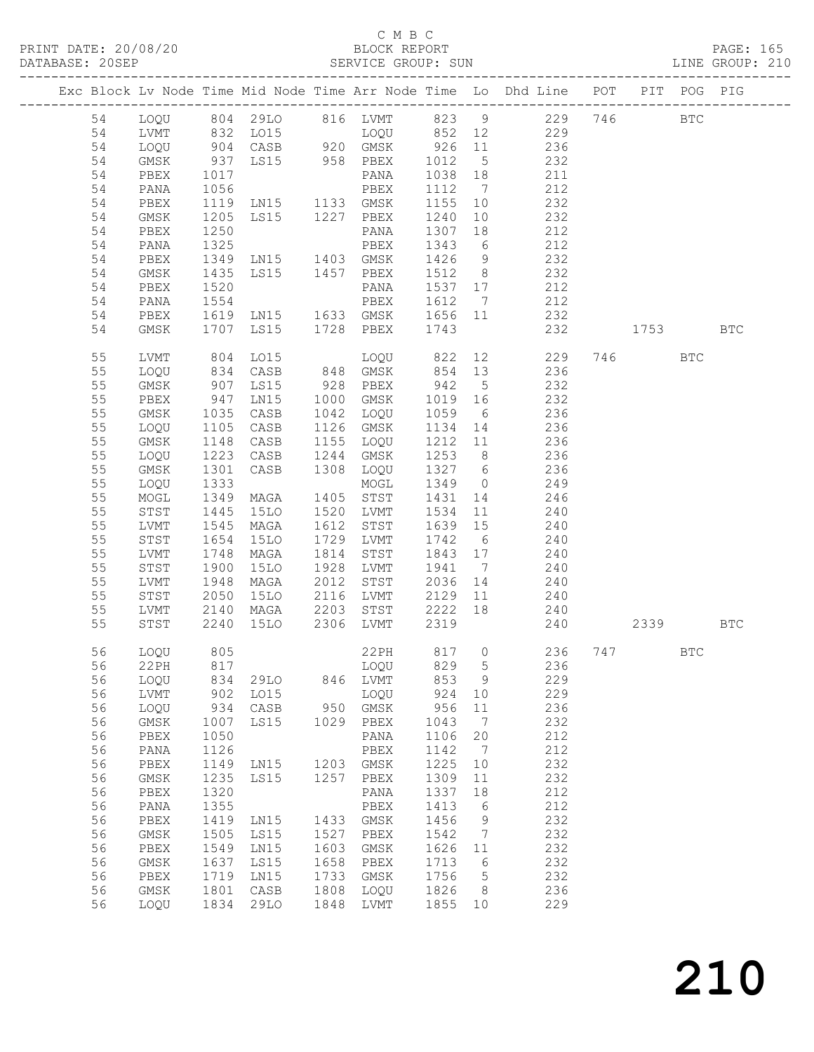### C M B C<br>BLOCK REPORT

PAGE: 165<br>LINE GROUP: 210

| DAIADAJE. |          |                      |              |                     |              | ODAVICE GAOUF, SUN |              |                              |                                                                    |     |                                                                                                              |            |            |  |
|-----------|----------|----------------------|--------------|---------------------|--------------|--------------------|--------------|------------------------------|--------------------------------------------------------------------|-----|--------------------------------------------------------------------------------------------------------------|------------|------------|--|
|           |          |                      |              |                     |              |                    |              |                              | Exc Block Lv Node Time Mid Node Time Arr Node Time Lo Dhd Line POT |     | PIT                                                                                                          |            | POG PIG    |  |
|           | 54       | LOQU                 |              | 804 29LO            |              | 816 LVMT           | 823 9        |                              | 229                                                                | 746 |                                                                                                              | <b>BTC</b> |            |  |
|           | 54       | LVMT                 | 832          | LO15                |              | LOQU               | 852 12       |                              | 229                                                                |     |                                                                                                              |            |            |  |
|           | 54       | LOQU                 | 904          | CASB                |              | 920 GMSK           | 926          | 11                           | 236                                                                |     |                                                                                                              |            |            |  |
|           | 54       | GMSK                 | 937          | LS15 958 PBEX       |              |                    | 1012         | $5\overline{)}$              | 232                                                                |     |                                                                                                              |            |            |  |
|           | 54       | PBEX                 | 1017         |                     |              | PANA               | 1038         | 18                           | 211                                                                |     |                                                                                                              |            |            |  |
|           | 54       | PANA                 | 1056         |                     |              | PBEX               | 1112         | $7\phantom{.0}\phantom{.0}7$ | 212                                                                |     |                                                                                                              |            |            |  |
|           | 54       | PBEX                 | 1119         | LN15 1133 GMSK      |              |                    | 1155         | 10                           | 232                                                                |     |                                                                                                              |            |            |  |
|           | 54       | GMSK                 | 1205         | LS15 1227           |              | PBEX               | 1240         | 10                           | 232                                                                |     |                                                                                                              |            |            |  |
|           | 54       | PBEX                 | 1250         |                     |              | PANA               | 1307         | 18                           | 212                                                                |     |                                                                                                              |            |            |  |
|           | 54       | PANA                 | 1325         |                     |              | PBEX               | 1343         | $6\overline{6}$              | 212                                                                |     |                                                                                                              |            |            |  |
|           | 54       | PBEX                 | 1349         | LNI5                | 1403         | GMSK               | 1426         | 9                            | 232                                                                |     |                                                                                                              |            |            |  |
|           | 54       | GMSK                 | 1435         | LS15 1457           |              | PBEX               | 1512         | 8 <sup>8</sup>               | 232                                                                |     |                                                                                                              |            |            |  |
|           | 54       | PBEX                 | 1520         |                     |              | PANA               | 1537 17      |                              | 212                                                                |     |                                                                                                              |            |            |  |
|           | 54       | PANA                 | 1554         |                     |              | PBEX               | 1612         | $\overline{7}$               | 212                                                                |     |                                                                                                              |            |            |  |
|           | 54       | PBEX                 | 1619         | LN15 1633 GMSK      |              |                    | 1656 11      |                              | 232                                                                |     |                                                                                                              |            |            |  |
|           | 54       | GMSK                 | 1707         | LS15                | 1728         | PBEX               | 1743         |                              | 232                                                                |     | 1753 — 1753 — 1754 — 1755 — 1756 — 1757 — 1757 — 1757 — 1757 — 1757 — 1757 — 1757 — 1757 — 1757 — 1757 — 175 |            | <b>BTC</b> |  |
|           |          |                      |              |                     |              |                    |              |                              |                                                                    |     |                                                                                                              |            |            |  |
|           | 55       | LVMT                 | 804          | LO15                |              | LOOU               | 822          | 12                           | 229                                                                | 746 |                                                                                                              | <b>BTC</b> |            |  |
|           | 55       | LOQU                 | 834          | CASB                | 848          | GMSK               | 854          | 13                           | 236                                                                |     |                                                                                                              |            |            |  |
|           | 55       | GMSK                 | 907          | LS15                | 928          | PBEX               | 942          | $5^{\circ}$                  | 232                                                                |     |                                                                                                              |            |            |  |
|           | 55       | PBEX                 | 947          | LN15                | 1000         | GMSK               | 1019         | 16                           | 232                                                                |     |                                                                                                              |            |            |  |
|           | 55       | GMSK                 | 1035         | CASB                | 1042         | LOQU               | 1059         | 6                            | 236                                                                |     |                                                                                                              |            |            |  |
|           | 55       | LOQU                 | 1105         | CASB                | 1126         | GMSK               | 1134         | 14                           | 236                                                                |     |                                                                                                              |            |            |  |
|           | 55       | GMSK                 | 1148         | CASB                | 1155         | LOQU               | 1212 11      |                              | 236                                                                |     |                                                                                                              |            |            |  |
|           | 55       | LOQU                 | 1223         | CASB                | 1244         | GMSK               | 1253         | 8 <sup>8</sup>               | 236                                                                |     |                                                                                                              |            |            |  |
|           | 55       | $\rm{GMSK}$          | 1301         | CASB                | 1308         | LOQU               | 1327 6       |                              | 236                                                                |     |                                                                                                              |            |            |  |
|           | 55       | LOQU                 | 1333         |                     |              | MOGL               | 1349         | $\overline{0}$               | 249                                                                |     |                                                                                                              |            |            |  |
|           | 55       | MOGL                 | 1349         | MAGA                | 1405         | STST               | 1431         | 14                           | 246                                                                |     |                                                                                                              |            |            |  |
|           | 55<br>55 | STST                 | 1445         | 15LO                | 1520<br>1612 | LVMT               | 1534<br>1639 | 11<br>15                     | 240<br>240                                                         |     |                                                                                                              |            |            |  |
|           | 55       | LVMT<br>${\tt STST}$ | 1545<br>1654 | MAGA<br><b>15LO</b> | 1729         | STST               | 1742         |                              |                                                                    |     |                                                                                                              |            |            |  |
|           | 55       | LVMT                 | 1748         | MAGA                | 1814         | LVMT<br>STST       | 1843 17      | 6                            | 240<br>240                                                         |     |                                                                                                              |            |            |  |
|           | 55       | STST                 | 1900         | 15LO                | 1928         | LVMT               | 1941         | $\overline{7}$               | 240                                                                |     |                                                                                                              |            |            |  |
|           | 55       | LVMT                 | 1948         | MAGA                | 2012         | STST               | 2036         | 14                           | 240                                                                |     |                                                                                                              |            |            |  |
|           | 55       | STST                 | 2050         | <b>15LO</b>         | 2116         | LVMT               | 2129         | 11                           | 240                                                                |     |                                                                                                              |            |            |  |
|           | 55       | LVMT                 | 2140         | MAGA                | 2203         | STST               | 2222         | 18                           | 240                                                                |     |                                                                                                              |            |            |  |
|           | 55       | STST                 | 2240         | 15LO                | 2306         | LVMT               | 2319         |                              | 240                                                                |     | 2339                                                                                                         |            | <b>BTC</b> |  |
|           |          |                      |              |                     |              |                    |              |                              |                                                                    |     |                                                                                                              |            |            |  |
|           | 56       | LOQU                 | 805          |                     |              | 22PH               | 817 0        |                              | 236                                                                |     | 747                                                                                                          | BTC        |            |  |
|           | 56       | 22PH                 | 817          |                     |              | LOQU               | 829          | 5                            | 236                                                                |     |                                                                                                              |            |            |  |
|           | 56       | LOQU                 | 834          | 29LO                | 846          | LVMT               | 853          | 9                            | 229                                                                |     |                                                                                                              |            |            |  |
|           | 56       | LVMT                 | 902          | LO15                |              | LOQU               | 924          | 10                           | 229                                                                |     |                                                                                                              |            |            |  |
|           | 56       | LOQU                 | 934          | CASB                | 950          | GMSK               | 956          | 11                           | 236                                                                |     |                                                                                                              |            |            |  |
|           | 56       | GMSK                 | 1007         | LS15                | 1029         | PBEX               | 1043         | 7                            | 232                                                                |     |                                                                                                              |            |            |  |
|           | 56       | ${\tt PBEX}$         | 1050         |                     |              | $\texttt{PANA}$    | 1106         | 20                           | 212                                                                |     |                                                                                                              |            |            |  |
|           | 56       | PANA                 | 1126         |                     |              | ${\tt PBEX}$       | 1142         | 7                            | 212                                                                |     |                                                                                                              |            |            |  |
|           | 56       | PBEX                 | 1149         | LN15                | 1203         | $\rm{GMSK}$        | 1225         | 10                           | 232                                                                |     |                                                                                                              |            |            |  |
|           | 56       | GMSK                 | 1235         | LS15                | 1257         | PBEX               | 1309         | 11                           | 232                                                                |     |                                                                                                              |            |            |  |
|           | 56       | PBEX                 | 1320         |                     |              | PANA               | 1337         | 18                           | 212                                                                |     |                                                                                                              |            |            |  |
|           | 56<br>56 | PANA<br>${\tt PBEX}$ | 1355<br>1419 | LN15                | 1433         | PBEX<br>GMSK       | 1413<br>1456 | 6                            | 212<br>232                                                         |     |                                                                                                              |            |            |  |
|           | 56       | GMSK                 | 1505         | LS15                | 1527         | ${\tt PBEX}$       | 1542         | 9<br>7                       | 232                                                                |     |                                                                                                              |            |            |  |
|           | 56       | PBEX                 | 1549         | LN15                | 1603         | GMSK               | 1626         | 11                           | 232                                                                |     |                                                                                                              |            |            |  |
|           | 56       | GMSK                 | 1637         | LS15                | 1658         | PBEX               | 1713         | 6                            | 232                                                                |     |                                                                                                              |            |            |  |
|           | 56       | PBEX                 | 1719         | LN15                | 1733         | GMSK               | 1756         | 5                            | 232                                                                |     |                                                                                                              |            |            |  |
|           | 56       | GMSK                 | 1801         | CASB                | 1808         | LOQU               | 1826         | 8                            | 236                                                                |     |                                                                                                              |            |            |  |
|           | 56       | LOQU                 | 1834         | 29LO                | 1848         | LVMT               | 1855         | 10                           | 229                                                                |     |                                                                                                              |            |            |  |
|           |          |                      |              |                     |              |                    |              |                              |                                                                    |     |                                                                                                              |            |            |  |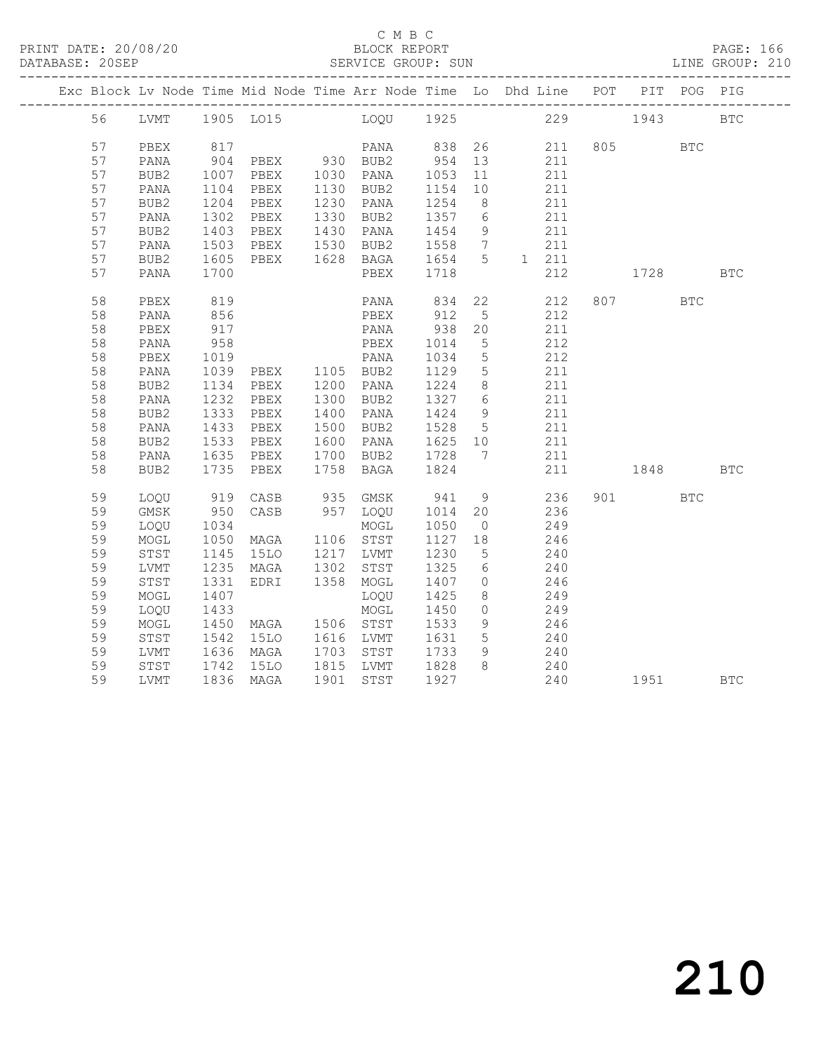|  |    |                  |              | Exc Block Lv Node Time Mid Node Time Arr Node Time Lo Dhd Line POT PIT POG PIG |                                  |                          |                 |                 |           |              |            |
|--|----|------------------|--------------|--------------------------------------------------------------------------------|----------------------------------|--------------------------|-----------------|-----------------|-----------|--------------|------------|
|  |    |                  |              | 56 LVMT 1905 LO15 LOQU 1925 229 1943 BTC                                       |                                  |                          |                 |                 |           |              |            |
|  | 57 | PBEX             |              |                                                                                |                                  |                          |                 | 211 805         |           | <b>BTC</b>   |            |
|  | 57 | PANA             |              |                                                                                |                                  |                          |                 | 211             |           |              |            |
|  | 57 | BUB2             | 1007         |                                                                                | PBEX 1030 PANA 1053 11           |                          |                 | 211             |           |              |            |
|  | 57 | PANA             |              | PBEX                                                                           | 1130 BUB2                        | 1154 10                  |                 | 211             |           |              |            |
|  | 57 | BUB2             | 1104<br>1204 | PBEX                                                                           | 1230 PANA                        | 1154 IU<br>1254 8        |                 | 211             |           |              |            |
|  | 57 | PANA             | 1302         | PBEX                                                                           | 1330 BUB2 1357 6                 |                          |                 | 211             |           |              |            |
|  | 57 | BUB2             | 1403<br>1503 | PBEX 1430 PANA<br>PBEX 1530 BUB2                                               | 1430 PANA 1454 9                 |                          |                 | 211             |           |              |            |
|  | 57 | PANA             |              |                                                                                |                                  | 1558 7                   |                 | 211             |           |              |            |
|  | 57 | BUB2             | 1605         | PBEX                                                                           | 1628 BAGA 1654 5                 |                          |                 | 1 211           |           |              |            |
|  | 57 | PANA             | 1700         |                                                                                | PBEX                             | 1718                     |                 | 212             | 1728      |              | <b>BTC</b> |
|  | 58 | PBEX             | 819          |                                                                                | PANA 834 22                      |                          |                 | 212             | 807 80    | <b>BTC</b>   |            |
|  | 58 | PANA             | 856          |                                                                                | PBEX                             | 912                      | $5\overline{)}$ | 212             |           |              |            |
|  | 58 | PBEX             | 917          |                                                                                | PANA                             | 938 20                   |                 | 211             |           |              |            |
|  | 58 | PANA             | 958          |                                                                                | PBEX                             | 1014                     | $5\overline{)}$ | 212             |           |              |            |
|  | 58 | PBEX             | 1019         |                                                                                | PANA                             | 1034                     | $5\overline{)}$ | 212             |           |              |            |
|  | 58 | PANA             |              | 1039 PBEX 1105 BUB2<br>1134 PBEX 1200 PANA                                     |                                  | 1129                     | $5\overline{)}$ | 211             |           |              |            |
|  | 58 | BUB2             |              |                                                                                |                                  | $\frac{112}{1224}$ 8     |                 | 211             |           |              |            |
|  | 58 | PANA             | 1232         | PBEX                                                                           | 1300 BUB2                        | 1327 6                   |                 | 211             |           |              |            |
|  | 58 | BUB <sub>2</sub> | 1333<br>1433 | PBEX                                                                           | 1400 PANA                        | 1424<br>$1424$<br>1528 5 | 9               | 211             |           |              |            |
|  | 58 | PANA             |              | PBEX                                                                           | 1500 BUB2                        |                          |                 | 211             |           |              |            |
|  | 58 | BUB2             | 1533         | PBEX                                                                           | 1600 PANA 1625 10                |                          |                 | 211             |           |              |            |
|  | 58 | PANA             | 1635         | PBEX                                                                           | 1700 BUB2 1728 7                 |                          |                 | 211             |           |              |            |
|  | 58 | BUB2             |              | 1735 PBEX                                                                      | 1758 BAGA                        | 1824                     |                 | 211             | 1848 BTC  |              |            |
|  | 59 | LOQU             |              | 919 CASB                                                                       | 935 GMSK                         | 941 9                    |                 | 236             | 901 — 100 | $_{\rm BTC}$ |            |
|  | 59 | GMSK             |              | 950 CASB                                                                       | 957 LOQU 1014 20                 |                          |                 | 236             |           |              |            |
|  | 59 | LOQU             | 1034         |                                                                                | MOGL                             | 1050                     | $\overline{0}$  | 249             |           |              |            |
|  | 59 | MOGL             | 1050         | MAGA                                                                           | 1106 STST                        | 1127                     | 18              | 246             |           |              |            |
|  | 59 | STST             | 1145         | 15LO 1217 LVMT                                                                 |                                  | 1230 5                   |                 | 240             |           |              |            |
|  | 59 | LVMT             |              | 1235 MAGA                                                                      | 1302 STST                        | 1325 6                   |                 | 240             |           |              |            |
|  | 59 | STST             | 1331         | EDRI                                                                           | 1358 MOGL                        | 1407 0                   |                 | 246             |           |              |            |
|  | 59 | MOGL             | 1407         |                                                                                | LOQU                             | 1425                     | 8 <sup>8</sup>  | 249             |           |              |            |
|  | 59 | LOQU             | 1433         |                                                                                | MOGL                             | 1450                     | $\overline{0}$  | $\frac{2}{249}$ |           |              |            |
|  | 59 | MOGL             |              | 1450 MAGA 1506 STST                                                            |                                  | 1533                     | 9               | 246             |           |              |            |
|  | 59 | STST             |              | 1542 15LO<br>1636 MAGA                                                         | 1616 LVMT 1631<br>1703 STST 1733 | 1631 5                   |                 | $240$<br>$240$  |           |              |            |
|  | 59 | LVMT             |              |                                                                                |                                  |                          | 9               |                 |           |              |            |
|  | 59 | STST             |              | 1742 15LO 1815 LVMT 1828 8                                                     |                                  |                          |                 | 240             |           |              |            |
|  | 59 | LVMT             |              | 1836 MAGA                                                                      | 1901 STST 1927                   |                          |                 | 240 1951 BTC    |           |              |            |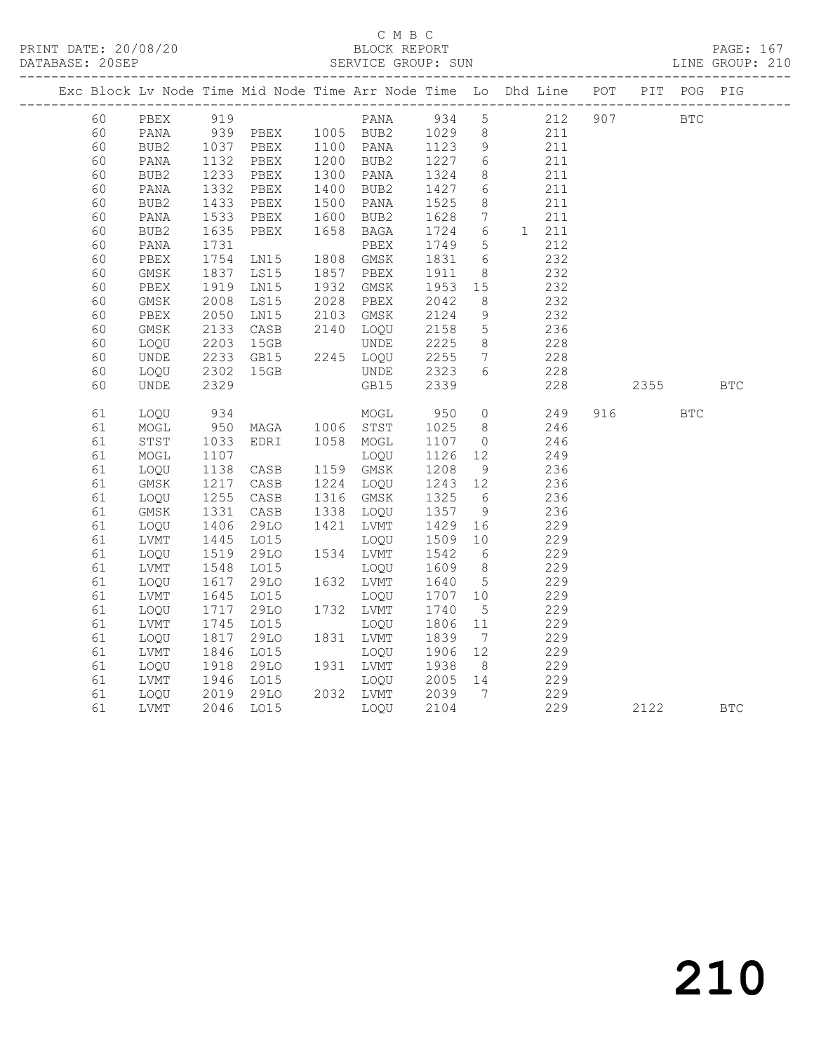### C M B C<br>BLOCK REPORT

|  | DATABASE: 20SEP |             |                                                        |          |      |           |         |                 |                                                                                |            |            | LINE GROUP: 210 |
|--|-----------------|-------------|--------------------------------------------------------|----------|------|-----------|---------|-----------------|--------------------------------------------------------------------------------|------------|------------|-----------------|
|  |                 |             |                                                        |          |      |           |         |                 | Exc Block Lv Node Time Mid Node Time Arr Node Time Lo Dhd Line POT PIT POG PIG |            |            |                 |
|  | 60              | PBEX        | 919                                                    |          |      | PANA      | 934 5   |                 | 212 907                                                                        | <b>BTC</b> |            |                 |
|  | 60              | PANA        |                                                        | 939 PBEX |      | 1005 BUB2 | 1029    | 8 <sup>8</sup>  | 211                                                                            |            |            |                 |
|  | 60              | BUB2        | 1037<br>1132                                           | PBEX     |      | 1100 PANA | 1123    | 9               | 211                                                                            |            |            |                 |
|  | 60              | PANA        |                                                        | PBEX     |      | 1200 BUB2 | 1227    | $6\overline{6}$ | 211                                                                            |            |            |                 |
|  | 60              | BUB2        | 1233<br>1332                                           | PBEX     |      | 1300 PANA | 1324    | 8               | 211                                                                            |            |            |                 |
|  | 60              | PANA        |                                                        | PBEX     |      | 1400 BUB2 | 1427    | 6               | 211                                                                            |            |            |                 |
|  | 60              | BUB2        | 1433                                                   | PBEX     |      | 1500 PANA | 1525    | 8               | 211                                                                            |            |            |                 |
|  | 60              | PANA        | 1533                                                   | PBEX     | 1600 | BUB2      | 1628    | $7\overline{ }$ | 211                                                                            |            |            |                 |
|  | 60              | BUB2        | 1635                                                   | PBEX     | 1658 | BAGA      | 1724    | $6\overline{6}$ | 1 211                                                                          |            |            |                 |
|  | 60              | PANA        | 1731                                                   |          |      | PBEX      | 1749    | $5\phantom{.0}$ | 212                                                                            |            |            |                 |
|  | 60              | PBEX        | 1754                                                   | LNI5     |      | 1808 GMSK | 1831    | 6               | 232                                                                            |            |            |                 |
|  | 60              | GMSK        | 1837                                                   | LS15     |      | 1857 PBEX | 1911    | 8               | 232                                                                            |            |            |                 |
|  | 60              | PBEX        | 1919                                                   | LN15     | 1932 | GMSK      | 1953    | 15              | 232                                                                            |            |            |                 |
|  | 60              | GMSK        | 2008                                                   | LS15     | 2028 | PBEX      | 2042    | 8 <sup>8</sup>  | 232                                                                            |            |            |                 |
|  | 60              | PBEX        | 2050                                                   | LN15     | 2103 | GMSK      | 2124    | 9               | 232                                                                            |            |            |                 |
|  | 60              | $\rm{GMSK}$ | 2133                                                   | CASB     |      | 2140 LOQU | 2158    | $5\overline{)}$ | 236                                                                            |            |            |                 |
|  | 60              | LOOU        | 2203                                                   | 15GB     |      | UNDE      | 2225    | 8 <sup>8</sup>  | 228                                                                            |            |            |                 |
|  | 60              | <b>UNDE</b> | 2233                                                   | GB15     |      | 2245 LOQU | 2255    | $\overline{7}$  | 228                                                                            |            |            |                 |
|  | 60              | LOQU        | 2302                                                   | 15GB     |      | UNDE      | 2323    | 6               | 228                                                                            |            |            |                 |
|  | 60              | <b>UNDE</b> | 2329                                                   |          |      | GB15      | 2339    |                 | 228                                                                            |            | 2355       | <b>BTC</b>      |
|  | 61              | LOOU        | 934                                                    |          |      | MOGL      | 950     | $\circ$         | 249                                                                            | 916 — 10   | <b>BTC</b> |                 |
|  | 61              | $\sf{MOGL}$ | $\begin{array}{c}\n 950 \\  \hline\n 16\n \end{array}$ | MAGA     |      | 1006 STST | 1025    | 8 <sup>8</sup>  | 246                                                                            |            |            |                 |
|  | 61              | STST        | 1033                                                   | EDRI     |      | 1058 MOGL | 1107    | $\overline{0}$  | 246                                                                            |            |            |                 |
|  | 61              | MOGL        | 1107                                                   |          |      | LOQU      | 1126    | 12              | 249                                                                            |            |            |                 |
|  | 61              | LOQU        | 1138                                                   | CASB     |      | 1159 GMSK | 1208    | 9               | 236                                                                            |            |            |                 |
|  | 61              | GMSK        | 1217                                                   | CASB     |      | 1224 LOQU | 1243 12 |                 | 236                                                                            |            |            |                 |
|  | 61              | LOQU        | 1255                                                   | CASB     |      | 1316 GMSK | 1325    | 6               | 236                                                                            |            |            |                 |
|  | 61              | GMSK        | 1331                                                   | CASB     | 1338 | LOQU      | 1357    | 9               | 236                                                                            |            |            |                 |
|  | 61              | LOQU        | 1406                                                   | 29LO     | 1421 | LVMT      | 1429    | 16              | 229                                                                            |            |            |                 |
|  | 61              | LVMT        | 1445                                                   | L015     |      | LOQU      | 1509    | 10              | 229                                                                            |            |            |                 |
|  | 61              | LOQU        | 1519                                                   | 29LO     |      | 1534 LVMT | 1542    | 6               | 229                                                                            |            |            |                 |
|  | 61              | LVMT        | 1548                                                   | L015     |      | LOQU      | 1609    | 8 <sup>8</sup>  | 229                                                                            |            |            |                 |
|  | 61              | LOQU        | 1617                                                   | 29LO     |      | 1632 LVMT | 1640    | $5\overline{)}$ | 229                                                                            |            |            |                 |
|  | 61              | LVMT        | 1645                                                   | LO15     |      | LOQU      | 1707    | 10              | 229                                                                            |            |            |                 |
|  | 61              | LOQU        | 1717                                                   | 29LO     |      | 1732 LVMT | 1740    | $5^{\circ}$     | 229                                                                            |            |            |                 |
|  | 61              | LVMT        | 1745                                                   | LO15     |      | LOOU      | 1806    | 11              | 229                                                                            |            |            |                 |
|  | 61              | LOQU        | 1817                                                   | 29LO     |      | 1831 LVMT | 1839    | $\overline{7}$  | 229                                                                            |            |            |                 |
|  | 61              | LVMT        | 1846                                                   | LO15     |      | LOQU      | 1906    | 12              | 229                                                                            |            |            |                 |
|  | 61              | LOQU        | 1918<br>1946                                           | 29LO     |      | 1931 LVMT | 1938    | 8 <sup>8</sup>  | 229                                                                            |            |            |                 |
|  | 61              | LVMT        |                                                        | LO15     |      | LOQU      | 2005 14 |                 | 229                                                                            |            |            |                 |
|  | 61              | LOOU        | 2019                                                   | 29LO     |      | 2032 LVMT | 2039    | $7\overline{ }$ | 229                                                                            |            |            |                 |
|  | 61              | LVMT        | 2046                                                   | LO15     |      | LOOU      | 2104    |                 | 229                                                                            | 2122       |            | <b>BTC</b>      |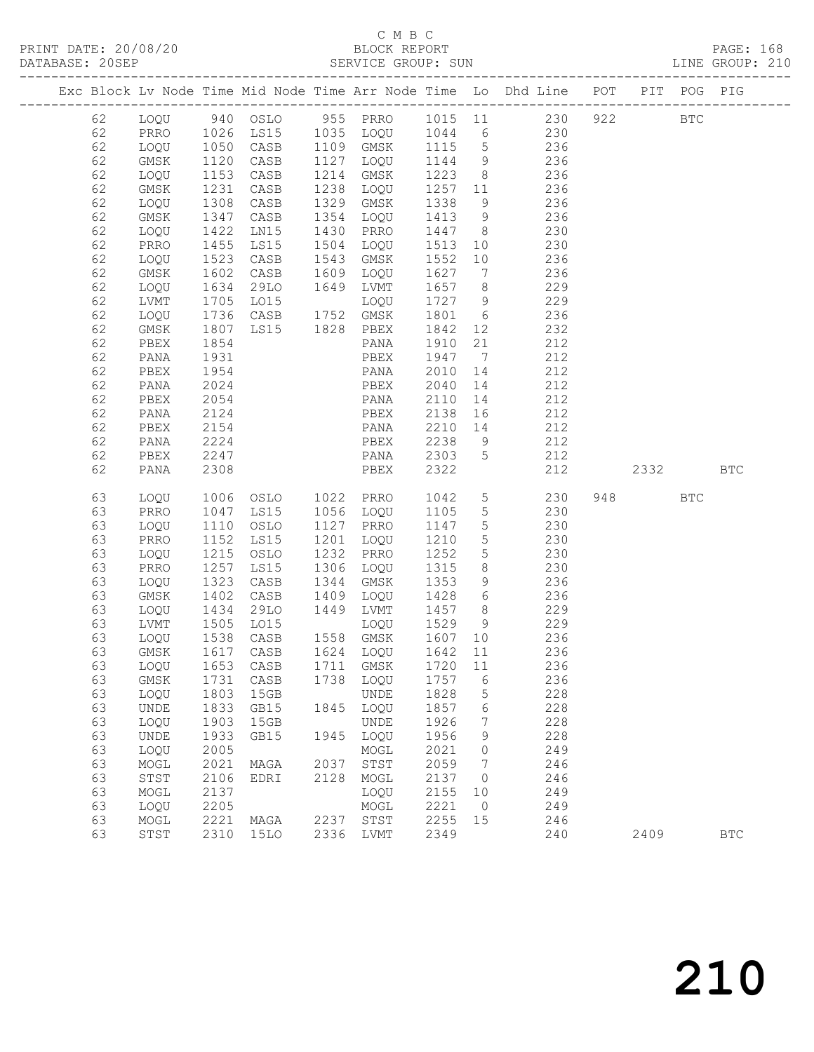## C M B C<br>BLOCK REPORT

| DATABASE: 20SEP |          |              |                      |                                            |      |                                  |                                             |                 | SERVICE GROUP: SUN                                                             |          |            | LINE GROUP: 210 |  |
|-----------------|----------|--------------|----------------------|--------------------------------------------|------|----------------------------------|---------------------------------------------|-----------------|--------------------------------------------------------------------------------|----------|------------|-----------------|--|
|                 |          |              |                      |                                            |      |                                  |                                             |                 | Exc Block Lv Node Time Mid Node Time Arr Node Time Lo Dhd Line POT PIT POG PIG |          |            |                 |  |
|                 | 62       |              |                      |                                            |      |                                  |                                             |                 | LOQU 940 OSLO 955 PRRO 1015 11 230 922 BTC                                     |          |            |                 |  |
|                 | 62       | PRRO         |                      |                                            |      |                                  |                                             |                 | 1026 LS15 1035 LOQU 1044 6 230                                                 |          |            |                 |  |
|                 | 62       | LOQU         | 1050<br>1120<br>1153 |                                            |      |                                  |                                             |                 |                                                                                |          |            |                 |  |
|                 | 62       | GMSK         |                      |                                            |      |                                  |                                             |                 | CASB 1109 GMSK 1115 5 236<br>CASB 1127 LOQU 1144 9 236                         |          |            |                 |  |
|                 | 62       | LOQU         |                      | CASB                                       |      |                                  |                                             |                 | 1127 1888 1111 5 250<br>1214 GMSK 1223 8 236                                   |          |            |                 |  |
|                 | 62       | GMSK         | 1231                 | CASB                                       |      |                                  |                                             |                 | 1238 LOQU 1257 11 236                                                          |          |            |                 |  |
|                 | 62       | LOQU         | 1308                 | CASB                                       |      | 1329 GMSK                        | 1338                                        |                 | 9 236                                                                          |          |            |                 |  |
|                 | 62       | GMSK         | 1347<br>1422         | CASB                                       |      | 1354 LOQU 1413 9                 |                                             |                 | 236                                                                            |          |            |                 |  |
|                 | 62       | LOQU         |                      | LNI5                                       |      | 1430 PRRO                        | $\begin{array}{ccc} 1447 & & 8 \end{array}$ |                 | 230                                                                            |          |            |                 |  |
|                 | 62       | PRRO         | 1455                 | LS15                                       |      |                                  |                                             |                 | 1504 LOQU 1513 10 230                                                          |          |            |                 |  |
|                 | 62       | LOQU         | 1523                 | CASB                                       |      | 1543 GMSK                        | 1552                                        | 10              | 236                                                                            |          |            |                 |  |
|                 | 62       | GMSK         | 1602<br>1634         | CASB                                       |      | 1609 LOQU                        | 1627 7                                      |                 | 236                                                                            |          |            |                 |  |
|                 | 62       | LOQU         |                      | 29LO                                       |      | 1649 LVMT                        | $\overline{1657}$ 8                         |                 | 229                                                                            |          |            |                 |  |
|                 | 62       | LVMT         | 1705                 | LO15                                       |      |                                  |                                             |                 | LOQU 1727 9 229                                                                |          |            |                 |  |
|                 | 62       | LOQU         | 1736                 |                                            |      |                                  |                                             |                 | CASB 1752 GMSK 1801 6 236                                                      |          |            |                 |  |
|                 | 62       | GMSK         | 1807<br>1854         | LS15 1828 PBEX                             |      |                                  | 1842 12                                     |                 | 232                                                                            |          |            |                 |  |
|                 | 62       | PBEX         |                      |                                            |      | PANA                             | 1910 21                                     |                 | 212                                                                            |          |            |                 |  |
|                 | 62       | PANA         | 1931                 |                                            |      |                                  |                                             |                 | PBEX 1947 7 212                                                                |          |            |                 |  |
|                 | 62       | PBEX         | 1954                 |                                            |      | PANA                             | 2010                                        | 14              | 212                                                                            |          |            |                 |  |
|                 | 62       | PANA         | 2024                 |                                            |      | PBEX                             | 2040 14                                     |                 | 212                                                                            |          |            |                 |  |
|                 | 62       | PBEX         | 2054                 |                                            |      | PANA                             | 2110                                        | 14              | 212<br>2138 16 212                                                             |          |            |                 |  |
|                 | 62       | PANA         | 2124                 |                                            |      | PBEX                             |                                             |                 |                                                                                |          |            |                 |  |
|                 | 62<br>62 | PBEX<br>PANA | 2154                 |                                            |      | PANA<br>PBEX                     | 2238 9                                      |                 | 2210 14 212                                                                    |          |            |                 |  |
|                 | 62       | PBEX         | 2224<br>2247         |                                            |      | PANA 2303 5                      |                                             |                 | 212<br>212                                                                     |          |            |                 |  |
|                 | 62       | PANA         | 2308                 |                                            |      | PBEX                             | 2322                                        |                 | 212                                                                            | 2332 BTC |            |                 |  |
|                 | 63       | LOQU         |                      |                                            |      |                                  |                                             |                 | 1042 5 230                                                                     |          | <b>BTC</b> |                 |  |
|                 | 63       | PRRO         |                      | 1006 OSLO 1022 PRRO<br>1047 LS15 1056 LOQU |      | 1056 LOQU                        | 1105                                        | 5 <sup>5</sup>  | 230                                                                            |          |            |                 |  |
|                 | 63       | LOQU         | 1110                 | OSLO                                       |      | 1127 PRRO                        | 1147 5                                      |                 | 230                                                                            |          |            |                 |  |
|                 | 63       | PRRO         | 1152                 | LS15                                       |      | 1201 LOQU                        | 1210                                        | 5 <sup>5</sup>  | 230                                                                            |          |            |                 |  |
|                 | 63       | LOQU         | 1215                 | OSLO                                       |      | 1232 PRRO                        | 1252                                        | $5\overline{)}$ | 230                                                                            |          |            |                 |  |
|                 | 63       | PRRO         | 1257<br>1323         | LS15                                       |      | 1306 LOQU                        | 1315                                        | 8 <sup>8</sup>  | 230                                                                            |          |            |                 |  |
|                 | 63       | LOQU         |                      | CASB                                       |      | 1344 GMSK                        | 13539                                       |                 | 236                                                                            |          |            |                 |  |
|                 | 63       | GMSK         | 1402                 | CASB                                       |      |                                  |                                             |                 | 1409 LOQU 1428 6 236                                                           |          |            |                 |  |
|                 | 63       | LOQU         | 1434                 |                                            |      | 29LO 1449 LVMT 1457 8            |                                             |                 | 229                                                                            |          |            |                 |  |
|                 | 63       | LVMT         |                      | 1505 LO15<br>1538 CASB<br>LO15             |      | LOQU 1529 9<br>GMSK 1607 10      |                                             | 9               | 229<br>236                                                                     |          |            |                 |  |
|                 | 63       | LOQU         |                      |                                            |      | 1558 GMSK                        |                                             |                 |                                                                                |          |            |                 |  |
|                 | 63       |              |                      |                                            |      | GMSK 1617 CASB 1624 LOQU 1642 11 |                                             |                 | 236                                                                            |          |            |                 |  |
|                 | 63<br>63 | LOQU         |                      | 1653 CASB<br>CASB                          | 1711 | GMSK<br>1738 LOQU                | 1720<br>1757                                | 11<br>6         | 236<br>236                                                                     |          |            |                 |  |
|                 | 63       | GMSK<br>LOQU | 1731<br>1803         | 15GB                                       |      | UNDE                             | 1828                                        | 5               | 228                                                                            |          |            |                 |  |
|                 | 63       | UNDE         | 1833                 | GB15                                       | 1845 | LOQU                             | 1857                                        | 6               | 228                                                                            |          |            |                 |  |
|                 | 63       | LOQU         | 1903                 | 15GB                                       |      | UNDE                             | 1926                                        | 7               | 228                                                                            |          |            |                 |  |
|                 | 63       | UNDE         | 1933                 | GB15                                       |      | 1945 LOQU                        | 1956                                        | 9               | 228                                                                            |          |            |                 |  |
|                 | 63       | LOQU         | 2005                 |                                            |      | $\sf{MOGL}$                      | 2021                                        | $\overline{0}$  | 249                                                                            |          |            |                 |  |
|                 | 63       | MOGL         | 2021                 | MAGA                                       | 2037 | ${\tt STST}$                     | 2059                                        | 7               | 246                                                                            |          |            |                 |  |
|                 | 63       | STST         | 2106                 | EDRI                                       | 2128 | MOGL                             | 2137                                        | $\overline{0}$  | 246                                                                            |          |            |                 |  |
|                 | 63       | MOGL         | 2137                 |                                            |      | LOQU                             | 2155                                        | 10              | 249                                                                            |          |            |                 |  |
|                 | 63       | LOQU         | 2205                 |                                            |      | MOGL                             | 2221                                        | $\overline{0}$  | 249                                                                            |          |            |                 |  |
|                 | 63       | MOGL         | 2221                 | MAGA                                       |      | 2237 STST                        | 2255                                        | 15              | 246                                                                            |          |            |                 |  |
|                 | 63       | STST         | 2310                 | 15LO                                       |      | 2336 LVMT                        | 2349                                        |                 | 240                                                                            | 2409     |            | $_{\rm BTC}$    |  |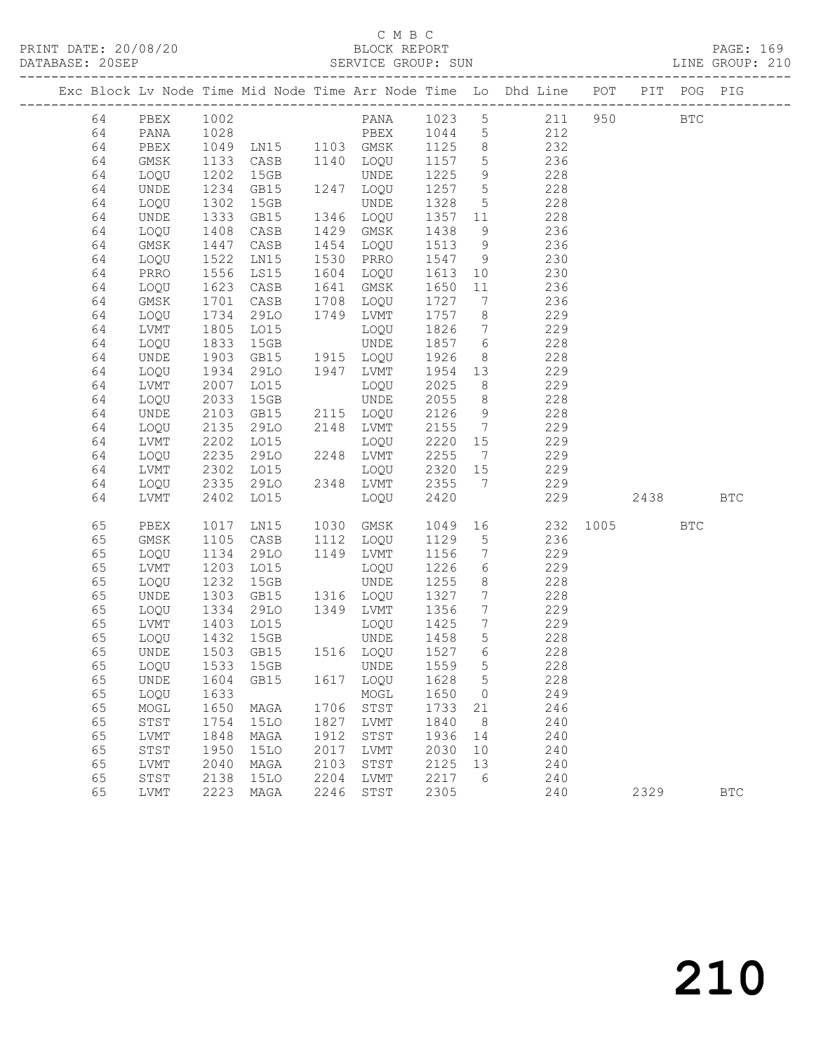### $\begin{tabular}{lllllll} \multicolumn{2}{c}{\textbf{C} M B C} & \multicolumn{2}{c}{\textbf{C} M B C} \\ \multicolumn{2}{c}{\textbf{P RINT} \textbf{DATE: }}& 20/08/20 & & & & & \multicolumn{2}{c}{\textbf{E} M B C} \\ \multicolumn{2}{c}{\textbf{D} M T C} & \multicolumn{2}{c}{\textbf{D} M T C} & \multicolumn{2}{c}{\textbf{D} M T C} & \multicolumn{2}{c}{\textbf{D} M T C} & \multicolumn{2}{c}{\textbf{D} M T C} & \multicolumn{2}{c}{$

PRINT DATE: 20/08/20 BLOCK REPORT PAGE: 169 DATABASE: 20SEP SERVICE GROUP: SUN LINE GROUP: 210 -------------------------------------------------------------------------------------------------

|  |          |             |      |                        |      |                               |      |                              | Exc Block Lv Node Time Mid Node Time Arr Node Time Lo Dhd Line POT |      | PIT  | POG PIG    |            |
|--|----------|-------------|------|------------------------|------|-------------------------------|------|------------------------------|--------------------------------------------------------------------|------|------|------------|------------|
|  | 64       | PBEX        | 1002 |                        |      | PANA                          | 1023 | 5                            | 211                                                                | 950  |      | <b>BTC</b> |            |
|  | 64       | PANA        | 1028 |                        |      | PBEX                          | 1044 | $5\phantom{.0}$              | 212                                                                |      |      |            |            |
|  | 64       | PBEX        | 1049 | PBEX<br>LN15 1103 GMSK |      |                               | 1125 | $8\phantom{1}$               | 232                                                                |      |      |            |            |
|  | 64       | GMSK        | 1133 | CASB                   | 1140 | LOQU                          | 1157 | 5                            | 236                                                                |      |      |            |            |
|  | 64       | LOQU        | 1202 | 15GB                   |      | UNDE                          | 1225 | 9                            | 228                                                                |      |      |            |            |
|  | 64       | UNDE        | 1234 | GB15                   |      | 1247 LOQU                     | 1257 | $5\phantom{.0}$              | 228                                                                |      |      |            |            |
|  | 64       | LOQU        | 1302 | 15GB                   |      | UNDE                          | 1328 | $5\phantom{.0}$              | 228                                                                |      |      |            |            |
|  | 64       | UNDE        | 1333 | GB15                   | 1346 | LOQU                          | 1357 | 11                           | 228                                                                |      |      |            |            |
|  | 64       | LOQU        | 1408 | CASB                   | 1429 | GMSK                          | 1438 | 9                            | 236                                                                |      |      |            |            |
|  | 64       | GMSK        | 1447 | CASB                   | 1454 | LOQU                          | 1513 | 9                            | 236                                                                |      |      |            |            |
|  | 64       | LOQU        | 1522 | LN15                   | 1530 | PRRO                          | 1547 | 9                            | 230                                                                |      |      |            |            |
|  | 64       | PRRO        | 1556 | LS15                   | 1604 | LOQU                          | 1613 | 10                           | 230                                                                |      |      |            |            |
|  | 64       | LOQU        | 1623 | CASB                   | 1641 | GMSK                          | 1650 | 11                           | 236                                                                |      |      |            |            |
|  | 64       | GMSK        | 1701 | CASB                   | 1708 | LOQU                          | 1727 | 7                            | 236                                                                |      |      |            |            |
|  | 64       | LOQU        | 1734 | 29LO                   | 1749 | LVMT                          | 1757 | 8                            | 229                                                                |      |      |            |            |
|  | 64       | LVMT        | 1805 | LO15                   |      | LOQU                          | 1826 | $7\overline{ }$              | 229                                                                |      |      |            |            |
|  | 64       | LOQU        | 1833 | 15GB                   |      | UNDE                          | 1857 | $6\overline{6}$              | 228                                                                |      |      |            |            |
|  | 64       | UNDE        | 1903 | GB15                   | 1915 | LOQU                          | 1926 | 8                            | 228                                                                |      |      |            |            |
|  | 64       | LOQU        | 1934 | 29LO                   | 1947 | LVMT                          | 1954 | 13                           | 229                                                                |      |      |            |            |
|  | 64       | LVMT        | 2007 | LO15                   |      | LOQU                          | 2025 | 8                            | 229                                                                |      |      |            |            |
|  | 64       | LOQU        | 2033 | 15GB                   |      | UNDE                          | 2055 | 8                            | 228                                                                |      |      |            |            |
|  | 64       | <b>UNDE</b> | 2103 | GB15                   |      | 2115 LOQU                     | 2126 | 9                            | 228                                                                |      |      |            |            |
|  | 64       | LOQU        | 2135 | 29LO                   |      | 2148 LVMT                     | 2155 | $\overline{7}$               | 229                                                                |      |      |            |            |
|  | 64       | LVMT        | 2202 | LO15                   |      | LOQU                          | 2220 | 15                           | 229                                                                |      |      |            |            |
|  | 64       | LOQU        | 2235 | 29LO                   |      | 2248 LVMT                     | 2255 | $7\phantom{.0}\phantom{.0}7$ | 229                                                                |      |      |            |            |
|  | 64       | LVMT        | 2302 | LO15                   |      | LOQU                          | 2320 | 15                           | 229                                                                |      |      |            |            |
|  | 64       | LOQU        | 2335 | 29LO                   |      | 2348 LVMT                     | 2355 | $7\phantom{.0}\phantom{.0}7$ | 229                                                                |      |      |            |            |
|  | 64       | LVMT        | 2402 | LO15                   |      | LOQU                          | 2420 |                              | 229                                                                |      | 2438 |            | <b>BTC</b> |
|  | 65       | PBEX        | 1017 | LN15                   | 1030 | GMSK                          | 1049 | 16                           | 232                                                                | 1005 |      | <b>BTC</b> |            |
|  | 65       | GMSK        | 1105 | CASB                   | 1112 | LOQU                          | 1129 | 5                            | 236                                                                |      |      |            |            |
|  | 65       | LOQU        | 1134 | 29LO                   | 1149 | LVMT                          | 1156 | $7\phantom{.0}$              | 229                                                                |      |      |            |            |
|  | 65       | LVMT        | 1203 | LO15                   |      | LOQU                          | 1226 | 6                            | 229                                                                |      |      |            |            |
|  | 65       | LOQU        | 1232 | 15GB                   |      | <b>UNDE</b>                   | 1255 | 8                            | 228                                                                |      |      |            |            |
|  | 65       | UNDE        | 1303 | GB15                   |      | 1316 LOQU                     | 1327 | 7                            | 228                                                                |      |      |            |            |
|  | 65       | LOQU        | 1334 | 29LO                   | 1349 | LVMT                          | 1356 | $7\phantom{.0}$              | 229                                                                |      |      |            |            |
|  | 65       | LVMT        | 1403 | L015                   |      | LOQU                          | 1425 | 7                            | 229                                                                |      |      |            |            |
|  | 65       | LOQU        | 1432 | 15GB                   |      | UNDE                          | 1458 | 5                            | 228                                                                |      |      |            |            |
|  | 65       | UNDE        | 1503 | GB15                   |      | 1516 LOQU                     | 1527 | 6                            | 228                                                                |      |      |            |            |
|  | 65       | LOQU        | 1533 | 15GB                   |      | UNDE                          | 1559 | 5                            | 228                                                                |      |      |            |            |
|  | 65       |             |      |                        |      | UNDE 1604 GB15 1617 LOQU 1628 |      | 5 <sup>5</sup>               | 228                                                                |      |      |            |            |
|  | 65       | LOQU        | 1633 |                        |      | MOGL                          | 1650 | $\overline{0}$               | 249                                                                |      |      |            |            |
|  | 65       | MOGL        | 1650 | MAGA                   | 1706 | STST                          | 1733 | 21                           | 246                                                                |      |      |            |            |
|  | 65       | STST        | 1754 | <b>15LO</b>            | 1827 | LVMT                          | 1840 | 8                            | 240                                                                |      |      |            |            |
|  | 65       | LVMT        | 1848 | MAGA                   | 1912 | STST                          | 1936 | 14                           | 240                                                                |      |      |            |            |
|  | 65       | STST        | 1950 | <b>15LO</b>            | 2017 | <b>LVMT</b>                   | 2030 | 10                           | 240                                                                |      |      |            |            |
|  | 65       | LVMT        | 2040 | MAGA                   | 2103 | STST                          | 2125 | 13                           | 240                                                                |      |      |            |            |
|  | 65<br>65 | STST        | 2138 | 15LO                   | 2204 | LVMT                          | 2217 | 6                            | 240                                                                |      |      |            |            |
|  |          | LVMT        | 2223 | MAGA                   | 2246 | STST                          | 2305 |                              | 240                                                                |      | 2329 |            | <b>BTC</b> |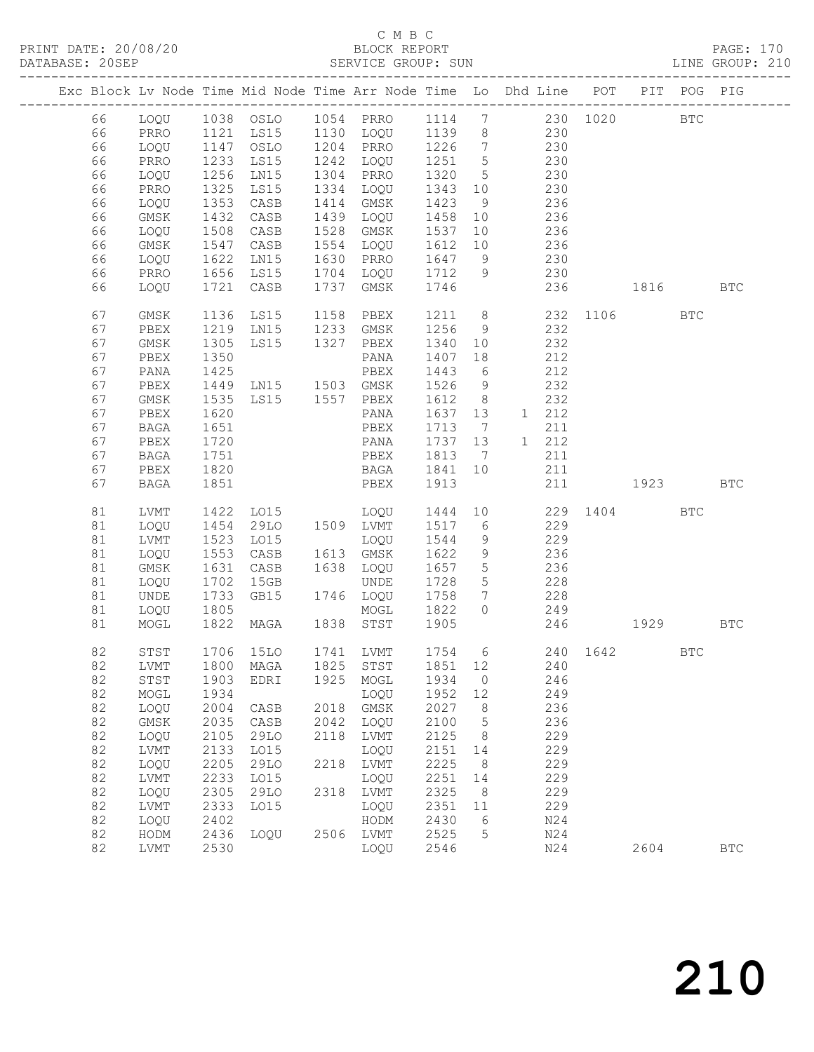|    |              |      |                                  |      | Exc Block Lv Node Time Mid Node Time Arr Node Time Lo Dhd Line POT |        |                 |     |       |          |                                                                                                                                                                                                                                 | PIT POG PIG  |            |
|----|--------------|------|----------------------------------|------|--------------------------------------------------------------------|--------|-----------------|-----|-------|----------|---------------------------------------------------------------------------------------------------------------------------------------------------------------------------------------------------------------------------------|--------------|------------|
| 66 | LOQU         |      |                                  |      |                                                                    |        |                 |     |       | 230 1020 |                                                                                                                                                                                                                                 | $_{\rm BTC}$ |            |
| 66 | PRRO         |      | 1121 LS15                        |      | 1130 LOQU                                                          | 1139 8 |                 |     | 230   |          |                                                                                                                                                                                                                                 |              |            |
| 66 | LOQU         | 1147 | OSLO                             |      | 1204 PRRO                                                          | 1226   | $7\overline{)}$ |     | 230   |          |                                                                                                                                                                                                                                 |              |            |
| 66 | PRRO         | 1233 | LS15                             |      | 1242 LOQU                                                          | 1251 5 |                 |     | 230   |          |                                                                                                                                                                                                                                 |              |            |
| 66 | LOQU         | 1256 | LN15                             |      | 1304 PRRO                                                          | 1320   | $5\overline{)}$ | 230 |       |          |                                                                                                                                                                                                                                 |              |            |
| 66 | PRRO         | 1325 | LS15                             | 1334 | LOQU                                                               | 1343   | 10              |     | 230   |          |                                                                                                                                                                                                                                 |              |            |
| 66 | LOQU         | 1353 | CASB                             |      | 1414 GMSK                                                          | 1423   | 9               |     | 236   |          |                                                                                                                                                                                                                                 |              |            |
| 66 | GMSK         | 1432 | CASB                             | 1439 | LOQU                                                               | 1458   | 10              |     | 236   |          |                                                                                                                                                                                                                                 |              |            |
| 66 | LOQU         | 1508 | CASB                             | 1528 | GMSK                                                               | 1537   | 10              | 236 |       |          |                                                                                                                                                                                                                                 |              |            |
| 66 | GMSK         | 1547 | CASB                             | 1554 | LOQU                                                               | 1612   | 10              | 236 |       |          |                                                                                                                                                                                                                                 |              |            |
| 66 | LOQU         | 1622 | LN15                             |      | 1630 PRRO                                                          | 1647   | 9               |     | 230   |          |                                                                                                                                                                                                                                 |              |            |
| 66 | PRRO         |      | $1656$ LS15                      |      | 1704 LOQU                                                          | 1712   | 9               |     | 230   |          |                                                                                                                                                                                                                                 |              |            |
| 66 | LOQU         | 1721 | CASB                             | 1737 | GMSK                                                               | 1746   |                 |     | 236   |          | 1816                                                                                                                                                                                                                            |              | <b>BTC</b> |
|    |              |      |                                  |      |                                                                    |        |                 |     |       |          |                                                                                                                                                                                                                                 |              |            |
| 67 | GMSK         | 1136 | LS15                             |      | 1158 PBEX                                                          | 1211 8 |                 |     |       |          | 232 1106                                                                                                                                                                                                                        | <b>BTC</b>   |            |
| 67 | PBEX         | 1219 | LN15                             |      | 1233 GMSK                                                          | 1256   | 9               |     | 232   |          |                                                                                                                                                                                                                                 |              |            |
| 67 | GMSK         | 1305 | LS15                             | 1327 | PBEX                                                               | 1340   | 10              |     | 232   |          |                                                                                                                                                                                                                                 |              |            |
| 67 | PBEX         | 1350 |                                  |      | PANA                                                               | 1407   | 18              |     | 212   |          |                                                                                                                                                                                                                                 |              |            |
| 67 | PANA         | 1425 | 1425 PBEX<br>1449 LN15 1503 GMSK |      | PBEX                                                               | 1443   | 6               |     | 212   |          |                                                                                                                                                                                                                                 |              |            |
| 67 | PBEX         |      |                                  |      |                                                                    | 1526   | 9               |     | 232   |          |                                                                                                                                                                                                                                 |              |            |
| 67 | GMSK         | 1535 | LS15 1557 PBEX                   |      |                                                                    | 1612   | 8 <sup>8</sup>  |     | 232   |          |                                                                                                                                                                                                                                 |              |            |
| 67 | PBEX         | 1620 |                                  |      | PANA                                                               | 1637   | 13              |     | 1 212 |          |                                                                                                                                                                                                                                 |              |            |
| 67 | BAGA         | 1651 |                                  |      | PBEX                                                               | 1713   | $\overline{7}$  |     | 211   |          |                                                                                                                                                                                                                                 |              |            |
| 67 | PBEX         | 1720 |                                  |      | PANA                                                               | 1737   | 13              |     | 1 212 |          |                                                                                                                                                                                                                                 |              |            |
| 67 | BAGA         | 1751 |                                  |      | PBEX                                                               | 1813   | $\overline{7}$  |     | 211   |          |                                                                                                                                                                                                                                 |              |            |
| 67 | PBEX         | 1820 |                                  |      | BAGA                                                               | 1841   | 10              |     | 211   |          |                                                                                                                                                                                                                                 |              |            |
| 67 | <b>BAGA</b>  | 1851 |                                  |      | PBEX                                                               | 1913   |                 |     | 211   |          | 1923 — 1923 — 1924 — 1925 — 1926 — 1927 — 1928 — 1928 — 1928 — 1928 — 1928 — 1928 — 1928 — 1928 — 1928 — 1928 — 1928 — 1928 — 1928 — 1928 — 1928 — 1928 — 1928 — 1928 — 1928 — 1928 — 1928 — 1928 — 1928 — 1928 — 1928 — 1928 — |              | <b>BTC</b> |
| 81 | LVMT         | 1422 | LO15                             |      | LOQU                                                               | 1444   |                 | 10  |       |          | 229 1404                                                                                                                                                                                                                        | <b>BTC</b>   |            |
| 81 | LOQU         | 1454 | 29LO                             |      | 1509 LVMT                                                          | 1517   | 6               |     | 229   |          |                                                                                                                                                                                                                                 |              |            |
| 81 | LVMT         | 1523 | LO15                             |      | LOQU                                                               | 1544   | 9               |     | 229   |          |                                                                                                                                                                                                                                 |              |            |
| 81 | LOQU         | 1553 | CASB                             |      | 1613 GMSK                                                          | 1622   | 9               |     | 236   |          |                                                                                                                                                                                                                                 |              |            |
| 81 | GMSK         | 1631 | CASB                             |      | 1638 LOQU                                                          | 1657   | $5\overline{)}$ |     | 236   |          |                                                                                                                                                                                                                                 |              |            |
| 81 | LOQU         | 1702 | 15GB                             |      | UNDE                                                               | 1728   | $5\overline{)}$ |     | 228   |          |                                                                                                                                                                                                                                 |              |            |
| 81 | UNDE         | 1733 | GB15                             |      | 1746 LOQU                                                          | 1758   | $7\phantom{.0}$ |     | 228   |          |                                                                                                                                                                                                                                 |              |            |
| 81 | LOQU         | 1805 |                                  |      | MOGL                                                               | 1822   | $\circ$         |     | 249   |          |                                                                                                                                                                                                                                 |              |            |
| 81 | MOGL         | 1822 | MAGA                             |      | 1838 STST                                                          | 1905   |                 |     | 246   |          | 1929                                                                                                                                                                                                                            |              | <b>BTC</b> |
|    |              |      |                                  |      |                                                                    |        |                 |     |       |          |                                                                                                                                                                                                                                 |              |            |
| 82 | STST         |      | 1706 15LO                        |      | 1741 LVMT                                                          |        |                 |     |       |          | 1754 6 240 1642                                                                                                                                                                                                                 | <b>BTC</b>   |            |
|    |              |      |                                  |      | 82 LVMT 1800 MAGA 1825 STST 1851 12                                |        |                 |     | 240   |          |                                                                                                                                                                                                                                 |              |            |
| 82 | STST         | 1903 | EDRI                             | 1925 | MOGL                                                               | 1934   | $\circ$         |     | 246   |          |                                                                                                                                                                                                                                 |              |            |
| 82 | MOGL         | 1934 |                                  |      | LOQU                                                               | 1952   | 12              |     | 249   |          |                                                                                                                                                                                                                                 |              |            |
| 82 | LOQU         | 2004 | CASB                             | 2018 | GMSK                                                               | 2027   | 8               |     | 236   |          |                                                                                                                                                                                                                                 |              |            |
| 82 | GMSK         | 2035 | CASB                             | 2042 | LOQU                                                               | 2100   | 5               |     | 236   |          |                                                                                                                                                                                                                                 |              |            |
| 82 | LOQU         | 2105 | 29LO                             | 2118 | LVMT                                                               | 2125   | 8               |     | 229   |          |                                                                                                                                                                                                                                 |              |            |
| 82 | ${\rm LVMT}$ | 2133 | L015                             |      | LOQU                                                               | 2151   | 14              |     | 229   |          |                                                                                                                                                                                                                                 |              |            |
| 82 | LOQU         | 2205 | 29LO                             | 2218 | LVMT                                                               | 2225   | 8               |     | 229   |          |                                                                                                                                                                                                                                 |              |            |
| 82 | LVMT         | 2233 | LO15                             |      | LOQU                                                               | 2251   | 14              |     | 229   |          |                                                                                                                                                                                                                                 |              |            |
| 82 | LOQU         | 2305 | 29LO                             | 2318 | LVMT                                                               | 2325   | 8               |     | 229   |          |                                                                                                                                                                                                                                 |              |            |
| 82 | LVMT         | 2333 | L015                             |      | LOQU                                                               | 2351   | 11              |     | 229   |          |                                                                                                                                                                                                                                 |              |            |
| 82 | LOQU         | 2402 |                                  |      | HODM                                                               | 2430   | 6               |     | N24   |          |                                                                                                                                                                                                                                 |              |            |
| 82 | HODM         | 2436 | LOQU                             | 2506 | LVMT                                                               | 2525   | 5               |     | N24   |          |                                                                                                                                                                                                                                 |              |            |
|    |              |      |                                  |      |                                                                    | 2546   |                 |     |       |          |                                                                                                                                                                                                                                 |              |            |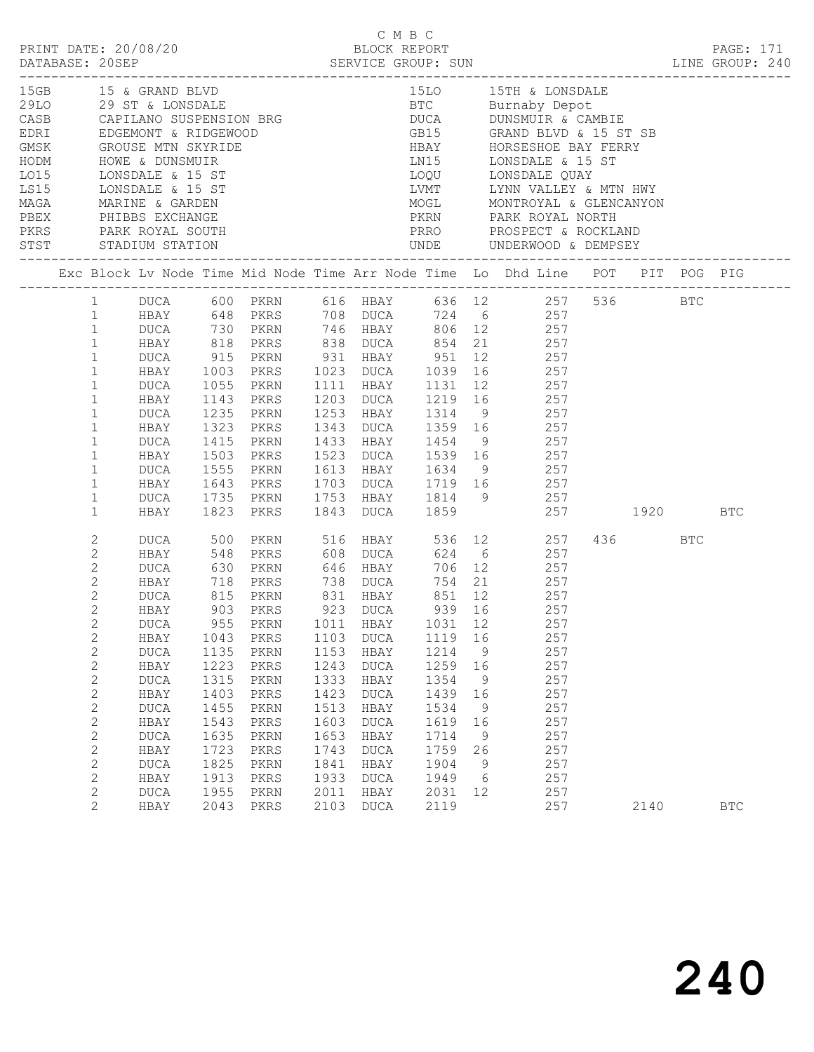|                                                                                                                                                                                                                                                                                           |                                                                                                                                                                                                        |                                                                                                                    |                                                                                                                                                                                                  |                                                                                                      | C M B C                                                                                                                                                           |                                                                                                      |                                                                |                                                                                                                                                                                                                                                                                                                                                                                                                                                                                  |             |            |            |  |
|-------------------------------------------------------------------------------------------------------------------------------------------------------------------------------------------------------------------------------------------------------------------------------------------|--------------------------------------------------------------------------------------------------------------------------------------------------------------------------------------------------------|--------------------------------------------------------------------------------------------------------------------|--------------------------------------------------------------------------------------------------------------------------------------------------------------------------------------------------|------------------------------------------------------------------------------------------------------|-------------------------------------------------------------------------------------------------------------------------------------------------------------------|------------------------------------------------------------------------------------------------------|----------------------------------------------------------------|----------------------------------------------------------------------------------------------------------------------------------------------------------------------------------------------------------------------------------------------------------------------------------------------------------------------------------------------------------------------------------------------------------------------------------------------------------------------------------|-------------|------------|------------|--|
|                                                                                                                                                                                                                                                                                           |                                                                                                                                                                                                        |                                                                                                                    |                                                                                                                                                                                                  |                                                                                                      |                                                                                                                                                                   |                                                                                                      |                                                                | 15GB 15 & GRAND BLVD 15D 15TH & LONSDALE<br>29LO 29 ST & LONSDALE BTC Burnaby Depot<br>CASB CAPILANO SUSPENSION BRG DUCA DUNSMUIR & CAMBIE<br>EDRI EDGEMONT & RIDGEWOOD GB15 GRAND BLVD & 15 ST SB<br>GMSK GROUSE MTN SKYRIDE HBAY HOR<br>MAGA MARINE & GARDEN MOGL MONTROYAL & GLENCANYON<br>PEEX PHIBBS EXCHANGE PERS PARK ROYAL MORTH PARK ROYAL NORTH<br>PERS PARK ROYAL SOUTH PRRO PROSPECT & ROCKLAND<br>STST STADIUM STATION UNDE UNDERWOOD & DEMPSEY<br>---------------- |             |            |            |  |
|                                                                                                                                                                                                                                                                                           |                                                                                                                                                                                                        |                                                                                                                    |                                                                                                                                                                                                  |                                                                                                      |                                                                                                                                                                   |                                                                                                      |                                                                | Exc Block Lv Node Time Mid Node Time Arr Node Time Lo Dhd Line POT PIT POG PIG                                                                                                                                                                                                                                                                                                                                                                                                   |             |            |            |  |
| 1<br>$\mathbf{1}$<br>$\mathbf{1}$<br>$\mathbf{1}$<br>$\mathbf{1}$<br>$\mathbf{1}$<br>$\mathbf{1}$<br>$\mathbf{1}$<br>$\mathbf{1}$<br>$\mathbf{1}$<br>$\mathbf{1}$<br>$\mathbf{1}$<br>$\mathbf{1}$<br>$\mathbf{1}$                                                                         | DUCA<br>HBAY<br>DUCA<br>HBAY<br>DUCA<br>HBAY<br>DUCA<br>HBAY<br>DUCA<br>HBAY                                                                                                                           | 1055<br>1415<br>1735<br>1823                                                                                       | HBAY 1003 PKRS 1023 DUCA 1039<br>PKRN<br>1143 PKRS<br>1235 PKRN<br>1323 PKRS<br>PKRN<br>1503 PKRS<br>1555 PKRN<br>PKRN<br>PKRS                                                                   |                                                                                                      |                                                                                                                                                                   |                                                                                                      |                                                                | 1 DUCA 600 PKRN 616 HBAY 636 12 257 536 BTC<br>1 HBAY 648 PKRS 708 DUCA 724 6 257<br>DUCA 730 PKRN 746 HBAY 806 12 257<br>HBAY 818 PKRS 838 DUCA 854 21 257<br>DUCA 915 PKRN 931 HBAY 951 12 257<br>16 257<br>1111 HBAY 1131 12 257<br>1203 DUCA 1219 16 257<br>1253 HBAY 1314 9 257<br>1343 DUCA 1359 16 257<br>1433 HBAY 1454 9 257<br>1523 DUCA 1539 16 257<br>1613 HBAY 1634 9 257<br>1643 PKRS 1703 DUCA 1719 16 257<br>1753 HBAY 1814 9 257<br>1843 DUCA 1859 257 1920     |             |            | BTC        |  |
| 2<br>2<br>$\mathbf{2}$<br>$\mathbf{2}$<br>$\overline{c}$<br>$\overline{2}$<br>$2\overline{ }$<br>$\mathbf{2}$<br>$\mathbf{2}$<br>$\mathbf{2}$<br>$\mathbf{2}$<br>$\mathbf{2}$<br>2<br>$\mathbf{2}$<br>$\mathbf{2}$<br>$\mathbf{2}$<br>$\mathbf{2}$<br>$\mathbf{2}$<br>2<br>$\overline{2}$ | DUCA<br>HBAY<br>DUCA<br>HBAY<br>DUCA<br>HBAY<br><b>DUCA</b><br>HBAY<br><b>DUCA</b><br>HBAY<br><b>DUCA</b><br>HBAY<br><b>DUCA</b><br>HBAY<br>DUCA<br>HBAY<br><b>DUCA</b><br>HBAY<br><b>DUCA</b><br>HBAY | 500<br>548<br>1043<br>1135<br>1223<br>1315<br>1403<br>1455<br>1543<br>1635<br>1723<br>1825<br>1913<br>1955<br>2043 | PKRN 516 HBAY<br>PKRS<br>903 PKRS 923 DUCA 939 16<br>955 PKRN 1011 HBAY 1031 12<br>PKRS<br>PKRN<br>PKRS<br>$\mbox{PKRN}$<br>PKRS<br>PKRN<br>PKRS<br>PKRN<br>PKRS<br>PKRN<br>PKRS<br>PKRN<br>PKRS | 1103<br>1153<br>1243<br>1333<br>1423<br>1513<br>1603<br>1653<br>1743<br>1841<br>1933<br>2011<br>2103 | 608 DUCA<br><b>DUCA</b><br>HBAY<br><b>DUCA</b><br>HBAY<br><b>DUCA</b><br>HBAY<br><b>DUCA</b><br>HBAY<br><b>DUCA</b><br>HBAY<br><b>DUCA</b><br>HBAY<br><b>DUCA</b> | 1119<br>1214<br>1259<br>1354<br>1439<br>1534<br>1619<br>1714<br>1759<br>1904<br>1949<br>2031<br>2119 | 16<br>9<br>16<br>9<br>16<br>9<br>16<br>9<br>26<br>9<br>6<br>12 | 536 12 257<br>624 6 257<br>PKRN 646 HBAY 706 12 257<br>PKRS 738 DUCA 754 21 257<br>257<br>257<br>257<br>257<br>257<br>257<br>257<br>257<br>257<br>257<br>257<br>257<br>257<br>257<br>257                                                                                                                                                                                                                                                                                         | 436<br>2140 | <b>BTC</b> | <b>BTC</b> |  |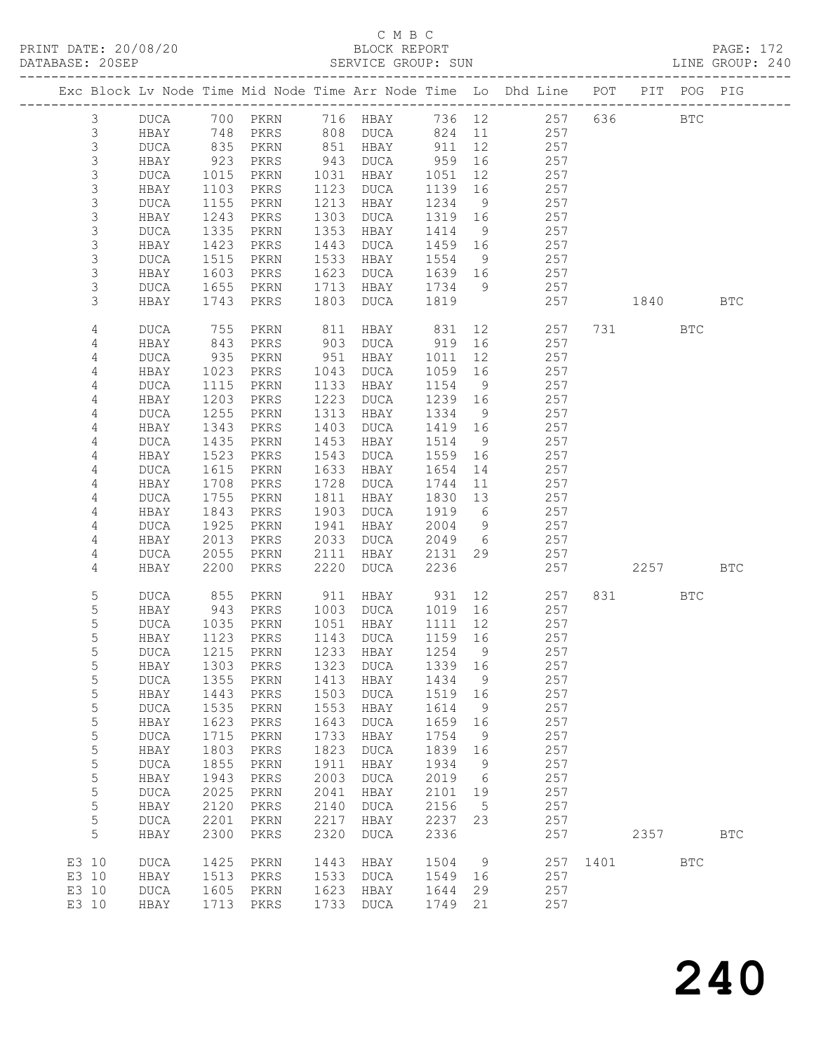### C M B C

| DATABASE: 20SEP |                |                            |                            |                                 |      | SERVICE GROUP: SUN   |                     |                 | LINE GROUP: 240                                                                |          |           |            |            |  |
|-----------------|----------------|----------------------------|----------------------------|---------------------------------|------|----------------------|---------------------|-----------------|--------------------------------------------------------------------------------|----------|-----------|------------|------------|--|
|                 |                |                            |                            |                                 |      |                      |                     |                 | Exc Block Lv Node Time Mid Node Time Arr Node Time Lo Dhd Line POT PIT POG PIG |          |           |            |            |  |
|                 | $\mathcal{S}$  |                            |                            |                                 |      |                      |                     |                 | DUCA 700 PKRN 716 HBAY 736 12 257 636 BTC                                      |          |           |            |            |  |
|                 | $\mathfrak{Z}$ | HBAY                       | 748                        |                                 |      |                      |                     |                 | PKRS 808 DUCA 824 11 257                                                       |          |           |            |            |  |
|                 | 3              | DUCA                       |                            | PKRN                            |      | 851 HBAY 911         |                     | 12              | 257                                                                            |          |           |            |            |  |
|                 | $\mathsf S$    | HBAY                       | 835<br>923                 | PKRS                            |      | 943 DUCA             | $959$ 16<br>1051 10 |                 | 257                                                                            |          |           |            |            |  |
|                 | $\mathsf S$    | DUCA                       | 1015                       | PKRN                            |      | 1031 HBAY            | 1051                | 12              | 257                                                                            |          |           |            |            |  |
|                 | $\mathsf S$    | HBAY                       | 1103                       | PKRS                            |      | 1123 DUCA            | 1139                | 16              | 257                                                                            |          |           |            |            |  |
|                 | 3              | DUCA                       | 1155                       | PKRN                            |      | 1213 HBAY            | 1234                | 9               | 257                                                                            |          |           |            |            |  |
|                 | $\mathsf S$    | HBAY                       | 1243                       | PKRS                            | 1303 | DUCA                 | 1319 16             |                 | 257                                                                            |          |           |            |            |  |
|                 | $\mathsf 3$    | DUCA                       | 1335                       | PKRN                            | 1353 | HBAY                 | 1414                | 9               | 257                                                                            |          |           |            |            |  |
|                 | $\mathsf 3$    | HBAY                       | 1423                       | PKRS                            | 1443 | DUCA                 | 1459 16             |                 | 257                                                                            |          |           |            |            |  |
|                 | $\mathsf S$    | DUCA                       | 1515                       | PKRN                            | 1533 | HBAY                 | 1554                | 9               | 257                                                                            |          |           |            |            |  |
|                 | $\mathsf S$    | HBAY                       |                            | PKRS                            | 1623 | DUCA                 | 1639 16             |                 | 257                                                                            |          |           |            |            |  |
|                 | $\mathsf S$    | DUCA                       | $1602$<br>$1655$<br>$-743$ | PKRN                            |      | 1713 HBAY            | 1734 9              |                 | 257                                                                            |          |           |            |            |  |
|                 | 3              | HBAY                       | 1743                       | PKRS                            | 1803 | <b>DUCA</b>          | 1819                |                 | 257                                                                            | 1840     |           |            | <b>BTC</b> |  |
|                 | 4              | DUCA                       | 755<br>843                 | PKRN                            |      | 811 HBAY<br>903 DUCA | 831<br>919          | 12              | 257                                                                            |          | 731       | BTC        |            |  |
|                 | 4              | HBAY                       |                            | PKRS                            |      |                      |                     | 16              | 257                                                                            |          |           |            |            |  |
|                 | 4              | DUCA                       | 935                        | PKRN                            | 951  | HBAY                 | 1011                | 12              | 257                                                                            |          |           |            |            |  |
|                 | 4              | HBAY                       | 1023                       | PKRS                            | 1043 | DUCA                 | 1059                | 16              | 257                                                                            |          |           |            |            |  |
|                 | 4              | DUCA                       | 1115                       | PKRN                            |      | 1133 HBAY            | 1154                | 9               | 257                                                                            |          |           |            |            |  |
|                 | 4              | HBAY                       | 1203                       | PKRS                            | 1223 | DUCA                 | 1239 16             |                 | 257                                                                            |          |           |            |            |  |
|                 | 4              | DUCA                       | 1255                       | PKRN                            | 1313 | HBAY                 | 1334                | 9               | 257                                                                            |          |           |            |            |  |
|                 | 4              | HBAY                       | 1343                       | PKRS                            | 1403 | DUCA                 | 1419 16             |                 | 257                                                                            |          |           |            |            |  |
|                 | 4              | DUCA                       | 1435                       | PKRN                            | 1453 | HBAY                 | 1514                | 9               | 257                                                                            |          |           |            |            |  |
|                 | 4              | HBAY                       | 1523                       | PKRS                            | 1543 | DUCA                 | 1559                | 16              | 257                                                                            |          |           |            |            |  |
|                 | 4              | DUCA                       | 1615                       | PKRN                            | 1633 | HBAY                 | 1654                | 14              | 257                                                                            |          |           |            |            |  |
|                 | 4              | HBAY                       | 1708                       | PKRS                            | 1728 | DUCA                 | 1744                | 11              | 257                                                                            |          |           |            |            |  |
|                 | 4              | DUCA                       | 1755                       | PKRN                            | 1811 | HBAY                 | 1830                | 13              | 257                                                                            |          |           |            |            |  |
|                 | 4              | HBAY                       | 1843                       | PKRS                            | 1903 | DUCA                 | 1919 6              |                 | 257<br>257                                                                     |          |           |            |            |  |
|                 | 4              | DUCA                       | 1925                       | PKRN                            | 1941 | HBAY<br>2033 DUCA    | 2004                | 9               |                                                                                |          |           |            |            |  |
|                 | 4<br>4         | HBAY<br>DUCA               | 2013<br>2055               | PKRS<br>PKRN                    | 2111 | HBAY                 | 2049 6<br>2131      | 29              | 257<br>257                                                                     |          |           |            |            |  |
|                 | 4              | HBAY                       | 2200                       | PKRS                            | 2220 | DUCA                 | 2236                |                 | 257                                                                            |          | 2257 BTC  |            |            |  |
|                 | 5              | DUCA                       | 855                        | PKRN                            |      | 911 HBAY 931         |                     |                 | 12 and $\overline{a}$<br>257                                                   |          | 831 — 100 | <b>BTC</b> |            |  |
|                 | 5              | HBAY                       | 943                        | PKRS                            |      | 1003 DUCA 1019       |                     |                 | 257                                                                            |          |           |            |            |  |
|                 | 5              | DUCA                       |                            |                                 |      | 1051 HBAY            | 1111                | 12              | 257                                                                            |          |           |            |            |  |
|                 | 5              | HBAY                       |                            | 1035 PKRN<br>1123 PKRS          |      | 1143 DUCA            | 1159 16             |                 | 257                                                                            |          |           |            |            |  |
|                 | 5              |                            |                            | DUCA 1215 PKRN 1233 HBAY 1254 9 |      |                      |                     |                 | 257                                                                            |          |           |            |            |  |
|                 | 5              | HBAY                       | 1303                       | PKRS                            | 1323 | DUCA                 | 1339                | 16              | 257                                                                            |          |           |            |            |  |
|                 | 5              | <b>DUCA</b>                | 1355                       | PKRN                            | 1413 | HBAY                 | 1434                | 9               | 257                                                                            |          |           |            |            |  |
|                 | 5              | HBAY                       | 1443                       | PKRS                            | 1503 | DUCA                 | 1519                | 16              | 257                                                                            |          |           |            |            |  |
|                 | 5              | <b>DUCA</b>                | 1535                       | PKRN                            | 1553 | HBAY                 | 1614                | 9               | 257                                                                            |          |           |            |            |  |
|                 | 5              | HBAY                       | 1623                       | PKRS                            | 1643 | DUCA                 | 1659                | 16              | 257                                                                            |          |           |            |            |  |
|                 | $\mathsf S$    | $\mathop{\text{\rm DUCA}}$ | 1715                       | PKRN                            | 1733 | HBAY                 | 1754                | 9               | 257                                                                            |          |           |            |            |  |
|                 | $\mathsf S$    | HBAY                       | 1803                       | PKRS                            | 1823 | DUCA                 | 1839                | 16              | 257                                                                            |          |           |            |            |  |
|                 | 5              | <b>DUCA</b>                | 1855                       | PKRN                            | 1911 | HBAY                 | 1934                | 9               | 257                                                                            |          |           |            |            |  |
|                 | 5              | HBAY                       | 1943                       | PKRS                            | 2003 | DUCA                 | 2019                | $6\overline{6}$ | 257                                                                            |          |           |            |            |  |
|                 | 5              | <b>DUCA</b>                | 2025                       | PKRN                            | 2041 | HBAY                 | 2101                | 19              | 257                                                                            |          |           |            |            |  |
|                 | $\mathsf S$    | HBAY                       | 2120                       | PKRS                            | 2140 | <b>DUCA</b>          | 2156                | $5^{\circ}$     | 257                                                                            |          |           |            |            |  |
|                 | 5              | DUCA                       | 2201                       | PKRN                            | 2217 | HBAY                 | 2237                | 23              | 257                                                                            |          |           |            |            |  |
|                 | 5              | HBAY                       | 2300                       | PKRS                            | 2320 | DUCA                 | 2336                |                 | 257                                                                            |          | 2357      |            | <b>BTC</b> |  |
| E3 10           |                | DUCA                       | 1425                       | PKRN                            | 1443 | HBAY                 | 1504 9              |                 |                                                                                | 257 1401 |           | <b>BTC</b> |            |  |
| E3 10           |                | HBAY                       | 1513                       | PKRS                            | 1533 | DUCA                 | 1549 16             |                 | 257                                                                            |          |           |            |            |  |
| E3 10           |                | DUCA                       | 1605                       | PKRN                            | 1623 | HBAY                 | 1644                | 29              | 257                                                                            |          |           |            |            |  |
| E3 10           |                | HBAY                       | 1713                       | PKRS                            | 1733 | DUCA                 | 1749                | 21              | 257                                                                            |          |           |            |            |  |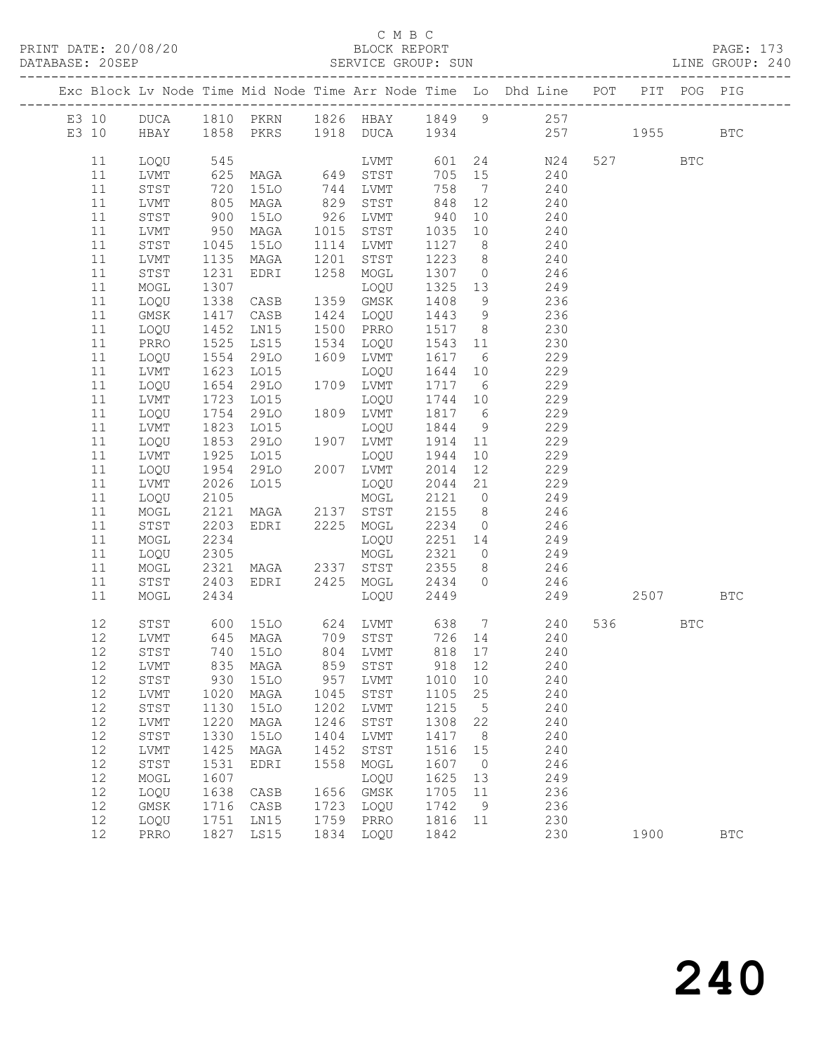### C M B C<br>BLOCK REPORT

PAGE: 173<br>LINE GROUP: 240

|          |              |                   |                                                                                         |      |                                        |         |                 | Exc Block Lv Node Time Mid Node Time Arr Node Time Lo Dhd Line POT |          | PIT POG PIG |              |
|----------|--------------|-------------------|-----------------------------------------------------------------------------------------|------|----------------------------------------|---------|-----------------|--------------------------------------------------------------------|----------|-------------|--------------|
|          |              |                   |                                                                                         |      |                                        |         |                 | E3 10 DUCA 1810 PKRN 1826 HBAY 1849 9 257                          |          |             |              |
|          |              |                   |                                                                                         |      |                                        |         |                 | E3 10 HBAY 1858 PKRS 1918 DUCA 1934 257 1955 BTC                   |          |             |              |
|          |              |                   |                                                                                         |      |                                        |         |                 |                                                                    |          |             |              |
| 11       | LOQU         |                   |                                                                                         |      | LVMT 601                               |         |                 | 24 N24                                                             | 527 BTC  |             |              |
| 11       | LVMT         |                   |                                                                                         |      |                                        | 705 15  |                 |                                                                    |          |             |              |
| 11       | STST         | 545<br>625<br>720 |                                                                                         |      | LVMT<br>MAGA 649 STST<br>15LO 744 LVMT | 758     | $7\overline{ }$ | $240$ $240$                                                        |          |             |              |
| 11       | LVMT         | 805               | MAGA                                                                                    |      | 829 STST                               | 848     | 12              | 240                                                                |          |             |              |
| 11       | STST         | 900               | 15LO                                                                                    |      | 926 LVMT                               | 940     | 10              | 240                                                                |          |             |              |
| 11       | LVMT         |                   | MAGA 1015 STST                                                                          |      |                                        | 1035    | 10              |                                                                    |          |             |              |
| 11       | STST         | 950<br>1045       | 15LO                                                                                    |      | 1114 LVMT                              | 1127 8  |                 | $\frac{240}{ }$<br>240                                             |          |             |              |
| 11       | LVMT         | 1135              | MAGA                                                                                    | 1201 | STST                                   | 1223    | 8 <sup>8</sup>  | 240                                                                |          |             |              |
| 11       | STST         | 1231              | EDRI                                                                                    | 1258 | MOGL                                   | 1307 0  |                 | 246                                                                |          |             |              |
| 11       | MOGL         | 1307              |                                                                                         |      | LOQU                                   | 1325 13 |                 | 249                                                                |          |             |              |
| 11       | LOQU         | $\frac{1}{1338}$  | CASB                                                                                    |      | 1359 GMSK                              | 1408    | 9               | 236                                                                |          |             |              |
| 11       | GMSK         | 1417              | CASB                                                                                    |      | 1424 LOQU                              | 1443 9  |                 | 236                                                                |          |             |              |
| 11       | LOQU         | 1452              | LNI5                                                                                    |      | 1500 PRRO                              | 1517 8  |                 | 230                                                                |          |             |              |
| 11       | PRRO         |                   | LS15                                                                                    |      | 1534 LOQU                              | 1543 11 |                 | 230                                                                |          |             |              |
| 11       | LOQU         | 1525<br>1554      | 29LO                                                                                    |      | 1609 LVMT                              | 1617 6  |                 | 229                                                                |          |             |              |
| 11       | LVMT         | 1623              | LO15                                                                                    |      | LOQU                                   | 1644 10 |                 | 229                                                                |          |             |              |
| 11       | LOQU         | 1654              | 29LO                                                                                    |      | 1709 LVMT                              | 1717 6  |                 | 229                                                                |          |             |              |
| 11       | LVMT         |                   | LO15                                                                                    |      | LOQU                                   | 1744 10 |                 |                                                                    |          |             |              |
| 11       | LOQU         | 1723<br>1754      | 29LO                                                                                    |      | 1809 LVMT                              | 1817 6  |                 | 229<br>229                                                         |          |             |              |
| 11       | LVMT         | 1823              | LO15                                                                                    |      | LOQU                                   | 1844    | 9               | 229                                                                |          |             |              |
| 11       |              | 1853              | 29LO                                                                                    |      | 1907 LVMT                              | 1914    |                 | 229                                                                |          |             |              |
|          | LOQU         |                   |                                                                                         |      |                                        | 1944    | 11<br>10        | 229                                                                |          |             |              |
| 11<br>11 | LVMT         | 1925<br>1954      |                                                                                         |      |                                        | 2014    | 12              | 229                                                                |          |             |              |
| 11       | LOQU         | 2026              | LO15                                                                                    |      | LOQU                                   |         |                 | 2044 21 229                                                        |          |             |              |
| 11       | LVMT         | 2105              |                                                                                         |      |                                        |         |                 | 2121 0 249                                                         |          |             |              |
| 11       | LOQU         | 2121              | MOGL<br>MAGA 2137 STST                                                                  |      |                                        | 2155 8  |                 | 246                                                                |          |             |              |
| 11       | MOGL<br>STST | 2203              | EDRI 2225 MOGL                                                                          |      |                                        | 2234 0  |                 | 246                                                                |          |             |              |
| 11       | MOGL         | 2234              |                                                                                         |      | LOQU                                   |         |                 | $2251$ 14 249                                                      |          |             |              |
| 11       | LOQU         | 2305              |                                                                                         |      | MOGL                                   | 2321    |                 | $0$ 249                                                            |          |             |              |
| 11       | MOGL         | 2321              |                                                                                         |      |                                        | 2355 8  |                 | 246                                                                |          |             |              |
| 11       |              | 2403              | MAGA 2337 STST<br>EDRI 2425 MOGL                                                        |      |                                        | 2434 0  |                 |                                                                    |          |             |              |
| 11       | STST<br>MOGL | 2434              |                                                                                         |      | LOQU                                   | 2449    |                 | 246<br>249                                                         | 2507 BTC |             |              |
|          |              |                   |                                                                                         |      |                                        |         |                 |                                                                    |          |             |              |
| 12       | STST         |                   |                                                                                         |      |                                        |         |                 | 600 15LO 624 LVMT 638 7 240                                        | 536 BTC  |             |              |
| 12       | LVMT         |                   |                                                                                         |      |                                        |         |                 |                                                                    |          |             |              |
| 12       | STST         |                   | 645 MAGA       709   STST        726   14<br>740   15LO       804   LVMT       818   17 |      |                                        |         |                 | 240<br>240                                                         |          |             |              |
|          | 12 LVMT      |                   | 835 MAGA 859 STST                                                                       |      |                                        | 918 12  |                 | 240                                                                |          |             |              |
| 12       | STST         | 930               | 15LO                                                                                    | 957  | LVMT                                   | 1010    | 10              | 240                                                                |          |             |              |
| 12       | LVMT         | 1020              | MAGA                                                                                    | 1045 | STST                                   | 1105    | 25              | 240                                                                |          |             |              |
| 12       | STST         | 1130              | 15LO                                                                                    | 1202 | LVMT                                   | 1215    | $5^{\circ}$     | 240                                                                |          |             |              |
| 12       | LVMT         | 1220              | MAGA                                                                                    | 1246 | $_{\footnotesize\rm STST}$             | 1308    | 22              | 240                                                                |          |             |              |
| 12       | STST         | 1330              | 15LO                                                                                    | 1404 | ${\rm LVMT}$                           | 1417    | 8 <sup>8</sup>  | 240                                                                |          |             |              |
| 12       | LVMT         | 1425              | MAGA                                                                                    | 1452 | $_{\footnotesize\rm STST}$             | 1516    | 15              | 240                                                                |          |             |              |
| 12       | STST         | 1531              | EDRI                                                                                    | 1558 | MOGL                                   | 1607    | $\overline{0}$  | 246                                                                |          |             |              |
| 12       | MOGL         | 1607              |                                                                                         |      | LOQU                                   | 1625    | 13              | 249                                                                |          |             |              |
| 12       | LOQU         | 1638              | CASB                                                                                    | 1656 | GMSK                                   | 1705    | 11              | 236                                                                |          |             |              |
| 12       | GMSK         | 1716              | CASB                                                                                    | 1723 | LOQU                                   | 1742    | - 9             | 236                                                                |          |             |              |
| 12       | LOQU         | 1751              | LN15                                                                                    | 1759 | PRRO                                   | 1816 11 |                 | 230                                                                |          |             |              |
| 12       | PRRO         | 1827              | LS15                                                                                    | 1834 | LOQU                                   | 1842    |                 | 230                                                                | 1900     |             | $_{\rm BTC}$ |
|          |              |                   |                                                                                         |      |                                        |         |                 |                                                                    |          |             |              |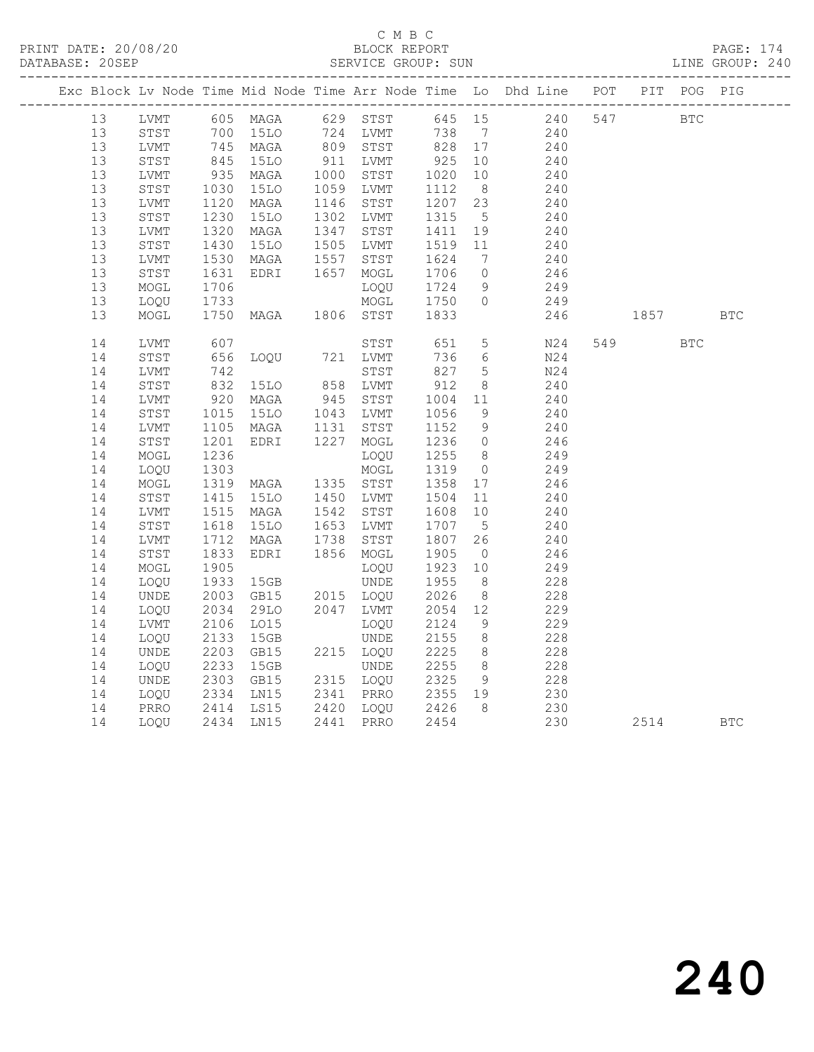### C M B C<br>BLOCK REPORT

PAGE: 174<br>LINE GROUP: 240

|    |      |              |                                                                                            |                                                  |                      |                | Exc Block Lv Node Time Mid Node Time Arr Node Time Lo Dhd Line POT PIT POG PIG |     |            |            |            |
|----|------|--------------|--------------------------------------------------------------------------------------------|--------------------------------------------------|----------------------|----------------|--------------------------------------------------------------------------------|-----|------------|------------|------------|
|    |      |              |                                                                                            |                                                  |                      |                | 13 LVMT 605 MAGA 629 STST 645 15 240                                           | 547 | <b>BTC</b> |            |            |
| 13 | STST |              | 700 15LO       724   LVMT        738     7<br>745   MAGA        809   STST        828   17 |                                                  | 738 7                |                | 240                                                                            |     |            |            |            |
| 13 | LVMT |              | 100 1510<br>745 MAGA<br>845 1510<br>935 MAGA                                               |                                                  |                      |                | 240                                                                            |     |            |            |            |
| 13 | STST |              |                                                                                            | 911 LVMT 925 10<br>1000 STST 1020 10             |                      |                | 240                                                                            |     |            |            |            |
| 13 | LVMT |              |                                                                                            |                                                  |                      |                | 240                                                                            |     |            |            |            |
| 13 | STST | 1030<br>1120 | <b>15LO</b>                                                                                | 1059 LVMT                                        | 1112 8<br>1207 23    |                | 240                                                                            |     |            |            |            |
| 13 | LVMT |              | MAGA                                                                                       | 1146 STST                                        |                      |                | 240                                                                            |     |            |            |            |
| 13 | STST | 1230         | <b>15LO</b>                                                                                | 1302 LVMT                                        | 1315                 | $5^{\circ}$    | 240                                                                            |     |            |            |            |
| 13 | LVMT | 1320<br>1430 | MAGA                                                                                       | 1347 STST                                        | 1411  19<br>1519  11 |                | 240                                                                            |     |            |            |            |
| 13 | STST |              | 15LO                                                                                       | 1505 LVMT                                        |                      |                | 240                                                                            |     |            |            |            |
| 13 | LVMT | 1530<br>1631 | MAGA 1557 STST<br>EDRI 1657 MOGL                                                           |                                                  | 1624                 | $\overline{7}$ | $\frac{240}{5}$                                                                |     |            |            |            |
| 13 | STST |              |                                                                                            |                                                  | 1706                 | $\overline{0}$ | 246                                                                            |     |            |            |            |
| 13 | MOGL | 1706         |                                                                                            | LOQU                                             | 1724                 | 9              | 249                                                                            |     |            |            |            |
| 13 | LOQU |              |                                                                                            | MOGL 1750 0                                      |                      |                | 249                                                                            |     |            |            |            |
| 13 | MOGL |              |                                                                                            |                                                  |                      |                | 246                                                                            |     | 1857       |            | <b>BTC</b> |
| 14 | LVMT | 607          |                                                                                            | STST 651                                         |                      | 5 <sup>5</sup> | N24                                                                            |     | 549        | <b>BTC</b> |            |
| 14 | STST | 656<br>742   | LOQU 721 LVMT                                                                              |                                                  | $736$ b<br>827 5     |                | N24                                                                            |     |            |            |            |
| 14 | LVMT |              |                                                                                            | STST                                             |                      |                | N24                                                                            |     |            |            |            |
| 14 | STST | 832          | 15LO 858 LVMT                                                                              |                                                  | 912                  | 8 <sup>8</sup> | 240                                                                            |     |            |            |            |
| 14 | LVMT |              |                                                                                            |                                                  | 1004 11<br>1056 9    |                | 240                                                                            |     |            |            |            |
| 14 | STST |              |                                                                                            |                                                  |                      |                | 240                                                                            |     |            |            |            |
| 14 | LVMT | 1105<br>1201 | MAGA 1131 STST<br>EDRI 1227 MOGL                                                           |                                                  | 1152 9<br>1236 0     |                | 240                                                                            |     |            |            |            |
| 14 | STST | 1201         |                                                                                            |                                                  |                      |                | 246                                                                            |     |            |            |            |
| 14 | MOGL | 1236         |                                                                                            | LOQU                                             | 1255 8               |                | 249                                                                            |     |            |            |            |
| 14 | LOQU |              |                                                                                            |                                                  | 1319                 | $\overline{0}$ | 249                                                                            |     |            |            |            |
| 14 | MOGL |              |                                                                                            |                                                  | 1358 17              |                | 246                                                                            |     |            |            |            |
| 14 | STST |              | 1415 15LO   1450 LVMT   1504  11<br>1515 MAGA   1542  STST   1608  10                      |                                                  |                      |                | 240                                                                            |     |            |            |            |
| 14 | LVMT |              |                                                                                            |                                                  |                      |                | 240                                                                            |     |            |            |            |
| 14 | STST | 1618<br>1712 | 15LO 1653 LVMT                                                                             |                                                  | 1707 5<br>1807 26    |                | 240                                                                            |     |            |            |            |
| 14 | LVMT | 1712         | MAGA                                                                                       | 1738 STST                                        |                      |                | 240                                                                            |     |            |            |            |
| 14 | STST | 1833         | EDRI                                                                                       | 1856 MOGL                                        | 1905                 | $\overline{0}$ | 246                                                                            |     |            |            |            |
| 14 | MOGL | 1905<br>1933 |                                                                                            | LOQU                                             | 1923 10<br>1955 8    |                | 249                                                                            |     |            |            |            |
| 14 | LOOU |              |                                                                                            |                                                  |                      |                | 228                                                                            |     |            |            |            |
| 14 | UNDE | 2003         | GB15                                                                                       | 2015 LOQU<br>2047 LVMT                           | 2026                 | 8 <sup>8</sup> | 228                                                                            |     |            |            |            |
| 14 | LOQU | 2034         | 29LO                                                                                       |                                                  | 2054 12              |                | 229                                                                            |     |            |            |            |
| 14 | LVMT | 2106         | LO15                                                                                       | LOQU                                             | 2124                 | 9              | 229                                                                            |     |            |            |            |
| 14 | LOQU | 2133         | 15GB                                                                                       | UNDE                                             | 2155 8<br>2225 8     |                | 228                                                                            |     |            |            |            |
| 14 | UNDE | 2203         | GB15                                                                                       | 2215 LOQU                                        |                      |                | 228                                                                            |     |            |            |            |
| 14 | LOQU | 2233         | 15GB                                                                                       | UNDE 2255<br>2315 LOQU 2325                      |                      | 8 <sup>8</sup> | 228<br>228                                                                     |     |            |            |            |
| 14 | UNDE | 2303         | GB15                                                                                       |                                                  |                      | 9              |                                                                                |     |            |            |            |
| 14 | LOQU | 2334         | LN15                                                                                       | 2341 PRRO 2355 19                                |                      |                | 230                                                                            |     |            |            |            |
| 14 | PRRO |              | 2414 LS15<br>2434 LN15                                                                     | 2420 LOQU     2426    8<br>2441   PRRO      2454 |                      |                | 230<br>230                                                                     |     |            |            |            |
| 14 | LOQU |              |                                                                                            |                                                  |                      |                |                                                                                |     | 2514       |            | <b>BTC</b> |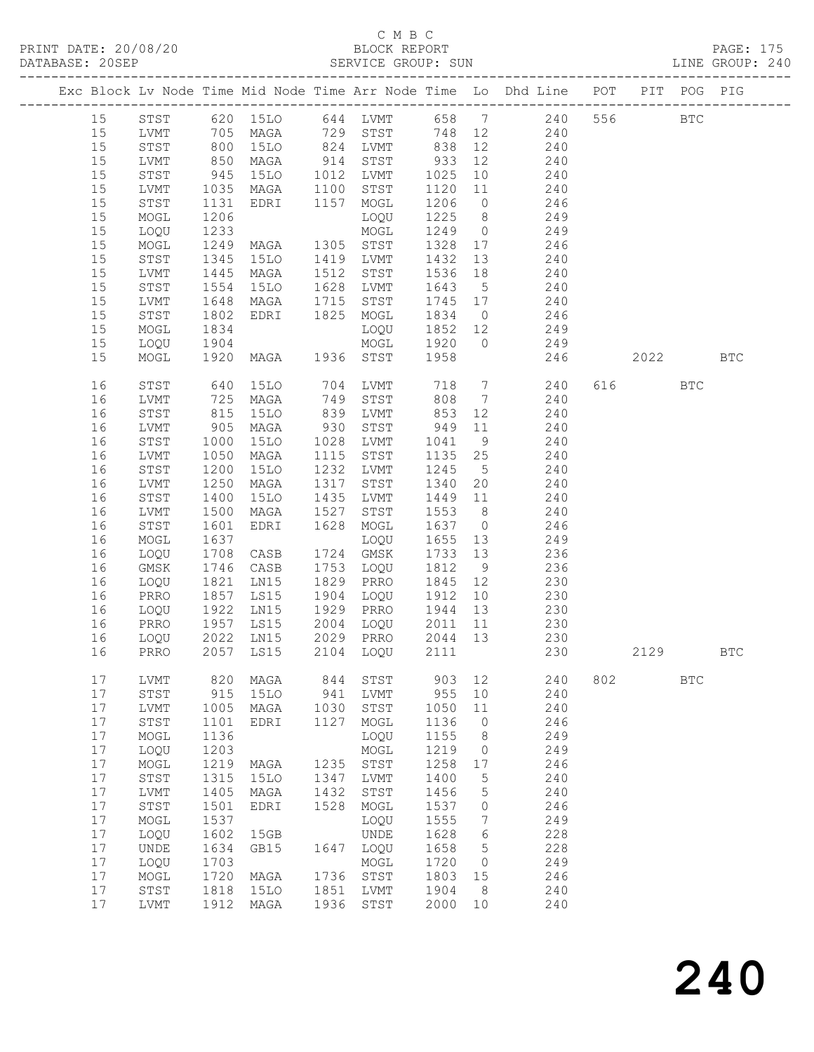## C M B C<br>BLOCK REPORT

PAGE: 175<br>LINE GROUP: 240

|    |              |                        |                                  |      |                            |                  |                 | Exc Block Lv Node Time Mid Node Time Arr Node Time Lo Dhd Line POT PIT POG PIG    |     |         |              |              |
|----|--------------|------------------------|----------------------------------|------|----------------------------|------------------|-----------------|-----------------------------------------------------------------------------------|-----|---------|--------------|--------------|
| 15 |              |                        |                                  |      |                            |                  |                 | STST 620 15LO 644 LVMT 658 7 240                                                  | 556 |         | $_{\rm BTC}$ |              |
| 15 | LVMT         |                        |                                  |      | 729 STST                   |                  |                 | 748 12 240                                                                        |     |         |              |              |
| 15 | STST         |                        |                                  |      |                            |                  |                 |                                                                                   |     |         |              |              |
| 15 | LVMT         |                        | 705 MAGA<br>800 15LO<br>850 MAGA |      | 824 LVMT<br>914 STST       | 838 12<br>933 12 |                 | $\frac{1}{2}$ 40                                                                  |     |         |              |              |
| 15 | STST         | 945                    | 15LO 1012 LVMT                   |      |                            | 1025             | 10              | 240                                                                               |     |         |              |              |
|    |              |                        |                                  |      |                            |                  |                 |                                                                                   |     |         |              |              |
| 15 | LVMT         | 1035                   | MAGA                             | 1100 | STST                       | 1120             | 11              | 240                                                                               |     |         |              |              |
| 15 | STST         | 1131                   | EDRI 1157 MOGL                   |      |                            | 1206             |                 | $\begin{array}{ccc} 0 & \hspace{1.5cm} 246 \\ 8 & \hspace{1.5cm} 249 \end{array}$ |     |         |              |              |
| 15 | MOGL         | 1206                   |                                  |      | LOQU                       | 1225             |                 |                                                                                   |     |         |              |              |
| 15 | LOQU         | 1233                   |                                  |      | MOGL                       | 1249             |                 | $0$ 249                                                                           |     |         |              |              |
| 15 | MOGL         | 1249                   | MAGA                             |      | 1305 STST                  | 1328             | 17              | 246                                                                               |     |         |              |              |
| 15 | STST         | 1345<br>1445           | 15LO                             |      | 1419 LVMT                  | 1432             | 13              | 240                                                                               |     |         |              |              |
| 15 | LVMT         |                        | MAGA                             | 1512 | STST                       | 1536 18          |                 | 240                                                                               |     |         |              |              |
| 15 | STST         | 1554                   | 15LO                             | 1628 | LVMT                       | 1643             | $5\overline{)}$ | 240                                                                               |     |         |              |              |
| 15 | LVMT         | 1648                   | MAGA                             | 1715 | STST                       | 1745 17          |                 | 240                                                                               |     |         |              |              |
| 15 | STST         | 1802                   | EDRI 1825 MOGL                   |      |                            | 1834             | $\overline{0}$  | 246                                                                               |     |         |              |              |
| 15 | MOGL         | 1834                   |                                  |      | LOQU                       | 1852 12          |                 | 249                                                                               |     |         |              |              |
| 15 | LOQU         | 1904                   |                                  |      | MOGL                       | 1920             | $\overline{0}$  | 249                                                                               |     |         |              |              |
| 15 | MOGL         | 1920                   | MAGA 1936 STST                   |      |                            | 1958             |                 | 246                                                                               |     | 2022    |              | $_{\rm BTC}$ |
| 16 | STST         | 640                    | <b>15LO</b>                      |      |                            |                  |                 | 704 LVMT 718 7 240                                                                |     | 616 BTC |              |              |
| 16 | LVMT         | 725                    | MAGA                             | 749  | STST                       | 808              |                 | 7 240                                                                             |     |         |              |              |
| 16 | STST         | 815                    | <b>15LO</b>                      | 839  | LVMT                       | 853 12           |                 | 240                                                                               |     |         |              |              |
| 16 | LVMT         | 905                    | MAGA                             | 930  | STST                       | 949              | 11              | 240                                                                               |     |         |              |              |
| 16 | STST         | 1000                   | 15LO                             | 1028 | LVMT                       | 1041             | 9               | 240                                                                               |     |         |              |              |
| 16 |              | 1050                   |                                  | 1115 | STST                       | 1135             | 25              | 240                                                                               |     |         |              |              |
|    | LVMT         |                        | MAGA                             |      |                            |                  |                 |                                                                                   |     |         |              |              |
| 16 | STST         | 1200                   | 15LO                             | 1232 | LVMT                       | 1245             | $5^{\circ}$     | 240                                                                               |     |         |              |              |
| 16 | LVMT         | 1250                   | MAGA                             | 1317 | STST                       | 1340             | 20              | 240                                                                               |     |         |              |              |
| 16 | STST         | 1400                   | 15LO                             | 1435 | LVMT                       | 1449 11          |                 | $\frac{240}{ }$                                                                   |     |         |              |              |
| 16 | LVMT         | 1500                   | MAGA                             | 1527 | STST                       | 1553 8           |                 | 240                                                                               |     |         |              |              |
| 16 | STST         | 1601                   | EDRI                             | 1628 | MOGL                       | 1637 0           |                 | 246                                                                               |     |         |              |              |
| 16 | MOGL         | 1637                   |                                  |      | LOQU                       | 1655             | 13              | 249                                                                               |     |         |              |              |
| 16 | LOQU         | 1708                   | CASB                             |      | 1724 GMSK                  | 1733 13          |                 | 236                                                                               |     |         |              |              |
| 16 | GMSK         | 1746                   | CASB                             |      | 1753 LOQU                  | 1812             | 9               | 236                                                                               |     |         |              |              |
| 16 | LOQU         | 1821                   | LN15                             | 1829 | PRRO                       | 1845 12          |                 | 230                                                                               |     |         |              |              |
| 16 | PRRO         | 1857                   | LS15                             | 1904 | LOQU                       | 1912             | 10              | 230                                                                               |     |         |              |              |
| 16 | LOQU         | $1922$<br>1957<br>2022 | LN15                             | 1929 | PRRO                       | 1944             | 13              | 230                                                                               |     |         |              |              |
| 16 | PRRO         |                        | LS15                             |      | 2004 LOQU                  | 2011 11          |                 | 230                                                                               |     |         |              |              |
| 16 | LOQU         | 2022                   | LN15                             |      | 2029 PRRO 2044 13          |                  |                 | 230                                                                               |     |         |              |              |
| 16 | PRRO         |                        | 2057 LS15                        |      | 2104 LOQU                  | 2111             |                 | 230                                                                               |     | 2129    |              | <b>BTC</b>   |
| 17 | LVMT         | 820                    | MAGA                             | 844  | STST                       | 903              | 12              | 240                                                                               | 802 |         | <b>BTC</b>   |              |
| 17 | ${\tt STST}$ | 915                    | <b>15LO</b>                      | 941  | LVMT                       | 955              | 10              | 240                                                                               |     |         |              |              |
| 17 | LVMT         | 1005                   | MAGA                             | 1030 | STST                       | 1050             | 11              | 240                                                                               |     |         |              |              |
| 17 | ${\tt STST}$ | 1101                   | EDRI                             | 1127 | MOGL                       | 1136             | $\circ$         | 246                                                                               |     |         |              |              |
| 17 | MOGL         | 1136                   |                                  |      | LOQU                       | 1155             | 8               | 249                                                                               |     |         |              |              |
| 17 | LOQU         | 1203                   |                                  |      | MOGL                       | 1219             | $\circ$         | 249                                                                               |     |         |              |              |
| 17 |              | 1219                   |                                  | 1235 | STST                       | 1258             |                 | 246                                                                               |     |         |              |              |
|    | MOGL         |                        | MAGA                             |      |                            |                  | 17              |                                                                                   |     |         |              |              |
| 17 | ${\tt STST}$ | 1315                   | 15LO                             | 1347 | LVMT                       | 1400             | 5               | 240                                                                               |     |         |              |              |
| 17 | LVMT         | 1405                   | MAGA                             | 1432 | STST                       | 1456             | 5               | 240                                                                               |     |         |              |              |
| 17 | ${\tt STST}$ | 1501                   | EDRI                             | 1528 | MOGL                       | 1537             | 0               | 246                                                                               |     |         |              |              |
| 17 | MOGL         | 1537                   |                                  |      | LOQU                       | 1555             | 7               | 249                                                                               |     |         |              |              |
| 17 | LOQU         | 1602                   | 15GB                             |      | <b>UNDE</b>                | 1628             | 6               | 228                                                                               |     |         |              |              |
| 17 | UNDE         | 1634                   | GB15                             | 1647 | LOQU                       | 1658             | 5               | 228                                                                               |     |         |              |              |
| 17 | LOQU         | 1703                   |                                  |      | MOGL                       | 1720             | 0               | 249                                                                               |     |         |              |              |
| 17 | MOGL         | 1720                   | MAGA                             | 1736 | STST                       | 1803             | 15              | 246                                                                               |     |         |              |              |
| 17 | ${\tt STST}$ | 1818                   | 15LO                             | 1851 | LVMT                       | 1904             | 8               | 240                                                                               |     |         |              |              |
| 17 | LVMT         | 1912                   | MAGA                             | 1936 | $_{\footnotesize\rm STST}$ | 2000             | $10$            | 240                                                                               |     |         |              |              |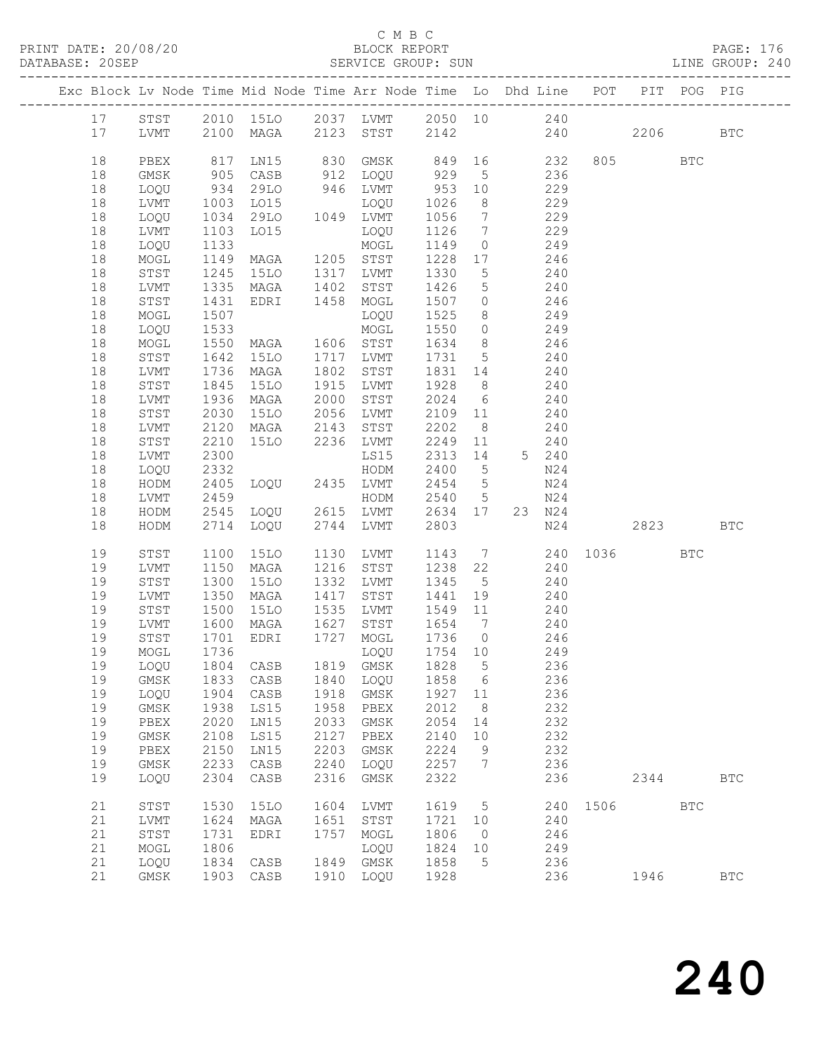### C M B C<br>BLOCK REPORT

PAGE: 176<br>LINE GROUP: 240

|  |          |                             |              | Exc Block Lv Node Time Mid Node Time Arr Node Time Lo Dhd Line POT PIT POG PIG |              |                  |              |                 |                 |            |      |          |            |              |
|--|----------|-----------------------------|--------------|--------------------------------------------------------------------------------|--------------|------------------|--------------|-----------------|-----------------|------------|------|----------|------------|--------------|
|  | 17       | STST                        |              | 2010 15LO 2037 LVMT 2050 10 240                                                |              |                  |              |                 |                 |            |      |          |            |              |
|  | 17       | LVMT                        |              | 2100 MAGA 2123 STST                                                            |              |                  | 2142         |                 | 240             |            |      | 2206     |            | $_{\rm BTC}$ |
|  |          |                             |              |                                                                                |              |                  |              |                 |                 |            |      |          |            |              |
|  | 18       | PBEX                        | 817          | LN15                                                                           | 830          | GMSK             | 849 16       |                 |                 | 232        |      | 805 BTC  |            |              |
|  | 18       | GMSK                        | 905          | CASB                                                                           |              | 912 LOQU         | 929          | $5^{\circ}$     | 236             |            |      |          |            |              |
|  | 18       | LOQU                        | 934          | 29LO                                                                           |              | 946 LVMT         | 953          | 10              |                 | 229        |      |          |            |              |
|  | 18       | LVMT                        | 1003         | L015                                                                           |              | LOQU             | 1026         | 8               |                 | 229        |      |          |            |              |
|  | 18       | LOQU                        | 1034         | 29LO                                                                           |              | 1049 LVMT        | 1056         | $7\overline{ }$ |                 | 229        |      |          |            |              |
|  | 18       | LVMT                        | 1103         | L015                                                                           |              | LOQU             | 1126         | $\overline{7}$  | 229             |            |      |          |            |              |
|  | 18       | LOQU                        | 1133         |                                                                                |              | MOGL             | 1149         | $\overline{0}$  |                 | 249        |      |          |            |              |
|  | 18       | MOGL                        | 1149         | MAGA                                                                           |              | 1205 STST        | 1228 17      |                 |                 | 246        |      |          |            |              |
|  | 18       | STST                        | 1245         | 15LO                                                                           |              | 1317 LVMT        | 1330         | $5\overline{)}$ |                 | 240        |      |          |            |              |
|  | 18       | LVMT                        | 1335         | MAGA                                                                           | 1402         | STST             | 1426         | $5\overline{)}$ | 240             |            |      |          |            |              |
|  | 18       | STST                        | 1431         | EDRI                                                                           | 1458         | MOGL             | 1507         | $\overline{0}$  | 246             |            |      |          |            |              |
|  | 18       | MOGL                        | 1507         |                                                                                |              | LOQU             | 1525         | 8 <sup>8</sup>  |                 | 249        |      |          |            |              |
|  | 18       | LOQU                        | 1533         |                                                                                |              | MOGL             | 1550         | $\overline{0}$  |                 | 249        |      |          |            |              |
|  | 18       | MOGL                        | 1550         | MAGA                                                                           |              | 1606 STST        | 1634         | 8 <sup>8</sup>  | 246             |            |      |          |            |              |
|  | 18       | STST                        | 1642         | <b>15LO</b>                                                                    | 1717         | LVMT             | 1731         | $5\overline{)}$ | 240             |            |      |          |            |              |
|  | 18       | LVMT                        | 1736         | MAGA                                                                           | 1802         | STST             | 1831         | 14              |                 | 240        |      |          |            |              |
|  | 18       | STST                        | 1845         | 15LO                                                                           | 1915         | LVMT             | 1928         | 8 <sup>8</sup>  |                 | 240        |      |          |            |              |
|  | 18       | LVMT                        | 1936         | MAGA                                                                           | 2000         | STST             | 2024         | $6\overline{6}$ | 240             |            |      |          |            |              |
|  | 18       | STST                        | 2030         | 15LO                                                                           | 2056         | LVMT             | 2109         | 11              | 240             |            |      |          |            |              |
|  | 18       | LVMT                        | 2120         | MAGA                                                                           | 2143         | STST             | 2202         | 8 <sup>8</sup>  |                 | 240        |      |          |            |              |
|  | 18       | STST                        | 2210         | 15LO                                                                           |              | 2236 LVMT        | 2249         | 11              |                 | 240        |      |          |            |              |
|  | 18       | LVMT                        | 2300         |                                                                                |              | LS15             | 2313         | 14              | 5 240           |            |      |          |            |              |
|  | 18       | LOQU                        | 2332         |                                                                                |              | HODM             | 2400         | $5^{\circ}$     |                 | N24        |      |          |            |              |
|  | 18       | HODM                        | 2405         | LOQU 2435 LVMT                                                                 |              |                  | 2454         | $5\overline{)}$ |                 | N24        |      |          |            |              |
|  | 18       | LVMT                        | 2459         | HODM<br>LOQU 2615 LVMT                                                         |              |                  | 2540         | $5\phantom{.0}$ |                 | N24        |      |          |            |              |
|  | 18       | HODM                        | 2545         |                                                                                |              |                  | 2634 17      |                 | 23 N24          |            |      |          |            |              |
|  | 18       | HODM                        | 2714         | LOQU                                                                           | 2744         | LVMT             | 2803         |                 |                 | N24        |      | 2823     |            | $_{\rm BTC}$ |
|  | 19       | STST                        | 1100         | 15LO                                                                           |              | 1130 LVMT        | 1143         |                 | $7\overline{ }$ |            |      | 240 1036 | <b>BTC</b> |              |
|  | 19       | LVMT                        | 1150         | MAGA                                                                           | 1216         | STST             | 1238         | 22              |                 | 240        |      |          |            |              |
|  | 19       | STST                        | 1300         | 15LO                                                                           | 1332         | LVMT             | 1345         | $5^{\circ}$     |                 | 240        |      |          |            |              |
|  | 19       | LVMT                        | 1350         | MAGA                                                                           | 1417         | STST             | 1441         | 19              |                 | 240        |      |          |            |              |
|  | 19       | STST                        | 1500         | 15LO                                                                           | 1535         | LVMT             | 1549 11      |                 |                 | 240        |      |          |            |              |
|  | 19       | LVMT                        | 1600         | MAGA                                                                           |              | 1627 STST        | 1654 7       |                 |                 | 240        |      |          |            |              |
|  | 19       | STST                        | 1701         | EDRI 1727 MOGL                                                                 |              |                  | 1736 0       |                 | 246             |            |      |          |            |              |
|  | 19       | MOGL                        | 1736         |                                                                                |              | LOQU             | 1754 10      |                 |                 | 249        |      |          |            |              |
|  |          | 19 LOQU 1804 CASB           |              |                                                                                |              | 1819 GMSK 1828 5 |              |                 |                 | 236        |      |          |            |              |
|  | 19       | GMSK                        | 1833         | CASB                                                                           | 1840         | LOQU             | 1858         | 6               |                 | 236        |      |          |            |              |
|  | 19       | LOQU                        | 1904         | CASB                                                                           | 1918         | GMSK             | 1927         | 11              |                 | 236        |      |          |            |              |
|  | 19<br>19 | GMSK                        | 1938<br>2020 | LS15<br>LN15                                                                   | 1958<br>2033 | PBEX             | 2012<br>2054 | 8               |                 | 232<br>232 |      |          |            |              |
|  | 19       | ${\tt PBEX}$<br>$\rm{GMSK}$ | 2108         | LS15                                                                           | 2127         | GMSK<br>PBEX     | 2140         | 14<br>10        |                 | 232        |      |          |            |              |
|  | 19       | ${\tt PBEX}$                | 2150         | LN15                                                                           | 2203         | <b>GMSK</b>      | 2224         | 9               |                 | 232        |      |          |            |              |
|  | 19       | GMSK                        | 2233         | CASB                                                                           | 2240         | LOQU             | 2257         | 7               |                 | 236        |      |          |            |              |
|  | 19       | LOQU                        | 2304         | $\mathtt{CASE}$                                                                | 2316         | GMSK             | 2322         |                 |                 | 236        |      | 2344     |            | $_{\rm BTC}$ |
|  | 21       |                             |              |                                                                                | 1604         |                  |              |                 |                 |            | 1506 |          | <b>BTC</b> |              |
|  | 21       | ${\tt STST}$<br>LVMT        | 1530<br>1624 | <b>15LO</b><br>MAGA                                                            | 1651         | LVMT<br>STST     | 1619<br>1721 | 5<br>10         |                 | 240<br>240 |      |          |            |              |
|  | 21       | STST                        | 1731         | EDRI                                                                           | 1757         | MOGL             | 1806         | $\circ$         |                 | 246        |      |          |            |              |
|  | 21       | MOGL                        | 1806         |                                                                                |              | LOQU             | 1824         | 10              |                 | 249        |      |          |            |              |
|  | 21       | LOQU                        | 1834         | CASB                                                                           | 1849         | $\rm{GMSK}$      | 1858         | 5               |                 | 236        |      |          |            |              |
|  | 21       | GMSK                        | 1903         | CASB                                                                           | 1910         | LOQU             | 1928         |                 |                 | 236        |      | 1946     |            | $_{\rm BTC}$ |
|  |          |                             |              |                                                                                |              |                  |              |                 |                 |            |      |          |            |              |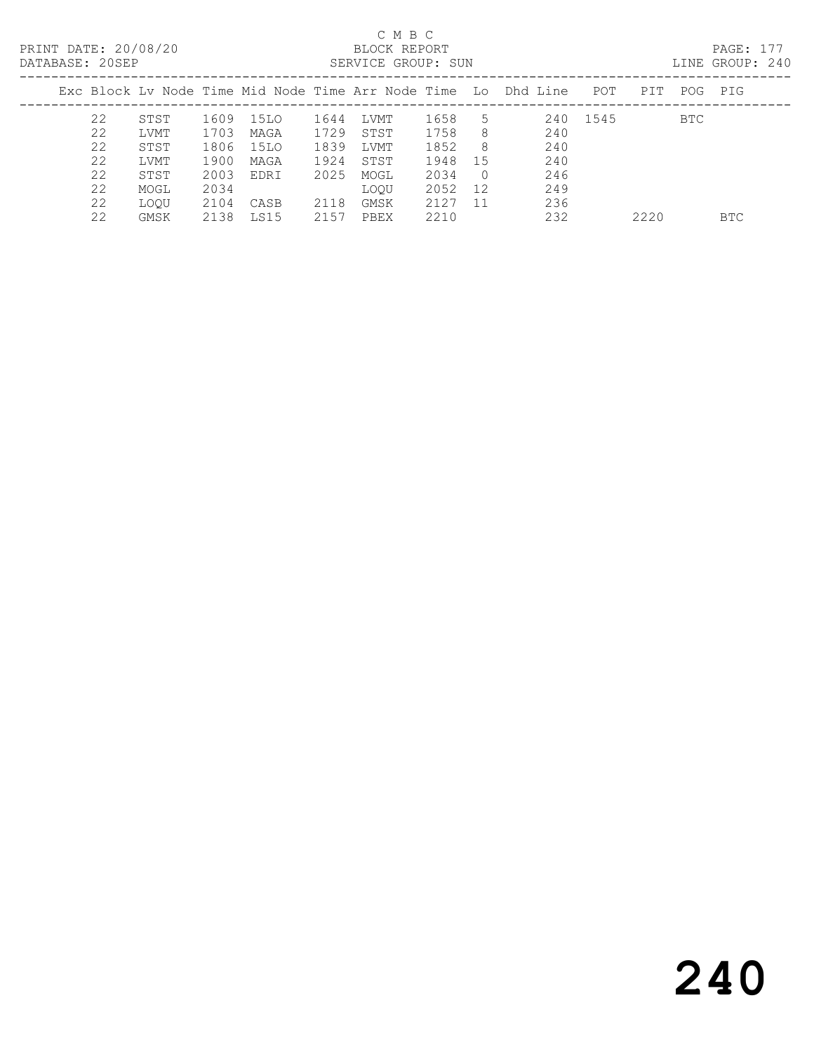| DAIADAJE. ZVJET |      |      |      |      | OLINVICH GRUUF. DUN |      |               |                                                                |          |      |     | LIND UNVUL. 47V |
|-----------------|------|------|------|------|---------------------|------|---------------|----------------------------------------------------------------|----------|------|-----|-----------------|
|                 |      |      |      |      |                     |      |               | Exc Block Ly Node Time Mid Node Time Arr Node Time Lo Dhd Line | POT      | PIT  | POG | PIG             |
| 22              | STST | 1609 | 15LO | 1644 | LVMT                | 1658 | $\mathcal{L}$ |                                                                | 240 1545 |      | BTC |                 |
| 22              | LVMT | 1703 | MAGA | 1729 | STST                | 1758 | -8            | 240                                                            |          |      |     |                 |
| 22              | STST | 1806 | 15LO | 1839 | LVMT                | 1852 | -8            | 240                                                            |          |      |     |                 |
| 22              | LVMT | 1900 | MAGA | 1924 | STST                | 1948 | -15           | 240                                                            |          |      |     |                 |
| 22              | STST | 2003 | EDRI | 2025 | MOGL                | 2034 |               | 246                                                            |          |      |     |                 |
| 22              | MOGL | 2034 |      |      | LOOU                | 2052 | 12            | 249                                                            |          |      |     |                 |
| 22              | LOOU | 2104 | CASB | 2118 | GMSK                | 2127 | -11           | 236                                                            |          |      |     |                 |
| 22              | GMSK | 2138 | LS15 | 2157 | PBEX                | 2210 |               | 232                                                            |          | 2220 |     | BTC             |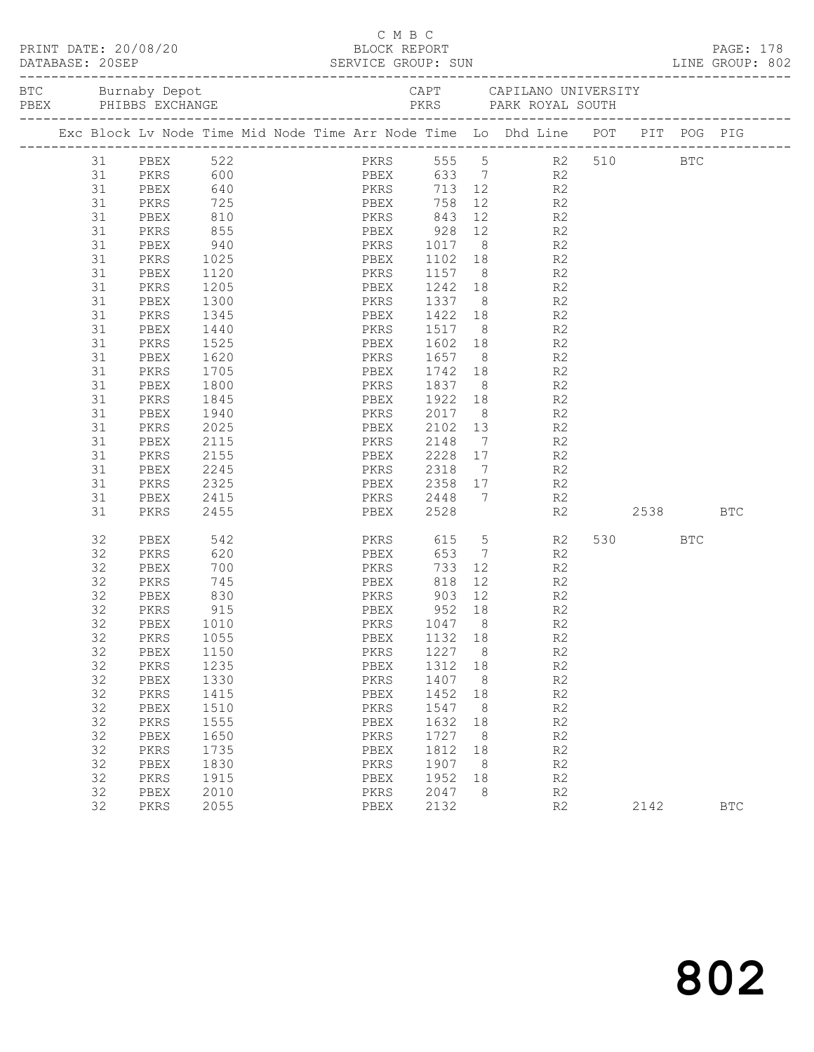| PRINT DATE: 20/08/20<br>BLOCK REPORT BLOCK PERT<br>DATABASE: 20SEP SERVICE GROUP: SUN LINE GROUP: 802 |         |             |      | C M B C |                        |                  |                 |                                                                                                                                                                                                                                                                                                                                                                                                                                    |         |            |            |
|-------------------------------------------------------------------------------------------------------|---------|-------------|------|---------|------------------------|------------------|-----------------|------------------------------------------------------------------------------------------------------------------------------------------------------------------------------------------------------------------------------------------------------------------------------------------------------------------------------------------------------------------------------------------------------------------------------------|---------|------------|------------|
|                                                                                                       |         |             |      |         |                        |                  |                 | BTC Burnaby Depot Burnaby CAPT CAPILANO UNIVERSITY<br>PEEX PHIBBS EXCHANGE PERS PARK ROYAL SOUTH                                                                                                                                                                                                                                                                                                                                   |         |            |            |
|                                                                                                       |         |             |      |         |                        |                  |                 | Exc Block Lv Node Time Mid Node Time Arr Node Time Lo Dhd Line POT PIT POG PIG                                                                                                                                                                                                                                                                                                                                                     |         |            |            |
|                                                                                                       |         | 31 PBEX 522 |      |         |                        |                  |                 | PKRS 555 5 R2 510 BTC                                                                                                                                                                                                                                                                                                                                                                                                              |         |            |            |
|                                                                                                       | 31 PKRS |             |      |         | 600 PBEX 633 7         |                  |                 | R2                                                                                                                                                                                                                                                                                                                                                                                                                                 |         |            |            |
|                                                                                                       | 31      | PBEX        | 640  |         | PKRS<br>PBEX           |                  |                 | $713$ 12<br>R <sub>2</sub>                                                                                                                                                                                                                                                                                                                                                                                                         |         |            |            |
|                                                                                                       | 31      | PKRS        | 725  |         | PBEX                   | 758              | 12              | R <sub>2</sub>                                                                                                                                                                                                                                                                                                                                                                                                                     |         |            |            |
|                                                                                                       | 31      | PBEX        | 810  |         | PKRS 843               |                  |                 | 12<br>R2                                                                                                                                                                                                                                                                                                                                                                                                                           |         |            |            |
|                                                                                                       | 31      | PKRS        | 855  |         | <b>Example 18 PBEX</b> | 928              |                 | 12 and $\overline{a}$<br>R <sub>2</sub>                                                                                                                                                                                                                                                                                                                                                                                            |         |            |            |
|                                                                                                       | 31      | PBEX        | 940  |         | PKRS                   | 1017             |                 | $8 - 1$<br>R2                                                                                                                                                                                                                                                                                                                                                                                                                      |         |            |            |
|                                                                                                       | 31      | PKRS        | 1025 |         | PBEX                   | 1102             |                 |                                                                                                                                                                                                                                                                                                                                                                                                                                    |         |            |            |
|                                                                                                       | 31      | PBEX        | 1120 |         | PKRS                   | 1157             |                 | $\begin{array}{ccc} 18 & & \phantom{0} & \phantom{00} & \phantom{00} & \phantom{00} & \phantom{00} & \phantom{00} & \phantom{00} & \phantom{00} & \phantom{00} & \phantom{00} & \phantom{00} & \phantom{00} & \phantom{00} & \phantom{00} & \phantom{00} & \phantom{00} & \phantom{00} & \phantom{00} & \phantom{00} & \phantom{00} & \phantom{00} & \phantom{00} & \phantom{00} & \phantom{00} & \phantom{00} & \phantom{00} & \$ |         |            |            |
|                                                                                                       | 31      | PKRS        | 1205 |         | PBEX                   | 1242             |                 | 18 18<br>R <sub>2</sub>                                                                                                                                                                                                                                                                                                                                                                                                            |         |            |            |
|                                                                                                       | 31      | PBEX        | 1300 |         | PKRS                   | 1337             |                 | R <sub>2</sub><br>$8 - 8$                                                                                                                                                                                                                                                                                                                                                                                                          |         |            |            |
|                                                                                                       | 31      | PKRS        | 1345 |         | PBEX                   | 1422             |                 |                                                                                                                                                                                                                                                                                                                                                                                                                                    |         |            |            |
|                                                                                                       | 31      | PBEX        | 1440 |         | PKRS                   | 1517             |                 | $\begin{array}{ccc} 18 & & \phantom{0} & \phantom{00} & \phantom{00} & \phantom{00} & \phantom{00} & \phantom{00} & \phantom{00} & \phantom{00} & \phantom{00} & \phantom{00} & \phantom{00} & \phantom{00} & \phantom{00} & \phantom{00} & \phantom{00} & \phantom{00} & \phantom{00} & \phantom{00} & \phantom{00} & \phantom{00} & \phantom{00} & \phantom{00} & \phantom{00} & \phantom{00} & \phantom{00} & \phantom{00} & \$ |         |            |            |
|                                                                                                       | 31      | PKRS        | 1525 |         | PBEX                   | 1602             |                 | 18 18<br>R2                                                                                                                                                                                                                                                                                                                                                                                                                        |         |            |            |
|                                                                                                       | 31      | PBEX        | 1620 |         | PKRS                   | 1657             |                 | $8 - 8$<br>R2                                                                                                                                                                                                                                                                                                                                                                                                                      |         |            |            |
|                                                                                                       | 31      | PKRS        | 1705 |         | PBEX                   | 1742             |                 | $\begin{array}{ccc} 18 & & \phantom{0}\mathsf{R2} \\ 8 & & \phantom{0}\mathsf{R2} \end{array}$                                                                                                                                                                                                                                                                                                                                     |         |            |            |
|                                                                                                       | 31      | PBEX        | 1800 |         | PKRS                   | <sup>1</sup> 837 | 8 <sup>8</sup>  | R2                                                                                                                                                                                                                                                                                                                                                                                                                                 |         |            |            |
|                                                                                                       | 31      | PKRS        | 1845 |         | PBEX                   | 1922             |                 | 18 18<br>R2                                                                                                                                                                                                                                                                                                                                                                                                                        |         |            |            |
|                                                                                                       | 31      | PBEX        | 1940 |         | PKRS                   | 2017             |                 | $8 - 8$<br>R2                                                                                                                                                                                                                                                                                                                                                                                                                      |         |            |            |
|                                                                                                       | 31      | PKRS        | 2025 |         | PBEX                   | 2102             |                 | R <sub>2</sub><br>$\frac{13}{1}$                                                                                                                                                                                                                                                                                                                                                                                                   |         |            |            |
|                                                                                                       | 31      | PBEX        | 2115 |         | PKRS                   | 2148             | $7\overline{ }$ | R2                                                                                                                                                                                                                                                                                                                                                                                                                                 |         |            |            |
|                                                                                                       | 31      | PKRS        | 2155 |         | PBEX                   | 2228             | 17              | R2                                                                                                                                                                                                                                                                                                                                                                                                                                 |         |            |            |
|                                                                                                       | 31      | PBEX        | 2245 |         | PKRS                   | 2318             |                 | $7\overline{ }$<br>R2                                                                                                                                                                                                                                                                                                                                                                                                              |         |            |            |
|                                                                                                       | 31      | PKRS        | 2325 |         | PBEX                   | 2358             | 17              | R <sub>2</sub>                                                                                                                                                                                                                                                                                                                                                                                                                     |         |            |            |
|                                                                                                       | 31      | PBEX        | 2415 |         | PKRS                   | 2448             | 7               | R2                                                                                                                                                                                                                                                                                                                                                                                                                                 |         |            |            |
|                                                                                                       | 31      | PKRS        | 2455 |         | PBEX                   | 2528             |                 | R2                                                                                                                                                                                                                                                                                                                                                                                                                                 |         | 2538       | <b>BTC</b> |
|                                                                                                       | 32      | PBEX        | 542  |         | PKRS                   | 615              | 5 <sub>5</sub>  | R2                                                                                                                                                                                                                                                                                                                                                                                                                                 | 530 000 | <b>BTC</b> |            |
|                                                                                                       | 32      | PKRS        | 620  |         | PBEX                   | 653              | $7\overline{ }$ | R <sub>2</sub>                                                                                                                                                                                                                                                                                                                                                                                                                     |         |            |            |
|                                                                                                       | 32      | PBEX        | 700  |         | PKRS                   | 733              |                 | $12$<br>R2                                                                                                                                                                                                                                                                                                                                                                                                                         |         |            |            |
|                                                                                                       | 32      | PKRS        | 745  |         | PBEX                   | 818              |                 | 12 and $\overline{a}$<br>R2                                                                                                                                                                                                                                                                                                                                                                                                        |         |            |            |
|                                                                                                       | 32      | PBEX        | 830  |         | PKRS                   | 903              | 12              | R <sub>2</sub>                                                                                                                                                                                                                                                                                                                                                                                                                     |         |            |            |
|                                                                                                       | 32      | PKRS        | 915  |         | PBEX                   | 952 18           |                 | R <sub>2</sub>                                                                                                                                                                                                                                                                                                                                                                                                                     |         |            |            |
|                                                                                                       | 32      | PBEX 1010   |      |         | PKRS 1047 8            |                  |                 | R2                                                                                                                                                                                                                                                                                                                                                                                                                                 |         |            |            |
|                                                                                                       | 32      | PKRS        | 1055 |         | PBEX                   | 1132             | 18              | R <sub>2</sub>                                                                                                                                                                                                                                                                                                                                                                                                                     |         |            |            |
|                                                                                                       | 32      | PBEX        | 1150 |         | PKRS                   | 1227             | 8               | R2                                                                                                                                                                                                                                                                                                                                                                                                                                 |         |            |            |
|                                                                                                       | 32      | PKRS        | 1235 |         | PBEX                   | 1312             | 18              | R2                                                                                                                                                                                                                                                                                                                                                                                                                                 |         |            |            |
|                                                                                                       | 32      | PBEX        | 1330 |         | PKRS                   | 1407             | 8               | R2                                                                                                                                                                                                                                                                                                                                                                                                                                 |         |            |            |
|                                                                                                       | 32      | PKRS        | 1415 |         | PBEX                   | 1452             | 18              | R2                                                                                                                                                                                                                                                                                                                                                                                                                                 |         |            |            |
|                                                                                                       | 32      | PBEX        | 1510 |         | PKRS                   | 1547             | 8               | R2                                                                                                                                                                                                                                                                                                                                                                                                                                 |         |            |            |
|                                                                                                       | 32      | PKRS        | 1555 |         | PBEX                   | 1632             | 18              | R2                                                                                                                                                                                                                                                                                                                                                                                                                                 |         |            |            |
|                                                                                                       | 32      | PBEX        | 1650 |         | PKRS                   | 1727             | 8 <sup>8</sup>  | $\mathbb{R}2$                                                                                                                                                                                                                                                                                                                                                                                                                      |         |            |            |
|                                                                                                       | 32      | PKRS        | 1735 |         | PBEX                   | 1812             | 18              | R2                                                                                                                                                                                                                                                                                                                                                                                                                                 |         |            |            |
|                                                                                                       | 32      | PBEX        | 1830 |         | PKRS                   | 1907             | 8 <sup>8</sup>  | R2                                                                                                                                                                                                                                                                                                                                                                                                                                 |         |            |            |
|                                                                                                       | 32      | PKRS        | 1915 |         | PBEX                   | 1952             | 18              | R2                                                                                                                                                                                                                                                                                                                                                                                                                                 |         |            |            |
|                                                                                                       | 32      | PBEX        | 2010 |         | PKRS                   | 2047             | 8               | R2                                                                                                                                                                                                                                                                                                                                                                                                                                 |         |            |            |
|                                                                                                       | 32      | PKRS        | 2055 |         | PBEX                   | 2132             |                 | R2                                                                                                                                                                                                                                                                                                                                                                                                                                 | 2142    |            | <b>BTC</b> |
|                                                                                                       |         |             |      |         |                        |                  |                 |                                                                                                                                                                                                                                                                                                                                                                                                                                    |         |            |            |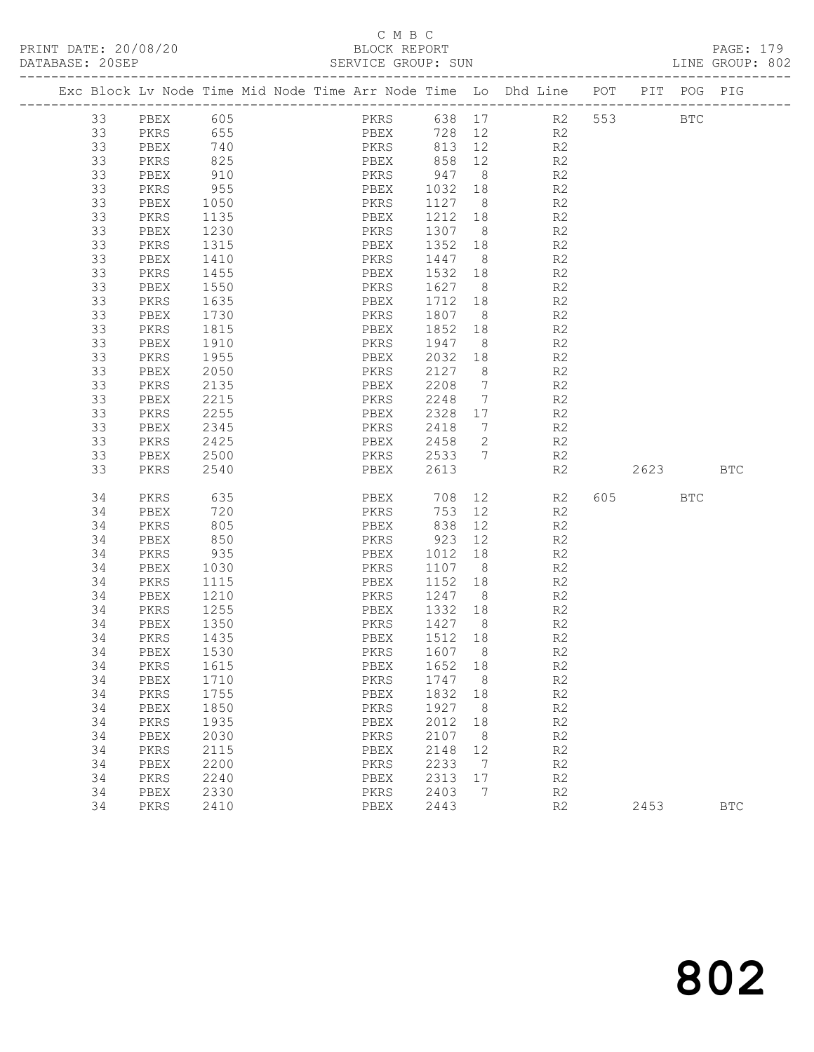### C M B C

| DATABASE: 20SEP |    |           |                  |  | SERVICE GROUP: SUN        |         |                |                                                                                |          | LINE GROUP: 802 |  |
|-----------------|----|-----------|------------------|--|---------------------------|---------|----------------|--------------------------------------------------------------------------------|----------|-----------------|--|
|                 |    |           |                  |  |                           |         |                | Exc Block Lv Node Time Mid Node Time Arr Node Time Lo Dhd Line POT PIT POG PIG |          |                 |  |
|                 | 33 | PBEX 605  |                  |  |                           |         |                | PKRS 638 17 R2 553 BTC                                                         |          |                 |  |
|                 | 33 | PKRS      | 655              |  |                           |         |                | PBEX 728 12 R2                                                                 |          |                 |  |
|                 | 33 | PBEX      | 740              |  |                           |         |                | PKRS 813 12 R2                                                                 |          |                 |  |
|                 | 33 | PKRS      | 825              |  | PBEX 858 12<br>PKRS 947 8 |         |                | R2                                                                             |          |                 |  |
|                 | 33 | PBEX      | 910              |  |                           |         |                | R2                                                                             |          |                 |  |
|                 | 33 | PKRS      | 955              |  |                           |         |                | PBEX 1032 18 R2                                                                |          |                 |  |
|                 | 33 | PBEX      | 1050             |  | PKRS                      |         |                | 1127 8 R2                                                                      |          |                 |  |
|                 | 33 | PKRS      | 1135             |  | PBEX                      | 1212 18 |                | R2                                                                             |          |                 |  |
|                 | 33 | PBEX      | 1230             |  | PKRS                      | 1307 8  |                | R2                                                                             |          |                 |  |
|                 | 33 | PKRS      | 1315             |  | PBEX                      |         |                | 1352 18 R2                                                                     |          |                 |  |
|                 | 33 | PBEX      | 1410             |  | PKRS                      | 1447 8  |                | R2                                                                             |          |                 |  |
|                 | 33 | PKRS      | 1455             |  | PBEX                      | 1532 18 |                | R2                                                                             |          |                 |  |
|                 | 33 | PBEX      | $\frac{1}{1550}$ |  | PKRS                      | 1627 8  |                | R2                                                                             |          |                 |  |
|                 | 33 | PKRS      | 1635             |  | PBEX                      | 1712 18 |                | R2                                                                             |          |                 |  |
|                 | 33 | PBEX      | 1730             |  | PKRS                      | 1807 8  |                | R2                                                                             |          |                 |  |
|                 | 33 | PKRS      | 1815             |  | PBEX                      | 1852 18 |                | R <sub>2</sub>                                                                 |          |                 |  |
|                 | 33 | PBEX      | 1910             |  | PKRS                      | 1947 8  |                | R2                                                                             |          |                 |  |
|                 | 33 | PKRS      | 1955             |  | PBEX                      | 2032 18 |                | R2                                                                             |          |                 |  |
|                 | 33 | PBEX      | 2050             |  | PKRS                      | 2127 8  |                | R2                                                                             |          |                 |  |
|                 | 33 | PKRS      | 2135             |  | PBEX                      | 2208 7  |                | R2                                                                             |          |                 |  |
|                 | 33 | PBEX      | 2215             |  | PKRS                      | 2248    | $\overline{7}$ | R2                                                                             |          |                 |  |
|                 | 33 | PKRS      | 2255             |  | PBEX                      | 2328 17 |                | R <sub>2</sub>                                                                 |          |                 |  |
|                 | 33 | PBEX      | 2345             |  | PKRS                      | 2418 7  |                | R2                                                                             |          |                 |  |
|                 | 33 | PKRS      | 2425             |  | PBEX                      | 2458 2  |                | R2                                                                             |          |                 |  |
|                 | 33 | PBEX      | 2500             |  | PKRS                      | 2533 7  |                | R2                                                                             |          |                 |  |
|                 | 33 | PKRS      | 2540             |  | PBEX                      | 2613    |                | R2                                                                             | 2623 BTC |                 |  |
|                 | 34 | PKRS      | 635              |  | PBEX 708                  |         | 12             | R2                                                                             | 605 BTC  |                 |  |
|                 | 34 | PBEX      | 720              |  | PKRS                      | 753 12  |                | R2                                                                             |          |                 |  |
|                 | 34 | PKRS      | 805              |  | PBEX                      | 838     | 12             | R2                                                                             |          |                 |  |
|                 | 34 | PBEX      | 850              |  | PKRS 923 12               |         |                | R2                                                                             |          |                 |  |
|                 | 34 | PKRS      | 935              |  | PBEX                      | 1012    | 18             | R2                                                                             |          |                 |  |
|                 | 34 | PBEX      | 1030             |  | PKRS                      | 1107 8  |                | R2                                                                             |          |                 |  |
|                 | 34 | PKRS      | $\frac{1}{1115}$ |  | PBEX                      | 1152 18 |                | R2                                                                             |          |                 |  |
|                 | 34 | PBEX      | 1210             |  | PKRS                      |         |                | 1247 8 R2                                                                      |          |                 |  |
|                 | 34 | PKRS      | 1255             |  | PBEX                      | 1332 18 |                | R <sup>2</sup>                                                                 |          |                 |  |
|                 | 34 | PBEX      | 1350             |  | PKRS                      | 1427 8  |                | R2                                                                             |          |                 |  |
|                 | 34 | PKRS      | 1435             |  | PBEX                      | 1512 18 |                | R <sub>2</sub>                                                                 |          |                 |  |
|                 | 34 | PBEX 1530 |                  |  | PKRS 1607 8               |         |                | R2                                                                             |          |                 |  |
|                 | 34 | PKRS      | 1615             |  | PBEX                      | 1652    | 18             | R2                                                                             |          |                 |  |
|                 | 34 | PBEX      | 1710             |  | PKRS                      | 1747    | 8 <sup>8</sup> | R2                                                                             |          |                 |  |
|                 | 34 | PKRS      | 1755             |  | PBEX                      | 1832    | 18             | R2                                                                             |          |                 |  |
|                 | 34 | PBEX      | 1850             |  | PKRS                      | 1927    | 8 <sup>8</sup> | R2                                                                             |          |                 |  |
|                 | 34 | PKRS      | 1935             |  | PBEX                      | 2012    | 18             | R2                                                                             |          |                 |  |
|                 | 34 | PBEX      | 2030             |  | PKRS                      | 2107    | 8 <sup>8</sup> | R2                                                                             |          |                 |  |
|                 | 34 | PKRS      | 2115             |  | PBEX                      | 2148    | 12             | R2                                                                             |          |                 |  |
|                 | 34 | PBEX      | 2200             |  | PKRS                      | 2233    | $\overline{7}$ | R2                                                                             |          |                 |  |
|                 | 34 | PKRS      | 2240             |  | PBEX                      | 2313    | 17             | R2                                                                             |          |                 |  |
|                 | 34 | PBEX      | 2330             |  | PKRS                      | 2403    | 7              | R2                                                                             |          |                 |  |
|                 | 34 | PKRS      | 2410             |  | PBEX                      | 2443    |                | R2                                                                             | 2453     | $_{\rm BTC}$    |  |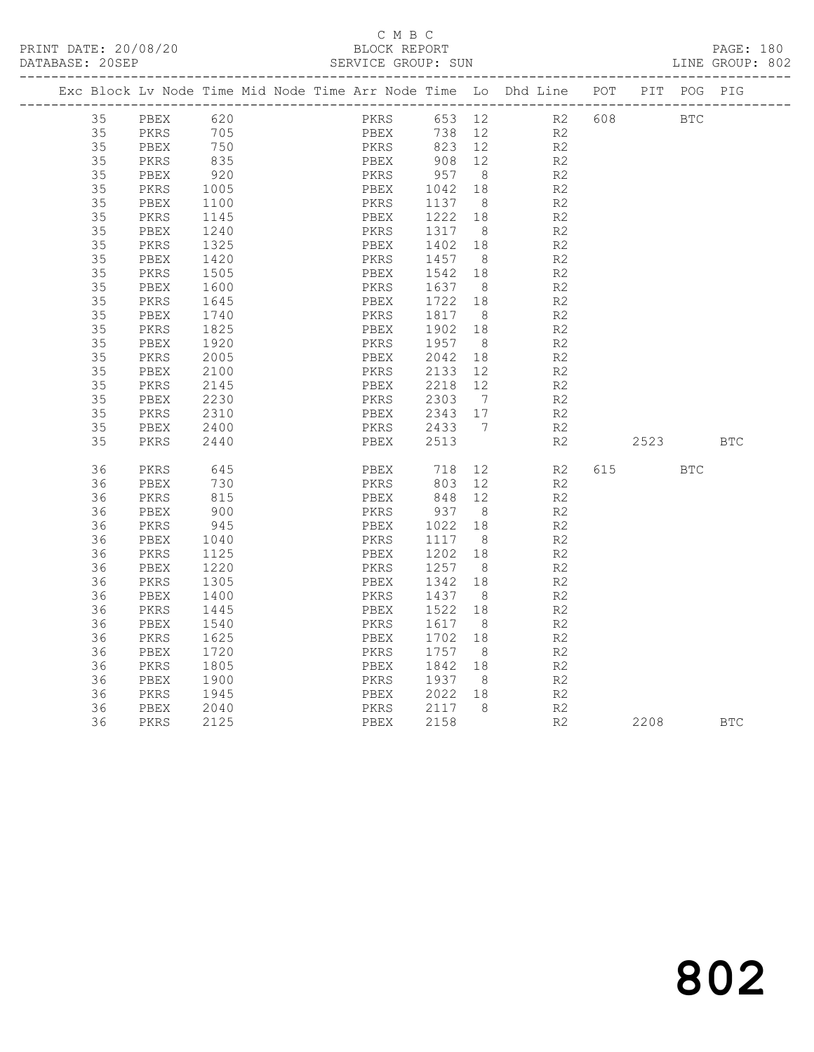#### C M B C<br>BLOCK REPORT SERVICE GROUP: SUN

|  |    |      |      | Exc Block Lv Node Time Mid Node Time Arr Node Time Lo Dhd Line POT |      |      |         |                |    |                |     |           | PIT POG PIG |            |
|--|----|------|------|--------------------------------------------------------------------|------|------|---------|----------------|----|----------------|-----|-----------|-------------|------------|
|  | 35 | PBEX | 620  |                                                                    |      | PKRS |         |                |    | 653 12 R2      | 608 |           | <b>BTC</b>  |            |
|  | 35 | PKRS | 705  |                                                                    |      | PBEX | 738     | 12             |    | R <sub>2</sub> |     |           |             |            |
|  | 35 | PBEX | 750  |                                                                    |      | PKRS | 823 12  |                |    | R2             |     |           |             |            |
|  | 35 | PKRS | 835  |                                                                    | PBEX |      | 908 12  |                |    | R2             |     |           |             |            |
|  | 35 | PBEX | 920  |                                                                    | PKRS |      | 957 8   |                |    | R2             |     |           |             |            |
|  | 35 | PKRS | 1005 |                                                                    | PBEX |      | 1042 18 |                |    | R2             |     |           |             |            |
|  | 35 | PBEX | 1100 |                                                                    | PKRS |      | 1137    | 8 <sup>8</sup> |    | R2             |     |           |             |            |
|  | 35 | PKRS | 1145 |                                                                    | PBEX |      | 1222    | 18             |    | R <sub>2</sub> |     |           |             |            |
|  | 35 | PBEX | 1240 |                                                                    | PKRS |      | 1317    | 8 <sup>8</sup> |    | R2             |     |           |             |            |
|  | 35 | PKRS | 1325 |                                                                    | PBEX |      | 1402 18 |                |    | R2             |     |           |             |            |
|  | 35 | PBEX | 1420 |                                                                    | PKRS |      | 1457    | 8 <sup>8</sup> |    | R2             |     |           |             |            |
|  | 35 | PKRS | 1505 |                                                                    | PBEX |      | 1542    | 18             |    | R2             |     |           |             |            |
|  | 35 | PBEX | 1600 |                                                                    | PKRS |      | 1637 8  |                |    | R2             |     |           |             |            |
|  | 35 | PKRS | 1645 |                                                                    | PBEX |      | 1722    | 18             |    | R2             |     |           |             |            |
|  | 35 | PBEX | 1740 |                                                                    | PKRS |      | 1817 8  |                |    | R2             |     |           |             |            |
|  | 35 | PKRS | 1825 |                                                                    | PBEX |      | 1902 18 |                |    | R2             |     |           |             |            |
|  | 35 | PBEX | 1920 |                                                                    | PKRS |      | 1957    | 8 <sup>8</sup> |    | R <sub>2</sub> |     |           |             |            |
|  | 35 | PKRS | 2005 |                                                                    | PBEX |      | 2042    | 18             |    | R2             |     |           |             |            |
|  | 35 | PBEX | 2100 |                                                                    | PKRS |      | 2133    | 12             |    | R2             |     |           |             |            |
|  | 35 | PKRS | 2145 |                                                                    | PBEX |      | 2218 12 |                |    | R2             |     |           |             |            |
|  | 35 | PBEX | 2230 |                                                                    | PKRS |      | 2303    | $7\phantom{0}$ |    | R2             |     |           |             |            |
|  | 35 | PKRS | 2310 |                                                                    | PBEX |      | 2343 17 |                |    | R2             |     |           |             |            |
|  | 35 | PBEX | 2400 |                                                                    | PKRS |      | 2433 7  |                |    | R2             |     |           |             |            |
|  | 35 | PKRS | 2440 |                                                                    |      | PBEX | 2513    |                |    | R2             |     | 2523      |             | <b>BTC</b> |
|  |    |      |      |                                                                    |      |      |         |                |    |                |     |           |             |            |
|  | 36 | PKRS | 645  |                                                                    | PBEX |      | 718     |                | 12 | R2             |     | 615 — 100 | <b>BTC</b>  |            |
|  | 36 | PBEX | 730  |                                                                    | PKRS |      | 803     | 12             |    | R2             |     |           |             |            |
|  | 36 | PKRS | 815  |                                                                    | PBEX |      | 848 12  |                |    | R <sub>2</sub> |     |           |             |            |
|  | 36 | PBEX | 900  |                                                                    | PKRS |      | 937 8   |                |    | R2             |     |           |             |            |
|  | 36 | PKRS | 945  |                                                                    | PBEX |      | 1022 18 |                |    | R <sub>2</sub> |     |           |             |            |
|  | 36 | PBEX | 1040 |                                                                    | PKRS |      | 1117    | 8 <sup>8</sup> |    | R <sub>2</sub> |     |           |             |            |
|  | 36 | PKRS | 1125 |                                                                    | PBEX |      | 1202 18 |                |    | R2             |     |           |             |            |
|  | 36 | PBEX | 1220 |                                                                    | PKRS |      | 1257    | - 8            |    | R2             |     |           |             |            |
|  | 36 | PKRS | 1305 |                                                                    | PBEX |      | 1342    | 18             |    | R2             |     |           |             |            |
|  | 36 | PBEX | 1400 |                                                                    | PKRS |      | 1437 8  |                |    | R2             |     |           |             |            |
|  | 36 | PKRS | 1445 |                                                                    | PBEX |      | 1522    | 18             |    | R <sub>2</sub> |     |           |             |            |
|  | 36 | PBEX | 1540 |                                                                    | PKRS |      | 1617 8  |                |    | R <sub>2</sub> |     |           |             |            |
|  | 36 | PKRS | 1625 |                                                                    | PBEX |      | 1702    | 18             |    | R <sub>2</sub> |     |           |             |            |
|  | 36 | PBEX | 1720 |                                                                    | PKRS |      | 1757 8  |                |    | R2             |     |           |             |            |
|  | 36 | PKRS | 1805 |                                                                    | PBEX |      | 1842    | 18             |    | R <sub>2</sub> |     |           |             |            |
|  | 36 | PBEX | 1900 |                                                                    | PKRS |      | 1937    | 8 <sup>8</sup> |    | R <sub>2</sub> |     |           |             |            |
|  | 36 | PKRS | 1945 |                                                                    | PBEX |      | 2022 18 |                |    | R2             |     |           |             |            |
|  | 36 | PBEX | 2040 |                                                                    | PKRS |      | 2117 8  |                |    | R2             |     |           |             |            |
|  | 36 | PKRS | 2125 |                                                                    | PBEX |      | 2158    |                |    | R <sub>2</sub> |     | 2208      |             | <b>BTC</b> |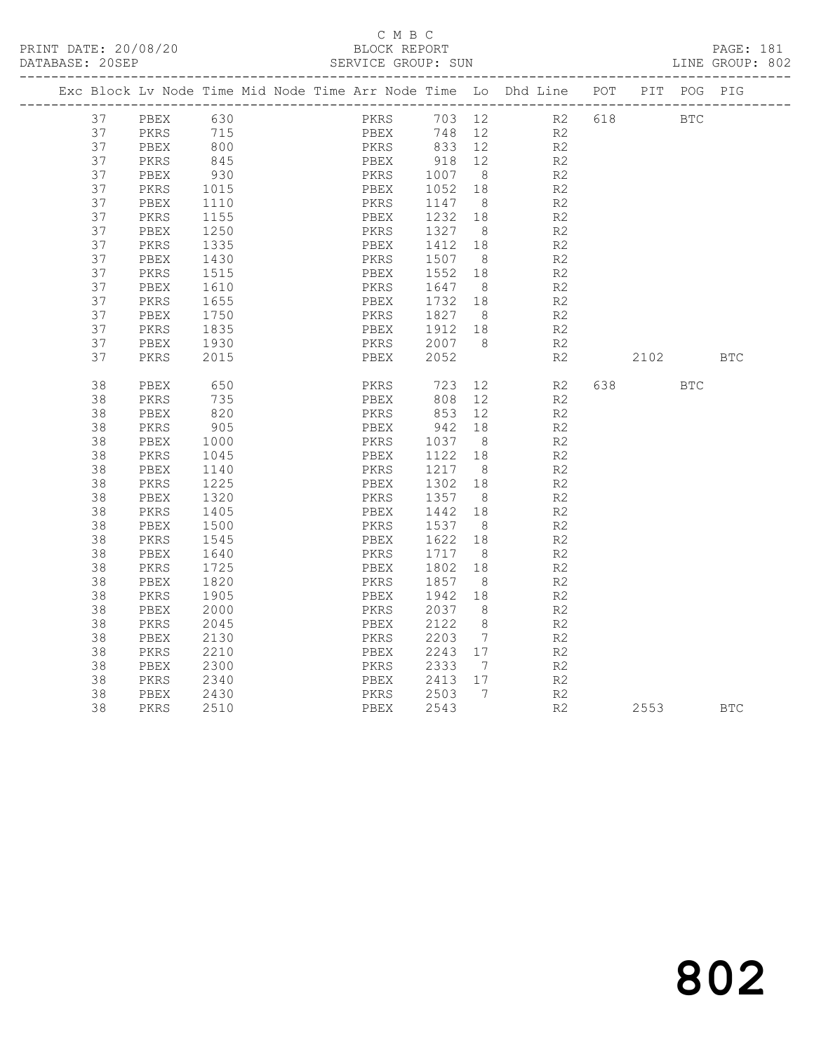#### C M B C<br>BLOCK REPORT SERVICE GROUP: SUN

|    |          |            |  |      |                |                | Exc Block Lv Node Time Mid Node Time Arr Node Time Lo Dhd Line POT |           | PIT POG PIG |            |
|----|----------|------------|--|------|----------------|----------------|--------------------------------------------------------------------|-----------|-------------|------------|
| 37 | PBEX 630 |            |  | PKRS |                |                | 703 12 R2                                                          | 618 BTC   |             |            |
| 37 | PKRS     | 715        |  | PBEX |                |                | 748 12 R2                                                          |           |             |            |
| 37 | PBEX     | 800<br>845 |  |      |                |                | R2                                                                 |           |             |            |
| 37 | PKRS     |            |  |      |                |                | R2                                                                 |           |             |            |
| 37 | PBEX     | 930        |  | PKRS | 1007 8         |                | R <sub>2</sub>                                                     |           |             |            |
| 37 | PKRS     | 1015       |  | PBEX | 1052 18        |                | R <sub>2</sub>                                                     |           |             |            |
| 37 | PBEX     | 1110       |  | PKRS | 1147           | 8 <sup>8</sup> | R2                                                                 |           |             |            |
| 37 | PKRS     | 1155       |  | PBEX | 1232 18        |                | R2                                                                 |           |             |            |
| 37 | PBEX     | 1250       |  | PKRS | 1327 8         |                | R2                                                                 |           |             |            |
| 37 | PKRS     | 1335       |  | PBEX | 1412           | 18             | R2                                                                 |           |             |            |
| 37 | PBEX     | 1430       |  | PKRS | 1507 8         |                | R2                                                                 |           |             |            |
| 37 | PKRS     | 1515       |  | PBEX | 1552 18        |                | R2                                                                 |           |             |            |
| 37 | PBEX     | 1610       |  | PKRS | 1647           | 8 <sup>8</sup> | R2                                                                 |           |             |            |
| 37 | PKRS     | 1655       |  | PBEX | 1732 18        |                | R <sub>2</sub>                                                     |           |             |            |
| 37 | PBEX     | 1750       |  | PKRS | 1827 8         |                | R <sub>2</sub>                                                     |           |             |            |
| 37 | PKRS     | 1835       |  | PBEX | 1912 18        |                | R2                                                                 |           |             |            |
| 37 | PBEX     | 1930       |  | PKRS | 2007 8         |                | R2                                                                 |           |             |            |
| 37 | PKRS     | 2015       |  | PBEX | 2052           |                | R2                                                                 | 2102      |             | <b>BTC</b> |
| 38 | PBEX     | 650        |  | PKRS | 723            |                | 12 and $\overline{a}$<br>R2                                        | 638 — 100 | <b>BTC</b>  |            |
| 38 | PKRS     | 735        |  | PBEX |                | 12             | R2                                                                 |           |             |            |
| 38 | PBEX     | 820        |  | PKRS | $808$<br>$853$ | 12             | R2                                                                 |           |             |            |
| 38 | PKRS     | 905        |  | PBEX | 942            | 18             | R2                                                                 |           |             |            |
| 38 | PBEX     | 1000       |  | PKRS | 1037 8         |                | R <sub>2</sub>                                                     |           |             |            |
| 38 | PKRS     | 1045       |  | PBEX | 1122 18        |                | R2                                                                 |           |             |            |
| 38 | PBEX     | 1140       |  | PKRS | 1217 8         |                | R2                                                                 |           |             |            |
| 38 | PKRS     | 1225       |  | PBEX | 1302 18        |                | R2                                                                 |           |             |            |
| 38 | PBEX     | 1320       |  | PKRS | 1357 8         |                | R2                                                                 |           |             |            |
| 38 | PKRS     | 1405       |  | PBEX | 1442 18        |                | R2                                                                 |           |             |            |
| 38 | PBEX     | 1500       |  | PKRS | 1537           | 8 <sup>8</sup> | R2                                                                 |           |             |            |
| 38 | PKRS     | 1545       |  | PBEX | 1622           | 18             | R <sub>2</sub>                                                     |           |             |            |
| 38 | PBEX     | 1640       |  | PKRS | 1717 8         |                | R2                                                                 |           |             |            |
| 38 | PKRS     | 1725       |  | PBEX | 1802           | 18             | R <sub>2</sub>                                                     |           |             |            |
| 38 | PBEX     | 1820       |  | PKRS | 1857           | 8 <sup>8</sup> | R <sub>2</sub>                                                     |           |             |            |
| 38 | PKRS     | 1905       |  | PBEX | 1942           | 18             | R2                                                                 |           |             |            |
| 38 | PBEX     | 2000       |  | PKRS | 2037           | 8              | R2                                                                 |           |             |            |
| 38 | PKRS     | 2045       |  | PBEX | 2122 8         |                | R <sub>2</sub>                                                     |           |             |            |
| 38 | PBEX     | 2130       |  | PKRS | 2203           | $\overline{7}$ | R2                                                                 |           |             |            |
| 38 | PKRS     | 2210       |  | PBEX | 2243 17        |                | R2                                                                 |           |             |            |
| 38 | PBEX     | 2300       |  | PKRS | 2333           | $\overline{7}$ | R2                                                                 |           |             |            |
| 38 | PKRS     | 2340       |  | PBEX | 2413 17        |                | R2                                                                 |           |             |            |
| 38 | PBEX     | 2430       |  | PKRS | 2503 7         |                | R2                                                                 |           |             |            |
| 38 | PKRS     | 2510       |  | PBEX | 2543           |                | R2                                                                 | 2553      |             | <b>BTC</b> |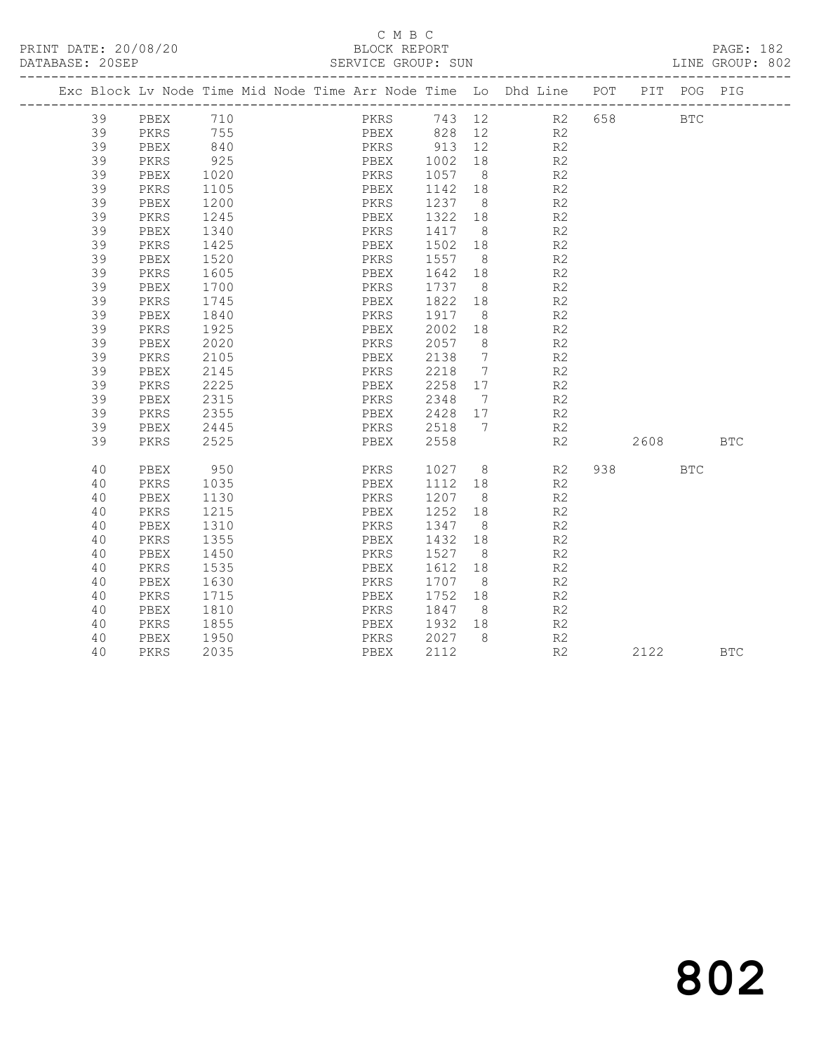#### C M B C<br>BLOCK REPORT SERVICE GROUP: SUN

|  |    |      |      |  |             |         |                | Exc Block Lv Node Time Mid Node Time Arr Node Time Lo Dhd Line POT |           | PIT POG PIG |            |
|--|----|------|------|--|-------------|---------|----------------|--------------------------------------------------------------------|-----------|-------------|------------|
|  | 39 | PBEX | 710  |  |             |         |                | PKRS 743 12 R2 658                                                 |           | <b>BTC</b>  |            |
|  | 39 | PKRS | 755  |  |             |         |                | PBEX 828 12 R2                                                     |           |             |            |
|  | 39 | PBEX | 840  |  |             |         |                | R2                                                                 |           |             |            |
|  | 39 | PKRS | 925  |  |             |         |                | R2                                                                 |           |             |            |
|  | 39 | PBEX | 1020 |  | PKRS 1057 8 |         |                | R <sub>2</sub>                                                     |           |             |            |
|  | 39 | PKRS | 1105 |  | PBEX        | 1142    | 18             | R2                                                                 |           |             |            |
|  | 39 | PBEX | 1200 |  | PKRS        | 1237 8  |                | R2                                                                 |           |             |            |
|  | 39 | PKRS | 1245 |  | PBEX        | 1322    | 18             | R <sub>2</sub>                                                     |           |             |            |
|  | 39 | PBEX | 1340 |  | PKRS        | 1417 8  |                | R2                                                                 |           |             |            |
|  | 39 | PKRS | 1425 |  | PBEX        | 1502    | 18             | R2                                                                 |           |             |            |
|  | 39 | PBEX | 1520 |  | PKRS        | 1557 8  |                | R <sub>2</sub>                                                     |           |             |            |
|  | 39 | PKRS | 1605 |  | PBEX        | 1642 18 |                | R2                                                                 |           |             |            |
|  | 39 | PBEX | 1700 |  | PKRS        | 1737 8  |                | R2                                                                 |           |             |            |
|  | 39 | PKRS | 1745 |  | PBEX        | 1822    | 18             | R2                                                                 |           |             |            |
|  | 39 | PBEX | 1840 |  | PKRS        | 1917    | 8 <sup>8</sup> | R <sub>2</sub>                                                     |           |             |            |
|  | 39 | PKRS | 1925 |  | PBEX        | 2002    | 18             | R <sub>2</sub>                                                     |           |             |            |
|  | 39 | PBEX | 2020 |  | PKRS        | 2057 8  |                | R <sub>2</sub>                                                     |           |             |            |
|  | 39 | PKRS | 2105 |  | PBEX        | 2138    | $\overline{7}$ | R2                                                                 |           |             |            |
|  | 39 | PBEX | 2145 |  | PKRS        | 2218 7  |                | R2                                                                 |           |             |            |
|  | 39 | PKRS | 2225 |  | PBEX        | 2258 17 |                | R <sub>2</sub>                                                     |           |             |            |
|  | 39 | PBEX | 2315 |  | PKRS        | 2348 7  |                | R <sub>2</sub>                                                     |           |             |            |
|  | 39 | PKRS | 2355 |  | PBEX        | 2428 17 |                | R2                                                                 |           |             |            |
|  | 39 | PBEX | 2445 |  | PKRS 2518 7 |         |                | R2                                                                 |           |             |            |
|  | 39 | PKRS | 2525 |  | PBEX        | 2558    |                | R2                                                                 | 2608 BTC  |             |            |
|  |    |      |      |  |             |         |                |                                                                    |           |             |            |
|  | 40 | PBEX | 950  |  | PKRS        | 1027 8  |                | R2                                                                 | 938 — 100 | <b>BTC</b>  |            |
|  | 40 | PKRS | 1035 |  | PBEX        | 1112 18 |                | R2                                                                 |           |             |            |
|  | 40 | PBEX | 1130 |  | PKRS        | 1207 8  |                | R <sub>2</sub>                                                     |           |             |            |
|  | 40 | PKRS | 1215 |  | PBEX        | 1252    | 18             | R2                                                                 |           |             |            |
|  | 40 | PBEX | 1310 |  | PKRS        | 1347 8  |                | R2                                                                 |           |             |            |
|  | 40 | PKRS | 1355 |  | PBEX        | 1432    | 18             | R <sub>2</sub>                                                     |           |             |            |
|  | 40 | PBEX | 1450 |  | PKRS        | 1527    | 8 <sup>8</sup> | R2                                                                 |           |             |            |
|  | 40 | PKRS | 1535 |  | PBEX        | 1612    | 18             | R <sub>2</sub>                                                     |           |             |            |
|  | 40 | PBEX | 1630 |  | PKRS        | 1707    | 8 <sup>8</sup> | R <sub>2</sub>                                                     |           |             |            |
|  | 40 | PKRS | 1715 |  | PBEX        | 1752    | 18             | R2                                                                 |           |             |            |
|  | 40 | PBEX | 1810 |  | PKRS        | 1847    | 8 <sup>8</sup> | R <sub>2</sub>                                                     |           |             |            |
|  | 40 | PKRS | 1855 |  | PBEX        | 1932    | 18             | R <sub>2</sub>                                                     |           |             |            |
|  | 40 | PBEX | 1950 |  | PKRS        | 2027 8  |                | R2                                                                 |           |             |            |
|  | 40 | PKRS | 2035 |  | PBEX        | 2112    |                | R2                                                                 | 2122      |             | <b>BTC</b> |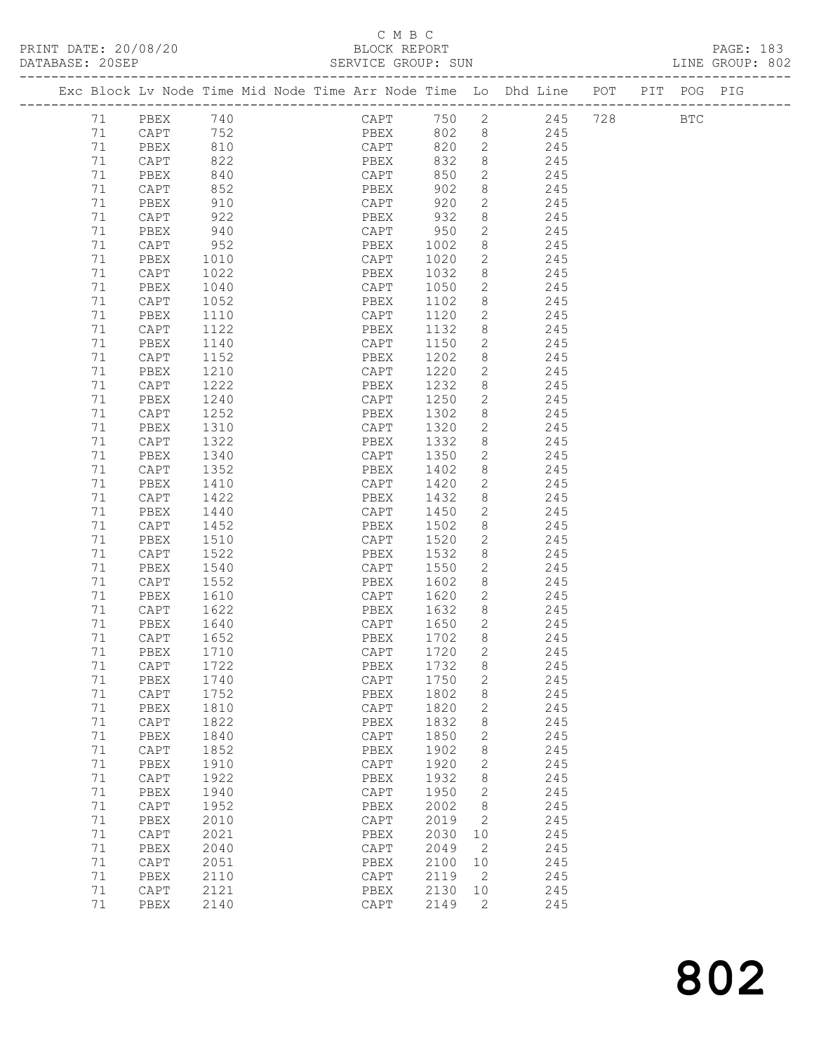## C M B C<br>BLOCK REPORT

| <u>_</u> |      |  |  |  |
|----------|------|--|--|--|
|          | חסמם |  |  |  |
|          |      |  |  |  |

| PRINT DATE: 20/08/20<br>DATABASE: 20SEP |        | 8/20                                                     |                          |  | BLOCK REPORT<br>SERVICE GROUP: SUN |      |                |                                                                                |  | PAGE: 183<br>LINE GROUP: 802 |
|-----------------------------------------|--------|----------------------------------------------------------|--------------------------|--|------------------------------------|------|----------------|--------------------------------------------------------------------------------|--|------------------------------|
|                                         |        |                                                          |                          |  |                                    |      |                | Exc Block Lv Node Time Mid Node Time Arr Node Time Lo Dhd Line POT PIT POG PIG |  |                              |
|                                         |        | 71 PBEX 740                                              |                          |  |                                    |      |                | CAPT 750 2 245 728 BTC                                                         |  |                              |
|                                         | 71     |                                                          |                          |  |                                    |      |                | PBEX 802 8 245                                                                 |  |                              |
|                                         | 71     | CAPT 752<br>PBEX 810<br>CAPT 822<br>PBEX 840<br>CAPT 852 |                          |  | CAPT                               |      |                | 820 2 245                                                                      |  |                              |
|                                         | 71     |                                                          |                          |  |                                    | 832  |                |                                                                                |  |                              |
|                                         | 71     |                                                          |                          |  | PBEX<br>CAPT                       | 850  |                | $\begin{array}{ccc}\n8 & 245 \\ 2 & 245\n\end{array}$                          |  |                              |
|                                         | 71     |                                                          |                          |  | PBEX                               | 902  |                | 8 245                                                                          |  |                              |
|                                         | 71     | PBEX                                                     | 910                      |  | CAPT                               | 920  | $2^{\circ}$    | 245                                                                            |  |                              |
|                                         | 71     | CAPT                                                     |                          |  |                                    |      | 8              | 245                                                                            |  |                              |
|                                         | 71     | PBEX                                                     | 922<br>940               |  | PBEX 932<br>CAPT 950               |      | $2^{\circ}$    | 245                                                                            |  |                              |
|                                         | 71     | CAPT                                                     | 952                      |  | PBEX 1002                          |      | 8              | 245                                                                            |  |                              |
|                                         | 71     | PBEX                                                     | 1010                     |  | CAPT 1020                          |      | $\overline{2}$ | 245                                                                            |  |                              |
|                                         | 71     | CAPT                                                     | 1022                     |  |                                    |      | 8              | 245                                                                            |  |                              |
|                                         | 71     | PBEX                                                     | 1040                     |  | PBEX 1032<br>CAPT 1050             |      | $2^{\circ}$    | 245                                                                            |  |                              |
|                                         | 71     | CAPT                                                     | 1052                     |  | PBEX                               | 1102 |                | 8 245                                                                          |  |                              |
|                                         | 71     | PBEX                                                     | 1110                     |  | CAPT                               | 1120 | $2^{\circ}$    | 245                                                                            |  |                              |
|                                         | 71     | CAPT                                                     | 1122                     |  | PBEX                               | 1132 | 8              | 245                                                                            |  |                              |
|                                         | 71     | PBEX                                                     | 1140                     |  | CAPT                               | 1150 | $2^{\circ}$    | 245                                                                            |  |                              |
|                                         | 71     | CAPT                                                     | 1152                     |  | PBEX                               | 1202 | 8              | 245                                                                            |  |                              |
|                                         | 71     | PBEX                                                     | 1210                     |  | CAPT                               | 1220 |                | 2 245                                                                          |  |                              |
|                                         | 71     | CAPT                                                     | 1222                     |  | PBEX                               | 1232 | 8              | 245                                                                            |  |                              |
|                                         | 71     | PBEX                                                     | 1240                     |  | CAPT                               | 1250 | $2^{\circ}$    | 245                                                                            |  |                              |
|                                         | 71     | CAPT                                                     | 1252                     |  | PBEX                               | 1302 | 8              | 245                                                                            |  |                              |
|                                         | 71     | PBEX                                                     | 1310                     |  | CAPT 1320                          |      |                | 2 245                                                                          |  |                              |
|                                         | 71     | CAPT                                                     | 1322                     |  | PBEX                               | 1332 | 8              | 245                                                                            |  |                              |
|                                         | 71     | PBEX                                                     | 1340                     |  | CAPT 1350                          |      | $2^{\circ}$    | 245                                                                            |  |                              |
|                                         | 71     | CAPT                                                     | 1352                     |  | PBEX                               | 1402 | 8              | 245                                                                            |  |                              |
|                                         | 71     | PBEX                                                     | 1410                     |  | CAPT 1420                          |      | $\overline{2}$ | 245                                                                            |  |                              |
|                                         | 71     | CAPT                                                     | 1422                     |  | PBEX                               | 1432 |                | 8<br>245                                                                       |  |                              |
|                                         | 71     | PBEX                                                     |                          |  | CAPT                               | 1450 | $2^{\circ}$    | 245                                                                            |  |                              |
|                                         | 71     | CAPT                                                     | $1440$<br>$1452$<br>1452 |  | PBEX                               | 1502 | 8              | 245                                                                            |  |                              |
|                                         | 71     | PBEX                                                     | 1510                     |  | CAPT 1520                          |      | $\overline{2}$ | 245                                                                            |  |                              |
|                                         | 71     | CAPT                                                     | 1522                     |  | PBEX                               | 1532 | 8              | 245                                                                            |  |                              |
|                                         | 71     | PBEX                                                     | 1540                     |  | CAPT                               | 1550 | $2^{\circ}$    | 245                                                                            |  |                              |
|                                         | 71     | CAPT                                                     | 1552                     |  | CAFI 1990<br>PBEX 1602             |      | 8 <sup>8</sup> | 245                                                                            |  |                              |
|                                         | 71     | PBEX                                                     | 1610                     |  | CAPT 1620                          |      |                | 2 245                                                                          |  |                              |
|                                         | 71     | CAPT                                                     | 1622                     |  | PBEX                               | 1632 |                | 8 245                                                                          |  |                              |
|                                         | 71     | PBEX                                                     | 1640                     |  | CAPT                               | 1650 | $2^{\circ}$    | 245                                                                            |  |                              |
|                                         |        | 71 CAPT 1652                                             |                          |  | PBEX 1702 8                        |      |                | 245                                                                            |  |                              |
|                                         | 71     | PBEX                                                     | 1710                     |  | CAPT                               | 1720 | 2              | 245                                                                            |  |                              |
|                                         | 71     | CAPT                                                     | 1722                     |  | PBEX                               | 1732 | 8              | 245                                                                            |  |                              |
|                                         | $71\,$ | PBEX                                                     | 1740                     |  | CAPT                               | 1750 | 2              | 245                                                                            |  |                              |
|                                         | 71     | CAPT                                                     | 1752                     |  | PBEX                               | 1802 | 8              | 245                                                                            |  |                              |
|                                         | 71     | PBEX                                                     | 1810                     |  | CAPT                               | 1820 | 2              | 245                                                                            |  |                              |
|                                         | 71     | CAPT                                                     | 1822                     |  | PBEX                               | 1832 | 8              | 245                                                                            |  |                              |
|                                         | 71     | PBEX                                                     | 1840                     |  | CAPT                               | 1850 | 2              | 245                                                                            |  |                              |
|                                         | 71     | CAPT                                                     | 1852                     |  | PBEX                               | 1902 | 8              | 245                                                                            |  |                              |
|                                         | 71     | PBEX                                                     | 1910                     |  | $\texttt{CAPT}$                    | 1920 | 2              | 245                                                                            |  |                              |
|                                         | 71     | CAPT                                                     | 1922                     |  | PBEX                               | 1932 | 8              | 245                                                                            |  |                              |
|                                         | 71     | PBEX                                                     | 1940                     |  | CAPT                               | 1950 | 2              | 245                                                                            |  |                              |
|                                         | 71     | CAPT                                                     | 1952                     |  | PBEX                               | 2002 | 8              | 245                                                                            |  |                              |
|                                         | 71     | PBEX                                                     | 2010                     |  | $\texttt{CAPT}$                    | 2019 | 2              | 245                                                                            |  |                              |
|                                         | 71     | CAPT                                                     | 2021                     |  | PBEX                               | 2030 | 10             | 245                                                                            |  |                              |
|                                         | $71\,$ | PBEX                                                     | 2040                     |  | CAPT                               | 2049 | 2              | 245                                                                            |  |                              |
|                                         | 71     | CAPT                                                     | 2051                     |  | PBEX                               | 2100 | 10             | 245                                                                            |  |                              |
|                                         | 71     | PBEX                                                     | 2110                     |  | CAPT                               | 2119 | 2              | 245                                                                            |  |                              |
|                                         | 71     | CAPT                                                     | 2121                     |  | PBEX                               | 2130 | 10             | 245                                                                            |  |                              |
|                                         | 71     | PBEX                                                     | 2140                     |  | CAPT                               | 2149 | 2              | 245                                                                            |  |                              |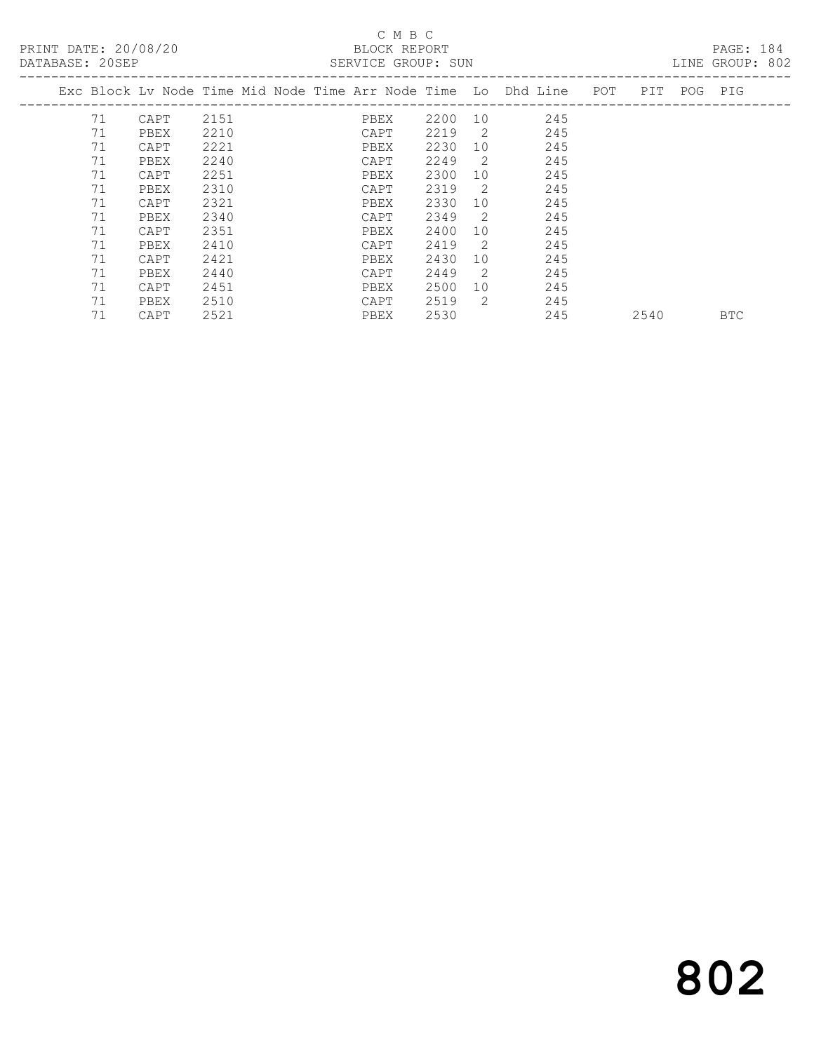## C M B C

| DATABASE: 20SEP |    |                                                                    |      |  |      | SERVICE GROUP: SUN |                |     |      |             | LINE GROUP: 802 |  |
|-----------------|----|--------------------------------------------------------------------|------|--|------|--------------------|----------------|-----|------|-------------|-----------------|--|
|                 |    | Exc Block Lv Node Time Mid Node Time Arr Node Time Lo Dhd Line POT |      |  |      |                    |                |     |      | PIT POG PIG |                 |  |
|                 | 71 | CAPT                                                               | 2151 |  | PBEX | 2200               | 10             | 245 |      |             |                 |  |
|                 | 71 | PBEX                                                               | 2210 |  | CAPT | 2219               | $\overline{2}$ | 245 |      |             |                 |  |
|                 | 71 | CAPT                                                               | 2221 |  | PBEX | 2230               | 10             | 245 |      |             |                 |  |
|                 | 71 | PBEX                                                               | 2240 |  | CAPT | 2249               | -2             | 245 |      |             |                 |  |
|                 | 71 | CAPT                                                               | 2251 |  | PBEX | 2300               | 10             | 245 |      |             |                 |  |
|                 | 71 | PBEX                                                               | 2310 |  | CAPT | 2319               | -2             | 245 |      |             |                 |  |
|                 | 71 | CAPT                                                               | 2321 |  | PBEX | 2330               | 10             | 245 |      |             |                 |  |
|                 | 71 | PBEX                                                               | 2340 |  | CAPT | 2349               | 2              | 245 |      |             |                 |  |
|                 | 71 | CAPT                                                               | 2351 |  | PBEX | 2400               | 10             | 245 |      |             |                 |  |
|                 | 71 | PBEX                                                               | 2410 |  | CAPT | 2419               | 2              | 245 |      |             |                 |  |
|                 | 71 | CAPT                                                               | 2421 |  | PBEX | 2430               | 10             | 245 |      |             |                 |  |
|                 | 71 | PBEX                                                               | 2440 |  | CAPT | 2449               | 2              | 245 |      |             |                 |  |
|                 | 71 | CAPT                                                               | 2451 |  | PBEX | 2500               | 10             | 245 |      |             |                 |  |
|                 | 71 | PBEX                                                               | 2510 |  | CAPT | 2519               | 2              | 245 |      |             |                 |  |
|                 | 71 | CAPT                                                               | 2521 |  | PBEX | 2530               |                | 245 | 2540 |             | <b>BTC</b>      |  |

# 802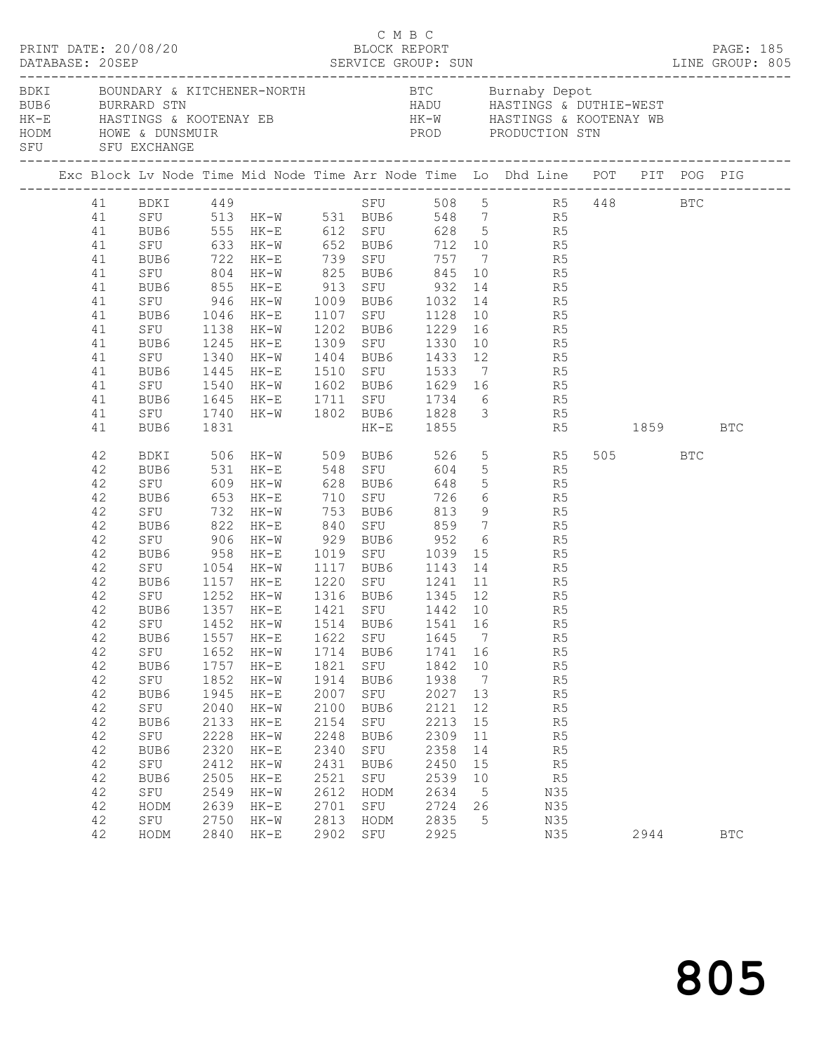|  | DATABASE: 20SEP | PRINT DATE: 20/08/20 |              |                  |              | C M B C     | BLOCK REPORT |                 |                                                                                                                                                                                     |             |         | PAGE: 185  |
|--|-----------------|----------------------|--------------|------------------|--------------|-------------|--------------|-----------------|-------------------------------------------------------------------------------------------------------------------------------------------------------------------------------------|-------------|---------|------------|
|  |                 |                      |              |                  |              |             |              |                 | BUB6 BURRARD STN BURRARD STN HADU HASTINGS & DUTHIE-WEST<br>HK-E HASTINGS & KOOTENAY EB HK-W HASTINGS & KOOTENAY WE<br>HODM HOWE & DUNSMUIR PROD PRODUCTION STN<br>SFU SFU EXCHANGE |             |         |            |
|  |                 |                      |              |                  |              |             |              |                 | Exc Block Lv Node Time Mid Node Time Arr Node Time Lo Dhd Line POT PIT POG PIG                                                                                                      |             |         |            |
|  |                 |                      |              |                  |              |             |              |                 | 41 BDKI 449 SFU 508 5 R5 448 BTC                                                                                                                                                    |             |         |            |
|  | 41              |                      |              |                  |              |             |              |                 | SEU 513 HK-W 531 BUB6 548 7 R5                                                                                                                                                      |             |         |            |
|  | 41              |                      |              |                  |              |             |              |                 |                                                                                                                                                                                     |             |         |            |
|  | 41              |                      |              |                  |              |             |              |                 | BUB6 555 HK-E 612 SFU 628 5<br>SFU 633 HK-W 652 BUB6 712 10 R5<br>BUB6 722 HK-E 739 SFU 757 7 R5<br>SFU 804 HK-W 825 BUB6 845 10 R5                                                 |             |         |            |
|  | 41              |                      |              |                  |              |             |              |                 |                                                                                                                                                                                     |             |         |            |
|  | 41              |                      |              |                  |              |             |              |                 |                                                                                                                                                                                     |             |         |            |
|  | 41              |                      |              |                  |              |             |              |                 |                                                                                                                                                                                     |             |         |            |
|  | 41              |                      |              |                  |              |             |              |                 | BUB6 855 HK-E 913 SFU 932 14 R5<br>SFU 946 HK-W 1009 BUB6 1032 14 R5<br>BUB6 1046 HK-E 1107 SFU 1128 10 R5                                                                          |             |         |            |
|  | 41<br>41        |                      |              |                  |              |             |              |                 | SFU 1138 HK-W 1202 BUB6 1229 16 R5                                                                                                                                                  |             |         |            |
|  | 41              |                      |              |                  |              |             |              |                 |                                                                                                                                                                                     |             |         |            |
|  | 41              |                      |              |                  |              |             |              |                 | BUB6 1245 HK-E 1309 SFU 1330 10 R5<br>SFU 1340 HK-W 1404 BUB6 1433 12 R5<br>BUB6 1445 HK-E 1510 SFU 1533 7 R5                                                                       |             |         |            |
|  | 41              |                      |              |                  |              |             |              |                 |                                                                                                                                                                                     |             |         |            |
|  | 41              |                      |              |                  |              |             |              |                 | SFU 1540 HK-W 1602 BUB6 1629 16 R5                                                                                                                                                  |             |         |            |
|  | 41              |                      |              |                  |              |             |              |                 | BUB6 1645 HK-E 1711 SFU 1734 6 R5                                                                                                                                                   |             |         |            |
|  | 41              |                      |              |                  |              |             |              |                 |                                                                                                                                                                                     |             |         |            |
|  | 41              |                      |              |                  |              |             |              |                 | SEU 1740 HK-W 1802 BUB6 1828 3 R5<br>BUB6 1831 HK-E 1855 R5                                                                                                                         | R5 1859 BTC |         |            |
|  | 42              | BDKI                 |              |                  |              |             |              |                 | 506 HK-W 509 BUB6 526 5 R5                                                                                                                                                          |             | 505 BTC |            |
|  | 42              |                      |              |                  |              |             |              |                 | BUB6 531 HK-E 548 SFU 604 5 R5<br>SFU 609 HK-W 628 BUB6 648 5 R5<br>BUB6 653 HK-E 710 SFU 726 6 R5                                                                                  |             |         |            |
|  | 42              |                      |              |                  |              |             |              |                 |                                                                                                                                                                                     |             |         |            |
|  | 42<br>42        |                      |              |                  |              |             |              |                 | SFU 732 HK-W 753 BUB6 813 9 R5                                                                                                                                                      |             |         |            |
|  | 42              |                      |              |                  |              |             |              |                 |                                                                                                                                                                                     |             |         |            |
|  | 42              |                      |              |                  |              |             |              |                 | BUB6 822 HK-E 840 SFU 859 7 R5<br>SFU 906 HK-W 929 BUB6 952 6 R5<br>BUB6 958 HK-E 1019 SFU 1039 15 R5                                                                               |             |         |            |
|  | 42              |                      |              |                  |              |             |              |                 |                                                                                                                                                                                     |             |         |            |
|  | 42              |                      |              |                  |              |             |              |                 | SFU 1054 HK-W 1117 BUB6 1143 14 R5                                                                                                                                                  |             |         |            |
|  | 42              |                      |              |                  |              |             |              |                 | BUB6 1157 HK-E 1220 SFU 1241 11 R5<br>SFU 1252 HK-W 1316 BUB6 1345 12 R5<br>BUB6 1357 HK-E 1421 SFU 1442 10 R5                                                                      |             |         |            |
|  | 42              |                      |              |                  |              |             |              |                 |                                                                                                                                                                                     |             |         |            |
|  | 42              |                      |              |                  |              |             |              |                 |                                                                                                                                                                                     |             |         |            |
|  |                 |                      |              |                  |              |             |              |                 | 42 SFU 1452 HK-W 1514 BUB6 1541 16 R5                                                                                                                                               |             |         |            |
|  | 42              | BUB6                 |              | 1557 HK-E        | 1622         | SFU         | 1645         | $\overline{7}$  | R5                                                                                                                                                                                  |             |         |            |
|  | 42              | SFU                  |              | 1652 HK-W        |              | 1714 BUB6   | 1741 16      |                 | R <sub>5</sub>                                                                                                                                                                      |             |         |            |
|  | 42              | BUB6                 | 1757         | $HK-E$           | 1821         | SFU         | 1842         | 10              | R5                                                                                                                                                                                  |             |         |            |
|  | 42              | SFU                  | 1852         | HK-W             | 1914         | BUB6        | 1938         | $\overline{7}$  | R5                                                                                                                                                                                  |             |         |            |
|  | 42<br>42        | BUB6                 | 1945         | $HK-E$           | 2007<br>2100 | SFU         | 2027 13      | 12              | R5                                                                                                                                                                                  |             |         |            |
|  | 42              | SFU<br>BUB6          | 2040<br>2133 | $HK-W$<br>$HK-E$ | 2154         | BUB6<br>SFU | 2121<br>2213 | 15              | R5<br>R5                                                                                                                                                                            |             |         |            |
|  | 42              | SFU                  | 2228         | $HK-W$           | 2248         | BUB6        | 2309         | 11              | R5                                                                                                                                                                                  |             |         |            |
|  | 42              | BUB6                 | 2320         | $HK-E$           | 2340         | SFU         | 2358         | 14              | R5                                                                                                                                                                                  |             |         |            |
|  | 42              | SFU                  | 2412         | HK-W             | 2431         | BUB6        | 2450         | 15              | R5                                                                                                                                                                                  |             |         |            |
|  | 42              | BUB6                 | 2505         | $HK-E$           | 2521         | SFU         | 2539         | 10              | R <sub>5</sub>                                                                                                                                                                      |             |         |            |
|  | 42              | SFU                  | 2549         | HK-W             | 2612         | HODM        | 2634         | $5^{\circ}$     | N35                                                                                                                                                                                 |             |         |            |
|  | 42              | HODM                 | 2639         | $HK-E$           | 2701         | SFU         | 2724         | 26              | N35                                                                                                                                                                                 |             |         |            |
|  | 42              | SFU                  | 2750         | HK-W             | 2813         | HODM        | 2835         | $5\phantom{.0}$ | N35                                                                                                                                                                                 |             |         |            |
|  | 42              | HODM                 | 2840         | HK-E             | 2902         | SFU         | 2925         |                 | N35                                                                                                                                                                                 |             | 2944    | <b>BTC</b> |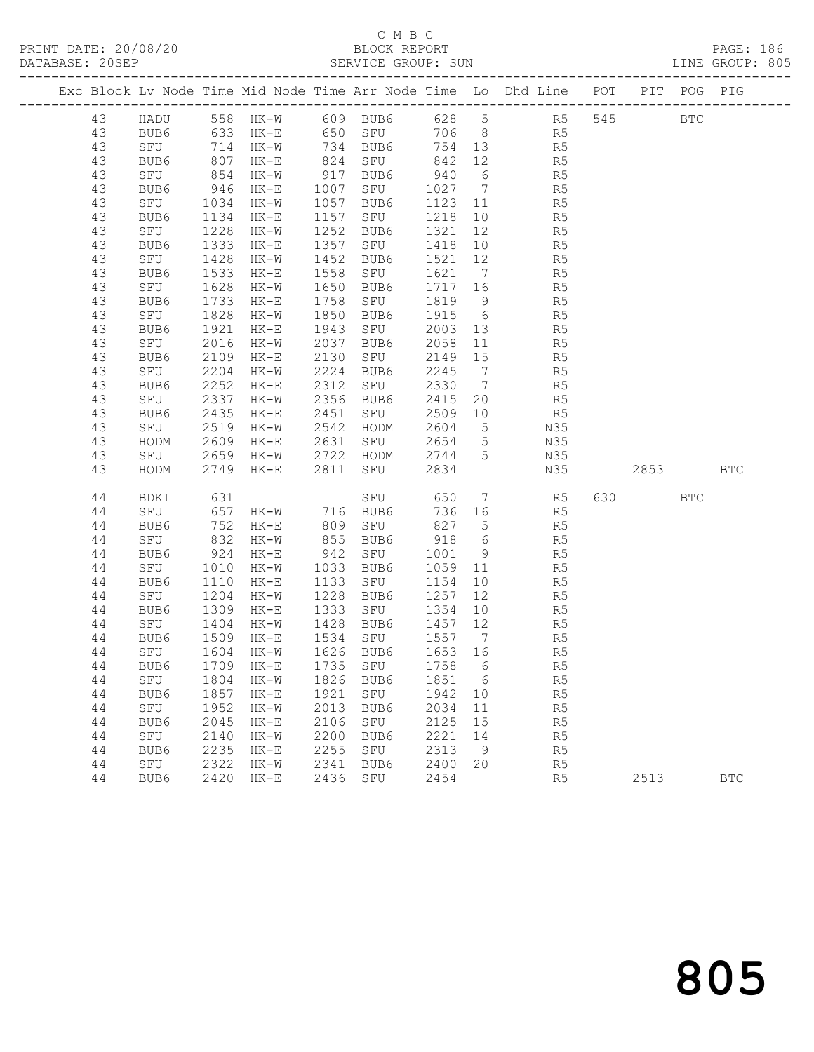#### C M B C<br>BLOCK REPORT SERVICE GROUP: SUN

PRINT DATE: 20/08/20 BLOCK REPORT PAGE: 186

|  |          |             |              |                                   |              |                                                             |              |                      | Exc Block Lv Node Time Mid Node Time Arr Node Time Lo Dhd Line POT PIT POG PIG |         |              |              |
|--|----------|-------------|--------------|-----------------------------------|--------------|-------------------------------------------------------------|--------------|----------------------|--------------------------------------------------------------------------------|---------|--------------|--------------|
|  | 43       |             |              |                                   |              |                                                             |              |                      | HADU 558 HK-W 609 BUB6 628 5 R5                                                | 545     | <b>BTC</b>   |              |
|  | 43       | BUB6        |              | 633 HK-E                          |              | 650 SFU                                                     |              |                      | 706 8 R5                                                                       |         |              |              |
|  | 43       | SFU         |              | 714 HK-W                          |              | 734 BUB6                                                    | 754 13       |                      | R <sub>5</sub>                                                                 |         |              |              |
|  | 43       | BUB6        | 807          | HK-E                              |              | 824 SFU                                                     | 842          | 12                   | R5                                                                             |         |              |              |
|  | 43       | SFU         | 854          | $HK-W$                            |              | 917 BUB6                                                    | 940 6        |                      | R5                                                                             |         |              |              |
|  | 43       | BUB6        | 946          | HK-E                              |              | 1007 SFU                                                    | 1027 7       |                      | R5                                                                             |         |              |              |
|  | 43       | SFU         | 1034         | HK-W                              |              | 1057 BUB6                                                   | 1123 11      |                      | R5                                                                             |         |              |              |
|  | 43       | BUB6        | 1134         | HK-E                              |              | 1157 SFU                                                    | 1218 10      |                      | R5                                                                             |         |              |              |
|  | 43       | SFU         | 1228         | $HK-W$                            |              | 1252 BUB6                                                   | 1321 12      |                      | R5                                                                             |         |              |              |
|  | 43       | BUB6        |              | 1333 HK-E                         |              | 1357 SFU                                                    | 1418 10      |                      | R5                                                                             |         |              |              |
|  | 43       | SFU         | 1428         | HK-W                              | 1452         | BUB6                                                        | 1521 12      |                      | R5                                                                             |         |              |              |
|  | 43       | BUB6        | 1533         | HK-E                              | 1558         | SFU                                                         | 1621         | $7\overline{)}$      | R5                                                                             |         |              |              |
|  | 43       | SFU         | 1628         | HK-W                              | 1650         | BUB6                                                        | 1717 16      |                      | R5                                                                             |         |              |              |
|  | 43       | BUB6        | 1733         | $HK-E$                            | 1758         | SFU                                                         | 1819         | 9                    | R5                                                                             |         |              |              |
|  | 43       | SFU         | 1828         | HK-W                              | 1850         | BUB6                                                        | 1915         | $6\overline{6}$      | R5                                                                             |         |              |              |
|  | 43       | BUB6        | 1921         | HK-E                              |              | 1943 SFU                                                    | 2003         | 13                   | R5                                                                             |         |              |              |
|  | 43       | SFU         | 2016         | $HK-W$                            |              | 2037 BUB6                                                   | 2058         | 11                   | R5                                                                             |         |              |              |
|  | 43       | BUB6        | 2109         | HK-E                              | 2130         | SFU                                                         | 2149 15      |                      | R5                                                                             |         |              |              |
|  | 43       | SFU         | 2204<br>2252 | HK-W                              | 2312         | 2224 BUB6                                                   | 2245<br>2330 | $\overline{7}$       | R5                                                                             |         |              |              |
|  | 43<br>43 | BUB6        | 2337         | HK-E                              |              | SFU<br>2356 BUB6                                            | 2415         | $\overline{7}$<br>20 | R5                                                                             |         |              |              |
|  | 43       | SFU<br>BUB6 | 2435         | HK-W<br>$HK-E$                    |              | $2451$ SFU                                                  | 2509 10      |                      | R5<br>R5                                                                       |         |              |              |
|  | 43       | SFU         | 2519         | HK-W                              |              | 2542 HODM                                                   | 2604         | $5\overline{)}$      | N35                                                                            |         |              |              |
|  | 43       | HODM        | 2609         | $HK-E$                            |              | 2631 SFU 2654                                               |              | $5\overline{)}$      | N35                                                                            |         |              |              |
|  | 43       | SFU         |              | 2659 HK-W                         |              |                                                             |              |                      | N35                                                                            |         |              |              |
|  | 43       | HODM        |              | 2749 HK-E                         |              | 2722   HODM        2744      5<br>2811    SFU          2834 |              |                      | N35                                                                            | 2853    |              | <b>BTC</b>   |
|  |          |             |              |                                   |              |                                                             |              |                      |                                                                                |         |              |              |
|  | 44       | BDKI        | 631          |                                   |              | SFU                                                         |              |                      | 650 7 R5                                                                       | 630 000 | $_{\rm BTC}$ |              |
|  | 44       | SFU         | 657          | $HK-W$ 716 BUB6                   |              |                                                             | 736 16       |                      | R <sub>5</sub>                                                                 |         |              |              |
|  | 44       | BUB6        | 752          | $HK-E$                            |              | 809 SFU                                                     | 827          | $5\overline{)}$      | R5                                                                             |         |              |              |
|  | 44       | SFU         | 832          | HK-W                              |              | 855 BUB6                                                    | 918          | $6\overline{6}$      | R5                                                                             |         |              |              |
|  | 44       | BUB6        | 924          | HK-E                              | 942          | SFU                                                         | 1001         | 9                    | R5                                                                             |         |              |              |
|  | 44       | SFU         | 1010         | HK-W                              |              | 1033 BUB6                                                   | 1059         | 11                   | R5                                                                             |         |              |              |
|  | 44       | BUB6        | 1110         | $HK-E$                            |              | 1133 SFU                                                    | 1154         | 10                   | R5                                                                             |         |              |              |
|  | 44       | SFU         | 1204<br>1309 | HK-W                              | 1228<br>1333 | BUB6<br>SFU                                                 | 1257<br>1354 | 12                   | R5                                                                             |         |              |              |
|  | 44<br>44 | BUB6<br>SFU | 1404         | HK-E<br>HK-W                      |              | 1428 BUB6                                                   | 1457 12      | 10                   | R5<br>R5                                                                       |         |              |              |
|  | 44       | BUB6        | 1509         | HK-E                              |              | 1534 SFU                                                    | 1557 7       |                      | R5                                                                             |         |              |              |
|  | 44       | SFU         |              | 1604 HK-W                         |              | 1626 BUB6                                                   | 1653 16      |                      | R5                                                                             |         |              |              |
|  |          |             |              | 44 BUB6 1709 HK-E 1735 SFU 1758 6 |              |                                                             |              |                      | R5                                                                             |         |              |              |
|  | 44       | SFU         | 1804         | HK-W                              | 1826         | BUB6                                                        | 1851         | 6                    | R <sub>5</sub>                                                                 |         |              |              |
|  | 44       | BUB6        | 1857         | HK-E                              | 1921         | SFU                                                         | 1942 10      |                      | R5                                                                             |         |              |              |
|  | 44       | SFU         | 1952         | HK-W                              | 2013         | BUB6                                                        | 2034         | 11                   | R5                                                                             |         |              |              |
|  | 44       | BUB6        | 2045         | HK-E                              | 2106         | SFU                                                         | 2125         | 15                   | R5                                                                             |         |              |              |
|  | 44       | SFU         | 2140         | HK-W                              | 2200         | BUB6                                                        | 2221         | 14                   | R5                                                                             |         |              |              |
|  | 44       | BUB6        | 2235         | HK-E                              | 2255         | SFU                                                         | 2313         | 9                    | R5                                                                             |         |              |              |
|  | 44       | SFU         | 2322         | $HK-W$                            | 2341         | BUB6                                                        | 2400         | 20                   | R5                                                                             |         |              |              |
|  | 44       | BUB6        |              | 2420 HK-E                         | 2436         | SFU                                                         | 2454         |                      | R <sub>5</sub>                                                                 | 2513    |              | $_{\rm BTC}$ |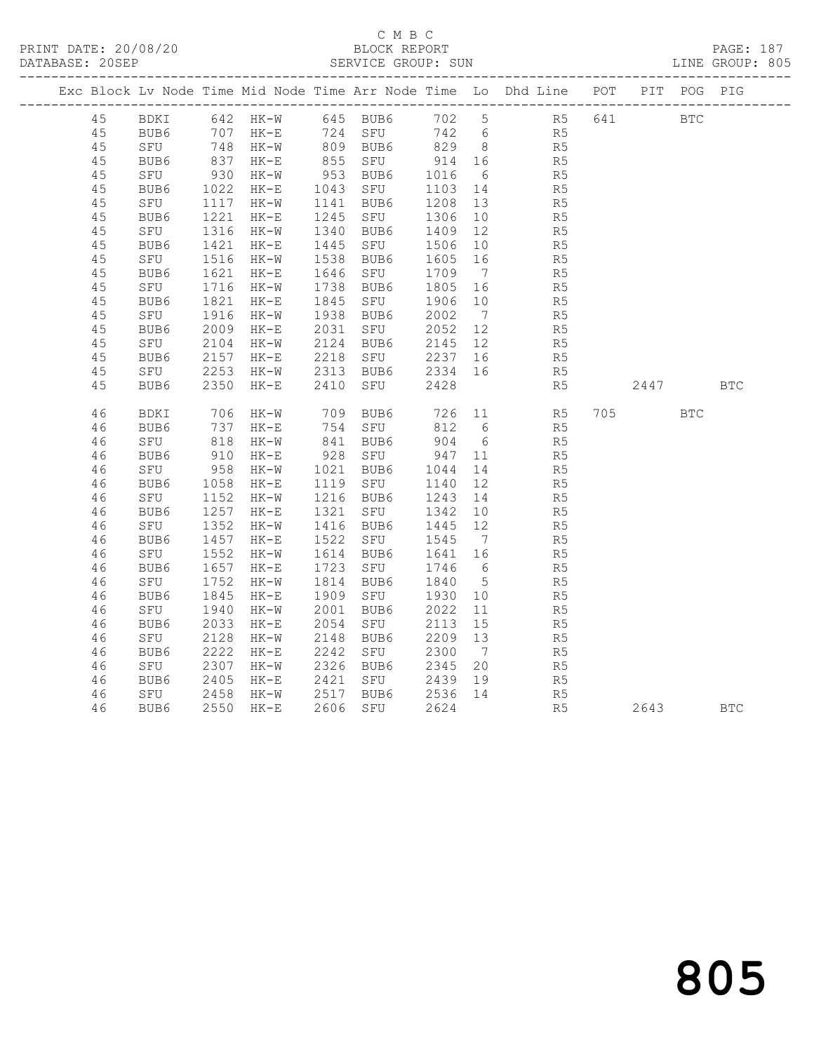#### C M B C<br>BLOCK REPORT SERVICE GROUP: SUN

|  |    |                               |                                     |                        |      |                     |                 |                              | Exc Block Lv Node Time Mid Node Time Arr Node Time Lo Dhd Line POT |            | PIT POG PIG |            |
|--|----|-------------------------------|-------------------------------------|------------------------|------|---------------------|-----------------|------------------------------|--------------------------------------------------------------------|------------|-------------|------------|
|  | 45 |                               |                                     | BDKI 642 HK-W 645 BUB6 |      |                     |                 |                              | 702 5 R5 641                                                       | <b>BTC</b> |             |            |
|  | 45 | BUB6                          |                                     | 707 HK-E 724 SFU       |      |                     |                 |                              | 742 6 R5                                                           |            |             |            |
|  | 45 |                               |                                     |                        |      |                     |                 |                              |                                                                    |            |             |            |
|  | 45 | SFU 748 HK-W<br>BUB6 837 HK-E |                                     |                        |      | 809 BUB6<br>855 SFU | 829 8<br>914 16 |                              | R5<br>R5                                                           |            |             |            |
|  | 45 | SFU                           |                                     | $HK-W$                 |      | 953 BUB6            | 1016            | 6                            | R5                                                                 |            |             |            |
|  | 45 | BUB6                          | 930<br>1022                         | HK-E                   |      | 1043 SFU            | 1103 14         |                              | R5                                                                 |            |             |            |
|  | 45 | SFU                           | 1117                                | $HK-W$                 |      | 1141 BUB6           | 1208 13         |                              | R5                                                                 |            |             |            |
|  | 45 | BUB6                          |                                     | $HK-E$                 | 1245 | SFU                 | 1306            | 10                           | R <sub>5</sub>                                                     |            |             |            |
|  | 45 | SFU                           | 1221<br>1316                        | $HK-W$                 |      | 1340 BUB6           | 1409            | 12                           | R5                                                                 |            |             |            |
|  | 45 | BUB6                          | 1421                                | HK-E                   |      | 1445 SFU            | 1506            | 10                           | R <sub>5</sub>                                                     |            |             |            |
|  | 45 | SFU                           |                                     | $HK-W$                 | 1538 | BUB6                | 1605            | 16                           | R5                                                                 |            |             |            |
|  | 45 | BUB6                          | $131$ $1621$ $1716$                 | $HK-E$                 | 1646 | SFU                 | 1709            | $7\overline{)}$              | R <sub>5</sub>                                                     |            |             |            |
|  | 45 | SFU                           |                                     | HK-W                   | 1738 | BUB6                | 1805            | 16                           | R5                                                                 |            |             |            |
|  | 45 | BUB6                          | $\frac{1}{1821}$<br>$\frac{1}{216}$ | $HK-E$                 | 1845 | SFU                 | 1906 10         |                              | R5                                                                 |            |             |            |
|  | 45 | SFU                           | 1916                                | $HK-W$                 |      | 1938 BUB6           | 2002            | $7\phantom{.0}\phantom{.0}7$ | R <sub>5</sub>                                                     |            |             |            |
|  | 45 | BUB6                          | 2009                                | $HK-E$                 | 2031 | SFU                 | 2052 12         |                              | R <sub>5</sub>                                                     |            |             |            |
|  | 45 | SFU                           | 2104                                | HK-W                   | 2124 | BUB6                | 2145 12         |                              | R5                                                                 |            |             |            |
|  | 45 | BUB6                          |                                     | $HK-E$                 | 2218 | SFU                 | 2237            | 16                           | R5                                                                 |            |             |            |
|  | 45 | SFU                           |                                     | HK-W                   |      | 2313 BUB6           | 2334 16         |                              | R <sub>5</sub>                                                     |            |             |            |
|  | 45 | BUB6                          | $2157$<br>$2253$<br>$2350$          | $HK-E$                 | 2410 | SFU                 | 2428            |                              | R5                                                                 | 2447       |             | <b>BTC</b> |
|  |    |                               |                                     |                        |      |                     |                 |                              |                                                                    |            |             |            |
|  | 46 | BDKI                          | 706                                 | HK-W 709 BUB6          |      |                     |                 |                              | 726 11 R5 705 BTC                                                  |            |             |            |
|  | 46 | BUB6                          | 737                                 | HK-E                   |      | 754 SFU             | 812             | 6                            | R5                                                                 |            |             |            |
|  | 46 | SFU                           | 818<br>910                          | $HK-W$                 |      | 841 BUB6<br>928 SFU | $904$ 6         |                              | R5                                                                 |            |             |            |
|  | 46 | BUB6                          |                                     | $HK-E$                 |      |                     | 947             | 11                           | R5                                                                 |            |             |            |
|  | 46 | SFU                           | 958                                 | $HK-W$                 |      | 1021 BUB6           | 1044            | 14                           | R5                                                                 |            |             |            |
|  | 46 | BUB6                          | 1058<br>1050<br>1152                | HK-E                   |      | 1119 SFU            | 1140            | 12                           | R5                                                                 |            |             |            |
|  | 46 | SFU                           |                                     | $HK-W$                 |      | 1216 BUB6           | 1243 14         |                              | R <sub>5</sub>                                                     |            |             |            |
|  | 46 | BUB6                          | 1257<br>1352                        | $HK-E$                 | 1321 | SFU                 | 1342            | 10                           | R5                                                                 |            |             |            |
|  | 46 | SFU                           |                                     | $HK-W$                 |      | 1416 BUB6           | 1445 12         |                              | R5                                                                 |            |             |            |
|  | 46 | BUB6                          | 1457                                | HK-E                   |      | 1522 SFU            | 1545            | $7\phantom{0}$               | R5                                                                 |            |             |            |
|  | 46 | SFU                           | $152$<br>1657<br>752                | $HK-W$                 | 1614 | BUB6                | 1641 16         |                              | R5<br>R5                                                           |            |             |            |
|  | 46 | BUB6                          |                                     | $HK-E$                 | 1723 | SFU                 | 1746 6          |                              |                                                                    |            |             |            |
|  | 46 | SFU                           | 1752                                | $HK-W$                 | 1814 | BUB6                | 1840            | $5\overline{)}$              | R <sub>5</sub>                                                     |            |             |            |
|  | 46 | BUB6                          | 1845                                | $HK-E$                 | 1909 | SFU                 | 1930            | 10                           | R5                                                                 |            |             |            |
|  | 46 | SFU                           | 1940                                | $HK-W$                 | 2001 | BUB6                | 2022            | 11                           | R5                                                                 |            |             |            |
|  | 46 | BUB6                          | 2033                                | HK-E                   | 2054 | SFU                 | 2113            | 15                           | R <sub>5</sub>                                                     |            |             |            |
|  | 46 | SFU                           | 2128                                | $HK-W$                 | 2148 | BUB6                | 2209            | 13                           | R <sub>5</sub>                                                     |            |             |            |
|  | 46 | BUB6                          | 2222                                | $HK-E$                 | 2242 | SFU                 | 2300            | $\overline{7}$               | R5                                                                 |            |             |            |
|  | 46 | SFU                           | $230$<br>2405<br>2458               | $HK-W$                 | 2326 | BUB6                | 2345            | 20                           | $\frac{1}{R}$                                                      |            |             |            |
|  | 46 | BUB6                          |                                     | $HK-E$                 | 2421 | SFU                 | 2439            | 19                           |                                                                    |            |             |            |
|  | 46 | SFU                           | 2458                                | $HK-W$                 |      | 2517 BUB6           | 2536            | 14                           | R <sub>5</sub>                                                     |            |             |            |
|  | 46 | BUB6                          | 2550                                | HK-E                   |      | 2606 SFU            | 2624            |                              | R <sub>5</sub>                                                     | 2643 BTC   |             |            |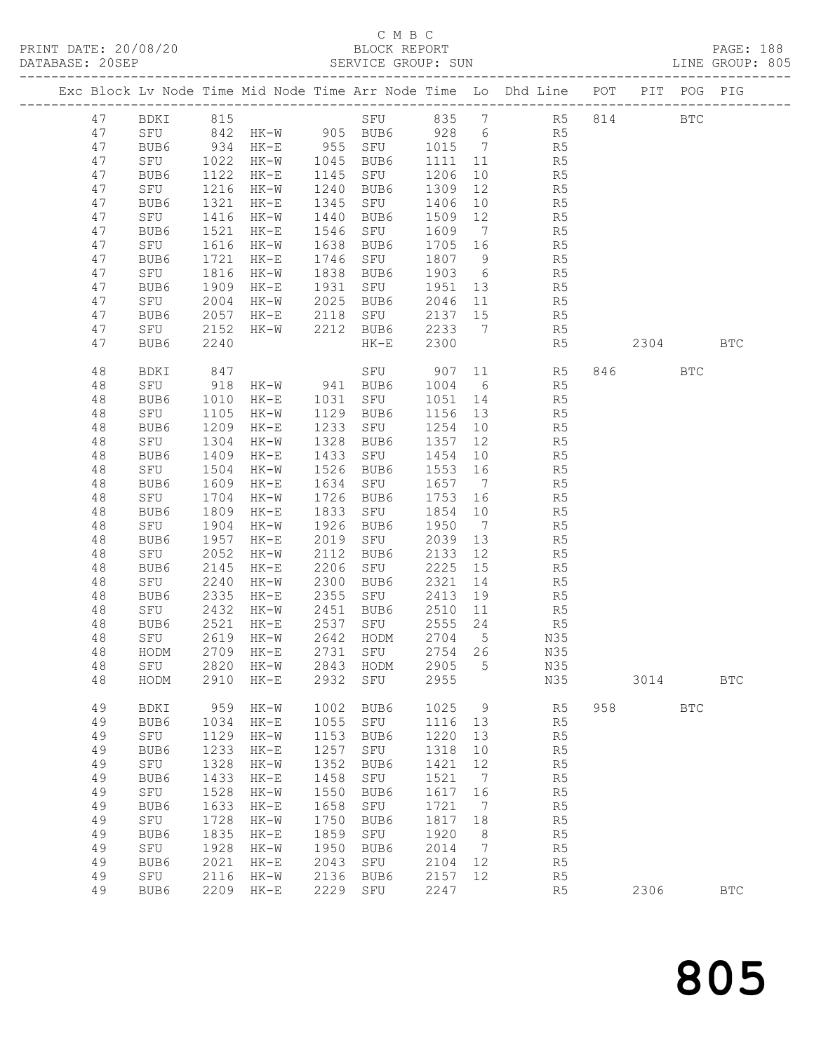## C M B C

| PRINT DATE: 20/08/20<br>BLOCK REPORT BLOCK PERT<br>DATABASE: 20SEP SERVICE GROUP: SUN LINE GROUP: 805<br>Exc Block Lv Node Time Mid Node Time Arr Node Time Lo Dhd Line POT PIT POG PIG<br>SFU 835 7 R5 814<br>BDKI 815<br>47<br><b>BTC</b><br>SFU 842 HK-W 905 BUB6 928 6 R5<br>BUB6 934 HK-E 955 SFU 1015 7 R5<br>SFU 1022 HK-W 1045 BUB6 1111 11 R5<br>47<br>47<br>47<br>BUB6 1122 HK-E<br>10 R5<br>1145 SFU 1206<br>47<br>1216<br>1240 BUB6<br>47<br>SFU<br>$HK-W$<br>1309<br>12 R5<br>47<br>1321<br>1345 SFU<br>1406<br>$\begin{array}{ccc} 10 & \quad & \quad \text{R5} \\ 12 & \quad & \quad \text{R5} \end{array}$<br>$HK-E$<br>BUB6<br>SFU<br>47<br>1416<br>1440 BUB6<br>1509<br>$HK-W$<br>1609 7 R5<br>SFU<br>1521<br>47<br>1546<br>BUB6<br>HK-E<br>1616<br>1638<br>1705 16<br>R <sub>5</sub><br>47<br>SFU<br>$HK-W$<br>BUB6<br>1721<br>1746 SFU 1807 9 R5<br>1838 BUB6 1903 6 R5<br>47<br>HK-E<br>BUB6<br>SFU<br>47<br>1816<br>1838 BUB6<br>$HK-W$<br>SFU 1951 13 R5<br>1909<br>1931<br>47<br>BUB6<br>HK-E<br>2025 BUB6<br>47<br>SFU<br>2004<br>$HK - W$<br>2046 11 R5<br>2057<br>HK-E 2118 SFU 2137 15 R5<br>HK-W 2212 BUB6 2233 7 R5<br>HK-E 2300 R5<br>47<br>BUB6<br>SFU<br>47<br>2152<br>2240<br>2304<br>47<br>BUB6<br><b>BTC</b><br>BDKI 847<br>SFU 918 HK-W 941 BUB6 1004 6 R5<br>846 BTC<br>48<br>48<br>1010<br>HK-E 1031 SFU 1051 14 R5<br>48<br>BUB6<br>1156 13 R5<br>48<br>SFU<br>1105<br>HK-W 1129 BUB6<br>1209<br>48<br>BUB6<br>1233 SFU<br>1254<br>$HK-E$<br>10<br>R5<br>1304<br>1328 BUB6<br>48<br>SFU<br>1357 12 R5<br>1454 10 R5<br>HK-W<br>1433 SFU 1454<br>48<br>BUB6<br>1409<br>HK-E<br>1553 16 R5<br>48<br>SFU<br>1504<br>1526 BUB6<br>HK-W<br>48<br>1609<br>$HK-E$<br>1634<br>1657 7<br>R5<br>BUB6<br>SFU<br>48<br>1704<br>1726<br>BUB6 1753 16 R5<br>SFU 1854 10 R5<br>SFU<br>HK-W<br>BUB6<br>48<br>1809<br>1833<br>BUB6<br>HK-E<br>1950 7 R5<br>48<br>1904<br>1926<br>SFU<br>HK-W<br>BUB6<br>1957<br>2019<br>2039<br>48<br>BUB6<br>$HK-E$<br>SFU<br>13<br>R5<br>48<br>2052<br>2112<br>2133<br>$\begin{array}{ccc} 12 & \quad & \quad \text{R5} \\ 15 & \quad & \quad \text{R5} \end{array}$<br>SFU<br>HK-W<br>BUB6<br>SFU<br>2225<br>48<br>2145<br>2206<br>BUB6<br>$HK-E$<br>R <sub>5</sub><br>BUB6<br>2321<br>SFU<br>2240<br>2300<br>14<br>48<br>HK-W<br>2335<br>2355 SFU<br>2413<br>48<br>BUB6<br>HK-E<br>19 R5<br>SFU 2432 HK-W<br>BUB6 2521 HK-E<br>48<br>$HK-W$<br>48<br>2642<br>2619<br>$\rm{HK}\!-\!\rm{W}$<br>HODM<br>2704<br>5<br>N35<br>48<br>SFU<br>2731<br>2754<br>48<br>HODM<br>2709<br>$HK-E$<br>SFU<br>26<br>N35<br>$4\,8$<br>2820<br>2843<br>2905<br>N35<br>SFU<br>$HK-W$<br>HODM<br>5<br>48<br>2910<br>2932<br>2955<br>N35<br>3014<br>HODM<br>$HK-E$<br>SFU<br><b>BTC</b><br>49<br>1002<br>958<br>BDKI<br>959<br>$HK-W$<br>BUB6<br>1025<br>9<br>R <sub>5</sub><br><b>BTC</b><br>49<br>1055<br>${\tt SFU}$<br>1116<br>R5<br>BUB6<br>1034<br>$HK-E$<br>13<br>1220<br>49<br>${\tt SFU}$<br>1129<br>1153<br>R5<br>$HK-W$<br>BUB6<br>13<br>1257<br>49<br>BUB6<br>1233<br>1318<br>$\mathbb{R}5$<br>$HK-E$<br>SFU<br>10<br>49<br>${\tt SFU}$<br>1328<br>1352<br>1421<br>R5<br>$HK-W$<br>BUB6<br>12<br>49<br>1433<br>1458<br>1521<br>R5<br>BUB6<br>$HK-E$<br>SFU<br>7<br>49<br>1528<br>1550<br>1617<br>R5<br>SFU<br>$HK-W$<br>BUB6<br>16<br>1658<br>49<br>1633<br>1721<br>R5<br>BUB6<br>$HK-E$<br>SFU<br>7<br>49<br>1728<br>1750<br>1817<br>SFU<br>$HK-W$<br>BUB6<br>18<br>R <sub>5</sub><br>49<br>1835<br>1859<br>1920<br>R5<br>BUB6<br>$HK-E$<br>SFU<br>8<br>1950<br>49<br>1928<br>2014<br>R5<br>SFU<br>$HK-W$<br>BUB6<br>7<br>49<br>2021<br>2043<br>${\tt SFU}$<br>2104<br>12<br>R5<br>BUB6<br>$HK-E$<br>49<br>2136<br>2157<br>12<br>R5<br>SFU<br>2116<br>$HK-W$<br>BUB6<br>2229<br>2247<br>$\mathbb{R}5$<br>49<br>BUB6<br>2209<br>$HK-E$<br>SFU<br>2306<br><b>BTC</b> |  |  |  |  |  |  |  |  |
|----------------------------------------------------------------------------------------------------------------------------------------------------------------------------------------------------------------------------------------------------------------------------------------------------------------------------------------------------------------------------------------------------------------------------------------------------------------------------------------------------------------------------------------------------------------------------------------------------------------------------------------------------------------------------------------------------------------------------------------------------------------------------------------------------------------------------------------------------------------------------------------------------------------------------------------------------------------------------------------------------------------------------------------------------------------------------------------------------------------------------------------------------------------------------------------------------------------------------------------------------------------------------------------------------------------------------------------------------------------------------------------------------------------------------------------------------------------------------------------------------------------------------------------------------------------------------------------------------------------------------------------------------------------------------------------------------------------------------------------------------------------------------------------------------------------------------------------------------------------------------------------------------------------------------------------------------------------------------------------------------------------------------------------------------------------------------------------------------------------------------------------------------------------------------------------------------------------------------------------------------------------------------------------------------------------------------------------------------------------------------------------------------------------------------------------------------------------------------------------------------------------------------------------------------------------------------------------------------------------------------------------------------------------------------------------------------------------------------------------------------------------------------------------------------------------------------------------------------------------------------------------------------------------------------------------------------------------------------------------------------------------------------------------------------------------------------------------------------------------------------------------------------------------------------------------------------------------------------------------------------------------------------------------------------------------------------------------------------------------------------------------------------------------------------------------------------------------------------------------------------------------------------------------------------------------------------------------------------------------------------------------------------------------------------------------------------------------------------------------------------------------------------------------------------------------------|--|--|--|--|--|--|--|--|
|                                                                                                                                                                                                                                                                                                                                                                                                                                                                                                                                                                                                                                                                                                                                                                                                                                                                                                                                                                                                                                                                                                                                                                                                                                                                                                                                                                                                                                                                                                                                                                                                                                                                                                                                                                                                                                                                                                                                                                                                                                                                                                                                                                                                                                                                                                                                                                                                                                                                                                                                                                                                                                                                                                                                                                                                                                                                                                                                                                                                                                                                                                                                                                                                                                                                                                                                                                                                                                                                                                                                                                                                                                                                                                                                                                                                                      |  |  |  |  |  |  |  |  |
|                                                                                                                                                                                                                                                                                                                                                                                                                                                                                                                                                                                                                                                                                                                                                                                                                                                                                                                                                                                                                                                                                                                                                                                                                                                                                                                                                                                                                                                                                                                                                                                                                                                                                                                                                                                                                                                                                                                                                                                                                                                                                                                                                                                                                                                                                                                                                                                                                                                                                                                                                                                                                                                                                                                                                                                                                                                                                                                                                                                                                                                                                                                                                                                                                                                                                                                                                                                                                                                                                                                                                                                                                                                                                                                                                                                                                      |  |  |  |  |  |  |  |  |
|                                                                                                                                                                                                                                                                                                                                                                                                                                                                                                                                                                                                                                                                                                                                                                                                                                                                                                                                                                                                                                                                                                                                                                                                                                                                                                                                                                                                                                                                                                                                                                                                                                                                                                                                                                                                                                                                                                                                                                                                                                                                                                                                                                                                                                                                                                                                                                                                                                                                                                                                                                                                                                                                                                                                                                                                                                                                                                                                                                                                                                                                                                                                                                                                                                                                                                                                                                                                                                                                                                                                                                                                                                                                                                                                                                                                                      |  |  |  |  |  |  |  |  |
|                                                                                                                                                                                                                                                                                                                                                                                                                                                                                                                                                                                                                                                                                                                                                                                                                                                                                                                                                                                                                                                                                                                                                                                                                                                                                                                                                                                                                                                                                                                                                                                                                                                                                                                                                                                                                                                                                                                                                                                                                                                                                                                                                                                                                                                                                                                                                                                                                                                                                                                                                                                                                                                                                                                                                                                                                                                                                                                                                                                                                                                                                                                                                                                                                                                                                                                                                                                                                                                                                                                                                                                                                                                                                                                                                                                                                      |  |  |  |  |  |  |  |  |
|                                                                                                                                                                                                                                                                                                                                                                                                                                                                                                                                                                                                                                                                                                                                                                                                                                                                                                                                                                                                                                                                                                                                                                                                                                                                                                                                                                                                                                                                                                                                                                                                                                                                                                                                                                                                                                                                                                                                                                                                                                                                                                                                                                                                                                                                                                                                                                                                                                                                                                                                                                                                                                                                                                                                                                                                                                                                                                                                                                                                                                                                                                                                                                                                                                                                                                                                                                                                                                                                                                                                                                                                                                                                                                                                                                                                                      |  |  |  |  |  |  |  |  |
|                                                                                                                                                                                                                                                                                                                                                                                                                                                                                                                                                                                                                                                                                                                                                                                                                                                                                                                                                                                                                                                                                                                                                                                                                                                                                                                                                                                                                                                                                                                                                                                                                                                                                                                                                                                                                                                                                                                                                                                                                                                                                                                                                                                                                                                                                                                                                                                                                                                                                                                                                                                                                                                                                                                                                                                                                                                                                                                                                                                                                                                                                                                                                                                                                                                                                                                                                                                                                                                                                                                                                                                                                                                                                                                                                                                                                      |  |  |  |  |  |  |  |  |
|                                                                                                                                                                                                                                                                                                                                                                                                                                                                                                                                                                                                                                                                                                                                                                                                                                                                                                                                                                                                                                                                                                                                                                                                                                                                                                                                                                                                                                                                                                                                                                                                                                                                                                                                                                                                                                                                                                                                                                                                                                                                                                                                                                                                                                                                                                                                                                                                                                                                                                                                                                                                                                                                                                                                                                                                                                                                                                                                                                                                                                                                                                                                                                                                                                                                                                                                                                                                                                                                                                                                                                                                                                                                                                                                                                                                                      |  |  |  |  |  |  |  |  |
|                                                                                                                                                                                                                                                                                                                                                                                                                                                                                                                                                                                                                                                                                                                                                                                                                                                                                                                                                                                                                                                                                                                                                                                                                                                                                                                                                                                                                                                                                                                                                                                                                                                                                                                                                                                                                                                                                                                                                                                                                                                                                                                                                                                                                                                                                                                                                                                                                                                                                                                                                                                                                                                                                                                                                                                                                                                                                                                                                                                                                                                                                                                                                                                                                                                                                                                                                                                                                                                                                                                                                                                                                                                                                                                                                                                                                      |  |  |  |  |  |  |  |  |
|                                                                                                                                                                                                                                                                                                                                                                                                                                                                                                                                                                                                                                                                                                                                                                                                                                                                                                                                                                                                                                                                                                                                                                                                                                                                                                                                                                                                                                                                                                                                                                                                                                                                                                                                                                                                                                                                                                                                                                                                                                                                                                                                                                                                                                                                                                                                                                                                                                                                                                                                                                                                                                                                                                                                                                                                                                                                                                                                                                                                                                                                                                                                                                                                                                                                                                                                                                                                                                                                                                                                                                                                                                                                                                                                                                                                                      |  |  |  |  |  |  |  |  |
|                                                                                                                                                                                                                                                                                                                                                                                                                                                                                                                                                                                                                                                                                                                                                                                                                                                                                                                                                                                                                                                                                                                                                                                                                                                                                                                                                                                                                                                                                                                                                                                                                                                                                                                                                                                                                                                                                                                                                                                                                                                                                                                                                                                                                                                                                                                                                                                                                                                                                                                                                                                                                                                                                                                                                                                                                                                                                                                                                                                                                                                                                                                                                                                                                                                                                                                                                                                                                                                                                                                                                                                                                                                                                                                                                                                                                      |  |  |  |  |  |  |  |  |
|                                                                                                                                                                                                                                                                                                                                                                                                                                                                                                                                                                                                                                                                                                                                                                                                                                                                                                                                                                                                                                                                                                                                                                                                                                                                                                                                                                                                                                                                                                                                                                                                                                                                                                                                                                                                                                                                                                                                                                                                                                                                                                                                                                                                                                                                                                                                                                                                                                                                                                                                                                                                                                                                                                                                                                                                                                                                                                                                                                                                                                                                                                                                                                                                                                                                                                                                                                                                                                                                                                                                                                                                                                                                                                                                                                                                                      |  |  |  |  |  |  |  |  |
|                                                                                                                                                                                                                                                                                                                                                                                                                                                                                                                                                                                                                                                                                                                                                                                                                                                                                                                                                                                                                                                                                                                                                                                                                                                                                                                                                                                                                                                                                                                                                                                                                                                                                                                                                                                                                                                                                                                                                                                                                                                                                                                                                                                                                                                                                                                                                                                                                                                                                                                                                                                                                                                                                                                                                                                                                                                                                                                                                                                                                                                                                                                                                                                                                                                                                                                                                                                                                                                                                                                                                                                                                                                                                                                                                                                                                      |  |  |  |  |  |  |  |  |
|                                                                                                                                                                                                                                                                                                                                                                                                                                                                                                                                                                                                                                                                                                                                                                                                                                                                                                                                                                                                                                                                                                                                                                                                                                                                                                                                                                                                                                                                                                                                                                                                                                                                                                                                                                                                                                                                                                                                                                                                                                                                                                                                                                                                                                                                                                                                                                                                                                                                                                                                                                                                                                                                                                                                                                                                                                                                                                                                                                                                                                                                                                                                                                                                                                                                                                                                                                                                                                                                                                                                                                                                                                                                                                                                                                                                                      |  |  |  |  |  |  |  |  |
|                                                                                                                                                                                                                                                                                                                                                                                                                                                                                                                                                                                                                                                                                                                                                                                                                                                                                                                                                                                                                                                                                                                                                                                                                                                                                                                                                                                                                                                                                                                                                                                                                                                                                                                                                                                                                                                                                                                                                                                                                                                                                                                                                                                                                                                                                                                                                                                                                                                                                                                                                                                                                                                                                                                                                                                                                                                                                                                                                                                                                                                                                                                                                                                                                                                                                                                                                                                                                                                                                                                                                                                                                                                                                                                                                                                                                      |  |  |  |  |  |  |  |  |
|                                                                                                                                                                                                                                                                                                                                                                                                                                                                                                                                                                                                                                                                                                                                                                                                                                                                                                                                                                                                                                                                                                                                                                                                                                                                                                                                                                                                                                                                                                                                                                                                                                                                                                                                                                                                                                                                                                                                                                                                                                                                                                                                                                                                                                                                                                                                                                                                                                                                                                                                                                                                                                                                                                                                                                                                                                                                                                                                                                                                                                                                                                                                                                                                                                                                                                                                                                                                                                                                                                                                                                                                                                                                                                                                                                                                                      |  |  |  |  |  |  |  |  |
|                                                                                                                                                                                                                                                                                                                                                                                                                                                                                                                                                                                                                                                                                                                                                                                                                                                                                                                                                                                                                                                                                                                                                                                                                                                                                                                                                                                                                                                                                                                                                                                                                                                                                                                                                                                                                                                                                                                                                                                                                                                                                                                                                                                                                                                                                                                                                                                                                                                                                                                                                                                                                                                                                                                                                                                                                                                                                                                                                                                                                                                                                                                                                                                                                                                                                                                                                                                                                                                                                                                                                                                                                                                                                                                                                                                                                      |  |  |  |  |  |  |  |  |
|                                                                                                                                                                                                                                                                                                                                                                                                                                                                                                                                                                                                                                                                                                                                                                                                                                                                                                                                                                                                                                                                                                                                                                                                                                                                                                                                                                                                                                                                                                                                                                                                                                                                                                                                                                                                                                                                                                                                                                                                                                                                                                                                                                                                                                                                                                                                                                                                                                                                                                                                                                                                                                                                                                                                                                                                                                                                                                                                                                                                                                                                                                                                                                                                                                                                                                                                                                                                                                                                                                                                                                                                                                                                                                                                                                                                                      |  |  |  |  |  |  |  |  |
|                                                                                                                                                                                                                                                                                                                                                                                                                                                                                                                                                                                                                                                                                                                                                                                                                                                                                                                                                                                                                                                                                                                                                                                                                                                                                                                                                                                                                                                                                                                                                                                                                                                                                                                                                                                                                                                                                                                                                                                                                                                                                                                                                                                                                                                                                                                                                                                                                                                                                                                                                                                                                                                                                                                                                                                                                                                                                                                                                                                                                                                                                                                                                                                                                                                                                                                                                                                                                                                                                                                                                                                                                                                                                                                                                                                                                      |  |  |  |  |  |  |  |  |
|                                                                                                                                                                                                                                                                                                                                                                                                                                                                                                                                                                                                                                                                                                                                                                                                                                                                                                                                                                                                                                                                                                                                                                                                                                                                                                                                                                                                                                                                                                                                                                                                                                                                                                                                                                                                                                                                                                                                                                                                                                                                                                                                                                                                                                                                                                                                                                                                                                                                                                                                                                                                                                                                                                                                                                                                                                                                                                                                                                                                                                                                                                                                                                                                                                                                                                                                                                                                                                                                                                                                                                                                                                                                                                                                                                                                                      |  |  |  |  |  |  |  |  |
|                                                                                                                                                                                                                                                                                                                                                                                                                                                                                                                                                                                                                                                                                                                                                                                                                                                                                                                                                                                                                                                                                                                                                                                                                                                                                                                                                                                                                                                                                                                                                                                                                                                                                                                                                                                                                                                                                                                                                                                                                                                                                                                                                                                                                                                                                                                                                                                                                                                                                                                                                                                                                                                                                                                                                                                                                                                                                                                                                                                                                                                                                                                                                                                                                                                                                                                                                                                                                                                                                                                                                                                                                                                                                                                                                                                                                      |  |  |  |  |  |  |  |  |
|                                                                                                                                                                                                                                                                                                                                                                                                                                                                                                                                                                                                                                                                                                                                                                                                                                                                                                                                                                                                                                                                                                                                                                                                                                                                                                                                                                                                                                                                                                                                                                                                                                                                                                                                                                                                                                                                                                                                                                                                                                                                                                                                                                                                                                                                                                                                                                                                                                                                                                                                                                                                                                                                                                                                                                                                                                                                                                                                                                                                                                                                                                                                                                                                                                                                                                                                                                                                                                                                                                                                                                                                                                                                                                                                                                                                                      |  |  |  |  |  |  |  |  |
|                                                                                                                                                                                                                                                                                                                                                                                                                                                                                                                                                                                                                                                                                                                                                                                                                                                                                                                                                                                                                                                                                                                                                                                                                                                                                                                                                                                                                                                                                                                                                                                                                                                                                                                                                                                                                                                                                                                                                                                                                                                                                                                                                                                                                                                                                                                                                                                                                                                                                                                                                                                                                                                                                                                                                                                                                                                                                                                                                                                                                                                                                                                                                                                                                                                                                                                                                                                                                                                                                                                                                                                                                                                                                                                                                                                                                      |  |  |  |  |  |  |  |  |
|                                                                                                                                                                                                                                                                                                                                                                                                                                                                                                                                                                                                                                                                                                                                                                                                                                                                                                                                                                                                                                                                                                                                                                                                                                                                                                                                                                                                                                                                                                                                                                                                                                                                                                                                                                                                                                                                                                                                                                                                                                                                                                                                                                                                                                                                                                                                                                                                                                                                                                                                                                                                                                                                                                                                                                                                                                                                                                                                                                                                                                                                                                                                                                                                                                                                                                                                                                                                                                                                                                                                                                                                                                                                                                                                                                                                                      |  |  |  |  |  |  |  |  |
|                                                                                                                                                                                                                                                                                                                                                                                                                                                                                                                                                                                                                                                                                                                                                                                                                                                                                                                                                                                                                                                                                                                                                                                                                                                                                                                                                                                                                                                                                                                                                                                                                                                                                                                                                                                                                                                                                                                                                                                                                                                                                                                                                                                                                                                                                                                                                                                                                                                                                                                                                                                                                                                                                                                                                                                                                                                                                                                                                                                                                                                                                                                                                                                                                                                                                                                                                                                                                                                                                                                                                                                                                                                                                                                                                                                                                      |  |  |  |  |  |  |  |  |
|                                                                                                                                                                                                                                                                                                                                                                                                                                                                                                                                                                                                                                                                                                                                                                                                                                                                                                                                                                                                                                                                                                                                                                                                                                                                                                                                                                                                                                                                                                                                                                                                                                                                                                                                                                                                                                                                                                                                                                                                                                                                                                                                                                                                                                                                                                                                                                                                                                                                                                                                                                                                                                                                                                                                                                                                                                                                                                                                                                                                                                                                                                                                                                                                                                                                                                                                                                                                                                                                                                                                                                                                                                                                                                                                                                                                                      |  |  |  |  |  |  |  |  |
|                                                                                                                                                                                                                                                                                                                                                                                                                                                                                                                                                                                                                                                                                                                                                                                                                                                                                                                                                                                                                                                                                                                                                                                                                                                                                                                                                                                                                                                                                                                                                                                                                                                                                                                                                                                                                                                                                                                                                                                                                                                                                                                                                                                                                                                                                                                                                                                                                                                                                                                                                                                                                                                                                                                                                                                                                                                                                                                                                                                                                                                                                                                                                                                                                                                                                                                                                                                                                                                                                                                                                                                                                                                                                                                                                                                                                      |  |  |  |  |  |  |  |  |
|                                                                                                                                                                                                                                                                                                                                                                                                                                                                                                                                                                                                                                                                                                                                                                                                                                                                                                                                                                                                                                                                                                                                                                                                                                                                                                                                                                                                                                                                                                                                                                                                                                                                                                                                                                                                                                                                                                                                                                                                                                                                                                                                                                                                                                                                                                                                                                                                                                                                                                                                                                                                                                                                                                                                                                                                                                                                                                                                                                                                                                                                                                                                                                                                                                                                                                                                                                                                                                                                                                                                                                                                                                                                                                                                                                                                                      |  |  |  |  |  |  |  |  |
|                                                                                                                                                                                                                                                                                                                                                                                                                                                                                                                                                                                                                                                                                                                                                                                                                                                                                                                                                                                                                                                                                                                                                                                                                                                                                                                                                                                                                                                                                                                                                                                                                                                                                                                                                                                                                                                                                                                                                                                                                                                                                                                                                                                                                                                                                                                                                                                                                                                                                                                                                                                                                                                                                                                                                                                                                                                                                                                                                                                                                                                                                                                                                                                                                                                                                                                                                                                                                                                                                                                                                                                                                                                                                                                                                                                                                      |  |  |  |  |  |  |  |  |
|                                                                                                                                                                                                                                                                                                                                                                                                                                                                                                                                                                                                                                                                                                                                                                                                                                                                                                                                                                                                                                                                                                                                                                                                                                                                                                                                                                                                                                                                                                                                                                                                                                                                                                                                                                                                                                                                                                                                                                                                                                                                                                                                                                                                                                                                                                                                                                                                                                                                                                                                                                                                                                                                                                                                                                                                                                                                                                                                                                                                                                                                                                                                                                                                                                                                                                                                                                                                                                                                                                                                                                                                                                                                                                                                                                                                                      |  |  |  |  |  |  |  |  |
|                                                                                                                                                                                                                                                                                                                                                                                                                                                                                                                                                                                                                                                                                                                                                                                                                                                                                                                                                                                                                                                                                                                                                                                                                                                                                                                                                                                                                                                                                                                                                                                                                                                                                                                                                                                                                                                                                                                                                                                                                                                                                                                                                                                                                                                                                                                                                                                                                                                                                                                                                                                                                                                                                                                                                                                                                                                                                                                                                                                                                                                                                                                                                                                                                                                                                                                                                                                                                                                                                                                                                                                                                                                                                                                                                                                                                      |  |  |  |  |  |  |  |  |
|                                                                                                                                                                                                                                                                                                                                                                                                                                                                                                                                                                                                                                                                                                                                                                                                                                                                                                                                                                                                                                                                                                                                                                                                                                                                                                                                                                                                                                                                                                                                                                                                                                                                                                                                                                                                                                                                                                                                                                                                                                                                                                                                                                                                                                                                                                                                                                                                                                                                                                                                                                                                                                                                                                                                                                                                                                                                                                                                                                                                                                                                                                                                                                                                                                                                                                                                                                                                                                                                                                                                                                                                                                                                                                                                                                                                                      |  |  |  |  |  |  |  |  |
|                                                                                                                                                                                                                                                                                                                                                                                                                                                                                                                                                                                                                                                                                                                                                                                                                                                                                                                                                                                                                                                                                                                                                                                                                                                                                                                                                                                                                                                                                                                                                                                                                                                                                                                                                                                                                                                                                                                                                                                                                                                                                                                                                                                                                                                                                                                                                                                                                                                                                                                                                                                                                                                                                                                                                                                                                                                                                                                                                                                                                                                                                                                                                                                                                                                                                                                                                                                                                                                                                                                                                                                                                                                                                                                                                                                                                      |  |  |  |  |  |  |  |  |
|                                                                                                                                                                                                                                                                                                                                                                                                                                                                                                                                                                                                                                                                                                                                                                                                                                                                                                                                                                                                                                                                                                                                                                                                                                                                                                                                                                                                                                                                                                                                                                                                                                                                                                                                                                                                                                                                                                                                                                                                                                                                                                                                                                                                                                                                                                                                                                                                                                                                                                                                                                                                                                                                                                                                                                                                                                                                                                                                                                                                                                                                                                                                                                                                                                                                                                                                                                                                                                                                                                                                                                                                                                                                                                                                                                                                                      |  |  |  |  |  |  |  |  |
|                                                                                                                                                                                                                                                                                                                                                                                                                                                                                                                                                                                                                                                                                                                                                                                                                                                                                                                                                                                                                                                                                                                                                                                                                                                                                                                                                                                                                                                                                                                                                                                                                                                                                                                                                                                                                                                                                                                                                                                                                                                                                                                                                                                                                                                                                                                                                                                                                                                                                                                                                                                                                                                                                                                                                                                                                                                                                                                                                                                                                                                                                                                                                                                                                                                                                                                                                                                                                                                                                                                                                                                                                                                                                                                                                                                                                      |  |  |  |  |  |  |  |  |
|                                                                                                                                                                                                                                                                                                                                                                                                                                                                                                                                                                                                                                                                                                                                                                                                                                                                                                                                                                                                                                                                                                                                                                                                                                                                                                                                                                                                                                                                                                                                                                                                                                                                                                                                                                                                                                                                                                                                                                                                                                                                                                                                                                                                                                                                                                                                                                                                                                                                                                                                                                                                                                                                                                                                                                                                                                                                                                                                                                                                                                                                                                                                                                                                                                                                                                                                                                                                                                                                                                                                                                                                                                                                                                                                                                                                                      |  |  |  |  |  |  |  |  |
|                                                                                                                                                                                                                                                                                                                                                                                                                                                                                                                                                                                                                                                                                                                                                                                                                                                                                                                                                                                                                                                                                                                                                                                                                                                                                                                                                                                                                                                                                                                                                                                                                                                                                                                                                                                                                                                                                                                                                                                                                                                                                                                                                                                                                                                                                                                                                                                                                                                                                                                                                                                                                                                                                                                                                                                                                                                                                                                                                                                                                                                                                                                                                                                                                                                                                                                                                                                                                                                                                                                                                                                                                                                                                                                                                                                                                      |  |  |  |  |  |  |  |  |
|                                                                                                                                                                                                                                                                                                                                                                                                                                                                                                                                                                                                                                                                                                                                                                                                                                                                                                                                                                                                                                                                                                                                                                                                                                                                                                                                                                                                                                                                                                                                                                                                                                                                                                                                                                                                                                                                                                                                                                                                                                                                                                                                                                                                                                                                                                                                                                                                                                                                                                                                                                                                                                                                                                                                                                                                                                                                                                                                                                                                                                                                                                                                                                                                                                                                                                                                                                                                                                                                                                                                                                                                                                                                                                                                                                                                                      |  |  |  |  |  |  |  |  |
|                                                                                                                                                                                                                                                                                                                                                                                                                                                                                                                                                                                                                                                                                                                                                                                                                                                                                                                                                                                                                                                                                                                                                                                                                                                                                                                                                                                                                                                                                                                                                                                                                                                                                                                                                                                                                                                                                                                                                                                                                                                                                                                                                                                                                                                                                                                                                                                                                                                                                                                                                                                                                                                                                                                                                                                                                                                                                                                                                                                                                                                                                                                                                                                                                                                                                                                                                                                                                                                                                                                                                                                                                                                                                                                                                                                                                      |  |  |  |  |  |  |  |  |
|                                                                                                                                                                                                                                                                                                                                                                                                                                                                                                                                                                                                                                                                                                                                                                                                                                                                                                                                                                                                                                                                                                                                                                                                                                                                                                                                                                                                                                                                                                                                                                                                                                                                                                                                                                                                                                                                                                                                                                                                                                                                                                                                                                                                                                                                                                                                                                                                                                                                                                                                                                                                                                                                                                                                                                                                                                                                                                                                                                                                                                                                                                                                                                                                                                                                                                                                                                                                                                                                                                                                                                                                                                                                                                                                                                                                                      |  |  |  |  |  |  |  |  |
|                                                                                                                                                                                                                                                                                                                                                                                                                                                                                                                                                                                                                                                                                                                                                                                                                                                                                                                                                                                                                                                                                                                                                                                                                                                                                                                                                                                                                                                                                                                                                                                                                                                                                                                                                                                                                                                                                                                                                                                                                                                                                                                                                                                                                                                                                                                                                                                                                                                                                                                                                                                                                                                                                                                                                                                                                                                                                                                                                                                                                                                                                                                                                                                                                                                                                                                                                                                                                                                                                                                                                                                                                                                                                                                                                                                                                      |  |  |  |  |  |  |  |  |
|                                                                                                                                                                                                                                                                                                                                                                                                                                                                                                                                                                                                                                                                                                                                                                                                                                                                                                                                                                                                                                                                                                                                                                                                                                                                                                                                                                                                                                                                                                                                                                                                                                                                                                                                                                                                                                                                                                                                                                                                                                                                                                                                                                                                                                                                                                                                                                                                                                                                                                                                                                                                                                                                                                                                                                                                                                                                                                                                                                                                                                                                                                                                                                                                                                                                                                                                                                                                                                                                                                                                                                                                                                                                                                                                                                                                                      |  |  |  |  |  |  |  |  |
|                                                                                                                                                                                                                                                                                                                                                                                                                                                                                                                                                                                                                                                                                                                                                                                                                                                                                                                                                                                                                                                                                                                                                                                                                                                                                                                                                                                                                                                                                                                                                                                                                                                                                                                                                                                                                                                                                                                                                                                                                                                                                                                                                                                                                                                                                                                                                                                                                                                                                                                                                                                                                                                                                                                                                                                                                                                                                                                                                                                                                                                                                                                                                                                                                                                                                                                                                                                                                                                                                                                                                                                                                                                                                                                                                                                                                      |  |  |  |  |  |  |  |  |
|                                                                                                                                                                                                                                                                                                                                                                                                                                                                                                                                                                                                                                                                                                                                                                                                                                                                                                                                                                                                                                                                                                                                                                                                                                                                                                                                                                                                                                                                                                                                                                                                                                                                                                                                                                                                                                                                                                                                                                                                                                                                                                                                                                                                                                                                                                                                                                                                                                                                                                                                                                                                                                                                                                                                                                                                                                                                                                                                                                                                                                                                                                                                                                                                                                                                                                                                                                                                                                                                                                                                                                                                                                                                                                                                                                                                                      |  |  |  |  |  |  |  |  |
|                                                                                                                                                                                                                                                                                                                                                                                                                                                                                                                                                                                                                                                                                                                                                                                                                                                                                                                                                                                                                                                                                                                                                                                                                                                                                                                                                                                                                                                                                                                                                                                                                                                                                                                                                                                                                                                                                                                                                                                                                                                                                                                                                                                                                                                                                                                                                                                                                                                                                                                                                                                                                                                                                                                                                                                                                                                                                                                                                                                                                                                                                                                                                                                                                                                                                                                                                                                                                                                                                                                                                                                                                                                                                                                                                                                                                      |  |  |  |  |  |  |  |  |
|                                                                                                                                                                                                                                                                                                                                                                                                                                                                                                                                                                                                                                                                                                                                                                                                                                                                                                                                                                                                                                                                                                                                                                                                                                                                                                                                                                                                                                                                                                                                                                                                                                                                                                                                                                                                                                                                                                                                                                                                                                                                                                                                                                                                                                                                                                                                                                                                                                                                                                                                                                                                                                                                                                                                                                                                                                                                                                                                                                                                                                                                                                                                                                                                                                                                                                                                                                                                                                                                                                                                                                                                                                                                                                                                                                                                                      |  |  |  |  |  |  |  |  |
|                                                                                                                                                                                                                                                                                                                                                                                                                                                                                                                                                                                                                                                                                                                                                                                                                                                                                                                                                                                                                                                                                                                                                                                                                                                                                                                                                                                                                                                                                                                                                                                                                                                                                                                                                                                                                                                                                                                                                                                                                                                                                                                                                                                                                                                                                                                                                                                                                                                                                                                                                                                                                                                                                                                                                                                                                                                                                                                                                                                                                                                                                                                                                                                                                                                                                                                                                                                                                                                                                                                                                                                                                                                                                                                                                                                                                      |  |  |  |  |  |  |  |  |
|                                                                                                                                                                                                                                                                                                                                                                                                                                                                                                                                                                                                                                                                                                                                                                                                                                                                                                                                                                                                                                                                                                                                                                                                                                                                                                                                                                                                                                                                                                                                                                                                                                                                                                                                                                                                                                                                                                                                                                                                                                                                                                                                                                                                                                                                                                                                                                                                                                                                                                                                                                                                                                                                                                                                                                                                                                                                                                                                                                                                                                                                                                                                                                                                                                                                                                                                                                                                                                                                                                                                                                                                                                                                                                                                                                                                                      |  |  |  |  |  |  |  |  |
|                                                                                                                                                                                                                                                                                                                                                                                                                                                                                                                                                                                                                                                                                                                                                                                                                                                                                                                                                                                                                                                                                                                                                                                                                                                                                                                                                                                                                                                                                                                                                                                                                                                                                                                                                                                                                                                                                                                                                                                                                                                                                                                                                                                                                                                                                                                                                                                                                                                                                                                                                                                                                                                                                                                                                                                                                                                                                                                                                                                                                                                                                                                                                                                                                                                                                                                                                                                                                                                                                                                                                                                                                                                                                                                                                                                                                      |  |  |  |  |  |  |  |  |
|                                                                                                                                                                                                                                                                                                                                                                                                                                                                                                                                                                                                                                                                                                                                                                                                                                                                                                                                                                                                                                                                                                                                                                                                                                                                                                                                                                                                                                                                                                                                                                                                                                                                                                                                                                                                                                                                                                                                                                                                                                                                                                                                                                                                                                                                                                                                                                                                                                                                                                                                                                                                                                                                                                                                                                                                                                                                                                                                                                                                                                                                                                                                                                                                                                                                                                                                                                                                                                                                                                                                                                                                                                                                                                                                                                                                                      |  |  |  |  |  |  |  |  |
|                                                                                                                                                                                                                                                                                                                                                                                                                                                                                                                                                                                                                                                                                                                                                                                                                                                                                                                                                                                                                                                                                                                                                                                                                                                                                                                                                                                                                                                                                                                                                                                                                                                                                                                                                                                                                                                                                                                                                                                                                                                                                                                                                                                                                                                                                                                                                                                                                                                                                                                                                                                                                                                                                                                                                                                                                                                                                                                                                                                                                                                                                                                                                                                                                                                                                                                                                                                                                                                                                                                                                                                                                                                                                                                                                                                                                      |  |  |  |  |  |  |  |  |
|                                                                                                                                                                                                                                                                                                                                                                                                                                                                                                                                                                                                                                                                                                                                                                                                                                                                                                                                                                                                                                                                                                                                                                                                                                                                                                                                                                                                                                                                                                                                                                                                                                                                                                                                                                                                                                                                                                                                                                                                                                                                                                                                                                                                                                                                                                                                                                                                                                                                                                                                                                                                                                                                                                                                                                                                                                                                                                                                                                                                                                                                                                                                                                                                                                                                                                                                                                                                                                                                                                                                                                                                                                                                                                                                                                                                                      |  |  |  |  |  |  |  |  |
|                                                                                                                                                                                                                                                                                                                                                                                                                                                                                                                                                                                                                                                                                                                                                                                                                                                                                                                                                                                                                                                                                                                                                                                                                                                                                                                                                                                                                                                                                                                                                                                                                                                                                                                                                                                                                                                                                                                                                                                                                                                                                                                                                                                                                                                                                                                                                                                                                                                                                                                                                                                                                                                                                                                                                                                                                                                                                                                                                                                                                                                                                                                                                                                                                                                                                                                                                                                                                                                                                                                                                                                                                                                                                                                                                                                                                      |  |  |  |  |  |  |  |  |
|                                                                                                                                                                                                                                                                                                                                                                                                                                                                                                                                                                                                                                                                                                                                                                                                                                                                                                                                                                                                                                                                                                                                                                                                                                                                                                                                                                                                                                                                                                                                                                                                                                                                                                                                                                                                                                                                                                                                                                                                                                                                                                                                                                                                                                                                                                                                                                                                                                                                                                                                                                                                                                                                                                                                                                                                                                                                                                                                                                                                                                                                                                                                                                                                                                                                                                                                                                                                                                                                                                                                                                                                                                                                                                                                                                                                                      |  |  |  |  |  |  |  |  |
|                                                                                                                                                                                                                                                                                                                                                                                                                                                                                                                                                                                                                                                                                                                                                                                                                                                                                                                                                                                                                                                                                                                                                                                                                                                                                                                                                                                                                                                                                                                                                                                                                                                                                                                                                                                                                                                                                                                                                                                                                                                                                                                                                                                                                                                                                                                                                                                                                                                                                                                                                                                                                                                                                                                                                                                                                                                                                                                                                                                                                                                                                                                                                                                                                                                                                                                                                                                                                                                                                                                                                                                                                                                                                                                                                                                                                      |  |  |  |  |  |  |  |  |

805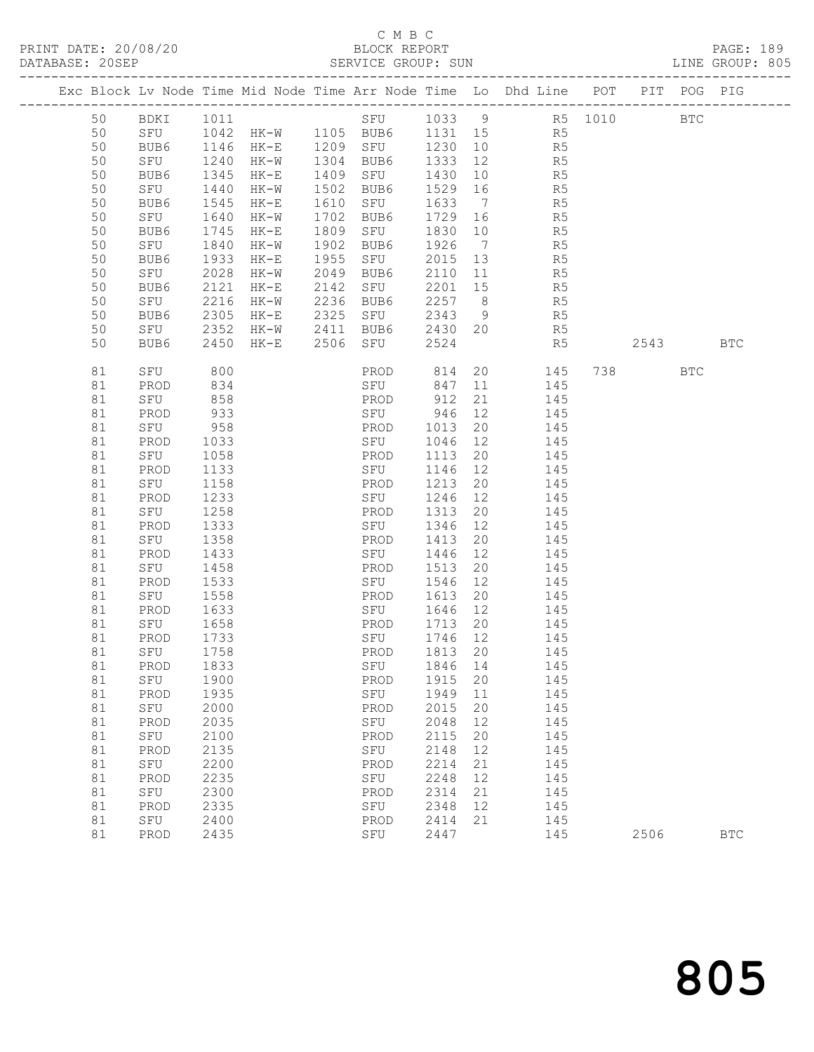## C M B C<br>BLOCK REPORT<br>SERVICE GROUP: SUN

| DATABASE: 20SEP |    |             |      |        |      | SERVICE GROUP: SUN     |         |                |                                                                                |           |            | LINE GROUP: 805 |  |
|-----------------|----|-------------|------|--------|------|------------------------|---------|----------------|--------------------------------------------------------------------------------|-----------|------------|-----------------|--|
|                 |    |             |      |        |      |                        |         |                | Exc Block Lv Node Time Mid Node Time Arr Node Time Lo Dhd Line POT PIT POG PIG |           |            |                 |  |
|                 | 50 | BDKI 1011   |      |        |      |                        |         |                |                                                                                |           |            |                 |  |
|                 | 50 |             |      |        |      |                        |         |                |                                                                                |           |            |                 |  |
|                 | 50 | BUB6        |      |        |      |                        |         |                | R5 1146 HK-E 1209 SFU 1230 10<br>SFU 1240 HK-M 1304 SFU 1230 10 R5             |           |            |                 |  |
|                 | 50 |             |      |        |      |                        |         |                |                                                                                |           |            |                 |  |
|                 | 50 | BUB6        | 1345 | $HK-E$ |      | 1409 SFU               | 1430    |                | $\frac{12}{10}$ R5                                                             |           |            |                 |  |
|                 | 50 | SFU         | 1440 | $HK-W$ |      | 1502 BUB6              | 1529 16 |                | R <sub>5</sub>                                                                 |           |            |                 |  |
|                 | 50 | BUB6        | 1545 | $HK-E$ |      | 1610 SFU               | 1633 7  |                | R5                                                                             |           |            |                 |  |
|                 | 50 | SFU         | 1640 | HK-W   |      | 1702 BUB6              | 1729 16 |                |                                                                                |           |            |                 |  |
|                 | 50 | BUB6        | 1745 | $HK-E$ |      | 1809 SFU               | 1830 10 |                | R5<br>R5                                                                       |           |            |                 |  |
|                 | 50 | SFU         | 1840 | HK-W   | 1902 |                        | 1926    | $\overline{7}$ | R <sub>5</sub>                                                                 |           |            |                 |  |
|                 | 50 | BUB6        | 1933 | HK-E   | 1955 | BUB6<br>SFU            |         |                | R5                                                                             |           |            |                 |  |
|                 | 50 |             | 2028 |        | 2049 | BUB6                   | 2015 13 |                |                                                                                |           |            |                 |  |
|                 |    | SFU         |      | HK-W   |      |                        | 2110 11 |                | R5<br>R5                                                                       |           |            |                 |  |
|                 | 50 | BUB6        | 2121 | HK-E   |      | 2142 SFU               | 2201 15 |                | R <sub>5</sub>                                                                 |           |            |                 |  |
|                 | 50 | SFU         | 2216 | HK-W   |      | 2236 BUB6              | 2257 8  |                |                                                                                |           |            |                 |  |
|                 | 50 | BUB6        | 2305 | $HK-E$ |      | 2325 SFU               |         |                | 2343 9 R5                                                                      |           |            |                 |  |
|                 | 50 | SFU         | 2352 |        |      | HK-W 2411 BUB6 2430 20 |         |                | R5                                                                             |           |            |                 |  |
|                 | 50 | BUB6        | 2450 | HK-E   |      | 2506 SFU               | 2524    |                | R5                                                                             |           | 2543 BTC   |                 |  |
|                 | 81 | SFU         | 800  |        |      | PROD 814               |         |                | 20<br>145                                                                      | 738 — 138 | <b>BTC</b> |                 |  |
|                 | 81 | PROD        | 834  |        |      | SFU                    | 847     | 11             | 145                                                                            |           |            |                 |  |
|                 | 81 | SFU         | 858  |        |      | PROD                   | 912     | 21             | 145                                                                            |           |            |                 |  |
|                 | 81 | PROD        | 933  |        |      | SFU 946                |         | 12             | 145                                                                            |           |            |                 |  |
|                 | 81 | SFU         | 958  |        |      | PROD                   | 1013    | 20             | 145                                                                            |           |            |                 |  |
|                 | 81 | PROD        | 1033 |        |      | SFU                    | 1046    | 12             | 145                                                                            |           |            |                 |  |
|                 | 81 | SFU         | 1058 |        |      | PROD                   | 1113    | 20             | 145                                                                            |           |            |                 |  |
|                 | 81 | PROD        | 1133 |        |      | SFU                    | 1146 12 |                | 145                                                                            |           |            |                 |  |
|                 | 81 | SFU         | 1158 |        |      | PROD                   | 1213    | 20             | 145                                                                            |           |            |                 |  |
|                 | 81 | PROD        | 1233 |        |      | SFU                    | 1246    | 12             | 145                                                                            |           |            |                 |  |
|                 | 81 | SFU         | 1258 |        |      | PROD                   | 1313    | 20             | 145                                                                            |           |            |                 |  |
|                 | 81 | PROD        | 1333 |        |      | SFU                    | 1346    | 12             | 145                                                                            |           |            |                 |  |
|                 | 81 | SFU         | 1358 |        |      | PROD                   | 1413    | 20             | 145                                                                            |           |            |                 |  |
|                 | 81 | PROD        | 1433 |        |      | SFU                    | 1446    | 12             | - 145                                                                          |           |            |                 |  |
|                 | 81 | SFU         | 1458 |        |      | PROD                   | 1513    | 20             | 145                                                                            |           |            |                 |  |
|                 | 81 | PROD        | 1533 |        |      | SFU                    | 1546    | 12             | 145                                                                            |           |            |                 |  |
|                 | 81 | SFU         | 1558 |        |      | PROD                   | 1613    | 20             | 145                                                                            |           |            |                 |  |
|                 | 81 | PROD        | 1633 |        |      | SFU                    | 1646 12 |                | 145                                                                            |           |            |                 |  |
|                 | 81 | SFU         | 1658 |        |      | PROD                   | 1713 20 |                | 145                                                                            |           |            |                 |  |
|                 | 81 | PROD        | 1733 |        |      | SFU                    | 1746 12 |                | 145                                                                            |           |            |                 |  |
|                 |    | 81 SFU 1758 |      |        |      |                        |         |                | PROD 1813 20 145                                                               |           |            |                 |  |
|                 | 81 | PROD        | 1833 |        |      | SFU                    | 1846    | 14             | 145                                                                            |           |            |                 |  |
|                 | 81 | SFU         | 1900 |        |      | PROD                   | 1915    | 20             | 145                                                                            |           |            |                 |  |
|                 | 81 | PROD        | 1935 |        |      | SFU                    | 1949    | 11             | 145                                                                            |           |            |                 |  |
|                 | 81 | SFU         | 2000 |        |      | PROD                   | 2015    | 20             | 145                                                                            |           |            |                 |  |
|                 | 81 | PROD        | 2035 |        |      | SFU                    | 2048    | 12             | 145                                                                            |           |            |                 |  |
|                 | 81 | SFU         | 2100 |        |      | PROD                   | 2115    | 20             | 145                                                                            |           |            |                 |  |
|                 | 81 | PROD        | 2135 |        |      | SFU                    | 2148    | 12             | 145                                                                            |           |            |                 |  |
|                 | 81 | SFU         | 2200 |        |      | PROD                   | 2214    | 21             | 145                                                                            |           |            |                 |  |
|                 | 81 | PROD        | 2235 |        |      | SFU                    | 2248    | 12             | 145                                                                            |           |            |                 |  |
|                 | 81 | SFU         | 2300 |        |      | PROD                   | 2314    | 21             | 145                                                                            |           |            |                 |  |
|                 | 81 | PROD        | 2335 |        |      | SFU                    | 2348    | 12             | 145                                                                            |           |            |                 |  |
|                 | 81 | SFU         | 2400 |        |      | PROD                   | 2414    | 21             | 145                                                                            |           |            |                 |  |
|                 | 81 | PROD        | 2435 |        |      | SFU                    | 2447    |                | 145                                                                            | 2506      |            | $_{\rm BTC}$    |  |
|                 |    |             |      |        |      |                        |         |                |                                                                                |           |            |                 |  |